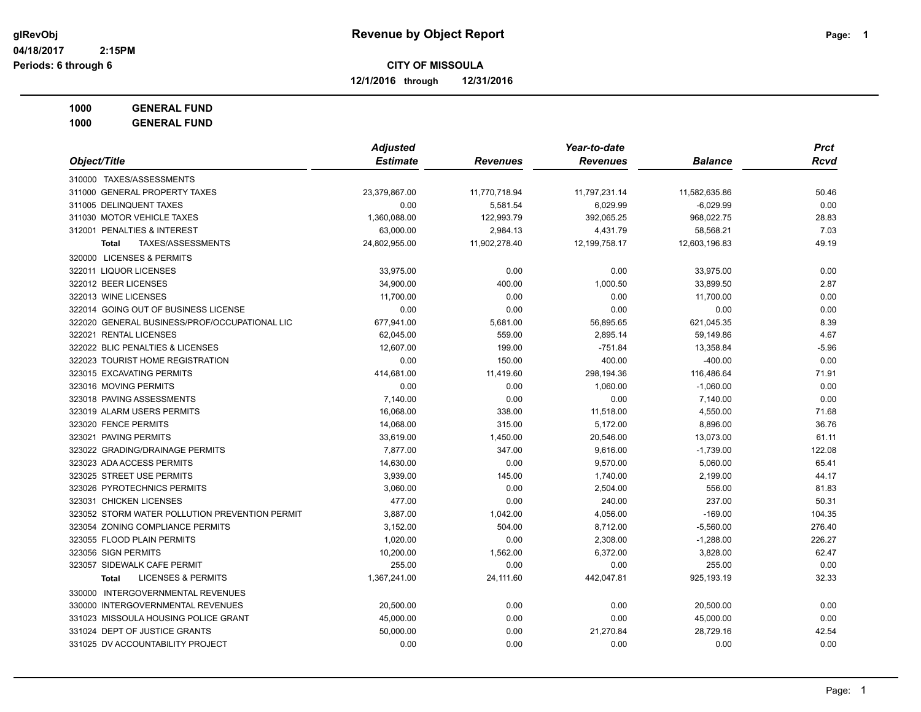**1000 GENERAL FUND**

|                                                | <b>Adjusted</b> |                 | Year-to-date     |                | <b>Prct</b> |
|------------------------------------------------|-----------------|-----------------|------------------|----------------|-------------|
| Object/Title                                   | <b>Estimate</b> | <b>Revenues</b> | <b>Revenues</b>  | <b>Balance</b> | <b>Rcvd</b> |
| 310000 TAXES/ASSESSMENTS                       |                 |                 |                  |                |             |
| 311000 GENERAL PROPERTY TAXES                  | 23,379,867.00   | 11,770,718.94   | 11,797,231.14    | 11,582,635.86  | 50.46       |
| 311005 DELINQUENT TAXES                        | 0.00            | 5,581.54        | 6,029.99         | $-6,029.99$    | 0.00        |
| 311030 MOTOR VEHICLE TAXES                     | 1,360,088.00    | 122,993.79      | 392,065.25       | 968,022.75     | 28.83       |
| 312001 PENALTIES & INTEREST                    | 63,000.00       | 2,984.13        | 4,431.79         | 58,568.21      | 7.03        |
| TAXES/ASSESSMENTS<br><b>Total</b>              | 24,802,955.00   | 11,902,278.40   | 12, 199, 758. 17 | 12,603,196.83  | 49.19       |
| 320000 LICENSES & PERMITS                      |                 |                 |                  |                |             |
| 322011 LIQUOR LICENSES                         | 33,975.00       | 0.00            | 0.00             | 33,975.00      | 0.00        |
| 322012 BEER LICENSES                           | 34,900.00       | 400.00          | 1,000.50         | 33,899.50      | 2.87        |
| 322013 WINE LICENSES                           | 11,700.00       | 0.00            | 0.00             | 11,700.00      | 0.00        |
| 322014 GOING OUT OF BUSINESS LICENSE           | 0.00            | 0.00            | 0.00             | 0.00           | 0.00        |
| 322020 GENERAL BUSINESS/PROF/OCCUPATIONAL LIC  | 677,941.00      | 5,681.00        | 56,895.65        | 621,045.35     | 8.39        |
| 322021 RENTAL LICENSES                         | 62,045.00       | 559.00          | 2,895.14         | 59,149.86      | 4.67        |
| 322022 BLIC PENALTIES & LICENSES               | 12,607.00       | 199.00          | $-751.84$        | 13,358.84      | $-5.96$     |
| 322023 TOURIST HOME REGISTRATION               | 0.00            | 150.00          | 400.00           | $-400.00$      | 0.00        |
| 323015 EXCAVATING PERMITS                      | 414,681.00      | 11,419.60       | 298,194.36       | 116,486.64     | 71.91       |
| 323016 MOVING PERMITS                          | 0.00            | 0.00            | 1,060.00         | $-1,060.00$    | 0.00        |
| 323018 PAVING ASSESSMENTS                      | 7,140.00        | 0.00            | 0.00             | 7,140.00       | 0.00        |
| 323019 ALARM USERS PERMITS                     | 16,068.00       | 338.00          | 11,518.00        | 4,550.00       | 71.68       |
| 323020 FENCE PERMITS                           | 14,068.00       | 315.00          | 5,172.00         | 8,896.00       | 36.76       |
| 323021 PAVING PERMITS                          | 33,619.00       | 1,450.00        | 20,546.00        | 13,073.00      | 61.11       |
| 323022 GRADING/DRAINAGE PERMITS                | 7,877.00        | 347.00          | 9,616.00         | $-1,739.00$    | 122.08      |
| 323023 ADA ACCESS PERMITS                      | 14,630.00       | 0.00            | 9,570.00         | 5,060.00       | 65.41       |
| 323025 STREET USE PERMITS                      | 3,939.00        | 145.00          | 1,740.00         | 2,199.00       | 44.17       |
| 323026 PYROTECHNICS PERMITS                    | 3,060.00        | 0.00            | 2,504.00         | 556.00         | 81.83       |
| 323031 CHICKEN LICENSES                        | 477.00          | 0.00            | 240.00           | 237.00         | 50.31       |
| 323052 STORM WATER POLLUTION PREVENTION PERMIT | 3,887.00        | 1,042.00        | 4,056.00         | $-169.00$      | 104.35      |
| 323054 ZONING COMPLIANCE PERMITS               | 3,152.00        | 504.00          | 8,712.00         | $-5,560.00$    | 276.40      |
| 323055 FLOOD PLAIN PERMITS                     | 1,020.00        | 0.00            | 2,308.00         | $-1,288.00$    | 226.27      |
| 323056 SIGN PERMITS                            | 10,200.00       | 1,562.00        | 6,372.00         | 3,828.00       | 62.47       |
| 323057 SIDEWALK CAFE PERMIT                    | 255.00          | 0.00            | 0.00             | 255.00         | 0.00        |
| <b>LICENSES &amp; PERMITS</b><br><b>Total</b>  | 1,367,241.00    | 24,111.60       | 442,047.81       | 925, 193.19    | 32.33       |
| 330000 INTERGOVERNMENTAL REVENUES              |                 |                 |                  |                |             |
| 330000 INTERGOVERNMENTAL REVENUES              | 20,500.00       | 0.00            | 0.00             | 20,500.00      | 0.00        |
| 331023 MISSOULA HOUSING POLICE GRANT           | 45,000.00       | 0.00            | 0.00             | 45,000.00      | 0.00        |
| 331024 DEPT OF JUSTICE GRANTS                  | 50,000.00       | 0.00            | 21,270.84        | 28,729.16      | 42.54       |
| 331025 DV ACCOUNTABILITY PROJECT               | 0.00            | 0.00            | 0.00             | 0.00           | 0.00        |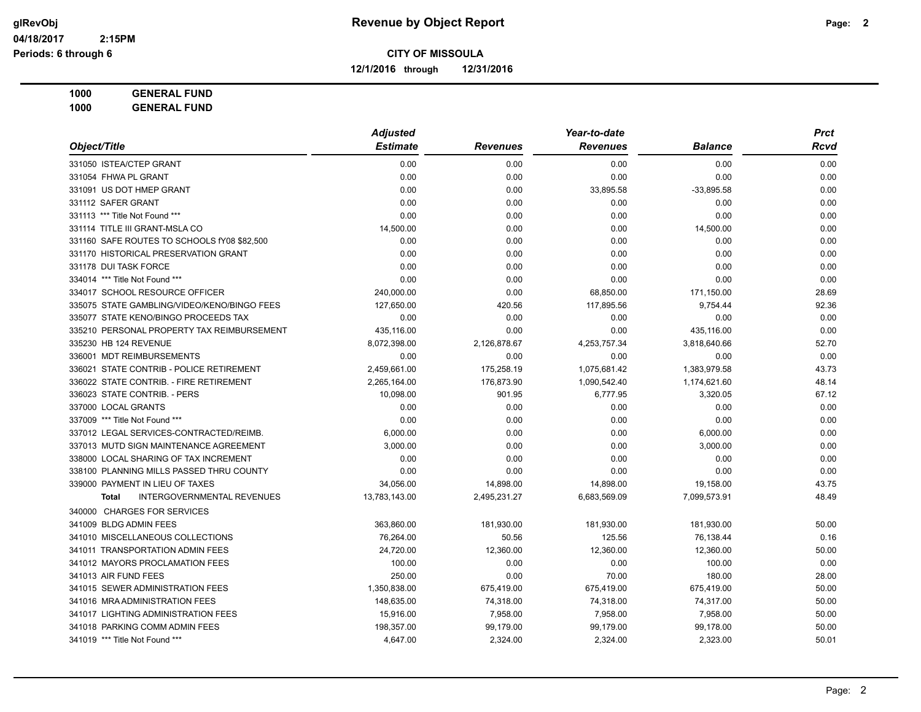**12/1/2016 through 12/31/2016**

|                                             | <b>Adjusted</b> |                 | Year-to-date    |                | <b>Prct</b> |
|---------------------------------------------|-----------------|-----------------|-----------------|----------------|-------------|
| Object/Title                                | <b>Estimate</b> | <b>Revenues</b> | <b>Revenues</b> | <b>Balance</b> | <b>Rcvd</b> |
| 331050 ISTEA/CTEP GRANT                     | 0.00            | 0.00            | 0.00            | 0.00           | 0.00        |
| 331054 FHWA PL GRANT                        | 0.00            | 0.00            | 0.00            | 0.00           | 0.00        |
| 331091 US DOT HMEP GRANT                    | 0.00            | 0.00            | 33,895.58       | $-33,895.58$   | 0.00        |
| 331112 SAFER GRANT                          | 0.00            | 0.00            | 0.00            | 0.00           | 0.00        |
| 331113 *** Title Not Found ***              | 0.00            | 0.00            | 0.00            | 0.00           | 0.00        |
| 331114 TITLE III GRANT-MSLA CO              | 14,500.00       | 0.00            | 0.00            | 14,500.00      | 0.00        |
| 331160 SAFE ROUTES TO SCHOOLS fY08 \$82,500 | 0.00            | 0.00            | 0.00            | 0.00           | 0.00        |
| 331170 HISTORICAL PRESERVATION GRANT        | 0.00            | 0.00            | 0.00            | 0.00           | 0.00        |
| 331178 DUI TASK FORCE                       | 0.00            | 0.00            | 0.00            | 0.00           | 0.00        |
| 334014 *** Title Not Found ***              | 0.00            | 0.00            | 0.00            | 0.00           | 0.00        |
| 334017 SCHOOL RESOURCE OFFICER              | 240,000.00      | 0.00            | 68,850.00       | 171,150.00     | 28.69       |
| 335075 STATE GAMBLING/VIDEO/KENO/BINGO FEES | 127,650.00      | 420.56          | 117,895.56      | 9,754.44       | 92.36       |
| 335077 STATE KENO/BINGO PROCEEDS TAX        | 0.00            | 0.00            | 0.00            | 0.00           | 0.00        |
| 335210 PERSONAL PROPERTY TAX REIMBURSEMENT  | 435,116.00      | 0.00            | 0.00            | 435,116.00     | 0.00        |
| 335230 HB 124 REVENUE                       | 8,072,398.00    | 2,126,878.67    | 4,253,757.34    | 3,818,640.66   | 52.70       |
| 336001 MDT REIMBURSEMENTS                   | 0.00            | 0.00            | 0.00            | 0.00           | 0.00        |
| 336021 STATE CONTRIB - POLICE RETIREMENT    | 2,459,661.00    | 175,258.19      | 1,075,681.42    | 1,383,979.58   | 43.73       |
| 336022 STATE CONTRIB. - FIRE RETIREMENT     | 2,265,164.00    | 176,873.90      | 1,090,542.40    | 1,174,621.60   | 48.14       |
| 336023 STATE CONTRIB. - PERS                | 10,098.00       | 901.95          | 6,777.95        | 3,320.05       | 67.12       |
| 337000 LOCAL GRANTS                         | 0.00            | 0.00            | 0.00            | 0.00           | 0.00        |
| 337009 *** Title Not Found ***              | 0.00            | 0.00            | 0.00            | 0.00           | 0.00        |
| 337012 LEGAL SERVICES-CONTRACTED/REIMB.     | 6,000.00        | 0.00            | 0.00            | 6,000.00       | 0.00        |
| 337013 MUTD SIGN MAINTENANCE AGREEMENT      | 3,000.00        | 0.00            | 0.00            | 3,000.00       | 0.00        |
| 338000 LOCAL SHARING OF TAX INCREMENT       | 0.00            | 0.00            | 0.00            | 0.00           | 0.00        |
| 338100 PLANNING MILLS PASSED THRU COUNTY    | 0.00            | 0.00            | 0.00            | 0.00           | 0.00        |
| 339000 PAYMENT IN LIEU OF TAXES             | 34,056.00       | 14,898.00       | 14,898.00       | 19,158.00      | 43.75       |
| <b>INTERGOVERNMENTAL REVENUES</b><br>Total  | 13,783,143.00   | 2,495,231.27    | 6,683,569.09    | 7,099,573.91   | 48.49       |
| 340000 CHARGES FOR SERVICES                 |                 |                 |                 |                |             |
| 341009 BLDG ADMIN FEES                      | 363,860.00      | 181,930.00      | 181,930.00      | 181,930.00     | 50.00       |
| 341010 MISCELLANEOUS COLLECTIONS            | 76,264.00       | 50.56           | 125.56          | 76,138.44      | 0.16        |
| 341011 TRANSPORTATION ADMIN FEES            | 24,720.00       | 12,360.00       | 12,360.00       | 12,360.00      | 50.00       |
| 341012 MAYORS PROCLAMATION FEES             | 100.00          | 0.00            | 0.00            | 100.00         | 0.00        |
| 341013 AIR FUND FEES                        | 250.00          | 0.00            | 70.00           | 180.00         | 28.00       |
| 341015 SEWER ADMINISTRATION FEES            | 1,350,838.00    | 675,419.00      | 675,419.00      | 675,419.00     | 50.00       |
| 341016 MRA ADMINISTRATION FEES              | 148,635.00      | 74,318.00       | 74,318.00       | 74,317.00      | 50.00       |
| 341017 LIGHTING ADMINISTRATION FEES         | 15,916.00       | 7,958.00        | 7,958.00        | 7,958.00       | 50.00       |
| 341018 PARKING COMM ADMIN FEES              | 198,357.00      | 99,179.00       | 99,179.00       | 99,178.00      | 50.00       |
| 341019 *** Title Not Found ***              | 4,647.00        | 2,324.00        | 2,324.00        | 2,323.00       | 50.01       |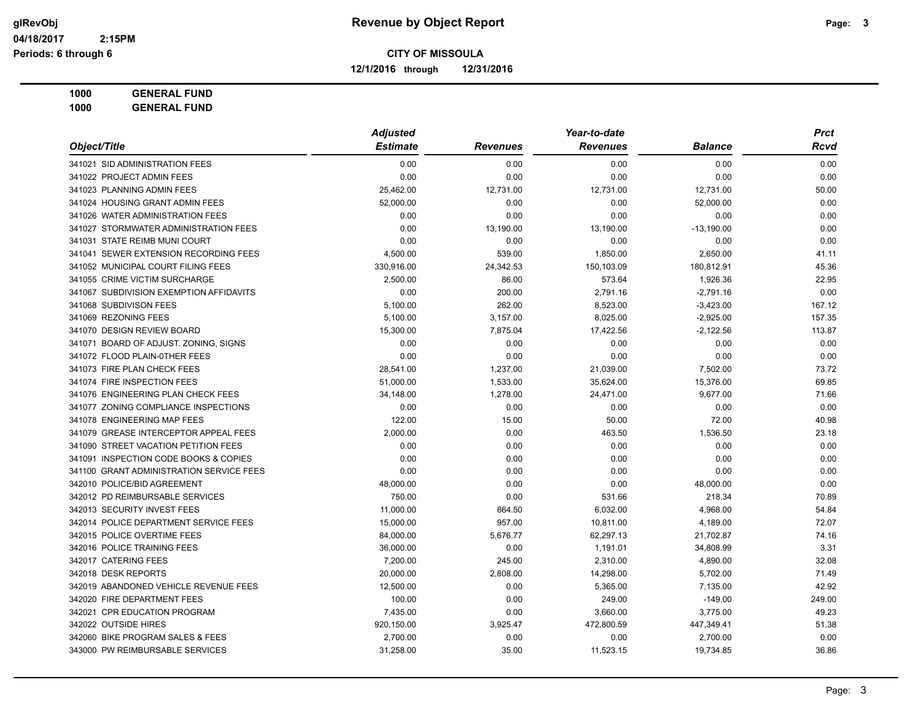|                                          | <b>Adjusted</b> |                 | Year-to-date    |                | <b>Prct</b> |
|------------------------------------------|-----------------|-----------------|-----------------|----------------|-------------|
| Object/Title                             | <b>Estimate</b> | <b>Revenues</b> | <b>Revenues</b> | <b>Balance</b> | Rcvd        |
| 341021 SID ADMINISTRATION FEES           | 0.00            | 0.00            | 0.00            | 0.00           | 0.00        |
| 341022 PROJECT ADMIN FEES                | 0.00            | 0.00            | 0.00            | 0.00           | 0.00        |
| 341023 PLANNING ADMIN FEES               | 25,462.00       | 12,731.00       | 12,731.00       | 12,731.00      | 50.00       |
| 341024 HOUSING GRANT ADMIN FEES          | 52,000.00       | 0.00            | 0.00            | 52,000.00      | 0.00        |
| 341026 WATER ADMINISTRATION FEES         | 0.00            | 0.00            | 0.00            | 0.00           | 0.00        |
| 341027 STORMWATER ADMINISTRATION FEES    | 0.00            | 13,190.00       | 13,190.00       | $-13,190.00$   | 0.00        |
| 341031 STATE REIMB MUNI COURT            | 0.00            | 0.00            | 0.00            | 0.00           | 0.00        |
| 341041 SEWER EXTENSION RECORDING FEES    | 4,500.00        | 539.00          | 1,850.00        | 2,650.00       | 41.11       |
| 341052 MUNICIPAL COURT FILING FEES       | 330,916.00      | 24,342.53       | 150,103.09      | 180,812.91     | 45.36       |
| 341055 CRIME VICTIM SURCHARGE            | 2,500.00        | 86.00           | 573.64          | 1,926.36       | 22.95       |
| 341067 SUBDIVISION EXEMPTION AFFIDAVITS  | 0.00            | 200.00          | 2,791.16        | $-2,791.16$    | 0.00        |
| 341068 SUBDIVISON FEES                   | 5,100.00        | 262.00          | 8,523.00        | $-3,423.00$    | 167.12      |
| 341069 REZONING FEES                     | 5,100.00        | 3,157.00        | 8,025.00        | $-2,925.00$    | 157.35      |
| 341070 DESIGN REVIEW BOARD               | 15,300.00       | 7,875.04        | 17,422.56       | $-2,122.56$    | 113.87      |
| 341071 BOARD OF ADJUST. ZONING, SIGNS    | 0.00            | 0.00            | 0.00            | 0.00           | 0.00        |
| 341072 FLOOD PLAIN-0THER FEES            | 0.00            | 0.00            | 0.00            | 0.00           | 0.00        |
| 341073 FIRE PLAN CHECK FEES              | 28,541.00       | 1,237.00        | 21,039.00       | 7,502.00       | 73.72       |
| 341074 FIRE INSPECTION FEES              | 51,000.00       | 1,533.00        | 35,624.00       | 15,376.00      | 69.85       |
| 341076 ENGINEERING PLAN CHECK FEES       | 34,148.00       | 1,278.00        | 24,471.00       | 9,677.00       | 71.66       |
| 341077 ZONING COMPLIANCE INSPECTIONS     | 0.00            | 0.00            | 0.00            | 0.00           | 0.00        |
| 341078 ENGINEERING MAP FEES              | 122.00          | 15.00           | 50.00           | 72.00          | 40.98       |
| 341079 GREASE INTERCEPTOR APPEAL FEES    | 2,000.00        | 0.00            | 463.50          | 1,536.50       | 23.18       |
| 341090 STREET VACATION PETITION FEES     | 0.00            | 0.00            | 0.00            | 0.00           | 0.00        |
| 341091 INSPECTION CODE BOOKS & COPIES    | 0.00            | 0.00            | 0.00            | 0.00           | 0.00        |
| 341100 GRANT ADMINISTRATION SERVICE FEES | 0.00            | 0.00            | 0.00            | 0.00           | 0.00        |
| 342010 POLICE/BID AGREEMENT              | 48,000.00       | 0.00            | 0.00            | 48,000.00      | 0.00        |
| 342012 PD REIMBURSABLE SERVICES          | 750.00          | 0.00            | 531.66          | 218.34         | 70.89       |
| 342013 SECURITY INVEST FEES              | 11,000.00       | 864.50          | 6,032.00        | 4,968.00       | 54.84       |
| 342014 POLICE DEPARTMENT SERVICE FEES    | 15,000.00       | 957.00          | 10,811.00       | 4,189.00       | 72.07       |
| 342015 POLICE OVERTIME FEES              | 84,000.00       | 5,676.77        | 62,297.13       | 21,702.87      | 74.16       |
| 342016 POLICE TRAINING FEES              | 36,000.00       | 0.00            | 1,191.01        | 34,808.99      | 3.31        |
| 342017 CATERING FEES                     | 7,200.00        | 245.00          | 2,310.00        | 4,890.00       | 32.08       |
| 342018 DESK REPORTS                      | 20,000.00       | 2,808.00        | 14,298.00       | 5,702.00       | 71.49       |
| 342019 ABANDONED VEHICLE REVENUE FEES    | 12,500.00       | 0.00            | 5,365.00        | 7,135.00       | 42.92       |
| 342020 FIRE DEPARTMENT FEES              | 100.00          | 0.00            | 249.00          | $-149.00$      | 249.00      |
| 342021 CPR EDUCATION PROGRAM             | 7,435.00        | 0.00            | 3,660.00        | 3,775.00       | 49.23       |
| 342022 OUTSIDE HIRES                     | 920,150.00      | 3,925.47        | 472,800.59      | 447,349.41     | 51.38       |
| 342060 BIKE PROGRAM SALES & FEES         | 2,700.00        | 0.00            | 0.00            | 2,700.00       | 0.00        |
| 343000 PW REIMBURSABLE SERVICES          | 31,258.00       | 35.00           | 11,523.15       | 19,734.85      | 36.86       |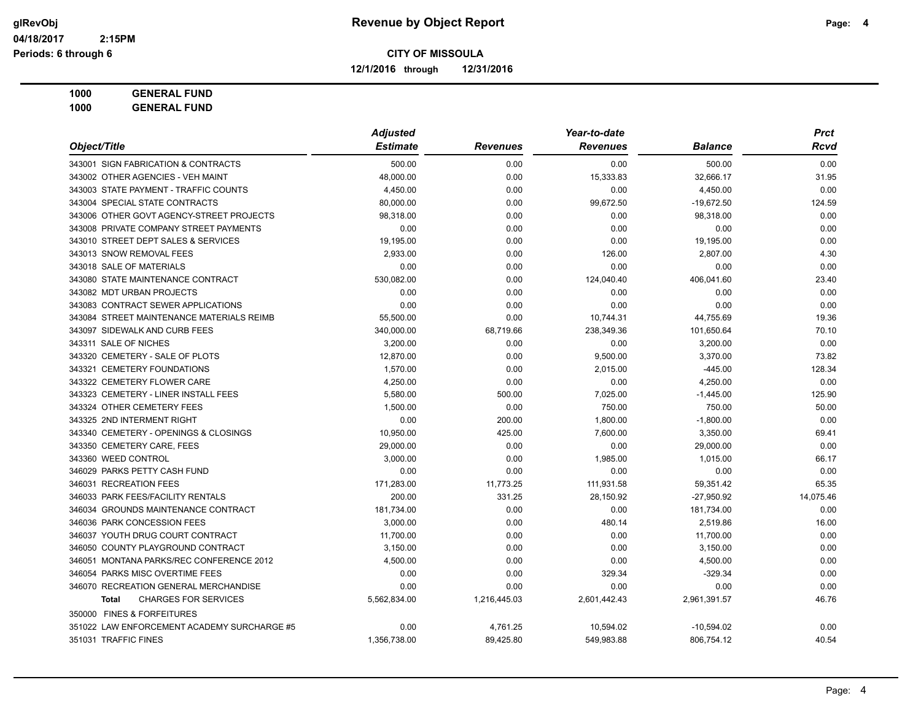| Object/Title                                | <b>Adjusted</b> |                 | Year-to-date    |                | <b>Prct</b> |
|---------------------------------------------|-----------------|-----------------|-----------------|----------------|-------------|
|                                             | <b>Estimate</b> | <b>Revenues</b> | <b>Revenues</b> | <b>Balance</b> | <b>Rcvd</b> |
| 343001 SIGN FABRICATION & CONTRACTS         | 500.00          | 0.00            | 0.00            | 500.00         | 0.00        |
| 343002 OTHER AGENCIES - VEH MAINT           | 48,000.00       | 0.00            | 15,333.83       | 32,666.17      | 31.95       |
| 343003 STATE PAYMENT - TRAFFIC COUNTS       | 4,450.00        | 0.00            | 0.00            | 4,450.00       | 0.00        |
| 343004 SPECIAL STATE CONTRACTS              | 80,000.00       | 0.00            | 99,672.50       | $-19,672.50$   | 124.59      |
| 343006 OTHER GOVT AGENCY-STREET PROJECTS    | 98,318.00       | 0.00            | 0.00            | 98,318.00      | 0.00        |
| 343008 PRIVATE COMPANY STREET PAYMENTS      | 0.00            | 0.00            | 0.00            | 0.00           | 0.00        |
| 343010 STREET DEPT SALES & SERVICES         | 19,195.00       | 0.00            | 0.00            | 19,195.00      | 0.00        |
| 343013 SNOW REMOVAL FEES                    | 2,933.00        | 0.00            | 126.00          | 2,807.00       | 4.30        |
| 343018 SALE OF MATERIALS                    | 0.00            | 0.00            | 0.00            | 0.00           | 0.00        |
| 343080 STATE MAINTENANCE CONTRACT           | 530,082.00      | 0.00            | 124,040.40      | 406,041.60     | 23.40       |
| 343082 MDT URBAN PROJECTS                   | 0.00            | 0.00            | 0.00            | 0.00           | 0.00        |
| 343083 CONTRACT SEWER APPLICATIONS          | 0.00            | 0.00            | 0.00            | 0.00           | 0.00        |
| 343084 STREET MAINTENANCE MATERIALS REIMB   | 55,500.00       | 0.00            | 10,744.31       | 44,755.69      | 19.36       |
| 343097 SIDEWALK AND CURB FEES               | 340,000.00      | 68,719.66       | 238,349.36      | 101,650.64     | 70.10       |
| 343311 SALE OF NICHES                       | 3,200.00        | 0.00            | 0.00            | 3,200.00       | 0.00        |
| 343320 CEMETERY - SALE OF PLOTS             | 12,870.00       | 0.00            | 9,500.00        | 3,370.00       | 73.82       |
| 343321 CEMETERY FOUNDATIONS                 | 1,570.00        | 0.00            | 2,015.00        | $-445.00$      | 128.34      |
| 343322 CEMETERY FLOWER CARE                 | 4,250.00        | 0.00            | 0.00            | 4,250.00       | 0.00        |
| 343323 CEMETERY - LINER INSTALL FEES        | 5,580.00        | 500.00          | 7,025.00        | $-1,445.00$    | 125.90      |
| 343324 OTHER CEMETERY FEES                  | 1,500.00        | 0.00            | 750.00          | 750.00         | 50.00       |
| 343325 2ND INTERMENT RIGHT                  | 0.00            | 200.00          | 1,800.00        | $-1,800.00$    | 0.00        |
| 343340 CEMETERY - OPENINGS & CLOSINGS       | 10,950.00       | 425.00          | 7,600.00        | 3,350.00       | 69.41       |
| 343350 CEMETERY CARE, FEES                  | 29,000.00       | 0.00            | 0.00            | 29,000.00      | 0.00        |
| 343360 WEED CONTROL                         | 3,000.00        | 0.00            | 1,985.00        | 1,015.00       | 66.17       |
| 346029 PARKS PETTY CASH FUND                | 0.00            | 0.00            | 0.00            | 0.00           | 0.00        |
| 346031 RECREATION FEES                      | 171,283.00      | 11,773.25       | 111,931.58      | 59,351.42      | 65.35       |
| 346033 PARK FEES/FACILITY RENTALS           | 200.00          | 331.25          | 28,150.92       | $-27,950.92$   | 14,075.46   |
| 346034 GROUNDS MAINTENANCE CONTRACT         | 181,734.00      | 0.00            | 0.00            | 181,734.00     | 0.00        |
| 346036 PARK CONCESSION FEES                 | 3,000.00        | 0.00            | 480.14          | 2,519.86       | 16.00       |
| 346037 YOUTH DRUG COURT CONTRACT            | 11,700.00       | 0.00            | 0.00            | 11,700.00      | 0.00        |
| 346050 COUNTY PLAYGROUND CONTRACT           | 3,150.00        | 0.00            | 0.00            | 3,150.00       | 0.00        |
| 346051 MONTANA PARKS/REC CONFERENCE 2012    | 4,500.00        | 0.00            | 0.00            | 4,500.00       | 0.00        |
| 346054 PARKS MISC OVERTIME FEES             | 0.00            | 0.00            | 329.34          | $-329.34$      | 0.00        |
| 346070 RECREATION GENERAL MERCHANDISE       | 0.00            | 0.00            | 0.00            | 0.00           | 0.00        |
| <b>CHARGES FOR SERVICES</b><br>Total        | 5,562,834.00    | 1,216,445.03    | 2,601,442.43    | 2,961,391.57   | 46.76       |
| 350000 FINES & FORFEITURES                  |                 |                 |                 |                |             |
| 351022 LAW ENFORCEMENT ACADEMY SURCHARGE #5 | 0.00            | 4,761.25        | 10,594.02       | $-10,594.02$   | 0.00        |
| 351031 TRAFFIC FINES                        | 1,356,738.00    | 89,425.80       | 549,983.88      | 806,754.12     | 40.54       |
|                                             |                 |                 |                 |                |             |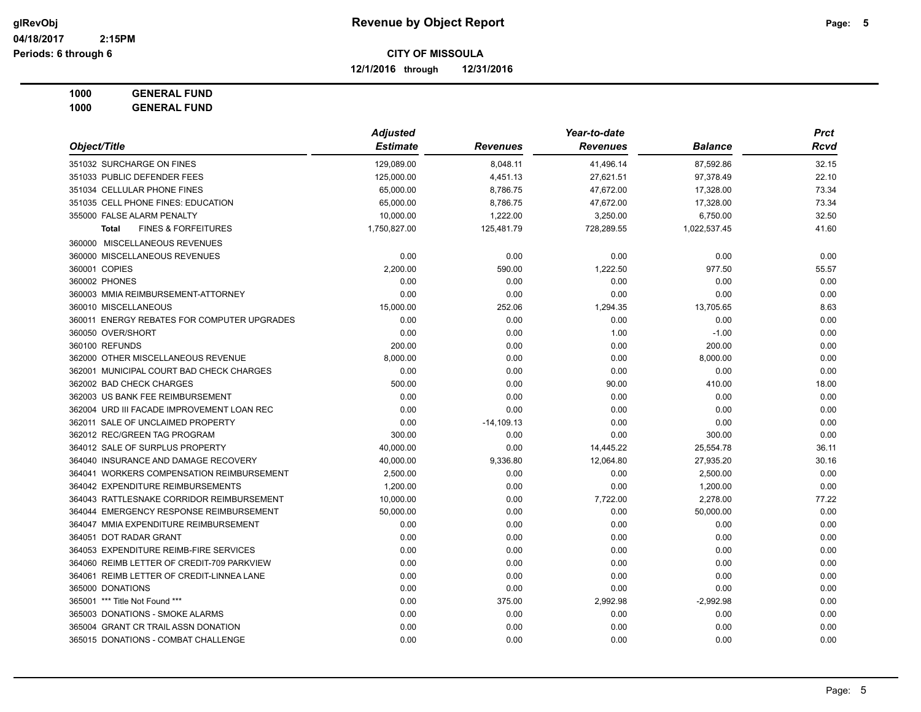|                                                | <b>Adjusted</b> |                 | Year-to-date    |                | <b>Prct</b> |
|------------------------------------------------|-----------------|-----------------|-----------------|----------------|-------------|
| Object/Title                                   | <b>Estimate</b> | <b>Revenues</b> | <b>Revenues</b> | <b>Balance</b> | Rcvd        |
| 351032 SURCHARGE ON FINES                      | 129.089.00      | 8,048.11        | 41,496.14       | 87,592.86      | 32.15       |
| 351033 PUBLIC DEFENDER FEES                    | 125,000.00      | 4,451.13        | 27,621.51       | 97,378.49      | 22.10       |
| 351034 CELLULAR PHONE FINES                    | 65,000.00       | 8,786.75        | 47,672.00       | 17,328.00      | 73.34       |
| 351035 CELL PHONE FINES: EDUCATION             | 65,000.00       | 8,786.75        | 47,672.00       | 17,328.00      | 73.34       |
| 355000 FALSE ALARM PENALTY                     | 10,000.00       | 1,222.00        | 3,250.00        | 6,750.00       | 32.50       |
| <b>FINES &amp; FORFEITURES</b><br><b>Total</b> | 1,750,827.00    | 125,481.79      | 728,289.55      | 1,022,537.45   | 41.60       |
| 360000 MISCELLANEOUS REVENUES                  |                 |                 |                 |                |             |
| 360000 MISCELLANEOUS REVENUES                  | 0.00            | 0.00            | 0.00            | 0.00           | 0.00        |
| 360001 COPIES                                  | 2,200.00        | 590.00          | 1,222.50        | 977.50         | 55.57       |
| 360002 PHONES                                  | 0.00            | 0.00            | 0.00            | 0.00           | 0.00        |
| 360003 MMIA REIMBURSEMENT-ATTORNEY             | 0.00            | 0.00            | 0.00            | 0.00           | 0.00        |
| 360010 MISCELLANEOUS                           | 15,000.00       | 252.06          | 1,294.35        | 13,705.65      | 8.63        |
| 360011 ENERGY REBATES FOR COMPUTER UPGRADES    | 0.00            | 0.00            | 0.00            | 0.00           | 0.00        |
| 360050 OVER/SHORT                              | 0.00            | 0.00            | 1.00            | $-1.00$        | 0.00        |
| 360100 REFUNDS                                 | 200.00          | 0.00            | 0.00            | 200.00         | 0.00        |
| 362000 OTHER MISCELLANEOUS REVENUE             | 8,000.00        | 0.00            | 0.00            | 8,000.00       | 0.00        |
| 362001 MUNICIPAL COURT BAD CHECK CHARGES       | 0.00            | 0.00            | 0.00            | 0.00           | 0.00        |
| 362002 BAD CHECK CHARGES                       | 500.00          | 0.00            | 90.00           | 410.00         | 18.00       |
| 362003 US BANK FEE REIMBURSEMENT               | 0.00            | 0.00            | 0.00            | 0.00           | 0.00        |
| 362004 URD III FACADE IMPROVEMENT LOAN REC     | 0.00            | 0.00            | 0.00            | 0.00           | 0.00        |
| 362011 SALE OF UNCLAIMED PROPERTY              | 0.00            | $-14,109.13$    | 0.00            | 0.00           | 0.00        |
| 362012 REC/GREEN TAG PROGRAM                   | 300.00          | 0.00            | 0.00            | 300.00         | 0.00        |
| 364012 SALE OF SURPLUS PROPERTY                | 40,000.00       | 0.00            | 14,445.22       | 25,554.78      | 36.11       |
| 364040 INSURANCE AND DAMAGE RECOVERY           | 40,000.00       | 9,336.80        | 12,064.80       | 27,935.20      | 30.16       |
| 364041 WORKERS COMPENSATION REIMBURSEMENT      | 2,500.00        | 0.00            | 0.00            | 2,500.00       | 0.00        |
| 364042 EXPENDITURE REIMBURSEMENTS              | 1,200.00        | 0.00            | 0.00            | 1,200.00       | 0.00        |
| 364043 RATTLESNAKE CORRIDOR REIMBURSEMENT      | 10,000.00       | 0.00            | 7,722.00        | 2,278.00       | 77.22       |
| 364044 EMERGENCY RESPONSE REIMBURSEMENT        | 50,000.00       | 0.00            | 0.00            | 50,000.00      | 0.00        |
| 364047 MMIA EXPENDITURE REIMBURSEMENT          | 0.00            | 0.00            | 0.00            | 0.00           | 0.00        |
| 364051 DOT RADAR GRANT                         | 0.00            | 0.00            | 0.00            | 0.00           | 0.00        |
| 364053 EXPENDITURE REIMB-FIRE SERVICES         | 0.00            | 0.00            | 0.00            | 0.00           | 0.00        |
| 364060 REIMB LETTER OF CREDIT-709 PARKVIEW     | 0.00            | 0.00            | 0.00            | 0.00           | 0.00        |
| 364061 REIMB LETTER OF CREDIT-LINNEA LANE      | 0.00            | 0.00            | 0.00            | 0.00           | 0.00        |
| 365000 DONATIONS                               | 0.00            | 0.00            | 0.00            | 0.00           | 0.00        |
| 365001 *** Title Not Found ***                 | 0.00            | 375.00          | 2,992.98        | $-2,992.98$    | 0.00        |
| 365003 DONATIONS - SMOKE ALARMS                | 0.00            | 0.00            | 0.00            | 0.00           | 0.00        |
| 365004 GRANT CR TRAIL ASSN DONATION            | 0.00            | 0.00            | 0.00            | 0.00           | 0.00        |
| 365015 DONATIONS - COMBAT CHALLENGE            | 0.00            | 0.00            | 0.00            | 0.00           | 0.00        |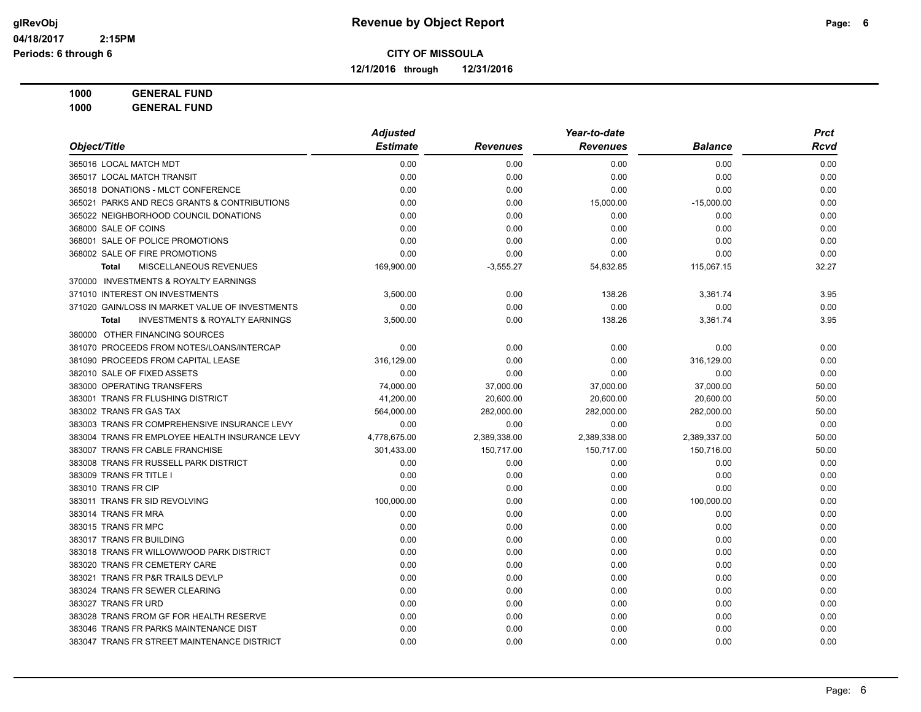**12/1/2016 through 12/31/2016**

|                                                    | <b>Adjusted</b> |                 | Year-to-date    |                | <b>Prct</b> |
|----------------------------------------------------|-----------------|-----------------|-----------------|----------------|-------------|
| Object/Title                                       | <b>Estimate</b> | <b>Revenues</b> | <b>Revenues</b> | <b>Balance</b> | Rcvd        |
| 365016 LOCAL MATCH MDT                             | 0.00            | 0.00            | 0.00            | 0.00           | 0.00        |
| 365017 LOCAL MATCH TRANSIT                         | 0.00            | 0.00            | 0.00            | 0.00           | 0.00        |
| 365018 DONATIONS - MLCT CONFERENCE                 | 0.00            | 0.00            | 0.00            | 0.00           | 0.00        |
| 365021 PARKS AND RECS GRANTS & CONTRIBUTIONS       | 0.00            | 0.00            | 15,000.00       | $-15,000.00$   | 0.00        |
| 365022 NEIGHBORHOOD COUNCIL DONATIONS              | 0.00            | 0.00            | 0.00            | 0.00           | 0.00        |
| 368000 SALE OF COINS                               | 0.00            | 0.00            | 0.00            | 0.00           | 0.00        |
| 368001 SALE OF POLICE PROMOTIONS                   | 0.00            | 0.00            | 0.00            | 0.00           | 0.00        |
| 368002 SALE OF FIRE PROMOTIONS                     | 0.00            | 0.00            | 0.00            | 0.00           | 0.00        |
| MISCELLANEOUS REVENUES<br><b>Total</b>             | 169,900.00      | $-3,555.27$     | 54,832.85       | 115,067.15     | 32.27       |
| 370000 INVESTMENTS & ROYALTY EARNINGS              |                 |                 |                 |                |             |
| 371010 INTEREST ON INVESTMENTS                     | 3,500.00        | 0.00            | 138.26          | 3,361.74       | 3.95        |
| 371020 GAIN/LOSS IN MARKET VALUE OF INVESTMENTS    | 0.00            | 0.00            | 0.00            | 0.00           | 0.00        |
| <b>INVESTMENTS &amp; ROYALTY EARNINGS</b><br>Total | 3,500.00        | 0.00            | 138.26          | 3,361.74       | 3.95        |
| 380000 OTHER FINANCING SOURCES                     |                 |                 |                 |                |             |
| 381070 PROCEEDS FROM NOTES/LOANS/INTERCAP          | 0.00            | 0.00            | 0.00            | 0.00           | 0.00        |
| 381090 PROCEEDS FROM CAPITAL LEASE                 | 316.129.00      | 0.00            | 0.00            | 316.129.00     | 0.00        |
| 382010 SALE OF FIXED ASSETS                        | 0.00            | 0.00            | 0.00            | 0.00           | 0.00        |
| 383000 OPERATING TRANSFERS                         | 74,000.00       | 37,000.00       | 37,000.00       | 37,000.00      | 50.00       |
| 383001 TRANS FR FLUSHING DISTRICT                  | 41,200.00       | 20,600.00       | 20,600.00       | 20,600.00      | 50.00       |
| 383002 TRANS FR GAS TAX                            | 564,000.00      | 282,000.00      | 282,000.00      | 282,000.00     | 50.00       |
| 383003 TRANS FR COMPREHENSIVE INSURANCE LEVY       | 0.00            | 0.00            | 0.00            | 0.00           | 0.00        |
| 383004 TRANS FR EMPLOYEE HEALTH INSURANCE LEVY     | 4,778,675.00    | 2,389,338.00    | 2,389,338.00    | 2,389,337.00   | 50.00       |
| 383007 TRANS FR CABLE FRANCHISE                    | 301,433.00      | 150,717.00      | 150,717.00      | 150,716.00     | 50.00       |
| 383008 TRANS FR RUSSELL PARK DISTRICT              | 0.00            | 0.00            | 0.00            | 0.00           | 0.00        |
| 383009 TRANS FR TITLE I                            | 0.00            | 0.00            | 0.00            | 0.00           | 0.00        |
| 383010 TRANS FR CIP                                | 0.00            | 0.00            | 0.00            | 0.00           | 0.00        |
| 383011 TRANS FR SID REVOLVING                      | 100,000.00      | 0.00            | 0.00            | 100,000.00     | 0.00        |
| 383014 TRANS FR MRA                                | 0.00            | 0.00            | 0.00            | 0.00           | 0.00        |
| 383015 TRANS FR MPC                                | 0.00            | 0.00            | 0.00            | 0.00           | 0.00        |
| 383017 TRANS FR BUILDING                           | 0.00            | 0.00            | 0.00            | 0.00           | 0.00        |
| 383018 TRANS FR WILLOWWOOD PARK DISTRICT           | 0.00            | 0.00            | 0.00            | 0.00           | 0.00        |
| 383020 TRANS FR CEMETERY CARE                      | 0.00            | 0.00            | 0.00            | 0.00           | 0.00        |
| 383021 TRANS FR P&R TRAILS DEVLP                   | 0.00            | 0.00            | 0.00            | 0.00           | 0.00        |
| 383024 TRANS FR SEWER CLEARING                     | 0.00            | 0.00            | 0.00            | 0.00           | 0.00        |
| 383027 TRANS FR URD                                | 0.00            | 0.00            | 0.00            | 0.00           | 0.00        |
| 383028 TRANS FROM GF FOR HEALTH RESERVE            | 0.00            | 0.00            | 0.00            | 0.00           | 0.00        |
| 383046 TRANS FR PARKS MAINTENANCE DIST             | 0.00            | 0.00            | 0.00            | 0.00           | 0.00        |
| 383047 TRANS FR STREET MAINTENANCE DISTRICT        | 0.00            | 0.00            | 0.00            | 0.00           | 0.00        |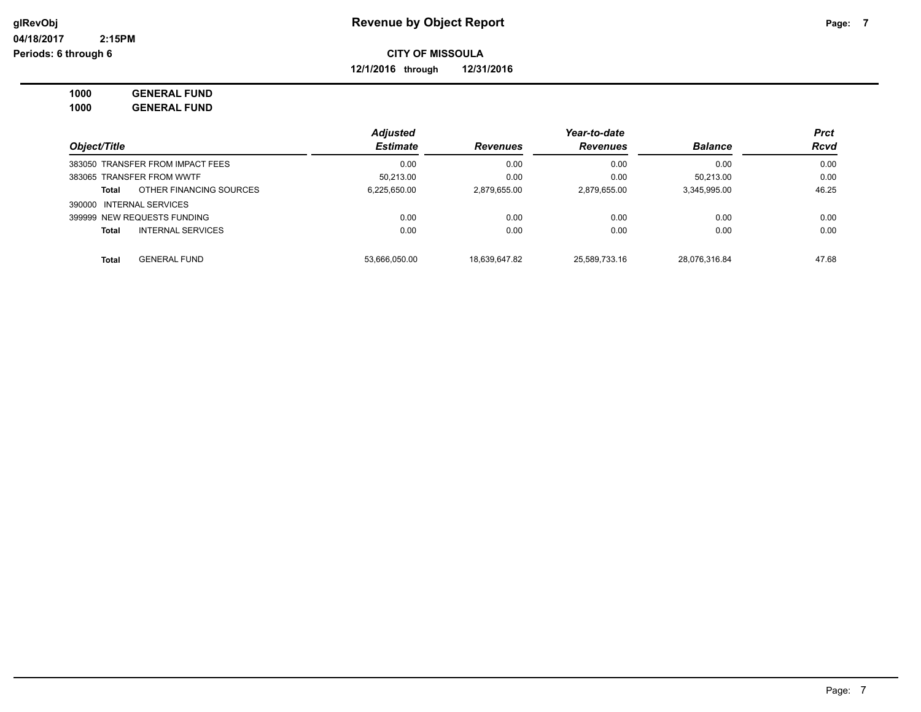|                                          | <b>Adjusted</b> |                 | Year-to-date    |                | <b>Prct</b> |
|------------------------------------------|-----------------|-----------------|-----------------|----------------|-------------|
| Object/Title                             | <b>Estimate</b> | <b>Revenues</b> | <b>Revenues</b> | <b>Balance</b> | <b>Rcvd</b> |
| 383050 TRANSFER FROM IMPACT FEES         | 0.00            | 0.00            | 0.00            | 0.00           | 0.00        |
| 383065 TRANSFER FROM WWTF                | 50.213.00       | 0.00            | 0.00            | 50.213.00      | 0.00        |
| OTHER FINANCING SOURCES<br>Total         | 6,225,650.00    | 2,879,655.00    | 2,879,655.00    | 3,345,995.00   | 46.25       |
| <b>INTERNAL SERVICES</b><br>390000       |                 |                 |                 |                |             |
| 399999 NEW REQUESTS FUNDING              | 0.00            | 0.00            | 0.00            | 0.00           | 0.00        |
| <b>INTERNAL SERVICES</b><br><b>Total</b> | 0.00            | 0.00            | 0.00            | 0.00           | 0.00        |
| <b>Total</b><br><b>GENERAL FUND</b>      | 53.666.050.00   | 18.639.647.82   | 25.589.733.16   | 28,076,316.84  | 47.68       |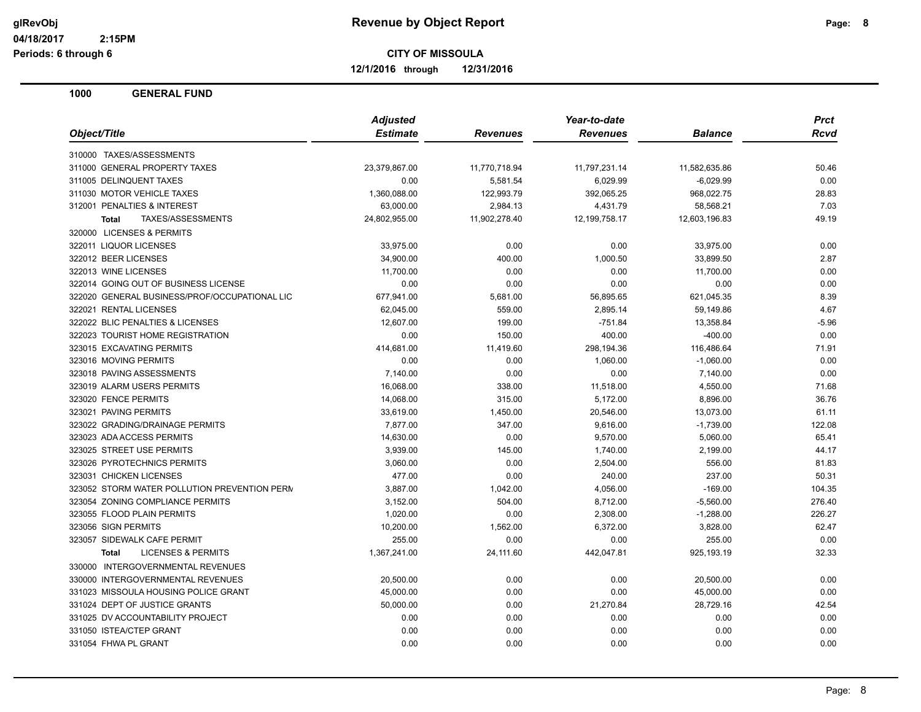**12/1/2016 through 12/31/2016**

|                                               | <b>Adjusted</b> |               | Year-to-date     | <b>Prct</b>    |         |
|-----------------------------------------------|-----------------|---------------|------------------|----------------|---------|
| Object/Title                                  | <b>Estimate</b> | Revenues      | <b>Revenues</b>  | <b>Balance</b> | Rcvd    |
| 310000 TAXES/ASSESSMENTS                      |                 |               |                  |                |         |
| 311000 GENERAL PROPERTY TAXES                 | 23,379,867.00   | 11,770,718.94 | 11,797,231.14    | 11,582,635.86  | 50.46   |
| 311005 DELINQUENT TAXES                       | 0.00            | 5,581.54      | 6,029.99         | $-6,029.99$    | 0.00    |
| 311030 MOTOR VEHICLE TAXES                    | 1,360,088.00    | 122,993.79    | 392,065.25       | 968,022.75     | 28.83   |
| 312001 PENALTIES & INTEREST                   | 63,000.00       | 2,984.13      | 4,431.79         | 58,568.21      | 7.03    |
| TAXES/ASSESSMENTS<br><b>Total</b>             | 24,802,955.00   | 11,902,278.40 | 12, 199, 758. 17 | 12,603,196.83  | 49.19   |
| 320000 LICENSES & PERMITS                     |                 |               |                  |                |         |
| 322011 LIQUOR LICENSES                        | 33,975.00       | 0.00          | 0.00             | 33,975.00      | 0.00    |
| 322012 BEER LICENSES                          | 34,900.00       | 400.00        | 1,000.50         | 33,899.50      | 2.87    |
| 322013 WINE LICENSES                          | 11,700.00       | 0.00          | 0.00             | 11,700.00      | 0.00    |
| 322014 GOING OUT OF BUSINESS LICENSE          | 0.00            | 0.00          | 0.00             | 0.00           | 0.00    |
| 322020 GENERAL BUSINESS/PROF/OCCUPATIONAL LIC | 677,941.00      | 5,681.00      | 56,895.65        | 621,045.35     | 8.39    |
| 322021 RENTAL LICENSES                        | 62,045.00       | 559.00        | 2,895.14         | 59,149.86      | 4.67    |
| 322022 BLIC PENALTIES & LICENSES              | 12,607.00       | 199.00        | $-751.84$        | 13,358.84      | $-5.96$ |
| 322023 TOURIST HOME REGISTRATION              | 0.00            | 150.00        | 400.00           | $-400.00$      | 0.00    |
| 323015 EXCAVATING PERMITS                     | 414,681.00      | 11,419.60     | 298,194.36       | 116,486.64     | 71.91   |
| 323016 MOVING PERMITS                         | 0.00            | 0.00          | 1,060.00         | $-1,060.00$    | 0.00    |
| 323018 PAVING ASSESSMENTS                     | 7,140.00        | 0.00          | 0.00             | 7,140.00       | 0.00    |
| 323019 ALARM USERS PERMITS                    | 16,068.00       | 338.00        | 11,518.00        | 4,550.00       | 71.68   |
| 323020 FENCE PERMITS                          | 14,068.00       | 315.00        | 5,172.00         | 8,896.00       | 36.76   |
| 323021 PAVING PERMITS                         | 33,619.00       | 1,450.00      | 20,546.00        | 13,073.00      | 61.11   |
| 323022 GRADING/DRAINAGE PERMITS               | 7,877.00        | 347.00        | 9,616.00         | $-1,739.00$    | 122.08  |
| 323023 ADA ACCESS PERMITS                     | 14,630.00       | 0.00          | 9,570.00         | 5,060.00       | 65.41   |
| 323025 STREET USE PERMITS                     | 3,939.00        | 145.00        | 1,740.00         | 2,199.00       | 44.17   |
| 323026 PYROTECHNICS PERMITS                   | 3,060.00        | 0.00          | 2,504.00         | 556.00         | 81.83   |
| 323031 CHICKEN LICENSES                       | 477.00          | 0.00          | 240.00           | 237.00         | 50.31   |
| 323052 STORM WATER POLLUTION PREVENTION PERM  | 3,887.00        | 1,042.00      | 4,056.00         | $-169.00$      | 104.35  |
| 323054 ZONING COMPLIANCE PERMITS              | 3,152.00        | 504.00        | 8,712.00         | $-5,560.00$    | 276.40  |
| 323055 FLOOD PLAIN PERMITS                    | 1,020.00        | 0.00          | 2,308.00         | $-1,288.00$    | 226.27  |
| 323056 SIGN PERMITS                           | 10,200.00       | 1,562.00      | 6,372.00         | 3,828.00       | 62.47   |
| 323057 SIDEWALK CAFE PERMIT                   | 255.00          | 0.00          | 0.00             | 255.00         | 0.00    |
| <b>LICENSES &amp; PERMITS</b><br><b>Total</b> | 1,367,241.00    | 24,111.60     | 442,047.81       | 925,193.19     | 32.33   |
| 330000 INTERGOVERNMENTAL REVENUES             |                 |               |                  |                |         |
| 330000 INTERGOVERNMENTAL REVENUES             | 20,500.00       | 0.00          | 0.00             | 20,500.00      | 0.00    |
| 331023 MISSOULA HOUSING POLICE GRANT          | 45,000.00       | 0.00          | 0.00             | 45,000.00      | 0.00    |
| 331024 DEPT OF JUSTICE GRANTS                 | 50,000.00       | 0.00          | 21,270.84        | 28,729.16      | 42.54   |
| 331025 DV ACCOUNTABILITY PROJECT              | 0.00            | 0.00          | 0.00             | 0.00           | 0.00    |
| 331050 ISTEA/CTEP GRANT                       | 0.00            | 0.00          | 0.00             | 0.00           | 0.00    |
| 331054 FHWA PL GRANT                          | 0.00            | 0.00          | 0.00             | 0.00           | 0.00    |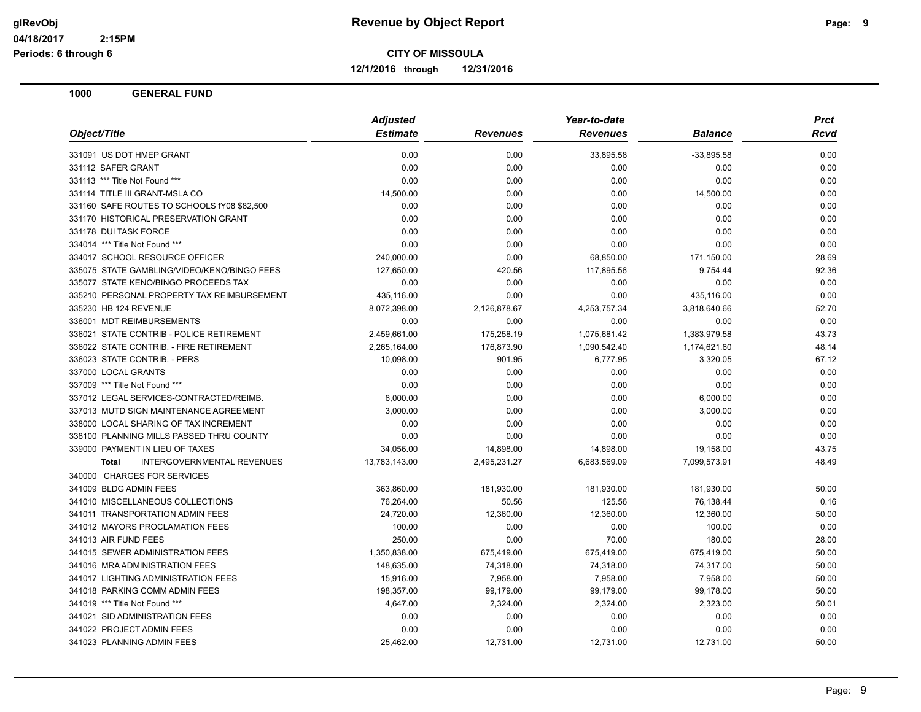**12/1/2016 through 12/31/2016**

| Object/Title                                      | <b>Adjusted</b> |                 | Year-to-date    |                | <b>Prct</b> |
|---------------------------------------------------|-----------------|-----------------|-----------------|----------------|-------------|
|                                                   | <b>Estimate</b> | <b>Revenues</b> | <b>Revenues</b> | <b>Balance</b> | Rcvd        |
| 331091 US DOT HMEP GRANT                          | 0.00            | 0.00            | 33,895.58       | $-33,895.58$   | 0.00        |
| 331112 SAFER GRANT                                | 0.00            | 0.00            | 0.00            | 0.00           | 0.00        |
| 331113 *** Title Not Found ***                    | 0.00            | 0.00            | 0.00            | 0.00           | 0.00        |
| 331114 TITLE III GRANT-MSLA CO                    | 14,500.00       | 0.00            | 0.00            | 14,500.00      | 0.00        |
| 331160 SAFE ROUTES TO SCHOOLS fY08 \$82,500       | 0.00            | 0.00            | 0.00            | 0.00           | 0.00        |
| 331170 HISTORICAL PRESERVATION GRANT              | 0.00            | 0.00            | 0.00            | 0.00           | 0.00        |
| 331178 DUI TASK FORCE                             | 0.00            | 0.00            | 0.00            | 0.00           | 0.00        |
| 334014 *** Title Not Found ***                    | 0.00            | 0.00            | 0.00            | 0.00           | 0.00        |
| 334017 SCHOOL RESOURCE OFFICER                    | 240,000.00      | 0.00            | 68,850.00       | 171,150.00     | 28.69       |
| 335075 STATE GAMBLING/VIDEO/KENO/BINGO FEES       | 127,650.00      | 420.56          | 117,895.56      | 9,754.44       | 92.36       |
| 335077 STATE KENO/BINGO PROCEEDS TAX              | 0.00            | 0.00            | 0.00            | 0.00           | 0.00        |
| 335210 PERSONAL PROPERTY TAX REIMBURSEMENT        | 435,116.00      | 0.00            | 0.00            | 435,116.00     | 0.00        |
| 335230 HB 124 REVENUE                             | 8,072,398.00    | 2,126,878.67    | 4,253,757.34    | 3,818,640.66   | 52.70       |
| 336001 MDT REIMBURSEMENTS                         | 0.00            | 0.00            | 0.00            | 0.00           | 0.00        |
| 336021 STATE CONTRIB - POLICE RETIREMENT          | 2,459,661.00    | 175,258.19      | 1,075,681.42    | 1,383,979.58   | 43.73       |
| 336022 STATE CONTRIB. - FIRE RETIREMENT           | 2,265,164.00    | 176,873.90      | 1,090,542.40    | 1,174,621.60   | 48.14       |
| 336023 STATE CONTRIB. - PERS                      | 10,098.00       | 901.95          | 6,777.95        | 3,320.05       | 67.12       |
| 337000 LOCAL GRANTS                               | 0.00            | 0.00            | 0.00            | 0.00           | 0.00        |
| 337009 *** Title Not Found ***                    | 0.00            | 0.00            | 0.00            | 0.00           | 0.00        |
| 337012 LEGAL SERVICES-CONTRACTED/REIMB.           | 6,000.00        | 0.00            | 0.00            | 6,000.00       | 0.00        |
| 337013 MUTD SIGN MAINTENANCE AGREEMENT            | 3,000.00        | 0.00            | 0.00            | 3,000.00       | 0.00        |
| 338000 LOCAL SHARING OF TAX INCREMENT             | 0.00            | 0.00            | 0.00            | 0.00           | 0.00        |
| 338100 PLANNING MILLS PASSED THRU COUNTY          | 0.00            | 0.00            | 0.00            | 0.00           | 0.00        |
| 339000 PAYMENT IN LIEU OF TAXES                   | 34,056.00       | 14,898.00       | 14,898.00       | 19,158.00      | 43.75       |
| <b>INTERGOVERNMENTAL REVENUES</b><br><b>Total</b> | 13,783,143.00   | 2,495,231.27    | 6,683,569.09    | 7,099,573.91   | 48.49       |
| 340000 CHARGES FOR SERVICES                       |                 |                 |                 |                |             |
| 341009 BLDG ADMIN FEES                            | 363,860.00      | 181,930.00      | 181,930.00      | 181,930.00     | 50.00       |
| 341010 MISCELLANEOUS COLLECTIONS                  | 76,264.00       | 50.56           | 125.56          | 76,138.44      | 0.16        |
| 341011 TRANSPORTATION ADMIN FEES                  | 24,720.00       | 12,360.00       | 12,360.00       | 12,360.00      | 50.00       |
| 341012 MAYORS PROCLAMATION FEES                   | 100.00          | 0.00            | 0.00            | 100.00         | 0.00        |
| 341013 AIR FUND FEES                              | 250.00          | 0.00            | 70.00           | 180.00         | 28.00       |
| 341015 SEWER ADMINISTRATION FEES                  | 1,350,838.00    | 675,419.00      | 675,419.00      | 675,419.00     | 50.00       |
| 341016 MRA ADMINISTRATION FEES                    | 148,635.00      | 74,318.00       | 74,318.00       | 74,317.00      | 50.00       |
| 341017 LIGHTING ADMINISTRATION FEES               | 15,916.00       | 7,958.00        | 7,958.00        | 7,958.00       | 50.00       |
| 341018 PARKING COMM ADMIN FEES                    | 198,357.00      | 99,179.00       | 99,179.00       | 99,178.00      | 50.00       |
| 341019 *** Title Not Found ***                    | 4,647.00        | 2,324.00        | 2,324.00        | 2,323.00       | 50.01       |
| 341021 SID ADMINISTRATION FEES                    | 0.00            | 0.00            | 0.00            | 0.00           | 0.00        |
| 341022 PROJECT ADMIN FEES                         | 0.00            | 0.00            | 0.00            | 0.00           | 0.00        |
| 341023 PLANNING ADMIN FEES                        | 25.462.00       | 12,731.00       | 12,731.00       | 12,731.00      | 50.00       |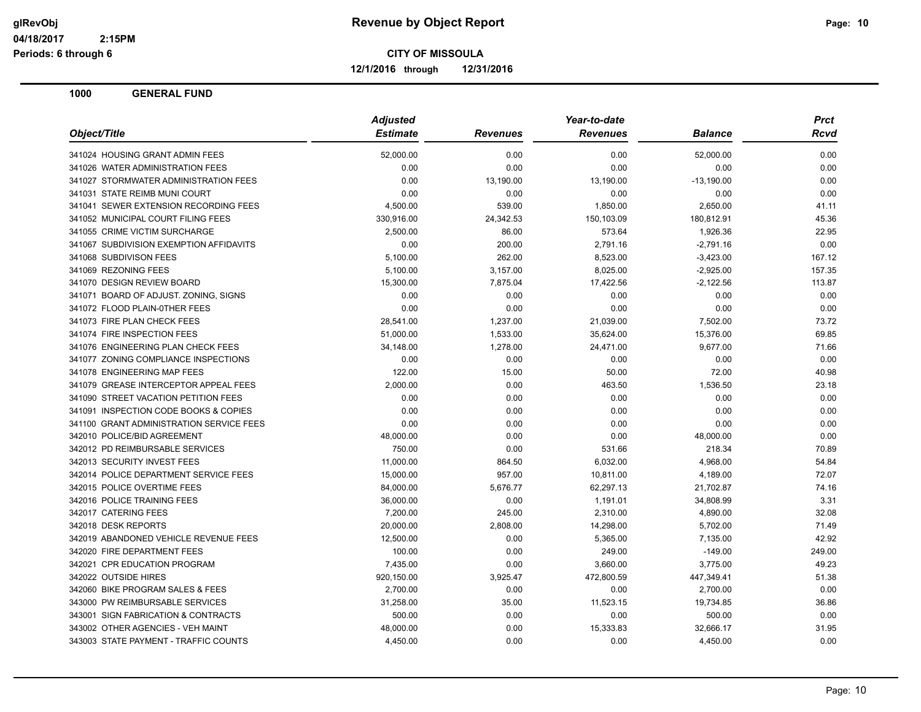**12/1/2016 through 12/31/2016**

| Object/Title                             | <b>Adjusted</b><br>Year-to-date |                 |                 |                | <b>Prct</b> |  |
|------------------------------------------|---------------------------------|-----------------|-----------------|----------------|-------------|--|
|                                          | <b>Estimate</b>                 | <b>Revenues</b> | <b>Revenues</b> | <b>Balance</b> | <b>Rcvd</b> |  |
| 341024 HOUSING GRANT ADMIN FEES          | 52,000.00                       | 0.00            | 0.00            | 52,000.00      | 0.00        |  |
| 341026 WATER ADMINISTRATION FEES         | 0.00                            | 0.00            | 0.00            | 0.00           | 0.00        |  |
| 341027 STORMWATER ADMINISTRATION FEES    | 0.00                            | 13,190.00       | 13,190.00       | $-13,190.00$   | 0.00        |  |
| 341031 STATE REIMB MUNI COURT            | 0.00                            | 0.00            | 0.00            | 0.00           | 0.00        |  |
| 341041 SEWER EXTENSION RECORDING FEES    | 4,500.00                        | 539.00          | 1,850.00        | 2,650.00       | 41.11       |  |
| 341052 MUNICIPAL COURT FILING FEES       | 330,916.00                      | 24,342.53       | 150,103.09      | 180,812.91     | 45.36       |  |
| 341055 CRIME VICTIM SURCHARGE            | 2,500.00                        | 86.00           | 573.64          | 1,926.36       | 22.95       |  |
| 341067 SUBDIVISION EXEMPTION AFFIDAVITS  | 0.00                            | 200.00          | 2,791.16        | $-2,791.16$    | 0.00        |  |
| 341068 SUBDIVISON FEES                   | 5,100.00                        | 262.00          | 8,523.00        | $-3,423.00$    | 167.12      |  |
| 341069 REZONING FEES                     | 5,100.00                        | 3,157.00        | 8,025.00        | $-2,925.00$    | 157.35      |  |
| 341070 DESIGN REVIEW BOARD               | 15,300.00                       | 7,875.04        | 17,422.56       | $-2,122.56$    | 113.87      |  |
| 341071 BOARD OF ADJUST. ZONING, SIGNS    | 0.00                            | 0.00            | 0.00            | 0.00           | 0.00        |  |
| 341072 FLOOD PLAIN-0THER FEES            | 0.00                            | 0.00            | 0.00            | 0.00           | 0.00        |  |
| 341073 FIRE PLAN CHECK FEES              | 28,541.00                       | 1,237.00        | 21,039.00       | 7,502.00       | 73.72       |  |
| 341074 FIRE INSPECTION FEES              | 51,000.00                       | 1,533.00        | 35,624.00       | 15,376.00      | 69.85       |  |
| 341076 ENGINEERING PLAN CHECK FEES       | 34,148.00                       | 1,278.00        | 24,471.00       | 9,677.00       | 71.66       |  |
| 341077 ZONING COMPLIANCE INSPECTIONS     | 0.00                            | 0.00            | 0.00            | 0.00           | 0.00        |  |
| 341078 ENGINEERING MAP FEES              | 122.00                          | 15.00           | 50.00           | 72.00          | 40.98       |  |
| 341079 GREASE INTERCEPTOR APPEAL FEES    | 2,000.00                        | 0.00            | 463.50          | 1,536.50       | 23.18       |  |
| 341090 STREET VACATION PETITION FEES     | 0.00                            | 0.00            | 0.00            | 0.00           | 0.00        |  |
| 341091 INSPECTION CODE BOOKS & COPIES    | 0.00                            | 0.00            | 0.00            | 0.00           | 0.00        |  |
| 341100 GRANT ADMINISTRATION SERVICE FEES | 0.00                            | 0.00            | 0.00            | 0.00           | 0.00        |  |
| 342010 POLICE/BID AGREEMENT              | 48,000.00                       | 0.00            | 0.00            | 48,000.00      | 0.00        |  |
| 342012 PD REIMBURSABLE SERVICES          | 750.00                          | 0.00            | 531.66          | 218.34         | 70.89       |  |
| 342013 SECURITY INVEST FEES              | 11,000.00                       | 864.50          | 6,032.00        | 4,968.00       | 54.84       |  |
| 342014 POLICE DEPARTMENT SERVICE FEES    | 15,000.00                       | 957.00          | 10,811.00       | 4,189.00       | 72.07       |  |
| 342015 POLICE OVERTIME FEES              | 84,000.00                       | 5,676.77        | 62,297.13       | 21,702.87      | 74.16       |  |
| 342016 POLICE TRAINING FEES              | 36,000.00                       | 0.00            | 1,191.01        | 34,808.99      | 3.31        |  |
| 342017 CATERING FEES                     | 7,200.00                        | 245.00          | 2,310.00        | 4,890.00       | 32.08       |  |
| 342018 DESK REPORTS                      | 20,000.00                       | 2,808.00        | 14,298.00       | 5,702.00       | 71.49       |  |
| 342019 ABANDONED VEHICLE REVENUE FEES    | 12,500.00                       | 0.00            | 5,365.00        | 7,135.00       | 42.92       |  |
| 342020 FIRE DEPARTMENT FEES              | 100.00                          | 0.00            | 249.00          | $-149.00$      | 249.00      |  |
| 342021 CPR EDUCATION PROGRAM             | 7,435.00                        | 0.00            | 3,660.00        | 3,775.00       | 49.23       |  |
| 342022 OUTSIDE HIRES                     | 920,150.00                      | 3,925.47        | 472,800.59      | 447,349.41     | 51.38       |  |
| 342060 BIKE PROGRAM SALES & FEES         | 2,700.00                        | 0.00            | 0.00            | 2,700.00       | 0.00        |  |
| 343000 PW REIMBURSABLE SERVICES          | 31,258.00                       | 35.00           | 11,523.15       | 19,734.85      | 36.86       |  |
| 343001 SIGN FABRICATION & CONTRACTS      | 500.00                          | 0.00            | 0.00            | 500.00         | 0.00        |  |
| 343002 OTHER AGENCIES - VEH MAINT        | 48,000.00                       | 0.00            | 15,333.83       | 32,666.17      | 31.95       |  |
| 343003 STATE PAYMENT - TRAFFIC COUNTS    | 4,450.00                        | 0.00            | 0.00            | 4,450.00       | 0.00        |  |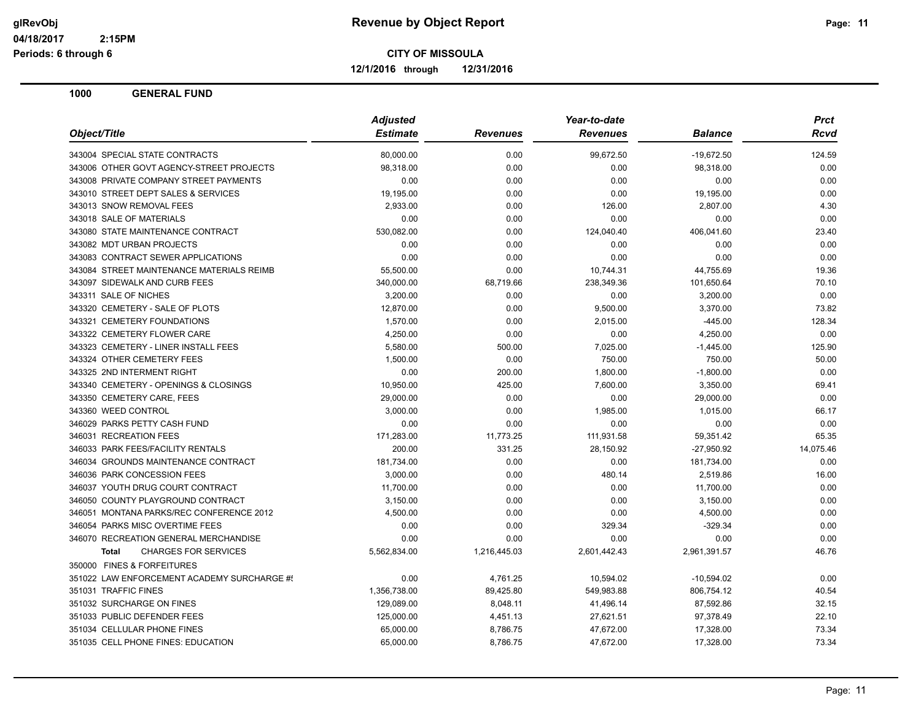**12/1/2016 through 12/31/2016**

| Object/Title                                | <b>Adjusted</b><br>Year-to-date |                 |                 |                | <b>Prct</b> |
|---------------------------------------------|---------------------------------|-----------------|-----------------|----------------|-------------|
|                                             | <b>Estimate</b>                 | <b>Revenues</b> | <b>Revenues</b> | <b>Balance</b> | Rcvd        |
| 343004 SPECIAL STATE CONTRACTS              | 80,000.00                       | 0.00            | 99,672.50       | $-19,672.50$   | 124.59      |
| 343006 OTHER GOVT AGENCY-STREET PROJECTS    | 98,318.00                       | 0.00            | 0.00            | 98,318.00      | 0.00        |
| 343008 PRIVATE COMPANY STREET PAYMENTS      | 0.00                            | 0.00            | 0.00            | 0.00           | 0.00        |
| 343010 STREET DEPT SALES & SERVICES         | 19,195.00                       | 0.00            | 0.00            | 19,195.00      | 0.00        |
| 343013 SNOW REMOVAL FEES                    | 2,933.00                        | 0.00            | 126.00          | 2,807.00       | 4.30        |
| 343018 SALE OF MATERIALS                    | 0.00                            | 0.00            | 0.00            | 0.00           | 0.00        |
| 343080 STATE MAINTENANCE CONTRACT           | 530,082.00                      | 0.00            | 124,040.40      | 406,041.60     | 23.40       |
| 343082 MDT URBAN PROJECTS                   | 0.00                            | 0.00            | 0.00            | 0.00           | 0.00        |
| 343083 CONTRACT SEWER APPLICATIONS          | 0.00                            | 0.00            | 0.00            | 0.00           | 0.00        |
| 343084 STREET MAINTENANCE MATERIALS REIMB   | 55,500.00                       | 0.00            | 10,744.31       | 44,755.69      | 19.36       |
| 343097 SIDEWALK AND CURB FEES               | 340,000.00                      | 68,719.66       | 238,349.36      | 101,650.64     | 70.10       |
| 343311 SALE OF NICHES                       | 3,200.00                        | 0.00            | 0.00            | 3,200.00       | 0.00        |
| 343320 CEMETERY - SALE OF PLOTS             | 12,870.00                       | 0.00            | 9,500.00        | 3,370.00       | 73.82       |
| 343321 CEMETERY FOUNDATIONS                 | 1,570.00                        | 0.00            | 2,015.00        | $-445.00$      | 128.34      |
| 343322 CEMETERY FLOWER CARE                 | 4,250.00                        | 0.00            | 0.00            | 4,250.00       | 0.00        |
| 343323 CEMETERY - LINER INSTALL FEES        | 5,580.00                        | 500.00          | 7,025.00        | $-1,445.00$    | 125.90      |
| 343324 OTHER CEMETERY FEES                  | 1,500.00                        | 0.00            | 750.00          | 750.00         | 50.00       |
| 343325 2ND INTERMENT RIGHT                  | 0.00                            | 200.00          | 1,800.00        | $-1,800.00$    | 0.00        |
| 343340 CEMETERY - OPENINGS & CLOSINGS       | 10,950.00                       | 425.00          | 7,600.00        | 3,350.00       | 69.41       |
| 343350 CEMETERY CARE, FEES                  | 29,000.00                       | 0.00            | 0.00            | 29,000.00      | 0.00        |
| 343360 WEED CONTROL                         | 3,000.00                        | 0.00            | 1,985.00        | 1,015.00       | 66.17       |
| 346029 PARKS PETTY CASH FUND                | 0.00                            | 0.00            | 0.00            | 0.00           | 0.00        |
| 346031 RECREATION FEES                      | 171,283.00                      | 11,773.25       | 111,931.58      | 59,351.42      | 65.35       |
| 346033 PARK FEES/FACILITY RENTALS           | 200.00                          | 331.25          | 28,150.92       | $-27,950.92$   | 14,075.46   |
| 346034 GROUNDS MAINTENANCE CONTRACT         | 181,734.00                      | 0.00            | 0.00            | 181,734.00     | 0.00        |
| 346036 PARK CONCESSION FEES                 | 3,000.00                        | 0.00            | 480.14          | 2,519.86       | 16.00       |
| 346037 YOUTH DRUG COURT CONTRACT            | 11,700.00                       | 0.00            | 0.00            | 11,700.00      | 0.00        |
| 346050 COUNTY PLAYGROUND CONTRACT           | 3,150.00                        | 0.00            | 0.00            | 3,150.00       | 0.00        |
| 346051 MONTANA PARKS/REC CONFERENCE 2012    | 4,500.00                        | 0.00            | 0.00            | 4,500.00       | 0.00        |
| 346054 PARKS MISC OVERTIME FEES             | 0.00                            | 0.00            | 329.34          | $-329.34$      | 0.00        |
| 346070 RECREATION GENERAL MERCHANDISE       | 0.00                            | 0.00            | 0.00            | 0.00           | 0.00        |
| <b>CHARGES FOR SERVICES</b><br><b>Total</b> | 5,562,834.00                    | 1,216,445.03    | 2,601,442.43    | 2,961,391.57   | 46.76       |
| 350000 FINES & FORFEITURES                  |                                 |                 |                 |                |             |
| 351022 LAW ENFORCEMENT ACADEMY SURCHARGE #! | 0.00                            | 4,761.25        | 10,594.02       | $-10,594.02$   | 0.00        |
| 351031 TRAFFIC FINES                        | 1,356,738.00                    | 89,425.80       | 549,983.88      | 806,754.12     | 40.54       |
| 351032 SURCHARGE ON FINES                   | 129,089.00                      | 8,048.11        | 41,496.14       | 87,592.86      | 32.15       |
| 351033 PUBLIC DEFENDER FEES                 | 125,000.00                      | 4,451.13        | 27,621.51       | 97,378.49      | 22.10       |
| 351034 CELLULAR PHONE FINES                 | 65,000.00                       | 8,786.75        | 47,672.00       | 17,328.00      | 73.34       |
| 351035 CELL PHONE FINES: EDUCATION          | 65,000.00                       | 8,786.75        | 47,672.00       | 17,328.00      | 73.34       |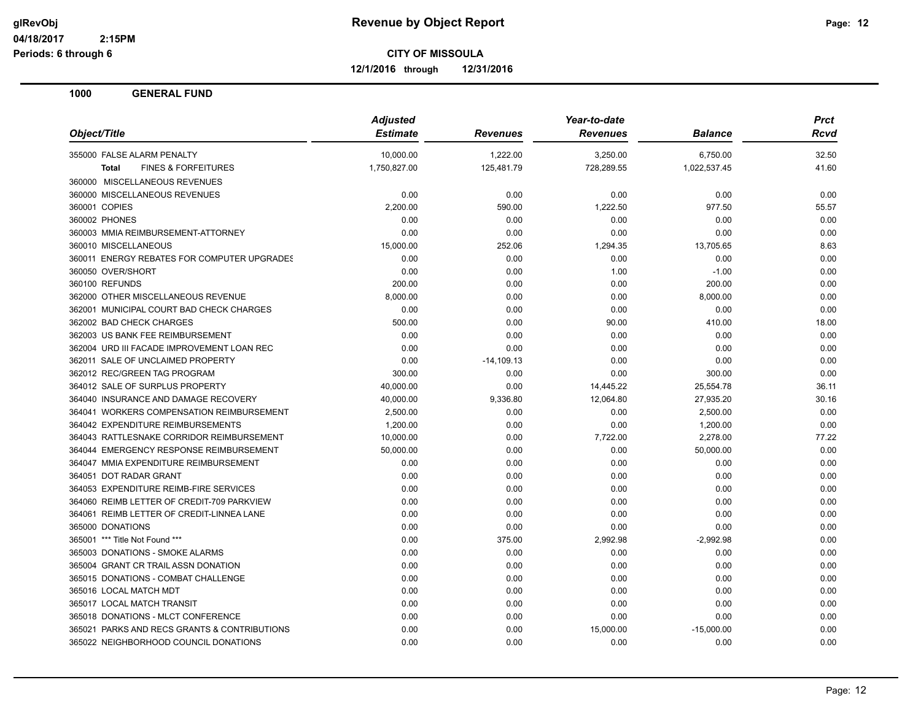**12/1/2016 through 12/31/2016**

| Object/Title                                   | <b>Adjusted</b> |                 | <b>Prct</b>     |                |       |
|------------------------------------------------|-----------------|-----------------|-----------------|----------------|-------|
|                                                | <b>Estimate</b> | <b>Revenues</b> | <b>Revenues</b> | <b>Balance</b> | Rcvd  |
| 355000 FALSE ALARM PENALTY                     | 10,000.00       | 1,222.00        | 3,250.00        | 6,750.00       | 32.50 |
| <b>FINES &amp; FORFEITURES</b><br><b>Total</b> | 1,750,827.00    | 125,481.79      | 728,289.55      | 1,022,537.45   | 41.60 |
| 360000 MISCELLANEOUS REVENUES                  |                 |                 |                 |                |       |
| 360000 MISCELLANEOUS REVENUES                  | 0.00            | 0.00            | 0.00            | 0.00           | 0.00  |
| 360001 COPIES                                  | 2,200.00        | 590.00          | 1,222.50        | 977.50         | 55.57 |
| 360002 PHONES                                  | 0.00            | 0.00            | 0.00            | 0.00           | 0.00  |
| 360003 MMIA REIMBURSEMENT-ATTORNEY             | 0.00            | 0.00            | 0.00            | 0.00           | 0.00  |
| 360010 MISCELLANEOUS                           | 15,000.00       | 252.06          | 1,294.35        | 13,705.65      | 8.63  |
| 360011 ENERGY REBATES FOR COMPUTER UPGRADES    | 0.00            | 0.00            | 0.00            | 0.00           | 0.00  |
| 360050 OVER/SHORT                              | 0.00            | 0.00            | 1.00            | $-1.00$        | 0.00  |
| 360100 REFUNDS                                 | 200.00          | 0.00            | 0.00            | 200.00         | 0.00  |
| 362000 OTHER MISCELLANEOUS REVENUE             | 8,000.00        | 0.00            | 0.00            | 8,000.00       | 0.00  |
| 362001 MUNICIPAL COURT BAD CHECK CHARGES       | 0.00            | 0.00            | 0.00            | 0.00           | 0.00  |
| 362002 BAD CHECK CHARGES                       | 500.00          | 0.00            | 90.00           | 410.00         | 18.00 |
| 362003 US BANK FEE REIMBURSEMENT               | 0.00            | 0.00            | 0.00            | 0.00           | 0.00  |
| 362004 URD III FACADE IMPROVEMENT LOAN REC     | 0.00            | 0.00            | 0.00            | 0.00           | 0.00  |
| 362011 SALE OF UNCLAIMED PROPERTY              | 0.00            | $-14,109.13$    | 0.00            | 0.00           | 0.00  |
| 362012 REC/GREEN TAG PROGRAM                   | 300.00          | 0.00            | 0.00            | 300.00         | 0.00  |
| 364012 SALE OF SURPLUS PROPERTY                | 40,000.00       | 0.00            | 14,445.22       | 25,554.78      | 36.11 |
| 364040 INSURANCE AND DAMAGE RECOVERY           | 40,000.00       | 9,336.80        | 12,064.80       | 27,935.20      | 30.16 |
| 364041 WORKERS COMPENSATION REIMBURSEMENT      | 2,500.00        | 0.00            | 0.00            | 2,500.00       | 0.00  |
| 364042 EXPENDITURE REIMBURSEMENTS              | 1,200.00        | 0.00            | 0.00            | 1,200.00       | 0.00  |
| 364043 RATTLESNAKE CORRIDOR REIMBURSEMENT      | 10,000.00       | 0.00            | 7,722.00        | 2,278.00       | 77.22 |
| 364044 EMERGENCY RESPONSE REIMBURSEMENT        | 50,000.00       | 0.00            | 0.00            | 50,000.00      | 0.00  |
| 364047 MMIA EXPENDITURE REIMBURSEMENT          | 0.00            | 0.00            | 0.00            | 0.00           | 0.00  |
| 364051 DOT RADAR GRANT                         | 0.00            | 0.00            | 0.00            | 0.00           | 0.00  |
| 364053 EXPENDITURE REIMB-FIRE SERVICES         | 0.00            | 0.00            | 0.00            | 0.00           | 0.00  |
| 364060 REIMB LETTER OF CREDIT-709 PARKVIEW     | 0.00            | 0.00            | 0.00            | 0.00           | 0.00  |
| 364061 REIMB LETTER OF CREDIT-LINNEA LANE      | 0.00            | 0.00            | 0.00            | 0.00           | 0.00  |
| 365000 DONATIONS                               | 0.00            | 0.00            | 0.00            | 0.00           | 0.00  |
| 365001 *** Title Not Found ***                 | 0.00            | 375.00          | 2,992.98        | $-2,992.98$    | 0.00  |
| 365003 DONATIONS - SMOKE ALARMS                | 0.00            | 0.00            | 0.00            | 0.00           | 0.00  |
| 365004 GRANT CR TRAIL ASSN DONATION            | 0.00            | 0.00            | 0.00            | 0.00           | 0.00  |
| 365015 DONATIONS - COMBAT CHALLENGE            | 0.00            | 0.00            | 0.00            | 0.00           | 0.00  |
| 365016 LOCAL MATCH MDT                         | 0.00            | 0.00            | 0.00            | 0.00           | 0.00  |
| 365017 LOCAL MATCH TRANSIT                     | 0.00            | 0.00            | 0.00            | 0.00           | 0.00  |
| 365018 DONATIONS - MLCT CONFERENCE             | 0.00            | 0.00            | 0.00            | 0.00           | 0.00  |
| 365021 PARKS AND RECS GRANTS & CONTRIBUTIONS   | 0.00            | 0.00            | 15,000.00       | $-15,000.00$   | 0.00  |
| 365022 NEIGHBORHOOD COUNCIL DONATIONS          | 0.00            | 0.00            | 0.00            | 0.00           | 0.00  |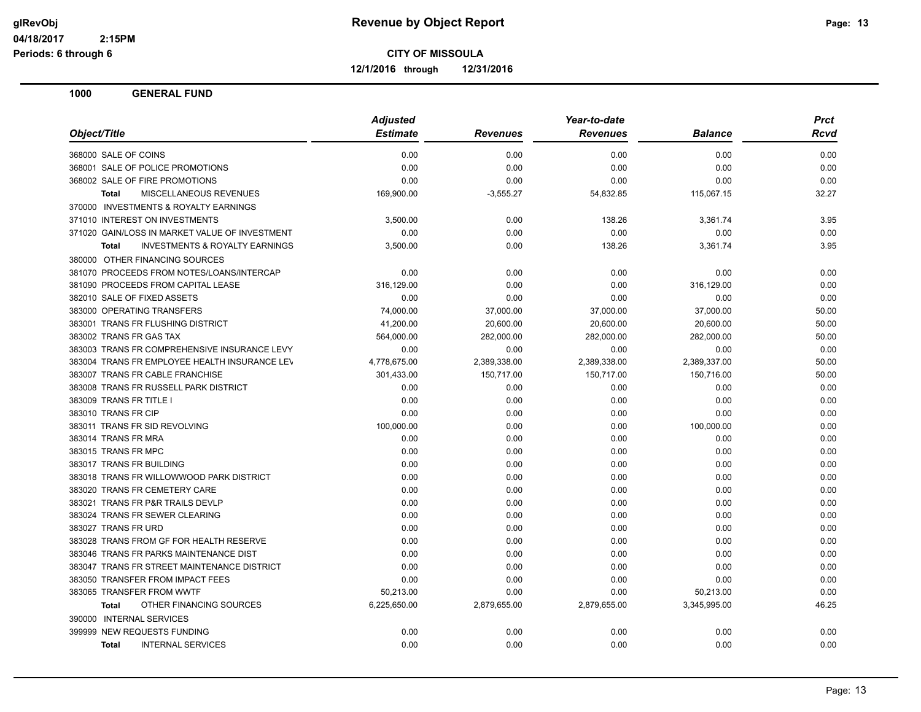**12/1/2016 through 12/31/2016**

| Object/Title                                              | <b>Adjusted</b><br><b>Estimate</b> | <b>Revenues</b> | Year-to-date<br><b>Revenues</b> | <b>Balance</b> | <b>Prct</b><br>Rcvd |
|-----------------------------------------------------------|------------------------------------|-----------------|---------------------------------|----------------|---------------------|
|                                                           |                                    |                 |                                 |                |                     |
| 368000 SALE OF COINS                                      | 0.00                               | 0.00            | 0.00                            | 0.00           | 0.00                |
| 368001 SALE OF POLICE PROMOTIONS                          | 0.00                               | 0.00            | 0.00                            | 0.00           | 0.00                |
| 368002 SALE OF FIRE PROMOTIONS                            | 0.00                               | 0.00            | 0.00                            | 0.00           | 0.00                |
| MISCELLANEOUS REVENUES<br><b>Total</b>                    | 169.900.00                         | $-3,555.27$     | 54,832.85                       | 115.067.15     | 32.27               |
| 370000 INVESTMENTS & ROYALTY EARNINGS                     |                                    |                 |                                 |                |                     |
| 371010 INTEREST ON INVESTMENTS                            | 3,500.00                           | 0.00            | 138.26                          | 3,361.74       | 3.95                |
| 371020 GAIN/LOSS IN MARKET VALUE OF INVESTMENT            | 0.00                               | 0.00            | 0.00                            | 0.00           | 0.00                |
| <b>INVESTMENTS &amp; ROYALTY EARNINGS</b><br><b>Total</b> | 3,500.00                           | 0.00            | 138.26                          | 3,361.74       | 3.95                |
| 380000 OTHER FINANCING SOURCES                            |                                    |                 |                                 |                |                     |
| 381070 PROCEEDS FROM NOTES/LOANS/INTERCAP                 | 0.00                               | 0.00            | 0.00                            | 0.00           | 0.00                |
| 381090 PROCEEDS FROM CAPITAL LEASE                        | 316,129.00                         | 0.00            | 0.00                            | 316,129.00     | 0.00                |
| 382010 SALE OF FIXED ASSETS                               | 0.00                               | 0.00            | 0.00                            | 0.00           | 0.00                |
| 383000 OPERATING TRANSFERS                                | 74,000.00                          | 37,000.00       | 37,000.00                       | 37,000.00      | 50.00               |
| 383001 TRANS FR FLUSHING DISTRICT                         | 41,200.00                          | 20,600.00       | 20,600.00                       | 20,600.00      | 50.00               |
| 383002 TRANS FR GAS TAX                                   | 564,000.00                         | 282,000.00      | 282,000.00                      | 282,000.00     | 50.00               |
| 383003 TRANS FR COMPREHENSIVE INSURANCE LEVY              | 0.00                               | 0.00            | 0.00                            | 0.00           | 0.00                |
| 383004 TRANS FR EMPLOYEE HEALTH INSURANCE LEV             | 4,778,675.00                       | 2,389,338.00    | 2,389,338.00                    | 2,389,337.00   | 50.00               |
| 383007 TRANS FR CABLE FRANCHISE                           | 301,433.00                         | 150,717.00      | 150,717.00                      | 150,716.00     | 50.00               |
| 383008 TRANS FR RUSSELL PARK DISTRICT                     | 0.00                               | 0.00            | 0.00                            | 0.00           | 0.00                |
| 383009 TRANS FR TITLE I                                   | 0.00                               | 0.00            | 0.00                            | 0.00           | 0.00                |
| 383010 TRANS FR CIP                                       | 0.00                               | 0.00            | 0.00                            | 0.00           | 0.00                |
| 383011 TRANS FR SID REVOLVING                             | 100,000.00                         | 0.00            | 0.00                            | 100,000.00     | 0.00                |
| 383014 TRANS FR MRA                                       | 0.00                               | 0.00            | 0.00                            | 0.00           | 0.00                |
| 383015 TRANS FR MPC                                       | 0.00                               | 0.00            | 0.00                            | 0.00           | 0.00                |
| 383017 TRANS FR BUILDING                                  | 0.00                               | 0.00            | 0.00                            | 0.00           | 0.00                |
| 383018 TRANS FR WILLOWWOOD PARK DISTRICT                  | 0.00                               | 0.00            | 0.00                            | 0.00           | 0.00                |
| 383020 TRANS FR CEMETERY CARE                             | 0.00                               | 0.00            | 0.00                            | 0.00           | 0.00                |
| 383021 TRANS FR P&R TRAILS DEVLP                          | 0.00                               | 0.00            | 0.00                            | 0.00           | 0.00                |
| 383024 TRANS FR SEWER CLEARING                            | 0.00                               | 0.00            | 0.00                            | 0.00           | 0.00                |
| 383027 TRANS FR URD                                       | 0.00                               | 0.00            | 0.00                            | 0.00           | 0.00                |
| 383028 TRANS FROM GF FOR HEALTH RESERVE                   | 0.00                               | 0.00            | 0.00                            | 0.00           | 0.00                |
| 383046 TRANS FR PARKS MAINTENANCE DIST                    | 0.00                               | 0.00            | 0.00                            | 0.00           | 0.00                |
| 383047 TRANS FR STREET MAINTENANCE DISTRICT               | 0.00                               | 0.00            | 0.00                            | 0.00           | 0.00                |
| 383050 TRANSFER FROM IMPACT FEES                          | 0.00                               | 0.00            | 0.00                            | 0.00           | 0.00                |
| 383065 TRANSFER FROM WWTF                                 | 50,213.00                          | 0.00            | 0.00                            | 50,213.00      | 0.00                |
| OTHER FINANCING SOURCES<br><b>Total</b>                   | 6,225,650.00                       | 2,879,655.00    | 2,879,655.00                    | 3,345,995.00   | 46.25               |
| 390000 INTERNAL SERVICES                                  |                                    |                 |                                 |                |                     |
| 399999 NEW REQUESTS FUNDING                               | 0.00                               | 0.00            | 0.00                            | 0.00           | 0.00                |
| <b>INTERNAL SERVICES</b><br><b>Total</b>                  | 0.00                               | 0.00            | 0.00                            | 0.00           | 0.00                |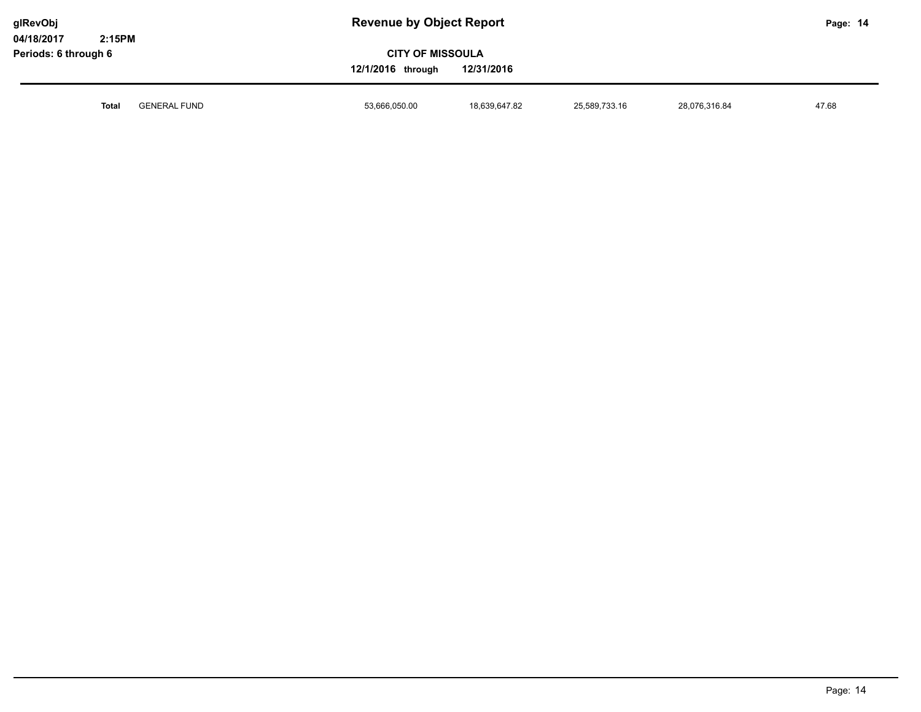| glRevObj<br>04/18/2017<br>2:15PM<br>Periods: 6 through 6 |       |                     | <b>Revenue by Object Report</b>       |               |               |               |       |
|----------------------------------------------------------|-------|---------------------|---------------------------------------|---------------|---------------|---------------|-------|
|                                                          |       | 12/1/2016 through   | <b>CITY OF MISSOULA</b><br>12/31/2016 |               |               |               |       |
|                                                          | Total | <b>GENERAL FUND</b> | 53,666,050.00                         | 18,639,647.82 | 25,589,733.16 | 28,076,316.84 | 47.68 |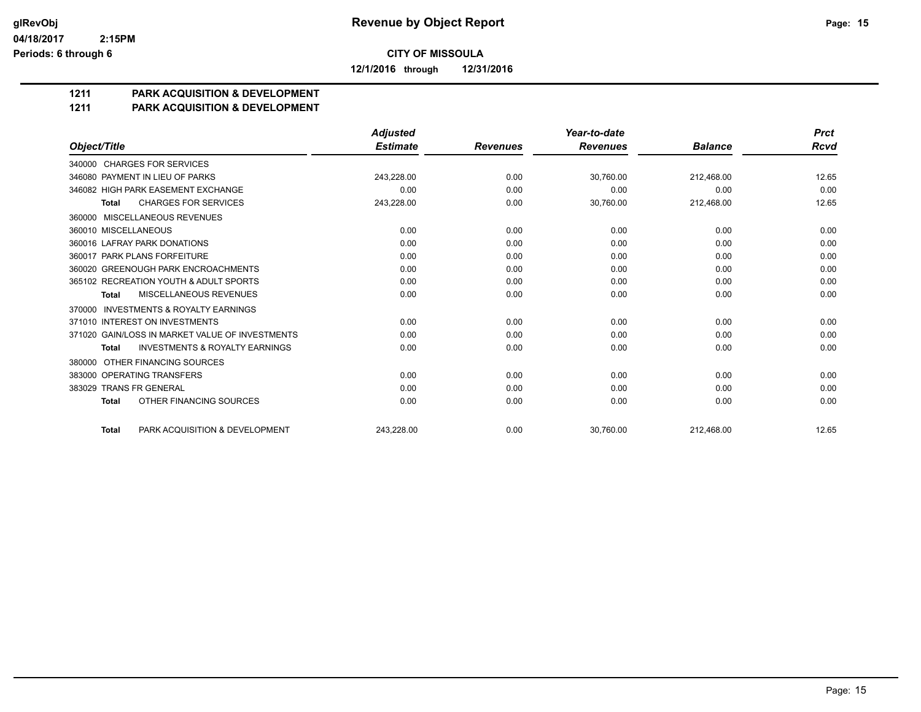**12/1/2016 through 12/31/2016**

## **1211 PARK ACQUISITION & DEVELOPMENT**

| 1211 | <b>PARK ACQUISITION &amp; DEVELOPMENT</b> |
|------|-------------------------------------------|
|      |                                           |

|                                                           | <b>Adjusted</b> |                 | Year-to-date    |                | <b>Prct</b> |
|-----------------------------------------------------------|-----------------|-----------------|-----------------|----------------|-------------|
| Object/Title                                              | <b>Estimate</b> | <b>Revenues</b> | <b>Revenues</b> | <b>Balance</b> | Rcvd        |
| 340000 CHARGES FOR SERVICES                               |                 |                 |                 |                |             |
| 346080 PAYMENT IN LIEU OF PARKS                           | 243.228.00      | 0.00            | 30,760.00       | 212.468.00     | 12.65       |
| 346082 HIGH PARK EASEMENT EXCHANGE                        | 0.00            | 0.00            | 0.00            | 0.00           | 0.00        |
| <b>CHARGES FOR SERVICES</b><br>Total                      | 243,228.00      | 0.00            | 30,760.00       | 212,468.00     | 12.65       |
| 360000 MISCELLANEOUS REVENUES                             |                 |                 |                 |                |             |
| 360010 MISCELLANEOUS                                      | 0.00            | 0.00            | 0.00            | 0.00           | 0.00        |
| 360016 LAFRAY PARK DONATIONS                              | 0.00            | 0.00            | 0.00            | 0.00           | 0.00        |
| 360017 PARK PLANS FORFEITURE                              | 0.00            | 0.00            | 0.00            | 0.00           | 0.00        |
| 360020 GREENOUGH PARK ENCROACHMENTS                       | 0.00            | 0.00            | 0.00            | 0.00           | 0.00        |
| 365102 RECREATION YOUTH & ADULT SPORTS                    | 0.00            | 0.00            | 0.00            | 0.00           | 0.00        |
| MISCELLANEOUS REVENUES<br><b>Total</b>                    | 0.00            | 0.00            | 0.00            | 0.00           | 0.00        |
| <b>INVESTMENTS &amp; ROYALTY EARNINGS</b><br>370000       |                 |                 |                 |                |             |
| 371010 INTEREST ON INVESTMENTS                            | 0.00            | 0.00            | 0.00            | 0.00           | 0.00        |
| 371020 GAIN/LOSS IN MARKET VALUE OF INVESTMENTS           | 0.00            | 0.00            | 0.00            | 0.00           | 0.00        |
| <b>INVESTMENTS &amp; ROYALTY EARNINGS</b><br><b>Total</b> | 0.00            | 0.00            | 0.00            | 0.00           | 0.00        |
| 380000 OTHER FINANCING SOURCES                            |                 |                 |                 |                |             |
| 383000 OPERATING TRANSFERS                                | 0.00            | 0.00            | 0.00            | 0.00           | 0.00        |
| 383029 TRANS FR GENERAL                                   | 0.00            | 0.00            | 0.00            | 0.00           | 0.00        |
| OTHER FINANCING SOURCES<br><b>Total</b>                   | 0.00            | 0.00            | 0.00            | 0.00           | 0.00        |
| PARK ACQUISITION & DEVELOPMENT<br><b>Total</b>            | 243.228.00      | 0.00            | 30.760.00       | 212.468.00     | 12.65       |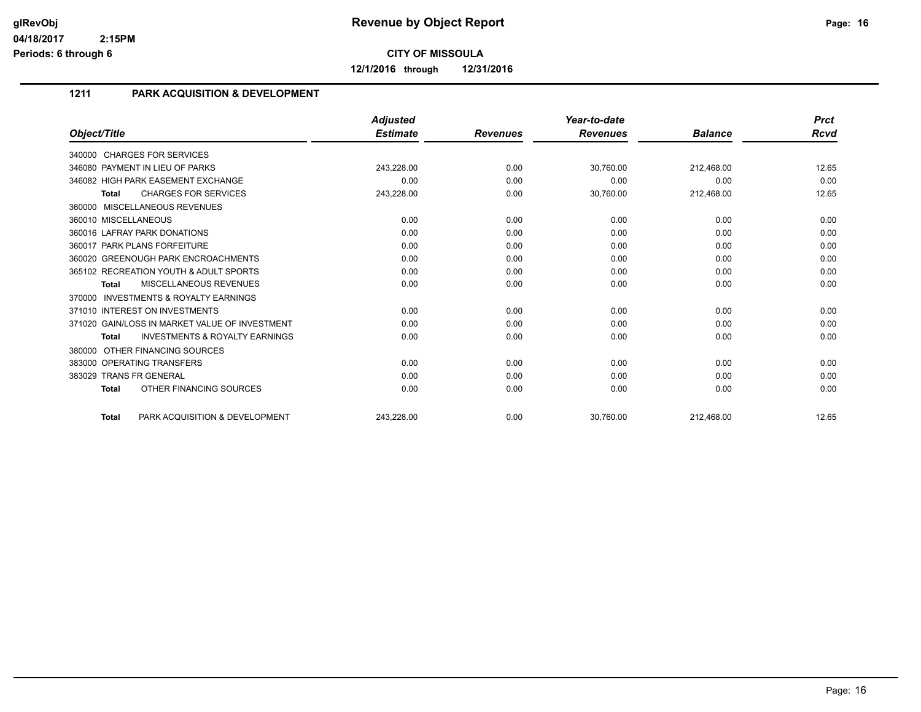**12/1/2016 through 12/31/2016**

### **1211 PARK ACQUISITION & DEVELOPMENT**

|                                                     | <b>Adjusted</b> |                 | Year-to-date    |                | <b>Prct</b> |
|-----------------------------------------------------|-----------------|-----------------|-----------------|----------------|-------------|
| Object/Title                                        | <b>Estimate</b> | <b>Revenues</b> | <b>Revenues</b> | <b>Balance</b> | Rcvd        |
| 340000 CHARGES FOR SERVICES                         |                 |                 |                 |                |             |
| 346080 PAYMENT IN LIEU OF PARKS                     | 243,228.00      | 0.00            | 30,760.00       | 212,468.00     | 12.65       |
| 346082 HIGH PARK EASEMENT EXCHANGE                  | 0.00            | 0.00            | 0.00            | 0.00           | 0.00        |
| <b>CHARGES FOR SERVICES</b><br>Total                | 243,228.00      | 0.00            | 30,760.00       | 212,468.00     | 12.65       |
| MISCELLANEOUS REVENUES<br>360000                    |                 |                 |                 |                |             |
| 360010 MISCELLANEOUS                                | 0.00            | 0.00            | 0.00            | 0.00           | 0.00        |
| 360016 LAFRAY PARK DONATIONS                        | 0.00            | 0.00            | 0.00            | 0.00           | 0.00        |
| 360017 PARK PLANS FORFEITURE                        | 0.00            | 0.00            | 0.00            | 0.00           | 0.00        |
| 360020 GREENOUGH PARK ENCROACHMENTS                 | 0.00            | 0.00            | 0.00            | 0.00           | 0.00        |
| 365102 RECREATION YOUTH & ADULT SPORTS              | 0.00            | 0.00            | 0.00            | 0.00           | 0.00        |
| MISCELLANEOUS REVENUES<br>Total                     | 0.00            | 0.00            | 0.00            | 0.00           | 0.00        |
| <b>INVESTMENTS &amp; ROYALTY EARNINGS</b><br>370000 |                 |                 |                 |                |             |
| 371010 INTEREST ON INVESTMENTS                      | 0.00            | 0.00            | 0.00            | 0.00           | 0.00        |
| 371020 GAIN/LOSS IN MARKET VALUE OF INVESTMENT      | 0.00            | 0.00            | 0.00            | 0.00           | 0.00        |
| <b>INVESTMENTS &amp; ROYALTY EARNINGS</b><br>Total  | 0.00            | 0.00            | 0.00            | 0.00           | 0.00        |
| 380000 OTHER FINANCING SOURCES                      |                 |                 |                 |                |             |
| 383000 OPERATING TRANSFERS                          | 0.00            | 0.00            | 0.00            | 0.00           | 0.00        |
| 383029 TRANS FR GENERAL                             | 0.00            | 0.00            | 0.00            | 0.00           | 0.00        |
| OTHER FINANCING SOURCES<br><b>Total</b>             | 0.00            | 0.00            | 0.00            | 0.00           | 0.00        |
| PARK ACQUISITION & DEVELOPMENT<br><b>Total</b>      | 243,228.00      | 0.00            | 30,760.00       | 212,468.00     | 12.65       |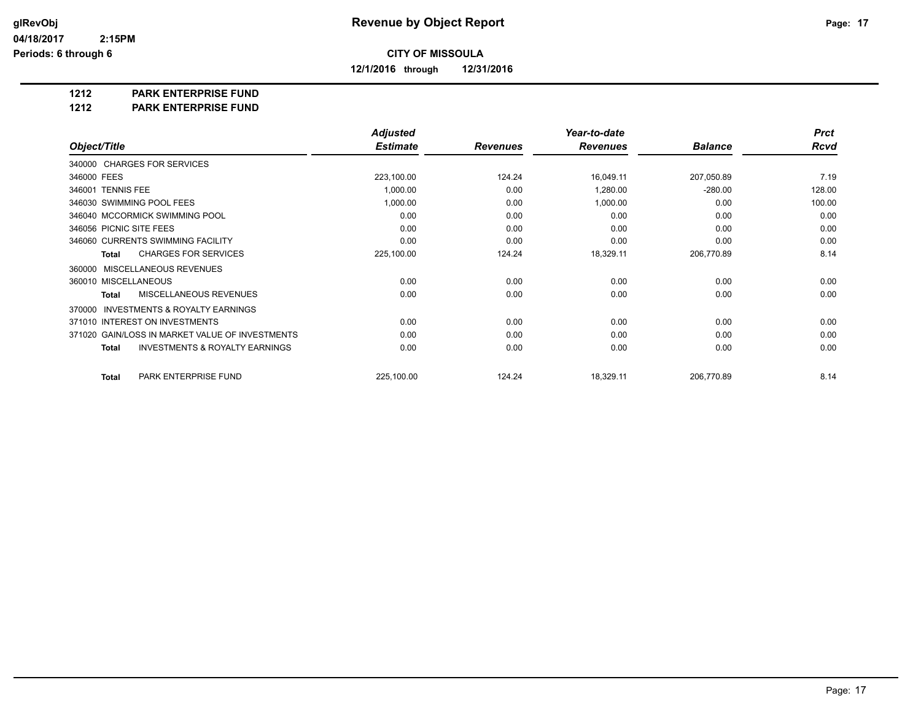**12/1/2016 through 12/31/2016**

**1212 PARK ENTERPRISE FUND**

| <b>PARK ENTERPRISE FUND</b><br>1212 |
|-------------------------------------|
|-------------------------------------|

|                                                           | <b>Adjusted</b> |                 | Year-to-date    |                | <b>Prct</b> |
|-----------------------------------------------------------|-----------------|-----------------|-----------------|----------------|-------------|
| Object/Title                                              | <b>Estimate</b> | <b>Revenues</b> | <b>Revenues</b> | <b>Balance</b> | <b>Rcvd</b> |
| 340000 CHARGES FOR SERVICES                               |                 |                 |                 |                |             |
| 346000 FEES                                               | 223,100.00      | 124.24          | 16,049.11       | 207,050.89     | 7.19        |
| 346001 TENNIS FEE                                         | 1,000.00        | 0.00            | 1,280.00        | $-280.00$      | 128.00      |
| 346030 SWIMMING POOL FEES                                 | 1,000.00        | 0.00            | 1,000.00        | 0.00           | 100.00      |
| 346040 MCCORMICK SWIMMING POOL                            | 0.00            | 0.00            | 0.00            | 0.00           | 0.00        |
| 346056 PICNIC SITE FEES                                   | 0.00            | 0.00            | 0.00            | 0.00           | 0.00        |
| 346060 CURRENTS SWIMMING FACILITY                         | 0.00            | 0.00            | 0.00            | 0.00           | 0.00        |
| <b>CHARGES FOR SERVICES</b><br>Total                      | 225,100.00      | 124.24          | 18,329.11       | 206,770.89     | 8.14        |
| MISCELLANEOUS REVENUES<br>360000                          |                 |                 |                 |                |             |
| 360010 MISCELLANEOUS                                      | 0.00            | 0.00            | 0.00            | 0.00           | 0.00        |
| MISCELLANEOUS REVENUES<br><b>Total</b>                    | 0.00            | 0.00            | 0.00            | 0.00           | 0.00        |
| <b>INVESTMENTS &amp; ROYALTY EARNINGS</b><br>370000       |                 |                 |                 |                |             |
| 371010 INTEREST ON INVESTMENTS                            | 0.00            | 0.00            | 0.00            | 0.00           | 0.00        |
| 371020 GAIN/LOSS IN MARKET VALUE OF INVESTMENTS           | 0.00            | 0.00            | 0.00            | 0.00           | 0.00        |
| <b>INVESTMENTS &amp; ROYALTY EARNINGS</b><br><b>Total</b> | 0.00            | 0.00            | 0.00            | 0.00           | 0.00        |
| PARK ENTERPRISE FUND<br><b>Total</b>                      | 225,100.00      | 124.24          | 18,329.11       | 206,770.89     | 8.14        |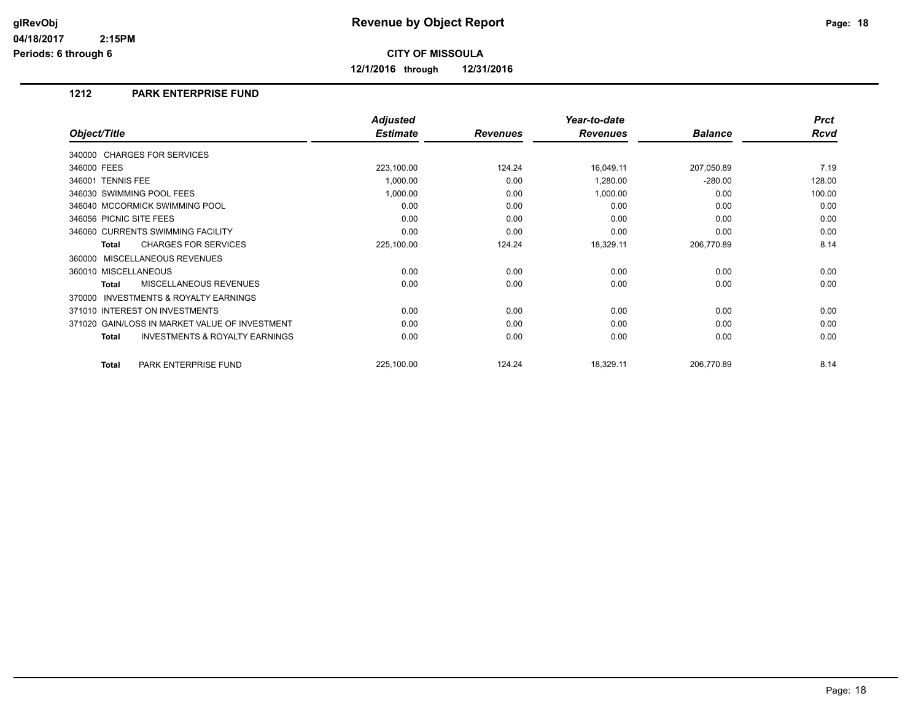**12/1/2016 through 12/31/2016**

### **1212 PARK ENTERPRISE FUND**

|                                                     | <b>Adjusted</b> |                 | Year-to-date    |                | <b>Prct</b> |
|-----------------------------------------------------|-----------------|-----------------|-----------------|----------------|-------------|
| Object/Title                                        | <b>Estimate</b> | <b>Revenues</b> | <b>Revenues</b> | <b>Balance</b> | <b>Rcvd</b> |
| 340000 CHARGES FOR SERVICES                         |                 |                 |                 |                |             |
| 346000 FEES                                         | 223,100.00      | 124.24          | 16,049.11       | 207,050.89     | 7.19        |
| 346001 TENNIS FEE                                   | 1,000.00        | 0.00            | 1,280.00        | $-280.00$      | 128.00      |
| 346030 SWIMMING POOL FEES                           | 1,000.00        | 0.00            | 1,000.00        | 0.00           | 100.00      |
| 346040 MCCORMICK SWIMMING POOL                      | 0.00            | 0.00            | 0.00            | 0.00           | 0.00        |
| 346056 PICNIC SITE FEES                             | 0.00            | 0.00            | 0.00            | 0.00           | 0.00        |
| 346060 CURRENTS SWIMMING FACILITY                   | 0.00            | 0.00            | 0.00            | 0.00           | 0.00        |
| <b>CHARGES FOR SERVICES</b><br>Total                | 225,100.00      | 124.24          | 18,329.11       | 206,770.89     | 8.14        |
| 360000 MISCELLANEOUS REVENUES                       |                 |                 |                 |                |             |
| 360010 MISCELLANEOUS                                | 0.00            | 0.00            | 0.00            | 0.00           | 0.00        |
| MISCELLANEOUS REVENUES<br><b>Total</b>              | 0.00            | 0.00            | 0.00            | 0.00           | 0.00        |
| <b>INVESTMENTS &amp; ROYALTY EARNINGS</b><br>370000 |                 |                 |                 |                |             |
| 371010 INTEREST ON INVESTMENTS                      | 0.00            | 0.00            | 0.00            | 0.00           | 0.00        |
| 371020 GAIN/LOSS IN MARKET VALUE OF INVESTMENT      | 0.00            | 0.00            | 0.00            | 0.00           | 0.00        |
| <b>INVESTMENTS &amp; ROYALTY EARNINGS</b><br>Total  | 0.00            | 0.00            | 0.00            | 0.00           | 0.00        |
| PARK ENTERPRISE FUND<br>Total                       | 225,100.00      | 124.24          | 18,329.11       | 206,770.89     | 8.14        |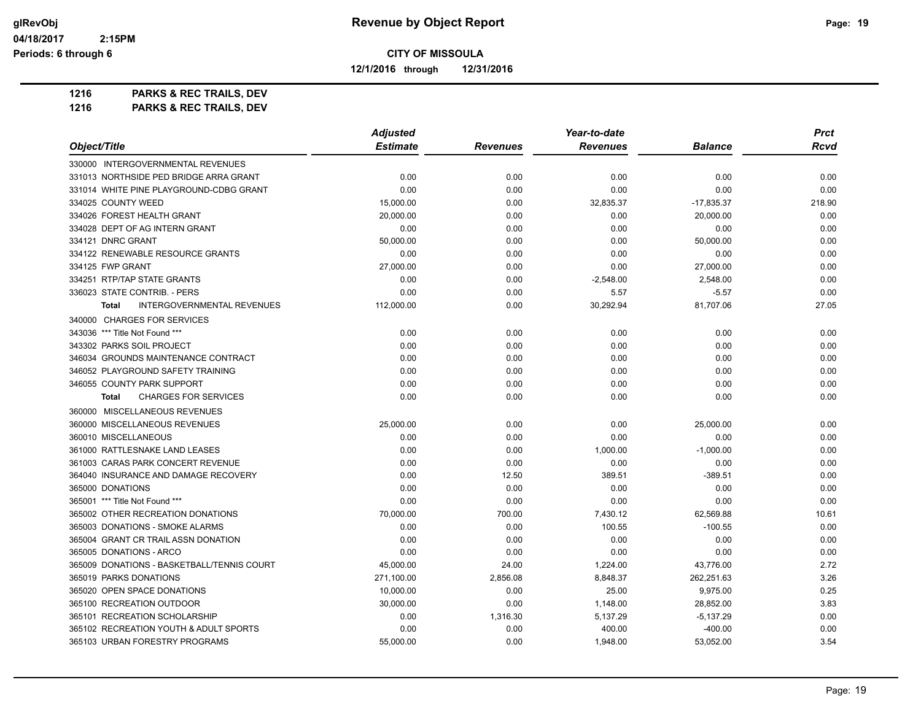**1216 PARKS & REC TRAILS, DEV**

|                                                   | <b>Adjusted</b> |                 | Year-to-date    |                | <b>Prct</b> |
|---------------------------------------------------|-----------------|-----------------|-----------------|----------------|-------------|
| Object/Title                                      | <b>Estimate</b> | <b>Revenues</b> | <b>Revenues</b> | <b>Balance</b> | <b>Rcvd</b> |
| 330000 INTERGOVERNMENTAL REVENUES                 |                 |                 |                 |                |             |
| 331013 NORTHSIDE PED BRIDGE ARRA GRANT            | 0.00            | 0.00            | 0.00            | 0.00           | 0.00        |
| 331014 WHITE PINE PLAYGROUND-CDBG GRANT           | 0.00            | 0.00            | 0.00            | 0.00           | 0.00        |
| 334025 COUNTY WEED                                | 15,000.00       | 0.00            | 32,835.37       | $-17,835.37$   | 218.90      |
| 334026 FOREST HEALTH GRANT                        | 20,000.00       | 0.00            | 0.00            | 20,000.00      | 0.00        |
| 334028 DEPT OF AG INTERN GRANT                    | 0.00            | 0.00            | 0.00            | 0.00           | 0.00        |
| 334121 DNRC GRANT                                 | 50,000.00       | 0.00            | 0.00            | 50,000.00      | 0.00        |
| 334122 RENEWABLE RESOURCE GRANTS                  | 0.00            | 0.00            | 0.00            | 0.00           | 0.00        |
| 334125 FWP GRANT                                  | 27,000.00       | 0.00            | 0.00            | 27,000.00      | 0.00        |
| 334251 RTP/TAP STATE GRANTS                       | 0.00            | 0.00            | $-2,548.00$     | 2,548.00       | 0.00        |
| 336023 STATE CONTRIB. - PERS                      | 0.00            | 0.00            | 5.57            | $-5.57$        | 0.00        |
| <b>INTERGOVERNMENTAL REVENUES</b><br><b>Total</b> | 112,000.00      | 0.00            | 30,292.94       | 81,707.06      | 27.05       |
| 340000 CHARGES FOR SERVICES                       |                 |                 |                 |                |             |
| 343036 *** Title Not Found ***                    | 0.00            | 0.00            | 0.00            | 0.00           | 0.00        |
| 343302 PARKS SOIL PROJECT                         | 0.00            | 0.00            | 0.00            | 0.00           | 0.00        |
| 346034 GROUNDS MAINTENANCE CONTRACT               | 0.00            | 0.00            | 0.00            | 0.00           | 0.00        |
| 346052 PLAYGROUND SAFETY TRAINING                 | 0.00            | 0.00            | 0.00            | 0.00           | 0.00        |
| 346055 COUNTY PARK SUPPORT                        | 0.00            | 0.00            | 0.00            | 0.00           | 0.00        |
| <b>CHARGES FOR SERVICES</b><br><b>Total</b>       | 0.00            | 0.00            | 0.00            | 0.00           | 0.00        |
| 360000 MISCELLANEOUS REVENUES                     |                 |                 |                 |                |             |
| 360000 MISCELLANEOUS REVENUES                     | 25,000.00       | 0.00            | 0.00            | 25,000.00      | 0.00        |
| 360010 MISCELLANEOUS                              | 0.00            | 0.00            | 0.00            | 0.00           | 0.00        |
| 361000 RATTLESNAKE LAND LEASES                    | 0.00            | 0.00            | 1,000.00        | $-1,000.00$    | 0.00        |
| 361003 CARAS PARK CONCERT REVENUE                 | 0.00            | 0.00            | 0.00            | 0.00           | 0.00        |
| 364040 INSURANCE AND DAMAGE RECOVERY              | 0.00            | 12.50           | 389.51          | $-389.51$      | 0.00        |
| 365000 DONATIONS                                  | 0.00            | 0.00            | 0.00            | 0.00           | 0.00        |
| 365001 *** Title Not Found ***                    | 0.00            | 0.00            | 0.00            | 0.00           | 0.00        |
| 365002 OTHER RECREATION DONATIONS                 | 70,000.00       | 700.00          | 7,430.12        | 62,569.88      | 10.61       |
| 365003 DONATIONS - SMOKE ALARMS                   | 0.00            | 0.00            | 100.55          | $-100.55$      | 0.00        |
| 365004 GRANT CR TRAIL ASSN DONATION               | 0.00            | 0.00            | 0.00            | 0.00           | 0.00        |
| 365005 DONATIONS - ARCO                           | 0.00            | 0.00            | 0.00            | 0.00           | 0.00        |
| 365009 DONATIONS - BASKETBALL/TENNIS COURT        | 45,000.00       | 24.00           | 1,224.00        | 43,776.00      | 2.72        |
| 365019 PARKS DONATIONS                            | 271,100.00      | 2,856.08        | 8,848.37        | 262,251.63     | 3.26        |
| 365020 OPEN SPACE DONATIONS                       | 10,000.00       | 0.00            | 25.00           | 9.975.00       | 0.25        |
| 365100 RECREATION OUTDOOR                         | 30,000.00       | 0.00            | 1,148.00        | 28,852.00      | 3.83        |
| 365101 RECREATION SCHOLARSHIP                     | 0.00            | 1,316.30        | 5,137.29        | $-5,137.29$    | 0.00        |
| 365102 RECREATION YOUTH & ADULT SPORTS            | 0.00            | 0.00            | 400.00          | $-400.00$      | 0.00        |
| 365103 URBAN FORESTRY PROGRAMS                    | 55,000.00       | 0.00            | 1,948.00        | 53,052.00      | 3.54        |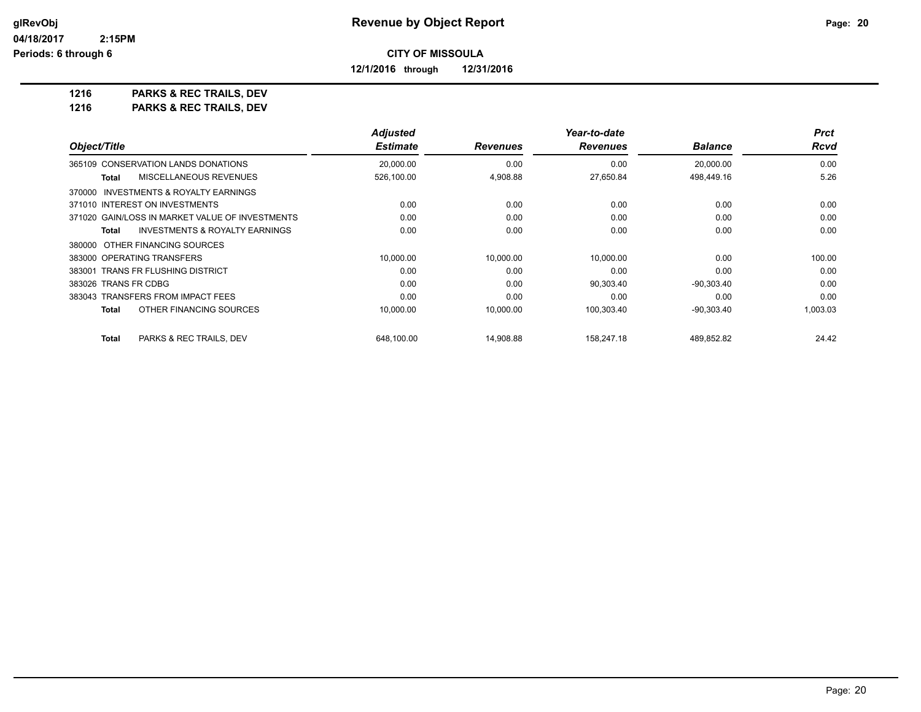**1216 PARKS & REC TRAILS, DEV**

|                                                           | <b>Adjusted</b> |                 | Year-to-date    |                | <b>Prct</b> |
|-----------------------------------------------------------|-----------------|-----------------|-----------------|----------------|-------------|
| Object/Title                                              | <b>Estimate</b> | <b>Revenues</b> | <b>Revenues</b> | <b>Balance</b> | <b>Rcvd</b> |
| 365109 CONSERVATION LANDS DONATIONS                       | 20,000.00       | 0.00            | 0.00            | 20,000.00      | 0.00        |
| MISCELLANEOUS REVENUES<br><b>Total</b>                    | 526,100.00      | 4,908.88        | 27,650.84       | 498,449.16     | 5.26        |
| 370000 INVESTMENTS & ROYALTY EARNINGS                     |                 |                 |                 |                |             |
| 371010 INTEREST ON INVESTMENTS                            | 0.00            | 0.00            | 0.00            | 0.00           | 0.00        |
| 371020 GAIN/LOSS IN MARKET VALUE OF INVESTMENTS           | 0.00            | 0.00            | 0.00            | 0.00           | 0.00        |
| <b>INVESTMENTS &amp; ROYALTY EARNINGS</b><br><b>Total</b> | 0.00            | 0.00            | 0.00            | 0.00           | 0.00        |
| 380000 OTHER FINANCING SOURCES                            |                 |                 |                 |                |             |
| 383000 OPERATING TRANSFERS                                | 10,000.00       | 10,000.00       | 10,000.00       | 0.00           | 100.00      |
| 383001 TRANS FR FLUSHING DISTRICT                         | 0.00            | 0.00            | 0.00            | 0.00           | 0.00        |
| 383026 TRANS FR CDBG                                      | 0.00            | 0.00            | 90,303.40       | $-90,303.40$   | 0.00        |
| 383043 TRANSFERS FROM IMPACT FEES                         | 0.00            | 0.00            | 0.00            | 0.00           | 0.00        |
| OTHER FINANCING SOURCES<br><b>Total</b>                   | 10.000.00       | 10,000.00       | 100,303.40      | $-90,303.40$   | 1.003.03    |
| PARKS & REC TRAILS, DEV<br><b>Total</b>                   | 648.100.00      | 14,908.88       | 158.247.18      | 489.852.82     | 24.42       |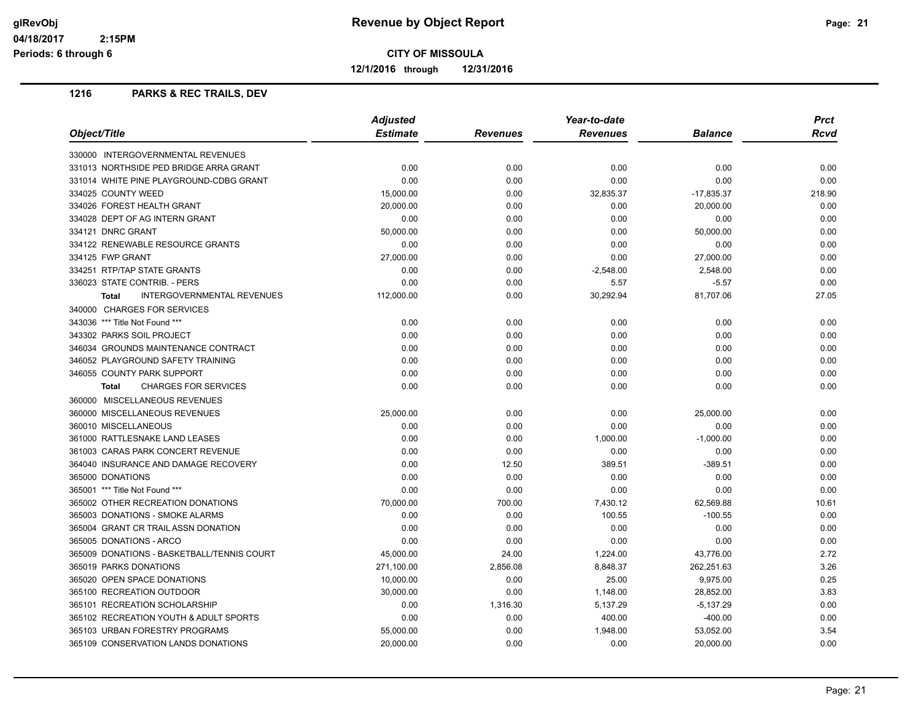**12/1/2016 through 12/31/2016**

|                                                   | <b>Adjusted</b> | Year-to-date    |                 |                | <b>Prct</b> |
|---------------------------------------------------|-----------------|-----------------|-----------------|----------------|-------------|
| Object/Title                                      | <b>Estimate</b> | <b>Revenues</b> | <b>Revenues</b> | <b>Balance</b> | <b>Rcvd</b> |
| 330000 INTERGOVERNMENTAL REVENUES                 |                 |                 |                 |                |             |
| 331013 NORTHSIDE PED BRIDGE ARRA GRANT            | 0.00            | 0.00            | 0.00            | 0.00           | 0.00        |
| 331014 WHITE PINE PLAYGROUND-CDBG GRANT           | 0.00            | 0.00            | 0.00            | 0.00           | 0.00        |
| 334025 COUNTY WEED                                | 15,000.00       | 0.00            | 32,835.37       | $-17,835.37$   | 218.90      |
| 334026 FOREST HEALTH GRANT                        | 20,000.00       | 0.00            | 0.00            | 20,000.00      | 0.00        |
| 334028 DEPT OF AG INTERN GRANT                    | 0.00            | 0.00            | 0.00            | 0.00           | 0.00        |
| 334121 DNRC GRANT                                 | 50,000.00       | 0.00            | 0.00            | 50,000.00      | 0.00        |
| 334122 RENEWABLE RESOURCE GRANTS                  | 0.00            | 0.00            | 0.00            | 0.00           | 0.00        |
| 334125 FWP GRANT                                  | 27,000.00       | 0.00            | 0.00            | 27,000.00      | 0.00        |
| 334251 RTP/TAP STATE GRANTS                       | 0.00            | 0.00            | $-2,548.00$     | 2,548.00       | 0.00        |
| 336023 STATE CONTRIB. - PERS                      | 0.00            | 0.00            | 5.57            | $-5.57$        | 0.00        |
| <b>INTERGOVERNMENTAL REVENUES</b><br><b>Total</b> | 112,000.00      | 0.00            | 30,292.94       | 81,707.06      | 27.05       |
| 340000 CHARGES FOR SERVICES                       |                 |                 |                 |                |             |
| 343036 *** Title Not Found ***                    | 0.00            | 0.00            | 0.00            | 0.00           | 0.00        |
| 343302 PARKS SOIL PROJECT                         | 0.00            | 0.00            | 0.00            | 0.00           | 0.00        |
| 346034 GROUNDS MAINTENANCE CONTRACT               | 0.00            | 0.00            | 0.00            | 0.00           | 0.00        |
| 346052 PLAYGROUND SAFETY TRAINING                 | 0.00            | 0.00            | 0.00            | 0.00           | 0.00        |
| 346055 COUNTY PARK SUPPORT                        | 0.00            | 0.00            | 0.00            | 0.00           | 0.00        |
| <b>CHARGES FOR SERVICES</b><br><b>Total</b>       | 0.00            | 0.00            | 0.00            | 0.00           | 0.00        |
| 360000 MISCELLANEOUS REVENUES                     |                 |                 |                 |                |             |
| 360000 MISCELLANEOUS REVENUES                     | 25,000.00       | 0.00            | 0.00            | 25,000.00      | 0.00        |
| 360010 MISCELLANEOUS                              | 0.00            | 0.00            | 0.00            | 0.00           | 0.00        |
| 361000 RATTLESNAKE LAND LEASES                    | 0.00            | 0.00            | 1,000.00        | $-1,000.00$    | 0.00        |
| 361003 CARAS PARK CONCERT REVENUE                 | 0.00            | 0.00            | 0.00            | 0.00           | 0.00        |
| 364040 INSURANCE AND DAMAGE RECOVERY              | 0.00            | 12.50           | 389.51          | $-389.51$      | 0.00        |
| 365000 DONATIONS                                  | 0.00            | 0.00            | 0.00            | 0.00           | 0.00        |
| 365001 *** Title Not Found ***                    | 0.00            | 0.00            | 0.00            | 0.00           | 0.00        |
| 365002 OTHER RECREATION DONATIONS                 | 70,000.00       | 700.00          | 7,430.12        | 62,569.88      | 10.61       |
| 365003 DONATIONS - SMOKE ALARMS                   | 0.00            | 0.00            | 100.55          | $-100.55$      | 0.00        |
| 365004 GRANT CR TRAIL ASSN DONATION               | 0.00            | 0.00            | 0.00            | 0.00           | 0.00        |
| 365005 DONATIONS - ARCO                           | 0.00            | 0.00            | 0.00            | 0.00           | 0.00        |
| 365009 DONATIONS - BASKETBALL/TENNIS COURT        | 45.000.00       | 24.00           | 1,224.00        | 43.776.00      | 2.72        |
| 365019 PARKS DONATIONS                            | 271,100.00      | 2,856.08        | 8,848.37        | 262,251.63     | 3.26        |
| 365020 OPEN SPACE DONATIONS                       | 10,000.00       | 0.00            | 25.00           | 9,975.00       | 0.25        |
| 365100 RECREATION OUTDOOR                         | 30,000.00       | 0.00            | 1,148.00        | 28,852.00      | 3.83        |
| 365101 RECREATION SCHOLARSHIP                     | 0.00            | 1,316.30        | 5,137.29        | $-5,137.29$    | 0.00        |
| 365102 RECREATION YOUTH & ADULT SPORTS            | 0.00            | 0.00            | 400.00          | $-400.00$      | 0.00        |
| 365103 URBAN FORESTRY PROGRAMS                    | 55,000.00       | 0.00            | 1,948.00        | 53,052.00      | 3.54        |
| 365109 CONSERVATION LANDS DONATIONS               | 20,000.00       | 0.00            | 0.00            | 20,000.00      | 0.00        |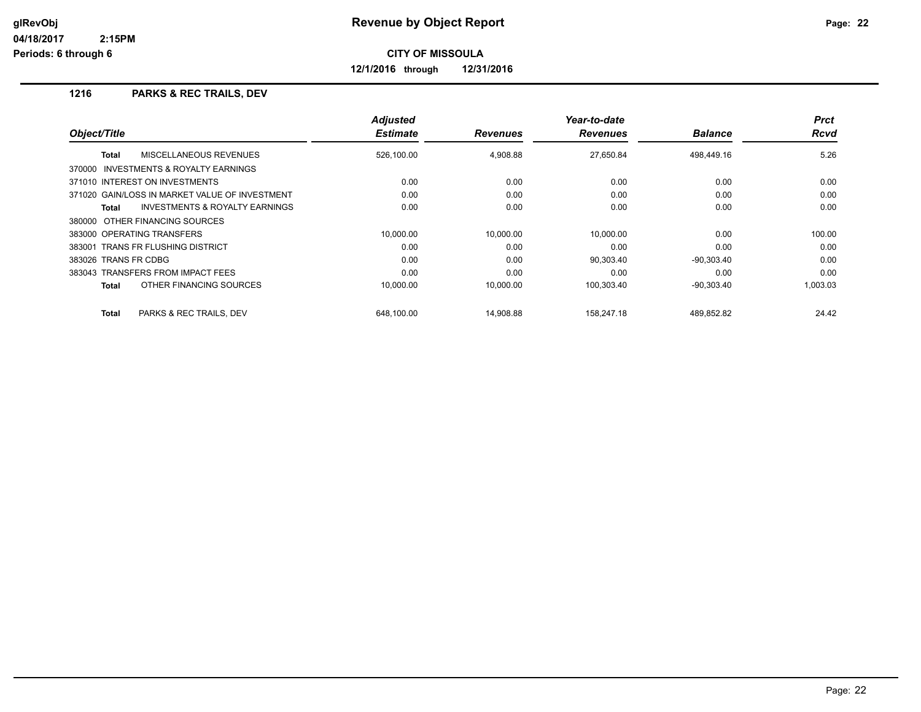**12/1/2016 through 12/31/2016**

|                                                           | <b>Adjusted</b> |                 | Year-to-date    |                | <b>Prct</b> |
|-----------------------------------------------------------|-----------------|-----------------|-----------------|----------------|-------------|
| Object/Title                                              | <b>Estimate</b> | <b>Revenues</b> | <b>Revenues</b> | <b>Balance</b> | Rcvd        |
| MISCELLANEOUS REVENUES<br><b>Total</b>                    | 526,100.00      | 4,908.88        | 27,650.84       | 498,449.16     | 5.26        |
| 370000 INVESTMENTS & ROYALTY EARNINGS                     |                 |                 |                 |                |             |
| 371010 INTEREST ON INVESTMENTS                            | 0.00            | 0.00            | 0.00            | 0.00           | 0.00        |
| 371020 GAIN/LOSS IN MARKET VALUE OF INVESTMENT            | 0.00            | 0.00            | 0.00            | 0.00           | 0.00        |
| <b>INVESTMENTS &amp; ROYALTY EARNINGS</b><br><b>Total</b> | 0.00            | 0.00            | 0.00            | 0.00           | 0.00        |
| 380000 OTHER FINANCING SOURCES                            |                 |                 |                 |                |             |
| 383000 OPERATING TRANSFERS                                | 10.000.00       | 10.000.00       | 10.000.00       | 0.00           | 100.00      |
| 383001 TRANS FR FLUSHING DISTRICT                         | 0.00            | 0.00            | 0.00            | 0.00           | 0.00        |
| 383026 TRANS FR CDBG                                      | 0.00            | 0.00            | 90,303.40       | $-90,303.40$   | 0.00        |
| 383043 TRANSFERS FROM IMPACT FEES                         | 0.00            | 0.00            | 0.00            | 0.00           | 0.00        |
| <b>Total</b><br>OTHER FINANCING SOURCES                   | 10,000.00       | 10,000.00       | 100,303.40      | $-90,303.40$   | 1.003.03    |
| <b>Total</b><br>PARKS & REC TRAILS, DEV                   | 648.100.00      | 14.908.88       | 158.247.18      | 489.852.82     | 24.42       |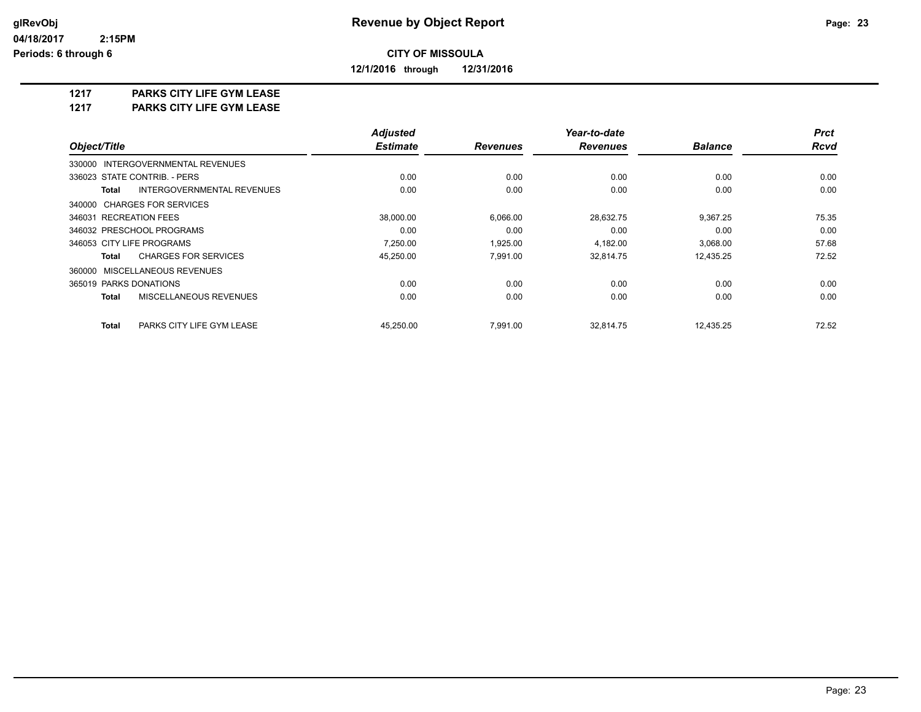**12/1/2016 through 12/31/2016**

### **1217 PARKS CITY LIFE GYM LEASE**

**1217 PARKS CITY LIFE GYM LEASE**

|                                           | <b>Adjusted</b> |                 | Year-to-date    |                | <b>Prct</b> |
|-------------------------------------------|-----------------|-----------------|-----------------|----------------|-------------|
| Object/Title                              | <b>Estimate</b> | <b>Revenues</b> | <b>Revenues</b> | <b>Balance</b> | Rcvd        |
| 330000 INTERGOVERNMENTAL REVENUES         |                 |                 |                 |                |             |
| 336023 STATE CONTRIB. - PERS              | 0.00            | 0.00            | 0.00            | 0.00           | 0.00        |
| INTERGOVERNMENTAL REVENUES<br>Total       | 0.00            | 0.00            | 0.00            | 0.00           | 0.00        |
| 340000 CHARGES FOR SERVICES               |                 |                 |                 |                |             |
| 346031 RECREATION FEES                    | 38.000.00       | 6.066.00        | 28.632.75       | 9.367.25       | 75.35       |
| 346032 PRESCHOOL PROGRAMS                 | 0.00            | 0.00            | 0.00            | 0.00           | 0.00        |
| 346053 CITY LIFE PROGRAMS                 | 7,250.00        | 1,925.00        | 4,182.00        | 3,068.00       | 57.68       |
| <b>CHARGES FOR SERVICES</b><br>Total      | 45,250.00       | 7,991.00        | 32,814.75       | 12,435.25      | 72.52       |
| 360000 MISCELLANEOUS REVENUES             |                 |                 |                 |                |             |
| 365019 PARKS DONATIONS                    | 0.00            | 0.00            | 0.00            | 0.00           | 0.00        |
| MISCELLANEOUS REVENUES<br>Total           | 0.00            | 0.00            | 0.00            | 0.00           | 0.00        |
| PARKS CITY LIFE GYM LEASE<br><b>Total</b> | 45.250.00       | 7.991.00        | 32.814.75       | 12.435.25      | 72.52       |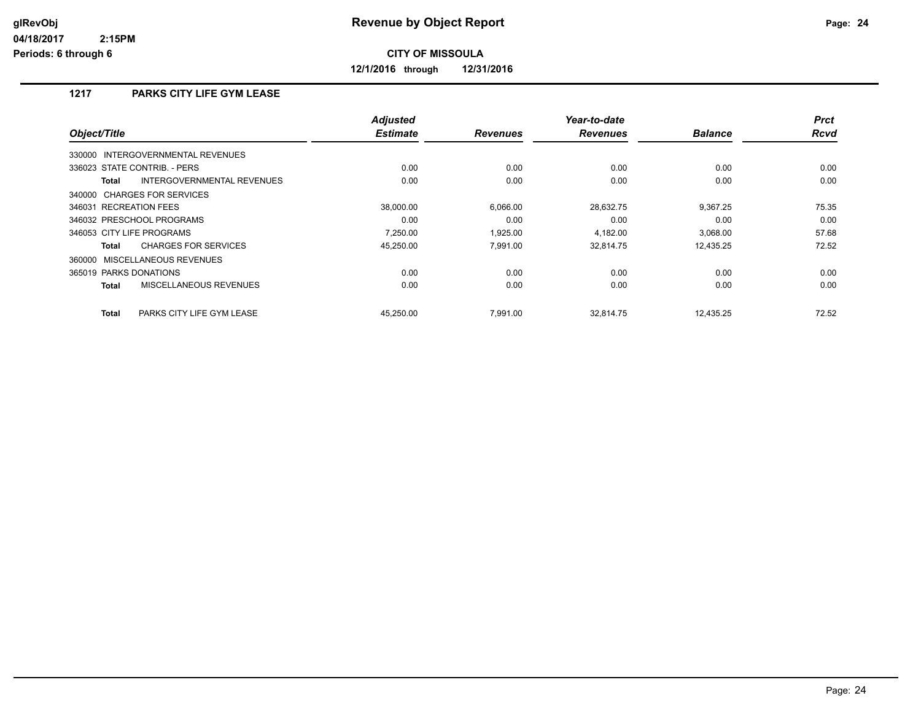**12/1/2016 through 12/31/2016**

### **1217 PARKS CITY LIFE GYM LEASE**

| Object/Title                                      | <b>Adjusted</b><br><b>Estimate</b> | <b>Revenues</b> | Year-to-date<br><b>Revenues</b> | <b>Balance</b> | <b>Prct</b><br><b>Rcvd</b> |
|---------------------------------------------------|------------------------------------|-----------------|---------------------------------|----------------|----------------------------|
| <b>INTERGOVERNMENTAL REVENUES</b><br>330000       |                                    |                 |                                 |                |                            |
| 336023 STATE CONTRIB. - PERS                      | 0.00                               | 0.00            | 0.00                            | 0.00           | 0.00                       |
| <b>INTERGOVERNMENTAL REVENUES</b><br><b>Total</b> | 0.00                               | 0.00            | 0.00                            | 0.00           | 0.00                       |
| 340000 CHARGES FOR SERVICES                       |                                    |                 |                                 |                |                            |
| 346031 RECREATION FEES                            | 38.000.00                          | 6,066.00        | 28,632.75                       | 9.367.25       | 75.35                      |
| 346032 PRESCHOOL PROGRAMS                         | 0.00                               | 0.00            | 0.00                            | 0.00           | 0.00                       |
| 346053 CITY LIFE PROGRAMS                         | 7.250.00                           | 1,925.00        | 4,182.00                        | 3,068.00       | 57.68                      |
| <b>CHARGES FOR SERVICES</b><br><b>Total</b>       | 45,250.00                          | 7.991.00        | 32.814.75                       | 12,435.25      | 72.52                      |
| MISCELLANEOUS REVENUES<br>360000                  |                                    |                 |                                 |                |                            |
| 365019 PARKS DONATIONS                            | 0.00                               | 0.00            | 0.00                            | 0.00           | 0.00                       |
| MISCELLANEOUS REVENUES<br><b>Total</b>            | 0.00                               | 0.00            | 0.00                            | 0.00           | 0.00                       |
| PARKS CITY LIFE GYM LEASE<br><b>Total</b>         | 45,250.00                          | 7,991.00        | 32,814.75                       | 12,435.25      | 72.52                      |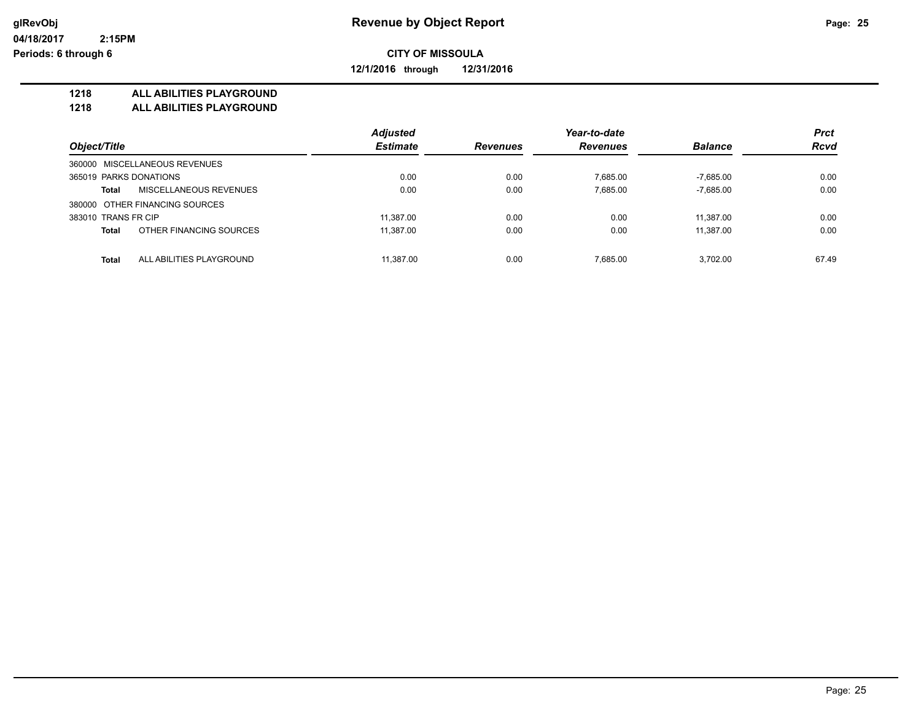**1218 ALL ABILITIES PLAYGROUND 1218 ALL ABILITIES PLAYGROUND**

|                                   | <b>Adjusted</b> |                 | Year-to-date    |                | <b>Prct</b> |
|-----------------------------------|-----------------|-----------------|-----------------|----------------|-------------|
| Object/Title                      | <b>Estimate</b> | <b>Revenues</b> | <b>Revenues</b> | <b>Balance</b> | <b>Rcvd</b> |
| 360000 MISCELLANEOUS REVENUES     |                 |                 |                 |                |             |
| 365019 PARKS DONATIONS            | 0.00            | 0.00            | 7.685.00        | $-7.685.00$    | 0.00        |
| MISCELLANEOUS REVENUES<br>Total   | 0.00            | 0.00            | 7.685.00        | $-7,685.00$    | 0.00        |
| 380000 OTHER FINANCING SOURCES    |                 |                 |                 |                |             |
| 383010 TRANS FR CIP               | 11.387.00       | 0.00            | 0.00            | 11.387.00      | 0.00        |
| OTHER FINANCING SOURCES<br>Total  | 11.387.00       | 0.00            | 0.00            | 11.387.00      | 0.00        |
|                                   |                 |                 |                 |                |             |
| ALL ABILITIES PLAYGROUND<br>Total | 11.387.00       | 0.00            | 7.685.00        | 3.702.00       | 67.49       |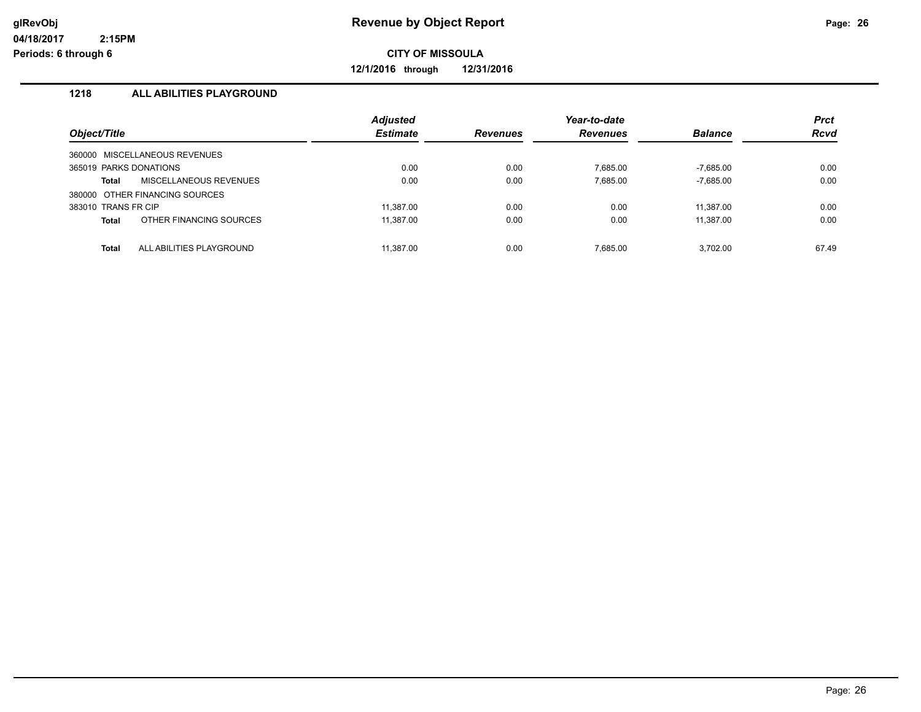**12/1/2016 through 12/31/2016**

### **1218 ALL ABILITIES PLAYGROUND**

|                        |                                | <b>Adjusted</b> |                 | Year-to-date    |                | <b>Prct</b> |
|------------------------|--------------------------------|-----------------|-----------------|-----------------|----------------|-------------|
| Object/Title           |                                | <b>Estimate</b> | <b>Revenues</b> | <b>Revenues</b> | <b>Balance</b> | <b>Rcvd</b> |
|                        | 360000 MISCELLANEOUS REVENUES  |                 |                 |                 |                |             |
| 365019 PARKS DONATIONS |                                | 0.00            | 0.00            | 7.685.00        | $-7.685.00$    | 0.00        |
| Total                  | MISCELLANEOUS REVENUES         | 0.00            | 0.00            | 7.685.00        | $-7.685.00$    | 0.00        |
|                        | 380000 OTHER FINANCING SOURCES |                 |                 |                 |                |             |
| 383010 TRANS FR CIP    |                                | 11.387.00       | 0.00            | 0.00            | 11.387.00      | 0.00        |
| Total                  | OTHER FINANCING SOURCES        | 11.387.00       | 0.00            | 0.00            | 11.387.00      | 0.00        |
| <b>Total</b>           | ALL ABILITIES PLAYGROUND       | 11.387.00       | 0.00            | 7.685.00        | 3.702.00       | 67.49       |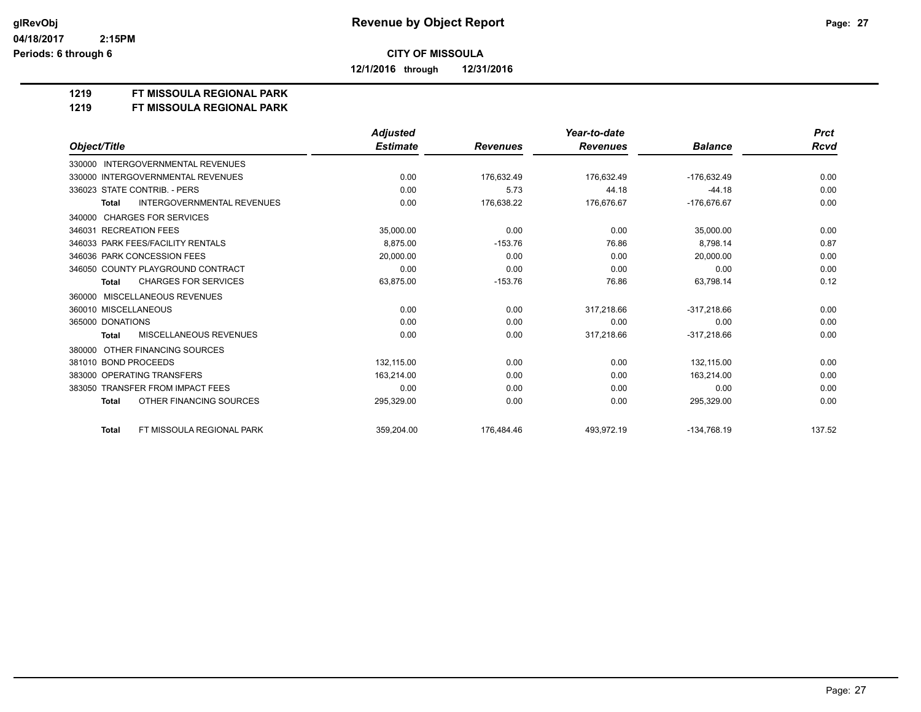**12/1/2016 through 12/31/2016**

### **1219 FT MISSOULA REGIONAL PARK**

### **1219 FT MISSOULA REGIONAL PARK**

|                                                   | <b>Adjusted</b> |                 | Year-to-date    |                | <b>Prct</b> |
|---------------------------------------------------|-----------------|-----------------|-----------------|----------------|-------------|
| Object/Title                                      | <b>Estimate</b> | <b>Revenues</b> | <b>Revenues</b> | <b>Balance</b> | Rcvd        |
| 330000 INTERGOVERNMENTAL REVENUES                 |                 |                 |                 |                |             |
| 330000 INTERGOVERNMENTAL REVENUES                 | 0.00            | 176.632.49      | 176.632.49      | $-176.632.49$  | 0.00        |
| 336023 STATE CONTRIB. - PERS                      | 0.00            | 5.73            | 44.18           | $-44.18$       | 0.00        |
| <b>INTERGOVERNMENTAL REVENUES</b><br><b>Total</b> | 0.00            | 176,638.22      | 176,676.67      | -176,676.67    | 0.00        |
| 340000 CHARGES FOR SERVICES                       |                 |                 |                 |                |             |
| 346031 RECREATION FEES                            | 35,000.00       | 0.00            | 0.00            | 35,000.00      | 0.00        |
| 346033 PARK FEES/FACILITY RENTALS                 | 8,875.00        | $-153.76$       | 76.86           | 8,798.14       | 0.87        |
| 346036 PARK CONCESSION FEES                       | 20,000.00       | 0.00            | 0.00            | 20,000.00      | 0.00        |
| 346050 COUNTY PLAYGROUND CONTRACT                 | 0.00            | 0.00            | 0.00            | 0.00           | 0.00        |
| <b>CHARGES FOR SERVICES</b><br><b>Total</b>       | 63,875.00       | $-153.76$       | 76.86           | 63,798.14      | 0.12        |
| 360000 MISCELLANEOUS REVENUES                     |                 |                 |                 |                |             |
| 360010 MISCELLANEOUS                              | 0.00            | 0.00            | 317.218.66      | $-317,218.66$  | 0.00        |
| 365000 DONATIONS                                  | 0.00            | 0.00            | 0.00            | 0.00           | 0.00        |
| <b>MISCELLANEOUS REVENUES</b><br>Total            | 0.00            | 0.00            | 317,218.66      | $-317,218.66$  | 0.00        |
| 380000 OTHER FINANCING SOURCES                    |                 |                 |                 |                |             |
| 381010 BOND PROCEEDS                              | 132,115.00      | 0.00            | 0.00            | 132.115.00     | 0.00        |
| 383000 OPERATING TRANSFERS                        | 163.214.00      | 0.00            | 0.00            | 163.214.00     | 0.00        |
| 383050 TRANSFER FROM IMPACT FEES                  | 0.00            | 0.00            | 0.00            | 0.00           | 0.00        |
| OTHER FINANCING SOURCES<br><b>Total</b>           | 295,329.00      | 0.00            | 0.00            | 295,329.00     | 0.00        |
| FT MISSOULA REGIONAL PARK<br>Total                | 359.204.00      | 176.484.46      | 493.972.19      | $-134.768.19$  | 137.52      |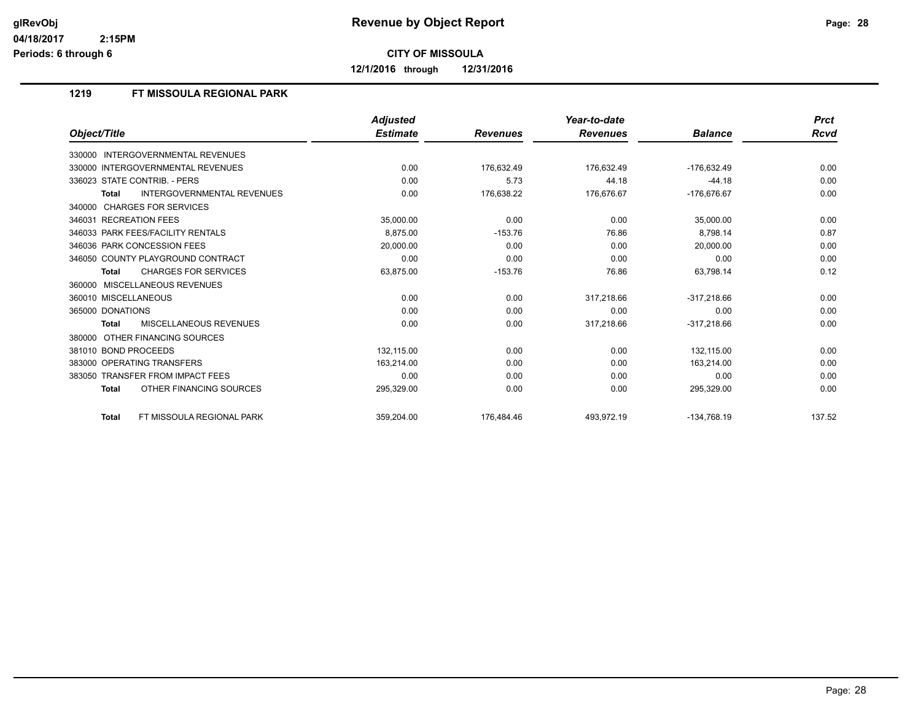**12/1/2016 through 12/31/2016**

### **1219 FT MISSOULA REGIONAL PARK**

|                                                   | <b>Adjusted</b> |                 | Year-to-date    |                | <b>Prct</b> |
|---------------------------------------------------|-----------------|-----------------|-----------------|----------------|-------------|
| Object/Title                                      | <b>Estimate</b> | <b>Revenues</b> | <b>Revenues</b> | <b>Balance</b> | Rcvd        |
| 330000 INTERGOVERNMENTAL REVENUES                 |                 |                 |                 |                |             |
| 330000 INTERGOVERNMENTAL REVENUES                 | 0.00            | 176,632.49      | 176.632.49      | $-176.632.49$  | 0.00        |
| 336023 STATE CONTRIB. - PERS                      | 0.00            | 5.73            | 44.18           | $-44.18$       | 0.00        |
| <b>INTERGOVERNMENTAL REVENUES</b><br><b>Total</b> | 0.00            | 176,638.22      | 176,676.67      | -176,676.67    | 0.00        |
| 340000 CHARGES FOR SERVICES                       |                 |                 |                 |                |             |
| 346031 RECREATION FEES                            | 35,000.00       | 0.00            | 0.00            | 35,000.00      | 0.00        |
| 346033 PARK FEES/FACILITY RENTALS                 | 8,875.00        | $-153.76$       | 76.86           | 8,798.14       | 0.87        |
| 346036 PARK CONCESSION FEES                       | 20,000.00       | 0.00            | 0.00            | 20,000.00      | 0.00        |
| 346050 COUNTY PLAYGROUND CONTRACT                 | 0.00            | 0.00            | 0.00            | 0.00           | 0.00        |
| <b>CHARGES FOR SERVICES</b><br><b>Total</b>       | 63,875.00       | $-153.76$       | 76.86           | 63,798.14      | 0.12        |
| 360000 MISCELLANEOUS REVENUES                     |                 |                 |                 |                |             |
| 360010 MISCELLANEOUS                              | 0.00            | 0.00            | 317,218.66      | $-317,218.66$  | 0.00        |
| 365000 DONATIONS                                  | 0.00            | 0.00            | 0.00            | 0.00           | 0.00        |
| MISCELLANEOUS REVENUES<br>Total                   | 0.00            | 0.00            | 317,218.66      | $-317,218.66$  | 0.00        |
| 380000 OTHER FINANCING SOURCES                    |                 |                 |                 |                |             |
| 381010 BOND PROCEEDS                              | 132.115.00      | 0.00            | 0.00            | 132,115.00     | 0.00        |
| 383000 OPERATING TRANSFERS                        | 163.214.00      | 0.00            | 0.00            | 163.214.00     | 0.00        |
| 383050 TRANSFER FROM IMPACT FEES                  | 0.00            | 0.00            | 0.00            | 0.00           | 0.00        |
| OTHER FINANCING SOURCES<br>Total                  | 295,329.00      | 0.00            | 0.00            | 295,329.00     | 0.00        |
| FT MISSOULA REGIONAL PARK<br><b>Total</b>         | 359,204.00      | 176,484.46      | 493,972.19      | $-134,768.19$  | 137.52      |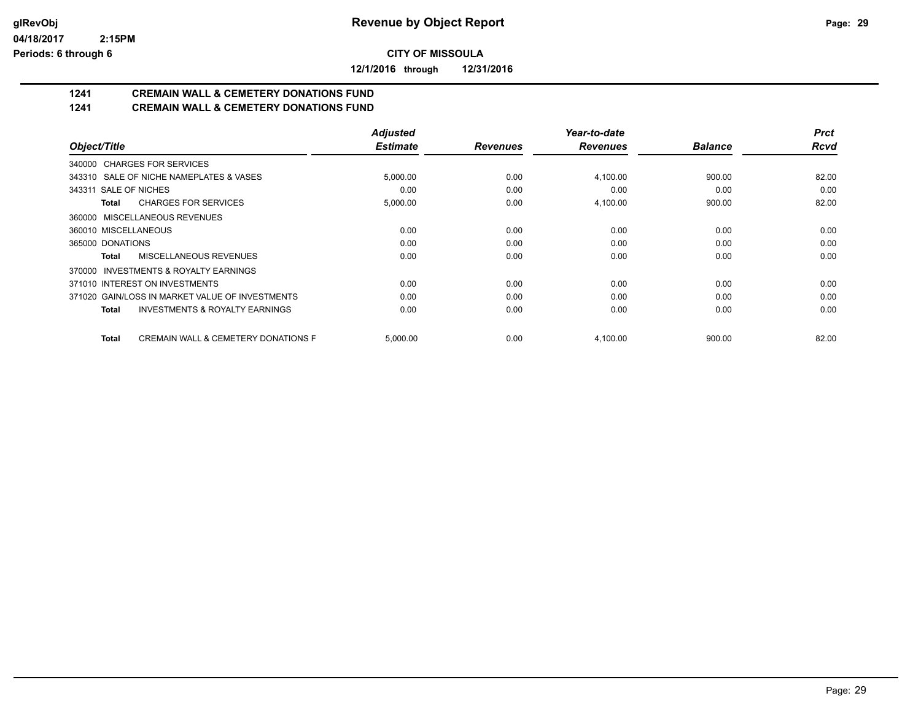**12/1/2016 through 12/31/2016**

### **1241 CREMAIN WALL & CEMETERY DONATIONS FUND 1241 CREMAIN WALL & CEMETERY DONATIONS FUND**

|                                                                | <b>Adjusted</b> |                 | Year-to-date    |                | <b>Prct</b> |
|----------------------------------------------------------------|-----------------|-----------------|-----------------|----------------|-------------|
| Object/Title                                                   | <b>Estimate</b> | <b>Revenues</b> | <b>Revenues</b> | <b>Balance</b> | <b>Rcvd</b> |
| 340000 CHARGES FOR SERVICES                                    |                 |                 |                 |                |             |
| 343310 SALE OF NICHE NAMEPLATES & VASES                        | 5,000.00        | 0.00            | 4,100.00        | 900.00         | 82.00       |
| <b>SALE OF NICHES</b><br>343311                                | 0.00            | 0.00            | 0.00            | 0.00           | 0.00        |
| <b>CHARGES FOR SERVICES</b><br>Total                           | 5,000.00        | 0.00            | 4,100.00        | 900.00         | 82.00       |
| 360000 MISCELLANEOUS REVENUES                                  |                 |                 |                 |                |             |
| 360010 MISCELLANEOUS                                           | 0.00            | 0.00            | 0.00            | 0.00           | 0.00        |
| 365000 DONATIONS                                               | 0.00            | 0.00            | 0.00            | 0.00           | 0.00        |
| <b>MISCELLANEOUS REVENUES</b><br>Total                         | 0.00            | 0.00            | 0.00            | 0.00           | 0.00        |
| <b>INVESTMENTS &amp; ROYALTY EARNINGS</b><br>370000            |                 |                 |                 |                |             |
| 371010 INTEREST ON INVESTMENTS                                 | 0.00            | 0.00            | 0.00            | 0.00           | 0.00        |
| 371020 GAIN/LOSS IN MARKET VALUE OF INVESTMENTS                | 0.00            | 0.00            | 0.00            | 0.00           | 0.00        |
| <b>INVESTMENTS &amp; ROYALTY EARNINGS</b><br>Total             | 0.00            | 0.00            | 0.00            | 0.00           | 0.00        |
| <b>CREMAIN WALL &amp; CEMETERY DONATIONS F</b><br><b>Total</b> | 5,000.00        | 0.00            | 4,100.00        | 900.00         | 82.00       |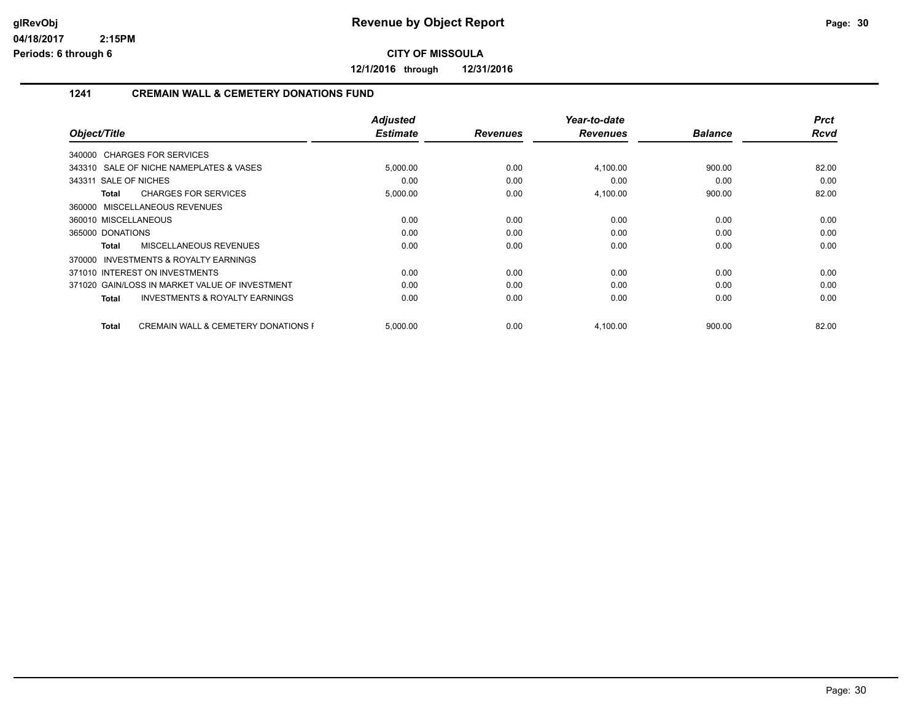**12/1/2016 through 12/31/2016**

### **1241 CREMAIN WALL & CEMETERY DONATIONS FUND**

|                                                                | <b>Adjusted</b> |                 | Year-to-date    |                | <b>Prct</b> |
|----------------------------------------------------------------|-----------------|-----------------|-----------------|----------------|-------------|
| Object/Title                                                   | <b>Estimate</b> | <b>Revenues</b> | <b>Revenues</b> | <b>Balance</b> | <b>Rcvd</b> |
| 340000 CHARGES FOR SERVICES                                    |                 |                 |                 |                |             |
| 343310 SALE OF NICHE NAMEPLATES & VASES                        | 5,000.00        | 0.00            | 4,100.00        | 900.00         | 82.00       |
| 343311 SALE OF NICHES                                          | 0.00            | 0.00            | 0.00            | 0.00           | 0.00        |
| <b>CHARGES FOR SERVICES</b><br>Total                           | 5,000.00        | 0.00            | 4,100.00        | 900.00         | 82.00       |
| 360000 MISCELLANEOUS REVENUES                                  |                 |                 |                 |                |             |
| 360010 MISCELLANEOUS                                           | 0.00            | 0.00            | 0.00            | 0.00           | 0.00        |
| 365000 DONATIONS                                               | 0.00            | 0.00            | 0.00            | 0.00           | 0.00        |
| MISCELLANEOUS REVENUES<br><b>Total</b>                         | 0.00            | 0.00            | 0.00            | 0.00           | 0.00        |
| 370000 INVESTMENTS & ROYALTY EARNINGS                          |                 |                 |                 |                |             |
| 371010 INTEREST ON INVESTMENTS                                 | 0.00            | 0.00            | 0.00            | 0.00           | 0.00        |
| 371020 GAIN/LOSS IN MARKET VALUE OF INVESTMENT                 | 0.00            | 0.00            | 0.00            | 0.00           | 0.00        |
| <b>INVESTMENTS &amp; ROYALTY EARNINGS</b><br>Total             | 0.00            | 0.00            | 0.00            | 0.00           | 0.00        |
| <b>CREMAIN WALL &amp; CEMETERY DONATIONS F</b><br><b>Total</b> | 5,000.00        | 0.00            | 4,100.00        | 900.00         | 82.00       |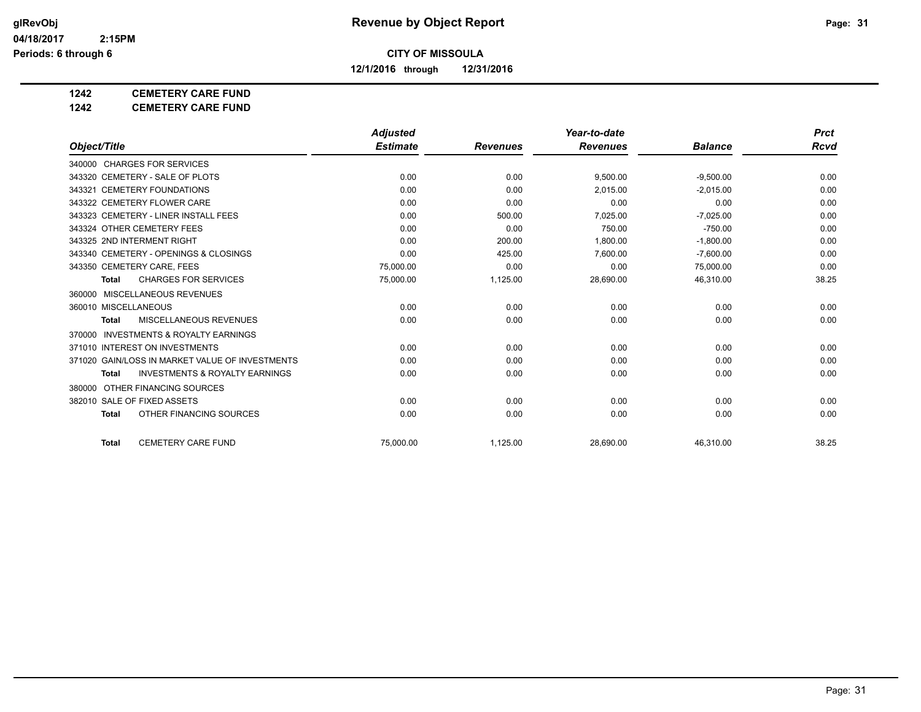**12/1/2016 through 12/31/2016**

**1242 CEMETERY CARE FUND**

**1242 CEMETERY CARE FUND**

|                                                           | <b>Adjusted</b> |                 | Year-to-date    |                | <b>Prct</b> |
|-----------------------------------------------------------|-----------------|-----------------|-----------------|----------------|-------------|
| Object/Title                                              | <b>Estimate</b> | <b>Revenues</b> | <b>Revenues</b> | <b>Balance</b> | Rcvd        |
| 340000 CHARGES FOR SERVICES                               |                 |                 |                 |                |             |
| 343320 CEMETERY - SALE OF PLOTS                           | 0.00            | 0.00            | 9,500.00        | $-9,500.00$    | 0.00        |
| 343321 CEMETERY FOUNDATIONS                               | 0.00            | 0.00            | 2.015.00        | $-2.015.00$    | 0.00        |
| 343322 CEMETERY FLOWER CARE                               | 0.00            | 0.00            | 0.00            | 0.00           | 0.00        |
| 343323 CEMETERY - LINER INSTALL FEES                      | 0.00            | 500.00          | 7,025.00        | $-7,025.00$    | 0.00        |
| 343324 OTHER CEMETERY FEES                                | 0.00            | 0.00            | 750.00          | $-750.00$      | 0.00        |
| 343325 2ND INTERMENT RIGHT                                | 0.00            | 200.00          | 1.800.00        | $-1,800.00$    | 0.00        |
| 343340 CEMETERY - OPENINGS & CLOSINGS                     | 0.00            | 425.00          | 7.600.00        | $-7.600.00$    | 0.00        |
| 343350 CEMETERY CARE, FEES                                | 75,000.00       | 0.00            | 0.00            | 75,000.00      | 0.00        |
| <b>CHARGES FOR SERVICES</b><br><b>Total</b>               | 75,000.00       | 1,125.00        | 28,690.00       | 46,310.00      | 38.25       |
| 360000 MISCELLANEOUS REVENUES                             |                 |                 |                 |                |             |
| 360010 MISCELLANEOUS                                      | 0.00            | 0.00            | 0.00            | 0.00           | 0.00        |
| MISCELLANEOUS REVENUES<br><b>Total</b>                    | 0.00            | 0.00            | 0.00            | 0.00           | 0.00        |
| <b>INVESTMENTS &amp; ROYALTY EARNINGS</b><br>370000       |                 |                 |                 |                |             |
| 371010 INTEREST ON INVESTMENTS                            | 0.00            | 0.00            | 0.00            | 0.00           | 0.00        |
| 371020 GAIN/LOSS IN MARKET VALUE OF INVESTMENTS           | 0.00            | 0.00            | 0.00            | 0.00           | 0.00        |
| <b>INVESTMENTS &amp; ROYALTY EARNINGS</b><br><b>Total</b> | 0.00            | 0.00            | 0.00            | 0.00           | 0.00        |
| 380000 OTHER FINANCING SOURCES                            |                 |                 |                 |                |             |
| 382010 SALE OF FIXED ASSETS                               | 0.00            | 0.00            | 0.00            | 0.00           | 0.00        |
| OTHER FINANCING SOURCES<br><b>Total</b>                   | 0.00            | 0.00            | 0.00            | 0.00           | 0.00        |
| <b>CEMETERY CARE FUND</b><br><b>Total</b>                 | 75.000.00       | 1,125.00        | 28.690.00       | 46.310.00      | 38.25       |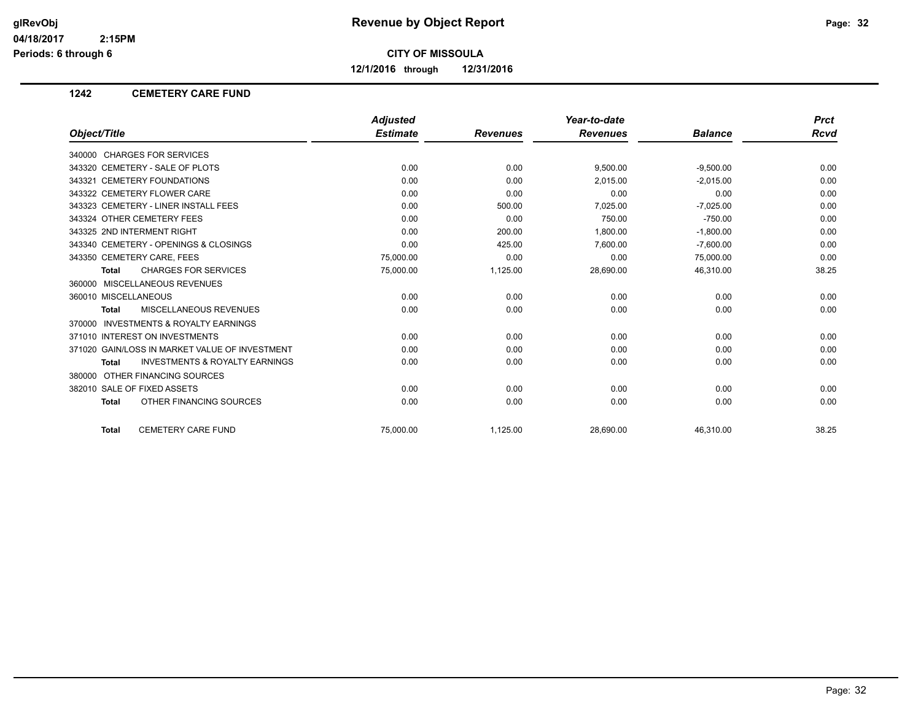**12/1/2016 through 12/31/2016**

### **1242 CEMETERY CARE FUND**

|                                                           | <b>Adjusted</b> |                 | Year-to-date    |                | <b>Prct</b> |
|-----------------------------------------------------------|-----------------|-----------------|-----------------|----------------|-------------|
| Object/Title                                              | <b>Estimate</b> | <b>Revenues</b> | <b>Revenues</b> | <b>Balance</b> | Rcvd        |
| 340000 CHARGES FOR SERVICES                               |                 |                 |                 |                |             |
| 343320 CEMETERY - SALE OF PLOTS                           | 0.00            | 0.00            | 9,500.00        | $-9,500.00$    | 0.00        |
| 343321 CEMETERY FOUNDATIONS                               | 0.00            | 0.00            | 2,015.00        | $-2,015.00$    | 0.00        |
| 343322 CEMETERY FLOWER CARE                               | 0.00            | 0.00            | 0.00            | 0.00           | 0.00        |
| 343323 CEMETERY - LINER INSTALL FEES                      | 0.00            | 500.00          | 7,025.00        | $-7,025.00$    | 0.00        |
| 343324 OTHER CEMETERY FEES                                | 0.00            | 0.00            | 750.00          | $-750.00$      | 0.00        |
| 343325 2ND INTERMENT RIGHT                                | 0.00            | 200.00          | 1,800.00        | $-1,800.00$    | 0.00        |
| 343340 CEMETERY - OPENINGS & CLOSINGS                     | 0.00            | 425.00          | 7.600.00        | $-7.600.00$    | 0.00        |
| 343350 CEMETERY CARE, FEES                                | 75,000.00       | 0.00            | 0.00            | 75,000.00      | 0.00        |
| <b>CHARGES FOR SERVICES</b><br>Total                      | 75,000.00       | 1,125.00        | 28,690.00       | 46,310.00      | 38.25       |
| 360000 MISCELLANEOUS REVENUES                             |                 |                 |                 |                |             |
| 360010 MISCELLANEOUS                                      | 0.00            | 0.00            | 0.00            | 0.00           | 0.00        |
| <b>MISCELLANEOUS REVENUES</b><br><b>Total</b>             | 0.00            | 0.00            | 0.00            | 0.00           | 0.00        |
| <b>INVESTMENTS &amp; ROYALTY EARNINGS</b><br>370000       |                 |                 |                 |                |             |
| 371010 INTEREST ON INVESTMENTS                            | 0.00            | 0.00            | 0.00            | 0.00           | 0.00        |
| 371020 GAIN/LOSS IN MARKET VALUE OF INVESTMENT            | 0.00            | 0.00            | 0.00            | 0.00           | 0.00        |
| <b>INVESTMENTS &amp; ROYALTY EARNINGS</b><br><b>Total</b> | 0.00            | 0.00            | 0.00            | 0.00           | 0.00        |
| 380000 OTHER FINANCING SOURCES                            |                 |                 |                 |                |             |
| 382010 SALE OF FIXED ASSETS                               | 0.00            | 0.00            | 0.00            | 0.00           | 0.00        |
| OTHER FINANCING SOURCES<br><b>Total</b>                   | 0.00            | 0.00            | 0.00            | 0.00           | 0.00        |
| <b>CEMETERY CARE FUND</b><br><b>Total</b>                 | 75.000.00       | 1.125.00        | 28.690.00       | 46.310.00      | 38.25       |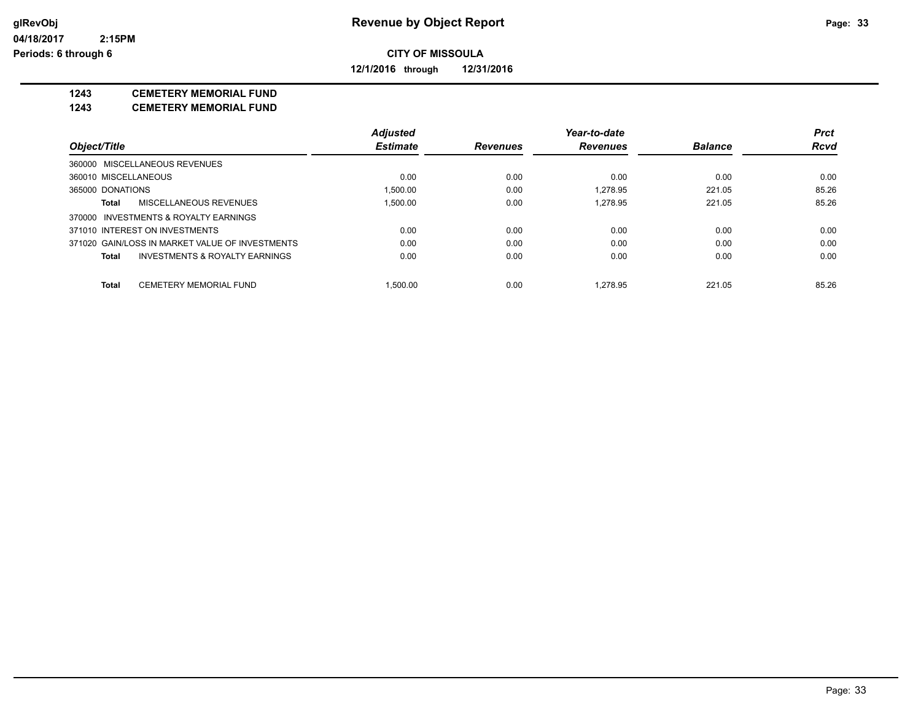**1243 CEMETERY MEMORIAL FUND**

**1243 CEMETERY MEMORIAL FUND**

|                                                    | <b>Adjusted</b> |          | Year-to-date    |                | <b>Prct</b> |
|----------------------------------------------------|-----------------|----------|-----------------|----------------|-------------|
| Object/Title                                       | <b>Estimate</b> | Revenues | <b>Revenues</b> | <b>Balance</b> | <b>Rcvd</b> |
| 360000 MISCELLANEOUS REVENUES                      |                 |          |                 |                |             |
| 360010 MISCELLANEOUS                               | 0.00            | 0.00     | 0.00            | 0.00           | 0.00        |
| 365000 DONATIONS                                   | 1.500.00        | 0.00     | 1.278.95        | 221.05         | 85.26       |
| MISCELLANEOUS REVENUES<br>Total                    | 1.500.00        | 0.00     | 1.278.95        | 221.05         | 85.26       |
| 370000 INVESTMENTS & ROYALTY EARNINGS              |                 |          |                 |                |             |
| 371010 INTEREST ON INVESTMENTS                     | 0.00            | 0.00     | 0.00            | 0.00           | 0.00        |
| 371020 GAIN/LOSS IN MARKET VALUE OF INVESTMENTS    | 0.00            | 0.00     | 0.00            | 0.00           | 0.00        |
| <b>INVESTMENTS &amp; ROYALTY EARNINGS</b><br>Total | 0.00            | 0.00     | 0.00            | 0.00           | 0.00        |
| CEMETERY MEMORIAL FUND<br><b>Total</b>             | 1.500.00        | 0.00     | 1.278.95        | 221.05         | 85.26       |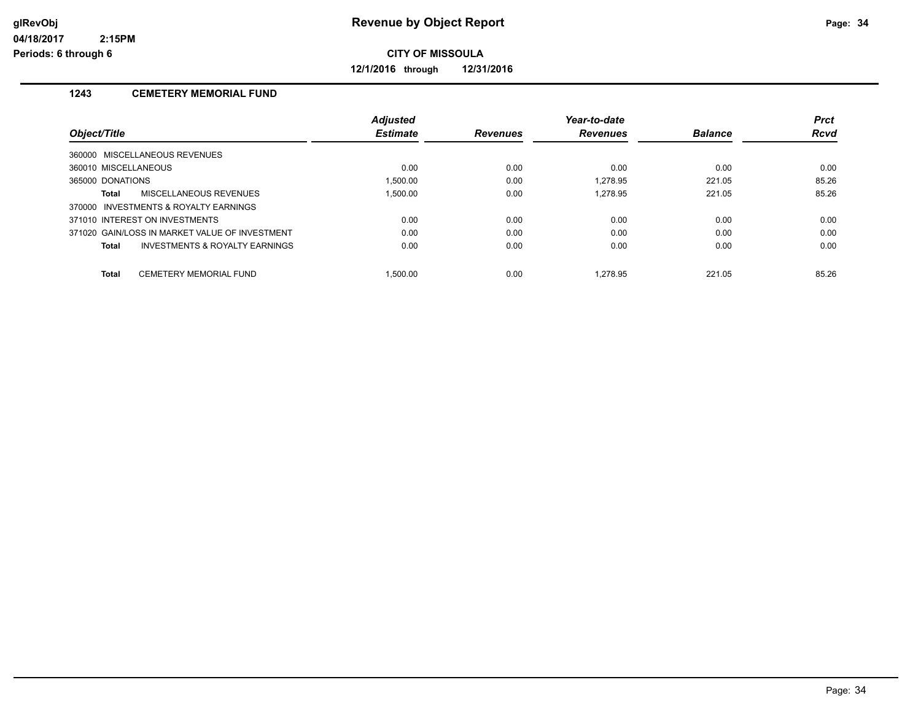**12/1/2016 through 12/31/2016**

### **1243 CEMETERY MEMORIAL FUND**

|                      |                                                | <b>Adiusted</b> |                 | Year-to-date    |                | <b>Prct</b> |
|----------------------|------------------------------------------------|-----------------|-----------------|-----------------|----------------|-------------|
| Object/Title         |                                                | <b>Estimate</b> | <b>Revenues</b> | <b>Revenues</b> | <b>Balance</b> | <b>Rcvd</b> |
| 360000               | MISCELLANEOUS REVENUES                         |                 |                 |                 |                |             |
| 360010 MISCELLANEOUS |                                                | 0.00            | 0.00            | 0.00            | 0.00           | 0.00        |
| 365000 DONATIONS     |                                                | 1.500.00        | 0.00            | 1.278.95        | 221.05         | 85.26       |
| Total                | MISCELLANEOUS REVENUES                         | 1.500.00        | 0.00            | 1.278.95        | 221.05         | 85.26       |
|                      | 370000 INVESTMENTS & ROYALTY EARNINGS          |                 |                 |                 |                |             |
|                      | 371010 INTEREST ON INVESTMENTS                 | 0.00            | 0.00            | 0.00            | 0.00           | 0.00        |
|                      | 371020 GAIN/LOSS IN MARKET VALUE OF INVESTMENT | 0.00            | 0.00            | 0.00            | 0.00           | 0.00        |
| Total                | INVESTMENTS & ROYALTY EARNINGS                 | 0.00            | 0.00            | 0.00            | 0.00           | 0.00        |
| <b>Total</b>         | <b>CEMETERY MEMORIAL FUND</b>                  | 1.500.00        | 0.00            | 1.278.95        | 221.05         | 85.26       |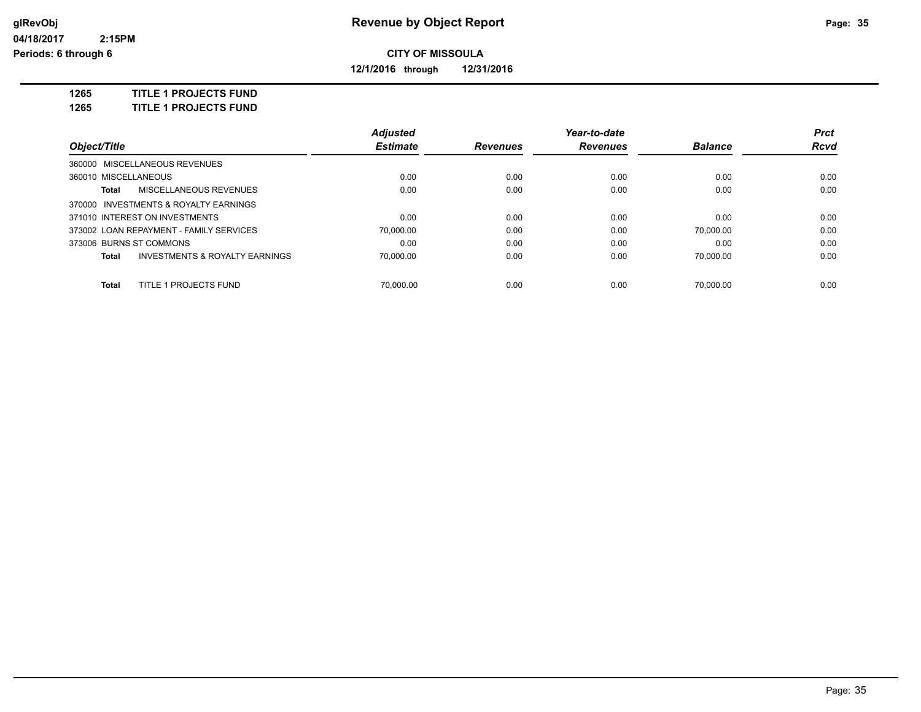**12/1/2016 through 12/31/2016**

**1265 TITLE 1 PROJECTS FUND**

**1265 TITLE 1 PROJECTS FUND**

|                                         | <b>Adjusted</b> |                 | Year-to-date    |                | <b>Prct</b> |
|-----------------------------------------|-----------------|-----------------|-----------------|----------------|-------------|
| Object/Title                            | <b>Estimate</b> | <b>Revenues</b> | <b>Revenues</b> | <b>Balance</b> | Rcvd        |
| 360000 MISCELLANEOUS REVENUES           |                 |                 |                 |                |             |
| 360010 MISCELLANEOUS                    | 0.00            | 0.00            | 0.00            | 0.00           | 0.00        |
| <b>MISCELLANEOUS REVENUES</b><br>Total  | 0.00            | 0.00            | 0.00            | 0.00           | 0.00        |
| 370000 INVESTMENTS & ROYALTY EARNINGS   |                 |                 |                 |                |             |
| 371010 INTEREST ON INVESTMENTS          | 0.00            | 0.00            | 0.00            | 0.00           | 0.00        |
| 373002 LOAN REPAYMENT - FAMILY SERVICES | 70,000.00       | 0.00            | 0.00            | 70.000.00      | 0.00        |
| 373006 BURNS ST COMMONS                 | 0.00            | 0.00            | 0.00            | 0.00           | 0.00        |
| INVESTMENTS & ROYALTY EARNINGS<br>Total | 70,000.00       | 0.00            | 0.00            | 70.000.00      | 0.00        |
| TITLE 1 PROJECTS FUND<br><b>Total</b>   | 70.000.00       | 0.00            | 0.00            | 70.000.00      | 0.00        |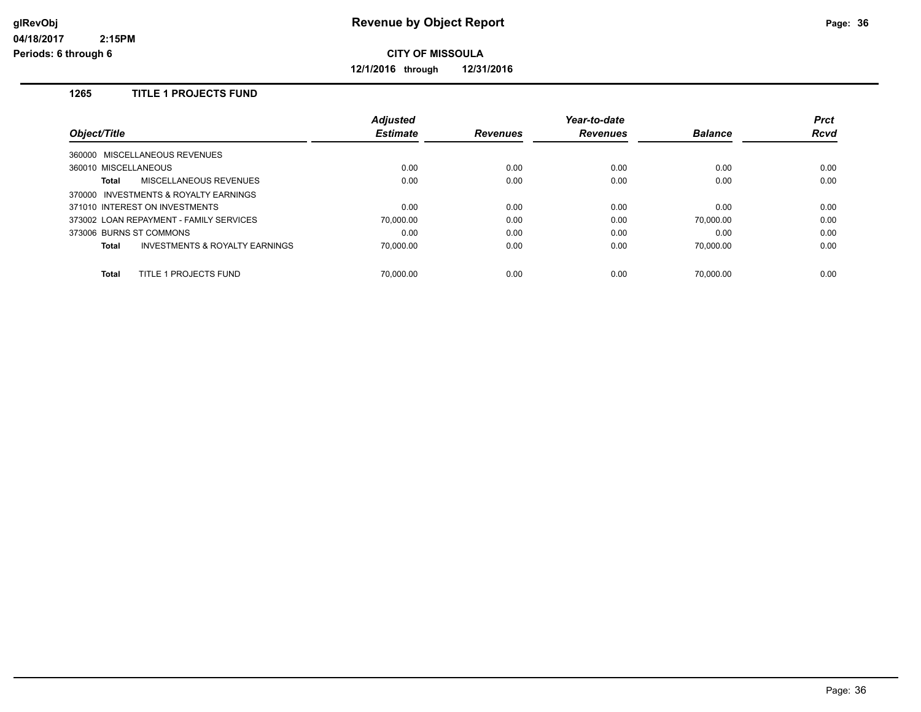**12/1/2016 through 12/31/2016**

### **1265 TITLE 1 PROJECTS FUND**

|                         |                                         | <b>Adiusted</b> |                 | Year-to-date   |           | <b>Prct</b> |
|-------------------------|-----------------------------------------|-----------------|-----------------|----------------|-----------|-------------|
| Object/Title            | <b>Estimate</b>                         | <b>Revenues</b> | <b>Revenues</b> | <b>Balance</b> | Rcvd      |             |
|                         | 360000 MISCELLANEOUS REVENUES           |                 |                 |                |           |             |
| 360010 MISCELLANEOUS    |                                         | 0.00            | 0.00            | 0.00           | 0.00      | 0.00        |
| Total                   | MISCELLANEOUS REVENUES                  | 0.00            | 0.00            | 0.00           | 0.00      | 0.00        |
|                         | 370000 INVESTMENTS & ROYALTY EARNINGS   |                 |                 |                |           |             |
|                         | 371010 INTEREST ON INVESTMENTS          | 0.00            | 0.00            | 0.00           | 0.00      | 0.00        |
|                         | 373002 LOAN REPAYMENT - FAMILY SERVICES | 70.000.00       | 0.00            | 0.00           | 70.000.00 | 0.00        |
| 373006 BURNS ST COMMONS |                                         | 0.00            | 0.00            | 0.00           | 0.00      | 0.00        |
| Total                   | INVESTMENTS & ROYALTY EARNINGS          | 70.000.00       | 0.00            | 0.00           | 70.000.00 | 0.00        |
| <b>Total</b>            | TITLE 1 PROJECTS FUND                   | 70.000.00       | 0.00            | 0.00           | 70.000.00 | 0.00        |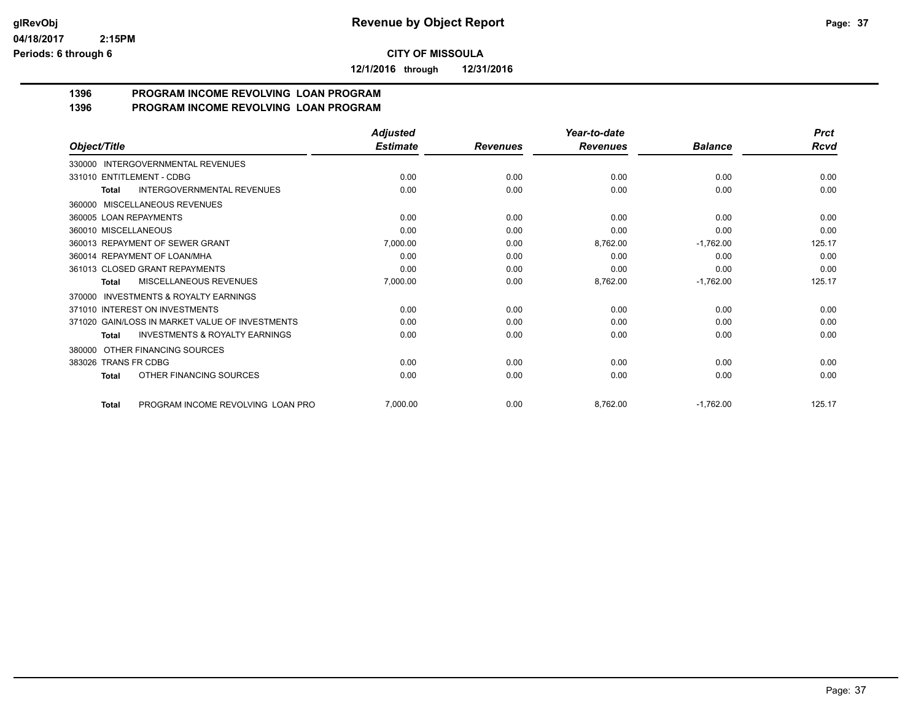**12/1/2016 through 12/31/2016**

### **1396 PROGRAM INCOME REVOLVING LOAN PROGRAM 1396 PROGRAM INCOME REVOLVING LOAN PROGRAM**

|                                                     | <b>Adjusted</b> |                 | Year-to-date    |                | <b>Prct</b> |
|-----------------------------------------------------|-----------------|-----------------|-----------------|----------------|-------------|
| Object/Title                                        | <b>Estimate</b> | <b>Revenues</b> | <b>Revenues</b> | <b>Balance</b> | <b>Rcvd</b> |
| <b>INTERGOVERNMENTAL REVENUES</b><br>330000         |                 |                 |                 |                |             |
| 331010 ENTITLEMENT - CDBG                           | 0.00            | 0.00            | 0.00            | 0.00           | 0.00        |
| <b>INTERGOVERNMENTAL REVENUES</b><br><b>Total</b>   | 0.00            | 0.00            | 0.00            | 0.00           | 0.00        |
| <b>MISCELLANEOUS REVENUES</b><br>360000             |                 |                 |                 |                |             |
| 360005 LOAN REPAYMENTS                              | 0.00            | 0.00            | 0.00            | 0.00           | 0.00        |
| 360010 MISCELLANEOUS                                | 0.00            | 0.00            | 0.00            | 0.00           | 0.00        |
| 360013 REPAYMENT OF SEWER GRANT                     | 7,000.00        | 0.00            | 8,762.00        | $-1,762.00$    | 125.17      |
| 360014 REPAYMENT OF LOAN/MHA                        | 0.00            | 0.00            | 0.00            | 0.00           | 0.00        |
| 361013 CLOSED GRANT REPAYMENTS                      | 0.00            | 0.00            | 0.00            | 0.00           | 0.00        |
| MISCELLANEOUS REVENUES<br>Total                     | 7,000.00        | 0.00            | 8,762.00        | $-1,762.00$    | 125.17      |
| <b>INVESTMENTS &amp; ROYALTY EARNINGS</b><br>370000 |                 |                 |                 |                |             |
| 371010 INTEREST ON INVESTMENTS                      | 0.00            | 0.00            | 0.00            | 0.00           | 0.00        |
| 371020 GAIN/LOSS IN MARKET VALUE OF INVESTMENTS     | 0.00            | 0.00            | 0.00            | 0.00           | 0.00        |
| <b>INVESTMENTS &amp; ROYALTY EARNINGS</b><br>Total  | 0.00            | 0.00            | 0.00            | 0.00           | 0.00        |
| OTHER FINANCING SOURCES<br>380000                   |                 |                 |                 |                |             |
| <b>TRANS FR CDBG</b><br>383026                      | 0.00            | 0.00            | 0.00            | 0.00           | 0.00        |
| OTHER FINANCING SOURCES<br>Total                    | 0.00            | 0.00            | 0.00            | 0.00           | 0.00        |
| PROGRAM INCOME REVOLVING LOAN PRO<br><b>Total</b>   | 7,000.00        | 0.00            | 8,762.00        | $-1,762.00$    | 125.17      |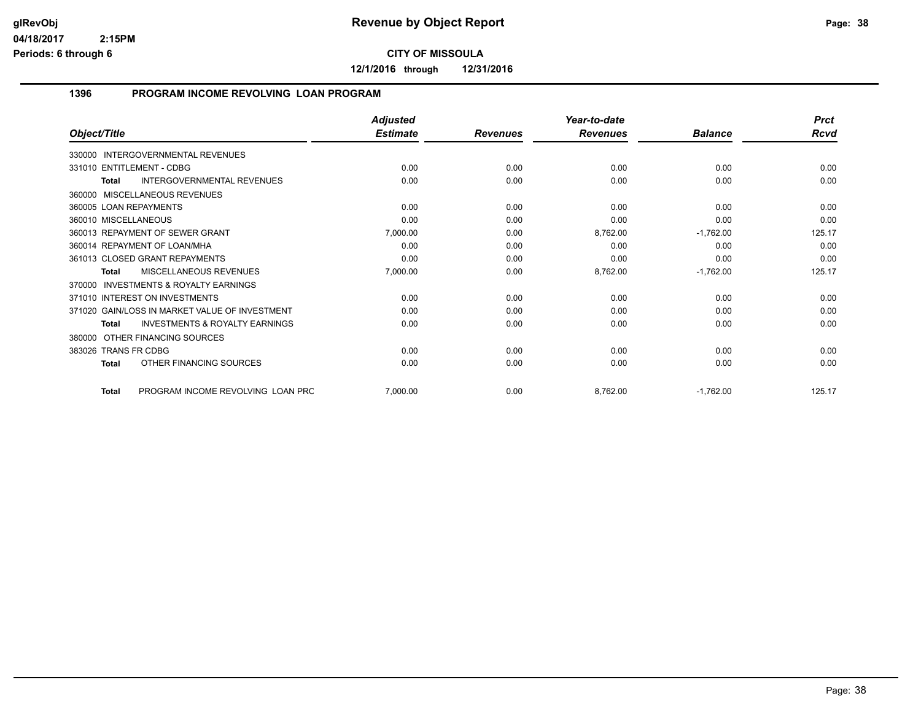**12/1/2016 through 12/31/2016**

### **1396 PROGRAM INCOME REVOLVING LOAN PROGRAM**

|                                                     | <b>Adjusted</b> |                 | Year-to-date    |                | <b>Prct</b> |
|-----------------------------------------------------|-----------------|-----------------|-----------------|----------------|-------------|
| Object/Title                                        | <b>Estimate</b> | <b>Revenues</b> | <b>Revenues</b> | <b>Balance</b> | Rcvd        |
| <b>INTERGOVERNMENTAL REVENUES</b><br>330000         |                 |                 |                 |                |             |
| 331010 ENTITLEMENT - CDBG                           | 0.00            | 0.00            | 0.00            | 0.00           | 0.00        |
| INTERGOVERNMENTAL REVENUES<br><b>Total</b>          | 0.00            | 0.00            | 0.00            | 0.00           | 0.00        |
| MISCELLANEOUS REVENUES<br>360000                    |                 |                 |                 |                |             |
| 360005 LOAN REPAYMENTS                              | 0.00            | 0.00            | 0.00            | 0.00           | 0.00        |
| 360010 MISCELLANEOUS                                | 0.00            | 0.00            | 0.00            | 0.00           | 0.00        |
| 360013 REPAYMENT OF SEWER GRANT                     | 7,000.00        | 0.00            | 8,762.00        | $-1,762.00$    | 125.17      |
| 360014 REPAYMENT OF LOAN/MHA                        | 0.00            | 0.00            | 0.00            | 0.00           | 0.00        |
| 361013 CLOSED GRANT REPAYMENTS                      | 0.00            | 0.00            | 0.00            | 0.00           | 0.00        |
| MISCELLANEOUS REVENUES<br><b>Total</b>              | 7,000.00        | 0.00            | 8,762.00        | $-1,762.00$    | 125.17      |
| <b>INVESTMENTS &amp; ROYALTY EARNINGS</b><br>370000 |                 |                 |                 |                |             |
| 371010 INTEREST ON INVESTMENTS                      | 0.00            | 0.00            | 0.00            | 0.00           | 0.00        |
| 371020 GAIN/LOSS IN MARKET VALUE OF INVESTMENT      | 0.00            | 0.00            | 0.00            | 0.00           | 0.00        |
| <b>INVESTMENTS &amp; ROYALTY EARNINGS</b><br>Total  | 0.00            | 0.00            | 0.00            | 0.00           | 0.00        |
| OTHER FINANCING SOURCES<br>380000                   |                 |                 |                 |                |             |
| 383026 TRANS FR CDBG                                | 0.00            | 0.00            | 0.00            | 0.00           | 0.00        |
| OTHER FINANCING SOURCES<br>Total                    | 0.00            | 0.00            | 0.00            | 0.00           | 0.00        |
| PROGRAM INCOME REVOLVING LOAN PRC<br><b>Total</b>   | 7,000.00        | 0.00            | 8,762.00        | $-1,762.00$    | 125.17      |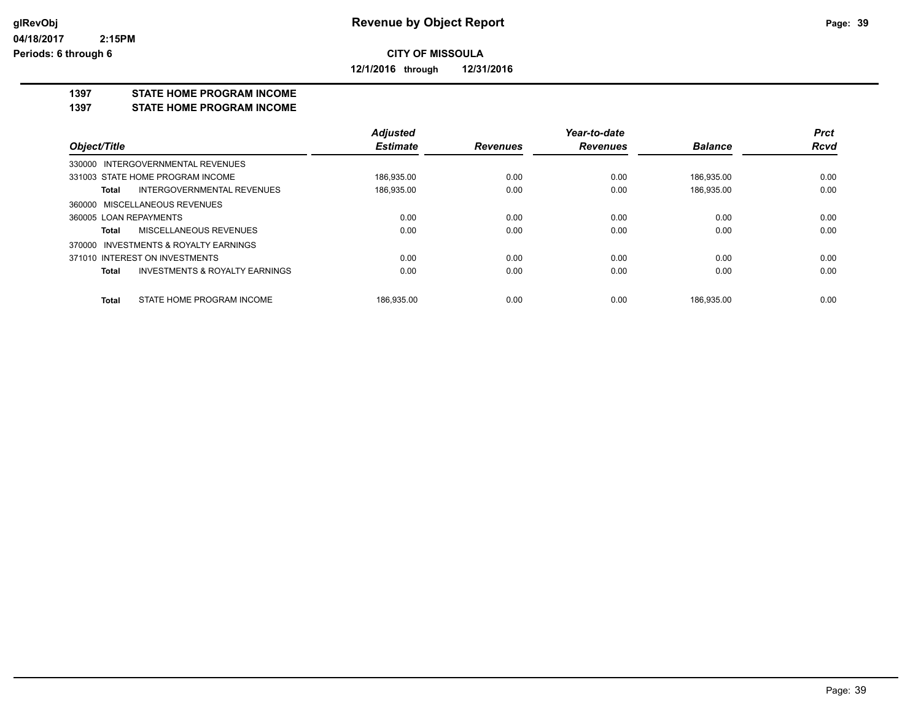**12/1/2016 through 12/31/2016**

# **1397 STATE HOME PROGRAM INCOME**

### **1397 STATE HOME PROGRAM INCOME**

|                                                    | <b>Adjusted</b> |                 | Year-to-date    |                | <b>Prct</b> |
|----------------------------------------------------|-----------------|-----------------|-----------------|----------------|-------------|
| Object/Title                                       | <b>Estimate</b> | <b>Revenues</b> | <b>Revenues</b> | <b>Balance</b> | <b>Rcvd</b> |
| 330000 INTERGOVERNMENTAL REVENUES                  |                 |                 |                 |                |             |
| 331003 STATE HOME PROGRAM INCOME                   | 186.935.00      | 0.00            | 0.00            | 186.935.00     | 0.00        |
| INTERGOVERNMENTAL REVENUES<br>Total                | 186,935.00      | 0.00            | 0.00            | 186,935.00     | 0.00        |
| 360000 MISCELLANEOUS REVENUES                      |                 |                 |                 |                |             |
| 360005 LOAN REPAYMENTS                             | 0.00            | 0.00            | 0.00            | 0.00           | 0.00        |
| MISCELLANEOUS REVENUES<br>Total                    | 0.00            | 0.00            | 0.00            | 0.00           | 0.00        |
| 370000 INVESTMENTS & ROYALTY EARNINGS              |                 |                 |                 |                |             |
| 371010 INTEREST ON INVESTMENTS                     | 0.00            | 0.00            | 0.00            | 0.00           | 0.00        |
| <b>INVESTMENTS &amp; ROYALTY EARNINGS</b><br>Total | 0.00            | 0.00            | 0.00            | 0.00           | 0.00        |
|                                                    |                 |                 |                 |                |             |
| STATE HOME PROGRAM INCOME<br>Total                 | 186.935.00      | 0.00            | 0.00            | 186.935.00     | 0.00        |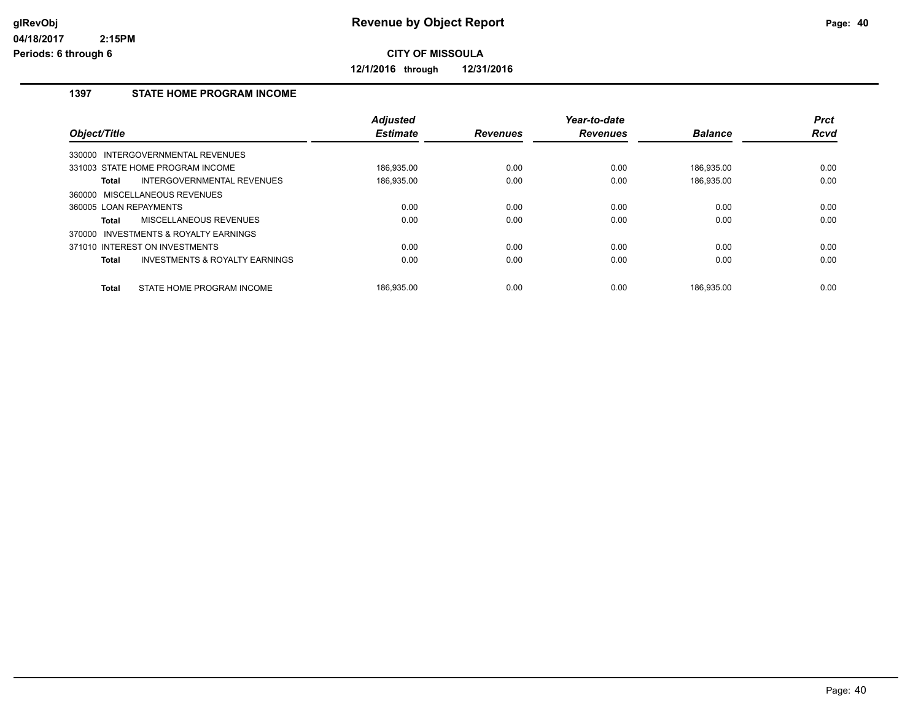**12/1/2016 through 12/31/2016**

### **1397 STATE HOME PROGRAM INCOME**

| Object/Title           |                                           | <b>Adjusted</b><br><b>Estimate</b> | <b>Revenues</b> | Year-to-date<br><b>Revenues</b> | <b>Balance</b> | <b>Prct</b><br>Rcvd |
|------------------------|-------------------------------------------|------------------------------------|-----------------|---------------------------------|----------------|---------------------|
|                        |                                           |                                    |                 |                                 |                |                     |
| 330000                 | INTERGOVERNMENTAL REVENUES                |                                    |                 |                                 |                |                     |
|                        | 331003 STATE HOME PROGRAM INCOME          | 186,935.00                         | 0.00            | 0.00                            | 186,935.00     | 0.00                |
| Total                  | <b>INTERGOVERNMENTAL REVENUES</b>         | 186,935.00                         | 0.00            | 0.00                            | 186,935.00     | 0.00                |
| 360000                 | MISCELLANEOUS REVENUES                    |                                    |                 |                                 |                |                     |
| 360005 LOAN REPAYMENTS |                                           | 0.00                               | 0.00            | 0.00                            | 0.00           | 0.00                |
| Total                  | <b>MISCELLANEOUS REVENUES</b>             | 0.00                               | 0.00            | 0.00                            | 0.00           | 0.00                |
| 370000                 | INVESTMENTS & ROYALTY EARNINGS            |                                    |                 |                                 |                |                     |
|                        | 371010 INTEREST ON INVESTMENTS            | 0.00                               | 0.00            | 0.00                            | 0.00           | 0.00                |
| Total                  | <b>INVESTMENTS &amp; ROYALTY EARNINGS</b> | 0.00                               | 0.00            | 0.00                            | 0.00           | 0.00                |
| Total                  | STATE HOME PROGRAM INCOME                 | 186.935.00                         | 0.00            | 0.00                            | 186.935.00     | 0.00                |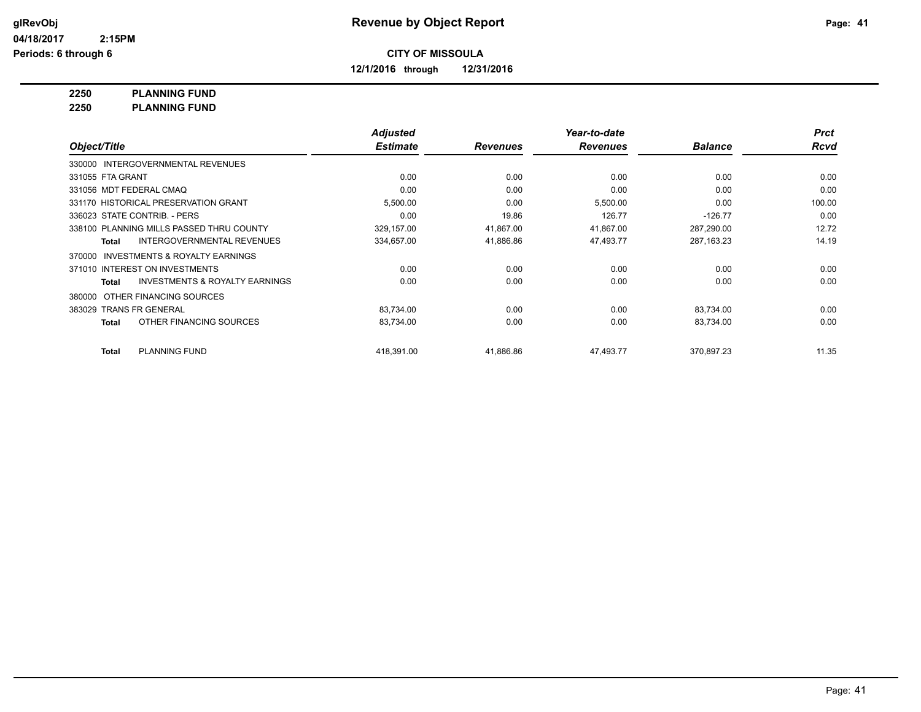**CITY OF MISSOULA 12/1/2016 through 12/31/2016**

**2250 PLANNING FUND 2250 PLANNING FUND**

|                                                | <b>Adjusted</b> |                 | Year-to-date    |                | <b>Prct</b> |
|------------------------------------------------|-----------------|-----------------|-----------------|----------------|-------------|
| Object/Title                                   | <b>Estimate</b> | <b>Revenues</b> | <b>Revenues</b> | <b>Balance</b> | <b>Rcvd</b> |
| 330000 INTERGOVERNMENTAL REVENUES              |                 |                 |                 |                |             |
| 331055 FTA GRANT                               | 0.00            | 0.00            | 0.00            | 0.00           | 0.00        |
| 331056 MDT FEDERAL CMAQ                        | 0.00            | 0.00            | 0.00            | 0.00           | 0.00        |
| 331170 HISTORICAL PRESERVATION GRANT           | 5,500.00        | 0.00            | 5,500.00        | 0.00           | 100.00      |
| 336023 STATE CONTRIB. - PERS                   | 0.00            | 19.86           | 126.77          | $-126.77$      | 0.00        |
| 338100 PLANNING MILLS PASSED THRU COUNTY       | 329,157.00      | 41,867.00       | 41,867.00       | 287,290.00     | 12.72       |
| INTERGOVERNMENTAL REVENUES<br>Total            | 334,657.00      | 41,886.86       | 47,493.77       | 287, 163. 23   | 14.19       |
| INVESTMENTS & ROYALTY EARNINGS<br>370000       |                 |                 |                 |                |             |
| 371010 INTEREST ON INVESTMENTS                 | 0.00            | 0.00            | 0.00            | 0.00           | 0.00        |
| INVESTMENTS & ROYALTY EARNINGS<br><b>Total</b> | 0.00            | 0.00            | 0.00            | 0.00           | 0.00        |
| OTHER FINANCING SOURCES<br>380000              |                 |                 |                 |                |             |
| 383029 TRANS FR GENERAL                        | 83,734.00       | 0.00            | 0.00            | 83,734.00      | 0.00        |
| OTHER FINANCING SOURCES<br><b>Total</b>        | 83,734.00       | 0.00            | 0.00            | 83,734.00      | 0.00        |
| <b>PLANNING FUND</b><br><b>Total</b>           | 418,391.00      | 41,886.86       | 47,493.77       | 370,897.23     | 11.35       |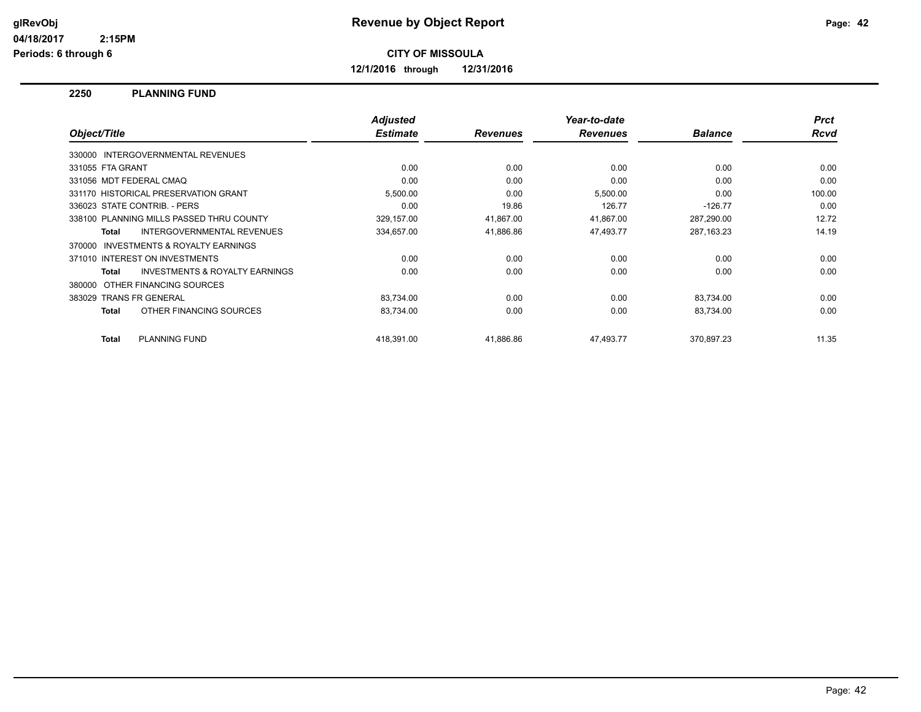**12/1/2016 through 12/31/2016**

### **2250 PLANNING FUND**

| Object/Title                                              | <b>Adjusted</b><br><b>Estimate</b> | <b>Revenues</b> | Year-to-date<br><b>Revenues</b> | <b>Balance</b> | <b>Prct</b><br><b>Rcvd</b> |
|-----------------------------------------------------------|------------------------------------|-----------------|---------------------------------|----------------|----------------------------|
| 330000 INTERGOVERNMENTAL REVENUES                         |                                    |                 |                                 |                |                            |
| 331055 FTA GRANT                                          | 0.00                               | 0.00            | 0.00                            | 0.00           | 0.00                       |
| 331056 MDT FEDERAL CMAQ                                   | 0.00                               | 0.00            | 0.00                            | 0.00           | 0.00                       |
| 331170 HISTORICAL PRESERVATION GRANT                      | 5,500.00                           | 0.00            | 5,500.00                        | 0.00           | 100.00                     |
| 336023 STATE CONTRIB. - PERS                              | 0.00                               | 19.86           | 126.77                          | $-126.77$      | 0.00                       |
| 338100 PLANNING MILLS PASSED THRU COUNTY                  | 329,157.00                         | 41,867.00       | 41,867.00                       | 287,290.00     | 12.72                      |
| <b>INTERGOVERNMENTAL REVENUES</b><br>Total                | 334,657.00                         | 41,886.86       | 47,493.77                       | 287, 163. 23   | 14.19                      |
| 370000 INVESTMENTS & ROYALTY EARNINGS                     |                                    |                 |                                 |                |                            |
| 371010 INTEREST ON INVESTMENTS                            | 0.00                               | 0.00            | 0.00                            | 0.00           | 0.00                       |
| <b>INVESTMENTS &amp; ROYALTY EARNINGS</b><br><b>Total</b> | 0.00                               | 0.00            | 0.00                            | 0.00           | 0.00                       |
| 380000 OTHER FINANCING SOURCES                            |                                    |                 |                                 |                |                            |
| 383029 TRANS FR GENERAL                                   | 83,734.00                          | 0.00            | 0.00                            | 83,734.00      | 0.00                       |
| OTHER FINANCING SOURCES<br>Total                          | 83,734.00                          | 0.00            | 0.00                            | 83,734.00      | 0.00                       |
| <b>PLANNING FUND</b><br><b>Total</b>                      | 418,391.00                         | 41,886.86       | 47,493.77                       | 370,897.23     | 11.35                      |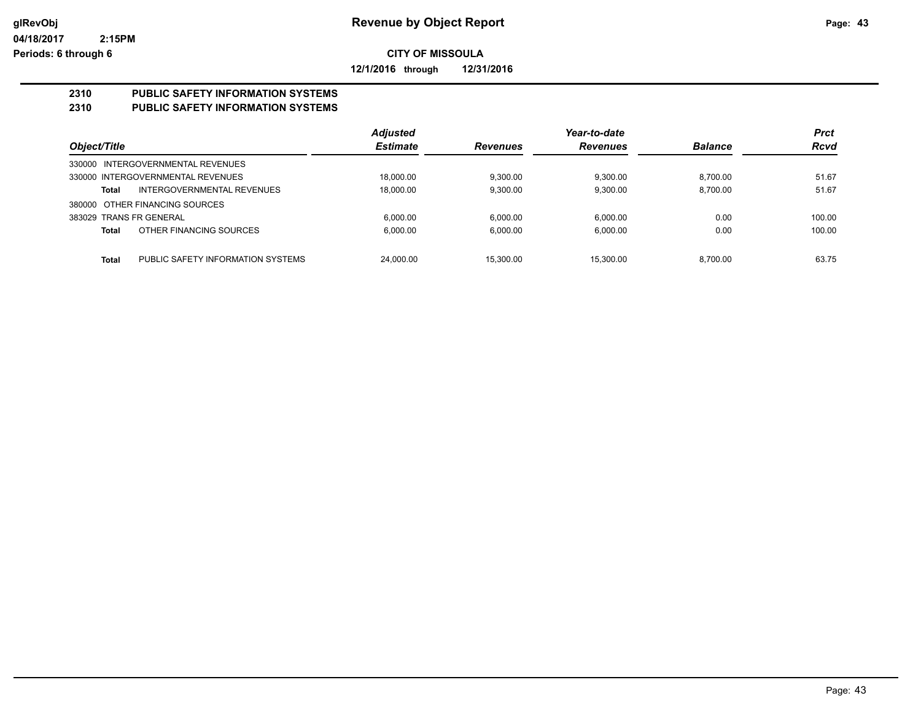**12/1/2016 through 12/31/2016**

### **2310 PUBLIC SAFETY INFORMATION SYSTEMS 2310 PUBLIC SAFETY INFORMATION SYSTEMS**

|                                                   | <b>Adjusted</b> |                 | Year-to-date    |                | <b>Prct</b> |
|---------------------------------------------------|-----------------|-----------------|-----------------|----------------|-------------|
| Object/Title                                      | <b>Estimate</b> | <b>Revenues</b> | <b>Revenues</b> | <b>Balance</b> | <b>Rcvd</b> |
| INTERGOVERNMENTAL REVENUES<br>330000              |                 |                 |                 |                |             |
| 330000 INTERGOVERNMENTAL REVENUES                 | 18.000.00       | 9.300.00        | 9.300.00        | 8.700.00       | 51.67       |
| <b>INTERGOVERNMENTAL REVENUES</b><br>Total        | 18.000.00       | 9.300.00        | 9.300.00        | 8.700.00       | 51.67       |
| 380000 OTHER FINANCING SOURCES                    |                 |                 |                 |                |             |
| 383029 TRANS FR GENERAL                           | 6.000.00        | 6.000.00        | 6.000.00        | 0.00           | 100.00      |
| OTHER FINANCING SOURCES<br>Total                  | 6.000.00        | 6.000.00        | 6.000.00        | 0.00           | 100.00      |
|                                                   |                 |                 |                 |                |             |
| <b>Total</b><br>PUBLIC SAFETY INFORMATION SYSTEMS | 24.000.00       | 15.300.00       | 15.300.00       | 8.700.00       | 63.75       |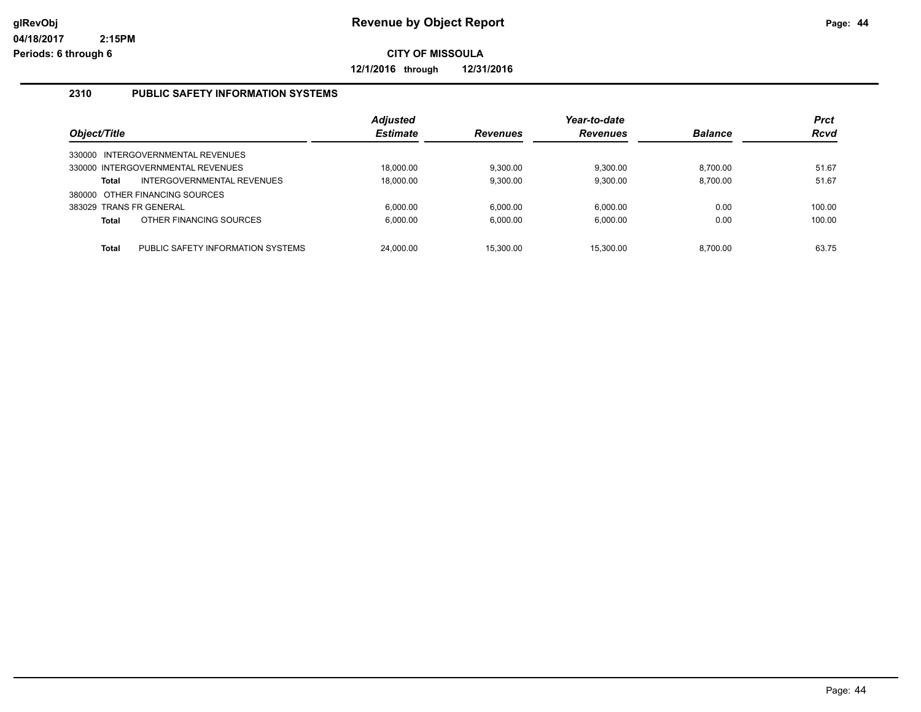**12/1/2016 through 12/31/2016**

### **2310 PUBLIC SAFETY INFORMATION SYSTEMS**

|                         |                                   | <b>Adjusted</b> |                 | Year-to-date    |                | <b>Prct</b> |
|-------------------------|-----------------------------------|-----------------|-----------------|-----------------|----------------|-------------|
| Object/Title            |                                   | <b>Estimate</b> | <b>Revenues</b> | <b>Revenues</b> | <b>Balance</b> | Rcvd        |
|                         | 330000 INTERGOVERNMENTAL REVENUES |                 |                 |                 |                |             |
|                         | 330000 INTERGOVERNMENTAL REVENUES | 18.000.00       | 9.300.00        | 9.300.00        | 8.700.00       | 51.67       |
| Total                   | INTERGOVERNMENTAL REVENUES        | 18.000.00       | 9,300.00        | 9,300.00        | 8,700.00       | 51.67       |
|                         | 380000 OTHER FINANCING SOURCES    |                 |                 |                 |                |             |
| 383029 TRANS FR GENERAL |                                   | 6,000.00        | 6,000.00        | 6,000.00        | 0.00           | 100.00      |
| Total                   | OTHER FINANCING SOURCES           | 6,000.00        | 6,000.00        | 6,000.00        | 0.00           | 100.00      |
| <b>Total</b>            | PUBLIC SAFETY INFORMATION SYSTEMS | 24.000.00       | 15.300.00       | 15.300.00       | 8.700.00       | 63.75       |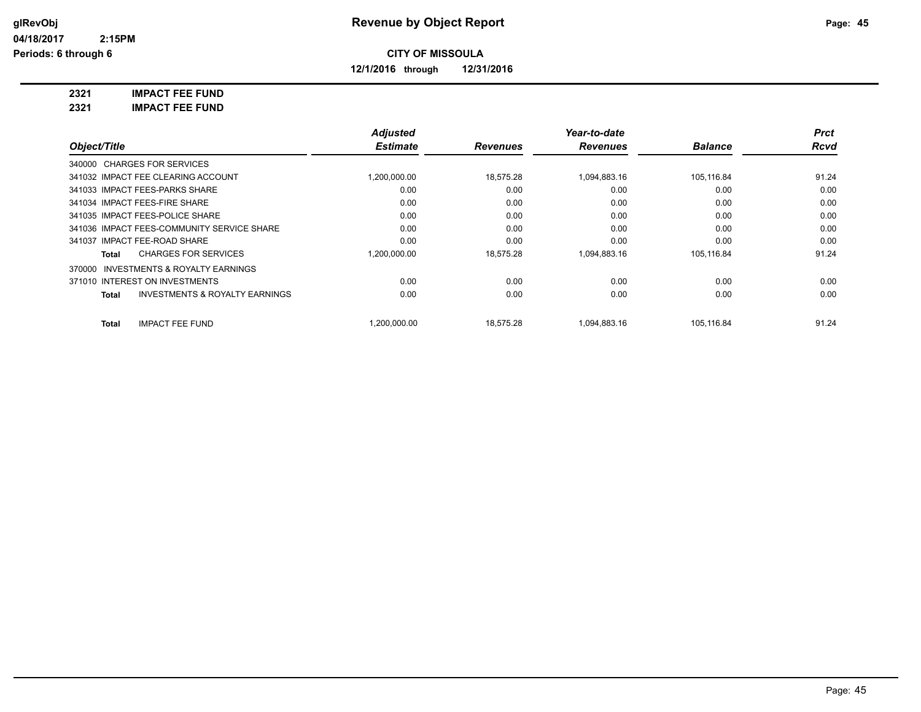**CITY OF MISSOULA 12/1/2016 through 12/31/2016**

**2321 IMPACT FEE FUND 2321 IMPACT FEE FUND**

|                                                    | <b>Adjusted</b> |                 | Year-to-date    |                | <b>Prct</b> |
|----------------------------------------------------|-----------------|-----------------|-----------------|----------------|-------------|
| Object/Title                                       | <b>Estimate</b> | <b>Revenues</b> | <b>Revenues</b> | <b>Balance</b> | Rcvd        |
| 340000 CHARGES FOR SERVICES                        |                 |                 |                 |                |             |
| 341032 IMPACT FEE CLEARING ACCOUNT                 | 1,200,000.00    | 18,575.28       | 1,094,883.16    | 105,116.84     | 91.24       |
| 341033 IMPACT FEES-PARKS SHARE                     | 0.00            | 0.00            | 0.00            | 0.00           | 0.00        |
| 341034 IMPACT FEES-FIRE SHARE                      | 0.00            | 0.00            | 0.00            | 0.00           | 0.00        |
| 341035 IMPACT FEES-POLICE SHARE                    | 0.00            | 0.00            | 0.00            | 0.00           | 0.00        |
| 341036 IMPACT FEES-COMMUNITY SERVICE SHARE         | 0.00            | 0.00            | 0.00            | 0.00           | 0.00        |
| 341037 IMPACT FEE-ROAD SHARE                       | 0.00            | 0.00            | 0.00            | 0.00           | 0.00        |
| <b>CHARGES FOR SERVICES</b><br>Total               | 1,200,000.00    | 18,575.28       | 1,094,883.16    | 105,116.84     | 91.24       |
| 370000 INVESTMENTS & ROYALTY EARNINGS              |                 |                 |                 |                |             |
| 371010 INTEREST ON INVESTMENTS                     | 0.00            | 0.00            | 0.00            | 0.00           | 0.00        |
| <b>INVESTMENTS &amp; ROYALTY EARNINGS</b><br>Total | 0.00            | 0.00            | 0.00            | 0.00           | 0.00        |
| <b>IMPACT FEE FUND</b><br><b>Total</b>             | 1.200.000.00    | 18.575.28       | 1.094.883.16    | 105.116.84     | 91.24       |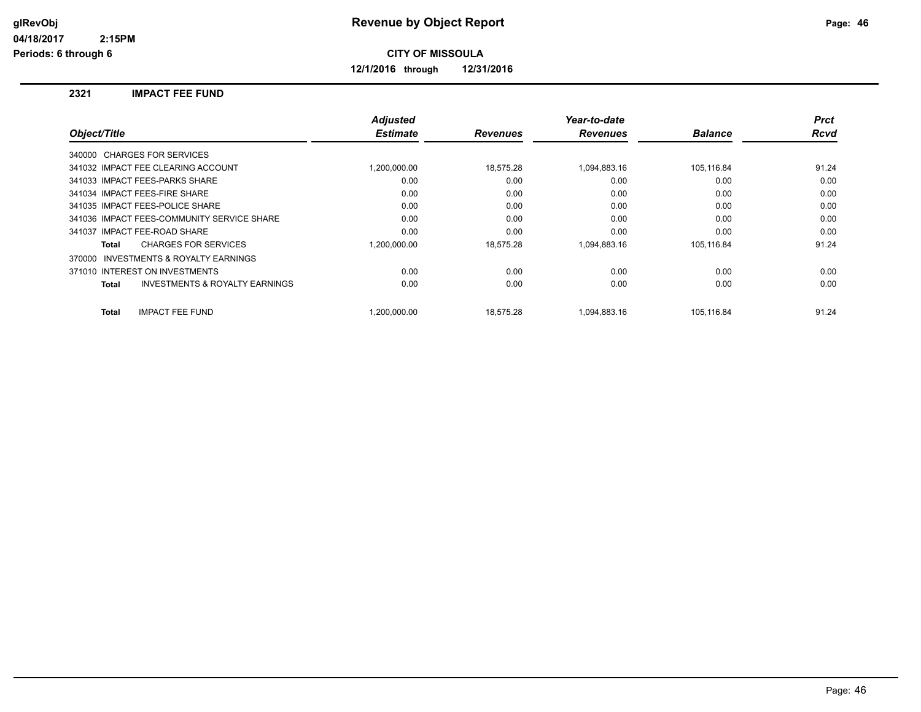**12/1/2016 through 12/31/2016**

### **2321 IMPACT FEE FUND**

|                                                     | <b>Adjusted</b><br><b>Estimate</b> |                 | Year-to-date    |                | <b>Prct</b><br><b>Rcvd</b> |
|-----------------------------------------------------|------------------------------------|-----------------|-----------------|----------------|----------------------------|
| Object/Title                                        |                                    | <b>Revenues</b> | <b>Revenues</b> | <b>Balance</b> |                            |
| 340000 CHARGES FOR SERVICES                         |                                    |                 |                 |                |                            |
| 341032 IMPACT FEE CLEARING ACCOUNT                  | 1.200.000.00                       | 18.575.28       | 1,094,883.16    | 105,116.84     | 91.24                      |
| 341033 IMPACT FEES-PARKS SHARE                      | 0.00                               | 0.00            | 0.00            | 0.00           | 0.00                       |
| 341034 IMPACT FEES-FIRE SHARE                       | 0.00                               | 0.00            | 0.00            | 0.00           | 0.00                       |
| 341035 IMPACT FEES-POLICE SHARE                     | 0.00                               | 0.00            | 0.00            | 0.00           | 0.00                       |
| 341036 IMPACT FEES-COMMUNITY SERVICE SHARE          | 0.00                               | 0.00            | 0.00            | 0.00           | 0.00                       |
| 341037 IMPACT FEE-ROAD SHARE                        | 0.00                               | 0.00            | 0.00            | 0.00           | 0.00                       |
| <b>CHARGES FOR SERVICES</b><br>Total                | 1,200,000.00                       | 18.575.28       | 1.094.883.16    | 105.116.84     | 91.24                      |
| <b>INVESTMENTS &amp; ROYALTY EARNINGS</b><br>370000 |                                    |                 |                 |                |                            |
| 371010 INTEREST ON INVESTMENTS                      | 0.00                               | 0.00            | 0.00            | 0.00           | 0.00                       |
| <b>INVESTMENTS &amp; ROYALTY EARNINGS</b><br>Total  | 0.00                               | 0.00            | 0.00            | 0.00           | 0.00                       |
| <b>IMPACT FEE FUND</b><br><b>Total</b>              | 1.200.000.00                       | 18.575.28       | 1.094.883.16    | 105,116.84     | 91.24                      |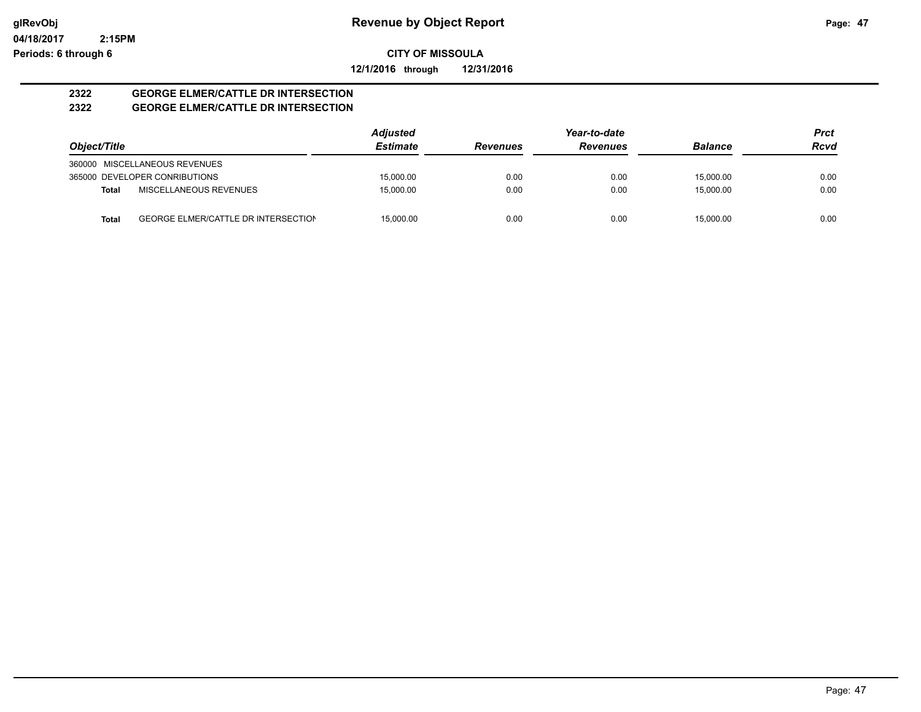**12/1/2016 through 12/31/2016**

### **2322 GEORGE ELMER/CATTLE DR INTERSECTION 2322 GEORGE ELMER/CATTLE DR INTERSECTION**

|              |                                            | <b>Adjusted</b> |                 | Year-to-date    |                | <b>Prct</b> |
|--------------|--------------------------------------------|-----------------|-----------------|-----------------|----------------|-------------|
| Object/Title |                                            | <b>Estimate</b> | <b>Revenues</b> | <b>Revenues</b> | <b>Balance</b> | <b>Rcvd</b> |
|              | 360000 MISCELLANEOUS REVENUES              |                 |                 |                 |                |             |
|              | 365000 DEVELOPER CONRIBUTIONS              | 15.000.00       | 0.00            | 0.00            | 15,000.00      | 0.00        |
| Total        | MISCELLANEOUS REVENUES                     | 15.000.00       | 0.00            | 0.00            | 15,000.00      | 0.00        |
| Total        | <b>GEORGE ELMER/CATTLE DR INTERSECTION</b> | 15.000.00       | 0.00            | 0.00            | 15,000.00      | 0.00        |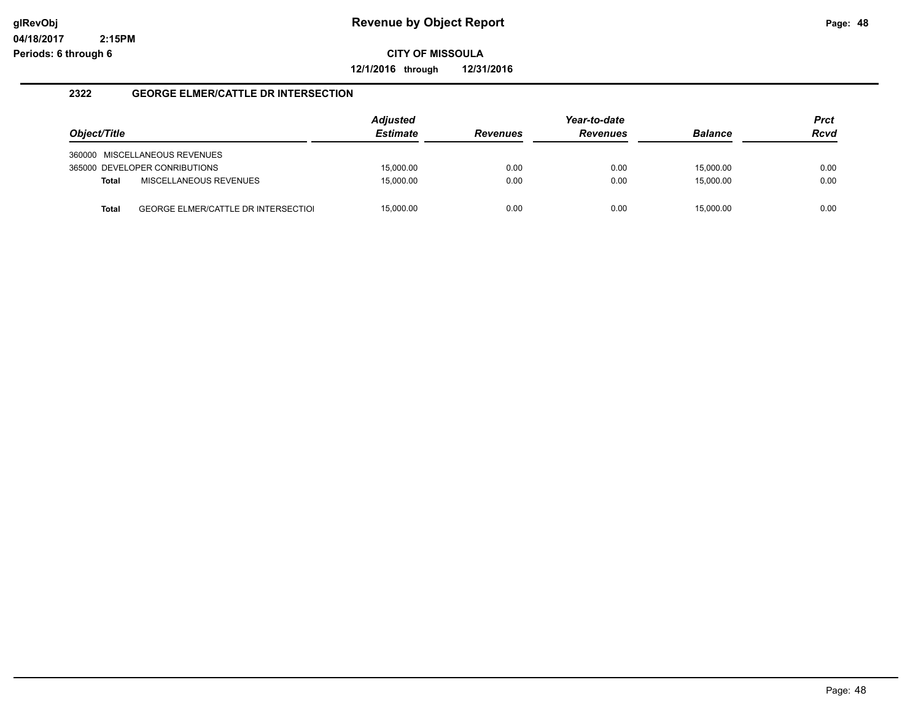**12/1/2016 through 12/31/2016**

### **2322 GEORGE ELMER/CATTLE DR INTERSECTION**

|              |                                            | <b>Adjusted</b> |                 | Year-to-date    |                | <b>Prct</b> |
|--------------|--------------------------------------------|-----------------|-----------------|-----------------|----------------|-------------|
| Object/Title |                                            | <b>Estimate</b> | <b>Revenues</b> | <b>Revenues</b> | <b>Balance</b> | Rcvd        |
|              | 360000 MISCELLANEOUS REVENUES              |                 |                 |                 |                |             |
|              | 365000 DEVELOPER CONRIBUTIONS              | 15,000.00       | 0.00            | 0.00            | 15.000.00      | 0.00        |
| <b>Total</b> | MISCELLANEOUS REVENUES                     | 15,000.00       | 0.00            | 0.00            | 15.000.00      | 0.00        |
| <b>Total</b> | <b>GEORGE ELMER/CATTLE DR INTERSECTIOL</b> | 15,000.00       | 0.00            | 0.00            | 15.000.00      | 0.00        |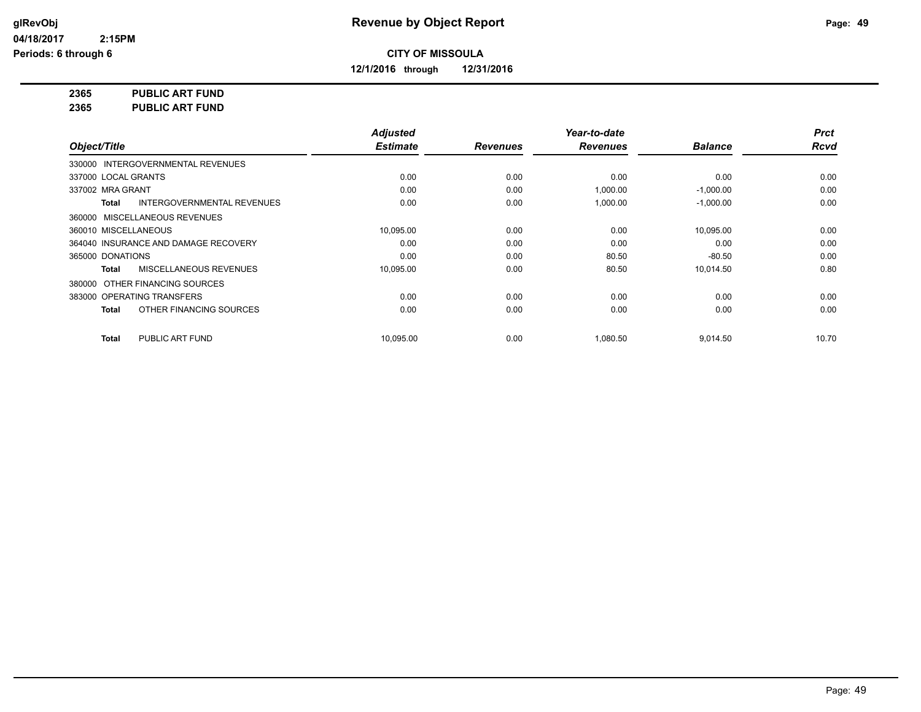**CITY OF MISSOULA 12/1/2016 through 12/31/2016**

**2365 PUBLIC ART FUND 2365 PUBLIC ART FUND**

|                                                   | <b>Adjusted</b> |                 | Year-to-date    |                | <b>Prct</b> |
|---------------------------------------------------|-----------------|-----------------|-----------------|----------------|-------------|
| Object/Title                                      | <b>Estimate</b> | <b>Revenues</b> | <b>Revenues</b> | <b>Balance</b> | <b>Rcvd</b> |
| 330000 INTERGOVERNMENTAL REVENUES                 |                 |                 |                 |                |             |
| 337000 LOCAL GRANTS                               | 0.00            | 0.00            | 0.00            | 0.00           | 0.00        |
| 337002 MRA GRANT                                  | 0.00            | 0.00            | 1,000.00        | $-1,000.00$    | 0.00        |
| <b>INTERGOVERNMENTAL REVENUES</b><br><b>Total</b> | 0.00            | 0.00            | 1,000.00        | $-1,000.00$    | 0.00        |
| 360000 MISCELLANEOUS REVENUES                     |                 |                 |                 |                |             |
| 360010 MISCELLANEOUS                              | 10.095.00       | 0.00            | 0.00            | 10.095.00      | 0.00        |
| 364040 INSURANCE AND DAMAGE RECOVERY              | 0.00            | 0.00            | 0.00            | 0.00           | 0.00        |
| 365000 DONATIONS                                  | 0.00            | 0.00            | 80.50           | $-80.50$       | 0.00        |
| MISCELLANEOUS REVENUES<br><b>Total</b>            | 10,095.00       | 0.00            | 80.50           | 10,014.50      | 0.80        |
| 380000 OTHER FINANCING SOURCES                    |                 |                 |                 |                |             |
| 383000 OPERATING TRANSFERS                        | 0.00            | 0.00            | 0.00            | 0.00           | 0.00        |
| OTHER FINANCING SOURCES<br><b>Total</b>           | 0.00            | 0.00            | 0.00            | 0.00           | 0.00        |
| PUBLIC ART FUND<br><b>Total</b>                   | 10,095.00       | 0.00            | 1,080.50        | 9,014.50       | 10.70       |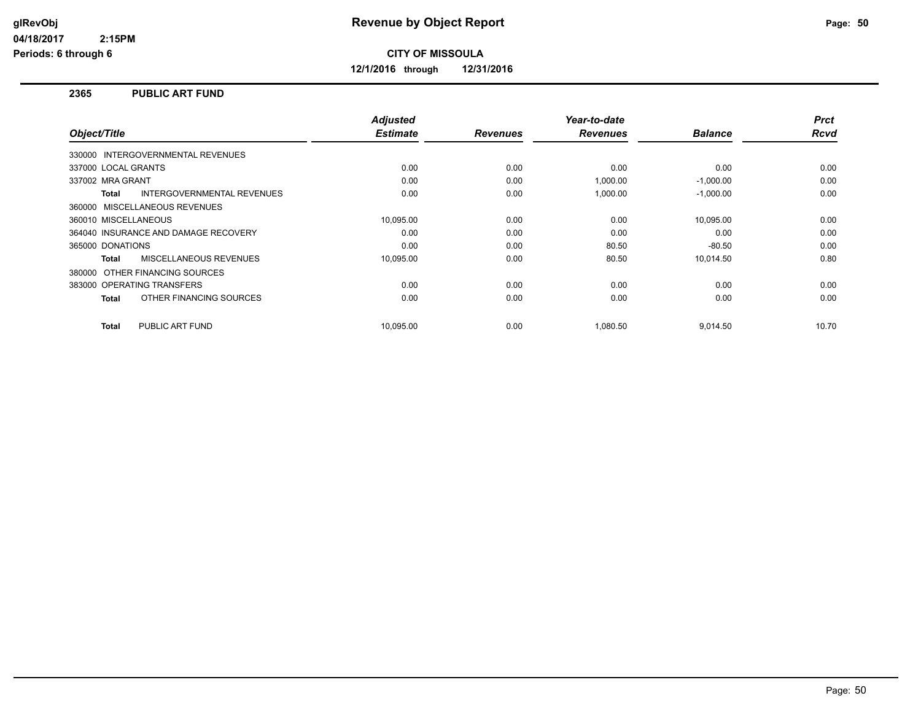**12/1/2016 through 12/31/2016**

### **2365 PUBLIC ART FUND**

|                                                   | <b>Adjusted</b> |                 | Year-to-date    |                | <b>Prct</b> |
|---------------------------------------------------|-----------------|-----------------|-----------------|----------------|-------------|
| Object/Title                                      | <b>Estimate</b> | <b>Revenues</b> | <b>Revenues</b> | <b>Balance</b> | <b>Rcvd</b> |
| 330000 INTERGOVERNMENTAL REVENUES                 |                 |                 |                 |                |             |
| 337000 LOCAL GRANTS                               | 0.00            | 0.00            | 0.00            | 0.00           | 0.00        |
| 337002 MRA GRANT                                  | 0.00            | 0.00            | 1,000.00        | $-1,000.00$    | 0.00        |
| <b>INTERGOVERNMENTAL REVENUES</b><br><b>Total</b> | 0.00            | 0.00            | 1,000.00        | $-1,000.00$    | 0.00        |
| 360000 MISCELLANEOUS REVENUES                     |                 |                 |                 |                |             |
| 360010 MISCELLANEOUS                              | 10,095.00       | 0.00            | 0.00            | 10,095.00      | 0.00        |
| 364040 INSURANCE AND DAMAGE RECOVERY              | 0.00            | 0.00            | 0.00            | 0.00           | 0.00        |
| 365000 DONATIONS                                  | 0.00            | 0.00            | 80.50           | $-80.50$       | 0.00        |
| MISCELLANEOUS REVENUES<br>Total                   | 10,095.00       | 0.00            | 80.50           | 10,014.50      | 0.80        |
| 380000 OTHER FINANCING SOURCES                    |                 |                 |                 |                |             |
| 383000 OPERATING TRANSFERS                        | 0.00            | 0.00            | 0.00            | 0.00           | 0.00        |
| OTHER FINANCING SOURCES<br><b>Total</b>           | 0.00            | 0.00            | 0.00            | 0.00           | 0.00        |
|                                                   |                 |                 |                 |                |             |
| PUBLIC ART FUND<br><b>Total</b>                   | 10,095.00       | 0.00            | 1,080.50        | 9,014.50       | 10.70       |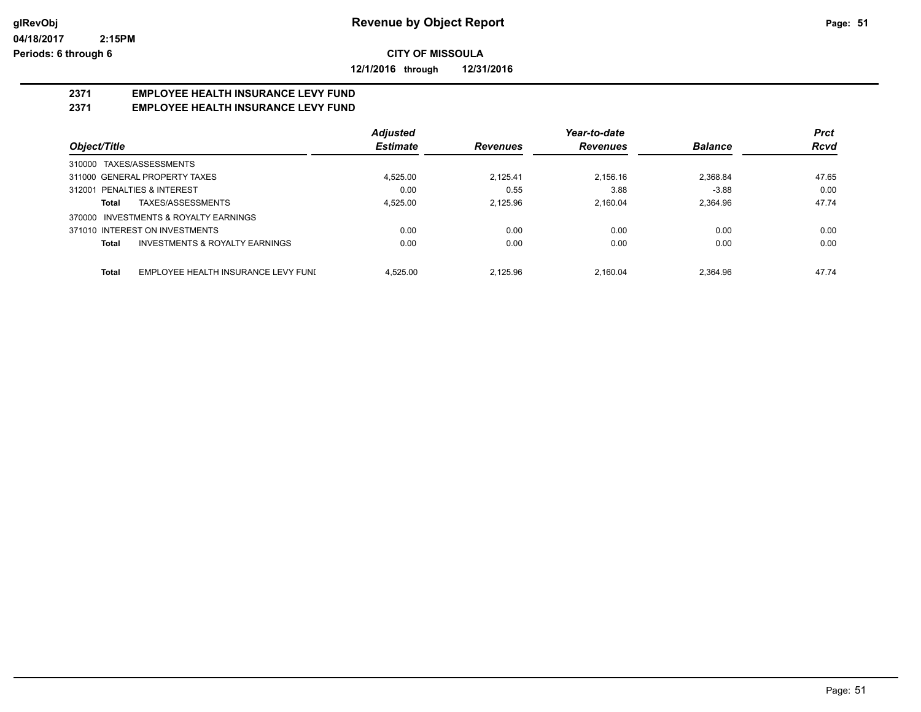**12/1/2016 through 12/31/2016**

### **2371 EMPLOYEE HEALTH INSURANCE LEVY FUND 2371 EMPLOYEE HEALTH INSURANCE LEVY FUND**

|                             |                                           | <b>Adjusted</b> |                 | Year-to-date    |                | <b>Prct</b> |
|-----------------------------|-------------------------------------------|-----------------|-----------------|-----------------|----------------|-------------|
| Object/Title                |                                           | <b>Estimate</b> | <b>Revenues</b> | <b>Revenues</b> | <b>Balance</b> | <b>Rcvd</b> |
| 310000 TAXES/ASSESSMENTS    |                                           |                 |                 |                 |                |             |
|                             | 311000 GENERAL PROPERTY TAXES             | 4.525.00        | 2.125.41        | 2.156.16        | 2.368.84       | 47.65       |
| 312001 PENALTIES & INTEREST |                                           | 0.00            | 0.55            | 3.88            | $-3.88$        | 0.00        |
| Total                       | TAXES/ASSESSMENTS                         | 4.525.00        | 2.125.96        | 2.160.04        | 2.364.96       | 47.74       |
|                             | 370000 INVESTMENTS & ROYALTY EARNINGS     |                 |                 |                 |                |             |
|                             | 371010 INTEREST ON INVESTMENTS            | 0.00            | 0.00            | 0.00            | 0.00           | 0.00        |
| Total                       | <b>INVESTMENTS &amp; ROYALTY EARNINGS</b> | 0.00            | 0.00            | 0.00            | 0.00           | 0.00        |
| Total                       | EMPLOYEE HEALTH INSURANCE LEVY FUNI       | 4.525.00        | 2.125.96        | 2.160.04        | 2.364.96       | 47.74       |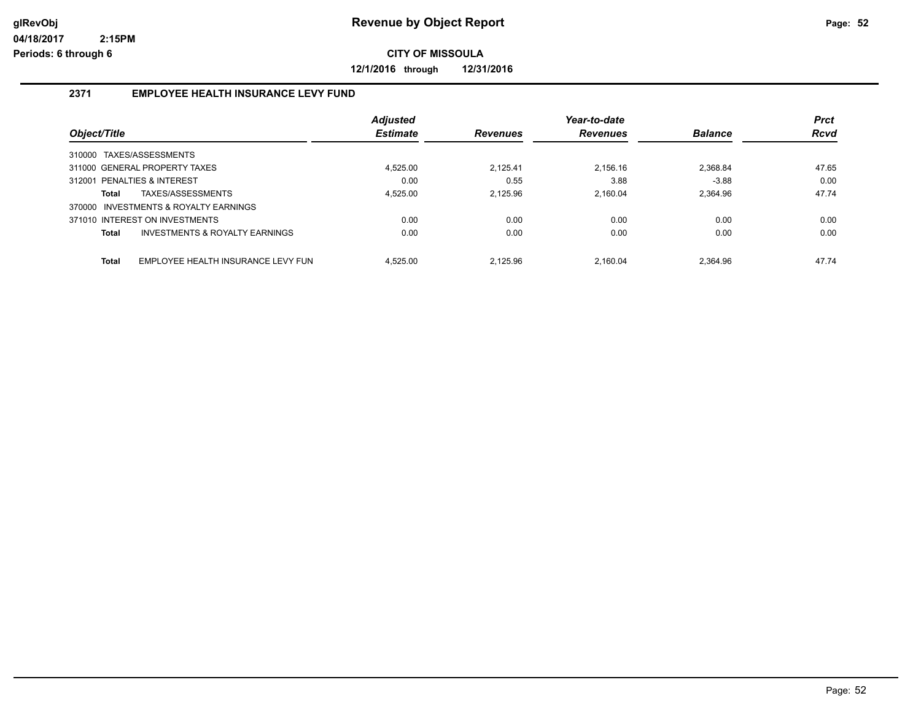**12/1/2016 through 12/31/2016**

### **2371 EMPLOYEE HEALTH INSURANCE LEVY FUND**

|                             |                                       | <b>Adjusted</b> |                 | Year-to-date    |                | <b>Prct</b> |
|-----------------------------|---------------------------------------|-----------------|-----------------|-----------------|----------------|-------------|
| Object/Title                |                                       | <b>Estimate</b> | <b>Revenues</b> | <b>Revenues</b> | <b>Balance</b> | <b>Rcvd</b> |
| 310000 TAXES/ASSESSMENTS    |                                       |                 |                 |                 |                |             |
|                             | 311000 GENERAL PROPERTY TAXES         | 4.525.00        | 2.125.41        | 2.156.16        | 2.368.84       | 47.65       |
| 312001 PENALTIES & INTEREST |                                       | 0.00            | 0.55            | 3.88            | $-3.88$        | 0.00        |
| Total                       | TAXES/ASSESSMENTS                     | 4.525.00        | 2.125.96        | 2.160.04        | 2.364.96       | 47.74       |
|                             | 370000 INVESTMENTS & ROYALTY EARNINGS |                 |                 |                 |                |             |
|                             | 371010 INTEREST ON INVESTMENTS        | 0.00            | 0.00            | 0.00            | 0.00           | 0.00        |
| Total                       | INVESTMENTS & ROYALTY EARNINGS        | 0.00            | 0.00            | 0.00            | 0.00           | 0.00        |
| <b>Total</b>                | EMPLOYEE HEALTH INSURANCE LEVY FUN    | 4.525.00        | 2.125.96        | 2.160.04        | 2.364.96       | 47.74       |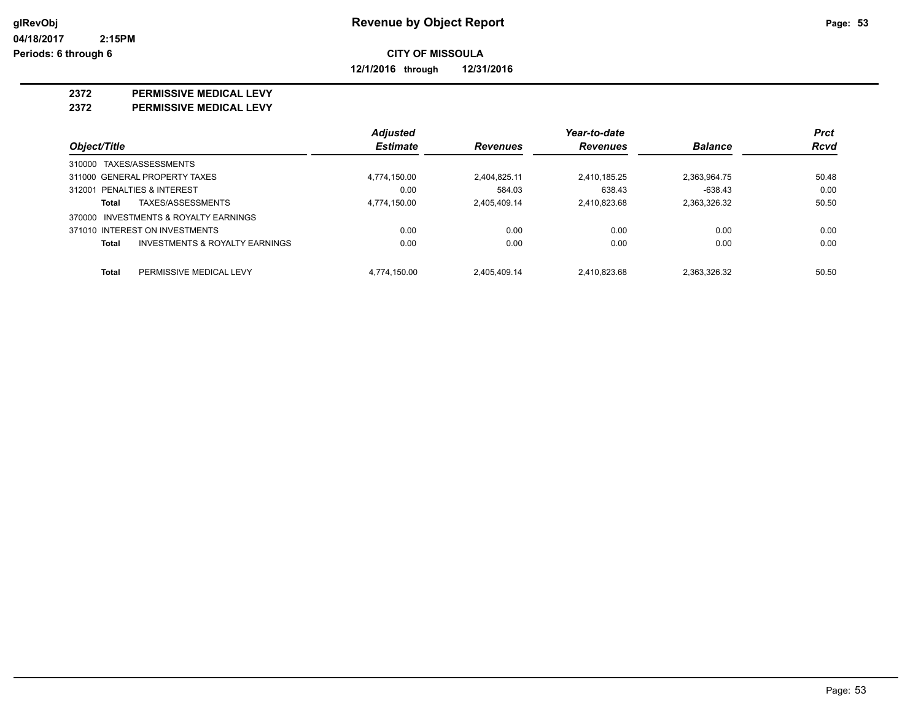**CITY OF MISSOULA 12/1/2016 through 12/31/2016**

**2372 PERMISSIVE MEDICAL LEVY**

**2372 PERMISSIVE MEDICAL LEVY**

|                                         | <b>Adjusted</b> |                 | Year-to-date    |                | <b>Prct</b> |
|-----------------------------------------|-----------------|-----------------|-----------------|----------------|-------------|
| Object/Title                            | <b>Estimate</b> | <b>Revenues</b> | <b>Revenues</b> | <b>Balance</b> | <b>Rcvd</b> |
| 310000 TAXES/ASSESSMENTS                |                 |                 |                 |                |             |
| 311000 GENERAL PROPERTY TAXES           | 4.774.150.00    | 2.404.825.11    | 2.410.185.25    | 2,363,964.75   | 50.48       |
| 312001 PENALTIES & INTEREST             | 0.00            | 584.03          | 638.43          | $-638.43$      | 0.00        |
| TAXES/ASSESSMENTS<br>Total              | 4.774.150.00    | 2.405.409.14    | 2.410.823.68    | 2.363.326.32   | 50.50       |
| 370000 INVESTMENTS & ROYALTY EARNINGS   |                 |                 |                 |                |             |
| 371010 INTEREST ON INVESTMENTS          | 0.00            | 0.00            | 0.00            | 0.00           | 0.00        |
| INVESTMENTS & ROYALTY EARNINGS<br>Total | 0.00            | 0.00            | 0.00            | 0.00           | 0.00        |
| <b>Total</b><br>PERMISSIVE MEDICAL LEVY | 4.774.150.00    | 2.405.409.14    | 2.410.823.68    | 2.363.326.32   | 50.50       |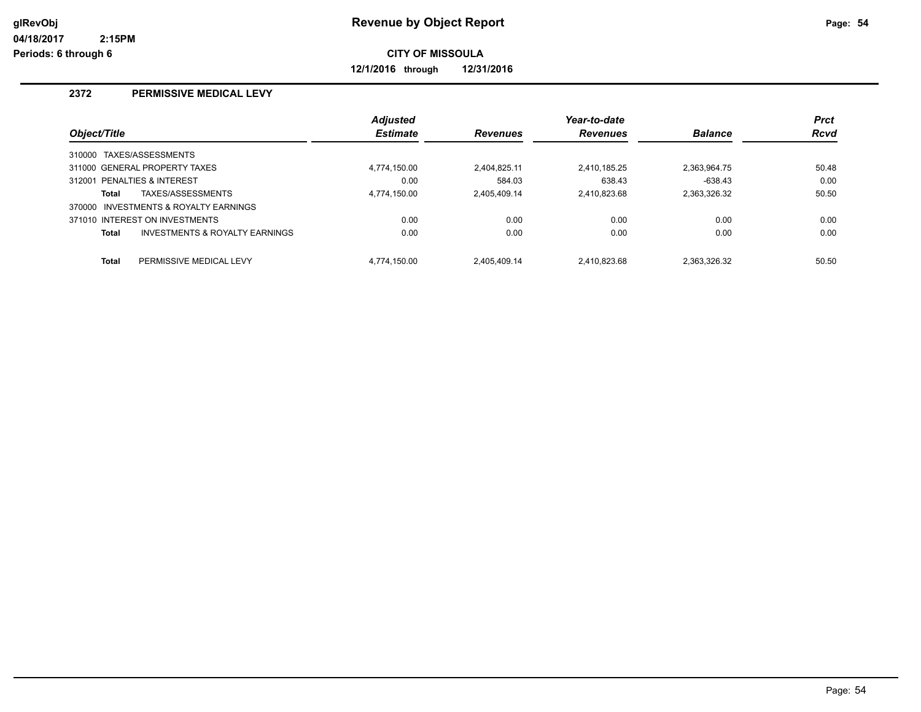**12/1/2016 through 12/31/2016**

### **2372 PERMISSIVE MEDICAL LEVY**

|                                                    | <b>Adjusted</b> |                 | Year-to-date    |                | <b>Prct</b> |
|----------------------------------------------------|-----------------|-----------------|-----------------|----------------|-------------|
| Object/Title                                       | <b>Estimate</b> | <b>Revenues</b> | <b>Revenues</b> | <b>Balance</b> | <b>Rcvd</b> |
| 310000 TAXES/ASSESSMENTS                           |                 |                 |                 |                |             |
| 311000 GENERAL PROPERTY TAXES                      | 4.774.150.00    | 2.404.825.11    | 2.410.185.25    | 2,363,964.75   | 50.48       |
| 312001 PENALTIES & INTEREST                        | 0.00            | 584.03          | 638.43          | $-638.43$      | 0.00        |
| TAXES/ASSESSMENTS<br><b>Total</b>                  | 4,774,150.00    | 2,405,409.14    | 2,410,823.68    | 2,363,326.32   | 50.50       |
| INVESTMENTS & ROYALTY EARNINGS<br>370000           |                 |                 |                 |                |             |
| 371010 INTEREST ON INVESTMENTS                     | 0.00            | 0.00            | 0.00            | 0.00           | 0.00        |
| <b>INVESTMENTS &amp; ROYALTY EARNINGS</b><br>Total | 0.00            | 0.00            | 0.00            | 0.00           | 0.00        |
| <b>Total</b><br>PERMISSIVE MEDICAL LEVY            | 4,774,150.00    | 2.405.409.14    | 2.410.823.68    | 2.363.326.32   | 50.50       |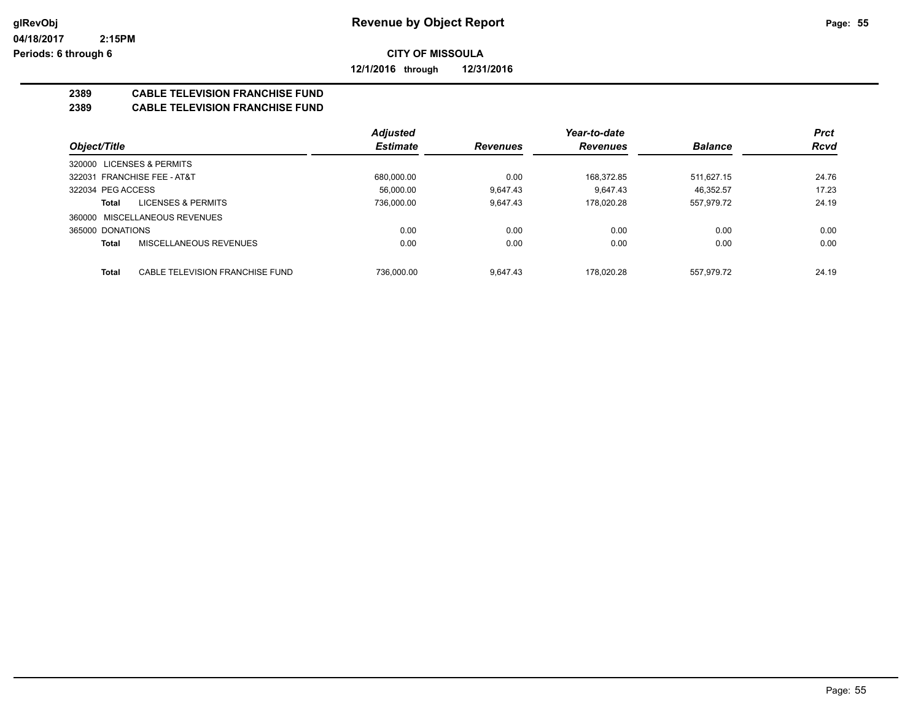**12/1/2016 through 12/31/2016**

### **2389 CABLE TELEVISION FRANCHISE FUND 2389 CABLE TELEVISION FRANCHISE FUND**

|                   |                                 | <b>Adjusted</b> |                 | Year-to-date    |                | <b>Prct</b> |
|-------------------|---------------------------------|-----------------|-----------------|-----------------|----------------|-------------|
| Object/Title      |                                 | <b>Estimate</b> | <b>Revenues</b> | <b>Revenues</b> | <b>Balance</b> | <b>Rcvd</b> |
|                   | 320000 LICENSES & PERMITS       |                 |                 |                 |                |             |
|                   | 322031 FRANCHISE FEE - AT&T     | 680.000.00      | 0.00            | 168.372.85      | 511.627.15     | 24.76       |
| 322034 PEG ACCESS |                                 | 56.000.00       | 9.647.43        | 9.647.43        | 46.352.57      | 17.23       |
| Total             | <b>LICENSES &amp; PERMITS</b>   | 736.000.00      | 9.647.43        | 178.020.28      | 557,979.72     | 24.19       |
|                   | 360000 MISCELLANEOUS REVENUES   |                 |                 |                 |                |             |
| 365000 DONATIONS  |                                 | 0.00            | 0.00            | 0.00            | 0.00           | 0.00        |
| Total             | MISCELLANEOUS REVENUES          | 0.00            | 0.00            | 0.00            | 0.00           | 0.00        |
| Total             | CABLE TELEVISION FRANCHISE FUND | 736.000.00      | 9.647.43        | 178.020.28      | 557.979.72     | 24.19       |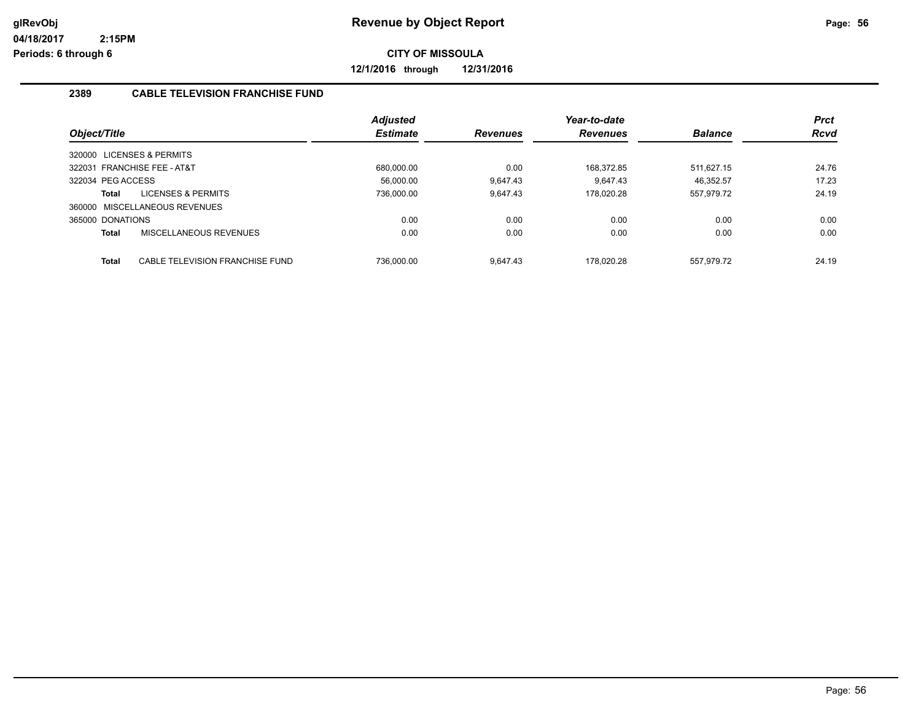**12/1/2016 through 12/31/2016**

### **2389 CABLE TELEVISION FRANCHISE FUND**

|                                                 | <b>Adjusted</b> |                 | Year-to-date    |                | <b>Prct</b> |
|-------------------------------------------------|-----------------|-----------------|-----------------|----------------|-------------|
| Object/Title                                    | <b>Estimate</b> | <b>Revenues</b> | <b>Revenues</b> | <b>Balance</b> | <b>Rcvd</b> |
| 320000 LICENSES & PERMITS                       |                 |                 |                 |                |             |
| 322031 FRANCHISE FEE - AT&T                     | 680,000.00      | 0.00            | 168.372.85      | 511.627.15     | 24.76       |
| 322034 PEG ACCESS                               | 56.000.00       | 9.647.43        | 9.647.43        | 46.352.57      | 17.23       |
| Total<br>LICENSES & PERMITS                     | 736,000.00      | 9.647.43        | 178.020.28      | 557,979.72     | 24.19       |
| 360000 MISCELLANEOUS REVENUES                   |                 |                 |                 |                |             |
| 365000 DONATIONS                                | 0.00            | 0.00            | 0.00            | 0.00           | 0.00        |
| <b>MISCELLANEOUS REVENUES</b><br><b>Total</b>   | 0.00            | 0.00            | 0.00            | 0.00           | 0.00        |
|                                                 |                 |                 |                 |                |             |
| <b>Total</b><br>CABLE TELEVISION FRANCHISE FUND | 736.000.00      | 9.647.43        | 178.020.28      | 557.979.72     | 24.19       |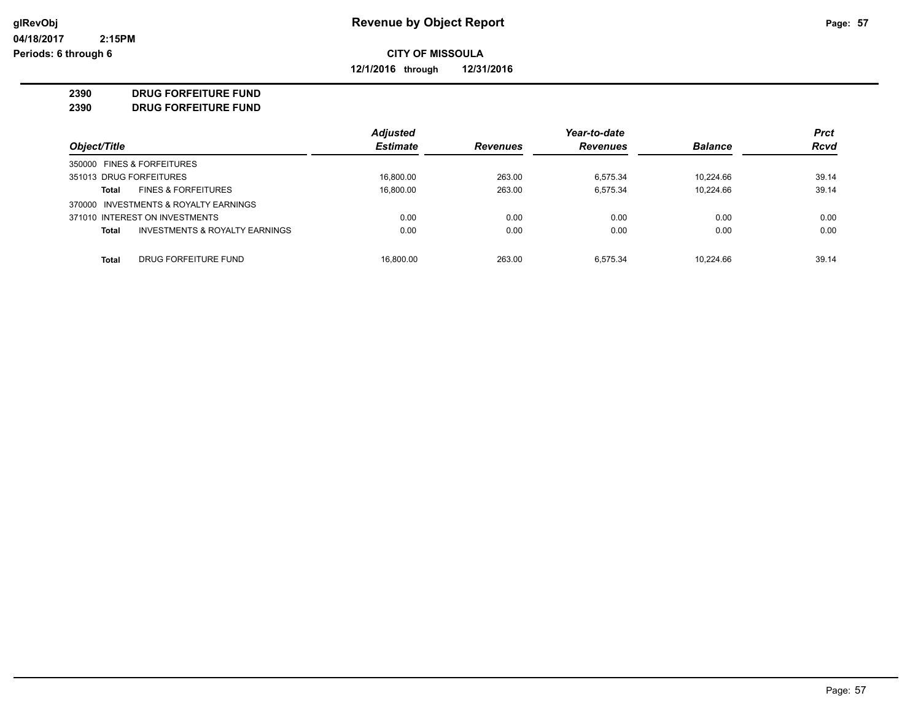**12/1/2016 through 12/31/2016**

**2390 DRUG FORFEITURE FUND 2390 DRUG FORFEITURE FUND**

|                                                | <b>Adjusted</b> |                 | Year-to-date    |                | <b>Prct</b> |
|------------------------------------------------|-----------------|-----------------|-----------------|----------------|-------------|
| Object/Title                                   | <b>Estimate</b> | <b>Revenues</b> | <b>Revenues</b> | <b>Balance</b> | <b>Rcvd</b> |
| 350000 FINES & FORFEITURES                     |                 |                 |                 |                |             |
| 351013 DRUG FORFEITURES                        | 16,800.00       | 263.00          | 6.575.34        | 10.224.66      | 39.14       |
| <b>FINES &amp; FORFEITURES</b><br>Total        | 16,800.00       | 263.00          | 6.575.34        | 10.224.66      | 39.14       |
| 370000 INVESTMENTS & ROYALTY EARNINGS          |                 |                 |                 |                |             |
| 371010 INTEREST ON INVESTMENTS                 | 0.00            | 0.00            | 0.00            | 0.00           | 0.00        |
| INVESTMENTS & ROYALTY EARNINGS<br><b>Total</b> | 0.00            | 0.00            | 0.00            | 0.00           | 0.00        |
| <b>Total</b><br>DRUG FORFEITURE FUND           | 16.800.00       | 263.00          | 6.575.34        | 10.224.66      | 39.14       |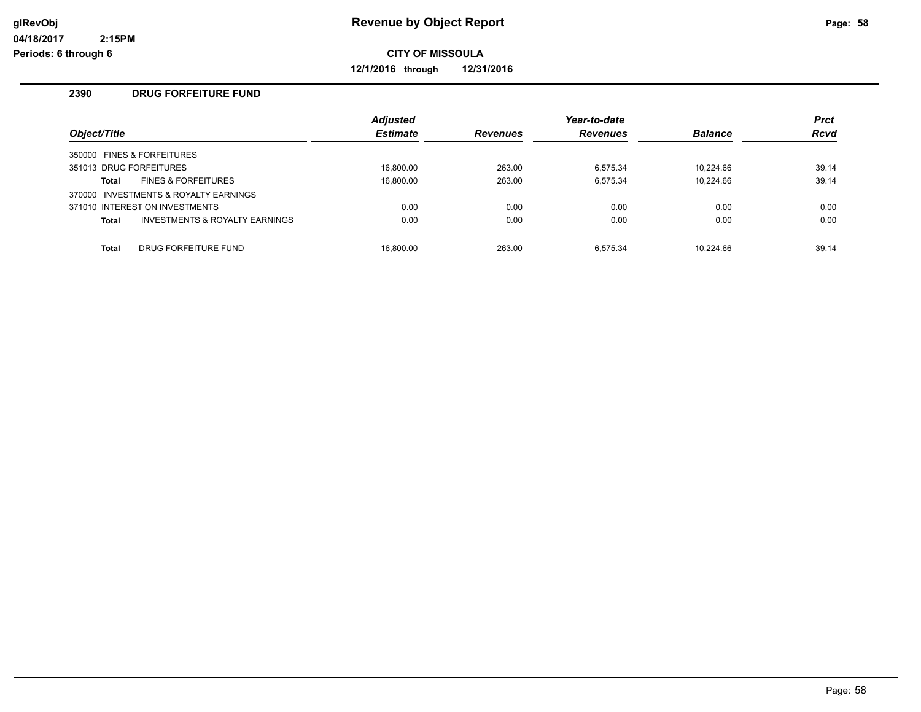**12/1/2016 through 12/31/2016**

### **2390 DRUG FORFEITURE FUND**

|                         |                                       | <b>Adjusted</b> |                 | Year-to-date    |                | <b>Prct</b> |
|-------------------------|---------------------------------------|-----------------|-----------------|-----------------|----------------|-------------|
| Object/Title            |                                       | <b>Estimate</b> | <b>Revenues</b> | <b>Revenues</b> | <b>Balance</b> | <b>Rcvd</b> |
|                         | 350000 FINES & FORFEITURES            |                 |                 |                 |                |             |
| 351013 DRUG FORFEITURES |                                       | 16.800.00       | 263.00          | 6.575.34        | 10.224.66      | 39.14       |
| <b>Total</b>            | <b>FINES &amp; FORFEITURES</b>        | 16,800.00       | 263.00          | 6.575.34        | 10.224.66      | 39.14       |
|                         | 370000 INVESTMENTS & ROYALTY EARNINGS |                 |                 |                 |                |             |
|                         | 371010 INTEREST ON INVESTMENTS        | 0.00            | 0.00            | 0.00            | 0.00           | 0.00        |
| <b>Total</b>            | INVESTMENTS & ROYALTY EARNINGS        | 0.00            | 0.00            | 0.00            | 0.00           | 0.00        |
| <b>Total</b>            | DRUG FORFEITURE FUND                  | 16.800.00       | 263.00          | 6.575.34        | 10.224.66      | 39.14       |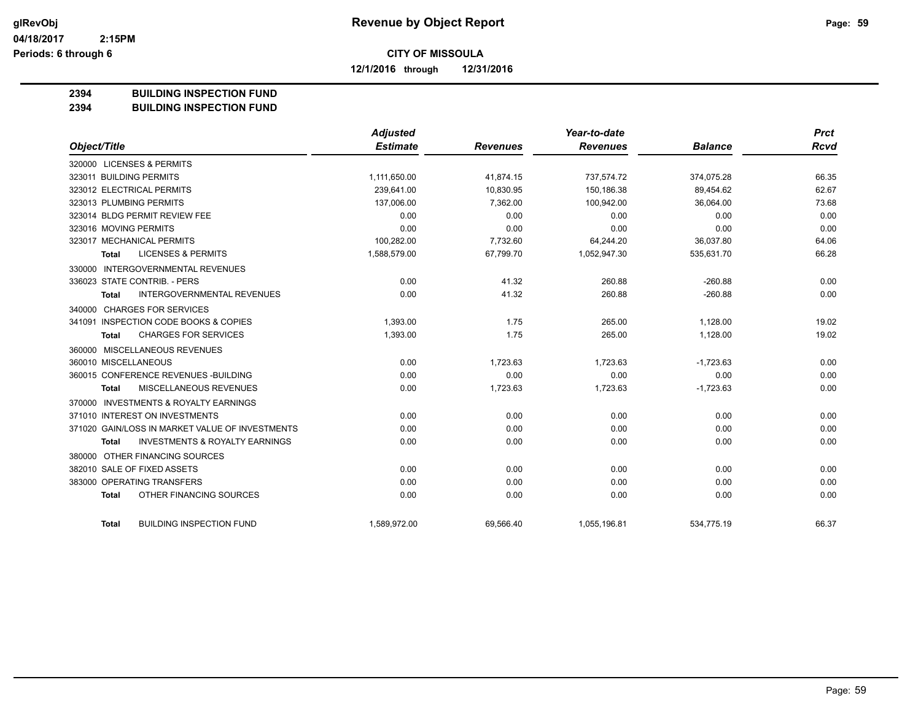**12/1/2016 through 12/31/2016**

**2394 BUILDING INSPECTION FUND**

| 2394 | <b>BUILDING INSPECTION FUND</b> |
|------|---------------------------------|
|------|---------------------------------|

|                                                    | <b>Adjusted</b> |                 | Year-to-date    |                | <b>Prct</b> |
|----------------------------------------------------|-----------------|-----------------|-----------------|----------------|-------------|
| Object/Title                                       | <b>Estimate</b> | <b>Revenues</b> | <b>Revenues</b> | <b>Balance</b> | <b>Rcvd</b> |
| 320000 LICENSES & PERMITS                          |                 |                 |                 |                |             |
| 323011 BUILDING PERMITS                            | 1,111,650.00    | 41,874.15       | 737.574.72      | 374,075.28     | 66.35       |
| 323012 ELECTRICAL PERMITS                          | 239,641.00      | 10,830.95       | 150,186.38      | 89,454.62      | 62.67       |
| 323013 PLUMBING PERMITS                            | 137,006.00      | 7,362.00        | 100,942.00      | 36,064.00      | 73.68       |
| 323014 BLDG PERMIT REVIEW FEE                      | 0.00            | 0.00            | 0.00            | 0.00           | 0.00        |
| 323016 MOVING PERMITS                              | 0.00            | 0.00            | 0.00            | 0.00           | 0.00        |
| 323017 MECHANICAL PERMITS                          | 100,282.00      | 7,732.60        | 64,244.20       | 36,037.80      | 64.06       |
| <b>LICENSES &amp; PERMITS</b><br><b>Total</b>      | 1,588,579.00    | 67,799.70       | 1,052,947.30    | 535,631.70     | 66.28       |
| 330000 INTERGOVERNMENTAL REVENUES                  |                 |                 |                 |                |             |
| 336023 STATE CONTRIB. - PERS                       | 0.00            | 41.32           | 260.88          | $-260.88$      | 0.00        |
| <b>Total</b><br><b>INTERGOVERNMENTAL REVENUES</b>  | 0.00            | 41.32           | 260.88          | $-260.88$      | 0.00        |
| 340000 CHARGES FOR SERVICES                        |                 |                 |                 |                |             |
| 341091 INSPECTION CODE BOOKS & COPIES              | 1,393.00        | 1.75            | 265.00          | 1,128.00       | 19.02       |
| <b>CHARGES FOR SERVICES</b><br>Total               | 1,393.00        | 1.75            | 265.00          | 1,128.00       | 19.02       |
| 360000 MISCELLANEOUS REVENUES                      |                 |                 |                 |                |             |
| 360010 MISCELLANEOUS                               | 0.00            | 1.723.63        | 1.723.63        | $-1,723.63$    | 0.00        |
| 360015 CONFERENCE REVENUES - BUILDING              | 0.00            | 0.00            | 0.00            | 0.00           | 0.00        |
| MISCELLANEOUS REVENUES<br><b>Total</b>             | 0.00            | 1,723.63        | 1,723.63        | $-1,723.63$    | 0.00        |
| 370000 INVESTMENTS & ROYALTY EARNINGS              |                 |                 |                 |                |             |
| 371010 INTEREST ON INVESTMENTS                     | 0.00            | 0.00            | 0.00            | 0.00           | 0.00        |
| 371020 GAIN/LOSS IN MARKET VALUE OF INVESTMENTS    | 0.00            | 0.00            | 0.00            | 0.00           | 0.00        |
| <b>INVESTMENTS &amp; ROYALTY EARNINGS</b><br>Total | 0.00            | 0.00            | 0.00            | 0.00           | 0.00        |
| 380000 OTHER FINANCING SOURCES                     |                 |                 |                 |                |             |
| 382010 SALE OF FIXED ASSETS                        | 0.00            | 0.00            | 0.00            | 0.00           | 0.00        |
| 383000 OPERATING TRANSFERS                         | 0.00            | 0.00            | 0.00            | 0.00           | 0.00        |
| OTHER FINANCING SOURCES<br><b>Total</b>            | 0.00            | 0.00            | 0.00            | 0.00           | 0.00        |
| <b>BUILDING INSPECTION FUND</b><br><b>Total</b>    | 1.589.972.00    | 69,566.40       | 1,055,196.81    | 534,775.19     | 66.37       |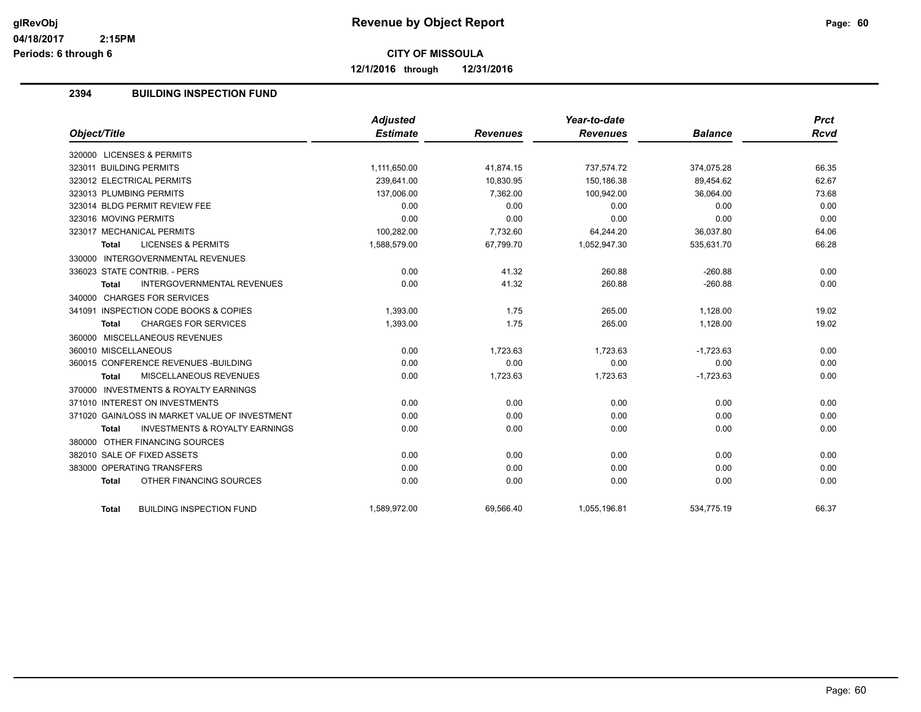**12/1/2016 through 12/31/2016**

### **2394 BUILDING INSPECTION FUND**

|                                                           | <b>Adjusted</b> |                 | Year-to-date    |                | <b>Prct</b> |
|-----------------------------------------------------------|-----------------|-----------------|-----------------|----------------|-------------|
| Object/Title                                              | <b>Estimate</b> | <b>Revenues</b> | <b>Revenues</b> | <b>Balance</b> | Rcvd        |
| 320000 LICENSES & PERMITS                                 |                 |                 |                 |                |             |
| 323011 BUILDING PERMITS                                   | 1,111,650.00    | 41,874.15       | 737,574.72      | 374,075.28     | 66.35       |
| 323012 ELECTRICAL PERMITS                                 | 239.641.00      | 10,830.95       | 150,186.38      | 89,454.62      | 62.67       |
| 323013 PLUMBING PERMITS                                   | 137.006.00      | 7.362.00        | 100.942.00      | 36.064.00      | 73.68       |
| 323014 BLDG PERMIT REVIEW FEE                             | 0.00            | 0.00            | 0.00            | 0.00           | 0.00        |
| 323016 MOVING PERMITS                                     | 0.00            | 0.00            | 0.00            | 0.00           | 0.00        |
| 323017 MECHANICAL PERMITS                                 | 100,282.00      | 7,732.60        | 64,244.20       | 36,037.80      | 64.06       |
| <b>LICENSES &amp; PERMITS</b><br><b>Total</b>             | 1,588,579.00    | 67,799.70       | 1,052,947.30    | 535,631.70     | 66.28       |
| 330000 INTERGOVERNMENTAL REVENUES                         |                 |                 |                 |                |             |
| 336023 STATE CONTRIB. - PERS                              | 0.00            | 41.32           | 260.88          | $-260.88$      | 0.00        |
| <b>INTERGOVERNMENTAL REVENUES</b><br><b>Total</b>         | 0.00            | 41.32           | 260.88          | $-260.88$      | 0.00        |
| 340000 CHARGES FOR SERVICES                               |                 |                 |                 |                |             |
| 341091 INSPECTION CODE BOOKS & COPIES                     | 1.393.00        | 1.75            | 265.00          | 1,128.00       | 19.02       |
| <b>CHARGES FOR SERVICES</b><br><b>Total</b>               | 1,393.00        | 1.75            | 265.00          | 1,128.00       | 19.02       |
| 360000 MISCELLANEOUS REVENUES                             |                 |                 |                 |                |             |
| 360010 MISCELLANEOUS                                      | 0.00            | 1,723.63        | 1,723.63        | $-1,723.63$    | 0.00        |
| 360015 CONFERENCE REVENUES - BUILDING                     | 0.00            | 0.00            | 0.00            | 0.00           | 0.00        |
| MISCELLANEOUS REVENUES<br>Total                           | 0.00            | 1,723.63        | 1,723.63        | $-1,723.63$    | 0.00        |
| 370000 INVESTMENTS & ROYALTY EARNINGS                     |                 |                 |                 |                |             |
| 371010 INTEREST ON INVESTMENTS                            | 0.00            | 0.00            | 0.00            | 0.00           | 0.00        |
| 371020 GAIN/LOSS IN MARKET VALUE OF INVESTMENT            | 0.00            | 0.00            | 0.00            | 0.00           | 0.00        |
| <b>INVESTMENTS &amp; ROYALTY EARNINGS</b><br><b>Total</b> | 0.00            | 0.00            | 0.00            | 0.00           | 0.00        |
| 380000 OTHER FINANCING SOURCES                            |                 |                 |                 |                |             |
| 382010 SALE OF FIXED ASSETS                               | 0.00            | 0.00            | 0.00            | 0.00           | 0.00        |
| 383000 OPERATING TRANSFERS                                | 0.00            | 0.00            | 0.00            | 0.00           | 0.00        |
| OTHER FINANCING SOURCES<br><b>Total</b>                   | 0.00            | 0.00            | 0.00            | 0.00           | 0.00        |
| <b>BUILDING INSPECTION FUND</b><br><b>Total</b>           | 1,589,972.00    | 69,566.40       | 1,055,196.81    | 534.775.19     | 66.37       |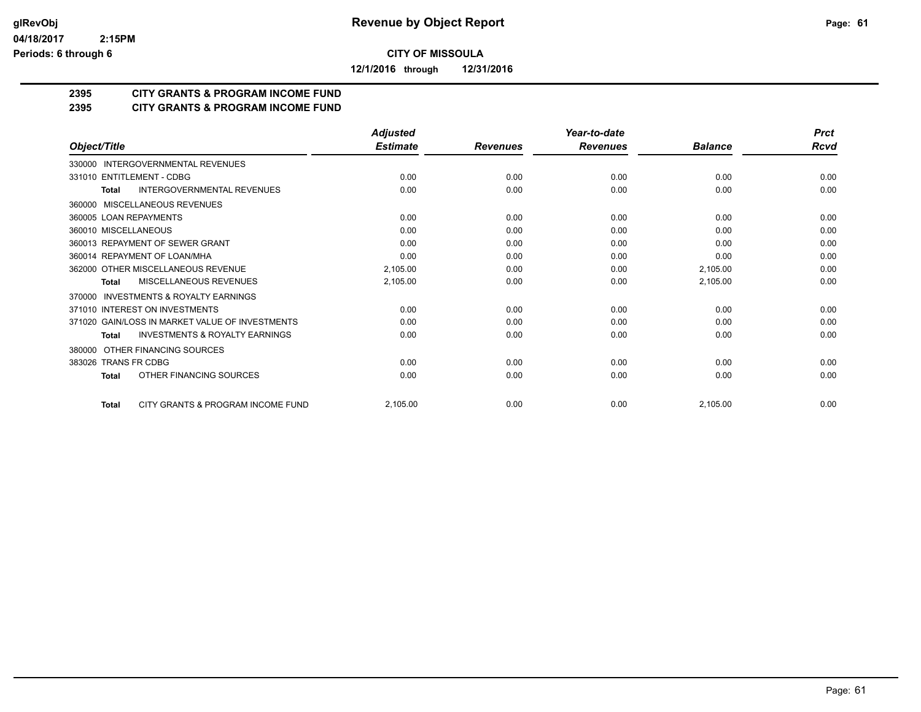**12/1/2016 through 12/31/2016**

### **2395 CITY GRANTS & PROGRAM INCOME FUND 2395 CITY GRANTS & PROGRAM INCOME FUND**

|                                                           | <b>Adjusted</b> |                 | Year-to-date    |                | <b>Prct</b> |
|-----------------------------------------------------------|-----------------|-----------------|-----------------|----------------|-------------|
| Object/Title                                              | <b>Estimate</b> | <b>Revenues</b> | <b>Revenues</b> | <b>Balance</b> | <b>Rcvd</b> |
| <b>INTERGOVERNMENTAL REVENUES</b><br>330000               |                 |                 |                 |                |             |
| 331010 ENTITLEMENT - CDBG                                 | 0.00            | 0.00            | 0.00            | 0.00           | 0.00        |
| <b>INTERGOVERNMENTAL REVENUES</b><br><b>Total</b>         | 0.00            | 0.00            | 0.00            | 0.00           | 0.00        |
| MISCELLANEOUS REVENUES<br>360000                          |                 |                 |                 |                |             |
| 360005 LOAN REPAYMENTS                                    | 0.00            | 0.00            | 0.00            | 0.00           | 0.00        |
| 360010 MISCELLANEOUS                                      | 0.00            | 0.00            | 0.00            | 0.00           | 0.00        |
| 360013 REPAYMENT OF SEWER GRANT                           | 0.00            | 0.00            | 0.00            | 0.00           | 0.00        |
| 360014 REPAYMENT OF LOAN/MHA                              | 0.00            | 0.00            | 0.00            | 0.00           | 0.00        |
| 362000 OTHER MISCELLANEOUS REVENUE                        | 2,105.00        | 0.00            | 0.00            | 2,105.00       | 0.00        |
| MISCELLANEOUS REVENUES<br><b>Total</b>                    | 2,105.00        | 0.00            | 0.00            | 2,105.00       | 0.00        |
| INVESTMENTS & ROYALTY EARNINGS<br>370000                  |                 |                 |                 |                |             |
| 371010 INTEREST ON INVESTMENTS                            | 0.00            | 0.00            | 0.00            | 0.00           | 0.00        |
| 371020 GAIN/LOSS IN MARKET VALUE OF INVESTMENTS           | 0.00            | 0.00            | 0.00            | 0.00           | 0.00        |
| <b>INVESTMENTS &amp; ROYALTY EARNINGS</b><br><b>Total</b> | 0.00            | 0.00            | 0.00            | 0.00           | 0.00        |
| OTHER FINANCING SOURCES<br>380000                         |                 |                 |                 |                |             |
| 383026 TRANS FR CDBG                                      | 0.00            | 0.00            | 0.00            | 0.00           | 0.00        |
| OTHER FINANCING SOURCES<br><b>Total</b>                   | 0.00            | 0.00            | 0.00            | 0.00           | 0.00        |
| CITY GRANTS & PROGRAM INCOME FUND<br><b>Total</b>         | 2,105.00        | 0.00            | 0.00            | 2,105.00       | 0.00        |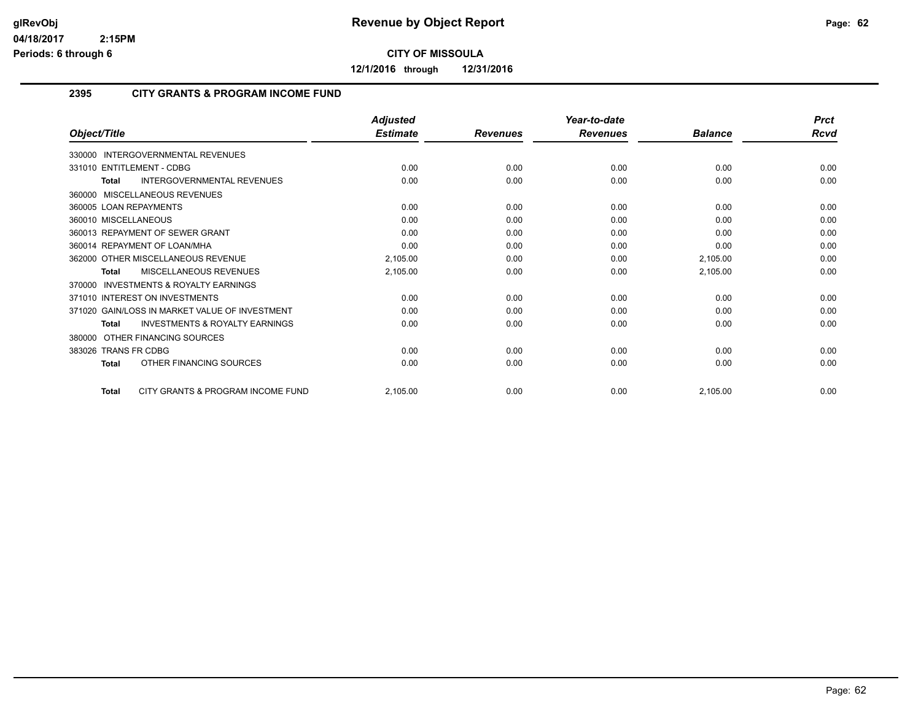**12/1/2016 through 12/31/2016**

### **2395 CITY GRANTS & PROGRAM INCOME FUND**

|                                                           | <b>Adjusted</b> |                 | Year-to-date    |                | <b>Prct</b> |
|-----------------------------------------------------------|-----------------|-----------------|-----------------|----------------|-------------|
| Object/Title                                              | <b>Estimate</b> | <b>Revenues</b> | <b>Revenues</b> | <b>Balance</b> | <b>Rcvd</b> |
| 330000 INTERGOVERNMENTAL REVENUES                         |                 |                 |                 |                |             |
| 331010 ENTITLEMENT - CDBG                                 | 0.00            | 0.00            | 0.00            | 0.00           | 0.00        |
| <b>INTERGOVERNMENTAL REVENUES</b><br>Total                | 0.00            | 0.00            | 0.00            | 0.00           | 0.00        |
| 360000 MISCELLANEOUS REVENUES                             |                 |                 |                 |                |             |
| 360005 LOAN REPAYMENTS                                    | 0.00            | 0.00            | 0.00            | 0.00           | 0.00        |
| 360010 MISCELLANEOUS                                      | 0.00            | 0.00            | 0.00            | 0.00           | 0.00        |
| 360013 REPAYMENT OF SEWER GRANT                           | 0.00            | 0.00            | 0.00            | 0.00           | 0.00        |
| 360014 REPAYMENT OF LOAN/MHA                              | 0.00            | 0.00            | 0.00            | 0.00           | 0.00        |
| 362000 OTHER MISCELLANEOUS REVENUE                        | 2,105.00        | 0.00            | 0.00            | 2,105.00       | 0.00        |
| MISCELLANEOUS REVENUES<br><b>Total</b>                    | 2,105.00        | 0.00            | 0.00            | 2,105.00       | 0.00        |
| 370000 INVESTMENTS & ROYALTY EARNINGS                     |                 |                 |                 |                |             |
| 371010 INTEREST ON INVESTMENTS                            | 0.00            | 0.00            | 0.00            | 0.00           | 0.00        |
| 371020 GAIN/LOSS IN MARKET VALUE OF INVESTMENT            | 0.00            | 0.00            | 0.00            | 0.00           | 0.00        |
| <b>INVESTMENTS &amp; ROYALTY EARNINGS</b><br><b>Total</b> | 0.00            | 0.00            | 0.00            | 0.00           | 0.00        |
| 380000 OTHER FINANCING SOURCES                            |                 |                 |                 |                |             |
| 383026 TRANS FR CDBG                                      | 0.00            | 0.00            | 0.00            | 0.00           | 0.00        |
| OTHER FINANCING SOURCES<br><b>Total</b>                   | 0.00            | 0.00            | 0.00            | 0.00           | 0.00        |
| CITY GRANTS & PROGRAM INCOME FUND<br><b>Total</b>         | 2,105.00        | 0.00            | 0.00            | 2,105.00       | 0.00        |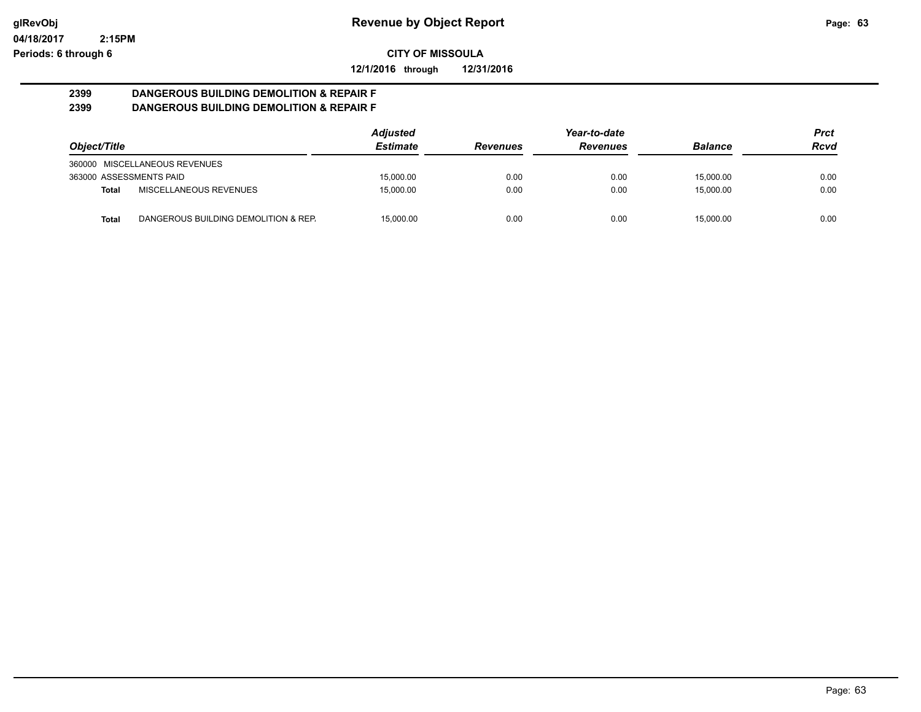**12/1/2016 through 12/31/2016**

### **2399 DANGEROUS BUILDING DEMOLITION & REPAIR F 2399 DANGEROUS BUILDING DEMOLITION & REPAIR F**

|                         |                                      | <b>Adjusted</b> |                 | Year-to-date    |                | <b>Prct</b> |
|-------------------------|--------------------------------------|-----------------|-----------------|-----------------|----------------|-------------|
| Object/Title            |                                      | <b>Estimate</b> | <b>Revenues</b> | <b>Revenues</b> | <b>Balance</b> | <b>Rcvd</b> |
|                         | 360000 MISCELLANEOUS REVENUES        |                 |                 |                 |                |             |
| 363000 ASSESSMENTS PAID |                                      | 15.000.00       | 0.00            | 0.00            | 15,000.00      | 0.00        |
| Total                   | MISCELLANEOUS REVENUES               | 15.000.00       | 0.00            | 0.00            | 15,000.00      | 0.00        |
| Total                   | DANGEROUS BUILDING DEMOLITION & REP. | 15.000.00       | 0.00            | 0.00            | 15,000.00      | 0.00        |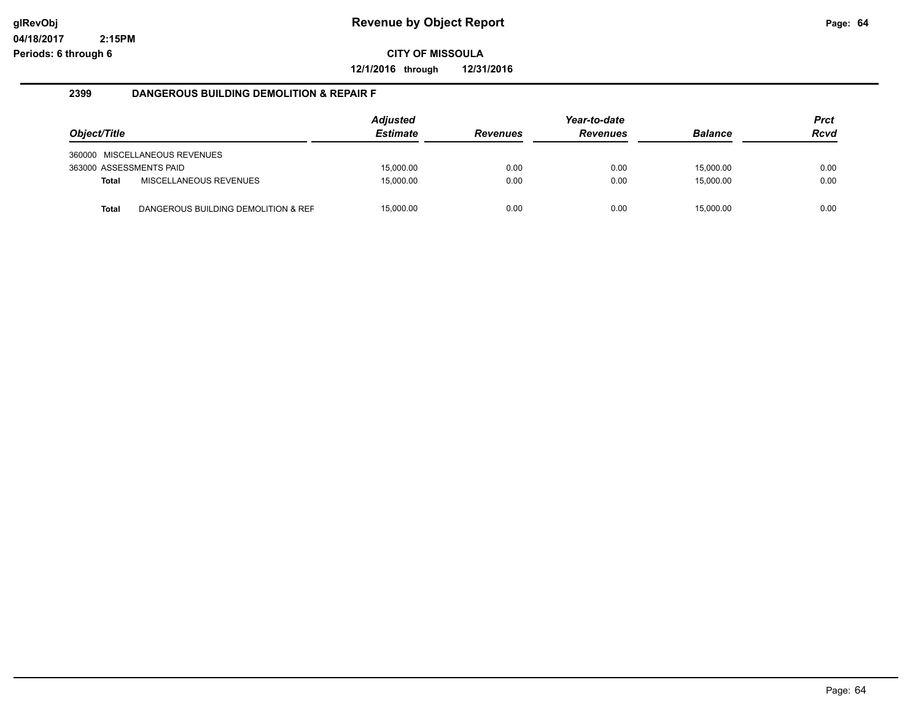**12/1/2016 through 12/31/2016**

### **2399 DANGEROUS BUILDING DEMOLITION & REPAIR F**

|                         |                                     | <b>Adjusted</b> |                 | Year-to-date    |                | <b>Prct</b> |
|-------------------------|-------------------------------------|-----------------|-----------------|-----------------|----------------|-------------|
| Object/Title            |                                     | <b>Estimate</b> | <b>Revenues</b> | <b>Revenues</b> | <b>Balance</b> | <b>Rcvd</b> |
|                         | 360000 MISCELLANEOUS REVENUES       |                 |                 |                 |                |             |
| 363000 ASSESSMENTS PAID |                                     | 15.000.00       | 0.00            | 0.00            | 15,000.00      | 0.00        |
| <b>Total</b>            | MISCELLANEOUS REVENUES              | 15,000.00       | 0.00            | 0.00            | 15,000.00      | 0.00        |
| Total                   | DANGEROUS BUILDING DEMOLITION & REF | 15.000.00       | 0.00            | 0.00            | 15,000.00      | 0.00        |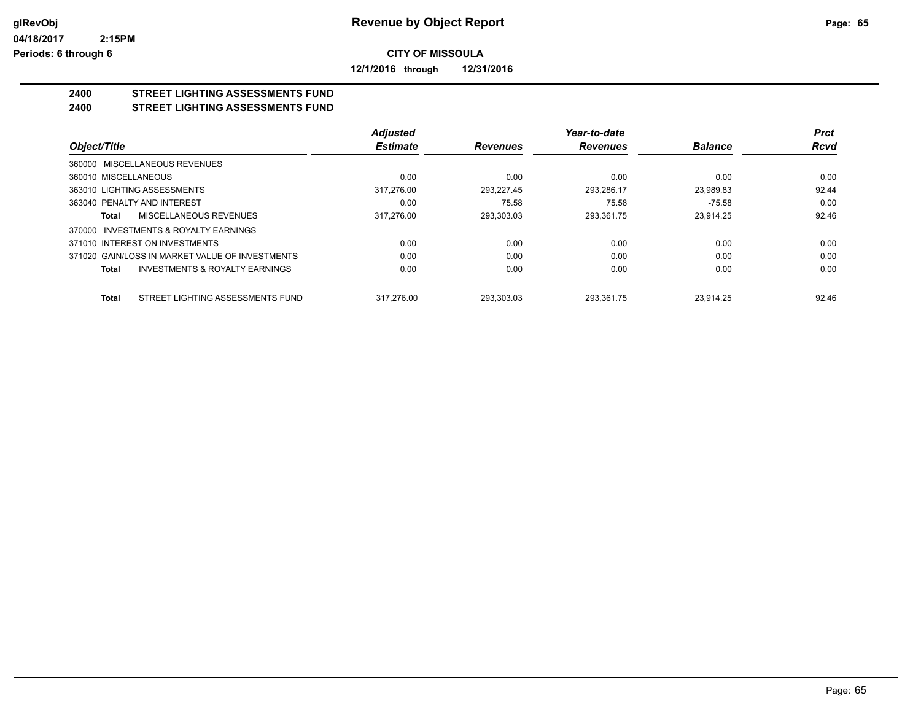**12/1/2016 through 12/31/2016**

### **2400 STREET LIGHTING ASSESSMENTS FUND 2400 STREET LIGHTING ASSESSMENTS FUND**

|                                                    | <b>Adjusted</b> |                 | Year-to-date    |                | <b>Prct</b> |
|----------------------------------------------------|-----------------|-----------------|-----------------|----------------|-------------|
| Object/Title                                       | <b>Estimate</b> | <b>Revenues</b> | <b>Revenues</b> | <b>Balance</b> | <b>Rcvd</b> |
| 360000 MISCELLANEOUS REVENUES                      |                 |                 |                 |                |             |
| 360010 MISCELLANEOUS                               | 0.00            | 0.00            | 0.00            | 0.00           | 0.00        |
| 363010 LIGHTING ASSESSMENTS                        | 317.276.00      | 293.227.45      | 293.286.17      | 23,989.83      | 92.44       |
| 363040 PENALTY AND INTEREST                        | 0.00            | 75.58           | 75.58           | $-75.58$       | 0.00        |
| MISCELLANEOUS REVENUES<br>Total                    | 317.276.00      | 293,303.03      | 293,361.75      | 23.914.25      | 92.46       |
| 370000 INVESTMENTS & ROYALTY EARNINGS              |                 |                 |                 |                |             |
| 371010 INTEREST ON INVESTMENTS                     | 0.00            | 0.00            | 0.00            | 0.00           | 0.00        |
| 371020 GAIN/LOSS IN MARKET VALUE OF INVESTMENTS    | 0.00            | 0.00            | 0.00            | 0.00           | 0.00        |
| <b>INVESTMENTS &amp; ROYALTY EARNINGS</b><br>Total | 0.00            | 0.00            | 0.00            | 0.00           | 0.00        |
| Total<br>STREET LIGHTING ASSESSMENTS FUND          | 317.276.00      | 293.303.03      | 293.361.75      | 23.914.25      | 92.46       |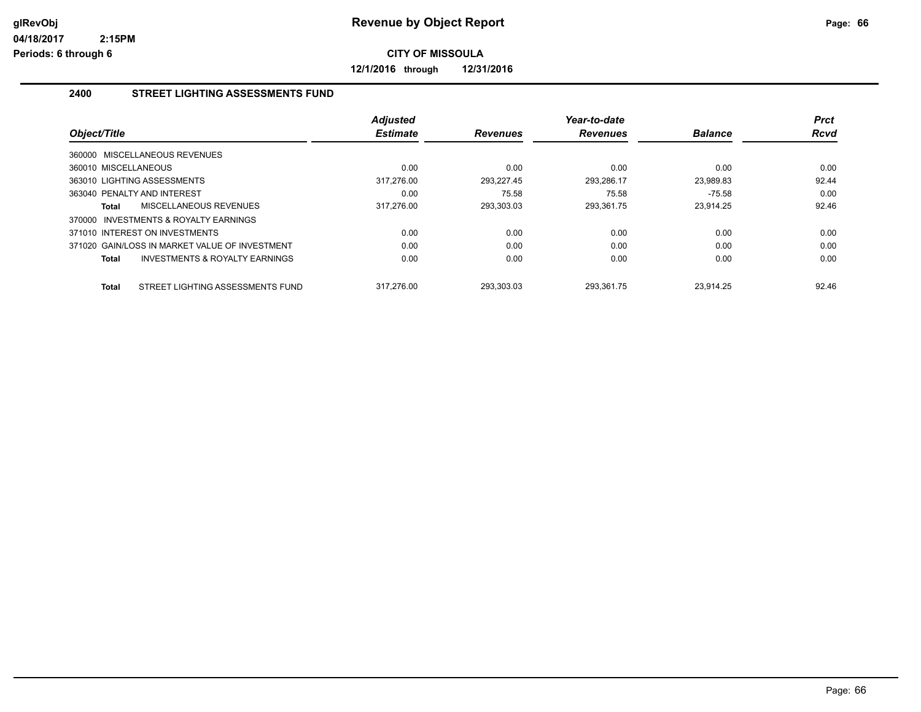**12/1/2016 through 12/31/2016**

### **2400 STREET LIGHTING ASSESSMENTS FUND**

| Object/Title                                     | <b>Adjusted</b><br><b>Estimate</b> | <b>Revenues</b> | Year-to-date<br><b>Revenues</b> | <b>Balance</b> | <b>Prct</b><br><b>Rcvd</b> |
|--------------------------------------------------|------------------------------------|-----------------|---------------------------------|----------------|----------------------------|
| 360000 MISCELLANEOUS REVENUES                    |                                    |                 |                                 |                |                            |
| 360010 MISCELLANEOUS                             | 0.00                               | 0.00            | 0.00                            | 0.00           | 0.00                       |
| 363010 LIGHTING ASSESSMENTS                      | 317.276.00                         | 293.227.45      | 293.286.17                      | 23.989.83      | 92.44                      |
| 363040 PENALTY AND INTEREST                      | 0.00                               | 75.58           | 75.58                           | $-75.58$       | 0.00                       |
| <b>MISCELLANEOUS REVENUES</b><br>Total           | 317,276.00                         | 293,303.03      | 293,361.75                      | 23.914.25      | 92.46                      |
| 370000 INVESTMENTS & ROYALTY EARNINGS            |                                    |                 |                                 |                |                            |
| 371010 INTEREST ON INVESTMENTS                   | 0.00                               | 0.00            | 0.00                            | 0.00           | 0.00                       |
| 371020 GAIN/LOSS IN MARKET VALUE OF INVESTMENT   | 0.00                               | 0.00            | 0.00                            | 0.00           | 0.00                       |
| INVESTMENTS & ROYALTY EARNINGS<br>Total          | 0.00                               | 0.00            | 0.00                            | 0.00           | 0.00                       |
|                                                  |                                    |                 |                                 |                |                            |
| <b>Total</b><br>STREET LIGHTING ASSESSMENTS FUND | 317.276.00                         | 293.303.03      | 293.361.75                      | 23.914.25      | 92.46                      |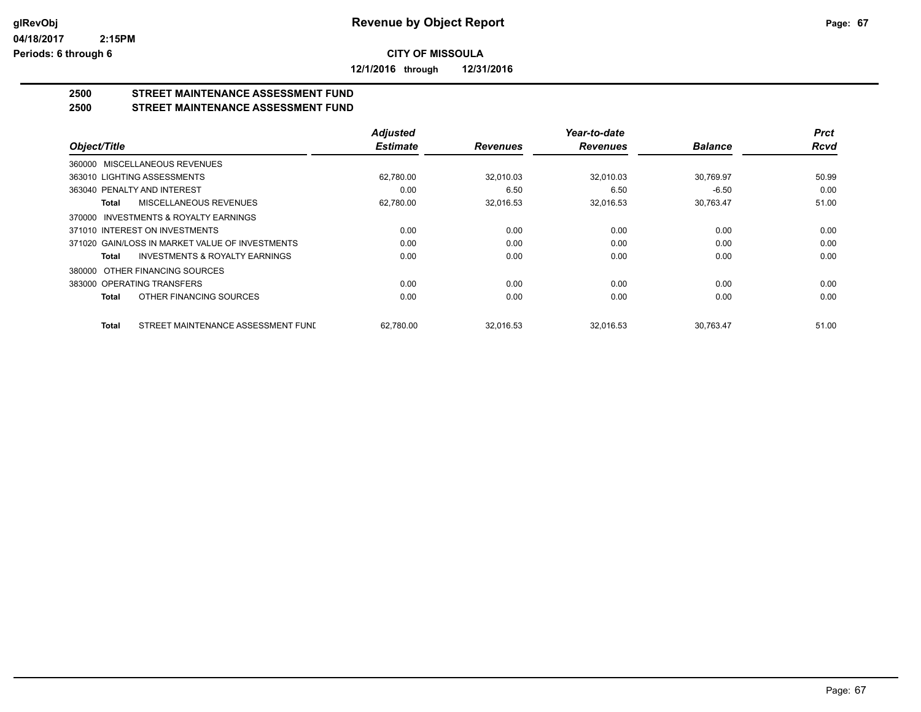**12/1/2016 through 12/31/2016**

### **2500 STREET MAINTENANCE ASSESSMENT FUND 2500 STREET MAINTENANCE ASSESSMENT FUND**

|                                                    | <b>Adjusted</b> |                 | Year-to-date    |                | <b>Prct</b> |
|----------------------------------------------------|-----------------|-----------------|-----------------|----------------|-------------|
| Object/Title                                       | <b>Estimate</b> | <b>Revenues</b> | <b>Revenues</b> | <b>Balance</b> | Rcvd        |
| 360000 MISCELLANEOUS REVENUES                      |                 |                 |                 |                |             |
| 363010 LIGHTING ASSESSMENTS                        | 62,780.00       | 32,010.03       | 32,010.03       | 30,769.97      | 50.99       |
| 363040 PENALTY AND INTEREST                        | 0.00            | 6.50            | 6.50            | $-6.50$        | 0.00        |
| MISCELLANEOUS REVENUES<br>Total                    | 62,780.00       | 32,016.53       | 32,016.53       | 30,763.47      | 51.00       |
| INVESTMENTS & ROYALTY EARNINGS<br>370000           |                 |                 |                 |                |             |
| 371010 INTEREST ON INVESTMENTS                     | 0.00            | 0.00            | 0.00            | 0.00           | 0.00        |
| 371020 GAIN/LOSS IN MARKET VALUE OF INVESTMENTS    | 0.00            | 0.00            | 0.00            | 0.00           | 0.00        |
| INVESTMENTS & ROYALTY EARNINGS<br>Total            | 0.00            | 0.00            | 0.00            | 0.00           | 0.00        |
| OTHER FINANCING SOURCES<br>380000                  |                 |                 |                 |                |             |
| 383000 OPERATING TRANSFERS                         | 0.00            | 0.00            | 0.00            | 0.00           | 0.00        |
| OTHER FINANCING SOURCES<br><b>Total</b>            | 0.00            | 0.00            | 0.00            | 0.00           | 0.00        |
| STREET MAINTENANCE ASSESSMENT FUND<br><b>Total</b> | 62.780.00       | 32.016.53       | 32.016.53       | 30.763.47      | 51.00       |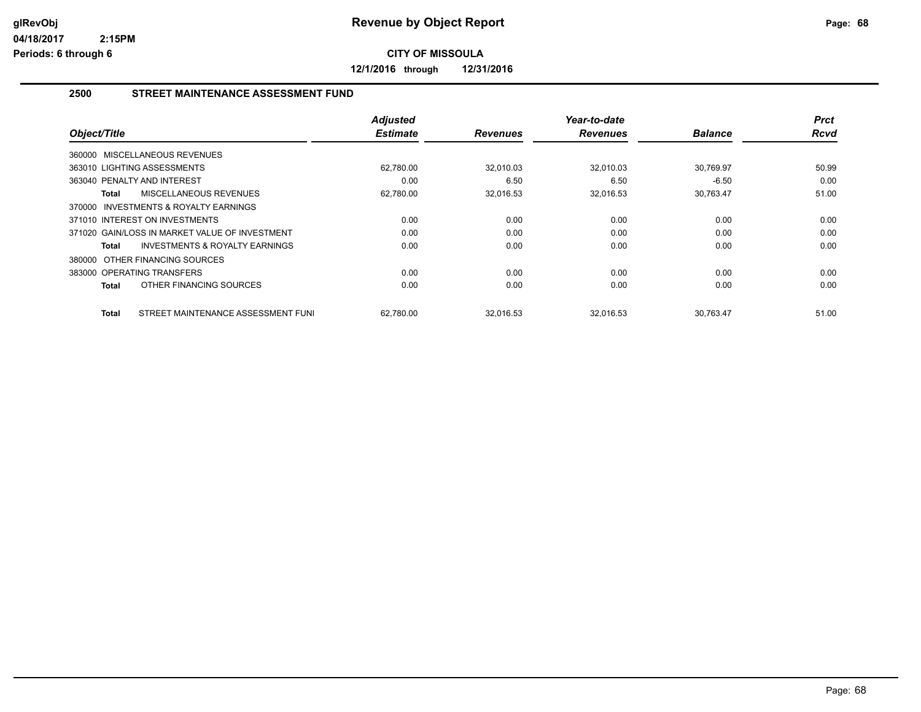**12/1/2016 through 12/31/2016**

### **2500 STREET MAINTENANCE ASSESSMENT FUND**

| Object/Title                                              | <b>Adjusted</b><br><b>Estimate</b> | <b>Revenues</b> | Year-to-date<br><b>Revenues</b> | <b>Balance</b> | <b>Prct</b><br><b>Rcvd</b> |
|-----------------------------------------------------------|------------------------------------|-----------------|---------------------------------|----------------|----------------------------|
| 360000 MISCELLANEOUS REVENUES                             |                                    |                 |                                 |                |                            |
| 363010 LIGHTING ASSESSMENTS                               | 62,780.00                          | 32.010.03       | 32,010.03                       | 30,769.97      | 50.99                      |
| 363040 PENALTY AND INTEREST                               | 0.00                               | 6.50            | 6.50                            | $-6.50$        | 0.00                       |
| <b>MISCELLANEOUS REVENUES</b><br>Total                    | 62,780.00                          | 32.016.53       | 32.016.53                       | 30,763.47      | 51.00                      |
| INVESTMENTS & ROYALTY EARNINGS<br>370000                  |                                    |                 |                                 |                |                            |
| 371010 INTEREST ON INVESTMENTS                            | 0.00                               | 0.00            | 0.00                            | 0.00           | 0.00                       |
| 371020 GAIN/LOSS IN MARKET VALUE OF INVESTMENT            | 0.00                               | 0.00            | 0.00                            | 0.00           | 0.00                       |
| <b>INVESTMENTS &amp; ROYALTY EARNINGS</b><br><b>Total</b> | 0.00                               | 0.00            | 0.00                            | 0.00           | 0.00                       |
| 380000 OTHER FINANCING SOURCES                            |                                    |                 |                                 |                |                            |
| 383000 OPERATING TRANSFERS                                | 0.00                               | 0.00            | 0.00                            | 0.00           | 0.00                       |
| OTHER FINANCING SOURCES<br><b>Total</b>                   | 0.00                               | 0.00            | 0.00                            | 0.00           | 0.00                       |
| STREET MAINTENANCE ASSESSMENT FUNI<br><b>Total</b>        | 62,780.00                          | 32.016.53       | 32.016.53                       | 30,763.47      | 51.00                      |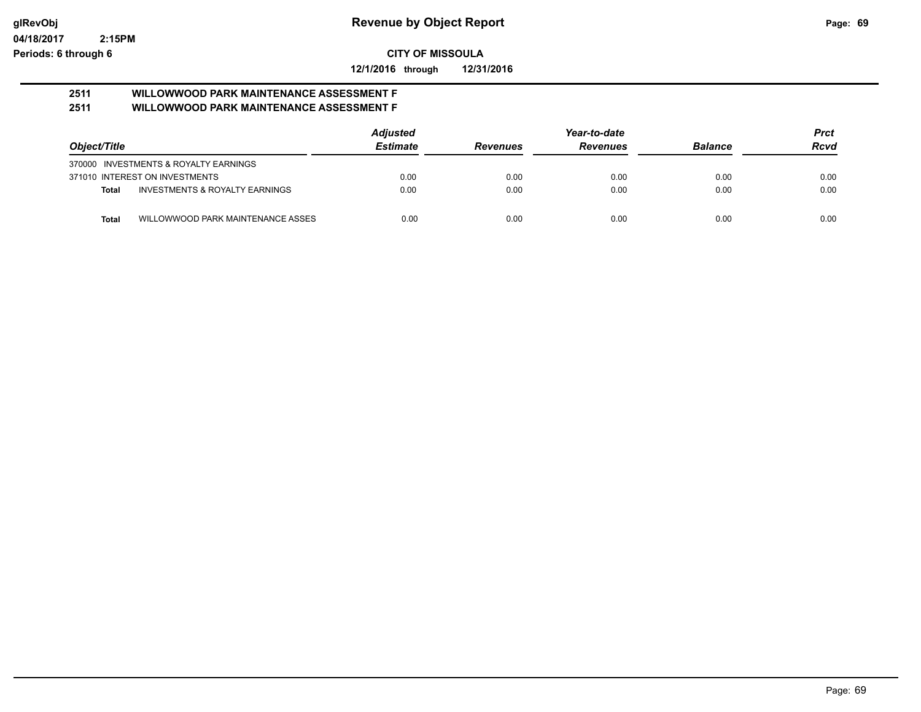**12/1/2016 through 12/31/2016**

### **2511 WILLOWWOOD PARK MAINTENANCE ASSESSMENT F 2511 WILLOWWOOD PARK MAINTENANCE ASSESSMENT F**

|              |                                           | <b>Adjusted</b> |                 | Year-to-date    |                | Prct        |
|--------------|-------------------------------------------|-----------------|-----------------|-----------------|----------------|-------------|
| Object/Title |                                           | <b>Estimate</b> | <b>Revenues</b> | <b>Revenues</b> | <b>Balance</b> | <b>Rcvd</b> |
|              | 370000 INVESTMENTS & ROYALTY EARNINGS     |                 |                 |                 |                |             |
|              | 371010 INTEREST ON INVESTMENTS            | 0.00            | 0.00            | 0.00            | 0.00           | 0.00        |
| <b>Total</b> | <b>INVESTMENTS &amp; ROYALTY EARNINGS</b> | 0.00            | 0.00            | 0.00            | 0.00           | 0.00        |
| <b>Total</b> | WILLOWWOOD PARK MAINTENANCE ASSES         | 0.00            | 0.00            | 0.00            | 0.00           | 0.00        |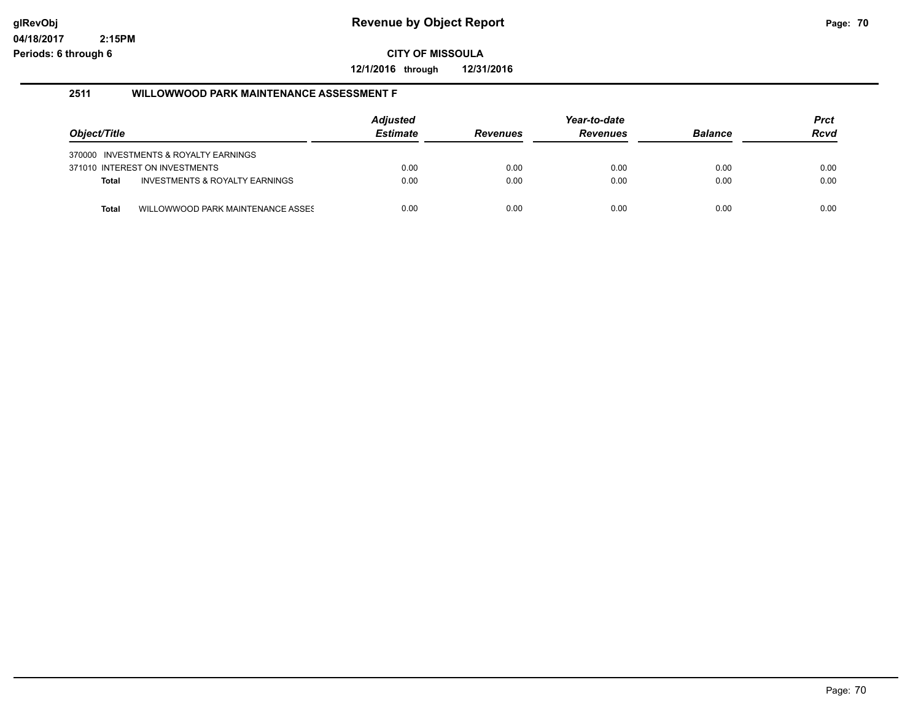**12/1/2016 through 12/31/2016**

### **2511 WILLOWWOOD PARK MAINTENANCE ASSESSMENT F**

|              |                                       | <b>Adjusted</b> |                 | Year-to-date    |                | <b>Prct</b> |
|--------------|---------------------------------------|-----------------|-----------------|-----------------|----------------|-------------|
| Object/Title |                                       | <b>Estimate</b> | <b>Revenues</b> | <b>Revenues</b> | <b>Balance</b> | <b>Rcvd</b> |
|              | 370000 INVESTMENTS & ROYALTY EARNINGS |                 |                 |                 |                |             |
|              | 371010 INTEREST ON INVESTMENTS        | 0.00            | 0.00            | 0.00            | 0.00           | 0.00        |
| Total        | INVESTMENTS & ROYALTY EARNINGS        | 0.00            | 0.00            | 0.00            | 0.00           | 0.00        |
| <b>Total</b> | WILLOWWOOD PARK MAINTENANCE ASSES     | 0.00            | 0.00            | 0.00            | 0.00           | 0.00        |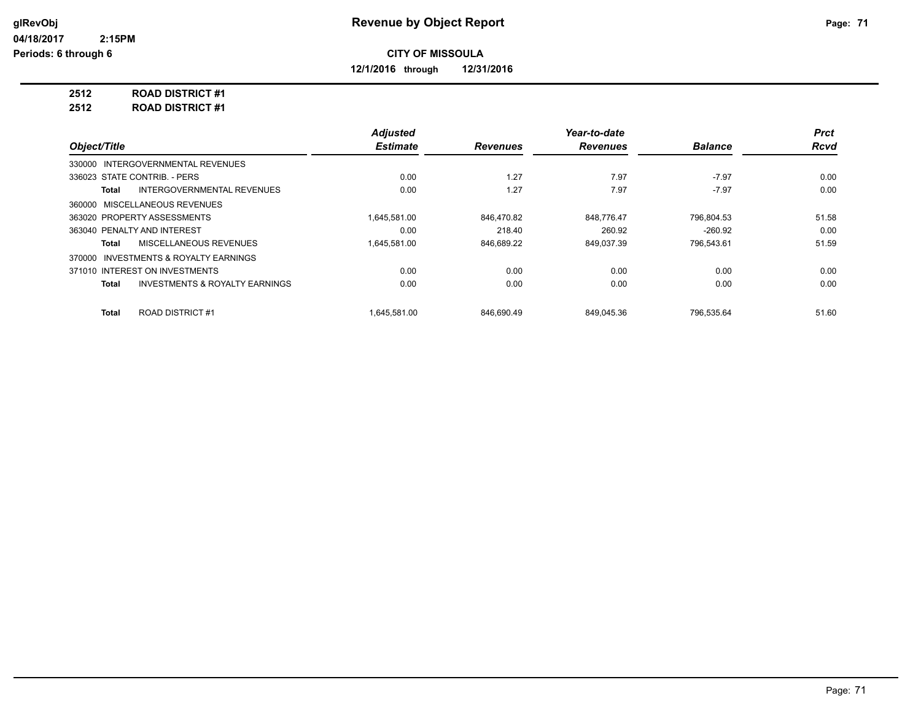**CITY OF MISSOULA 12/1/2016 through 12/31/2016**

**2512 ROAD DISTRICT #1 2512 ROAD DISTRICT #1**

|                                                | <b>Adjusted</b> |                 | Year-to-date    |                | Prct        |
|------------------------------------------------|-----------------|-----------------|-----------------|----------------|-------------|
| Object/Title                                   | <b>Estimate</b> | <b>Revenues</b> | <b>Revenues</b> | <b>Balance</b> | <b>Rcvd</b> |
| INTERGOVERNMENTAL REVENUES<br>330000           |                 |                 |                 |                |             |
| 336023 STATE CONTRIB. - PERS                   | 0.00            | 1.27            | 7.97            | $-7.97$        | 0.00        |
| INTERGOVERNMENTAL REVENUES<br>Total            | 0.00            | 1.27            | 7.97            | $-7.97$        | 0.00        |
| 360000 MISCELLANEOUS REVENUES                  |                 |                 |                 |                |             |
| 363020 PROPERTY ASSESSMENTS                    | 1,645,581.00    | 846.470.82      | 848.776.47      | 796.804.53     | 51.58       |
| 363040 PENALTY AND INTEREST                    | 0.00            | 218.40          | 260.92          | $-260.92$      | 0.00        |
| MISCELLANEOUS REVENUES<br>Total                | 1,645,581.00    | 846,689.22      | 849,037.39      | 796.543.61     | 51.59       |
| INVESTMENTS & ROYALTY EARNINGS<br>370000       |                 |                 |                 |                |             |
| 371010 INTEREST ON INVESTMENTS                 | 0.00            | 0.00            | 0.00            | 0.00           | 0.00        |
| INVESTMENTS & ROYALTY EARNINGS<br><b>Total</b> | 0.00            | 0.00            | 0.00            | 0.00           | 0.00        |
| <b>ROAD DISTRICT#1</b><br>Total                | 1.645.581.00    | 846.690.49      | 849.045.36      | 796.535.64     | 51.60       |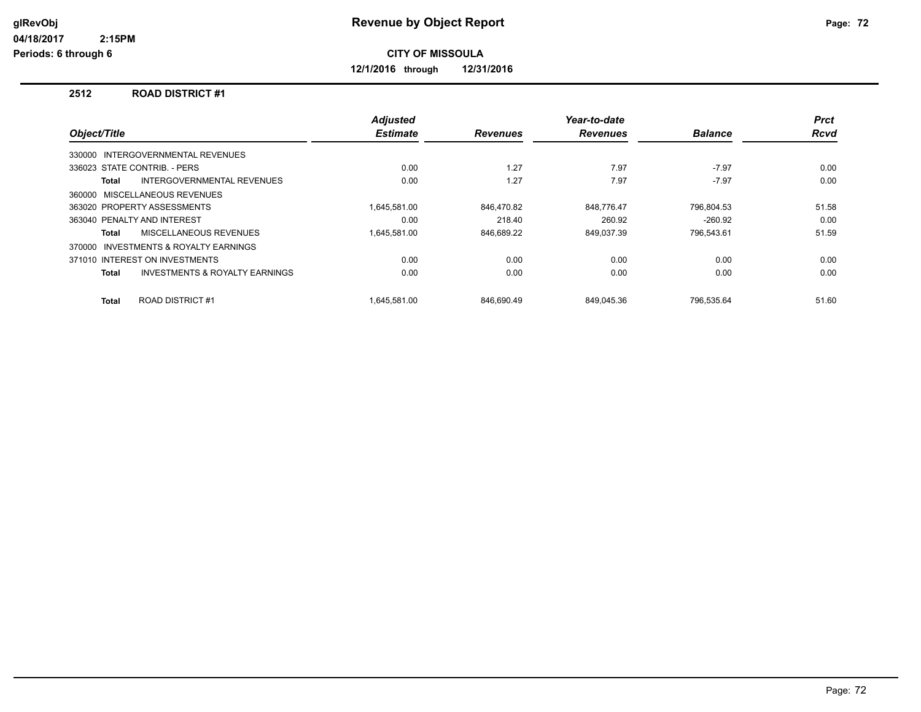**12/1/2016 through 12/31/2016**

### **2512 ROAD DISTRICT #1**

| Object/Title                                       | <b>Adjusted</b> |                 | Year-to-date    |                | <b>Prct</b> |
|----------------------------------------------------|-----------------|-----------------|-----------------|----------------|-------------|
|                                                    | <b>Estimate</b> | <b>Revenues</b> | <b>Revenues</b> | <b>Balance</b> | <b>Rcvd</b> |
| 330000 INTERGOVERNMENTAL REVENUES                  |                 |                 |                 |                |             |
| 336023 STATE CONTRIB. - PERS                       | 0.00            | 1.27            | 7.97            | $-7.97$        | 0.00        |
| INTERGOVERNMENTAL REVENUES<br>Total                | 0.00            | 1.27            | 7.97            | $-7.97$        | 0.00        |
| 360000 MISCELLANEOUS REVENUES                      |                 |                 |                 |                |             |
| 363020 PROPERTY ASSESSMENTS                        | 1.645.581.00    | 846.470.82      | 848.776.47      | 796.804.53     | 51.58       |
| 363040 PENALTY AND INTEREST                        | 0.00            | 218.40          | 260.92          | $-260.92$      | 0.00        |
| MISCELLANEOUS REVENUES<br>Total                    | 1,645,581.00    | 846,689.22      | 849,037.39      | 796.543.61     | 51.59       |
| 370000 INVESTMENTS & ROYALTY EARNINGS              |                 |                 |                 |                |             |
| 371010 INTEREST ON INVESTMENTS                     | 0.00            | 0.00            | 0.00            | 0.00           | 0.00        |
| <b>INVESTMENTS &amp; ROYALTY EARNINGS</b><br>Total | 0.00            | 0.00            | 0.00            | 0.00           | 0.00        |
| <b>ROAD DISTRICT#1</b><br><b>Total</b>             | 1.645.581.00    | 846.690.49      | 849.045.36      | 796.535.64     | 51.60       |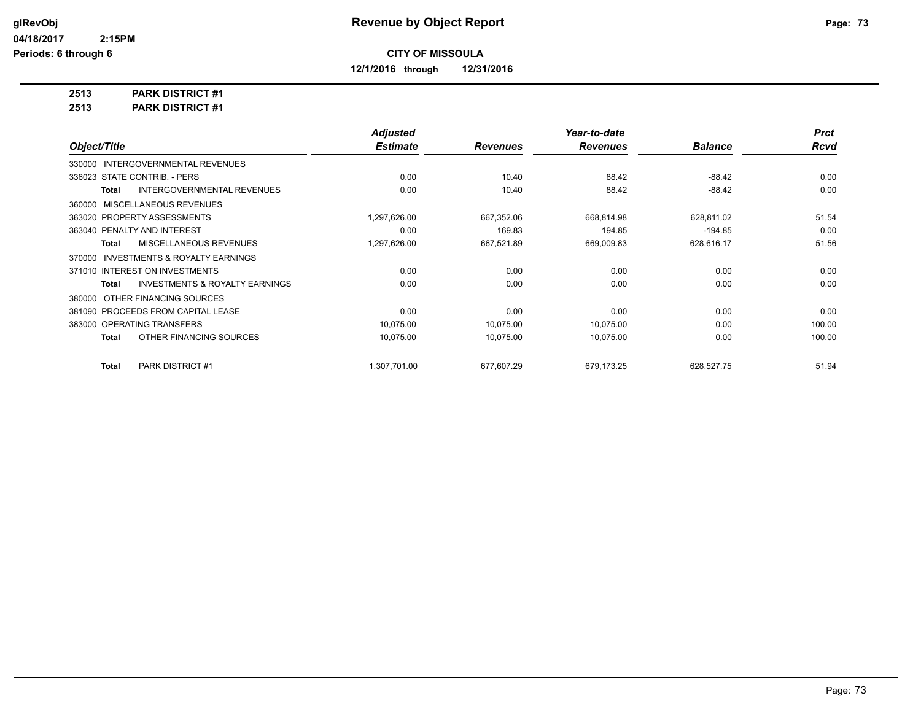**12/1/2016 through 12/31/2016**

**2513 PARK DISTRICT #1 2513 PARK DISTRICT #1**

|                                                     | <b>Adjusted</b> |                 | Year-to-date    |                | <b>Prct</b> |
|-----------------------------------------------------|-----------------|-----------------|-----------------|----------------|-------------|
| Object/Title                                        | <b>Estimate</b> | <b>Revenues</b> | <b>Revenues</b> | <b>Balance</b> | <b>Rcvd</b> |
| INTERGOVERNMENTAL REVENUES<br>330000                |                 |                 |                 |                |             |
| 336023 STATE CONTRIB. - PERS                        | 0.00            | 10.40           | 88.42           | $-88.42$       | 0.00        |
| INTERGOVERNMENTAL REVENUES<br>Total                 | 0.00            | 10.40           | 88.42           | $-88.42$       | 0.00        |
| 360000 MISCELLANEOUS REVENUES                       |                 |                 |                 |                |             |
| 363020 PROPERTY ASSESSMENTS                         | 1,297,626.00    | 667,352.06      | 668,814.98      | 628,811.02     | 51.54       |
| 363040 PENALTY AND INTEREST                         | 0.00            | 169.83          | 194.85          | $-194.85$      | 0.00        |
| MISCELLANEOUS REVENUES<br>Total                     | 1,297,626.00    | 667,521.89      | 669,009.83      | 628,616.17     | 51.56       |
| <b>INVESTMENTS &amp; ROYALTY EARNINGS</b><br>370000 |                 |                 |                 |                |             |
| 371010 INTEREST ON INVESTMENTS                      | 0.00            | 0.00            | 0.00            | 0.00           | 0.00        |
| <b>INVESTMENTS &amp; ROYALTY EARNINGS</b><br>Total  | 0.00            | 0.00            | 0.00            | 0.00           | 0.00        |
| OTHER FINANCING SOURCES<br>380000                   |                 |                 |                 |                |             |
| 381090 PROCEEDS FROM CAPITAL LEASE                  | 0.00            | 0.00            | 0.00            | 0.00           | 0.00        |
| 383000 OPERATING TRANSFERS                          | 10,075.00       | 10,075.00       | 10,075.00       | 0.00           | 100.00      |
| OTHER FINANCING SOURCES<br>Total                    | 10,075.00       | 10,075.00       | 10,075.00       | 0.00           | 100.00      |
| <b>PARK DISTRICT#1</b><br><b>Total</b>              | 1,307,701.00    | 677,607.29      | 679,173.25      | 628,527.75     | 51.94       |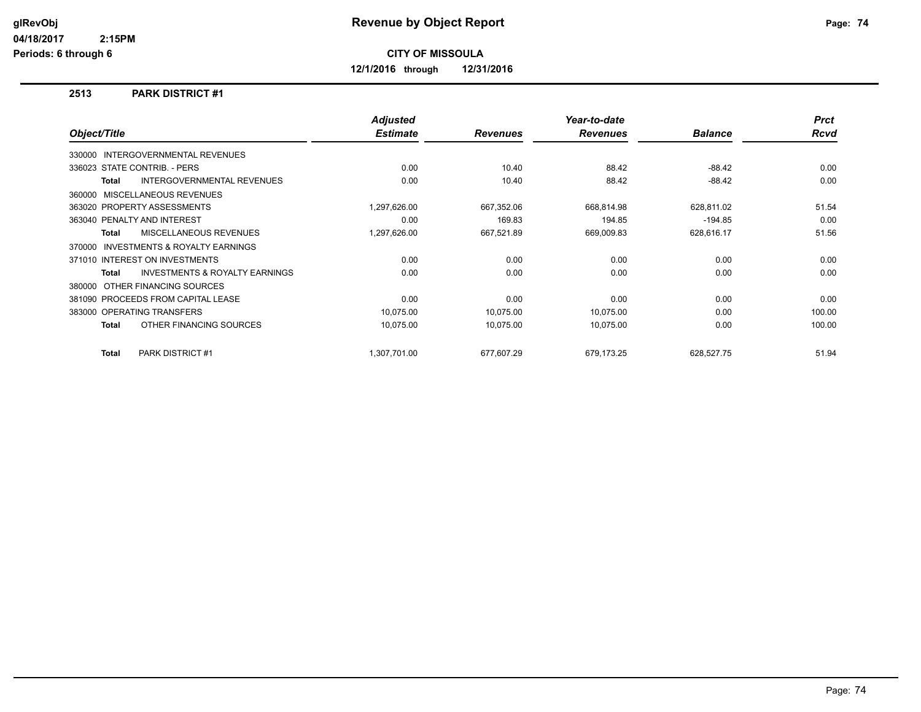**2513 PARK DISTRICT #1**

| Object/Title                                        | <b>Adjusted</b><br><b>Estimate</b> | <b>Revenues</b> | Year-to-date<br><b>Revenues</b> | <b>Balance</b> | <b>Prct</b><br><b>Rcvd</b> |
|-----------------------------------------------------|------------------------------------|-----------------|---------------------------------|----------------|----------------------------|
|                                                     |                                    |                 |                                 |                |                            |
| INTERGOVERNMENTAL REVENUES<br>330000                |                                    |                 |                                 |                |                            |
| 336023 STATE CONTRIB. - PERS                        | 0.00                               | 10.40           | 88.42                           | $-88.42$       | 0.00                       |
| <b>INTERGOVERNMENTAL REVENUES</b><br>Total          | 0.00                               | 10.40           | 88.42                           | $-88.42$       | 0.00                       |
| MISCELLANEOUS REVENUES<br>360000                    |                                    |                 |                                 |                |                            |
| 363020 PROPERTY ASSESSMENTS                         | 1,297,626.00                       | 667,352.06      | 668,814.98                      | 628,811.02     | 51.54                      |
| 363040 PENALTY AND INTEREST                         | 0.00                               | 169.83          | 194.85                          | $-194.85$      | 0.00                       |
| <b>MISCELLANEOUS REVENUES</b><br><b>Total</b>       | 1,297,626.00                       | 667,521.89      | 669,009.83                      | 628,616.17     | 51.56                      |
| <b>INVESTMENTS &amp; ROYALTY EARNINGS</b><br>370000 |                                    |                 |                                 |                |                            |
| 371010 INTEREST ON INVESTMENTS                      | 0.00                               | 0.00            | 0.00                            | 0.00           | 0.00                       |
| <b>INVESTMENTS &amp; ROYALTY EARNINGS</b><br>Total  | 0.00                               | 0.00            | 0.00                            | 0.00           | 0.00                       |
| OTHER FINANCING SOURCES<br>380000                   |                                    |                 |                                 |                |                            |
| 381090 PROCEEDS FROM CAPITAL LEASE                  | 0.00                               | 0.00            | 0.00                            | 0.00           | 0.00                       |
| 383000 OPERATING TRANSFERS                          | 10,075.00                          | 10,075.00       | 10,075.00                       | 0.00           | 100.00                     |
| OTHER FINANCING SOURCES<br><b>Total</b>             | 10,075.00                          | 10,075.00       | 10,075.00                       | 0.00           | 100.00                     |
| PARK DISTRICT #1<br><b>Total</b>                    | 1,307,701.00                       | 677,607.29      | 679,173.25                      | 628,527.75     | 51.94                      |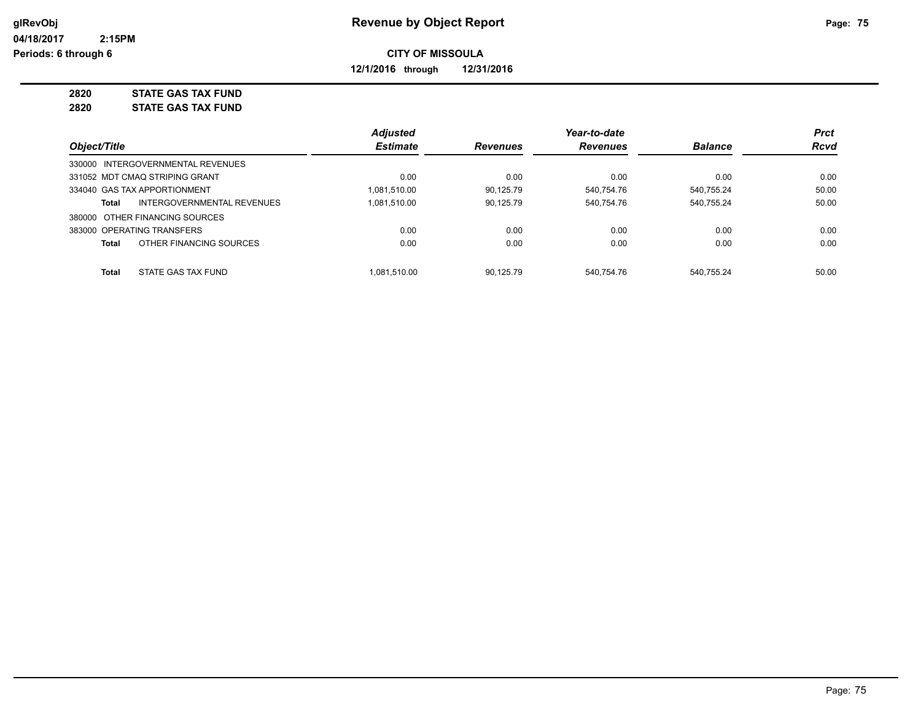**2820 STATE GAS TAX FUND 2820 STATE GAS TAX FUND**

|              |                                   | <b>Adjusted</b> |                 | Year-to-date    |                | <b>Prct</b> |
|--------------|-----------------------------------|-----------------|-----------------|-----------------|----------------|-------------|
| Object/Title |                                   | <b>Estimate</b> | <b>Revenues</b> | <b>Revenues</b> | <b>Balance</b> | <b>Rcvd</b> |
|              | 330000 INTERGOVERNMENTAL REVENUES |                 |                 |                 |                |             |
|              | 331052 MDT CMAO STRIPING GRANT    | 0.00            | 0.00            | 0.00            | 0.00           | 0.00        |
|              | 334040 GAS TAX APPORTIONMENT      | 1.081.510.00    | 90.125.79       | 540.754.76      | 540.755.24     | 50.00       |
| Total        | INTERGOVERNMENTAL REVENUES        | 1,081,510.00    | 90.125.79       | 540.754.76      | 540.755.24     | 50.00       |
|              | 380000 OTHER FINANCING SOURCES    |                 |                 |                 |                |             |
|              | 383000 OPERATING TRANSFERS        | 0.00            | 0.00            | 0.00            | 0.00           | 0.00        |
| Total        | OTHER FINANCING SOURCES           | 0.00            | 0.00            | 0.00            | 0.00           | 0.00        |
| <b>Total</b> | STATE GAS TAX FUND                | 1.081.510.00    | 90.125.79       | 540.754.76      | 540.755.24     | 50.00       |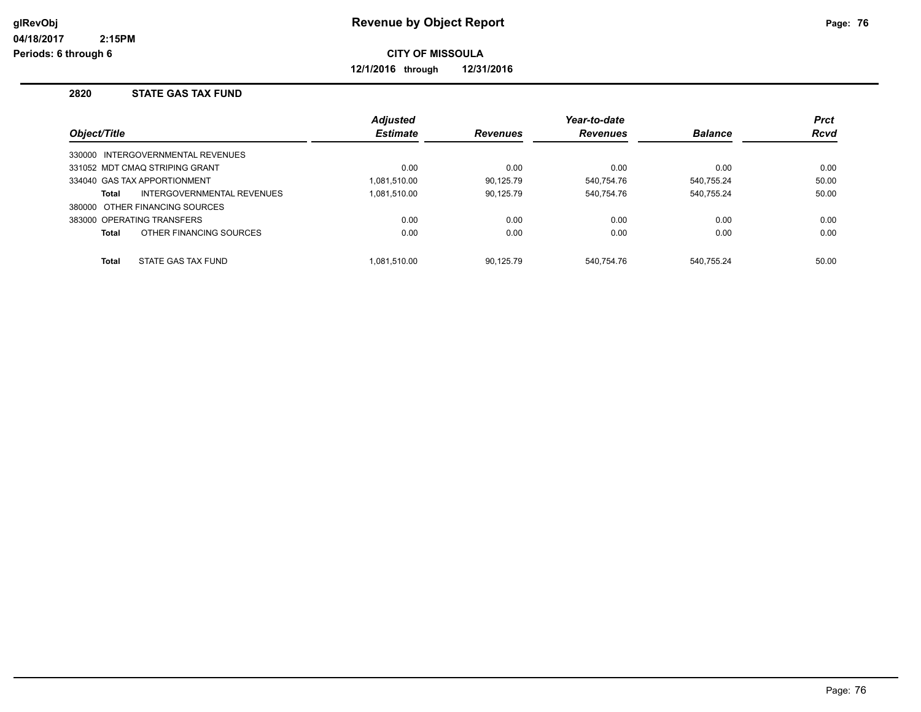**12/1/2016 through 12/31/2016**

#### **2820 STATE GAS TAX FUND**

| Object/Title                               | <b>Adjusted</b><br><b>Estimate</b> | <b>Revenues</b> | Year-to-date<br><b>Revenues</b> | <b>Balance</b> | <b>Prct</b><br><b>Rcvd</b> |
|--------------------------------------------|------------------------------------|-----------------|---------------------------------|----------------|----------------------------|
|                                            |                                    |                 |                                 |                |                            |
| 330000 INTERGOVERNMENTAL REVENUES          |                                    |                 |                                 |                |                            |
| 331052 MDT CMAQ STRIPING GRANT             | 0.00                               | 0.00            | 0.00                            | 0.00           | 0.00                       |
| 334040 GAS TAX APPORTIONMENT               | 1,081,510.00                       | 90.125.79       | 540.754.76                      | 540.755.24     | 50.00                      |
| INTERGOVERNMENTAL REVENUES<br><b>Total</b> | 1,081,510.00                       | 90.125.79       | 540,754.76                      | 540,755.24     | 50.00                      |
| 380000 OTHER FINANCING SOURCES             |                                    |                 |                                 |                |                            |
| 383000 OPERATING TRANSFERS                 | 0.00                               | 0.00            | 0.00                            | 0.00           | 0.00                       |
| OTHER FINANCING SOURCES<br><b>Total</b>    | 0.00                               | 0.00            | 0.00                            | 0.00           | 0.00                       |
|                                            |                                    |                 |                                 |                |                            |
| <b>Total</b><br>STATE GAS TAX FUND         | 1.081.510.00                       | 90.125.79       | 540.754.76                      | 540.755.24     | 50.00                      |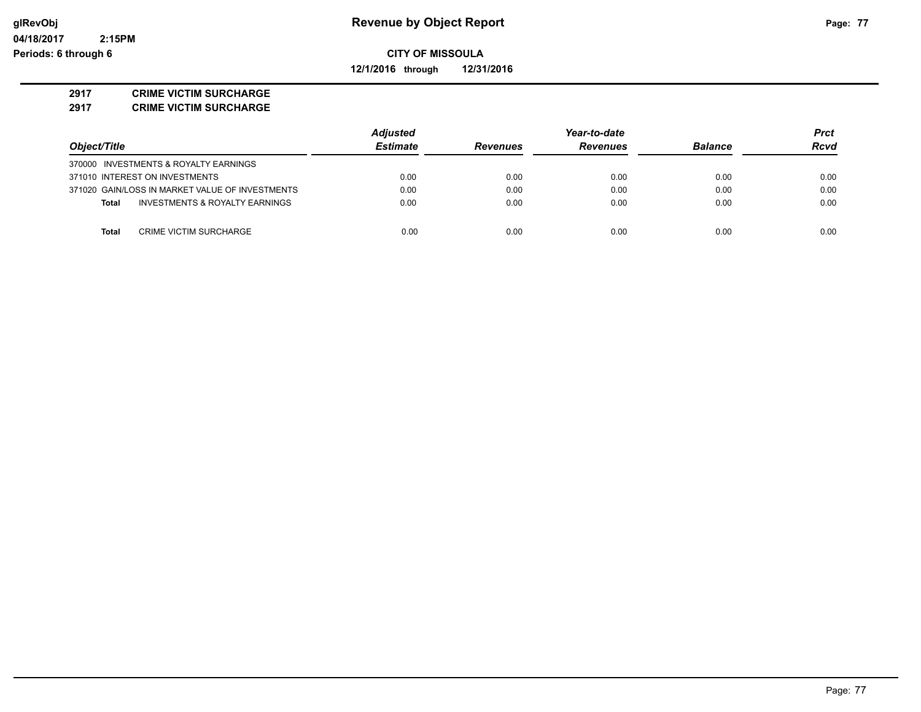*Prct Rcvd*

# **CITY OF MISSOULA**

**12/1/2016 through 12/31/2016**

**2917 CRIME VICTIM SURCHARGE 2917 CRIME VICTIM SURCHARGE**

|                                                 | <b>Adjusted</b> |                 | Year-to-date    |                | <b>Prct</b> |
|-------------------------------------------------|-----------------|-----------------|-----------------|----------------|-------------|
| Object/Title                                    | <b>Estimate</b> | <b>Revenues</b> | <b>Revenues</b> | <b>Balance</b> | Rcvd        |
| 370000 INVESTMENTS & ROYALTY EARNINGS           |                 |                 |                 |                |             |
| 371010 INTEREST ON INVESTMENTS                  | 0.00            | 0.00            | 0.00            | 0.00           | 0.00        |
| 371020 GAIN/LOSS IN MARKET VALUE OF INVESTMENTS | 0.00            | 0.00            | 0.00            | 0.00           | 0.00        |
| INVESTMENTS & ROYALTY EARNINGS<br><b>Total</b>  | 0.00            | 0.00            | 0.00            | 0.00           | 0.00        |

**Total** CRIME VICTIM SURCHARGE 0.00 0.00 0.00 0.00 0.00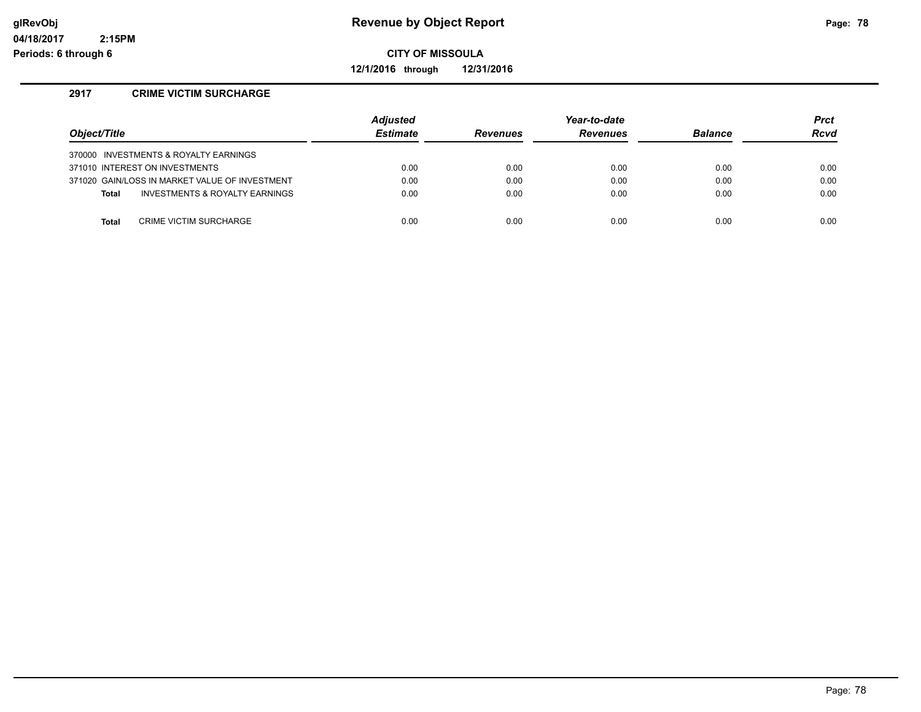**12/1/2016 through 12/31/2016**

#### **2917 CRIME VICTIM SURCHARGE**

|                                                           | <b>Adjusted</b> |                 | Year-to-date    |                |             |
|-----------------------------------------------------------|-----------------|-----------------|-----------------|----------------|-------------|
| Object/Title                                              | <b>Estimate</b> | <b>Revenues</b> | <b>Revenues</b> | <b>Balance</b> | <b>Rcvd</b> |
| 370000 INVESTMENTS & ROYALTY EARNINGS                     |                 |                 |                 |                |             |
| 371010 INTEREST ON INVESTMENTS                            | 0.00            | 0.00            | 0.00            | 0.00           | 0.00        |
| 371020 GAIN/LOSS IN MARKET VALUE OF INVESTMENT            | 0.00            | 0.00            | 0.00            | 0.00           | 0.00        |
| <b>INVESTMENTS &amp; ROYALTY EARNINGS</b><br><b>Total</b> | 0.00            | 0.00            | 0.00            | 0.00           | 0.00        |
| Total<br>CRIME VICTIM SURCHARGE                           | 0.00            | 0.00            | 0.00            | 0.00           | 0.00        |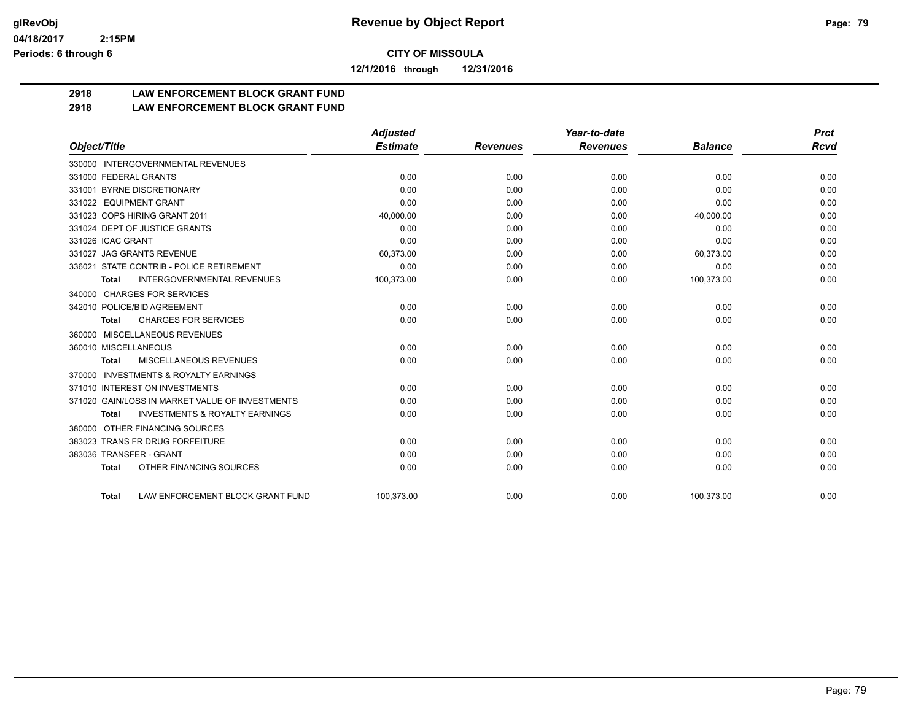**12/1/2016 through 12/31/2016**

#### **2918 LAW ENFORCEMENT BLOCK GRANT FUND 2918 LAW ENFORCEMENT BLOCK GRANT FUND**

|                                                           | <b>Adjusted</b> |                 | Year-to-date    |                | <b>Prct</b> |
|-----------------------------------------------------------|-----------------|-----------------|-----------------|----------------|-------------|
| Object/Title                                              | <b>Estimate</b> | <b>Revenues</b> | <b>Revenues</b> | <b>Balance</b> | <b>Rcvd</b> |
| 330000 INTERGOVERNMENTAL REVENUES                         |                 |                 |                 |                |             |
| 331000 FEDERAL GRANTS                                     | 0.00            | 0.00            | 0.00            | 0.00           | 0.00        |
| 331001 BYRNE DISCRETIONARY                                | 0.00            | 0.00            | 0.00            | 0.00           | 0.00        |
| 331022 EQUIPMENT GRANT                                    | 0.00            | 0.00            | 0.00            | 0.00           | 0.00        |
| 331023 COPS HIRING GRANT 2011                             | 40,000.00       | 0.00            | 0.00            | 40,000.00      | 0.00        |
| 331024 DEPT OF JUSTICE GRANTS                             | 0.00            | 0.00            | 0.00            | 0.00           | 0.00        |
| 331026 ICAC GRANT                                         | 0.00            | 0.00            | 0.00            | 0.00           | 0.00        |
| 331027 JAG GRANTS REVENUE                                 | 60,373.00       | 0.00            | 0.00            | 60,373.00      | 0.00        |
| 336021 STATE CONTRIB - POLICE RETIREMENT                  | 0.00            | 0.00            | 0.00            | 0.00           | 0.00        |
| <b>INTERGOVERNMENTAL REVENUES</b><br><b>Total</b>         | 100,373.00      | 0.00            | 0.00            | 100,373.00     | 0.00        |
| 340000 CHARGES FOR SERVICES                               |                 |                 |                 |                |             |
| 342010 POLICE/BID AGREEMENT                               | 0.00            | 0.00            | 0.00            | 0.00           | 0.00        |
| <b>CHARGES FOR SERVICES</b><br>Total                      | 0.00            | 0.00            | 0.00            | 0.00           | 0.00        |
| 360000 MISCELLANEOUS REVENUES                             |                 |                 |                 |                |             |
| 360010 MISCELLANEOUS                                      | 0.00            | 0.00            | 0.00            | 0.00           | 0.00        |
| MISCELLANEOUS REVENUES<br><b>Total</b>                    | 0.00            | 0.00            | 0.00            | 0.00           | 0.00        |
| 370000 INVESTMENTS & ROYALTY EARNINGS                     |                 |                 |                 |                |             |
| 371010 INTEREST ON INVESTMENTS                            | 0.00            | 0.00            | 0.00            | 0.00           | 0.00        |
| 371020 GAIN/LOSS IN MARKET VALUE OF INVESTMENTS           | 0.00            | 0.00            | 0.00            | 0.00           | 0.00        |
| <b>INVESTMENTS &amp; ROYALTY EARNINGS</b><br><b>Total</b> | 0.00            | 0.00            | 0.00            | 0.00           | 0.00        |
| OTHER FINANCING SOURCES<br>380000                         |                 |                 |                 |                |             |
| 383023 TRANS FR DRUG FORFEITURE                           | 0.00            | 0.00            | 0.00            | 0.00           | 0.00        |
| 383036 TRANSFER - GRANT                                   | 0.00            | 0.00            | 0.00            | 0.00           | 0.00        |
| OTHER FINANCING SOURCES<br><b>Total</b>                   | 0.00            | 0.00            | 0.00            | 0.00           | 0.00        |
|                                                           |                 |                 |                 |                |             |
| LAW ENFORCEMENT BLOCK GRANT FUND<br><b>Total</b>          | 100,373.00      | 0.00            | 0.00            | 100,373.00     | 0.00        |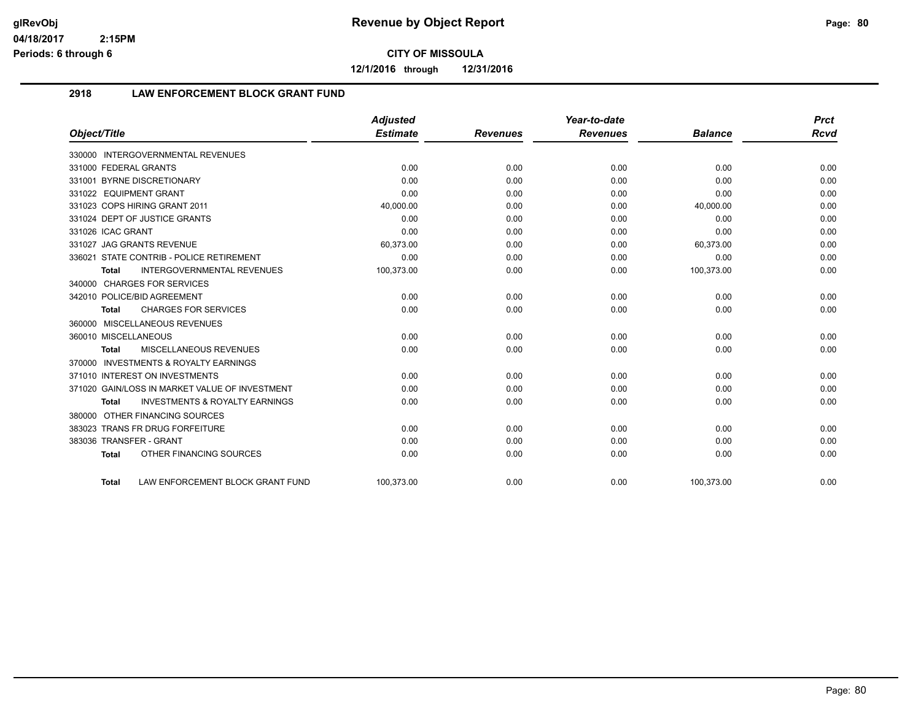**12/1/2016 through 12/31/2016**

#### **2918 LAW ENFORCEMENT BLOCK GRANT FUND**

|                                                           | <b>Adjusted</b> |                 | Year-to-date    |                | <b>Prct</b> |
|-----------------------------------------------------------|-----------------|-----------------|-----------------|----------------|-------------|
| Object/Title                                              | <b>Estimate</b> | <b>Revenues</b> | <b>Revenues</b> | <b>Balance</b> | <b>Rcvd</b> |
| 330000 INTERGOVERNMENTAL REVENUES                         |                 |                 |                 |                |             |
| 331000 FEDERAL GRANTS                                     | 0.00            | 0.00            | 0.00            | 0.00           | 0.00        |
| 331001 BYRNE DISCRETIONARY                                | 0.00            | 0.00            | 0.00            | 0.00           | 0.00        |
| 331022 EQUIPMENT GRANT                                    | 0.00            | 0.00            | 0.00            | 0.00           | 0.00        |
| 331023 COPS HIRING GRANT 2011                             | 40,000.00       | 0.00            | 0.00            | 40,000.00      | 0.00        |
| 331024 DEPT OF JUSTICE GRANTS                             | 0.00            | 0.00            | 0.00            | 0.00           | 0.00        |
| 331026 ICAC GRANT                                         | 0.00            | 0.00            | 0.00            | 0.00           | 0.00        |
| 331027 JAG GRANTS REVENUE                                 | 60,373.00       | 0.00            | 0.00            | 60,373.00      | 0.00        |
| 336021 STATE CONTRIB - POLICE RETIREMENT                  | 0.00            | 0.00            | 0.00            | 0.00           | 0.00        |
| INTERGOVERNMENTAL REVENUES<br><b>Total</b>                | 100,373.00      | 0.00            | 0.00            | 100,373.00     | 0.00        |
| 340000 CHARGES FOR SERVICES                               |                 |                 |                 |                |             |
| 342010 POLICE/BID AGREEMENT                               | 0.00            | 0.00            | 0.00            | 0.00           | 0.00        |
| <b>CHARGES FOR SERVICES</b><br>Total                      | 0.00            | 0.00            | 0.00            | 0.00           | 0.00        |
| 360000 MISCELLANEOUS REVENUES                             |                 |                 |                 |                |             |
| 360010 MISCELLANEOUS                                      | 0.00            | 0.00            | 0.00            | 0.00           | 0.00        |
| <b>MISCELLANEOUS REVENUES</b><br><b>Total</b>             | 0.00            | 0.00            | 0.00            | 0.00           | 0.00        |
| 370000 INVESTMENTS & ROYALTY EARNINGS                     |                 |                 |                 |                |             |
| 371010 INTEREST ON INVESTMENTS                            | 0.00            | 0.00            | 0.00            | 0.00           | 0.00        |
| 371020 GAIN/LOSS IN MARKET VALUE OF INVESTMENT            | 0.00            | 0.00            | 0.00            | 0.00           | 0.00        |
| <b>INVESTMENTS &amp; ROYALTY EARNINGS</b><br><b>Total</b> | 0.00            | 0.00            | 0.00            | 0.00           | 0.00        |
| 380000 OTHER FINANCING SOURCES                            |                 |                 |                 |                |             |
| 383023 TRANS FR DRUG FORFEITURE                           | 0.00            | 0.00            | 0.00            | 0.00           | 0.00        |
| 383036 TRANSFER - GRANT                                   | 0.00            | 0.00            | 0.00            | 0.00           | 0.00        |
| OTHER FINANCING SOURCES<br><b>Total</b>                   | 0.00            | 0.00            | 0.00            | 0.00           | 0.00        |
| LAW ENFORCEMENT BLOCK GRANT FUND<br><b>Total</b>          | 100,373.00      | 0.00            | 0.00            | 100,373.00     | 0.00        |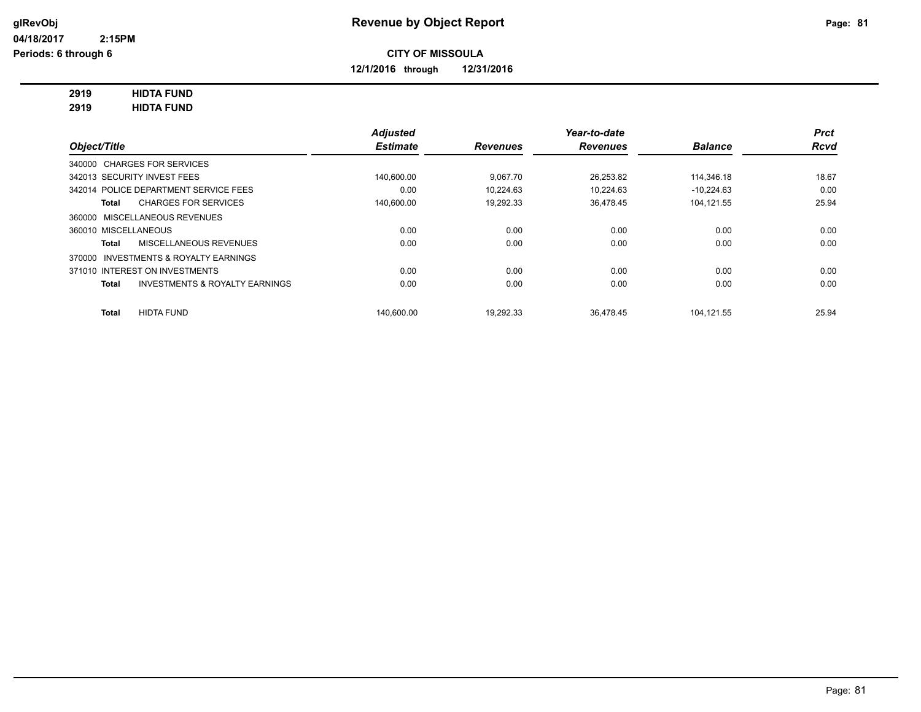## **2919 HIDTA FUND**

**2919 HIDTA FUND**

|                                                    | <b>Adjusted</b> |                 | Year-to-date    |                | <b>Prct</b> |
|----------------------------------------------------|-----------------|-----------------|-----------------|----------------|-------------|
| Object/Title                                       | <b>Estimate</b> | <b>Revenues</b> | <b>Revenues</b> | <b>Balance</b> | Rcvd        |
| 340000 CHARGES FOR SERVICES                        |                 |                 |                 |                |             |
| 342013 SECURITY INVEST FEES                        | 140,600.00      | 9.067.70        | 26,253.82       | 114,346.18     | 18.67       |
| 342014 POLICE DEPARTMENT SERVICE FEES              | 0.00            | 10.224.63       | 10.224.63       | $-10.224.63$   | 0.00        |
| <b>CHARGES FOR SERVICES</b><br>Total               | 140,600.00      | 19,292.33       | 36,478.45       | 104,121.55     | 25.94       |
| 360000 MISCELLANEOUS REVENUES                      |                 |                 |                 |                |             |
| 360010 MISCELLANEOUS                               | 0.00            | 0.00            | 0.00            | 0.00           | 0.00        |
| MISCELLANEOUS REVENUES<br>Total                    | 0.00            | 0.00            | 0.00            | 0.00           | 0.00        |
| INVESTMENTS & ROYALTY EARNINGS<br>370000           |                 |                 |                 |                |             |
| 371010 INTEREST ON INVESTMENTS                     | 0.00            | 0.00            | 0.00            | 0.00           | 0.00        |
| <b>INVESTMENTS &amp; ROYALTY EARNINGS</b><br>Total | 0.00            | 0.00            | 0.00            | 0.00           | 0.00        |
| <b>HIDTA FUND</b><br>Total                         | 140.600.00      | 19.292.33       | 36.478.45       | 104,121.55     | 25.94       |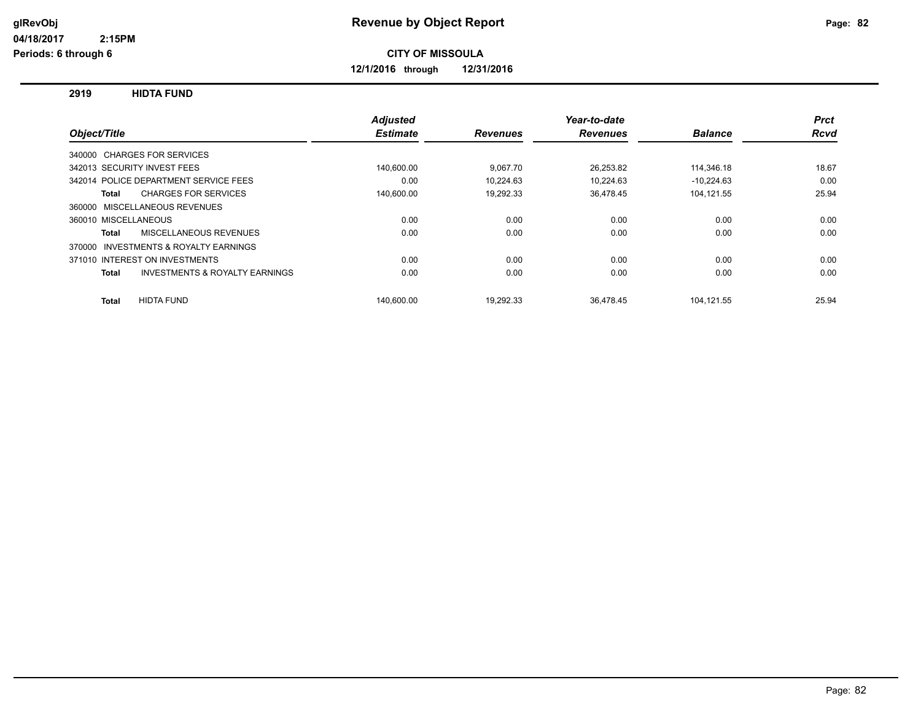**2919 HIDTA FUND**

|                                                    | <b>Adjusted</b> |                 | Year-to-date    |                | <b>Prct</b> |
|----------------------------------------------------|-----------------|-----------------|-----------------|----------------|-------------|
| Object/Title                                       | <b>Estimate</b> | <b>Revenues</b> | <b>Revenues</b> | <b>Balance</b> | <b>Rcvd</b> |
| 340000 CHARGES FOR SERVICES                        |                 |                 |                 |                |             |
| 342013 SECURITY INVEST FEES                        | 140,600.00      | 9.067.70        | 26,253.82       | 114,346.18     | 18.67       |
| 342014 POLICE DEPARTMENT SERVICE FEES              | 0.00            | 10,224.63       | 10,224.63       | $-10,224.63$   | 0.00        |
| <b>CHARGES FOR SERVICES</b><br>Total               | 140,600.00      | 19,292.33       | 36,478.45       | 104,121.55     | 25.94       |
| 360000 MISCELLANEOUS REVENUES                      |                 |                 |                 |                |             |
| 360010 MISCELLANEOUS                               | 0.00            | 0.00            | 0.00            | 0.00           | 0.00        |
| MISCELLANEOUS REVENUES<br>Total                    | 0.00            | 0.00            | 0.00            | 0.00           | 0.00        |
| INVESTMENTS & ROYALTY EARNINGS<br>370000           |                 |                 |                 |                |             |
| 371010 INTEREST ON INVESTMENTS                     | 0.00            | 0.00            | 0.00            | 0.00           | 0.00        |
| <b>INVESTMENTS &amp; ROYALTY EARNINGS</b><br>Total | 0.00            | 0.00            | 0.00            | 0.00           | 0.00        |
| <b>HIDTA FUND</b><br><b>Total</b>                  | 140.600.00      | 19,292.33       | 36.478.45       | 104,121.55     | 25.94       |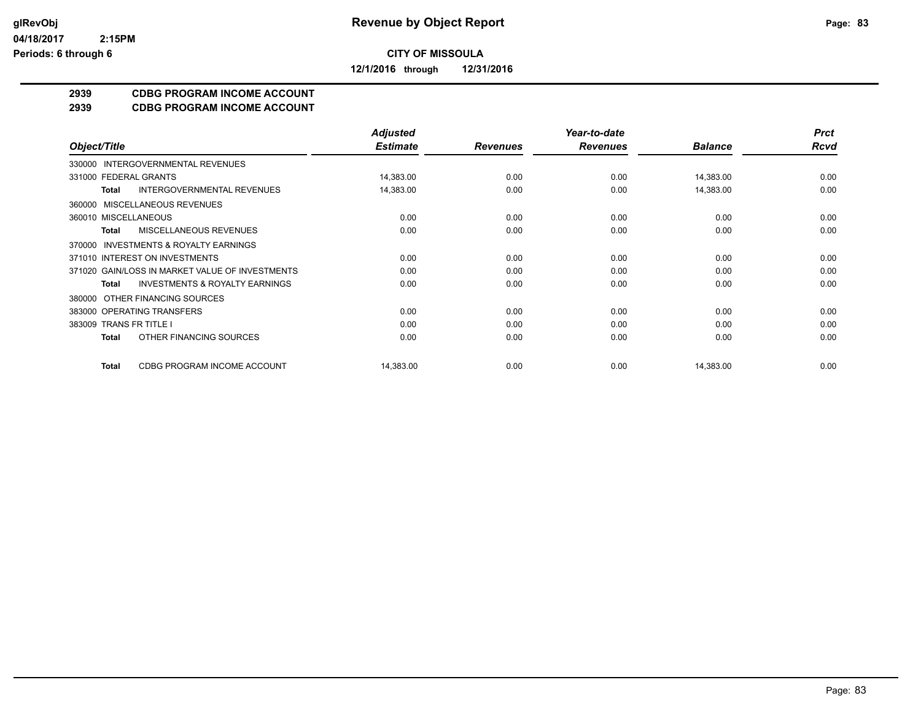**12/1/2016 through 12/31/2016**

# **2939 CDBG PROGRAM INCOME ACCOUNT**

**2939 CDBG PROGRAM INCOME ACCOUNT**

|                                                    | <b>Adjusted</b> |                 | Year-to-date    |                | <b>Prct</b> |
|----------------------------------------------------|-----------------|-----------------|-----------------|----------------|-------------|
| Object/Title                                       | <b>Estimate</b> | <b>Revenues</b> | <b>Revenues</b> | <b>Balance</b> | Rcvd        |
| INTERGOVERNMENTAL REVENUES<br>330000               |                 |                 |                 |                |             |
| 331000 FEDERAL GRANTS                              | 14,383.00       | 0.00            | 0.00            | 14,383.00      | 0.00        |
| <b>INTERGOVERNMENTAL REVENUES</b><br>Total         | 14,383.00       | 0.00            | 0.00            | 14,383.00      | 0.00        |
| 360000 MISCELLANEOUS REVENUES                      |                 |                 |                 |                |             |
| 360010 MISCELLANEOUS                               | 0.00            | 0.00            | 0.00            | 0.00           | 0.00        |
| MISCELLANEOUS REVENUES<br>Total                    | 0.00            | 0.00            | 0.00            | 0.00           | 0.00        |
| 370000 INVESTMENTS & ROYALTY EARNINGS              |                 |                 |                 |                |             |
| 371010 INTEREST ON INVESTMENTS                     | 0.00            | 0.00            | 0.00            | 0.00           | 0.00        |
| 371020 GAIN/LOSS IN MARKET VALUE OF INVESTMENTS    | 0.00            | 0.00            | 0.00            | 0.00           | 0.00        |
| <b>INVESTMENTS &amp; ROYALTY EARNINGS</b><br>Total | 0.00            | 0.00            | 0.00            | 0.00           | 0.00        |
| 380000 OTHER FINANCING SOURCES                     |                 |                 |                 |                |             |
| 383000 OPERATING TRANSFERS                         | 0.00            | 0.00            | 0.00            | 0.00           | 0.00        |
| 383009 TRANS FR TITLE I                            | 0.00            | 0.00            | 0.00            | 0.00           | 0.00        |
| OTHER FINANCING SOURCES<br>Total                   | 0.00            | 0.00            | 0.00            | 0.00           | 0.00        |
| CDBG PROGRAM INCOME ACCOUNT<br><b>Total</b>        | 14,383.00       | 0.00            | 0.00            | 14,383.00      | 0.00        |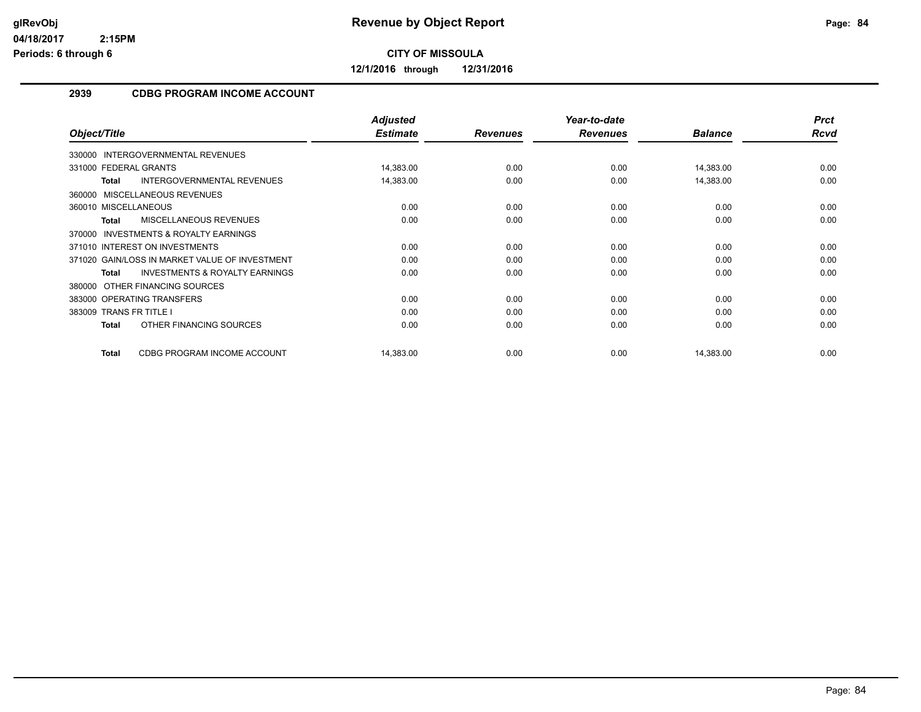**12/1/2016 through 12/31/2016**

#### **2939 CDBG PROGRAM INCOME ACCOUNT**

|                                                    | <b>Adjusted</b> |                 | Year-to-date    |                | <b>Prct</b> |
|----------------------------------------------------|-----------------|-----------------|-----------------|----------------|-------------|
| Object/Title                                       | <b>Estimate</b> | <b>Revenues</b> | <b>Revenues</b> | <b>Balance</b> | <b>Rcvd</b> |
| 330000 INTERGOVERNMENTAL REVENUES                  |                 |                 |                 |                |             |
| 331000 FEDERAL GRANTS                              | 14,383.00       | 0.00            | 0.00            | 14,383.00      | 0.00        |
| <b>INTERGOVERNMENTAL REVENUES</b><br><b>Total</b>  | 14,383.00       | 0.00            | 0.00            | 14,383.00      | 0.00        |
| 360000 MISCELLANEOUS REVENUES                      |                 |                 |                 |                |             |
| 360010 MISCELLANEOUS                               | 0.00            | 0.00            | 0.00            | 0.00           | 0.00        |
| MISCELLANEOUS REVENUES<br><b>Total</b>             | 0.00            | 0.00            | 0.00            | 0.00           | 0.00        |
| 370000 INVESTMENTS & ROYALTY EARNINGS              |                 |                 |                 |                |             |
| 371010 INTEREST ON INVESTMENTS                     | 0.00            | 0.00            | 0.00            | 0.00           | 0.00        |
| 371020 GAIN/LOSS IN MARKET VALUE OF INVESTMENT     | 0.00            | 0.00            | 0.00            | 0.00           | 0.00        |
| <b>INVESTMENTS &amp; ROYALTY EARNINGS</b><br>Total | 0.00            | 0.00            | 0.00            | 0.00           | 0.00        |
| 380000 OTHER FINANCING SOURCES                     |                 |                 |                 |                |             |
| 383000 OPERATING TRANSFERS                         | 0.00            | 0.00            | 0.00            | 0.00           | 0.00        |
| 383009 TRANS FR TITLE I                            | 0.00            | 0.00            | 0.00            | 0.00           | 0.00        |
| OTHER FINANCING SOURCES<br><b>Total</b>            | 0.00            | 0.00            | 0.00            | 0.00           | 0.00        |
| CDBG PROGRAM INCOME ACCOUNT<br><b>Total</b>        | 14,383.00       | 0.00            | 0.00            | 14,383.00      | 0.00        |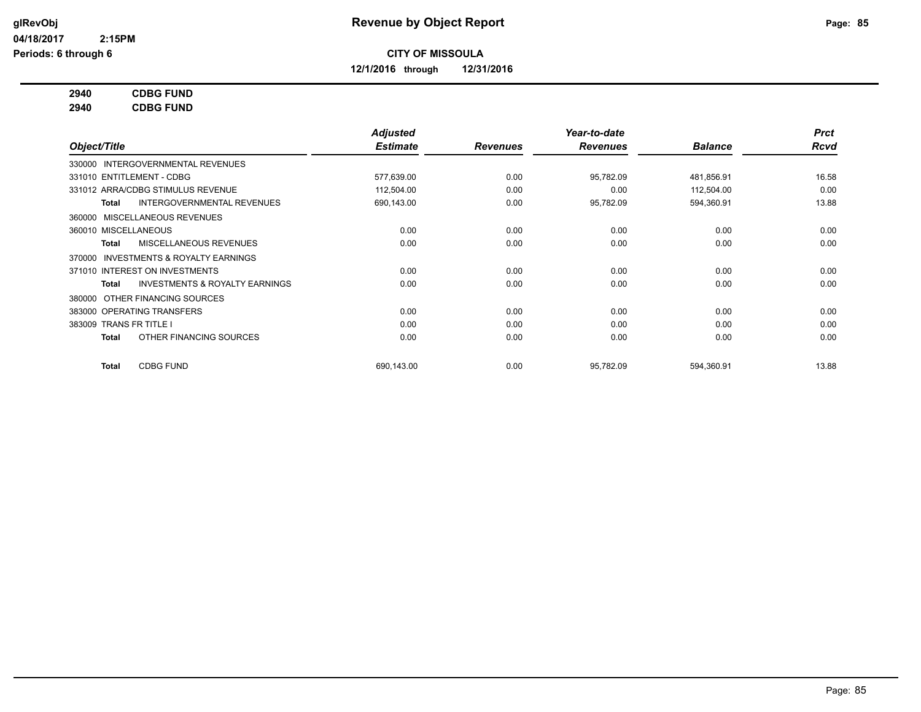**2940 CDBG FUND**

**2940 CDBG FUND**

|                                                    | <b>Adjusted</b> |                 | Year-to-date    |                | <b>Prct</b> |
|----------------------------------------------------|-----------------|-----------------|-----------------|----------------|-------------|
| Object/Title                                       | <b>Estimate</b> | <b>Revenues</b> | <b>Revenues</b> | <b>Balance</b> | <b>Rcvd</b> |
| 330000 INTERGOVERNMENTAL REVENUES                  |                 |                 |                 |                |             |
| 331010 ENTITLEMENT - CDBG                          | 577,639.00      | 0.00            | 95,782.09       | 481,856.91     | 16.58       |
| 331012 ARRA/CDBG STIMULUS REVENUE                  | 112,504.00      | 0.00            | 0.00            | 112,504.00     | 0.00        |
| <b>INTERGOVERNMENTAL REVENUES</b><br><b>Total</b>  | 690,143.00      | 0.00            | 95,782.09       | 594,360.91     | 13.88       |
| 360000 MISCELLANEOUS REVENUES                      |                 |                 |                 |                |             |
| 360010 MISCELLANEOUS                               | 0.00            | 0.00            | 0.00            | 0.00           | 0.00        |
| MISCELLANEOUS REVENUES<br>Total                    | 0.00            | 0.00            | 0.00            | 0.00           | 0.00        |
| 370000 INVESTMENTS & ROYALTY EARNINGS              |                 |                 |                 |                |             |
| 371010 INTEREST ON INVESTMENTS                     | 0.00            | 0.00            | 0.00            | 0.00           | 0.00        |
| <b>INVESTMENTS &amp; ROYALTY EARNINGS</b><br>Total | 0.00            | 0.00            | 0.00            | 0.00           | 0.00        |
| OTHER FINANCING SOURCES<br>380000                  |                 |                 |                 |                |             |
| 383000 OPERATING TRANSFERS                         | 0.00            | 0.00            | 0.00            | 0.00           | 0.00        |
| 383009 TRANS FR TITLE I                            | 0.00            | 0.00            | 0.00            | 0.00           | 0.00        |
| OTHER FINANCING SOURCES<br><b>Total</b>            | 0.00            | 0.00            | 0.00            | 0.00           | 0.00        |
| <b>CDBG FUND</b><br><b>Total</b>                   | 690,143.00      | 0.00            | 95,782.09       | 594,360.91     | 13.88       |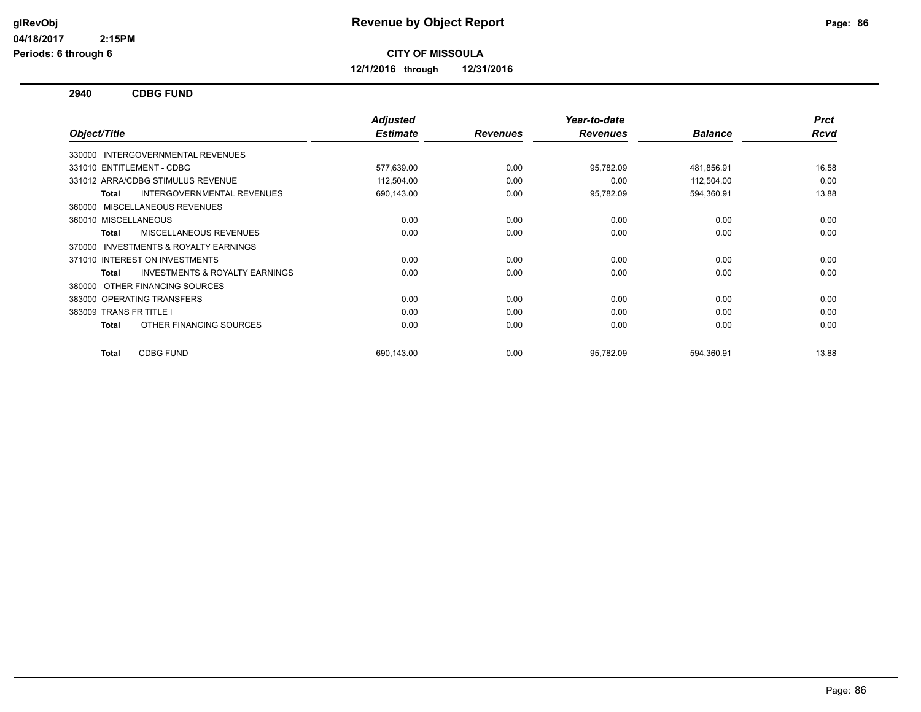**12/1/2016 through 12/31/2016**

#### **2940 CDBG FUND**

|                                                           | <b>Adjusted</b> |                 | Year-to-date    |                | <b>Prct</b> |
|-----------------------------------------------------------|-----------------|-----------------|-----------------|----------------|-------------|
| Object/Title                                              | <b>Estimate</b> | <b>Revenues</b> | <b>Revenues</b> | <b>Balance</b> | <b>Rcvd</b> |
| 330000 INTERGOVERNMENTAL REVENUES                         |                 |                 |                 |                |             |
| 331010 ENTITLEMENT - CDBG                                 | 577,639.00      | 0.00            | 95,782.09       | 481,856.91     | 16.58       |
| 331012 ARRA/CDBG STIMULUS REVENUE                         | 112,504.00      | 0.00            | 0.00            | 112,504.00     | 0.00        |
| <b>INTERGOVERNMENTAL REVENUES</b><br>Total                | 690,143.00      | 0.00            | 95,782.09       | 594,360.91     | 13.88       |
| 360000 MISCELLANEOUS REVENUES                             |                 |                 |                 |                |             |
| 360010 MISCELLANEOUS                                      | 0.00            | 0.00            | 0.00            | 0.00           | 0.00        |
| MISCELLANEOUS REVENUES<br>Total                           | 0.00            | 0.00            | 0.00            | 0.00           | 0.00        |
| <b>INVESTMENTS &amp; ROYALTY EARNINGS</b><br>370000       |                 |                 |                 |                |             |
| 371010 INTEREST ON INVESTMENTS                            | 0.00            | 0.00            | 0.00            | 0.00           | 0.00        |
| <b>INVESTMENTS &amp; ROYALTY EARNINGS</b><br><b>Total</b> | 0.00            | 0.00            | 0.00            | 0.00           | 0.00        |
| 380000 OTHER FINANCING SOURCES                            |                 |                 |                 |                |             |
| 383000 OPERATING TRANSFERS                                | 0.00            | 0.00            | 0.00            | 0.00           | 0.00        |
| 383009 TRANS FR TITLE I                                   | 0.00            | 0.00            | 0.00            | 0.00           | 0.00        |
| OTHER FINANCING SOURCES<br><b>Total</b>                   | 0.00            | 0.00            | 0.00            | 0.00           | 0.00        |
| <b>CDBG FUND</b><br><b>Total</b>                          | 690,143.00      | 0.00            | 95,782.09       | 594,360.91     | 13.88       |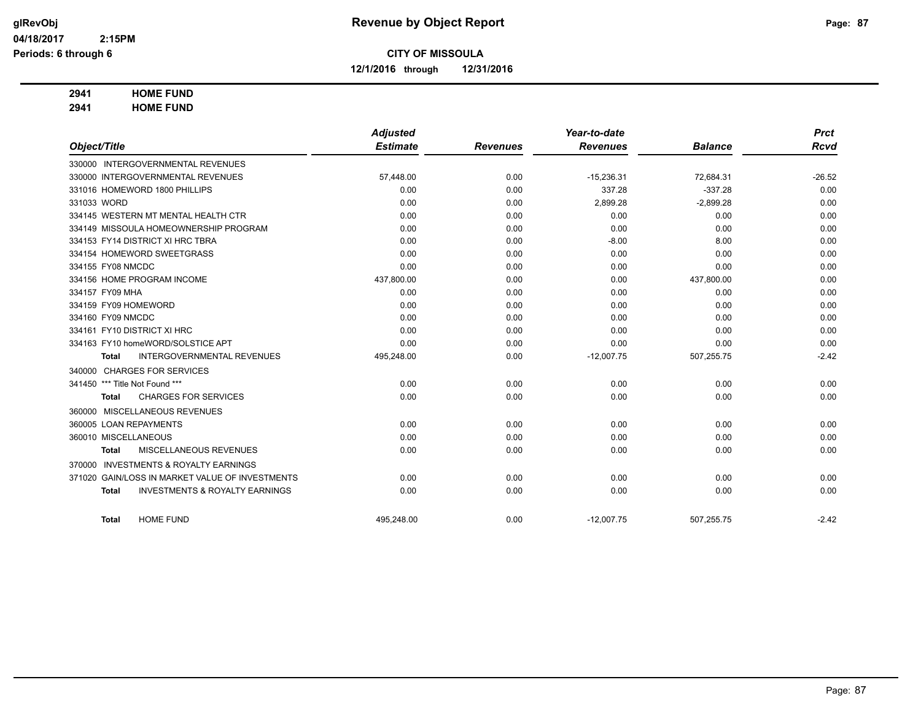### **2941 HOME FUND**

**2941 HOME FUND**

|                                                           | <b>Adjusted</b> |                 | Year-to-date    |                | <b>Prct</b> |
|-----------------------------------------------------------|-----------------|-----------------|-----------------|----------------|-------------|
| Object/Title                                              | <b>Estimate</b> | <b>Revenues</b> | <b>Revenues</b> | <b>Balance</b> | <b>Rcvd</b> |
| 330000 INTERGOVERNMENTAL REVENUES                         |                 |                 |                 |                |             |
| 330000 INTERGOVERNMENTAL REVENUES                         | 57,448.00       | 0.00            | $-15,236.31$    | 72,684.31      | $-26.52$    |
| 331016 HOMEWORD 1800 PHILLIPS                             | 0.00            | 0.00            | 337.28          | $-337.28$      | 0.00        |
| 331033 WORD                                               | 0.00            | 0.00            | 2,899.28        | $-2,899.28$    | 0.00        |
| 334145 WESTERN MT MENTAL HEALTH CTR                       | 0.00            | 0.00            | 0.00            | 0.00           | 0.00        |
| 334149 MISSOULA HOMEOWNERSHIP PROGRAM                     | 0.00            | 0.00            | 0.00            | 0.00           | 0.00        |
| 334153 FY14 DISTRICT XI HRC TBRA                          | 0.00            | 0.00            | $-8.00$         | 8.00           | 0.00        |
| 334154 HOMEWORD SWEETGRASS                                | 0.00            | 0.00            | 0.00            | 0.00           | 0.00        |
| 334155 FY08 NMCDC                                         | 0.00            | 0.00            | 0.00            | 0.00           | 0.00        |
| 334156 HOME PROGRAM INCOME                                | 437,800.00      | 0.00            | 0.00            | 437,800.00     | 0.00        |
| 334157 FY09 MHA                                           | 0.00            | 0.00            | 0.00            | 0.00           | 0.00        |
| 334159 FY09 HOMEWORD                                      | 0.00            | 0.00            | 0.00            | 0.00           | 0.00        |
| 334160 FY09 NMCDC                                         | 0.00            | 0.00            | 0.00            | 0.00           | 0.00        |
| 334161 FY10 DISTRICT XI HRC                               | 0.00            | 0.00            | 0.00            | 0.00           | 0.00        |
| 334163 FY10 homeWORD/SOLSTICE APT                         | 0.00            | 0.00            | 0.00            | 0.00           | 0.00        |
| <b>INTERGOVERNMENTAL REVENUES</b><br>Total                | 495,248.00      | 0.00            | $-12,007.75$    | 507,255.75     | $-2.42$     |
| 340000 CHARGES FOR SERVICES                               |                 |                 |                 |                |             |
| 341450 *** Title Not Found ***                            | 0.00            | 0.00            | 0.00            | 0.00           | 0.00        |
| <b>CHARGES FOR SERVICES</b><br>Total                      | 0.00            | 0.00            | 0.00            | 0.00           | 0.00        |
| 360000 MISCELLANEOUS REVENUES                             |                 |                 |                 |                |             |
| 360005 LOAN REPAYMENTS                                    | 0.00            | 0.00            | 0.00            | 0.00           | 0.00        |
| 360010 MISCELLANEOUS                                      | 0.00            | 0.00            | 0.00            | 0.00           | 0.00        |
| MISCELLANEOUS REVENUES<br><b>Total</b>                    | 0.00            | 0.00            | 0.00            | 0.00           | 0.00        |
| 370000 INVESTMENTS & ROYALTY EARNINGS                     |                 |                 |                 |                |             |
| 371020 GAIN/LOSS IN MARKET VALUE OF INVESTMENTS           | 0.00            | 0.00            | 0.00            | 0.00           | 0.00        |
| <b>INVESTMENTS &amp; ROYALTY EARNINGS</b><br><b>Total</b> | 0.00            | 0.00            | 0.00            | 0.00           | 0.00        |
| <b>HOME FUND</b><br><b>Total</b>                          | 495,248.00      | 0.00            | $-12,007.75$    | 507,255.75     | $-2.42$     |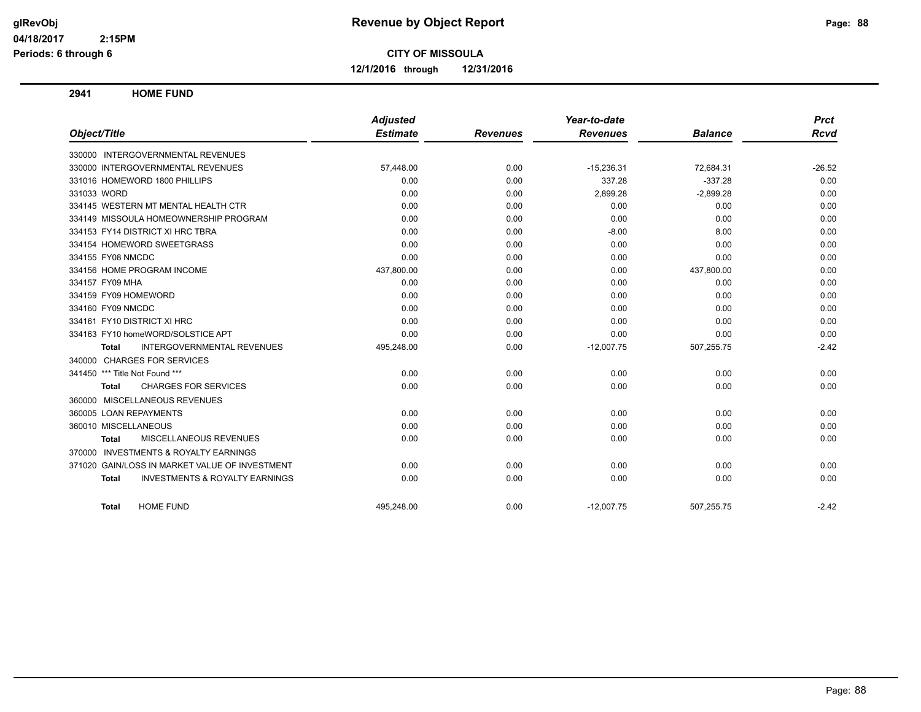**12/1/2016 through 12/31/2016**

#### **2941 HOME FUND**

|                                                           | <b>Adjusted</b> |                 | Year-to-date    |                | <b>Prct</b> |
|-----------------------------------------------------------|-----------------|-----------------|-----------------|----------------|-------------|
| Object/Title                                              | <b>Estimate</b> | <b>Revenues</b> | <b>Revenues</b> | <b>Balance</b> | <b>Rcvd</b> |
| 330000 INTERGOVERNMENTAL REVENUES                         |                 |                 |                 |                |             |
| 330000 INTERGOVERNMENTAL REVENUES                         | 57,448.00       | 0.00            | $-15,236.31$    | 72,684.31      | $-26.52$    |
| 331016 HOMEWORD 1800 PHILLIPS                             | 0.00            | 0.00            | 337.28          | $-337.28$      | 0.00        |
| 331033 WORD                                               | 0.00            | 0.00            | 2,899.28        | $-2,899.28$    | 0.00        |
| 334145 WESTERN MT MENTAL HEALTH CTR                       | 0.00            | 0.00            | 0.00            | 0.00           | 0.00        |
| 334149 MISSOULA HOMEOWNERSHIP PROGRAM                     | 0.00            | 0.00            | 0.00            | 0.00           | 0.00        |
| 334153 FY14 DISTRICT XI HRC TBRA                          | 0.00            | 0.00            | $-8.00$         | 8.00           | 0.00        |
| 334154 HOMEWORD SWEETGRASS                                | 0.00            | 0.00            | 0.00            | 0.00           | 0.00        |
| 334155 FY08 NMCDC                                         | 0.00            | 0.00            | 0.00            | 0.00           | 0.00        |
| 334156 HOME PROGRAM INCOME                                | 437,800.00      | 0.00            | 0.00            | 437,800.00     | 0.00        |
| 334157 FY09 MHA                                           | 0.00            | 0.00            | 0.00            | 0.00           | 0.00        |
| 334159 FY09 HOMEWORD                                      | 0.00            | 0.00            | 0.00            | 0.00           | 0.00        |
| 334160 FY09 NMCDC                                         | 0.00            | 0.00            | 0.00            | 0.00           | 0.00        |
| 334161 FY10 DISTRICT XI HRC                               | 0.00            | 0.00            | 0.00            | 0.00           | 0.00        |
| 334163 FY10 homeWORD/SOLSTICE APT                         | 0.00            | 0.00            | 0.00            | 0.00           | 0.00        |
| <b>INTERGOVERNMENTAL REVENUES</b><br>Total                | 495,248.00      | 0.00            | $-12,007.75$    | 507,255.75     | $-2.42$     |
| 340000 CHARGES FOR SERVICES                               |                 |                 |                 |                |             |
| 341450 *** Title Not Found ***                            | 0.00            | 0.00            | 0.00            | 0.00           | 0.00        |
| <b>CHARGES FOR SERVICES</b><br><b>Total</b>               | 0.00            | 0.00            | 0.00            | 0.00           | 0.00        |
| 360000 MISCELLANEOUS REVENUES                             |                 |                 |                 |                |             |
| 360005 LOAN REPAYMENTS                                    | 0.00            | 0.00            | 0.00            | 0.00           | 0.00        |
| 360010 MISCELLANEOUS                                      | 0.00            | 0.00            | 0.00            | 0.00           | 0.00        |
| <b>MISCELLANEOUS REVENUES</b><br><b>Total</b>             | 0.00            | 0.00            | 0.00            | 0.00           | 0.00        |
| 370000 INVESTMENTS & ROYALTY EARNINGS                     |                 |                 |                 |                |             |
| 371020 GAIN/LOSS IN MARKET VALUE OF INVESTMENT            | 0.00            | 0.00            | 0.00            | 0.00           | 0.00        |
| <b>INVESTMENTS &amp; ROYALTY EARNINGS</b><br><b>Total</b> | 0.00            | 0.00            | 0.00            | 0.00           | 0.00        |
| <b>HOME FUND</b><br><b>Total</b>                          | 495.248.00      | 0.00            | $-12.007.75$    | 507,255.75     | $-2.42$     |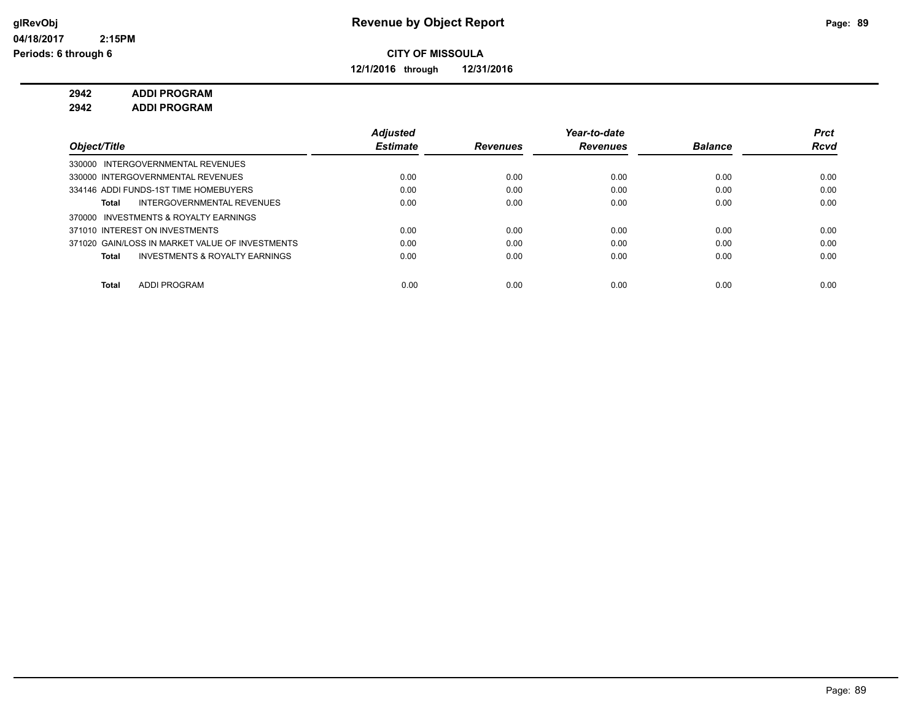**2942 ADDI PROGRAM 2942 ADDI PROGRAM**

|                                                    | <b>Adjusted</b> |                 | Year-to-date    |                | <b>Prct</b> |
|----------------------------------------------------|-----------------|-----------------|-----------------|----------------|-------------|
| Object/Title                                       | <b>Estimate</b> | <b>Revenues</b> | <b>Revenues</b> | <b>Balance</b> | <b>Rcvd</b> |
| 330000 INTERGOVERNMENTAL REVENUES                  |                 |                 |                 |                |             |
| 330000 INTERGOVERNMENTAL REVENUES                  | 0.00            | 0.00            | 0.00            | 0.00           | 0.00        |
| 334146 ADDI FUNDS-1ST TIME HOMEBUYERS              | 0.00            | 0.00            | 0.00            | 0.00           | 0.00        |
| INTERGOVERNMENTAL REVENUES<br>Total                | 0.00            | 0.00            | 0.00            | 0.00           | 0.00        |
| INVESTMENTS & ROYALTY EARNINGS<br>370000           |                 |                 |                 |                |             |
| 371010 INTEREST ON INVESTMENTS                     | 0.00            | 0.00            | 0.00            | 0.00           | 0.00        |
| 371020 GAIN/LOSS IN MARKET VALUE OF INVESTMENTS    | 0.00            | 0.00            | 0.00            | 0.00           | 0.00        |
| <b>INVESTMENTS &amp; ROYALTY EARNINGS</b><br>Total | 0.00            | 0.00            | 0.00            | 0.00           | 0.00        |
| ADDI PROGRAM<br><b>Total</b>                       | 0.00            | 0.00            | 0.00            | 0.00           | 0.00        |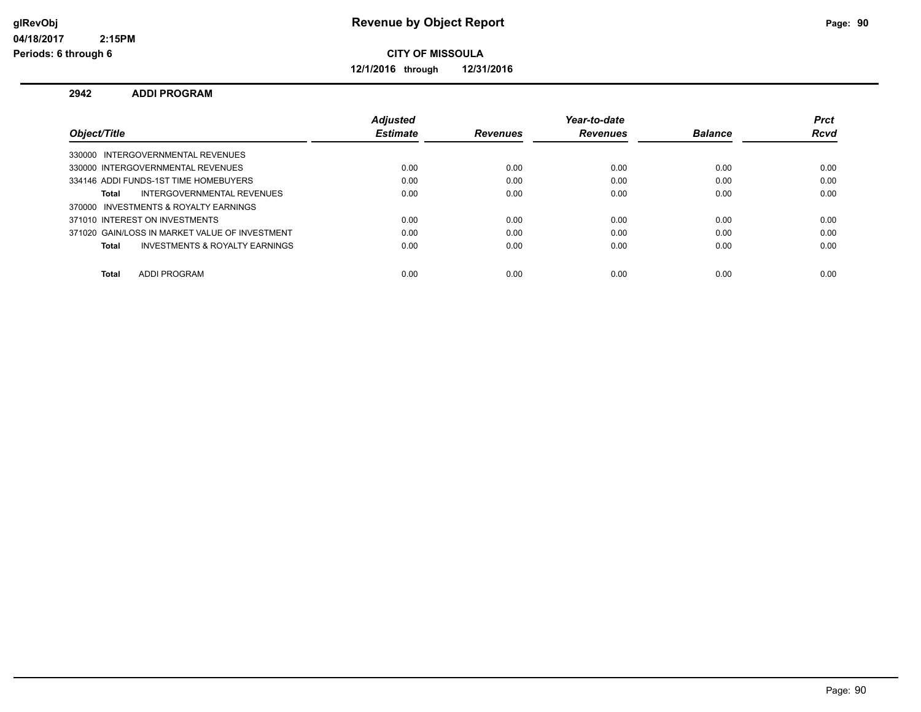**12/1/2016 through 12/31/2016**

#### **2942 ADDI PROGRAM**

|                                                | <b>Adiusted</b> |                 | Year-to-date    |                | <b>Prct</b> |
|------------------------------------------------|-----------------|-----------------|-----------------|----------------|-------------|
| Object/Title                                   | <b>Estimate</b> | <b>Revenues</b> | <b>Revenues</b> | <b>Balance</b> | Rcvd        |
| 330000 INTERGOVERNMENTAL REVENUES              |                 |                 |                 |                |             |
| 330000 INTERGOVERNMENTAL REVENUES              | 0.00            | 0.00            | 0.00            | 0.00           | 0.00        |
| 334146 ADDI FUNDS-1ST TIME HOMEBUYERS          | 0.00            | 0.00            | 0.00            | 0.00           | 0.00        |
| <b>INTERGOVERNMENTAL REVENUES</b><br>Total     | 0.00            | 0.00            | 0.00            | 0.00           | 0.00        |
| 370000 INVESTMENTS & ROYALTY EARNINGS          |                 |                 |                 |                |             |
| 371010 INTEREST ON INVESTMENTS                 | 0.00            | 0.00            | 0.00            | 0.00           | 0.00        |
| 371020 GAIN/LOSS IN MARKET VALUE OF INVESTMENT | 0.00            | 0.00            | 0.00            | 0.00           | 0.00        |
| INVESTMENTS & ROYALTY EARNINGS<br>Total        | 0.00            | 0.00            | 0.00            | 0.00           | 0.00        |
|                                                |                 |                 |                 |                |             |
| <b>ADDI PROGRAM</b><br><b>Total</b>            | 0.00            | 0.00            | 0.00            | 0.00           | 0.00        |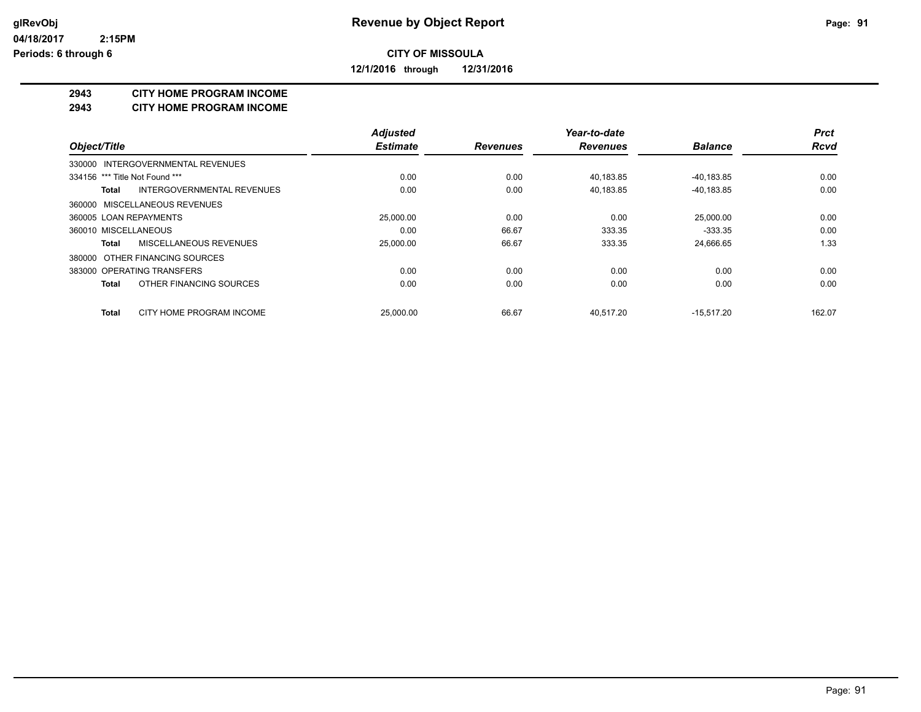**12/1/2016 through 12/31/2016**

## **2943 CITY HOME PROGRAM INCOME**

#### **2943 CITY HOME PROGRAM INCOME**

|                                            | <b>Adjusted</b> |                 | Year-to-date    |                | <b>Prct</b> |
|--------------------------------------------|-----------------|-----------------|-----------------|----------------|-------------|
| Object/Title                               | <b>Estimate</b> | <b>Revenues</b> | <b>Revenues</b> | <b>Balance</b> | Rcvd        |
| 330000 INTERGOVERNMENTAL REVENUES          |                 |                 |                 |                |             |
| 334156 *** Title Not Found ***             | 0.00            | 0.00            | 40,183.85       | $-40,183.85$   | 0.00        |
| <b>INTERGOVERNMENTAL REVENUES</b><br>Total | 0.00            | 0.00            | 40,183.85       | $-40,183.85$   | 0.00        |
| 360000 MISCELLANEOUS REVENUES              |                 |                 |                 |                |             |
| 360005 LOAN REPAYMENTS                     | 25,000.00       | 0.00            | 0.00            | 25,000.00      | 0.00        |
| 360010 MISCELLANEOUS                       | 0.00            | 66.67           | 333.35          | $-333.35$      | 0.00        |
| <b>MISCELLANEOUS REVENUES</b><br>Total     | 25,000.00       | 66.67           | 333.35          | 24,666.65      | 1.33        |
| 380000 OTHER FINANCING SOURCES             |                 |                 |                 |                |             |
| 383000 OPERATING TRANSFERS                 | 0.00            | 0.00            | 0.00            | 0.00           | 0.00        |
| OTHER FINANCING SOURCES<br><b>Total</b>    | 0.00            | 0.00            | 0.00            | 0.00           | 0.00        |
| CITY HOME PROGRAM INCOME<br><b>Total</b>   | 25.000.00       | 66.67           | 40.517.20       | $-15.517.20$   | 162.07      |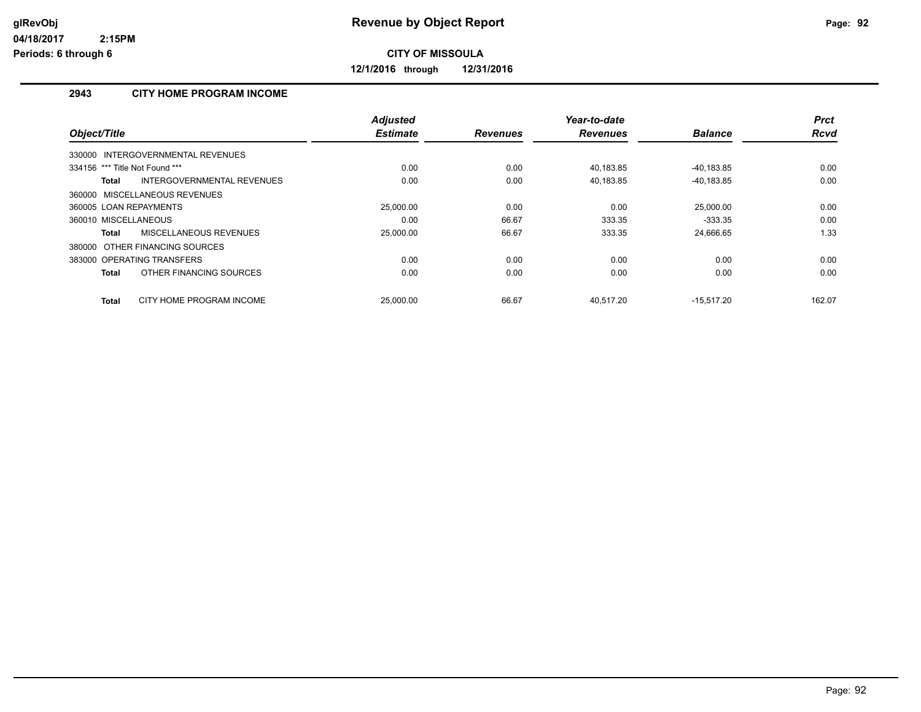**12/1/2016 through 12/31/2016**

#### **2943 CITY HOME PROGRAM INCOME**

|                                |                                | <b>Adjusted</b> |                 | Year-to-date    |                | <b>Prct</b> |
|--------------------------------|--------------------------------|-----------------|-----------------|-----------------|----------------|-------------|
| Object/Title                   |                                | <b>Estimate</b> | <b>Revenues</b> | <b>Revenues</b> | <b>Balance</b> | <b>Rcvd</b> |
| 330000                         | INTERGOVERNMENTAL REVENUES     |                 |                 |                 |                |             |
| 334156 *** Title Not Found *** |                                | 0.00            | 0.00            | 40,183.85       | $-40,183.85$   | 0.00        |
| Total                          | INTERGOVERNMENTAL REVENUES     | 0.00            | 0.00            | 40,183.85       | $-40,183.85$   | 0.00        |
| 360000                         | MISCELLANEOUS REVENUES         |                 |                 |                 |                |             |
| 360005 LOAN REPAYMENTS         |                                | 25,000.00       | 0.00            | 0.00            | 25,000.00      | 0.00        |
| 360010 MISCELLANEOUS           |                                | 0.00            | 66.67           | 333.35          | $-333.35$      | 0.00        |
| Total                          | MISCELLANEOUS REVENUES         | 25,000.00       | 66.67           | 333.35          | 24,666.65      | 1.33        |
|                                | 380000 OTHER FINANCING SOURCES |                 |                 |                 |                |             |
|                                | 383000 OPERATING TRANSFERS     | 0.00            | 0.00            | 0.00            | 0.00           | 0.00        |
| Total                          | OTHER FINANCING SOURCES        | 0.00            | 0.00            | 0.00            | 0.00           | 0.00        |
| <b>Total</b>                   | CITY HOME PROGRAM INCOME       | 25.000.00       | 66.67           | 40.517.20       | $-15.517.20$   | 162.07      |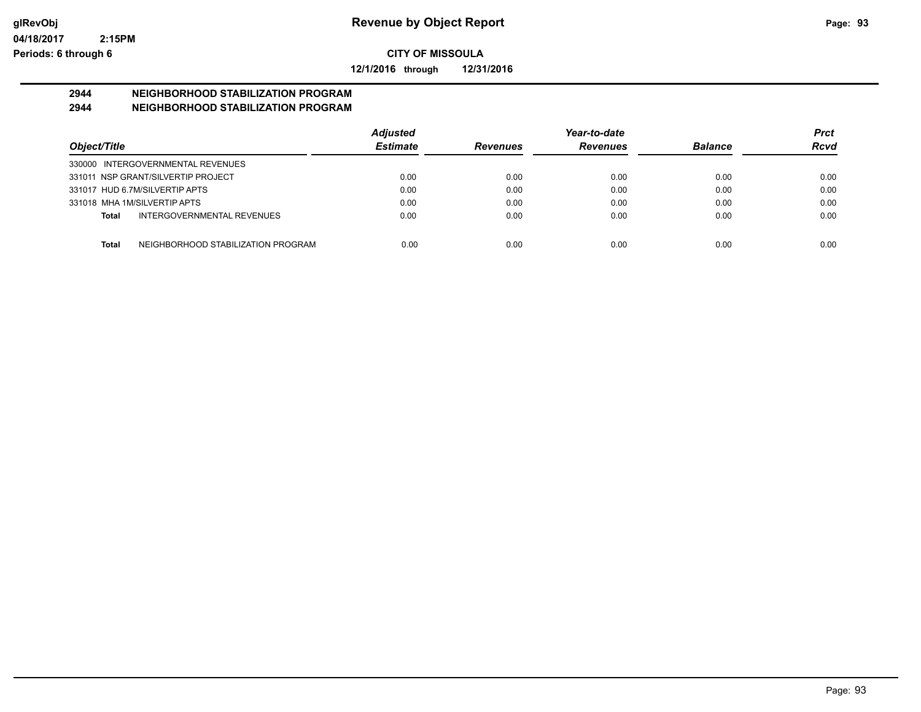**12/1/2016 through 12/31/2016**

#### **2944 NEIGHBORHOOD STABILIZATION PROGRAM 2944 NEIGHBORHOOD STABILIZATION PROGRAM**

|                                                    | <b>Adjusted</b> |                 | Year-to-date    |                | <b>Prct</b> |
|----------------------------------------------------|-----------------|-----------------|-----------------|----------------|-------------|
| Object/Title                                       | <b>Estimate</b> | <b>Revenues</b> | <b>Revenues</b> | <b>Balance</b> | <b>Rcvd</b> |
| 330000 INTERGOVERNMENTAL REVENUES                  |                 |                 |                 |                |             |
| 331011 NSP GRANT/SILVERTIP PROJECT                 | 0.00            | 0.00            | 0.00            | 0.00           | 0.00        |
| 331017 HUD 6.7M/SILVERTIP APTS                     | 0.00            | 0.00            | 0.00            | 0.00           | 0.00        |
| 331018 MHA 1M/SILVERTIP APTS                       | 0.00            | 0.00            | 0.00            | 0.00           | 0.00        |
| INTERGOVERNMENTAL REVENUES<br>Total                | 0.00            | 0.00            | 0.00            | 0.00           | 0.00        |
|                                                    |                 |                 |                 |                |             |
| NEIGHBORHOOD STABILIZATION PROGRAM<br><b>Total</b> | 0.00            | 0.00            | 0.00            | 0.00           | 0.00        |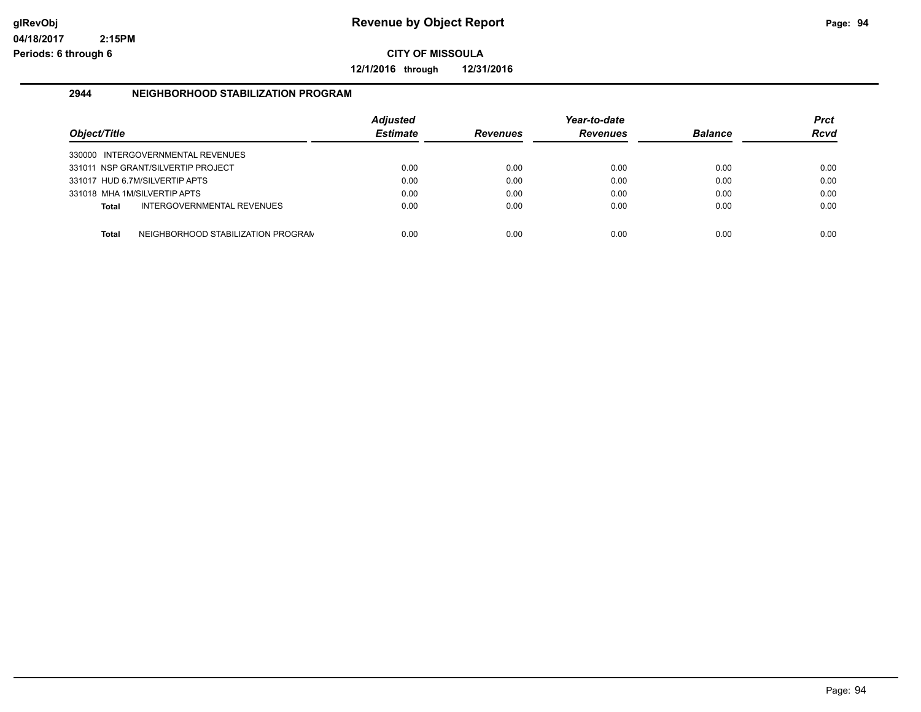**12/1/2016 through 12/31/2016**

#### **2944 NEIGHBORHOOD STABILIZATION PROGRAM**

| Object/Title                                       | <b>Adjusted</b><br><b>Estimate</b> | <b>Revenues</b> | Year-to-date<br><b>Revenues</b> | <b>Balance</b> | <b>Prct</b><br><b>Rcvd</b> |
|----------------------------------------------------|------------------------------------|-----------------|---------------------------------|----------------|----------------------------|
| 330000 INTERGOVERNMENTAL REVENUES                  |                                    |                 |                                 |                |                            |
| 331011 NSP GRANT/SILVERTIP PROJECT                 | 0.00                               | 0.00            | 0.00                            | 0.00           | 0.00                       |
| 331017 HUD 6.7M/SILVERTIP APTS                     | 0.00                               | 0.00            | 0.00                            | 0.00           | 0.00                       |
| 331018 MHA 1M/SILVERTIP APTS                       | 0.00                               | 0.00            | 0.00                            | 0.00           | 0.00                       |
| INTERGOVERNMENTAL REVENUES<br><b>Total</b>         | 0.00                               | 0.00            | 0.00                            | 0.00           | 0.00                       |
| <b>Total</b><br>NEIGHBORHOOD STABILIZATION PROGRAN | 0.00                               | 0.00            | 0.00                            | 0.00           | 0.00                       |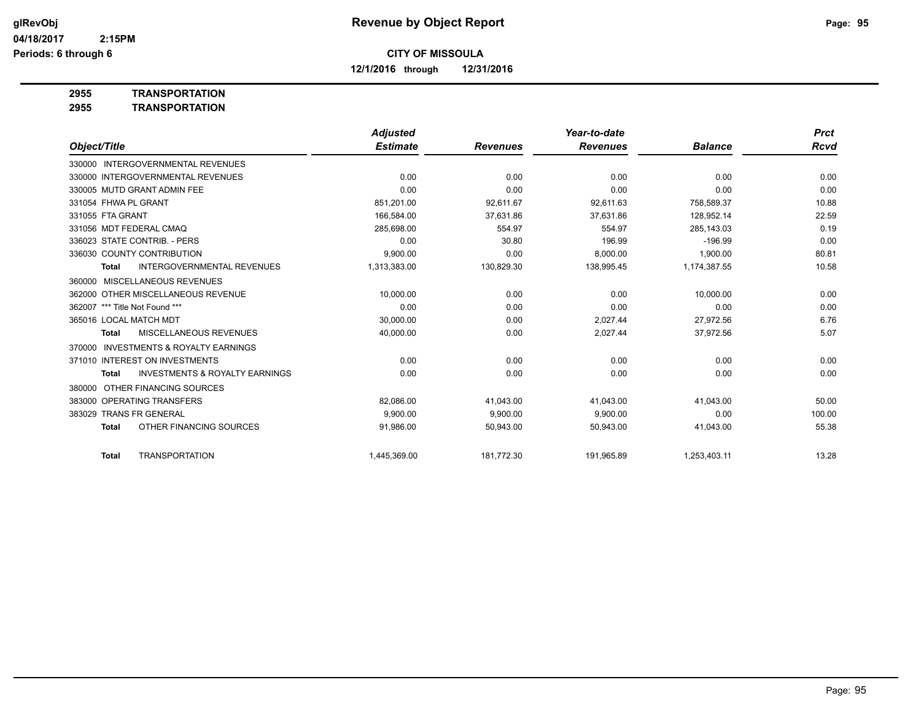**2955 TRANSPORTATION 2955 TRANSPORTATION**

|                                                           | <b>Adjusted</b> |                 | Year-to-date    |                | <b>Prct</b> |
|-----------------------------------------------------------|-----------------|-----------------|-----------------|----------------|-------------|
| Object/Title                                              | <b>Estimate</b> | <b>Revenues</b> | <b>Revenues</b> | <b>Balance</b> | <b>Rcvd</b> |
| 330000 INTERGOVERNMENTAL REVENUES                         |                 |                 |                 |                |             |
| 330000 INTERGOVERNMENTAL REVENUES                         | 0.00            | 0.00            | 0.00            | 0.00           | 0.00        |
| 330005 MUTD GRANT ADMIN FEE                               | 0.00            | 0.00            | 0.00            | 0.00           | 0.00        |
| 331054 FHWA PL GRANT                                      | 851,201.00      | 92,611.67       | 92,611.63       | 758,589.37     | 10.88       |
| 331055 FTA GRANT                                          | 166,584.00      | 37.631.86       | 37.631.86       | 128,952.14     | 22.59       |
| 331056 MDT FEDERAL CMAO                                   | 285,698.00      | 554.97          | 554.97          | 285,143.03     | 0.19        |
| 336023 STATE CONTRIB. - PERS                              | 0.00            | 30.80           | 196.99          | $-196.99$      | 0.00        |
| 336030 COUNTY CONTRIBUTION                                | 9,900.00        | 0.00            | 8,000.00        | 1,900.00       | 80.81       |
| <b>INTERGOVERNMENTAL REVENUES</b><br><b>Total</b>         | 1,313,383.00    | 130,829.30      | 138,995.45      | 1,174,387.55   | 10.58       |
| MISCELLANEOUS REVENUES<br>360000                          |                 |                 |                 |                |             |
| 362000 OTHER MISCELLANEOUS REVENUE                        | 10.000.00       | 0.00            | 0.00            | 10,000.00      | 0.00        |
| 362007 *** Title Not Found ***                            | 0.00            | 0.00            | 0.00            | 0.00           | 0.00        |
| 365016 LOCAL MATCH MDT                                    | 30,000.00       | 0.00            | 2,027.44        | 27,972.56      | 6.76        |
| <b>MISCELLANEOUS REVENUES</b><br><b>Total</b>             | 40,000.00       | 0.00            | 2,027.44        | 37,972.56      | 5.07        |
| <b>INVESTMENTS &amp; ROYALTY EARNINGS</b><br>370000       |                 |                 |                 |                |             |
| 371010 INTEREST ON INVESTMENTS                            | 0.00            | 0.00            | 0.00            | 0.00           | 0.00        |
| <b>INVESTMENTS &amp; ROYALTY EARNINGS</b><br><b>Total</b> | 0.00            | 0.00            | 0.00            | 0.00           | 0.00        |
| OTHER FINANCING SOURCES<br>380000                         |                 |                 |                 |                |             |
| 383000 OPERATING TRANSFERS                                | 82,086.00       | 41,043.00       | 41,043.00       | 41,043.00      | 50.00       |
| 383029 TRANS FR GENERAL                                   | 9,900.00        | 9,900.00        | 9,900.00        | 0.00           | 100.00      |
| OTHER FINANCING SOURCES<br><b>Total</b>                   | 91,986.00       | 50,943.00       | 50,943.00       | 41,043.00      | 55.38       |
|                                                           |                 |                 |                 |                |             |
| <b>TRANSPORTATION</b><br><b>Total</b>                     | 1,445,369.00    | 181,772.30      | 191,965.89      | 1,253,403.11   | 13.28       |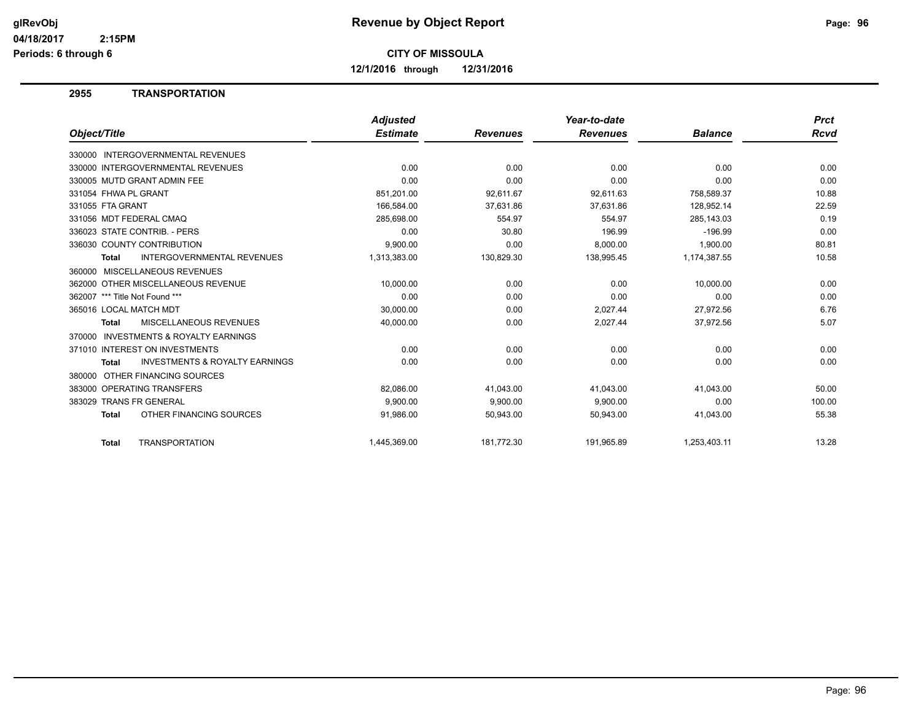**12/1/2016 through 12/31/2016**

#### **2955 TRANSPORTATION**

|                                                           | <b>Adjusted</b> |                 | Year-to-date    |                | <b>Prct</b> |
|-----------------------------------------------------------|-----------------|-----------------|-----------------|----------------|-------------|
| Object/Title                                              | <b>Estimate</b> | <b>Revenues</b> | <b>Revenues</b> | <b>Balance</b> | Rcvd        |
| 330000 INTERGOVERNMENTAL REVENUES                         |                 |                 |                 |                |             |
| 330000 INTERGOVERNMENTAL REVENUES                         | 0.00            | 0.00            | 0.00            | 0.00           | 0.00        |
| 330005 MUTD GRANT ADMIN FEE                               | 0.00            | 0.00            | 0.00            | 0.00           | 0.00        |
| 331054 FHWA PL GRANT                                      | 851,201.00      | 92,611.67       | 92.611.63       | 758,589.37     | 10.88       |
| 331055 FTA GRANT                                          | 166,584.00      | 37,631.86       | 37,631.86       | 128,952.14     | 22.59       |
| 331056 MDT FEDERAL CMAQ                                   | 285,698.00      | 554.97          | 554.97          | 285,143.03     | 0.19        |
| 336023 STATE CONTRIB. - PERS                              | 0.00            | 30.80           | 196.99          | $-196.99$      | 0.00        |
| 336030 COUNTY CONTRIBUTION                                | 9,900.00        | 0.00            | 8,000.00        | 1,900.00       | 80.81       |
| <b>INTERGOVERNMENTAL REVENUES</b><br>Total                | 1,313,383.00    | 130,829.30      | 138,995.45      | 1,174,387.55   | 10.58       |
| 360000 MISCELLANEOUS REVENUES                             |                 |                 |                 |                |             |
| 362000 OTHER MISCELLANEOUS REVENUE                        | 10,000.00       | 0.00            | 0.00            | 10,000.00      | 0.00        |
| 362007 *** Title Not Found ***                            | 0.00            | 0.00            | 0.00            | 0.00           | 0.00        |
| 365016 LOCAL MATCH MDT                                    | 30,000.00       | 0.00            | 2,027.44        | 27,972.56      | 6.76        |
| MISCELLANEOUS REVENUES<br><b>Total</b>                    | 40,000.00       | 0.00            | 2,027.44        | 37,972.56      | 5.07        |
| 370000 INVESTMENTS & ROYALTY EARNINGS                     |                 |                 |                 |                |             |
| 371010 INTEREST ON INVESTMENTS                            | 0.00            | 0.00            | 0.00            | 0.00           | 0.00        |
| <b>INVESTMENTS &amp; ROYALTY EARNINGS</b><br><b>Total</b> | 0.00            | 0.00            | 0.00            | 0.00           | 0.00        |
| 380000 OTHER FINANCING SOURCES                            |                 |                 |                 |                |             |
| 383000 OPERATING TRANSFERS                                | 82,086.00       | 41,043.00       | 41,043.00       | 41,043.00      | 50.00       |
| 383029 TRANS FR GENERAL                                   | 9,900.00        | 9,900.00        | 9,900.00        | 0.00           | 100.00      |
| OTHER FINANCING SOURCES<br><b>Total</b>                   | 91,986.00       | 50,943.00       | 50,943.00       | 41,043.00      | 55.38       |
| <b>TRANSPORTATION</b><br><b>Total</b>                     | 1.445.369.00    | 181.772.30      | 191.965.89      | 1,253,403.11   | 13.28       |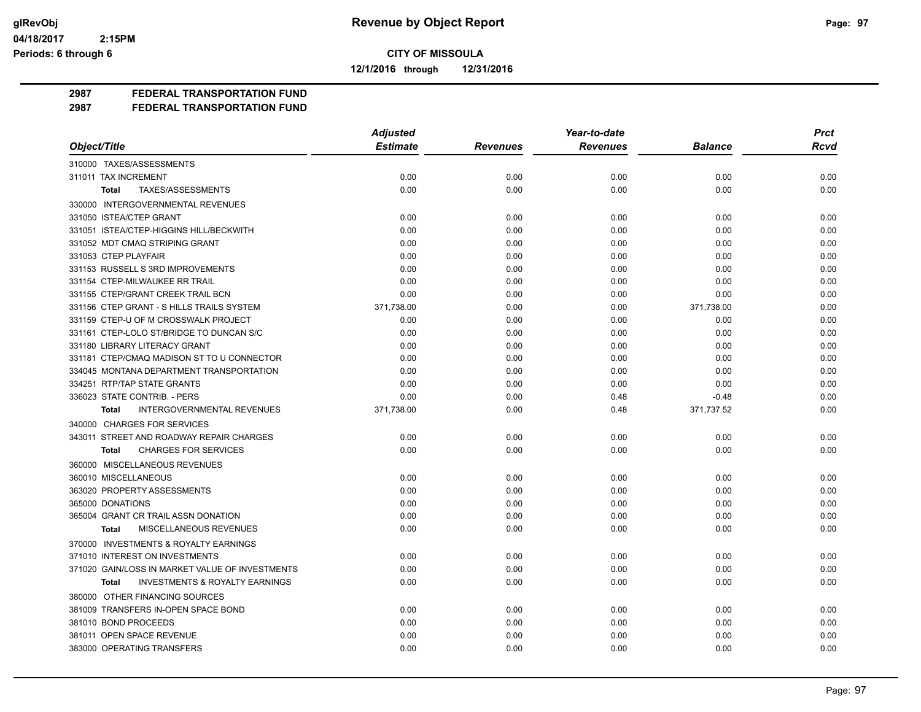**12/1/2016 through 12/31/2016**

# **2987 FEDERAL TRANSPORTATION FUND**

**2987 FEDERAL TRANSPORTATION FUND**

|                                                    | <b>Adjusted</b> |                 | Year-to-date    |                | <b>Prct</b> |
|----------------------------------------------------|-----------------|-----------------|-----------------|----------------|-------------|
| Object/Title                                       | <b>Estimate</b> | <b>Revenues</b> | <b>Revenues</b> | <b>Balance</b> | Rcvd        |
| 310000 TAXES/ASSESSMENTS                           |                 |                 |                 |                |             |
| 311011 TAX INCREMENT                               | 0.00            | 0.00            | 0.00            | 0.00           | 0.00        |
| TAXES/ASSESSMENTS<br>Total                         | 0.00            | 0.00            | 0.00            | 0.00           | 0.00        |
| 330000 INTERGOVERNMENTAL REVENUES                  |                 |                 |                 |                |             |
| 331050 ISTEA/CTEP GRANT                            | 0.00            | 0.00            | 0.00            | 0.00           | 0.00        |
| 331051 ISTEA/CTEP-HIGGINS HILL/BECKWITH            | 0.00            | 0.00            | 0.00            | 0.00           | 0.00        |
| 331052 MDT CMAQ STRIPING GRANT                     | 0.00            | 0.00            | 0.00            | 0.00           | 0.00        |
| 331053 CTEP PLAYFAIR                               | 0.00            | 0.00            | 0.00            | 0.00           | 0.00        |
| 331153 RUSSELL S 3RD IMPROVEMENTS                  | 0.00            | 0.00            | 0.00            | 0.00           | 0.00        |
| 331154 CTEP-MILWAUKEE RR TRAIL                     | 0.00            | 0.00            | 0.00            | 0.00           | 0.00        |
| 331155 CTEP/GRANT CREEK TRAIL BCN                  | 0.00            | 0.00            | 0.00            | 0.00           | 0.00        |
| 331156 CTEP GRANT - S HILLS TRAILS SYSTEM          | 371,738.00      | 0.00            | 0.00            | 371,738.00     | 0.00        |
| 331159 CTEP-U OF M CROSSWALK PROJECT               | 0.00            | 0.00            | 0.00            | 0.00           | 0.00        |
| 331161 CTEP-LOLO ST/BRIDGE TO DUNCAN S/C           | 0.00            | 0.00            | 0.00            | 0.00           | 0.00        |
| 331180 LIBRARY LITERACY GRANT                      | 0.00            | 0.00            | 0.00            | 0.00           | 0.00        |
| 331181 CTEP/CMAQ MADISON ST TO U CONNECTOR         | 0.00            | 0.00            | 0.00            | 0.00           | 0.00        |
| 334045 MONTANA DEPARTMENT TRANSPORTATION           | 0.00            | 0.00            | 0.00            | 0.00           | 0.00        |
| 334251 RTP/TAP STATE GRANTS                        | 0.00            | 0.00            | 0.00            | 0.00           | 0.00        |
| 336023 STATE CONTRIB. - PERS                       | 0.00            | 0.00            | 0.48            | $-0.48$        | 0.00        |
| <b>Total</b><br>INTERGOVERNMENTAL REVENUES         | 371,738.00      | 0.00            | 0.48            | 371,737.52     | 0.00        |
| 340000 CHARGES FOR SERVICES                        |                 |                 |                 |                |             |
| 343011 STREET AND ROADWAY REPAIR CHARGES           | 0.00            | 0.00            | 0.00            | 0.00           | 0.00        |
| <b>CHARGES FOR SERVICES</b><br>Total               | 0.00            | 0.00            | 0.00            | 0.00           | 0.00        |
| 360000 MISCELLANEOUS REVENUES                      |                 |                 |                 |                |             |
| 360010 MISCELLANEOUS                               | 0.00            | 0.00            | 0.00            | 0.00           | 0.00        |
| 363020 PROPERTY ASSESSMENTS                        | 0.00            | 0.00            | 0.00            | 0.00           | 0.00        |
| 365000 DONATIONS                                   | 0.00            | 0.00            | 0.00            | 0.00           | 0.00        |
| 365004 GRANT CR TRAIL ASSN DONATION                | 0.00            | 0.00            | 0.00            | 0.00           | 0.00        |
| MISCELLANEOUS REVENUES<br><b>Total</b>             | 0.00            | 0.00            | 0.00            | 0.00           | 0.00        |
| 370000 INVESTMENTS & ROYALTY EARNINGS              |                 |                 |                 |                |             |
| 371010 INTEREST ON INVESTMENTS                     | 0.00            | 0.00            | 0.00            | 0.00           | 0.00        |
| 371020 GAIN/LOSS IN MARKET VALUE OF INVESTMENTS    | 0.00            | 0.00            | 0.00            | 0.00           | 0.00        |
| <b>INVESTMENTS &amp; ROYALTY EARNINGS</b><br>Total | 0.00            | 0.00            | 0.00            | 0.00           | 0.00        |
| 380000 OTHER FINANCING SOURCES                     |                 |                 |                 |                |             |
| 381009 TRANSFERS IN-OPEN SPACE BOND                | 0.00            | 0.00            | 0.00            | 0.00           | 0.00        |
| 381010 BOND PROCEEDS                               | 0.00            | 0.00            | 0.00            | 0.00           | 0.00        |
| 381011 OPEN SPACE REVENUE                          | 0.00            | 0.00            | 0.00            | 0.00           | 0.00        |
| 383000 OPERATING TRANSFERS                         | 0.00            | 0.00            | 0.00            | 0.00           | 0.00        |
|                                                    |                 |                 |                 |                |             |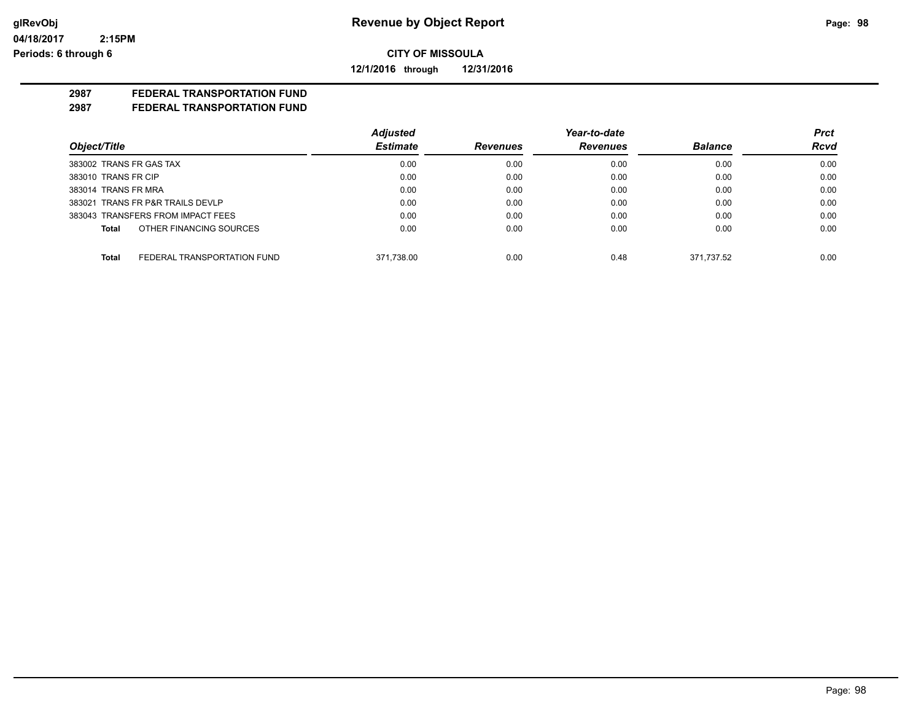**12/1/2016 through 12/31/2016**

#### **2987 FEDERAL TRANSPORTATION FUND 2987 FEDERAL TRANSPORTATION FUND**

|                                             | <b>Adjusted</b> |                 | Year-to-date    |                | <b>Prct</b> |
|---------------------------------------------|-----------------|-----------------|-----------------|----------------|-------------|
| Obiect/Title                                | <b>Estimate</b> | <b>Revenues</b> | <b>Revenues</b> | <b>Balance</b> | Rcvd        |
| 383002 TRANS FR GAS TAX                     | 0.00            | 0.00            | 0.00            | 0.00           | 0.00        |
| 383010 TRANS FR CIP                         | 0.00            | 0.00            | 0.00            | 0.00           | 0.00        |
| 383014 TRANS FR MRA                         | 0.00            | 0.00            | 0.00            | 0.00           | 0.00        |
| 383021 TRANS FR P&R TRAILS DEVLP            | 0.00            | 0.00            | 0.00            | 0.00           | 0.00        |
| 383043 TRANSFERS FROM IMPACT FEES           | 0.00            | 0.00            | 0.00            | 0.00           | 0.00        |
| OTHER FINANCING SOURCES<br>Total            | 0.00            | 0.00            | 0.00            | 0.00           | 0.00        |
| FEDERAL TRANSPORTATION FUND<br><b>Total</b> | 371.738.00      | 0.00            | 0.48            | 371.737.52     | 0.00        |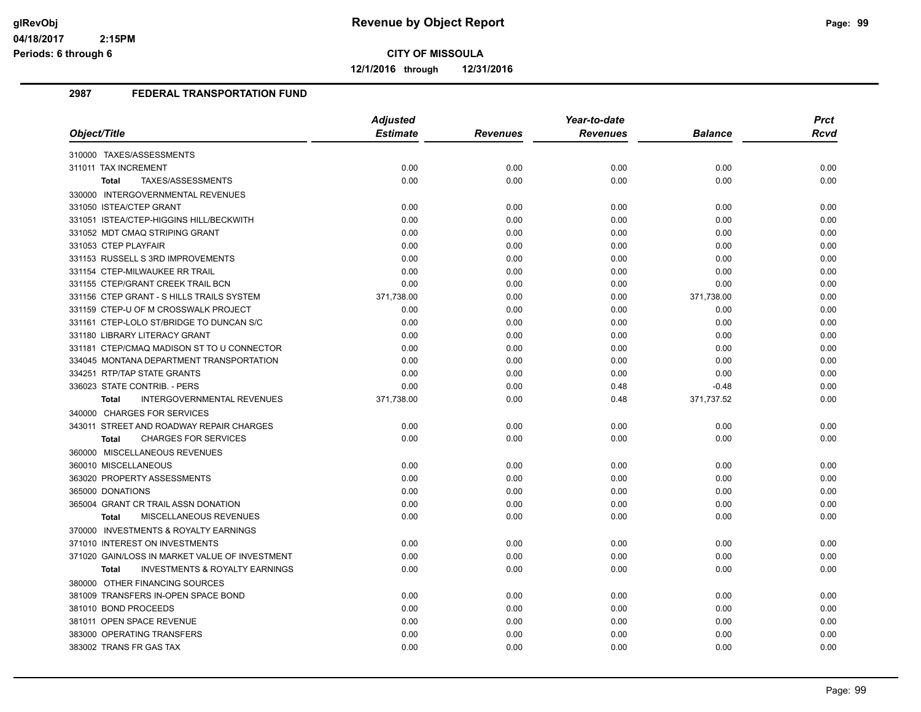**12/1/2016 through 12/31/2016**

#### **2987 FEDERAL TRANSPORTATION FUND**

|                                                           | <b>Adjusted</b> |                 | Year-to-date    |                | <b>Prct</b> |
|-----------------------------------------------------------|-----------------|-----------------|-----------------|----------------|-------------|
| Object/Title                                              | <b>Estimate</b> | <b>Revenues</b> | <b>Revenues</b> | <b>Balance</b> | <b>Rcvd</b> |
| 310000 TAXES/ASSESSMENTS                                  |                 |                 |                 |                |             |
| 311011 TAX INCREMENT                                      | 0.00            | 0.00            | 0.00            | 0.00           | 0.00        |
| TAXES/ASSESSMENTS<br><b>Total</b>                         | 0.00            | 0.00            | 0.00            | 0.00           | 0.00        |
| 330000 INTERGOVERNMENTAL REVENUES                         |                 |                 |                 |                |             |
| 331050 ISTEA/CTEP GRANT                                   | 0.00            | 0.00            | 0.00            | 0.00           | 0.00        |
| 331051 ISTEA/CTEP-HIGGINS HILL/BECKWITH                   | 0.00            | 0.00            | 0.00            | 0.00           | 0.00        |
| 331052 MDT CMAQ STRIPING GRANT                            | 0.00            | 0.00            | 0.00            | 0.00           | 0.00        |
| 331053 CTEP PLAYFAIR                                      | 0.00            | 0.00            | 0.00            | 0.00           | 0.00        |
| 331153 RUSSELL S 3RD IMPROVEMENTS                         | 0.00            | 0.00            | 0.00            | 0.00           | 0.00        |
| 331154 CTEP-MILWAUKEE RR TRAIL                            | 0.00            | 0.00            | 0.00            | 0.00           | 0.00        |
| 331155 CTEP/GRANT CREEK TRAIL BCN                         | 0.00            | 0.00            | 0.00            | 0.00           | 0.00        |
| 331156 CTEP GRANT - S HILLS TRAILS SYSTEM                 | 371,738.00      | 0.00            | 0.00            | 371,738.00     | 0.00        |
| 331159 CTEP-U OF M CROSSWALK PROJECT                      | 0.00            | 0.00            | 0.00            | 0.00           | 0.00        |
| 331161 CTEP-LOLO ST/BRIDGE TO DUNCAN S/C                  | 0.00            | 0.00            | 0.00            | 0.00           | 0.00        |
| 331180 LIBRARY LITERACY GRANT                             | 0.00            | 0.00            | 0.00            | 0.00           | 0.00        |
| 331181 CTEP/CMAQ MADISON ST TO U CONNECTOR                | 0.00            | 0.00            | 0.00            | 0.00           | 0.00        |
| 334045 MONTANA DEPARTMENT TRANSPORTATION                  | 0.00            | 0.00            | 0.00            | 0.00           | 0.00        |
| 334251 RTP/TAP STATE GRANTS                               | 0.00            | 0.00            | 0.00            | 0.00           | 0.00        |
| 336023 STATE CONTRIB. - PERS                              | 0.00            | 0.00            | 0.48            | $-0.48$        | 0.00        |
| <b>INTERGOVERNMENTAL REVENUES</b><br><b>Total</b>         | 371,738.00      | 0.00            | 0.48            | 371,737.52     | 0.00        |
| 340000 CHARGES FOR SERVICES                               |                 |                 |                 |                |             |
| 343011 STREET AND ROADWAY REPAIR CHARGES                  | 0.00            | 0.00            | 0.00            | 0.00           | 0.00        |
| <b>CHARGES FOR SERVICES</b><br><b>Total</b>               | 0.00            | 0.00            | 0.00            | 0.00           | 0.00        |
| 360000 MISCELLANEOUS REVENUES                             |                 |                 |                 |                |             |
| 360010 MISCELLANEOUS                                      | 0.00            | 0.00            | 0.00            | 0.00           | 0.00        |
| 363020 PROPERTY ASSESSMENTS                               | 0.00            | 0.00            | 0.00            | 0.00           | 0.00        |
| 365000 DONATIONS                                          | 0.00            | 0.00            | 0.00            | 0.00           | 0.00        |
| 365004 GRANT CR TRAIL ASSN DONATION                       | 0.00            | 0.00            | 0.00            | 0.00           | 0.00        |
| MISCELLANEOUS REVENUES<br>Total                           | 0.00            | 0.00            | 0.00            | 0.00           | 0.00        |
| 370000 INVESTMENTS & ROYALTY EARNINGS                     |                 |                 |                 |                |             |
| 371010 INTEREST ON INVESTMENTS                            | 0.00            | 0.00            | 0.00            | 0.00           | 0.00        |
| 371020 GAIN/LOSS IN MARKET VALUE OF INVESTMENT            | 0.00            | 0.00            | 0.00            | 0.00           | 0.00        |
| <b>INVESTMENTS &amp; ROYALTY EARNINGS</b><br><b>Total</b> | 0.00            | 0.00            | 0.00            | 0.00           | 0.00        |
| 380000 OTHER FINANCING SOURCES                            |                 |                 |                 |                |             |
| 381009 TRANSFERS IN-OPEN SPACE BOND                       | 0.00            | 0.00            | 0.00            | 0.00           | 0.00        |
| 381010 BOND PROCEEDS                                      | 0.00            | 0.00            | 0.00            | 0.00           | 0.00        |
| 381011 OPEN SPACE REVENUE                                 | 0.00            | 0.00            | 0.00            | 0.00           | 0.00        |
| 383000 OPERATING TRANSFERS                                | 0.00            | 0.00            | 0.00            | 0.00           | 0.00        |
| 383002 TRANS FR GAS TAX                                   | 0.00            | 0.00            | 0.00            | 0.00           | 0.00        |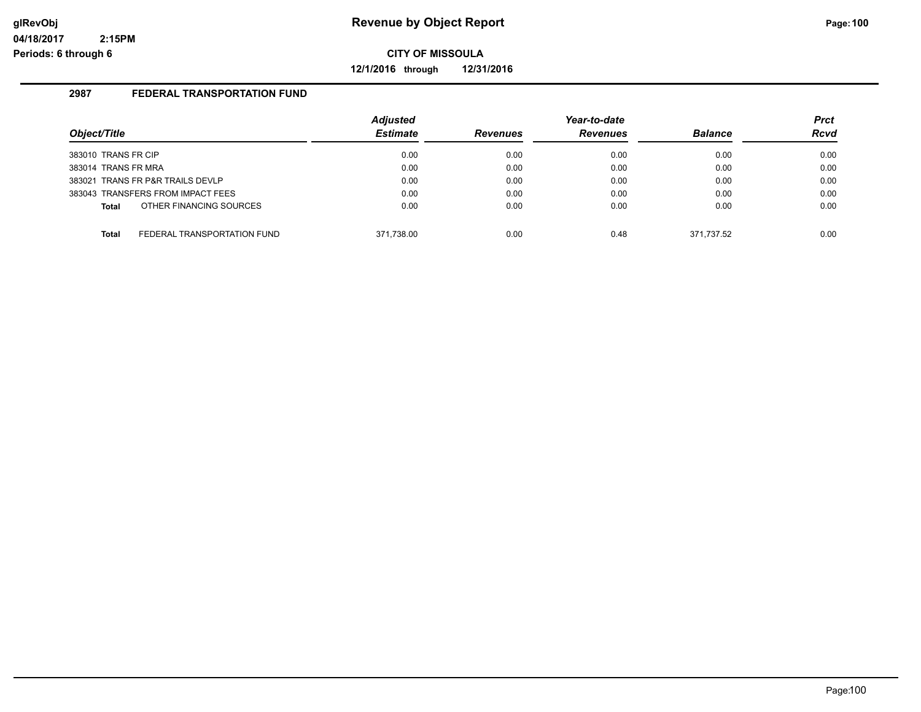**12/1/2016 through 12/31/2016**

#### **2987 FEDERAL TRANSPORTATION FUND**

| Object/Title                                | <b>Adjusted</b><br><b>Estimate</b> | <b>Revenues</b> | Year-to-date<br><b>Revenues</b> | <b>Balance</b> | <b>Prct</b><br><b>Rcvd</b> |
|---------------------------------------------|------------------------------------|-----------------|---------------------------------|----------------|----------------------------|
| 383010 TRANS FR CIP                         | 0.00                               | 0.00            | 0.00                            | 0.00           | 0.00                       |
| 383014 TRANS FR MRA                         | 0.00                               | 0.00            | 0.00                            | 0.00           | 0.00                       |
| 383021 TRANS FR P&R TRAILS DEVLP            | 0.00                               | 0.00            | 0.00                            | 0.00           | 0.00                       |
| 383043 TRANSFERS FROM IMPACT FEES           | 0.00                               | 0.00            | 0.00                            | 0.00           | 0.00                       |
| OTHER FINANCING SOURCES<br><b>Total</b>     | 0.00                               | 0.00            | 0.00                            | 0.00           | 0.00                       |
| <b>Total</b><br>FEDERAL TRANSPORTATION FUND | 371.738.00                         | 0.00            | 0.48                            | 371.737.52     | 0.00                       |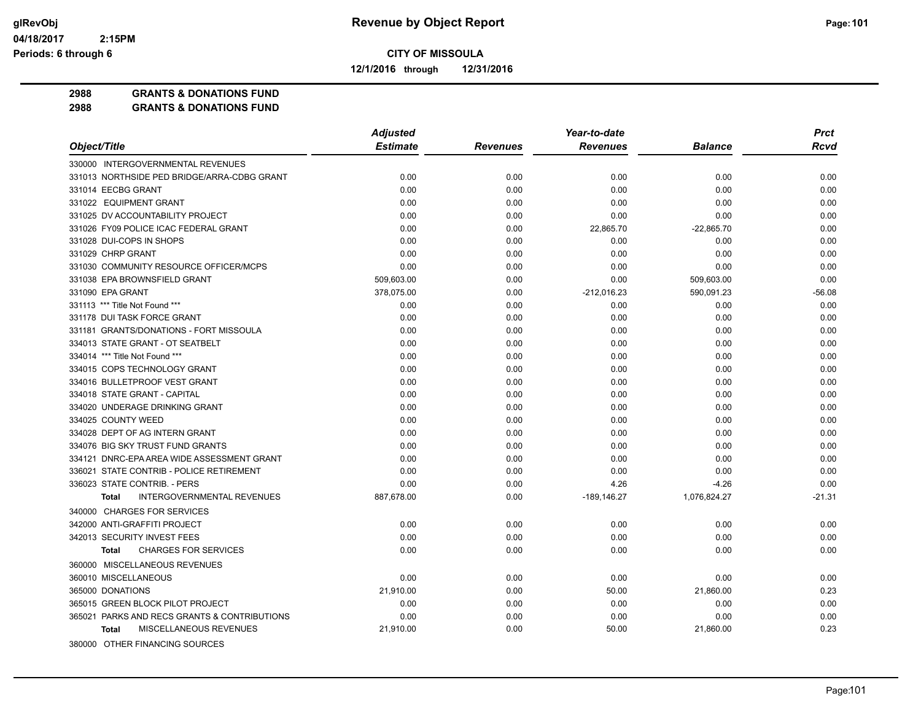**12/1/2016 through 12/31/2016**

**2988 GRANTS & DONATIONS FUND**

**2988 GRANTS & DONATIONS FUND**

| Object/Title                                 | <b>Adjusted</b> |                 | Year-to-date    |                | <b>Prct</b> |  |
|----------------------------------------------|-----------------|-----------------|-----------------|----------------|-------------|--|
|                                              | <b>Estimate</b> | <b>Revenues</b> | <b>Revenues</b> | <b>Balance</b> | <b>Rcvd</b> |  |
| 330000 INTERGOVERNMENTAL REVENUES            |                 |                 |                 |                |             |  |
| 331013 NORTHSIDE PED BRIDGE/ARRA-CDBG GRANT  | 0.00            | 0.00            | 0.00            | 0.00           | 0.00        |  |
| 331014 EECBG GRANT                           | 0.00            | 0.00            | 0.00            | 0.00           | 0.00        |  |
| 331022 EQUIPMENT GRANT                       | 0.00            | 0.00            | 0.00            | 0.00           | 0.00        |  |
| 331025 DV ACCOUNTABILITY PROJECT             | 0.00            | 0.00            | 0.00            | 0.00           | 0.00        |  |
| 331026 FY09 POLICE ICAC FEDERAL GRANT        | 0.00            | 0.00            | 22,865.70       | $-22,865.70$   | 0.00        |  |
| 331028 DUI-COPS IN SHOPS                     | 0.00            | 0.00            | 0.00            | 0.00           | 0.00        |  |
| 331029 CHRP GRANT                            | 0.00            | 0.00            | 0.00            | 0.00           | 0.00        |  |
| 331030 COMMUNITY RESOURCE OFFICER/MCPS       | 0.00            | 0.00            | 0.00            | 0.00           | 0.00        |  |
| 331038 EPA BROWNSFIELD GRANT                 | 509,603.00      | 0.00            | 0.00            | 509,603.00     | 0.00        |  |
| 331090 EPA GRANT                             | 378,075.00      | 0.00            | $-212,016.23$   | 590,091.23     | $-56.08$    |  |
| 331113 *** Title Not Found ***               | 0.00            | 0.00            | 0.00            | 0.00           | 0.00        |  |
| 331178 DUI TASK FORCE GRANT                  | 0.00            | 0.00            | 0.00            | 0.00           | 0.00        |  |
| 331181 GRANTS/DONATIONS - FORT MISSOULA      | 0.00            | 0.00            | 0.00            | 0.00           | 0.00        |  |
| 334013 STATE GRANT - OT SEATBELT             | 0.00            | 0.00            | 0.00            | 0.00           | 0.00        |  |
| 334014 *** Title Not Found ***               | 0.00            | 0.00            | 0.00            | 0.00           | 0.00        |  |
| 334015 COPS TECHNOLOGY GRANT                 | 0.00            | 0.00            | 0.00            | 0.00           | 0.00        |  |
| 334016 BULLETPROOF VEST GRANT                | 0.00            | 0.00            | 0.00            | 0.00           | 0.00        |  |
| 334018 STATE GRANT - CAPITAL                 | 0.00            | 0.00            | 0.00            | 0.00           | 0.00        |  |
| 334020 UNDERAGE DRINKING GRANT               | 0.00            | 0.00            | 0.00            | 0.00           | 0.00        |  |
| 334025 COUNTY WEED                           | 0.00            | 0.00            | 0.00            | 0.00           | 0.00        |  |
| 334028 DEPT OF AG INTERN GRANT               | 0.00            | 0.00            | 0.00            | 0.00           | 0.00        |  |
| 334076 BIG SKY TRUST FUND GRANTS             | 0.00            | 0.00            | 0.00            | 0.00           | 0.00        |  |
| 334121 DNRC-EPA AREA WIDE ASSESSMENT GRANT   | 0.00            | 0.00            | 0.00            | 0.00           | 0.00        |  |
| 336021 STATE CONTRIB - POLICE RETIREMENT     | 0.00            | 0.00            | 0.00            | 0.00           | 0.00        |  |
| 336023 STATE CONTRIB. - PERS                 | 0.00            | 0.00            | 4.26            | $-4.26$        | 0.00        |  |
| INTERGOVERNMENTAL REVENUES<br>Total          | 887,678.00      | 0.00            | $-189, 146.27$  | 1,076,824.27   | $-21.31$    |  |
| 340000 CHARGES FOR SERVICES                  |                 |                 |                 |                |             |  |
| 342000 ANTI-GRAFFITI PROJECT                 | 0.00            | 0.00            | 0.00            | 0.00           | 0.00        |  |
| 342013 SECURITY INVEST FEES                  | 0.00            | 0.00            | 0.00            | 0.00           | 0.00        |  |
| <b>CHARGES FOR SERVICES</b><br>Total         | 0.00            | 0.00            | 0.00            | 0.00           | 0.00        |  |
| 360000 MISCELLANEOUS REVENUES                |                 |                 |                 |                |             |  |
| 360010 MISCELLANEOUS                         | 0.00            | 0.00            | 0.00            | 0.00           | 0.00        |  |
| 365000 DONATIONS                             | 21,910.00       | 0.00            | 50.00           | 21,860.00      | 0.23        |  |
| 365015 GREEN BLOCK PILOT PROJECT             | 0.00            | 0.00            | 0.00            | 0.00           | 0.00        |  |
|                                              |                 |                 |                 |                |             |  |
| 365021 PARKS AND RECS GRANTS & CONTRIBUTIONS | 0.00            | 0.00            | 0.00            | 0.00           | 0.00        |  |
| MISCELLANEOUS REVENUES<br><b>Total</b>       | 21,910.00       | 0.00            | 50.00           | 21,860.00      | 0.23        |  |
| 380000 OTHER FINANCING SOURCES               |                 |                 |                 |                |             |  |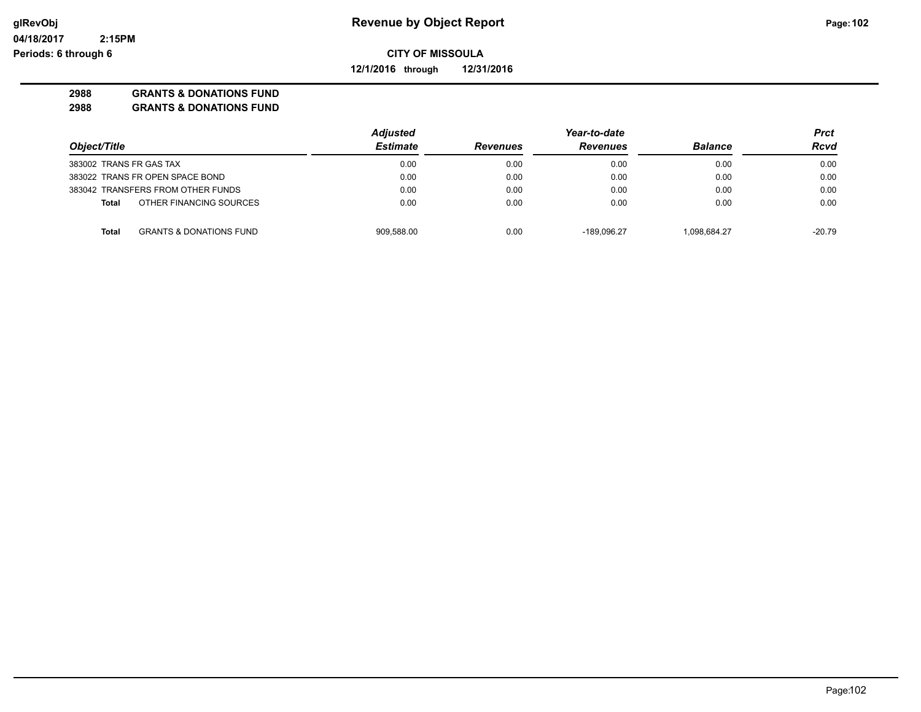**12/1/2016 through 12/31/2016**

**2988 GRANTS & DONATIONS FUND 2988 GRANTS & DONATIONS FUND**

|                                             | <b>Adjusted</b> |                 | Year-to-date    |                | Prct     |
|---------------------------------------------|-----------------|-----------------|-----------------|----------------|----------|
| Object/Title                                | <b>Estimate</b> | <b>Revenues</b> | <b>Revenues</b> | <b>Balance</b> | Rcvd     |
| 383002 TRANS FR GAS TAX                     | 0.00            | 0.00            | 0.00            | 0.00           | 0.00     |
| 383022 TRANS FR OPEN SPACE BOND             | 0.00            | 0.00            | 0.00            | 0.00           | 0.00     |
| 383042 TRANSFERS FROM OTHER FUNDS           | 0.00            | 0.00            | 0.00            | 0.00           | 0.00     |
| OTHER FINANCING SOURCES<br><b>Total</b>     | 0.00            | 0.00            | 0.00            | 0.00           | 0.00     |
| <b>GRANTS &amp; DONATIONS FUND</b><br>Total | 909.588.00      | 0.00            | -189.096.27     | 1.098.684.27   | $-20.79$ |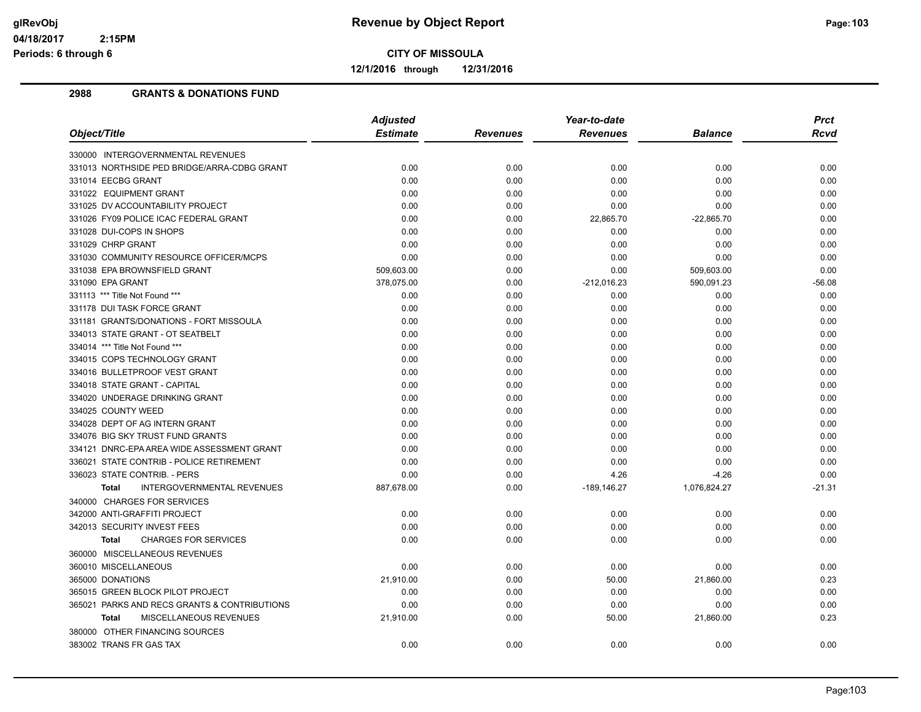**12/1/2016 through 12/31/2016**

#### **2988 GRANTS & DONATIONS FUND**

|                                                   | <b>Adjusted</b> |                 | Year-to-date    |                |          |
|---------------------------------------------------|-----------------|-----------------|-----------------|----------------|----------|
| Object/Title                                      | <b>Estimate</b> | <b>Revenues</b> | <b>Revenues</b> | <b>Balance</b> | Rcvd     |
| 330000 INTERGOVERNMENTAL REVENUES                 |                 |                 |                 |                |          |
| 331013 NORTHSIDE PED BRIDGE/ARRA-CDBG GRANT       | 0.00            | 0.00            | 0.00            | 0.00           | 0.00     |
| 331014 EECBG GRANT                                | 0.00            | 0.00            | 0.00            | 0.00           | 0.00     |
| 331022 EQUIPMENT GRANT                            | 0.00            | 0.00            | 0.00            | 0.00           | 0.00     |
| 331025 DV ACCOUNTABILITY PROJECT                  | 0.00            | 0.00            | 0.00            | 0.00           | 0.00     |
| 331026 FY09 POLICE ICAC FEDERAL GRANT             | 0.00            | 0.00            | 22,865.70       | $-22,865.70$   | 0.00     |
| 331028 DUI-COPS IN SHOPS                          | 0.00            | 0.00            | 0.00            | 0.00           | 0.00     |
| 331029 CHRP GRANT                                 | 0.00            | 0.00            | 0.00            | 0.00           | 0.00     |
| 331030 COMMUNITY RESOURCE OFFICER/MCPS            | 0.00            | 0.00            | 0.00            | 0.00           | 0.00     |
| 331038 EPA BROWNSFIELD GRANT                      | 509,603.00      | 0.00            | 0.00            | 509,603.00     | 0.00     |
| 331090 EPA GRANT                                  | 378,075.00      | 0.00            | $-212,016.23$   | 590,091.23     | $-56.08$ |
| 331113 *** Title Not Found ***                    | 0.00            | 0.00            | 0.00            | 0.00           | 0.00     |
| 331178 DUI TASK FORCE GRANT                       | 0.00            | 0.00            | 0.00            | 0.00           | 0.00     |
| 331181 GRANTS/DONATIONS - FORT MISSOULA           | 0.00            | 0.00            | 0.00            | 0.00           | 0.00     |
| 334013 STATE GRANT - OT SEATBELT                  | 0.00            | 0.00            | 0.00            | 0.00           | 0.00     |
| 334014 *** Title Not Found ***                    | 0.00            | 0.00            | 0.00            | 0.00           | 0.00     |
| 334015 COPS TECHNOLOGY GRANT                      | 0.00            | 0.00            | 0.00            | 0.00           | 0.00     |
| 334016 BULLETPROOF VEST GRANT                     | 0.00            | 0.00            | 0.00            | 0.00           | 0.00     |
| 334018 STATE GRANT - CAPITAL                      | 0.00            | 0.00            | 0.00            | 0.00           | 0.00     |
| 334020 UNDERAGE DRINKING GRANT                    | 0.00            | 0.00            | 0.00            | 0.00           | 0.00     |
| 334025 COUNTY WEED                                | 0.00            | 0.00            | 0.00            | 0.00           | 0.00     |
| 334028 DEPT OF AG INTERN GRANT                    | 0.00            | 0.00            | 0.00            | 0.00           | 0.00     |
| 334076 BIG SKY TRUST FUND GRANTS                  | 0.00            | 0.00            | 0.00            | 0.00           | 0.00     |
| 334121 DNRC-EPA AREA WIDE ASSESSMENT GRANT        | 0.00            | 0.00            | 0.00            | 0.00           | 0.00     |
| 336021 STATE CONTRIB - POLICE RETIREMENT          | 0.00            | 0.00            | 0.00            | 0.00           | 0.00     |
| 336023 STATE CONTRIB. - PERS                      | 0.00            | 0.00            | 4.26            | $-4.26$        | 0.00     |
| <b>INTERGOVERNMENTAL REVENUES</b><br><b>Total</b> | 887,678.00      | 0.00            | $-189, 146.27$  | 1,076,824.27   | $-21.31$ |
| 340000 CHARGES FOR SERVICES                       |                 |                 |                 |                |          |
| 342000 ANTI-GRAFFITI PROJECT                      | 0.00            | 0.00            | 0.00            | 0.00           | 0.00     |
| 342013 SECURITY INVEST FEES                       | 0.00            | 0.00            | 0.00            | 0.00           | 0.00     |
| <b>CHARGES FOR SERVICES</b><br><b>Total</b>       | 0.00            | 0.00            | 0.00            | 0.00           | 0.00     |
| 360000 MISCELLANEOUS REVENUES                     |                 |                 |                 |                |          |
| 360010 MISCELLANEOUS                              | 0.00            | 0.00            | 0.00            | 0.00           | 0.00     |
| 365000 DONATIONS                                  | 21,910.00       | 0.00            | 50.00           | 21,860.00      | 0.23     |
| 365015 GREEN BLOCK PILOT PROJECT                  | 0.00            | 0.00            | 0.00            | 0.00           | 0.00     |
| 365021 PARKS AND RECS GRANTS & CONTRIBUTIONS      | 0.00            | 0.00            | 0.00            | 0.00           | 0.00     |
| MISCELLANEOUS REVENUES<br><b>Total</b>            | 21,910.00       | 0.00            | 50.00           | 21,860.00      | 0.23     |
|                                                   |                 |                 |                 |                |          |
| 380000 OTHER FINANCING SOURCES                    |                 |                 |                 |                |          |
| 383002 TRANS FR GAS TAX                           | 0.00            | 0.00            | 0.00            | 0.00           | 0.00     |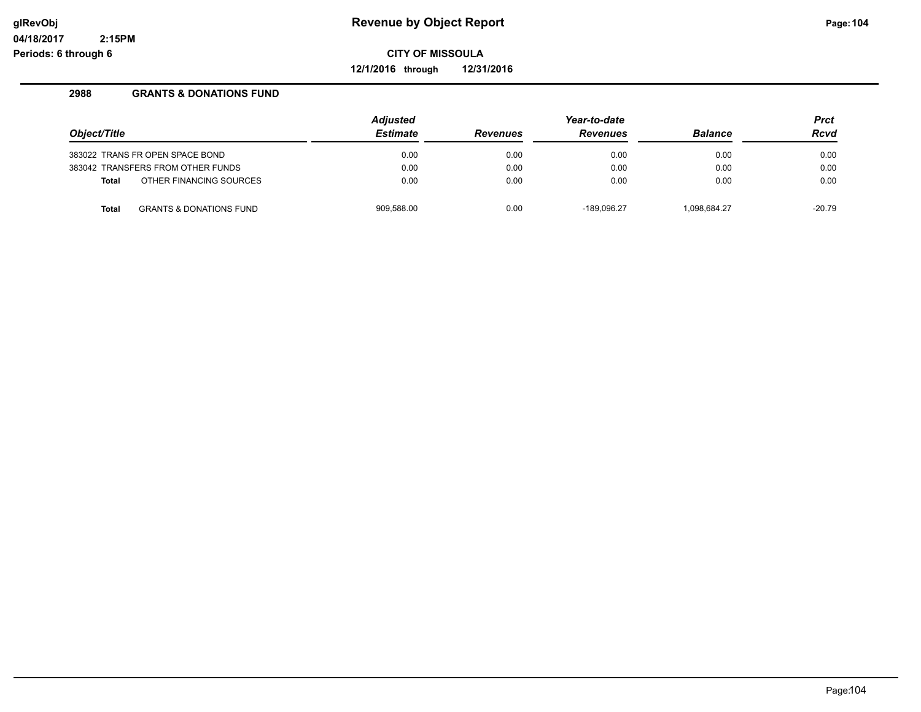**12/1/2016 through 12/31/2016**

#### **2988 GRANTS & DONATIONS FUND**

|              |                                    | <b>Adjusted</b> |                 |                | <b>Prct</b>  |          |
|--------------|------------------------------------|-----------------|-----------------|----------------|--------------|----------|
| Object/Title | <b>Estimate</b>                    | <b>Revenues</b> | <b>Revenues</b> | <b>Balance</b> | Rcvd         |          |
|              | 383022 TRANS FR OPEN SPACE BOND    | 0.00            | 0.00            | 0.00           | 0.00         | 0.00     |
|              | 383042 TRANSFERS FROM OTHER FUNDS  | 0.00            | 0.00            | 0.00           | 0.00         | 0.00     |
| <b>Total</b> | OTHER FINANCING SOURCES            | 0.00            | 0.00            | 0.00           | 0.00         | 0.00     |
| <b>Total</b> | <b>GRANTS &amp; DONATIONS FUND</b> | 909,588.00      | 0.00            | -189.096.27    | 1.098.684.27 | $-20.79$ |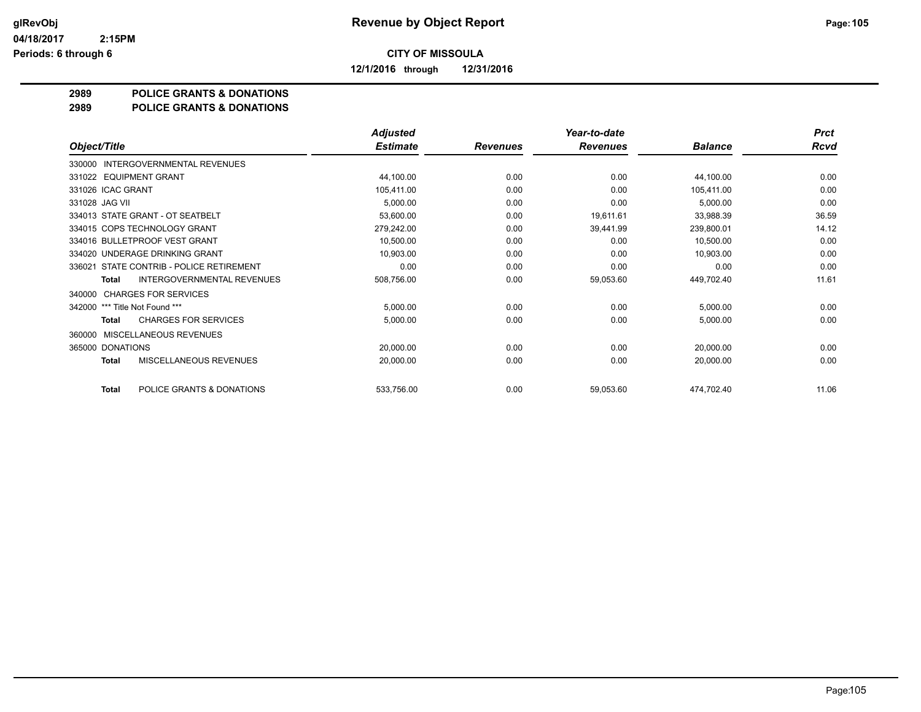**12/1/2016 through 12/31/2016**

**2989 POLICE GRANTS & DONATIONS**

**2989 POLICE GRANTS & DONATIONS**

|                                            | <b>Adjusted</b> |                 | Year-to-date    |                | <b>Prct</b> |
|--------------------------------------------|-----------------|-----------------|-----------------|----------------|-------------|
| Object/Title                               | <b>Estimate</b> | <b>Revenues</b> | <b>Revenues</b> | <b>Balance</b> | Rcvd        |
| 330000 INTERGOVERNMENTAL REVENUES          |                 |                 |                 |                |             |
| 331022 EQUIPMENT GRANT                     | 44,100.00       | 0.00            | 0.00            | 44,100.00      | 0.00        |
| 331026 ICAC GRANT                          | 105,411.00      | 0.00            | 0.00            | 105,411.00     | 0.00        |
| 331028 JAG VII                             | 5,000.00        | 0.00            | 0.00            | 5,000.00       | 0.00        |
| 334013 STATE GRANT - OT SEATBELT           | 53,600.00       | 0.00            | 19,611.61       | 33,988.39      | 36.59       |
| 334015 COPS TECHNOLOGY GRANT               | 279,242.00      | 0.00            | 39,441.99       | 239,800.01     | 14.12       |
| 334016 BULLETPROOF VEST GRANT              | 10,500.00       | 0.00            | 0.00            | 10,500.00      | 0.00        |
| 334020 UNDERAGE DRINKING GRANT             | 10,903.00       | 0.00            | 0.00            | 10,903.00      | 0.00        |
| 336021 STATE CONTRIB - POLICE RETIREMENT   | 0.00            | 0.00            | 0.00            | 0.00           | 0.00        |
| <b>INTERGOVERNMENTAL REVENUES</b><br>Total | 508,756.00      | 0.00            | 59,053.60       | 449,702.40     | 11.61       |
| 340000 CHARGES FOR SERVICES                |                 |                 |                 |                |             |
| 342000 *** Title Not Found ***             | 5,000.00        | 0.00            | 0.00            | 5,000.00       | 0.00        |
| <b>CHARGES FOR SERVICES</b><br>Total       | 5,000.00        | 0.00            | 0.00            | 5,000.00       | 0.00        |
| 360000 MISCELLANEOUS REVENUES              |                 |                 |                 |                |             |
| 365000 DONATIONS                           | 20,000.00       | 0.00            | 0.00            | 20,000.00      | 0.00        |
| MISCELLANEOUS REVENUES<br><b>Total</b>     | 20,000.00       | 0.00            | 0.00            | 20,000.00      | 0.00        |
| POLICE GRANTS & DONATIONS<br><b>Total</b>  | 533,756.00      | 0.00            | 59,053.60       | 474,702.40     | 11.06       |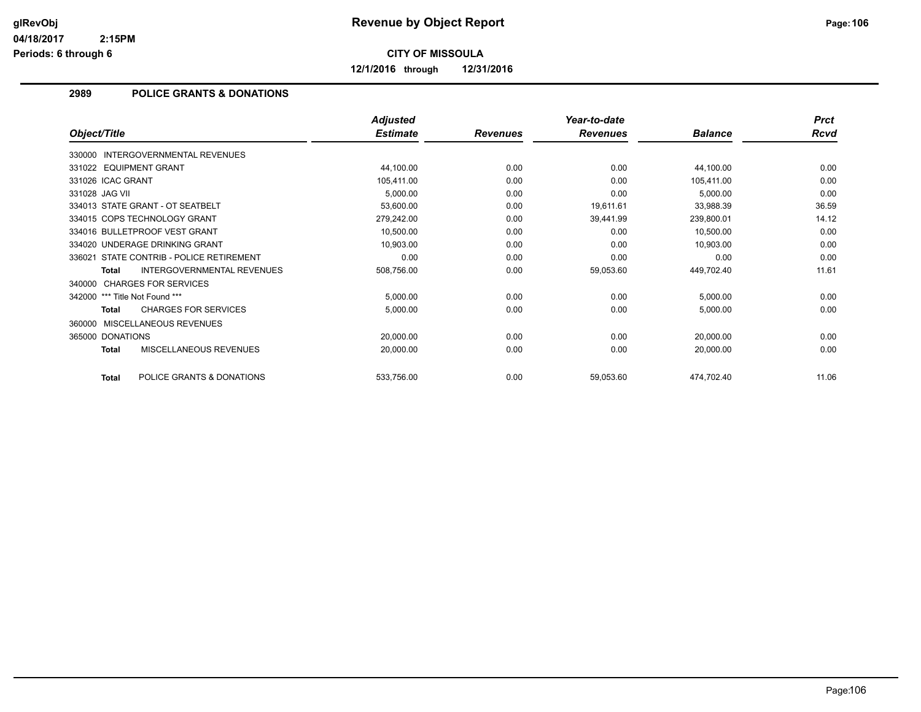**12/1/2016 through 12/31/2016**

#### **2989 POLICE GRANTS & DONATIONS**

|                                            | <b>Adjusted</b> |                 | Year-to-date    |                | <b>Prct</b> |
|--------------------------------------------|-----------------|-----------------|-----------------|----------------|-------------|
| Object/Title                               | <b>Estimate</b> | <b>Revenues</b> | <b>Revenues</b> | <b>Balance</b> | <b>Rcvd</b> |
| 330000 INTERGOVERNMENTAL REVENUES          |                 |                 |                 |                |             |
| 331022 EQUIPMENT GRANT                     | 44,100.00       | 0.00            | 0.00            | 44,100.00      | 0.00        |
| 331026 ICAC GRANT                          | 105,411.00      | 0.00            | 0.00            | 105,411.00     | 0.00        |
| 331028 JAG VII                             | 5,000.00        | 0.00            | 0.00            | 5,000.00       | 0.00        |
| 334013 STATE GRANT - OT SEATBELT           | 53,600.00       | 0.00            | 19,611.61       | 33,988.39      | 36.59       |
| 334015 COPS TECHNOLOGY GRANT               | 279,242.00      | 0.00            | 39,441.99       | 239,800.01     | 14.12       |
| 334016 BULLETPROOF VEST GRANT              | 10,500.00       | 0.00            | 0.00            | 10,500.00      | 0.00        |
| 334020 UNDERAGE DRINKING GRANT             | 10,903.00       | 0.00            | 0.00            | 10,903.00      | 0.00        |
| 336021 STATE CONTRIB - POLICE RETIREMENT   | 0.00            | 0.00            | 0.00            | 0.00           | 0.00        |
| <b>INTERGOVERNMENTAL REVENUES</b><br>Total | 508,756.00      | 0.00            | 59,053.60       | 449,702.40     | 11.61       |
| 340000 CHARGES FOR SERVICES                |                 |                 |                 |                |             |
| 342000 *** Title Not Found ***             | 5,000.00        | 0.00            | 0.00            | 5,000.00       | 0.00        |
| <b>CHARGES FOR SERVICES</b><br>Total       | 5,000.00        | 0.00            | 0.00            | 5,000.00       | 0.00        |
| 360000 MISCELLANEOUS REVENUES              |                 |                 |                 |                |             |
| 365000 DONATIONS                           | 20,000.00       | 0.00            | 0.00            | 20,000.00      | 0.00        |
| MISCELLANEOUS REVENUES<br>Total            | 20,000.00       | 0.00            | 0.00            | 20,000.00      | 0.00        |
| POLICE GRANTS & DONATIONS<br><b>Total</b>  | 533,756.00      | 0.00            | 59,053.60       | 474,702.40     | 11.06       |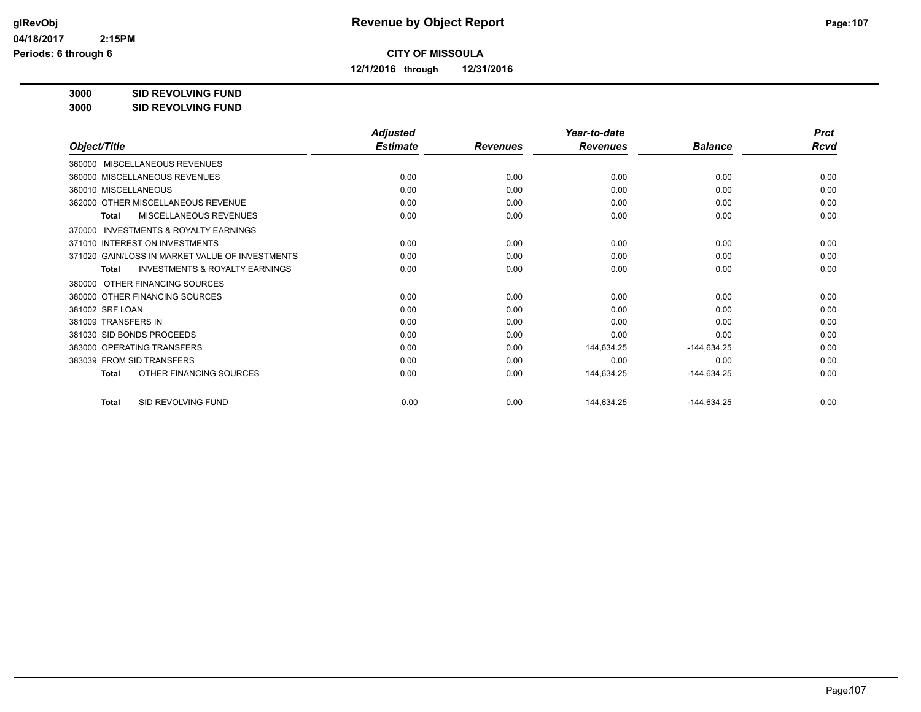**12/1/2016 through 12/31/2016**

**3000 SID REVOLVING FUND 3000 SID REVOLVING FUND**

|                                                    | <b>Adjusted</b> |                 | Year-to-date    |                | <b>Prct</b> |
|----------------------------------------------------|-----------------|-----------------|-----------------|----------------|-------------|
| Object/Title                                       | <b>Estimate</b> | <b>Revenues</b> | <b>Revenues</b> | <b>Balance</b> | Rcvd        |
| MISCELLANEOUS REVENUES<br>360000                   |                 |                 |                 |                |             |
| 360000 MISCELLANEOUS REVENUES                      | 0.00            | 0.00            | 0.00            | 0.00           | 0.00        |
| 360010 MISCELLANEOUS                               | 0.00            | 0.00            | 0.00            | 0.00           | 0.00        |
| 362000 OTHER MISCELLANEOUS REVENUE                 | 0.00            | 0.00            | 0.00            | 0.00           | 0.00        |
| MISCELLANEOUS REVENUES<br>Total                    | 0.00            | 0.00            | 0.00            | 0.00           | 0.00        |
| INVESTMENTS & ROYALTY EARNINGS<br>370000           |                 |                 |                 |                |             |
| 371010 INTEREST ON INVESTMENTS                     | 0.00            | 0.00            | 0.00            | 0.00           | 0.00        |
| 371020 GAIN/LOSS IN MARKET VALUE OF INVESTMENTS    | 0.00            | 0.00            | 0.00            | 0.00           | 0.00        |
| <b>INVESTMENTS &amp; ROYALTY EARNINGS</b><br>Total | 0.00            | 0.00            | 0.00            | 0.00           | 0.00        |
| OTHER FINANCING SOURCES<br>380000                  |                 |                 |                 |                |             |
| 380000 OTHER FINANCING SOURCES                     | 0.00            | 0.00            | 0.00            | 0.00           | 0.00        |
| 381002 SRF LOAN                                    | 0.00            | 0.00            | 0.00            | 0.00           | 0.00        |
| 381009 TRANSFERS IN                                | 0.00            | 0.00            | 0.00            | 0.00           | 0.00        |
| 381030 SID BONDS PROCEEDS                          | 0.00            | 0.00            | 0.00            | 0.00           | 0.00        |
| 383000 OPERATING TRANSFERS                         | 0.00            | 0.00            | 144,634.25      | $-144,634.25$  | 0.00        |
| 383039 FROM SID TRANSFERS                          | 0.00            | 0.00            | 0.00            | 0.00           | 0.00        |
| OTHER FINANCING SOURCES<br><b>Total</b>            | 0.00            | 0.00            | 144,634.25      | $-144,634.25$  | 0.00        |
| SID REVOLVING FUND<br><b>Total</b>                 | 0.00            | 0.00            | 144,634.25      | $-144.634.25$  | 0.00        |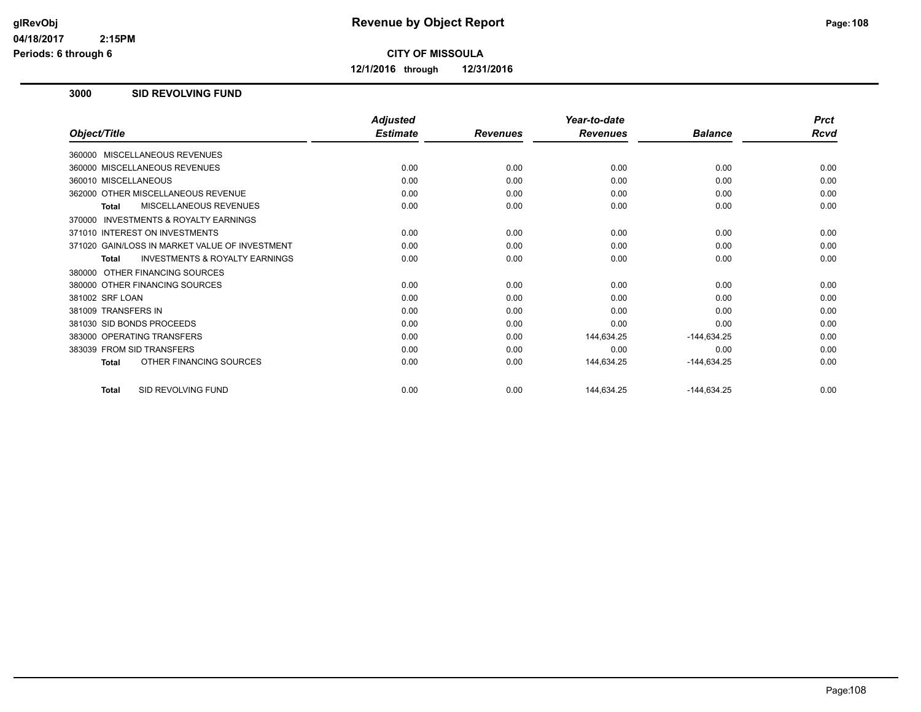**12/1/2016 through 12/31/2016**

#### **3000 SID REVOLVING FUND**

|                                                           | <b>Adjusted</b> |                 | Year-to-date    |                | <b>Prct</b> |
|-----------------------------------------------------------|-----------------|-----------------|-----------------|----------------|-------------|
| Object/Title                                              | <b>Estimate</b> | <b>Revenues</b> | <b>Revenues</b> | <b>Balance</b> | <b>Rcvd</b> |
| 360000 MISCELLANEOUS REVENUES                             |                 |                 |                 |                |             |
| 360000 MISCELLANEOUS REVENUES                             | 0.00            | 0.00            | 0.00            | 0.00           | 0.00        |
| 360010 MISCELLANEOUS                                      | 0.00            | 0.00            | 0.00            | 0.00           | 0.00        |
| 362000 OTHER MISCELLANEOUS REVENUE                        | 0.00            | 0.00            | 0.00            | 0.00           | 0.00        |
| MISCELLANEOUS REVENUES<br>Total                           | 0.00            | 0.00            | 0.00            | 0.00           | 0.00        |
| <b>INVESTMENTS &amp; ROYALTY EARNINGS</b><br>370000       |                 |                 |                 |                |             |
| 371010 INTEREST ON INVESTMENTS                            | 0.00            | 0.00            | 0.00            | 0.00           | 0.00        |
| 371020 GAIN/LOSS IN MARKET VALUE OF INVESTMENT            | 0.00            | 0.00            | 0.00            | 0.00           | 0.00        |
| <b>INVESTMENTS &amp; ROYALTY EARNINGS</b><br><b>Total</b> | 0.00            | 0.00            | 0.00            | 0.00           | 0.00        |
| 380000 OTHER FINANCING SOURCES                            |                 |                 |                 |                |             |
| 380000 OTHER FINANCING SOURCES                            | 0.00            | 0.00            | 0.00            | 0.00           | 0.00        |
| 381002 SRF LOAN                                           | 0.00            | 0.00            | 0.00            | 0.00           | 0.00        |
| 381009 TRANSFERS IN                                       | 0.00            | 0.00            | 0.00            | 0.00           | 0.00        |
| 381030 SID BONDS PROCEEDS                                 | 0.00            | 0.00            | 0.00            | 0.00           | 0.00        |
| 383000 OPERATING TRANSFERS                                | 0.00            | 0.00            | 144,634.25      | $-144,634.25$  | 0.00        |
| 383039 FROM SID TRANSFERS                                 | 0.00            | 0.00            | 0.00            | 0.00           | 0.00        |
| OTHER FINANCING SOURCES<br><b>Total</b>                   | 0.00            | 0.00            | 144,634.25      | $-144,634.25$  | 0.00        |
| SID REVOLVING FUND<br><b>Total</b>                        | 0.00            | 0.00            | 144,634.25      | $-144,634.25$  | 0.00        |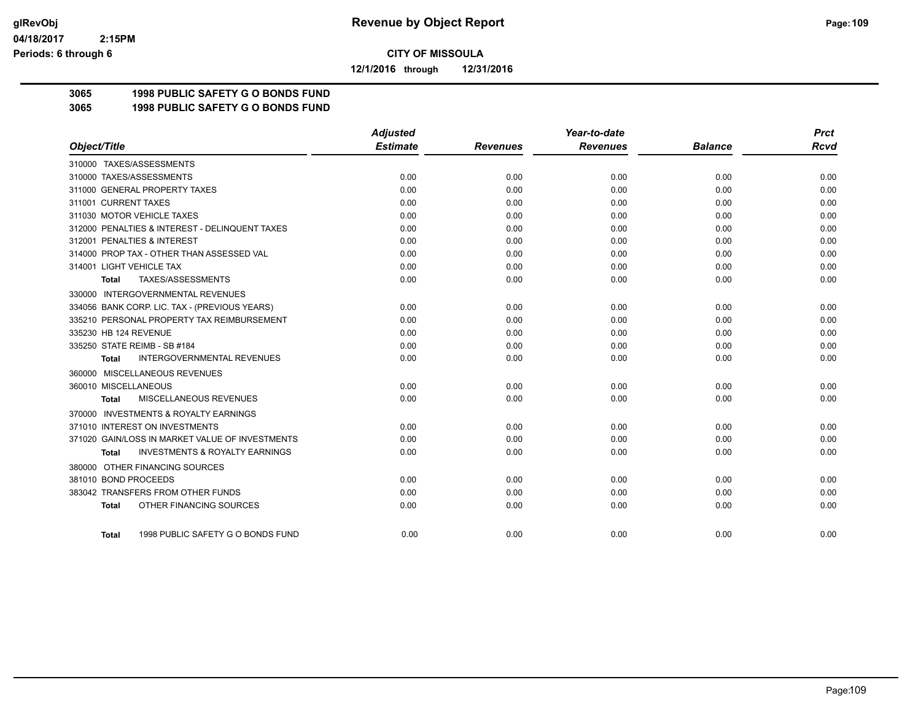**12/1/2016 through 12/31/2016**

# **3065 1998 PUBLIC SAFETY G O BONDS FUND**

**3065 1998 PUBLIC SAFETY G O BONDS FUND**

|                                                    | <b>Adjusted</b> |                 | Year-to-date    |                | <b>Prct</b> |
|----------------------------------------------------|-----------------|-----------------|-----------------|----------------|-------------|
| Object/Title                                       | <b>Estimate</b> | <b>Revenues</b> | <b>Revenues</b> | <b>Balance</b> | <b>Rcvd</b> |
| 310000 TAXES/ASSESSMENTS                           |                 |                 |                 |                |             |
| 310000 TAXES/ASSESSMENTS                           | 0.00            | 0.00            | 0.00            | 0.00           | 0.00        |
| 311000 GENERAL PROPERTY TAXES                      | 0.00            | 0.00            | 0.00            | 0.00           | 0.00        |
| 311001 CURRENT TAXES                               | 0.00            | 0.00            | 0.00            | 0.00           | 0.00        |
| 311030 MOTOR VEHICLE TAXES                         | 0.00            | 0.00            | 0.00            | 0.00           | 0.00        |
| 312000 PENALTIES & INTEREST - DELINQUENT TAXES     | 0.00            | 0.00            | 0.00            | 0.00           | 0.00        |
| 312001 PENALTIES & INTEREST                        | 0.00            | 0.00            | 0.00            | 0.00           | 0.00        |
| 314000 PROP TAX - OTHER THAN ASSESSED VAL          | 0.00            | 0.00            | 0.00            | 0.00           | 0.00        |
| 314001 LIGHT VEHICLE TAX                           | 0.00            | 0.00            | 0.00            | 0.00           | 0.00        |
| TAXES/ASSESSMENTS<br><b>Total</b>                  | 0.00            | 0.00            | 0.00            | 0.00           | 0.00        |
| 330000 INTERGOVERNMENTAL REVENUES                  |                 |                 |                 |                |             |
| 334056 BANK CORP. LIC. TAX - (PREVIOUS YEARS)      | 0.00            | 0.00            | 0.00            | 0.00           | 0.00        |
| 335210 PERSONAL PROPERTY TAX REIMBURSEMENT         | 0.00            | 0.00            | 0.00            | 0.00           | 0.00        |
| 335230 HB 124 REVENUE                              | 0.00            | 0.00            | 0.00            | 0.00           | 0.00        |
| 335250 STATE REIMB - SB #184                       | 0.00            | 0.00            | 0.00            | 0.00           | 0.00        |
| <b>INTERGOVERNMENTAL REVENUES</b><br><b>Total</b>  | 0.00            | 0.00            | 0.00            | 0.00           | 0.00        |
| 360000 MISCELLANEOUS REVENUES                      |                 |                 |                 |                |             |
| 360010 MISCELLANEOUS                               | 0.00            | 0.00            | 0.00            | 0.00           | 0.00        |
| MISCELLANEOUS REVENUES<br>Total                    | 0.00            | 0.00            | 0.00            | 0.00           | 0.00        |
| 370000 INVESTMENTS & ROYALTY EARNINGS              |                 |                 |                 |                |             |
| 371010 INTEREST ON INVESTMENTS                     | 0.00            | 0.00            | 0.00            | 0.00           | 0.00        |
| 371020 GAIN/LOSS IN MARKET VALUE OF INVESTMENTS    | 0.00            | 0.00            | 0.00            | 0.00           | 0.00        |
| <b>INVESTMENTS &amp; ROYALTY EARNINGS</b><br>Total | 0.00            | 0.00            | 0.00            | 0.00           | 0.00        |
| 380000 OTHER FINANCING SOURCES                     |                 |                 |                 |                |             |
| 381010 BOND PROCEEDS                               | 0.00            | 0.00            | 0.00            | 0.00           | 0.00        |
| 383042 TRANSFERS FROM OTHER FUNDS                  | 0.00            | 0.00            | 0.00            | 0.00           | 0.00        |
| OTHER FINANCING SOURCES<br><b>Total</b>            | 0.00            | 0.00            | 0.00            | 0.00           | 0.00        |
| 1998 PUBLIC SAFETY G O BONDS FUND<br><b>Total</b>  | 0.00            | 0.00            | 0.00            | 0.00           | 0.00        |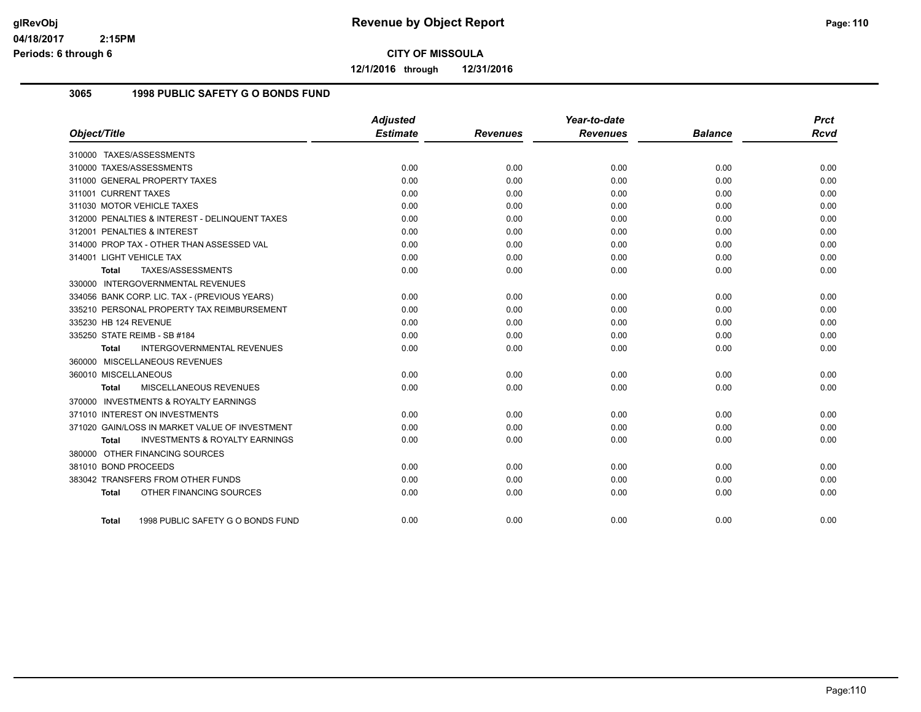**12/1/2016 through 12/31/2016**

#### **3065 1998 PUBLIC SAFETY G O BONDS FUND**

|                                                    | <b>Adjusted</b> |                 | Year-to-date    |                | <b>Prct</b> |
|----------------------------------------------------|-----------------|-----------------|-----------------|----------------|-------------|
| Object/Title                                       | <b>Estimate</b> | <b>Revenues</b> | <b>Revenues</b> | <b>Balance</b> | <b>Rcvd</b> |
| 310000 TAXES/ASSESSMENTS                           |                 |                 |                 |                |             |
| 310000 TAXES/ASSESSMENTS                           | 0.00            | 0.00            | 0.00            | 0.00           | 0.00        |
| 311000 GENERAL PROPERTY TAXES                      | 0.00            | 0.00            | 0.00            | 0.00           | 0.00        |
| 311001 CURRENT TAXES                               | 0.00            | 0.00            | 0.00            | 0.00           | 0.00        |
| 311030 MOTOR VEHICLE TAXES                         | 0.00            | 0.00            | 0.00            | 0.00           | 0.00        |
| 312000 PENALTIES & INTEREST - DELINQUENT TAXES     | 0.00            | 0.00            | 0.00            | 0.00           | 0.00        |
| 312001 PENALTIES & INTEREST                        | 0.00            | 0.00            | 0.00            | 0.00           | 0.00        |
| 314000 PROP TAX - OTHER THAN ASSESSED VAL          | 0.00            | 0.00            | 0.00            | 0.00           | 0.00        |
| 314001 LIGHT VEHICLE TAX                           | 0.00            | 0.00            | 0.00            | 0.00           | 0.00        |
| TAXES/ASSESSMENTS<br>Total                         | 0.00            | 0.00            | 0.00            | 0.00           | 0.00        |
| 330000 INTERGOVERNMENTAL REVENUES                  |                 |                 |                 |                |             |
| 334056 BANK CORP. LIC. TAX - (PREVIOUS YEARS)      | 0.00            | 0.00            | 0.00            | 0.00           | 0.00        |
| 335210 PERSONAL PROPERTY TAX REIMBURSEMENT         | 0.00            | 0.00            | 0.00            | 0.00           | 0.00        |
| 335230 HB 124 REVENUE                              | 0.00            | 0.00            | 0.00            | 0.00           | 0.00        |
| 335250 STATE REIMB - SB #184                       | 0.00            | 0.00            | 0.00            | 0.00           | 0.00        |
| <b>INTERGOVERNMENTAL REVENUES</b><br><b>Total</b>  | 0.00            | 0.00            | 0.00            | 0.00           | 0.00        |
| 360000 MISCELLANEOUS REVENUES                      |                 |                 |                 |                |             |
| 360010 MISCELLANEOUS                               | 0.00            | 0.00            | 0.00            | 0.00           | 0.00        |
| MISCELLANEOUS REVENUES<br>Total                    | 0.00            | 0.00            | 0.00            | 0.00           | 0.00        |
| 370000 INVESTMENTS & ROYALTY EARNINGS              |                 |                 |                 |                |             |
| 371010 INTEREST ON INVESTMENTS                     | 0.00            | 0.00            | 0.00            | 0.00           | 0.00        |
| 371020 GAIN/LOSS IN MARKET VALUE OF INVESTMENT     | 0.00            | 0.00            | 0.00            | 0.00           | 0.00        |
| <b>INVESTMENTS &amp; ROYALTY EARNINGS</b><br>Total | 0.00            | 0.00            | 0.00            | 0.00           | 0.00        |
| 380000 OTHER FINANCING SOURCES                     |                 |                 |                 |                |             |
| 381010 BOND PROCEEDS                               | 0.00            | 0.00            | 0.00            | 0.00           | 0.00        |
| 383042 TRANSFERS FROM OTHER FUNDS                  | 0.00            | 0.00            | 0.00            | 0.00           | 0.00        |
| OTHER FINANCING SOURCES<br><b>Total</b>            | 0.00            | 0.00            | 0.00            | 0.00           | 0.00        |
|                                                    |                 |                 |                 |                |             |
| 1998 PUBLIC SAFETY G O BONDS FUND<br><b>Total</b>  | 0.00            | 0.00            | 0.00            | 0.00           | 0.00        |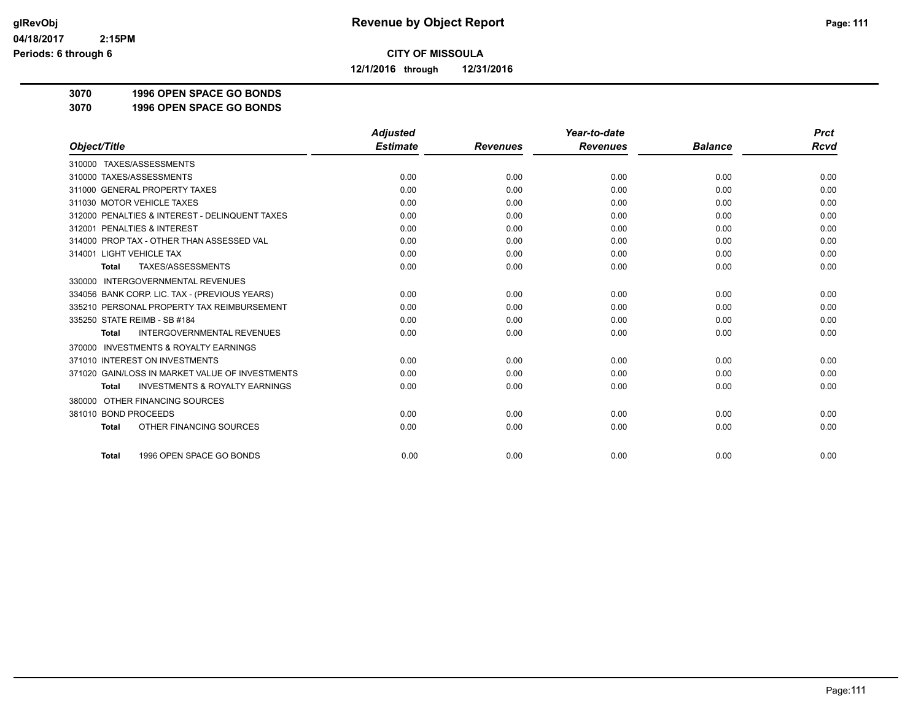**12/1/2016 through 12/31/2016**

**3070 1996 OPEN SPACE GO BONDS**

**3070 1996 OPEN SPACE GO BONDS**

|                                                           | <b>Adjusted</b> |                 | Year-to-date    |                | <b>Prct</b> |
|-----------------------------------------------------------|-----------------|-----------------|-----------------|----------------|-------------|
| Object/Title                                              | <b>Estimate</b> | <b>Revenues</b> | <b>Revenues</b> | <b>Balance</b> | <b>Rcvd</b> |
| 310000 TAXES/ASSESSMENTS                                  |                 |                 |                 |                |             |
| 310000 TAXES/ASSESSMENTS                                  | 0.00            | 0.00            | 0.00            | 0.00           | 0.00        |
| 311000 GENERAL PROPERTY TAXES                             | 0.00            | 0.00            | 0.00            | 0.00           | 0.00        |
| 311030 MOTOR VEHICLE TAXES                                | 0.00            | 0.00            | 0.00            | 0.00           | 0.00        |
| 312000 PENALTIES & INTEREST - DELINQUENT TAXES            | 0.00            | 0.00            | 0.00            | 0.00           | 0.00        |
| 312001 PENALTIES & INTEREST                               | 0.00            | 0.00            | 0.00            | 0.00           | 0.00        |
| 314000 PROP TAX - OTHER THAN ASSESSED VAL                 | 0.00            | 0.00            | 0.00            | 0.00           | 0.00        |
| 314001 LIGHT VEHICLE TAX                                  | 0.00            | 0.00            | 0.00            | 0.00           | 0.00        |
| TAXES/ASSESSMENTS<br><b>Total</b>                         | 0.00            | 0.00            | 0.00            | 0.00           | 0.00        |
| 330000 INTERGOVERNMENTAL REVENUES                         |                 |                 |                 |                |             |
| 334056 BANK CORP. LIC. TAX - (PREVIOUS YEARS)             | 0.00            | 0.00            | 0.00            | 0.00           | 0.00        |
| 335210 PERSONAL PROPERTY TAX REIMBURSEMENT                | 0.00            | 0.00            | 0.00            | 0.00           | 0.00        |
| 335250 STATE REIMB - SB #184                              | 0.00            | 0.00            | 0.00            | 0.00           | 0.00        |
| <b>INTERGOVERNMENTAL REVENUES</b><br><b>Total</b>         | 0.00            | 0.00            | 0.00            | 0.00           | 0.00        |
| 370000 INVESTMENTS & ROYALTY EARNINGS                     |                 |                 |                 |                |             |
| 371010 INTEREST ON INVESTMENTS                            | 0.00            | 0.00            | 0.00            | 0.00           | 0.00        |
| 371020 GAIN/LOSS IN MARKET VALUE OF INVESTMENTS           | 0.00            | 0.00            | 0.00            | 0.00           | 0.00        |
| <b>INVESTMENTS &amp; ROYALTY EARNINGS</b><br><b>Total</b> | 0.00            | 0.00            | 0.00            | 0.00           | 0.00        |
| 380000 OTHER FINANCING SOURCES                            |                 |                 |                 |                |             |
| 381010 BOND PROCEEDS                                      | 0.00            | 0.00            | 0.00            | 0.00           | 0.00        |
| OTHER FINANCING SOURCES<br><b>Total</b>                   | 0.00            | 0.00            | 0.00            | 0.00           | 0.00        |
| 1996 OPEN SPACE GO BONDS<br><b>Total</b>                  | 0.00            | 0.00            | 0.00            | 0.00           | 0.00        |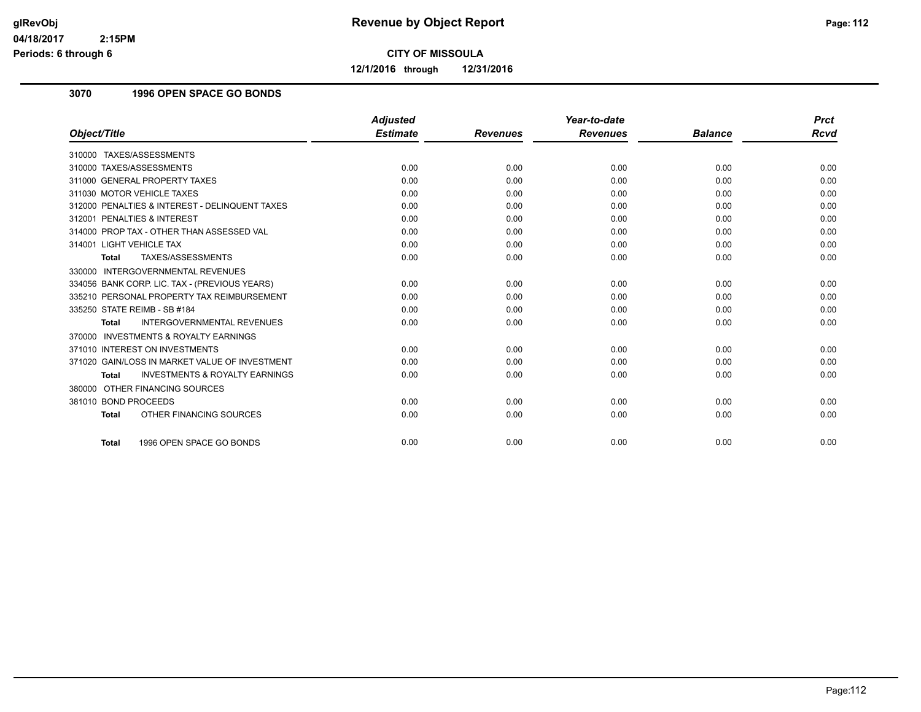**12/1/2016 through 12/31/2016**

#### **3070 1996 OPEN SPACE GO BONDS**

|                                                           | <b>Adjusted</b> |                 | Year-to-date    |                | <b>Prct</b> |
|-----------------------------------------------------------|-----------------|-----------------|-----------------|----------------|-------------|
| Object/Title                                              | <b>Estimate</b> | <b>Revenues</b> | <b>Revenues</b> | <b>Balance</b> | Rcvd        |
| 310000 TAXES/ASSESSMENTS                                  |                 |                 |                 |                |             |
| 310000 TAXES/ASSESSMENTS                                  | 0.00            | 0.00            | 0.00            | 0.00           | 0.00        |
| 311000 GENERAL PROPERTY TAXES                             | 0.00            | 0.00            | 0.00            | 0.00           | 0.00        |
| 311030 MOTOR VEHICLE TAXES                                | 0.00            | 0.00            | 0.00            | 0.00           | 0.00        |
| 312000 PENALTIES & INTEREST - DELINQUENT TAXES            | 0.00            | 0.00            | 0.00            | 0.00           | 0.00        |
| 312001 PENALTIES & INTEREST                               | 0.00            | 0.00            | 0.00            | 0.00           | 0.00        |
| 314000 PROP TAX - OTHER THAN ASSESSED VAL                 | 0.00            | 0.00            | 0.00            | 0.00           | 0.00        |
| 314001 LIGHT VEHICLE TAX                                  | 0.00            | 0.00            | 0.00            | 0.00           | 0.00        |
| TAXES/ASSESSMENTS<br><b>Total</b>                         | 0.00            | 0.00            | 0.00            | 0.00           | 0.00        |
| 330000 INTERGOVERNMENTAL REVENUES                         |                 |                 |                 |                |             |
| 334056 BANK CORP. LIC. TAX - (PREVIOUS YEARS)             | 0.00            | 0.00            | 0.00            | 0.00           | 0.00        |
| 335210 PERSONAL PROPERTY TAX REIMBURSEMENT                | 0.00            | 0.00            | 0.00            | 0.00           | 0.00        |
| 335250 STATE REIMB - SB #184                              | 0.00            | 0.00            | 0.00            | 0.00           | 0.00        |
| INTERGOVERNMENTAL REVENUES<br><b>Total</b>                | 0.00            | 0.00            | 0.00            | 0.00           | 0.00        |
| <b>INVESTMENTS &amp; ROYALTY EARNINGS</b><br>370000       |                 |                 |                 |                |             |
| 371010 INTEREST ON INVESTMENTS                            | 0.00            | 0.00            | 0.00            | 0.00           | 0.00        |
| 371020 GAIN/LOSS IN MARKET VALUE OF INVESTMENT            | 0.00            | 0.00            | 0.00            | 0.00           | 0.00        |
| <b>INVESTMENTS &amp; ROYALTY EARNINGS</b><br><b>Total</b> | 0.00            | 0.00            | 0.00            | 0.00           | 0.00        |
| 380000 OTHER FINANCING SOURCES                            |                 |                 |                 |                |             |
| 381010 BOND PROCEEDS                                      | 0.00            | 0.00            | 0.00            | 0.00           | 0.00        |
| OTHER FINANCING SOURCES<br><b>Total</b>                   | 0.00            | 0.00            | 0.00            | 0.00           | 0.00        |
| 1996 OPEN SPACE GO BONDS<br><b>Total</b>                  | 0.00            | 0.00            | 0.00            | 0.00           | 0.00        |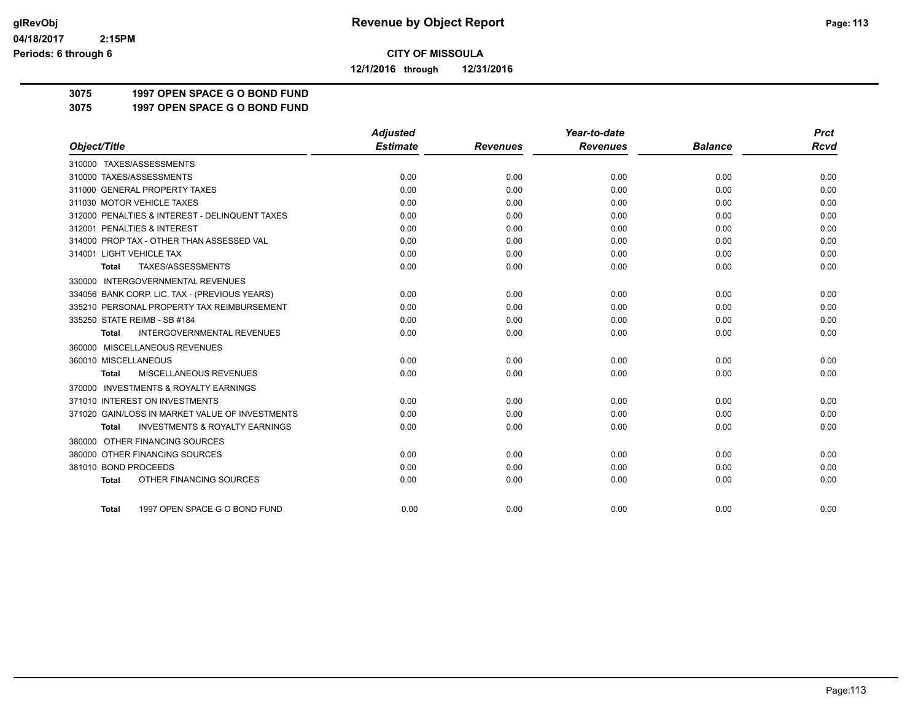**12/1/2016 through 12/31/2016**

## **3075 1997 OPEN SPACE G O BOND FUND**

**3075 1997 OPEN SPACE G O BOND FUND**

|                                                           | <b>Adjusted</b> |                 | Year-to-date    |                | <b>Prct</b> |
|-----------------------------------------------------------|-----------------|-----------------|-----------------|----------------|-------------|
| Object/Title                                              | <b>Estimate</b> | <b>Revenues</b> | <b>Revenues</b> | <b>Balance</b> | <b>Rcvd</b> |
| 310000 TAXES/ASSESSMENTS                                  |                 |                 |                 |                |             |
| 310000 TAXES/ASSESSMENTS                                  | 0.00            | 0.00            | 0.00            | 0.00           | 0.00        |
| 311000 GENERAL PROPERTY TAXES                             | 0.00            | 0.00            | 0.00            | 0.00           | 0.00        |
| 311030 MOTOR VEHICLE TAXES                                | 0.00            | 0.00            | 0.00            | 0.00           | 0.00        |
| 312000 PENALTIES & INTEREST - DELINQUENT TAXES            | 0.00            | 0.00            | 0.00            | 0.00           | 0.00        |
| 312001 PENALTIES & INTEREST                               | 0.00            | 0.00            | 0.00            | 0.00           | 0.00        |
| 314000 PROP TAX - OTHER THAN ASSESSED VAL                 | 0.00            | 0.00            | 0.00            | 0.00           | 0.00        |
| 314001 LIGHT VEHICLE TAX                                  | 0.00            | 0.00            | 0.00            | 0.00           | 0.00        |
| TAXES/ASSESSMENTS<br><b>Total</b>                         | 0.00            | 0.00            | 0.00            | 0.00           | 0.00        |
| 330000 INTERGOVERNMENTAL REVENUES                         |                 |                 |                 |                |             |
| 334056 BANK CORP. LIC. TAX - (PREVIOUS YEARS)             | 0.00            | 0.00            | 0.00            | 0.00           | 0.00        |
| 335210 PERSONAL PROPERTY TAX REIMBURSEMENT                | 0.00            | 0.00            | 0.00            | 0.00           | 0.00        |
| 335250 STATE REIMB - SB #184                              | 0.00            | 0.00            | 0.00            | 0.00           | 0.00        |
| <b>INTERGOVERNMENTAL REVENUES</b><br><b>Total</b>         | 0.00            | 0.00            | 0.00            | 0.00           | 0.00        |
| 360000 MISCELLANEOUS REVENUES                             |                 |                 |                 |                |             |
| 360010 MISCELLANEOUS                                      | 0.00            | 0.00            | 0.00            | 0.00           | 0.00        |
| <b>MISCELLANEOUS REVENUES</b><br><b>Total</b>             | 0.00            | 0.00            | 0.00            | 0.00           | 0.00        |
| 370000 INVESTMENTS & ROYALTY EARNINGS                     |                 |                 |                 |                |             |
| 371010 INTEREST ON INVESTMENTS                            | 0.00            | 0.00            | 0.00            | 0.00           | 0.00        |
| 371020 GAIN/LOSS IN MARKET VALUE OF INVESTMENTS           | 0.00            | 0.00            | 0.00            | 0.00           | 0.00        |
| <b>INVESTMENTS &amp; ROYALTY EARNINGS</b><br><b>Total</b> | 0.00            | 0.00            | 0.00            | 0.00           | 0.00        |
| 380000 OTHER FINANCING SOURCES                            |                 |                 |                 |                |             |
| 380000 OTHER FINANCING SOURCES                            | 0.00            | 0.00            | 0.00            | 0.00           | 0.00        |
| 381010 BOND PROCEEDS                                      | 0.00            | 0.00            | 0.00            | 0.00           | 0.00        |
| OTHER FINANCING SOURCES<br><b>Total</b>                   | 0.00            | 0.00            | 0.00            | 0.00           | 0.00        |
|                                                           |                 |                 |                 |                |             |
| 1997 OPEN SPACE G O BOND FUND<br><b>Total</b>             | 0.00            | 0.00            | 0.00            | 0.00           | 0.00        |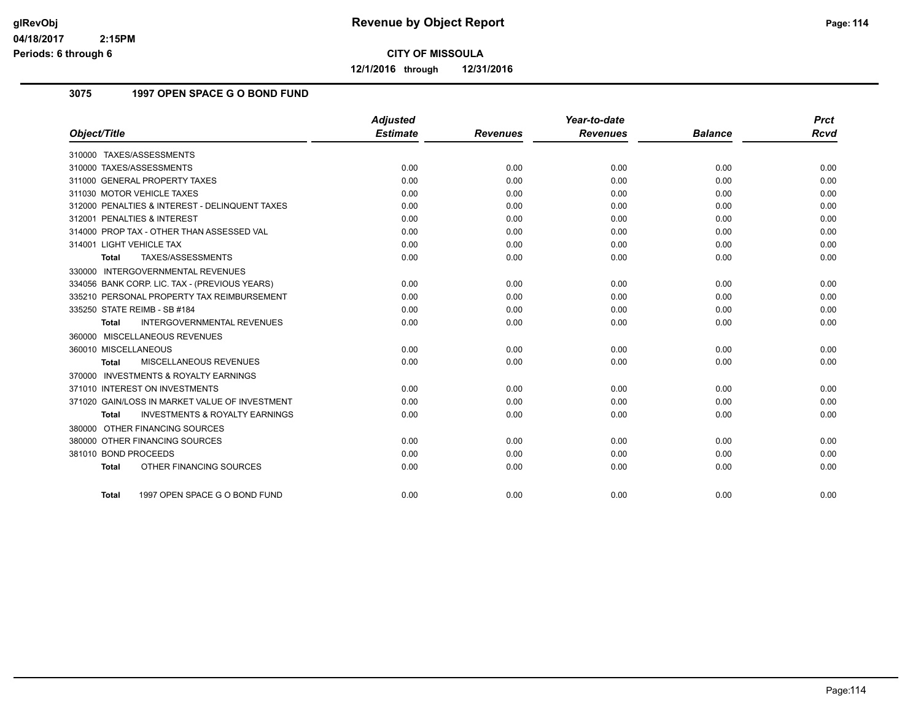**12/1/2016 through 12/31/2016**

#### **3075 1997 OPEN SPACE G O BOND FUND**

|                                                           | <b>Adjusted</b> |                 | Year-to-date    |                | <b>Prct</b> |
|-----------------------------------------------------------|-----------------|-----------------|-----------------|----------------|-------------|
| Object/Title                                              | <b>Estimate</b> | <b>Revenues</b> | <b>Revenues</b> | <b>Balance</b> | <b>Rcvd</b> |
| 310000 TAXES/ASSESSMENTS                                  |                 |                 |                 |                |             |
| 310000 TAXES/ASSESSMENTS                                  | 0.00            | 0.00            | 0.00            | 0.00           | 0.00        |
| 311000 GENERAL PROPERTY TAXES                             | 0.00            | 0.00            | 0.00            | 0.00           | 0.00        |
| 311030 MOTOR VEHICLE TAXES                                | 0.00            | 0.00            | 0.00            | 0.00           | 0.00        |
| 312000 PENALTIES & INTEREST - DELINQUENT TAXES            | 0.00            | 0.00            | 0.00            | 0.00           | 0.00        |
| 312001 PENALTIES & INTEREST                               | 0.00            | 0.00            | 0.00            | 0.00           | 0.00        |
| 314000 PROP TAX - OTHER THAN ASSESSED VAL                 | 0.00            | 0.00            | 0.00            | 0.00           | 0.00        |
| 314001 LIGHT VEHICLE TAX                                  | 0.00            | 0.00            | 0.00            | 0.00           | 0.00        |
| TAXES/ASSESSMENTS<br><b>Total</b>                         | 0.00            | 0.00            | 0.00            | 0.00           | 0.00        |
| 330000 INTERGOVERNMENTAL REVENUES                         |                 |                 |                 |                |             |
| 334056 BANK CORP. LIC. TAX - (PREVIOUS YEARS)             | 0.00            | 0.00            | 0.00            | 0.00           | 0.00        |
| 335210 PERSONAL PROPERTY TAX REIMBURSEMENT                | 0.00            | 0.00            | 0.00            | 0.00           | 0.00        |
| 335250 STATE REIMB - SB #184                              | 0.00            | 0.00            | 0.00            | 0.00           | 0.00        |
| <b>INTERGOVERNMENTAL REVENUES</b><br><b>Total</b>         | 0.00            | 0.00            | 0.00            | 0.00           | 0.00        |
| 360000 MISCELLANEOUS REVENUES                             |                 |                 |                 |                |             |
| 360010 MISCELLANEOUS                                      | 0.00            | 0.00            | 0.00            | 0.00           | 0.00        |
| MISCELLANEOUS REVENUES<br><b>Total</b>                    | 0.00            | 0.00            | 0.00            | 0.00           | 0.00        |
| 370000 INVESTMENTS & ROYALTY EARNINGS                     |                 |                 |                 |                |             |
| 371010 INTEREST ON INVESTMENTS                            | 0.00            | 0.00            | 0.00            | 0.00           | 0.00        |
| 371020 GAIN/LOSS IN MARKET VALUE OF INVESTMENT            | 0.00            | 0.00            | 0.00            | 0.00           | 0.00        |
| <b>INVESTMENTS &amp; ROYALTY EARNINGS</b><br><b>Total</b> | 0.00            | 0.00            | 0.00            | 0.00           | 0.00        |
| 380000 OTHER FINANCING SOURCES                            |                 |                 |                 |                |             |
| 380000 OTHER FINANCING SOURCES                            | 0.00            | 0.00            | 0.00            | 0.00           | 0.00        |
| 381010 BOND PROCEEDS                                      | 0.00            | 0.00            | 0.00            | 0.00           | 0.00        |
| OTHER FINANCING SOURCES<br><b>Total</b>                   | 0.00            | 0.00            | 0.00            | 0.00           | 0.00        |
| 1997 OPEN SPACE G O BOND FUND<br><b>Total</b>             | 0.00            | 0.00            | 0.00            | 0.00           | 0.00        |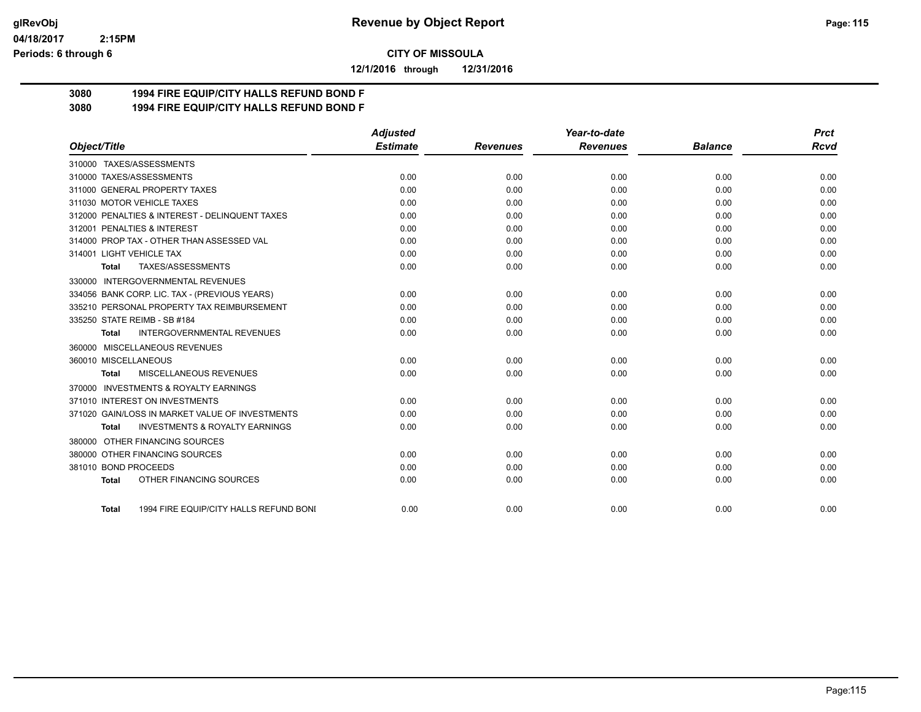**12/1/2016 through 12/31/2016**

# **3080 1994 FIRE EQUIP/CITY HALLS REFUND BOND F**

**3080 1994 FIRE EQUIP/CITY HALLS REFUND BOND F**

|                                                           | <b>Adjusted</b> |                 | Year-to-date    |                | <b>Prct</b> |
|-----------------------------------------------------------|-----------------|-----------------|-----------------|----------------|-------------|
| Object/Title                                              | <b>Estimate</b> | <b>Revenues</b> | <b>Revenues</b> | <b>Balance</b> | <b>Rcvd</b> |
| 310000 TAXES/ASSESSMENTS                                  |                 |                 |                 |                |             |
| 310000 TAXES/ASSESSMENTS                                  | 0.00            | 0.00            | 0.00            | 0.00           | 0.00        |
| 311000 GENERAL PROPERTY TAXES                             | 0.00            | 0.00            | 0.00            | 0.00           | 0.00        |
| 311030 MOTOR VEHICLE TAXES                                | 0.00            | 0.00            | 0.00            | 0.00           | 0.00        |
| 312000 PENALTIES & INTEREST - DELINQUENT TAXES            | 0.00            | 0.00            | 0.00            | 0.00           | 0.00        |
| 312001 PENALTIES & INTEREST                               | 0.00            | 0.00            | 0.00            | 0.00           | 0.00        |
| 314000 PROP TAX - OTHER THAN ASSESSED VAL                 | 0.00            | 0.00            | 0.00            | 0.00           | 0.00        |
| 314001 LIGHT VEHICLE TAX                                  | 0.00            | 0.00            | 0.00            | 0.00           | 0.00        |
| TAXES/ASSESSMENTS<br><b>Total</b>                         | 0.00            | 0.00            | 0.00            | 0.00           | 0.00        |
| 330000 INTERGOVERNMENTAL REVENUES                         |                 |                 |                 |                |             |
| 334056 BANK CORP. LIC. TAX - (PREVIOUS YEARS)             | 0.00            | 0.00            | 0.00            | 0.00           | 0.00        |
| 335210 PERSONAL PROPERTY TAX REIMBURSEMENT                | 0.00            | 0.00            | 0.00            | 0.00           | 0.00        |
| 335250 STATE REIMB - SB #184                              | 0.00            | 0.00            | 0.00            | 0.00           | 0.00        |
| <b>INTERGOVERNMENTAL REVENUES</b><br><b>Total</b>         | 0.00            | 0.00            | 0.00            | 0.00           | 0.00        |
| 360000 MISCELLANEOUS REVENUES                             |                 |                 |                 |                |             |
| 360010 MISCELLANEOUS                                      | 0.00            | 0.00            | 0.00            | 0.00           | 0.00        |
| MISCELLANEOUS REVENUES<br>Total                           | 0.00            | 0.00            | 0.00            | 0.00           | 0.00        |
| 370000 INVESTMENTS & ROYALTY EARNINGS                     |                 |                 |                 |                |             |
| 371010 INTEREST ON INVESTMENTS                            | 0.00            | 0.00            | 0.00            | 0.00           | 0.00        |
| 371020 GAIN/LOSS IN MARKET VALUE OF INVESTMENTS           | 0.00            | 0.00            | 0.00            | 0.00           | 0.00        |
| <b>INVESTMENTS &amp; ROYALTY EARNINGS</b><br><b>Total</b> | 0.00            | 0.00            | 0.00            | 0.00           | 0.00        |
| 380000 OTHER FINANCING SOURCES                            |                 |                 |                 |                |             |
| 380000 OTHER FINANCING SOURCES                            | 0.00            | 0.00            | 0.00            | 0.00           | 0.00        |
| 381010 BOND PROCEEDS                                      | 0.00            | 0.00            | 0.00            | 0.00           | 0.00        |
| OTHER FINANCING SOURCES<br><b>Total</b>                   | 0.00            | 0.00            | 0.00            | 0.00           | 0.00        |
| 1994 FIRE EQUIP/CITY HALLS REFUND BONI<br><b>Total</b>    | 0.00            | 0.00            | 0.00            | 0.00           | 0.00        |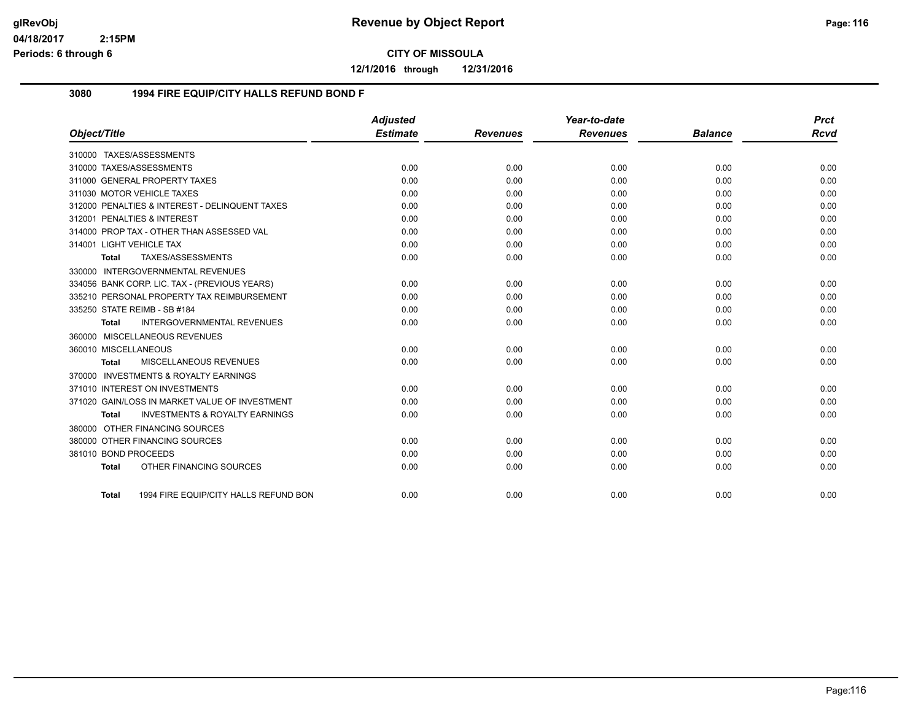**12/1/2016 through 12/31/2016**

### **3080 1994 FIRE EQUIP/CITY HALLS REFUND BOND F**

|                                                           | <b>Adjusted</b> |                 | Year-to-date    |                | <b>Prct</b> |
|-----------------------------------------------------------|-----------------|-----------------|-----------------|----------------|-------------|
| Object/Title                                              | <b>Estimate</b> | <b>Revenues</b> | <b>Revenues</b> | <b>Balance</b> | <b>Rcvd</b> |
| 310000 TAXES/ASSESSMENTS                                  |                 |                 |                 |                |             |
| 310000 TAXES/ASSESSMENTS                                  | 0.00            | 0.00            | 0.00            | 0.00           | 0.00        |
| 311000 GENERAL PROPERTY TAXES                             | 0.00            | 0.00            | 0.00            | 0.00           | 0.00        |
| 311030 MOTOR VEHICLE TAXES                                | 0.00            | 0.00            | 0.00            | 0.00           | 0.00        |
| 312000 PENALTIES & INTEREST - DELINQUENT TAXES            | 0.00            | 0.00            | 0.00            | 0.00           | 0.00        |
| 312001 PENALTIES & INTEREST                               | 0.00            | 0.00            | 0.00            | 0.00           | 0.00        |
| 314000 PROP TAX - OTHER THAN ASSESSED VAL                 | 0.00            | 0.00            | 0.00            | 0.00           | 0.00        |
| 314001 LIGHT VEHICLE TAX                                  | 0.00            | 0.00            | 0.00            | 0.00           | 0.00        |
| TAXES/ASSESSMENTS<br><b>Total</b>                         | 0.00            | 0.00            | 0.00            | 0.00           | 0.00        |
| 330000 INTERGOVERNMENTAL REVENUES                         |                 |                 |                 |                |             |
| 334056 BANK CORP. LIC. TAX - (PREVIOUS YEARS)             | 0.00            | 0.00            | 0.00            | 0.00           | 0.00        |
| 335210 PERSONAL PROPERTY TAX REIMBURSEMENT                | 0.00            | 0.00            | 0.00            | 0.00           | 0.00        |
| 335250 STATE REIMB - SB #184                              | 0.00            | 0.00            | 0.00            | 0.00           | 0.00        |
| <b>INTERGOVERNMENTAL REVENUES</b><br><b>Total</b>         | 0.00            | 0.00            | 0.00            | 0.00           | 0.00        |
| 360000 MISCELLANEOUS REVENUES                             |                 |                 |                 |                |             |
| 360010 MISCELLANEOUS                                      | 0.00            | 0.00            | 0.00            | 0.00           | 0.00        |
| MISCELLANEOUS REVENUES<br><b>Total</b>                    | 0.00            | 0.00            | 0.00            | 0.00           | 0.00        |
| 370000 INVESTMENTS & ROYALTY EARNINGS                     |                 |                 |                 |                |             |
| 371010 INTEREST ON INVESTMENTS                            | 0.00            | 0.00            | 0.00            | 0.00           | 0.00        |
| 371020 GAIN/LOSS IN MARKET VALUE OF INVESTMENT            | 0.00            | 0.00            | 0.00            | 0.00           | 0.00        |
| <b>INVESTMENTS &amp; ROYALTY EARNINGS</b><br><b>Total</b> | 0.00            | 0.00            | 0.00            | 0.00           | 0.00        |
| 380000 OTHER FINANCING SOURCES                            |                 |                 |                 |                |             |
| 380000 OTHER FINANCING SOURCES                            | 0.00            | 0.00            | 0.00            | 0.00           | 0.00        |
| 381010 BOND PROCEEDS                                      | 0.00            | 0.00            | 0.00            | 0.00           | 0.00        |
| OTHER FINANCING SOURCES<br><b>Total</b>                   | 0.00            | 0.00            | 0.00            | 0.00           | 0.00        |
| 1994 FIRE EQUIP/CITY HALLS REFUND BON<br><b>Total</b>     | 0.00            | 0.00            | 0.00            | 0.00           | 0.00        |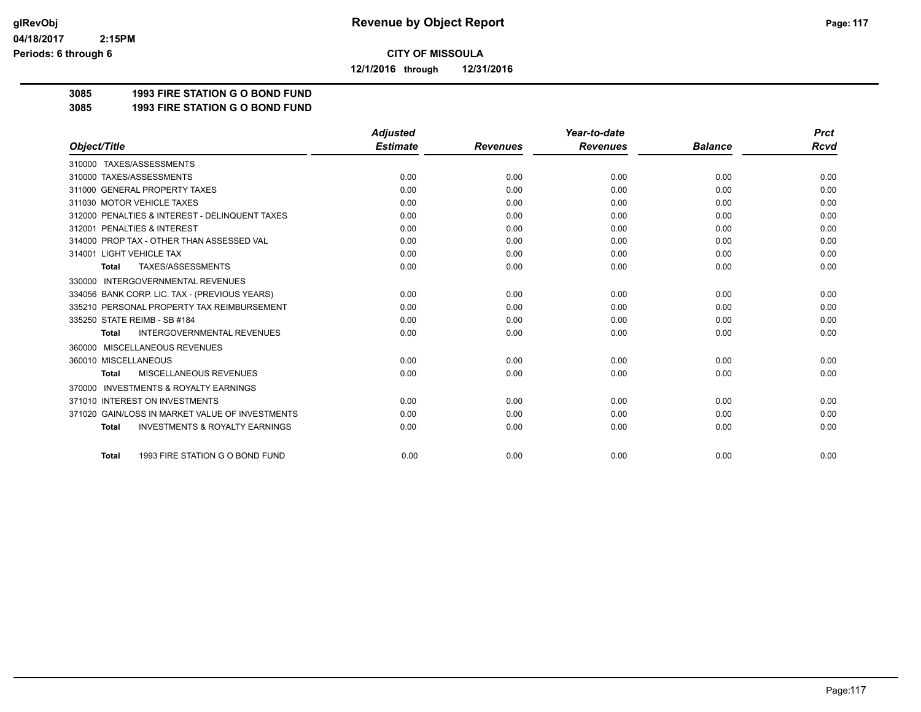**12/1/2016 through 12/31/2016**

**3085 1993 FIRE STATION G O BOND FUND**

**3085 1993 FIRE STATION G O BOND FUND**

|                                                           | <b>Adjusted</b> |                 | Year-to-date    |                | <b>Prct</b> |
|-----------------------------------------------------------|-----------------|-----------------|-----------------|----------------|-------------|
| Object/Title                                              | <b>Estimate</b> | <b>Revenues</b> | <b>Revenues</b> | <b>Balance</b> | <b>Rcvd</b> |
| 310000 TAXES/ASSESSMENTS                                  |                 |                 |                 |                |             |
| 310000 TAXES/ASSESSMENTS                                  | 0.00            | 0.00            | 0.00            | 0.00           | 0.00        |
| 311000 GENERAL PROPERTY TAXES                             | 0.00            | 0.00            | 0.00            | 0.00           | 0.00        |
| 311030 MOTOR VEHICLE TAXES                                | 0.00            | 0.00            | 0.00            | 0.00           | 0.00        |
| 312000 PENALTIES & INTEREST - DELINQUENT TAXES            | 0.00            | 0.00            | 0.00            | 0.00           | 0.00        |
| 312001 PENALTIES & INTEREST                               | 0.00            | 0.00            | 0.00            | 0.00           | 0.00        |
| 314000 PROP TAX - OTHER THAN ASSESSED VAL                 | 0.00            | 0.00            | 0.00            | 0.00           | 0.00        |
| 314001 LIGHT VEHICLE TAX                                  | 0.00            | 0.00            | 0.00            | 0.00           | 0.00        |
| TAXES/ASSESSMENTS<br>Total                                | 0.00            | 0.00            | 0.00            | 0.00           | 0.00        |
| 330000 INTERGOVERNMENTAL REVENUES                         |                 |                 |                 |                |             |
| 334056 BANK CORP. LIC. TAX - (PREVIOUS YEARS)             | 0.00            | 0.00            | 0.00            | 0.00           | 0.00        |
| 335210 PERSONAL PROPERTY TAX REIMBURSEMENT                | 0.00            | 0.00            | 0.00            | 0.00           | 0.00        |
| 335250 STATE REIMB - SB #184                              | 0.00            | 0.00            | 0.00            | 0.00           | 0.00        |
| <b>INTERGOVERNMENTAL REVENUES</b><br><b>Total</b>         | 0.00            | 0.00            | 0.00            | 0.00           | 0.00        |
| 360000 MISCELLANEOUS REVENUES                             |                 |                 |                 |                |             |
| 360010 MISCELLANEOUS                                      | 0.00            | 0.00            | 0.00            | 0.00           | 0.00        |
| MISCELLANEOUS REVENUES<br><b>Total</b>                    | 0.00            | 0.00            | 0.00            | 0.00           | 0.00        |
| 370000 INVESTMENTS & ROYALTY EARNINGS                     |                 |                 |                 |                |             |
| 371010 INTEREST ON INVESTMENTS                            | 0.00            | 0.00            | 0.00            | 0.00           | 0.00        |
| 371020 GAIN/LOSS IN MARKET VALUE OF INVESTMENTS           | 0.00            | 0.00            | 0.00            | 0.00           | 0.00        |
| <b>INVESTMENTS &amp; ROYALTY EARNINGS</b><br><b>Total</b> | 0.00            | 0.00            | 0.00            | 0.00           | 0.00        |
|                                                           |                 |                 |                 |                |             |
| 1993 FIRE STATION G O BOND FUND<br><b>Total</b>           | 0.00            | 0.00            | 0.00            | 0.00           | 0.00        |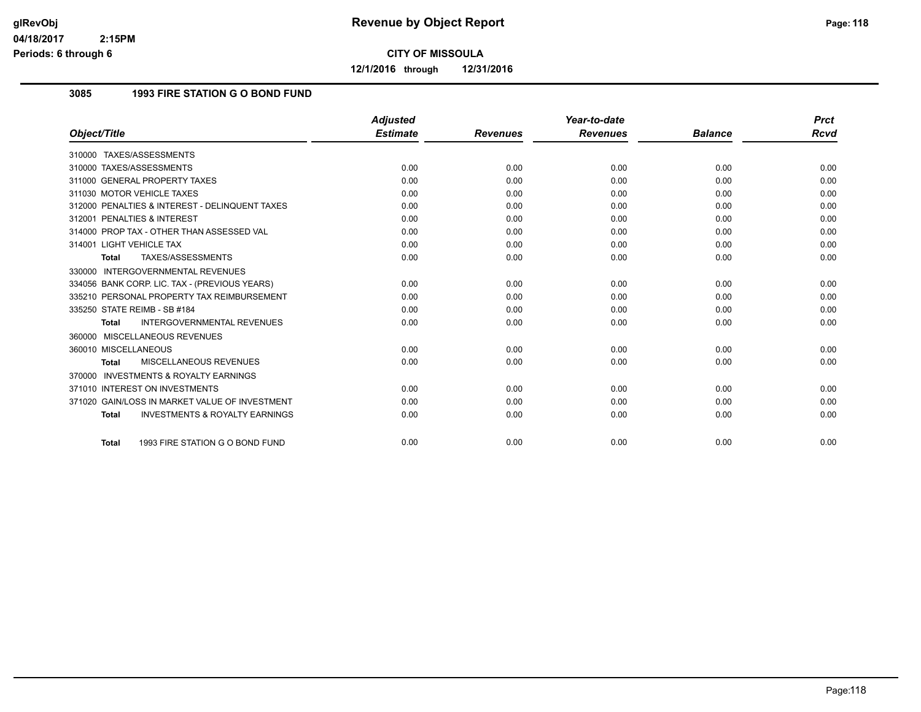**12/1/2016 through 12/31/2016**

#### **3085 1993 FIRE STATION G O BOND FUND**

|                                                           | <b>Adjusted</b> |                 | Year-to-date    |                | <b>Prct</b> |
|-----------------------------------------------------------|-----------------|-----------------|-----------------|----------------|-------------|
| Object/Title                                              | <b>Estimate</b> | <b>Revenues</b> | <b>Revenues</b> | <b>Balance</b> | Rcvd        |
| 310000 TAXES/ASSESSMENTS                                  |                 |                 |                 |                |             |
| 310000 TAXES/ASSESSMENTS                                  | 0.00            | 0.00            | 0.00            | 0.00           | 0.00        |
| 311000 GENERAL PROPERTY TAXES                             | 0.00            | 0.00            | 0.00            | 0.00           | 0.00        |
| 311030 MOTOR VEHICLE TAXES                                | 0.00            | 0.00            | 0.00            | 0.00           | 0.00        |
| 312000 PENALTIES & INTEREST - DELINQUENT TAXES            | 0.00            | 0.00            | 0.00            | 0.00           | 0.00        |
| 312001 PENALTIES & INTEREST                               | 0.00            | 0.00            | 0.00            | 0.00           | 0.00        |
| 314000 PROP TAX - OTHER THAN ASSESSED VAL                 | 0.00            | 0.00            | 0.00            | 0.00           | 0.00        |
| 314001 LIGHT VEHICLE TAX                                  | 0.00            | 0.00            | 0.00            | 0.00           | 0.00        |
| TAXES/ASSESSMENTS<br><b>Total</b>                         | 0.00            | 0.00            | 0.00            | 0.00           | 0.00        |
| 330000 INTERGOVERNMENTAL REVENUES                         |                 |                 |                 |                |             |
| 334056 BANK CORP. LIC. TAX - (PREVIOUS YEARS)             | 0.00            | 0.00            | 0.00            | 0.00           | 0.00        |
| 335210 PERSONAL PROPERTY TAX REIMBURSEMENT                | 0.00            | 0.00            | 0.00            | 0.00           | 0.00        |
| 335250 STATE REIMB - SB #184                              | 0.00            | 0.00            | 0.00            | 0.00           | 0.00        |
| <b>INTERGOVERNMENTAL REVENUES</b><br><b>Total</b>         | 0.00            | 0.00            | 0.00            | 0.00           | 0.00        |
| 360000 MISCELLANEOUS REVENUES                             |                 |                 |                 |                |             |
| 360010 MISCELLANEOUS                                      | 0.00            | 0.00            | 0.00            | 0.00           | 0.00        |
| MISCELLANEOUS REVENUES<br><b>Total</b>                    | 0.00            | 0.00            | 0.00            | 0.00           | 0.00        |
| 370000 INVESTMENTS & ROYALTY EARNINGS                     |                 |                 |                 |                |             |
| 371010 INTEREST ON INVESTMENTS                            | 0.00            | 0.00            | 0.00            | 0.00           | 0.00        |
| 371020 GAIN/LOSS IN MARKET VALUE OF INVESTMENT            | 0.00            | 0.00            | 0.00            | 0.00           | 0.00        |
| <b>INVESTMENTS &amp; ROYALTY EARNINGS</b><br><b>Total</b> | 0.00            | 0.00            | 0.00            | 0.00           | 0.00        |
| 1993 FIRE STATION G O BOND FUND<br><b>Total</b>           | 0.00            | 0.00            | 0.00            | 0.00           | 0.00        |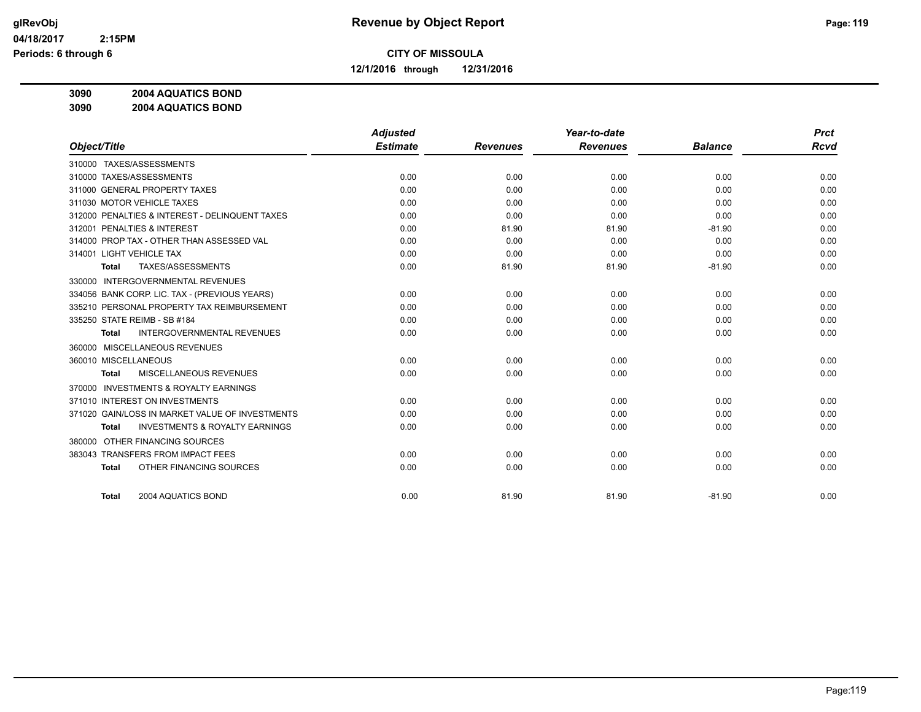**12/1/2016 through 12/31/2016**

**3090 2004 AQUATICS BOND 3090 2004 AQUATICS BOND**

|                                                     | <b>Adjusted</b> |                 | Year-to-date    |                | <b>Prct</b> |
|-----------------------------------------------------|-----------------|-----------------|-----------------|----------------|-------------|
| Object/Title                                        | <b>Estimate</b> | <b>Revenues</b> | <b>Revenues</b> | <b>Balance</b> | <b>Rcvd</b> |
| 310000 TAXES/ASSESSMENTS                            |                 |                 |                 |                |             |
| 310000 TAXES/ASSESSMENTS                            | 0.00            | 0.00            | 0.00            | 0.00           | 0.00        |
| 311000 GENERAL PROPERTY TAXES                       | 0.00            | 0.00            | 0.00            | 0.00           | 0.00        |
| 311030 MOTOR VEHICLE TAXES                          | 0.00            | 0.00            | 0.00            | 0.00           | 0.00        |
| 312000 PENALTIES & INTEREST - DELINQUENT TAXES      | 0.00            | 0.00            | 0.00            | 0.00           | 0.00        |
| 312001 PENALTIES & INTEREST                         | 0.00            | 81.90           | 81.90           | $-81.90$       | 0.00        |
| 314000 PROP TAX - OTHER THAN ASSESSED VAL           | 0.00            | 0.00            | 0.00            | 0.00           | 0.00        |
| 314001 LIGHT VEHICLE TAX                            | 0.00            | 0.00            | 0.00            | 0.00           | 0.00        |
| TAXES/ASSESSMENTS<br><b>Total</b>                   | 0.00            | 81.90           | 81.90           | $-81.90$       | 0.00        |
| 330000 INTERGOVERNMENTAL REVENUES                   |                 |                 |                 |                |             |
| 334056 BANK CORP. LIC. TAX - (PREVIOUS YEARS)       | 0.00            | 0.00            | 0.00            | 0.00           | 0.00        |
| 335210 PERSONAL PROPERTY TAX REIMBURSEMENT          | 0.00            | 0.00            | 0.00            | 0.00           | 0.00        |
| 335250 STATE REIMB - SB #184                        | 0.00            | 0.00            | 0.00            | 0.00           | 0.00        |
| <b>INTERGOVERNMENTAL REVENUES</b><br><b>Total</b>   | 0.00            | 0.00            | 0.00            | 0.00           | 0.00        |
| MISCELLANEOUS REVENUES<br>360000                    |                 |                 |                 |                |             |
| 360010 MISCELLANEOUS                                | 0.00            | 0.00            | 0.00            | 0.00           | 0.00        |
| MISCELLANEOUS REVENUES<br><b>Total</b>              | 0.00            | 0.00            | 0.00            | 0.00           | 0.00        |
| <b>INVESTMENTS &amp; ROYALTY EARNINGS</b><br>370000 |                 |                 |                 |                |             |
| 371010 INTEREST ON INVESTMENTS                      | 0.00            | 0.00            | 0.00            | 0.00           | 0.00        |
| 371020 GAIN/LOSS IN MARKET VALUE OF INVESTMENTS     | 0.00            | 0.00            | 0.00            | 0.00           | 0.00        |
| <b>INVESTMENTS &amp; ROYALTY EARNINGS</b><br>Total  | 0.00            | 0.00            | 0.00            | 0.00           | 0.00        |
| OTHER FINANCING SOURCES<br>380000                   |                 |                 |                 |                |             |
| 383043 TRANSFERS FROM IMPACT FEES                   | 0.00            | 0.00            | 0.00            | 0.00           | 0.00        |
| OTHER FINANCING SOURCES<br><b>Total</b>             | 0.00            | 0.00            | 0.00            | 0.00           | 0.00        |
| 2004 AQUATICS BOND<br><b>Total</b>                  | 0.00            | 81.90           | 81.90           | $-81.90$       | 0.00        |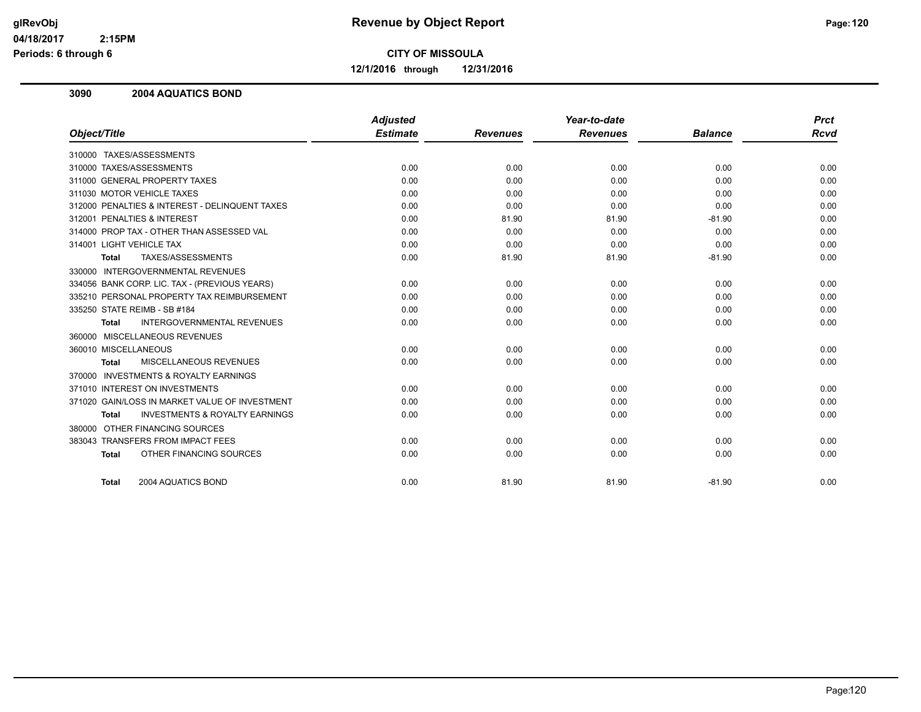**12/1/2016 through 12/31/2016**

#### **3090 2004 AQUATICS BOND**

|                                                           | <b>Adjusted</b> |                 | Year-to-date    |                | <b>Prct</b> |
|-----------------------------------------------------------|-----------------|-----------------|-----------------|----------------|-------------|
| Object/Title                                              | <b>Estimate</b> | <b>Revenues</b> | <b>Revenues</b> | <b>Balance</b> | <b>Rcvd</b> |
| 310000 TAXES/ASSESSMENTS                                  |                 |                 |                 |                |             |
| 310000 TAXES/ASSESSMENTS                                  | 0.00            | 0.00            | 0.00            | 0.00           | 0.00        |
| 311000 GENERAL PROPERTY TAXES                             | 0.00            | 0.00            | 0.00            | 0.00           | 0.00        |
| 311030 MOTOR VEHICLE TAXES                                | 0.00            | 0.00            | 0.00            | 0.00           | 0.00        |
| 312000 PENALTIES & INTEREST - DELINQUENT TAXES            | 0.00            | 0.00            | 0.00            | 0.00           | 0.00        |
| 312001 PENALTIES & INTEREST                               | 0.00            | 81.90           | 81.90           | $-81.90$       | 0.00        |
| 314000 PROP TAX - OTHER THAN ASSESSED VAL                 | 0.00            | 0.00            | 0.00            | 0.00           | 0.00        |
| 314001 LIGHT VEHICLE TAX                                  | 0.00            | 0.00            | 0.00            | 0.00           | 0.00        |
| TAXES/ASSESSMENTS<br><b>Total</b>                         | 0.00            | 81.90           | 81.90           | $-81.90$       | 0.00        |
| 330000 INTERGOVERNMENTAL REVENUES                         |                 |                 |                 |                |             |
| 334056 BANK CORP. LIC. TAX - (PREVIOUS YEARS)             | 0.00            | 0.00            | 0.00            | 0.00           | 0.00        |
| 335210 PERSONAL PROPERTY TAX REIMBURSEMENT                | 0.00            | 0.00            | 0.00            | 0.00           | 0.00        |
| 335250 STATE REIMB - SB #184                              | 0.00            | 0.00            | 0.00            | 0.00           | 0.00        |
| <b>INTERGOVERNMENTAL REVENUES</b><br><b>Total</b>         | 0.00            | 0.00            | 0.00            | 0.00           | 0.00        |
| 360000 MISCELLANEOUS REVENUES                             |                 |                 |                 |                |             |
| 360010 MISCELLANEOUS                                      | 0.00            | 0.00            | 0.00            | 0.00           | 0.00        |
| MISCELLANEOUS REVENUES<br><b>Total</b>                    | 0.00            | 0.00            | 0.00            | 0.00           | 0.00        |
| 370000 INVESTMENTS & ROYALTY EARNINGS                     |                 |                 |                 |                |             |
| 371010 INTEREST ON INVESTMENTS                            | 0.00            | 0.00            | 0.00            | 0.00           | 0.00        |
| 371020 GAIN/LOSS IN MARKET VALUE OF INVESTMENT            | 0.00            | 0.00            | 0.00            | 0.00           | 0.00        |
| <b>INVESTMENTS &amp; ROYALTY EARNINGS</b><br><b>Total</b> | 0.00            | 0.00            | 0.00            | 0.00           | 0.00        |
| 380000 OTHER FINANCING SOURCES                            |                 |                 |                 |                |             |
| 383043 TRANSFERS FROM IMPACT FEES                         | 0.00            | 0.00            | 0.00            | 0.00           | 0.00        |
| OTHER FINANCING SOURCES<br><b>Total</b>                   | 0.00            | 0.00            | 0.00            | 0.00           | 0.00        |
| 2004 AQUATICS BOND<br><b>Total</b>                        | 0.00            | 81.90           | 81.90           | $-81.90$       | 0.00        |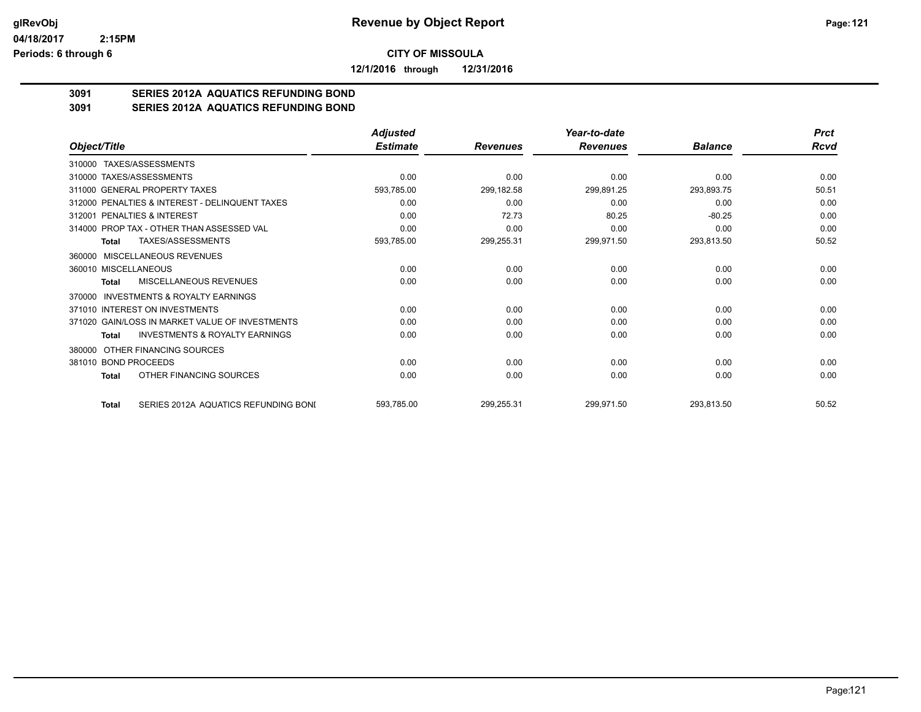**12/1/2016 through 12/31/2016**

# **3091 SERIES 2012A AQUATICS REFUNDING BOND**

| 3091 | <b>SERIES 2012A AQUATICS REFUNDING BOND</b> |
|------|---------------------------------------------|
|      |                                             |

|                                                           | <b>Adjusted</b> |                 | Year-to-date    |                | <b>Prct</b> |
|-----------------------------------------------------------|-----------------|-----------------|-----------------|----------------|-------------|
| Object/Title                                              | <b>Estimate</b> | <b>Revenues</b> | <b>Revenues</b> | <b>Balance</b> | Rcvd        |
| 310000 TAXES/ASSESSMENTS                                  |                 |                 |                 |                |             |
| 310000 TAXES/ASSESSMENTS                                  | 0.00            | 0.00            | 0.00            | 0.00           | 0.00        |
| 311000 GENERAL PROPERTY TAXES                             | 593,785.00      | 299,182.58      | 299,891.25      | 293,893.75     | 50.51       |
| 312000 PENALTIES & INTEREST - DELINQUENT TAXES            | 0.00            | 0.00            | 0.00            | 0.00           | 0.00        |
| 312001 PENALTIES & INTEREST                               | 0.00            | 72.73           | 80.25           | $-80.25$       | 0.00        |
| 314000 PROP TAX - OTHER THAN ASSESSED VAL                 | 0.00            | 0.00            | 0.00            | 0.00           | 0.00        |
| TAXES/ASSESSMENTS<br><b>Total</b>                         | 593,785.00      | 299,255.31      | 299,971.50      | 293,813.50     | 50.52       |
| MISCELLANEOUS REVENUES<br>360000                          |                 |                 |                 |                |             |
| 360010 MISCELLANEOUS                                      | 0.00            | 0.00            | 0.00            | 0.00           | 0.00        |
| MISCELLANEOUS REVENUES<br><b>Total</b>                    | 0.00            | 0.00            | 0.00            | 0.00           | 0.00        |
| INVESTMENTS & ROYALTY EARNINGS<br>370000                  |                 |                 |                 |                |             |
| 371010 INTEREST ON INVESTMENTS                            | 0.00            | 0.00            | 0.00            | 0.00           | 0.00        |
| 371020 GAIN/LOSS IN MARKET VALUE OF INVESTMENTS           | 0.00            | 0.00            | 0.00            | 0.00           | 0.00        |
| <b>INVESTMENTS &amp; ROYALTY EARNINGS</b><br><b>Total</b> | 0.00            | 0.00            | 0.00            | 0.00           | 0.00        |
| OTHER FINANCING SOURCES<br>380000                         |                 |                 |                 |                |             |
| 381010 BOND PROCEEDS                                      | 0.00            | 0.00            | 0.00            | 0.00           | 0.00        |
| OTHER FINANCING SOURCES<br><b>Total</b>                   | 0.00            | 0.00            | 0.00            | 0.00           | 0.00        |
| SERIES 2012A AQUATICS REFUNDING BONI<br><b>Total</b>      | 593,785.00      | 299,255.31      | 299,971.50      | 293,813.50     | 50.52       |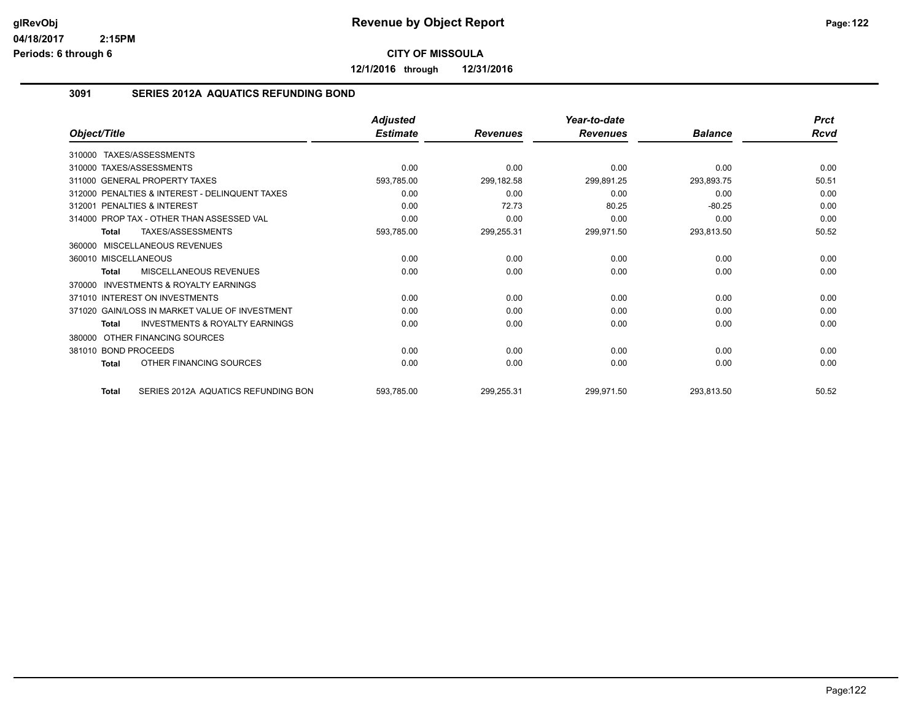**12/1/2016 through 12/31/2016**

#### **3091 SERIES 2012A AQUATICS REFUNDING BOND**

|                                                           | <b>Adjusted</b> |                 | Year-to-date    |                | <b>Prct</b> |
|-----------------------------------------------------------|-----------------|-----------------|-----------------|----------------|-------------|
| Object/Title                                              | <b>Estimate</b> | <b>Revenues</b> | <b>Revenues</b> | <b>Balance</b> | Rcvd        |
| 310000 TAXES/ASSESSMENTS                                  |                 |                 |                 |                |             |
| 310000 TAXES/ASSESSMENTS                                  | 0.00            | 0.00            | 0.00            | 0.00           | 0.00        |
| 311000 GENERAL PROPERTY TAXES                             | 593,785.00      | 299,182.58      | 299,891.25      | 293,893.75     | 50.51       |
| 312000 PENALTIES & INTEREST - DELINQUENT TAXES            | 0.00            | 0.00            | 0.00            | 0.00           | 0.00        |
| 312001 PENALTIES & INTEREST                               | 0.00            | 72.73           | 80.25           | $-80.25$       | 0.00        |
| 314000 PROP TAX - OTHER THAN ASSESSED VAL                 | 0.00            | 0.00            | 0.00            | 0.00           | 0.00        |
| TAXES/ASSESSMENTS<br><b>Total</b>                         | 593,785.00      | 299,255.31      | 299,971.50      | 293,813.50     | 50.52       |
| 360000 MISCELLANEOUS REVENUES                             |                 |                 |                 |                |             |
| 360010 MISCELLANEOUS                                      | 0.00            | 0.00            | 0.00            | 0.00           | 0.00        |
| MISCELLANEOUS REVENUES<br>Total                           | 0.00            | 0.00            | 0.00            | 0.00           | 0.00        |
| <b>INVESTMENTS &amp; ROYALTY EARNINGS</b><br>370000       |                 |                 |                 |                |             |
| 371010 INTEREST ON INVESTMENTS                            | 0.00            | 0.00            | 0.00            | 0.00           | 0.00        |
| 371020 GAIN/LOSS IN MARKET VALUE OF INVESTMENT            | 0.00            | 0.00            | 0.00            | 0.00           | 0.00        |
| <b>INVESTMENTS &amp; ROYALTY EARNINGS</b><br><b>Total</b> | 0.00            | 0.00            | 0.00            | 0.00           | 0.00        |
| OTHER FINANCING SOURCES<br>380000                         |                 |                 |                 |                |             |
| 381010 BOND PROCEEDS                                      | 0.00            | 0.00            | 0.00            | 0.00           | 0.00        |
| OTHER FINANCING SOURCES<br>Total                          | 0.00            | 0.00            | 0.00            | 0.00           | 0.00        |
| SERIES 2012A AQUATICS REFUNDING BON<br><b>Total</b>       | 593,785.00      | 299,255.31      | 299,971.50      | 293,813.50     | 50.52       |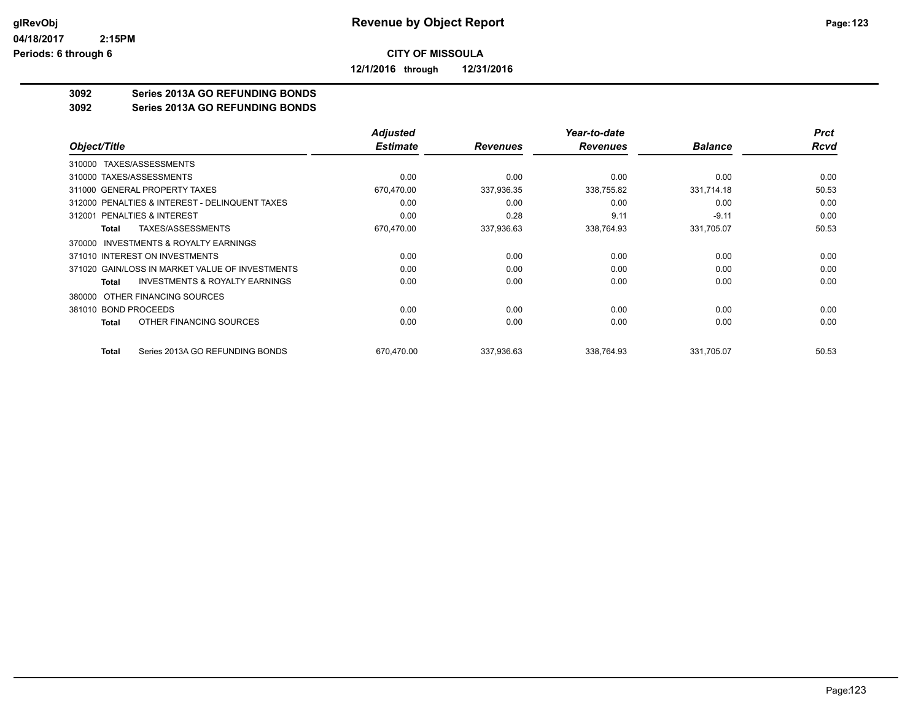**12/1/2016 through 12/31/2016**

# **3092 Series 2013A GO REFUNDING BONDS**

**3092 Series 2013A GO REFUNDING BONDS**

|                                                    | <b>Adjusted</b> |                 | Year-to-date    |                | <b>Prct</b> |
|----------------------------------------------------|-----------------|-----------------|-----------------|----------------|-------------|
| Object/Title                                       | <b>Estimate</b> | <b>Revenues</b> | <b>Revenues</b> | <b>Balance</b> | <b>Rcvd</b> |
| 310000 TAXES/ASSESSMENTS                           |                 |                 |                 |                |             |
| 310000 TAXES/ASSESSMENTS                           | 0.00            | 0.00            | 0.00            | 0.00           | 0.00        |
| 311000 GENERAL PROPERTY TAXES                      | 670,470.00      | 337,936.35      | 338,755.82      | 331,714.18     | 50.53       |
| 312000 PENALTIES & INTEREST - DELINQUENT TAXES     | 0.00            | 0.00            | 0.00            | 0.00           | 0.00        |
| 312001 PENALTIES & INTEREST                        | 0.00            | 0.28            | 9.11            | $-9.11$        | 0.00        |
| TAXES/ASSESSMENTS<br>Total                         | 670,470.00      | 337,936.63      | 338,764.93      | 331,705.07     | 50.53       |
| 370000 INVESTMENTS & ROYALTY EARNINGS              |                 |                 |                 |                |             |
| 371010 INTEREST ON INVESTMENTS                     | 0.00            | 0.00            | 0.00            | 0.00           | 0.00        |
| 371020 GAIN/LOSS IN MARKET VALUE OF INVESTMENTS    | 0.00            | 0.00            | 0.00            | 0.00           | 0.00        |
| <b>INVESTMENTS &amp; ROYALTY EARNINGS</b><br>Total | 0.00            | 0.00            | 0.00            | 0.00           | 0.00        |
| OTHER FINANCING SOURCES<br>380000                  |                 |                 |                 |                |             |
| 381010 BOND PROCEEDS                               | 0.00            | 0.00            | 0.00            | 0.00           | 0.00        |
| OTHER FINANCING SOURCES<br><b>Total</b>            | 0.00            | 0.00            | 0.00            | 0.00           | 0.00        |
| Series 2013A GO REFUNDING BONDS<br><b>Total</b>    | 670.470.00      | 337,936.63      | 338,764.93      | 331,705.07     | 50.53       |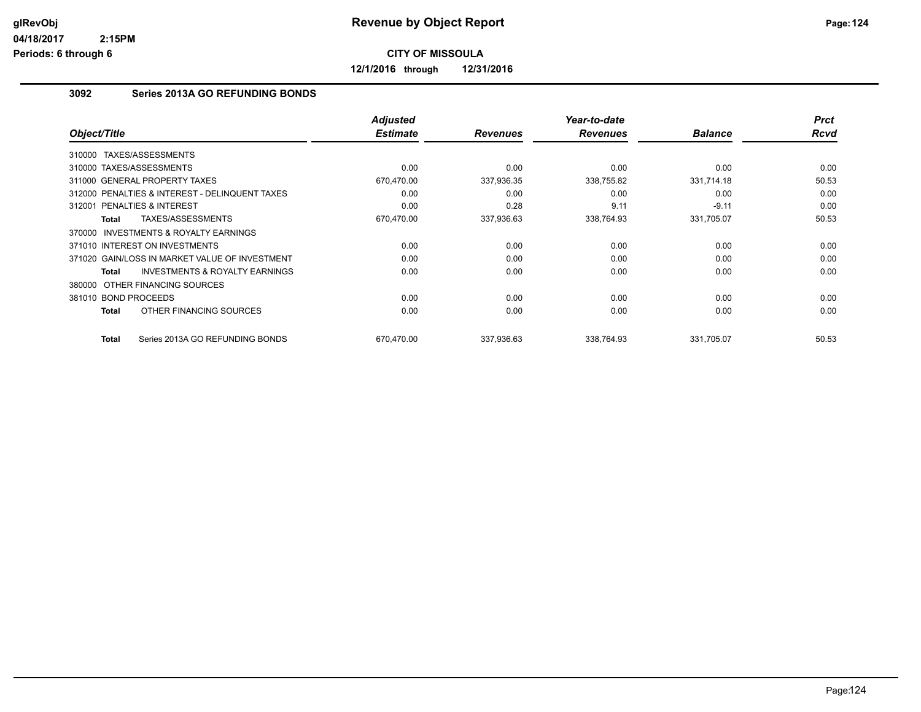**12/1/2016 through 12/31/2016**

#### **3092 Series 2013A GO REFUNDING BONDS**

| Object/Title                   |                                                | <b>Adjusted</b><br><b>Estimate</b> | <b>Revenues</b> | Year-to-date<br><b>Revenues</b> | <b>Balance</b> | <b>Prct</b><br>Rcvd |
|--------------------------------|------------------------------------------------|------------------------------------|-----------------|---------------------------------|----------------|---------------------|
|                                |                                                |                                    |                 |                                 |                |                     |
| TAXES/ASSESSMENTS<br>310000    |                                                |                                    |                 |                                 |                |                     |
| 310000 TAXES/ASSESSMENTS       |                                                | 0.00                               | 0.00            | 0.00                            | 0.00           | 0.00                |
| 311000 GENERAL PROPERTY TAXES  |                                                | 670,470.00                         | 337,936.35      | 338,755.82                      | 331,714.18     | 50.53               |
|                                | 312000 PENALTIES & INTEREST - DELINQUENT TAXES | 0.00                               | 0.00            | 0.00                            | 0.00           | 0.00                |
| 312001 PENALTIES & INTEREST    |                                                | 0.00                               | 0.28            | 9.11                            | $-9.11$        | 0.00                |
| <b>Total</b>                   | TAXES/ASSESSMENTS                              | 670,470.00                         | 337,936.63      | 338,764.93                      | 331,705.07     | 50.53               |
| 370000                         | <b>INVESTMENTS &amp; ROYALTY EARNINGS</b>      |                                    |                 |                                 |                |                     |
| 371010 INTEREST ON INVESTMENTS |                                                | 0.00                               | 0.00            | 0.00                            | 0.00           | 0.00                |
|                                | 371020 GAIN/LOSS IN MARKET VALUE OF INVESTMENT | 0.00                               | 0.00            | 0.00                            | 0.00           | 0.00                |
| <b>Total</b>                   | <b>INVESTMENTS &amp; ROYALTY EARNINGS</b>      | 0.00                               | 0.00            | 0.00                            | 0.00           | 0.00                |
| 380000 OTHER FINANCING SOURCES |                                                |                                    |                 |                                 |                |                     |
| 381010 BOND PROCEEDS           |                                                | 0.00                               | 0.00            | 0.00                            | 0.00           | 0.00                |
| <b>Total</b>                   | OTHER FINANCING SOURCES                        | 0.00                               | 0.00            | 0.00                            | 0.00           | 0.00                |
| <b>Total</b>                   | Series 2013A GO REFUNDING BONDS                | 670,470.00                         | 337,936.63      | 338,764.93                      | 331,705.07     | 50.53               |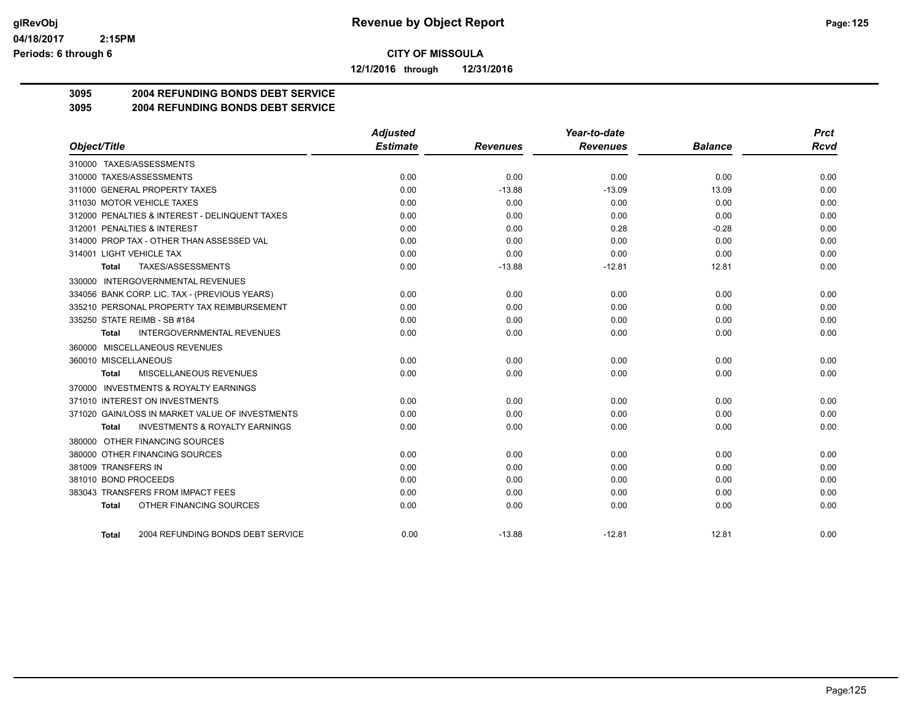**12/1/2016 through 12/31/2016**

#### **3095 2004 REFUNDING BONDS DEBT SERVICE 3095 2004 REFUNDING BONDS DEBT SERVICE**

|                                                     | <b>Adjusted</b> |                 | Year-to-date    |                | <b>Prct</b> |
|-----------------------------------------------------|-----------------|-----------------|-----------------|----------------|-------------|
| Object/Title                                        | <b>Estimate</b> | <b>Revenues</b> | <b>Revenues</b> | <b>Balance</b> | <b>Rcvd</b> |
| 310000 TAXES/ASSESSMENTS                            |                 |                 |                 |                |             |
| 310000 TAXES/ASSESSMENTS                            | 0.00            | 0.00            | 0.00            | 0.00           | 0.00        |
| 311000 GENERAL PROPERTY TAXES                       | 0.00            | $-13.88$        | $-13.09$        | 13.09          | 0.00        |
| 311030 MOTOR VEHICLE TAXES                          | 0.00            | 0.00            | 0.00            | 0.00           | 0.00        |
| 312000 PENALTIES & INTEREST - DELINQUENT TAXES      | 0.00            | 0.00            | 0.00            | 0.00           | 0.00        |
| 312001 PENALTIES & INTEREST                         | 0.00            | 0.00            | 0.28            | $-0.28$        | 0.00        |
| 314000 PROP TAX - OTHER THAN ASSESSED VAL           | 0.00            | 0.00            | 0.00            | 0.00           | 0.00        |
| 314001 LIGHT VEHICLE TAX                            | 0.00            | 0.00            | 0.00            | 0.00           | 0.00        |
| TAXES/ASSESSMENTS<br>Total                          | 0.00            | $-13.88$        | $-12.81$        | 12.81          | 0.00        |
| 330000 INTERGOVERNMENTAL REVENUES                   |                 |                 |                 |                |             |
| 334056 BANK CORP. LIC. TAX - (PREVIOUS YEARS)       | 0.00            | 0.00            | 0.00            | 0.00           | 0.00        |
| 335210 PERSONAL PROPERTY TAX REIMBURSEMENT          | 0.00            | 0.00            | 0.00            | 0.00           | 0.00        |
| 335250 STATE REIMB - SB #184                        | 0.00            | 0.00            | 0.00            | 0.00           | 0.00        |
| <b>INTERGOVERNMENTAL REVENUES</b><br>Total          | 0.00            | 0.00            | 0.00            | 0.00           | 0.00        |
| 360000 MISCELLANEOUS REVENUES                       |                 |                 |                 |                |             |
| 360010 MISCELLANEOUS                                | 0.00            | 0.00            | 0.00            | 0.00           | 0.00        |
| <b>MISCELLANEOUS REVENUES</b><br>Total              | 0.00            | 0.00            | 0.00            | 0.00           | 0.00        |
| <b>INVESTMENTS &amp; ROYALTY EARNINGS</b><br>370000 |                 |                 |                 |                |             |
| 371010 INTEREST ON INVESTMENTS                      | 0.00            | 0.00            | 0.00            | 0.00           | 0.00        |
| 371020 GAIN/LOSS IN MARKET VALUE OF INVESTMENTS     | 0.00            | 0.00            | 0.00            | 0.00           | 0.00        |
| <b>INVESTMENTS &amp; ROYALTY EARNINGS</b><br>Total  | 0.00            | 0.00            | 0.00            | 0.00           | 0.00        |
| 380000 OTHER FINANCING SOURCES                      |                 |                 |                 |                |             |
| 380000 OTHER FINANCING SOURCES                      | 0.00            | 0.00            | 0.00            | 0.00           | 0.00        |
| 381009 TRANSFERS IN                                 | 0.00            | 0.00            | 0.00            | 0.00           | 0.00        |
| 381010 BOND PROCEEDS                                | 0.00            | 0.00            | 0.00            | 0.00           | 0.00        |
| 383043 TRANSFERS FROM IMPACT FEES                   | 0.00            | 0.00            | 0.00            | 0.00           | 0.00        |
| OTHER FINANCING SOURCES<br><b>Total</b>             | 0.00            | 0.00            | 0.00            | 0.00           | 0.00        |
| 2004 REFUNDING BONDS DEBT SERVICE<br>Total          | 0.00            | $-13.88$        | $-12.81$        | 12.81          | 0.00        |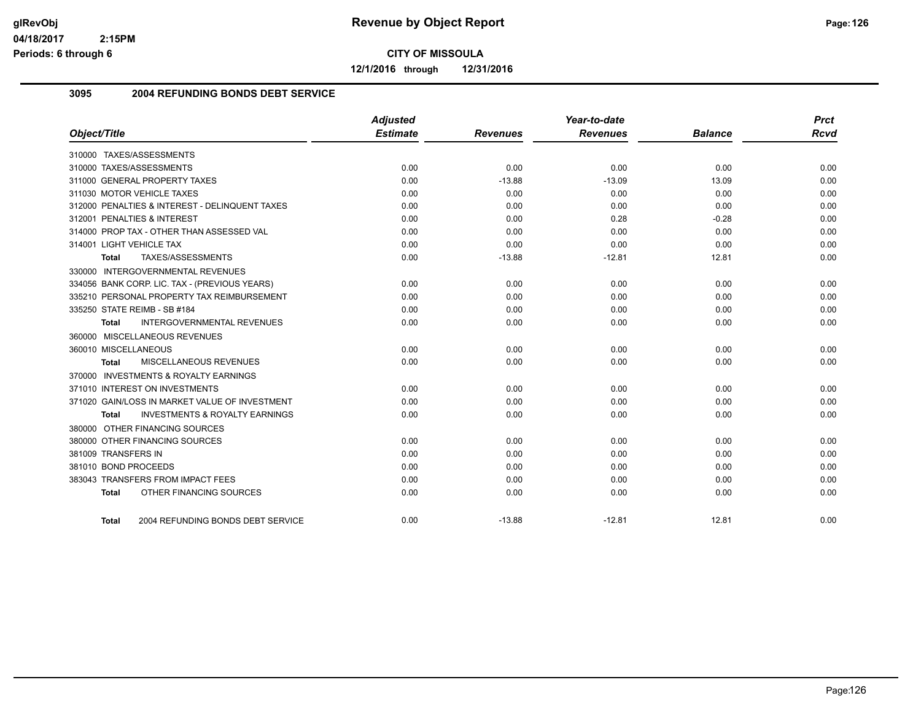**12/1/2016 through 12/31/2016**

#### **3095 2004 REFUNDING BONDS DEBT SERVICE**

| <b>Estimate</b><br><b>Revenues</b><br>Object/Title<br><b>Revenues</b><br>310000 TAXES/ASSESSMENTS<br>310000 TAXES/ASSESSMENTS<br>0.00<br>0.00<br>0.00 | <b>Balance</b><br>0.00<br>13.09<br>0.00<br>0.00<br>$-0.28$ | <b>Rcvd</b><br>0.00<br>0.00<br>0.00 |
|-------------------------------------------------------------------------------------------------------------------------------------------------------|------------------------------------------------------------|-------------------------------------|
|                                                                                                                                                       |                                                            |                                     |
|                                                                                                                                                       |                                                            |                                     |
|                                                                                                                                                       |                                                            |                                     |
| 311000 GENERAL PROPERTY TAXES<br>0.00<br>$-13.88$<br>$-13.09$                                                                                         |                                                            |                                     |
| 311030 MOTOR VEHICLE TAXES<br>0.00<br>0.00<br>0.00                                                                                                    |                                                            |                                     |
| 312000 PENALTIES & INTEREST - DELINQUENT TAXES<br>0.00<br>0.00<br>0.00                                                                                |                                                            | 0.00                                |
| 312001 PENALTIES & INTEREST<br>0.28<br>0.00<br>0.00                                                                                                   |                                                            | 0.00                                |
| 314000 PROP TAX - OTHER THAN ASSESSED VAL<br>0.00<br>0.00<br>0.00                                                                                     | 0.00                                                       | 0.00                                |
| 314001 LIGHT VEHICLE TAX<br>0.00<br>0.00<br>0.00                                                                                                      | 0.00                                                       | 0.00                                |
| TAXES/ASSESSMENTS<br>0.00<br>$-13.88$<br>$-12.81$<br><b>Total</b>                                                                                     | 12.81                                                      | 0.00                                |
| 330000 INTERGOVERNMENTAL REVENUES                                                                                                                     |                                                            |                                     |
| 334056 BANK CORP. LIC. TAX - (PREVIOUS YEARS)<br>0.00<br>0.00<br>0.00                                                                                 | 0.00                                                       | 0.00                                |
| 0.00<br>0.00<br>335210 PERSONAL PROPERTY TAX REIMBURSEMENT<br>0.00                                                                                    | 0.00                                                       | 0.00                                |
| 335250 STATE REIMB - SB #184<br>0.00<br>0.00<br>0.00                                                                                                  | 0.00                                                       | 0.00                                |
| <b>INTERGOVERNMENTAL REVENUES</b><br>0.00<br>0.00<br>0.00<br><b>Total</b>                                                                             | 0.00                                                       | 0.00                                |
| 360000 MISCELLANEOUS REVENUES                                                                                                                         |                                                            |                                     |
| 360010 MISCELLANEOUS<br>0.00<br>0.00<br>0.00                                                                                                          | 0.00                                                       | 0.00                                |
| MISCELLANEOUS REVENUES<br>0.00<br>0.00<br>0.00<br>Total                                                                                               | 0.00                                                       | 0.00                                |
| 370000 INVESTMENTS & ROYALTY EARNINGS                                                                                                                 |                                                            |                                     |
| 371010 INTEREST ON INVESTMENTS<br>0.00<br>0.00<br>0.00                                                                                                | 0.00                                                       | 0.00                                |
| 371020 GAIN/LOSS IN MARKET VALUE OF INVESTMENT<br>0.00<br>0.00<br>0.00                                                                                | 0.00                                                       | 0.00                                |
| <b>INVESTMENTS &amp; ROYALTY EARNINGS</b><br>0.00<br>0.00<br>0.00<br><b>Total</b>                                                                     | 0.00                                                       | 0.00                                |
| 380000 OTHER FINANCING SOURCES                                                                                                                        |                                                            |                                     |
| 380000 OTHER FINANCING SOURCES<br>0.00<br>0.00<br>0.00                                                                                                | 0.00                                                       | 0.00                                |
| 381009 TRANSFERS IN<br>0.00<br>0.00<br>0.00                                                                                                           | 0.00                                                       | 0.00                                |
| 381010 BOND PROCEEDS<br>0.00<br>0.00<br>0.00                                                                                                          | 0.00                                                       | 0.00                                |
| 383043 TRANSFERS FROM IMPACT FEES<br>0.00<br>0.00<br>0.00                                                                                             | 0.00                                                       | 0.00                                |
| OTHER FINANCING SOURCES<br>0.00<br>0.00<br>0.00<br><b>Total</b>                                                                                       | 0.00                                                       | 0.00                                |
| 2004 REFUNDING BONDS DEBT SERVICE<br>0.00<br>$-13.88$<br>$-12.81$<br><b>Total</b>                                                                     | 12.81                                                      | 0.00                                |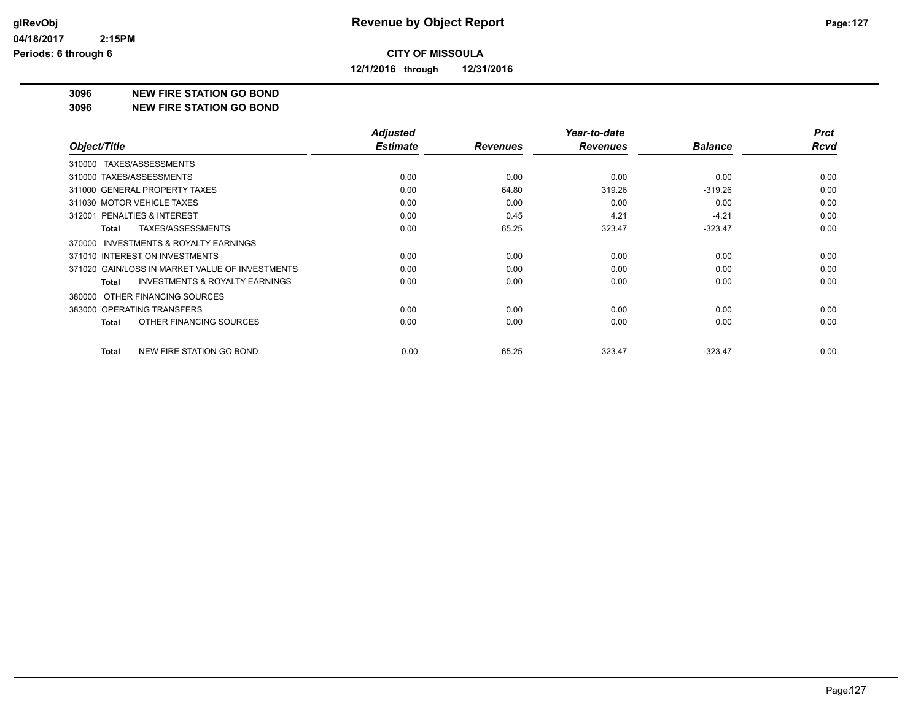**12/1/2016 through 12/31/2016**

**3096 NEW FIRE STATION GO BOND**

**3096 NEW FIRE STATION GO BOND**

|                                                    | <b>Adjusted</b> |                 | Year-to-date    |                | <b>Prct</b> |
|----------------------------------------------------|-----------------|-----------------|-----------------|----------------|-------------|
| Object/Title                                       | <b>Estimate</b> | <b>Revenues</b> | <b>Revenues</b> | <b>Balance</b> | <b>Rcvd</b> |
| 310000 TAXES/ASSESSMENTS                           |                 |                 |                 |                |             |
| 310000 TAXES/ASSESSMENTS                           | 0.00            | 0.00            | 0.00            | 0.00           | 0.00        |
| 311000 GENERAL PROPERTY TAXES                      | 0.00            | 64.80           | 319.26          | $-319.26$      | 0.00        |
| 311030 MOTOR VEHICLE TAXES                         | 0.00            | 0.00            | 0.00            | 0.00           | 0.00        |
| PENALTIES & INTEREST<br>312001                     | 0.00            | 0.45            | 4.21            | $-4.21$        | 0.00        |
| TAXES/ASSESSMENTS<br>Total                         | 0.00            | 65.25           | 323.47          | $-323.47$      | 0.00        |
| 370000 INVESTMENTS & ROYALTY EARNINGS              |                 |                 |                 |                |             |
| 371010 INTEREST ON INVESTMENTS                     | 0.00            | 0.00            | 0.00            | 0.00           | 0.00        |
| 371020 GAIN/LOSS IN MARKET VALUE OF INVESTMENTS    | 0.00            | 0.00            | 0.00            | 0.00           | 0.00        |
| <b>INVESTMENTS &amp; ROYALTY EARNINGS</b><br>Total | 0.00            | 0.00            | 0.00            | 0.00           | 0.00        |
| OTHER FINANCING SOURCES<br>380000                  |                 |                 |                 |                |             |
| 383000 OPERATING TRANSFERS                         | 0.00            | 0.00            | 0.00            | 0.00           | 0.00        |
| OTHER FINANCING SOURCES<br>Total                   | 0.00            | 0.00            | 0.00            | 0.00           | 0.00        |
| <b>NEW FIRE STATION GO BOND</b><br><b>Total</b>    | 0.00            | 65.25           | 323.47          | $-323.47$      | 0.00        |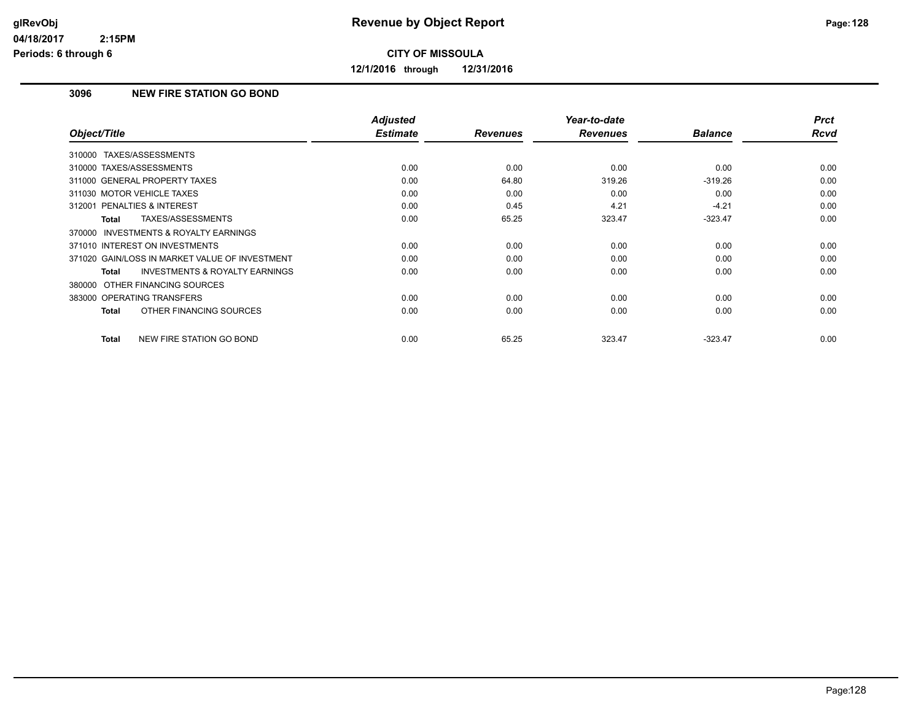**12/1/2016 through 12/31/2016**

#### **3096 NEW FIRE STATION GO BOND**

| Object/Title                                              | <b>Adjusted</b><br><b>Estimate</b> | <b>Revenues</b> | Year-to-date<br><b>Revenues</b> | <b>Balance</b> | <b>Prct</b><br>Rcvd |
|-----------------------------------------------------------|------------------------------------|-----------------|---------------------------------|----------------|---------------------|
|                                                           |                                    |                 |                                 |                |                     |
| 310000 TAXES/ASSESSMENTS                                  |                                    |                 |                                 |                |                     |
| 310000 TAXES/ASSESSMENTS                                  | 0.00                               | 0.00            | 0.00                            | 0.00           | 0.00                |
| 311000 GENERAL PROPERTY TAXES                             | 0.00                               | 64.80           | 319.26                          | $-319.26$      | 0.00                |
| 311030 MOTOR VEHICLE TAXES                                | 0.00                               | 0.00            | 0.00                            | 0.00           | 0.00                |
| 312001 PENALTIES & INTEREST                               | 0.00                               | 0.45            | 4.21                            | $-4.21$        | 0.00                |
| TAXES/ASSESSMENTS<br>Total                                | 0.00                               | 65.25           | 323.47                          | $-323.47$      | 0.00                |
| <b>INVESTMENTS &amp; ROYALTY EARNINGS</b><br>370000       |                                    |                 |                                 |                |                     |
| 371010 INTEREST ON INVESTMENTS                            | 0.00                               | 0.00            | 0.00                            | 0.00           | 0.00                |
| 371020 GAIN/LOSS IN MARKET VALUE OF INVESTMENT            | 0.00                               | 0.00            | 0.00                            | 0.00           | 0.00                |
| <b>INVESTMENTS &amp; ROYALTY EARNINGS</b><br><b>Total</b> | 0.00                               | 0.00            | 0.00                            | 0.00           | 0.00                |
| 380000 OTHER FINANCING SOURCES                            |                                    |                 |                                 |                |                     |
| 383000 OPERATING TRANSFERS                                | 0.00                               | 0.00            | 0.00                            | 0.00           | 0.00                |
| OTHER FINANCING SOURCES<br>Total                          | 0.00                               | 0.00            | 0.00                            | 0.00           | 0.00                |
|                                                           |                                    |                 |                                 |                |                     |
| NEW FIRE STATION GO BOND<br>Total                         | 0.00                               | 65.25           | 323.47                          | $-323.47$      | 0.00                |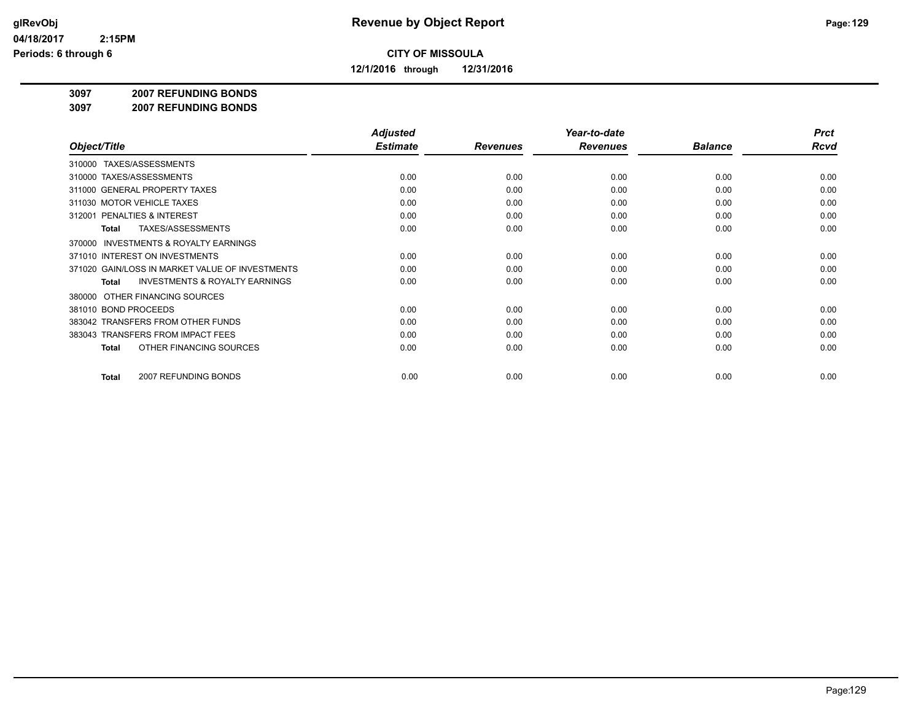**12/1/2016 through 12/31/2016**

**3097 2007 REFUNDING BONDS 3097 2007 REFUNDING BONDS**

|                                                           | <b>Adjusted</b> |                 | Year-to-date    |                | <b>Prct</b> |
|-----------------------------------------------------------|-----------------|-----------------|-----------------|----------------|-------------|
| Object/Title                                              | <b>Estimate</b> | <b>Revenues</b> | <b>Revenues</b> | <b>Balance</b> | <b>Rcvd</b> |
| 310000 TAXES/ASSESSMENTS                                  |                 |                 |                 |                |             |
| 310000 TAXES/ASSESSMENTS                                  | 0.00            | 0.00            | 0.00            | 0.00           | 0.00        |
| 311000 GENERAL PROPERTY TAXES                             | 0.00            | 0.00            | 0.00            | 0.00           | 0.00        |
| 311030 MOTOR VEHICLE TAXES                                | 0.00            | 0.00            | 0.00            | 0.00           | 0.00        |
| <b>PENALTIES &amp; INTEREST</b><br>312001                 | 0.00            | 0.00            | 0.00            | 0.00           | 0.00        |
| TAXES/ASSESSMENTS<br>Total                                | 0.00            | 0.00            | 0.00            | 0.00           | 0.00        |
| <b>INVESTMENTS &amp; ROYALTY EARNINGS</b><br>370000       |                 |                 |                 |                |             |
| 371010 INTEREST ON INVESTMENTS                            | 0.00            | 0.00            | 0.00            | 0.00           | 0.00        |
| 371020 GAIN/LOSS IN MARKET VALUE OF INVESTMENTS           | 0.00            | 0.00            | 0.00            | 0.00           | 0.00        |
| <b>INVESTMENTS &amp; ROYALTY EARNINGS</b><br><b>Total</b> | 0.00            | 0.00            | 0.00            | 0.00           | 0.00        |
| OTHER FINANCING SOURCES<br>380000                         |                 |                 |                 |                |             |
| 381010 BOND PROCEEDS                                      | 0.00            | 0.00            | 0.00            | 0.00           | 0.00        |
| 383042 TRANSFERS FROM OTHER FUNDS                         | 0.00            | 0.00            | 0.00            | 0.00           | 0.00        |
| 383043 TRANSFERS FROM IMPACT FEES                         | 0.00            | 0.00            | 0.00            | 0.00           | 0.00        |
| OTHER FINANCING SOURCES<br>Total                          | 0.00            | 0.00            | 0.00            | 0.00           | 0.00        |
| 2007 REFUNDING BONDS<br>Total                             | 0.00            | 0.00            | 0.00            | 0.00           | 0.00        |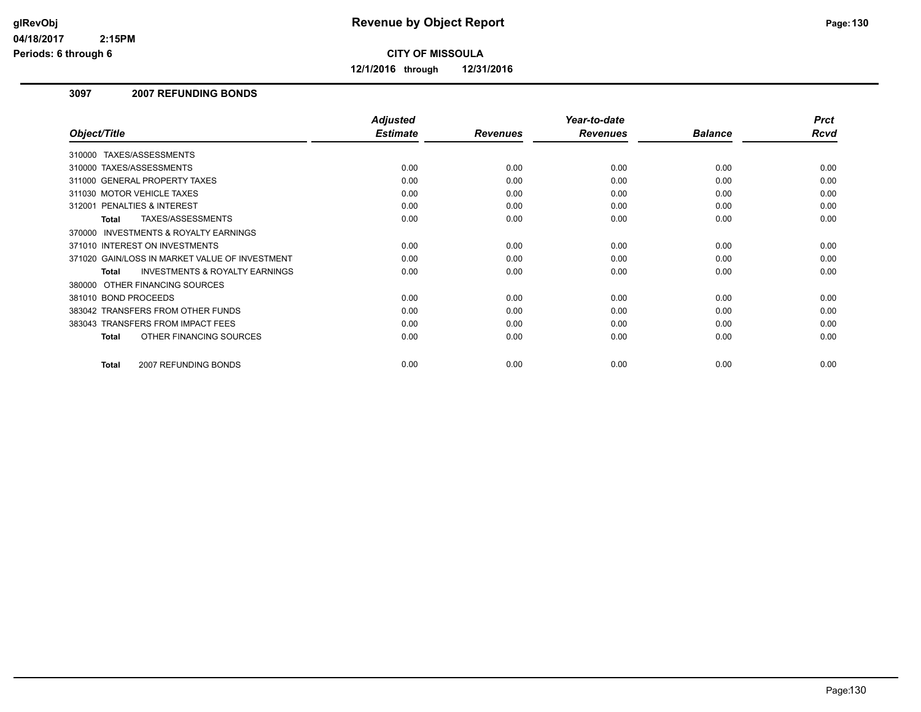**12/1/2016 through 12/31/2016**

#### **3097 2007 REFUNDING BONDS**

|                                                     | <b>Adjusted</b> |                 | Year-to-date    |                | <b>Prct</b> |
|-----------------------------------------------------|-----------------|-----------------|-----------------|----------------|-------------|
| Object/Title                                        | <b>Estimate</b> | <b>Revenues</b> | <b>Revenues</b> | <b>Balance</b> | Rcvd        |
| TAXES/ASSESSMENTS<br>310000                         |                 |                 |                 |                |             |
| 310000 TAXES/ASSESSMENTS                            | 0.00            | 0.00            | 0.00            | 0.00           | 0.00        |
| 311000 GENERAL PROPERTY TAXES                       | 0.00            | 0.00            | 0.00            | 0.00           | 0.00        |
| 311030 MOTOR VEHICLE TAXES                          | 0.00            | 0.00            | 0.00            | 0.00           | 0.00        |
| 312001 PENALTIES & INTEREST                         | 0.00            | 0.00            | 0.00            | 0.00           | 0.00        |
| TAXES/ASSESSMENTS<br>Total                          | 0.00            | 0.00            | 0.00            | 0.00           | 0.00        |
| <b>INVESTMENTS &amp; ROYALTY EARNINGS</b><br>370000 |                 |                 |                 |                |             |
| 371010 INTEREST ON INVESTMENTS                      | 0.00            | 0.00            | 0.00            | 0.00           | 0.00        |
| 371020 GAIN/LOSS IN MARKET VALUE OF INVESTMENT      | 0.00            | 0.00            | 0.00            | 0.00           | 0.00        |
| <b>INVESTMENTS &amp; ROYALTY EARNINGS</b><br>Total  | 0.00            | 0.00            | 0.00            | 0.00           | 0.00        |
| 380000 OTHER FINANCING SOURCES                      |                 |                 |                 |                |             |
| 381010 BOND PROCEEDS                                | 0.00            | 0.00            | 0.00            | 0.00           | 0.00        |
| 383042 TRANSFERS FROM OTHER FUNDS                   | 0.00            | 0.00            | 0.00            | 0.00           | 0.00        |
| 383043 TRANSFERS FROM IMPACT FEES                   | 0.00            | 0.00            | 0.00            | 0.00           | 0.00        |
| OTHER FINANCING SOURCES<br>Total                    | 0.00            | 0.00            | 0.00            | 0.00           | 0.00        |
| 2007 REFUNDING BONDS<br>Total                       | 0.00            | 0.00            | 0.00            | 0.00           | 0.00        |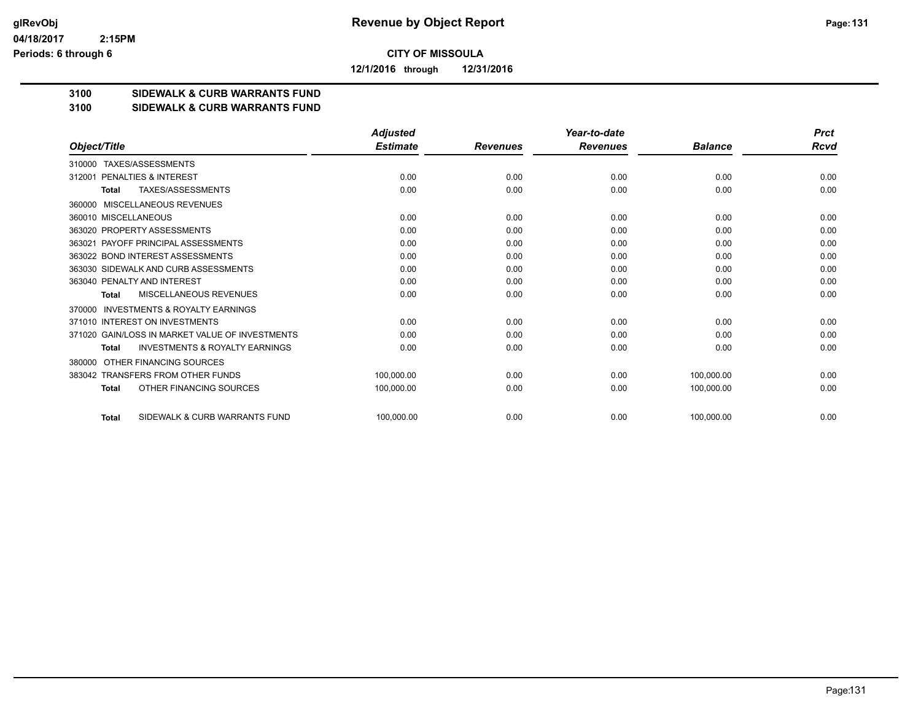**12/1/2016 through 12/31/2016**

#### **3100 SIDEWALK & CURB WARRANTS FUND 3100 SIDEWALK & CURB WARRANTS FUND**

|                                                     | <b>Adjusted</b> |                 | Year-to-date    |                | <b>Prct</b> |
|-----------------------------------------------------|-----------------|-----------------|-----------------|----------------|-------------|
| Object/Title                                        | <b>Estimate</b> | <b>Revenues</b> | <b>Revenues</b> | <b>Balance</b> | Rcvd        |
| TAXES/ASSESSMENTS<br>310000                         |                 |                 |                 |                |             |
| PENALTIES & INTEREST<br>312001                      | 0.00            | 0.00            | 0.00            | 0.00           | 0.00        |
| <b>TAXES/ASSESSMENTS</b><br><b>Total</b>            | 0.00            | 0.00            | 0.00            | 0.00           | 0.00        |
| <b>MISCELLANEOUS REVENUES</b><br>360000             |                 |                 |                 |                |             |
| 360010 MISCELLANEOUS                                | 0.00            | 0.00            | 0.00            | 0.00           | 0.00        |
| PROPERTY ASSESSMENTS<br>363020                      | 0.00            | 0.00            | 0.00            | 0.00           | 0.00        |
| PAYOFF PRINCIPAL ASSESSMENTS<br>363021              | 0.00            | 0.00            | 0.00            | 0.00           | 0.00        |
| 363022 BOND INTEREST ASSESSMENTS                    | 0.00            | 0.00            | 0.00            | 0.00           | 0.00        |
| 363030 SIDEWALK AND CURB ASSESSMENTS                | 0.00            | 0.00            | 0.00            | 0.00           | 0.00        |
| 363040 PENALTY AND INTEREST                         | 0.00            | 0.00            | 0.00            | 0.00           | 0.00        |
| MISCELLANEOUS REVENUES<br>Total                     | 0.00            | 0.00            | 0.00            | 0.00           | 0.00        |
| <b>INVESTMENTS &amp; ROYALTY EARNINGS</b><br>370000 |                 |                 |                 |                |             |
| 371010 INTEREST ON INVESTMENTS                      | 0.00            | 0.00            | 0.00            | 0.00           | 0.00        |
| 371020 GAIN/LOSS IN MARKET VALUE OF INVESTMENTS     | 0.00            | 0.00            | 0.00            | 0.00           | 0.00        |
| <b>INVESTMENTS &amp; ROYALTY EARNINGS</b><br>Total  | 0.00            | 0.00            | 0.00            | 0.00           | 0.00        |
| OTHER FINANCING SOURCES<br>380000                   |                 |                 |                 |                |             |
| 383042 TRANSFERS FROM OTHER FUNDS                   | 100,000.00      | 0.00            | 0.00            | 100,000.00     | 0.00        |
| OTHER FINANCING SOURCES<br><b>Total</b>             | 100,000.00      | 0.00            | 0.00            | 100,000.00     | 0.00        |
| SIDEWALK & CURB WARRANTS FUND<br>Total              | 100,000.00      | 0.00            | 0.00            | 100,000.00     | 0.00        |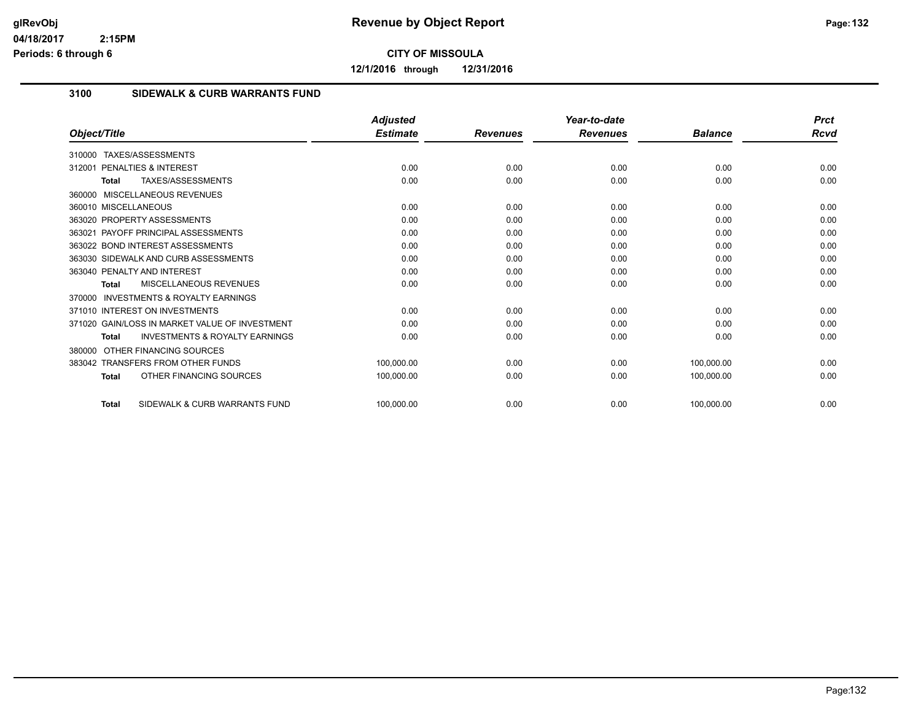**12/1/2016 through 12/31/2016**

#### **3100 SIDEWALK & CURB WARRANTS FUND**

|                                                     | <b>Adjusted</b> |                 | Year-to-date    |                | <b>Prct</b> |
|-----------------------------------------------------|-----------------|-----------------|-----------------|----------------|-------------|
| Object/Title                                        | <b>Estimate</b> | <b>Revenues</b> | <b>Revenues</b> | <b>Balance</b> | <b>Rcvd</b> |
| TAXES/ASSESSMENTS<br>310000                         |                 |                 |                 |                |             |
| 312001 PENALTIES & INTEREST                         | 0.00            | 0.00            | 0.00            | 0.00           | 0.00        |
| TAXES/ASSESSMENTS<br><b>Total</b>                   | 0.00            | 0.00            | 0.00            | 0.00           | 0.00        |
| 360000 MISCELLANEOUS REVENUES                       |                 |                 |                 |                |             |
| 360010 MISCELLANEOUS                                | 0.00            | 0.00            | 0.00            | 0.00           | 0.00        |
| 363020 PROPERTY ASSESSMENTS                         | 0.00            | 0.00            | 0.00            | 0.00           | 0.00        |
| 363021 PAYOFF PRINCIPAL ASSESSMENTS                 | 0.00            | 0.00            | 0.00            | 0.00           | 0.00        |
| 363022 BOND INTEREST ASSESSMENTS                    | 0.00            | 0.00            | 0.00            | 0.00           | 0.00        |
| 363030 SIDEWALK AND CURB ASSESSMENTS                | 0.00            | 0.00            | 0.00            | 0.00           | 0.00        |
| 363040 PENALTY AND INTEREST                         | 0.00            | 0.00            | 0.00            | 0.00           | 0.00        |
| MISCELLANEOUS REVENUES<br>Total                     | 0.00            | 0.00            | 0.00            | 0.00           | 0.00        |
| <b>INVESTMENTS &amp; ROYALTY EARNINGS</b><br>370000 |                 |                 |                 |                |             |
| 371010 INTEREST ON INVESTMENTS                      | 0.00            | 0.00            | 0.00            | 0.00           | 0.00        |
| 371020 GAIN/LOSS IN MARKET VALUE OF INVESTMENT      | 0.00            | 0.00            | 0.00            | 0.00           | 0.00        |
| <b>INVESTMENTS &amp; ROYALTY EARNINGS</b><br>Total  | 0.00            | 0.00            | 0.00            | 0.00           | 0.00        |
| OTHER FINANCING SOURCES<br>380000                   |                 |                 |                 |                |             |
| 383042 TRANSFERS FROM OTHER FUNDS                   | 100,000.00      | 0.00            | 0.00            | 100,000.00     | 0.00        |
| OTHER FINANCING SOURCES<br><b>Total</b>             | 100,000.00      | 0.00            | 0.00            | 100,000.00     | 0.00        |
| SIDEWALK & CURB WARRANTS FUND<br><b>Total</b>       | 100.000.00      | 0.00            | 0.00            | 100.000.00     | 0.00        |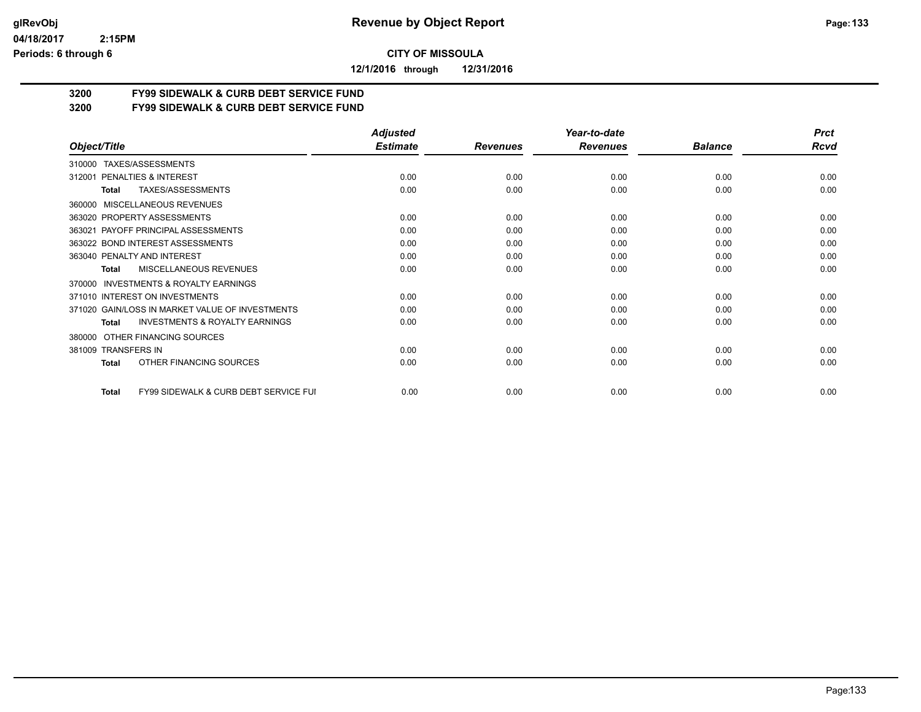**12/1/2016 through 12/31/2016**

#### **3200 FY99 SIDEWALK & CURB DEBT SERVICE FUND 3200 FY99 SIDEWALK & CURB DEBT SERVICE FUND**

|                                                                  | <b>Adjusted</b> |                 | Year-to-date    |                | <b>Prct</b> |
|------------------------------------------------------------------|-----------------|-----------------|-----------------|----------------|-------------|
| Object/Title                                                     | <b>Estimate</b> | <b>Revenues</b> | <b>Revenues</b> | <b>Balance</b> | <b>Rcvd</b> |
| 310000 TAXES/ASSESSMENTS                                         |                 |                 |                 |                |             |
| PENALTIES & INTEREST<br>312001                                   | 0.00            | 0.00            | 0.00            | 0.00           | 0.00        |
| TAXES/ASSESSMENTS<br>Total                                       | 0.00            | 0.00            | 0.00            | 0.00           | 0.00        |
| MISCELLANEOUS REVENUES<br>360000                                 |                 |                 |                 |                |             |
| 363020 PROPERTY ASSESSMENTS                                      | 0.00            | 0.00            | 0.00            | 0.00           | 0.00        |
| PAYOFF PRINCIPAL ASSESSMENTS<br>363021                           | 0.00            | 0.00            | 0.00            | 0.00           | 0.00        |
| 363022 BOND INTEREST ASSESSMENTS                                 | 0.00            | 0.00            | 0.00            | 0.00           | 0.00        |
| 363040 PENALTY AND INTEREST                                      | 0.00            | 0.00            | 0.00            | 0.00           | 0.00        |
| <b>MISCELLANEOUS REVENUES</b><br><b>Total</b>                    | 0.00            | 0.00            | 0.00            | 0.00           | 0.00        |
| <b>INVESTMENTS &amp; ROYALTY EARNINGS</b><br>370000              |                 |                 |                 |                |             |
| 371010 INTEREST ON INVESTMENTS                                   | 0.00            | 0.00            | 0.00            | 0.00           | 0.00        |
| 371020 GAIN/LOSS IN MARKET VALUE OF INVESTMENTS                  | 0.00            | 0.00            | 0.00            | 0.00           | 0.00        |
| <b>INVESTMENTS &amp; ROYALTY EARNINGS</b><br><b>Total</b>        | 0.00            | 0.00            | 0.00            | 0.00           | 0.00        |
| OTHER FINANCING SOURCES<br>380000                                |                 |                 |                 |                |             |
| 381009 TRANSFERS IN                                              | 0.00            | 0.00            | 0.00            | 0.00           | 0.00        |
| OTHER FINANCING SOURCES<br><b>Total</b>                          | 0.00            | 0.00            | 0.00            | 0.00           | 0.00        |
|                                                                  |                 |                 |                 |                |             |
| <b>FY99 SIDEWALK &amp; CURB DEBT SERVICE FUI</b><br><b>Total</b> | 0.00            | 0.00            | 0.00            | 0.00           | 0.00        |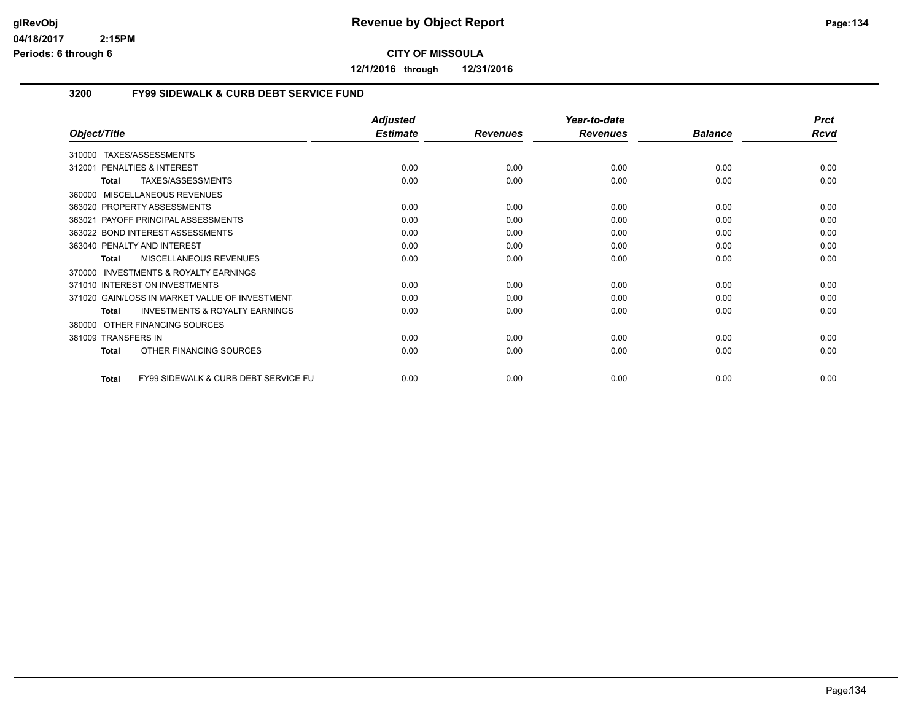**12/1/2016 through 12/31/2016**

#### **3200 FY99 SIDEWALK & CURB DEBT SERVICE FUND**

|                                                           | <b>Adjusted</b> |                 | Year-to-date    |                | <b>Prct</b> |
|-----------------------------------------------------------|-----------------|-----------------|-----------------|----------------|-------------|
| Object/Title                                              | <b>Estimate</b> | <b>Revenues</b> | <b>Revenues</b> | <b>Balance</b> | <b>Rcvd</b> |
| TAXES/ASSESSMENTS<br>310000                               |                 |                 |                 |                |             |
| PENALTIES & INTEREST<br>312001                            | 0.00            | 0.00            | 0.00            | 0.00           | 0.00        |
| TAXES/ASSESSMENTS<br>Total                                | 0.00            | 0.00            | 0.00            | 0.00           | 0.00        |
| MISCELLANEOUS REVENUES<br>360000                          |                 |                 |                 |                |             |
| 363020 PROPERTY ASSESSMENTS                               | 0.00            | 0.00            | 0.00            | 0.00           | 0.00        |
| 363021 PAYOFF PRINCIPAL ASSESSMENTS                       | 0.00            | 0.00            | 0.00            | 0.00           | 0.00        |
| 363022 BOND INTEREST ASSESSMENTS                          | 0.00            | 0.00            | 0.00            | 0.00           | 0.00        |
| 363040 PENALTY AND INTEREST                               | 0.00            | 0.00            | 0.00            | 0.00           | 0.00        |
| MISCELLANEOUS REVENUES<br><b>Total</b>                    | 0.00            | 0.00            | 0.00            | 0.00           | 0.00        |
| <b>INVESTMENTS &amp; ROYALTY EARNINGS</b><br>370000       |                 |                 |                 |                |             |
| 371010 INTEREST ON INVESTMENTS                            | 0.00            | 0.00            | 0.00            | 0.00           | 0.00        |
| 371020 GAIN/LOSS IN MARKET VALUE OF INVESTMENT            | 0.00            | 0.00            | 0.00            | 0.00           | 0.00        |
| <b>INVESTMENTS &amp; ROYALTY EARNINGS</b><br><b>Total</b> | 0.00            | 0.00            | 0.00            | 0.00           | 0.00        |
| OTHER FINANCING SOURCES<br>380000                         |                 |                 |                 |                |             |
| 381009 TRANSFERS IN                                       | 0.00            | 0.00            | 0.00            | 0.00           | 0.00        |
| OTHER FINANCING SOURCES<br>Total                          | 0.00            | 0.00            | 0.00            | 0.00           | 0.00        |
| FY99 SIDEWALK & CURB DEBT SERVICE FU<br><b>Total</b>      | 0.00            | 0.00            | 0.00            | 0.00           | 0.00        |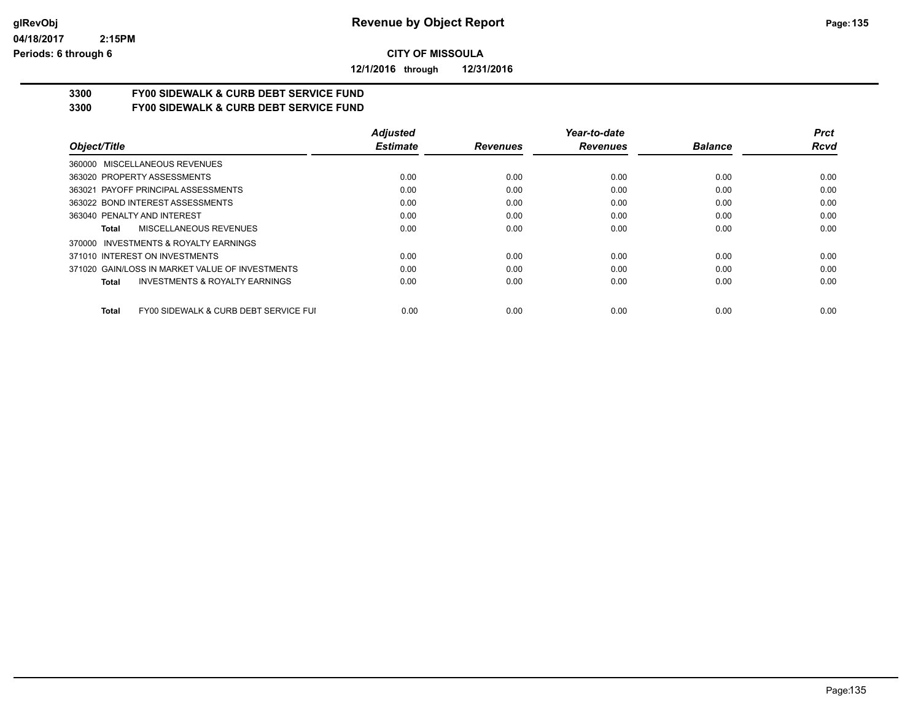**12/1/2016 through 12/31/2016**

#### **3300 FY00 SIDEWALK & CURB DEBT SERVICE FUND 3300 FY00 SIDEWALK & CURB DEBT SERVICE FUND**

|                                                       | <b>Adjusted</b> |                 | Year-to-date    |                | <b>Prct</b> |
|-------------------------------------------------------|-----------------|-----------------|-----------------|----------------|-------------|
| Object/Title                                          | <b>Estimate</b> | <b>Revenues</b> | <b>Revenues</b> | <b>Balance</b> | <b>Rcvd</b> |
| 360000 MISCELLANEOUS REVENUES                         |                 |                 |                 |                |             |
| 363020 PROPERTY ASSESSMENTS                           | 0.00            | 0.00            | 0.00            | 0.00           | 0.00        |
| 363021 PAYOFF PRINCIPAL ASSESSMENTS                   | 0.00            | 0.00            | 0.00            | 0.00           | 0.00        |
| 363022 BOND INTEREST ASSESSMENTS                      | 0.00            | 0.00            | 0.00            | 0.00           | 0.00        |
| 363040 PENALTY AND INTEREST                           | 0.00            | 0.00            | 0.00            | 0.00           | 0.00        |
| MISCELLANEOUS REVENUES<br>Total                       | 0.00            | 0.00            | 0.00            | 0.00           | 0.00        |
| INVESTMENTS & ROYALTY EARNINGS<br>370000              |                 |                 |                 |                |             |
| 371010 INTEREST ON INVESTMENTS                        | 0.00            | 0.00            | 0.00            | 0.00           | 0.00        |
| 371020 GAIN/LOSS IN MARKET VALUE OF INVESTMENTS       | 0.00            | 0.00            | 0.00            | 0.00           | 0.00        |
| <b>INVESTMENTS &amp; ROYALTY EARNINGS</b><br>Total    | 0.00            | 0.00            | 0.00            | 0.00           | 0.00        |
| FY00 SIDEWALK & CURB DEBT SERVICE FUI<br><b>Total</b> | 0.00            | 0.00            | 0.00            | 0.00           | 0.00        |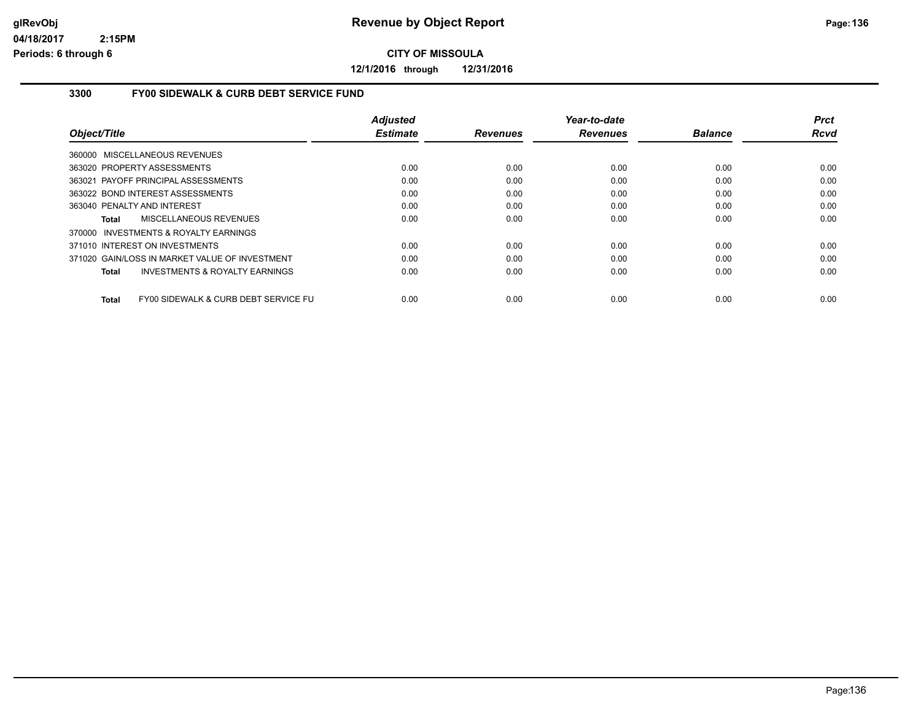**12/1/2016 through 12/31/2016**

#### **3300 FY00 SIDEWALK & CURB DEBT SERVICE FUND**

| Object/Title                                         | <b>Adjusted</b><br><b>Estimate</b> | <b>Revenues</b> | Year-to-date<br><b>Revenues</b> | <b>Balance</b> | <b>Prct</b><br><b>Rcvd</b> |
|------------------------------------------------------|------------------------------------|-----------------|---------------------------------|----------------|----------------------------|
| 360000 MISCELLANEOUS REVENUES                        |                                    |                 |                                 |                |                            |
| 363020 PROPERTY ASSESSMENTS                          | 0.00                               | 0.00            | 0.00                            | 0.00           | 0.00                       |
| 363021 PAYOFF PRINCIPAL ASSESSMENTS                  | 0.00                               | 0.00            | 0.00                            | 0.00           | 0.00                       |
| 363022 BOND INTEREST ASSESSMENTS                     | 0.00                               | 0.00            | 0.00                            | 0.00           | 0.00                       |
| 363040 PENALTY AND INTEREST                          | 0.00                               | 0.00            | 0.00                            | 0.00           | 0.00                       |
| MISCELLANEOUS REVENUES<br>Total                      | 0.00                               | 0.00            | 0.00                            | 0.00           | 0.00                       |
| INVESTMENTS & ROYALTY EARNINGS<br>370000             |                                    |                 |                                 |                |                            |
| 371010 INTEREST ON INVESTMENTS                       | 0.00                               | 0.00            | 0.00                            | 0.00           | 0.00                       |
| 371020 GAIN/LOSS IN MARKET VALUE OF INVESTMENT       | 0.00                               | 0.00            | 0.00                            | 0.00           | 0.00                       |
| <b>INVESTMENTS &amp; ROYALTY EARNINGS</b><br>Total   | 0.00                               | 0.00            | 0.00                            | 0.00           | 0.00                       |
|                                                      |                                    |                 |                                 |                |                            |
| FY00 SIDEWALK & CURB DEBT SERVICE FU<br><b>Total</b> | 0.00                               | 0.00            | 0.00                            | 0.00           | 0.00                       |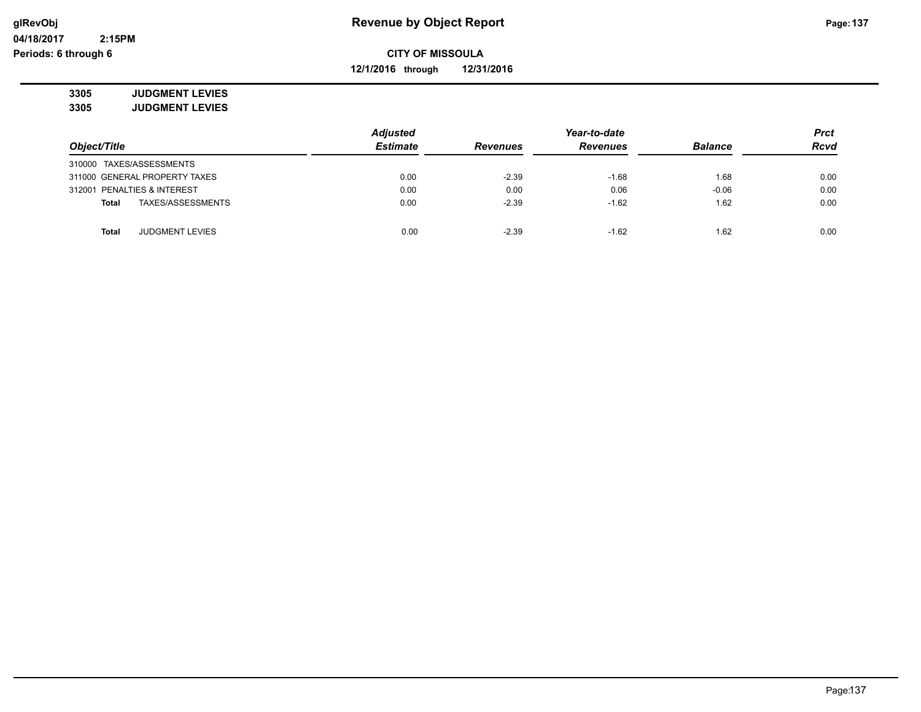## **CITY OF MISSOULA 12/1/2016 through 12/31/2016**

**3305 JUDGMENT LEVIES 3305 JUDGMENT LEVIES**

|                                   | <b>Adjusted</b> |                 | Year-to-date    |                | <b>Prct</b> |
|-----------------------------------|-----------------|-----------------|-----------------|----------------|-------------|
| Object/Title                      | <b>Estimate</b> | <b>Revenues</b> | <b>Revenues</b> | <b>Balance</b> | <b>Rcvd</b> |
| 310000 TAXES/ASSESSMENTS          |                 |                 |                 |                |             |
| 311000 GENERAL PROPERTY TAXES     | 0.00            | $-2.39$         | $-1.68$         | 1.68           | 0.00        |
| 312001 PENALTIES & INTEREST       | 0.00            | 0.00            | 0.06            | $-0.06$        | 0.00        |
| TAXES/ASSESSMENTS<br><b>Total</b> | 0.00            | $-2.39$         | $-1.62$         | 1.62           | 0.00        |
| <b>JUDGMENT LEVIES</b><br>Total   | 0.00            | $-2.39$         | $-1.62$         | 1.62           | 0.00        |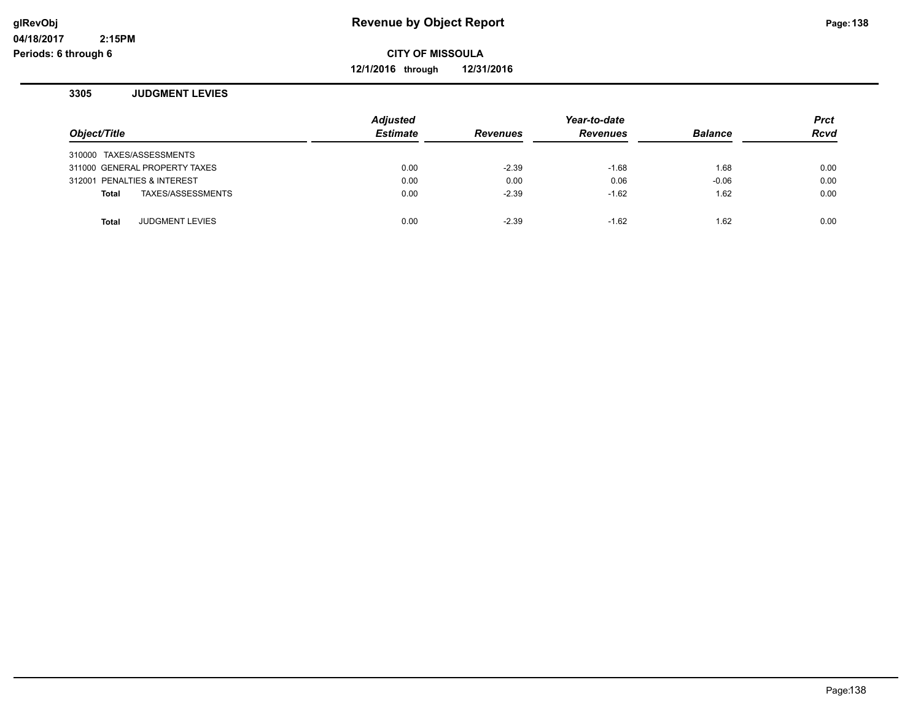**12/1/2016 through 12/31/2016**

#### **3305 JUDGMENT LEVIES**

| Object/Title                    | <b>Adjusted</b><br><b>Estimate</b> | <b>Revenues</b> | Year-to-date<br><b>Revenues</b> | <b>Balance</b> | <b>Prct</b><br><b>Rcvd</b> |
|---------------------------------|------------------------------------|-----------------|---------------------------------|----------------|----------------------------|
| 310000 TAXES/ASSESSMENTS        |                                    |                 |                                 |                |                            |
| 311000 GENERAL PROPERTY TAXES   | 0.00                               | $-2.39$         | $-1.68$                         | 1.68           | 0.00                       |
| 312001 PENALTIES & INTEREST     | 0.00                               | 0.00            | 0.06                            | $-0.06$        | 0.00                       |
| TAXES/ASSESSMENTS<br>Total      | 0.00                               | $-2.39$         | $-1.62$                         | 1.62           | 0.00                       |
|                                 |                                    |                 |                                 |                |                            |
| <b>JUDGMENT LEVIES</b><br>Total | 0.00                               | $-2.39$         | $-1.62$                         | 1.62           | 0.00                       |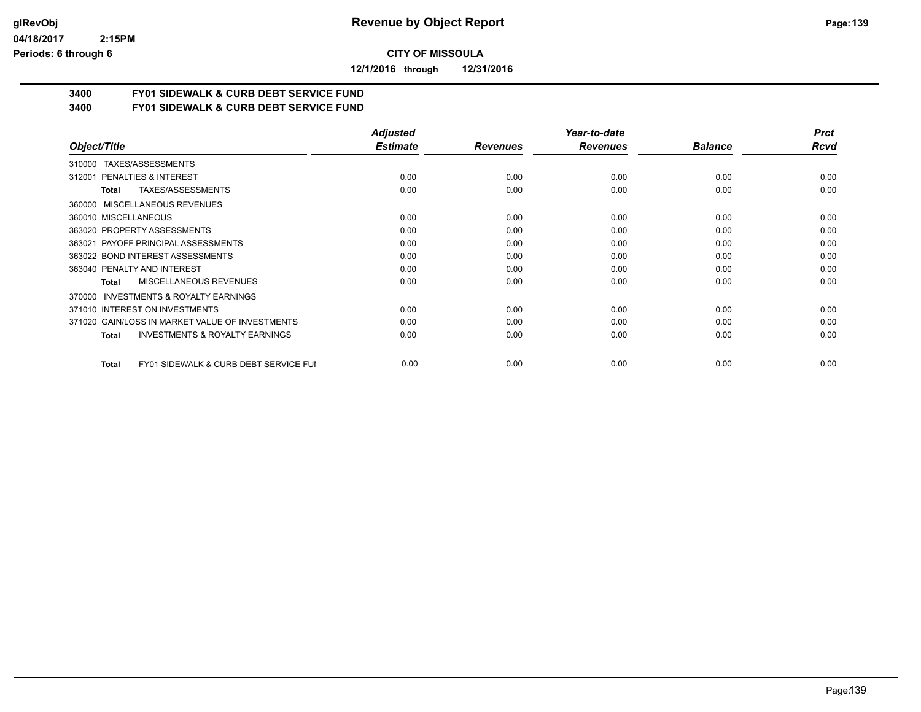**12/1/2016 through 12/31/2016**

#### **3400 FY01 SIDEWALK & CURB DEBT SERVICE FUND 3400 FY01 SIDEWALK & CURB DEBT SERVICE FUND**

|                                                                  | <b>Adjusted</b> |                 | Year-to-date    |                | <b>Prct</b> |
|------------------------------------------------------------------|-----------------|-----------------|-----------------|----------------|-------------|
| Object/Title                                                     | <b>Estimate</b> | <b>Revenues</b> | <b>Revenues</b> | <b>Balance</b> | Rcvd        |
| TAXES/ASSESSMENTS<br>310000                                      |                 |                 |                 |                |             |
| 312001 PENALTIES & INTEREST                                      | 0.00            | 0.00            | 0.00            | 0.00           | 0.00        |
| TAXES/ASSESSMENTS<br>Total                                       | 0.00            | 0.00            | 0.00            | 0.00           | 0.00        |
| 360000 MISCELLANEOUS REVENUES                                    |                 |                 |                 |                |             |
| 360010 MISCELLANEOUS                                             | 0.00            | 0.00            | 0.00            | 0.00           | 0.00        |
| 363020 PROPERTY ASSESSMENTS                                      | 0.00            | 0.00            | 0.00            | 0.00           | 0.00        |
| 363021 PAYOFF PRINCIPAL ASSESSMENTS                              | 0.00            | 0.00            | 0.00            | 0.00           | 0.00        |
| 363022 BOND INTEREST ASSESSMENTS                                 | 0.00            | 0.00            | 0.00            | 0.00           | 0.00        |
| 363040 PENALTY AND INTEREST                                      | 0.00            | 0.00            | 0.00            | 0.00           | 0.00        |
| <b>MISCELLANEOUS REVENUES</b><br>Total                           | 0.00            | 0.00            | 0.00            | 0.00           | 0.00        |
| <b>INVESTMENTS &amp; ROYALTY EARNINGS</b><br>370000              |                 |                 |                 |                |             |
| 371010 INTEREST ON INVESTMENTS                                   | 0.00            | 0.00            | 0.00            | 0.00           | 0.00        |
| 371020 GAIN/LOSS IN MARKET VALUE OF INVESTMENTS                  | 0.00            | 0.00            | 0.00            | 0.00           | 0.00        |
| <b>INVESTMENTS &amp; ROYALTY EARNINGS</b><br>Total               | 0.00            | 0.00            | 0.00            | 0.00           | 0.00        |
| <b>FY01 SIDEWALK &amp; CURB DEBT SERVICE FUI</b><br><b>Total</b> | 0.00            | 0.00            | 0.00            | 0.00           | 0.00        |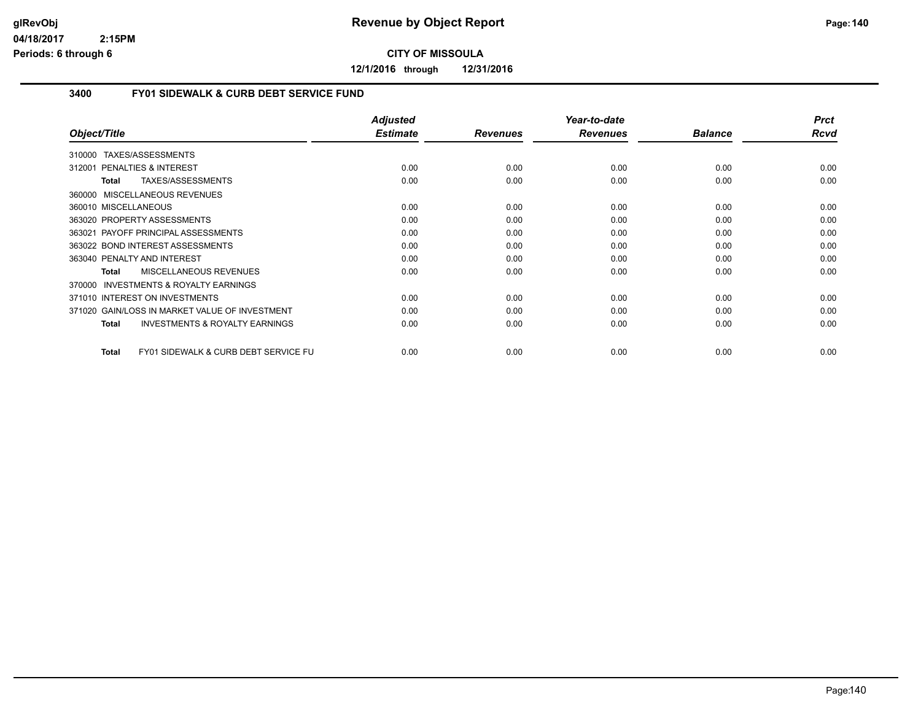**12/1/2016 through 12/31/2016**

#### **3400 FY01 SIDEWALK & CURB DEBT SERVICE FUND**

|                                                           | <b>Adjusted</b> |                 | Year-to-date    |                | <b>Prct</b> |
|-----------------------------------------------------------|-----------------|-----------------|-----------------|----------------|-------------|
| Object/Title                                              | <b>Estimate</b> | <b>Revenues</b> | <b>Revenues</b> | <b>Balance</b> | <b>Rcvd</b> |
| TAXES/ASSESSMENTS<br>310000                               |                 |                 |                 |                |             |
| 312001 PENALTIES & INTEREST                               | 0.00            | 0.00            | 0.00            | 0.00           | 0.00        |
| TAXES/ASSESSMENTS<br>Total                                | 0.00            | 0.00            | 0.00            | 0.00           | 0.00        |
| 360000 MISCELLANEOUS REVENUES                             |                 |                 |                 |                |             |
| 360010 MISCELLANEOUS                                      | 0.00            | 0.00            | 0.00            | 0.00           | 0.00        |
| 363020 PROPERTY ASSESSMENTS                               | 0.00            | 0.00            | 0.00            | 0.00           | 0.00        |
| 363021 PAYOFF PRINCIPAL ASSESSMENTS                       | 0.00            | 0.00            | 0.00            | 0.00           | 0.00        |
| 363022 BOND INTEREST ASSESSMENTS                          | 0.00            | 0.00            | 0.00            | 0.00           | 0.00        |
| 363040 PENALTY AND INTEREST                               | 0.00            | 0.00            | 0.00            | 0.00           | 0.00        |
| MISCELLANEOUS REVENUES<br>Total                           | 0.00            | 0.00            | 0.00            | 0.00           | 0.00        |
| INVESTMENTS & ROYALTY EARNINGS<br>370000                  |                 |                 |                 |                |             |
| 371010 INTEREST ON INVESTMENTS                            | 0.00            | 0.00            | 0.00            | 0.00           | 0.00        |
| 371020 GAIN/LOSS IN MARKET VALUE OF INVESTMENT            | 0.00            | 0.00            | 0.00            | 0.00           | 0.00        |
| <b>INVESTMENTS &amp; ROYALTY EARNINGS</b><br><b>Total</b> | 0.00            | 0.00            | 0.00            | 0.00           | 0.00        |
| FY01 SIDEWALK & CURB DEBT SERVICE FU<br>Total             | 0.00            | 0.00            | 0.00            | 0.00           | 0.00        |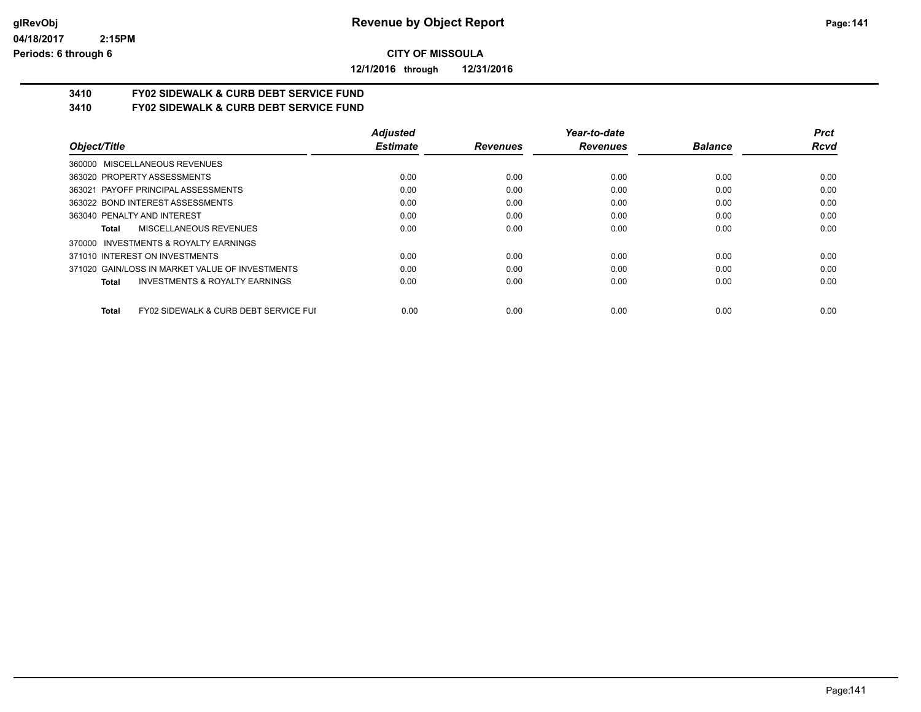*Prct Rcvd*

# **CITY OF MISSOULA**

**12/1/2016 through 12/31/2016**

#### **3410 FY02 SIDEWALK & CURB DEBT SERVICE FUND 3410 FY02 SIDEWALK & CURB DEBT SERVICE FUND**

|                                                           | <b>Adjusted</b> |                 | Year-to-date    |                | <b>Prct</b> |
|-----------------------------------------------------------|-----------------|-----------------|-----------------|----------------|-------------|
| Object/Title                                              | <b>Estimate</b> | <b>Revenues</b> | <b>Revenues</b> | <b>Balance</b> | Rcvd        |
| 360000 MISCELLANEOUS REVENUES                             |                 |                 |                 |                |             |
| 363020 PROPERTY ASSESSMENTS                               | 0.00            | 0.00            | 0.00            | 0.00           | 0.00        |
| 363021 PAYOFF PRINCIPAL ASSESSMENTS                       | 0.00            | 0.00            | 0.00            | 0.00           | 0.00        |
| 363022 BOND INTEREST ASSESSMENTS                          | 0.00            | 0.00            | 0.00            | 0.00           | 0.00        |
| 363040 PENALTY AND INTEREST                               | 0.00            | 0.00            | 0.00            | 0.00           | 0.00        |
| <b>MISCELLANEOUS REVENUES</b><br><b>Total</b>             | 0.00            | 0.00            | 0.00            | 0.00           | 0.00        |
| INVESTMENTS & ROYALTY EARNINGS<br>370000                  |                 |                 |                 |                |             |
| 371010 INTEREST ON INVESTMENTS                            | 0.00            | 0.00            | 0.00            | 0.00           | 0.00        |
| 371020 GAIN/LOSS IN MARKET VALUE OF INVESTMENTS           | 0.00            | 0.00            | 0.00            | 0.00           | 0.00        |
| <b>INVESTMENTS &amp; ROYALTY EARNINGS</b><br><b>Total</b> | 0.00            | 0.00            | 0.00            | 0.00           | 0.00        |
| <b>FY02 SIDEWALK &amp; CURB DEBT SERVICE FUI</b><br>Total | 0.00            | 0.00            | 0.00            | 0.00           | 0.00        |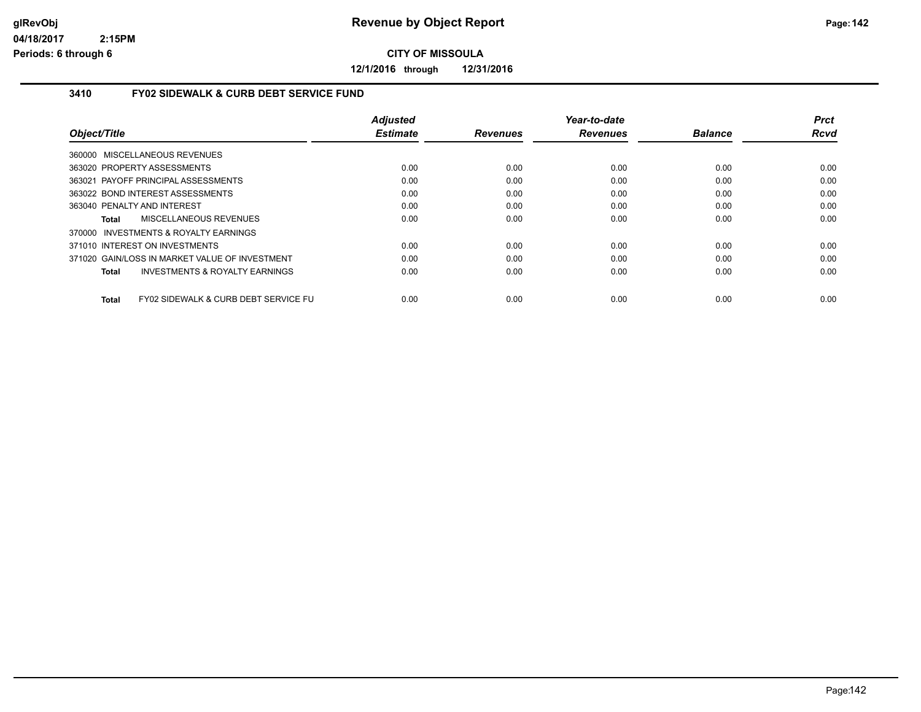**12/1/2016 through 12/31/2016**

#### **3410 FY02 SIDEWALK & CURB DEBT SERVICE FUND**

| Object/Title                                         | <b>Adjusted</b><br><b>Estimate</b> | <b>Revenues</b> | Year-to-date<br><b>Revenues</b> | <b>Balance</b> | <b>Prct</b><br><b>Rcvd</b> |
|------------------------------------------------------|------------------------------------|-----------------|---------------------------------|----------------|----------------------------|
| 360000 MISCELLANEOUS REVENUES                        |                                    |                 |                                 |                |                            |
| 363020 PROPERTY ASSESSMENTS                          | 0.00                               | 0.00            | 0.00                            | 0.00           | 0.00                       |
| 363021 PAYOFF PRINCIPAL ASSESSMENTS                  |                                    |                 |                                 |                |                            |
|                                                      | 0.00                               | 0.00            | 0.00                            | 0.00           | 0.00                       |
| 363022 BOND INTEREST ASSESSMENTS                     | 0.00                               | 0.00            | 0.00                            | 0.00           | 0.00                       |
| 363040 PENALTY AND INTEREST                          | 0.00                               | 0.00            | 0.00                            | 0.00           | 0.00                       |
| MISCELLANEOUS REVENUES<br>Total                      | 0.00                               | 0.00            | 0.00                            | 0.00           | 0.00                       |
| INVESTMENTS & ROYALTY EARNINGS<br>370000             |                                    |                 |                                 |                |                            |
| 371010 INTEREST ON INVESTMENTS                       | 0.00                               | 0.00            | 0.00                            | 0.00           | 0.00                       |
| 371020 GAIN/LOSS IN MARKET VALUE OF INVESTMENT       | 0.00                               | 0.00            | 0.00                            | 0.00           | 0.00                       |
| <b>INVESTMENTS &amp; ROYALTY EARNINGS</b><br>Total   | 0.00                               | 0.00            | 0.00                            | 0.00           | 0.00                       |
| FY02 SIDEWALK & CURB DEBT SERVICE FU<br><b>Total</b> | 0.00                               | 0.00            | 0.00                            | 0.00           | 0.00                       |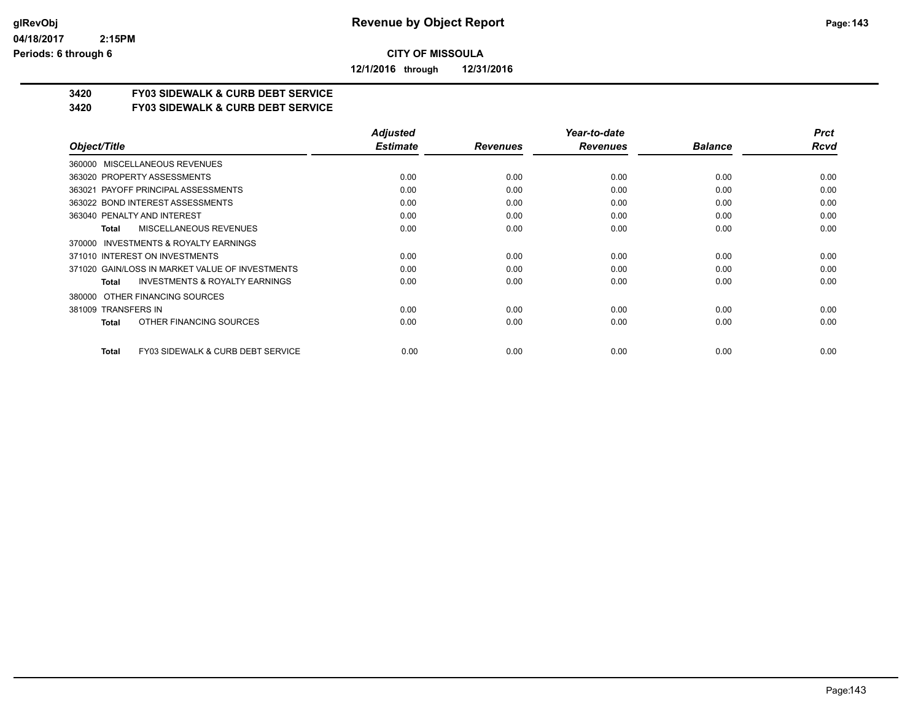**12/1/2016 through 12/31/2016**

#### **3420 FY03 SIDEWALK & CURB DEBT SERVICE 3420 FY03 SIDEWALK & CURB DEBT SERVICE**

| 3420 | <b>FYU3 SIDEWALK &amp; CURB DEBI SERVICE</b> |   |
|------|----------------------------------------------|---|
|      |                                              | . |

| Object/Title                                        | <b>Adjusted</b><br><b>Estimate</b> | <b>Revenues</b> | Year-to-date<br><b>Revenues</b> | <b>Balance</b> | <b>Prct</b><br>Rcvd |
|-----------------------------------------------------|------------------------------------|-----------------|---------------------------------|----------------|---------------------|
| 360000 MISCELLANEOUS REVENUES                       |                                    |                 |                                 |                |                     |
| 363020 PROPERTY ASSESSMENTS                         | 0.00                               | 0.00            | 0.00                            | 0.00           | 0.00                |
| 363021 PAYOFF PRINCIPAL ASSESSMENTS                 | 0.00                               | 0.00            | 0.00                            | 0.00           | 0.00                |
| 363022 BOND INTEREST ASSESSMENTS                    | 0.00                               | 0.00            | 0.00                            | 0.00           | 0.00                |
| 363040 PENALTY AND INTEREST                         | 0.00                               | 0.00            | 0.00                            | 0.00           | 0.00                |
| MISCELLANEOUS REVENUES<br><b>Total</b>              | 0.00                               | 0.00            | 0.00                            | 0.00           | 0.00                |
| <b>INVESTMENTS &amp; ROYALTY EARNINGS</b><br>370000 |                                    |                 |                                 |                |                     |
| 371010 INTEREST ON INVESTMENTS                      | 0.00                               | 0.00            | 0.00                            | 0.00           | 0.00                |
| 371020 GAIN/LOSS IN MARKET VALUE OF INVESTMENTS     | 0.00                               | 0.00            | 0.00                            | 0.00           | 0.00                |
| <b>INVESTMENTS &amp; ROYALTY EARNINGS</b><br>Total  | 0.00                               | 0.00            | 0.00                            | 0.00           | 0.00                |
| 380000 OTHER FINANCING SOURCES                      |                                    |                 |                                 |                |                     |
| 381009 TRANSFERS IN                                 | 0.00                               | 0.00            | 0.00                            | 0.00           | 0.00                |
| OTHER FINANCING SOURCES<br>Total                    | 0.00                               | 0.00            | 0.00                            | 0.00           | 0.00                |
| FY03 SIDEWALK & CURB DEBT SERVICE<br><b>Total</b>   | 0.00                               | 0.00            | 0.00                            | 0.00           | 0.00                |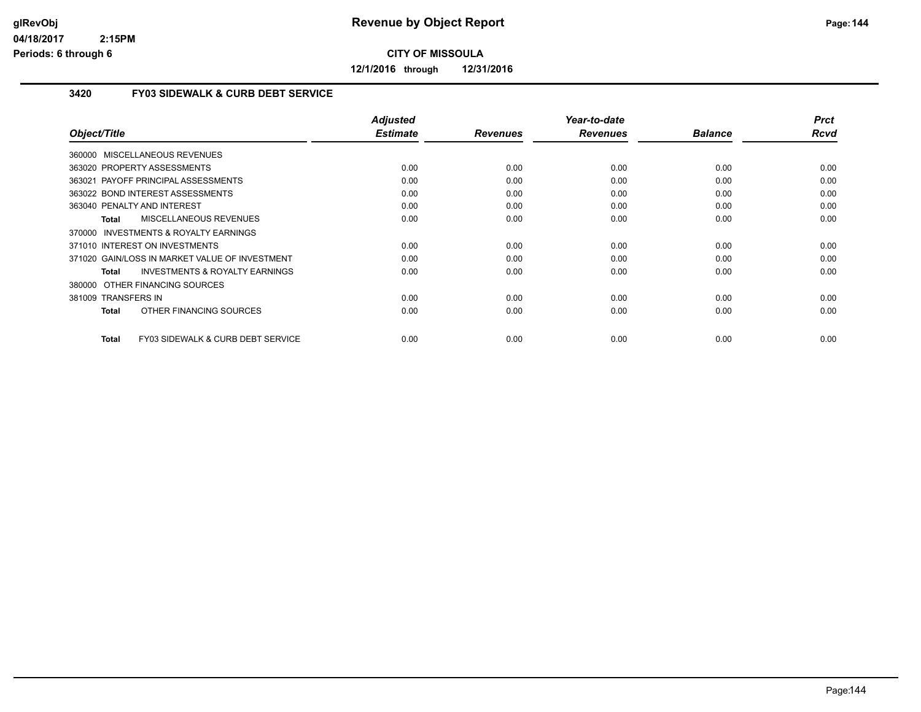**12/1/2016 through 12/31/2016**

#### **3420 FY03 SIDEWALK & CURB DEBT SERVICE**

| Object/Title                                              | <b>Adjusted</b><br><b>Estimate</b> | <b>Revenues</b> | Year-to-date<br><b>Revenues</b> | <b>Balance</b> | <b>Prct</b><br>Rcvd |
|-----------------------------------------------------------|------------------------------------|-----------------|---------------------------------|----------------|---------------------|
| 360000 MISCELLANEOUS REVENUES                             |                                    |                 |                                 |                |                     |
| 363020 PROPERTY ASSESSMENTS                               | 0.00                               | 0.00            | 0.00                            | 0.00           | 0.00                |
| 363021 PAYOFF PRINCIPAL ASSESSMENTS                       | 0.00                               | 0.00            | 0.00                            | 0.00           | 0.00                |
| 363022 BOND INTEREST ASSESSMENTS                          | 0.00                               | 0.00            | 0.00                            | 0.00           | 0.00                |
| 363040 PENALTY AND INTEREST                               | 0.00                               | 0.00            | 0.00                            | 0.00           | 0.00                |
| <b>MISCELLANEOUS REVENUES</b><br>Total                    | 0.00                               | 0.00            | 0.00                            | 0.00           | 0.00                |
| <b>INVESTMENTS &amp; ROYALTY EARNINGS</b><br>370000       |                                    |                 |                                 |                |                     |
| 371010 INTEREST ON INVESTMENTS                            | 0.00                               | 0.00            | 0.00                            | 0.00           | 0.00                |
| 371020 GAIN/LOSS IN MARKET VALUE OF INVESTMENT            | 0.00                               | 0.00            | 0.00                            | 0.00           | 0.00                |
| <b>INVESTMENTS &amp; ROYALTY EARNINGS</b><br><b>Total</b> | 0.00                               | 0.00            | 0.00                            | 0.00           | 0.00                |
| 380000 OTHER FINANCING SOURCES                            |                                    |                 |                                 |                |                     |
| 381009 TRANSFERS IN                                       | 0.00                               | 0.00            | 0.00                            | 0.00           | 0.00                |
| OTHER FINANCING SOURCES<br><b>Total</b>                   | 0.00                               | 0.00            | 0.00                            | 0.00           | 0.00                |
| FY03 SIDEWALK & CURB DEBT SERVICE<br><b>Total</b>         | 0.00                               | 0.00            | 0.00                            | 0.00           | 0.00                |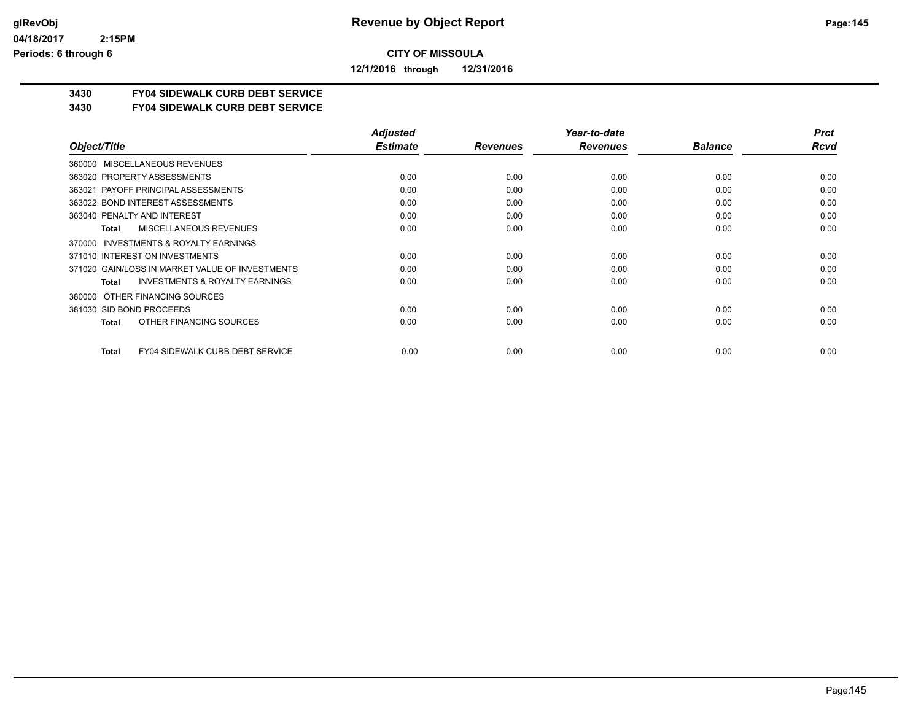**12/1/2016 through 12/31/2016**

#### **3430 FY04 SIDEWALK CURB DEBT SERVICE 3430 FY04 SIDEWALK CURB DEBT SERVICE**

|                                                        | <b>Adjusted</b> |                 | Year-to-date    |                | <b>Prct</b> |
|--------------------------------------------------------|-----------------|-----------------|-----------------|----------------|-------------|
| Object/Title                                           | <b>Estimate</b> | <b>Revenues</b> | <b>Revenues</b> | <b>Balance</b> | <b>Rcvd</b> |
| 360000 MISCELLANEOUS REVENUES                          |                 |                 |                 |                |             |
| 363020 PROPERTY ASSESSMENTS                            | 0.00            | 0.00            | 0.00            | 0.00           | 0.00        |
| 363021 PAYOFF PRINCIPAL ASSESSMENTS                    | 0.00            | 0.00            | 0.00            | 0.00           | 0.00        |
| 363022 BOND INTEREST ASSESSMENTS                       | 0.00            | 0.00            | 0.00            | 0.00           | 0.00        |
| 363040 PENALTY AND INTEREST                            | 0.00            | 0.00            | 0.00            | 0.00           | 0.00        |
| <b>MISCELLANEOUS REVENUES</b><br><b>Total</b>          | 0.00            | 0.00            | 0.00            | 0.00           | 0.00        |
| <b>INVESTMENTS &amp; ROYALTY EARNINGS</b><br>370000    |                 |                 |                 |                |             |
| 371010 INTEREST ON INVESTMENTS                         | 0.00            | 0.00            | 0.00            | 0.00           | 0.00        |
| 371020 GAIN/LOSS IN MARKET VALUE OF INVESTMENTS        | 0.00            | 0.00            | 0.00            | 0.00           | 0.00        |
| <b>INVESTMENTS &amp; ROYALTY EARNINGS</b><br>Total     | 0.00            | 0.00            | 0.00            | 0.00           | 0.00        |
| OTHER FINANCING SOURCES<br>380000                      |                 |                 |                 |                |             |
| 381030 SID BOND PROCEEDS                               | 0.00            | 0.00            | 0.00            | 0.00           | 0.00        |
| OTHER FINANCING SOURCES<br><b>Total</b>                | 0.00            | 0.00            | 0.00            | 0.00           | 0.00        |
| <b>FY04 SIDEWALK CURB DEBT SERVICE</b><br><b>Total</b> | 0.00            | 0.00            | 0.00            | 0.00           | 0.00        |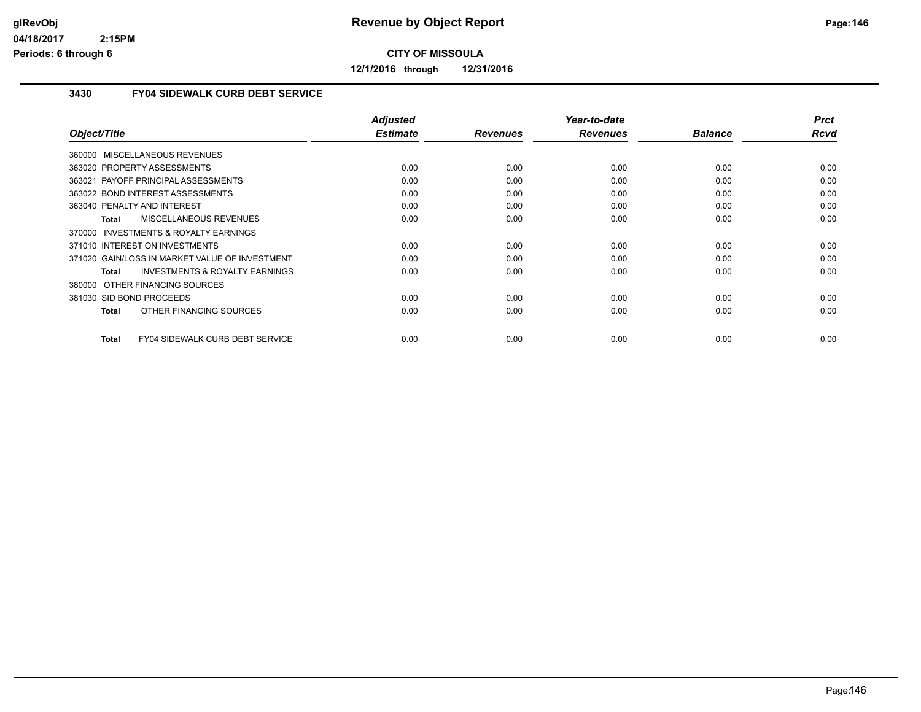**12/1/2016 through 12/31/2016**

#### **3430 FY04 SIDEWALK CURB DEBT SERVICE**

| Object/Title                                              | <b>Adjusted</b><br><b>Estimate</b> | <b>Revenues</b> | Year-to-date<br><b>Revenues</b> | <b>Balance</b> | <b>Prct</b><br>Rcvd |
|-----------------------------------------------------------|------------------------------------|-----------------|---------------------------------|----------------|---------------------|
| 360000 MISCELLANEOUS REVENUES                             |                                    |                 |                                 |                |                     |
| 363020 PROPERTY ASSESSMENTS                               | 0.00                               | 0.00            | 0.00                            | 0.00           | 0.00                |
| 363021 PAYOFF PRINCIPAL ASSESSMENTS                       | 0.00                               | 0.00            | 0.00                            | 0.00           | 0.00                |
| 363022 BOND INTEREST ASSESSMENTS                          | 0.00                               | 0.00            | 0.00                            | 0.00           | 0.00                |
| 363040 PENALTY AND INTEREST                               | 0.00                               | 0.00            | 0.00                            | 0.00           | 0.00                |
| MISCELLANEOUS REVENUES<br>Total                           | 0.00                               | 0.00            | 0.00                            | 0.00           | 0.00                |
| <b>INVESTMENTS &amp; ROYALTY EARNINGS</b><br>370000       |                                    |                 |                                 |                |                     |
| 371010 INTEREST ON INVESTMENTS                            | 0.00                               | 0.00            | 0.00                            | 0.00           | 0.00                |
| 371020 GAIN/LOSS IN MARKET VALUE OF INVESTMENT            | 0.00                               | 0.00            | 0.00                            | 0.00           | 0.00                |
| <b>INVESTMENTS &amp; ROYALTY EARNINGS</b><br><b>Total</b> | 0.00                               | 0.00            | 0.00                            | 0.00           | 0.00                |
| 380000 OTHER FINANCING SOURCES                            |                                    |                 |                                 |                |                     |
| 381030 SID BOND PROCEEDS                                  | 0.00                               | 0.00            | 0.00                            | 0.00           | 0.00                |
| OTHER FINANCING SOURCES<br>Total                          | 0.00                               | 0.00            | 0.00                            | 0.00           | 0.00                |
| FY04 SIDEWALK CURB DEBT SERVICE<br><b>Total</b>           | 0.00                               | 0.00            | 0.00                            | 0.00           | 0.00                |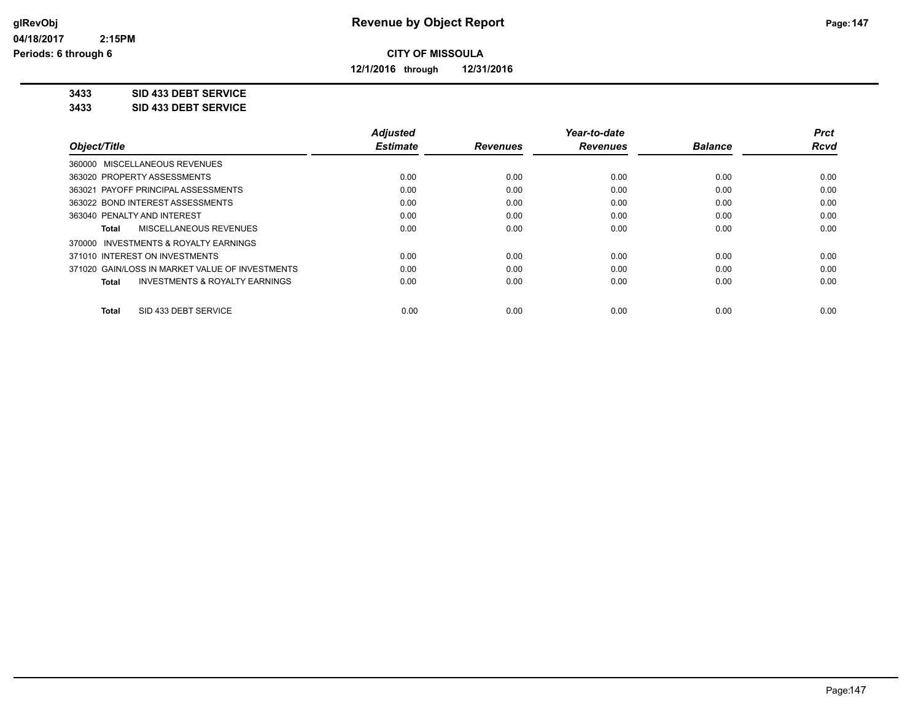**12/1/2016 through 12/31/2016**

**3433 SID 433 DEBT SERVICE**

**3433 SID 433 DEBT SERVICE**

|                                                    | <b>Adjusted</b> |                 | Year-to-date    |                | <b>Prct</b> |
|----------------------------------------------------|-----------------|-----------------|-----------------|----------------|-------------|
| Object/Title                                       | <b>Estimate</b> | <b>Revenues</b> | <b>Revenues</b> | <b>Balance</b> | Rcvd        |
| 360000 MISCELLANEOUS REVENUES                      |                 |                 |                 |                |             |
| 363020 PROPERTY ASSESSMENTS                        | 0.00            | 0.00            | 0.00            | 0.00           | 0.00        |
| 363021 PAYOFF PRINCIPAL ASSESSMENTS                | 0.00            | 0.00            | 0.00            | 0.00           | 0.00        |
| 363022 BOND INTEREST ASSESSMENTS                   | 0.00            | 0.00            | 0.00            | 0.00           | 0.00        |
| 363040 PENALTY AND INTEREST                        | 0.00            | 0.00            | 0.00            | 0.00           | 0.00        |
| MISCELLANEOUS REVENUES<br>Total                    | 0.00            | 0.00            | 0.00            | 0.00           | 0.00        |
| 370000 INVESTMENTS & ROYALTY EARNINGS              |                 |                 |                 |                |             |
| 371010 INTEREST ON INVESTMENTS                     | 0.00            | 0.00            | 0.00            | 0.00           | 0.00        |
| 371020 GAIN/LOSS IN MARKET VALUE OF INVESTMENTS    | 0.00            | 0.00            | 0.00            | 0.00           | 0.00        |
| <b>INVESTMENTS &amp; ROYALTY EARNINGS</b><br>Total | 0.00            | 0.00            | 0.00            | 0.00           | 0.00        |
| SID 433 DEBT SERVICE<br>Total                      | 0.00            | 0.00            | 0.00            | 0.00           | 0.00        |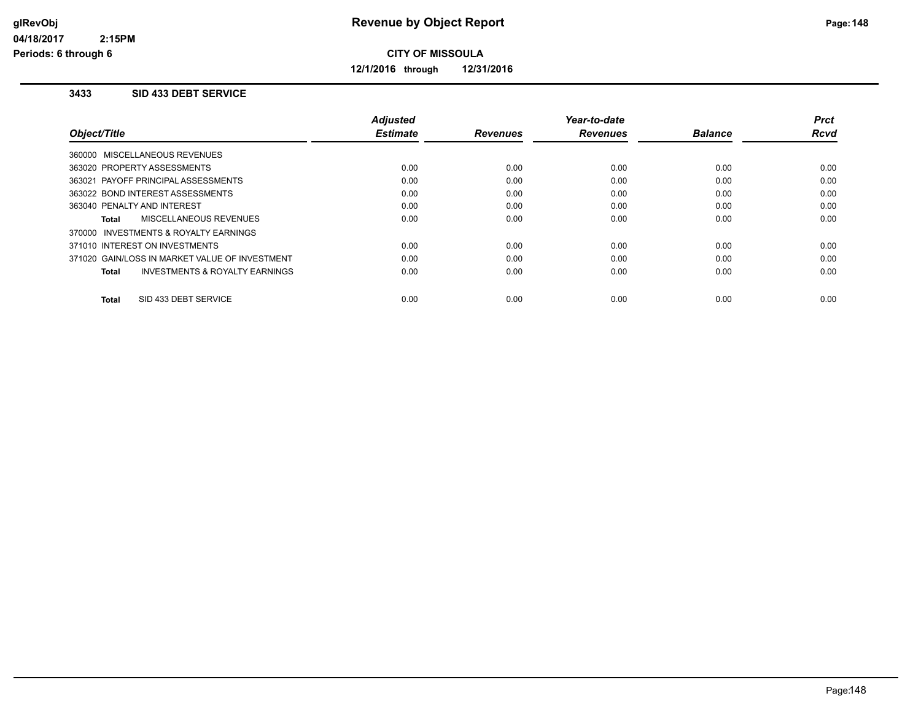**12/1/2016 through 12/31/2016**

#### **3433 SID 433 DEBT SERVICE**

| Object/Title                                              | <b>Adjusted</b><br><b>Estimate</b> | <b>Revenues</b> | Year-to-date<br><b>Revenues</b> | <b>Balance</b> | <b>Prct</b><br><b>Rcvd</b> |
|-----------------------------------------------------------|------------------------------------|-----------------|---------------------------------|----------------|----------------------------|
| 360000 MISCELLANEOUS REVENUES                             |                                    |                 |                                 |                |                            |
| 363020 PROPERTY ASSESSMENTS                               | 0.00                               | 0.00            | 0.00                            | 0.00           | 0.00                       |
| 363021 PAYOFF PRINCIPAL ASSESSMENTS                       | 0.00                               | 0.00            | 0.00                            | 0.00           | 0.00                       |
| 363022 BOND INTEREST ASSESSMENTS                          | 0.00                               | 0.00            | 0.00                            | 0.00           | 0.00                       |
| 363040 PENALTY AND INTEREST                               | 0.00                               | 0.00            | 0.00                            | 0.00           | 0.00                       |
| MISCELLANEOUS REVENUES<br><b>Total</b>                    | 0.00                               | 0.00            | 0.00                            | 0.00           | 0.00                       |
| INVESTMENTS & ROYALTY EARNINGS<br>370000                  |                                    |                 |                                 |                |                            |
| 371010 INTEREST ON INVESTMENTS                            | 0.00                               | 0.00            | 0.00                            | 0.00           | 0.00                       |
| 371020 GAIN/LOSS IN MARKET VALUE OF INVESTMENT            | 0.00                               | 0.00            | 0.00                            | 0.00           | 0.00                       |
| <b>INVESTMENTS &amp; ROYALTY EARNINGS</b><br><b>Total</b> | 0.00                               | 0.00            | 0.00                            | 0.00           | 0.00                       |
|                                                           |                                    |                 |                                 |                |                            |
| SID 433 DEBT SERVICE<br><b>Total</b>                      | 0.00                               | 0.00            | 0.00                            | 0.00           | 0.00                       |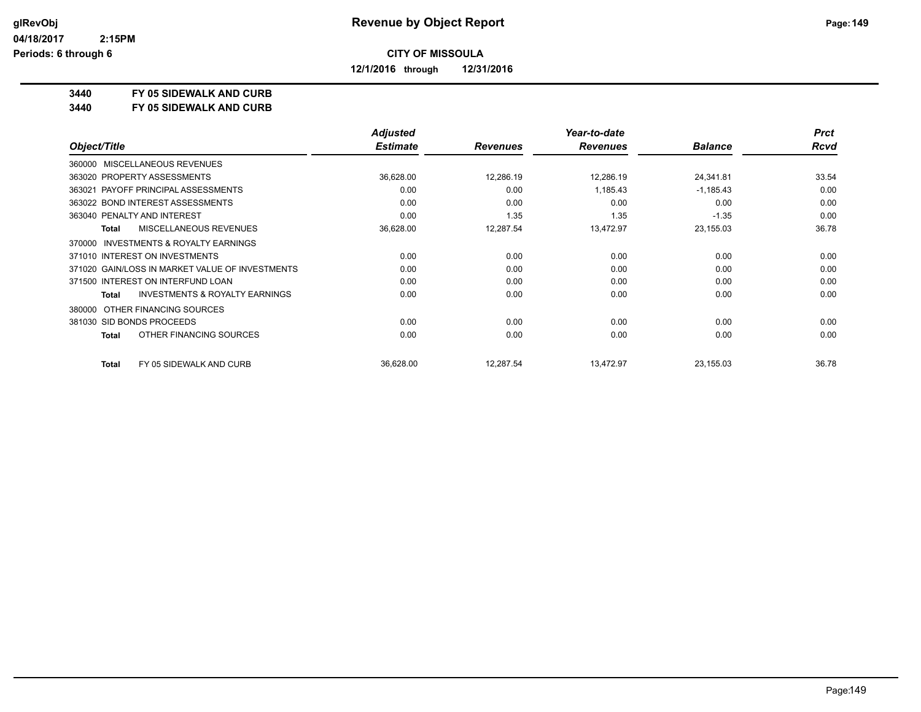**12/1/2016 through 12/31/2016**

**3440 FY 05 SIDEWALK AND CURB**

**3440 FY 05 SIDEWALK AND CURB**

|                                                     | <b>Adjusted</b> |                 | Year-to-date    |                | <b>Prct</b> |
|-----------------------------------------------------|-----------------|-----------------|-----------------|----------------|-------------|
| Object/Title                                        | <b>Estimate</b> | <b>Revenues</b> | <b>Revenues</b> | <b>Balance</b> | <b>Rcvd</b> |
| 360000 MISCELLANEOUS REVENUES                       |                 |                 |                 |                |             |
| 363020 PROPERTY ASSESSMENTS                         | 36,628.00       | 12,286.19       | 12,286.19       | 24,341.81      | 33.54       |
| 363021 PAYOFF PRINCIPAL ASSESSMENTS                 | 0.00            | 0.00            | 1,185.43        | $-1,185.43$    | 0.00        |
| 363022 BOND INTEREST ASSESSMENTS                    | 0.00            | 0.00            | 0.00            | 0.00           | 0.00        |
| 363040 PENALTY AND INTEREST                         | 0.00            | 1.35            | 1.35            | $-1.35$        | 0.00        |
| MISCELLANEOUS REVENUES<br>Total                     | 36,628.00       | 12,287.54       | 13,472.97       | 23,155.03      | 36.78       |
| <b>INVESTMENTS &amp; ROYALTY EARNINGS</b><br>370000 |                 |                 |                 |                |             |
| 371010 INTEREST ON INVESTMENTS                      | 0.00            | 0.00            | 0.00            | 0.00           | 0.00        |
| 371020 GAIN/LOSS IN MARKET VALUE OF INVESTMENTS     | 0.00            | 0.00            | 0.00            | 0.00           | 0.00        |
| 371500 INTEREST ON INTERFUND LOAN                   | 0.00            | 0.00            | 0.00            | 0.00           | 0.00        |
| <b>INVESTMENTS &amp; ROYALTY EARNINGS</b><br>Total  | 0.00            | 0.00            | 0.00            | 0.00           | 0.00        |
| 380000 OTHER FINANCING SOURCES                      |                 |                 |                 |                |             |
| 381030 SID BONDS PROCEEDS                           | 0.00            | 0.00            | 0.00            | 0.00           | 0.00        |
| OTHER FINANCING SOURCES<br>Total                    | 0.00            | 0.00            | 0.00            | 0.00           | 0.00        |
| FY 05 SIDEWALK AND CURB<br>Total                    | 36,628.00       | 12,287.54       | 13,472.97       | 23,155.03      | 36.78       |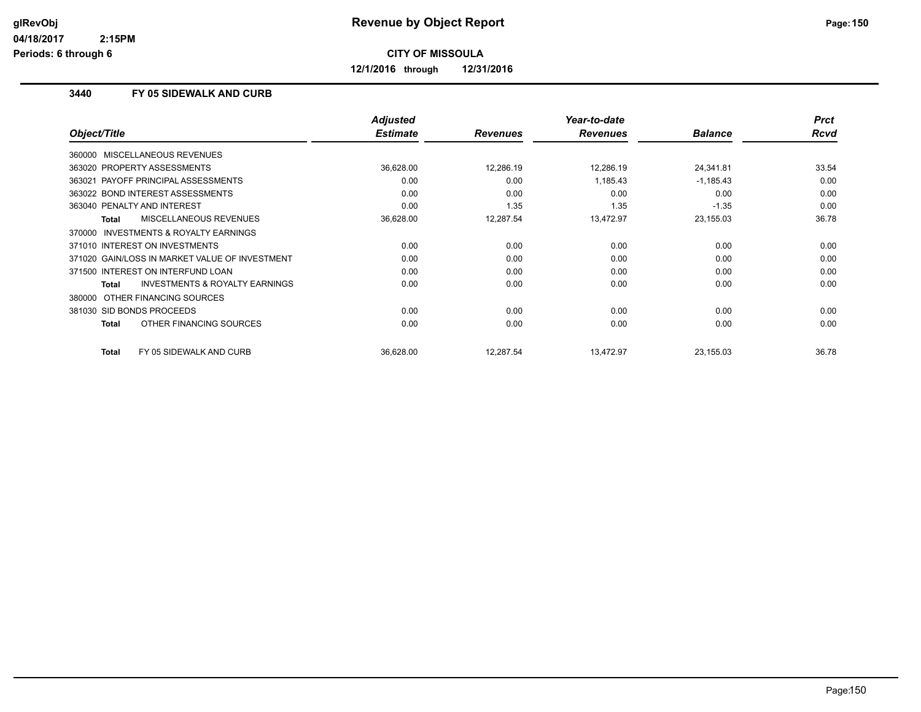**12/1/2016 through 12/31/2016**

#### **3440 FY 05 SIDEWALK AND CURB**

|                                                    | <b>Adjusted</b> |                 | Year-to-date    |                | <b>Prct</b> |
|----------------------------------------------------|-----------------|-----------------|-----------------|----------------|-------------|
| Object/Title                                       | <b>Estimate</b> | <b>Revenues</b> | <b>Revenues</b> | <b>Balance</b> | <b>Rcvd</b> |
| 360000 MISCELLANEOUS REVENUES                      |                 |                 |                 |                |             |
| 363020 PROPERTY ASSESSMENTS                        | 36,628.00       | 12,286.19       | 12,286.19       | 24,341.81      | 33.54       |
| 363021 PAYOFF PRINCIPAL ASSESSMENTS                | 0.00            | 0.00            | 1,185.43        | $-1,185.43$    | 0.00        |
| 363022 BOND INTEREST ASSESSMENTS                   | 0.00            | 0.00            | 0.00            | 0.00           | 0.00        |
| 363040 PENALTY AND INTEREST                        | 0.00            | 1.35            | 1.35            | $-1.35$        | 0.00        |
| MISCELLANEOUS REVENUES<br>Total                    | 36,628.00       | 12,287.54       | 13,472.97       | 23,155.03      | 36.78       |
| INVESTMENTS & ROYALTY EARNINGS<br>370000           |                 |                 |                 |                |             |
| 371010 INTEREST ON INVESTMENTS                     | 0.00            | 0.00            | 0.00            | 0.00           | 0.00        |
| 371020 GAIN/LOSS IN MARKET VALUE OF INVESTMENT     | 0.00            | 0.00            | 0.00            | 0.00           | 0.00        |
| 371500 INTEREST ON INTERFUND LOAN                  | 0.00            | 0.00            | 0.00            | 0.00           | 0.00        |
| <b>INVESTMENTS &amp; ROYALTY EARNINGS</b><br>Total | 0.00            | 0.00            | 0.00            | 0.00           | 0.00        |
| OTHER FINANCING SOURCES<br>380000                  |                 |                 |                 |                |             |
| 381030 SID BONDS PROCEEDS                          | 0.00            | 0.00            | 0.00            | 0.00           | 0.00        |
| OTHER FINANCING SOURCES<br>Total                   | 0.00            | 0.00            | 0.00            | 0.00           | 0.00        |
| FY 05 SIDEWALK AND CURB<br><b>Total</b>            | 36,628.00       | 12,287.54       | 13,472.97       | 23,155.03      | 36.78       |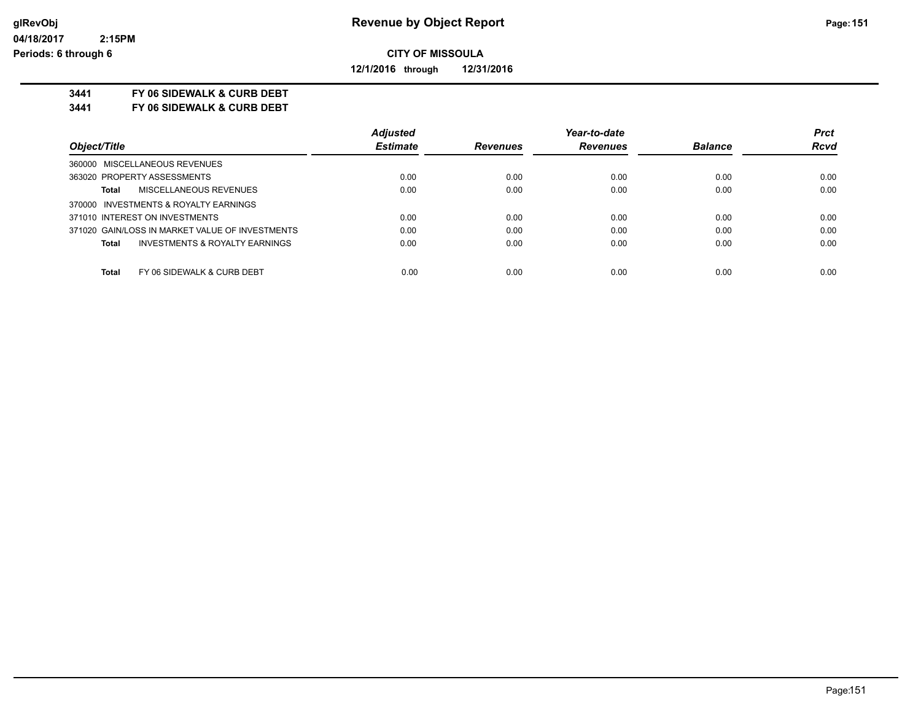**12/1/2016 through 12/31/2016**

**3441 FY 06 SIDEWALK & CURB DEBT**

**3441 FY 06 SIDEWALK & CURB DEBT**

|                                                 | <b>Adjusted</b> |                 | Year-to-date    |                | <b>Prct</b> |
|-------------------------------------------------|-----------------|-----------------|-----------------|----------------|-------------|
| Object/Title                                    | <b>Estimate</b> | <b>Revenues</b> | <b>Revenues</b> | <b>Balance</b> | Rcvd        |
| 360000 MISCELLANEOUS REVENUES                   |                 |                 |                 |                |             |
| 363020 PROPERTY ASSESSMENTS                     | 0.00            | 0.00            | 0.00            | 0.00           | 0.00        |
| MISCELLANEOUS REVENUES<br>Total                 | 0.00            | 0.00            | 0.00            | 0.00           | 0.00        |
| 370000 INVESTMENTS & ROYALTY EARNINGS           |                 |                 |                 |                |             |
| 371010 INTEREST ON INVESTMENTS                  | 0.00            | 0.00            | 0.00            | 0.00           | 0.00        |
| 371020 GAIN/LOSS IN MARKET VALUE OF INVESTMENTS | 0.00            | 0.00            | 0.00            | 0.00           | 0.00        |
| INVESTMENTS & ROYALTY EARNINGS<br><b>Total</b>  | 0.00            | 0.00            | 0.00            | 0.00           | 0.00        |
|                                                 |                 |                 |                 |                |             |
| <b>Total</b><br>FY 06 SIDEWALK & CURB DEBT      | 0.00            | 0.00            | 0.00            | 0.00           | 0.00        |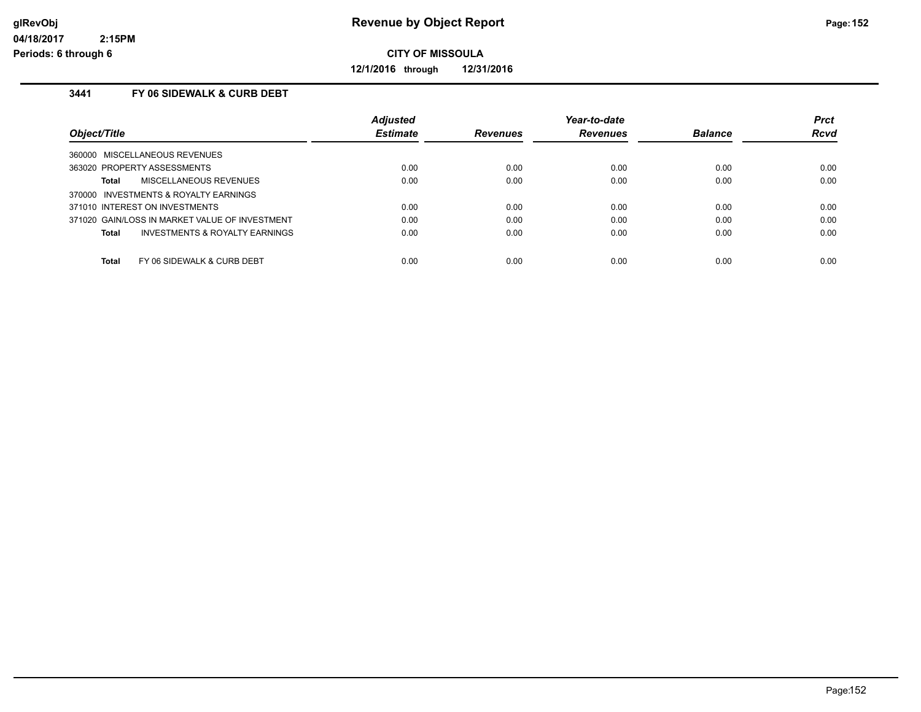**12/1/2016 through 12/31/2016**

#### **3441 FY 06 SIDEWALK & CURB DEBT**

| Object/Title                                              | <b>Adjusted</b><br><b>Estimate</b> | <b>Revenues</b> | Year-to-date<br><b>Revenues</b> | <b>Balance</b> | <b>Prct</b><br><b>Rcvd</b> |
|-----------------------------------------------------------|------------------------------------|-----------------|---------------------------------|----------------|----------------------------|
|                                                           |                                    |                 |                                 |                |                            |
| 360000 MISCELLANEOUS REVENUES                             |                                    |                 |                                 |                |                            |
| 363020 PROPERTY ASSESSMENTS                               | 0.00                               | 0.00            | 0.00                            | 0.00           | 0.00                       |
| MISCELLANEOUS REVENUES<br><b>Total</b>                    | 0.00                               | 0.00            | 0.00                            | 0.00           | 0.00                       |
| 370000 INVESTMENTS & ROYALTY EARNINGS                     |                                    |                 |                                 |                |                            |
| 371010 INTEREST ON INVESTMENTS                            | 0.00                               | 0.00            | 0.00                            | 0.00           | 0.00                       |
| 371020 GAIN/LOSS IN MARKET VALUE OF INVESTMENT            | 0.00                               | 0.00            | 0.00                            | 0.00           | 0.00                       |
| <b>INVESTMENTS &amp; ROYALTY EARNINGS</b><br><b>Total</b> | 0.00                               | 0.00            | 0.00                            | 0.00           | 0.00                       |
|                                                           |                                    |                 |                                 |                |                            |
| Total<br>FY 06 SIDEWALK & CURB DEBT                       | 0.00                               | 0.00            | 0.00                            | 0.00           | 0.00                       |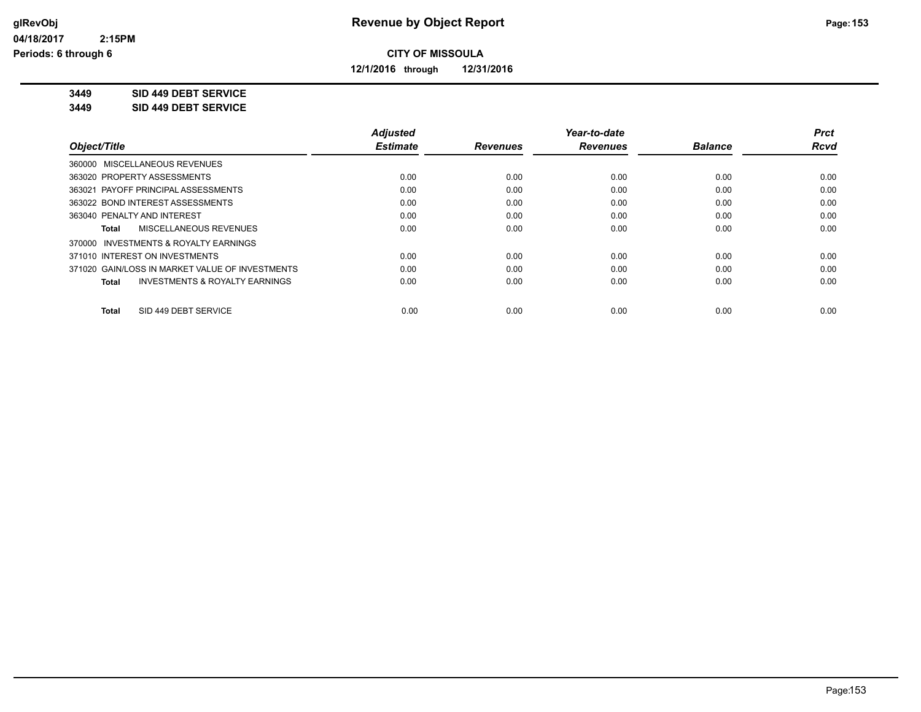**12/1/2016 through 12/31/2016**

**3449 SID 449 DEBT SERVICE**

**3449 SID 449 DEBT SERVICE**

|                                                 | <b>Adjusted</b> |                 | Year-to-date    |                | <b>Prct</b> |
|-------------------------------------------------|-----------------|-----------------|-----------------|----------------|-------------|
| Object/Title                                    | <b>Estimate</b> | <b>Revenues</b> | <b>Revenues</b> | <b>Balance</b> | Rcvd        |
| 360000 MISCELLANEOUS REVENUES                   |                 |                 |                 |                |             |
| 363020 PROPERTY ASSESSMENTS                     | 0.00            | 0.00            | 0.00            | 0.00           | 0.00        |
| 363021 PAYOFF PRINCIPAL ASSESSMENTS             | 0.00            | 0.00            | 0.00            | 0.00           | 0.00        |
| 363022 BOND INTEREST ASSESSMENTS                | 0.00            | 0.00            | 0.00            | 0.00           | 0.00        |
| 363040 PENALTY AND INTEREST                     | 0.00            | 0.00            | 0.00            | 0.00           | 0.00        |
| MISCELLANEOUS REVENUES<br>Total                 | 0.00            | 0.00            | 0.00            | 0.00           | 0.00        |
| 370000 INVESTMENTS & ROYALTY EARNINGS           |                 |                 |                 |                |             |
| 371010 INTEREST ON INVESTMENTS                  | 0.00            | 0.00            | 0.00            | 0.00           | 0.00        |
| 371020 GAIN/LOSS IN MARKET VALUE OF INVESTMENTS | 0.00            | 0.00            | 0.00            | 0.00           | 0.00        |
| INVESTMENTS & ROYALTY EARNINGS<br>Total         | 0.00            | 0.00            | 0.00            | 0.00           | 0.00        |
| SID 449 DEBT SERVICE<br>Total                   | 0.00            | 0.00            | 0.00            | 0.00           | 0.00        |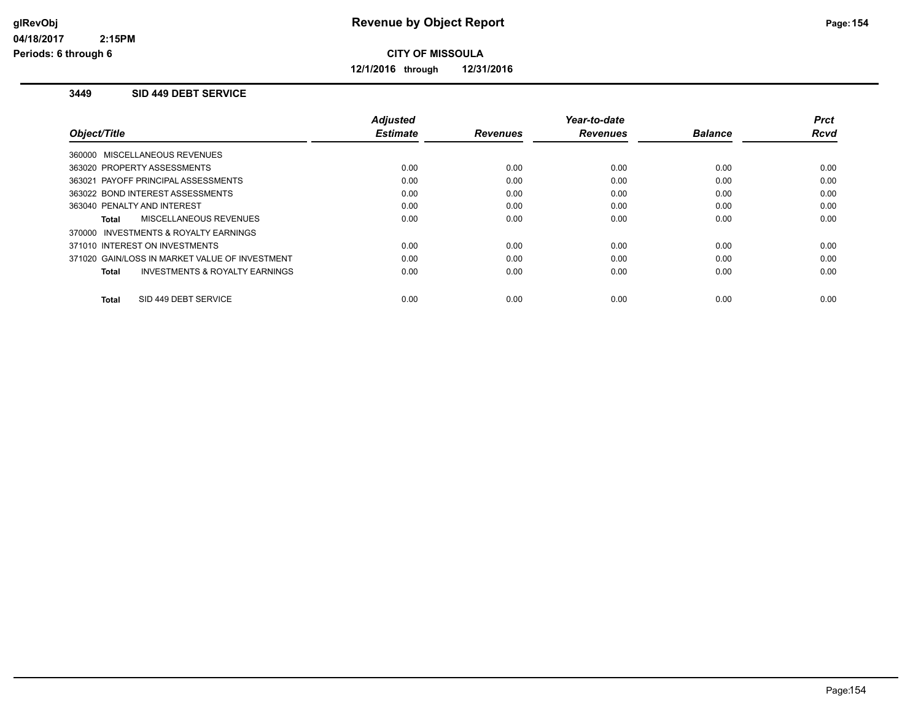**12/1/2016 through 12/31/2016**

#### **3449 SID 449 DEBT SERVICE**

| Object/Title                                   | <b>Adjusted</b><br><b>Estimate</b> | <b>Revenues</b> | Year-to-date<br><b>Revenues</b> | <b>Balance</b> | <b>Prct</b><br><b>Rcvd</b> |
|------------------------------------------------|------------------------------------|-----------------|---------------------------------|----------------|----------------------------|
| 360000 MISCELLANEOUS REVENUES                  |                                    |                 |                                 |                |                            |
| 363020 PROPERTY ASSESSMENTS                    | 0.00                               | 0.00            | 0.00                            | 0.00           | 0.00                       |
| 363021 PAYOFF PRINCIPAL ASSESSMENTS            | 0.00                               | 0.00            | 0.00                            | 0.00           | 0.00                       |
| 363022 BOND INTEREST ASSESSMENTS               | 0.00                               | 0.00            | 0.00                            | 0.00           | 0.00                       |
| 363040 PENALTY AND INTEREST                    | 0.00                               | 0.00            | 0.00                            | 0.00           | 0.00                       |
| MISCELLANEOUS REVENUES<br>Total                | 0.00                               | 0.00            | 0.00                            | 0.00           | 0.00                       |
| 370000 INVESTMENTS & ROYALTY EARNINGS          |                                    |                 |                                 |                |                            |
| 371010 INTEREST ON INVESTMENTS                 | 0.00                               | 0.00            | 0.00                            | 0.00           | 0.00                       |
| 371020 GAIN/LOSS IN MARKET VALUE OF INVESTMENT | 0.00                               | 0.00            | 0.00                            | 0.00           | 0.00                       |
| INVESTMENTS & ROYALTY EARNINGS<br><b>Total</b> | 0.00                               | 0.00            | 0.00                            | 0.00           | 0.00                       |
| SID 449 DEBT SERVICE<br>Total                  | 0.00                               | 0.00            | 0.00                            | 0.00           | 0.00                       |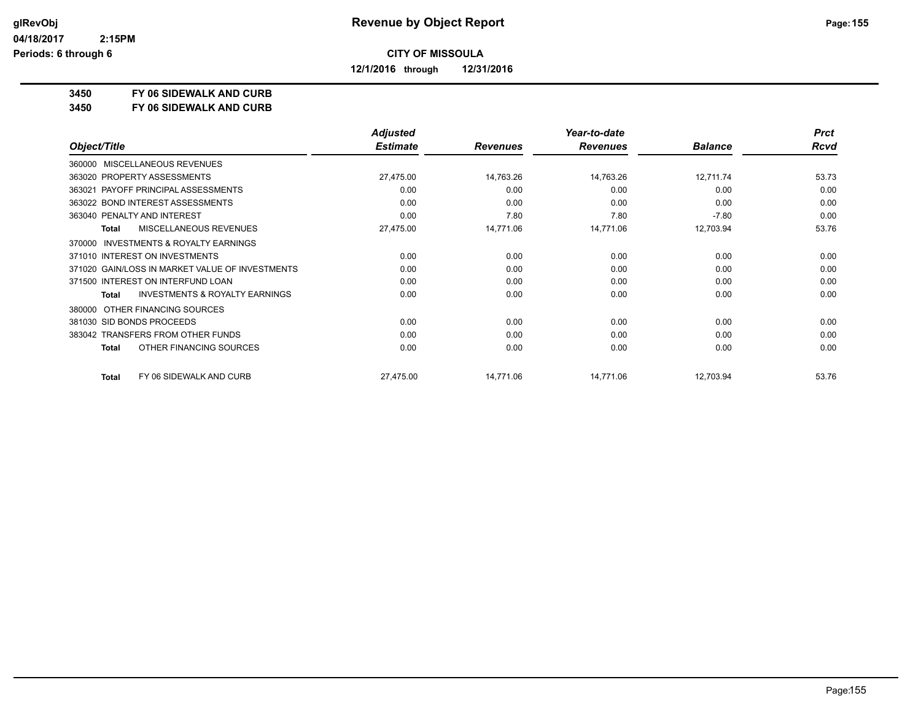**12/1/2016 through 12/31/2016**

**3450 FY 06 SIDEWALK AND CURB**

**3450 FY 06 SIDEWALK AND CURB**

|                                                           | <b>Adjusted</b> |                 | Year-to-date    |                | <b>Prct</b> |
|-----------------------------------------------------------|-----------------|-----------------|-----------------|----------------|-------------|
| Object/Title                                              | <b>Estimate</b> | <b>Revenues</b> | <b>Revenues</b> | <b>Balance</b> | Rcvd        |
| 360000 MISCELLANEOUS REVENUES                             |                 |                 |                 |                |             |
| 363020 PROPERTY ASSESSMENTS                               | 27,475.00       | 14,763.26       | 14,763.26       | 12,711.74      | 53.73       |
| PAYOFF PRINCIPAL ASSESSMENTS<br>363021                    | 0.00            | 0.00            | 0.00            | 0.00           | 0.00        |
| 363022 BOND INTEREST ASSESSMENTS                          | 0.00            | 0.00            | 0.00            | 0.00           | 0.00        |
| 363040 PENALTY AND INTEREST                               | 0.00            | 7.80            | 7.80            | $-7.80$        | 0.00        |
| <b>MISCELLANEOUS REVENUES</b><br>Total                    | 27,475.00       | 14,771.06       | 14,771.06       | 12,703.94      | 53.76       |
| 370000 INVESTMENTS & ROYALTY EARNINGS                     |                 |                 |                 |                |             |
| 371010 INTEREST ON INVESTMENTS                            | 0.00            | 0.00            | 0.00            | 0.00           | 0.00        |
| 371020 GAIN/LOSS IN MARKET VALUE OF INVESTMENTS           | 0.00            | 0.00            | 0.00            | 0.00           | 0.00        |
| 371500 INTEREST ON INTERFUND LOAN                         | 0.00            | 0.00            | 0.00            | 0.00           | 0.00        |
| <b>INVESTMENTS &amp; ROYALTY EARNINGS</b><br><b>Total</b> | 0.00            | 0.00            | 0.00            | 0.00           | 0.00        |
| OTHER FINANCING SOURCES<br>380000                         |                 |                 |                 |                |             |
| 381030 SID BONDS PROCEEDS                                 | 0.00            | 0.00            | 0.00            | 0.00           | 0.00        |
| 383042 TRANSFERS FROM OTHER FUNDS                         | 0.00            | 0.00            | 0.00            | 0.00           | 0.00        |
| OTHER FINANCING SOURCES<br><b>Total</b>                   | 0.00            | 0.00            | 0.00            | 0.00           | 0.00        |
| FY 06 SIDEWALK AND CURB<br><b>Total</b>                   | 27,475.00       | 14,771.06       | 14,771.06       | 12,703.94      | 53.76       |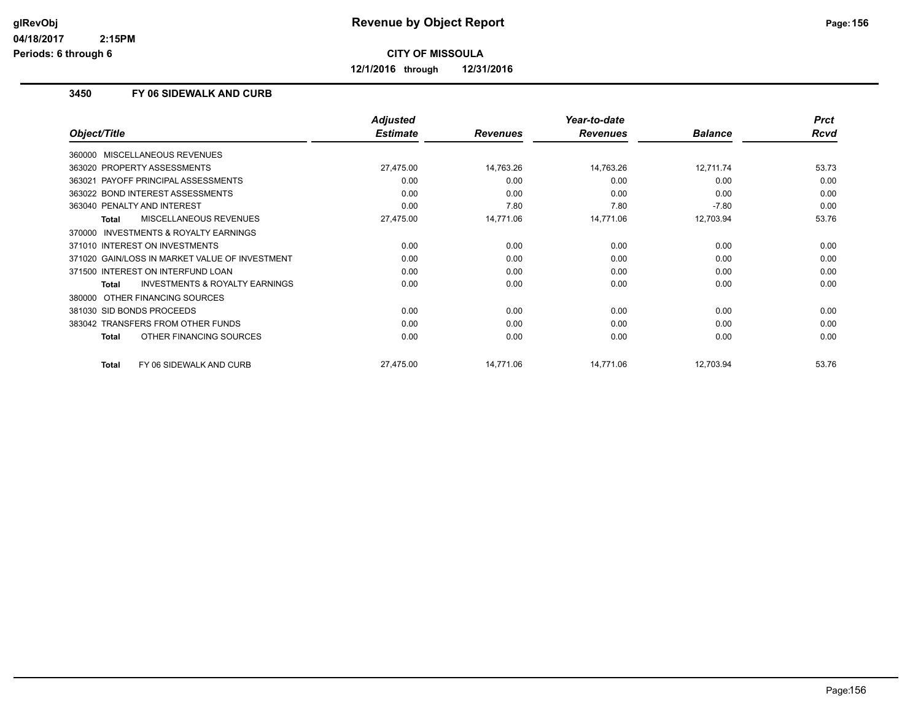**12/1/2016 through 12/31/2016**

#### **3450 FY 06 SIDEWALK AND CURB**

|                                                           | <b>Adjusted</b> |                 | Year-to-date    |                | <b>Prct</b> |
|-----------------------------------------------------------|-----------------|-----------------|-----------------|----------------|-------------|
| Object/Title                                              | <b>Estimate</b> | <b>Revenues</b> | <b>Revenues</b> | <b>Balance</b> | Rcvd        |
| 360000 MISCELLANEOUS REVENUES                             |                 |                 |                 |                |             |
| 363020 PROPERTY ASSESSMENTS                               | 27,475.00       | 14,763.26       | 14,763.26       | 12,711.74      | 53.73       |
| 363021 PAYOFF PRINCIPAL ASSESSMENTS                       | 0.00            | 0.00            | 0.00            | 0.00           | 0.00        |
| 363022 BOND INTEREST ASSESSMENTS                          | 0.00            | 0.00            | 0.00            | 0.00           | 0.00        |
| 363040 PENALTY AND INTEREST                               | 0.00            | 7.80            | 7.80            | $-7.80$        | 0.00        |
| MISCELLANEOUS REVENUES<br>Total                           | 27,475.00       | 14,771.06       | 14,771.06       | 12,703.94      | 53.76       |
| <b>INVESTMENTS &amp; ROYALTY EARNINGS</b><br>370000       |                 |                 |                 |                |             |
| 371010 INTEREST ON INVESTMENTS                            | 0.00            | 0.00            | 0.00            | 0.00           | 0.00        |
| 371020 GAIN/LOSS IN MARKET VALUE OF INVESTMENT            | 0.00            | 0.00            | 0.00            | 0.00           | 0.00        |
| 371500 INTEREST ON INTERFUND LOAN                         | 0.00            | 0.00            | 0.00            | 0.00           | 0.00        |
| <b>INVESTMENTS &amp; ROYALTY EARNINGS</b><br><b>Total</b> | 0.00            | 0.00            | 0.00            | 0.00           | 0.00        |
| 380000 OTHER FINANCING SOURCES                            |                 |                 |                 |                |             |
| 381030 SID BONDS PROCEEDS                                 | 0.00            | 0.00            | 0.00            | 0.00           | 0.00        |
| 383042 TRANSFERS FROM OTHER FUNDS                         | 0.00            | 0.00            | 0.00            | 0.00           | 0.00        |
| OTHER FINANCING SOURCES<br>Total                          | 0.00            | 0.00            | 0.00            | 0.00           | 0.00        |
| FY 06 SIDEWALK AND CURB<br>Total                          | 27,475.00       | 14,771.06       | 14,771.06       | 12,703.94      | 53.76       |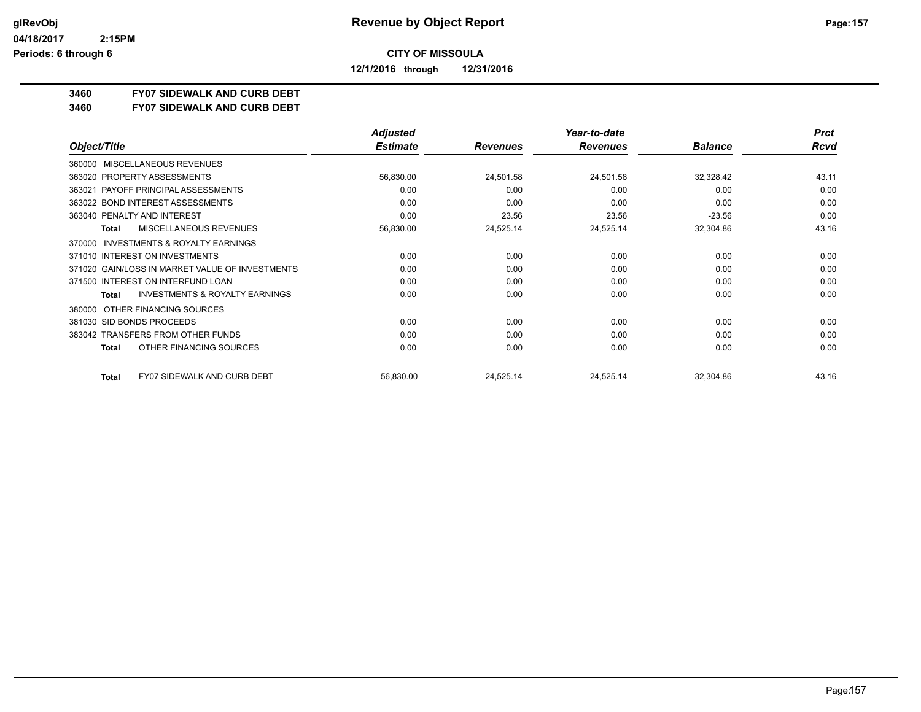**12/1/2016 through 12/31/2016**

**3460 FY07 SIDEWALK AND CURB DEBT**

| 3460 | <b>FY07 SIDEWALK AND CURB DEBT</b> |
|------|------------------------------------|
|      |                                    |

|                                                    | <b>Adjusted</b> |                 | Year-to-date    |                | <b>Prct</b> |
|----------------------------------------------------|-----------------|-----------------|-----------------|----------------|-------------|
| Object/Title                                       | <b>Estimate</b> | <b>Revenues</b> | <b>Revenues</b> | <b>Balance</b> | <b>Rcvd</b> |
| 360000 MISCELLANEOUS REVENUES                      |                 |                 |                 |                |             |
| 363020 PROPERTY ASSESSMENTS                        | 56,830.00       | 24,501.58       | 24,501.58       | 32,328.42      | 43.11       |
| PAYOFF PRINCIPAL ASSESSMENTS<br>363021             | 0.00            | 0.00            | 0.00            | 0.00           | 0.00        |
| 363022 BOND INTEREST ASSESSMENTS                   | 0.00            | 0.00            | 0.00            | 0.00           | 0.00        |
| 363040 PENALTY AND INTEREST                        | 0.00            | 23.56           | 23.56           | $-23.56$       | 0.00        |
| <b>MISCELLANEOUS REVENUES</b><br><b>Total</b>      | 56,830.00       | 24,525.14       | 24,525.14       | 32,304.86      | 43.16       |
| INVESTMENTS & ROYALTY EARNINGS<br>370000           |                 |                 |                 |                |             |
| 371010 INTEREST ON INVESTMENTS                     | 0.00            | 0.00            | 0.00            | 0.00           | 0.00        |
| 371020 GAIN/LOSS IN MARKET VALUE OF INVESTMENTS    | 0.00            | 0.00            | 0.00            | 0.00           | 0.00        |
| 371500 INTEREST ON INTERFUND LOAN                  | 0.00            | 0.00            | 0.00            | 0.00           | 0.00        |
| <b>INVESTMENTS &amp; ROYALTY EARNINGS</b><br>Total | 0.00            | 0.00            | 0.00            | 0.00           | 0.00        |
| OTHER FINANCING SOURCES<br>380000                  |                 |                 |                 |                |             |
| 381030 SID BONDS PROCEEDS                          | 0.00            | 0.00            | 0.00            | 0.00           | 0.00        |
| 383042 TRANSFERS FROM OTHER FUNDS                  | 0.00            | 0.00            | 0.00            | 0.00           | 0.00        |
| OTHER FINANCING SOURCES<br>Total                   | 0.00            | 0.00            | 0.00            | 0.00           | 0.00        |
| <b>FY07 SIDEWALK AND CURB DEBT</b><br><b>Total</b> | 56,830.00       | 24,525.14       | 24,525.14       | 32,304.86      | 43.16       |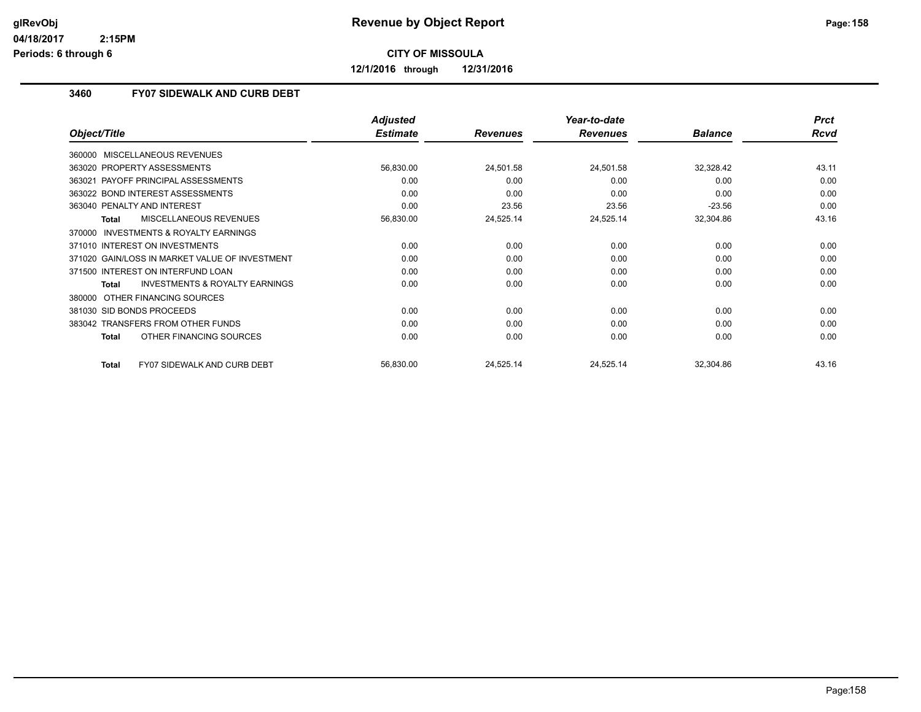**12/1/2016 through 12/31/2016**

#### **3460 FY07 SIDEWALK AND CURB DEBT**

|                                                           | <b>Adjusted</b> |                 | Year-to-date    |                | <b>Prct</b> |
|-----------------------------------------------------------|-----------------|-----------------|-----------------|----------------|-------------|
| Object/Title                                              | <b>Estimate</b> | <b>Revenues</b> | <b>Revenues</b> | <b>Balance</b> | <b>Rcvd</b> |
| 360000 MISCELLANEOUS REVENUES                             |                 |                 |                 |                |             |
| 363020 PROPERTY ASSESSMENTS                               | 56,830.00       | 24,501.58       | 24,501.58       | 32,328.42      | 43.11       |
| PAYOFF PRINCIPAL ASSESSMENTS<br>363021                    | 0.00            | 0.00            | 0.00            | 0.00           | 0.00        |
| 363022 BOND INTEREST ASSESSMENTS                          | 0.00            | 0.00            | 0.00            | 0.00           | 0.00        |
| 363040 PENALTY AND INTEREST                               | 0.00            | 23.56           | 23.56           | $-23.56$       | 0.00        |
| MISCELLANEOUS REVENUES<br><b>Total</b>                    | 56,830.00       | 24,525.14       | 24,525.14       | 32,304.86      | 43.16       |
| <b>INVESTMENTS &amp; ROYALTY EARNINGS</b><br>370000       |                 |                 |                 |                |             |
| 371010 INTEREST ON INVESTMENTS                            | 0.00            | 0.00            | 0.00            | 0.00           | 0.00        |
| 371020 GAIN/LOSS IN MARKET VALUE OF INVESTMENT            | 0.00            | 0.00            | 0.00            | 0.00           | 0.00        |
| 371500 INTEREST ON INTERFUND LOAN                         | 0.00            | 0.00            | 0.00            | 0.00           | 0.00        |
| <b>INVESTMENTS &amp; ROYALTY EARNINGS</b><br><b>Total</b> | 0.00            | 0.00            | 0.00            | 0.00           | 0.00        |
| 380000 OTHER FINANCING SOURCES                            |                 |                 |                 |                |             |
| 381030 SID BONDS PROCEEDS                                 | 0.00            | 0.00            | 0.00            | 0.00           | 0.00        |
| 383042 TRANSFERS FROM OTHER FUNDS                         | 0.00            | 0.00            | 0.00            | 0.00           | 0.00        |
| OTHER FINANCING SOURCES<br>Total                          | 0.00            | 0.00            | 0.00            | 0.00           | 0.00        |
| <b>FY07 SIDEWALK AND CURB DEBT</b><br>Total               | 56,830.00       | 24,525.14       | 24,525.14       | 32,304.86      | 43.16       |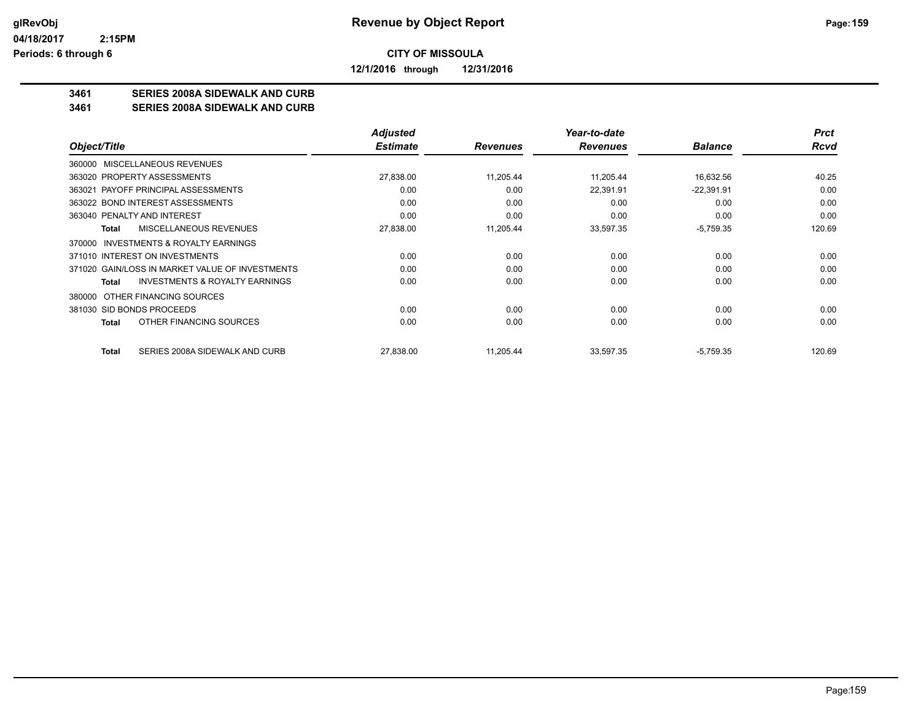**12/1/2016 through 12/31/2016**

# **3461 SERIES 2008A SIDEWALK AND CURB**

**3461 SERIES 2008A SIDEWALK AND CURB**

|                                                           | <b>Adjusted</b> |                 | Year-to-date    |                | <b>Prct</b> |
|-----------------------------------------------------------|-----------------|-----------------|-----------------|----------------|-------------|
| Object/Title                                              | <b>Estimate</b> | <b>Revenues</b> | <b>Revenues</b> | <b>Balance</b> | Rcvd        |
| 360000 MISCELLANEOUS REVENUES                             |                 |                 |                 |                |             |
| 363020 PROPERTY ASSESSMENTS                               | 27,838.00       | 11,205.44       | 11,205.44       | 16,632.56      | 40.25       |
| 363021 PAYOFF PRINCIPAL ASSESSMENTS                       | 0.00            | 0.00            | 22,391.91       | $-22,391.91$   | 0.00        |
| 363022 BOND INTEREST ASSESSMENTS                          | 0.00            | 0.00            | 0.00            | 0.00           | 0.00        |
| 363040 PENALTY AND INTEREST                               | 0.00            | 0.00            | 0.00            | 0.00           | 0.00        |
| MISCELLANEOUS REVENUES<br>Total                           | 27,838.00       | 11,205.44       | 33,597.35       | $-5,759.35$    | 120.69      |
| 370000 INVESTMENTS & ROYALTY EARNINGS                     |                 |                 |                 |                |             |
| 371010 INTEREST ON INVESTMENTS                            | 0.00            | 0.00            | 0.00            | 0.00           | 0.00        |
| 371020 GAIN/LOSS IN MARKET VALUE OF INVESTMENTS           | 0.00            | 0.00            | 0.00            | 0.00           | 0.00        |
| <b>INVESTMENTS &amp; ROYALTY EARNINGS</b><br><b>Total</b> | 0.00            | 0.00            | 0.00            | 0.00           | 0.00        |
| OTHER FINANCING SOURCES<br>380000                         |                 |                 |                 |                |             |
| 381030 SID BONDS PROCEEDS                                 | 0.00            | 0.00            | 0.00            | 0.00           | 0.00        |
| OTHER FINANCING SOURCES<br><b>Total</b>                   | 0.00            | 0.00            | 0.00            | 0.00           | 0.00        |
| SERIES 2008A SIDEWALK AND CURB<br><b>Total</b>            | 27,838.00       | 11,205.44       | 33,597.35       | $-5,759.35$    | 120.69      |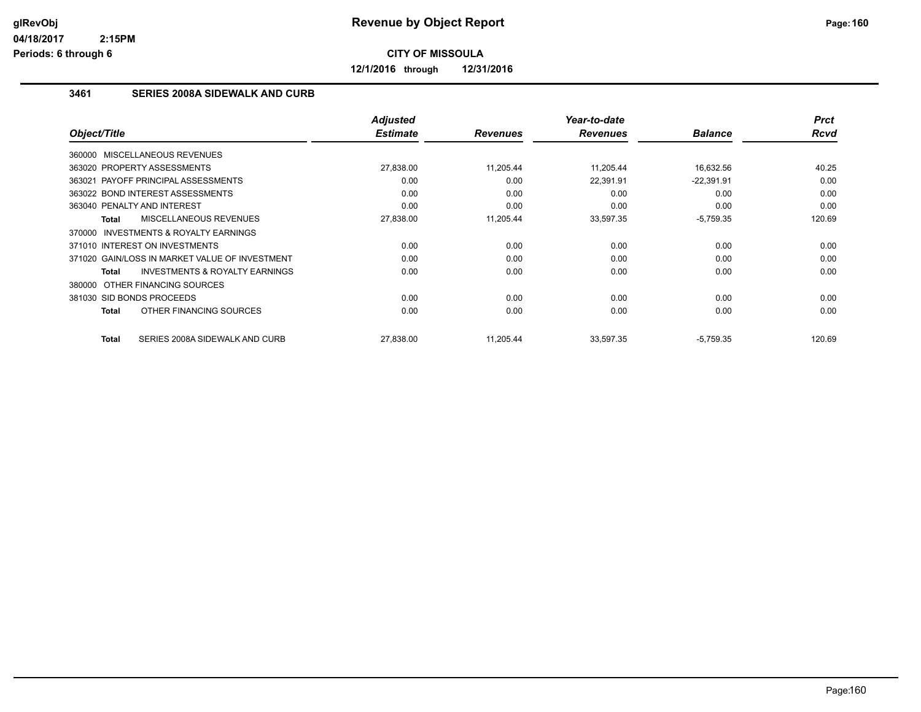**12/1/2016 through 12/31/2016**

#### **3461 SERIES 2008A SIDEWALK AND CURB**

|                                                           | <b>Adjusted</b> |                 | Year-to-date    |                | <b>Prct</b> |
|-----------------------------------------------------------|-----------------|-----------------|-----------------|----------------|-------------|
| Object/Title                                              | <b>Estimate</b> | <b>Revenues</b> | <b>Revenues</b> | <b>Balance</b> | <b>Rcvd</b> |
| 360000 MISCELLANEOUS REVENUES                             |                 |                 |                 |                |             |
| 363020 PROPERTY ASSESSMENTS                               | 27,838.00       | 11,205.44       | 11,205.44       | 16,632.56      | 40.25       |
| 363021 PAYOFF PRINCIPAL ASSESSMENTS                       | 0.00            | 0.00            | 22,391.91       | $-22,391.91$   | 0.00        |
| 363022 BOND INTEREST ASSESSMENTS                          | 0.00            | 0.00            | 0.00            | 0.00           | 0.00        |
| 363040 PENALTY AND INTEREST                               | 0.00            | 0.00            | 0.00            | 0.00           | 0.00        |
| MISCELLANEOUS REVENUES<br><b>Total</b>                    | 27,838.00       | 11,205.44       | 33,597.35       | $-5,759.35$    | 120.69      |
| <b>INVESTMENTS &amp; ROYALTY EARNINGS</b><br>370000       |                 |                 |                 |                |             |
| 371010 INTEREST ON INVESTMENTS                            | 0.00            | 0.00            | 0.00            | 0.00           | 0.00        |
| 371020 GAIN/LOSS IN MARKET VALUE OF INVESTMENT            | 0.00            | 0.00            | 0.00            | 0.00           | 0.00        |
| <b>INVESTMENTS &amp; ROYALTY EARNINGS</b><br><b>Total</b> | 0.00            | 0.00            | 0.00            | 0.00           | 0.00        |
| 380000 OTHER FINANCING SOURCES                            |                 |                 |                 |                |             |
| 381030 SID BONDS PROCEEDS                                 | 0.00            | 0.00            | 0.00            | 0.00           | 0.00        |
| OTHER FINANCING SOURCES<br><b>Total</b>                   | 0.00            | 0.00            | 0.00            | 0.00           | 0.00        |
| SERIES 2008A SIDEWALK AND CURB<br><b>Total</b>            | 27,838.00       | 11,205.44       | 33,597.35       | $-5,759.35$    | 120.69      |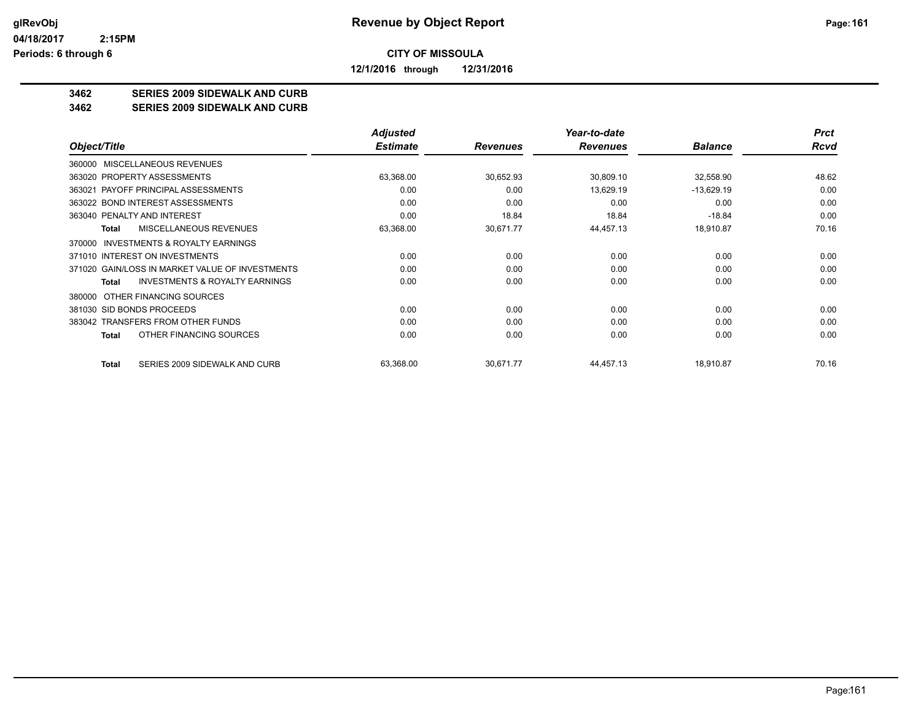**12/1/2016 through 12/31/2016**

# **3462 SERIES 2009 SIDEWALK AND CURB**

**3462 SERIES 2009 SIDEWALK AND CURB**

|                                                     | <b>Adjusted</b> |                 | Year-to-date    |                | <b>Prct</b> |
|-----------------------------------------------------|-----------------|-----------------|-----------------|----------------|-------------|
| Object/Title                                        | <b>Estimate</b> | <b>Revenues</b> | <b>Revenues</b> | <b>Balance</b> | Rcvd        |
| MISCELLANEOUS REVENUES<br>360000                    |                 |                 |                 |                |             |
| 363020 PROPERTY ASSESSMENTS                         | 63,368.00       | 30,652.93       | 30,809.10       | 32,558.90      | 48.62       |
| PAYOFF PRINCIPAL ASSESSMENTS<br>363021              | 0.00            | 0.00            | 13,629.19       | $-13,629.19$   | 0.00        |
| 363022 BOND INTEREST ASSESSMENTS                    | 0.00            | 0.00            | 0.00            | 0.00           | 0.00        |
| 363040 PENALTY AND INTEREST                         | 0.00            | 18.84           | 18.84           | $-18.84$       | 0.00        |
| <b>MISCELLANEOUS REVENUES</b><br><b>Total</b>       | 63,368.00       | 30,671.77       | 44,457.13       | 18,910.87      | 70.16       |
| <b>INVESTMENTS &amp; ROYALTY EARNINGS</b><br>370000 |                 |                 |                 |                |             |
| 371010 INTEREST ON INVESTMENTS                      | 0.00            | 0.00            | 0.00            | 0.00           | 0.00        |
| 371020 GAIN/LOSS IN MARKET VALUE OF INVESTMENTS     | 0.00            | 0.00            | 0.00            | 0.00           | 0.00        |
| <b>INVESTMENTS &amp; ROYALTY EARNINGS</b><br>Total  | 0.00            | 0.00            | 0.00            | 0.00           | 0.00        |
| OTHER FINANCING SOURCES<br>380000                   |                 |                 |                 |                |             |
| 381030 SID BONDS PROCEEDS                           | 0.00            | 0.00            | 0.00            | 0.00           | 0.00        |
| 383042 TRANSFERS FROM OTHER FUNDS                   | 0.00            | 0.00            | 0.00            | 0.00           | 0.00        |
| OTHER FINANCING SOURCES<br><b>Total</b>             | 0.00            | 0.00            | 0.00            | 0.00           | 0.00        |
| SERIES 2009 SIDEWALK AND CURB<br><b>Total</b>       | 63,368.00       | 30,671.77       | 44,457.13       | 18,910.87      | 70.16       |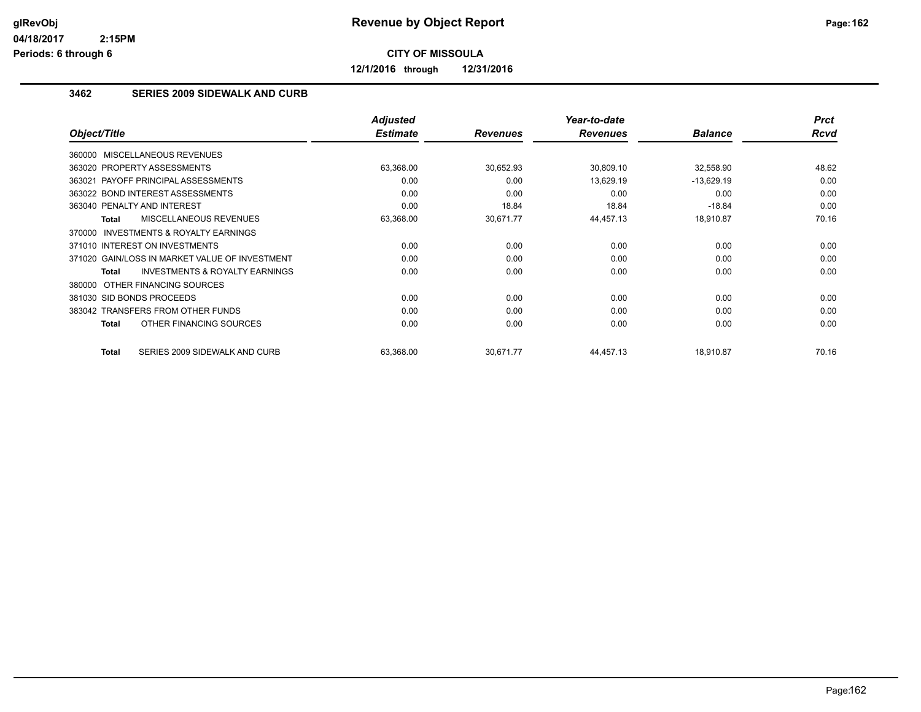**12/1/2016 through 12/31/2016**

#### **3462 SERIES 2009 SIDEWALK AND CURB**

|                                                     | <b>Adjusted</b> |                 | Year-to-date    |                | <b>Prct</b> |
|-----------------------------------------------------|-----------------|-----------------|-----------------|----------------|-------------|
| Object/Title                                        | <b>Estimate</b> | <b>Revenues</b> | <b>Revenues</b> | <b>Balance</b> | <b>Rcvd</b> |
| 360000 MISCELLANEOUS REVENUES                       |                 |                 |                 |                |             |
| 363020 PROPERTY ASSESSMENTS                         | 63,368.00       | 30,652.93       | 30,809.10       | 32,558.90      | 48.62       |
| 363021 PAYOFF PRINCIPAL ASSESSMENTS                 | 0.00            | 0.00            | 13,629.19       | $-13,629.19$   | 0.00        |
| 363022 BOND INTEREST ASSESSMENTS                    | 0.00            | 0.00            | 0.00            | 0.00           | 0.00        |
| 363040 PENALTY AND INTEREST                         | 0.00            | 18.84           | 18.84           | $-18.84$       | 0.00        |
| MISCELLANEOUS REVENUES<br>Total                     | 63,368.00       | 30,671.77       | 44,457.13       | 18,910.87      | 70.16       |
| <b>INVESTMENTS &amp; ROYALTY EARNINGS</b><br>370000 |                 |                 |                 |                |             |
| 371010 INTEREST ON INVESTMENTS                      | 0.00            | 0.00            | 0.00            | 0.00           | 0.00        |
| 371020 GAIN/LOSS IN MARKET VALUE OF INVESTMENT      | 0.00            | 0.00            | 0.00            | 0.00           | 0.00        |
| <b>INVESTMENTS &amp; ROYALTY EARNINGS</b><br>Total  | 0.00            | 0.00            | 0.00            | 0.00           | 0.00        |
| OTHER FINANCING SOURCES<br>380000                   |                 |                 |                 |                |             |
| 381030 SID BONDS PROCEEDS                           | 0.00            | 0.00            | 0.00            | 0.00           | 0.00        |
| 383042 TRANSFERS FROM OTHER FUNDS                   | 0.00            | 0.00            | 0.00            | 0.00           | 0.00        |
| OTHER FINANCING SOURCES<br>Total                    | 0.00            | 0.00            | 0.00            | 0.00           | 0.00        |
| SERIES 2009 SIDEWALK AND CURB<br><b>Total</b>       | 63,368.00       | 30,671.77       | 44,457.13       | 18,910.87      | 70.16       |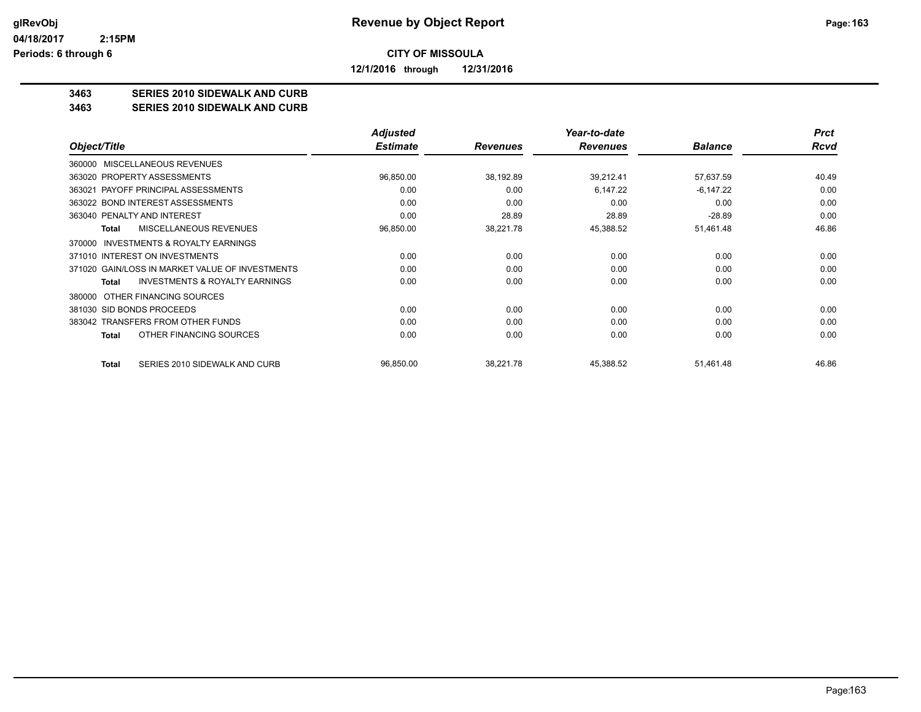**12/1/2016 through 12/31/2016**

# **3463 SERIES 2010 SIDEWALK AND CURB**

**3463 SERIES 2010 SIDEWALK AND CURB**

|                                                    | <b>Adjusted</b> |                 | Year-to-date    |                | <b>Prct</b> |
|----------------------------------------------------|-----------------|-----------------|-----------------|----------------|-------------|
| Object/Title                                       | <b>Estimate</b> | <b>Revenues</b> | <b>Revenues</b> | <b>Balance</b> | Rcvd        |
| MISCELLANEOUS REVENUES<br>360000                   |                 |                 |                 |                |             |
| 363020 PROPERTY ASSESSMENTS                        | 96,850.00       | 38,192.89       | 39,212.41       | 57,637.59      | 40.49       |
| 363021 PAYOFF PRINCIPAL ASSESSMENTS                | 0.00            | 0.00            | 6,147.22        | $-6,147.22$    | 0.00        |
| 363022 BOND INTEREST ASSESSMENTS                   | 0.00            | 0.00            | 0.00            | 0.00           | 0.00        |
| 363040 PENALTY AND INTEREST                        | 0.00            | 28.89           | 28.89           | $-28.89$       | 0.00        |
| <b>MISCELLANEOUS REVENUES</b><br><b>Total</b>      | 96,850.00       | 38,221.78       | 45,388.52       | 51,461.48      | 46.86       |
| INVESTMENTS & ROYALTY EARNINGS<br>370000           |                 |                 |                 |                |             |
| 371010 INTEREST ON INVESTMENTS                     | 0.00            | 0.00            | 0.00            | 0.00           | 0.00        |
| 371020 GAIN/LOSS IN MARKET VALUE OF INVESTMENTS    | 0.00            | 0.00            | 0.00            | 0.00           | 0.00        |
| <b>INVESTMENTS &amp; ROYALTY EARNINGS</b><br>Total | 0.00            | 0.00            | 0.00            | 0.00           | 0.00        |
| OTHER FINANCING SOURCES<br>380000                  |                 |                 |                 |                |             |
| 381030 SID BONDS PROCEEDS                          | 0.00            | 0.00            | 0.00            | 0.00           | 0.00        |
| 383042 TRANSFERS FROM OTHER FUNDS                  | 0.00            | 0.00            | 0.00            | 0.00           | 0.00        |
| OTHER FINANCING SOURCES<br><b>Total</b>            | 0.00            | 0.00            | 0.00            | 0.00           | 0.00        |
| SERIES 2010 SIDEWALK AND CURB<br><b>Total</b>      | 96,850.00       | 38,221.78       | 45,388.52       | 51,461.48      | 46.86       |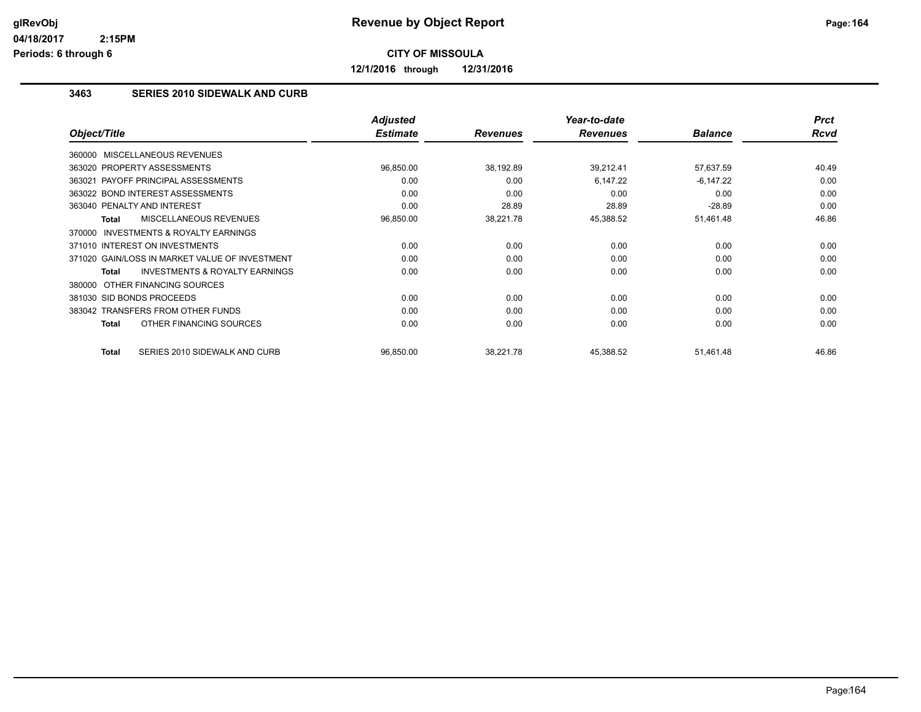**12/1/2016 through 12/31/2016**

#### **3463 SERIES 2010 SIDEWALK AND CURB**

|                                                     | <b>Adjusted</b> |                 | Year-to-date    |                | <b>Prct</b> |
|-----------------------------------------------------|-----------------|-----------------|-----------------|----------------|-------------|
| Object/Title                                        | <b>Estimate</b> | <b>Revenues</b> | <b>Revenues</b> | <b>Balance</b> | <b>Rcvd</b> |
| 360000 MISCELLANEOUS REVENUES                       |                 |                 |                 |                |             |
| 363020 PROPERTY ASSESSMENTS                         | 96,850.00       | 38,192.89       | 39,212.41       | 57,637.59      | 40.49       |
| 363021 PAYOFF PRINCIPAL ASSESSMENTS                 | 0.00            | 0.00            | 6.147.22        | $-6,147.22$    | 0.00        |
| 363022 BOND INTEREST ASSESSMENTS                    | 0.00            | 0.00            | 0.00            | 0.00           | 0.00        |
| 363040 PENALTY AND INTEREST                         | 0.00            | 28.89           | 28.89           | $-28.89$       | 0.00        |
| MISCELLANEOUS REVENUES<br>Total                     | 96,850.00       | 38,221.78       | 45,388.52       | 51,461.48      | 46.86       |
| <b>INVESTMENTS &amp; ROYALTY EARNINGS</b><br>370000 |                 |                 |                 |                |             |
| 371010 INTEREST ON INVESTMENTS                      | 0.00            | 0.00            | 0.00            | 0.00           | 0.00        |
| 371020 GAIN/LOSS IN MARKET VALUE OF INVESTMENT      | 0.00            | 0.00            | 0.00            | 0.00           | 0.00        |
| <b>INVESTMENTS &amp; ROYALTY EARNINGS</b><br>Total  | 0.00            | 0.00            | 0.00            | 0.00           | 0.00        |
| 380000 OTHER FINANCING SOURCES                      |                 |                 |                 |                |             |
| 381030 SID BONDS PROCEEDS                           | 0.00            | 0.00            | 0.00            | 0.00           | 0.00        |
| 383042 TRANSFERS FROM OTHER FUNDS                   | 0.00            | 0.00            | 0.00            | 0.00           | 0.00        |
| OTHER FINANCING SOURCES<br>Total                    | 0.00            | 0.00            | 0.00            | 0.00           | 0.00        |
| SERIES 2010 SIDEWALK AND CURB<br><b>Total</b>       | 96,850.00       | 38,221.78       | 45,388.52       | 51,461.48      | 46.86       |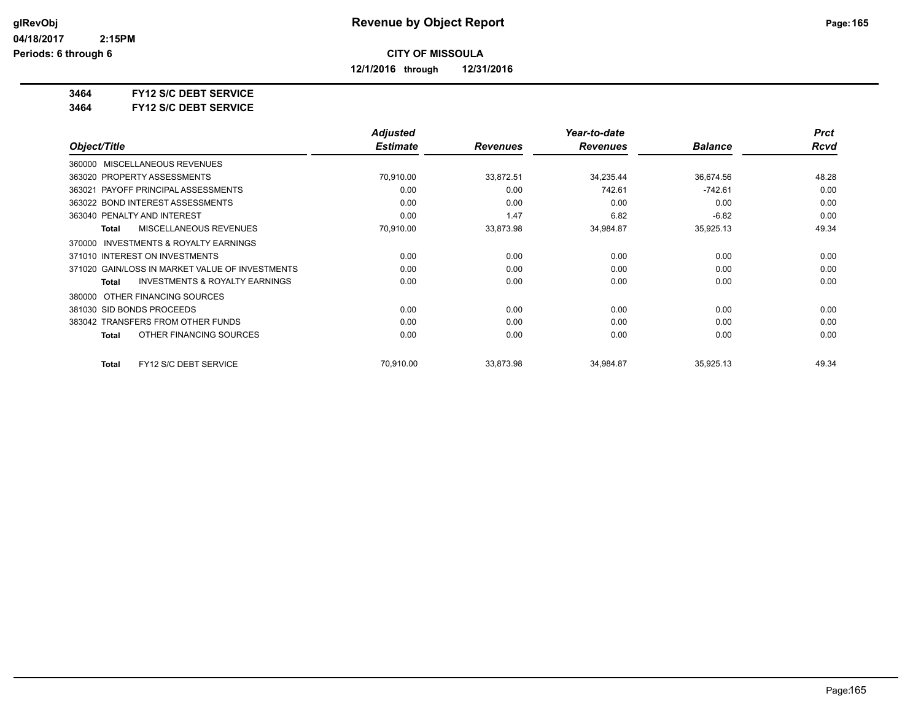**12/1/2016 through 12/31/2016**

**3464 FY12 S/C DEBT SERVICE 3464 FY12 S/C DEBT SERVICE**

|                                                    | <b>Adjusted</b> |                 | Year-to-date    |                | <b>Prct</b> |
|----------------------------------------------------|-----------------|-----------------|-----------------|----------------|-------------|
| Object/Title                                       | <b>Estimate</b> | <b>Revenues</b> | <b>Revenues</b> | <b>Balance</b> | Rcvd        |
| 360000 MISCELLANEOUS REVENUES                      |                 |                 |                 |                |             |
| 363020 PROPERTY ASSESSMENTS                        | 70,910.00       | 33,872.51       | 34,235.44       | 36,674.56      | 48.28       |
| 363021 PAYOFF PRINCIPAL ASSESSMENTS                | 0.00            | 0.00            | 742.61          | $-742.61$      | 0.00        |
| 363022 BOND INTEREST ASSESSMENTS                   | 0.00            | 0.00            | 0.00            | 0.00           | 0.00        |
| 363040 PENALTY AND INTEREST                        | 0.00            | 1.47            | 6.82            | $-6.82$        | 0.00        |
| MISCELLANEOUS REVENUES<br>Total                    | 70,910.00       | 33,873.98       | 34,984.87       | 35,925.13      | 49.34       |
| 370000 INVESTMENTS & ROYALTY EARNINGS              |                 |                 |                 |                |             |
| 371010 INTEREST ON INVESTMENTS                     | 0.00            | 0.00            | 0.00            | 0.00           | 0.00        |
| 371020 GAIN/LOSS IN MARKET VALUE OF INVESTMENTS    | 0.00            | 0.00            | 0.00            | 0.00           | 0.00        |
| <b>INVESTMENTS &amp; ROYALTY EARNINGS</b><br>Total | 0.00            | 0.00            | 0.00            | 0.00           | 0.00        |
| 380000 OTHER FINANCING SOURCES                     |                 |                 |                 |                |             |
| 381030 SID BONDS PROCEEDS                          | 0.00            | 0.00            | 0.00            | 0.00           | 0.00        |
| 383042 TRANSFERS FROM OTHER FUNDS                  | 0.00            | 0.00            | 0.00            | 0.00           | 0.00        |
| OTHER FINANCING SOURCES<br>Total                   | 0.00            | 0.00            | 0.00            | 0.00           | 0.00        |
| FY12 S/C DEBT SERVICE<br><b>Total</b>              | 70,910.00       | 33,873.98       | 34,984.87       | 35,925.13      | 49.34       |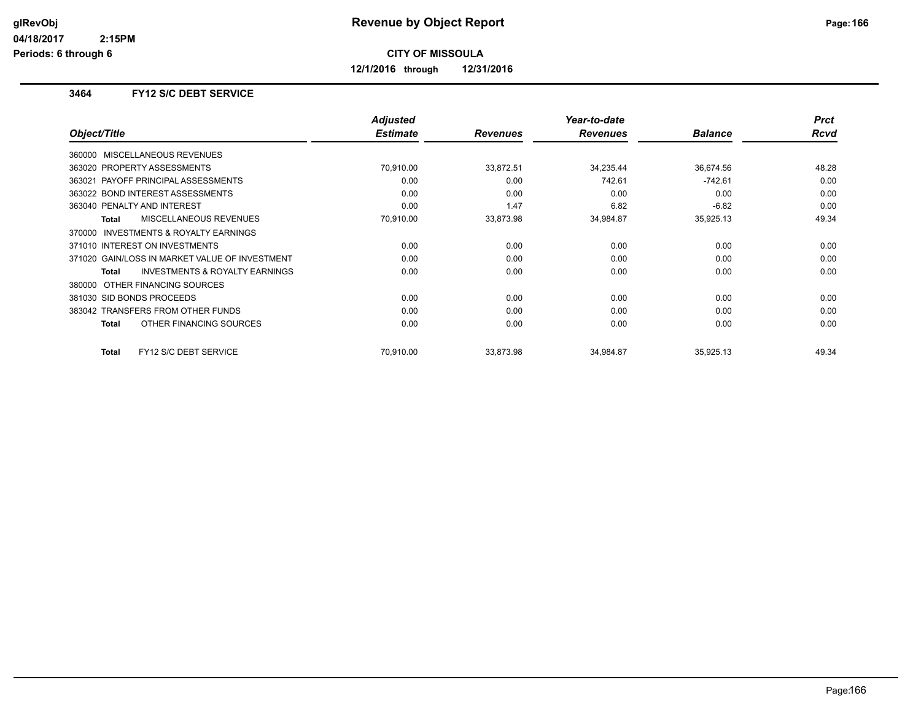**12/1/2016 through 12/31/2016**

#### **3464 FY12 S/C DEBT SERVICE**

|                                                           | <b>Adjusted</b> |                 | Year-to-date    |                | <b>Prct</b> |
|-----------------------------------------------------------|-----------------|-----------------|-----------------|----------------|-------------|
| Object/Title                                              | <b>Estimate</b> | <b>Revenues</b> | <b>Revenues</b> | <b>Balance</b> | Rcvd        |
| 360000 MISCELLANEOUS REVENUES                             |                 |                 |                 |                |             |
| 363020 PROPERTY ASSESSMENTS                               | 70,910.00       | 33,872.51       | 34,235.44       | 36,674.56      | 48.28       |
| 363021 PAYOFF PRINCIPAL ASSESSMENTS                       | 0.00            | 0.00            | 742.61          | $-742.61$      | 0.00        |
| 363022 BOND INTEREST ASSESSMENTS                          | 0.00            | 0.00            | 0.00            | 0.00           | 0.00        |
| 363040 PENALTY AND INTEREST                               | 0.00            | 1.47            | 6.82            | $-6.82$        | 0.00        |
| MISCELLANEOUS REVENUES<br><b>Total</b>                    | 70,910.00       | 33,873.98       | 34,984.87       | 35,925.13      | 49.34       |
| <b>INVESTMENTS &amp; ROYALTY EARNINGS</b><br>370000       |                 |                 |                 |                |             |
| 371010 INTEREST ON INVESTMENTS                            | 0.00            | 0.00            | 0.00            | 0.00           | 0.00        |
| 371020 GAIN/LOSS IN MARKET VALUE OF INVESTMENT            | 0.00            | 0.00            | 0.00            | 0.00           | 0.00        |
| <b>INVESTMENTS &amp; ROYALTY EARNINGS</b><br><b>Total</b> | 0.00            | 0.00            | 0.00            | 0.00           | 0.00        |
| OTHER FINANCING SOURCES<br>380000                         |                 |                 |                 |                |             |
| 381030 SID BONDS PROCEEDS                                 | 0.00            | 0.00            | 0.00            | 0.00           | 0.00        |
| 383042 TRANSFERS FROM OTHER FUNDS                         | 0.00            | 0.00            | 0.00            | 0.00           | 0.00        |
| OTHER FINANCING SOURCES<br><b>Total</b>                   | 0.00            | 0.00            | 0.00            | 0.00           | 0.00        |
| FY12 S/C DEBT SERVICE<br><b>Total</b>                     | 70.910.00       | 33,873.98       | 34,984.87       | 35,925.13      | 49.34       |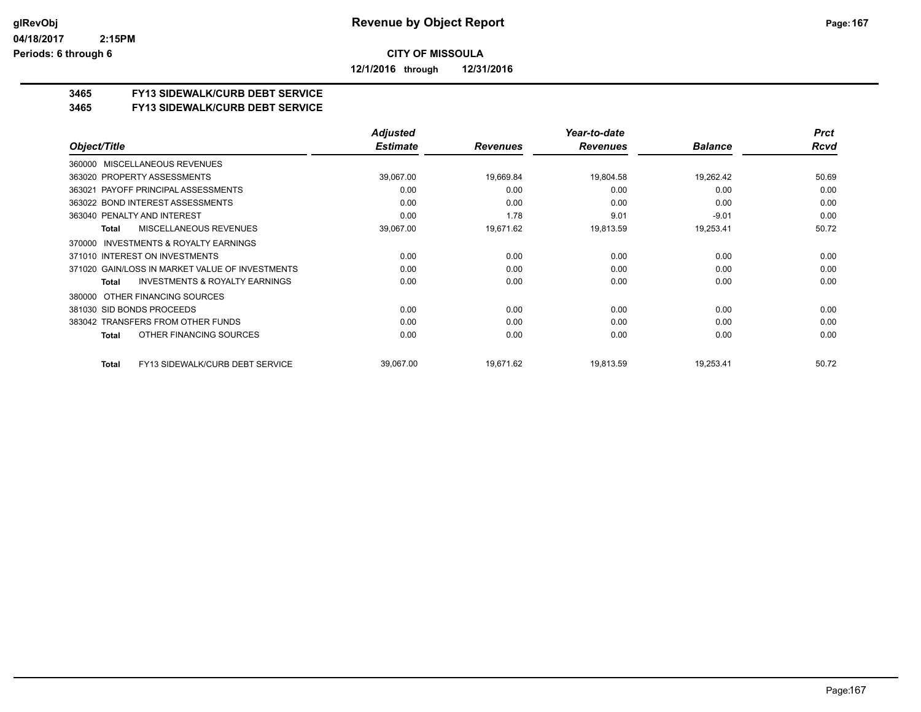**12/1/2016 through 12/31/2016**

# **3465 FY13 SIDEWALK/CURB DEBT SERVICE**

**3465 FY13 SIDEWALK/CURB DEBT SERVICE**

|                                                    | <b>Adjusted</b> |                 | Year-to-date    |                | <b>Prct</b> |
|----------------------------------------------------|-----------------|-----------------|-----------------|----------------|-------------|
| Object/Title                                       | <b>Estimate</b> | <b>Revenues</b> | <b>Revenues</b> | <b>Balance</b> | Rcvd        |
| 360000 MISCELLANEOUS REVENUES                      |                 |                 |                 |                |             |
| 363020 PROPERTY ASSESSMENTS                        | 39,067.00       | 19,669.84       | 19,804.58       | 19,262.42      | 50.69       |
| PAYOFF PRINCIPAL ASSESSMENTS<br>363021             | 0.00            | 0.00            | 0.00            | 0.00           | 0.00        |
| 363022 BOND INTEREST ASSESSMENTS                   | 0.00            | 0.00            | 0.00            | 0.00           | 0.00        |
| 363040 PENALTY AND INTEREST                        | 0.00            | 1.78            | 9.01            | $-9.01$        | 0.00        |
| <b>MISCELLANEOUS REVENUES</b><br>Total             | 39,067.00       | 19,671.62       | 19,813.59       | 19,253.41      | 50.72       |
| 370000 INVESTMENTS & ROYALTY EARNINGS              |                 |                 |                 |                |             |
| 371010 INTEREST ON INVESTMENTS                     | 0.00            | 0.00            | 0.00            | 0.00           | 0.00        |
| 371020 GAIN/LOSS IN MARKET VALUE OF INVESTMENTS    | 0.00            | 0.00            | 0.00            | 0.00           | 0.00        |
| <b>INVESTMENTS &amp; ROYALTY EARNINGS</b><br>Total | 0.00            | 0.00            | 0.00            | 0.00           | 0.00        |
| OTHER FINANCING SOURCES<br>380000                  |                 |                 |                 |                |             |
| 381030 SID BONDS PROCEEDS                          | 0.00            | 0.00            | 0.00            | 0.00           | 0.00        |
| 383042 TRANSFERS FROM OTHER FUNDS                  | 0.00            | 0.00            | 0.00            | 0.00           | 0.00        |
| OTHER FINANCING SOURCES<br><b>Total</b>            | 0.00            | 0.00            | 0.00            | 0.00           | 0.00        |
| FY13 SIDEWALK/CURB DEBT SERVICE<br><b>Total</b>    | 39,067.00       | 19,671.62       | 19,813.59       | 19,253.41      | 50.72       |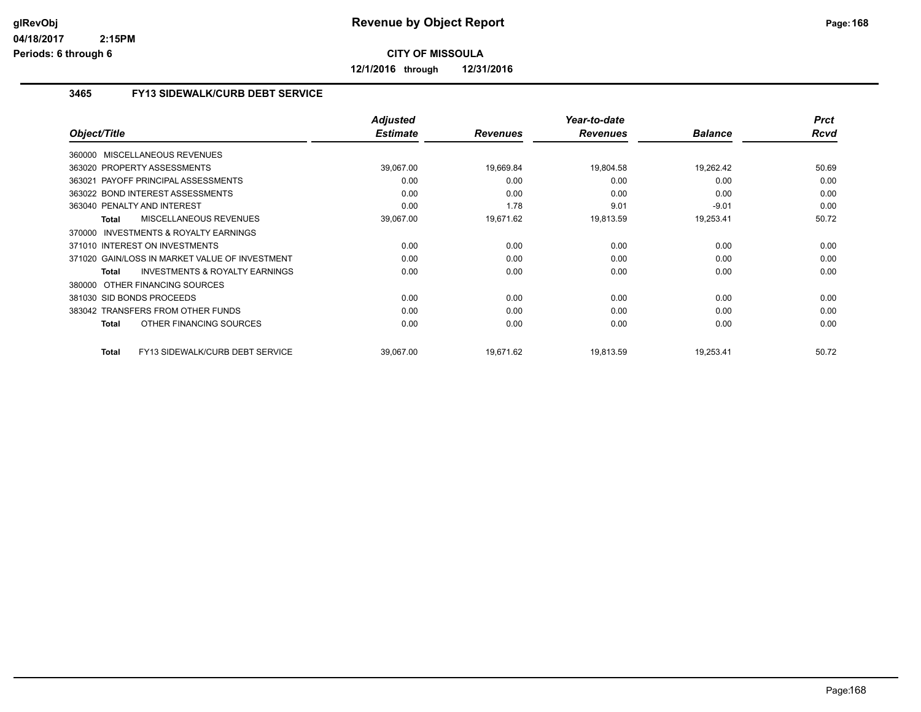**12/1/2016 through 12/31/2016**

#### **3465 FY13 SIDEWALK/CURB DEBT SERVICE**

|                                                    | <b>Adjusted</b> |                 | Year-to-date    |                | <b>Prct</b> |
|----------------------------------------------------|-----------------|-----------------|-----------------|----------------|-------------|
| Object/Title                                       | <b>Estimate</b> | <b>Revenues</b> | <b>Revenues</b> | <b>Balance</b> | Rcvd        |
| 360000 MISCELLANEOUS REVENUES                      |                 |                 |                 |                |             |
| 363020 PROPERTY ASSESSMENTS                        | 39,067.00       | 19,669.84       | 19,804.58       | 19,262.42      | 50.69       |
| 363021 PAYOFF PRINCIPAL ASSESSMENTS                | 0.00            | 0.00            | 0.00            | 0.00           | 0.00        |
| 363022 BOND INTEREST ASSESSMENTS                   | 0.00            | 0.00            | 0.00            | 0.00           | 0.00        |
| 363040 PENALTY AND INTEREST                        | 0.00            | 1.78            | 9.01            | $-9.01$        | 0.00        |
| MISCELLANEOUS REVENUES<br>Total                    | 39,067.00       | 19,671.62       | 19,813.59       | 19,253.41      | 50.72       |
| INVESTMENTS & ROYALTY EARNINGS<br>370000           |                 |                 |                 |                |             |
| 371010 INTEREST ON INVESTMENTS                     | 0.00            | 0.00            | 0.00            | 0.00           | 0.00        |
| 371020 GAIN/LOSS IN MARKET VALUE OF INVESTMENT     | 0.00            | 0.00            | 0.00            | 0.00           | 0.00        |
| <b>INVESTMENTS &amp; ROYALTY EARNINGS</b><br>Total | 0.00            | 0.00            | 0.00            | 0.00           | 0.00        |
| OTHER FINANCING SOURCES<br>380000                  |                 |                 |                 |                |             |
| 381030 SID BONDS PROCEEDS                          | 0.00            | 0.00            | 0.00            | 0.00           | 0.00        |
| 383042 TRANSFERS FROM OTHER FUNDS                  | 0.00            | 0.00            | 0.00            | 0.00           | 0.00        |
| OTHER FINANCING SOURCES<br>Total                   | 0.00            | 0.00            | 0.00            | 0.00           | 0.00        |
| FY13 SIDEWALK/CURB DEBT SERVICE<br><b>Total</b>    | 39.067.00       | 19.671.62       | 19,813.59       | 19,253.41      | 50.72       |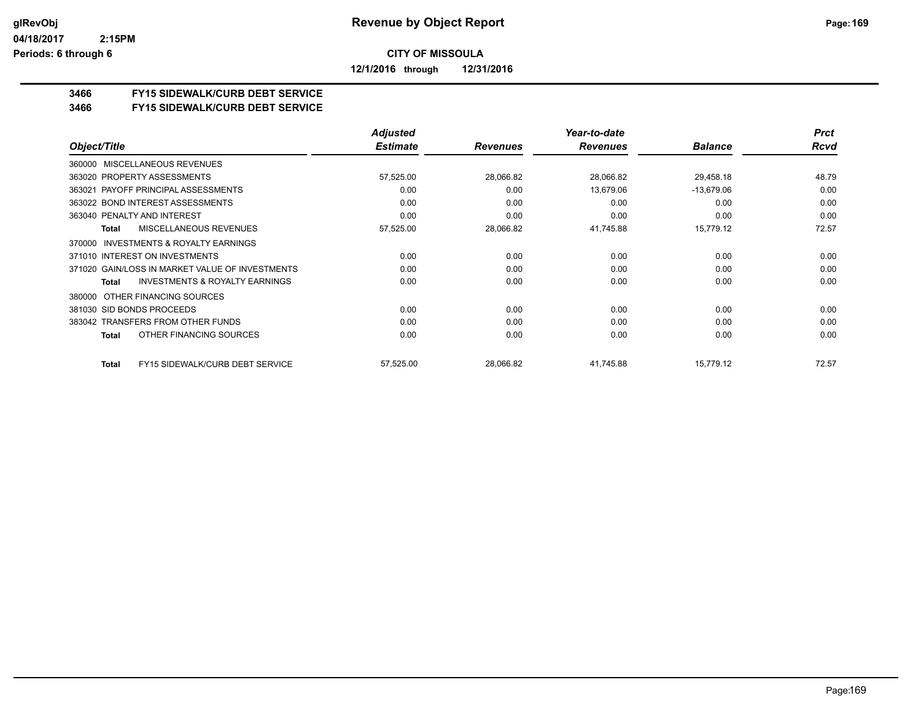**12/1/2016 through 12/31/2016**

# **3466 FY15 SIDEWALK/CURB DEBT SERVICE**

**3466 FY15 SIDEWALK/CURB DEBT SERVICE**

|                                                     | <b>Adjusted</b> |                 | Year-to-date    |                | <b>Prct</b> |
|-----------------------------------------------------|-----------------|-----------------|-----------------|----------------|-------------|
| Object/Title                                        | <b>Estimate</b> | <b>Revenues</b> | <b>Revenues</b> | <b>Balance</b> | Rcvd        |
| MISCELLANEOUS REVENUES<br>360000                    |                 |                 |                 |                |             |
| 363020 PROPERTY ASSESSMENTS                         | 57,525.00       | 28,066.82       | 28,066.82       | 29,458.18      | 48.79       |
| PAYOFF PRINCIPAL ASSESSMENTS<br>363021              | 0.00            | 0.00            | 13,679.06       | $-13,679.06$   | 0.00        |
| 363022 BOND INTEREST ASSESSMENTS                    | 0.00            | 0.00            | 0.00            | 0.00           | 0.00        |
| 363040 PENALTY AND INTEREST                         | 0.00            | 0.00            | 0.00            | 0.00           | 0.00        |
| <b>MISCELLANEOUS REVENUES</b><br><b>Total</b>       | 57,525.00       | 28,066.82       | 41,745.88       | 15,779.12      | 72.57       |
| <b>INVESTMENTS &amp; ROYALTY EARNINGS</b><br>370000 |                 |                 |                 |                |             |
| 371010 INTEREST ON INVESTMENTS                      | 0.00            | 0.00            | 0.00            | 0.00           | 0.00        |
| 371020 GAIN/LOSS IN MARKET VALUE OF INVESTMENTS     | 0.00            | 0.00            | 0.00            | 0.00           | 0.00        |
| <b>INVESTMENTS &amp; ROYALTY EARNINGS</b><br>Total  | 0.00            | 0.00            | 0.00            | 0.00           | 0.00        |
| OTHER FINANCING SOURCES<br>380000                   |                 |                 |                 |                |             |
| 381030 SID BONDS PROCEEDS                           | 0.00            | 0.00            | 0.00            | 0.00           | 0.00        |
| 383042 TRANSFERS FROM OTHER FUNDS                   | 0.00            | 0.00            | 0.00            | 0.00           | 0.00        |
| OTHER FINANCING SOURCES<br><b>Total</b>             | 0.00            | 0.00            | 0.00            | 0.00           | 0.00        |
| <b>FY15 SIDEWALK/CURB DEBT SERVICE</b><br>Total     | 57,525.00       | 28,066.82       | 41,745.88       | 15,779.12      | 72.57       |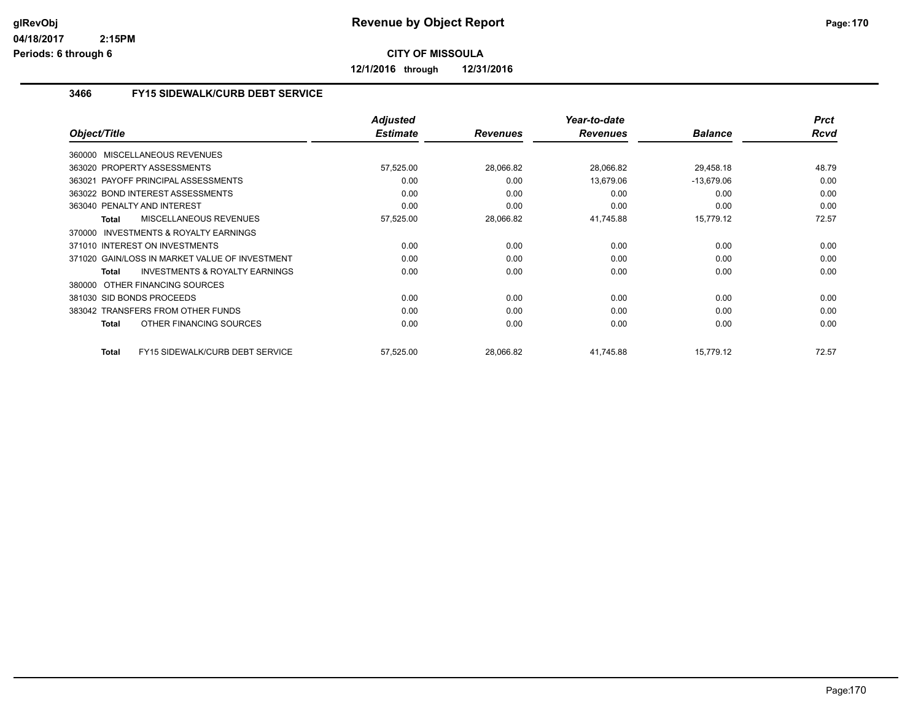**12/1/2016 through 12/31/2016**

#### **3466 FY15 SIDEWALK/CURB DEBT SERVICE**

|                                                           | <b>Adjusted</b> |                 | Year-to-date    |                | <b>Prct</b> |
|-----------------------------------------------------------|-----------------|-----------------|-----------------|----------------|-------------|
| Object/Title                                              | <b>Estimate</b> | <b>Revenues</b> | <b>Revenues</b> | <b>Balance</b> | <b>Rcvd</b> |
| 360000 MISCELLANEOUS REVENUES                             |                 |                 |                 |                |             |
| 363020 PROPERTY ASSESSMENTS                               | 57,525.00       | 28,066.82       | 28,066.82       | 29,458.18      | 48.79       |
| 363021 PAYOFF PRINCIPAL ASSESSMENTS                       | 0.00            | 0.00            | 13,679.06       | $-13,679.06$   | 0.00        |
| 363022 BOND INTEREST ASSESSMENTS                          | 0.00            | 0.00            | 0.00            | 0.00           | 0.00        |
| 363040 PENALTY AND INTEREST                               | 0.00            | 0.00            | 0.00            | 0.00           | 0.00        |
| MISCELLANEOUS REVENUES<br><b>Total</b>                    | 57,525.00       | 28,066.82       | 41,745.88       | 15,779.12      | 72.57       |
| <b>INVESTMENTS &amp; ROYALTY EARNINGS</b><br>370000       |                 |                 |                 |                |             |
| 371010 INTEREST ON INVESTMENTS                            | 0.00            | 0.00            | 0.00            | 0.00           | 0.00        |
| 371020 GAIN/LOSS IN MARKET VALUE OF INVESTMENT            | 0.00            | 0.00            | 0.00            | 0.00           | 0.00        |
| <b>INVESTMENTS &amp; ROYALTY EARNINGS</b><br><b>Total</b> | 0.00            | 0.00            | 0.00            | 0.00           | 0.00        |
| OTHER FINANCING SOURCES<br>380000                         |                 |                 |                 |                |             |
| 381030 SID BONDS PROCEEDS                                 | 0.00            | 0.00            | 0.00            | 0.00           | 0.00        |
| 383042 TRANSFERS FROM OTHER FUNDS                         | 0.00            | 0.00            | 0.00            | 0.00           | 0.00        |
| OTHER FINANCING SOURCES<br><b>Total</b>                   | 0.00            | 0.00            | 0.00            | 0.00           | 0.00        |
| FY15 SIDEWALK/CURB DEBT SERVICE<br><b>Total</b>           | 57,525.00       | 28,066.82       | 41,745.88       | 15,779.12      | 72.57       |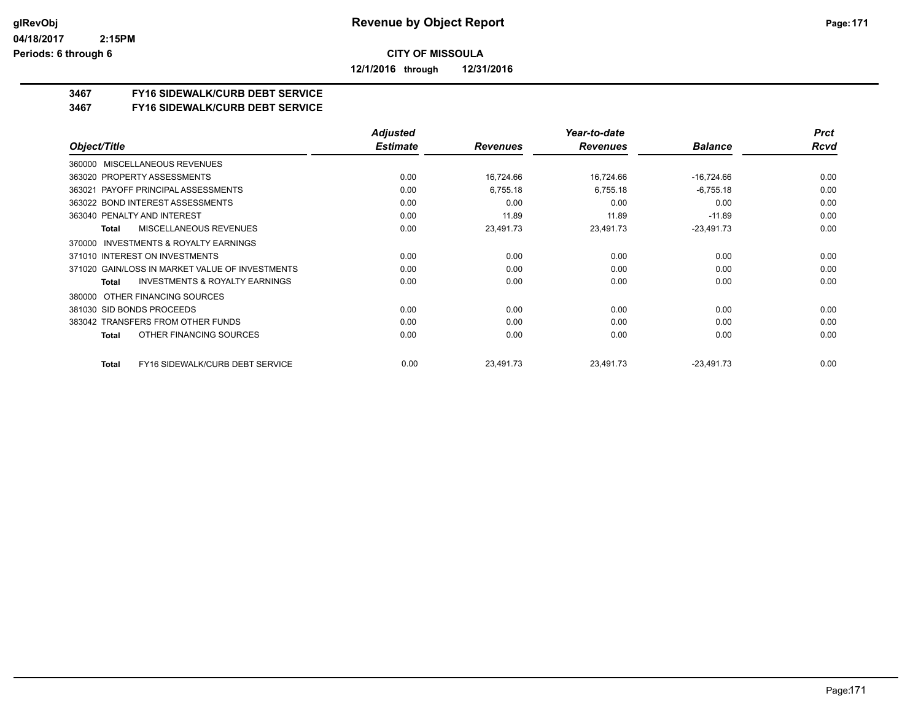**12/1/2016 through 12/31/2016**

# **3467 FY16 SIDEWALK/CURB DEBT SERVICE**

**3467 FY16 SIDEWALK/CURB DEBT SERVICE**

|                                                           | <b>Adjusted</b> |                 | Year-to-date    |                | <b>Prct</b> |
|-----------------------------------------------------------|-----------------|-----------------|-----------------|----------------|-------------|
| Object/Title                                              | <b>Estimate</b> | <b>Revenues</b> | <b>Revenues</b> | <b>Balance</b> | <b>Rcvd</b> |
| MISCELLANEOUS REVENUES<br>360000                          |                 |                 |                 |                |             |
| 363020 PROPERTY ASSESSMENTS                               | 0.00            | 16,724.66       | 16,724.66       | $-16,724.66$   | 0.00        |
| PAYOFF PRINCIPAL ASSESSMENTS<br>363021                    | 0.00            | 6,755.18        | 6,755.18        | $-6,755.18$    | 0.00        |
| 363022 BOND INTEREST ASSESSMENTS                          | 0.00            | 0.00            | 0.00            | 0.00           | 0.00        |
| 363040 PENALTY AND INTEREST                               | 0.00            | 11.89           | 11.89           | $-11.89$       | 0.00        |
| MISCELLANEOUS REVENUES<br><b>Total</b>                    | 0.00            | 23,491.73       | 23,491.73       | $-23,491.73$   | 0.00        |
| <b>INVESTMENTS &amp; ROYALTY EARNINGS</b><br>370000       |                 |                 |                 |                |             |
| 371010 INTEREST ON INVESTMENTS                            | 0.00            | 0.00            | 0.00            | 0.00           | 0.00        |
| 371020 GAIN/LOSS IN MARKET VALUE OF INVESTMENTS           | 0.00            | 0.00            | 0.00            | 0.00           | 0.00        |
| <b>INVESTMENTS &amp; ROYALTY EARNINGS</b><br><b>Total</b> | 0.00            | 0.00            | 0.00            | 0.00           | 0.00        |
| OTHER FINANCING SOURCES<br>380000                         |                 |                 |                 |                |             |
| 381030 SID BONDS PROCEEDS                                 | 0.00            | 0.00            | 0.00            | 0.00           | 0.00        |
| 383042 TRANSFERS FROM OTHER FUNDS                         | 0.00            | 0.00            | 0.00            | 0.00           | 0.00        |
| OTHER FINANCING SOURCES<br><b>Total</b>                   | 0.00            | 0.00            | 0.00            | 0.00           | 0.00        |
| FY16 SIDEWALK/CURB DEBT SERVICE<br><b>Total</b>           | 0.00            | 23,491.73       | 23,491.73       | $-23,491.73$   | 0.00        |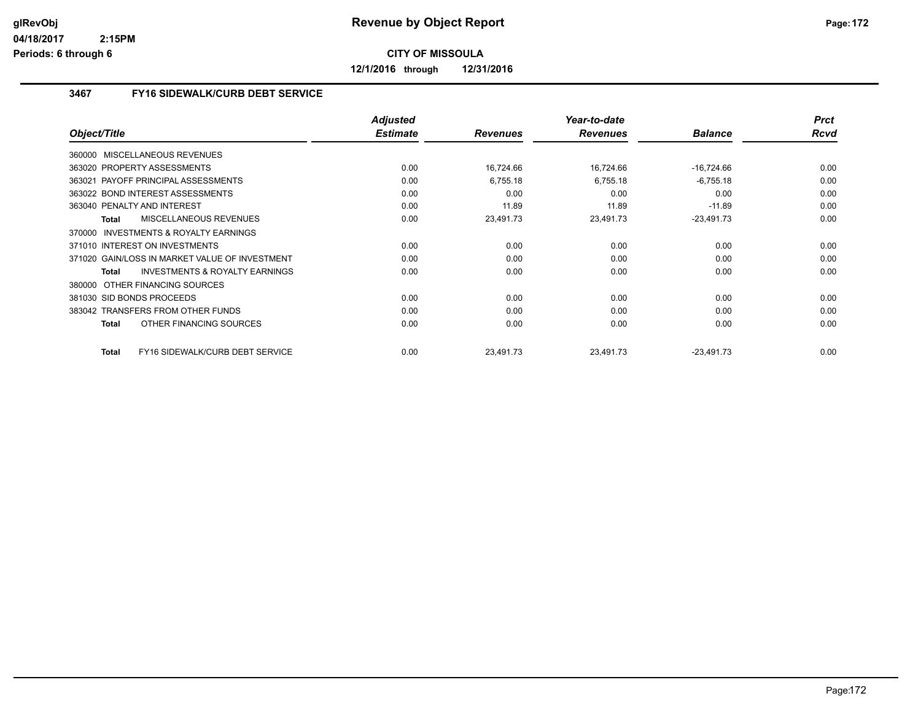**12/1/2016 through 12/31/2016**

#### **3467 FY16 SIDEWALK/CURB DEBT SERVICE**

|                                                           | <b>Adjusted</b> |                 | Year-to-date    |                | <b>Prct</b> |
|-----------------------------------------------------------|-----------------|-----------------|-----------------|----------------|-------------|
| Object/Title                                              | <b>Estimate</b> | <b>Revenues</b> | <b>Revenues</b> | <b>Balance</b> | Rcvd        |
| 360000 MISCELLANEOUS REVENUES                             |                 |                 |                 |                |             |
| 363020 PROPERTY ASSESSMENTS                               | 0.00            | 16,724.66       | 16,724.66       | $-16,724.66$   | 0.00        |
| 363021 PAYOFF PRINCIPAL ASSESSMENTS                       | 0.00            | 6,755.18        | 6,755.18        | $-6,755.18$    | 0.00        |
| 363022 BOND INTEREST ASSESSMENTS                          | 0.00            | 0.00            | 0.00            | 0.00           | 0.00        |
| 363040 PENALTY AND INTEREST                               | 0.00            | 11.89           | 11.89           | $-11.89$       | 0.00        |
| MISCELLANEOUS REVENUES<br><b>Total</b>                    | 0.00            | 23,491.73       | 23,491.73       | $-23,491.73$   | 0.00        |
| <b>INVESTMENTS &amp; ROYALTY EARNINGS</b><br>370000       |                 |                 |                 |                |             |
| 371010 INTEREST ON INVESTMENTS                            | 0.00            | 0.00            | 0.00            | 0.00           | 0.00        |
| 371020 GAIN/LOSS IN MARKET VALUE OF INVESTMENT            | 0.00            | 0.00            | 0.00            | 0.00           | 0.00        |
| <b>INVESTMENTS &amp; ROYALTY EARNINGS</b><br><b>Total</b> | 0.00            | 0.00            | 0.00            | 0.00           | 0.00        |
| OTHER FINANCING SOURCES<br>380000                         |                 |                 |                 |                |             |
| 381030 SID BONDS PROCEEDS                                 | 0.00            | 0.00            | 0.00            | 0.00           | 0.00        |
| 383042 TRANSFERS FROM OTHER FUNDS                         | 0.00            | 0.00            | 0.00            | 0.00           | 0.00        |
| OTHER FINANCING SOURCES<br><b>Total</b>                   | 0.00            | 0.00            | 0.00            | 0.00           | 0.00        |
| FY16 SIDEWALK/CURB DEBT SERVICE<br><b>Total</b>           | 0.00            | 23,491.73       | 23.491.73       | $-23.491.73$   | 0.00        |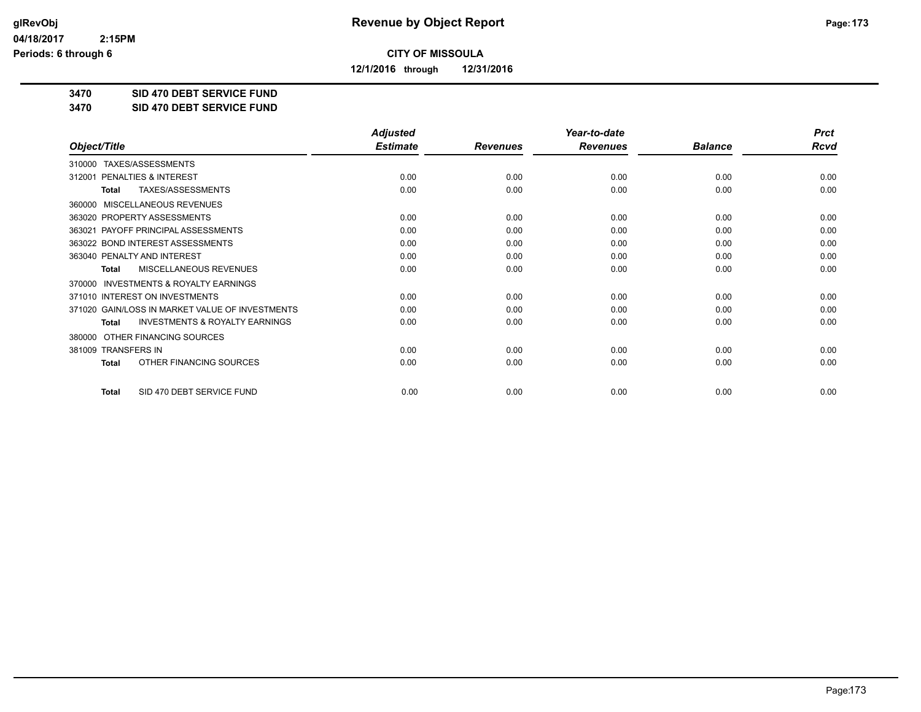**12/1/2016 through 12/31/2016**

**3470 SID 470 DEBT SERVICE FUND**

**3470 SID 470 DEBT SERVICE FUND**

|                                                    | <b>Adjusted</b> |                 | Year-to-date    |                | <b>Prct</b> |
|----------------------------------------------------|-----------------|-----------------|-----------------|----------------|-------------|
| Object/Title                                       | <b>Estimate</b> | <b>Revenues</b> | <b>Revenues</b> | <b>Balance</b> | Rcvd        |
| 310000 TAXES/ASSESSMENTS                           |                 |                 |                 |                |             |
| <b>PENALTIES &amp; INTEREST</b><br>312001          | 0.00            | 0.00            | 0.00            | 0.00           | 0.00        |
| TAXES/ASSESSMENTS<br>Total                         | 0.00            | 0.00            | 0.00            | 0.00           | 0.00        |
| 360000 MISCELLANEOUS REVENUES                      |                 |                 |                 |                |             |
| 363020 PROPERTY ASSESSMENTS                        | 0.00            | 0.00            | 0.00            | 0.00           | 0.00        |
| PAYOFF PRINCIPAL ASSESSMENTS<br>363021             | 0.00            | 0.00            | 0.00            | 0.00           | 0.00        |
| 363022 BOND INTEREST ASSESSMENTS                   | 0.00            | 0.00            | 0.00            | 0.00           | 0.00        |
| 363040 PENALTY AND INTEREST                        | 0.00            | 0.00            | 0.00            | 0.00           | 0.00        |
| <b>MISCELLANEOUS REVENUES</b><br><b>Total</b>      | 0.00            | 0.00            | 0.00            | 0.00           | 0.00        |
| 370000 INVESTMENTS & ROYALTY EARNINGS              |                 |                 |                 |                |             |
| 371010 INTEREST ON INVESTMENTS                     | 0.00            | 0.00            | 0.00            | 0.00           | 0.00        |
| 371020 GAIN/LOSS IN MARKET VALUE OF INVESTMENTS    | 0.00            | 0.00            | 0.00            | 0.00           | 0.00        |
| <b>INVESTMENTS &amp; ROYALTY EARNINGS</b><br>Total | 0.00            | 0.00            | 0.00            | 0.00           | 0.00        |
| 380000 OTHER FINANCING SOURCES                     |                 |                 |                 |                |             |
| 381009 TRANSFERS IN                                | 0.00            | 0.00            | 0.00            | 0.00           | 0.00        |
| OTHER FINANCING SOURCES<br>Total                   | 0.00            | 0.00            | 0.00            | 0.00           | 0.00        |
|                                                    |                 |                 |                 |                |             |
| SID 470 DEBT SERVICE FUND<br><b>Total</b>          | 0.00            | 0.00            | 0.00            | 0.00           | 0.00        |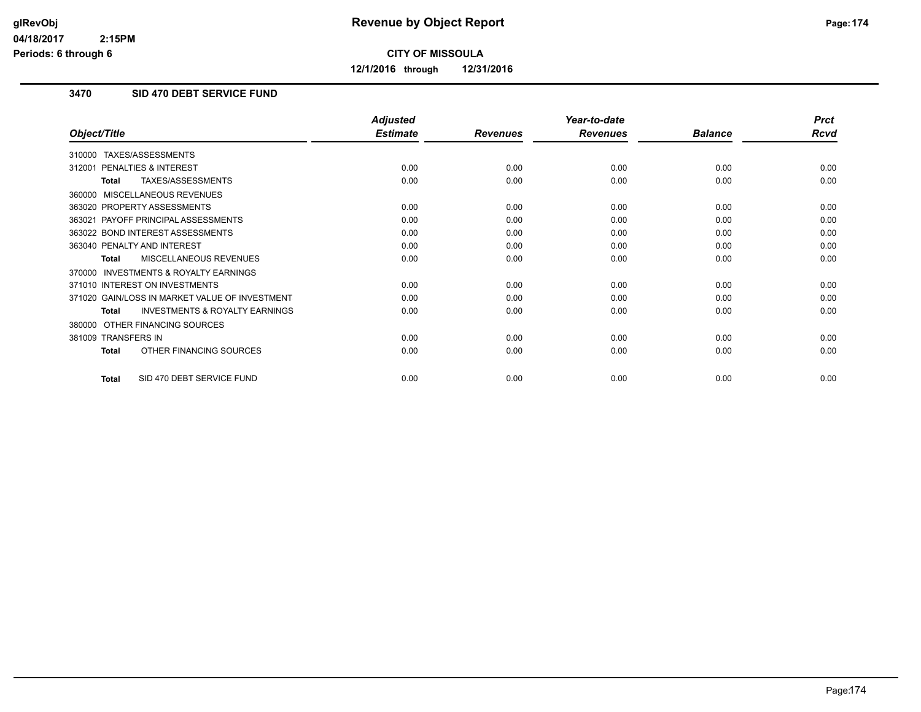**12/1/2016 through 12/31/2016**

#### **3470 SID 470 DEBT SERVICE FUND**

|                                                           | <b>Adjusted</b> |                 | Year-to-date    |                | <b>Prct</b> |
|-----------------------------------------------------------|-----------------|-----------------|-----------------|----------------|-------------|
| Object/Title                                              | <b>Estimate</b> | <b>Revenues</b> | <b>Revenues</b> | <b>Balance</b> | <b>Rcvd</b> |
| TAXES/ASSESSMENTS<br>310000                               |                 |                 |                 |                |             |
| 312001 PENALTIES & INTEREST                               | 0.00            | 0.00            | 0.00            | 0.00           | 0.00        |
| TAXES/ASSESSMENTS<br><b>Total</b>                         | 0.00            | 0.00            | 0.00            | 0.00           | 0.00        |
| <b>MISCELLANEOUS REVENUES</b><br>360000                   |                 |                 |                 |                |             |
| 363020 PROPERTY ASSESSMENTS                               | 0.00            | 0.00            | 0.00            | 0.00           | 0.00        |
| 363021 PAYOFF PRINCIPAL ASSESSMENTS                       | 0.00            | 0.00            | 0.00            | 0.00           | 0.00        |
| 363022 BOND INTEREST ASSESSMENTS                          | 0.00            | 0.00            | 0.00            | 0.00           | 0.00        |
| 363040 PENALTY AND INTEREST                               | 0.00            | 0.00            | 0.00            | 0.00           | 0.00        |
| <b>MISCELLANEOUS REVENUES</b><br>Total                    | 0.00            | 0.00            | 0.00            | 0.00           | 0.00        |
| <b>INVESTMENTS &amp; ROYALTY EARNINGS</b><br>370000       |                 |                 |                 |                |             |
| 371010 INTEREST ON INVESTMENTS                            | 0.00            | 0.00            | 0.00            | 0.00           | 0.00        |
| 371020 GAIN/LOSS IN MARKET VALUE OF INVESTMENT            | 0.00            | 0.00            | 0.00            | 0.00           | 0.00        |
| <b>INVESTMENTS &amp; ROYALTY EARNINGS</b><br><b>Total</b> | 0.00            | 0.00            | 0.00            | 0.00           | 0.00        |
| OTHER FINANCING SOURCES<br>380000                         |                 |                 |                 |                |             |
| 381009 TRANSFERS IN                                       | 0.00            | 0.00            | 0.00            | 0.00           | 0.00        |
| OTHER FINANCING SOURCES<br>Total                          | 0.00            | 0.00            | 0.00            | 0.00           | 0.00        |
| SID 470 DEBT SERVICE FUND<br><b>Total</b>                 | 0.00            | 0.00            | 0.00            | 0.00           | 0.00        |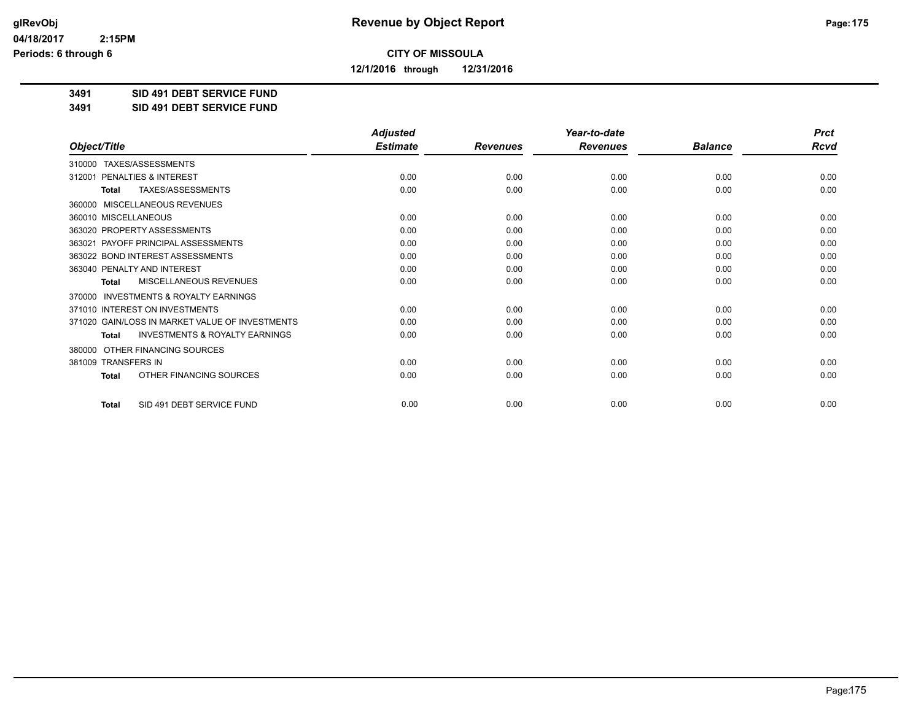**12/1/2016 through 12/31/2016**

**3491 SID 491 DEBT SERVICE FUND**

**3491 SID 491 DEBT SERVICE FUND**

|                                                     | <b>Adjusted</b> |                 | Year-to-date    |                | <b>Prct</b> |
|-----------------------------------------------------|-----------------|-----------------|-----------------|----------------|-------------|
| Object/Title                                        | <b>Estimate</b> | <b>Revenues</b> | <b>Revenues</b> | <b>Balance</b> | Rcvd        |
| 310000 TAXES/ASSESSMENTS                            |                 |                 |                 |                |             |
| PENALTIES & INTEREST<br>312001                      | 0.00            | 0.00            | 0.00            | 0.00           | 0.00        |
| TAXES/ASSESSMENTS<br>Total                          | 0.00            | 0.00            | 0.00            | 0.00           | 0.00        |
| 360000 MISCELLANEOUS REVENUES                       |                 |                 |                 |                |             |
| 360010 MISCELLANEOUS                                | 0.00            | 0.00            | 0.00            | 0.00           | 0.00        |
| 363020 PROPERTY ASSESSMENTS                         | 0.00            | 0.00            | 0.00            | 0.00           | 0.00        |
| 363021 PAYOFF PRINCIPAL ASSESSMENTS                 | 0.00            | 0.00            | 0.00            | 0.00           | 0.00        |
| 363022 BOND INTEREST ASSESSMENTS                    | 0.00            | 0.00            | 0.00            | 0.00           | 0.00        |
| 363040 PENALTY AND INTEREST                         | 0.00            | 0.00            | 0.00            | 0.00           | 0.00        |
| MISCELLANEOUS REVENUES<br>Total                     | 0.00            | 0.00            | 0.00            | 0.00           | 0.00        |
| <b>INVESTMENTS &amp; ROYALTY EARNINGS</b><br>370000 |                 |                 |                 |                |             |
| 371010 INTEREST ON INVESTMENTS                      | 0.00            | 0.00            | 0.00            | 0.00           | 0.00        |
| 371020 GAIN/LOSS IN MARKET VALUE OF INVESTMENTS     | 0.00            | 0.00            | 0.00            | 0.00           | 0.00        |
| <b>INVESTMENTS &amp; ROYALTY EARNINGS</b><br>Total  | 0.00            | 0.00            | 0.00            | 0.00           | 0.00        |
| OTHER FINANCING SOURCES<br>380000                   |                 |                 |                 |                |             |
| 381009 TRANSFERS IN                                 | 0.00            | 0.00            | 0.00            | 0.00           | 0.00        |
| OTHER FINANCING SOURCES<br><b>Total</b>             | 0.00            | 0.00            | 0.00            | 0.00           | 0.00        |
| SID 491 DEBT SERVICE FUND<br><b>Total</b>           | 0.00            | 0.00            | 0.00            | 0.00           | 0.00        |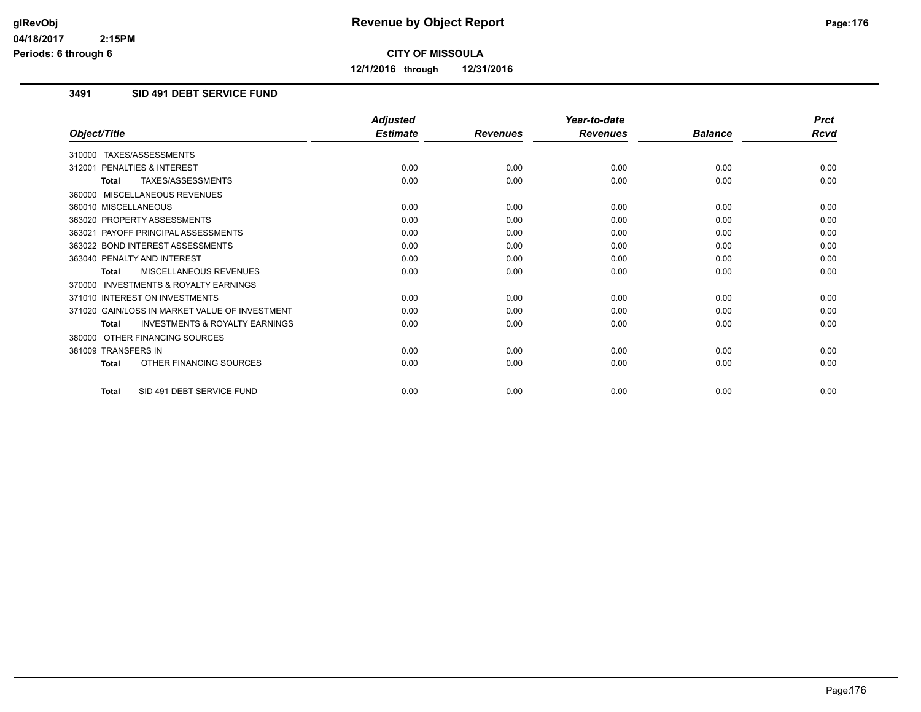**12/1/2016 through 12/31/2016**

#### **3491 SID 491 DEBT SERVICE FUND**

|                                                           | <b>Adjusted</b> |                 | Year-to-date    |                | <b>Prct</b> |
|-----------------------------------------------------------|-----------------|-----------------|-----------------|----------------|-------------|
| Object/Title                                              | <b>Estimate</b> | <b>Revenues</b> | <b>Revenues</b> | <b>Balance</b> | Rcvd        |
| 310000 TAXES/ASSESSMENTS                                  |                 |                 |                 |                |             |
| 312001 PENALTIES & INTEREST                               | 0.00            | 0.00            | 0.00            | 0.00           | 0.00        |
| TAXES/ASSESSMENTS<br><b>Total</b>                         | 0.00            | 0.00            | 0.00            | 0.00           | 0.00        |
| 360000 MISCELLANEOUS REVENUES                             |                 |                 |                 |                |             |
| 360010 MISCELLANEOUS                                      | 0.00            | 0.00            | 0.00            | 0.00           | 0.00        |
| 363020 PROPERTY ASSESSMENTS                               | 0.00            | 0.00            | 0.00            | 0.00           | 0.00        |
| 363021 PAYOFF PRINCIPAL ASSESSMENTS                       | 0.00            | 0.00            | 0.00            | 0.00           | 0.00        |
| 363022 BOND INTEREST ASSESSMENTS                          | 0.00            | 0.00            | 0.00            | 0.00           | 0.00        |
| 363040 PENALTY AND INTEREST                               | 0.00            | 0.00            | 0.00            | 0.00           | 0.00        |
| <b>MISCELLANEOUS REVENUES</b><br><b>Total</b>             | 0.00            | 0.00            | 0.00            | 0.00           | 0.00        |
| <b>INVESTMENTS &amp; ROYALTY EARNINGS</b><br>370000       |                 |                 |                 |                |             |
| 371010 INTEREST ON INVESTMENTS                            | 0.00            | 0.00            | 0.00            | 0.00           | 0.00        |
| 371020 GAIN/LOSS IN MARKET VALUE OF INVESTMENT            | 0.00            | 0.00            | 0.00            | 0.00           | 0.00        |
| <b>INVESTMENTS &amp; ROYALTY EARNINGS</b><br><b>Total</b> | 0.00            | 0.00            | 0.00            | 0.00           | 0.00        |
| OTHER FINANCING SOURCES<br>380000                         |                 |                 |                 |                |             |
| 381009 TRANSFERS IN                                       | 0.00            | 0.00            | 0.00            | 0.00           | 0.00        |
| OTHER FINANCING SOURCES<br>Total                          | 0.00            | 0.00            | 0.00            | 0.00           | 0.00        |
| SID 491 DEBT SERVICE FUND<br><b>Total</b>                 | 0.00            | 0.00            | 0.00            | 0.00           | 0.00        |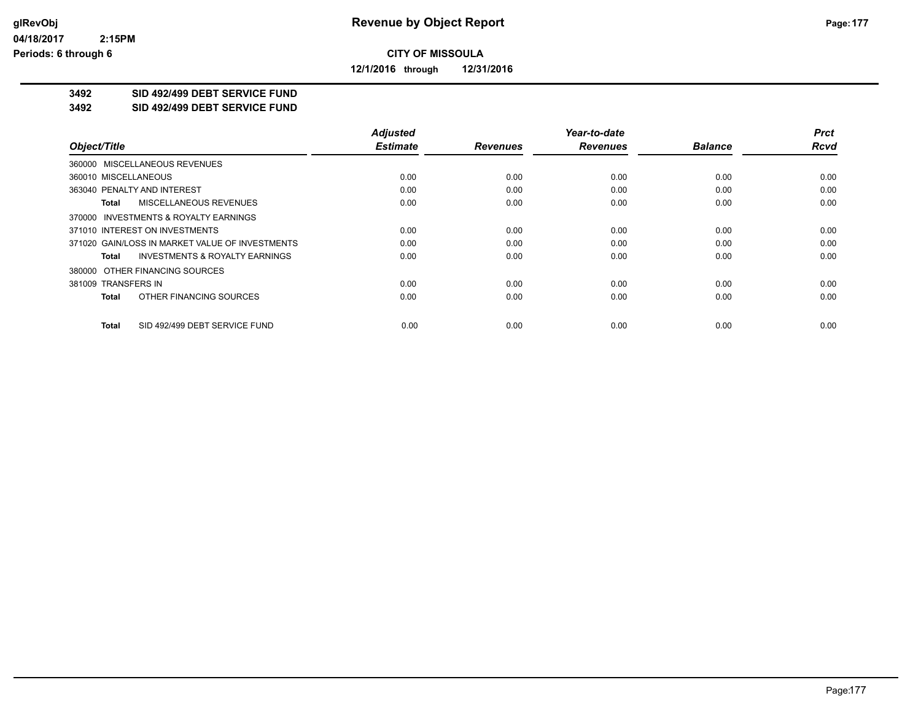**12/1/2016 through 12/31/2016**

**3492 SID 492/499 DEBT SERVICE FUND**

**3492 SID 492/499 DEBT SERVICE FUND**

|                                                    | <b>Adjusted</b> |                 | Year-to-date    |                | <b>Prct</b> |
|----------------------------------------------------|-----------------|-----------------|-----------------|----------------|-------------|
| Object/Title                                       | <b>Estimate</b> | <b>Revenues</b> | <b>Revenues</b> | <b>Balance</b> | <b>Rcvd</b> |
| 360000 MISCELLANEOUS REVENUES                      |                 |                 |                 |                |             |
| 360010 MISCELLANEOUS                               | 0.00            | 0.00            | 0.00            | 0.00           | 0.00        |
| 363040 PENALTY AND INTEREST                        | 0.00            | 0.00            | 0.00            | 0.00           | 0.00        |
| MISCELLANEOUS REVENUES<br>Total                    | 0.00            | 0.00            | 0.00            | 0.00           | 0.00        |
| 370000 INVESTMENTS & ROYALTY EARNINGS              |                 |                 |                 |                |             |
| 371010 INTEREST ON INVESTMENTS                     | 0.00            | 0.00            | 0.00            | 0.00           | 0.00        |
| 371020 GAIN/LOSS IN MARKET VALUE OF INVESTMENTS    | 0.00            | 0.00            | 0.00            | 0.00           | 0.00        |
| <b>INVESTMENTS &amp; ROYALTY EARNINGS</b><br>Total | 0.00            | 0.00            | 0.00            | 0.00           | 0.00        |
| 380000 OTHER FINANCING SOURCES                     |                 |                 |                 |                |             |
| 381009 TRANSFERS IN                                | 0.00            | 0.00            | 0.00            | 0.00           | 0.00        |
| OTHER FINANCING SOURCES<br><b>Total</b>            | 0.00            | 0.00            | 0.00            | 0.00           | 0.00        |
| SID 492/499 DEBT SERVICE FUND<br>Total             | 0.00            | 0.00            | 0.00            | 0.00           | 0.00        |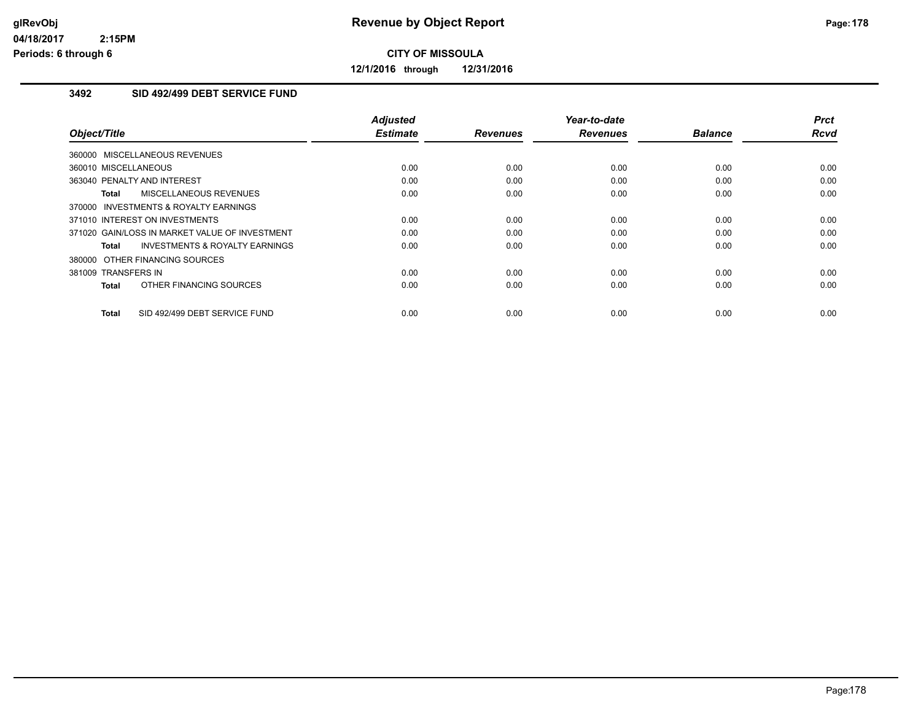**12/1/2016 through 12/31/2016**

#### **3492 SID 492/499 DEBT SERVICE FUND**

| Object/Title                                              | <b>Adjusted</b><br><b>Estimate</b> | <b>Revenues</b> | Year-to-date<br><b>Revenues</b> | <b>Balance</b> | <b>Prct</b><br>Rcvd |
|-----------------------------------------------------------|------------------------------------|-----------------|---------------------------------|----------------|---------------------|
| 360000 MISCELLANEOUS REVENUES                             |                                    |                 |                                 |                |                     |
| 360010 MISCELLANEOUS                                      | 0.00                               | 0.00            | 0.00                            | 0.00           | 0.00                |
| 363040 PENALTY AND INTEREST                               | 0.00                               | 0.00            | 0.00                            | 0.00           | 0.00                |
| MISCELLANEOUS REVENUES<br>Total                           | 0.00                               | 0.00            | 0.00                            | 0.00           | 0.00                |
| 370000 INVESTMENTS & ROYALTY EARNINGS                     |                                    |                 |                                 |                |                     |
| 371010 INTEREST ON INVESTMENTS                            | 0.00                               | 0.00            | 0.00                            | 0.00           | 0.00                |
| 371020 GAIN/LOSS IN MARKET VALUE OF INVESTMENT            | 0.00                               | 0.00            | 0.00                            | 0.00           | 0.00                |
| <b>INVESTMENTS &amp; ROYALTY EARNINGS</b><br><b>Total</b> | 0.00                               | 0.00            | 0.00                            | 0.00           | 0.00                |
| 380000 OTHER FINANCING SOURCES                            |                                    |                 |                                 |                |                     |
| 381009 TRANSFERS IN                                       | 0.00                               | 0.00            | 0.00                            | 0.00           | 0.00                |
| OTHER FINANCING SOURCES<br><b>Total</b>                   | 0.00                               | 0.00            | 0.00                            | 0.00           | 0.00                |
| SID 492/499 DEBT SERVICE FUND<br><b>Total</b>             | 0.00                               | 0.00            | 0.00                            | 0.00           | 0.00                |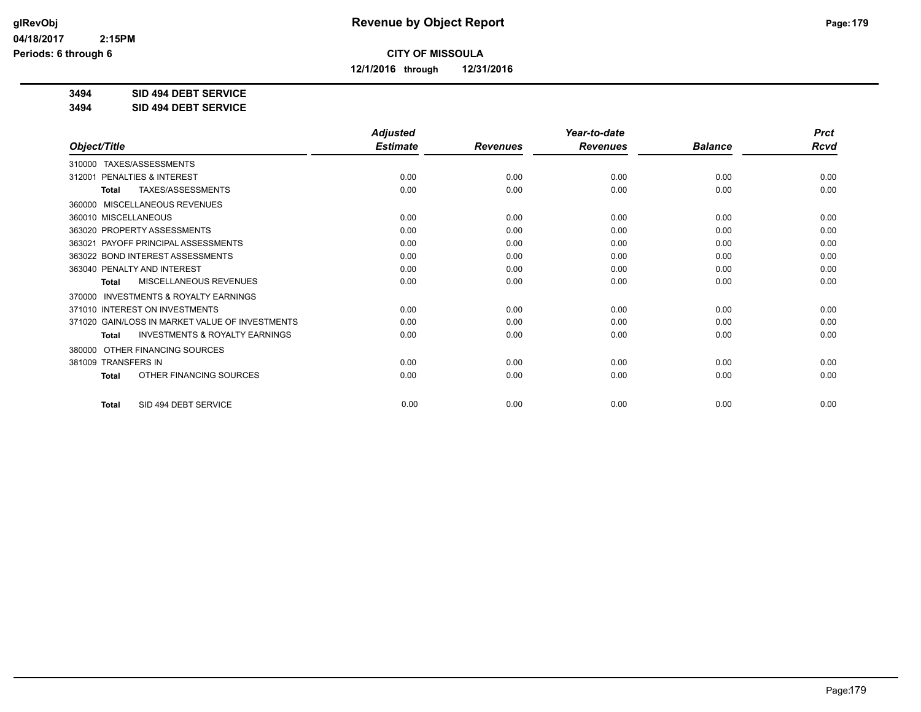**12/1/2016 through 12/31/2016**

**3494 SID 494 DEBT SERVICE**

**3494 SID 494 DEBT SERVICE**

|                                                           | <b>Adjusted</b> |                 | Year-to-date    |                | <b>Prct</b> |
|-----------------------------------------------------------|-----------------|-----------------|-----------------|----------------|-------------|
| Object/Title                                              | <b>Estimate</b> | <b>Revenues</b> | <b>Revenues</b> | <b>Balance</b> | <b>Rcvd</b> |
| 310000 TAXES/ASSESSMENTS                                  |                 |                 |                 |                |             |
| 312001 PENALTIES & INTEREST                               | 0.00            | 0.00            | 0.00            | 0.00           | 0.00        |
| <b>TAXES/ASSESSMENTS</b><br><b>Total</b>                  | 0.00            | 0.00            | 0.00            | 0.00           | 0.00        |
| 360000 MISCELLANEOUS REVENUES                             |                 |                 |                 |                |             |
| 360010 MISCELLANEOUS                                      | 0.00            | 0.00            | 0.00            | 0.00           | 0.00        |
| 363020 PROPERTY ASSESSMENTS                               | 0.00            | 0.00            | 0.00            | 0.00           | 0.00        |
| 363021 PAYOFF PRINCIPAL ASSESSMENTS                       | 0.00            | 0.00            | 0.00            | 0.00           | 0.00        |
| 363022 BOND INTEREST ASSESSMENTS                          | 0.00            | 0.00            | 0.00            | 0.00           | 0.00        |
| 363040 PENALTY AND INTEREST                               | 0.00            | 0.00            | 0.00            | 0.00           | 0.00        |
| MISCELLANEOUS REVENUES<br><b>Total</b>                    | 0.00            | 0.00            | 0.00            | 0.00           | 0.00        |
| <b>INVESTMENTS &amp; ROYALTY EARNINGS</b><br>370000       |                 |                 |                 |                |             |
| 371010 INTEREST ON INVESTMENTS                            | 0.00            | 0.00            | 0.00            | 0.00           | 0.00        |
| 371020 GAIN/LOSS IN MARKET VALUE OF INVESTMENTS           | 0.00            | 0.00            | 0.00            | 0.00           | 0.00        |
| <b>INVESTMENTS &amp; ROYALTY EARNINGS</b><br><b>Total</b> | 0.00            | 0.00            | 0.00            | 0.00           | 0.00        |
| OTHER FINANCING SOURCES<br>380000                         |                 |                 |                 |                |             |
| 381009 TRANSFERS IN                                       | 0.00            | 0.00            | 0.00            | 0.00           | 0.00        |
| OTHER FINANCING SOURCES<br><b>Total</b>                   | 0.00            | 0.00            | 0.00            | 0.00           | 0.00        |
| SID 494 DEBT SERVICE<br><b>Total</b>                      | 0.00            | 0.00            | 0.00            | 0.00           | 0.00        |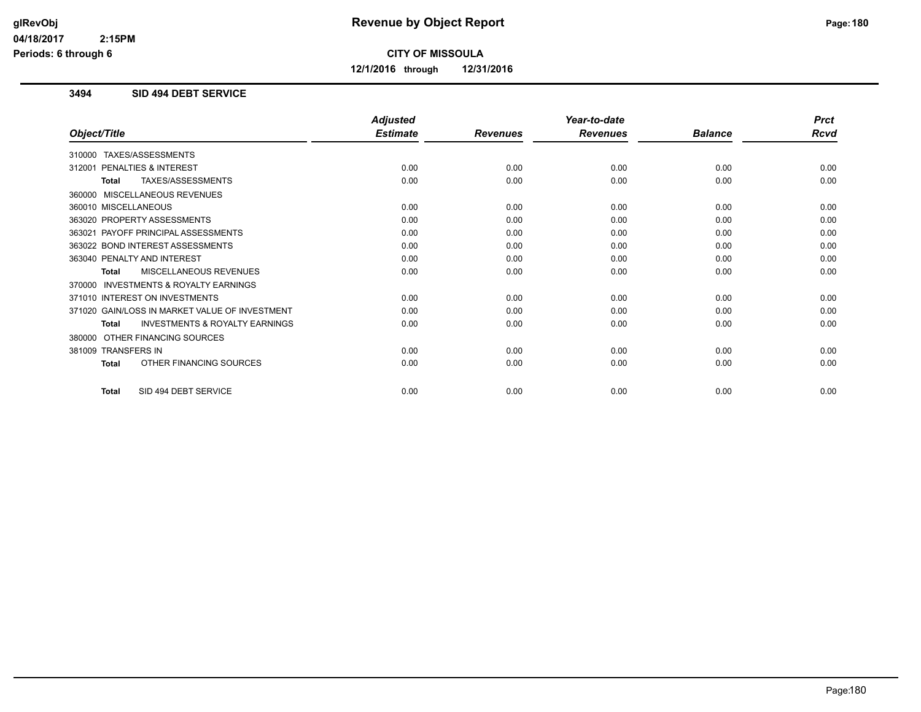**12/1/2016 through 12/31/2016**

#### **3494 SID 494 DEBT SERVICE**

|                                                    | <b>Adjusted</b> |                 | Year-to-date    |                | <b>Prct</b> |
|----------------------------------------------------|-----------------|-----------------|-----------------|----------------|-------------|
| Object/Title                                       | <b>Estimate</b> | <b>Revenues</b> | <b>Revenues</b> | <b>Balance</b> | <b>Rcvd</b> |
| 310000 TAXES/ASSESSMENTS                           |                 |                 |                 |                |             |
| PENALTIES & INTEREST<br>312001                     | 0.00            | 0.00            | 0.00            | 0.00           | 0.00        |
| TAXES/ASSESSMENTS<br><b>Total</b>                  | 0.00            | 0.00            | 0.00            | 0.00           | 0.00        |
| 360000 MISCELLANEOUS REVENUES                      |                 |                 |                 |                |             |
| 360010 MISCELLANEOUS                               | 0.00            | 0.00            | 0.00            | 0.00           | 0.00        |
| 363020 PROPERTY ASSESSMENTS                        | 0.00            | 0.00            | 0.00            | 0.00           | 0.00        |
| 363021 PAYOFF PRINCIPAL ASSESSMENTS                | 0.00            | 0.00            | 0.00            | 0.00           | 0.00        |
| 363022 BOND INTEREST ASSESSMENTS                   | 0.00            | 0.00            | 0.00            | 0.00           | 0.00        |
| 363040 PENALTY AND INTEREST                        | 0.00            | 0.00            | 0.00            | 0.00           | 0.00        |
| MISCELLANEOUS REVENUES<br>Total                    | 0.00            | 0.00            | 0.00            | 0.00           | 0.00        |
| 370000 INVESTMENTS & ROYALTY EARNINGS              |                 |                 |                 |                |             |
| 371010 INTEREST ON INVESTMENTS                     | 0.00            | 0.00            | 0.00            | 0.00           | 0.00        |
| 371020 GAIN/LOSS IN MARKET VALUE OF INVESTMENT     | 0.00            | 0.00            | 0.00            | 0.00           | 0.00        |
| <b>INVESTMENTS &amp; ROYALTY EARNINGS</b><br>Total | 0.00            | 0.00            | 0.00            | 0.00           | 0.00        |
| 380000 OTHER FINANCING SOURCES                     |                 |                 |                 |                |             |
| 381009 TRANSFERS IN                                | 0.00            | 0.00            | 0.00            | 0.00           | 0.00        |
| OTHER FINANCING SOURCES<br>Total                   | 0.00            | 0.00            | 0.00            | 0.00           | 0.00        |
| SID 494 DEBT SERVICE<br><b>Total</b>               | 0.00            | 0.00            | 0.00            | 0.00           | 0.00        |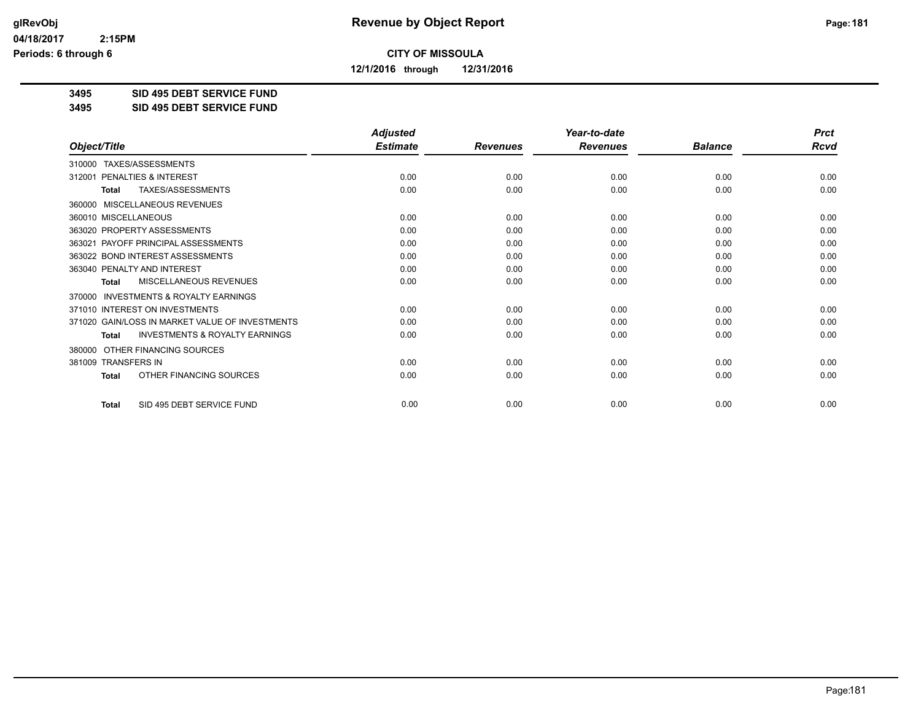**12/1/2016 through 12/31/2016**

**3495 SID 495 DEBT SERVICE FUND**

**3495 SID 495 DEBT SERVICE FUND**

|                                                           | <b>Adjusted</b> |                 | Year-to-date    |                | <b>Prct</b> |
|-----------------------------------------------------------|-----------------|-----------------|-----------------|----------------|-------------|
| Object/Title                                              | <b>Estimate</b> | <b>Revenues</b> | <b>Revenues</b> | <b>Balance</b> | <b>Rcvd</b> |
| TAXES/ASSESSMENTS<br>310000                               |                 |                 |                 |                |             |
| <b>PENALTIES &amp; INTEREST</b><br>312001                 | 0.00            | 0.00            | 0.00            | 0.00           | 0.00        |
| TAXES/ASSESSMENTS<br><b>Total</b>                         | 0.00            | 0.00            | 0.00            | 0.00           | 0.00        |
| 360000 MISCELLANEOUS REVENUES                             |                 |                 |                 |                |             |
| 360010 MISCELLANEOUS                                      | 0.00            | 0.00            | 0.00            | 0.00           | 0.00        |
| 363020 PROPERTY ASSESSMENTS                               | 0.00            | 0.00            | 0.00            | 0.00           | 0.00        |
| 363021 PAYOFF PRINCIPAL ASSESSMENTS                       | 0.00            | 0.00            | 0.00            | 0.00           | 0.00        |
| 363022 BOND INTEREST ASSESSMENTS                          | 0.00            | 0.00            | 0.00            | 0.00           | 0.00        |
| 363040 PENALTY AND INTEREST                               | 0.00            | 0.00            | 0.00            | 0.00           | 0.00        |
| MISCELLANEOUS REVENUES<br>Total                           | 0.00            | 0.00            | 0.00            | 0.00           | 0.00        |
| <b>INVESTMENTS &amp; ROYALTY EARNINGS</b><br>370000       |                 |                 |                 |                |             |
| 371010 INTEREST ON INVESTMENTS                            | 0.00            | 0.00            | 0.00            | 0.00           | 0.00        |
| 371020 GAIN/LOSS IN MARKET VALUE OF INVESTMENTS           | 0.00            | 0.00            | 0.00            | 0.00           | 0.00        |
| <b>INVESTMENTS &amp; ROYALTY EARNINGS</b><br><b>Total</b> | 0.00            | 0.00            | 0.00            | 0.00           | 0.00        |
| OTHER FINANCING SOURCES<br>380000                         |                 |                 |                 |                |             |
| 381009 TRANSFERS IN                                       | 0.00            | 0.00            | 0.00            | 0.00           | 0.00        |
| OTHER FINANCING SOURCES<br><b>Total</b>                   | 0.00            | 0.00            | 0.00            | 0.00           | 0.00        |
| SID 495 DEBT SERVICE FUND<br><b>Total</b>                 | 0.00            | 0.00            | 0.00            | 0.00           | 0.00        |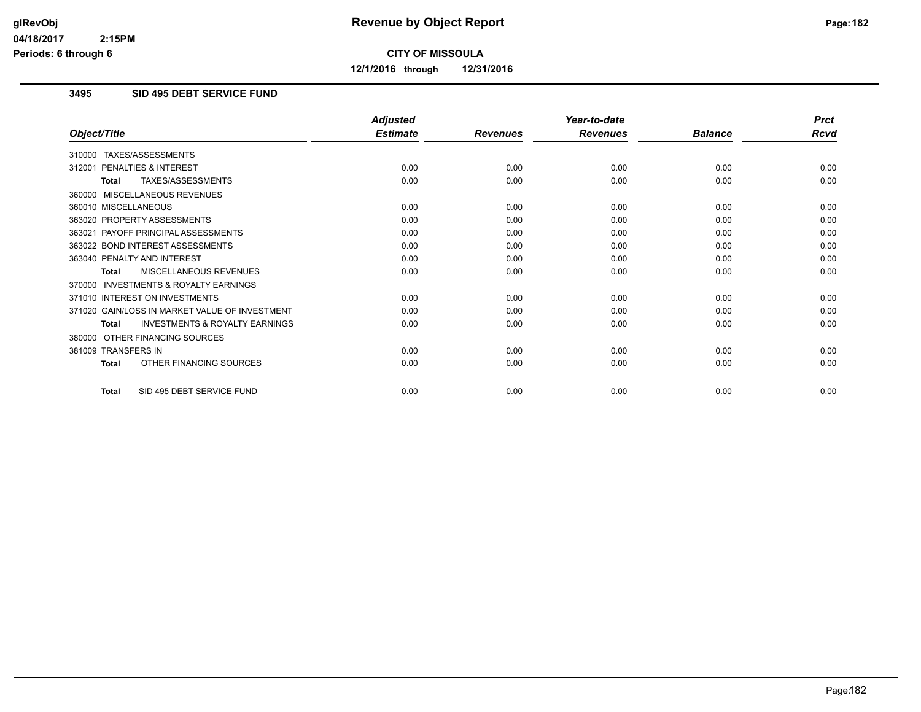**12/1/2016 through 12/31/2016**

### **3495 SID 495 DEBT SERVICE FUND**

|                                                     | <b>Adjusted</b> |                 | Year-to-date    |                | <b>Prct</b> |
|-----------------------------------------------------|-----------------|-----------------|-----------------|----------------|-------------|
| Object/Title                                        | <b>Estimate</b> | <b>Revenues</b> | <b>Revenues</b> | <b>Balance</b> | Rcvd        |
| 310000 TAXES/ASSESSMENTS                            |                 |                 |                 |                |             |
| 312001 PENALTIES & INTEREST                         | 0.00            | 0.00            | 0.00            | 0.00           | 0.00        |
| TAXES/ASSESSMENTS<br><b>Total</b>                   | 0.00            | 0.00            | 0.00            | 0.00           | 0.00        |
| 360000 MISCELLANEOUS REVENUES                       |                 |                 |                 |                |             |
| 360010 MISCELLANEOUS                                | 0.00            | 0.00            | 0.00            | 0.00           | 0.00        |
| 363020 PROPERTY ASSESSMENTS                         | 0.00            | 0.00            | 0.00            | 0.00           | 0.00        |
| 363021 PAYOFF PRINCIPAL ASSESSMENTS                 | 0.00            | 0.00            | 0.00            | 0.00           | 0.00        |
| 363022 BOND INTEREST ASSESSMENTS                    | 0.00            | 0.00            | 0.00            | 0.00           | 0.00        |
| 363040 PENALTY AND INTEREST                         | 0.00            | 0.00            | 0.00            | 0.00           | 0.00        |
| MISCELLANEOUS REVENUES<br>Total                     | 0.00            | 0.00            | 0.00            | 0.00           | 0.00        |
| <b>INVESTMENTS &amp; ROYALTY EARNINGS</b><br>370000 |                 |                 |                 |                |             |
| 371010 INTEREST ON INVESTMENTS                      | 0.00            | 0.00            | 0.00            | 0.00           | 0.00        |
| 371020 GAIN/LOSS IN MARKET VALUE OF INVESTMENT      | 0.00            | 0.00            | 0.00            | 0.00           | 0.00        |
| <b>INVESTMENTS &amp; ROYALTY EARNINGS</b><br>Total  | 0.00            | 0.00            | 0.00            | 0.00           | 0.00        |
| OTHER FINANCING SOURCES<br>380000                   |                 |                 |                 |                |             |
| 381009 TRANSFERS IN                                 | 0.00            | 0.00            | 0.00            | 0.00           | 0.00        |
| OTHER FINANCING SOURCES<br><b>Total</b>             | 0.00            | 0.00            | 0.00            | 0.00           | 0.00        |
| SID 495 DEBT SERVICE FUND<br><b>Total</b>           | 0.00            | 0.00            | 0.00            | 0.00           | 0.00        |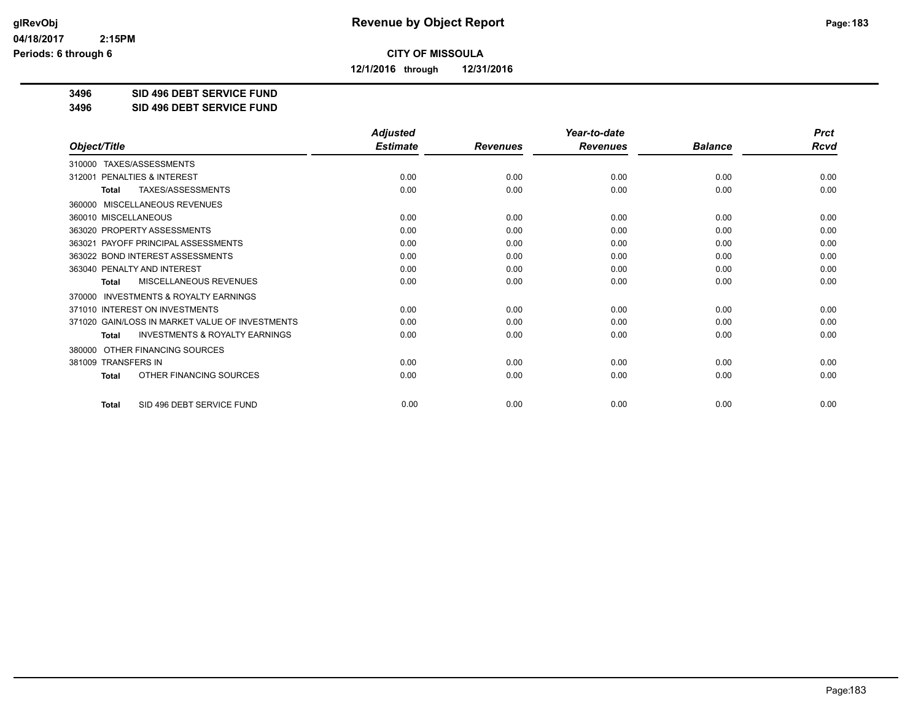**12/1/2016 through 12/31/2016**

**3496 SID 496 DEBT SERVICE FUND**

**3496 SID 496 DEBT SERVICE FUND**

|                                                     | <b>Adjusted</b> |                 | Year-to-date    |                | <b>Prct</b> |
|-----------------------------------------------------|-----------------|-----------------|-----------------|----------------|-------------|
| Object/Title                                        | <b>Estimate</b> | <b>Revenues</b> | <b>Revenues</b> | <b>Balance</b> | <b>Rcvd</b> |
| TAXES/ASSESSMENTS<br>310000                         |                 |                 |                 |                |             |
| 312001 PENALTIES & INTEREST                         | 0.00            | 0.00            | 0.00            | 0.00           | 0.00        |
| <b>TAXES/ASSESSMENTS</b><br><b>Total</b>            | 0.00            | 0.00            | 0.00            | 0.00           | 0.00        |
| 360000 MISCELLANEOUS REVENUES                       |                 |                 |                 |                |             |
| 360010 MISCELLANEOUS                                | 0.00            | 0.00            | 0.00            | 0.00           | 0.00        |
| 363020 PROPERTY ASSESSMENTS                         | 0.00            | 0.00            | 0.00            | 0.00           | 0.00        |
| 363021 PAYOFF PRINCIPAL ASSESSMENTS                 | 0.00            | 0.00            | 0.00            | 0.00           | 0.00        |
| 363022 BOND INTEREST ASSESSMENTS                    | 0.00            | 0.00            | 0.00            | 0.00           | 0.00        |
| 363040 PENALTY AND INTEREST                         | 0.00            | 0.00            | 0.00            | 0.00           | 0.00        |
| MISCELLANEOUS REVENUES<br>Total                     | 0.00            | 0.00            | 0.00            | 0.00           | 0.00        |
| <b>INVESTMENTS &amp; ROYALTY EARNINGS</b><br>370000 |                 |                 |                 |                |             |
| 371010 INTEREST ON INVESTMENTS                      | 0.00            | 0.00            | 0.00            | 0.00           | 0.00        |
| 371020 GAIN/LOSS IN MARKET VALUE OF INVESTMENTS     | 0.00            | 0.00            | 0.00            | 0.00           | 0.00        |
| <b>INVESTMENTS &amp; ROYALTY EARNINGS</b><br>Total  | 0.00            | 0.00            | 0.00            | 0.00           | 0.00        |
| OTHER FINANCING SOURCES<br>380000                   |                 |                 |                 |                |             |
| 381009 TRANSFERS IN                                 | 0.00            | 0.00            | 0.00            | 0.00           | 0.00        |
| OTHER FINANCING SOURCES<br>Total                    | 0.00            | 0.00            | 0.00            | 0.00           | 0.00        |
| SID 496 DEBT SERVICE FUND<br><b>Total</b>           | 0.00            | 0.00            | 0.00            | 0.00           | 0.00        |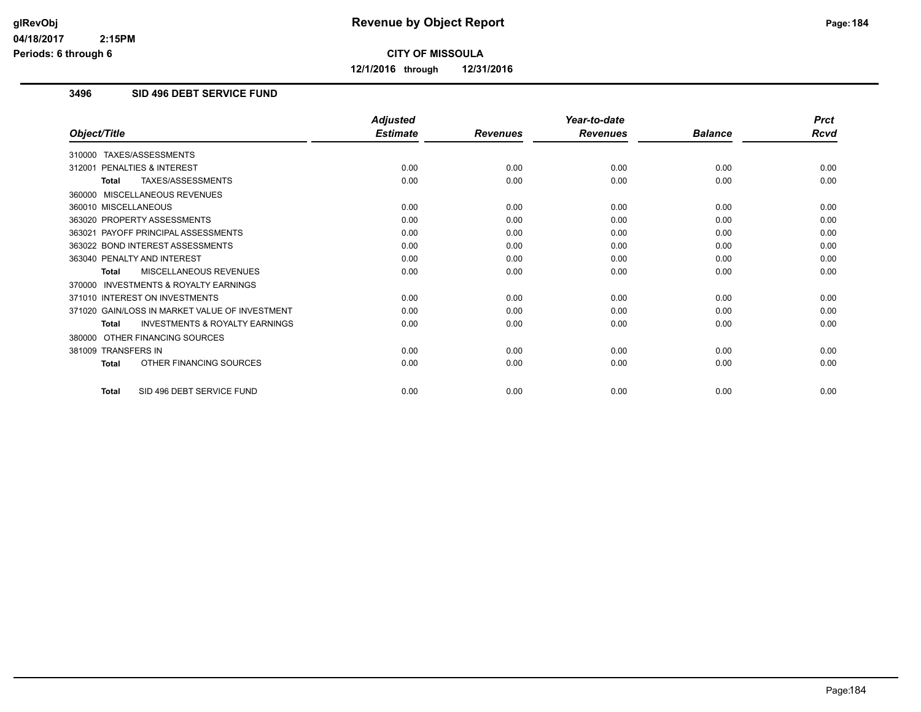**12/1/2016 through 12/31/2016**

### **3496 SID 496 DEBT SERVICE FUND**

|                                                           | <b>Adjusted</b> |                 | Year-to-date    |                | <b>Prct</b> |
|-----------------------------------------------------------|-----------------|-----------------|-----------------|----------------|-------------|
| Object/Title                                              | <b>Estimate</b> | <b>Revenues</b> | <b>Revenues</b> | <b>Balance</b> | <b>Rcvd</b> |
| 310000 TAXES/ASSESSMENTS                                  |                 |                 |                 |                |             |
| <b>PENALTIES &amp; INTEREST</b><br>312001                 | 0.00            | 0.00            | 0.00            | 0.00           | 0.00        |
| TAXES/ASSESSMENTS<br><b>Total</b>                         | 0.00            | 0.00            | 0.00            | 0.00           | 0.00        |
| 360000 MISCELLANEOUS REVENUES                             |                 |                 |                 |                |             |
| 360010 MISCELLANEOUS                                      | 0.00            | 0.00            | 0.00            | 0.00           | 0.00        |
| 363020 PROPERTY ASSESSMENTS                               | 0.00            | 0.00            | 0.00            | 0.00           | 0.00        |
| 363021 PAYOFF PRINCIPAL ASSESSMENTS                       | 0.00            | 0.00            | 0.00            | 0.00           | 0.00        |
| 363022 BOND INTEREST ASSESSMENTS                          | 0.00            | 0.00            | 0.00            | 0.00           | 0.00        |
| 363040 PENALTY AND INTEREST                               | 0.00            | 0.00            | 0.00            | 0.00           | 0.00        |
| MISCELLANEOUS REVENUES<br><b>Total</b>                    | 0.00            | 0.00            | 0.00            | 0.00           | 0.00        |
| 370000 INVESTMENTS & ROYALTY EARNINGS                     |                 |                 |                 |                |             |
| 371010 INTEREST ON INVESTMENTS                            | 0.00            | 0.00            | 0.00            | 0.00           | 0.00        |
| 371020 GAIN/LOSS IN MARKET VALUE OF INVESTMENT            | 0.00            | 0.00            | 0.00            | 0.00           | 0.00        |
| <b>INVESTMENTS &amp; ROYALTY EARNINGS</b><br><b>Total</b> | 0.00            | 0.00            | 0.00            | 0.00           | 0.00        |
| 380000 OTHER FINANCING SOURCES                            |                 |                 |                 |                |             |
| 381009 TRANSFERS IN                                       | 0.00            | 0.00            | 0.00            | 0.00           | 0.00        |
| OTHER FINANCING SOURCES<br><b>Total</b>                   | 0.00            | 0.00            | 0.00            | 0.00           | 0.00        |
| SID 496 DEBT SERVICE FUND<br><b>Total</b>                 | 0.00            | 0.00            | 0.00            | 0.00           | 0.00        |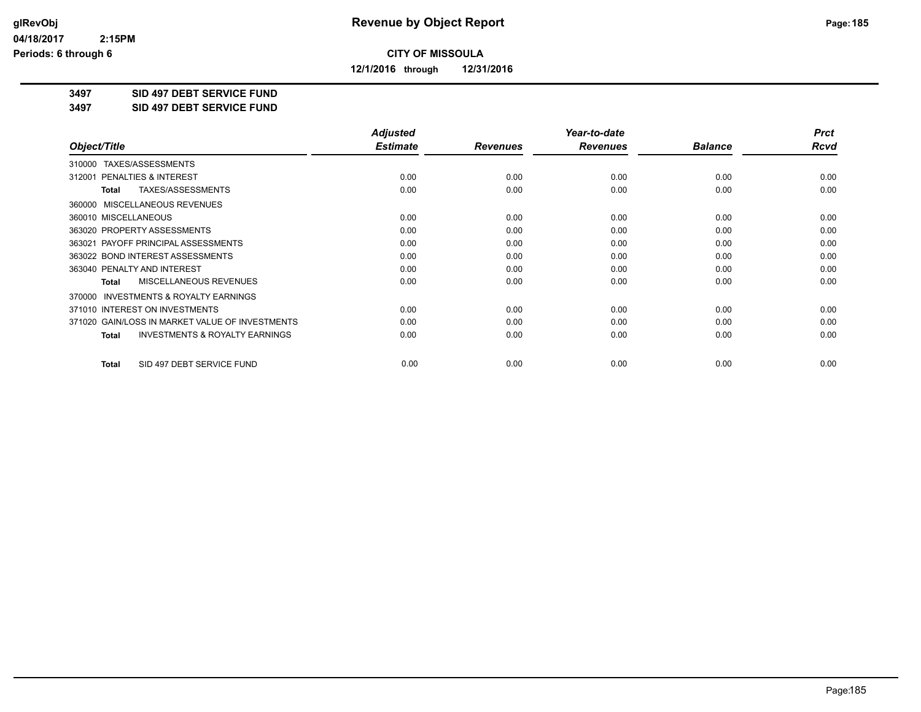**12/1/2016 through 12/31/2016**

**3497 SID 497 DEBT SERVICE FUND**

**3497 SID 497 DEBT SERVICE FUND**

|                                                           | <b>Adjusted</b> |                 | Year-to-date    |                | <b>Prct</b> |
|-----------------------------------------------------------|-----------------|-----------------|-----------------|----------------|-------------|
| Object/Title                                              | <b>Estimate</b> | <b>Revenues</b> | <b>Revenues</b> | <b>Balance</b> | <b>Rcvd</b> |
| 310000 TAXES/ASSESSMENTS                                  |                 |                 |                 |                |             |
| 312001 PENALTIES & INTEREST                               | 0.00            | 0.00            | 0.00            | 0.00           | 0.00        |
| TAXES/ASSESSMENTS<br>Total                                | 0.00            | 0.00            | 0.00            | 0.00           | 0.00        |
| 360000 MISCELLANEOUS REVENUES                             |                 |                 |                 |                |             |
| 360010 MISCELLANEOUS                                      | 0.00            | 0.00            | 0.00            | 0.00           | 0.00        |
| 363020 PROPERTY ASSESSMENTS                               | 0.00            | 0.00            | 0.00            | 0.00           | 0.00        |
| 363021 PAYOFF PRINCIPAL ASSESSMENTS                       | 0.00            | 0.00            | 0.00            | 0.00           | 0.00        |
| 363022 BOND INTEREST ASSESSMENTS                          | 0.00            | 0.00            | 0.00            | 0.00           | 0.00        |
| 363040 PENALTY AND INTEREST                               | 0.00            | 0.00            | 0.00            | 0.00           | 0.00        |
| MISCELLANEOUS REVENUES<br>Total                           | 0.00            | 0.00            | 0.00            | 0.00           | 0.00        |
| <b>INVESTMENTS &amp; ROYALTY EARNINGS</b><br>370000       |                 |                 |                 |                |             |
| 371010 INTEREST ON INVESTMENTS                            | 0.00            | 0.00            | 0.00            | 0.00           | 0.00        |
| 371020 GAIN/LOSS IN MARKET VALUE OF INVESTMENTS           | 0.00            | 0.00            | 0.00            | 0.00           | 0.00        |
| <b>INVESTMENTS &amp; ROYALTY EARNINGS</b><br><b>Total</b> | 0.00            | 0.00            | 0.00            | 0.00           | 0.00        |
| SID 497 DEBT SERVICE FUND<br><b>Total</b>                 | 0.00            | 0.00            | 0.00            | 0.00           | 0.00        |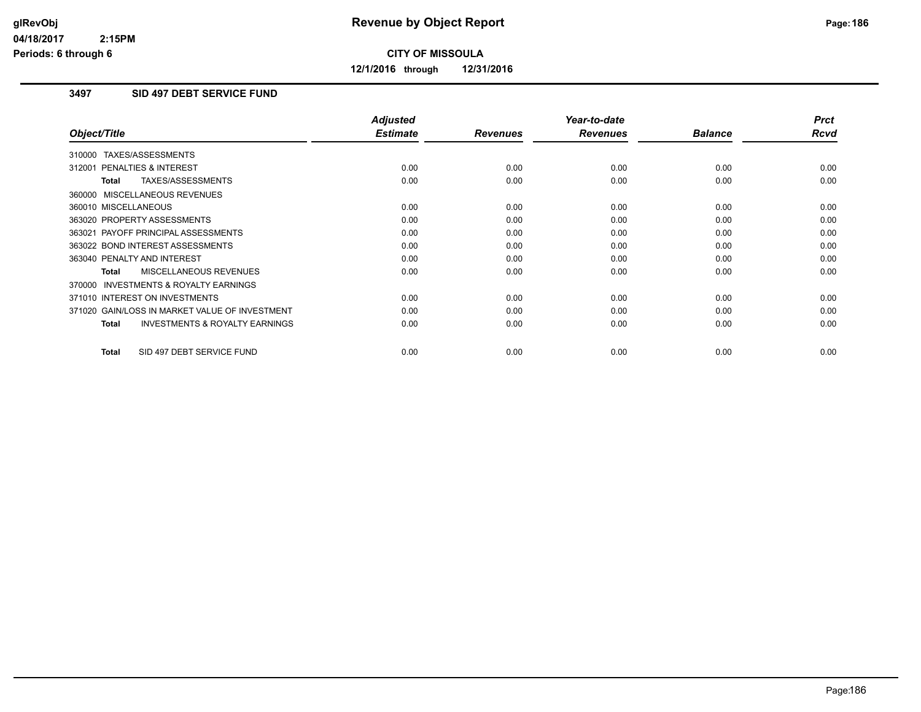**12/1/2016 through 12/31/2016**

### **3497 SID 497 DEBT SERVICE FUND**

|                                                           | <b>Adjusted</b> |                 | Year-to-date    |                | <b>Prct</b> |
|-----------------------------------------------------------|-----------------|-----------------|-----------------|----------------|-------------|
| Object/Title                                              | <b>Estimate</b> | <b>Revenues</b> | <b>Revenues</b> | <b>Balance</b> | <b>Rcvd</b> |
| 310000 TAXES/ASSESSMENTS                                  |                 |                 |                 |                |             |
| 312001 PENALTIES & INTEREST                               | 0.00            | 0.00            | 0.00            | 0.00           | 0.00        |
| TAXES/ASSESSMENTS<br><b>Total</b>                         | 0.00            | 0.00            | 0.00            | 0.00           | 0.00        |
| 360000 MISCELLANEOUS REVENUES                             |                 |                 |                 |                |             |
| 360010 MISCELLANEOUS                                      | 0.00            | 0.00            | 0.00            | 0.00           | 0.00        |
| 363020 PROPERTY ASSESSMENTS                               | 0.00            | 0.00            | 0.00            | 0.00           | 0.00        |
| 363021 PAYOFF PRINCIPAL ASSESSMENTS                       | 0.00            | 0.00            | 0.00            | 0.00           | 0.00        |
| 363022 BOND INTEREST ASSESSMENTS                          | 0.00            | 0.00            | 0.00            | 0.00           | 0.00        |
| 363040 PENALTY AND INTEREST                               | 0.00            | 0.00            | 0.00            | 0.00           | 0.00        |
| <b>MISCELLANEOUS REVENUES</b><br>Total                    | 0.00            | 0.00            | 0.00            | 0.00           | 0.00        |
| INVESTMENTS & ROYALTY EARNINGS<br>370000                  |                 |                 |                 |                |             |
| 371010 INTEREST ON INVESTMENTS                            | 0.00            | 0.00            | 0.00            | 0.00           | 0.00        |
| 371020 GAIN/LOSS IN MARKET VALUE OF INVESTMENT            | 0.00            | 0.00            | 0.00            | 0.00           | 0.00        |
| <b>INVESTMENTS &amp; ROYALTY EARNINGS</b><br><b>Total</b> | 0.00            | 0.00            | 0.00            | 0.00           | 0.00        |
| SID 497 DEBT SERVICE FUND<br><b>Total</b>                 | 0.00            | 0.00            | 0.00            | 0.00           | 0.00        |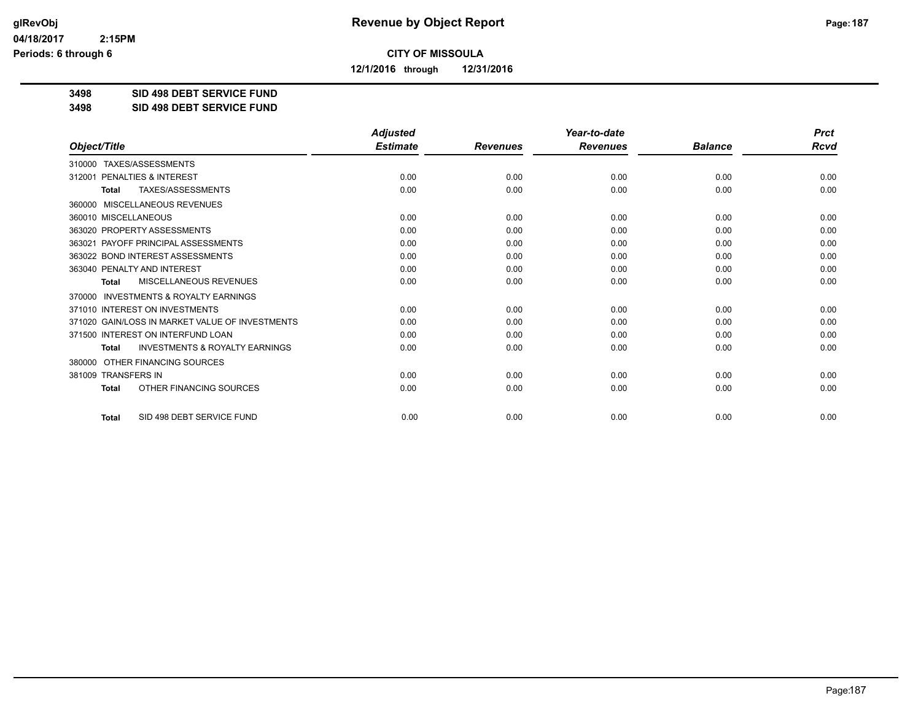**12/1/2016 through 12/31/2016**

**3498 SID 498 DEBT SERVICE FUND**

**3498 SID 498 DEBT SERVICE FUND**

|                                                     | <b>Adjusted</b> |                 | Year-to-date    |                | <b>Prct</b> |
|-----------------------------------------------------|-----------------|-----------------|-----------------|----------------|-------------|
| Object/Title                                        | <b>Estimate</b> | <b>Revenues</b> | <b>Revenues</b> | <b>Balance</b> | <b>Rcvd</b> |
| TAXES/ASSESSMENTS<br>310000                         |                 |                 |                 |                |             |
| 312001 PENALTIES & INTEREST                         | 0.00            | 0.00            | 0.00            | 0.00           | 0.00        |
| TAXES/ASSESSMENTS<br>Total                          | 0.00            | 0.00            | 0.00            | 0.00           | 0.00        |
| 360000 MISCELLANEOUS REVENUES                       |                 |                 |                 |                |             |
| 360010 MISCELLANEOUS                                | 0.00            | 0.00            | 0.00            | 0.00           | 0.00        |
| 363020 PROPERTY ASSESSMENTS                         | 0.00            | 0.00            | 0.00            | 0.00           | 0.00        |
| 363021 PAYOFF PRINCIPAL ASSESSMENTS                 | 0.00            | 0.00            | 0.00            | 0.00           | 0.00        |
| 363022 BOND INTEREST ASSESSMENTS                    | 0.00            | 0.00            | 0.00            | 0.00           | 0.00        |
| 363040 PENALTY AND INTEREST                         | 0.00            | 0.00            | 0.00            | 0.00           | 0.00        |
| MISCELLANEOUS REVENUES<br>Total                     | 0.00            | 0.00            | 0.00            | 0.00           | 0.00        |
| <b>INVESTMENTS &amp; ROYALTY EARNINGS</b><br>370000 |                 |                 |                 |                |             |
| 371010 INTEREST ON INVESTMENTS                      | 0.00            | 0.00            | 0.00            | 0.00           | 0.00        |
| 371020 GAIN/LOSS IN MARKET VALUE OF INVESTMENTS     | 0.00            | 0.00            | 0.00            | 0.00           | 0.00        |
| 371500 INTEREST ON INTERFUND LOAN                   | 0.00            | 0.00            | 0.00            | 0.00           | 0.00        |
| <b>INVESTMENTS &amp; ROYALTY EARNINGS</b><br>Total  | 0.00            | 0.00            | 0.00            | 0.00           | 0.00        |
| 380000 OTHER FINANCING SOURCES                      |                 |                 |                 |                |             |
| 381009 TRANSFERS IN                                 | 0.00            | 0.00            | 0.00            | 0.00           | 0.00        |
| OTHER FINANCING SOURCES<br><b>Total</b>             | 0.00            | 0.00            | 0.00            | 0.00           | 0.00        |
| SID 498 DEBT SERVICE FUND<br><b>Total</b>           | 0.00            | 0.00            | 0.00            | 0.00           | 0.00        |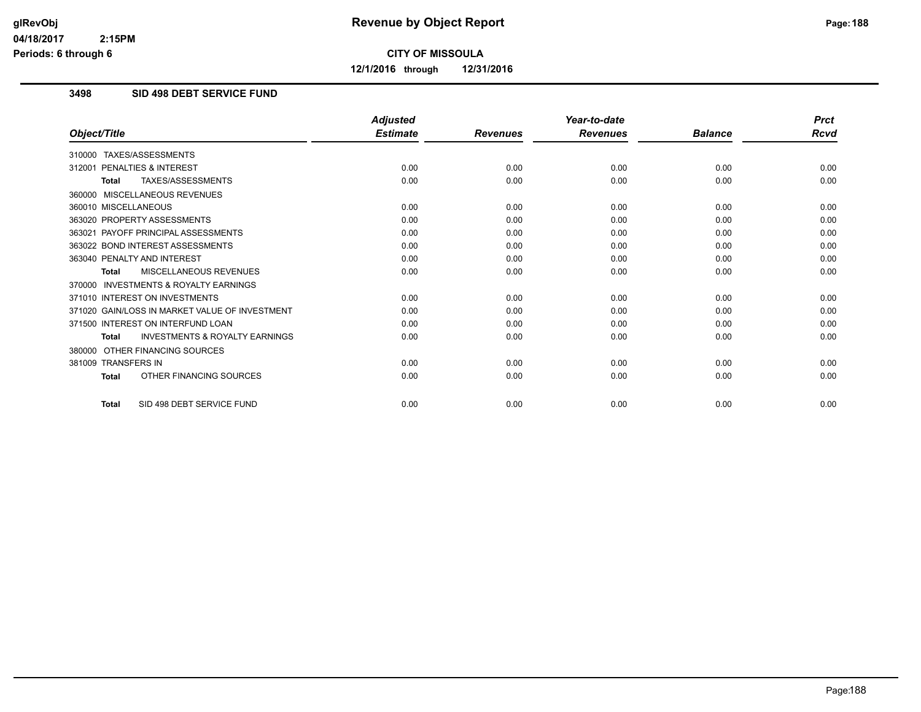**12/1/2016 through 12/31/2016**

#### **3498 SID 498 DEBT SERVICE FUND**

|                                                           | <b>Adjusted</b> |                 | Year-to-date    |                | <b>Prct</b> |
|-----------------------------------------------------------|-----------------|-----------------|-----------------|----------------|-------------|
| Object/Title                                              | <b>Estimate</b> | <b>Revenues</b> | <b>Revenues</b> | <b>Balance</b> | Rcvd        |
| TAXES/ASSESSMENTS<br>310000                               |                 |                 |                 |                |             |
| PENALTIES & INTEREST<br>312001                            | 0.00            | 0.00            | 0.00            | 0.00           | 0.00        |
| TAXES/ASSESSMENTS<br><b>Total</b>                         | 0.00            | 0.00            | 0.00            | 0.00           | 0.00        |
| 360000 MISCELLANEOUS REVENUES                             |                 |                 |                 |                |             |
| 360010 MISCELLANEOUS                                      | 0.00            | 0.00            | 0.00            | 0.00           | 0.00        |
| 363020 PROPERTY ASSESSMENTS                               | 0.00            | 0.00            | 0.00            | 0.00           | 0.00        |
| 363021 PAYOFF PRINCIPAL ASSESSMENTS                       | 0.00            | 0.00            | 0.00            | 0.00           | 0.00        |
| 363022 BOND INTEREST ASSESSMENTS                          | 0.00            | 0.00            | 0.00            | 0.00           | 0.00        |
| 363040 PENALTY AND INTEREST                               | 0.00            | 0.00            | 0.00            | 0.00           | 0.00        |
| MISCELLANEOUS REVENUES<br><b>Total</b>                    | 0.00            | 0.00            | 0.00            | 0.00           | 0.00        |
| INVESTMENTS & ROYALTY EARNINGS<br>370000                  |                 |                 |                 |                |             |
| 371010 INTEREST ON INVESTMENTS                            | 0.00            | 0.00            | 0.00            | 0.00           | 0.00        |
| 371020 GAIN/LOSS IN MARKET VALUE OF INVESTMENT            | 0.00            | 0.00            | 0.00            | 0.00           | 0.00        |
| 371500 INTEREST ON INTERFUND LOAN                         | 0.00            | 0.00            | 0.00            | 0.00           | 0.00        |
| <b>INVESTMENTS &amp; ROYALTY EARNINGS</b><br><b>Total</b> | 0.00            | 0.00            | 0.00            | 0.00           | 0.00        |
| 380000 OTHER FINANCING SOURCES                            |                 |                 |                 |                |             |
| 381009 TRANSFERS IN                                       | 0.00            | 0.00            | 0.00            | 0.00           | 0.00        |
| OTHER FINANCING SOURCES<br><b>Total</b>                   | 0.00            | 0.00            | 0.00            | 0.00           | 0.00        |
| SID 498 DEBT SERVICE FUND<br><b>Total</b>                 | 0.00            | 0.00            | 0.00            | 0.00           | 0.00        |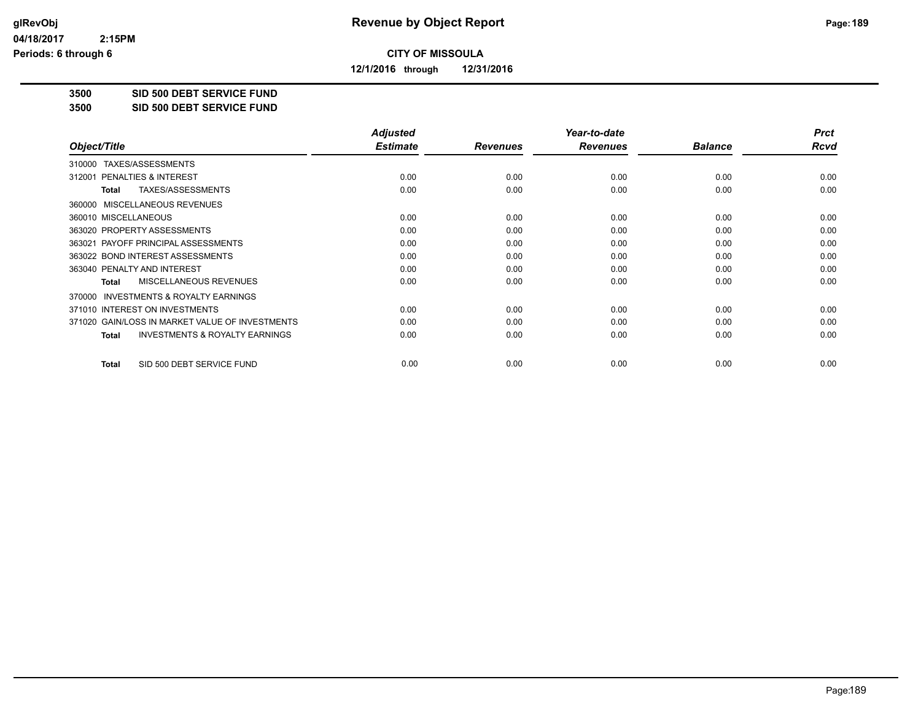**12/1/2016 through 12/31/2016**

**3500 SID 500 DEBT SERVICE FUND**

**3500 SID 500 DEBT SERVICE FUND**

|                                                     | <b>Adjusted</b> |                 | Year-to-date    |                | <b>Prct</b> |
|-----------------------------------------------------|-----------------|-----------------|-----------------|----------------|-------------|
| Object/Title                                        | <b>Estimate</b> | <b>Revenues</b> | <b>Revenues</b> | <b>Balance</b> | Rcvd        |
| 310000 TAXES/ASSESSMENTS                            |                 |                 |                 |                |             |
| 312001 PENALTIES & INTEREST                         | 0.00            | 0.00            | 0.00            | 0.00           | 0.00        |
| TAXES/ASSESSMENTS<br>Total                          | 0.00            | 0.00            | 0.00            | 0.00           | 0.00        |
| 360000 MISCELLANEOUS REVENUES                       |                 |                 |                 |                |             |
| 360010 MISCELLANEOUS                                | 0.00            | 0.00            | 0.00            | 0.00           | 0.00        |
| 363020 PROPERTY ASSESSMENTS                         | 0.00            | 0.00            | 0.00            | 0.00           | 0.00        |
| 363021 PAYOFF PRINCIPAL ASSESSMENTS                 | 0.00            | 0.00            | 0.00            | 0.00           | 0.00        |
| 363022 BOND INTEREST ASSESSMENTS                    | 0.00            | 0.00            | 0.00            | 0.00           | 0.00        |
| 363040 PENALTY AND INTEREST                         | 0.00            | 0.00            | 0.00            | 0.00           | 0.00        |
| MISCELLANEOUS REVENUES<br>Total                     | 0.00            | 0.00            | 0.00            | 0.00           | 0.00        |
| <b>INVESTMENTS &amp; ROYALTY EARNINGS</b><br>370000 |                 |                 |                 |                |             |
| 371010 INTEREST ON INVESTMENTS                      | 0.00            | 0.00            | 0.00            | 0.00           | 0.00        |
| 371020 GAIN/LOSS IN MARKET VALUE OF INVESTMENTS     | 0.00            | 0.00            | 0.00            | 0.00           | 0.00        |
| <b>INVESTMENTS &amp; ROYALTY EARNINGS</b><br>Total  | 0.00            | 0.00            | 0.00            | 0.00           | 0.00        |
| SID 500 DEBT SERVICE FUND<br><b>Total</b>           | 0.00            | 0.00            | 0.00            | 0.00           | 0.00        |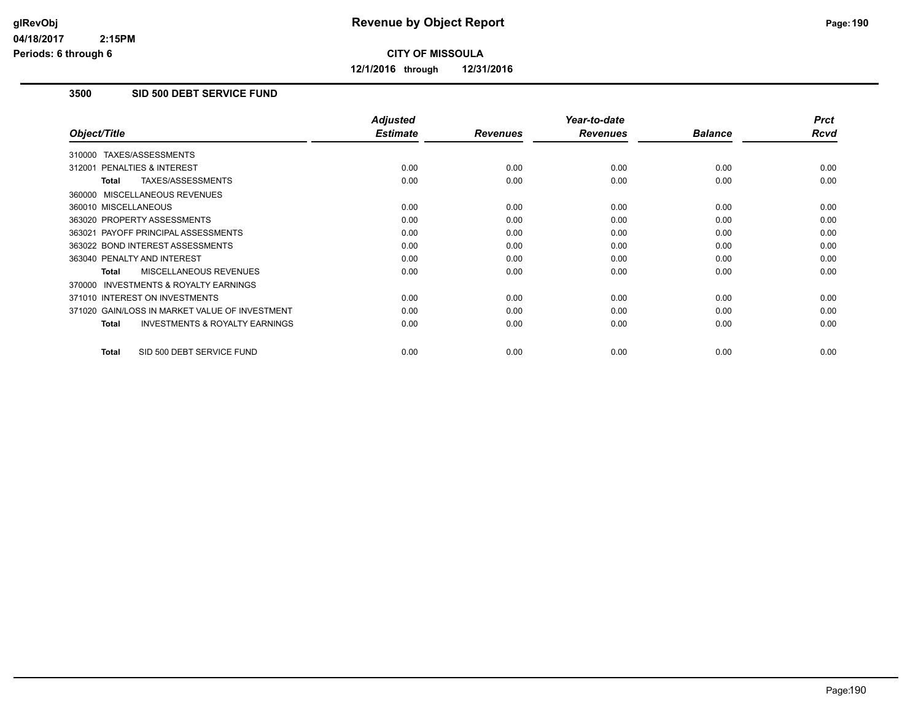**12/1/2016 through 12/31/2016**

### **3500 SID 500 DEBT SERVICE FUND**

|                                                           | <b>Adjusted</b> |                 | Year-to-date    |                | <b>Prct</b> |
|-----------------------------------------------------------|-----------------|-----------------|-----------------|----------------|-------------|
| Object/Title                                              | <b>Estimate</b> | <b>Revenues</b> | <b>Revenues</b> | <b>Balance</b> | <b>Rcvd</b> |
| 310000 TAXES/ASSESSMENTS                                  |                 |                 |                 |                |             |
| 312001 PENALTIES & INTEREST                               | 0.00            | 0.00            | 0.00            | 0.00           | 0.00        |
| TAXES/ASSESSMENTS<br>Total                                | 0.00            | 0.00            | 0.00            | 0.00           | 0.00        |
| 360000 MISCELLANEOUS REVENUES                             |                 |                 |                 |                |             |
| 360010 MISCELLANEOUS                                      | 0.00            | 0.00            | 0.00            | 0.00           | 0.00        |
| 363020 PROPERTY ASSESSMENTS                               | 0.00            | 0.00            | 0.00            | 0.00           | 0.00        |
| 363021 PAYOFF PRINCIPAL ASSESSMENTS                       | 0.00            | 0.00            | 0.00            | 0.00           | 0.00        |
| 363022 BOND INTEREST ASSESSMENTS                          | 0.00            | 0.00            | 0.00            | 0.00           | 0.00        |
| 363040 PENALTY AND INTEREST                               | 0.00            | 0.00            | 0.00            | 0.00           | 0.00        |
| <b>MISCELLANEOUS REVENUES</b><br>Total                    | 0.00            | 0.00            | 0.00            | 0.00           | 0.00        |
| INVESTMENTS & ROYALTY EARNINGS<br>370000                  |                 |                 |                 |                |             |
| 371010 INTEREST ON INVESTMENTS                            | 0.00            | 0.00            | 0.00            | 0.00           | 0.00        |
| 371020 GAIN/LOSS IN MARKET VALUE OF INVESTMENT            | 0.00            | 0.00            | 0.00            | 0.00           | 0.00        |
| <b>INVESTMENTS &amp; ROYALTY EARNINGS</b><br><b>Total</b> | 0.00            | 0.00            | 0.00            | 0.00           | 0.00        |
| SID 500 DEBT SERVICE FUND<br><b>Total</b>                 | 0.00            | 0.00            | 0.00            | 0.00           | 0.00        |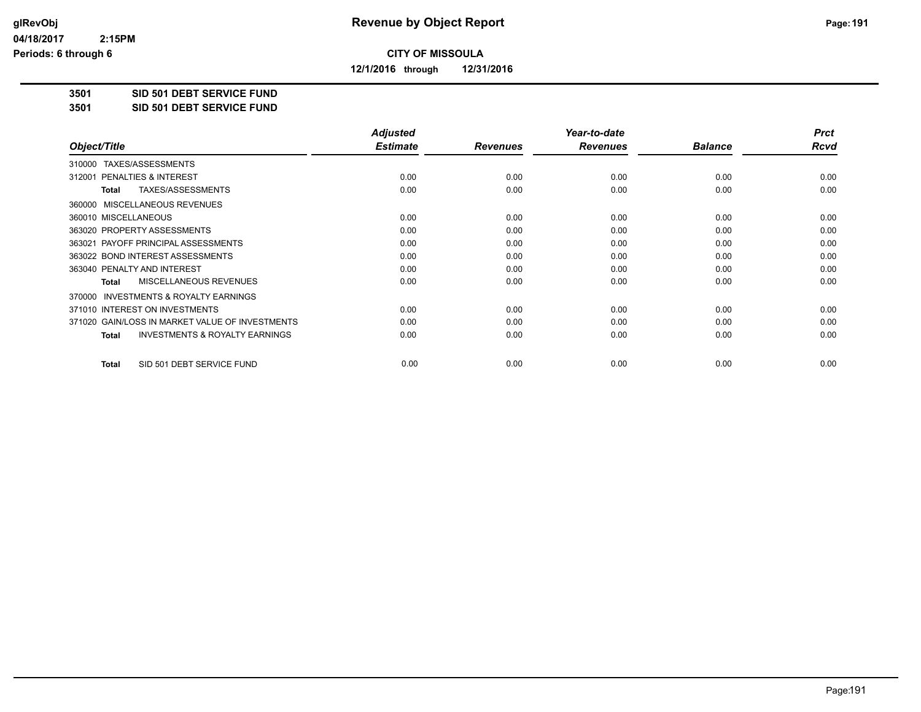**12/1/2016 through 12/31/2016**

**3501 SID 501 DEBT SERVICE FUND**

**3501 SID 501 DEBT SERVICE FUND**

|                                                    | <b>Adjusted</b> |                 | Year-to-date    |                | <b>Prct</b> |
|----------------------------------------------------|-----------------|-----------------|-----------------|----------------|-------------|
| Object/Title                                       | <b>Estimate</b> | <b>Revenues</b> | <b>Revenues</b> | <b>Balance</b> | <b>Rcvd</b> |
| 310000 TAXES/ASSESSMENTS                           |                 |                 |                 |                |             |
| 312001 PENALTIES & INTEREST                        | 0.00            | 0.00            | 0.00            | 0.00           | 0.00        |
| TAXES/ASSESSMENTS<br>Total                         | 0.00            | 0.00            | 0.00            | 0.00           | 0.00        |
| 360000 MISCELLANEOUS REVENUES                      |                 |                 |                 |                |             |
| 360010 MISCELLANEOUS                               | 0.00            | 0.00            | 0.00            | 0.00           | 0.00        |
| 363020 PROPERTY ASSESSMENTS                        | 0.00            | 0.00            | 0.00            | 0.00           | 0.00        |
| 363021 PAYOFF PRINCIPAL ASSESSMENTS                | 0.00            | 0.00            | 0.00            | 0.00           | 0.00        |
| 363022 BOND INTEREST ASSESSMENTS                   | 0.00            | 0.00            | 0.00            | 0.00           | 0.00        |
| 363040 PENALTY AND INTEREST                        | 0.00            | 0.00            | 0.00            | 0.00           | 0.00        |
| MISCELLANEOUS REVENUES<br>Total                    | 0.00            | 0.00            | 0.00            | 0.00           | 0.00        |
| 370000 INVESTMENTS & ROYALTY EARNINGS              |                 |                 |                 |                |             |
| 371010 INTEREST ON INVESTMENTS                     | 0.00            | 0.00            | 0.00            | 0.00           | 0.00        |
| 371020 GAIN/LOSS IN MARKET VALUE OF INVESTMENTS    | 0.00            | 0.00            | 0.00            | 0.00           | 0.00        |
| <b>INVESTMENTS &amp; ROYALTY EARNINGS</b><br>Total | 0.00            | 0.00            | 0.00            | 0.00           | 0.00        |
| SID 501 DEBT SERVICE FUND<br><b>Total</b>          | 0.00            | 0.00            | 0.00            | 0.00           | 0.00        |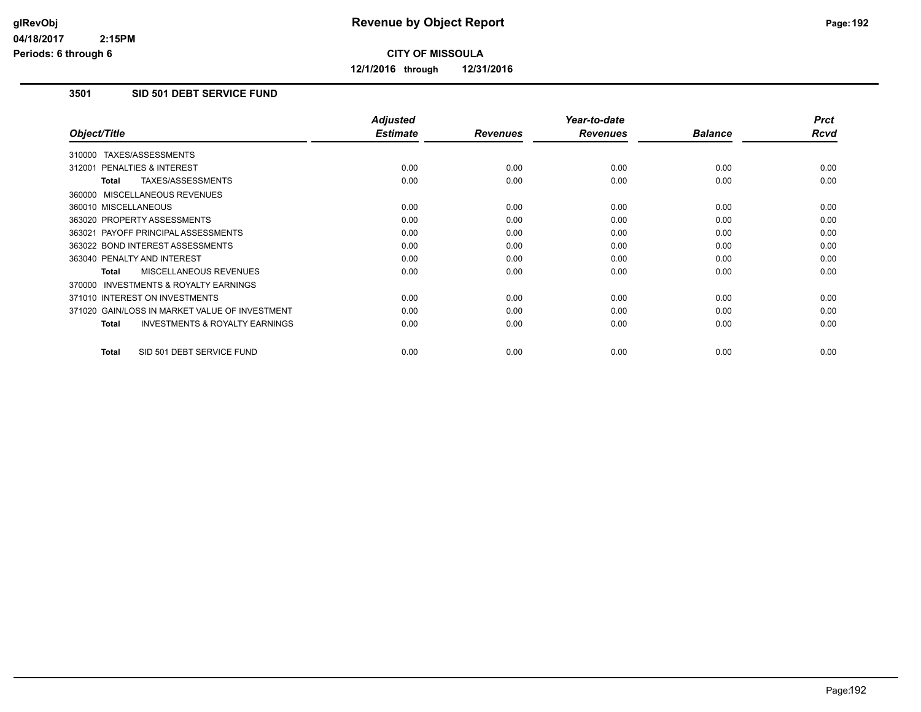**12/1/2016 through 12/31/2016**

### **3501 SID 501 DEBT SERVICE FUND**

|                                                           | <b>Adjusted</b> |                 | Year-to-date    |                | <b>Prct</b> |
|-----------------------------------------------------------|-----------------|-----------------|-----------------|----------------|-------------|
| Object/Title                                              | <b>Estimate</b> | <b>Revenues</b> | <b>Revenues</b> | <b>Balance</b> | <b>Rcvd</b> |
| 310000 TAXES/ASSESSMENTS                                  |                 |                 |                 |                |             |
| 312001 PENALTIES & INTEREST                               | 0.00            | 0.00            | 0.00            | 0.00           | 0.00        |
| TAXES/ASSESSMENTS<br><b>Total</b>                         | 0.00            | 0.00            | 0.00            | 0.00           | 0.00        |
| 360000 MISCELLANEOUS REVENUES                             |                 |                 |                 |                |             |
| 360010 MISCELLANEOUS                                      | 0.00            | 0.00            | 0.00            | 0.00           | 0.00        |
| 363020 PROPERTY ASSESSMENTS                               | 0.00            | 0.00            | 0.00            | 0.00           | 0.00        |
| 363021 PAYOFF PRINCIPAL ASSESSMENTS                       | 0.00            | 0.00            | 0.00            | 0.00           | 0.00        |
| 363022 BOND INTEREST ASSESSMENTS                          | 0.00            | 0.00            | 0.00            | 0.00           | 0.00        |
| 363040 PENALTY AND INTEREST                               | 0.00            | 0.00            | 0.00            | 0.00           | 0.00        |
| <b>MISCELLANEOUS REVENUES</b><br>Total                    | 0.00            | 0.00            | 0.00            | 0.00           | 0.00        |
| INVESTMENTS & ROYALTY EARNINGS<br>370000                  |                 |                 |                 |                |             |
| 371010 INTEREST ON INVESTMENTS                            | 0.00            | 0.00            | 0.00            | 0.00           | 0.00        |
| 371020 GAIN/LOSS IN MARKET VALUE OF INVESTMENT            | 0.00            | 0.00            | 0.00            | 0.00           | 0.00        |
| <b>INVESTMENTS &amp; ROYALTY EARNINGS</b><br><b>Total</b> | 0.00            | 0.00            | 0.00            | 0.00           | 0.00        |
| SID 501 DEBT SERVICE FUND<br><b>Total</b>                 | 0.00            | 0.00            | 0.00            | 0.00           | 0.00        |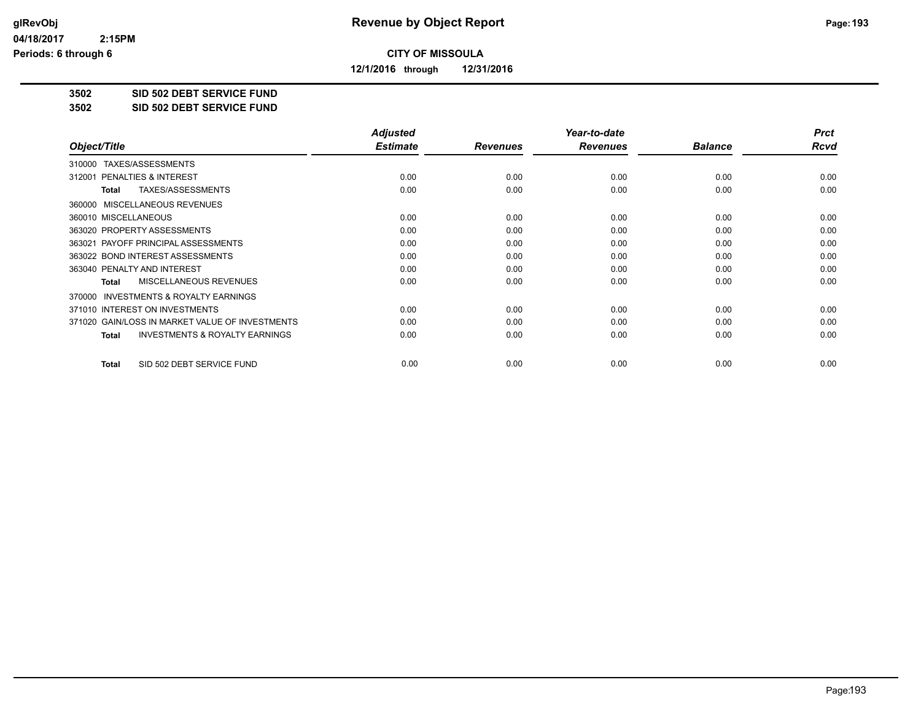**12/1/2016 through 12/31/2016**

**3502 SID 502 DEBT SERVICE FUND**

**3502 SID 502 DEBT SERVICE FUND**

|                                                           | <b>Adjusted</b> |                 | Year-to-date    |                | <b>Prct</b> |
|-----------------------------------------------------------|-----------------|-----------------|-----------------|----------------|-------------|
| Object/Title                                              | <b>Estimate</b> | <b>Revenues</b> | <b>Revenues</b> | <b>Balance</b> | Rcvd        |
| 310000 TAXES/ASSESSMENTS                                  |                 |                 |                 |                |             |
| 312001 PENALTIES & INTEREST                               | 0.00            | 0.00            | 0.00            | 0.00           | 0.00        |
| TAXES/ASSESSMENTS<br>Total                                | 0.00            | 0.00            | 0.00            | 0.00           | 0.00        |
| 360000 MISCELLANEOUS REVENUES                             |                 |                 |                 |                |             |
| 360010 MISCELLANEOUS                                      | 0.00            | 0.00            | 0.00            | 0.00           | 0.00        |
| 363020 PROPERTY ASSESSMENTS                               | 0.00            | 0.00            | 0.00            | 0.00           | 0.00        |
| 363021 PAYOFF PRINCIPAL ASSESSMENTS                       | 0.00            | 0.00            | 0.00            | 0.00           | 0.00        |
| 363022 BOND INTEREST ASSESSMENTS                          | 0.00            | 0.00            | 0.00            | 0.00           | 0.00        |
| 363040 PENALTY AND INTEREST                               | 0.00            | 0.00            | 0.00            | 0.00           | 0.00        |
| MISCELLANEOUS REVENUES<br>Total                           | 0.00            | 0.00            | 0.00            | 0.00           | 0.00        |
| 370000 INVESTMENTS & ROYALTY EARNINGS                     |                 |                 |                 |                |             |
| 371010 INTEREST ON INVESTMENTS                            | 0.00            | 0.00            | 0.00            | 0.00           | 0.00        |
| 371020 GAIN/LOSS IN MARKET VALUE OF INVESTMENTS           | 0.00            | 0.00            | 0.00            | 0.00           | 0.00        |
| <b>INVESTMENTS &amp; ROYALTY EARNINGS</b><br><b>Total</b> | 0.00            | 0.00            | 0.00            | 0.00           | 0.00        |
| SID 502 DEBT SERVICE FUND<br><b>Total</b>                 | 0.00            | 0.00            | 0.00            | 0.00           | 0.00        |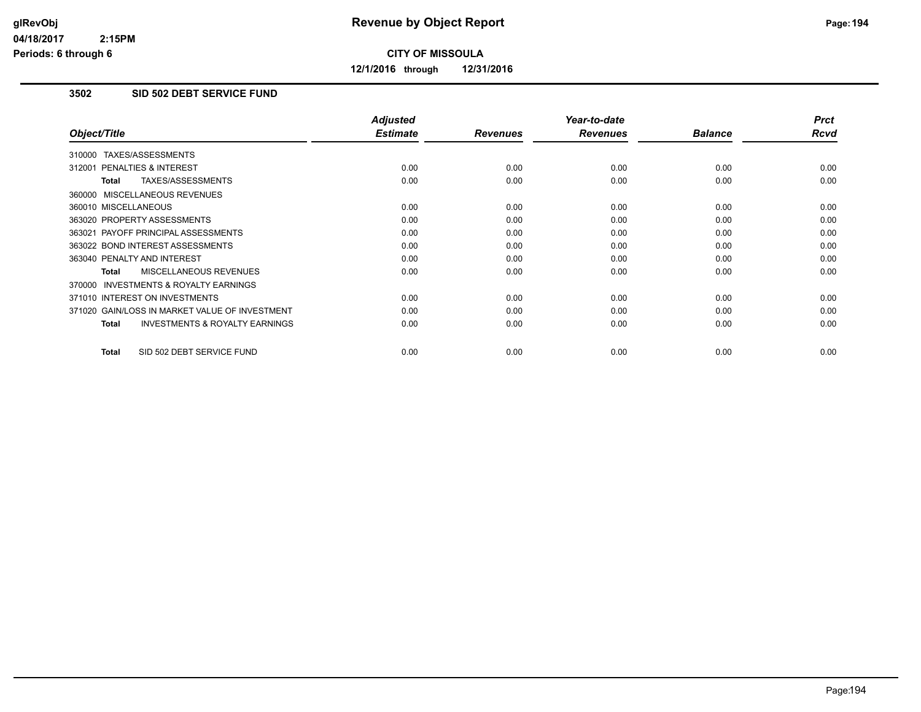**12/1/2016 through 12/31/2016**

### **3502 SID 502 DEBT SERVICE FUND**

|                                                    | <b>Adjusted</b> |                 | Year-to-date    |                | <b>Prct</b> |
|----------------------------------------------------|-----------------|-----------------|-----------------|----------------|-------------|
| Object/Title                                       | <b>Estimate</b> | <b>Revenues</b> | <b>Revenues</b> | <b>Balance</b> | <b>Rcvd</b> |
| 310000 TAXES/ASSESSMENTS                           |                 |                 |                 |                |             |
| 312001 PENALTIES & INTEREST                        | 0.00            | 0.00            | 0.00            | 0.00           | 0.00        |
| TAXES/ASSESSMENTS<br>Total                         | 0.00            | 0.00            | 0.00            | 0.00           | 0.00        |
| 360000 MISCELLANEOUS REVENUES                      |                 |                 |                 |                |             |
| 360010 MISCELLANEOUS                               | 0.00            | 0.00            | 0.00            | 0.00           | 0.00        |
| 363020 PROPERTY ASSESSMENTS                        | 0.00            | 0.00            | 0.00            | 0.00           | 0.00        |
| 363021 PAYOFF PRINCIPAL ASSESSMENTS                | 0.00            | 0.00            | 0.00            | 0.00           | 0.00        |
| 363022 BOND INTEREST ASSESSMENTS                   | 0.00            | 0.00            | 0.00            | 0.00           | 0.00        |
| 363040 PENALTY AND INTEREST                        | 0.00            | 0.00            | 0.00            | 0.00           | 0.00        |
| <b>MISCELLANEOUS REVENUES</b><br>Total             | 0.00            | 0.00            | 0.00            | 0.00           | 0.00        |
| INVESTMENTS & ROYALTY EARNINGS<br>370000           |                 |                 |                 |                |             |
| 371010 INTEREST ON INVESTMENTS                     | 0.00            | 0.00            | 0.00            | 0.00           | 0.00        |
| 371020 GAIN/LOSS IN MARKET VALUE OF INVESTMENT     | 0.00            | 0.00            | 0.00            | 0.00           | 0.00        |
| <b>INVESTMENTS &amp; ROYALTY EARNINGS</b><br>Total | 0.00            | 0.00            | 0.00            | 0.00           | 0.00        |
| SID 502 DEBT SERVICE FUND<br><b>Total</b>          | 0.00            | 0.00            | 0.00            | 0.00           | 0.00        |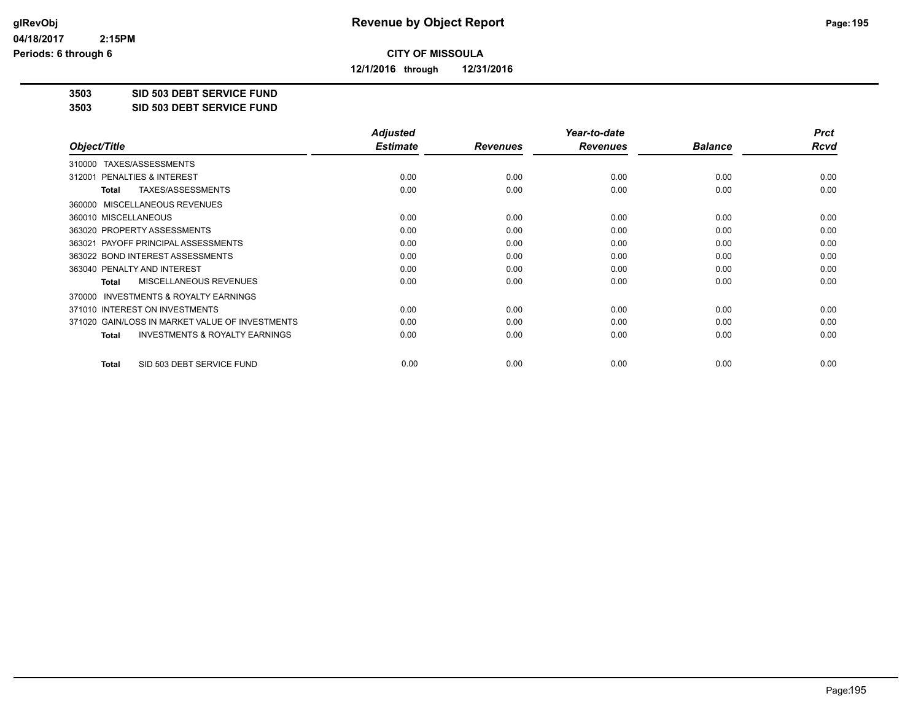**12/1/2016 through 12/31/2016**

**3503 SID 503 DEBT SERVICE FUND**

**3503 SID 503 DEBT SERVICE FUND**

| <b>Estimate</b> |                 |                 |                |             |
|-----------------|-----------------|-----------------|----------------|-------------|
|                 | <b>Revenues</b> | <b>Revenues</b> | <b>Balance</b> | <b>Rcvd</b> |
|                 |                 |                 |                |             |
| 0.00            | 0.00            | 0.00            | 0.00           | 0.00        |
| 0.00            | 0.00            | 0.00            | 0.00           | 0.00        |
|                 |                 |                 |                |             |
| 0.00            | 0.00            | 0.00            | 0.00           | 0.00        |
| 0.00            | 0.00            | 0.00            | 0.00           | 0.00        |
| 0.00            | 0.00            | 0.00            | 0.00           | 0.00        |
| 0.00            | 0.00            | 0.00            | 0.00           | 0.00        |
| 0.00            | 0.00            | 0.00            | 0.00           | 0.00        |
| 0.00            | 0.00            | 0.00            | 0.00           | 0.00        |
|                 |                 |                 |                |             |
| 0.00            | 0.00            | 0.00            | 0.00           | 0.00        |
| 0.00            | 0.00            | 0.00            | 0.00           | 0.00        |
| 0.00            | 0.00            | 0.00            | 0.00           | 0.00        |
|                 |                 |                 |                | 0.00        |
|                 | 0.00            | 0.00            | 0.00           | 0.00        |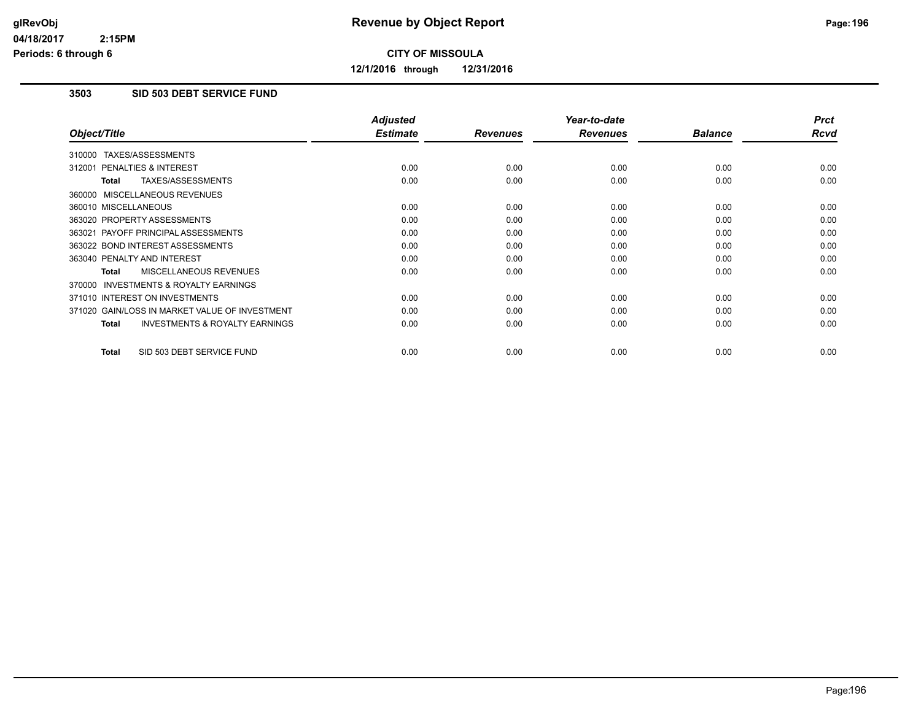**12/1/2016 through 12/31/2016**

### **3503 SID 503 DEBT SERVICE FUND**

|                                                           | <b>Adjusted</b> |                 | Year-to-date    |                | <b>Prct</b> |
|-----------------------------------------------------------|-----------------|-----------------|-----------------|----------------|-------------|
| Object/Title                                              | <b>Estimate</b> | <b>Revenues</b> | <b>Revenues</b> | <b>Balance</b> | Rcvd        |
| TAXES/ASSESSMENTS<br>310000                               |                 |                 |                 |                |             |
| 312001 PENALTIES & INTEREST                               | 0.00            | 0.00            | 0.00            | 0.00           | 0.00        |
| TAXES/ASSESSMENTS<br><b>Total</b>                         | 0.00            | 0.00            | 0.00            | 0.00           | 0.00        |
| 360000 MISCELLANEOUS REVENUES                             |                 |                 |                 |                |             |
| 360010 MISCELLANEOUS                                      | 0.00            | 0.00            | 0.00            | 0.00           | 0.00        |
| 363020 PROPERTY ASSESSMENTS                               | 0.00            | 0.00            | 0.00            | 0.00           | 0.00        |
| 363021 PAYOFF PRINCIPAL ASSESSMENTS                       | 0.00            | 0.00            | 0.00            | 0.00           | 0.00        |
| 363022 BOND INTEREST ASSESSMENTS                          | 0.00            | 0.00            | 0.00            | 0.00           | 0.00        |
| 363040 PENALTY AND INTEREST                               | 0.00            | 0.00            | 0.00            | 0.00           | 0.00        |
| MISCELLANEOUS REVENUES<br>Total                           | 0.00            | 0.00            | 0.00            | 0.00           | 0.00        |
| <b>INVESTMENTS &amp; ROYALTY EARNINGS</b><br>370000       |                 |                 |                 |                |             |
| 371010 INTEREST ON INVESTMENTS                            | 0.00            | 0.00            | 0.00            | 0.00           | 0.00        |
| 371020 GAIN/LOSS IN MARKET VALUE OF INVESTMENT            | 0.00            | 0.00            | 0.00            | 0.00           | 0.00        |
| <b>INVESTMENTS &amp; ROYALTY EARNINGS</b><br><b>Total</b> | 0.00            | 0.00            | 0.00            | 0.00           | 0.00        |
| SID 503 DEBT SERVICE FUND<br><b>Total</b>                 | 0.00            | 0.00            | 0.00            | 0.00           | 0.00        |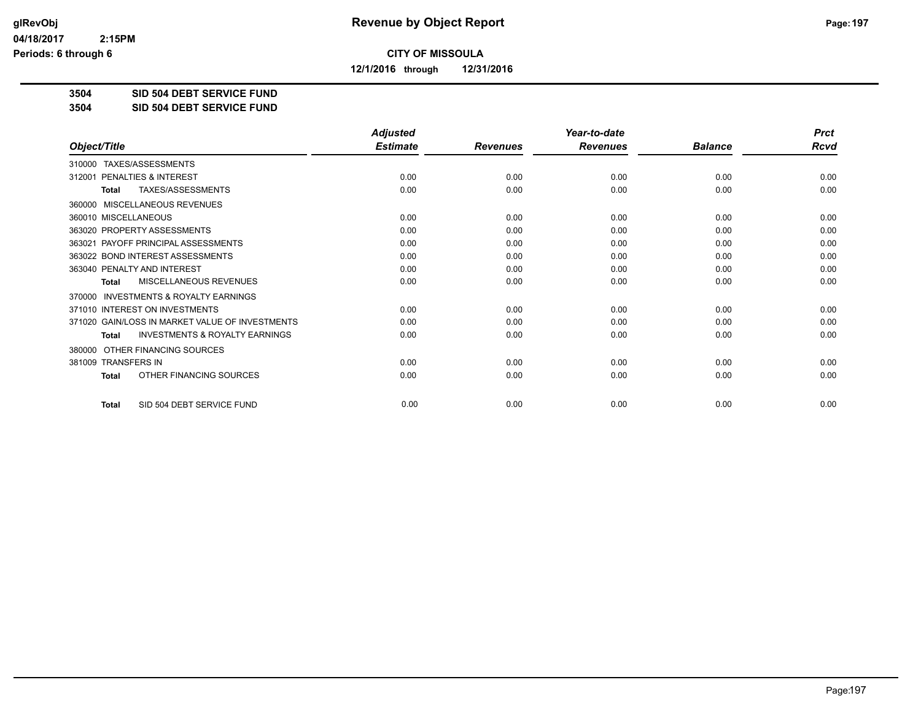**12/1/2016 through 12/31/2016**

**3504 SID 504 DEBT SERVICE FUND**

**3504 SID 504 DEBT SERVICE FUND**

|                                                    | <b>Adjusted</b> |                 | Year-to-date    |                | <b>Prct</b> |
|----------------------------------------------------|-----------------|-----------------|-----------------|----------------|-------------|
| Object/Title                                       | <b>Estimate</b> | <b>Revenues</b> | <b>Revenues</b> | <b>Balance</b> | Rcvd        |
| TAXES/ASSESSMENTS<br>310000                        |                 |                 |                 |                |             |
| PENALTIES & INTEREST<br>312001                     | 0.00            | 0.00            | 0.00            | 0.00           | 0.00        |
| TAXES/ASSESSMENTS<br><b>Total</b>                  | 0.00            | 0.00            | 0.00            | 0.00           | 0.00        |
| 360000 MISCELLANEOUS REVENUES                      |                 |                 |                 |                |             |
| 360010 MISCELLANEOUS                               | 0.00            | 0.00            | 0.00            | 0.00           | 0.00        |
| 363020 PROPERTY ASSESSMENTS                        | 0.00            | 0.00            | 0.00            | 0.00           | 0.00        |
| 363021 PAYOFF PRINCIPAL ASSESSMENTS                | 0.00            | 0.00            | 0.00            | 0.00           | 0.00        |
| 363022 BOND INTEREST ASSESSMENTS                   | 0.00            | 0.00            | 0.00            | 0.00           | 0.00        |
| 363040 PENALTY AND INTEREST                        | 0.00            | 0.00            | 0.00            | 0.00           | 0.00        |
| MISCELLANEOUS REVENUES<br><b>Total</b>             | 0.00            | 0.00            | 0.00            | 0.00           | 0.00        |
| INVESTMENTS & ROYALTY EARNINGS<br>370000           |                 |                 |                 |                |             |
| 371010 INTEREST ON INVESTMENTS                     | 0.00            | 0.00            | 0.00            | 0.00           | 0.00        |
| 371020 GAIN/LOSS IN MARKET VALUE OF INVESTMENTS    | 0.00            | 0.00            | 0.00            | 0.00           | 0.00        |
| <b>INVESTMENTS &amp; ROYALTY EARNINGS</b><br>Total | 0.00            | 0.00            | 0.00            | 0.00           | 0.00        |
| OTHER FINANCING SOURCES<br>380000                  |                 |                 |                 |                |             |
| 381009 TRANSFERS IN                                | 0.00            | 0.00            | 0.00            | 0.00           | 0.00        |
| OTHER FINANCING SOURCES<br><b>Total</b>            | 0.00            | 0.00            | 0.00            | 0.00           | 0.00        |
| SID 504 DEBT SERVICE FUND<br><b>Total</b>          | 0.00            | 0.00            | 0.00            | 0.00           | 0.00        |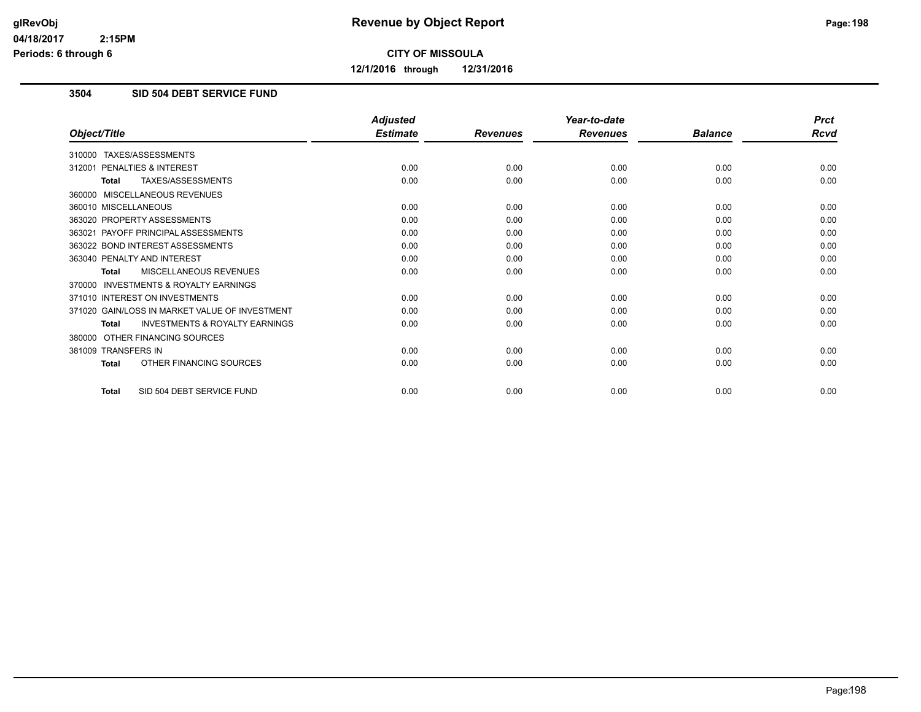**12/1/2016 through 12/31/2016**

#### **3504 SID 504 DEBT SERVICE FUND**

|                                                    | <b>Adjusted</b> |                 | Year-to-date    |                | <b>Prct</b> |
|----------------------------------------------------|-----------------|-----------------|-----------------|----------------|-------------|
| Object/Title                                       | <b>Estimate</b> | <b>Revenues</b> | <b>Revenues</b> | <b>Balance</b> | <b>Rcvd</b> |
| 310000 TAXES/ASSESSMENTS                           |                 |                 |                 |                |             |
| PENALTIES & INTEREST<br>312001                     | 0.00            | 0.00            | 0.00            | 0.00           | 0.00        |
| TAXES/ASSESSMENTS<br><b>Total</b>                  | 0.00            | 0.00            | 0.00            | 0.00           | 0.00        |
| 360000 MISCELLANEOUS REVENUES                      |                 |                 |                 |                |             |
| 360010 MISCELLANEOUS                               | 0.00            | 0.00            | 0.00            | 0.00           | 0.00        |
| 363020 PROPERTY ASSESSMENTS                        | 0.00            | 0.00            | 0.00            | 0.00           | 0.00        |
| 363021 PAYOFF PRINCIPAL ASSESSMENTS                | 0.00            | 0.00            | 0.00            | 0.00           | 0.00        |
| 363022 BOND INTEREST ASSESSMENTS                   | 0.00            | 0.00            | 0.00            | 0.00           | 0.00        |
| 363040 PENALTY AND INTEREST                        | 0.00            | 0.00            | 0.00            | 0.00           | 0.00        |
| MISCELLANEOUS REVENUES<br>Total                    | 0.00            | 0.00            | 0.00            | 0.00           | 0.00        |
| 370000 INVESTMENTS & ROYALTY EARNINGS              |                 |                 |                 |                |             |
| 371010 INTEREST ON INVESTMENTS                     | 0.00            | 0.00            | 0.00            | 0.00           | 0.00        |
| 371020 GAIN/LOSS IN MARKET VALUE OF INVESTMENT     | 0.00            | 0.00            | 0.00            | 0.00           | 0.00        |
| <b>INVESTMENTS &amp; ROYALTY EARNINGS</b><br>Total | 0.00            | 0.00            | 0.00            | 0.00           | 0.00        |
| 380000 OTHER FINANCING SOURCES                     |                 |                 |                 |                |             |
| 381009 TRANSFERS IN                                | 0.00            | 0.00            | 0.00            | 0.00           | 0.00        |
| OTHER FINANCING SOURCES<br>Total                   | 0.00            | 0.00            | 0.00            | 0.00           | 0.00        |
| SID 504 DEBT SERVICE FUND<br><b>Total</b>          | 0.00            | 0.00            | 0.00            | 0.00           | 0.00        |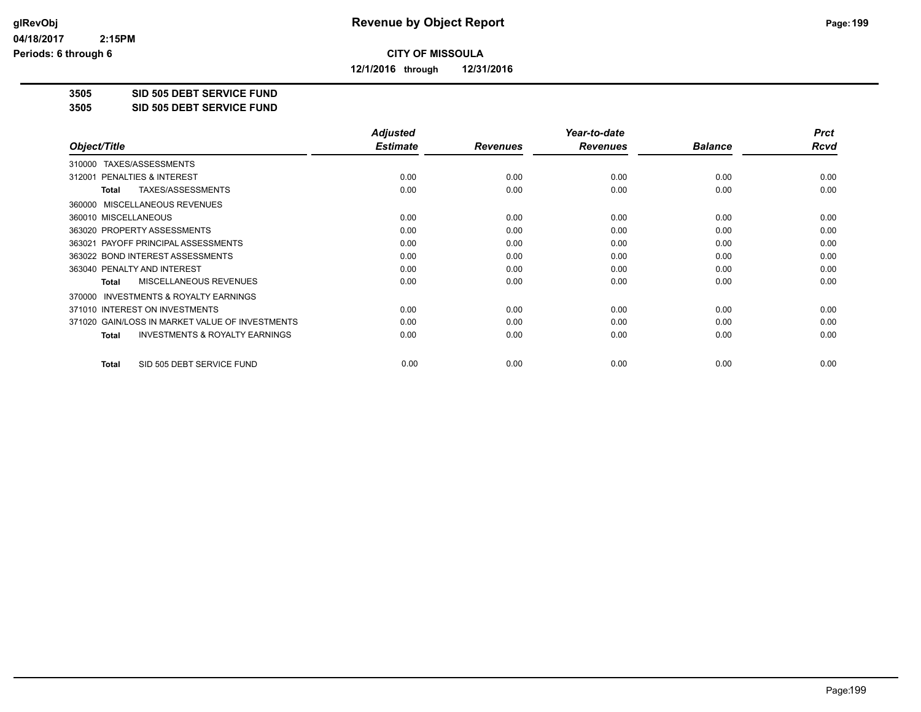**12/1/2016 through 12/31/2016**

**3505 SID 505 DEBT SERVICE FUND**

**3505 SID 505 DEBT SERVICE FUND**

|                                                           | <b>Adjusted</b> |                 | Year-to-date    |                | <b>Prct</b> |
|-----------------------------------------------------------|-----------------|-----------------|-----------------|----------------|-------------|
| Object/Title                                              | <b>Estimate</b> | <b>Revenues</b> | <b>Revenues</b> | <b>Balance</b> | Rcvd        |
| 310000 TAXES/ASSESSMENTS                                  |                 |                 |                 |                |             |
| 312001 PENALTIES & INTEREST                               | 0.00            | 0.00            | 0.00            | 0.00           | 0.00        |
| TAXES/ASSESSMENTS<br>Total                                | 0.00            | 0.00            | 0.00            | 0.00           | 0.00        |
| 360000 MISCELLANEOUS REVENUES                             |                 |                 |                 |                |             |
| 360010 MISCELLANEOUS                                      | 0.00            | 0.00            | 0.00            | 0.00           | 0.00        |
| 363020 PROPERTY ASSESSMENTS                               | 0.00            | 0.00            | 0.00            | 0.00           | 0.00        |
| 363021 PAYOFF PRINCIPAL ASSESSMENTS                       | 0.00            | 0.00            | 0.00            | 0.00           | 0.00        |
| 363022 BOND INTEREST ASSESSMENTS                          | 0.00            | 0.00            | 0.00            | 0.00           | 0.00        |
| 363040 PENALTY AND INTEREST                               | 0.00            | 0.00            | 0.00            | 0.00           | 0.00        |
| MISCELLANEOUS REVENUES<br>Total                           | 0.00            | 0.00            | 0.00            | 0.00           | 0.00        |
| INVESTMENTS & ROYALTY EARNINGS<br>370000                  |                 |                 |                 |                |             |
| 371010 INTEREST ON INVESTMENTS                            | 0.00            | 0.00            | 0.00            | 0.00           | 0.00        |
| 371020 GAIN/LOSS IN MARKET VALUE OF INVESTMENTS           | 0.00            | 0.00            | 0.00            | 0.00           | 0.00        |
| <b>INVESTMENTS &amp; ROYALTY EARNINGS</b><br><b>Total</b> | 0.00            | 0.00            | 0.00            | 0.00           | 0.00        |
| SID 505 DEBT SERVICE FUND<br>Total                        | 0.00            | 0.00            | 0.00            | 0.00           | 0.00        |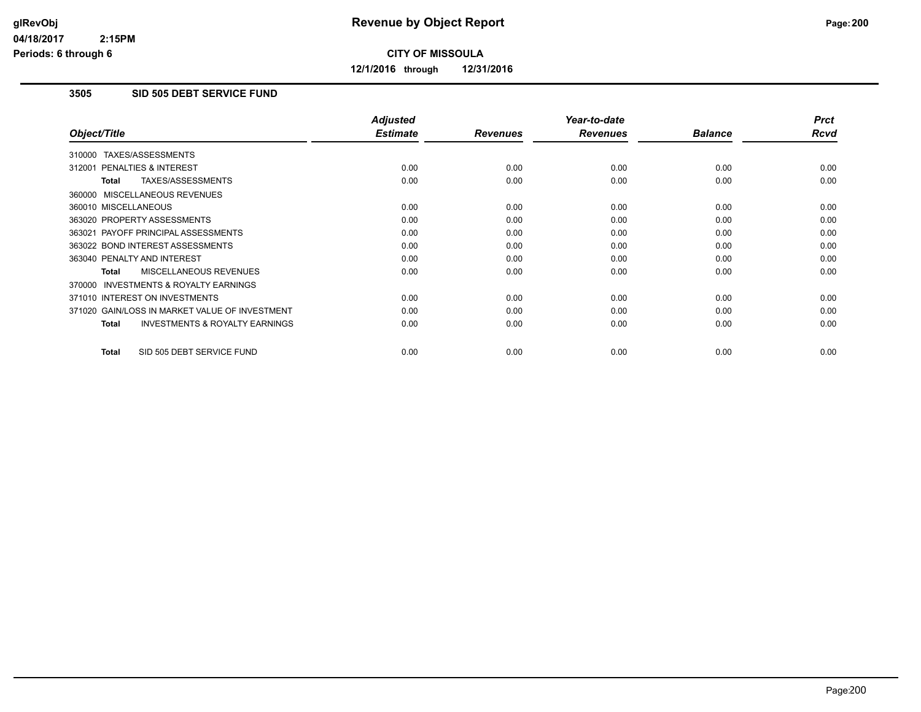**12/1/2016 through 12/31/2016**

### **3505 SID 505 DEBT SERVICE FUND**

|                                                     | <b>Adjusted</b> |                 | Year-to-date    |                | <b>Prct</b> |
|-----------------------------------------------------|-----------------|-----------------|-----------------|----------------|-------------|
| Object/Title                                        | <b>Estimate</b> | <b>Revenues</b> | <b>Revenues</b> | <b>Balance</b> | Rcvd        |
| 310000 TAXES/ASSESSMENTS                            |                 |                 |                 |                |             |
| 312001 PENALTIES & INTEREST                         | 0.00            | 0.00            | 0.00            | 0.00           | 0.00        |
| TAXES/ASSESSMENTS<br>Total                          | 0.00            | 0.00            | 0.00            | 0.00           | 0.00        |
| 360000 MISCELLANEOUS REVENUES                       |                 |                 |                 |                |             |
| 360010 MISCELLANEOUS                                | 0.00            | 0.00            | 0.00            | 0.00           | 0.00        |
| 363020 PROPERTY ASSESSMENTS                         | 0.00            | 0.00            | 0.00            | 0.00           | 0.00        |
| 363021 PAYOFF PRINCIPAL ASSESSMENTS                 | 0.00            | 0.00            | 0.00            | 0.00           | 0.00        |
| 363022 BOND INTEREST ASSESSMENTS                    | 0.00            | 0.00            | 0.00            | 0.00           | 0.00        |
| 363040 PENALTY AND INTEREST                         | 0.00            | 0.00            | 0.00            | 0.00           | 0.00        |
| MISCELLANEOUS REVENUES<br>Total                     | 0.00            | 0.00            | 0.00            | 0.00           | 0.00        |
| <b>INVESTMENTS &amp; ROYALTY EARNINGS</b><br>370000 |                 |                 |                 |                |             |
| 371010 INTEREST ON INVESTMENTS                      | 0.00            | 0.00            | 0.00            | 0.00           | 0.00        |
| 371020 GAIN/LOSS IN MARKET VALUE OF INVESTMENT      | 0.00            | 0.00            | 0.00            | 0.00           | 0.00        |
| <b>INVESTMENTS &amp; ROYALTY EARNINGS</b><br>Total  | 0.00            | 0.00            | 0.00            | 0.00           | 0.00        |
| SID 505 DEBT SERVICE FUND<br>Total                  | 0.00            | 0.00            | 0.00            | 0.00           | 0.00        |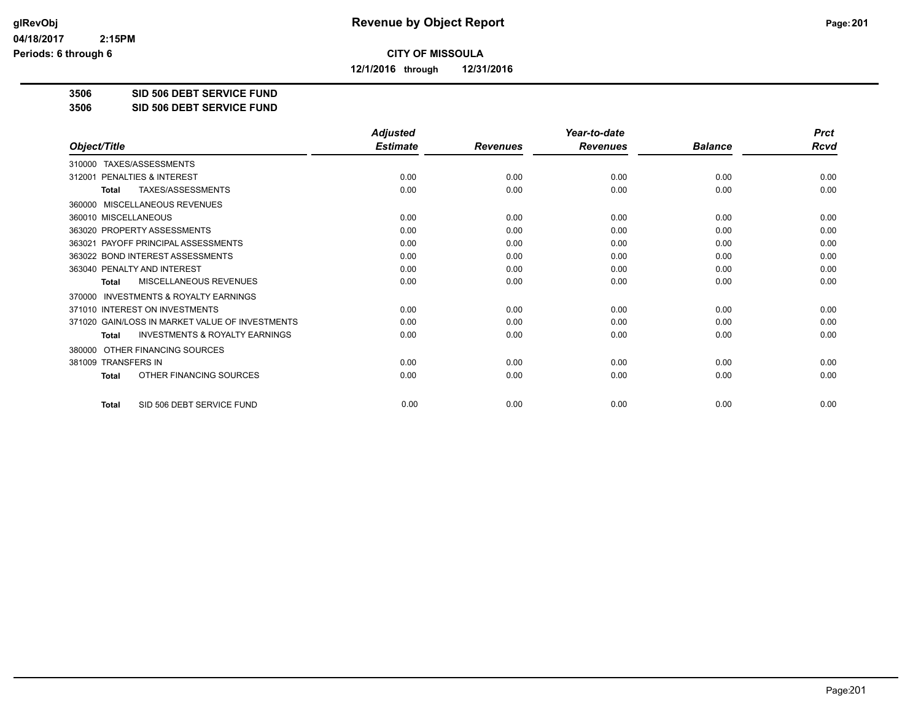**12/1/2016 through 12/31/2016**

**3506 SID 506 DEBT SERVICE FUND**

**3506 SID 506 DEBT SERVICE FUND**

|                                                           | <b>Adjusted</b> |                 | Year-to-date    |                |             |
|-----------------------------------------------------------|-----------------|-----------------|-----------------|----------------|-------------|
| Object/Title                                              | <b>Estimate</b> | <b>Revenues</b> | <b>Revenues</b> | <b>Balance</b> | <b>Rcvd</b> |
| TAXES/ASSESSMENTS<br>310000                               |                 |                 |                 |                |             |
| <b>PENALTIES &amp; INTEREST</b><br>312001                 | 0.00            | 0.00            | 0.00            | 0.00           | 0.00        |
| TAXES/ASSESSMENTS<br><b>Total</b>                         | 0.00            | 0.00            | 0.00            | 0.00           | 0.00        |
| 360000 MISCELLANEOUS REVENUES                             |                 |                 |                 |                |             |
| 360010 MISCELLANEOUS                                      | 0.00            | 0.00            | 0.00            | 0.00           | 0.00        |
| 363020 PROPERTY ASSESSMENTS                               | 0.00            | 0.00            | 0.00            | 0.00           | 0.00        |
| 363021 PAYOFF PRINCIPAL ASSESSMENTS                       | 0.00            | 0.00            | 0.00            | 0.00           | 0.00        |
| 363022 BOND INTEREST ASSESSMENTS                          | 0.00            | 0.00            | 0.00            | 0.00           | 0.00        |
| 363040 PENALTY AND INTEREST                               | 0.00            | 0.00            | 0.00            | 0.00           | 0.00        |
| MISCELLANEOUS REVENUES<br>Total                           | 0.00            | 0.00            | 0.00            | 0.00           | 0.00        |
| <b>INVESTMENTS &amp; ROYALTY EARNINGS</b><br>370000       |                 |                 |                 |                |             |
| 371010 INTEREST ON INVESTMENTS                            | 0.00            | 0.00            | 0.00            | 0.00           | 0.00        |
| 371020 GAIN/LOSS IN MARKET VALUE OF INVESTMENTS           | 0.00            | 0.00            | 0.00            | 0.00           | 0.00        |
| <b>INVESTMENTS &amp; ROYALTY EARNINGS</b><br><b>Total</b> | 0.00            | 0.00            | 0.00            | 0.00           | 0.00        |
| OTHER FINANCING SOURCES<br>380000                         |                 |                 |                 |                |             |
| 381009 TRANSFERS IN                                       | 0.00            | 0.00            | 0.00            | 0.00           | 0.00        |
| OTHER FINANCING SOURCES<br><b>Total</b>                   | 0.00            | 0.00            | 0.00            | 0.00           | 0.00        |
| SID 506 DEBT SERVICE FUND<br><b>Total</b>                 | 0.00            | 0.00            | 0.00            | 0.00           | 0.00        |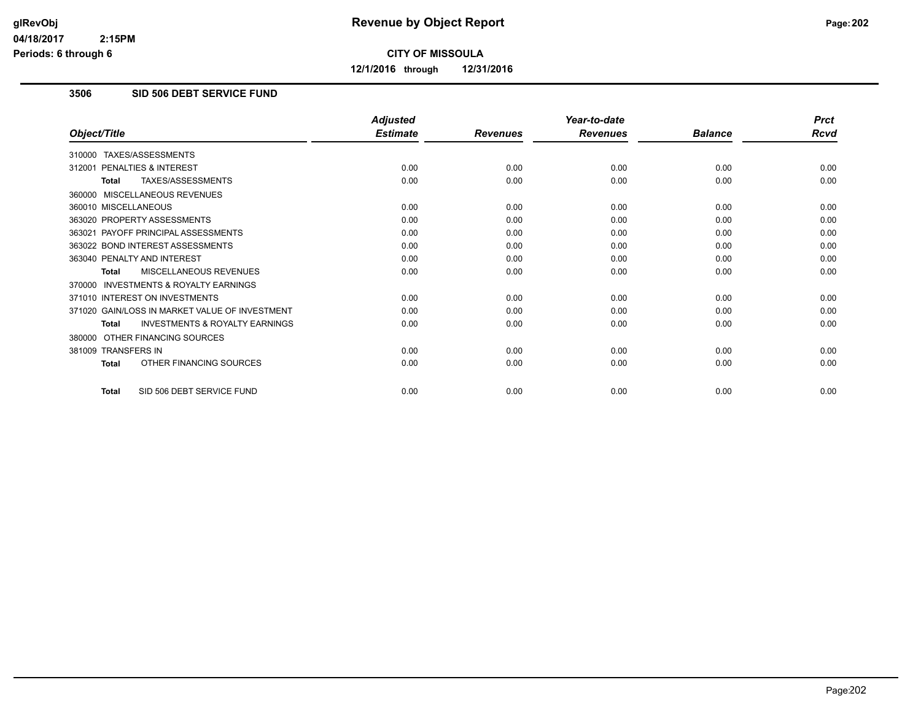**12/1/2016 through 12/31/2016**

### **3506 SID 506 DEBT SERVICE FUND**

|                                                           | <b>Adjusted</b> |                 | Year-to-date    |                | <b>Prct</b> |
|-----------------------------------------------------------|-----------------|-----------------|-----------------|----------------|-------------|
| Object/Title                                              | <b>Estimate</b> | <b>Revenues</b> | <b>Revenues</b> | <b>Balance</b> | Rcvd        |
| 310000 TAXES/ASSESSMENTS                                  |                 |                 |                 |                |             |
| PENALTIES & INTEREST<br>312001                            | 0.00            | 0.00            | 0.00            | 0.00           | 0.00        |
| TAXES/ASSESSMENTS<br><b>Total</b>                         | 0.00            | 0.00            | 0.00            | 0.00           | 0.00        |
| 360000 MISCELLANEOUS REVENUES                             |                 |                 |                 |                |             |
| 360010 MISCELLANEOUS                                      | 0.00            | 0.00            | 0.00            | 0.00           | 0.00        |
| 363020 PROPERTY ASSESSMENTS                               | 0.00            | 0.00            | 0.00            | 0.00           | 0.00        |
| 363021 PAYOFF PRINCIPAL ASSESSMENTS                       | 0.00            | 0.00            | 0.00            | 0.00           | 0.00        |
| 363022 BOND INTEREST ASSESSMENTS                          | 0.00            | 0.00            | 0.00            | 0.00           | 0.00        |
| 363040 PENALTY AND INTEREST                               | 0.00            | 0.00            | 0.00            | 0.00           | 0.00        |
| MISCELLANEOUS REVENUES<br><b>Total</b>                    | 0.00            | 0.00            | 0.00            | 0.00           | 0.00        |
| 370000 INVESTMENTS & ROYALTY EARNINGS                     |                 |                 |                 |                |             |
| 371010 INTEREST ON INVESTMENTS                            | 0.00            | 0.00            | 0.00            | 0.00           | 0.00        |
| 371020 GAIN/LOSS IN MARKET VALUE OF INVESTMENT            | 0.00            | 0.00            | 0.00            | 0.00           | 0.00        |
| <b>INVESTMENTS &amp; ROYALTY EARNINGS</b><br><b>Total</b> | 0.00            | 0.00            | 0.00            | 0.00           | 0.00        |
| 380000 OTHER FINANCING SOURCES                            |                 |                 |                 |                |             |
| 381009 TRANSFERS IN                                       | 0.00            | 0.00            | 0.00            | 0.00           | 0.00        |
| OTHER FINANCING SOURCES<br><b>Total</b>                   | 0.00            | 0.00            | 0.00            | 0.00           | 0.00        |
| SID 506 DEBT SERVICE FUND<br><b>Total</b>                 | 0.00            | 0.00            | 0.00            | 0.00           | 0.00        |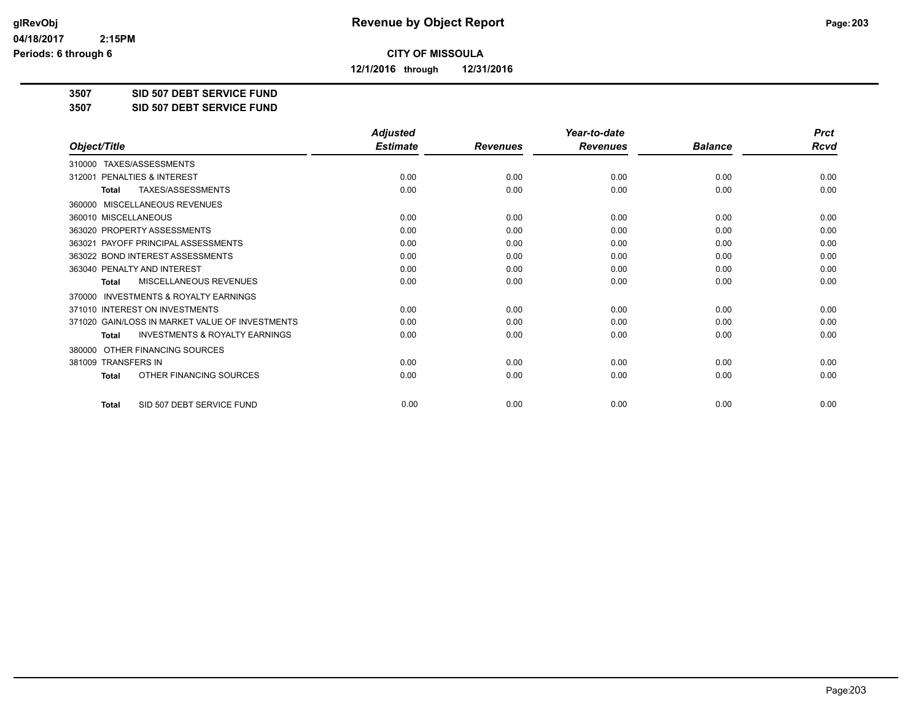**12/1/2016 through 12/31/2016**

**3507 SID 507 DEBT SERVICE FUND**

**3507 SID 507 DEBT SERVICE FUND**

|                                                     | <b>Adjusted</b> |                 | Year-to-date    |                | <b>Prct</b> |
|-----------------------------------------------------|-----------------|-----------------|-----------------|----------------|-------------|
| Object/Title                                        | <b>Estimate</b> | <b>Revenues</b> | <b>Revenues</b> | <b>Balance</b> | Rcvd        |
| 310000 TAXES/ASSESSMENTS                            |                 |                 |                 |                |             |
| 312001 PENALTIES & INTEREST                         | 0.00            | 0.00            | 0.00            | 0.00           | 0.00        |
| TAXES/ASSESSMENTS<br><b>Total</b>                   | 0.00            | 0.00            | 0.00            | 0.00           | 0.00        |
| 360000 MISCELLANEOUS REVENUES                       |                 |                 |                 |                |             |
| 360010 MISCELLANEOUS                                | 0.00            | 0.00            | 0.00            | 0.00           | 0.00        |
| 363020 PROPERTY ASSESSMENTS                         | 0.00            | 0.00            | 0.00            | 0.00           | 0.00        |
| 363021 PAYOFF PRINCIPAL ASSESSMENTS                 | 0.00            | 0.00            | 0.00            | 0.00           | 0.00        |
| 363022 BOND INTEREST ASSESSMENTS                    | 0.00            | 0.00            | 0.00            | 0.00           | 0.00        |
| 363040 PENALTY AND INTEREST                         | 0.00            | 0.00            | 0.00            | 0.00           | 0.00        |
| MISCELLANEOUS REVENUES<br>Total                     | 0.00            | 0.00            | 0.00            | 0.00           | 0.00        |
| <b>INVESTMENTS &amp; ROYALTY EARNINGS</b><br>370000 |                 |                 |                 |                |             |
| 371010 INTEREST ON INVESTMENTS                      | 0.00            | 0.00            | 0.00            | 0.00           | 0.00        |
| 371020 GAIN/LOSS IN MARKET VALUE OF INVESTMENTS     | 0.00            | 0.00            | 0.00            | 0.00           | 0.00        |
| <b>INVESTMENTS &amp; ROYALTY EARNINGS</b><br>Total  | 0.00            | 0.00            | 0.00            | 0.00           | 0.00        |
| OTHER FINANCING SOURCES<br>380000                   |                 |                 |                 |                |             |
| 381009 TRANSFERS IN                                 | 0.00            | 0.00            | 0.00            | 0.00           | 0.00        |
| OTHER FINANCING SOURCES<br><b>Total</b>             | 0.00            | 0.00            | 0.00            | 0.00           | 0.00        |
| SID 507 DEBT SERVICE FUND<br><b>Total</b>           | 0.00            | 0.00            | 0.00            | 0.00           | 0.00        |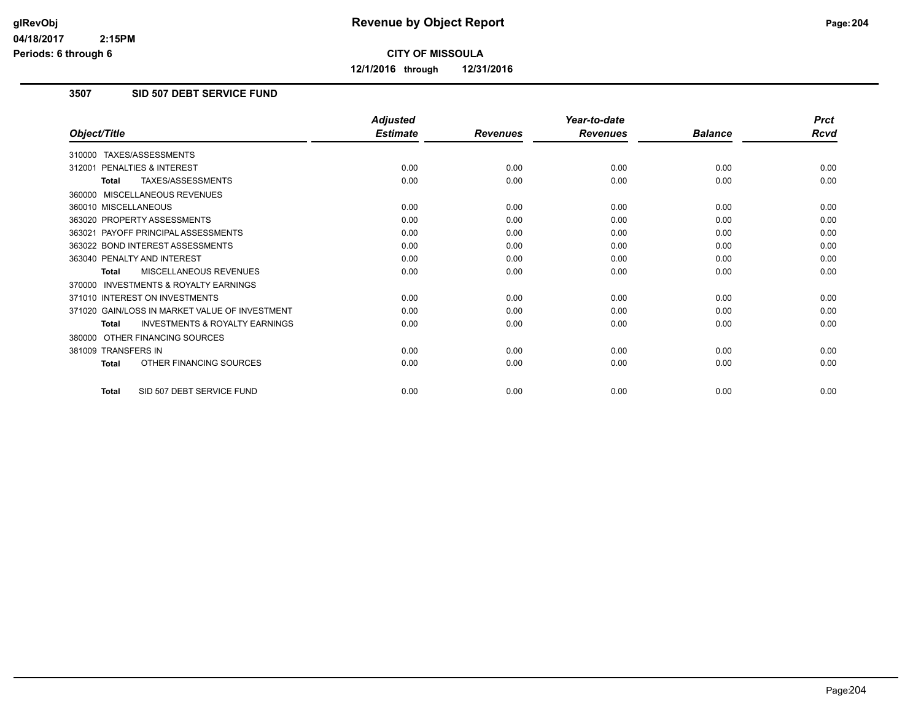**12/1/2016 through 12/31/2016**

### **3507 SID 507 DEBT SERVICE FUND**

|                                                           | <b>Adjusted</b> |                 | Year-to-date    |                | <b>Prct</b> |
|-----------------------------------------------------------|-----------------|-----------------|-----------------|----------------|-------------|
| Object/Title                                              | <b>Estimate</b> | <b>Revenues</b> | <b>Revenues</b> | <b>Balance</b> | <b>Rcvd</b> |
| 310000 TAXES/ASSESSMENTS                                  |                 |                 |                 |                |             |
| PENALTIES & INTEREST<br>312001                            | 0.00            | 0.00            | 0.00            | 0.00           | 0.00        |
| TAXES/ASSESSMENTS<br><b>Total</b>                         | 0.00            | 0.00            | 0.00            | 0.00           | 0.00        |
| 360000 MISCELLANEOUS REVENUES                             |                 |                 |                 |                |             |
| 360010 MISCELLANEOUS                                      | 0.00            | 0.00            | 0.00            | 0.00           | 0.00        |
| 363020 PROPERTY ASSESSMENTS                               | 0.00            | 0.00            | 0.00            | 0.00           | 0.00        |
| 363021 PAYOFF PRINCIPAL ASSESSMENTS                       | 0.00            | 0.00            | 0.00            | 0.00           | 0.00        |
| 363022 BOND INTEREST ASSESSMENTS                          | 0.00            | 0.00            | 0.00            | 0.00           | 0.00        |
| 363040 PENALTY AND INTEREST                               | 0.00            | 0.00            | 0.00            | 0.00           | 0.00        |
| MISCELLANEOUS REVENUES<br><b>Total</b>                    | 0.00            | 0.00            | 0.00            | 0.00           | 0.00        |
| 370000 INVESTMENTS & ROYALTY EARNINGS                     |                 |                 |                 |                |             |
| 371010 INTEREST ON INVESTMENTS                            | 0.00            | 0.00            | 0.00            | 0.00           | 0.00        |
| 371020 GAIN/LOSS IN MARKET VALUE OF INVESTMENT            | 0.00            | 0.00            | 0.00            | 0.00           | 0.00        |
| <b>INVESTMENTS &amp; ROYALTY EARNINGS</b><br><b>Total</b> | 0.00            | 0.00            | 0.00            | 0.00           | 0.00        |
| 380000 OTHER FINANCING SOURCES                            |                 |                 |                 |                |             |
| 381009 TRANSFERS IN                                       | 0.00            | 0.00            | 0.00            | 0.00           | 0.00        |
| OTHER FINANCING SOURCES<br>Total                          | 0.00            | 0.00            | 0.00            | 0.00           | 0.00        |
| SID 507 DEBT SERVICE FUND<br><b>Total</b>                 | 0.00            | 0.00            | 0.00            | 0.00           | 0.00        |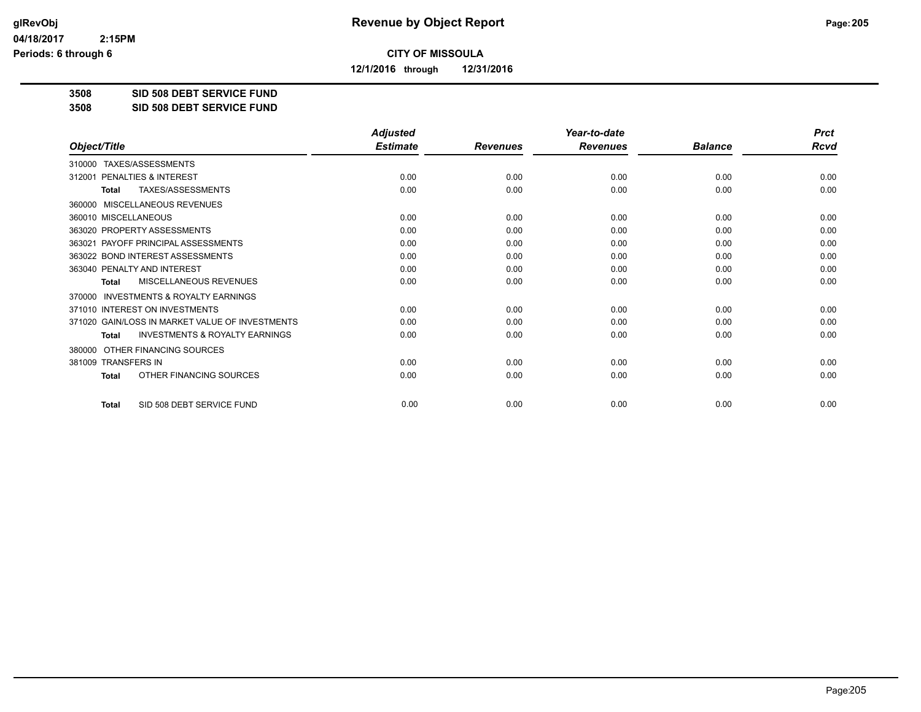**12/1/2016 through 12/31/2016**

**3508 SID 508 DEBT SERVICE FUND**

**3508 SID 508 DEBT SERVICE FUND**

|                                                           | <b>Adjusted</b> |                 | Year-to-date    |                | <b>Prct</b> |
|-----------------------------------------------------------|-----------------|-----------------|-----------------|----------------|-------------|
| Object/Title                                              | <b>Estimate</b> | <b>Revenues</b> | <b>Revenues</b> | <b>Balance</b> | Rcvd        |
| 310000 TAXES/ASSESSMENTS                                  |                 |                 |                 |                |             |
| 312001 PENALTIES & INTEREST                               | 0.00            | 0.00            | 0.00            | 0.00           | 0.00        |
| <b>TAXES/ASSESSMENTS</b><br><b>Total</b>                  | 0.00            | 0.00            | 0.00            | 0.00           | 0.00        |
| 360000 MISCELLANEOUS REVENUES                             |                 |                 |                 |                |             |
| 360010 MISCELLANEOUS                                      | 0.00            | 0.00            | 0.00            | 0.00           | 0.00        |
| 363020 PROPERTY ASSESSMENTS                               | 0.00            | 0.00            | 0.00            | 0.00           | 0.00        |
| 363021 PAYOFF PRINCIPAL ASSESSMENTS                       | 0.00            | 0.00            | 0.00            | 0.00           | 0.00        |
| 363022 BOND INTEREST ASSESSMENTS                          | 0.00            | 0.00            | 0.00            | 0.00           | 0.00        |
| 363040 PENALTY AND INTEREST                               | 0.00            | 0.00            | 0.00            | 0.00           | 0.00        |
| MISCELLANEOUS REVENUES<br><b>Total</b>                    | 0.00            | 0.00            | 0.00            | 0.00           | 0.00        |
| <b>INVESTMENTS &amp; ROYALTY EARNINGS</b><br>370000       |                 |                 |                 |                |             |
| 371010 INTEREST ON INVESTMENTS                            | 0.00            | 0.00            | 0.00            | 0.00           | 0.00        |
| 371020 GAIN/LOSS IN MARKET VALUE OF INVESTMENTS           | 0.00            | 0.00            | 0.00            | 0.00           | 0.00        |
| <b>INVESTMENTS &amp; ROYALTY EARNINGS</b><br><b>Total</b> | 0.00            | 0.00            | 0.00            | 0.00           | 0.00        |
| OTHER FINANCING SOURCES<br>380000                         |                 |                 |                 |                |             |
| 381009 TRANSFERS IN                                       | 0.00            | 0.00            | 0.00            | 0.00           | 0.00        |
| OTHER FINANCING SOURCES<br><b>Total</b>                   | 0.00            | 0.00            | 0.00            | 0.00           | 0.00        |
| SID 508 DEBT SERVICE FUND<br><b>Total</b>                 | 0.00            | 0.00            | 0.00            | 0.00           | 0.00        |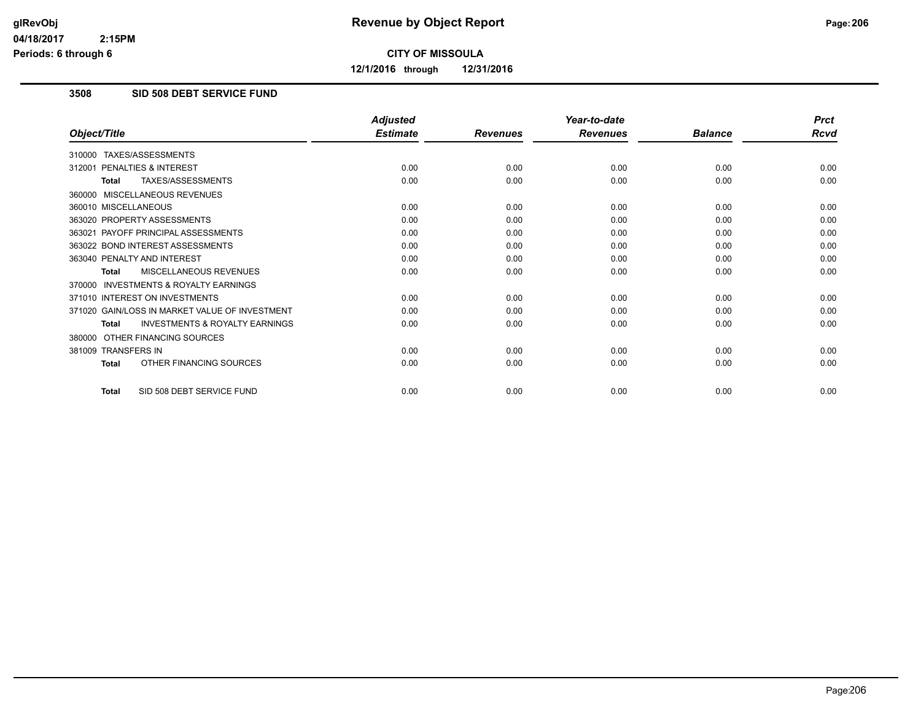**12/1/2016 through 12/31/2016**

### **3508 SID 508 DEBT SERVICE FUND**

|                                                           | <b>Adjusted</b> |                 | Year-to-date    |                | <b>Prct</b> |
|-----------------------------------------------------------|-----------------|-----------------|-----------------|----------------|-------------|
| Object/Title                                              | <b>Estimate</b> | <b>Revenues</b> | <b>Revenues</b> | <b>Balance</b> | Rcvd        |
| 310000 TAXES/ASSESSMENTS                                  |                 |                 |                 |                |             |
| 312001 PENALTIES & INTEREST                               | 0.00            | 0.00            | 0.00            | 0.00           | 0.00        |
| TAXES/ASSESSMENTS<br><b>Total</b>                         | 0.00            | 0.00            | 0.00            | 0.00           | 0.00        |
| 360000 MISCELLANEOUS REVENUES                             |                 |                 |                 |                |             |
| 360010 MISCELLANEOUS                                      | 0.00            | 0.00            | 0.00            | 0.00           | 0.00        |
| 363020 PROPERTY ASSESSMENTS                               | 0.00            | 0.00            | 0.00            | 0.00           | 0.00        |
| 363021 PAYOFF PRINCIPAL ASSESSMENTS                       | 0.00            | 0.00            | 0.00            | 0.00           | 0.00        |
| 363022 BOND INTEREST ASSESSMENTS                          | 0.00            | 0.00            | 0.00            | 0.00           | 0.00        |
| 363040 PENALTY AND INTEREST                               | 0.00            | 0.00            | 0.00            | 0.00           | 0.00        |
| MISCELLANEOUS REVENUES<br><b>Total</b>                    | 0.00            | 0.00            | 0.00            | 0.00           | 0.00        |
| <b>INVESTMENTS &amp; ROYALTY EARNINGS</b><br>370000       |                 |                 |                 |                |             |
| 371010 INTEREST ON INVESTMENTS                            | 0.00            | 0.00            | 0.00            | 0.00           | 0.00        |
| 371020 GAIN/LOSS IN MARKET VALUE OF INVESTMENT            | 0.00            | 0.00            | 0.00            | 0.00           | 0.00        |
| <b>INVESTMENTS &amp; ROYALTY EARNINGS</b><br><b>Total</b> | 0.00            | 0.00            | 0.00            | 0.00           | 0.00        |
| OTHER FINANCING SOURCES<br>380000                         |                 |                 |                 |                |             |
| 381009 TRANSFERS IN                                       | 0.00            | 0.00            | 0.00            | 0.00           | 0.00        |
| OTHER FINANCING SOURCES<br><b>Total</b>                   | 0.00            | 0.00            | 0.00            | 0.00           | 0.00        |
| SID 508 DEBT SERVICE FUND<br><b>Total</b>                 | 0.00            | 0.00            | 0.00            | 0.00           | 0.00        |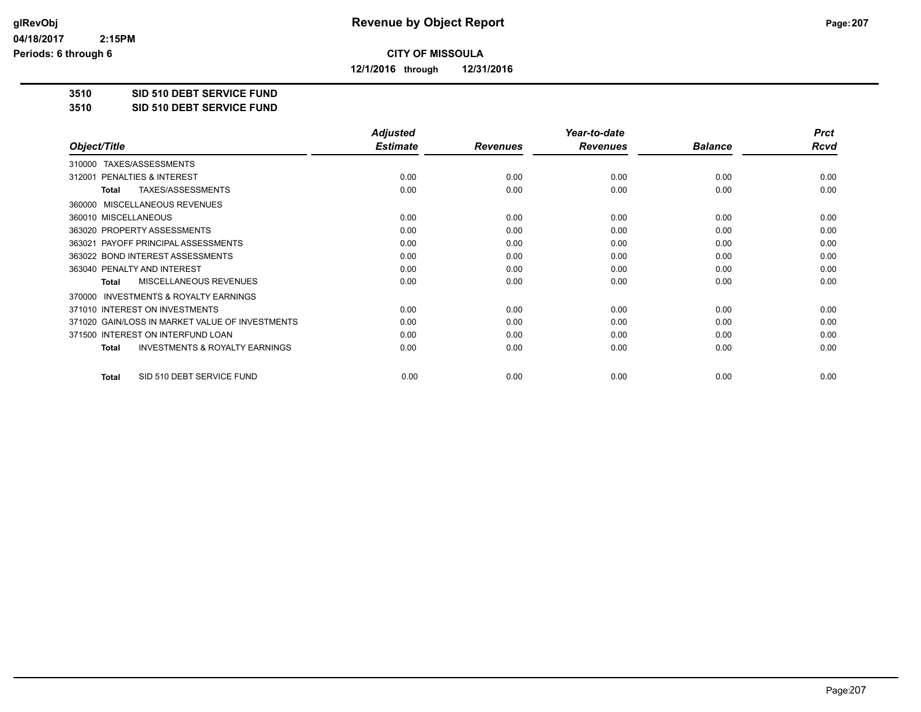**12/1/2016 through 12/31/2016**

**3510 SID 510 DEBT SERVICE FUND**

**3510 SID 510 DEBT SERVICE FUND**

|                                                           | <b>Adjusted</b> |                 | Year-to-date    |                | <b>Prct</b> |
|-----------------------------------------------------------|-----------------|-----------------|-----------------|----------------|-------------|
| Object/Title                                              | <b>Estimate</b> | <b>Revenues</b> | <b>Revenues</b> | <b>Balance</b> | Rcvd        |
| TAXES/ASSESSMENTS<br>310000                               |                 |                 |                 |                |             |
| 312001 PENALTIES & INTEREST                               | 0.00            | 0.00            | 0.00            | 0.00           | 0.00        |
| TAXES/ASSESSMENTS<br><b>Total</b>                         | 0.00            | 0.00            | 0.00            | 0.00           | 0.00        |
| 360000 MISCELLANEOUS REVENUES                             |                 |                 |                 |                |             |
| 360010 MISCELLANEOUS                                      | 0.00            | 0.00            | 0.00            | 0.00           | 0.00        |
| 363020 PROPERTY ASSESSMENTS                               | 0.00            | 0.00            | 0.00            | 0.00           | 0.00        |
| 363021 PAYOFF PRINCIPAL ASSESSMENTS                       | 0.00            | 0.00            | 0.00            | 0.00           | 0.00        |
| 363022 BOND INTEREST ASSESSMENTS                          | 0.00            | 0.00            | 0.00            | 0.00           | 0.00        |
| 363040 PENALTY AND INTEREST                               | 0.00            | 0.00            | 0.00            | 0.00           | 0.00        |
| MISCELLANEOUS REVENUES<br><b>Total</b>                    | 0.00            | 0.00            | 0.00            | 0.00           | 0.00        |
| <b>INVESTMENTS &amp; ROYALTY EARNINGS</b><br>370000       |                 |                 |                 |                |             |
| 371010 INTEREST ON INVESTMENTS                            | 0.00            | 0.00            | 0.00            | 0.00           | 0.00        |
| 371020 GAIN/LOSS IN MARKET VALUE OF INVESTMENTS           | 0.00            | 0.00            | 0.00            | 0.00           | 0.00        |
| 371500 INTEREST ON INTERFUND LOAN                         | 0.00            | 0.00            | 0.00            | 0.00           | 0.00        |
| <b>INVESTMENTS &amp; ROYALTY EARNINGS</b><br><b>Total</b> | 0.00            | 0.00            | 0.00            | 0.00           | 0.00        |
| SID 510 DEBT SERVICE FUND<br>Total                        | 0.00            | 0.00            | 0.00            | 0.00           | 0.00        |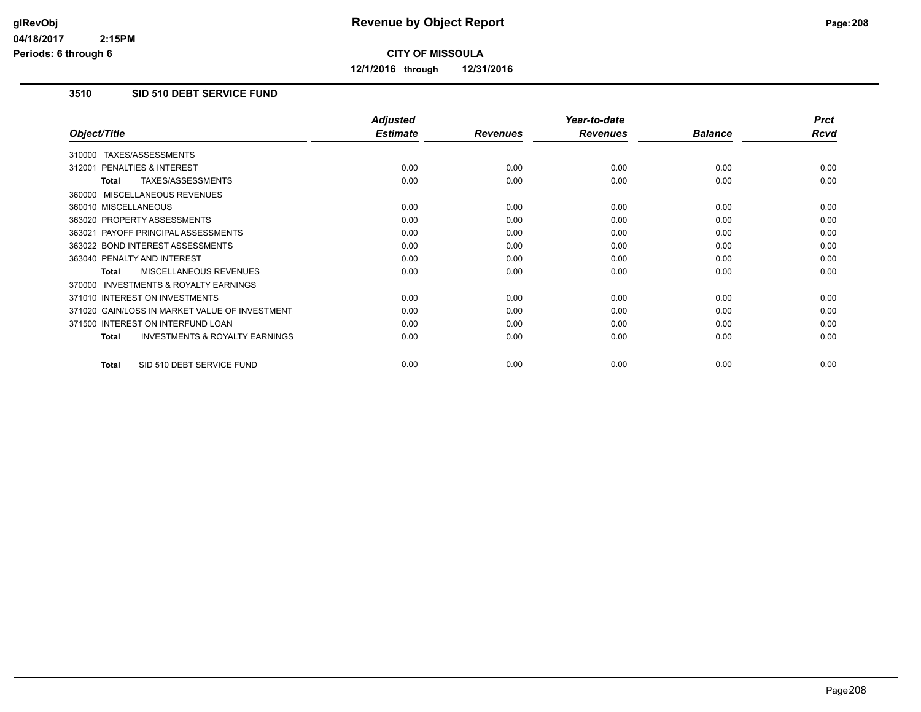**12/1/2016 through 12/31/2016**

### **3510 SID 510 DEBT SERVICE FUND**

|                                                           | <b>Adjusted</b> |                 | Year-to-date    |                | <b>Prct</b> |
|-----------------------------------------------------------|-----------------|-----------------|-----------------|----------------|-------------|
| Object/Title                                              | <b>Estimate</b> | <b>Revenues</b> | <b>Revenues</b> | <b>Balance</b> | <b>Rcvd</b> |
| TAXES/ASSESSMENTS<br>310000                               |                 |                 |                 |                |             |
| 312001 PENALTIES & INTEREST                               | 0.00            | 0.00            | 0.00            | 0.00           | 0.00        |
| TAXES/ASSESSMENTS<br>Total                                | 0.00            | 0.00            | 0.00            | 0.00           | 0.00        |
| 360000 MISCELLANEOUS REVENUES                             |                 |                 |                 |                |             |
| 360010 MISCELLANEOUS                                      | 0.00            | 0.00            | 0.00            | 0.00           | 0.00        |
| 363020 PROPERTY ASSESSMENTS                               | 0.00            | 0.00            | 0.00            | 0.00           | 0.00        |
| 363021 PAYOFF PRINCIPAL ASSESSMENTS                       | 0.00            | 0.00            | 0.00            | 0.00           | 0.00        |
| 363022 BOND INTEREST ASSESSMENTS                          | 0.00            | 0.00            | 0.00            | 0.00           | 0.00        |
| 363040 PENALTY AND INTEREST                               | 0.00            | 0.00            | 0.00            | 0.00           | 0.00        |
| <b>MISCELLANEOUS REVENUES</b><br><b>Total</b>             | 0.00            | 0.00            | 0.00            | 0.00           | 0.00        |
| <b>INVESTMENTS &amp; ROYALTY EARNINGS</b><br>370000       |                 |                 |                 |                |             |
| 371010 INTEREST ON INVESTMENTS                            | 0.00            | 0.00            | 0.00            | 0.00           | 0.00        |
| 371020 GAIN/LOSS IN MARKET VALUE OF INVESTMENT            | 0.00            | 0.00            | 0.00            | 0.00           | 0.00        |
| 371500 INTEREST ON INTERFUND LOAN                         | 0.00            | 0.00            | 0.00            | 0.00           | 0.00        |
| <b>Total</b><br><b>INVESTMENTS &amp; ROYALTY EARNINGS</b> | 0.00            | 0.00            | 0.00            | 0.00           | 0.00        |
| SID 510 DEBT SERVICE FUND<br><b>Total</b>                 | 0.00            | 0.00            | 0.00            | 0.00           | 0.00        |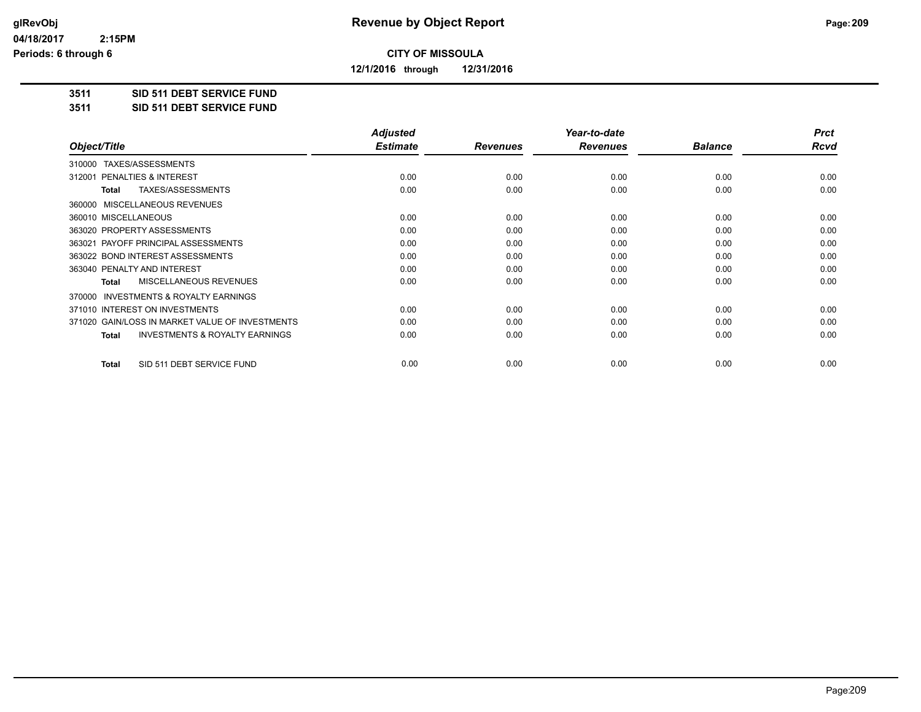**12/1/2016 through 12/31/2016**

**3511 SID 511 DEBT SERVICE FUND**

**3511 SID 511 DEBT SERVICE FUND**

|                                                           | <b>Adjusted</b> |                 | Year-to-date    |                | <b>Prct</b> |
|-----------------------------------------------------------|-----------------|-----------------|-----------------|----------------|-------------|
| Object/Title                                              | <b>Estimate</b> | <b>Revenues</b> | <b>Revenues</b> | <b>Balance</b> | Rcvd        |
| 310000 TAXES/ASSESSMENTS                                  |                 |                 |                 |                |             |
| 312001 PENALTIES & INTEREST                               | 0.00            | 0.00            | 0.00            | 0.00           | 0.00        |
| TAXES/ASSESSMENTS<br>Total                                | 0.00            | 0.00            | 0.00            | 0.00           | 0.00        |
| 360000 MISCELLANEOUS REVENUES                             |                 |                 |                 |                |             |
| 360010 MISCELLANEOUS                                      | 0.00            | 0.00            | 0.00            | 0.00           | 0.00        |
| 363020 PROPERTY ASSESSMENTS                               | 0.00            | 0.00            | 0.00            | 0.00           | 0.00        |
| 363021 PAYOFF PRINCIPAL ASSESSMENTS                       | 0.00            | 0.00            | 0.00            | 0.00           | 0.00        |
| 363022 BOND INTEREST ASSESSMENTS                          | 0.00            | 0.00            | 0.00            | 0.00           | 0.00        |
| 363040 PENALTY AND INTEREST                               | 0.00            | 0.00            | 0.00            | 0.00           | 0.00        |
| MISCELLANEOUS REVENUES<br><b>Total</b>                    | 0.00            | 0.00            | 0.00            | 0.00           | 0.00        |
| INVESTMENTS & ROYALTY EARNINGS<br>370000                  |                 |                 |                 |                |             |
| 371010 INTEREST ON INVESTMENTS                            | 0.00            | 0.00            | 0.00            | 0.00           | 0.00        |
| 371020 GAIN/LOSS IN MARKET VALUE OF INVESTMENTS           | 0.00            | 0.00            | 0.00            | 0.00           | 0.00        |
| <b>INVESTMENTS &amp; ROYALTY EARNINGS</b><br><b>Total</b> | 0.00            | 0.00            | 0.00            | 0.00           | 0.00        |
| SID 511 DEBT SERVICE FUND<br>Total                        | 0.00            | 0.00            | 0.00            | 0.00           | 0.00        |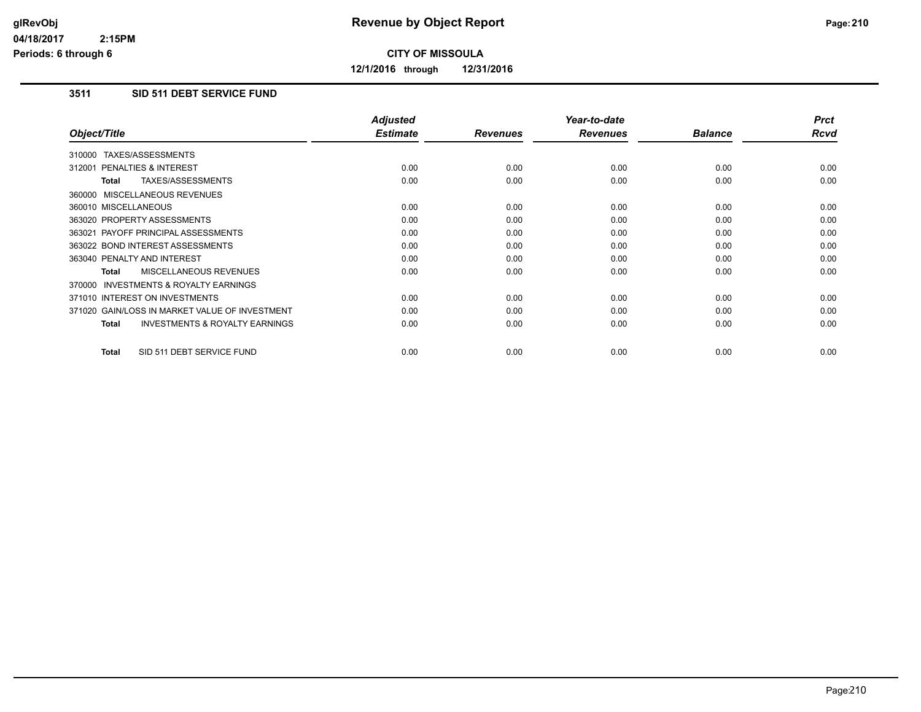**12/1/2016 through 12/31/2016**

### **3511 SID 511 DEBT SERVICE FUND**

|                                                     | <b>Adjusted</b> |                 | Year-to-date    |                | <b>Prct</b> |
|-----------------------------------------------------|-----------------|-----------------|-----------------|----------------|-------------|
| Object/Title                                        | <b>Estimate</b> | <b>Revenues</b> | <b>Revenues</b> | <b>Balance</b> | Rcvd        |
| 310000 TAXES/ASSESSMENTS                            |                 |                 |                 |                |             |
| 312001 PENALTIES & INTEREST                         | 0.00            | 0.00            | 0.00            | 0.00           | 0.00        |
| TAXES/ASSESSMENTS<br>Total                          | 0.00            | 0.00            | 0.00            | 0.00           | 0.00        |
| 360000 MISCELLANEOUS REVENUES                       |                 |                 |                 |                |             |
| 360010 MISCELLANEOUS                                | 0.00            | 0.00            | 0.00            | 0.00           | 0.00        |
| 363020 PROPERTY ASSESSMENTS                         | 0.00            | 0.00            | 0.00            | 0.00           | 0.00        |
| 363021 PAYOFF PRINCIPAL ASSESSMENTS                 | 0.00            | 0.00            | 0.00            | 0.00           | 0.00        |
| 363022 BOND INTEREST ASSESSMENTS                    | 0.00            | 0.00            | 0.00            | 0.00           | 0.00        |
| 363040 PENALTY AND INTEREST                         | 0.00            | 0.00            | 0.00            | 0.00           | 0.00        |
| <b>MISCELLANEOUS REVENUES</b><br>Total              | 0.00            | 0.00            | 0.00            | 0.00           | 0.00        |
| <b>INVESTMENTS &amp; ROYALTY EARNINGS</b><br>370000 |                 |                 |                 |                |             |
| 371010 INTEREST ON INVESTMENTS                      | 0.00            | 0.00            | 0.00            | 0.00           | 0.00        |
| 371020 GAIN/LOSS IN MARKET VALUE OF INVESTMENT      | 0.00            | 0.00            | 0.00            | 0.00           | 0.00        |
| <b>INVESTMENTS &amp; ROYALTY EARNINGS</b><br>Total  | 0.00            | 0.00            | 0.00            | 0.00           | 0.00        |
| SID 511 DEBT SERVICE FUND<br>Total                  | 0.00            | 0.00            | 0.00            | 0.00           | 0.00        |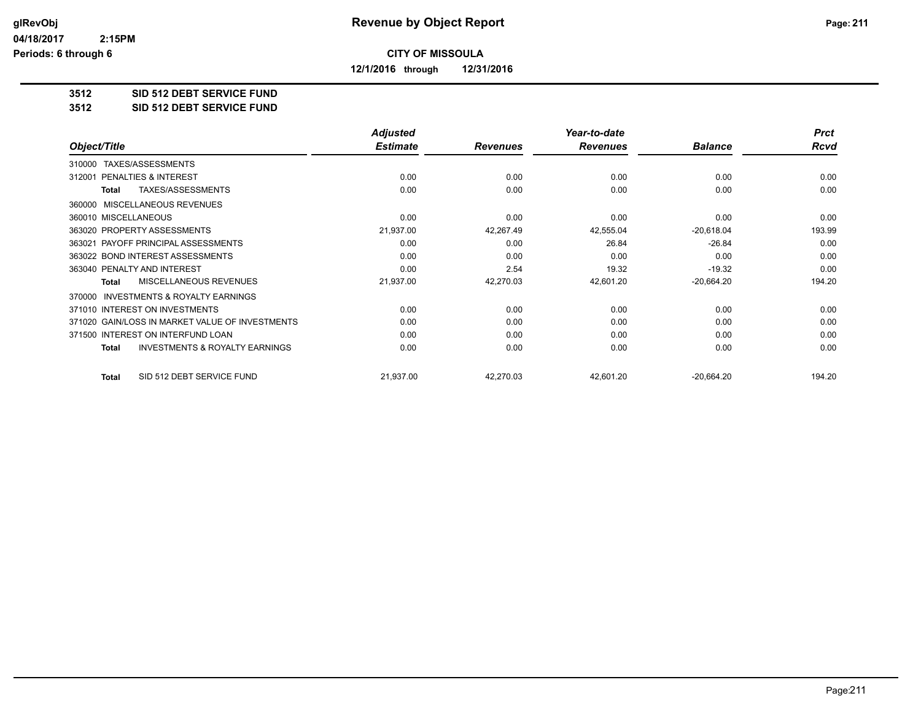**12/1/2016 through 12/31/2016**

**3512 SID 512 DEBT SERVICE FUND**

**3512 SID 512 DEBT SERVICE FUND**

|                                                     | <b>Adjusted</b> |                 | Year-to-date    |                | <b>Prct</b> |
|-----------------------------------------------------|-----------------|-----------------|-----------------|----------------|-------------|
| Object/Title                                        | <b>Estimate</b> | <b>Revenues</b> | <b>Revenues</b> | <b>Balance</b> | Rcvd        |
| 310000 TAXES/ASSESSMENTS                            |                 |                 |                 |                |             |
| PENALTIES & INTEREST<br>312001                      | 0.00            | 0.00            | 0.00            | 0.00           | 0.00        |
| TAXES/ASSESSMENTS<br>Total                          | 0.00            | 0.00            | 0.00            | 0.00           | 0.00        |
| 360000 MISCELLANEOUS REVENUES                       |                 |                 |                 |                |             |
| 360010 MISCELLANEOUS                                | 0.00            | 0.00            | 0.00            | 0.00           | 0.00        |
| 363020 PROPERTY ASSESSMENTS                         | 21,937.00       | 42,267.49       | 42,555.04       | $-20,618.04$   | 193.99      |
| 363021 PAYOFF PRINCIPAL ASSESSMENTS                 | 0.00            | 0.00            | 26.84           | $-26.84$       | 0.00        |
| 363022 BOND INTEREST ASSESSMENTS                    | 0.00            | 0.00            | 0.00            | 0.00           | 0.00        |
| 363040 PENALTY AND INTEREST                         | 0.00            | 2.54            | 19.32           | $-19.32$       | 0.00        |
| MISCELLANEOUS REVENUES<br>Total                     | 21,937.00       | 42,270.03       | 42,601.20       | $-20,664.20$   | 194.20      |
| <b>INVESTMENTS &amp; ROYALTY EARNINGS</b><br>370000 |                 |                 |                 |                |             |
| 371010 INTEREST ON INVESTMENTS                      | 0.00            | 0.00            | 0.00            | 0.00           | 0.00        |
| 371020 GAIN/LOSS IN MARKET VALUE OF INVESTMENTS     | 0.00            | 0.00            | 0.00            | 0.00           | 0.00        |
| 371500 INTEREST ON INTERFUND LOAN                   | 0.00            | 0.00            | 0.00            | 0.00           | 0.00        |
| <b>INVESTMENTS &amp; ROYALTY EARNINGS</b><br>Total  | 0.00            | 0.00            | 0.00            | 0.00           | 0.00        |
| SID 512 DEBT SERVICE FUND<br><b>Total</b>           | 21,937.00       | 42,270.03       | 42,601.20       | $-20,664.20$   | 194.20      |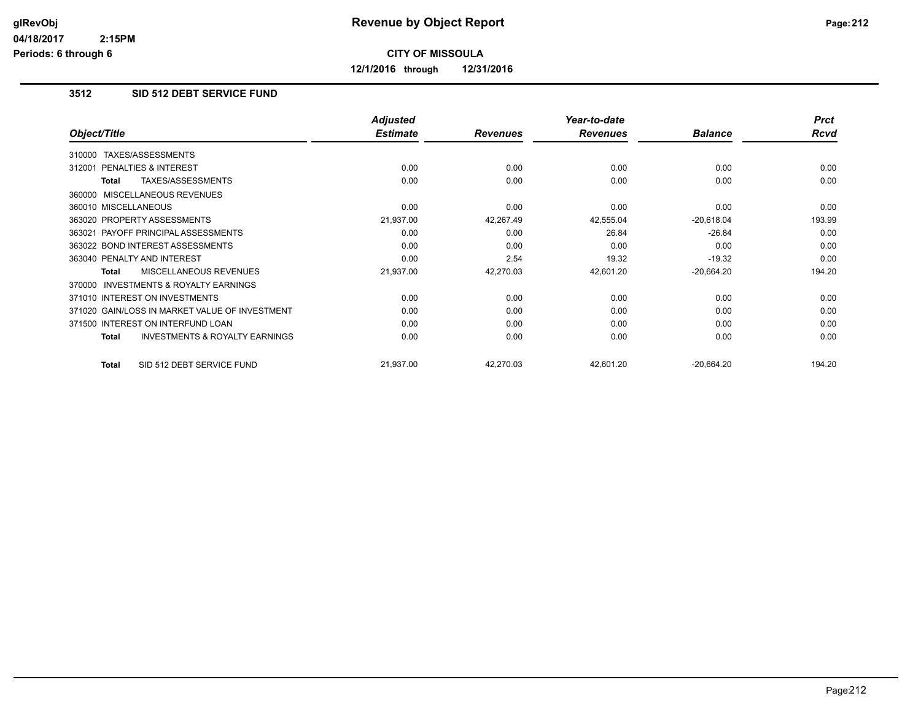**12/1/2016 through 12/31/2016**

### **3512 SID 512 DEBT SERVICE FUND**

|                                                           | <b>Adjusted</b> |                 | Year-to-date    |                | <b>Prct</b> |
|-----------------------------------------------------------|-----------------|-----------------|-----------------|----------------|-------------|
| Object/Title                                              | <b>Estimate</b> | <b>Revenues</b> | <b>Revenues</b> | <b>Balance</b> | <b>Rcvd</b> |
| TAXES/ASSESSMENTS<br>310000                               |                 |                 |                 |                |             |
| <b>PENALTIES &amp; INTEREST</b><br>312001                 | 0.00            | 0.00            | 0.00            | 0.00           | 0.00        |
| TAXES/ASSESSMENTS<br>Total                                | 0.00            | 0.00            | 0.00            | 0.00           | 0.00        |
| 360000 MISCELLANEOUS REVENUES                             |                 |                 |                 |                |             |
| 360010 MISCELLANEOUS                                      | 0.00            | 0.00            | 0.00            | 0.00           | 0.00        |
| 363020 PROPERTY ASSESSMENTS                               | 21,937.00       | 42,267.49       | 42,555.04       | $-20,618.04$   | 193.99      |
| 363021 PAYOFF PRINCIPAL ASSESSMENTS                       | 0.00            | 0.00            | 26.84           | $-26.84$       | 0.00        |
| 363022 BOND INTEREST ASSESSMENTS                          | 0.00            | 0.00            | 0.00            | 0.00           | 0.00        |
| 363040 PENALTY AND INTEREST                               | 0.00            | 2.54            | 19.32           | $-19.32$       | 0.00        |
| MISCELLANEOUS REVENUES<br>Total                           | 21,937.00       | 42,270.03       | 42,601.20       | $-20,664.20$   | 194.20      |
| 370000 INVESTMENTS & ROYALTY EARNINGS                     |                 |                 |                 |                |             |
| 371010 INTEREST ON INVESTMENTS                            | 0.00            | 0.00            | 0.00            | 0.00           | 0.00        |
| 371020 GAIN/LOSS IN MARKET VALUE OF INVESTMENT            | 0.00            | 0.00            | 0.00            | 0.00           | 0.00        |
| 371500 INTEREST ON INTERFUND LOAN                         | 0.00            | 0.00            | 0.00            | 0.00           | 0.00        |
| <b>INVESTMENTS &amp; ROYALTY EARNINGS</b><br><b>Total</b> | 0.00            | 0.00            | 0.00            | 0.00           | 0.00        |
| SID 512 DEBT SERVICE FUND<br><b>Total</b>                 | 21,937.00       | 42,270.03       | 42,601.20       | $-20,664.20$   | 194.20      |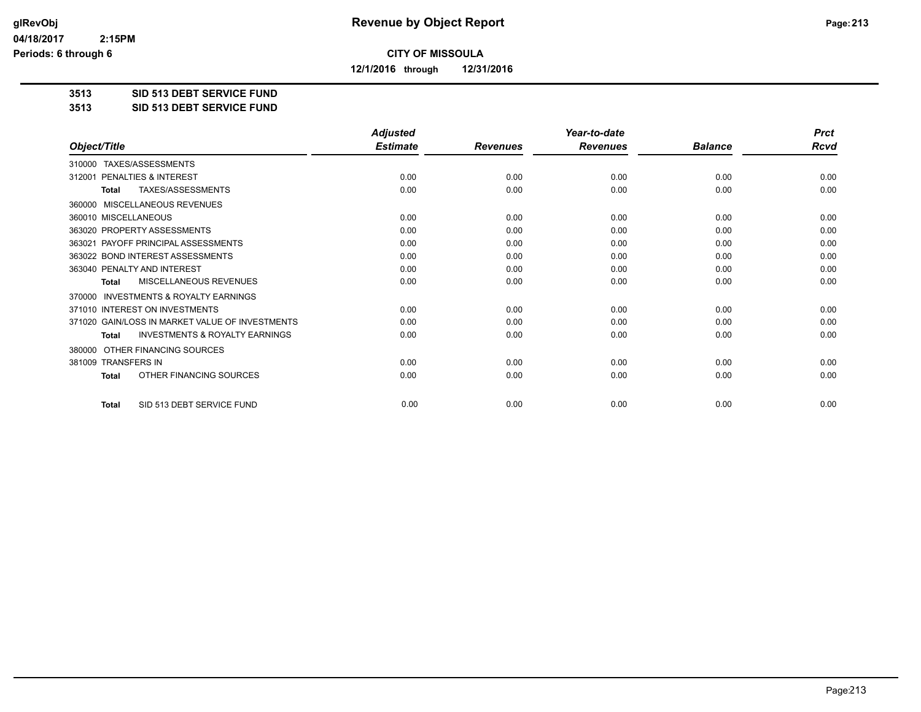**12/1/2016 through 12/31/2016**

**3513 SID 513 DEBT SERVICE FUND**

**3513 SID 513 DEBT SERVICE FUND**

|                                                     | <b>Adjusted</b> |                 | Year-to-date    |                | <b>Prct</b> |
|-----------------------------------------------------|-----------------|-----------------|-----------------|----------------|-------------|
| Object/Title                                        | <b>Estimate</b> | <b>Revenues</b> | <b>Revenues</b> | <b>Balance</b> | Rcvd        |
| 310000 TAXES/ASSESSMENTS                            |                 |                 |                 |                |             |
| 312001 PENALTIES & INTEREST                         | 0.00            | 0.00            | 0.00            | 0.00           | 0.00        |
| TAXES/ASSESSMENTS<br><b>Total</b>                   | 0.00            | 0.00            | 0.00            | 0.00           | 0.00        |
| 360000 MISCELLANEOUS REVENUES                       |                 |                 |                 |                |             |
| 360010 MISCELLANEOUS                                | 0.00            | 0.00            | 0.00            | 0.00           | 0.00        |
| 363020 PROPERTY ASSESSMENTS                         | 0.00            | 0.00            | 0.00            | 0.00           | 0.00        |
| 363021 PAYOFF PRINCIPAL ASSESSMENTS                 | 0.00            | 0.00            | 0.00            | 0.00           | 0.00        |
| 363022 BOND INTEREST ASSESSMENTS                    | 0.00            | 0.00            | 0.00            | 0.00           | 0.00        |
| 363040 PENALTY AND INTEREST                         | 0.00            | 0.00            | 0.00            | 0.00           | 0.00        |
| MISCELLANEOUS REVENUES<br>Total                     | 0.00            | 0.00            | 0.00            | 0.00           | 0.00        |
| <b>INVESTMENTS &amp; ROYALTY EARNINGS</b><br>370000 |                 |                 |                 |                |             |
| 371010 INTEREST ON INVESTMENTS                      | 0.00            | 0.00            | 0.00            | 0.00           | 0.00        |
| 371020 GAIN/LOSS IN MARKET VALUE OF INVESTMENTS     | 0.00            | 0.00            | 0.00            | 0.00           | 0.00        |
| <b>INVESTMENTS &amp; ROYALTY EARNINGS</b><br>Total  | 0.00            | 0.00            | 0.00            | 0.00           | 0.00        |
| OTHER FINANCING SOURCES<br>380000                   |                 |                 |                 |                |             |
| 381009 TRANSFERS IN                                 | 0.00            | 0.00            | 0.00            | 0.00           | 0.00        |
| OTHER FINANCING SOURCES<br><b>Total</b>             | 0.00            | 0.00            | 0.00            | 0.00           | 0.00        |
| SID 513 DEBT SERVICE FUND<br><b>Total</b>           | 0.00            | 0.00            | 0.00            | 0.00           | 0.00        |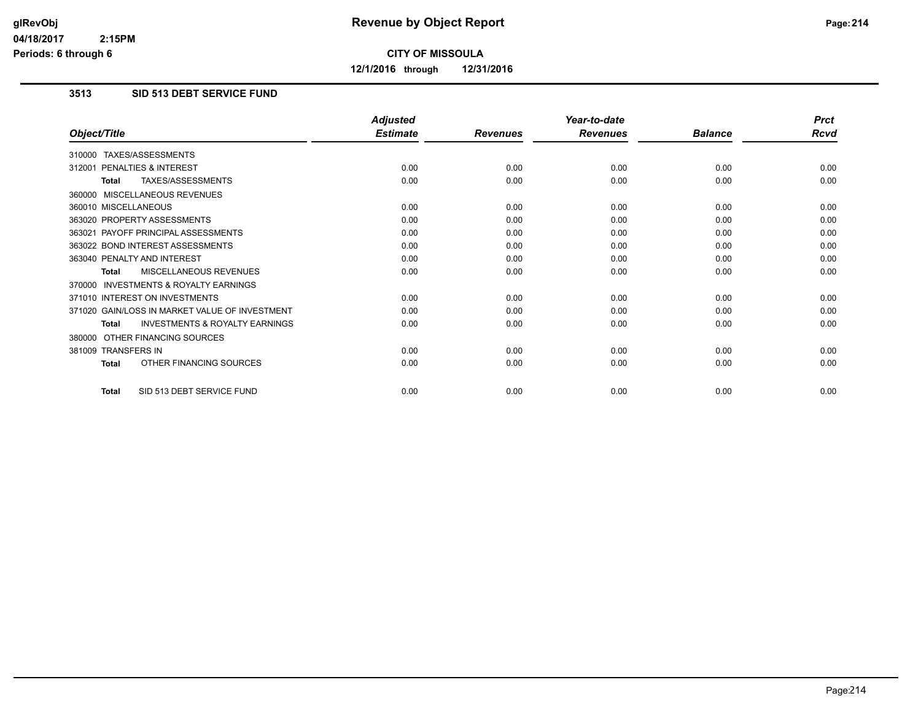**12/1/2016 through 12/31/2016**

### **3513 SID 513 DEBT SERVICE FUND**

|                                                           | <b>Adjusted</b> |                 | Year-to-date    |                | <b>Prct</b> |
|-----------------------------------------------------------|-----------------|-----------------|-----------------|----------------|-------------|
| Object/Title                                              | <b>Estimate</b> | <b>Revenues</b> | <b>Revenues</b> | <b>Balance</b> | <b>Rcvd</b> |
| 310000 TAXES/ASSESSMENTS                                  |                 |                 |                 |                |             |
| PENALTIES & INTEREST<br>312001                            | 0.00            | 0.00            | 0.00            | 0.00           | 0.00        |
| TAXES/ASSESSMENTS<br><b>Total</b>                         | 0.00            | 0.00            | 0.00            | 0.00           | 0.00        |
| 360000 MISCELLANEOUS REVENUES                             |                 |                 |                 |                |             |
| 360010 MISCELLANEOUS                                      | 0.00            | 0.00            | 0.00            | 0.00           | 0.00        |
| 363020 PROPERTY ASSESSMENTS                               | 0.00            | 0.00            | 0.00            | 0.00           | 0.00        |
| 363021 PAYOFF PRINCIPAL ASSESSMENTS                       | 0.00            | 0.00            | 0.00            | 0.00           | 0.00        |
| 363022 BOND INTEREST ASSESSMENTS                          | 0.00            | 0.00            | 0.00            | 0.00           | 0.00        |
| 363040 PENALTY AND INTEREST                               | 0.00            | 0.00            | 0.00            | 0.00           | 0.00        |
| MISCELLANEOUS REVENUES<br><b>Total</b>                    | 0.00            | 0.00            | 0.00            | 0.00           | 0.00        |
| 370000 INVESTMENTS & ROYALTY EARNINGS                     |                 |                 |                 |                |             |
| 371010 INTEREST ON INVESTMENTS                            | 0.00            | 0.00            | 0.00            | 0.00           | 0.00        |
| 371020 GAIN/LOSS IN MARKET VALUE OF INVESTMENT            | 0.00            | 0.00            | 0.00            | 0.00           | 0.00        |
| <b>INVESTMENTS &amp; ROYALTY EARNINGS</b><br><b>Total</b> | 0.00            | 0.00            | 0.00            | 0.00           | 0.00        |
| 380000 OTHER FINANCING SOURCES                            |                 |                 |                 |                |             |
| 381009 TRANSFERS IN                                       | 0.00            | 0.00            | 0.00            | 0.00           | 0.00        |
| OTHER FINANCING SOURCES<br>Total                          | 0.00            | 0.00            | 0.00            | 0.00           | 0.00        |
| SID 513 DEBT SERVICE FUND<br><b>Total</b>                 | 0.00            | 0.00            | 0.00            | 0.00           | 0.00        |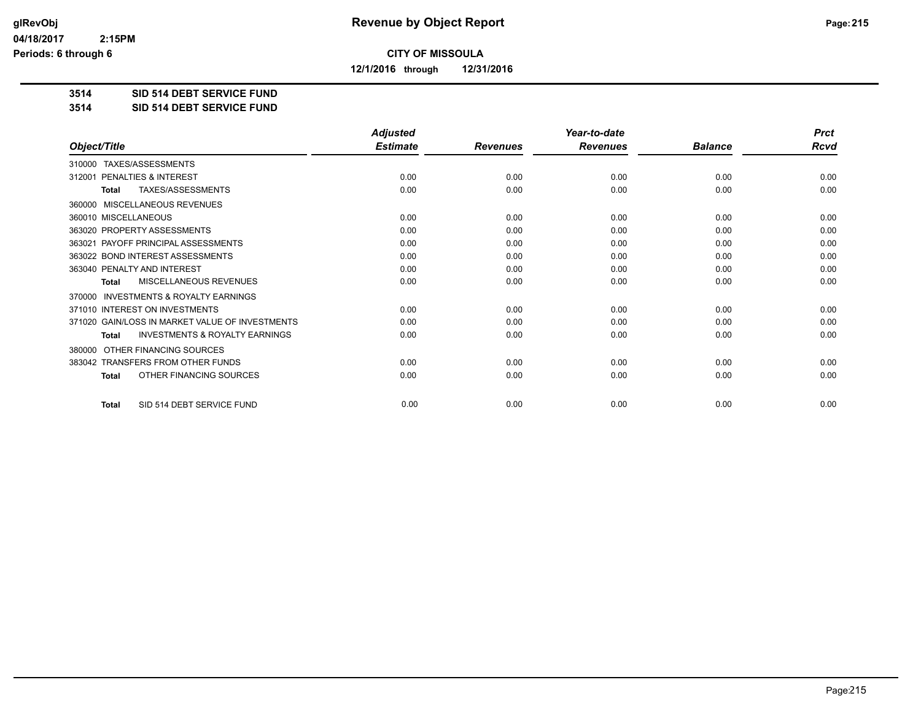**12/1/2016 through 12/31/2016**

**3514 SID 514 DEBT SERVICE FUND**

**3514 SID 514 DEBT SERVICE FUND**

|                                                           | <b>Adjusted</b> |                 | Year-to-date    |                | <b>Prct</b> |
|-----------------------------------------------------------|-----------------|-----------------|-----------------|----------------|-------------|
| Object/Title                                              | <b>Estimate</b> | <b>Revenues</b> | <b>Revenues</b> | <b>Balance</b> | Rcvd        |
| 310000 TAXES/ASSESSMENTS                                  |                 |                 |                 |                |             |
| PENALTIES & INTEREST<br>312001                            | 0.00            | 0.00            | 0.00            | 0.00           | 0.00        |
| TAXES/ASSESSMENTS<br><b>Total</b>                         | 0.00            | 0.00            | 0.00            | 0.00           | 0.00        |
| 360000 MISCELLANEOUS REVENUES                             |                 |                 |                 |                |             |
| 360010 MISCELLANEOUS                                      | 0.00            | 0.00            | 0.00            | 0.00           | 0.00        |
| 363020 PROPERTY ASSESSMENTS                               | 0.00            | 0.00            | 0.00            | 0.00           | 0.00        |
| 363021 PAYOFF PRINCIPAL ASSESSMENTS                       | 0.00            | 0.00            | 0.00            | 0.00           | 0.00        |
| 363022 BOND INTEREST ASSESSMENTS                          | 0.00            | 0.00            | 0.00            | 0.00           | 0.00        |
| 363040 PENALTY AND INTEREST                               | 0.00            | 0.00            | 0.00            | 0.00           | 0.00        |
| MISCELLANEOUS REVENUES<br>Total                           | 0.00            | 0.00            | 0.00            | 0.00           | 0.00        |
| <b>INVESTMENTS &amp; ROYALTY EARNINGS</b><br>370000       |                 |                 |                 |                |             |
| 371010 INTEREST ON INVESTMENTS                            | 0.00            | 0.00            | 0.00            | 0.00           | 0.00        |
| 371020 GAIN/LOSS IN MARKET VALUE OF INVESTMENTS           | 0.00            | 0.00            | 0.00            | 0.00           | 0.00        |
| <b>INVESTMENTS &amp; ROYALTY EARNINGS</b><br><b>Total</b> | 0.00            | 0.00            | 0.00            | 0.00           | 0.00        |
| 380000 OTHER FINANCING SOURCES                            |                 |                 |                 |                |             |
| 383042 TRANSFERS FROM OTHER FUNDS                         | 0.00            | 0.00            | 0.00            | 0.00           | 0.00        |
| OTHER FINANCING SOURCES<br><b>Total</b>                   | 0.00            | 0.00            | 0.00            | 0.00           | 0.00        |
| SID 514 DEBT SERVICE FUND<br><b>Total</b>                 | 0.00            | 0.00            | 0.00            | 0.00           | 0.00        |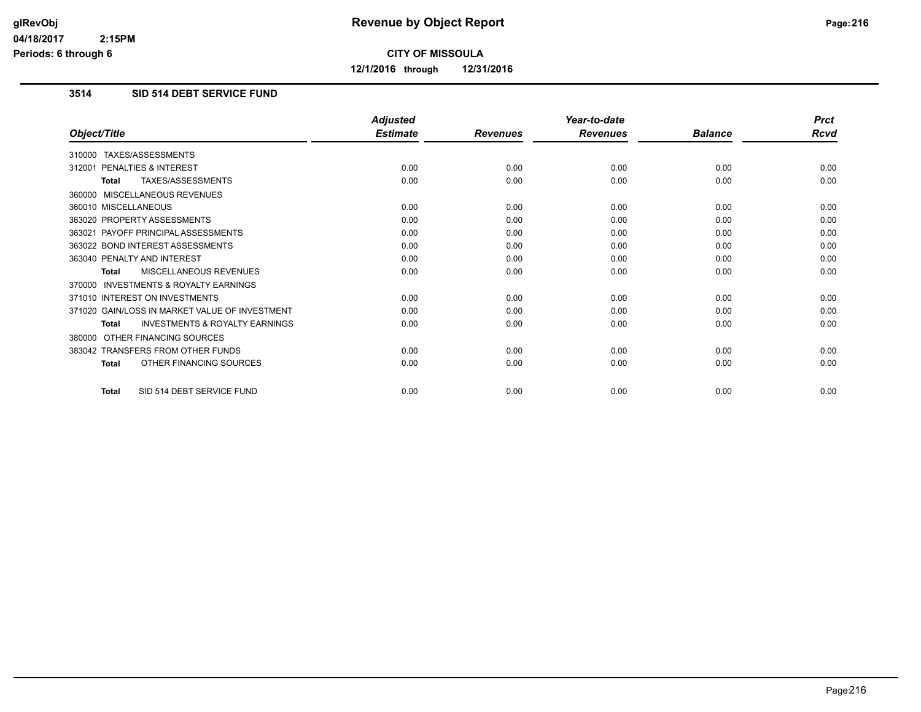**12/1/2016 through 12/31/2016**

### **3514 SID 514 DEBT SERVICE FUND**

|                                                           | <b>Adjusted</b> |                 | Year-to-date    |                | <b>Prct</b> |
|-----------------------------------------------------------|-----------------|-----------------|-----------------|----------------|-------------|
| Object/Title                                              | <b>Estimate</b> | <b>Revenues</b> | <b>Revenues</b> | <b>Balance</b> | Rcvd        |
| 310000 TAXES/ASSESSMENTS                                  |                 |                 |                 |                |             |
| 312001 PENALTIES & INTEREST                               | 0.00            | 0.00            | 0.00            | 0.00           | 0.00        |
| TAXES/ASSESSMENTS<br><b>Total</b>                         | 0.00            | 0.00            | 0.00            | 0.00           | 0.00        |
| 360000 MISCELLANEOUS REVENUES                             |                 |                 |                 |                |             |
| 360010 MISCELLANEOUS                                      | 0.00            | 0.00            | 0.00            | 0.00           | 0.00        |
| 363020 PROPERTY ASSESSMENTS                               | 0.00            | 0.00            | 0.00            | 0.00           | 0.00        |
| 363021 PAYOFF PRINCIPAL ASSESSMENTS                       | 0.00            | 0.00            | 0.00            | 0.00           | 0.00        |
| 363022 BOND INTEREST ASSESSMENTS                          | 0.00            | 0.00            | 0.00            | 0.00           | 0.00        |
| 363040 PENALTY AND INTEREST                               | 0.00            | 0.00            | 0.00            | 0.00           | 0.00        |
| MISCELLANEOUS REVENUES<br><b>Total</b>                    | 0.00            | 0.00            | 0.00            | 0.00           | 0.00        |
| <b>INVESTMENTS &amp; ROYALTY EARNINGS</b><br>370000       |                 |                 |                 |                |             |
| 371010 INTEREST ON INVESTMENTS                            | 0.00            | 0.00            | 0.00            | 0.00           | 0.00        |
| 371020 GAIN/LOSS IN MARKET VALUE OF INVESTMENT            | 0.00            | 0.00            | 0.00            | 0.00           | 0.00        |
| <b>INVESTMENTS &amp; ROYALTY EARNINGS</b><br><b>Total</b> | 0.00            | 0.00            | 0.00            | 0.00           | 0.00        |
| OTHER FINANCING SOURCES<br>380000                         |                 |                 |                 |                |             |
| 383042 TRANSFERS FROM OTHER FUNDS                         | 0.00            | 0.00            | 0.00            | 0.00           | 0.00        |
| OTHER FINANCING SOURCES<br><b>Total</b>                   | 0.00            | 0.00            | 0.00            | 0.00           | 0.00        |
| SID 514 DEBT SERVICE FUND<br><b>Total</b>                 | 0.00            | 0.00            | 0.00            | 0.00           | 0.00        |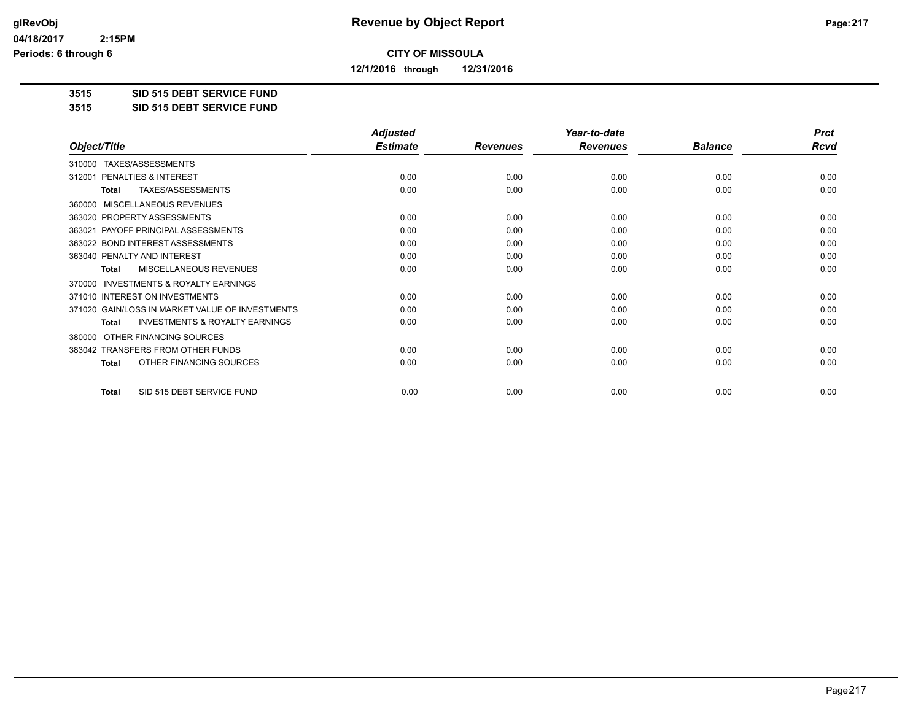**12/1/2016 through 12/31/2016**

**3515 SID 515 DEBT SERVICE FUND**

**3515 SID 515 DEBT SERVICE FUND**

|                                                           | <b>Adjusted</b> |                 | Year-to-date    |                | <b>Prct</b> |
|-----------------------------------------------------------|-----------------|-----------------|-----------------|----------------|-------------|
| Object/Title                                              | <b>Estimate</b> | <b>Revenues</b> | <b>Revenues</b> | <b>Balance</b> | Rcvd        |
| TAXES/ASSESSMENTS<br>310000                               |                 |                 |                 |                |             |
| 312001 PENALTIES & INTEREST                               | 0.00            | 0.00            | 0.00            | 0.00           | 0.00        |
| TAXES/ASSESSMENTS<br>Total                                | 0.00            | 0.00            | 0.00            | 0.00           | 0.00        |
| 360000 MISCELLANEOUS REVENUES                             |                 |                 |                 |                |             |
| 363020 PROPERTY ASSESSMENTS                               | 0.00            | 0.00            | 0.00            | 0.00           | 0.00        |
| PAYOFF PRINCIPAL ASSESSMENTS<br>363021                    | 0.00            | 0.00            | 0.00            | 0.00           | 0.00        |
| 363022 BOND INTEREST ASSESSMENTS                          | 0.00            | 0.00            | 0.00            | 0.00           | 0.00        |
| 363040 PENALTY AND INTEREST                               | 0.00            | 0.00            | 0.00            | 0.00           | 0.00        |
| MISCELLANEOUS REVENUES<br>Total                           | 0.00            | 0.00            | 0.00            | 0.00           | 0.00        |
| <b>INVESTMENTS &amp; ROYALTY EARNINGS</b><br>370000       |                 |                 |                 |                |             |
| 371010 INTEREST ON INVESTMENTS                            | 0.00            | 0.00            | 0.00            | 0.00           | 0.00        |
| 371020 GAIN/LOSS IN MARKET VALUE OF INVESTMENTS           | 0.00            | 0.00            | 0.00            | 0.00           | 0.00        |
| <b>INVESTMENTS &amp; ROYALTY EARNINGS</b><br><b>Total</b> | 0.00            | 0.00            | 0.00            | 0.00           | 0.00        |
| OTHER FINANCING SOURCES<br>380000                         |                 |                 |                 |                |             |
| 383042 TRANSFERS FROM OTHER FUNDS                         | 0.00            | 0.00            | 0.00            | 0.00           | 0.00        |
| OTHER FINANCING SOURCES<br>Total                          | 0.00            | 0.00            | 0.00            | 0.00           | 0.00        |
| SID 515 DEBT SERVICE FUND<br><b>Total</b>                 | 0.00            | 0.00            | 0.00            | 0.00           | 0.00        |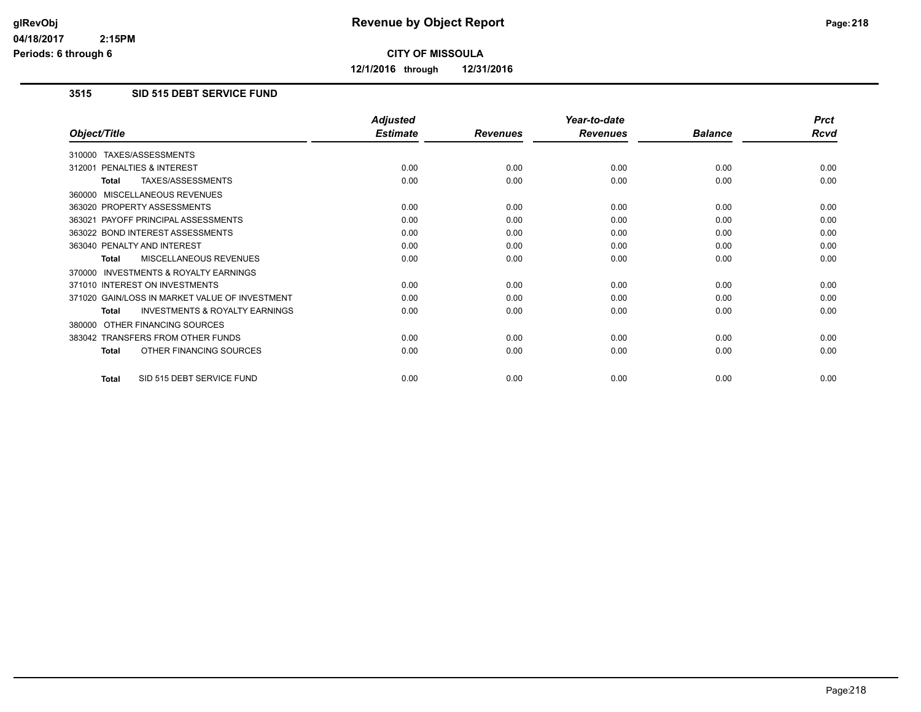**12/1/2016 through 12/31/2016**

#### **3515 SID 515 DEBT SERVICE FUND**

|                                                     | <b>Adjusted</b> |                 | Year-to-date    |                | <b>Prct</b> |
|-----------------------------------------------------|-----------------|-----------------|-----------------|----------------|-------------|
| Object/Title                                        | <b>Estimate</b> | <b>Revenues</b> | <b>Revenues</b> | <b>Balance</b> | <b>Rcvd</b> |
| TAXES/ASSESSMENTS<br>310000                         |                 |                 |                 |                |             |
| 312001 PENALTIES & INTEREST                         | 0.00            | 0.00            | 0.00            | 0.00           | 0.00        |
| TAXES/ASSESSMENTS<br>Total                          | 0.00            | 0.00            | 0.00            | 0.00           | 0.00        |
| <b>MISCELLANEOUS REVENUES</b><br>360000             |                 |                 |                 |                |             |
| 363020 PROPERTY ASSESSMENTS                         | 0.00            | 0.00            | 0.00            | 0.00           | 0.00        |
| 363021 PAYOFF PRINCIPAL ASSESSMENTS                 | 0.00            | 0.00            | 0.00            | 0.00           | 0.00        |
| 363022 BOND INTEREST ASSESSMENTS                    | 0.00            | 0.00            | 0.00            | 0.00           | 0.00        |
| 363040 PENALTY AND INTEREST                         | 0.00            | 0.00            | 0.00            | 0.00           | 0.00        |
| <b>MISCELLANEOUS REVENUES</b><br>Total              | 0.00            | 0.00            | 0.00            | 0.00           | 0.00        |
| <b>INVESTMENTS &amp; ROYALTY EARNINGS</b><br>370000 |                 |                 |                 |                |             |
| 371010 INTEREST ON INVESTMENTS                      | 0.00            | 0.00            | 0.00            | 0.00           | 0.00        |
| 371020 GAIN/LOSS IN MARKET VALUE OF INVESTMENT      | 0.00            | 0.00            | 0.00            | 0.00           | 0.00        |
| <b>INVESTMENTS &amp; ROYALTY EARNINGS</b><br>Total  | 0.00            | 0.00            | 0.00            | 0.00           | 0.00        |
| OTHER FINANCING SOURCES<br>380000                   |                 |                 |                 |                |             |
| 383042 TRANSFERS FROM OTHER FUNDS                   | 0.00            | 0.00            | 0.00            | 0.00           | 0.00        |
| OTHER FINANCING SOURCES<br>Total                    | 0.00            | 0.00            | 0.00            | 0.00           | 0.00        |
| SID 515 DEBT SERVICE FUND<br><b>Total</b>           | 0.00            | 0.00            | 0.00            | 0.00           | 0.00        |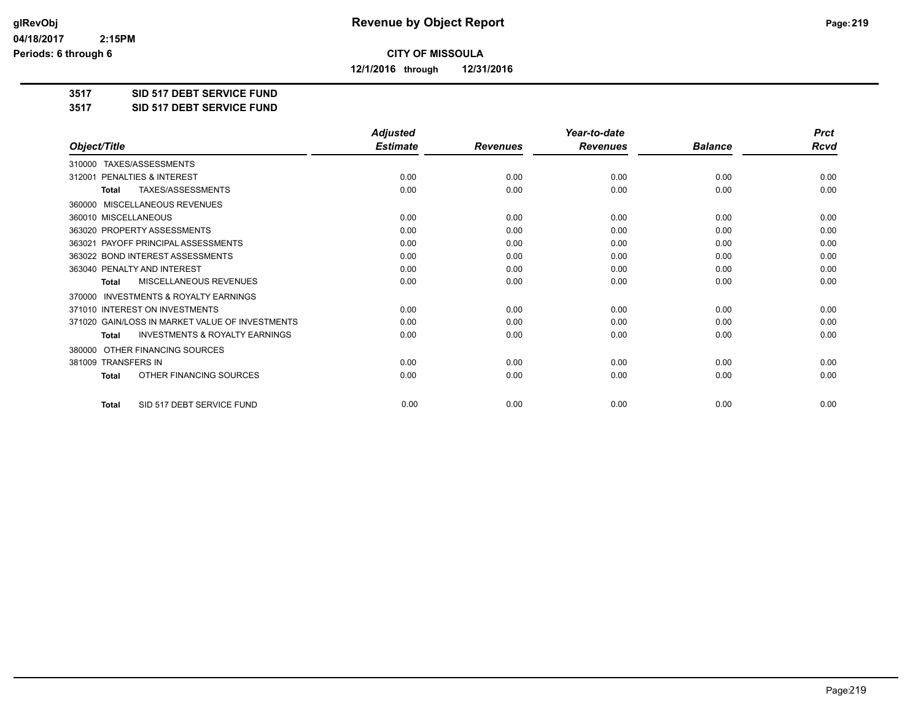**12/1/2016 through 12/31/2016**

**3517 SID 517 DEBT SERVICE FUND**

**3517 SID 517 DEBT SERVICE FUND**

|                                                     | <b>Adjusted</b> |                 | Year-to-date    |                | <b>Prct</b> |
|-----------------------------------------------------|-----------------|-----------------|-----------------|----------------|-------------|
| Object/Title                                        | <b>Estimate</b> | <b>Revenues</b> | <b>Revenues</b> | <b>Balance</b> | Rcvd        |
| TAXES/ASSESSMENTS<br>310000                         |                 |                 |                 |                |             |
| 312001 PENALTIES & INTEREST                         | 0.00            | 0.00            | 0.00            | 0.00           | 0.00        |
| TAXES/ASSESSMENTS<br><b>Total</b>                   | 0.00            | 0.00            | 0.00            | 0.00           | 0.00        |
| 360000 MISCELLANEOUS REVENUES                       |                 |                 |                 |                |             |
| 360010 MISCELLANEOUS                                | 0.00            | 0.00            | 0.00            | 0.00           | 0.00        |
| 363020 PROPERTY ASSESSMENTS                         | 0.00            | 0.00            | 0.00            | 0.00           | 0.00        |
| 363021 PAYOFF PRINCIPAL ASSESSMENTS                 | 0.00            | 0.00            | 0.00            | 0.00           | 0.00        |
| 363022 BOND INTEREST ASSESSMENTS                    | 0.00            | 0.00            | 0.00            | 0.00           | 0.00        |
| 363040 PENALTY AND INTEREST                         | 0.00            | 0.00            | 0.00            | 0.00           | 0.00        |
| MISCELLANEOUS REVENUES<br>Total                     | 0.00            | 0.00            | 0.00            | 0.00           | 0.00        |
| <b>INVESTMENTS &amp; ROYALTY EARNINGS</b><br>370000 |                 |                 |                 |                |             |
| 371010 INTEREST ON INVESTMENTS                      | 0.00            | 0.00            | 0.00            | 0.00           | 0.00        |
| 371020 GAIN/LOSS IN MARKET VALUE OF INVESTMENTS     | 0.00            | 0.00            | 0.00            | 0.00           | 0.00        |
| <b>INVESTMENTS &amp; ROYALTY EARNINGS</b><br>Total  | 0.00            | 0.00            | 0.00            | 0.00           | 0.00        |
| OTHER FINANCING SOURCES<br>380000                   |                 |                 |                 |                |             |
| 381009 TRANSFERS IN                                 | 0.00            | 0.00            | 0.00            | 0.00           | 0.00        |
| OTHER FINANCING SOURCES<br><b>Total</b>             | 0.00            | 0.00            | 0.00            | 0.00           | 0.00        |
| SID 517 DEBT SERVICE FUND<br><b>Total</b>           | 0.00            | 0.00            | 0.00            | 0.00           | 0.00        |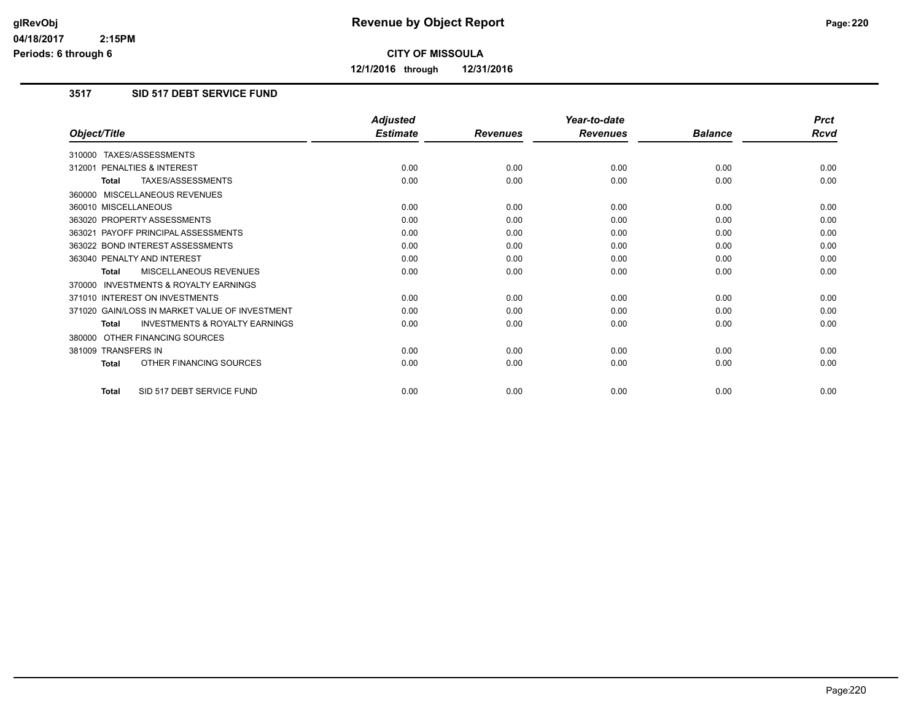**12/1/2016 through 12/31/2016**

#### **3517 SID 517 DEBT SERVICE FUND**

|                                                           | <b>Adjusted</b> |                 | Year-to-date    |                | <b>Prct</b> |
|-----------------------------------------------------------|-----------------|-----------------|-----------------|----------------|-------------|
| Object/Title                                              | <b>Estimate</b> | <b>Revenues</b> | <b>Revenues</b> | <b>Balance</b> | Rcvd        |
| 310000 TAXES/ASSESSMENTS                                  |                 |                 |                 |                |             |
| PENALTIES & INTEREST<br>312001                            | 0.00            | 0.00            | 0.00            | 0.00           | 0.00        |
| TAXES/ASSESSMENTS<br><b>Total</b>                         | 0.00            | 0.00            | 0.00            | 0.00           | 0.00        |
| 360000 MISCELLANEOUS REVENUES                             |                 |                 |                 |                |             |
| 360010 MISCELLANEOUS                                      | 0.00            | 0.00            | 0.00            | 0.00           | 0.00        |
| 363020 PROPERTY ASSESSMENTS                               | 0.00            | 0.00            | 0.00            | 0.00           | 0.00        |
| 363021 PAYOFF PRINCIPAL ASSESSMENTS                       | 0.00            | 0.00            | 0.00            | 0.00           | 0.00        |
| 363022 BOND INTEREST ASSESSMENTS                          | 0.00            | 0.00            | 0.00            | 0.00           | 0.00        |
| 363040 PENALTY AND INTEREST                               | 0.00            | 0.00            | 0.00            | 0.00           | 0.00        |
| MISCELLANEOUS REVENUES<br><b>Total</b>                    | 0.00            | 0.00            | 0.00            | 0.00           | 0.00        |
| 370000 INVESTMENTS & ROYALTY EARNINGS                     |                 |                 |                 |                |             |
| 371010 INTEREST ON INVESTMENTS                            | 0.00            | 0.00            | 0.00            | 0.00           | 0.00        |
| 371020 GAIN/LOSS IN MARKET VALUE OF INVESTMENT            | 0.00            | 0.00            | 0.00            | 0.00           | 0.00        |
| <b>INVESTMENTS &amp; ROYALTY EARNINGS</b><br><b>Total</b> | 0.00            | 0.00            | 0.00            | 0.00           | 0.00        |
| 380000 OTHER FINANCING SOURCES                            |                 |                 |                 |                |             |
| 381009 TRANSFERS IN                                       | 0.00            | 0.00            | 0.00            | 0.00           | 0.00        |
| OTHER FINANCING SOURCES<br><b>Total</b>                   | 0.00            | 0.00            | 0.00            | 0.00           | 0.00        |
| SID 517 DEBT SERVICE FUND<br><b>Total</b>                 | 0.00            | 0.00            | 0.00            | 0.00           | 0.00        |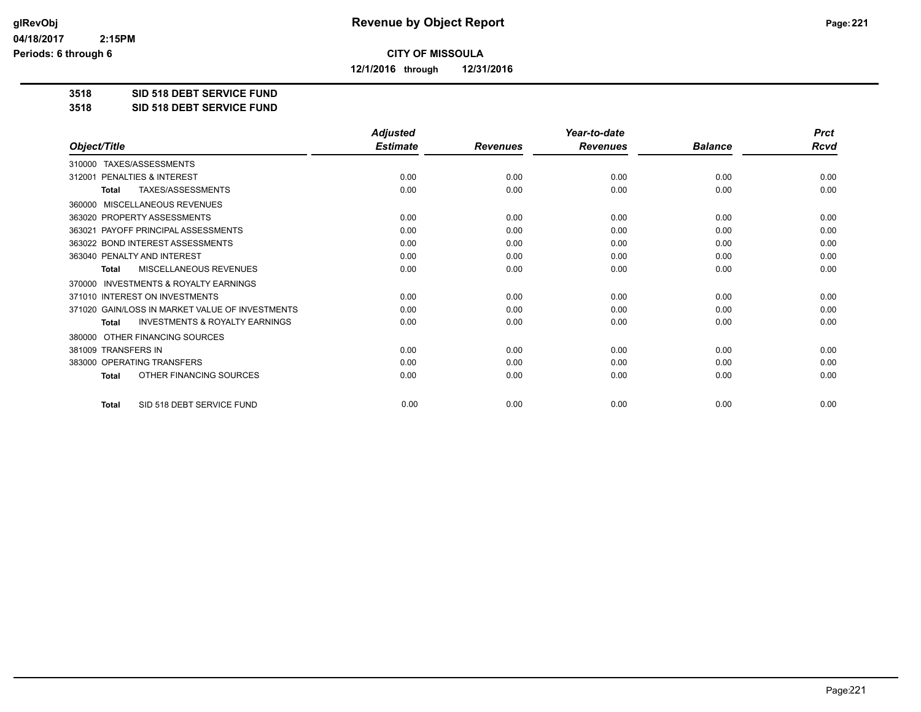**12/1/2016 through 12/31/2016**

**3518 SID 518 DEBT SERVICE FUND**

**3518 SID 518 DEBT SERVICE FUND**

|                                                     | <b>Adjusted</b> |                 | Year-to-date    |                | <b>Prct</b> |
|-----------------------------------------------------|-----------------|-----------------|-----------------|----------------|-------------|
| Object/Title                                        | <b>Estimate</b> | <b>Revenues</b> | <b>Revenues</b> | <b>Balance</b> | Rcvd        |
| 310000 TAXES/ASSESSMENTS                            |                 |                 |                 |                |             |
| PENALTIES & INTEREST<br>312001                      | 0.00            | 0.00            | 0.00            | 0.00           | 0.00        |
| TAXES/ASSESSMENTS<br><b>Total</b>                   | 0.00            | 0.00            | 0.00            | 0.00           | 0.00        |
| MISCELLANEOUS REVENUES<br>360000                    |                 |                 |                 |                |             |
| 363020 PROPERTY ASSESSMENTS                         | 0.00            | 0.00            | 0.00            | 0.00           | 0.00        |
| 363021 PAYOFF PRINCIPAL ASSESSMENTS                 | 0.00            | 0.00            | 0.00            | 0.00           | 0.00        |
| 363022 BOND INTEREST ASSESSMENTS                    | 0.00            | 0.00            | 0.00            | 0.00           | 0.00        |
| 363040 PENALTY AND INTEREST                         | 0.00            | 0.00            | 0.00            | 0.00           | 0.00        |
| MISCELLANEOUS REVENUES<br>Total                     | 0.00            | 0.00            | 0.00            | 0.00           | 0.00        |
| <b>INVESTMENTS &amp; ROYALTY EARNINGS</b><br>370000 |                 |                 |                 |                |             |
| 371010 INTEREST ON INVESTMENTS                      | 0.00            | 0.00            | 0.00            | 0.00           | 0.00        |
| 371020 GAIN/LOSS IN MARKET VALUE OF INVESTMENTS     | 0.00            | 0.00            | 0.00            | 0.00           | 0.00        |
| <b>INVESTMENTS &amp; ROYALTY EARNINGS</b><br>Total  | 0.00            | 0.00            | 0.00            | 0.00           | 0.00        |
| OTHER FINANCING SOURCES<br>380000                   |                 |                 |                 |                |             |
| 381009 TRANSFERS IN                                 | 0.00            | 0.00            | 0.00            | 0.00           | 0.00        |
| 383000 OPERATING TRANSFERS                          | 0.00            | 0.00            | 0.00            | 0.00           | 0.00        |
| OTHER FINANCING SOURCES<br><b>Total</b>             | 0.00            | 0.00            | 0.00            | 0.00           | 0.00        |
| SID 518 DEBT SERVICE FUND<br><b>Total</b>           | 0.00            | 0.00            | 0.00            | 0.00           | 0.00        |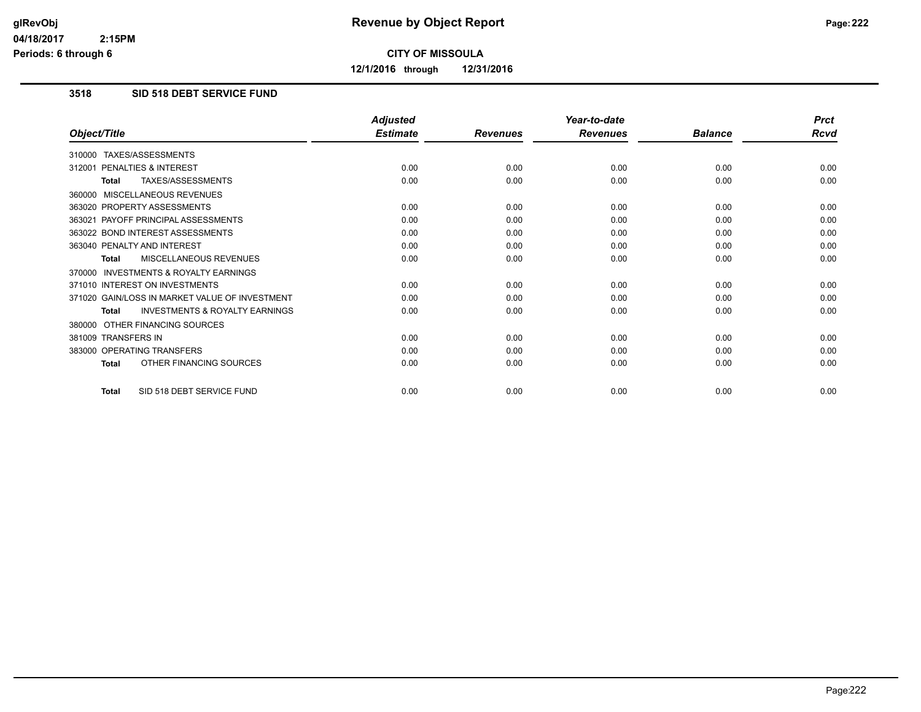**12/1/2016 through 12/31/2016**

#### **3518 SID 518 DEBT SERVICE FUND**

|                                                           | <b>Adjusted</b> |                 | Year-to-date    |                | <b>Prct</b> |
|-----------------------------------------------------------|-----------------|-----------------|-----------------|----------------|-------------|
| Object/Title                                              | <b>Estimate</b> | <b>Revenues</b> | <b>Revenues</b> | <b>Balance</b> | Rcvd        |
| 310000 TAXES/ASSESSMENTS                                  |                 |                 |                 |                |             |
| 312001 PENALTIES & INTEREST                               | 0.00            | 0.00            | 0.00            | 0.00           | 0.00        |
| TAXES/ASSESSMENTS<br><b>Total</b>                         | 0.00            | 0.00            | 0.00            | 0.00           | 0.00        |
| 360000 MISCELLANEOUS REVENUES                             |                 |                 |                 |                |             |
| 363020 PROPERTY ASSESSMENTS                               | 0.00            | 0.00            | 0.00            | 0.00           | 0.00        |
| 363021 PAYOFF PRINCIPAL ASSESSMENTS                       | 0.00            | 0.00            | 0.00            | 0.00           | 0.00        |
| 363022 BOND INTEREST ASSESSMENTS                          | 0.00            | 0.00            | 0.00            | 0.00           | 0.00        |
| 363040 PENALTY AND INTEREST                               | 0.00            | 0.00            | 0.00            | 0.00           | 0.00        |
| <b>MISCELLANEOUS REVENUES</b><br>Total                    | 0.00            | 0.00            | 0.00            | 0.00           | 0.00        |
| <b>INVESTMENTS &amp; ROYALTY EARNINGS</b><br>370000       |                 |                 |                 |                |             |
| 371010 INTEREST ON INVESTMENTS                            | 0.00            | 0.00            | 0.00            | 0.00           | 0.00        |
| 371020 GAIN/LOSS IN MARKET VALUE OF INVESTMENT            | 0.00            | 0.00            | 0.00            | 0.00           | 0.00        |
| <b>INVESTMENTS &amp; ROYALTY EARNINGS</b><br><b>Total</b> | 0.00            | 0.00            | 0.00            | 0.00           | 0.00        |
| 380000 OTHER FINANCING SOURCES                            |                 |                 |                 |                |             |
| 381009 TRANSFERS IN                                       | 0.00            | 0.00            | 0.00            | 0.00           | 0.00        |
| 383000 OPERATING TRANSFERS                                | 0.00            | 0.00            | 0.00            | 0.00           | 0.00        |
| OTHER FINANCING SOURCES<br>Total                          | 0.00            | 0.00            | 0.00            | 0.00           | 0.00        |
| SID 518 DEBT SERVICE FUND<br><b>Total</b>                 | 0.00            | 0.00            | 0.00            | 0.00           | 0.00        |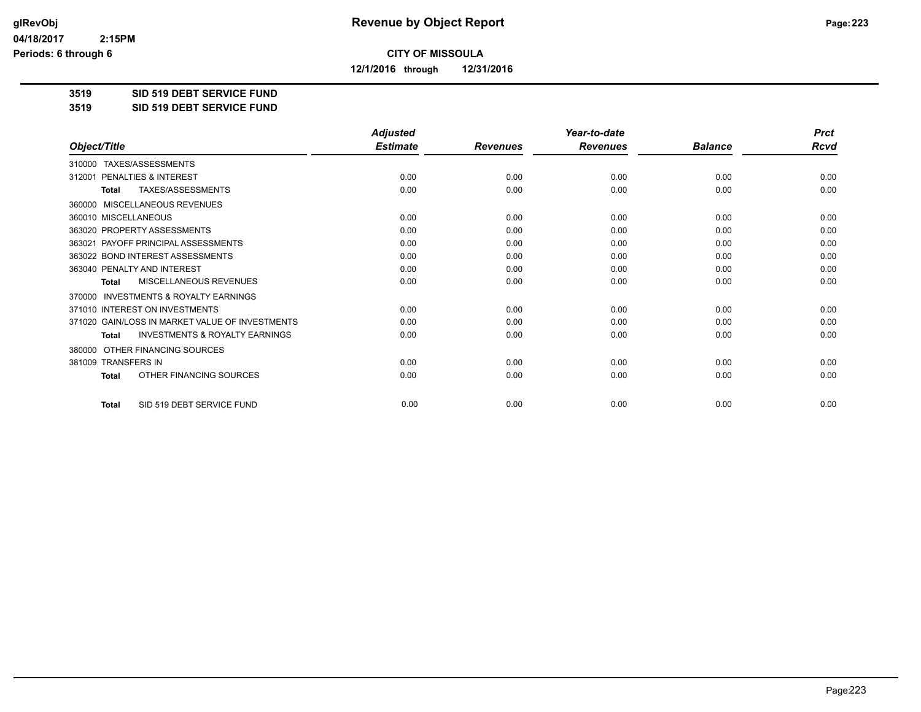**12/1/2016 through 12/31/2016**

**3519 SID 519 DEBT SERVICE FUND**

**3519 SID 519 DEBT SERVICE FUND**

|                                                     | <b>Adjusted</b> |                 | Year-to-date    |                |             |  |
|-----------------------------------------------------|-----------------|-----------------|-----------------|----------------|-------------|--|
| Object/Title                                        | <b>Estimate</b> | <b>Revenues</b> | <b>Revenues</b> | <b>Balance</b> | <b>Rcvd</b> |  |
| TAXES/ASSESSMENTS<br>310000                         |                 |                 |                 |                |             |  |
| 312001 PENALTIES & INTEREST                         | 0.00            | 0.00            | 0.00            | 0.00           | 0.00        |  |
| TAXES/ASSESSMENTS<br><b>Total</b>                   | 0.00            | 0.00            | 0.00            | 0.00           | 0.00        |  |
| 360000 MISCELLANEOUS REVENUES                       |                 |                 |                 |                |             |  |
| 360010 MISCELLANEOUS                                | 0.00            | 0.00            | 0.00            | 0.00           | 0.00        |  |
| 363020 PROPERTY ASSESSMENTS                         | 0.00            | 0.00            | 0.00            | 0.00           | 0.00        |  |
| 363021 PAYOFF PRINCIPAL ASSESSMENTS                 | 0.00            | 0.00            | 0.00            | 0.00           | 0.00        |  |
| 363022 BOND INTEREST ASSESSMENTS                    | 0.00            | 0.00            | 0.00            | 0.00           | 0.00        |  |
| 363040 PENALTY AND INTEREST                         | 0.00            | 0.00            | 0.00            | 0.00           | 0.00        |  |
| MISCELLANEOUS REVENUES<br>Total                     | 0.00            | 0.00            | 0.00            | 0.00           | 0.00        |  |
| <b>INVESTMENTS &amp; ROYALTY EARNINGS</b><br>370000 |                 |                 |                 |                |             |  |
| 371010 INTEREST ON INVESTMENTS                      | 0.00            | 0.00            | 0.00            | 0.00           | 0.00        |  |
| 371020 GAIN/LOSS IN MARKET VALUE OF INVESTMENTS     | 0.00            | 0.00            | 0.00            | 0.00           | 0.00        |  |
| <b>INVESTMENTS &amp; ROYALTY EARNINGS</b><br>Total  | 0.00            | 0.00            | 0.00            | 0.00           | 0.00        |  |
| OTHER FINANCING SOURCES<br>380000                   |                 |                 |                 |                |             |  |
| 381009 TRANSFERS IN                                 | 0.00            | 0.00            | 0.00            | 0.00           | 0.00        |  |
| OTHER FINANCING SOURCES<br><b>Total</b>             | 0.00            | 0.00            | 0.00            | 0.00           | 0.00        |  |
| SID 519 DEBT SERVICE FUND<br><b>Total</b>           | 0.00            | 0.00            | 0.00            | 0.00           | 0.00        |  |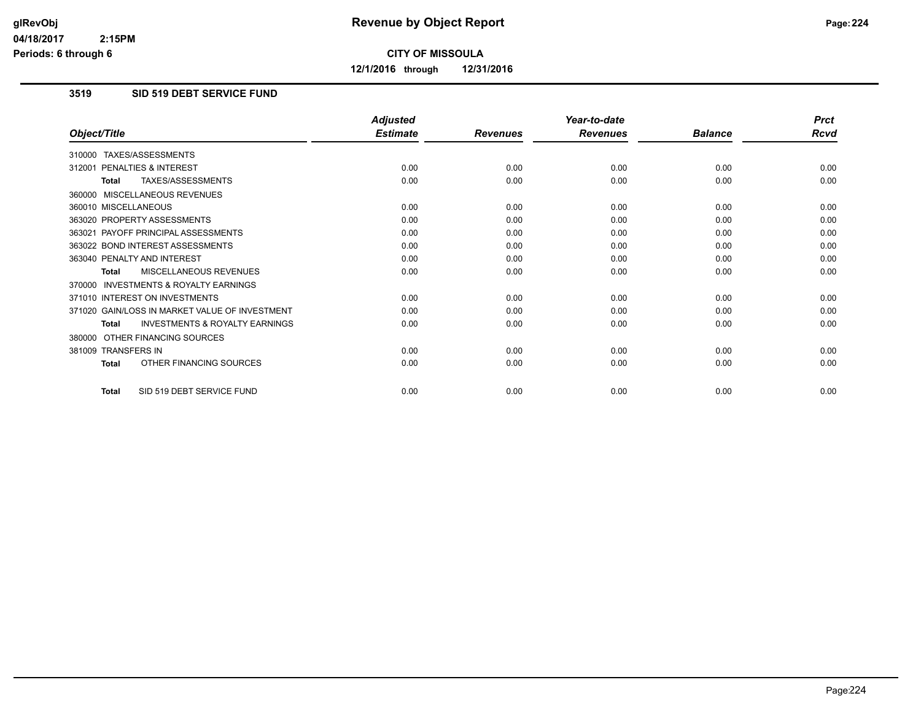**12/1/2016 through 12/31/2016**

#### **3519 SID 519 DEBT SERVICE FUND**

|                                                           | <b>Adjusted</b> |                 | Year-to-date    |                | <b>Prct</b> |
|-----------------------------------------------------------|-----------------|-----------------|-----------------|----------------|-------------|
| Object/Title                                              | <b>Estimate</b> | <b>Revenues</b> | <b>Revenues</b> | <b>Balance</b> | Rcvd        |
| 310000 TAXES/ASSESSMENTS                                  |                 |                 |                 |                |             |
| 312001 PENALTIES & INTEREST                               | 0.00            | 0.00            | 0.00            | 0.00           | 0.00        |
| TAXES/ASSESSMENTS<br><b>Total</b>                         | 0.00            | 0.00            | 0.00            | 0.00           | 0.00        |
| 360000 MISCELLANEOUS REVENUES                             |                 |                 |                 |                |             |
| 360010 MISCELLANEOUS                                      | 0.00            | 0.00            | 0.00            | 0.00           | 0.00        |
| 363020 PROPERTY ASSESSMENTS                               | 0.00            | 0.00            | 0.00            | 0.00           | 0.00        |
| 363021 PAYOFF PRINCIPAL ASSESSMENTS                       | 0.00            | 0.00            | 0.00            | 0.00           | 0.00        |
| 363022 BOND INTEREST ASSESSMENTS                          | 0.00            | 0.00            | 0.00            | 0.00           | 0.00        |
| 363040 PENALTY AND INTEREST                               | 0.00            | 0.00            | 0.00            | 0.00           | 0.00        |
| MISCELLANEOUS REVENUES<br><b>Total</b>                    | 0.00            | 0.00            | 0.00            | 0.00           | 0.00        |
| <b>INVESTMENTS &amp; ROYALTY EARNINGS</b><br>370000       |                 |                 |                 |                |             |
| 371010 INTEREST ON INVESTMENTS                            | 0.00            | 0.00            | 0.00            | 0.00           | 0.00        |
| 371020 GAIN/LOSS IN MARKET VALUE OF INVESTMENT            | 0.00            | 0.00            | 0.00            | 0.00           | 0.00        |
| <b>INVESTMENTS &amp; ROYALTY EARNINGS</b><br><b>Total</b> | 0.00            | 0.00            | 0.00            | 0.00           | 0.00        |
| OTHER FINANCING SOURCES<br>380000                         |                 |                 |                 |                |             |
| 381009 TRANSFERS IN                                       | 0.00            | 0.00            | 0.00            | 0.00           | 0.00        |
| OTHER FINANCING SOURCES<br><b>Total</b>                   | 0.00            | 0.00            | 0.00            | 0.00           | 0.00        |
| SID 519 DEBT SERVICE FUND<br><b>Total</b>                 | 0.00            | 0.00            | 0.00            | 0.00           | 0.00        |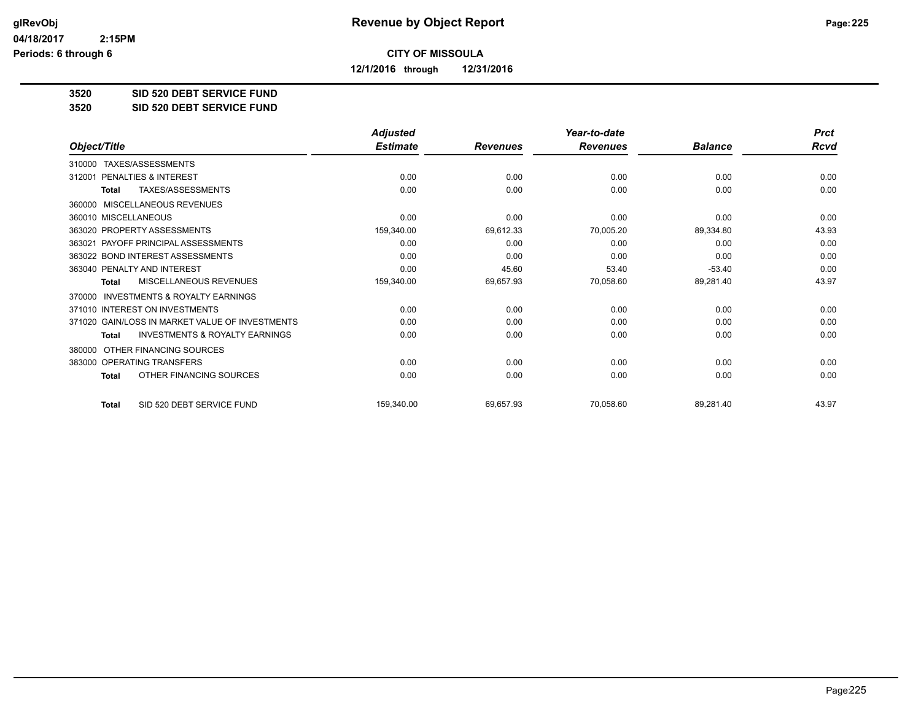**12/1/2016 through 12/31/2016**

**3520 SID 520 DEBT SERVICE FUND**

**3520 SID 520 DEBT SERVICE FUND**

|                                                           | <b>Adjusted</b> |                 | Year-to-date    |                | <b>Prct</b> |
|-----------------------------------------------------------|-----------------|-----------------|-----------------|----------------|-------------|
| Object/Title                                              | <b>Estimate</b> | <b>Revenues</b> | <b>Revenues</b> | <b>Balance</b> | <b>Rcvd</b> |
| 310000 TAXES/ASSESSMENTS                                  |                 |                 |                 |                |             |
| PENALTIES & INTEREST<br>312001                            | 0.00            | 0.00            | 0.00            | 0.00           | 0.00        |
| TAXES/ASSESSMENTS<br>Total                                | 0.00            | 0.00            | 0.00            | 0.00           | 0.00        |
| 360000 MISCELLANEOUS REVENUES                             |                 |                 |                 |                |             |
| 360010 MISCELLANEOUS                                      | 0.00            | 0.00            | 0.00            | 0.00           | 0.00        |
| 363020 PROPERTY ASSESSMENTS                               | 159,340.00      | 69,612.33       | 70,005.20       | 89,334.80      | 43.93       |
| PAYOFF PRINCIPAL ASSESSMENTS<br>363021                    | 0.00            | 0.00            | 0.00            | 0.00           | 0.00        |
| 363022 BOND INTEREST ASSESSMENTS                          | 0.00            | 0.00            | 0.00            | 0.00           | 0.00        |
| 363040 PENALTY AND INTEREST                               | 0.00            | 45.60           | 53.40           | $-53.40$       | 0.00        |
| MISCELLANEOUS REVENUES<br><b>Total</b>                    | 159,340.00      | 69,657.93       | 70,058.60       | 89,281.40      | 43.97       |
| INVESTMENTS & ROYALTY EARNINGS<br>370000                  |                 |                 |                 |                |             |
| 371010 INTEREST ON INVESTMENTS                            | 0.00            | 0.00            | 0.00            | 0.00           | 0.00        |
| 371020 GAIN/LOSS IN MARKET VALUE OF INVESTMENTS           | 0.00            | 0.00            | 0.00            | 0.00           | 0.00        |
| <b>INVESTMENTS &amp; ROYALTY EARNINGS</b><br><b>Total</b> | 0.00            | 0.00            | 0.00            | 0.00           | 0.00        |
| OTHER FINANCING SOURCES<br>380000                         |                 |                 |                 |                |             |
| 383000 OPERATING TRANSFERS                                | 0.00            | 0.00            | 0.00            | 0.00           | 0.00        |
| OTHER FINANCING SOURCES<br><b>Total</b>                   | 0.00            | 0.00            | 0.00            | 0.00           | 0.00        |
| SID 520 DEBT SERVICE FUND<br><b>Total</b>                 | 159,340.00      | 69,657.93       | 70,058.60       | 89,281.40      | 43.97       |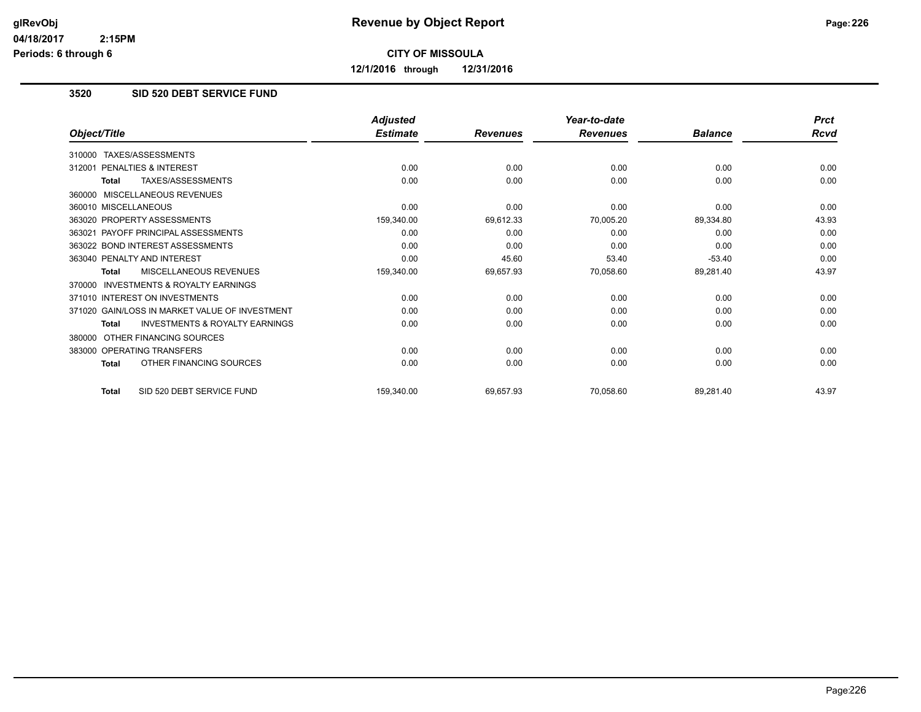**12/1/2016 through 12/31/2016**

#### **3520 SID 520 DEBT SERVICE FUND**

|                                                           | <b>Adjusted</b> |                 | Year-to-date    |                | <b>Prct</b> |
|-----------------------------------------------------------|-----------------|-----------------|-----------------|----------------|-------------|
| Object/Title                                              | <b>Estimate</b> | <b>Revenues</b> | <b>Revenues</b> | <b>Balance</b> | Rcvd        |
| 310000 TAXES/ASSESSMENTS                                  |                 |                 |                 |                |             |
| PENALTIES & INTEREST<br>312001                            | 0.00            | 0.00            | 0.00            | 0.00           | 0.00        |
| TAXES/ASSESSMENTS<br><b>Total</b>                         | 0.00            | 0.00            | 0.00            | 0.00           | 0.00        |
| 360000 MISCELLANEOUS REVENUES                             |                 |                 |                 |                |             |
| 360010 MISCELLANEOUS                                      | 0.00            | 0.00            | 0.00            | 0.00           | 0.00        |
| 363020 PROPERTY ASSESSMENTS                               | 159,340.00      | 69,612.33       | 70,005.20       | 89,334.80      | 43.93       |
| 363021 PAYOFF PRINCIPAL ASSESSMENTS                       | 0.00            | 0.00            | 0.00            | 0.00           | 0.00        |
| 363022 BOND INTEREST ASSESSMENTS                          | 0.00            | 0.00            | 0.00            | 0.00           | 0.00        |
| 363040 PENALTY AND INTEREST                               | 0.00            | 45.60           | 53.40           | $-53.40$       | 0.00        |
| MISCELLANEOUS REVENUES<br>Total                           | 159,340.00      | 69,657.93       | 70,058.60       | 89,281.40      | 43.97       |
| 370000 INVESTMENTS & ROYALTY EARNINGS                     |                 |                 |                 |                |             |
| 371010 INTEREST ON INVESTMENTS                            | 0.00            | 0.00            | 0.00            | 0.00           | 0.00        |
| 371020 GAIN/LOSS IN MARKET VALUE OF INVESTMENT            | 0.00            | 0.00            | 0.00            | 0.00           | 0.00        |
| <b>INVESTMENTS &amp; ROYALTY EARNINGS</b><br><b>Total</b> | 0.00            | 0.00            | 0.00            | 0.00           | 0.00        |
| 380000 OTHER FINANCING SOURCES                            |                 |                 |                 |                |             |
| 383000 OPERATING TRANSFERS                                | 0.00            | 0.00            | 0.00            | 0.00           | 0.00        |
| OTHER FINANCING SOURCES<br><b>Total</b>                   | 0.00            | 0.00            | 0.00            | 0.00           | 0.00        |
| SID 520 DEBT SERVICE FUND<br><b>Total</b>                 | 159,340.00      | 69,657.93       | 70,058.60       | 89,281.40      | 43.97       |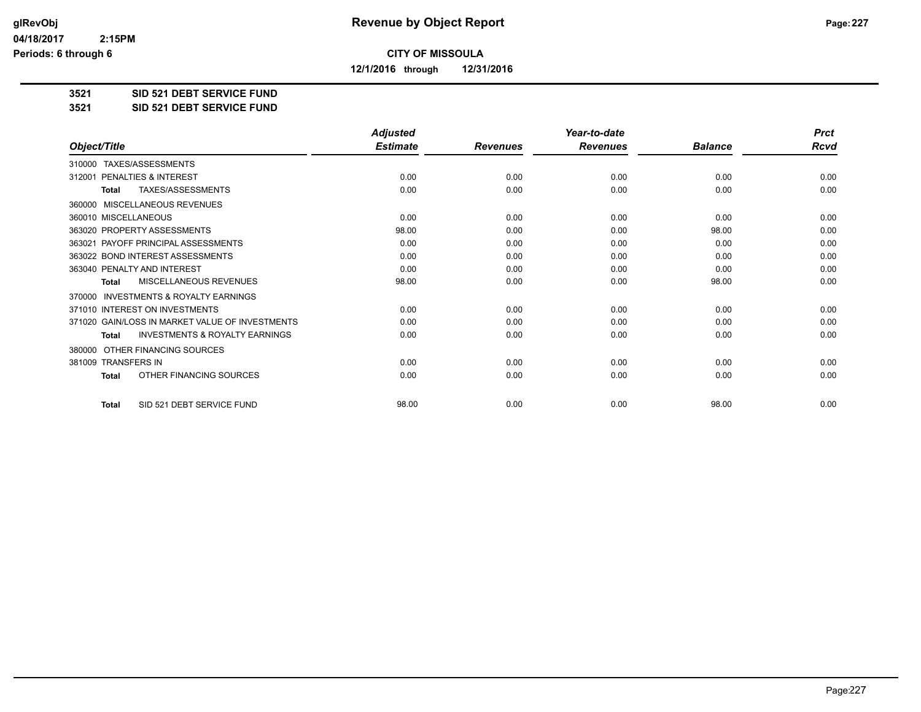**12/1/2016 through 12/31/2016**

**3521 SID 521 DEBT SERVICE FUND**

**3521 SID 521 DEBT SERVICE FUND**

|                                                     | <b>Adjusted</b> |                 | Year-to-date    |                | <b>Prct</b> |
|-----------------------------------------------------|-----------------|-----------------|-----------------|----------------|-------------|
| Object/Title                                        | <b>Estimate</b> | <b>Revenues</b> | <b>Revenues</b> | <b>Balance</b> | <b>Rcvd</b> |
| TAXES/ASSESSMENTS<br>310000                         |                 |                 |                 |                |             |
| 312001 PENALTIES & INTEREST                         | 0.00            | 0.00            | 0.00            | 0.00           | 0.00        |
| <b>TAXES/ASSESSMENTS</b><br><b>Total</b>            | 0.00            | 0.00            | 0.00            | 0.00           | 0.00        |
| 360000 MISCELLANEOUS REVENUES                       |                 |                 |                 |                |             |
| 360010 MISCELLANEOUS                                | 0.00            | 0.00            | 0.00            | 0.00           | 0.00        |
| 363020 PROPERTY ASSESSMENTS                         | 98.00           | 0.00            | 0.00            | 98.00          | 0.00        |
| 363021 PAYOFF PRINCIPAL ASSESSMENTS                 | 0.00            | 0.00            | 0.00            | 0.00           | 0.00        |
| 363022 BOND INTEREST ASSESSMENTS                    | 0.00            | 0.00            | 0.00            | 0.00           | 0.00        |
| 363040 PENALTY AND INTEREST                         | 0.00            | 0.00            | 0.00            | 0.00           | 0.00        |
| MISCELLANEOUS REVENUES<br>Total                     | 98.00           | 0.00            | 0.00            | 98.00          | 0.00        |
| <b>INVESTMENTS &amp; ROYALTY EARNINGS</b><br>370000 |                 |                 |                 |                |             |
| 371010 INTEREST ON INVESTMENTS                      | 0.00            | 0.00            | 0.00            | 0.00           | 0.00        |
| 371020 GAIN/LOSS IN MARKET VALUE OF INVESTMENTS     | 0.00            | 0.00            | 0.00            | 0.00           | 0.00        |
| <b>INVESTMENTS &amp; ROYALTY EARNINGS</b><br>Total  | 0.00            | 0.00            | 0.00            | 0.00           | 0.00        |
| OTHER FINANCING SOURCES<br>380000                   |                 |                 |                 |                |             |
| 381009 TRANSFERS IN                                 | 0.00            | 0.00            | 0.00            | 0.00           | 0.00        |
| OTHER FINANCING SOURCES<br>Total                    | 0.00            | 0.00            | 0.00            | 0.00           | 0.00        |
| SID 521 DEBT SERVICE FUND<br><b>Total</b>           | 98.00           | 0.00            | 0.00            | 98.00          | 0.00        |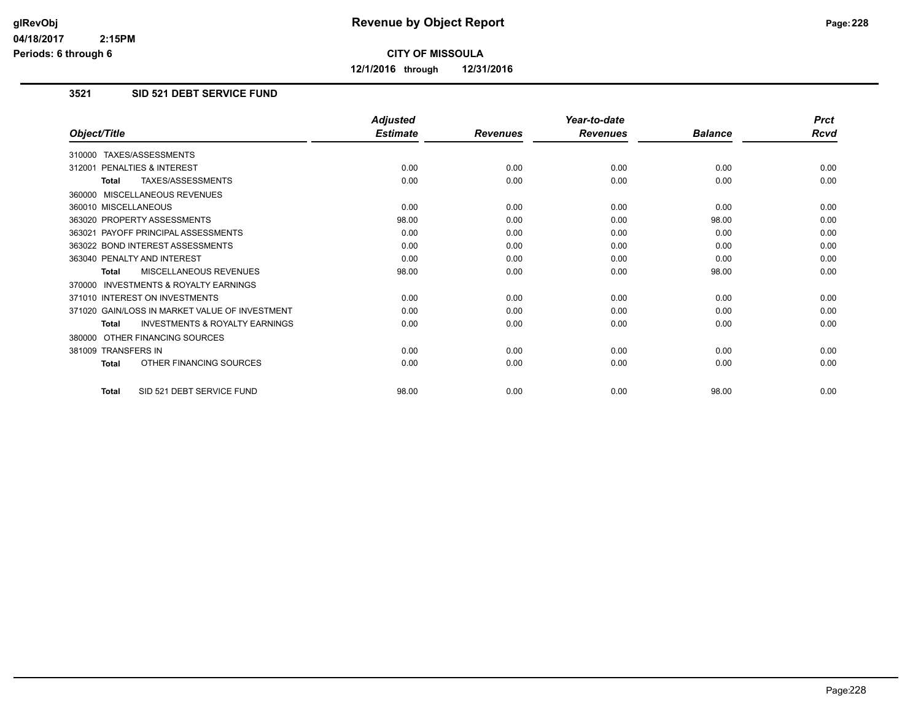**12/1/2016 through 12/31/2016**

#### **3521 SID 521 DEBT SERVICE FUND**

|                                                     | <b>Adjusted</b> |                 | Year-to-date    |                | <b>Prct</b> |
|-----------------------------------------------------|-----------------|-----------------|-----------------|----------------|-------------|
| Object/Title                                        | <b>Estimate</b> | <b>Revenues</b> | <b>Revenues</b> | <b>Balance</b> | Rcvd        |
| 310000 TAXES/ASSESSMENTS                            |                 |                 |                 |                |             |
| 312001 PENALTIES & INTEREST                         | 0.00            | 0.00            | 0.00            | 0.00           | 0.00        |
| TAXES/ASSESSMENTS<br><b>Total</b>                   | 0.00            | 0.00            | 0.00            | 0.00           | 0.00        |
| 360000 MISCELLANEOUS REVENUES                       |                 |                 |                 |                |             |
| 360010 MISCELLANEOUS                                | 0.00            | 0.00            | 0.00            | 0.00           | 0.00        |
| 363020 PROPERTY ASSESSMENTS                         | 98.00           | 0.00            | 0.00            | 98.00          | 0.00        |
| 363021 PAYOFF PRINCIPAL ASSESSMENTS                 | 0.00            | 0.00            | 0.00            | 0.00           | 0.00        |
| 363022 BOND INTEREST ASSESSMENTS                    | 0.00            | 0.00            | 0.00            | 0.00           | 0.00        |
| 363040 PENALTY AND INTEREST                         | 0.00            | 0.00            | 0.00            | 0.00           | 0.00        |
| MISCELLANEOUS REVENUES<br>Total                     | 98.00           | 0.00            | 0.00            | 98.00          | 0.00        |
| <b>INVESTMENTS &amp; ROYALTY EARNINGS</b><br>370000 |                 |                 |                 |                |             |
| 371010 INTEREST ON INVESTMENTS                      | 0.00            | 0.00            | 0.00            | 0.00           | 0.00        |
| 371020 GAIN/LOSS IN MARKET VALUE OF INVESTMENT      | 0.00            | 0.00            | 0.00            | 0.00           | 0.00        |
| <b>INVESTMENTS &amp; ROYALTY EARNINGS</b><br>Total  | 0.00            | 0.00            | 0.00            | 0.00           | 0.00        |
| OTHER FINANCING SOURCES<br>380000                   |                 |                 |                 |                |             |
| 381009 TRANSFERS IN                                 | 0.00            | 0.00            | 0.00            | 0.00           | 0.00        |
| OTHER FINANCING SOURCES<br><b>Total</b>             | 0.00            | 0.00            | 0.00            | 0.00           | 0.00        |
| SID 521 DEBT SERVICE FUND<br><b>Total</b>           | 98.00           | 0.00            | 0.00            | 98.00          | 0.00        |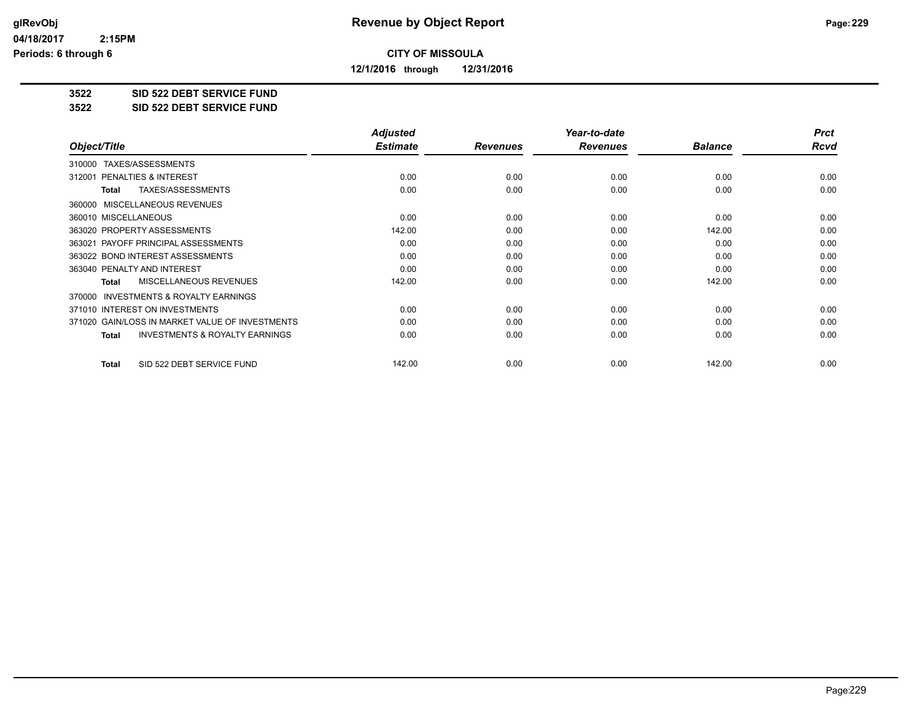**12/1/2016 through 12/31/2016**

**3522 SID 522 DEBT SERVICE FUND**

**3522 SID 522 DEBT SERVICE FUND**

|                                                    | <b>Adjusted</b> |                 | Year-to-date    |                | <b>Prct</b> |
|----------------------------------------------------|-----------------|-----------------|-----------------|----------------|-------------|
| Object/Title                                       | <b>Estimate</b> | <b>Revenues</b> | <b>Revenues</b> | <b>Balance</b> | Rcvd        |
| 310000 TAXES/ASSESSMENTS                           |                 |                 |                 |                |             |
| 312001 PENALTIES & INTEREST                        | 0.00            | 0.00            | 0.00            | 0.00           | 0.00        |
| TAXES/ASSESSMENTS<br>Total                         | 0.00            | 0.00            | 0.00            | 0.00           | 0.00        |
| 360000 MISCELLANEOUS REVENUES                      |                 |                 |                 |                |             |
| 360010 MISCELLANEOUS                               | 0.00            | 0.00            | 0.00            | 0.00           | 0.00        |
| 363020 PROPERTY ASSESSMENTS                        | 142.00          | 0.00            | 0.00            | 142.00         | 0.00        |
| 363021 PAYOFF PRINCIPAL ASSESSMENTS                | 0.00            | 0.00            | 0.00            | 0.00           | 0.00        |
| 363022 BOND INTEREST ASSESSMENTS                   | 0.00            | 0.00            | 0.00            | 0.00           | 0.00        |
| 363040 PENALTY AND INTEREST                        | 0.00            | 0.00            | 0.00            | 0.00           | 0.00        |
| MISCELLANEOUS REVENUES<br>Total                    | 142.00          | 0.00            | 0.00            | 142.00         | 0.00        |
| 370000 INVESTMENTS & ROYALTY EARNINGS              |                 |                 |                 |                |             |
| 371010 INTEREST ON INVESTMENTS                     | 0.00            | 0.00            | 0.00            | 0.00           | 0.00        |
| 371020 GAIN/LOSS IN MARKET VALUE OF INVESTMENTS    | 0.00            | 0.00            | 0.00            | 0.00           | 0.00        |
| <b>INVESTMENTS &amp; ROYALTY EARNINGS</b><br>Total | 0.00            | 0.00            | 0.00            | 0.00           | 0.00        |
| SID 522 DEBT SERVICE FUND<br>Total                 | 142.00          | 0.00            | 0.00            | 142.00         | 0.00        |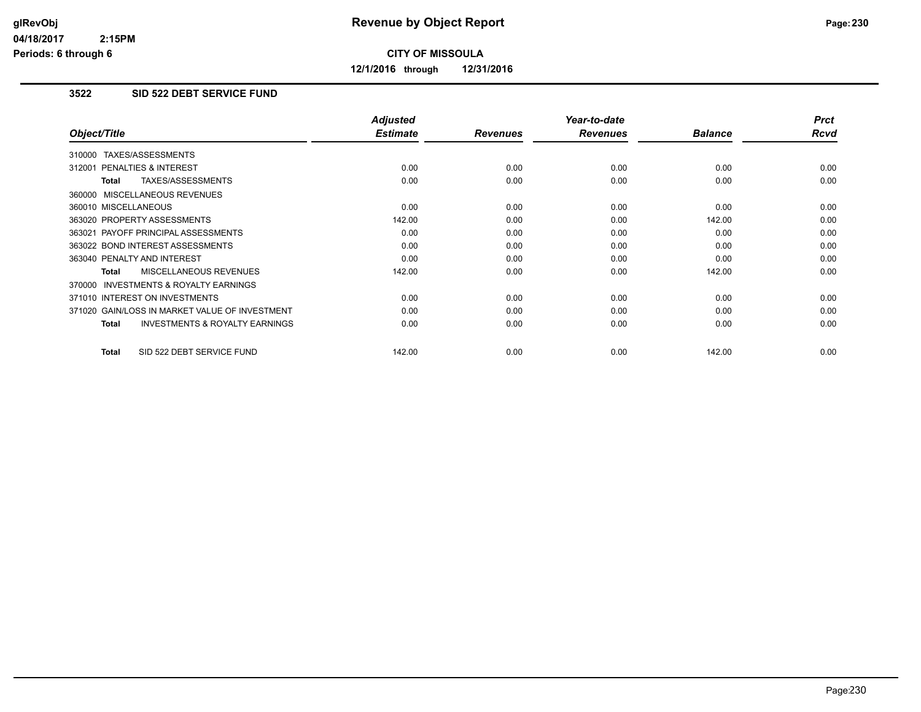**12/1/2016 through 12/31/2016**

#### **3522 SID 522 DEBT SERVICE FUND**

|                                                           | <b>Adjusted</b> |                 | Year-to-date    |                | <b>Prct</b> |
|-----------------------------------------------------------|-----------------|-----------------|-----------------|----------------|-------------|
| Object/Title                                              | <b>Estimate</b> | <b>Revenues</b> | <b>Revenues</b> | <b>Balance</b> | Rcvd        |
| 310000 TAXES/ASSESSMENTS                                  |                 |                 |                 |                |             |
| 312001 PENALTIES & INTEREST                               | 0.00            | 0.00            | 0.00            | 0.00           | 0.00        |
| TAXES/ASSESSMENTS<br>Total                                | 0.00            | 0.00            | 0.00            | 0.00           | 0.00        |
| 360000 MISCELLANEOUS REVENUES                             |                 |                 |                 |                |             |
| 360010 MISCELLANEOUS                                      | 0.00            | 0.00            | 0.00            | 0.00           | 0.00        |
| 363020 PROPERTY ASSESSMENTS                               | 142.00          | 0.00            | 0.00            | 142.00         | 0.00        |
| 363021 PAYOFF PRINCIPAL ASSESSMENTS                       | 0.00            | 0.00            | 0.00            | 0.00           | 0.00        |
| 363022 BOND INTEREST ASSESSMENTS                          | 0.00            | 0.00            | 0.00            | 0.00           | 0.00        |
| 363040 PENALTY AND INTEREST                               | 0.00            | 0.00            | 0.00            | 0.00           | 0.00        |
| MISCELLANEOUS REVENUES<br>Total                           | 142.00          | 0.00            | 0.00            | 142.00         | 0.00        |
| INVESTMENTS & ROYALTY EARNINGS<br>370000                  |                 |                 |                 |                |             |
| 371010 INTEREST ON INVESTMENTS                            | 0.00            | 0.00            | 0.00            | 0.00           | 0.00        |
| 371020 GAIN/LOSS IN MARKET VALUE OF INVESTMENT            | 0.00            | 0.00            | 0.00            | 0.00           | 0.00        |
| <b>INVESTMENTS &amp; ROYALTY EARNINGS</b><br><b>Total</b> | 0.00            | 0.00            | 0.00            | 0.00           | 0.00        |
| SID 522 DEBT SERVICE FUND<br><b>Total</b>                 | 142.00          | 0.00            | 0.00            | 142.00         | 0.00        |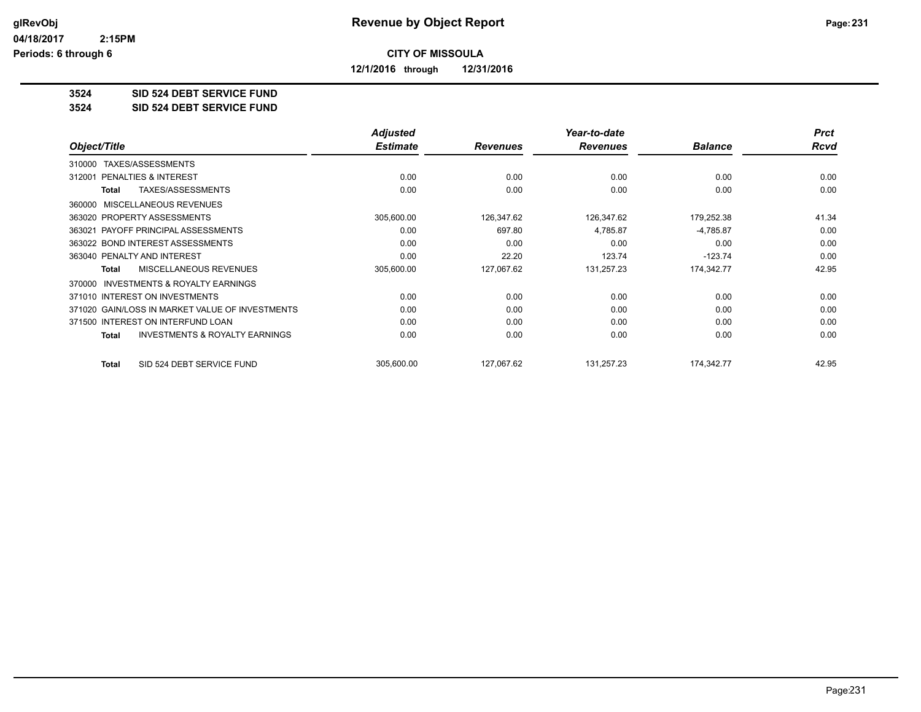**12/1/2016 through 12/31/2016**

**3524 SID 524 DEBT SERVICE FUND**

**3524 SID 524 DEBT SERVICE FUND**

|                                                    | <b>Adjusted</b> |                 | Year-to-date    |                | <b>Prct</b> |
|----------------------------------------------------|-----------------|-----------------|-----------------|----------------|-------------|
| Object/Title                                       | <b>Estimate</b> | <b>Revenues</b> | <b>Revenues</b> | <b>Balance</b> | Rcvd        |
| TAXES/ASSESSMENTS<br>310000                        |                 |                 |                 |                |             |
| 312001 PENALTIES & INTEREST                        | 0.00            | 0.00            | 0.00            | 0.00           | 0.00        |
| TAXES/ASSESSMENTS<br>Total                         | 0.00            | 0.00            | 0.00            | 0.00           | 0.00        |
| 360000 MISCELLANEOUS REVENUES                      |                 |                 |                 |                |             |
| 363020 PROPERTY ASSESSMENTS                        | 305,600.00      | 126.347.62      | 126,347.62      | 179,252.38     | 41.34       |
| 363021 PAYOFF PRINCIPAL ASSESSMENTS                | 0.00            | 697.80          | 4,785.87        | $-4,785.87$    | 0.00        |
| 363022 BOND INTEREST ASSESSMENTS                   | 0.00            | 0.00            | 0.00            | 0.00           | 0.00        |
| 363040 PENALTY AND INTEREST                        | 0.00            | 22.20           | 123.74          | $-123.74$      | 0.00        |
| MISCELLANEOUS REVENUES<br>Total                    | 305,600.00      | 127,067.62      | 131,257.23      | 174,342.77     | 42.95       |
| 370000 INVESTMENTS & ROYALTY EARNINGS              |                 |                 |                 |                |             |
| 371010 INTEREST ON INVESTMENTS                     | 0.00            | 0.00            | 0.00            | 0.00           | 0.00        |
| 371020 GAIN/LOSS IN MARKET VALUE OF INVESTMENTS    | 0.00            | 0.00            | 0.00            | 0.00           | 0.00        |
| 371500 INTEREST ON INTERFUND LOAN                  | 0.00            | 0.00            | 0.00            | 0.00           | 0.00        |
| <b>INVESTMENTS &amp; ROYALTY EARNINGS</b><br>Total | 0.00            | 0.00            | 0.00            | 0.00           | 0.00        |
| SID 524 DEBT SERVICE FUND<br><b>Total</b>          | 305,600.00      | 127,067.62      | 131,257.23      | 174,342.77     | 42.95       |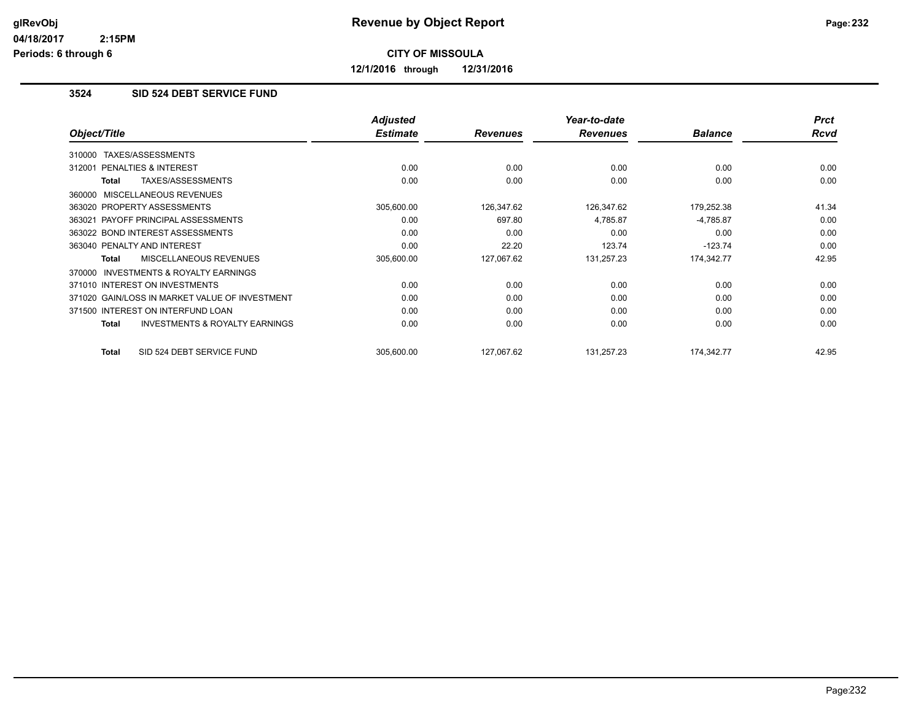**12/1/2016 through 12/31/2016**

#### **3524 SID 524 DEBT SERVICE FUND**

|                                                     | <b>Adjusted</b> |                 | Year-to-date    |                | <b>Prct</b> |
|-----------------------------------------------------|-----------------|-----------------|-----------------|----------------|-------------|
| Object/Title                                        | <b>Estimate</b> | <b>Revenues</b> | <b>Revenues</b> | <b>Balance</b> | Rcvd        |
| 310000 TAXES/ASSESSMENTS                            |                 |                 |                 |                |             |
| PENALTIES & INTEREST<br>312001                      | 0.00            | 0.00            | 0.00            | 0.00           | 0.00        |
| TAXES/ASSESSMENTS<br>Total                          | 0.00            | 0.00            | 0.00            | 0.00           | 0.00        |
| 360000 MISCELLANEOUS REVENUES                       |                 |                 |                 |                |             |
| 363020 PROPERTY ASSESSMENTS                         | 305,600.00      | 126,347.62      | 126,347.62      | 179,252.38     | 41.34       |
| 363021 PAYOFF PRINCIPAL ASSESSMENTS                 | 0.00            | 697.80          | 4,785.87        | $-4,785.87$    | 0.00        |
| 363022 BOND INTEREST ASSESSMENTS                    | 0.00            | 0.00            | 0.00            | 0.00           | 0.00        |
| 363040 PENALTY AND INTEREST                         | 0.00            | 22.20           | 123.74          | $-123.74$      | 0.00        |
| MISCELLANEOUS REVENUES<br>Total                     | 305,600.00      | 127,067.62      | 131,257.23      | 174,342.77     | 42.95       |
| <b>INVESTMENTS &amp; ROYALTY EARNINGS</b><br>370000 |                 |                 |                 |                |             |
| 371010 INTEREST ON INVESTMENTS                      | 0.00            | 0.00            | 0.00            | 0.00           | 0.00        |
| 371020 GAIN/LOSS IN MARKET VALUE OF INVESTMENT      | 0.00            | 0.00            | 0.00            | 0.00           | 0.00        |
| 371500 INTEREST ON INTERFUND LOAN                   | 0.00            | 0.00            | 0.00            | 0.00           | 0.00        |
| <b>INVESTMENTS &amp; ROYALTY EARNINGS</b><br>Total  | 0.00            | 0.00            | 0.00            | 0.00           | 0.00        |
| SID 524 DEBT SERVICE FUND<br><b>Total</b>           | 305,600.00      | 127,067.62      | 131,257.23      | 174.342.77     | 42.95       |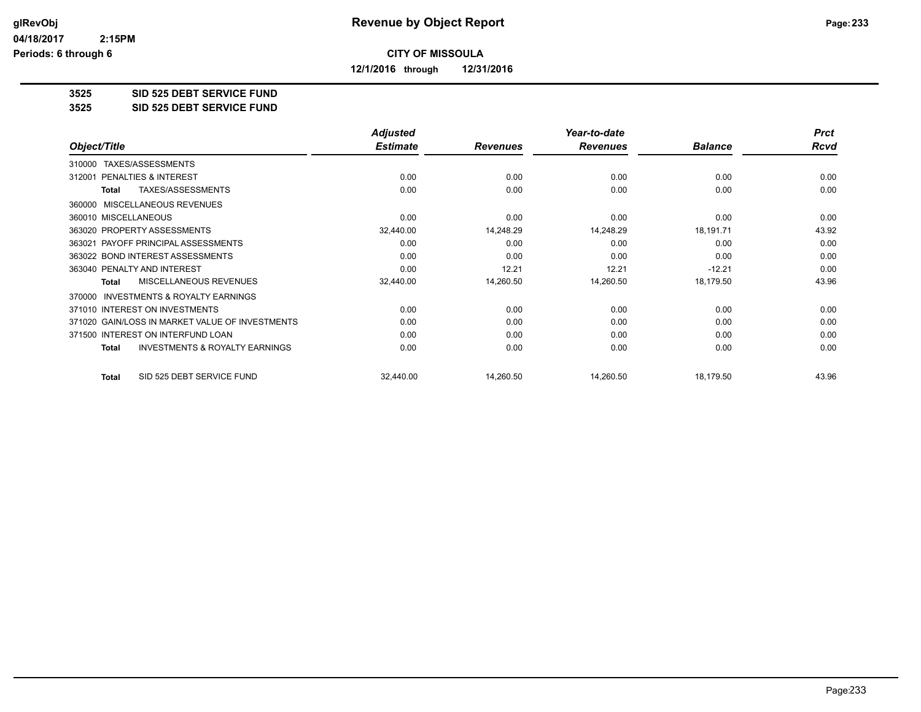**12/1/2016 through 12/31/2016**

**3525 SID 525 DEBT SERVICE FUND**

**3525 SID 525 DEBT SERVICE FUND**

|                                                           | <b>Adjusted</b> |                 | Year-to-date    |                | <b>Prct</b> |
|-----------------------------------------------------------|-----------------|-----------------|-----------------|----------------|-------------|
| Object/Title                                              | <b>Estimate</b> | <b>Revenues</b> | <b>Revenues</b> | <b>Balance</b> | Rcvd        |
| TAXES/ASSESSMENTS<br>310000                               |                 |                 |                 |                |             |
| 312001 PENALTIES & INTEREST                               | 0.00            | 0.00            | 0.00            | 0.00           | 0.00        |
| TAXES/ASSESSMENTS<br>Total                                | 0.00            | 0.00            | 0.00            | 0.00           | 0.00        |
| MISCELLANEOUS REVENUES<br>360000                          |                 |                 |                 |                |             |
| 360010 MISCELLANEOUS                                      | 0.00            | 0.00            | 0.00            | 0.00           | 0.00        |
| 363020 PROPERTY ASSESSMENTS                               | 32,440.00       | 14,248.29       | 14,248.29       | 18,191.71      | 43.92       |
| 363021 PAYOFF PRINCIPAL ASSESSMENTS                       | 0.00            | 0.00            | 0.00            | 0.00           | 0.00        |
| 363022 BOND INTEREST ASSESSMENTS                          | 0.00            | 0.00            | 0.00            | 0.00           | 0.00        |
| 363040 PENALTY AND INTEREST                               | 0.00            | 12.21           | 12.21           | $-12.21$       | 0.00        |
| MISCELLANEOUS REVENUES<br><b>Total</b>                    | 32,440.00       | 14,260.50       | 14,260.50       | 18,179.50      | 43.96       |
| <b>INVESTMENTS &amp; ROYALTY EARNINGS</b><br>370000       |                 |                 |                 |                |             |
| 371010 INTEREST ON INVESTMENTS                            | 0.00            | 0.00            | 0.00            | 0.00           | 0.00        |
| 371020 GAIN/LOSS IN MARKET VALUE OF INVESTMENTS           | 0.00            | 0.00            | 0.00            | 0.00           | 0.00        |
| 371500 INTEREST ON INTERFUND LOAN                         | 0.00            | 0.00            | 0.00            | 0.00           | 0.00        |
| <b>INVESTMENTS &amp; ROYALTY EARNINGS</b><br><b>Total</b> | 0.00            | 0.00            | 0.00            | 0.00           | 0.00        |
| SID 525 DEBT SERVICE FUND<br><b>Total</b>                 | 32,440.00       | 14,260.50       | 14,260.50       | 18,179.50      | 43.96       |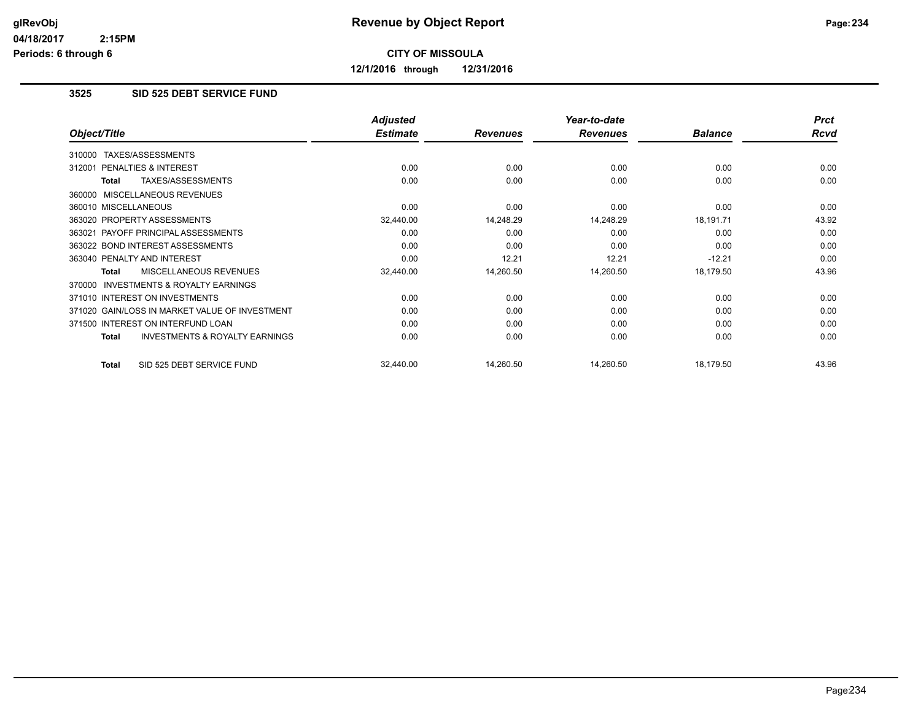**12/1/2016 through 12/31/2016**

#### **3525 SID 525 DEBT SERVICE FUND**

|                                                           | <b>Adjusted</b> |                 | Year-to-date    |                | <b>Prct</b> |
|-----------------------------------------------------------|-----------------|-----------------|-----------------|----------------|-------------|
| Object/Title                                              | <b>Estimate</b> | <b>Revenues</b> | <b>Revenues</b> | <b>Balance</b> | <b>Rcvd</b> |
| TAXES/ASSESSMENTS<br>310000                               |                 |                 |                 |                |             |
| <b>PENALTIES &amp; INTEREST</b><br>312001                 | 0.00            | 0.00            | 0.00            | 0.00           | 0.00        |
| TAXES/ASSESSMENTS<br><b>Total</b>                         | 0.00            | 0.00            | 0.00            | 0.00           | 0.00        |
| 360000 MISCELLANEOUS REVENUES                             |                 |                 |                 |                |             |
| 360010 MISCELLANEOUS                                      | 0.00            | 0.00            | 0.00            | 0.00           | 0.00        |
| 363020 PROPERTY ASSESSMENTS                               | 32,440.00       | 14,248.29       | 14,248.29       | 18,191.71      | 43.92       |
| 363021 PAYOFF PRINCIPAL ASSESSMENTS                       | 0.00            | 0.00            | 0.00            | 0.00           | 0.00        |
| 363022 BOND INTEREST ASSESSMENTS                          | 0.00            | 0.00            | 0.00            | 0.00           | 0.00        |
| 363040 PENALTY AND INTEREST                               | 0.00            | 12.21           | 12.21           | $-12.21$       | 0.00        |
| MISCELLANEOUS REVENUES<br>Total                           | 32,440.00       | 14,260.50       | 14,260.50       | 18,179.50      | 43.96       |
| <b>INVESTMENTS &amp; ROYALTY EARNINGS</b><br>370000       |                 |                 |                 |                |             |
| 371010 INTEREST ON INVESTMENTS                            | 0.00            | 0.00            | 0.00            | 0.00           | 0.00        |
| 371020 GAIN/LOSS IN MARKET VALUE OF INVESTMENT            | 0.00            | 0.00            | 0.00            | 0.00           | 0.00        |
| 371500 INTEREST ON INTERFUND LOAN                         | 0.00            | 0.00            | 0.00            | 0.00           | 0.00        |
| <b>INVESTMENTS &amp; ROYALTY EARNINGS</b><br><b>Total</b> | 0.00            | 0.00            | 0.00            | 0.00           | 0.00        |
| SID 525 DEBT SERVICE FUND<br>Total                        | 32,440.00       | 14,260.50       | 14,260.50       | 18,179.50      | 43.96       |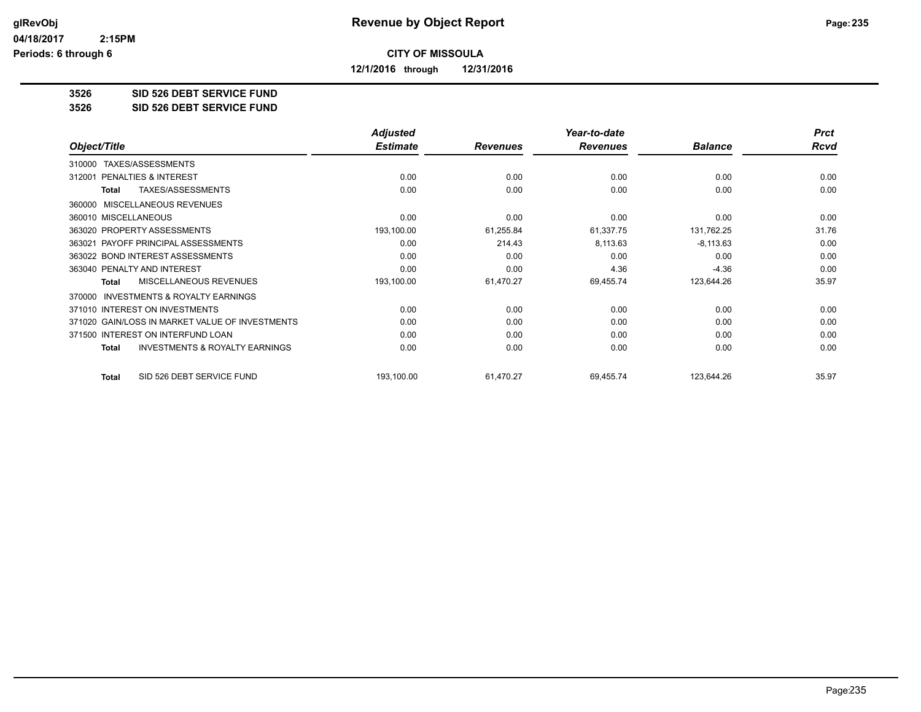**12/1/2016 through 12/31/2016**

**3526 SID 526 DEBT SERVICE FUND**

**3526 SID 526 DEBT SERVICE FUND**

|                                                     | <b>Adjusted</b> |                 | Year-to-date    |                | <b>Prct</b> |
|-----------------------------------------------------|-----------------|-----------------|-----------------|----------------|-------------|
| Object/Title                                        | <b>Estimate</b> | <b>Revenues</b> | <b>Revenues</b> | <b>Balance</b> | <b>Rcvd</b> |
| 310000 TAXES/ASSESSMENTS                            |                 |                 |                 |                |             |
| <b>PENALTIES &amp; INTEREST</b><br>312001           | 0.00            | 0.00            | 0.00            | 0.00           | 0.00        |
| TAXES/ASSESSMENTS<br>Total                          | 0.00            | 0.00            | 0.00            | 0.00           | 0.00        |
| 360000 MISCELLANEOUS REVENUES                       |                 |                 |                 |                |             |
| 360010 MISCELLANEOUS                                | 0.00            | 0.00            | 0.00            | 0.00           | 0.00        |
| 363020 PROPERTY ASSESSMENTS                         | 193,100.00      | 61,255.84       | 61,337.75       | 131,762.25     | 31.76       |
| 363021 PAYOFF PRINCIPAL ASSESSMENTS                 | 0.00            | 214.43          | 8,113.63        | $-8,113.63$    | 0.00        |
| 363022 BOND INTEREST ASSESSMENTS                    | 0.00            | 0.00            | 0.00            | 0.00           | 0.00        |
| 363040 PENALTY AND INTEREST                         | 0.00            | 0.00            | 4.36            | $-4.36$        | 0.00        |
| MISCELLANEOUS REVENUES<br><b>Total</b>              | 193,100.00      | 61,470.27       | 69,455.74       | 123,644.26     | 35.97       |
| <b>INVESTMENTS &amp; ROYALTY EARNINGS</b><br>370000 |                 |                 |                 |                |             |
| 371010 INTEREST ON INVESTMENTS                      | 0.00            | 0.00            | 0.00            | 0.00           | 0.00        |
| 371020 GAIN/LOSS IN MARKET VALUE OF INVESTMENTS     | 0.00            | 0.00            | 0.00            | 0.00           | 0.00        |
| 371500 INTEREST ON INTERFUND LOAN                   | 0.00            | 0.00            | 0.00            | 0.00           | 0.00        |
| <b>INVESTMENTS &amp; ROYALTY EARNINGS</b><br>Total  | 0.00            | 0.00            | 0.00            | 0.00           | 0.00        |
| SID 526 DEBT SERVICE FUND<br><b>Total</b>           | 193,100.00      | 61,470.27       | 69,455.74       | 123,644.26     | 35.97       |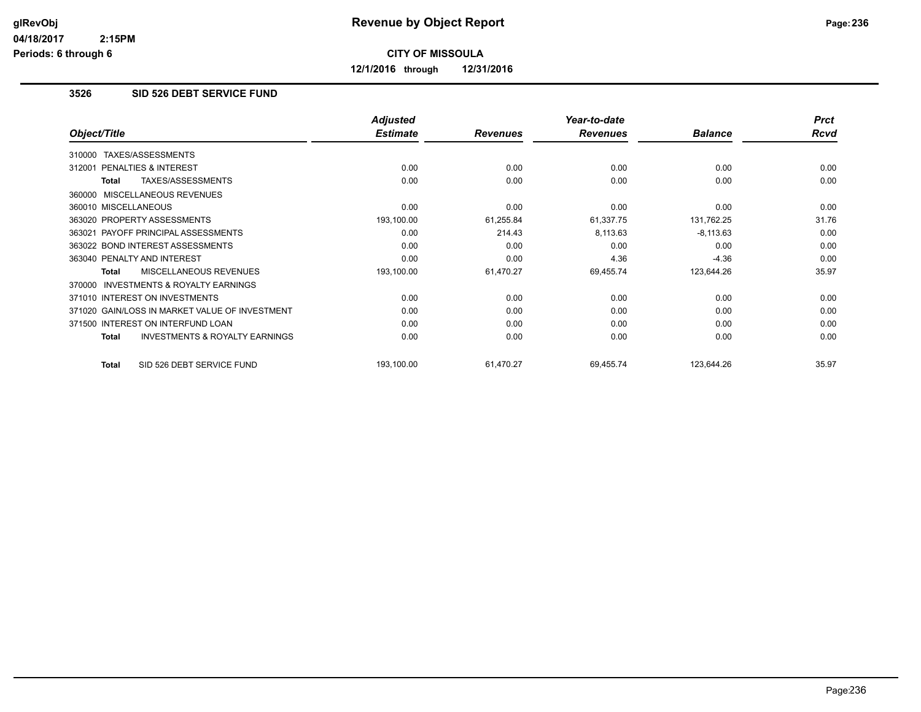**12/1/2016 through 12/31/2016**

#### **3526 SID 526 DEBT SERVICE FUND**

|                                                           | <b>Adjusted</b> |                 | Year-to-date    |                | <b>Prct</b> |
|-----------------------------------------------------------|-----------------|-----------------|-----------------|----------------|-------------|
| Object/Title                                              | <b>Estimate</b> | <b>Revenues</b> | <b>Revenues</b> | <b>Balance</b> | Rcvd        |
| TAXES/ASSESSMENTS<br>310000                               |                 |                 |                 |                |             |
| <b>PENALTIES &amp; INTEREST</b><br>312001                 | 0.00            | 0.00            | 0.00            | 0.00           | 0.00        |
| TAXES/ASSESSMENTS<br><b>Total</b>                         | 0.00            | 0.00            | 0.00            | 0.00           | 0.00        |
| 360000 MISCELLANEOUS REVENUES                             |                 |                 |                 |                |             |
| 360010 MISCELLANEOUS                                      | 0.00            | 0.00            | 0.00            | 0.00           | 0.00        |
| 363020 PROPERTY ASSESSMENTS                               | 193,100.00      | 61,255.84       | 61,337.75       | 131,762.25     | 31.76       |
| 363021 PAYOFF PRINCIPAL ASSESSMENTS                       | 0.00            | 214.43          | 8,113.63        | $-8,113.63$    | 0.00        |
| 363022 BOND INTEREST ASSESSMENTS                          | 0.00            | 0.00            | 0.00            | 0.00           | 0.00        |
| 363040 PENALTY AND INTEREST                               | 0.00            | 0.00            | 4.36            | $-4.36$        | 0.00        |
| MISCELLANEOUS REVENUES<br>Total                           | 193,100.00      | 61,470.27       | 69,455.74       | 123,644.26     | 35.97       |
| <b>INVESTMENTS &amp; ROYALTY EARNINGS</b><br>370000       |                 |                 |                 |                |             |
| 371010 INTEREST ON INVESTMENTS                            | 0.00            | 0.00            | 0.00            | 0.00           | 0.00        |
| 371020 GAIN/LOSS IN MARKET VALUE OF INVESTMENT            | 0.00            | 0.00            | 0.00            | 0.00           | 0.00        |
| 371500 INTEREST ON INTERFUND LOAN                         | 0.00            | 0.00            | 0.00            | 0.00           | 0.00        |
| <b>INVESTMENTS &amp; ROYALTY EARNINGS</b><br><b>Total</b> | 0.00            | 0.00            | 0.00            | 0.00           | 0.00        |
| SID 526 DEBT SERVICE FUND<br>Total                        | 193,100.00      | 61,470.27       | 69,455.74       | 123,644.26     | 35.97       |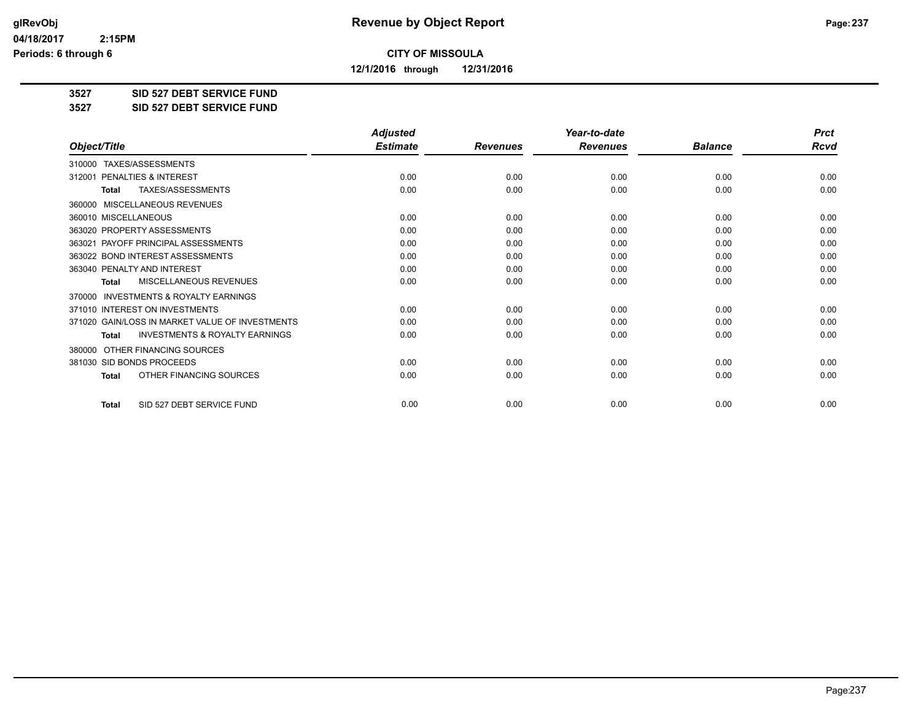**12/1/2016 through 12/31/2016**

**3527 SID 527 DEBT SERVICE FUND**

**3527 SID 527 DEBT SERVICE FUND**

|                                                           | <b>Adjusted</b> |                 | Year-to-date    |                |      |
|-----------------------------------------------------------|-----------------|-----------------|-----------------|----------------|------|
| Object/Title                                              | <b>Estimate</b> | <b>Revenues</b> | <b>Revenues</b> | <b>Balance</b> | Rcvd |
| TAXES/ASSESSMENTS<br>310000                               |                 |                 |                 |                |      |
| 312001 PENALTIES & INTEREST                               | 0.00            | 0.00            | 0.00            | 0.00           | 0.00 |
| <b>TAXES/ASSESSMENTS</b><br>Total                         | 0.00            | 0.00            | 0.00            | 0.00           | 0.00 |
| 360000 MISCELLANEOUS REVENUES                             |                 |                 |                 |                |      |
| 360010 MISCELLANEOUS                                      | 0.00            | 0.00            | 0.00            | 0.00           | 0.00 |
| 363020 PROPERTY ASSESSMENTS                               | 0.00            | 0.00            | 0.00            | 0.00           | 0.00 |
| 363021 PAYOFF PRINCIPAL ASSESSMENTS                       | 0.00            | 0.00            | 0.00            | 0.00           | 0.00 |
| 363022 BOND INTEREST ASSESSMENTS                          | 0.00            | 0.00            | 0.00            | 0.00           | 0.00 |
| 363040 PENALTY AND INTEREST                               | 0.00            | 0.00            | 0.00            | 0.00           | 0.00 |
| MISCELLANEOUS REVENUES<br><b>Total</b>                    | 0.00            | 0.00            | 0.00            | 0.00           | 0.00 |
| <b>INVESTMENTS &amp; ROYALTY EARNINGS</b><br>370000       |                 |                 |                 |                |      |
| 371010 INTEREST ON INVESTMENTS                            | 0.00            | 0.00            | 0.00            | 0.00           | 0.00 |
| 371020 GAIN/LOSS IN MARKET VALUE OF INVESTMENTS           | 0.00            | 0.00            | 0.00            | 0.00           | 0.00 |
| <b>INVESTMENTS &amp; ROYALTY EARNINGS</b><br><b>Total</b> | 0.00            | 0.00            | 0.00            | 0.00           | 0.00 |
| OTHER FINANCING SOURCES<br>380000                         |                 |                 |                 |                |      |
| 381030 SID BONDS PROCEEDS                                 | 0.00            | 0.00            | 0.00            | 0.00           | 0.00 |
| OTHER FINANCING SOURCES<br><b>Total</b>                   | 0.00            | 0.00            | 0.00            | 0.00           | 0.00 |
| SID 527 DEBT SERVICE FUND<br><b>Total</b>                 | 0.00            | 0.00            | 0.00            | 0.00           | 0.00 |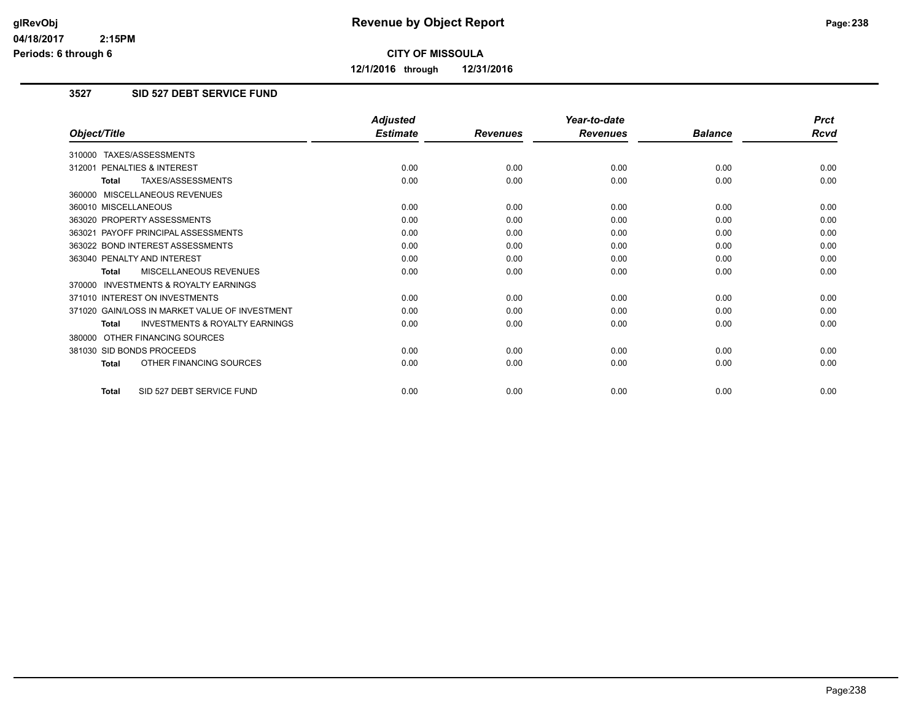**12/1/2016 through 12/31/2016**

#### **3527 SID 527 DEBT SERVICE FUND**

|                                                           | <b>Adjusted</b> |                 | Year-to-date    |                | <b>Prct</b> |
|-----------------------------------------------------------|-----------------|-----------------|-----------------|----------------|-------------|
| Object/Title                                              | <b>Estimate</b> | <b>Revenues</b> | <b>Revenues</b> | <b>Balance</b> | Rcvd        |
| 310000 TAXES/ASSESSMENTS                                  |                 |                 |                 |                |             |
| PENALTIES & INTEREST<br>312001                            | 0.00            | 0.00            | 0.00            | 0.00           | 0.00        |
| TAXES/ASSESSMENTS<br><b>Total</b>                         | 0.00            | 0.00            | 0.00            | 0.00           | 0.00        |
| 360000 MISCELLANEOUS REVENUES                             |                 |                 |                 |                |             |
| 360010 MISCELLANEOUS                                      | 0.00            | 0.00            | 0.00            | 0.00           | 0.00        |
| 363020 PROPERTY ASSESSMENTS                               | 0.00            | 0.00            | 0.00            | 0.00           | 0.00        |
| 363021 PAYOFF PRINCIPAL ASSESSMENTS                       | 0.00            | 0.00            | 0.00            | 0.00           | 0.00        |
| 363022 BOND INTEREST ASSESSMENTS                          | 0.00            | 0.00            | 0.00            | 0.00           | 0.00        |
| 363040 PENALTY AND INTEREST                               | 0.00            | 0.00            | 0.00            | 0.00           | 0.00        |
| MISCELLANEOUS REVENUES<br><b>Total</b>                    | 0.00            | 0.00            | 0.00            | 0.00           | 0.00        |
| 370000 INVESTMENTS & ROYALTY EARNINGS                     |                 |                 |                 |                |             |
| 371010 INTEREST ON INVESTMENTS                            | 0.00            | 0.00            | 0.00            | 0.00           | 0.00        |
| 371020 GAIN/LOSS IN MARKET VALUE OF INVESTMENT            | 0.00            | 0.00            | 0.00            | 0.00           | 0.00        |
| <b>INVESTMENTS &amp; ROYALTY EARNINGS</b><br><b>Total</b> | 0.00            | 0.00            | 0.00            | 0.00           | 0.00        |
| 380000 OTHER FINANCING SOURCES                            |                 |                 |                 |                |             |
| 381030 SID BONDS PROCEEDS                                 | 0.00            | 0.00            | 0.00            | 0.00           | 0.00        |
| OTHER FINANCING SOURCES<br><b>Total</b>                   | 0.00            | 0.00            | 0.00            | 0.00           | 0.00        |
| SID 527 DEBT SERVICE FUND<br><b>Total</b>                 | 0.00            | 0.00            | 0.00            | 0.00           | 0.00        |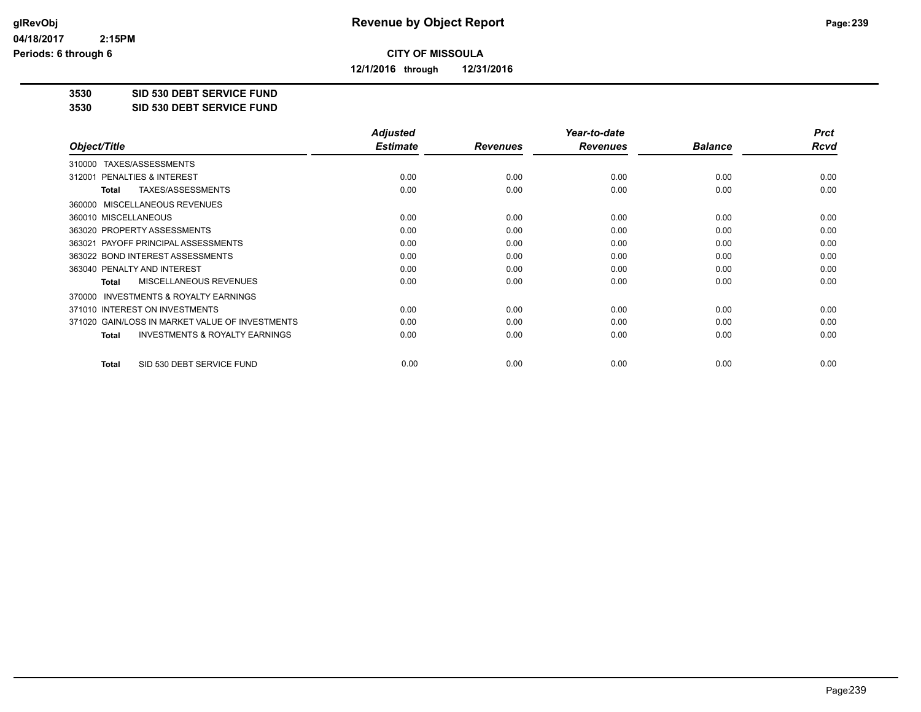**12/1/2016 through 12/31/2016**

**3530 SID 530 DEBT SERVICE FUND**

**3530 SID 530 DEBT SERVICE FUND**

|                                                     | <b>Adjusted</b> |                 | Year-to-date    |                | <b>Prct</b> |
|-----------------------------------------------------|-----------------|-----------------|-----------------|----------------|-------------|
| Object/Title                                        | <b>Estimate</b> | <b>Revenues</b> | <b>Revenues</b> | <b>Balance</b> | Rcvd        |
| 310000 TAXES/ASSESSMENTS                            |                 |                 |                 |                |             |
| 312001 PENALTIES & INTEREST                         | 0.00            | 0.00            | 0.00            | 0.00           | 0.00        |
| TAXES/ASSESSMENTS<br>Total                          | 0.00            | 0.00            | 0.00            | 0.00           | 0.00        |
| 360000 MISCELLANEOUS REVENUES                       |                 |                 |                 |                |             |
| 360010 MISCELLANEOUS                                | 0.00            | 0.00            | 0.00            | 0.00           | 0.00        |
| 363020 PROPERTY ASSESSMENTS                         | 0.00            | 0.00            | 0.00            | 0.00           | 0.00        |
| 363021 PAYOFF PRINCIPAL ASSESSMENTS                 | 0.00            | 0.00            | 0.00            | 0.00           | 0.00        |
| 363022 BOND INTEREST ASSESSMENTS                    | 0.00            | 0.00            | 0.00            | 0.00           | 0.00        |
| 363040 PENALTY AND INTEREST                         | 0.00            | 0.00            | 0.00            | 0.00           | 0.00        |
| MISCELLANEOUS REVENUES<br>Total                     | 0.00            | 0.00            | 0.00            | 0.00           | 0.00        |
| <b>INVESTMENTS &amp; ROYALTY EARNINGS</b><br>370000 |                 |                 |                 |                |             |
| 371010 INTEREST ON INVESTMENTS                      | 0.00            | 0.00            | 0.00            | 0.00           | 0.00        |
| 371020 GAIN/LOSS IN MARKET VALUE OF INVESTMENTS     | 0.00            | 0.00            | 0.00            | 0.00           | 0.00        |
| <b>INVESTMENTS &amp; ROYALTY EARNINGS</b><br>Total  | 0.00            | 0.00            | 0.00            | 0.00           | 0.00        |
| SID 530 DEBT SERVICE FUND<br>Total                  | 0.00            | 0.00            | 0.00            | 0.00           | 0.00        |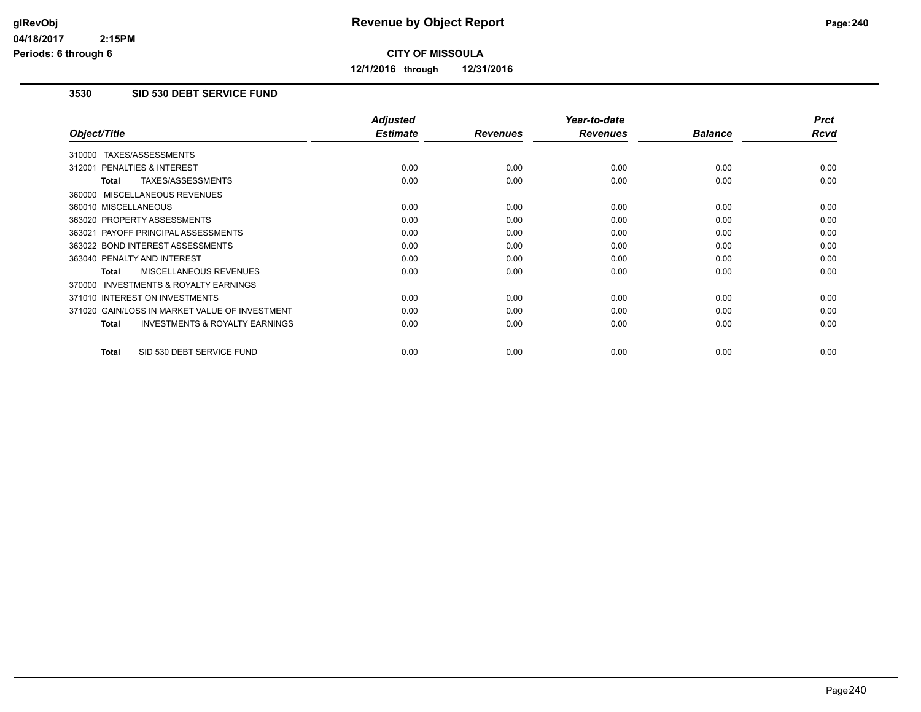**12/1/2016 through 12/31/2016**

#### **3530 SID 530 DEBT SERVICE FUND**

|                                                           | <b>Adjusted</b> |                 | Year-to-date    |                | <b>Prct</b> |
|-----------------------------------------------------------|-----------------|-----------------|-----------------|----------------|-------------|
| Object/Title                                              | <b>Estimate</b> | <b>Revenues</b> | <b>Revenues</b> | <b>Balance</b> | <b>Rcvd</b> |
| 310000 TAXES/ASSESSMENTS                                  |                 |                 |                 |                |             |
| 312001 PENALTIES & INTEREST                               | 0.00            | 0.00            | 0.00            | 0.00           | 0.00        |
| TAXES/ASSESSMENTS<br>Total                                | 0.00            | 0.00            | 0.00            | 0.00           | 0.00        |
| 360000 MISCELLANEOUS REVENUES                             |                 |                 |                 |                |             |
| 360010 MISCELLANEOUS                                      | 0.00            | 0.00            | 0.00            | 0.00           | 0.00        |
| 363020 PROPERTY ASSESSMENTS                               | 0.00            | 0.00            | 0.00            | 0.00           | 0.00        |
| 363021 PAYOFF PRINCIPAL ASSESSMENTS                       | 0.00            | 0.00            | 0.00            | 0.00           | 0.00        |
| 363022 BOND INTEREST ASSESSMENTS                          | 0.00            | 0.00            | 0.00            | 0.00           | 0.00        |
| 363040 PENALTY AND INTEREST                               | 0.00            | 0.00            | 0.00            | 0.00           | 0.00        |
| <b>MISCELLANEOUS REVENUES</b><br>Total                    | 0.00            | 0.00            | 0.00            | 0.00           | 0.00        |
| INVESTMENTS & ROYALTY EARNINGS<br>370000                  |                 |                 |                 |                |             |
| 371010 INTEREST ON INVESTMENTS                            | 0.00            | 0.00            | 0.00            | 0.00           | 0.00        |
| 371020 GAIN/LOSS IN MARKET VALUE OF INVESTMENT            | 0.00            | 0.00            | 0.00            | 0.00           | 0.00        |
| <b>INVESTMENTS &amp; ROYALTY EARNINGS</b><br><b>Total</b> | 0.00            | 0.00            | 0.00            | 0.00           | 0.00        |
| SID 530 DEBT SERVICE FUND<br><b>Total</b>                 | 0.00            | 0.00            | 0.00            | 0.00           | 0.00        |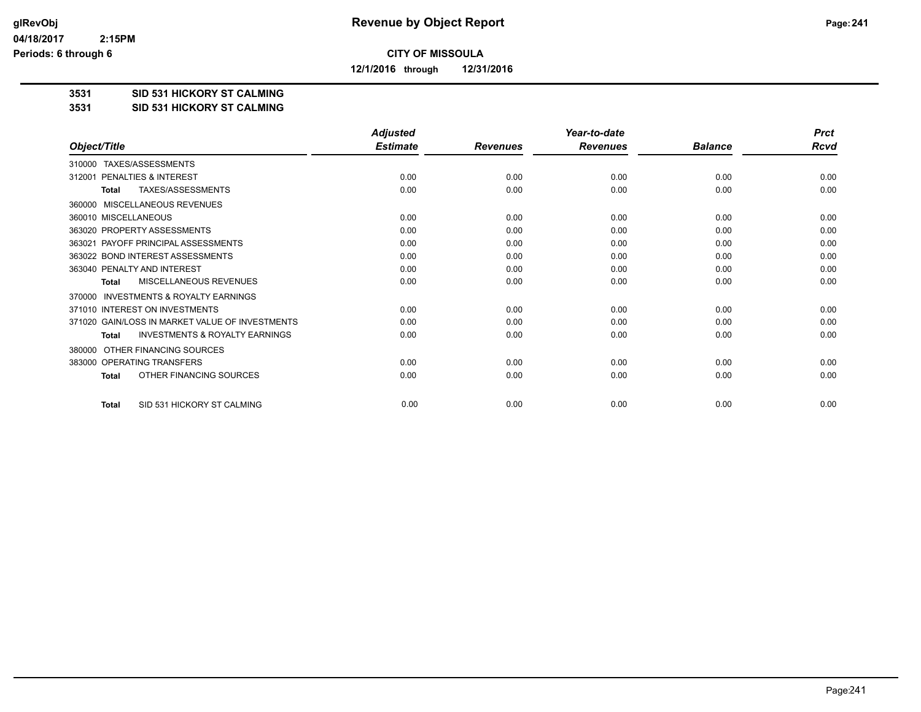**12/1/2016 through 12/31/2016**

**3531 SID 531 HICKORY ST CALMING**

**3531 SID 531 HICKORY ST CALMING**

|                                                           | <b>Adjusted</b> |                 | Year-to-date    |                | <b>Prct</b> |
|-----------------------------------------------------------|-----------------|-----------------|-----------------|----------------|-------------|
| Object/Title                                              | <b>Estimate</b> | <b>Revenues</b> | <b>Revenues</b> | <b>Balance</b> | <b>Rcvd</b> |
| TAXES/ASSESSMENTS<br>310000                               |                 |                 |                 |                |             |
| <b>PENALTIES &amp; INTEREST</b><br>312001                 | 0.00            | 0.00            | 0.00            | 0.00           | 0.00        |
| TAXES/ASSESSMENTS<br><b>Total</b>                         | 0.00            | 0.00            | 0.00            | 0.00           | 0.00        |
| 360000 MISCELLANEOUS REVENUES                             |                 |                 |                 |                |             |
| 360010 MISCELLANEOUS                                      | 0.00            | 0.00            | 0.00            | 0.00           | 0.00        |
| 363020 PROPERTY ASSESSMENTS                               | 0.00            | 0.00            | 0.00            | 0.00           | 0.00        |
| 363021 PAYOFF PRINCIPAL ASSESSMENTS                       | 0.00            | 0.00            | 0.00            | 0.00           | 0.00        |
| 363022 BOND INTEREST ASSESSMENTS                          | 0.00            | 0.00            | 0.00            | 0.00           | 0.00        |
| 363040 PENALTY AND INTEREST                               | 0.00            | 0.00            | 0.00            | 0.00           | 0.00        |
| MISCELLANEOUS REVENUES<br>Total                           | 0.00            | 0.00            | 0.00            | 0.00           | 0.00        |
| <b>INVESTMENTS &amp; ROYALTY EARNINGS</b><br>370000       |                 |                 |                 |                |             |
| 371010 INTEREST ON INVESTMENTS                            | 0.00            | 0.00            | 0.00            | 0.00           | 0.00        |
| 371020 GAIN/LOSS IN MARKET VALUE OF INVESTMENTS           | 0.00            | 0.00            | 0.00            | 0.00           | 0.00        |
| <b>INVESTMENTS &amp; ROYALTY EARNINGS</b><br><b>Total</b> | 0.00            | 0.00            | 0.00            | 0.00           | 0.00        |
| OTHER FINANCING SOURCES<br>380000                         |                 |                 |                 |                |             |
| 383000 OPERATING TRANSFERS                                | 0.00            | 0.00            | 0.00            | 0.00           | 0.00        |
| OTHER FINANCING SOURCES<br><b>Total</b>                   | 0.00            | 0.00            | 0.00            | 0.00           | 0.00        |
| SID 531 HICKORY ST CALMING<br><b>Total</b>                | 0.00            | 0.00            | 0.00            | 0.00           | 0.00        |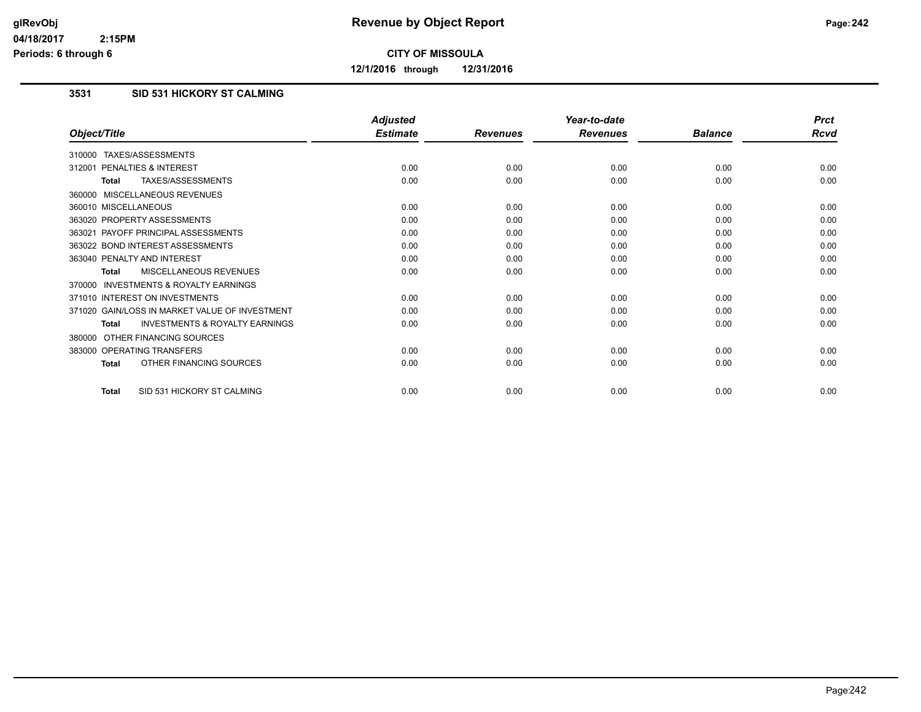**12/1/2016 through 12/31/2016**

#### **3531 SID 531 HICKORY ST CALMING**

|                                                           | <b>Adjusted</b> |                 | Year-to-date    |                | <b>Prct</b> |
|-----------------------------------------------------------|-----------------|-----------------|-----------------|----------------|-------------|
| Object/Title                                              | <b>Estimate</b> | <b>Revenues</b> | <b>Revenues</b> | <b>Balance</b> | <b>Rcvd</b> |
| 310000 TAXES/ASSESSMENTS                                  |                 |                 |                 |                |             |
| <b>PENALTIES &amp; INTEREST</b><br>312001                 | 0.00            | 0.00            | 0.00            | 0.00           | 0.00        |
| TAXES/ASSESSMENTS<br><b>Total</b>                         | 0.00            | 0.00            | 0.00            | 0.00           | 0.00        |
| 360000 MISCELLANEOUS REVENUES                             |                 |                 |                 |                |             |
| 360010 MISCELLANEOUS                                      | 0.00            | 0.00            | 0.00            | 0.00           | 0.00        |
| 363020 PROPERTY ASSESSMENTS                               | 0.00            | 0.00            | 0.00            | 0.00           | 0.00        |
| 363021 PAYOFF PRINCIPAL ASSESSMENTS                       | 0.00            | 0.00            | 0.00            | 0.00           | 0.00        |
| 363022 BOND INTEREST ASSESSMENTS                          | 0.00            | 0.00            | 0.00            | 0.00           | 0.00        |
| 363040 PENALTY AND INTEREST                               | 0.00            | 0.00            | 0.00            | 0.00           | 0.00        |
| <b>MISCELLANEOUS REVENUES</b><br>Total                    | 0.00            | 0.00            | 0.00            | 0.00           | 0.00        |
| <b>INVESTMENTS &amp; ROYALTY EARNINGS</b><br>370000       |                 |                 |                 |                |             |
| 371010 INTEREST ON INVESTMENTS                            | 0.00            | 0.00            | 0.00            | 0.00           | 0.00        |
| 371020 GAIN/LOSS IN MARKET VALUE OF INVESTMENT            | 0.00            | 0.00            | 0.00            | 0.00           | 0.00        |
| <b>INVESTMENTS &amp; ROYALTY EARNINGS</b><br><b>Total</b> | 0.00            | 0.00            | 0.00            | 0.00           | 0.00        |
| OTHER FINANCING SOURCES<br>380000                         |                 |                 |                 |                |             |
| 383000 OPERATING TRANSFERS                                | 0.00            | 0.00            | 0.00            | 0.00           | 0.00        |
| OTHER FINANCING SOURCES<br>Total                          | 0.00            | 0.00            | 0.00            | 0.00           | 0.00        |
| SID 531 HICKORY ST CALMING<br><b>Total</b>                | 0.00            | 0.00            | 0.00            | 0.00           | 0.00        |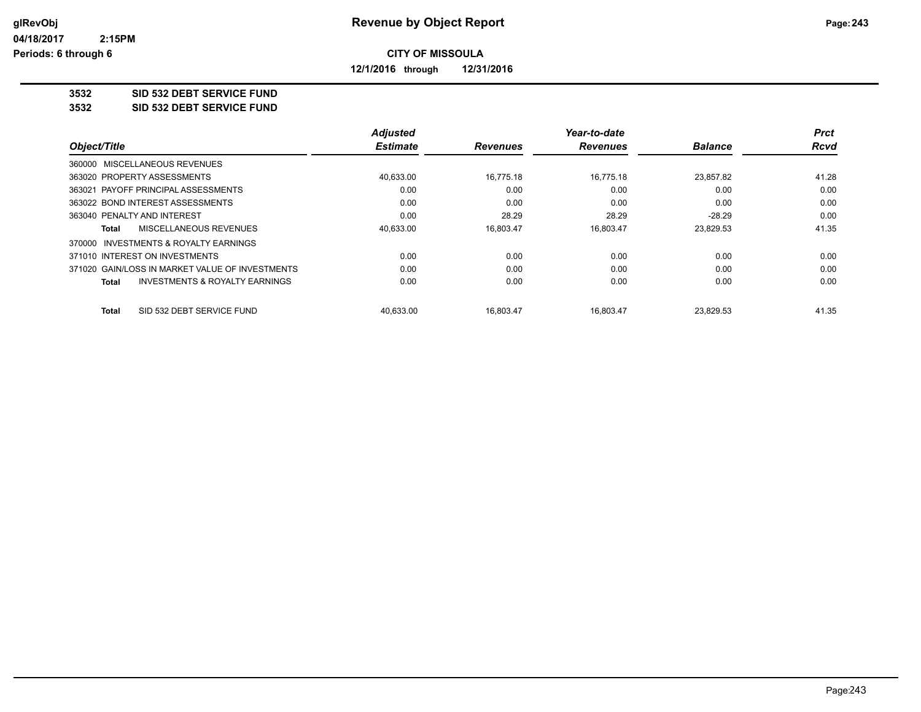**CITY OF MISSOULA 12/1/2016 through 12/31/2016**

**3532 SID 532 DEBT SERVICE FUND**

**3532 SID 532 DEBT SERVICE FUND**

|                                                     | <b>Adjusted</b> |                 | Year-to-date    |                | <b>Prct</b> |
|-----------------------------------------------------|-----------------|-----------------|-----------------|----------------|-------------|
| Object/Title                                        | <b>Estimate</b> | <b>Revenues</b> | <b>Revenues</b> | <b>Balance</b> | Rcvd        |
| 360000 MISCELLANEOUS REVENUES                       |                 |                 |                 |                |             |
| 363020 PROPERTY ASSESSMENTS                         | 40,633.00       | 16.775.18       | 16.775.18       | 23,857.82      | 41.28       |
| 363021 PAYOFF PRINCIPAL ASSESSMENTS                 | 0.00            | 0.00            | 0.00            | 0.00           | 0.00        |
| 363022 BOND INTEREST ASSESSMENTS                    | 0.00            | 0.00            | 0.00            | 0.00           | 0.00        |
| 363040 PENALTY AND INTEREST                         | 0.00            | 28.29           | 28.29           | $-28.29$       | 0.00        |
| MISCELLANEOUS REVENUES<br>Total                     | 40,633.00       | 16.803.47       | 16.803.47       | 23.829.53      | 41.35       |
| <b>INVESTMENTS &amp; ROYALTY EARNINGS</b><br>370000 |                 |                 |                 |                |             |
| 371010 INTEREST ON INVESTMENTS                      | 0.00            | 0.00            | 0.00            | 0.00           | 0.00        |
| 371020 GAIN/LOSS IN MARKET VALUE OF INVESTMENTS     | 0.00            | 0.00            | 0.00            | 0.00           | 0.00        |
| <b>INVESTMENTS &amp; ROYALTY EARNINGS</b><br>Total  | 0.00            | 0.00            | 0.00            | 0.00           | 0.00        |
| SID 532 DEBT SERVICE FUND<br>Total                  | 40.633.00       | 16.803.47       | 16.803.47       | 23.829.53      | 41.35       |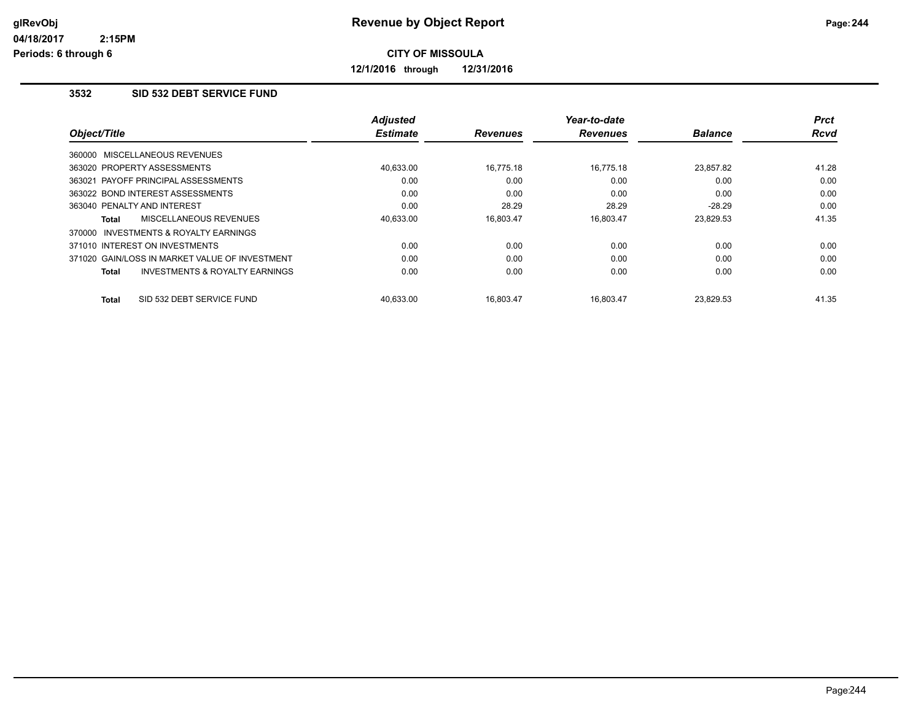**12/1/2016 through 12/31/2016**

#### **3532 SID 532 DEBT SERVICE FUND**

|                                                    | <b>Adjusted</b> |                 | Year-to-date    |                | <b>Prct</b> |
|----------------------------------------------------|-----------------|-----------------|-----------------|----------------|-------------|
| Object/Title                                       | <b>Estimate</b> | <b>Revenues</b> | <b>Revenues</b> | <b>Balance</b> | <b>Rcvd</b> |
| 360000 MISCELLANEOUS REVENUES                      |                 |                 |                 |                |             |
| 363020 PROPERTY ASSESSMENTS                        | 40,633.00       | 16.775.18       | 16.775.18       | 23.857.82      | 41.28       |
| 363021 PAYOFF PRINCIPAL ASSESSMENTS                | 0.00            | 0.00            | 0.00            | 0.00           | 0.00        |
| 363022 BOND INTEREST ASSESSMENTS                   | 0.00            | 0.00            | 0.00            | 0.00           | 0.00        |
| 363040 PENALTY AND INTEREST                        | 0.00            | 28.29           | 28.29           | $-28.29$       | 0.00        |
| MISCELLANEOUS REVENUES<br>Total                    | 40,633.00       | 16,803.47       | 16,803.47       | 23.829.53      | 41.35       |
| INVESTMENTS & ROYALTY EARNINGS<br>370000           |                 |                 |                 |                |             |
| 371010 INTEREST ON INVESTMENTS                     | 0.00            | 0.00            | 0.00            | 0.00           | 0.00        |
| 371020 GAIN/LOSS IN MARKET VALUE OF INVESTMENT     | 0.00            | 0.00            | 0.00            | 0.00           | 0.00        |
| <b>INVESTMENTS &amp; ROYALTY EARNINGS</b><br>Total | 0.00            | 0.00            | 0.00            | 0.00           | 0.00        |
| SID 532 DEBT SERVICE FUND<br><b>Total</b>          | 40.633.00       | 16.803.47       | 16.803.47       | 23.829.53      | 41.35       |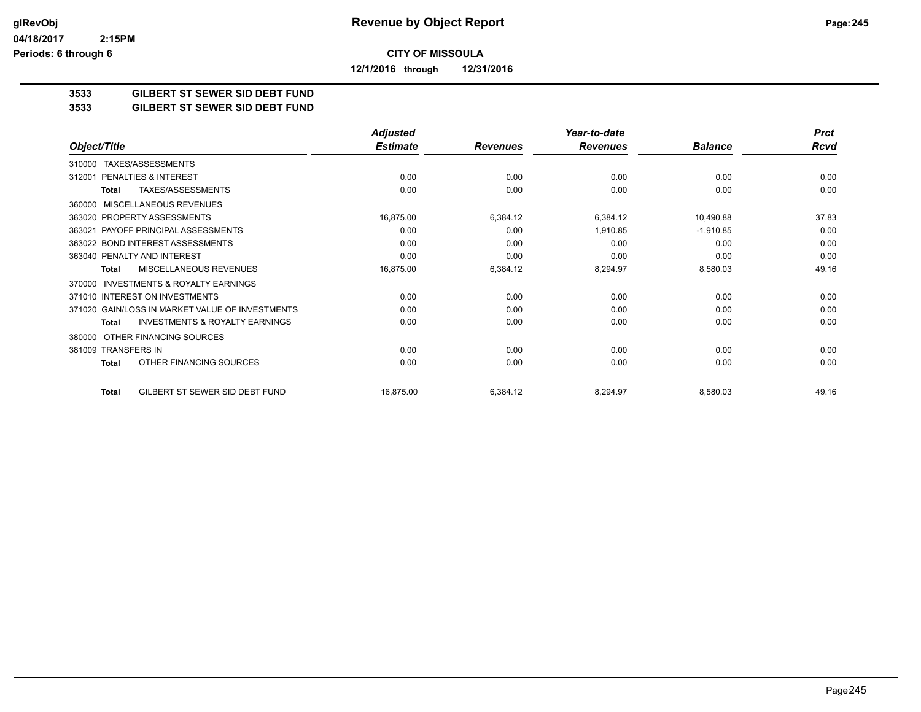**12/1/2016 through 12/31/2016**

## **3533 GILBERT ST SEWER SID DEBT FUND**

**3533 GILBERT ST SEWER SID DEBT FUND**

|                                                           | <b>Adjusted</b> |                 | Year-to-date    |                | <b>Prct</b> |
|-----------------------------------------------------------|-----------------|-----------------|-----------------|----------------|-------------|
| Object/Title                                              | <b>Estimate</b> | <b>Revenues</b> | <b>Revenues</b> | <b>Balance</b> | <b>Rcvd</b> |
| TAXES/ASSESSMENTS<br>310000                               |                 |                 |                 |                |             |
| <b>PENALTIES &amp; INTEREST</b><br>312001                 | 0.00            | 0.00            | 0.00            | 0.00           | 0.00        |
| TAXES/ASSESSMENTS<br><b>Total</b>                         | 0.00            | 0.00            | 0.00            | 0.00           | 0.00        |
| MISCELLANEOUS REVENUES<br>360000                          |                 |                 |                 |                |             |
| 363020 PROPERTY ASSESSMENTS                               | 16,875.00       | 6,384.12        | 6,384.12        | 10,490.88      | 37.83       |
| 363021 PAYOFF PRINCIPAL ASSESSMENTS                       | 0.00            | 0.00            | 1,910.85        | $-1,910.85$    | 0.00        |
| 363022 BOND INTEREST ASSESSMENTS                          | 0.00            | 0.00            | 0.00            | 0.00           | 0.00        |
| 363040 PENALTY AND INTEREST                               | 0.00            | 0.00            | 0.00            | 0.00           | 0.00        |
| MISCELLANEOUS REVENUES<br><b>Total</b>                    | 16,875.00       | 6,384.12        | 8,294.97        | 8,580.03       | 49.16       |
| <b>INVESTMENTS &amp; ROYALTY EARNINGS</b><br>370000       |                 |                 |                 |                |             |
| 371010 INTEREST ON INVESTMENTS                            | 0.00            | 0.00            | 0.00            | 0.00           | 0.00        |
| 371020 GAIN/LOSS IN MARKET VALUE OF INVESTMENTS           | 0.00            | 0.00            | 0.00            | 0.00           | 0.00        |
| <b>INVESTMENTS &amp; ROYALTY EARNINGS</b><br><b>Total</b> | 0.00            | 0.00            | 0.00            | 0.00           | 0.00        |
| OTHER FINANCING SOURCES<br>380000                         |                 |                 |                 |                |             |
| 381009 TRANSFERS IN                                       | 0.00            | 0.00            | 0.00            | 0.00           | 0.00        |
| OTHER FINANCING SOURCES<br><b>Total</b>                   | 0.00            | 0.00            | 0.00            | 0.00           | 0.00        |
| GILBERT ST SEWER SID DEBT FUND<br><b>Total</b>            | 16,875.00       | 6,384.12        | 8,294.97        | 8,580.03       | 49.16       |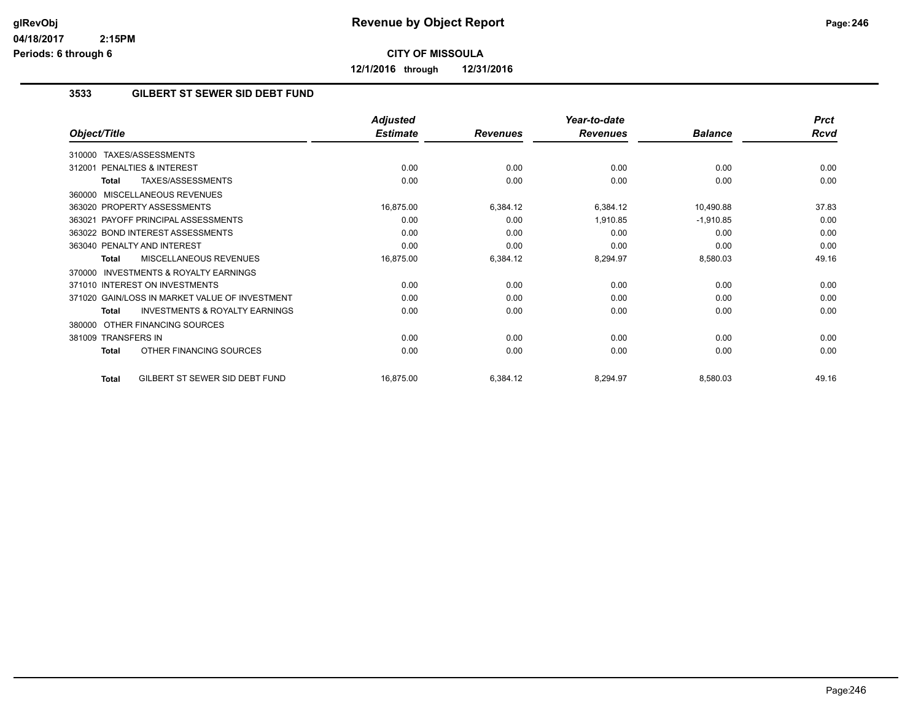**12/1/2016 through 12/31/2016**

#### **3533 GILBERT ST SEWER SID DEBT FUND**

|                                                     | <b>Adjusted</b> |                 | Year-to-date    |                | <b>Prct</b> |
|-----------------------------------------------------|-----------------|-----------------|-----------------|----------------|-------------|
| Object/Title                                        | <b>Estimate</b> | <b>Revenues</b> | <b>Revenues</b> | <b>Balance</b> | <b>Rcvd</b> |
| TAXES/ASSESSMENTS<br>310000                         |                 |                 |                 |                |             |
| PENALTIES & INTEREST<br>312001                      | 0.00            | 0.00            | 0.00            | 0.00           | 0.00        |
| TAXES/ASSESSMENTS<br><b>Total</b>                   | 0.00            | 0.00            | 0.00            | 0.00           | 0.00        |
| 360000 MISCELLANEOUS REVENUES                       |                 |                 |                 |                |             |
| 363020 PROPERTY ASSESSMENTS                         | 16,875.00       | 6,384.12        | 6,384.12        | 10,490.88      | 37.83       |
| PAYOFF PRINCIPAL ASSESSMENTS<br>363021              | 0.00            | 0.00            | 1,910.85        | $-1,910.85$    | 0.00        |
| 363022 BOND INTEREST ASSESSMENTS                    | 0.00            | 0.00            | 0.00            | 0.00           | 0.00        |
| 363040 PENALTY AND INTEREST                         | 0.00            | 0.00            | 0.00            | 0.00           | 0.00        |
| MISCELLANEOUS REVENUES<br>Total                     | 16,875.00       | 6,384.12        | 8,294.97        | 8,580.03       | 49.16       |
| <b>INVESTMENTS &amp; ROYALTY EARNINGS</b><br>370000 |                 |                 |                 |                |             |
| 371010 INTEREST ON INVESTMENTS                      | 0.00            | 0.00            | 0.00            | 0.00           | 0.00        |
| 371020 GAIN/LOSS IN MARKET VALUE OF INVESTMENT      | 0.00            | 0.00            | 0.00            | 0.00           | 0.00        |
| <b>INVESTMENTS &amp; ROYALTY EARNINGS</b><br>Total  | 0.00            | 0.00            | 0.00            | 0.00           | 0.00        |
| 380000 OTHER FINANCING SOURCES                      |                 |                 |                 |                |             |
| 381009 TRANSFERS IN                                 | 0.00            | 0.00            | 0.00            | 0.00           | 0.00        |
| OTHER FINANCING SOURCES<br><b>Total</b>             | 0.00            | 0.00            | 0.00            | 0.00           | 0.00        |
| GILBERT ST SEWER SID DEBT FUND<br><b>Total</b>      | 16,875.00       | 6,384.12        | 8,294.97        | 8,580.03       | 49.16       |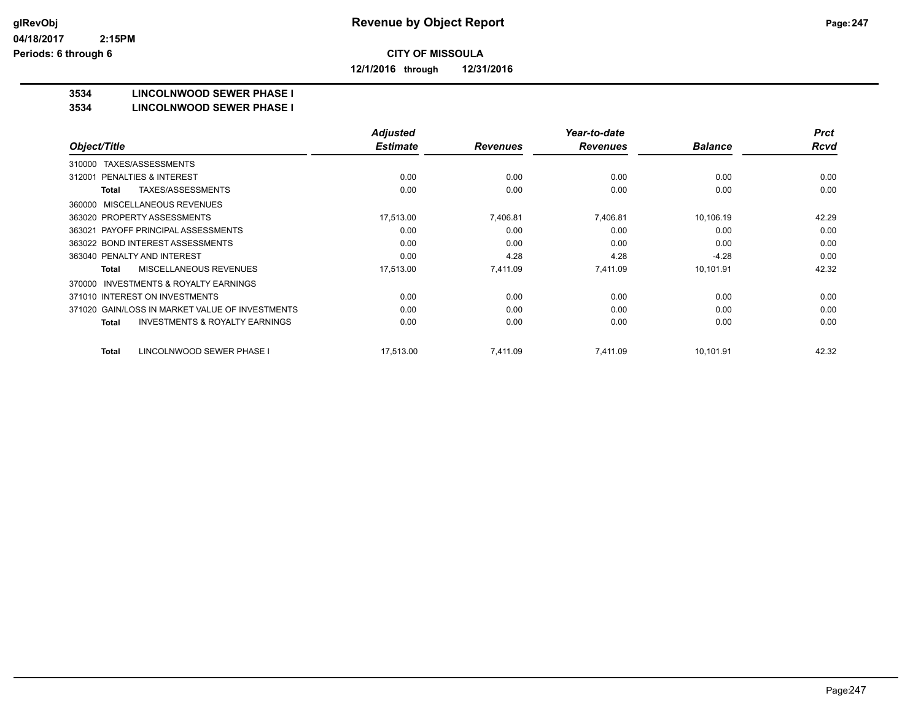*Prct Rcvd*

## **CITY OF MISSOULA**

**12/1/2016 through 12/31/2016**

**3534 LINCOLNWOOD SEWER PHASE I 3534 LINCOLNWOOD SEWER PHASE I**

| ააა4   | LINCOLINWOOD SEWER FRASE I                                |                 |                 |                 |                |             |
|--------|-----------------------------------------------------------|-----------------|-----------------|-----------------|----------------|-------------|
|        |                                                           | <b>Adjusted</b> |                 | Year-to-date    |                | <b>Prct</b> |
|        | Object/Title                                              | <b>Estimate</b> | <b>Revenues</b> | <b>Revenues</b> | <b>Balance</b> | Rcva        |
| 310000 | TAXES/ASSESSMENTS                                         |                 |                 |                 |                |             |
|        | 312001 PENALTIES & INTEREST                               | 0.00            | 0.00            | 0.00            | 0.00           | 0.00        |
|        | TAXES/ASSESSMENTS<br>Total                                | 0.00            | 0.00            | 0.00            | 0.00           | 0.00        |
|        | 360000 MISCELLANEOUS REVENUES                             |                 |                 |                 |                |             |
|        | 363020 PROPERTY ASSESSMENTS                               | 17,513.00       | 7,406.81        | 7,406.81        | 10,106.19      | 42.29       |
|        | 363021 PAYOFF PRINCIPAL ASSESSMENTS                       | 0.00            | 0.00            | 0.00            | 0.00           | 0.00        |
|        | 363022 BOND INTEREST ASSESSMENTS                          | 0.00            | 0.00            | 0.00            | 0.00           | 0.00        |
|        | 363040 PENALTY AND INTEREST                               | 0.00            | 4.28            | 4.28            | $-4.28$        | 0.00        |
|        | MISCELLANEOUS REVENUES<br>Total                           | 17,513.00       | 7,411.09        | 7,411.09        | 10,101.91      | 42.32       |
|        | 370000 INVESTMENTS & ROYALTY EARNINGS                     |                 |                 |                 |                |             |
|        | 371010 INTEREST ON INVESTMENTS                            | 0.00            | 0.00            | 0.00            | 0.00           | 0.00        |
|        | 371020 GAIN/LOSS IN MARKET VALUE OF INVESTMENTS           | 0.00            | 0.00            | 0.00            | 0.00           | 0.00        |
|        | <b>INVESTMENTS &amp; ROYALTY EARNINGS</b><br><b>Total</b> | 0.00            | 0.00            | 0.00            | 0.00           | 0.00        |
|        | <b>LINCOLNWOOD SEWER PHASE I</b><br>Total                 | 17,513.00       | 7,411.09        | 7,411.09        | 10,101.91      | 42.32       |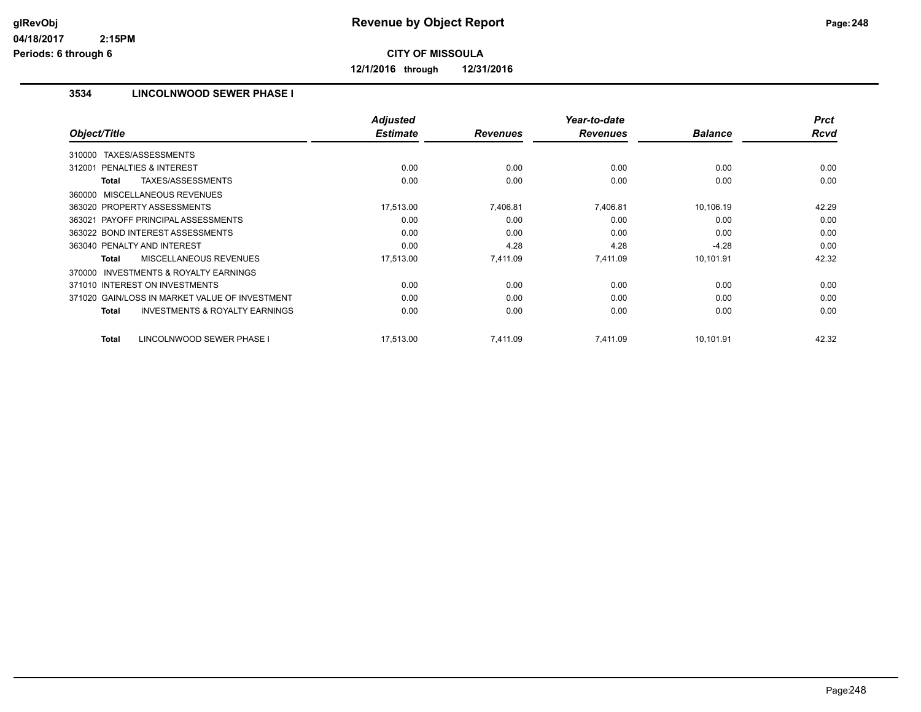**12/1/2016 through 12/31/2016**

#### **3534 LINCOLNWOOD SEWER PHASE I**

|                                                     | <b>Adjusted</b> |                 | Year-to-date    |                | <b>Prct</b> |
|-----------------------------------------------------|-----------------|-----------------|-----------------|----------------|-------------|
| Object/Title                                        | <b>Estimate</b> | <b>Revenues</b> | <b>Revenues</b> | <b>Balance</b> | <b>Rcvd</b> |
| TAXES/ASSESSMENTS<br>310000                         |                 |                 |                 |                |             |
| 312001 PENALTIES & INTEREST                         | 0.00            | 0.00            | 0.00            | 0.00           | 0.00        |
| TAXES/ASSESSMENTS<br>Total                          | 0.00            | 0.00            | 0.00            | 0.00           | 0.00        |
| MISCELLANEOUS REVENUES<br>360000                    |                 |                 |                 |                |             |
| 363020 PROPERTY ASSESSMENTS                         | 17,513.00       | 7,406.81        | 7,406.81        | 10,106.19      | 42.29       |
| 363021 PAYOFF PRINCIPAL ASSESSMENTS                 | 0.00            | 0.00            | 0.00            | 0.00           | 0.00        |
| 363022 BOND INTEREST ASSESSMENTS                    | 0.00            | 0.00            | 0.00            | 0.00           | 0.00        |
| 363040 PENALTY AND INTEREST                         | 0.00            | 4.28            | 4.28            | $-4.28$        | 0.00        |
| <b>MISCELLANEOUS REVENUES</b><br>Total              | 17,513.00       | 7,411.09        | 7,411.09        | 10,101.91      | 42.32       |
| <b>INVESTMENTS &amp; ROYALTY EARNINGS</b><br>370000 |                 |                 |                 |                |             |
| 371010 INTEREST ON INVESTMENTS                      | 0.00            | 0.00            | 0.00            | 0.00           | 0.00        |
| 371020 GAIN/LOSS IN MARKET VALUE OF INVESTMENT      | 0.00            | 0.00            | 0.00            | 0.00           | 0.00        |
| <b>INVESTMENTS &amp; ROYALTY EARNINGS</b><br>Total  | 0.00            | 0.00            | 0.00            | 0.00           | 0.00        |
| LINCOLNWOOD SEWER PHASE I<br>Total                  | 17,513.00       | 7,411.09        | 7,411.09        | 10,101.91      | 42.32       |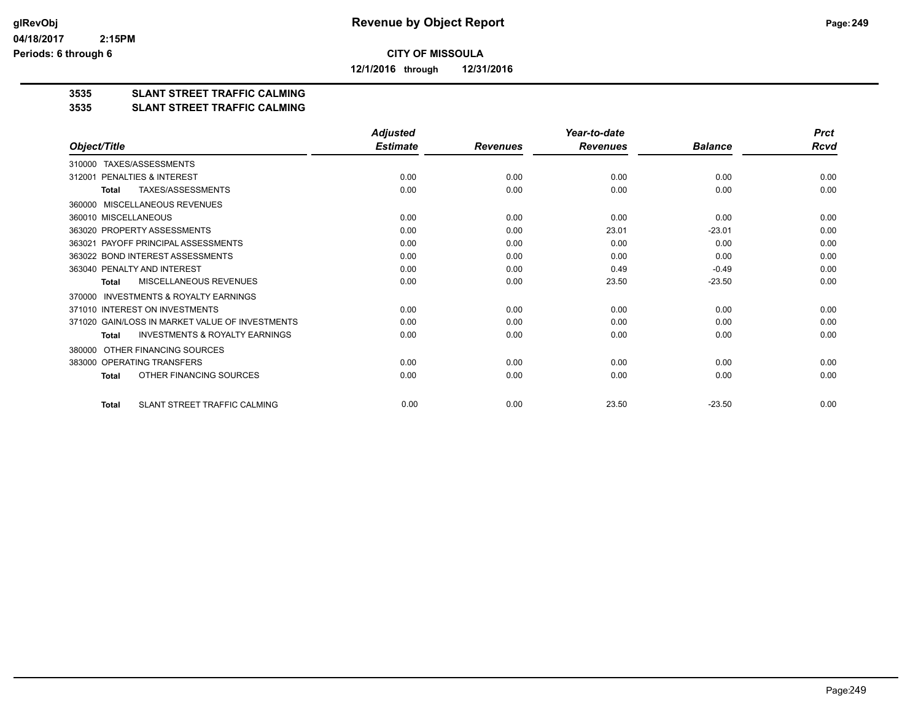**12/1/2016 through 12/31/2016**

## **3535 SLANT STREET TRAFFIC CALMING**

### **3535 SLANT STREET TRAFFIC CALMING**

|                                                           | <b>Adjusted</b> |                 | Year-to-date    |                | <b>Prct</b> |
|-----------------------------------------------------------|-----------------|-----------------|-----------------|----------------|-------------|
| Object/Title                                              | <b>Estimate</b> | <b>Revenues</b> | <b>Revenues</b> | <b>Balance</b> | <b>Rcvd</b> |
| TAXES/ASSESSMENTS<br>310000                               |                 |                 |                 |                |             |
| PENALTIES & INTEREST<br>312001                            | 0.00            | 0.00            | 0.00            | 0.00           | 0.00        |
| TAXES/ASSESSMENTS<br><b>Total</b>                         | 0.00            | 0.00            | 0.00            | 0.00           | 0.00        |
| 360000 MISCELLANEOUS REVENUES                             |                 |                 |                 |                |             |
| 360010 MISCELLANEOUS                                      | 0.00            | 0.00            | 0.00            | 0.00           | 0.00        |
| 363020 PROPERTY ASSESSMENTS                               | 0.00            | 0.00            | 23.01           | $-23.01$       | 0.00        |
| 363021 PAYOFF PRINCIPAL ASSESSMENTS                       | 0.00            | 0.00            | 0.00            | 0.00           | 0.00        |
| 363022 BOND INTEREST ASSESSMENTS                          | 0.00            | 0.00            | 0.00            | 0.00           | 0.00        |
| 363040 PENALTY AND INTEREST                               | 0.00            | 0.00            | 0.49            | $-0.49$        | 0.00        |
| <b>MISCELLANEOUS REVENUES</b><br><b>Total</b>             | 0.00            | 0.00            | 23.50           | $-23.50$       | 0.00        |
| <b>INVESTMENTS &amp; ROYALTY EARNINGS</b><br>370000       |                 |                 |                 |                |             |
| 371010 INTEREST ON INVESTMENTS                            | 0.00            | 0.00            | 0.00            | 0.00           | 0.00        |
| 371020 GAIN/LOSS IN MARKET VALUE OF INVESTMENTS           | 0.00            | 0.00            | 0.00            | 0.00           | 0.00        |
| <b>INVESTMENTS &amp; ROYALTY EARNINGS</b><br><b>Total</b> | 0.00            | 0.00            | 0.00            | 0.00           | 0.00        |
| OTHER FINANCING SOURCES<br>380000                         |                 |                 |                 |                |             |
| 383000 OPERATING TRANSFERS                                | 0.00            | 0.00            | 0.00            | 0.00           | 0.00        |
| OTHER FINANCING SOURCES<br><b>Total</b>                   | 0.00            | 0.00            | 0.00            | 0.00           | 0.00        |
| SLANT STREET TRAFFIC CALMING<br><b>Total</b>              | 0.00            | 0.00            | 23.50           | $-23.50$       | 0.00        |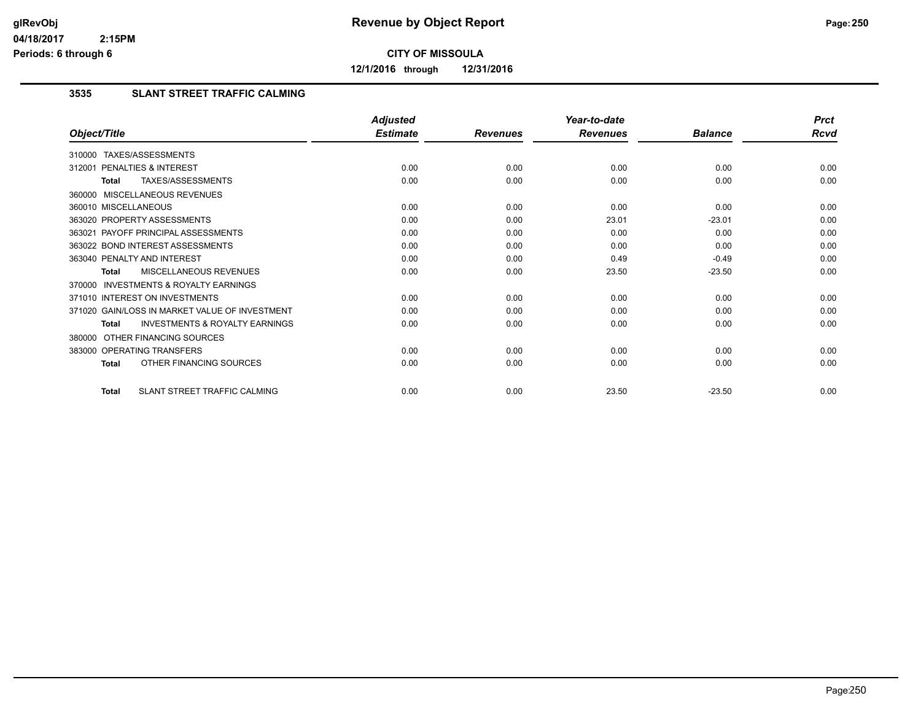**12/1/2016 through 12/31/2016**

#### **3535 SLANT STREET TRAFFIC CALMING**

|                                                           | <b>Adjusted</b> |                 | Year-to-date    |                | <b>Prct</b> |
|-----------------------------------------------------------|-----------------|-----------------|-----------------|----------------|-------------|
| Object/Title                                              | <b>Estimate</b> | <b>Revenues</b> | <b>Revenues</b> | <b>Balance</b> | Rcvd        |
| 310000 TAXES/ASSESSMENTS                                  |                 |                 |                 |                |             |
| PENALTIES & INTEREST<br>312001                            | 0.00            | 0.00            | 0.00            | 0.00           | 0.00        |
| TAXES/ASSESSMENTS<br><b>Total</b>                         | 0.00            | 0.00            | 0.00            | 0.00           | 0.00        |
| 360000 MISCELLANEOUS REVENUES                             |                 |                 |                 |                |             |
| 360010 MISCELLANEOUS                                      | 0.00            | 0.00            | 0.00            | 0.00           | 0.00        |
| 363020 PROPERTY ASSESSMENTS                               | 0.00            | 0.00            | 23.01           | $-23.01$       | 0.00        |
| 363021 PAYOFF PRINCIPAL ASSESSMENTS                       | 0.00            | 0.00            | 0.00            | 0.00           | 0.00        |
| 363022 BOND INTEREST ASSESSMENTS                          | 0.00            | 0.00            | 0.00            | 0.00           | 0.00        |
| 363040 PENALTY AND INTEREST                               | 0.00            | 0.00            | 0.49            | $-0.49$        | 0.00        |
| MISCELLANEOUS REVENUES<br><b>Total</b>                    | 0.00            | 0.00            | 23.50           | $-23.50$       | 0.00        |
| <b>INVESTMENTS &amp; ROYALTY EARNINGS</b><br>370000       |                 |                 |                 |                |             |
| 371010 INTEREST ON INVESTMENTS                            | 0.00            | 0.00            | 0.00            | 0.00           | 0.00        |
| 371020 GAIN/LOSS IN MARKET VALUE OF INVESTMENT            | 0.00            | 0.00            | 0.00            | 0.00           | 0.00        |
| <b>INVESTMENTS &amp; ROYALTY EARNINGS</b><br><b>Total</b> | 0.00            | 0.00            | 0.00            | 0.00           | 0.00        |
| 380000 OTHER FINANCING SOURCES                            |                 |                 |                 |                |             |
| 383000 OPERATING TRANSFERS                                | 0.00            | 0.00            | 0.00            | 0.00           | 0.00        |
| OTHER FINANCING SOURCES<br><b>Total</b>                   | 0.00            | 0.00            | 0.00            | 0.00           | 0.00        |
| SLANT STREET TRAFFIC CALMING<br><b>Total</b>              | 0.00            | 0.00            | 23.50           | $-23.50$       | 0.00        |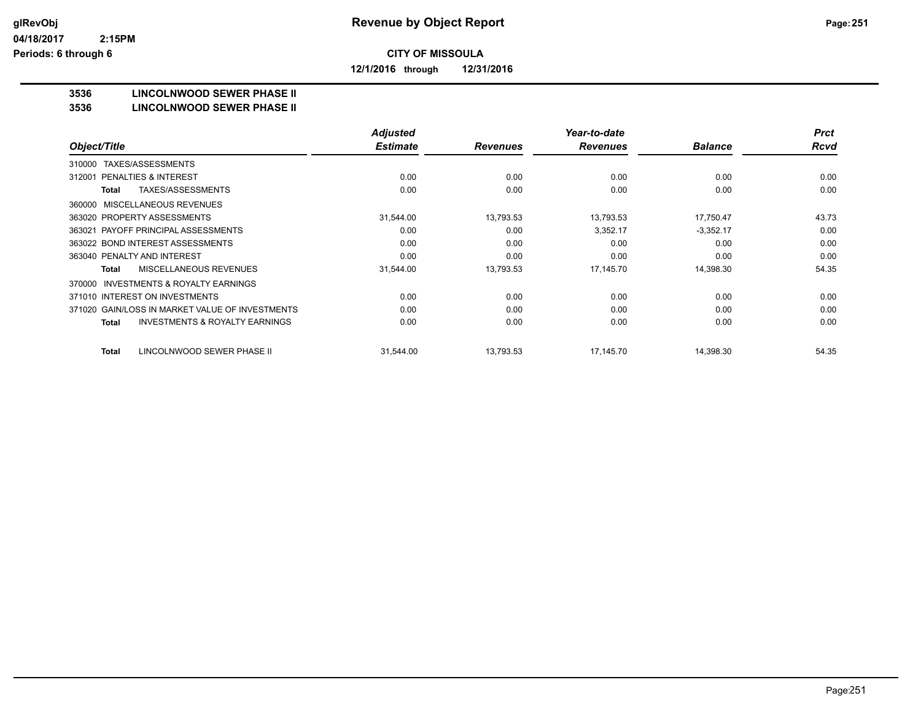**12/1/2016 through 12/31/2016**

## **3536 LINCOLNWOOD SEWER PHASE II**

| 3536 | LINCOLNWOOD SEWER PHASE II |
|------|----------------------------|
|      |                            |

|                                                     | <b>Adjusted</b> |                 | Year-to-date    |                | <b>Prct</b> |
|-----------------------------------------------------|-----------------|-----------------|-----------------|----------------|-------------|
| Object/Title                                        | <b>Estimate</b> | <b>Revenues</b> | <b>Revenues</b> | <b>Balance</b> | <b>Rcvd</b> |
| TAXES/ASSESSMENTS<br>310000                         |                 |                 |                 |                |             |
| <b>PENALTIES &amp; INTEREST</b><br>312001           | 0.00            | 0.00            | 0.00            | 0.00           | 0.00        |
| TAXES/ASSESSMENTS<br><b>Total</b>                   | 0.00            | 0.00            | 0.00            | 0.00           | 0.00        |
| <b>MISCELLANEOUS REVENUES</b><br>360000             |                 |                 |                 |                |             |
| 363020 PROPERTY ASSESSMENTS                         | 31,544.00       | 13,793.53       | 13,793.53       | 17,750.47      | 43.73       |
| 363021 PAYOFF PRINCIPAL ASSESSMENTS                 | 0.00            | 0.00            | 3,352.17        | $-3,352.17$    | 0.00        |
| 363022 BOND INTEREST ASSESSMENTS                    | 0.00            | 0.00            | 0.00            | 0.00           | 0.00        |
| 363040 PENALTY AND INTEREST                         | 0.00            | 0.00            | 0.00            | 0.00           | 0.00        |
| <b>MISCELLANEOUS REVENUES</b><br>Total              | 31,544.00       | 13,793.53       | 17,145.70       | 14,398.30      | 54.35       |
| <b>INVESTMENTS &amp; ROYALTY EARNINGS</b><br>370000 |                 |                 |                 |                |             |
| 371010 INTEREST ON INVESTMENTS                      | 0.00            | 0.00            | 0.00            | 0.00           | 0.00        |
| 371020 GAIN/LOSS IN MARKET VALUE OF INVESTMENTS     | 0.00            | 0.00            | 0.00            | 0.00           | 0.00        |
| <b>INVESTMENTS &amp; ROYALTY EARNINGS</b><br>Total  | 0.00            | 0.00            | 0.00            | 0.00           | 0.00        |
| LINCOLNWOOD SEWER PHASE II<br>Total                 | 31.544.00       | 13.793.53       | 17.145.70       | 14.398.30      | 54.35       |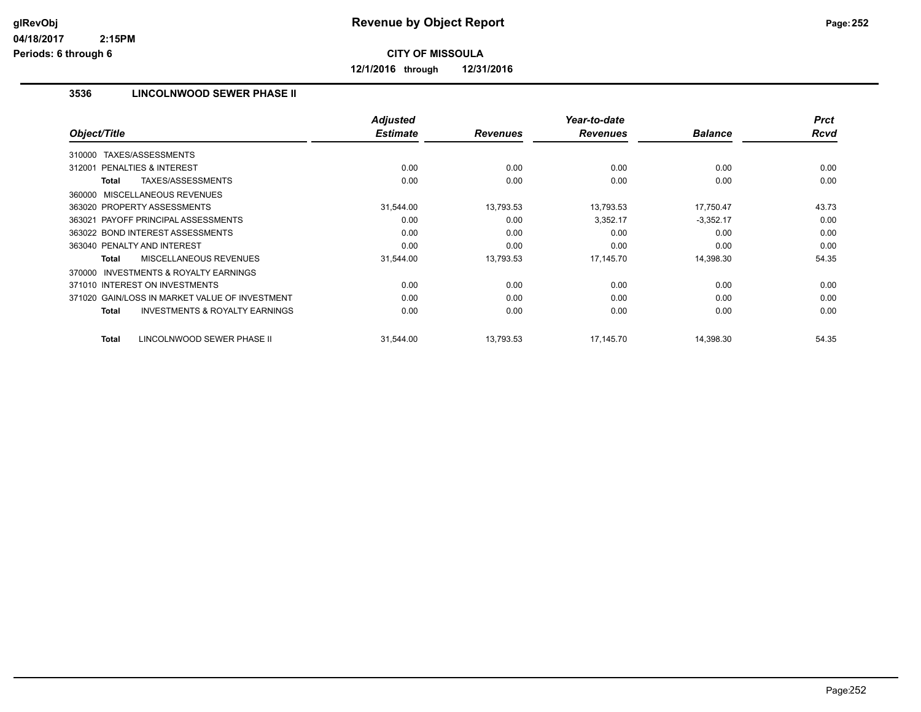**12/1/2016 through 12/31/2016**

#### **3536 LINCOLNWOOD SEWER PHASE II**

| Object/Title                                              | <b>Adjusted</b><br><b>Estimate</b> | <b>Revenues</b> | Year-to-date<br><b>Revenues</b> | <b>Balance</b> | <b>Prct</b><br><b>Rcvd</b> |
|-----------------------------------------------------------|------------------------------------|-----------------|---------------------------------|----------------|----------------------------|
|                                                           |                                    |                 |                                 |                |                            |
| 312001 PENALTIES & INTEREST                               | 0.00                               | 0.00            | 0.00                            | 0.00           | 0.00                       |
| TAXES/ASSESSMENTS<br>Total                                | 0.00                               | 0.00            | 0.00                            | 0.00           | 0.00                       |
| MISCELLANEOUS REVENUES<br>360000                          |                                    |                 |                                 |                |                            |
| 363020 PROPERTY ASSESSMENTS                               | 31,544.00                          | 13,793.53       | 13,793.53                       | 17,750.47      | 43.73                      |
| 363021 PAYOFF PRINCIPAL ASSESSMENTS                       | 0.00                               | 0.00            | 3,352.17                        | $-3,352.17$    | 0.00                       |
| 363022 BOND INTEREST ASSESSMENTS                          | 0.00                               | 0.00            | 0.00                            | 0.00           | 0.00                       |
| 363040 PENALTY AND INTEREST                               | 0.00                               | 0.00            | 0.00                            | 0.00           | 0.00                       |
| <b>MISCELLANEOUS REVENUES</b><br>Total                    | 31,544.00                          | 13,793.53       | 17,145.70                       | 14,398.30      | 54.35                      |
| <b>INVESTMENTS &amp; ROYALTY EARNINGS</b><br>370000       |                                    |                 |                                 |                |                            |
| 371010 INTEREST ON INVESTMENTS                            | 0.00                               | 0.00            | 0.00                            | 0.00           | 0.00                       |
| 371020 GAIN/LOSS IN MARKET VALUE OF INVESTMENT            | 0.00                               | 0.00            | 0.00                            | 0.00           | 0.00                       |
| <b>INVESTMENTS &amp; ROYALTY EARNINGS</b><br><b>Total</b> | 0.00                               | 0.00            | 0.00                            | 0.00           | 0.00                       |
| LINCOLNWOOD SEWER PHASE II<br>Total                       | 31,544.00                          | 13,793.53       | 17,145.70                       | 14,398.30      | 54.35                      |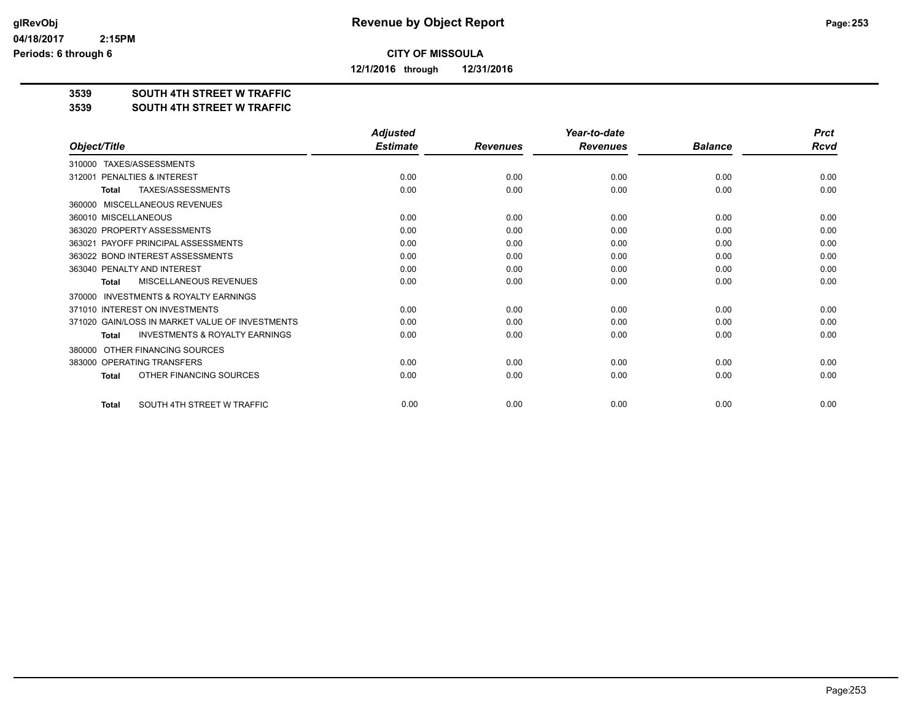**12/1/2016 through 12/31/2016**

# **3539 SOUTH 4TH STREET W TRAFFIC**

### **3539 SOUTH 4TH STREET W TRAFFIC**

|                                                     | <b>Adjusted</b> |                 | Year-to-date    |                | <b>Prct</b> |
|-----------------------------------------------------|-----------------|-----------------|-----------------|----------------|-------------|
| Object/Title                                        | <b>Estimate</b> | <b>Revenues</b> | <b>Revenues</b> | <b>Balance</b> | <b>Rcvd</b> |
| TAXES/ASSESSMENTS<br>310000                         |                 |                 |                 |                |             |
| PENALTIES & INTEREST<br>312001                      | 0.00            | 0.00            | 0.00            | 0.00           | 0.00        |
| TAXES/ASSESSMENTS<br>Total                          | 0.00            | 0.00            | 0.00            | 0.00           | 0.00        |
| 360000 MISCELLANEOUS REVENUES                       |                 |                 |                 |                |             |
| 360010 MISCELLANEOUS                                | 0.00            | 0.00            | 0.00            | 0.00           | 0.00        |
| 363020 PROPERTY ASSESSMENTS                         | 0.00            | 0.00            | 0.00            | 0.00           | 0.00        |
| PAYOFF PRINCIPAL ASSESSMENTS<br>363021              | 0.00            | 0.00            | 0.00            | 0.00           | 0.00        |
| 363022 BOND INTEREST ASSESSMENTS                    | 0.00            | 0.00            | 0.00            | 0.00           | 0.00        |
| 363040 PENALTY AND INTEREST                         | 0.00            | 0.00            | 0.00            | 0.00           | 0.00        |
| MISCELLANEOUS REVENUES<br>Total                     | 0.00            | 0.00            | 0.00            | 0.00           | 0.00        |
| <b>INVESTMENTS &amp; ROYALTY EARNINGS</b><br>370000 |                 |                 |                 |                |             |
| 371010 INTEREST ON INVESTMENTS                      | 0.00            | 0.00            | 0.00            | 0.00           | 0.00        |
| 371020 GAIN/LOSS IN MARKET VALUE OF INVESTMENTS     | 0.00            | 0.00            | 0.00            | 0.00           | 0.00        |
| <b>INVESTMENTS &amp; ROYALTY EARNINGS</b><br>Total  | 0.00            | 0.00            | 0.00            | 0.00           | 0.00        |
| OTHER FINANCING SOURCES<br>380000                   |                 |                 |                 |                |             |
| 383000 OPERATING TRANSFERS                          | 0.00            | 0.00            | 0.00            | 0.00           | 0.00        |
| OTHER FINANCING SOURCES<br><b>Total</b>             | 0.00            | 0.00            | 0.00            | 0.00           | 0.00        |
| SOUTH 4TH STREET W TRAFFIC<br>Total                 | 0.00            | 0.00            | 0.00            | 0.00           | 0.00        |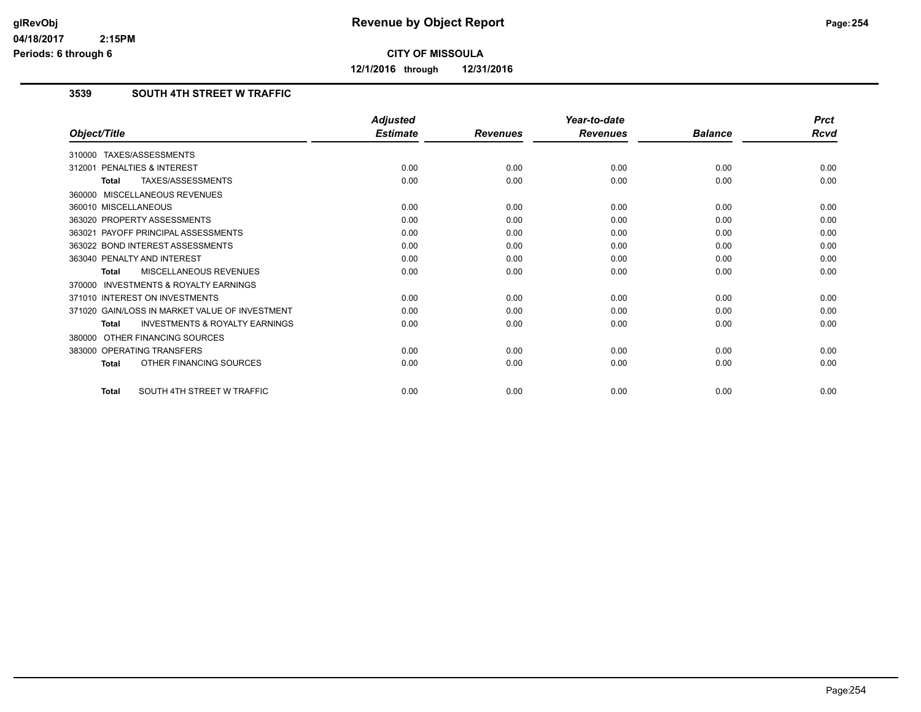**12/1/2016 through 12/31/2016**

#### **3539 SOUTH 4TH STREET W TRAFFIC**

|                                                     | <b>Adjusted</b> |                 | Year-to-date    |                | <b>Prct</b> |
|-----------------------------------------------------|-----------------|-----------------|-----------------|----------------|-------------|
| Object/Title                                        | <b>Estimate</b> | <b>Revenues</b> | <b>Revenues</b> | <b>Balance</b> | <b>Rcvd</b> |
| 310000 TAXES/ASSESSMENTS                            |                 |                 |                 |                |             |
| <b>PENALTIES &amp; INTEREST</b><br>312001           | 0.00            | 0.00            | 0.00            | 0.00           | 0.00        |
| TAXES/ASSESSMENTS<br><b>Total</b>                   | 0.00            | 0.00            | 0.00            | 0.00           | 0.00        |
| 360000 MISCELLANEOUS REVENUES                       |                 |                 |                 |                |             |
| 360010 MISCELLANEOUS                                | 0.00            | 0.00            | 0.00            | 0.00           | 0.00        |
| 363020 PROPERTY ASSESSMENTS                         | 0.00            | 0.00            | 0.00            | 0.00           | 0.00        |
| 363021 PAYOFF PRINCIPAL ASSESSMENTS                 | 0.00            | 0.00            | 0.00            | 0.00           | 0.00        |
| 363022 BOND INTEREST ASSESSMENTS                    | 0.00            | 0.00            | 0.00            | 0.00           | 0.00        |
| 363040 PENALTY AND INTEREST                         | 0.00            | 0.00            | 0.00            | 0.00           | 0.00        |
| MISCELLANEOUS REVENUES<br>Total                     | 0.00            | 0.00            | 0.00            | 0.00           | 0.00        |
| <b>INVESTMENTS &amp; ROYALTY EARNINGS</b><br>370000 |                 |                 |                 |                |             |
| 371010 INTEREST ON INVESTMENTS                      | 0.00            | 0.00            | 0.00            | 0.00           | 0.00        |
| 371020 GAIN/LOSS IN MARKET VALUE OF INVESTMENT      | 0.00            | 0.00            | 0.00            | 0.00           | 0.00        |
| <b>INVESTMENTS &amp; ROYALTY EARNINGS</b><br>Total  | 0.00            | 0.00            | 0.00            | 0.00           | 0.00        |
| OTHER FINANCING SOURCES<br>380000                   |                 |                 |                 |                |             |
| 383000 OPERATING TRANSFERS                          | 0.00            | 0.00            | 0.00            | 0.00           | 0.00        |
| OTHER FINANCING SOURCES<br><b>Total</b>             | 0.00            | 0.00            | 0.00            | 0.00           | 0.00        |
| SOUTH 4TH STREET W TRAFFIC<br><b>Total</b>          | 0.00            | 0.00            | 0.00            | 0.00           | 0.00        |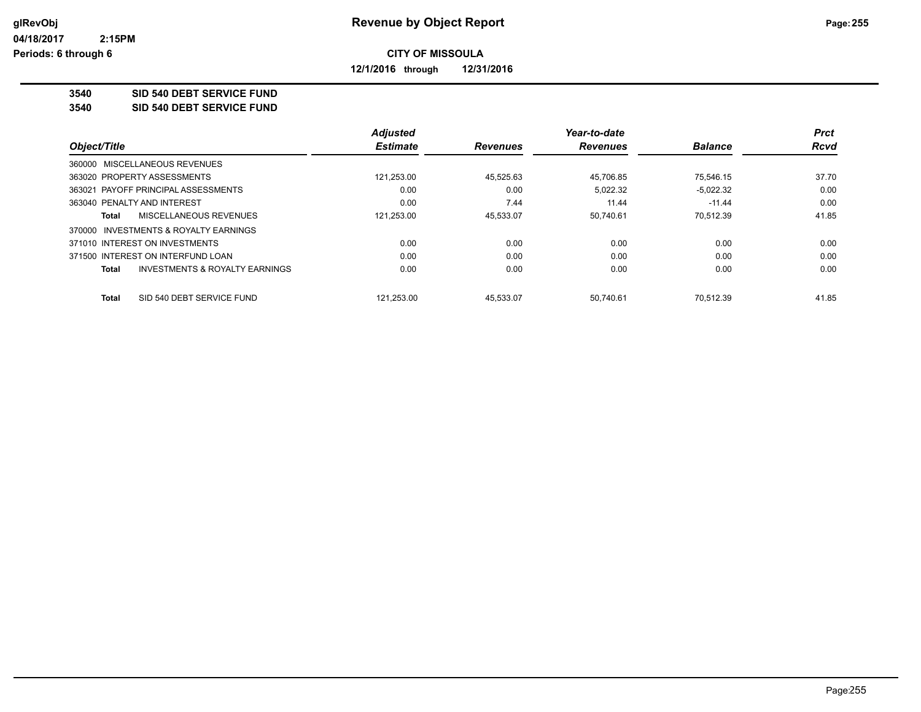**CITY OF MISSOULA 12/1/2016 through 12/31/2016**

**3540 SID 540 DEBT SERVICE FUND**

**3540 SID 540 DEBT SERVICE FUND**

|                                                    | <b>Adjusted</b> |                 | Year-to-date    |                | <b>Prct</b> |
|----------------------------------------------------|-----------------|-----------------|-----------------|----------------|-------------|
| Object/Title                                       | <b>Estimate</b> | <b>Revenues</b> | <b>Revenues</b> | <b>Balance</b> | <b>Rcvd</b> |
| 360000 MISCELLANEOUS REVENUES                      |                 |                 |                 |                |             |
| 363020 PROPERTY ASSESSMENTS                        | 121,253.00      | 45,525.63       | 45.706.85       | 75.546.15      | 37.70       |
| 363021 PAYOFF PRINCIPAL ASSESSMENTS                | 0.00            | 0.00            | 5.022.32        | $-5.022.32$    | 0.00        |
| 363040 PENALTY AND INTEREST                        | 0.00            | 7.44            | 11.44           | $-11.44$       | 0.00        |
| MISCELLANEOUS REVENUES<br>Total                    | 121,253.00      | 45,533.07       | 50.740.61       | 70.512.39      | 41.85       |
| 370000 INVESTMENTS & ROYALTY EARNINGS              |                 |                 |                 |                |             |
| 371010 INTEREST ON INVESTMENTS                     | 0.00            | 0.00            | 0.00            | 0.00           | 0.00        |
| 371500 INTEREST ON INTERFUND LOAN                  | 0.00            | 0.00            | 0.00            | 0.00           | 0.00        |
| <b>INVESTMENTS &amp; ROYALTY EARNINGS</b><br>Total | 0.00            | 0.00            | 0.00            | 0.00           | 0.00        |
|                                                    |                 |                 |                 |                |             |
| SID 540 DEBT SERVICE FUND<br><b>Total</b>          | 121.253.00      | 45.533.07       | 50.740.61       | 70.512.39      | 41.85       |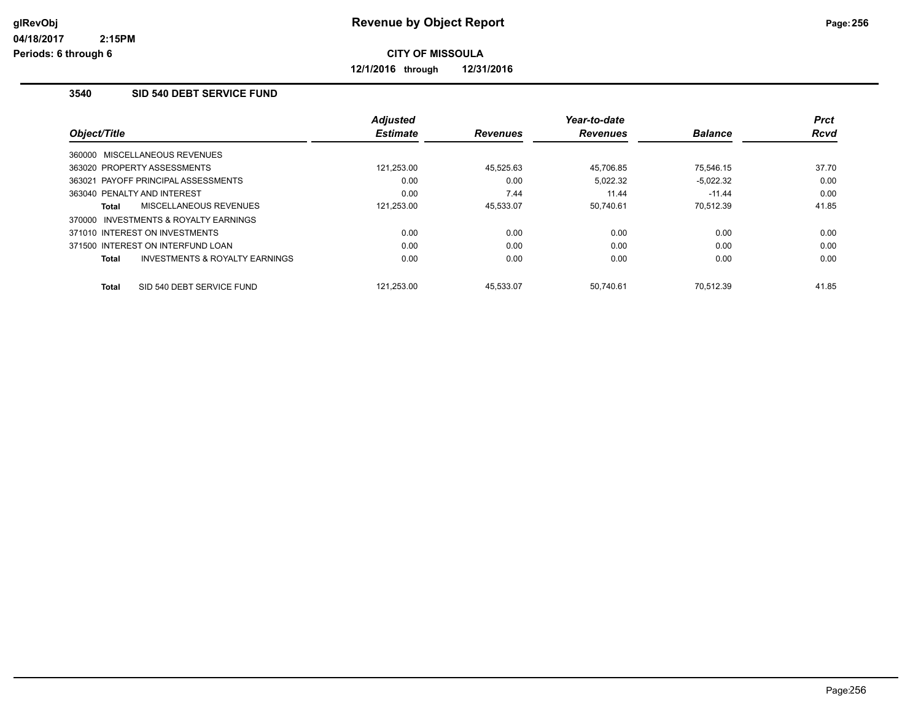**12/1/2016 through 12/31/2016**

#### **3540 SID 540 DEBT SERVICE FUND**

| Object/Title |                                           | <b>Adjusted</b><br><b>Estimate</b> | <b>Revenues</b> | Year-to-date<br><b>Revenues</b> | <b>Balance</b> | <b>Prct</b><br><b>Rcvd</b> |
|--------------|-------------------------------------------|------------------------------------|-----------------|---------------------------------|----------------|----------------------------|
|              |                                           |                                    |                 |                                 |                |                            |
|              | 360000 MISCELLANEOUS REVENUES             |                                    |                 |                                 |                |                            |
|              | 363020 PROPERTY ASSESSMENTS               | 121,253.00                         | 45,525.63       | 45,706.85                       | 75.546.15      | 37.70                      |
|              | 363021 PAYOFF PRINCIPAL ASSESSMENTS       | 0.00                               | 0.00            | 5.022.32                        | $-5.022.32$    | 0.00                       |
|              | 363040 PENALTY AND INTEREST               | 0.00                               | 7.44            | 11.44                           | $-11.44$       | 0.00                       |
| <b>Total</b> | MISCELLANEOUS REVENUES                    | 121,253.00                         | 45,533.07       | 50,740.61                       | 70.512.39      | 41.85                      |
|              | 370000 INVESTMENTS & ROYALTY EARNINGS     |                                    |                 |                                 |                |                            |
|              | 371010 INTEREST ON INVESTMENTS            | 0.00                               | 0.00            | 0.00                            | 0.00           | 0.00                       |
|              | 371500 INTEREST ON INTERFUND LOAN         | 0.00                               | 0.00            | 0.00                            | 0.00           | 0.00                       |
| <b>Total</b> | <b>INVESTMENTS &amp; ROYALTY EARNINGS</b> | 0.00                               | 0.00            | 0.00                            | 0.00           | 0.00                       |
| <b>Total</b> | SID 540 DEBT SERVICE FUND                 | 121.253.00                         | 45.533.07       | 50.740.61                       | 70.512.39      | 41.85                      |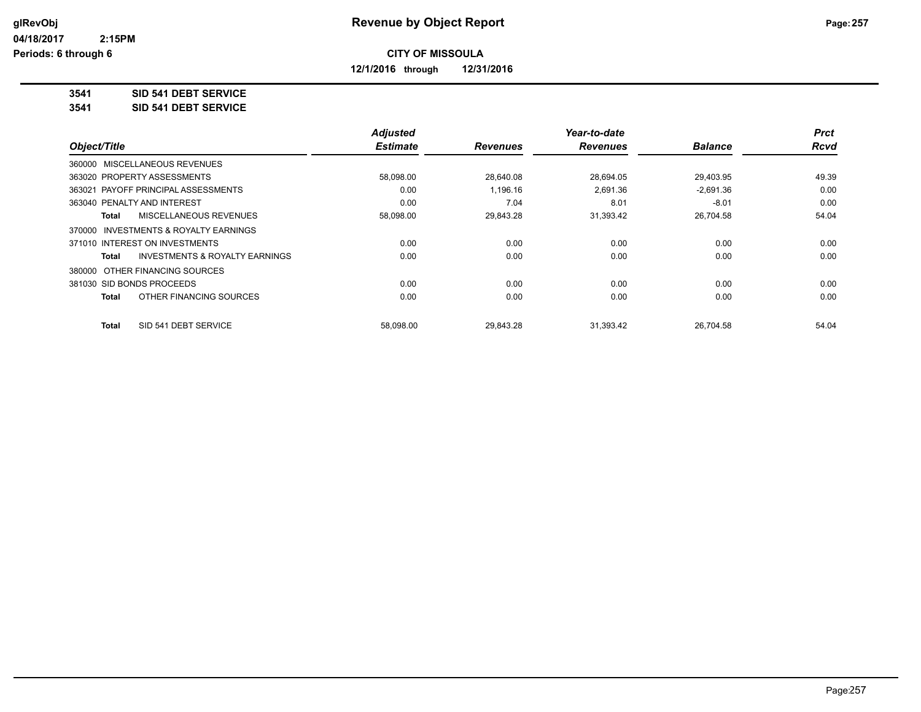**12/1/2016 through 12/31/2016**

**3541 SID 541 DEBT SERVICE**

| 3541 | <b>SID 541 DEBT SERVICE</b> |
|------|-----------------------------|
|------|-----------------------------|

|                                                    | <b>Adjusted</b> |                 | Year-to-date    |                | <b>Prct</b> |
|----------------------------------------------------|-----------------|-----------------|-----------------|----------------|-------------|
| Object/Title                                       | <b>Estimate</b> | <b>Revenues</b> | <b>Revenues</b> | <b>Balance</b> | Rcvd        |
| 360000 MISCELLANEOUS REVENUES                      |                 |                 |                 |                |             |
| 363020 PROPERTY ASSESSMENTS                        | 58,098.00       | 28.640.08       | 28,694.05       | 29.403.95      | 49.39       |
| PAYOFF PRINCIPAL ASSESSMENTS<br>363021             | 0.00            | 1,196.16        | 2,691.36        | $-2,691.36$    | 0.00        |
| 363040 PENALTY AND INTEREST                        | 0.00            | 7.04            | 8.01            | $-8.01$        | 0.00        |
| <b>MISCELLANEOUS REVENUES</b><br><b>Total</b>      | 58,098.00       | 29,843.28       | 31,393.42       | 26,704.58      | 54.04       |
| 370000 INVESTMENTS & ROYALTY EARNINGS              |                 |                 |                 |                |             |
| 371010 INTEREST ON INVESTMENTS                     | 0.00            | 0.00            | 0.00            | 0.00           | 0.00        |
| <b>INVESTMENTS &amp; ROYALTY EARNINGS</b><br>Total | 0.00            | 0.00            | 0.00            | 0.00           | 0.00        |
| 380000 OTHER FINANCING SOURCES                     |                 |                 |                 |                |             |
| 381030 SID BONDS PROCEEDS                          | 0.00            | 0.00            | 0.00            | 0.00           | 0.00        |
| OTHER FINANCING SOURCES<br><b>Total</b>            | 0.00            | 0.00            | 0.00            | 0.00           | 0.00        |
| SID 541 DEBT SERVICE<br><b>Total</b>               | 58.098.00       | 29.843.28       | 31.393.42       | 26.704.58      | 54.04       |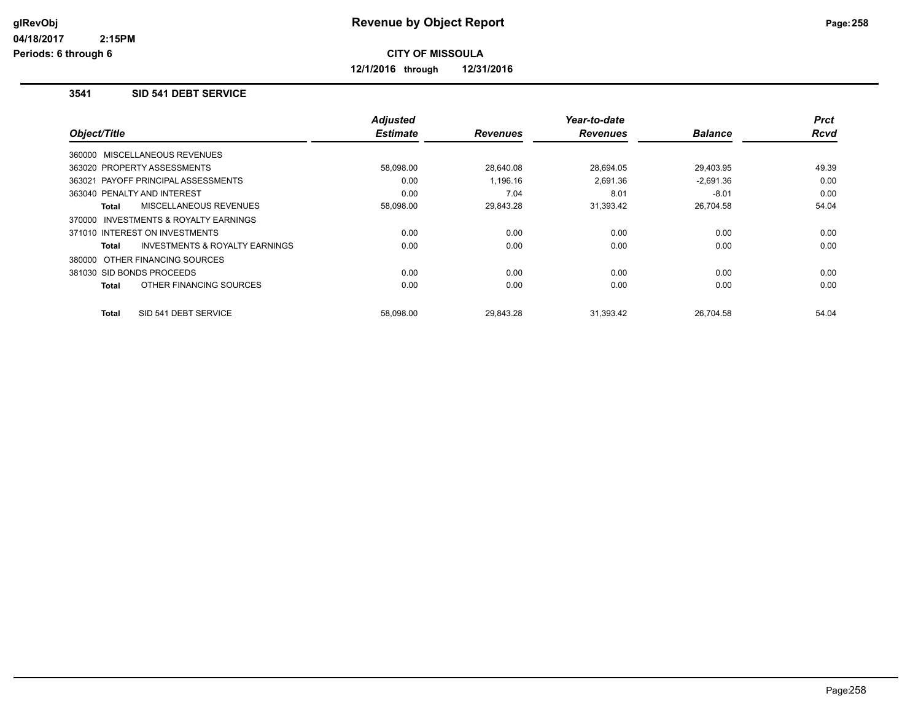**12/1/2016 through 12/31/2016**

#### **3541 SID 541 DEBT SERVICE**

| Object/Title                                   | <b>Adjusted</b><br><b>Estimate</b> | <b>Revenues</b> | Year-to-date<br><b>Revenues</b> | <b>Balance</b> | <b>Prct</b><br><b>Rcvd</b> |
|------------------------------------------------|------------------------------------|-----------------|---------------------------------|----------------|----------------------------|
| 360000 MISCELLANEOUS REVENUES                  |                                    |                 |                                 |                |                            |
| 363020 PROPERTY ASSESSMENTS                    |                                    |                 |                                 |                | 49.39                      |
|                                                | 58,098.00                          | 28.640.08       | 28,694.05                       | 29,403.95      |                            |
| 363021 PAYOFF PRINCIPAL ASSESSMENTS            | 0.00                               | 1,196.16        | 2,691.36                        | $-2,691.36$    | 0.00                       |
| 363040 PENALTY AND INTEREST                    | 0.00                               | 7.04            | 8.01                            | $-8.01$        | 0.00                       |
| MISCELLANEOUS REVENUES<br><b>Total</b>         | 58,098.00                          | 29,843.28       | 31,393.42                       | 26,704.58      | 54.04                      |
| INVESTMENTS & ROYALTY EARNINGS<br>370000       |                                    |                 |                                 |                |                            |
| 371010 INTEREST ON INVESTMENTS                 | 0.00                               | 0.00            | 0.00                            | 0.00           | 0.00                       |
| INVESTMENTS & ROYALTY EARNINGS<br><b>Total</b> | 0.00                               | 0.00            | 0.00                            | 0.00           | 0.00                       |
| 380000 OTHER FINANCING SOURCES                 |                                    |                 |                                 |                |                            |
| 381030 SID BONDS PROCEEDS                      | 0.00                               | 0.00            | 0.00                            | 0.00           | 0.00                       |
| OTHER FINANCING SOURCES<br><b>Total</b>        | 0.00                               | 0.00            | 0.00                            | 0.00           | 0.00                       |
| <b>Total</b><br>SID 541 DEBT SERVICE           | 58.098.00                          | 29.843.28       | 31.393.42                       | 26.704.58      | 54.04                      |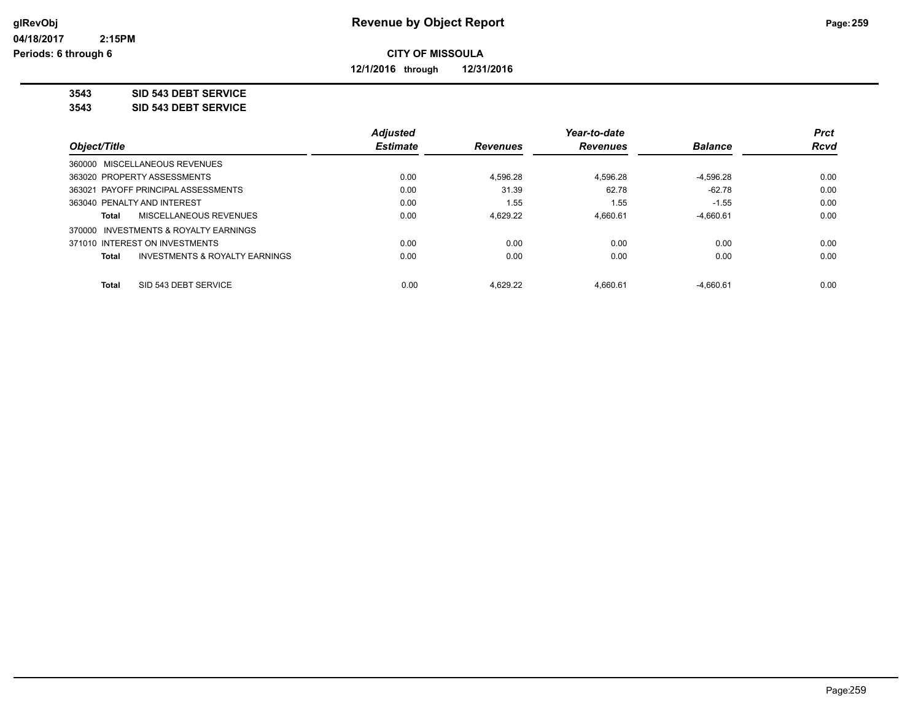**12/1/2016 through 12/31/2016**

**3543 SID 543 DEBT SERVICE**

**3543 SID 543 DEBT SERVICE**

|                                                    | <b>Adjusted</b> |                 | Year-to-date    |                | <b>Prct</b> |
|----------------------------------------------------|-----------------|-----------------|-----------------|----------------|-------------|
| Object/Title                                       | <b>Estimate</b> | <b>Revenues</b> | <b>Revenues</b> | <b>Balance</b> | <b>Rcvd</b> |
| 360000 MISCELLANEOUS REVENUES                      |                 |                 |                 |                |             |
| 363020 PROPERTY ASSESSMENTS                        | 0.00            | 4.596.28        | 4.596.28        | -4.596.28      | 0.00        |
| 363021 PAYOFF PRINCIPAL ASSESSMENTS                | 0.00            | 31.39           | 62.78           | $-62.78$       | 0.00        |
| 363040 PENALTY AND INTEREST                        | 0.00            | 1.55            | 1.55            | $-1.55$        | 0.00        |
| MISCELLANEOUS REVENUES<br>Total                    | 0.00            | 4.629.22        | 4.660.61        | $-4.660.61$    | 0.00        |
| 370000 INVESTMENTS & ROYALTY EARNINGS              |                 |                 |                 |                |             |
| 371010 INTEREST ON INVESTMENTS                     | 0.00            | 0.00            | 0.00            | 0.00           | 0.00        |
| <b>INVESTMENTS &amp; ROYALTY EARNINGS</b><br>Total | 0.00            | 0.00            | 0.00            | 0.00           | 0.00        |
| SID 543 DEBT SERVICE<br><b>Total</b>               | 0.00            | 4.629.22        | 4.660.61        | $-4.660.61$    | 0.00        |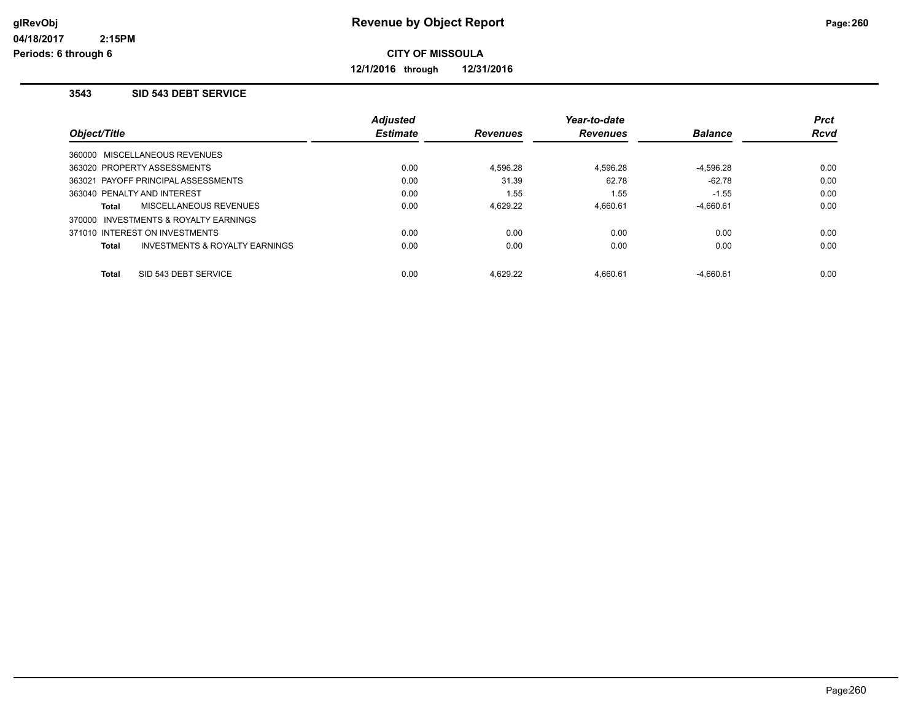**12/1/2016 through 12/31/2016**

#### **3543 SID 543 DEBT SERVICE**

|                                          | <b>Adiusted</b> |                 | Year-to-date    |                | <b>Prct</b> |
|------------------------------------------|-----------------|-----------------|-----------------|----------------|-------------|
| Object/Title                             | <b>Estimate</b> | <b>Revenues</b> | <b>Revenues</b> | <b>Balance</b> | <b>Rcvd</b> |
| 360000 MISCELLANEOUS REVENUES            |                 |                 |                 |                |             |
| 363020 PROPERTY ASSESSMENTS              | 0.00            | 4.596.28        | 4.596.28        | -4.596.28      | 0.00        |
| 363021 PAYOFF PRINCIPAL ASSESSMENTS      | 0.00            | 31.39           | 62.78           | $-62.78$       | 0.00        |
| 363040 PENALTY AND INTEREST              | 0.00            | 1.55            | 1.55            | $-1.55$        | 0.00        |
| MISCELLANEOUS REVENUES<br>Total          | 0.00            | 4.629.22        | 4.660.61        | $-4.660.61$    | 0.00        |
| INVESTMENTS & ROYALTY EARNINGS<br>370000 |                 |                 |                 |                |             |
| 371010 INTEREST ON INVESTMENTS           | 0.00            | 0.00            | 0.00            | 0.00           | 0.00        |
| INVESTMENTS & ROYALTY EARNINGS<br>Total  | 0.00            | 0.00            | 0.00            | 0.00           | 0.00        |
| SID 543 DEBT SERVICE<br><b>Total</b>     | 0.00            | 4.629.22        | 4.660.61        | $-4.660.61$    | 0.00        |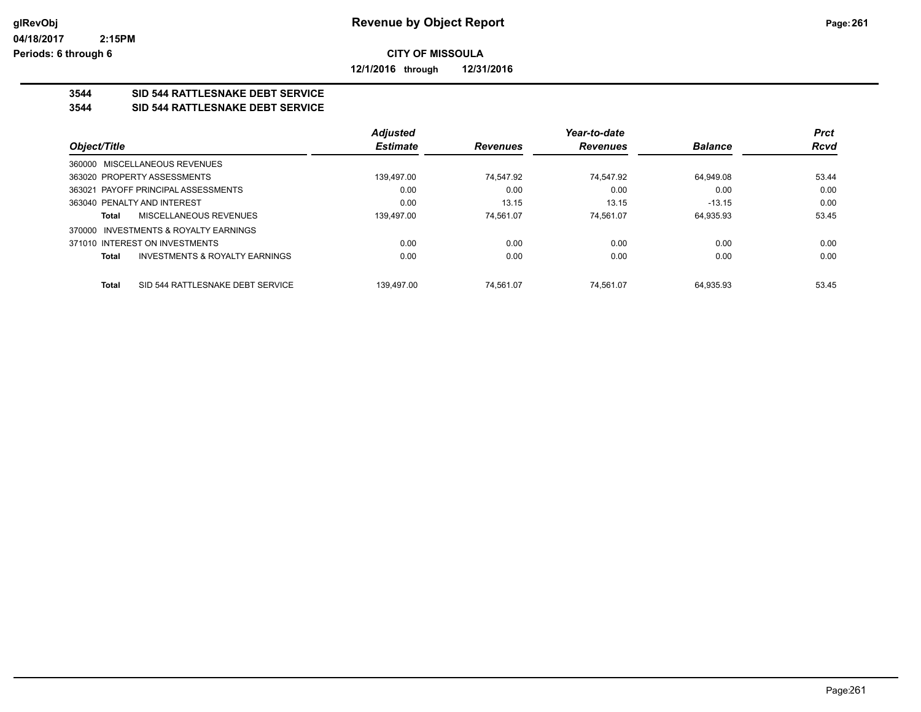**12/1/2016 through 12/31/2016**

#### **3544 SID 544 RATTLESNAKE DEBT SERVICE 3544 SID 544 RATTLESNAKE DEBT SERVICE**

|                                                    | <b>Adjusted</b> |                 | Year-to-date    |                | <b>Prct</b> |
|----------------------------------------------------|-----------------|-----------------|-----------------|----------------|-------------|
| Object/Title                                       | <b>Estimate</b> | <b>Revenues</b> | <b>Revenues</b> | <b>Balance</b> | Rcvd        |
| 360000 MISCELLANEOUS REVENUES                      |                 |                 |                 |                |             |
| 363020 PROPERTY ASSESSMENTS                        | 139.497.00      | 74.547.92       | 74.547.92       | 64.949.08      | 53.44       |
| 363021 PAYOFF PRINCIPAL ASSESSMENTS                | 0.00            | 0.00            | 0.00            | 0.00           | 0.00        |
| 363040 PENALTY AND INTEREST                        | 0.00            | 13.15           | 13.15           | $-13.15$       | 0.00        |
| MISCELLANEOUS REVENUES<br>Total                    | 139,497.00      | 74,561.07       | 74,561.07       | 64,935.93      | 53.45       |
| 370000 INVESTMENTS & ROYALTY EARNINGS              |                 |                 |                 |                |             |
| 371010 INTEREST ON INVESTMENTS                     | 0.00            | 0.00            | 0.00            | 0.00           | 0.00        |
| <b>INVESTMENTS &amp; ROYALTY EARNINGS</b><br>Total | 0.00            | 0.00            | 0.00            | 0.00           | 0.00        |
| SID 544 RATTLESNAKE DEBT SERVICE<br><b>Total</b>   | 139.497.00      | 74.561.07       | 74.561.07       | 64.935.93      | 53.45       |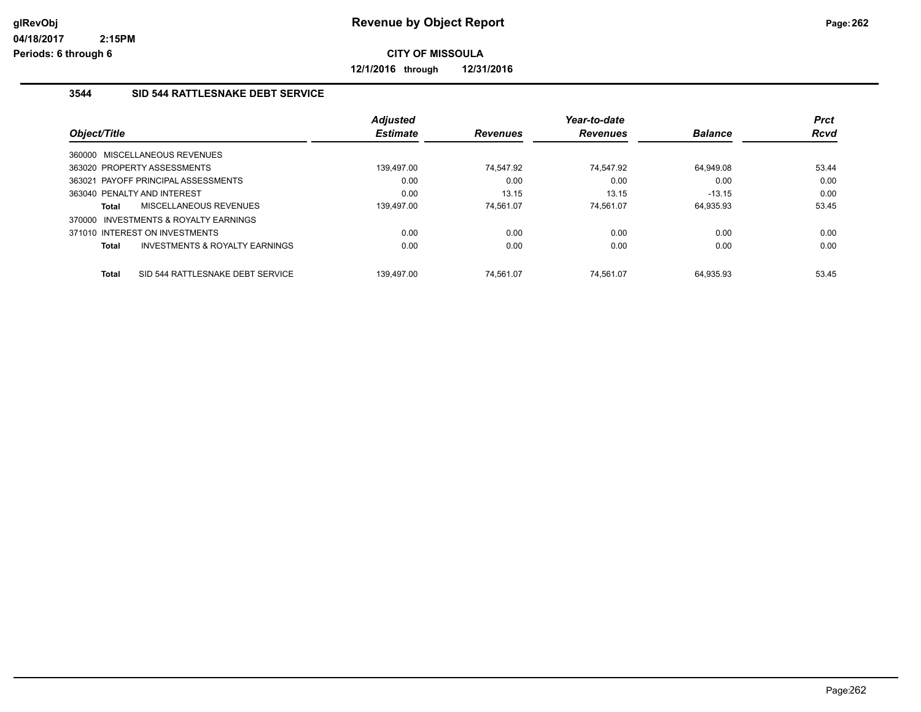**12/1/2016 through 12/31/2016**

#### **3544 SID 544 RATTLESNAKE DEBT SERVICE**

|                                     |                                  | <b>Adjusted</b> |                 | Year-to-date    |                | <b>Prct</b> |
|-------------------------------------|----------------------------------|-----------------|-----------------|-----------------|----------------|-------------|
| Object/Title                        |                                  | <b>Estimate</b> | <b>Revenues</b> | <b>Revenues</b> | <b>Balance</b> | <b>Rcvd</b> |
| 360000 MISCELLANEOUS REVENUES       |                                  |                 |                 |                 |                |             |
| 363020 PROPERTY ASSESSMENTS         |                                  | 139.497.00      | 74.547.92       | 74.547.92       | 64.949.08      | 53.44       |
| 363021 PAYOFF PRINCIPAL ASSESSMENTS |                                  | 0.00            | 0.00            | 0.00            | 0.00           | 0.00        |
| 363040 PENALTY AND INTEREST         |                                  | 0.00            | 13.15           | 13.15           | $-13.15$       | 0.00        |
| <b>Total</b>                        | MISCELLANEOUS REVENUES           | 139.497.00      | 74.561.07       | 74.561.07       | 64.935.93      | 53.45       |
| 370000                              | INVESTMENTS & ROYALTY EARNINGS   |                 |                 |                 |                |             |
| 371010 INTEREST ON INVESTMENTS      |                                  | 0.00            | 0.00            | 0.00            | 0.00           | 0.00        |
| <b>Total</b>                        | INVESTMENTS & ROYALTY EARNINGS   | 0.00            | 0.00            | 0.00            | 0.00           | 0.00        |
| <b>Total</b>                        | SID 544 RATTLESNAKE DEBT SERVICE | 139.497.00      | 74.561.07       | 74.561.07       | 64.935.93      | 53.45       |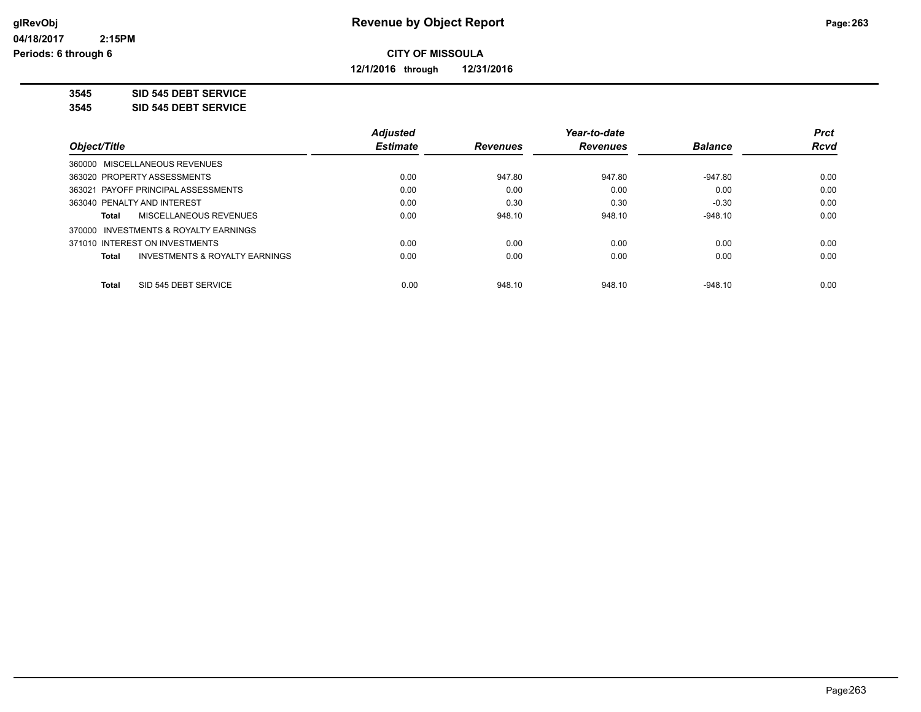**12/1/2016 through 12/31/2016**

**3545 SID 545 DEBT SERVICE**

| <b>SID 545 DEBT SERVICE</b><br>3545 |  |
|-------------------------------------|--|
|-------------------------------------|--|

|                                                           | <b>Adjusted</b> |          | Year-to-date    |                | <b>Prct</b> |
|-----------------------------------------------------------|-----------------|----------|-----------------|----------------|-------------|
| Object/Title                                              | <b>Estimate</b> | Revenues | <b>Revenues</b> | <b>Balance</b> | Rcvd        |
| 360000 MISCELLANEOUS REVENUES                             |                 |          |                 |                |             |
| 363020 PROPERTY ASSESSMENTS                               | 0.00            | 947.80   | 947.80          | $-947.80$      | 0.00        |
| 363021 PAYOFF PRINCIPAL ASSESSMENTS                       | 0.00            | 0.00     | 0.00            | 0.00           | 0.00        |
| 363040 PENALTY AND INTEREST                               | 0.00            | 0.30     | 0.30            | $-0.30$        | 0.00        |
| MISCELLANEOUS REVENUES<br>Total                           | 0.00            | 948.10   | 948.10          | $-948.10$      | 0.00        |
| 370000 INVESTMENTS & ROYALTY EARNINGS                     |                 |          |                 |                |             |
| 371010 INTEREST ON INVESTMENTS                            | 0.00            | 0.00     | 0.00            | 0.00           | 0.00        |
| <b>INVESTMENTS &amp; ROYALTY EARNINGS</b><br><b>Total</b> | 0.00            | 0.00     | 0.00            | 0.00           | 0.00        |
|                                                           |                 |          |                 |                |             |
| SID 545 DEBT SERVICE<br><b>Total</b>                      | 0.00            | 948.10   | 948.10          | -948.10        | 0.00        |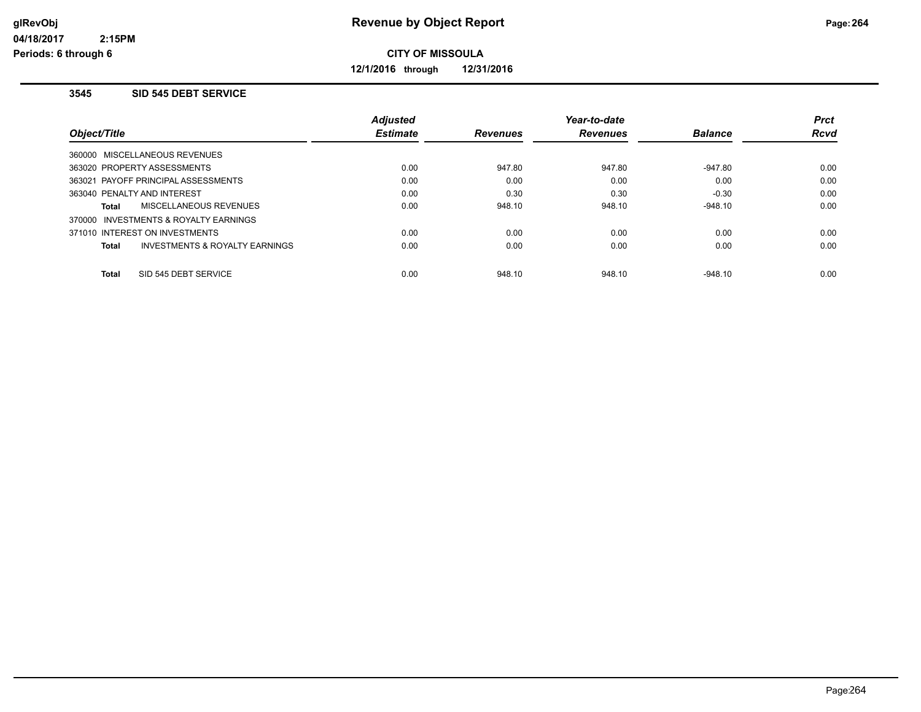**12/1/2016 through 12/31/2016**

#### **3545 SID 545 DEBT SERVICE**

|                                                | <b>Adiusted</b> |                 | Year-to-date    |                | <b>Prct</b> |
|------------------------------------------------|-----------------|-----------------|-----------------|----------------|-------------|
| Object/Title                                   | <b>Estimate</b> | <b>Revenues</b> | <b>Revenues</b> | <b>Balance</b> | <b>Rcvd</b> |
| MISCELLANEOUS REVENUES<br>360000               |                 |                 |                 |                |             |
| 363020 PROPERTY ASSESSMENTS                    | 0.00            | 947.80          | 947.80          | $-947.80$      | 0.00        |
| 363021 PAYOFF PRINCIPAL ASSESSMENTS            | 0.00            | 0.00            | 0.00            | 0.00           | 0.00        |
| 363040 PENALTY AND INTEREST                    | 0.00            | 0.30            | 0.30            | $-0.30$        | 0.00        |
| MISCELLANEOUS REVENUES<br>Total                | 0.00            | 948.10          | 948.10          | $-948.10$      | 0.00        |
| INVESTMENTS & ROYALTY EARNINGS<br>370000       |                 |                 |                 |                |             |
| 371010 INTEREST ON INVESTMENTS                 | 0.00            | 0.00            | 0.00            | 0.00           | 0.00        |
| INVESTMENTS & ROYALTY EARNINGS<br><b>Total</b> | 0.00            | 0.00            | 0.00            | 0.00           | 0.00        |
| SID 545 DEBT SERVICE<br>Total                  | 0.00            | 948.10          | 948.10          | $-948.10$      | 0.00        |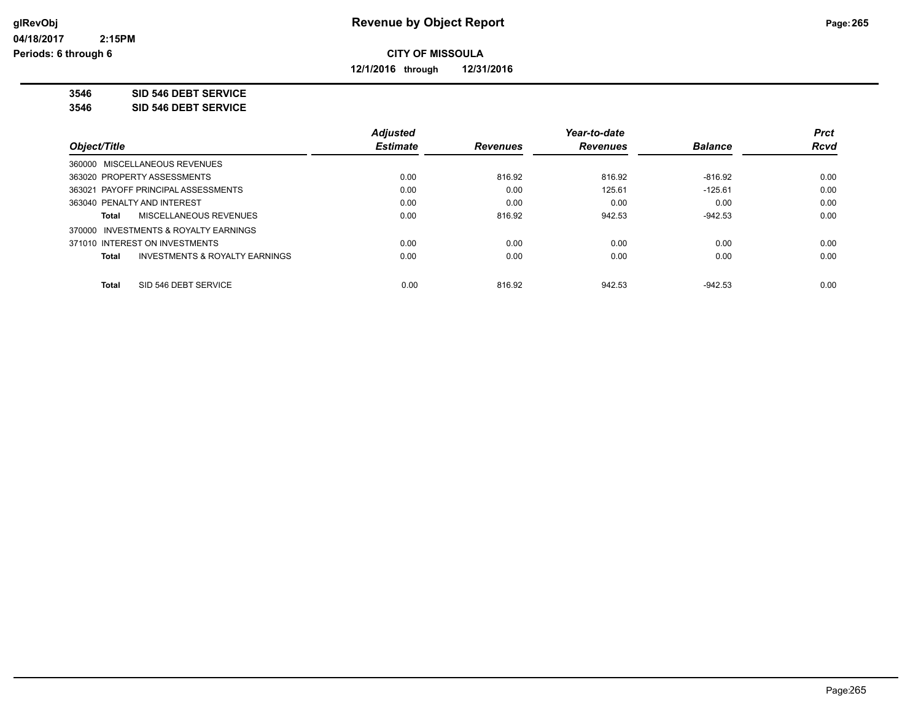**12/1/2016 through 12/31/2016**

**3546 SID 546 DEBT SERVICE 3546 SID 546 DEBT SERVICE**

|                                          | <b>Adjusted</b> |                 | Year-to-date    |                | <b>Prct</b> |
|------------------------------------------|-----------------|-----------------|-----------------|----------------|-------------|
| Object/Title                             | <b>Estimate</b> | <b>Revenues</b> | <b>Revenues</b> | <b>Balance</b> | <b>Rcvd</b> |
| MISCELLANEOUS REVENUES<br>360000         |                 |                 |                 |                |             |
| 363020 PROPERTY ASSESSMENTS              | 0.00            | 816.92          | 816.92          | $-816.92$      | 0.00        |
| 363021 PAYOFF PRINCIPAL ASSESSMENTS      | 0.00            | 0.00            | 125.61          | $-125.61$      | 0.00        |
| 363040 PENALTY AND INTEREST              | 0.00            | 0.00            | 0.00            | 0.00           | 0.00        |
| MISCELLANEOUS REVENUES<br>Total          | 0.00            | 816.92          | 942.53          | $-942.53$      | 0.00        |
| INVESTMENTS & ROYALTY EARNINGS<br>370000 |                 |                 |                 |                |             |
| 371010 INTEREST ON INVESTMENTS           | 0.00            | 0.00            | 0.00            | 0.00           | 0.00        |
| INVESTMENTS & ROYALTY EARNINGS<br>Total  | 0.00            | 0.00            | 0.00            | 0.00           | 0.00        |
| SID 546 DEBT SERVICE<br>Total            | 0.00            | 816.92          | 942.53          | $-942.53$      | 0.00        |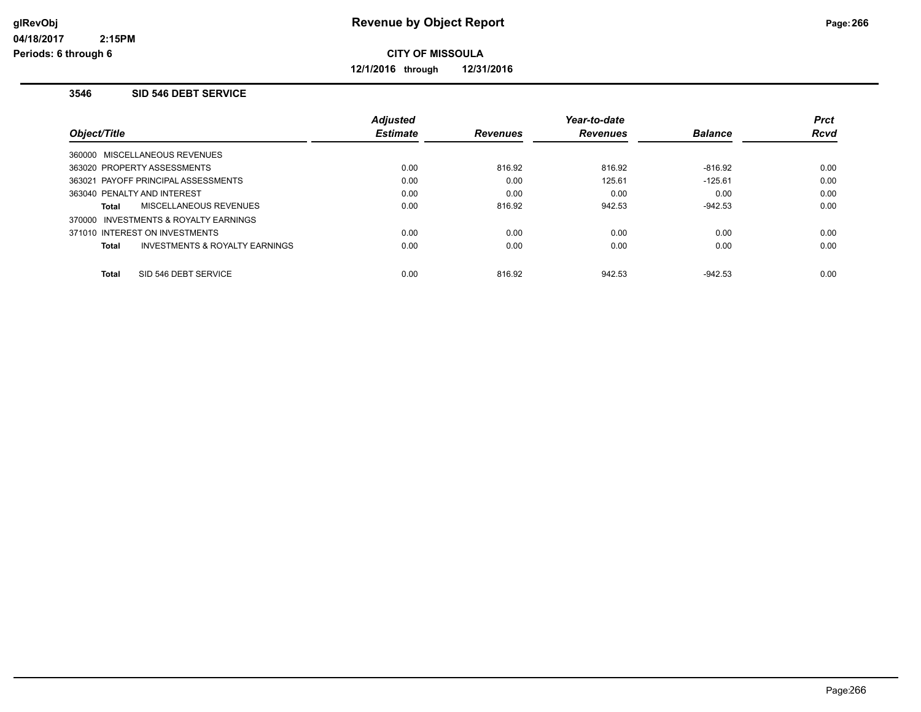**12/1/2016 through 12/31/2016**

#### **3546 SID 546 DEBT SERVICE**

|                                         | <b>Adiusted</b> |                 | Year-to-date    |                | <b>Prct</b> |
|-----------------------------------------|-----------------|-----------------|-----------------|----------------|-------------|
| Object/Title                            | <b>Estimate</b> | <b>Revenues</b> | <b>Revenues</b> | <b>Balance</b> | <b>Rcvd</b> |
| 360000 MISCELLANEOUS REVENUES           |                 |                 |                 |                |             |
| 363020 PROPERTY ASSESSMENTS             | 0.00            | 816.92          | 816.92          | $-816.92$      | 0.00        |
| 363021 PAYOFF PRINCIPAL ASSESSMENTS     | 0.00            | 0.00            | 125.61          | $-125.61$      | 0.00        |
| 363040 PENALTY AND INTEREST             | 0.00            | 0.00            | 0.00            | 0.00           | 0.00        |
| MISCELLANEOUS REVENUES<br>Total         | 0.00            | 816.92          | 942.53          | $-942.53$      | 0.00        |
| 370000 INVESTMENTS & ROYALTY EARNINGS   |                 |                 |                 |                |             |
| 371010 INTEREST ON INVESTMENTS          | 0.00            | 0.00            | 0.00            | 0.00           | 0.00        |
| Total<br>INVESTMENTS & ROYALTY EARNINGS | 0.00            | 0.00            | 0.00            | 0.00           | 0.00        |
| SID 546 DEBT SERVICE<br><b>Total</b>    | 0.00            | 816.92          | 942.53          | $-942.53$      | 0.00        |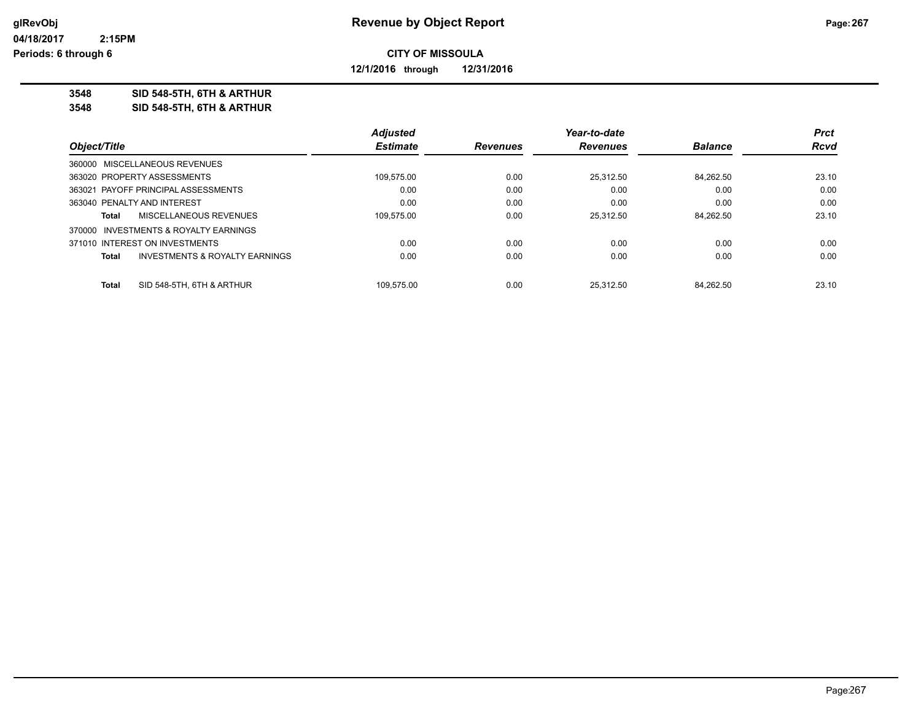*Prct* 

# **CITY OF MISSOULA**

**12/1/2016 through 12/31/2016**

**3548 SID 548-5TH, 6TH & ARTHUR 3548 SID 548-5TH, 6TH & ARTHUR**

*Object/Title Adjusted Estimate Revenues Year-to-date Revenues Balance Rcvd* 360000 MISCELLANEOUS REVENUES 363020 PROPERTY ASSESSMENTS 109,575.00 0.00 25,312.50 84,262.50 23.10 363021 PAYOFF PRINCIPAL ASSESSMENTS 0.00 0.00 0.00 0.00 0.00 363040 PENALTY AND INTEREST 0.00 0.00 0.00 0.00 0.00 **Total** MISCELLANEOUS REVENUES 109,575.00 0.00 25,312.50 84,262.50 23.10 370000 INVESTMENTS & ROYALTY EARNINGS 371010 INTEREST ON INVESTMENTS 0.00 0.00 0.00 0.00 0.00 **Total** INVESTMENTS & ROYALTY EARNINGS 0.00 0.00 0.00 0.00 0.00 **Total** SID 548-5TH, 6TH & ARTHUR 109,575.00 0.00 25,312.50 84,262.50 23.10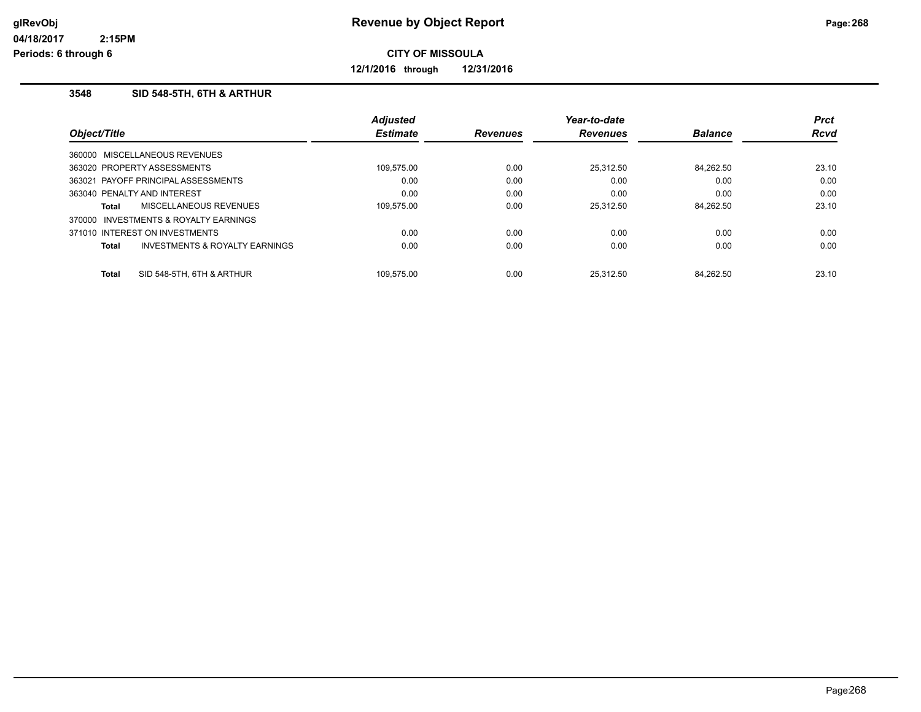**12/1/2016 through 12/31/2016**

#### **3548 SID 548-5TH, 6TH & ARTHUR**

|              |                                     | <b>Adjusted</b> |                 | Year-to-date    |                | <b>Prct</b> |
|--------------|-------------------------------------|-----------------|-----------------|-----------------|----------------|-------------|
| Object/Title |                                     | <b>Estimate</b> | <b>Revenues</b> | <b>Revenues</b> | <b>Balance</b> | <b>Rcvd</b> |
|              | 360000 MISCELLANEOUS REVENUES       |                 |                 |                 |                |             |
|              | 363020 PROPERTY ASSESSMENTS         | 109.575.00      | 0.00            | 25.312.50       | 84.262.50      | 23.10       |
|              | 363021 PAYOFF PRINCIPAL ASSESSMENTS | 0.00            | 0.00            | 0.00            | 0.00           | 0.00        |
|              | 363040 PENALTY AND INTEREST         | 0.00            | 0.00            | 0.00            | 0.00           | 0.00        |
| Total        | MISCELLANEOUS REVENUES              | 109.575.00      | 0.00            | 25.312.50       | 84.262.50      | 23.10       |
| 370000       | INVESTMENTS & ROYALTY EARNINGS      |                 |                 |                 |                |             |
|              | 371010 INTEREST ON INVESTMENTS      | 0.00            | 0.00            | 0.00            | 0.00           | 0.00        |
| <b>Total</b> | INVESTMENTS & ROYALTY EARNINGS      | 0.00            | 0.00            | 0.00            | 0.00           | 0.00        |
| <b>Total</b> | SID 548-5TH, 6TH & ARTHUR           | 109.575.00      | 0.00            | 25.312.50       | 84.262.50      | 23.10       |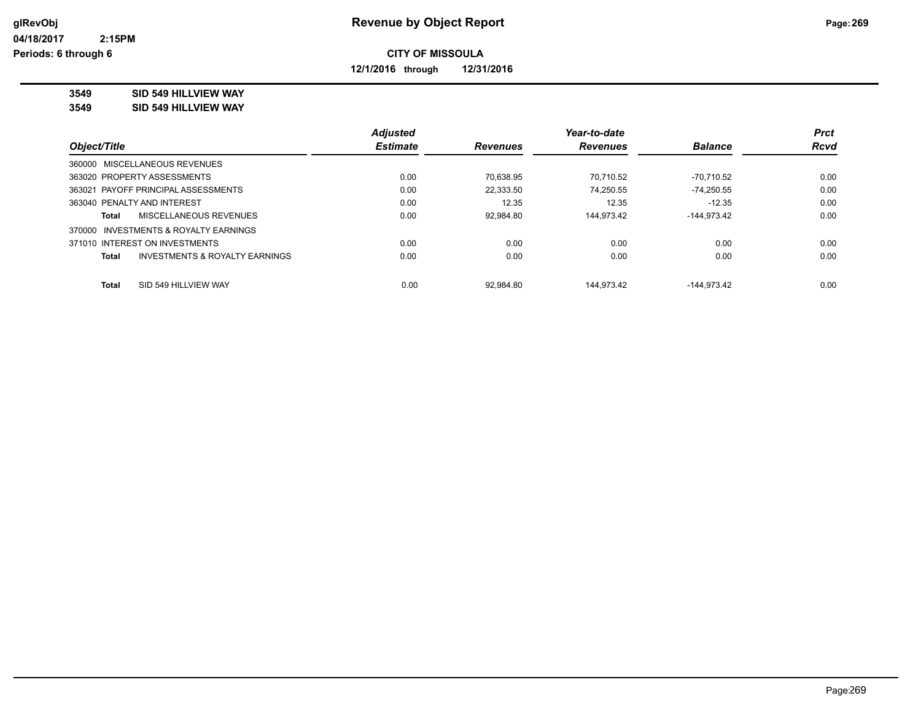**12/1/2016 through 12/31/2016**

**3549 SID 549 HILLVIEW WAY**

**3549 SID 549 HILLVIEW WAY**

|                                                    | <b>Adjusted</b> |                 | Year-to-date    |                | <b>Prct</b> |
|----------------------------------------------------|-----------------|-----------------|-----------------|----------------|-------------|
| Object/Title                                       | <b>Estimate</b> | <b>Revenues</b> | <b>Revenues</b> | <b>Balance</b> | Rcvd        |
| 360000 MISCELLANEOUS REVENUES                      |                 |                 |                 |                |             |
| 363020 PROPERTY ASSESSMENTS                        | 0.00            | 70.638.95       | 70.710.52       | -70.710.52     | 0.00        |
| 363021 PAYOFF PRINCIPAL ASSESSMENTS                | 0.00            | 22.333.50       | 74.250.55       | $-74.250.55$   | 0.00        |
| 363040 PENALTY AND INTEREST                        | 0.00            | 12.35           | 12.35           | $-12.35$       | 0.00        |
| MISCELLANEOUS REVENUES<br>Total                    | 0.00            | 92.984.80       | 144,973.42      | $-144,973.42$  | 0.00        |
| 370000 INVESTMENTS & ROYALTY EARNINGS              |                 |                 |                 |                |             |
| 371010 INTEREST ON INVESTMENTS                     | 0.00            | 0.00            | 0.00            | 0.00           | 0.00        |
| <b>INVESTMENTS &amp; ROYALTY EARNINGS</b><br>Total | 0.00            | 0.00            | 0.00            | 0.00           | 0.00        |
|                                                    |                 |                 |                 |                |             |
| <b>Total</b><br>SID 549 HILLVIEW WAY               | 0.00            | 92.984.80       | 144.973.42      | -144.973.42    | 0.00        |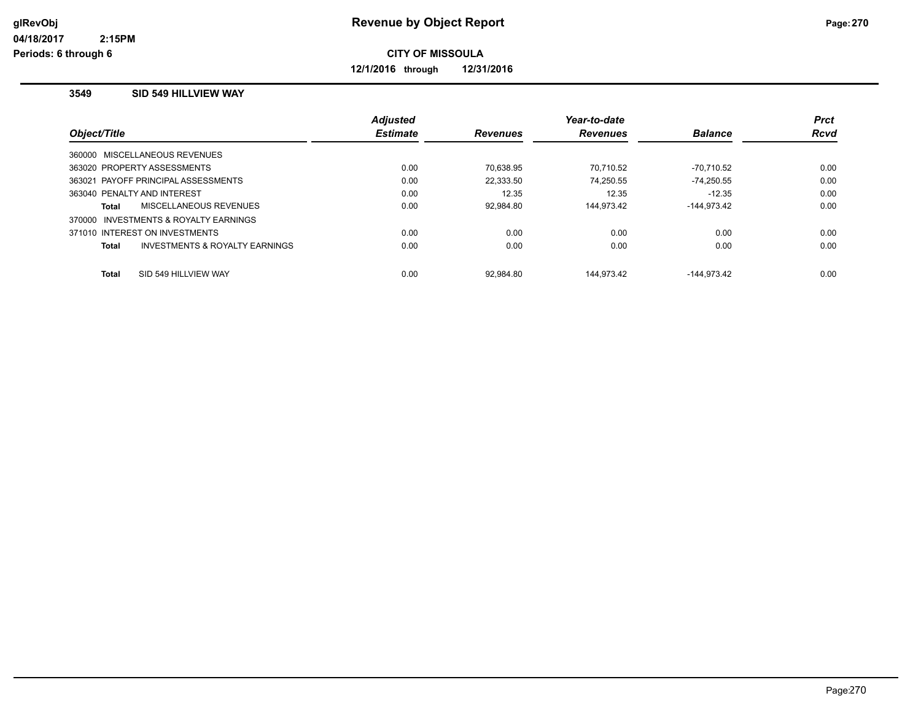**12/1/2016 through 12/31/2016**

#### **3549 SID 549 HILLVIEW WAY**

|                                          |                                | <b>Adiusted</b> |                 | Year-to-date    |                | <b>Prct</b> |
|------------------------------------------|--------------------------------|-----------------|-----------------|-----------------|----------------|-------------|
| Object/Title                             |                                | <b>Estimate</b> | <b>Revenues</b> | <b>Revenues</b> | <b>Balance</b> | Rcvd        |
| 360000 MISCELLANEOUS REVENUES            |                                |                 |                 |                 |                |             |
| 363020 PROPERTY ASSESSMENTS              |                                | 0.00            | 70.638.95       | 70.710.52       | -70.710.52     | 0.00        |
| 363021 PAYOFF PRINCIPAL ASSESSMENTS      |                                | 0.00            | 22.333.50       | 74.250.55       | $-74.250.55$   | 0.00        |
| 363040 PENALTY AND INTEREST              |                                | 0.00            | 12.35           | 12.35           | $-12.35$       | 0.00        |
| MISCELLANEOUS REVENUES<br>Total          |                                | 0.00            | 92.984.80       | 144.973.42      | $-144.973.42$  | 0.00        |
| INVESTMENTS & ROYALTY EARNINGS<br>370000 |                                |                 |                 |                 |                |             |
| 371010 INTEREST ON INVESTMENTS           |                                | 0.00            | 0.00            | 0.00            | 0.00           | 0.00        |
| Total                                    | INVESTMENTS & ROYALTY EARNINGS | 0.00            | 0.00            | 0.00            | 0.00           | 0.00        |
| SID 549 HILLVIEW WAY<br><b>Total</b>     |                                | 0.00            | 92.984.80       | 144.973.42      | -144.973.42    | 0.00        |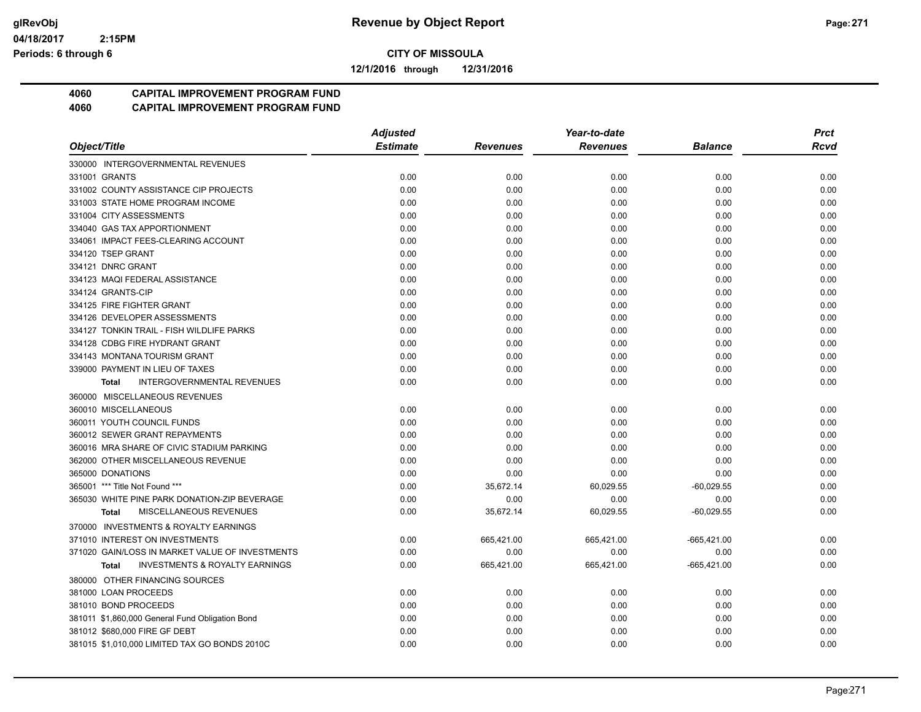**12/1/2016 through 12/31/2016**

#### **4060 CAPITAL IMPROVEMENT PROGRAM FUND 4060 CAPITAL IMPROVEMENT PROGRAM FUND**

|                                                           | <b>Adjusted</b> |                 | Year-to-date    |                | <b>Prct</b> |
|-----------------------------------------------------------|-----------------|-----------------|-----------------|----------------|-------------|
| Object/Title                                              | <b>Estimate</b> | <b>Revenues</b> | <b>Revenues</b> | <b>Balance</b> | <b>Rcvd</b> |
| 330000 INTERGOVERNMENTAL REVENUES                         |                 |                 |                 |                |             |
| 331001 GRANTS                                             | 0.00            | 0.00            | 0.00            | 0.00           | 0.00        |
| 331002 COUNTY ASSISTANCE CIP PROJECTS                     | 0.00            | 0.00            | 0.00            | 0.00           | 0.00        |
| 331003 STATE HOME PROGRAM INCOME                          | 0.00            | 0.00            | 0.00            | 0.00           | 0.00        |
| 331004 CITY ASSESSMENTS                                   | 0.00            | 0.00            | 0.00            | 0.00           | 0.00        |
| 334040 GAS TAX APPORTIONMENT                              | 0.00            | 0.00            | 0.00            | 0.00           | 0.00        |
| 334061 IMPACT FEES-CLEARING ACCOUNT                       | 0.00            | 0.00            | 0.00            | 0.00           | 0.00        |
| 334120 TSEP GRANT                                         | 0.00            | 0.00            | 0.00            | 0.00           | 0.00        |
| 334121 DNRC GRANT                                         | 0.00            | 0.00            | 0.00            | 0.00           | 0.00        |
| 334123 MAQI FEDERAL ASSISTANCE                            | 0.00            | 0.00            | 0.00            | 0.00           | 0.00        |
| 334124 GRANTS-CIP                                         | 0.00            | 0.00            | 0.00            | 0.00           | 0.00        |
| 334125 FIRE FIGHTER GRANT                                 | 0.00            | 0.00            | 0.00            | 0.00           | 0.00        |
| 334126 DEVELOPER ASSESSMENTS                              | 0.00            | 0.00            | 0.00            | 0.00           | 0.00        |
| 334127 TONKIN TRAIL - FISH WILDLIFE PARKS                 | 0.00            | 0.00            | 0.00            | 0.00           | 0.00        |
| 334128 CDBG FIRE HYDRANT GRANT                            | 0.00            | 0.00            | 0.00            | 0.00           | 0.00        |
| 334143 MONTANA TOURISM GRANT                              | 0.00            | 0.00            | 0.00            | 0.00           | 0.00        |
| 339000 PAYMENT IN LIEU OF TAXES                           | 0.00            | 0.00            | 0.00            | 0.00           | 0.00        |
| <b>INTERGOVERNMENTAL REVENUES</b><br><b>Total</b>         | 0.00            | 0.00            | 0.00            | 0.00           | 0.00        |
| 360000 MISCELLANEOUS REVENUES                             |                 |                 |                 |                |             |
| 360010 MISCELLANEOUS                                      | 0.00            | 0.00            | 0.00            | 0.00           | 0.00        |
| 360011 YOUTH COUNCIL FUNDS                                | 0.00            | 0.00            | 0.00            | 0.00           | 0.00        |
| 360012 SEWER GRANT REPAYMENTS                             | 0.00            | 0.00            | 0.00            | 0.00           | 0.00        |
| 360016 MRA SHARE OF CIVIC STADIUM PARKING                 | 0.00            | 0.00            | 0.00            | 0.00           | 0.00        |
| 362000 OTHER MISCELLANEOUS REVENUE                        | 0.00            | 0.00            | 0.00            | 0.00           | 0.00        |
| 365000 DONATIONS                                          | 0.00            | 0.00            | 0.00            | 0.00           | 0.00        |
| 365001 *** Title Not Found ***                            | 0.00            | 35,672.14       | 60,029.55       | $-60,029.55$   | 0.00        |
| 365030 WHITE PINE PARK DONATION-ZIP BEVERAGE              | 0.00            | 0.00            | 0.00            | 0.00           | 0.00        |
| MISCELLANEOUS REVENUES<br><b>Total</b>                    | 0.00            | 35,672.14       | 60,029.55       | $-60,029.55$   | 0.00        |
| 370000 INVESTMENTS & ROYALTY EARNINGS                     |                 |                 |                 |                |             |
| 371010 INTEREST ON INVESTMENTS                            | 0.00            | 665,421.00      | 665,421.00      | $-665,421.00$  | 0.00        |
| 371020 GAIN/LOSS IN MARKET VALUE OF INVESTMENTS           | 0.00            | 0.00            | 0.00            | 0.00           | 0.00        |
| <b>INVESTMENTS &amp; ROYALTY EARNINGS</b><br><b>Total</b> | 0.00            | 665,421.00      | 665,421.00      | $-665,421.00$  | 0.00        |
| 380000 OTHER FINANCING SOURCES                            |                 |                 |                 |                |             |
| 381000 LOAN PROCEEDS                                      | 0.00            | 0.00            | 0.00            | 0.00           | 0.00        |
| 381010 BOND PROCEEDS                                      | 0.00            | 0.00            | 0.00            | 0.00           | 0.00        |
| 381011 \$1,860,000 General Fund Obligation Bond           | 0.00            | 0.00            | 0.00            | 0.00           | 0.00        |
| 381012 \$680,000 FIRE GF DEBT                             | 0.00            | 0.00            | 0.00            | 0.00           | 0.00        |
| 381015 \$1,010,000 LIMITED TAX GO BONDS 2010C             | 0.00            | 0.00            | 0.00            | 0.00           | 0.00        |
|                                                           |                 |                 |                 |                |             |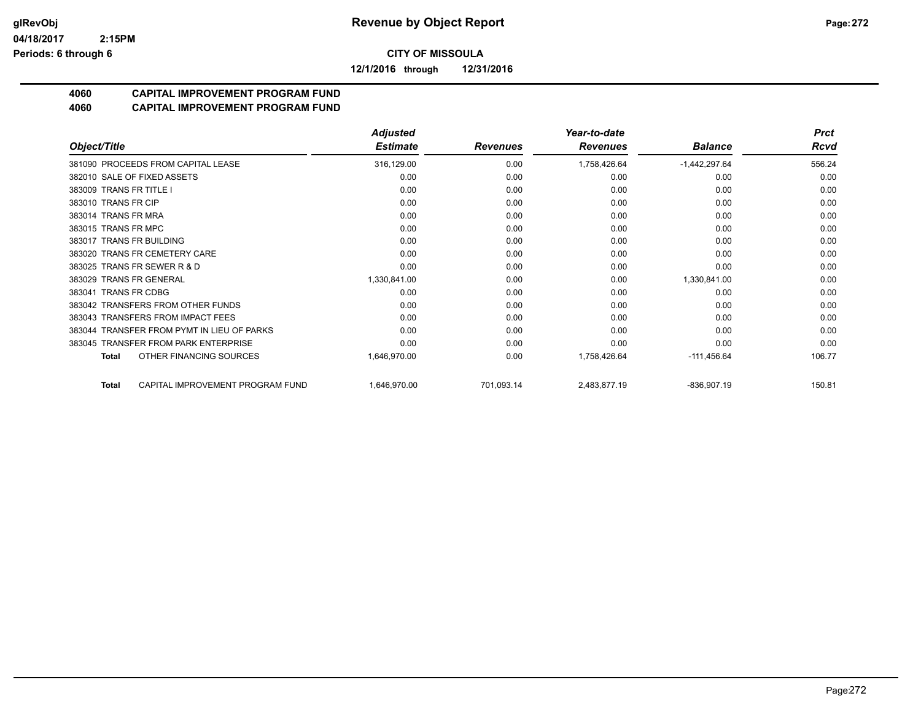**12/1/2016 through 12/31/2016**

#### **4060 CAPITAL IMPROVEMENT PROGRAM FUND 4060 CAPITAL IMPROVEMENT PROGRAM FUND**

|                                                  | <b>Adjusted</b> |                 | Year-to-date    |                 | <b>Prct</b> |
|--------------------------------------------------|-----------------|-----------------|-----------------|-----------------|-------------|
| Object/Title                                     | <b>Estimate</b> | <b>Revenues</b> | <b>Revenues</b> | <b>Balance</b>  | Rcvd        |
| 381090 PROCEEDS FROM CAPITAL LEASE               | 316,129.00      | 0.00            | 1,758,426.64    | $-1,442,297.64$ | 556.24      |
| 382010 SALE OF FIXED ASSETS                      | 0.00            | 0.00            | 0.00            | 0.00            | 0.00        |
| 383009 TRANS FR TITLE I                          | 0.00            | 0.00            | 0.00            | 0.00            | 0.00        |
| 383010 TRANS FR CIP                              | 0.00            | 0.00            | 0.00            | 0.00            | 0.00        |
| 383014 TRANS FR MRA                              | 0.00            | 0.00            | 0.00            | 0.00            | 0.00        |
| 383015 TRANS FR MPC                              | 0.00            | 0.00            | 0.00            | 0.00            | 0.00        |
| 383017 TRANS FR BUILDING                         | 0.00            | 0.00            | 0.00            | 0.00            | 0.00        |
| 383020 TRANS FR CEMETERY CARE                    | 0.00            | 0.00            | 0.00            | 0.00            | 0.00        |
| 383025 TRANS FR SEWER R & D                      | 0.00            | 0.00            | 0.00            | 0.00            | 0.00        |
| 383029 TRANS FR GENERAL                          | 1,330,841.00    | 0.00            | 0.00            | 1,330,841.00    | 0.00        |
| <b>TRANS FR CDBG</b><br>383041                   | 0.00            | 0.00            | 0.00            | 0.00            | 0.00        |
| 383042 TRANSFERS FROM OTHER FUNDS                | 0.00            | 0.00            | 0.00            | 0.00            | 0.00        |
| 383043 TRANSFERS FROM IMPACT FEES                | 0.00            | 0.00            | 0.00            | 0.00            | 0.00        |
| 383044 TRANSFER FROM PYMT IN LIEU OF PARKS       | 0.00            | 0.00            | 0.00            | 0.00            | 0.00        |
| 383045 TRANSFER FROM PARK ENTERPRISE             | 0.00            | 0.00            | 0.00            | 0.00            | 0.00        |
| OTHER FINANCING SOURCES<br>Total                 | 1,646,970.00    | 0.00            | 1,758,426.64    | $-111,456.64$   | 106.77      |
| CAPITAL IMPROVEMENT PROGRAM FUND<br><b>Total</b> | 1,646,970.00    | 701,093.14      | 2,483,877.19    | $-836,907.19$   | 150.81      |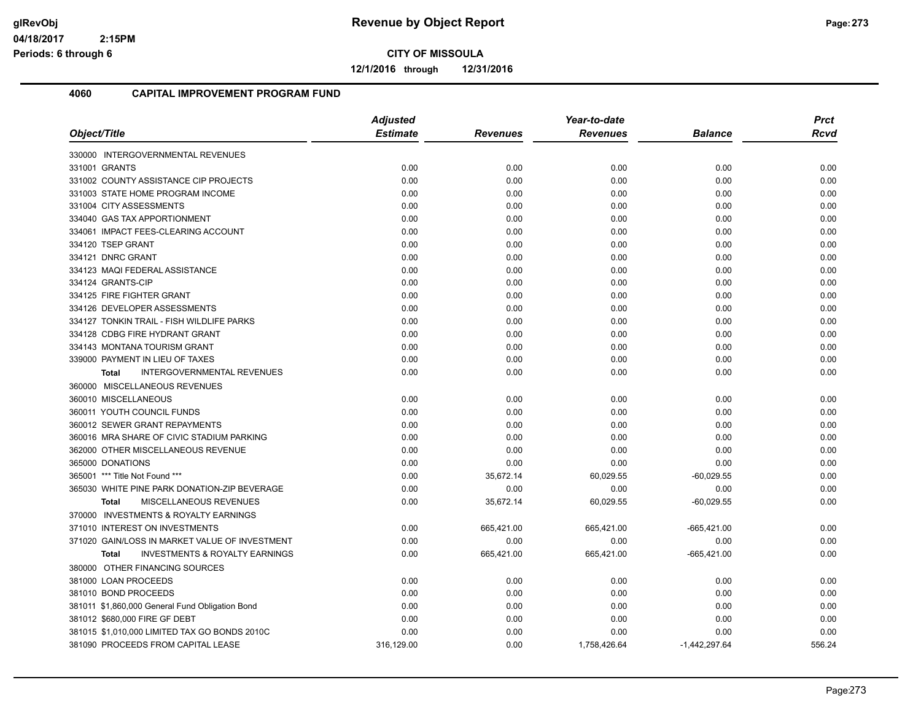**12/1/2016 through 12/31/2016**

#### **4060 CAPITAL IMPROVEMENT PROGRAM FUND**

|                                                           | <b>Adjusted</b> |                 | Year-to-date    |                 | <b>Prct</b> |
|-----------------------------------------------------------|-----------------|-----------------|-----------------|-----------------|-------------|
| Object/Title                                              | <b>Estimate</b> | <b>Revenues</b> | <b>Revenues</b> | <b>Balance</b>  | <b>Rcvd</b> |
| 330000 INTERGOVERNMENTAL REVENUES                         |                 |                 |                 |                 |             |
| 331001 GRANTS                                             | 0.00            | 0.00            | 0.00            | 0.00            | 0.00        |
| 331002 COUNTY ASSISTANCE CIP PROJECTS                     | 0.00            | 0.00            | 0.00            | 0.00            | 0.00        |
| 331003 STATE HOME PROGRAM INCOME                          | 0.00            | 0.00            | 0.00            | 0.00            | 0.00        |
| 331004 CITY ASSESSMENTS                                   | 0.00            | 0.00            | 0.00            | 0.00            | 0.00        |
| 334040 GAS TAX APPORTIONMENT                              | 0.00            | 0.00            | 0.00            | 0.00            | 0.00        |
| 334061 IMPACT FEES-CLEARING ACCOUNT                       | 0.00            | 0.00            | 0.00            | 0.00            | 0.00        |
| 334120 TSEP GRANT                                         | 0.00            | 0.00            | 0.00            | 0.00            | 0.00        |
| 334121 DNRC GRANT                                         | 0.00            | 0.00            | 0.00            | 0.00            | 0.00        |
| 334123 MAQI FEDERAL ASSISTANCE                            | 0.00            | 0.00            | 0.00            | 0.00            | 0.00        |
| 334124 GRANTS-CIP                                         | 0.00            | 0.00            | 0.00            | 0.00            | 0.00        |
| 334125 FIRE FIGHTER GRANT                                 | 0.00            | 0.00            | 0.00            | 0.00            | 0.00        |
| 334126 DEVELOPER ASSESSMENTS                              | 0.00            | 0.00            | 0.00            | 0.00            | 0.00        |
| 334127 TONKIN TRAIL - FISH WILDLIFE PARKS                 | 0.00            | 0.00            | 0.00            | 0.00            | 0.00        |
| 334128 CDBG FIRE HYDRANT GRANT                            | 0.00            | 0.00            | 0.00            | 0.00            | 0.00        |
| 334143 MONTANA TOURISM GRANT                              | 0.00            | 0.00            | 0.00            | 0.00            | 0.00        |
| 339000 PAYMENT IN LIEU OF TAXES                           | 0.00            | 0.00            | 0.00            | 0.00            | 0.00        |
| <b>INTERGOVERNMENTAL REVENUES</b><br><b>Total</b>         | 0.00            | 0.00            | 0.00            | 0.00            | 0.00        |
| 360000 MISCELLANEOUS REVENUES                             |                 |                 |                 |                 |             |
| 360010 MISCELLANEOUS                                      | 0.00            | 0.00            | 0.00            | 0.00            | 0.00        |
| 360011 YOUTH COUNCIL FUNDS                                | 0.00            | 0.00            | 0.00            | 0.00            | 0.00        |
| 360012 SEWER GRANT REPAYMENTS                             | 0.00            | 0.00            | 0.00            | 0.00            | 0.00        |
| 360016 MRA SHARE OF CIVIC STADIUM PARKING                 | 0.00            | 0.00            | 0.00            | 0.00            | 0.00        |
| 362000 OTHER MISCELLANEOUS REVENUE                        | 0.00            | 0.00            | 0.00            | 0.00            | 0.00        |
| 365000 DONATIONS                                          | 0.00            | 0.00            | 0.00            | 0.00            | 0.00        |
| 365001 *** Title Not Found ***                            | 0.00            | 35,672.14       | 60,029.55       | $-60,029.55$    | 0.00        |
| 365030 WHITE PINE PARK DONATION-ZIP BEVERAGE              | 0.00            | 0.00            | 0.00            | 0.00            | 0.00        |
| MISCELLANEOUS REVENUES<br><b>Total</b>                    | 0.00            | 35,672.14       | 60,029.55       | $-60,029.55$    | 0.00        |
| 370000 INVESTMENTS & ROYALTY EARNINGS                     |                 |                 |                 |                 |             |
| 371010 INTEREST ON INVESTMENTS                            | 0.00            | 665,421.00      | 665,421.00      | -665,421.00     | 0.00        |
| 371020 GAIN/LOSS IN MARKET VALUE OF INVESTMENT            | 0.00            | 0.00            | 0.00            | 0.00            | 0.00        |
| <b>INVESTMENTS &amp; ROYALTY EARNINGS</b><br><b>Total</b> | 0.00            | 665,421.00      | 665,421.00      | $-665,421.00$   | 0.00        |
| 380000 OTHER FINANCING SOURCES                            |                 |                 |                 |                 |             |
| 381000 LOAN PROCEEDS                                      | 0.00            | 0.00            | 0.00            | 0.00            | 0.00        |
| 381010 BOND PROCEEDS                                      | 0.00            | 0.00            | 0.00            | 0.00            | 0.00        |
| 381011 \$1,860,000 General Fund Obligation Bond           | 0.00            | 0.00            | 0.00            | 0.00            | 0.00        |
| 381012 \$680,000 FIRE GF DEBT                             | 0.00            | 0.00            | 0.00            | 0.00            | 0.00        |
| 381015 \$1,010,000 LIMITED TAX GO BONDS 2010C             | 0.00            | 0.00            | 0.00            | 0.00            | 0.00        |
| 381090 PROCEEDS FROM CAPITAL LEASE                        | 316.129.00      | 0.00            | 1.758.426.64    | $-1.442.297.64$ | 556.24      |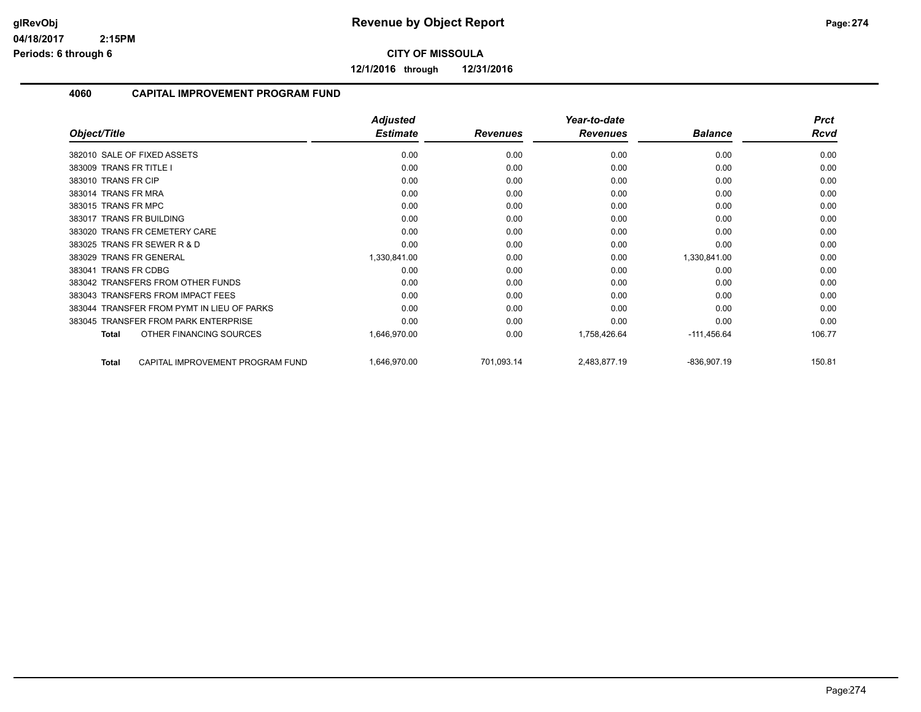**12/1/2016 through 12/31/2016**

#### **4060 CAPITAL IMPROVEMENT PROGRAM FUND**

|                                                  | <b>Adjusted</b> |                 | Year-to-date    |                | <b>Prct</b> |
|--------------------------------------------------|-----------------|-----------------|-----------------|----------------|-------------|
| Object/Title                                     | <b>Estimate</b> | <b>Revenues</b> | <b>Revenues</b> | <b>Balance</b> | <b>Rcvd</b> |
| 382010 SALE OF FIXED ASSETS                      | 0.00            | 0.00            | 0.00            | 0.00           | 0.00        |
| 383009 TRANS FR TITLE I                          | 0.00            | 0.00            | 0.00            | 0.00           | 0.00        |
| 383010 TRANS FR CIP                              | 0.00            | 0.00            | 0.00            | 0.00           | 0.00        |
| 383014 TRANS FR MRA                              | 0.00            | 0.00            | 0.00            | 0.00           | 0.00        |
| 383015 TRANS FR MPC                              | 0.00            | 0.00            | 0.00            | 0.00           | 0.00        |
| 383017 TRANS FR BUILDING                         | 0.00            | 0.00            | 0.00            | 0.00           | 0.00        |
| 383020 TRANS FR CEMETERY CARE                    | 0.00            | 0.00            | 0.00            | 0.00           | 0.00        |
| 383025 TRANS FR SEWER R & D                      | 0.00            | 0.00            | 0.00            | 0.00           | 0.00        |
| 383029 TRANS FR GENERAL                          | 1,330,841.00    | 0.00            | 0.00            | 1,330,841.00   | 0.00        |
| 383041 TRANS FR CDBG                             | 0.00            | 0.00            | 0.00            | 0.00           | 0.00        |
| 383042 TRANSFERS FROM OTHER FUNDS                | 0.00            | 0.00            | 0.00            | 0.00           | 0.00        |
| 383043 TRANSFERS FROM IMPACT FEES                | 0.00            | 0.00            | 0.00            | 0.00           | 0.00        |
| 383044 TRANSFER FROM PYMT IN LIEU OF PARKS       | 0.00            | 0.00            | 0.00            | 0.00           | 0.00        |
| 383045 TRANSFER FROM PARK ENTERPRISE             | 0.00            | 0.00            | 0.00            | 0.00           | 0.00        |
| OTHER FINANCING SOURCES<br>Total                 | 1,646,970.00    | 0.00            | 1,758,426.64    | $-111,456.64$  | 106.77      |
| CAPITAL IMPROVEMENT PROGRAM FUND<br><b>Total</b> | 1,646,970.00    | 701,093.14      | 2,483,877.19    | $-836,907.19$  | 150.81      |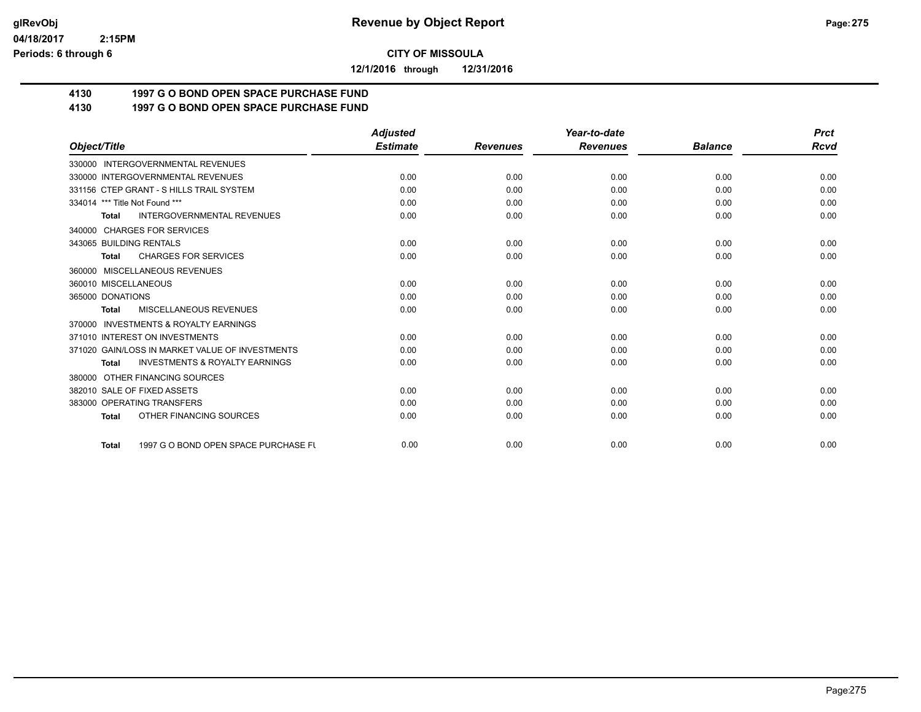**12/1/2016 through 12/31/2016**

#### **4130 1997 G O BOND OPEN SPACE PURCHASE FUND 4130 1997 G O BOND OPEN SPACE PURCHASE FUND**

|                                                     | <b>Adjusted</b> |                 | Year-to-date    |                | <b>Prct</b> |
|-----------------------------------------------------|-----------------|-----------------|-----------------|----------------|-------------|
| Object/Title                                        | <b>Estimate</b> | <b>Revenues</b> | <b>Revenues</b> | <b>Balance</b> | Rcvd        |
| 330000 INTERGOVERNMENTAL REVENUES                   |                 |                 |                 |                |             |
| 330000 INTERGOVERNMENTAL REVENUES                   | 0.00            | 0.00            | 0.00            | 0.00           | 0.00        |
| 331156 CTEP GRANT - S HILLS TRAIL SYSTEM            | 0.00            | 0.00            | 0.00            | 0.00           | 0.00        |
| 334014 *** Title Not Found ***                      | 0.00            | 0.00            | 0.00            | 0.00           | 0.00        |
| <b>INTERGOVERNMENTAL REVENUES</b><br><b>Total</b>   | 0.00            | 0.00            | 0.00            | 0.00           | 0.00        |
| <b>CHARGES FOR SERVICES</b><br>340000               |                 |                 |                 |                |             |
| 343065 BUILDING RENTALS                             | 0.00            | 0.00            | 0.00            | 0.00           | 0.00        |
| <b>CHARGES FOR SERVICES</b><br><b>Total</b>         | 0.00            | 0.00            | 0.00            | 0.00           | 0.00        |
| MISCELLANEOUS REVENUES<br>360000                    |                 |                 |                 |                |             |
| 360010 MISCELLANEOUS                                | 0.00            | 0.00            | 0.00            | 0.00           | 0.00        |
| 365000 DONATIONS                                    | 0.00            | 0.00            | 0.00            | 0.00           | 0.00        |
| <b>MISCELLANEOUS REVENUES</b><br><b>Total</b>       | 0.00            | 0.00            | 0.00            | 0.00           | 0.00        |
| <b>INVESTMENTS &amp; ROYALTY EARNINGS</b><br>370000 |                 |                 |                 |                |             |
| 371010 INTEREST ON INVESTMENTS                      | 0.00            | 0.00            | 0.00            | 0.00           | 0.00        |
| 371020 GAIN/LOSS IN MARKET VALUE OF INVESTMENTS     | 0.00            | 0.00            | 0.00            | 0.00           | 0.00        |
| <b>INVESTMENTS &amp; ROYALTY EARNINGS</b><br>Total  | 0.00            | 0.00            | 0.00            | 0.00           | 0.00        |
| OTHER FINANCING SOURCES<br>380000                   |                 |                 |                 |                |             |
| 382010 SALE OF FIXED ASSETS                         | 0.00            | 0.00            | 0.00            | 0.00           | 0.00        |
| 383000 OPERATING TRANSFERS                          | 0.00            | 0.00            | 0.00            | 0.00           | 0.00        |
| OTHER FINANCING SOURCES<br>Total                    | 0.00            | 0.00            | 0.00            | 0.00           | 0.00        |
| 1997 G O BOND OPEN SPACE PURCHASE FL<br>Total       | 0.00            | 0.00            | 0.00            | 0.00           | 0.00        |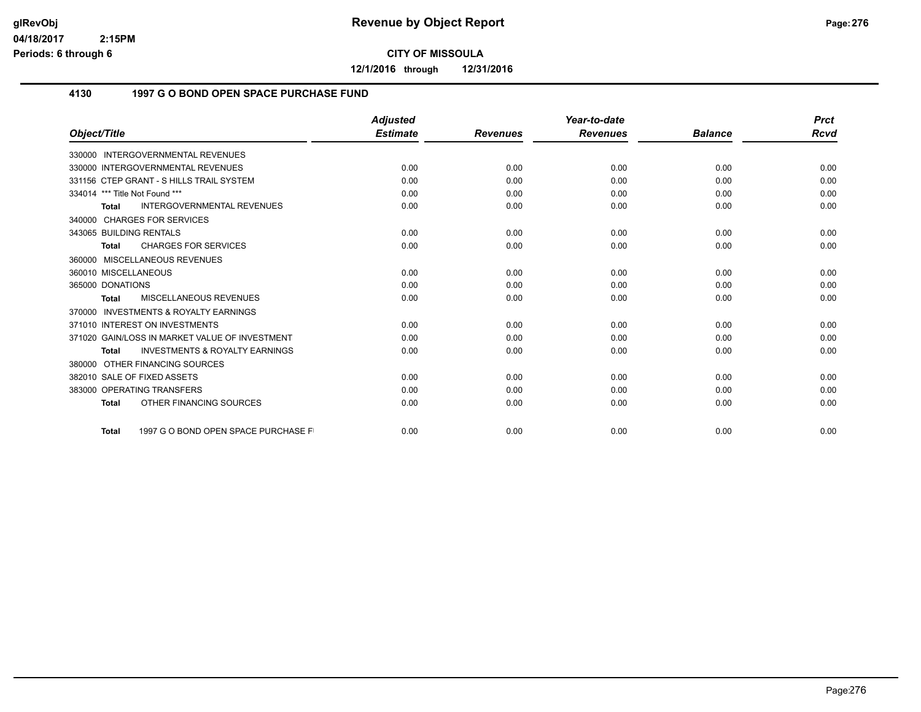**12/1/2016 through 12/31/2016**

#### **4130 1997 G O BOND OPEN SPACE PURCHASE FUND**

|                                                           | <b>Adjusted</b> |                 | Year-to-date    |                | <b>Prct</b> |
|-----------------------------------------------------------|-----------------|-----------------|-----------------|----------------|-------------|
| Object/Title                                              | <b>Estimate</b> | <b>Revenues</b> | <b>Revenues</b> | <b>Balance</b> | Rcvd        |
| 330000 INTERGOVERNMENTAL REVENUES                         |                 |                 |                 |                |             |
| 330000 INTERGOVERNMENTAL REVENUES                         | 0.00            | 0.00            | 0.00            | 0.00           | 0.00        |
| 331156 CTEP GRANT - S HILLS TRAIL SYSTEM                  | 0.00            | 0.00            | 0.00            | 0.00           | 0.00        |
| 334014 *** Title Not Found ***                            | 0.00            | 0.00            | 0.00            | 0.00           | 0.00        |
| <b>INTERGOVERNMENTAL REVENUES</b><br>Total                | 0.00            | 0.00            | 0.00            | 0.00           | 0.00        |
| 340000 CHARGES FOR SERVICES                               |                 |                 |                 |                |             |
| 343065 BUILDING RENTALS                                   | 0.00            | 0.00            | 0.00            | 0.00           | 0.00        |
| <b>CHARGES FOR SERVICES</b><br>Total                      | 0.00            | 0.00            | 0.00            | 0.00           | 0.00        |
| 360000 MISCELLANEOUS REVENUES                             |                 |                 |                 |                |             |
| 360010 MISCELLANEOUS                                      | 0.00            | 0.00            | 0.00            | 0.00           | 0.00        |
| 365000 DONATIONS                                          | 0.00            | 0.00            | 0.00            | 0.00           | 0.00        |
| MISCELLANEOUS REVENUES<br><b>Total</b>                    | 0.00            | 0.00            | 0.00            | 0.00           | 0.00        |
| 370000 INVESTMENTS & ROYALTY EARNINGS                     |                 |                 |                 |                |             |
| 371010 INTEREST ON INVESTMENTS                            | 0.00            | 0.00            | 0.00            | 0.00           | 0.00        |
| 371020 GAIN/LOSS IN MARKET VALUE OF INVESTMENT            | 0.00            | 0.00            | 0.00            | 0.00           | 0.00        |
| <b>INVESTMENTS &amp; ROYALTY EARNINGS</b><br><b>Total</b> | 0.00            | 0.00            | 0.00            | 0.00           | 0.00        |
| 380000 OTHER FINANCING SOURCES                            |                 |                 |                 |                |             |
| 382010 SALE OF FIXED ASSETS                               | 0.00            | 0.00            | 0.00            | 0.00           | 0.00        |
| 383000 OPERATING TRANSFERS                                | 0.00            | 0.00            | 0.00            | 0.00           | 0.00        |
| OTHER FINANCING SOURCES<br><b>Total</b>                   | 0.00            | 0.00            | 0.00            | 0.00           | 0.00        |
| 1997 G O BOND OPEN SPACE PURCHASE F<br><b>Total</b>       | 0.00            | 0.00            | 0.00            | 0.00           | 0.00        |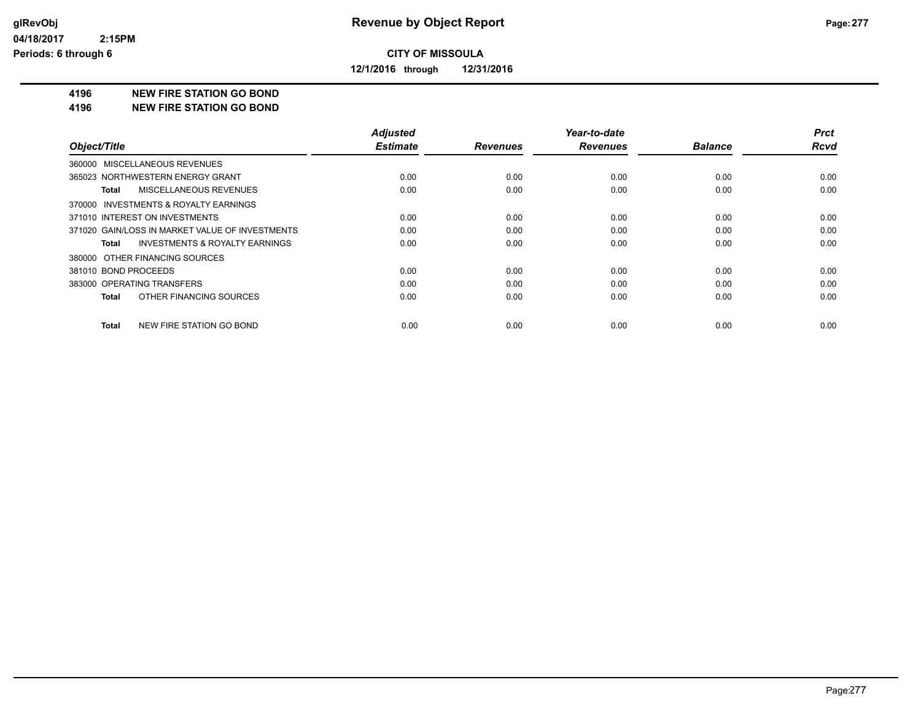**12/1/2016 through 12/31/2016**

**4196 NEW FIRE STATION GO BOND**

**4196 NEW FIRE STATION GO BOND**

|                                                 | <b>Adjusted</b> |                 | Year-to-date    |                | <b>Prct</b> |
|-------------------------------------------------|-----------------|-----------------|-----------------|----------------|-------------|
| Object/Title                                    | <b>Estimate</b> | <b>Revenues</b> | <b>Revenues</b> | <b>Balance</b> | <b>Rcvd</b> |
| 360000 MISCELLANEOUS REVENUES                   |                 |                 |                 |                |             |
| 365023 NORTHWESTERN ENERGY GRANT                | 0.00            | 0.00            | 0.00            | 0.00           | 0.00        |
| MISCELLANEOUS REVENUES<br>Total                 | 0.00            | 0.00            | 0.00            | 0.00           | 0.00        |
| 370000 INVESTMENTS & ROYALTY EARNINGS           |                 |                 |                 |                |             |
| 371010 INTEREST ON INVESTMENTS                  | 0.00            | 0.00            | 0.00            | 0.00           | 0.00        |
| 371020 GAIN/LOSS IN MARKET VALUE OF INVESTMENTS | 0.00            | 0.00            | 0.00            | 0.00           | 0.00        |
| INVESTMENTS & ROYALTY EARNINGS<br>Total         | 0.00            | 0.00            | 0.00            | 0.00           | 0.00        |
| 380000 OTHER FINANCING SOURCES                  |                 |                 |                 |                |             |
| 381010 BOND PROCEEDS                            | 0.00            | 0.00            | 0.00            | 0.00           | 0.00        |
| 383000 OPERATING TRANSFERS                      | 0.00            | 0.00            | 0.00            | 0.00           | 0.00        |
| OTHER FINANCING SOURCES<br><b>Total</b>         | 0.00            | 0.00            | 0.00            | 0.00           | 0.00        |
| NEW FIRE STATION GO BOND<br><b>Total</b>        | 0.00            | 0.00            | 0.00            | 0.00           | 0.00        |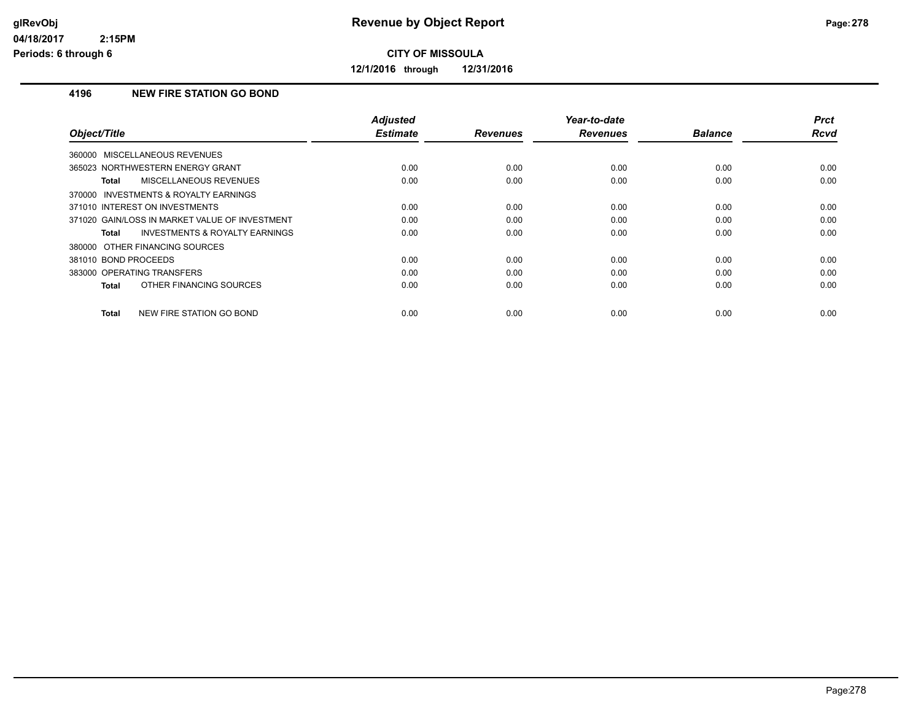**12/1/2016 through 12/31/2016**

#### **4196 NEW FIRE STATION GO BOND**

| Object/Title                                    | <b>Adjusted</b><br><b>Estimate</b> | <b>Revenues</b> | Year-to-date<br><b>Revenues</b> | <b>Balance</b> | <b>Prct</b><br><b>Rcvd</b> |
|-------------------------------------------------|------------------------------------|-----------------|---------------------------------|----------------|----------------------------|
|                                                 |                                    |                 |                                 |                |                            |
| MISCELLANEOUS REVENUES<br>360000                |                                    |                 |                                 |                |                            |
| 365023 NORTHWESTERN ENERGY GRANT                | 0.00                               | 0.00            | 0.00                            | 0.00           | 0.00                       |
| MISCELLANEOUS REVENUES<br><b>Total</b>          | 0.00                               | 0.00            | 0.00                            | 0.00           | 0.00                       |
| 370000 INVESTMENTS & ROYALTY EARNINGS           |                                    |                 |                                 |                |                            |
| 371010 INTEREST ON INVESTMENTS                  | 0.00                               | 0.00            | 0.00                            | 0.00           | 0.00                       |
| 371020 GAIN/LOSS IN MARKET VALUE OF INVESTMENT  | 0.00                               | 0.00            | 0.00                            | 0.00           | 0.00                       |
| INVESTMENTS & ROYALTY EARNINGS<br>Total         | 0.00                               | 0.00            | 0.00                            | 0.00           | 0.00                       |
| 380000 OTHER FINANCING SOURCES                  |                                    |                 |                                 |                |                            |
| 381010 BOND PROCEEDS                            | 0.00                               | 0.00            | 0.00                            | 0.00           | 0.00                       |
| 383000 OPERATING TRANSFERS                      | 0.00                               | 0.00            | 0.00                            | 0.00           | 0.00                       |
| OTHER FINANCING SOURCES<br><b>Total</b>         | 0.00                               | 0.00            | 0.00                            | 0.00           | 0.00                       |
| <b>NEW FIRE STATION GO BOND</b><br><b>Total</b> | 0.00                               | 0.00            | 0.00                            | 0.00           | 0.00                       |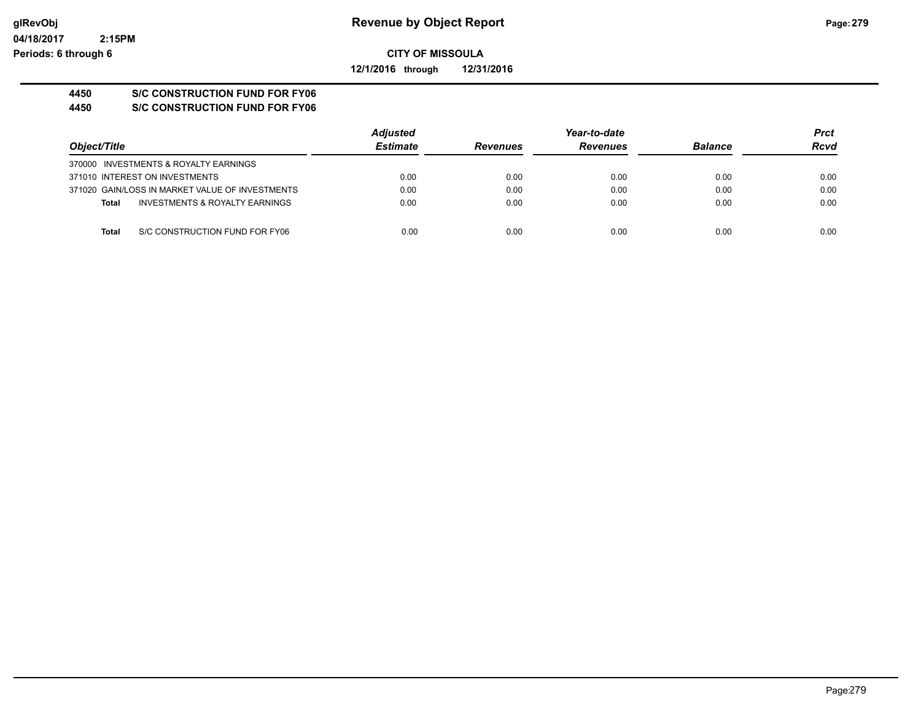**12/1/2016 through 12/31/2016**

#### **4450 S/C CONSTRUCTION FUND FOR FY06 4450 S/C CONSTRUCTION FUND FOR FY06**

|                                                 | <b>Adjusted</b> |                 | Year-to-date    |                | <b>Prct</b> |
|-------------------------------------------------|-----------------|-----------------|-----------------|----------------|-------------|
| Object/Title                                    | <b>Estimate</b> | <b>Revenues</b> | <b>Revenues</b> | <b>Balance</b> | <b>Rcvd</b> |
| 370000 INVESTMENTS & ROYALTY EARNINGS           |                 |                 |                 |                |             |
| 371010 INTEREST ON INVESTMENTS                  | 0.00            | 0.00            | 0.00            | 0.00           | 0.00        |
| 371020 GAIN/LOSS IN MARKET VALUE OF INVESTMENTS | 0.00            | 0.00            | 0.00            | 0.00           | 0.00        |
| INVESTMENTS & ROYALTY EARNINGS<br>Total         | 0.00            | 0.00            | 0.00            | 0.00           | 0.00        |
|                                                 |                 |                 |                 |                |             |
| S/C CONSTRUCTION FUND FOR FY06<br>Total         | 0.00            | 0.00            | 0.00            | 0.00           | 0.00        |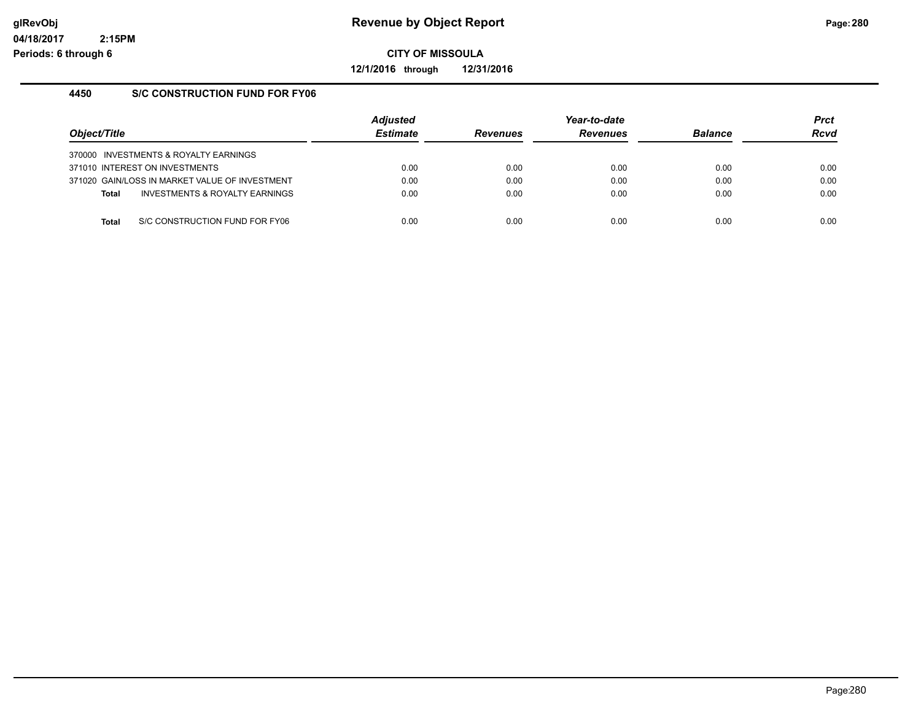**12/1/2016 through 12/31/2016**

#### **4450 S/C CONSTRUCTION FUND FOR FY06**

|                                                | <b>Adjusted</b> | Year-to-date    |                 |                | <b>Prct</b> |
|------------------------------------------------|-----------------|-----------------|-----------------|----------------|-------------|
| Object/Title                                   | <b>Estimate</b> | <b>Revenues</b> | <b>Revenues</b> | <b>Balance</b> | <b>Rcvd</b> |
| 370000 INVESTMENTS & ROYALTY EARNINGS          |                 |                 |                 |                |             |
| 371010 INTEREST ON INVESTMENTS                 | 0.00            | 0.00            | 0.00            | 0.00           | 0.00        |
| 371020 GAIN/LOSS IN MARKET VALUE OF INVESTMENT | 0.00            | 0.00            | 0.00            | 0.00           | 0.00        |
| INVESTMENTS & ROYALTY EARNINGS<br><b>Total</b> | 0.00            | 0.00            | 0.00            | 0.00           | 0.00        |
| Total<br>S/C CONSTRUCTION FUND FOR FY06        | 0.00            | 0.00            | 0.00            | 0.00           | 0.00        |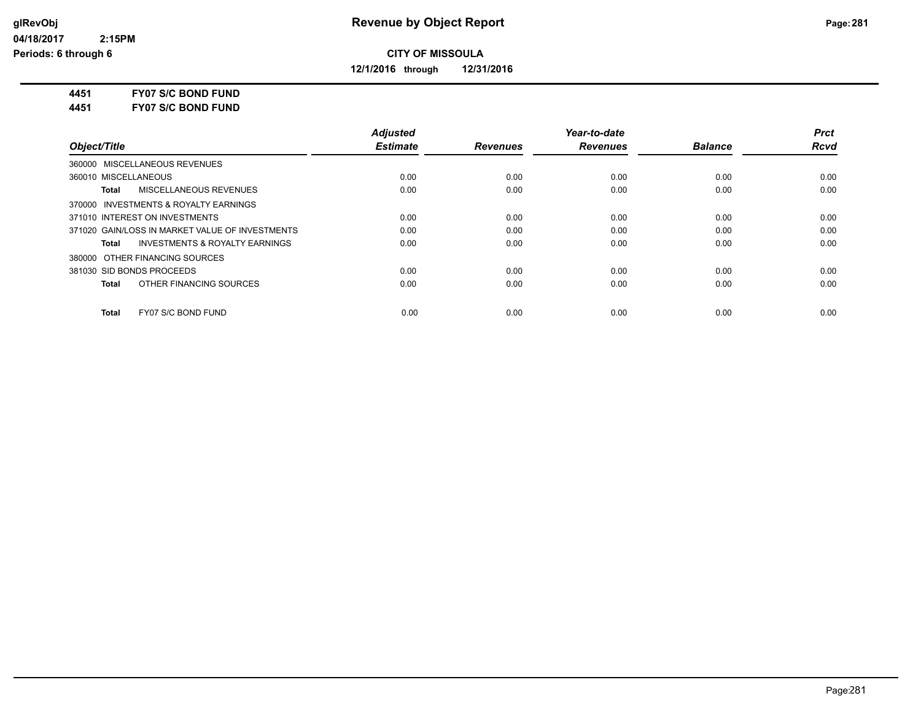**12/1/2016 through 12/31/2016**

**4451 FY07 S/C BOND FUND**

| 4451 | <b>FY07 S/C BOND FUND</b> |
|------|---------------------------|
|      |                           |

|                                                    | <b>Adjusted</b> |                 | Year-to-date    |                | <b>Prct</b> |
|----------------------------------------------------|-----------------|-----------------|-----------------|----------------|-------------|
| Object/Title                                       | <b>Estimate</b> | <b>Revenues</b> | <b>Revenues</b> | <b>Balance</b> | <b>Rcvd</b> |
| 360000 MISCELLANEOUS REVENUES                      |                 |                 |                 |                |             |
| 360010 MISCELLANEOUS                               | 0.00            | 0.00            | 0.00            | 0.00           | 0.00        |
| MISCELLANEOUS REVENUES<br>Total                    | 0.00            | 0.00            | 0.00            | 0.00           | 0.00        |
| 370000 INVESTMENTS & ROYALTY EARNINGS              |                 |                 |                 |                |             |
| 371010 INTEREST ON INVESTMENTS                     | 0.00            | 0.00            | 0.00            | 0.00           | 0.00        |
| 371020 GAIN/LOSS IN MARKET VALUE OF INVESTMENTS    | 0.00            | 0.00            | 0.00            | 0.00           | 0.00        |
| <b>INVESTMENTS &amp; ROYALTY EARNINGS</b><br>Total | 0.00            | 0.00            | 0.00            | 0.00           | 0.00        |
| 380000 OTHER FINANCING SOURCES                     |                 |                 |                 |                |             |
| 381030 SID BONDS PROCEEDS                          | 0.00            | 0.00            | 0.00            | 0.00           | 0.00        |
| OTHER FINANCING SOURCES<br>Total                   | 0.00            | 0.00            | 0.00            | 0.00           | 0.00        |
| FY07 S/C BOND FUND<br>Total                        | 0.00            | 0.00            | 0.00            | 0.00           | 0.00        |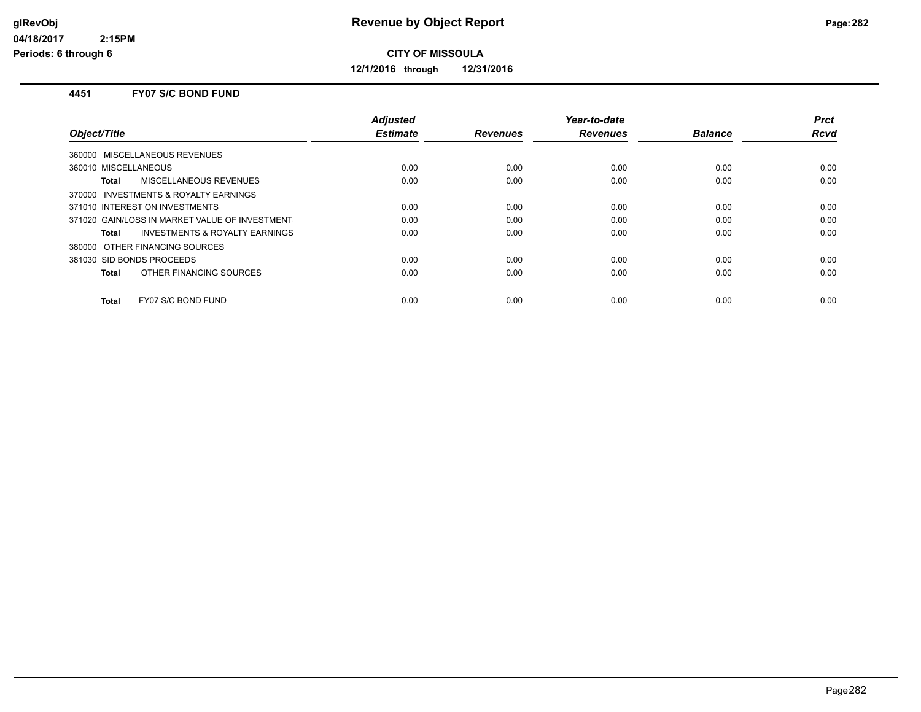**12/1/2016 through 12/31/2016**

#### **4451 FY07 S/C BOND FUND**

|                                                           | <b>Adjusted</b> |                 | Year-to-date    |                | <b>Prct</b> |
|-----------------------------------------------------------|-----------------|-----------------|-----------------|----------------|-------------|
| Object/Title                                              | <b>Estimate</b> | <b>Revenues</b> | <b>Revenues</b> | <b>Balance</b> | <b>Rcvd</b> |
| MISCELLANEOUS REVENUES<br>360000                          |                 |                 |                 |                |             |
| 360010 MISCELLANEOUS                                      | 0.00            | 0.00            | 0.00            | 0.00           | 0.00        |
| MISCELLANEOUS REVENUES<br><b>Total</b>                    | 0.00            | 0.00            | 0.00            | 0.00           | 0.00        |
| 370000 INVESTMENTS & ROYALTY EARNINGS                     |                 |                 |                 |                |             |
| 371010 INTEREST ON INVESTMENTS                            | 0.00            | 0.00            | 0.00            | 0.00           | 0.00        |
| 371020 GAIN/LOSS IN MARKET VALUE OF INVESTMENT            | 0.00            | 0.00            | 0.00            | 0.00           | 0.00        |
| <b>INVESTMENTS &amp; ROYALTY EARNINGS</b><br><b>Total</b> | 0.00            | 0.00            | 0.00            | 0.00           | 0.00        |
| 380000 OTHER FINANCING SOURCES                            |                 |                 |                 |                |             |
| 381030 SID BONDS PROCEEDS                                 | 0.00            | 0.00            | 0.00            | 0.00           | 0.00        |
| OTHER FINANCING SOURCES<br><b>Total</b>                   | 0.00            | 0.00            | 0.00            | 0.00           | 0.00        |
| FY07 S/C BOND FUND<br><b>Total</b>                        | 0.00            | 0.00            | 0.00            | 0.00           | 0.00        |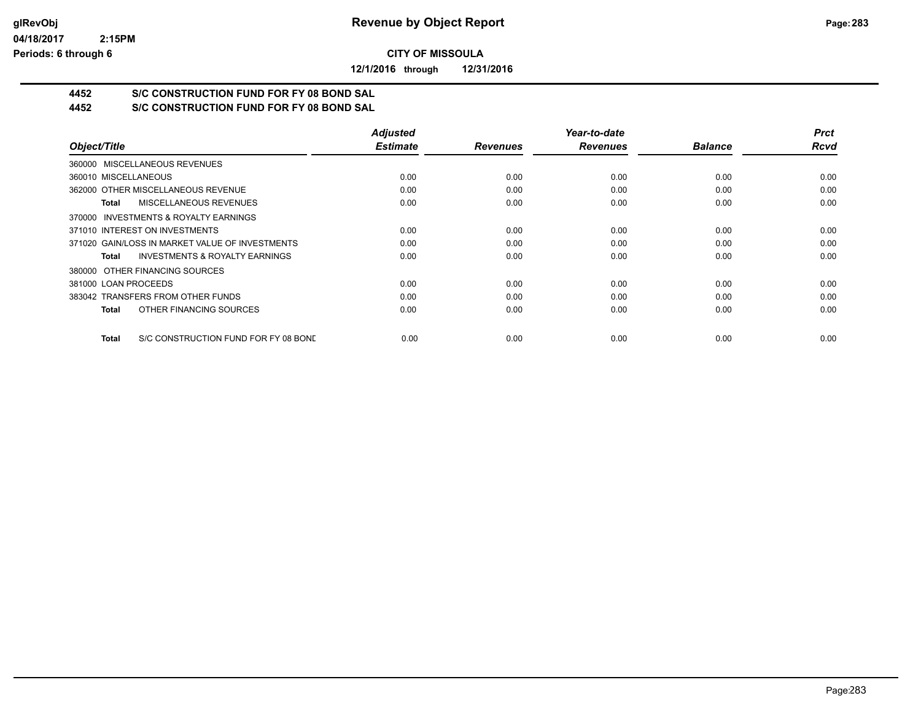*Prct Rcvd*

## **CITY OF MISSOULA**

**12/1/2016 through 12/31/2016**

#### **4452 S/C CONSTRUCTION FUND FOR FY 08 BOND SAL 4452 S/C CONSTRUCTION FUND FOR FY 08 BOND SAL**

|                                                      | <b>Adjusted</b> |                 | Year-to-date    |                | <b>Prct</b> |
|------------------------------------------------------|-----------------|-----------------|-----------------|----------------|-------------|
| Object/Title                                         | <b>Estimate</b> | <b>Revenues</b> | <b>Revenues</b> | <b>Balance</b> | Rcva        |
| 360000 MISCELLANEOUS REVENUES                        |                 |                 |                 |                |             |
| 360010 MISCELLANEOUS                                 | 0.00            | 0.00            | 0.00            | 0.00           | 0.00        |
| 362000 OTHER MISCELLANEOUS REVENUE                   | 0.00            | 0.00            | 0.00            | 0.00           | 0.00        |
| <b>MISCELLANEOUS REVENUES</b><br>Total               | 0.00            | 0.00            | 0.00            | 0.00           | 0.00        |
| <b>INVESTMENTS &amp; ROYALTY EARNINGS</b><br>370000  |                 |                 |                 |                |             |
| 371010 INTEREST ON INVESTMENTS                       | 0.00            | 0.00            | 0.00            | 0.00           | 0.00        |
| 371020 GAIN/LOSS IN MARKET VALUE OF INVESTMENTS      | 0.00            | 0.00            | 0.00            | 0.00           | 0.00        |
| <b>INVESTMENTS &amp; ROYALTY EARNINGS</b><br>Total   | 0.00            | 0.00            | 0.00            | 0.00           | 0.00        |
| OTHER FINANCING SOURCES<br>380000                    |                 |                 |                 |                |             |
| 381000 LOAN PROCEEDS                                 | 0.00            | 0.00            | 0.00            | 0.00           | 0.00        |
| 383042 TRANSFERS FROM OTHER FUNDS                    | 0.00            | 0.00            | 0.00            | 0.00           | 0.00        |
| OTHER FINANCING SOURCES<br>Total                     | 0.00            | 0.00            | 0.00            | 0.00           | 0.00        |
| S/C CONSTRUCTION FUND FOR FY 08 BONE<br><b>Total</b> | 0.00            | 0.00            | 0.00            | 0.00           | 0.00        |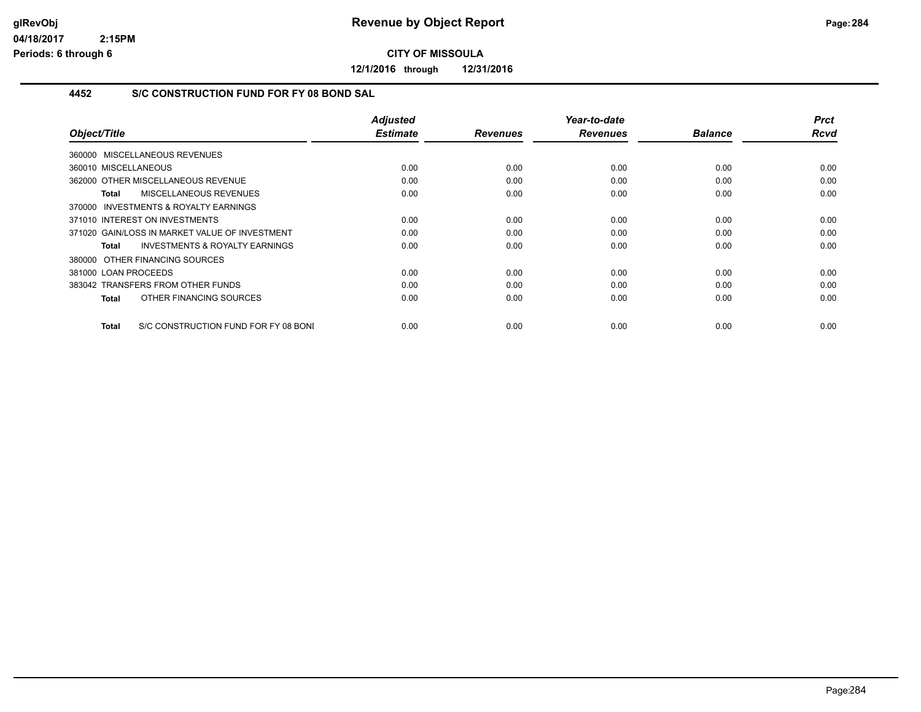**12/1/2016 through 12/31/2016**

#### **4452 S/C CONSTRUCTION FUND FOR FY 08 BOND SAL**

| Object/Title                                              | <b>Adjusted</b><br><b>Estimate</b> | <b>Revenues</b> | Year-to-date<br><b>Revenues</b> | <b>Balance</b> | <b>Prct</b><br>Rcvd |
|-----------------------------------------------------------|------------------------------------|-----------------|---------------------------------|----------------|---------------------|
| 360000 MISCELLANEOUS REVENUES                             |                                    |                 |                                 |                |                     |
| 360010 MISCELLANEOUS                                      | 0.00                               | 0.00            | 0.00                            | 0.00           | 0.00                |
| 362000 OTHER MISCELLANEOUS REVENUE                        | 0.00                               | 0.00            | 0.00                            | 0.00           | 0.00                |
| MISCELLANEOUS REVENUES<br><b>Total</b>                    | 0.00                               | 0.00            | 0.00                            | 0.00           | 0.00                |
| <b>INVESTMENTS &amp; ROYALTY EARNINGS</b><br>370000       |                                    |                 |                                 |                |                     |
| 371010 INTEREST ON INVESTMENTS                            | 0.00                               | 0.00            | 0.00                            | 0.00           | 0.00                |
| 371020 GAIN/LOSS IN MARKET VALUE OF INVESTMENT            | 0.00                               | 0.00            | 0.00                            | 0.00           | 0.00                |
| <b>INVESTMENTS &amp; ROYALTY EARNINGS</b><br><b>Total</b> | 0.00                               | 0.00            | 0.00                            | 0.00           | 0.00                |
| 380000 OTHER FINANCING SOURCES                            |                                    |                 |                                 |                |                     |
| 381000 LOAN PROCEEDS                                      | 0.00                               | 0.00            | 0.00                            | 0.00           | 0.00                |
| 383042 TRANSFERS FROM OTHER FUNDS                         | 0.00                               | 0.00            | 0.00                            | 0.00           | 0.00                |
| OTHER FINANCING SOURCES<br>Total                          | 0.00                               | 0.00            | 0.00                            | 0.00           | 0.00                |
|                                                           |                                    |                 |                                 |                |                     |
| S/C CONSTRUCTION FUND FOR FY 08 BONI<br><b>Total</b>      | 0.00                               | 0.00            | 0.00                            | 0.00           | 0.00                |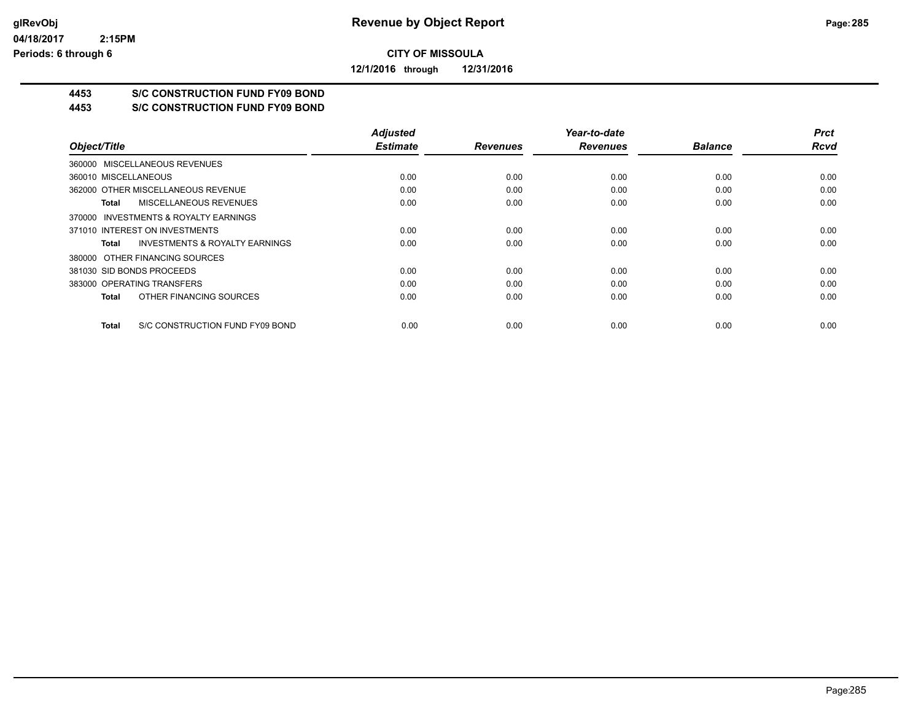**12/1/2016 through 12/31/2016**

#### **4453 S/C CONSTRUCTION FUND FY09 BOND 4453 S/C CONSTRUCTION FUND FY09 BOND**

|                                                    | <b>Adjusted</b> |                 | Year-to-date    |                | <b>Prct</b> |
|----------------------------------------------------|-----------------|-----------------|-----------------|----------------|-------------|
| Object/Title                                       | <b>Estimate</b> | <b>Revenues</b> | <b>Revenues</b> | <b>Balance</b> | <b>Rcvd</b> |
| 360000 MISCELLANEOUS REVENUES                      |                 |                 |                 |                |             |
| 360010 MISCELLANEOUS                               | 0.00            | 0.00            | 0.00            | 0.00           | 0.00        |
| 362000 OTHER MISCELLANEOUS REVENUE                 | 0.00            | 0.00            | 0.00            | 0.00           | 0.00        |
| MISCELLANEOUS REVENUES<br>Total                    | 0.00            | 0.00            | 0.00            | 0.00           | 0.00        |
| INVESTMENTS & ROYALTY EARNINGS<br>370000           |                 |                 |                 |                |             |
| 371010 INTEREST ON INVESTMENTS                     | 0.00            | 0.00            | 0.00            | 0.00           | 0.00        |
| <b>INVESTMENTS &amp; ROYALTY EARNINGS</b><br>Total | 0.00            | 0.00            | 0.00            | 0.00           | 0.00        |
| OTHER FINANCING SOURCES<br>380000                  |                 |                 |                 |                |             |
| 381030 SID BONDS PROCEEDS                          | 0.00            | 0.00            | 0.00            | 0.00           | 0.00        |
| 383000 OPERATING TRANSFERS                         | 0.00            | 0.00            | 0.00            | 0.00           | 0.00        |
| OTHER FINANCING SOURCES<br><b>Total</b>            | 0.00            | 0.00            | 0.00            | 0.00           | 0.00        |
| S/C CONSTRUCTION FUND FY09 BOND<br><b>Total</b>    | 0.00            | 0.00            | 0.00            | 0.00           | 0.00        |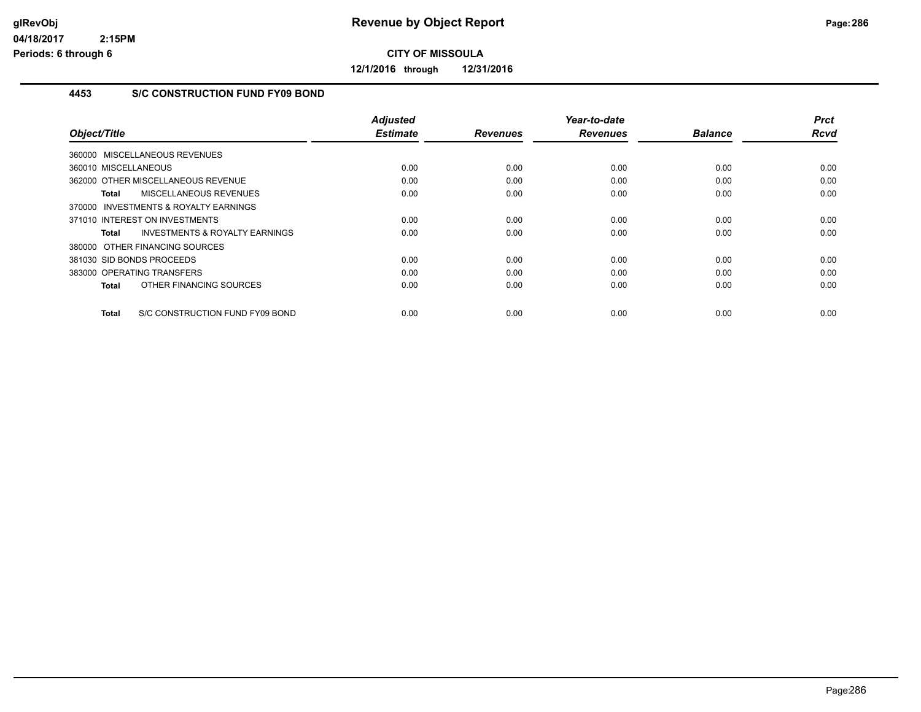**12/1/2016 through 12/31/2016**

#### **4453 S/C CONSTRUCTION FUND FY09 BOND**

| Object/Title                                    | <b>Adjusted</b><br><b>Estimate</b> | <b>Revenues</b> | Year-to-date<br><b>Revenues</b> | <b>Balance</b> | <b>Prct</b><br><b>Rcvd</b> |
|-------------------------------------------------|------------------------------------|-----------------|---------------------------------|----------------|----------------------------|
|                                                 |                                    |                 |                                 |                |                            |
| 360000 MISCELLANEOUS REVENUES                   |                                    |                 |                                 |                |                            |
| 360010 MISCELLANEOUS                            | 0.00                               | 0.00            | 0.00                            | 0.00           | 0.00                       |
| 362000 OTHER MISCELLANEOUS REVENUE              | 0.00                               | 0.00            | 0.00                            | 0.00           | 0.00                       |
| MISCELLANEOUS REVENUES<br><b>Total</b>          | 0.00                               | 0.00            | 0.00                            | 0.00           | 0.00                       |
| 370000 INVESTMENTS & ROYALTY EARNINGS           |                                    |                 |                                 |                |                            |
| 371010 INTEREST ON INVESTMENTS                  | 0.00                               | 0.00            | 0.00                            | 0.00           | 0.00                       |
| INVESTMENTS & ROYALTY EARNINGS<br>Total         | 0.00                               | 0.00            | 0.00                            | 0.00           | 0.00                       |
| 380000 OTHER FINANCING SOURCES                  |                                    |                 |                                 |                |                            |
| 381030 SID BONDS PROCEEDS                       | 0.00                               | 0.00            | 0.00                            | 0.00           | 0.00                       |
| 383000 OPERATING TRANSFERS                      | 0.00                               | 0.00            | 0.00                            | 0.00           | 0.00                       |
| OTHER FINANCING SOURCES<br><b>Total</b>         | 0.00                               | 0.00            | 0.00                            | 0.00           | 0.00                       |
| <b>Total</b><br>S/C CONSTRUCTION FUND FY09 BOND | 0.00                               | 0.00            | 0.00                            | 0.00           | 0.00                       |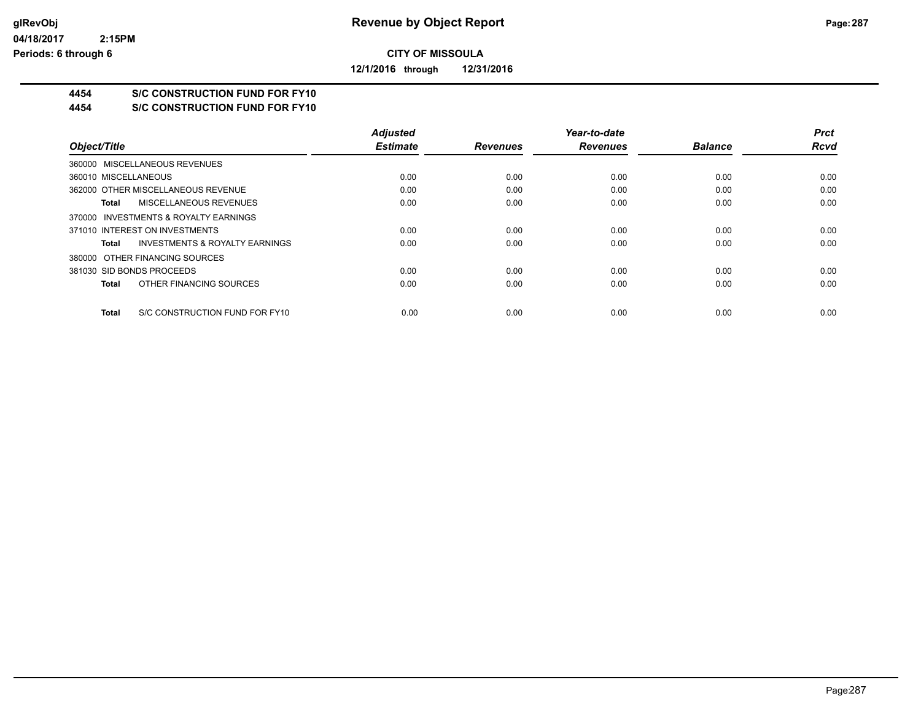*Prct Rcvd*

# **CITY OF MISSOULA**

**12/1/2016 through 12/31/2016**

**4454 S/C CONSTRUCTION FUND FOR FY10 4454 S/C CONSTRUCTION FUND FOR FY10**

*Object/Title Adjusted Estimate Revenues Year-to-date Revenues Balance* 360000 MISCELLANEOUS REVENUES 360010 MISCELLANEOUS 0.00 0.00 0.00 0.00 0.00 362000 OTHER MISCELLANEOUS REVENUE 0.00 0.00 0.00 0.00 0.00 **Total** MISCELLANEOUS REVENUES 0.00 0.00 0.00 0.00 0.00 370000 INVESTMENTS & ROYALTY EARNINGS 371010 INTEREST ON INVESTMENTS 0.00 0.00 0.00 0.00 0.00 **Total** INVESTMENTS & ROYALTY EARNINGS 0.00 0.00 0.00 0.00 0.00 380000 OTHER FINANCING SOURCES 381030 SID BONDS PROCEEDS 0.00 0.00 0.00 0.00 0.00 **Total** OTHER FINANCING SOURCES 0.00 0.00 0.00 0.00 0.00 **Total** S/C CONSTRUCTION FUND FOR FY10 0.00 0.00 0.00 0.00 0.00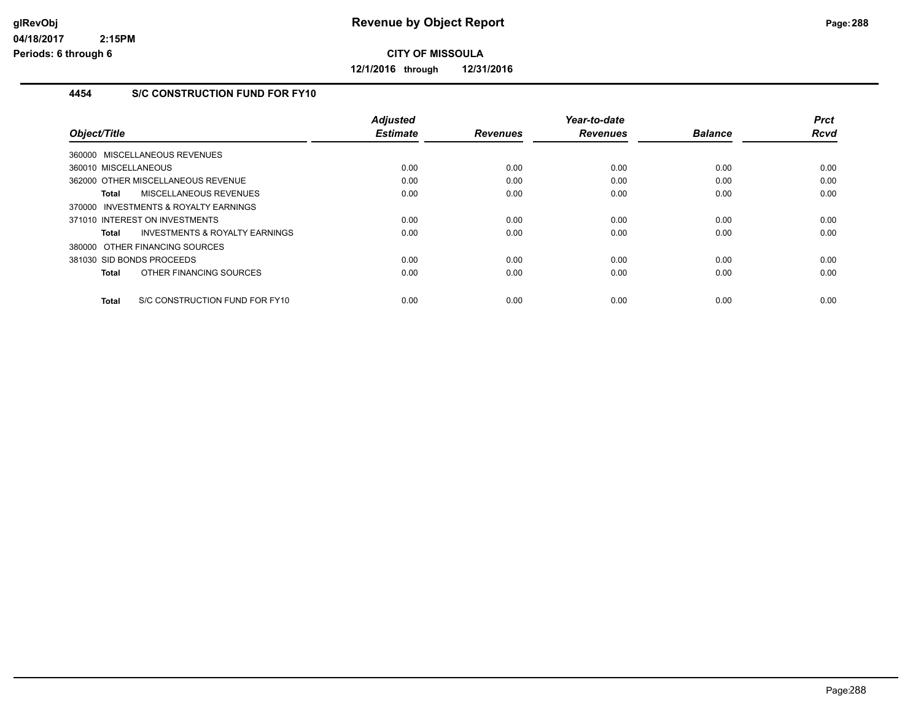**12/1/2016 through 12/31/2016**

#### **4454 S/C CONSTRUCTION FUND FOR FY10**

| Object/Title                                   | <b>Adjusted</b> |                 | Year-to-date    |                | <b>Prct</b> |
|------------------------------------------------|-----------------|-----------------|-----------------|----------------|-------------|
|                                                | <b>Estimate</b> | <b>Revenues</b> | <b>Revenues</b> | <b>Balance</b> | <b>Rcvd</b> |
| MISCELLANEOUS REVENUES<br>360000               |                 |                 |                 |                |             |
| 360010 MISCELLANEOUS                           | 0.00            | 0.00            | 0.00            | 0.00           | 0.00        |
| 362000 OTHER MISCELLANEOUS REVENUE             | 0.00            | 0.00            | 0.00            | 0.00           | 0.00        |
| MISCELLANEOUS REVENUES<br><b>Total</b>         | 0.00            | 0.00            | 0.00            | 0.00           | 0.00        |
| 370000 INVESTMENTS & ROYALTY EARNINGS          |                 |                 |                 |                |             |
| 371010 INTEREST ON INVESTMENTS                 | 0.00            | 0.00            | 0.00            | 0.00           | 0.00        |
| INVESTMENTS & ROYALTY EARNINGS<br><b>Total</b> | 0.00            | 0.00            | 0.00            | 0.00           | 0.00        |
| 380000 OTHER FINANCING SOURCES                 |                 |                 |                 |                |             |
| 381030 SID BONDS PROCEEDS                      | 0.00            | 0.00            | 0.00            | 0.00           | 0.00        |
| OTHER FINANCING SOURCES<br>Total               | 0.00            | 0.00            | 0.00            | 0.00           | 0.00        |
| S/C CONSTRUCTION FUND FOR FY10<br><b>Total</b> | 0.00            | 0.00            | 0.00            | 0.00           | 0.00        |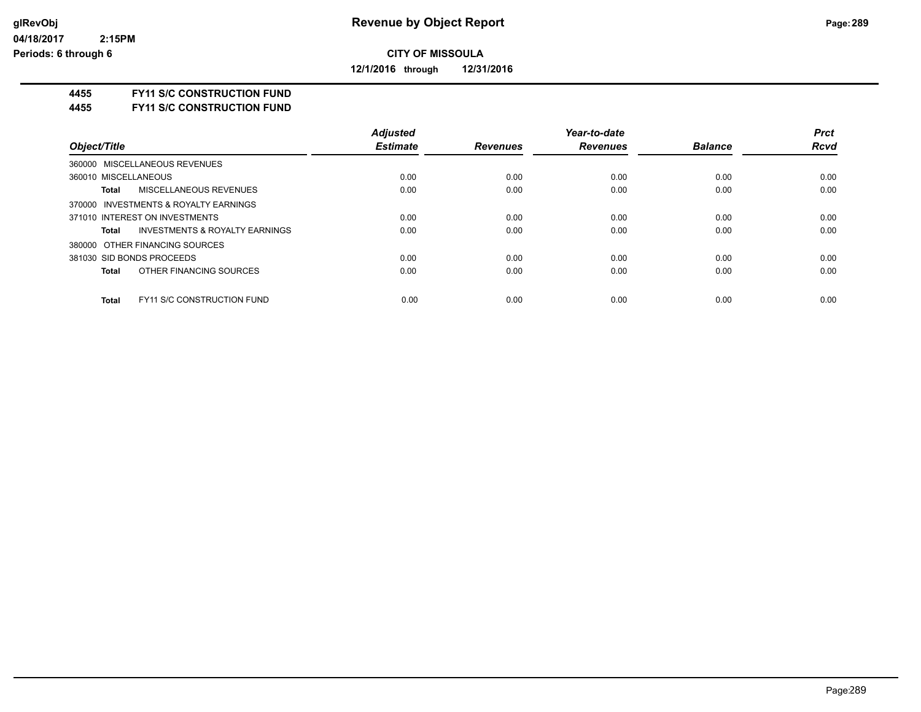**12/1/2016 through 12/31/2016**

**4455 FY11 S/C CONSTRUCTION FUND**

**4455 FY11 S/C CONSTRUCTION FUND**

|                                                    | <b>Adjusted</b> |                 | Year-to-date    |                | Prct        |
|----------------------------------------------------|-----------------|-----------------|-----------------|----------------|-------------|
| Object/Title                                       | <b>Estimate</b> | <b>Revenues</b> | <b>Revenues</b> | <b>Balance</b> | <b>Rcvd</b> |
| 360000 MISCELLANEOUS REVENUES                      |                 |                 |                 |                |             |
| 360010 MISCELLANEOUS                               | 0.00            | 0.00            | 0.00            | 0.00           | 0.00        |
| MISCELLANEOUS REVENUES<br>Total                    | 0.00            | 0.00            | 0.00            | 0.00           | 0.00        |
| 370000 INVESTMENTS & ROYALTY EARNINGS              |                 |                 |                 |                |             |
| 371010 INTEREST ON INVESTMENTS                     | 0.00            | 0.00            | 0.00            | 0.00           | 0.00        |
| <b>INVESTMENTS &amp; ROYALTY EARNINGS</b><br>Total | 0.00            | 0.00            | 0.00            | 0.00           | 0.00        |
| 380000 OTHER FINANCING SOURCES                     |                 |                 |                 |                |             |
| 381030 SID BONDS PROCEEDS                          | 0.00            | 0.00            | 0.00            | 0.00           | 0.00        |
| OTHER FINANCING SOURCES<br>Total                   | 0.00            | 0.00            | 0.00            | 0.00           | 0.00        |
|                                                    |                 |                 |                 |                |             |
| <b>FY11 S/C CONSTRUCTION FUND</b><br>Total         | 0.00            | 0.00            | 0.00            | 0.00           | 0.00        |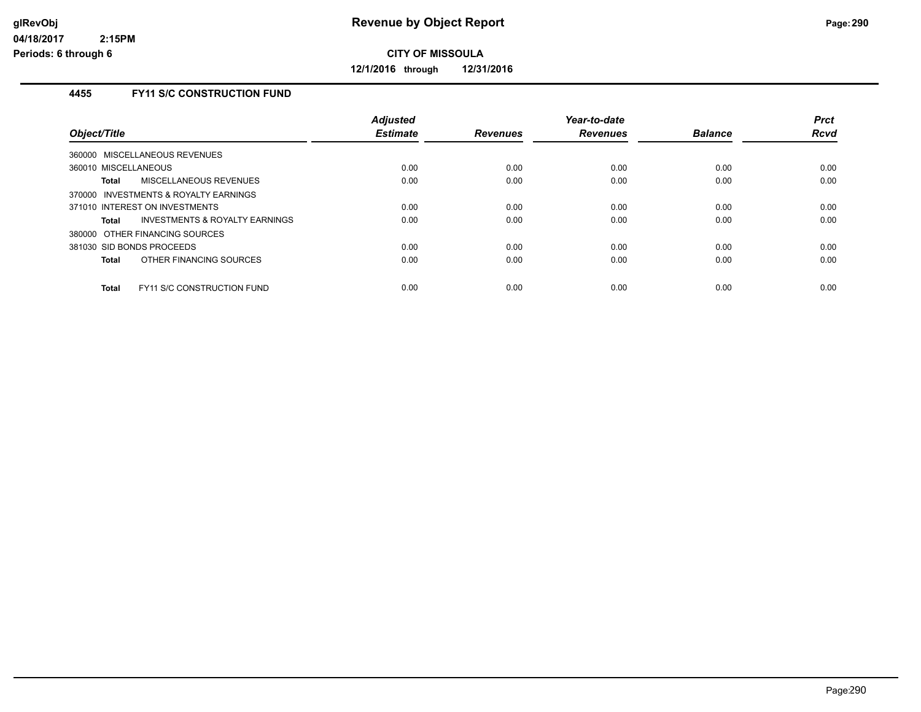**12/1/2016 through 12/31/2016**

#### **4455 FY11 S/C CONSTRUCTION FUND**

|                                                    | <b>Adjusted</b> |                 | Year-to-date    |                | <b>Prct</b> |
|----------------------------------------------------|-----------------|-----------------|-----------------|----------------|-------------|
| Object/Title                                       | <b>Estimate</b> | <b>Revenues</b> | <b>Revenues</b> | <b>Balance</b> | <b>Rcvd</b> |
| MISCELLANEOUS REVENUES<br>360000                   |                 |                 |                 |                |             |
| 360010 MISCELLANEOUS                               | 0.00            | 0.00            | 0.00            | 0.00           | 0.00        |
| MISCELLANEOUS REVENUES<br>Total                    | 0.00            | 0.00            | 0.00            | 0.00           | 0.00        |
| INVESTMENTS & ROYALTY EARNINGS<br>370000           |                 |                 |                 |                |             |
| 371010 INTEREST ON INVESTMENTS                     | 0.00            | 0.00            | 0.00            | 0.00           | 0.00        |
| <b>INVESTMENTS &amp; ROYALTY EARNINGS</b><br>Total | 0.00            | 0.00            | 0.00            | 0.00           | 0.00        |
| 380000 OTHER FINANCING SOURCES                     |                 |                 |                 |                |             |
| 381030 SID BONDS PROCEEDS                          | 0.00            | 0.00            | 0.00            | 0.00           | 0.00        |
| OTHER FINANCING SOURCES<br>Total                   | 0.00            | 0.00            | 0.00            | 0.00           | 0.00        |
| <b>FY11 S/C CONSTRUCTION FUND</b><br>Total         | 0.00            | 0.00            | 0.00            | 0.00           | 0.00        |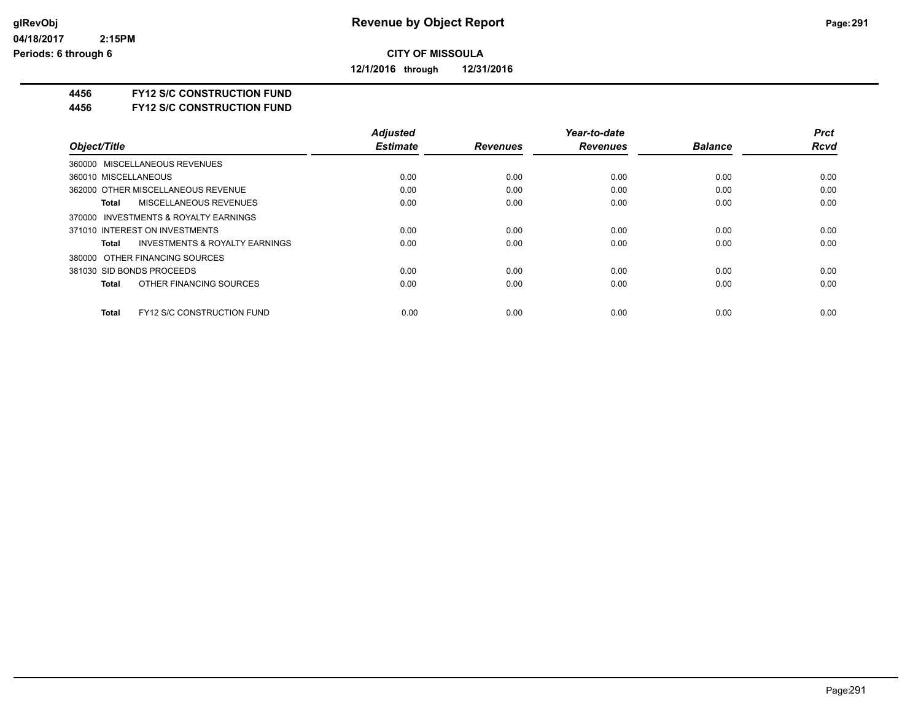**12/1/2016 through 12/31/2016**

**4456 FY12 S/C CONSTRUCTION FUND**

**4456 FY12 S/C CONSTRUCTION FUND**

|                                                    | <b>Adjusted</b> |                 | Year-to-date    |                | <b>Prct</b> |
|----------------------------------------------------|-----------------|-----------------|-----------------|----------------|-------------|
| Object/Title                                       | <b>Estimate</b> | <b>Revenues</b> | <b>Revenues</b> | <b>Balance</b> | Rcvd        |
| 360000 MISCELLANEOUS REVENUES                      |                 |                 |                 |                |             |
| 360010 MISCELLANEOUS                               | 0.00            | 0.00            | 0.00            | 0.00           | 0.00        |
| 362000 OTHER MISCELLANEOUS REVENUE                 | 0.00            | 0.00            | 0.00            | 0.00           | 0.00        |
| <b>MISCELLANEOUS REVENUES</b><br>Total             | 0.00            | 0.00            | 0.00            | 0.00           | 0.00        |
| INVESTMENTS & ROYALTY EARNINGS<br>370000           |                 |                 |                 |                |             |
| 371010 INTEREST ON INVESTMENTS                     | 0.00            | 0.00            | 0.00            | 0.00           | 0.00        |
| <b>INVESTMENTS &amp; ROYALTY EARNINGS</b><br>Total | 0.00            | 0.00            | 0.00            | 0.00           | 0.00        |
| 380000 OTHER FINANCING SOURCES                     |                 |                 |                 |                |             |
| 381030 SID BONDS PROCEEDS                          | 0.00            | 0.00            | 0.00            | 0.00           | 0.00        |
| OTHER FINANCING SOURCES<br>Total                   | 0.00            | 0.00            | 0.00            | 0.00           | 0.00        |
| <b>FY12 S/C CONSTRUCTION FUND</b><br><b>Total</b>  | 0.00            | 0.00            | 0.00            | 0.00           | 0.00        |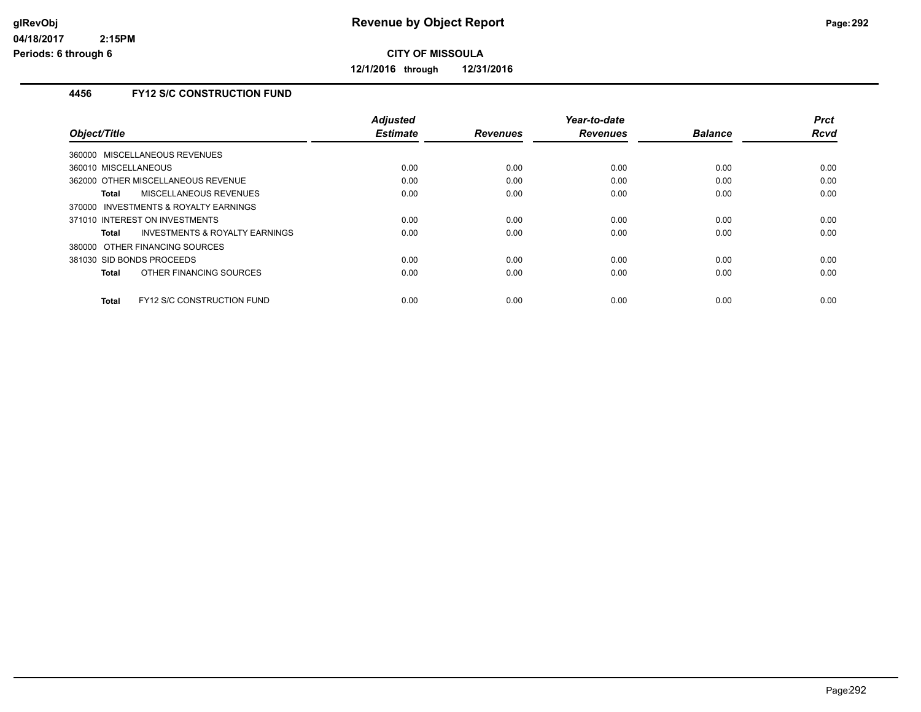**12/1/2016 through 12/31/2016**

#### **4456 FY12 S/C CONSTRUCTION FUND**

| Object/Title                                       | <b>Adjusted</b><br><b>Estimate</b> | <b>Revenues</b> | Year-to-date<br><b>Revenues</b> | <b>Balance</b> | <b>Prct</b><br><b>Rcvd</b> |
|----------------------------------------------------|------------------------------------|-----------------|---------------------------------|----------------|----------------------------|
| MISCELLANEOUS REVENUES<br>360000                   |                                    |                 |                                 |                |                            |
| 360010 MISCELLANEOUS                               | 0.00                               | 0.00            | 0.00                            | 0.00           | 0.00                       |
| 362000 OTHER MISCELLANEOUS REVENUE                 | 0.00                               | 0.00            | 0.00                            | 0.00           | 0.00                       |
| MISCELLANEOUS REVENUES<br>Total                    | 0.00                               | 0.00            | 0.00                            | 0.00           | 0.00                       |
| 370000 INVESTMENTS & ROYALTY EARNINGS              |                                    |                 |                                 |                |                            |
| 371010 INTEREST ON INVESTMENTS                     | 0.00                               | 0.00            | 0.00                            | 0.00           | 0.00                       |
| <b>INVESTMENTS &amp; ROYALTY EARNINGS</b><br>Total | 0.00                               | 0.00            | 0.00                            | 0.00           | 0.00                       |
| OTHER FINANCING SOURCES<br>380000                  |                                    |                 |                                 |                |                            |
| 381030 SID BONDS PROCEEDS                          | 0.00                               | 0.00            | 0.00                            | 0.00           | 0.00                       |
| OTHER FINANCING SOURCES<br>Total                   | 0.00                               | 0.00            | 0.00                            | 0.00           | 0.00                       |
| <b>FY12 S/C CONSTRUCTION FUND</b><br>Total         | 0.00                               | 0.00            | 0.00                            | 0.00           | 0.00                       |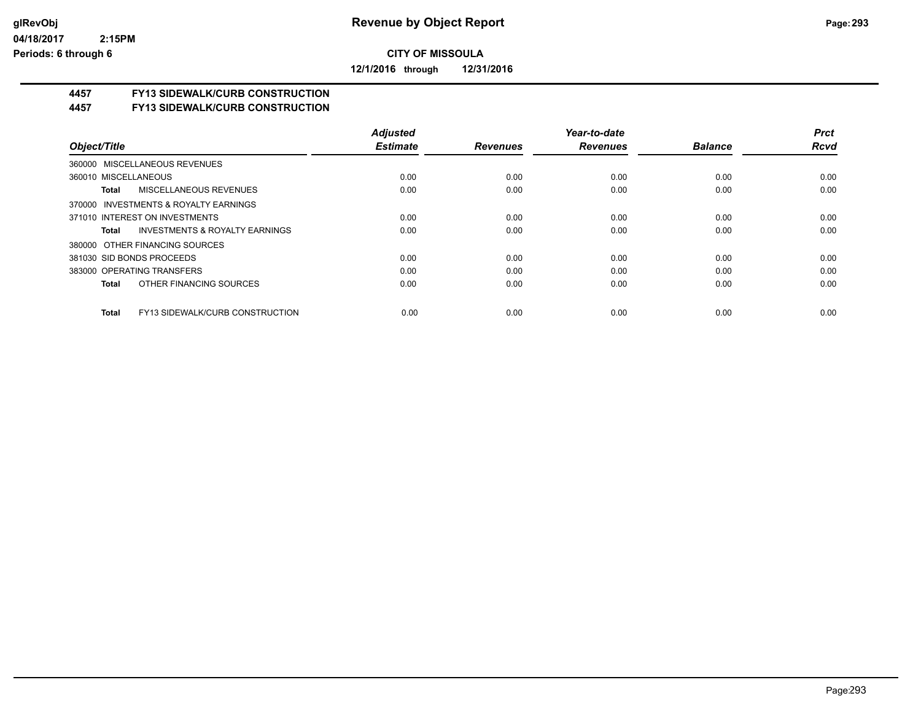**12/1/2016 through 12/31/2016**

#### **4457 FY13 SIDEWALK/CURB CONSTRUCTION 4457 FY13 SIDEWALK/CURB CONSTRUCTION**

| Object/Title                                           | <b>Adjusted</b><br><b>Estimate</b> | <b>Revenues</b> | Year-to-date<br><b>Revenues</b> | <b>Balance</b> | <b>Prct</b><br><b>Rcvd</b> |
|--------------------------------------------------------|------------------------------------|-----------------|---------------------------------|----------------|----------------------------|
|                                                        |                                    |                 |                                 |                |                            |
| MISCELLANEOUS REVENUES<br>360000                       |                                    |                 |                                 |                |                            |
| 360010 MISCELLANEOUS                                   | 0.00                               | 0.00            | 0.00                            | 0.00           | 0.00                       |
| <b>MISCELLANEOUS REVENUES</b><br>Total                 | 0.00                               | 0.00            | 0.00                            | 0.00           | 0.00                       |
| INVESTMENTS & ROYALTY EARNINGS<br>370000               |                                    |                 |                                 |                |                            |
| 371010 INTEREST ON INVESTMENTS                         | 0.00                               | 0.00            | 0.00                            | 0.00           | 0.00                       |
| INVESTMENTS & ROYALTY EARNINGS<br>Total                | 0.00                               | 0.00            | 0.00                            | 0.00           | 0.00                       |
| OTHER FINANCING SOURCES<br>380000                      |                                    |                 |                                 |                |                            |
| 381030 SID BONDS PROCEEDS                              | 0.00                               | 0.00            | 0.00                            | 0.00           | 0.00                       |
| 383000 OPERATING TRANSFERS                             | 0.00                               | 0.00            | 0.00                            | 0.00           | 0.00                       |
| OTHER FINANCING SOURCES<br>Total                       | 0.00                               | 0.00            | 0.00                            | 0.00           | 0.00                       |
| <b>FY13 SIDEWALK/CURB CONSTRUCTION</b><br><b>Total</b> | 0.00                               | 0.00            | 0.00                            | 0.00           | 0.00                       |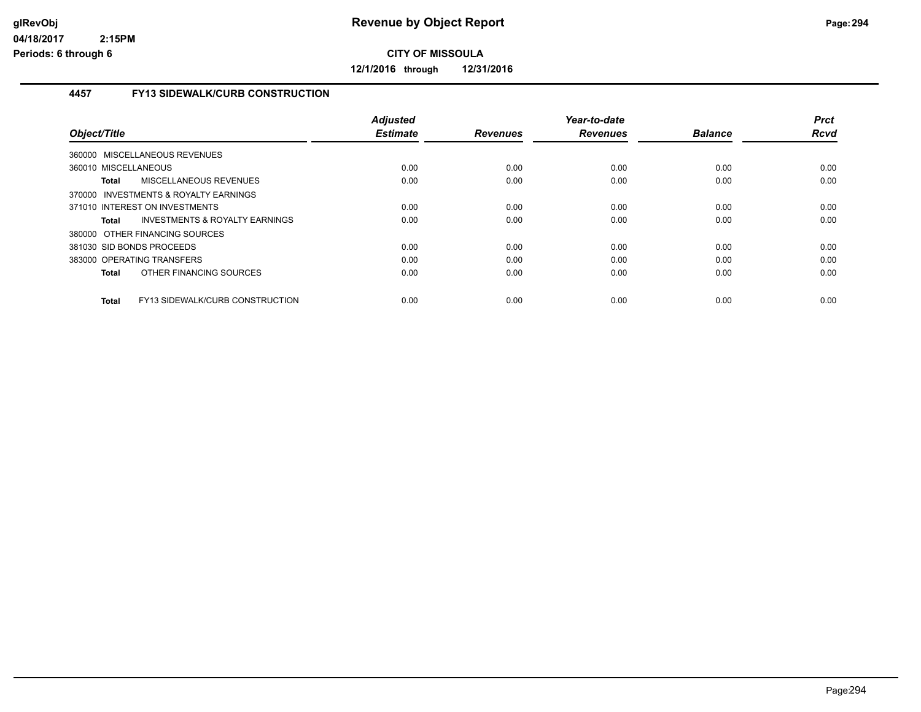**12/1/2016 through 12/31/2016**

#### **4457 FY13 SIDEWALK/CURB CONSTRUCTION**

| Object/Title                                    | <b>Adjusted</b><br><b>Estimate</b> | <b>Revenues</b> | Year-to-date<br><b>Revenues</b> | <b>Balance</b> | <b>Prct</b><br><b>Rcvd</b> |
|-------------------------------------------------|------------------------------------|-----------------|---------------------------------|----------------|----------------------------|
| 360000 MISCELLANEOUS REVENUES                   |                                    |                 |                                 |                |                            |
| 360010 MISCELLANEOUS                            | 0.00                               | 0.00            | 0.00                            | 0.00           | 0.00                       |
| MISCELLANEOUS REVENUES<br>Total                 | 0.00                               | 0.00            | 0.00                            | 0.00           | 0.00                       |
| 370000 INVESTMENTS & ROYALTY EARNINGS           |                                    |                 |                                 |                |                            |
| 371010 INTEREST ON INVESTMENTS                  | 0.00                               | 0.00            | 0.00                            | 0.00           | 0.00                       |
| INVESTMENTS & ROYALTY EARNINGS<br>Total         | 0.00                               | 0.00            | 0.00                            | 0.00           | 0.00                       |
| 380000 OTHER FINANCING SOURCES                  |                                    |                 |                                 |                |                            |
| 381030 SID BONDS PROCEEDS                       | 0.00                               | 0.00            | 0.00                            | 0.00           | 0.00                       |
| 383000 OPERATING TRANSFERS                      | 0.00                               | 0.00            | 0.00                            | 0.00           | 0.00                       |
| OTHER FINANCING SOURCES<br>Total                | 0.00                               | 0.00            | 0.00                            | 0.00           | 0.00                       |
|                                                 |                                    |                 |                                 |                |                            |
| FY13 SIDEWALK/CURB CONSTRUCTION<br><b>Total</b> | 0.00                               | 0.00            | 0.00                            | 0.00           | 0.00                       |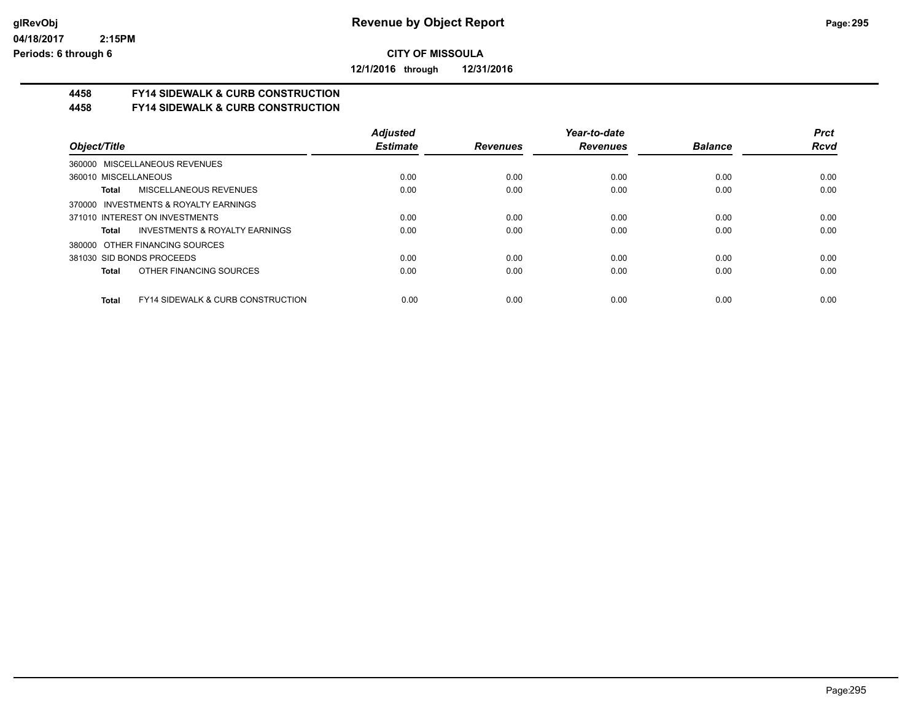**12/1/2016 through 12/31/2016**

#### **4458 FY14 SIDEWALK & CURB CONSTRUCTION 4458 FY14 SIDEWALK & CURB CONSTRUCTION**

| Object/Title                                          | <b>Adjusted</b><br><b>Estimate</b> | <b>Revenues</b> | Year-to-date<br><b>Revenues</b> | <b>Balance</b> | <b>Prct</b><br><b>Rcvd</b> |
|-------------------------------------------------------|------------------------------------|-----------------|---------------------------------|----------------|----------------------------|
| 360000 MISCELLANEOUS REVENUES                         |                                    |                 |                                 |                |                            |
| 360010 MISCELLANEOUS                                  | 0.00                               | 0.00            | 0.00                            | 0.00           | 0.00                       |
| <b>MISCELLANEOUS REVENUES</b><br>Total                | 0.00                               | 0.00            | 0.00                            | 0.00           | 0.00                       |
| INVESTMENTS & ROYALTY EARNINGS<br>370000              |                                    |                 |                                 |                |                            |
| 371010 INTEREST ON INVESTMENTS                        | 0.00                               | 0.00            | 0.00                            | 0.00           | 0.00                       |
| INVESTMENTS & ROYALTY EARNINGS<br>Total               | 0.00                               | 0.00            | 0.00                            | 0.00           | 0.00                       |
| 380000 OTHER FINANCING SOURCES                        |                                    |                 |                                 |                |                            |
| 381030 SID BONDS PROCEEDS                             | 0.00                               | 0.00            | 0.00                            | 0.00           | 0.00                       |
| OTHER FINANCING SOURCES<br>Total                      | 0.00                               | 0.00            | 0.00                            | 0.00           | 0.00                       |
|                                                       |                                    |                 |                                 |                |                            |
| <b>FY14 SIDEWALK &amp; CURB CONSTRUCTION</b><br>Total | 0.00                               | 0.00            | 0.00                            | 0.00           | 0.00                       |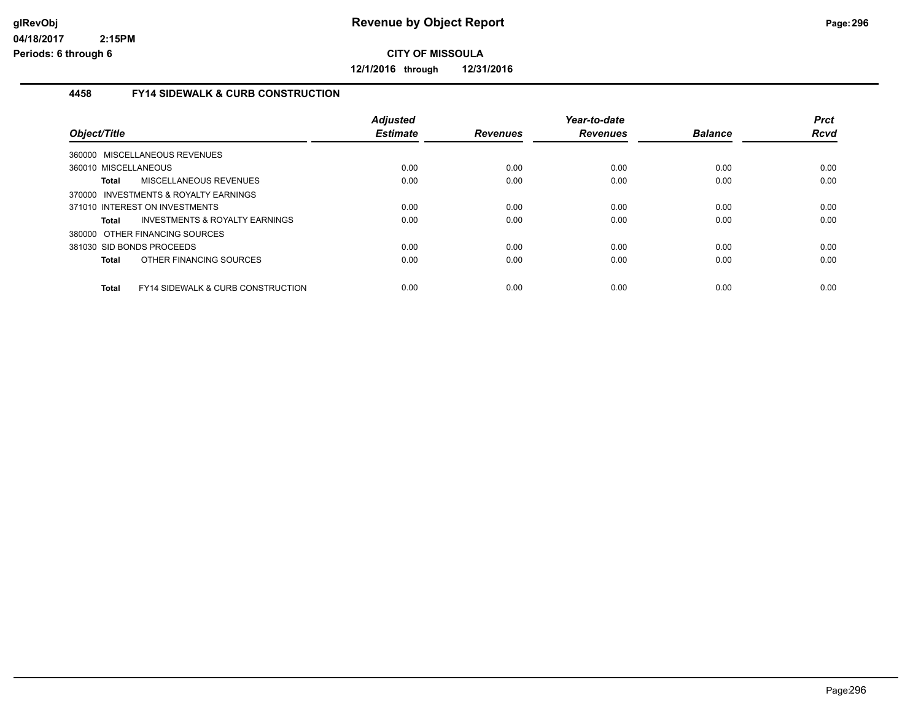**12/1/2016 through 12/31/2016**

#### **4458 FY14 SIDEWALK & CURB CONSTRUCTION**

| Object/Title                             |                                              | <b>Adjusted</b><br><b>Estimate</b> | <b>Revenues</b> | Year-to-date<br><b>Revenues</b> | <b>Balance</b> | <b>Prct</b><br><b>Rcvd</b> |
|------------------------------------------|----------------------------------------------|------------------------------------|-----------------|---------------------------------|----------------|----------------------------|
|                                          |                                              |                                    |                 |                                 |                |                            |
| 360000 MISCELLANEOUS REVENUES            |                                              |                                    |                 |                                 |                |                            |
| 360010 MISCELLANEOUS                     |                                              | 0.00                               | 0.00            | 0.00                            | 0.00           | 0.00                       |
| Total                                    | MISCELLANEOUS REVENUES                       | 0.00                               | 0.00            | 0.00                            | 0.00           | 0.00                       |
| INVESTMENTS & ROYALTY EARNINGS<br>370000 |                                              |                                    |                 |                                 |                |                            |
| 371010 INTEREST ON INVESTMENTS           |                                              | 0.00                               | 0.00            | 0.00                            | 0.00           | 0.00                       |
| Total                                    | <b>INVESTMENTS &amp; ROYALTY EARNINGS</b>    | 0.00                               | 0.00            | 0.00                            | 0.00           | 0.00                       |
| 380000 OTHER FINANCING SOURCES           |                                              |                                    |                 |                                 |                |                            |
| 381030 SID BONDS PROCEEDS                |                                              | 0.00                               | 0.00            | 0.00                            | 0.00           | 0.00                       |
| Total                                    | OTHER FINANCING SOURCES                      | 0.00                               | 0.00            | 0.00                            | 0.00           | 0.00                       |
| Total                                    | <b>FY14 SIDEWALK &amp; CURB CONSTRUCTION</b> | 0.00                               | 0.00            | 0.00                            | 0.00           | 0.00                       |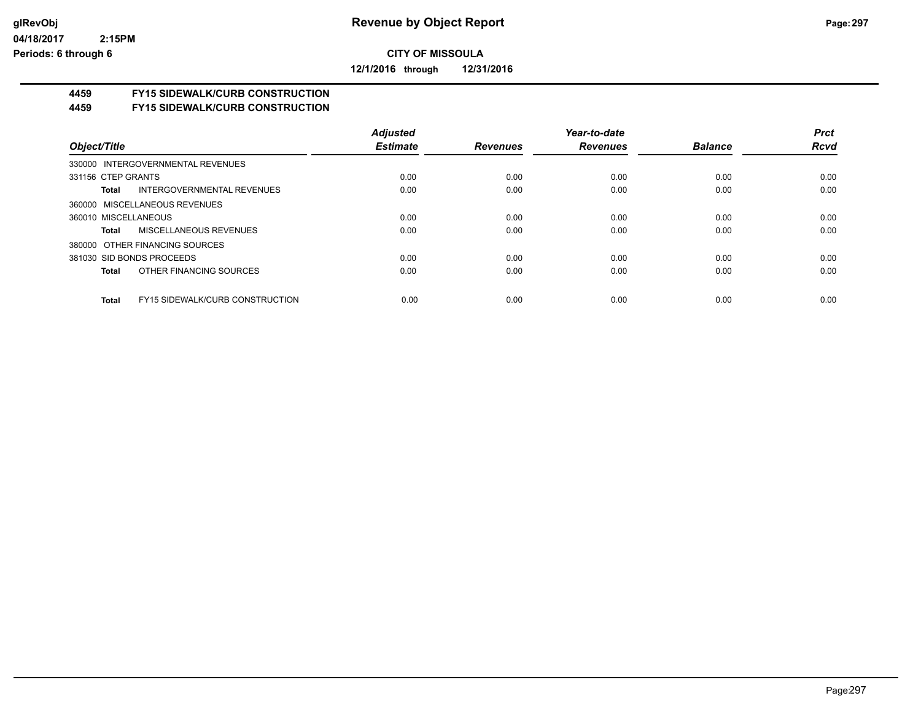**12/1/2016 through 12/31/2016**

#### **4459 FY15 SIDEWALK/CURB CONSTRUCTION 4459 FY15 SIDEWALK/CURB CONSTRUCTION**

| Object/Title                                    | <b>Adjusted</b><br><b>Estimate</b> | <b>Revenues</b> | Year-to-date<br><b>Revenues</b> | <b>Balance</b> | <b>Prct</b><br><b>Rcvd</b> |
|-------------------------------------------------|------------------------------------|-----------------|---------------------------------|----------------|----------------------------|
| 330000 INTERGOVERNMENTAL REVENUES               |                                    |                 |                                 |                |                            |
| 331156 CTEP GRANTS                              | 0.00                               | 0.00            | 0.00                            | 0.00           | 0.00                       |
| INTERGOVERNMENTAL REVENUES<br>Total             | 0.00                               | 0.00            | 0.00                            | 0.00           | 0.00                       |
| 360000 MISCELLANEOUS REVENUES                   |                                    |                 |                                 |                |                            |
| 360010 MISCELLANEOUS                            | 0.00                               | 0.00            | 0.00                            | 0.00           | 0.00                       |
| <b>MISCELLANEOUS REVENUES</b><br>Total          | 0.00                               | 0.00            | 0.00                            | 0.00           | 0.00                       |
| 380000 OTHER FINANCING SOURCES                  |                                    |                 |                                 |                |                            |
| 381030 SID BONDS PROCEEDS                       | 0.00                               | 0.00            | 0.00                            | 0.00           | 0.00                       |
| OTHER FINANCING SOURCES<br>Total                | 0.00                               | 0.00            | 0.00                            | 0.00           | 0.00                       |
|                                                 |                                    |                 |                                 |                |                            |
| <b>FY15 SIDEWALK/CURB CONSTRUCTION</b><br>Total | 0.00                               | 0.00            | 0.00                            | 0.00           | 0.00                       |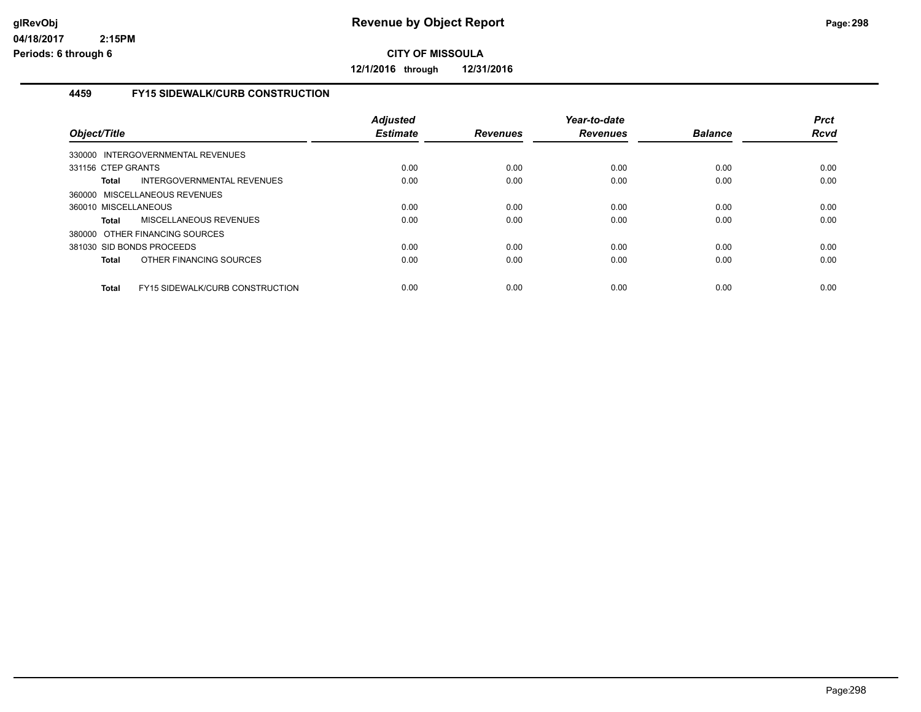**12/1/2016 through 12/31/2016**

#### **4459 FY15 SIDEWALK/CURB CONSTRUCTION**

| Object/Title         |                                        | <b>Adjusted</b><br><b>Estimate</b> | <b>Revenues</b> | Year-to-date<br><b>Revenues</b> | <b>Balance</b> | <b>Prct</b><br><b>Rcvd</b> |
|----------------------|----------------------------------------|------------------------------------|-----------------|---------------------------------|----------------|----------------------------|
|                      | 330000 INTERGOVERNMENTAL REVENUES      |                                    |                 |                                 |                |                            |
| 331156 CTEP GRANTS   |                                        | 0.00                               | 0.00            | 0.00                            | 0.00           | 0.00                       |
| Total                | INTERGOVERNMENTAL REVENUES             | 0.00                               | 0.00            | 0.00                            | 0.00           | 0.00                       |
|                      | 360000 MISCELLANEOUS REVENUES          |                                    |                 |                                 |                |                            |
| 360010 MISCELLANEOUS |                                        | 0.00                               | 0.00            | 0.00                            | 0.00           | 0.00                       |
| Total                | MISCELLANEOUS REVENUES                 | 0.00                               | 0.00            | 0.00                            | 0.00           | 0.00                       |
|                      | 380000 OTHER FINANCING SOURCES         |                                    |                 |                                 |                |                            |
|                      | 381030 SID BONDS PROCEEDS              | 0.00                               | 0.00            | 0.00                            | 0.00           | 0.00                       |
| Total                | OTHER FINANCING SOURCES                | 0.00                               | 0.00            | 0.00                            | 0.00           | 0.00                       |
| <b>Total</b>         | <b>FY15 SIDEWALK/CURB CONSTRUCTION</b> | 0.00                               | 0.00            | 0.00                            | 0.00           | 0.00                       |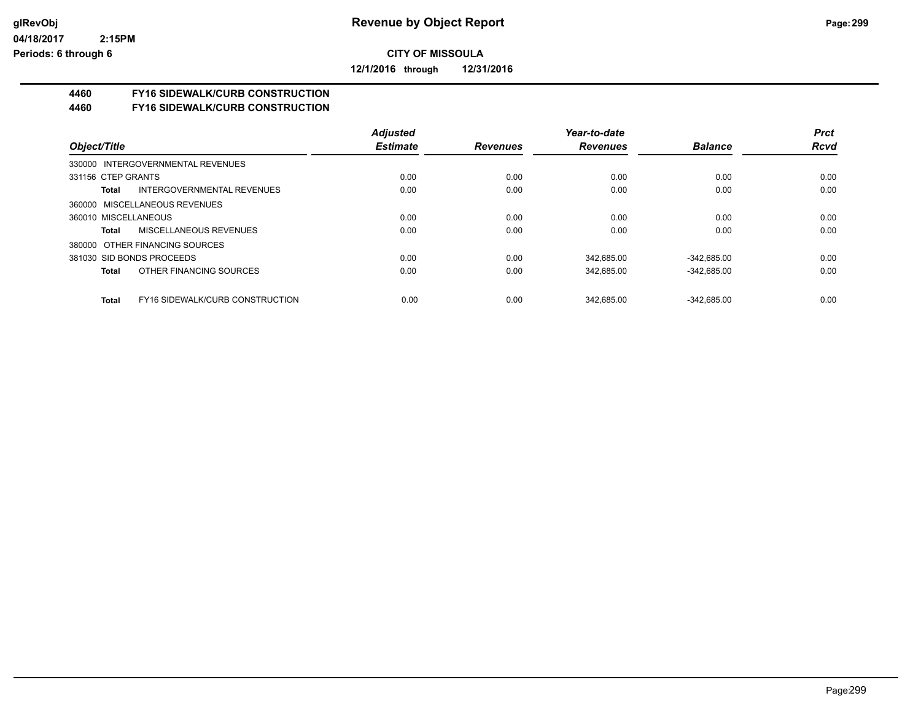**12/1/2016 through 12/31/2016**

#### **4460 FY16 SIDEWALK/CURB CONSTRUCTION 4460 FY16 SIDEWALK/CURB CONSTRUCTION**

| Object/Title                                           | <b>Adjusted</b><br><b>Estimate</b> | <b>Revenues</b> | Year-to-date<br><b>Revenues</b> | <b>Balance</b> | <b>Prct</b><br><b>Rcvd</b> |
|--------------------------------------------------------|------------------------------------|-----------------|---------------------------------|----------------|----------------------------|
| 330000 INTERGOVERNMENTAL REVENUES                      |                                    |                 |                                 |                |                            |
| 331156 CTEP GRANTS                                     | 0.00                               | 0.00            | 0.00                            | 0.00           | 0.00                       |
| <b>INTERGOVERNMENTAL REVENUES</b><br>Total             | 0.00                               | 0.00            | 0.00                            | 0.00           | 0.00                       |
| 360000 MISCELLANEOUS REVENUES                          |                                    |                 |                                 |                |                            |
| 360010 MISCELLANEOUS                                   | 0.00                               | 0.00            | 0.00                            | 0.00           | 0.00                       |
| MISCELLANEOUS REVENUES<br>Total                        | 0.00                               | 0.00            | 0.00                            | 0.00           | 0.00                       |
| 380000 OTHER FINANCING SOURCES                         |                                    |                 |                                 |                |                            |
| 381030 SID BONDS PROCEEDS                              | 0.00                               | 0.00            | 342.685.00                      | -342.685.00    | 0.00                       |
| OTHER FINANCING SOURCES<br>Total                       | 0.00                               | 0.00            | 342.685.00                      | $-342.685.00$  | 0.00                       |
|                                                        |                                    |                 |                                 |                |                            |
| <b>FY16 SIDEWALK/CURB CONSTRUCTION</b><br><b>Total</b> | 0.00                               | 0.00            | 342.685.00                      | -342.685.00    | 0.00                       |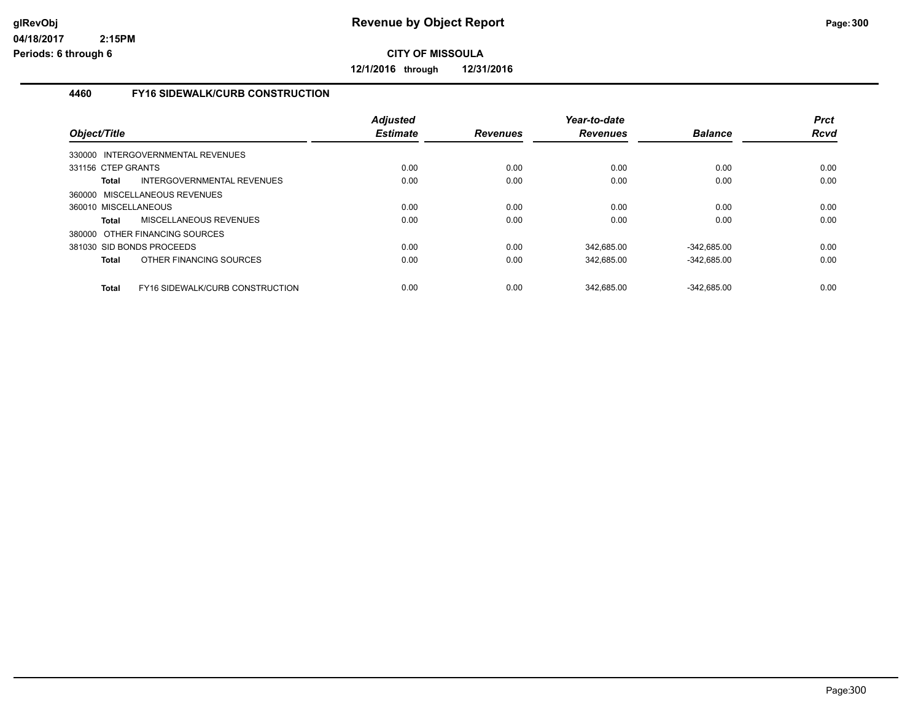**12/1/2016 through 12/31/2016**

#### **4460 FY16 SIDEWALK/CURB CONSTRUCTION**

| Object/Title         |                                   | <b>Adjusted</b><br><b>Estimate</b> | <b>Revenues</b> | Year-to-date<br><b>Revenues</b> | <b>Balance</b> | <b>Prct</b><br><b>Rcvd</b> |
|----------------------|-----------------------------------|------------------------------------|-----------------|---------------------------------|----------------|----------------------------|
|                      | 330000 INTERGOVERNMENTAL REVENUES |                                    |                 |                                 |                |                            |
| 331156 CTEP GRANTS   |                                   | 0.00                               | 0.00            | 0.00                            | 0.00           | 0.00                       |
| Total                | INTERGOVERNMENTAL REVENUES        | 0.00                               | 0.00            | 0.00                            | 0.00           | 0.00                       |
|                      | 360000 MISCELLANEOUS REVENUES     |                                    |                 |                                 |                |                            |
| 360010 MISCELLANEOUS |                                   | 0.00                               | 0.00            | 0.00                            | 0.00           | 0.00                       |
| Total                | MISCELLANEOUS REVENUES            | 0.00                               | 0.00            | 0.00                            | 0.00           | 0.00                       |
|                      | 380000 OTHER FINANCING SOURCES    |                                    |                 |                                 |                |                            |
|                      | 381030 SID BONDS PROCEEDS         | 0.00                               | 0.00            | 342.685.00                      | -342.685.00    | 0.00                       |
| Total                | OTHER FINANCING SOURCES           | 0.00                               | 0.00            | 342,685.00                      | $-342,685.00$  | 0.00                       |
| <b>Total</b>         | FY16 SIDEWALK/CURB CONSTRUCTION   | 0.00                               | 0.00            | 342.685.00                      | $-342.685.00$  | 0.00                       |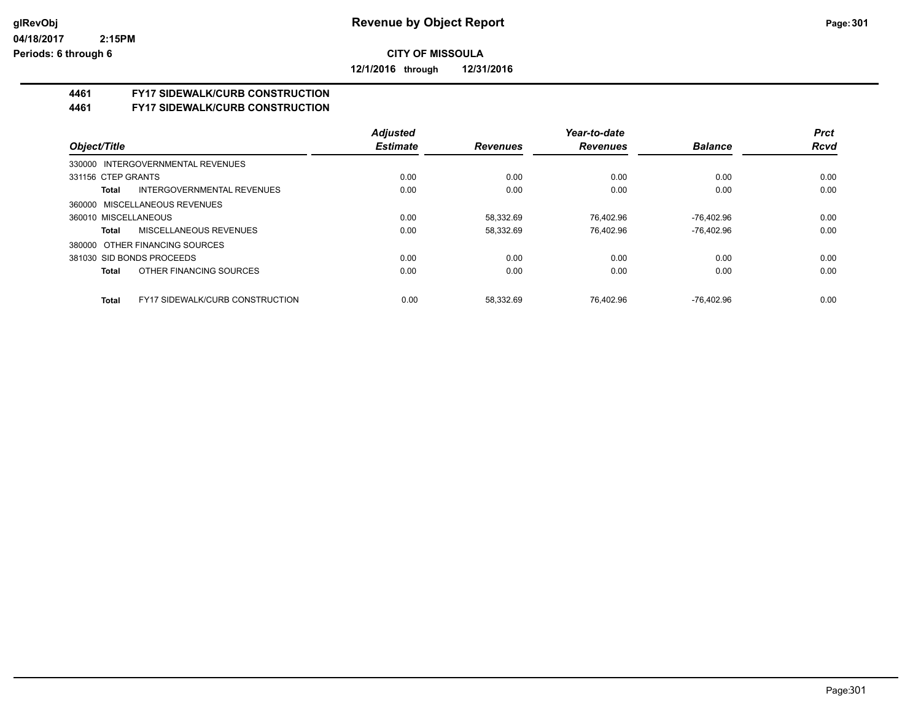**12/1/2016 through 12/31/2016**

#### **4461 FY17 SIDEWALK/CURB CONSTRUCTION 4461 FY17 SIDEWALK/CURB CONSTRUCTION**

| Object/Title                                           | <b>Adjusted</b><br><b>Estimate</b> | <b>Revenues</b> | Year-to-date<br><b>Revenues</b> | <b>Balance</b> | <b>Prct</b><br><b>Rcvd</b> |
|--------------------------------------------------------|------------------------------------|-----------------|---------------------------------|----------------|----------------------------|
|                                                        |                                    |                 |                                 |                |                            |
| 330000 INTERGOVERNMENTAL REVENUES                      |                                    |                 |                                 |                |                            |
| 331156 CTEP GRANTS                                     | 0.00                               | 0.00            | 0.00                            | 0.00           | 0.00                       |
| INTERGOVERNMENTAL REVENUES<br>Total                    | 0.00                               | 0.00            | 0.00                            | 0.00           | 0.00                       |
| 360000 MISCELLANEOUS REVENUES                          |                                    |                 |                                 |                |                            |
| 360010 MISCELLANEOUS                                   | 0.00                               | 58.332.69       | 76.402.96                       | $-76.402.96$   | 0.00                       |
| MISCELLANEOUS REVENUES<br>Total                        | 0.00                               | 58,332.69       | 76.402.96                       | $-76,402.96$   | 0.00                       |
| OTHER FINANCING SOURCES<br>380000                      |                                    |                 |                                 |                |                            |
| 381030 SID BONDS PROCEEDS                              | 0.00                               | 0.00            | 0.00                            | 0.00           | 0.00                       |
| OTHER FINANCING SOURCES<br>Total                       | 0.00                               | 0.00            | 0.00                            | 0.00           | 0.00                       |
|                                                        |                                    |                 |                                 |                |                            |
| <b>FY17 SIDEWALK/CURB CONSTRUCTION</b><br><b>Total</b> | 0.00                               | 58.332.69       | 76.402.96                       | $-76.402.96$   | 0.00                       |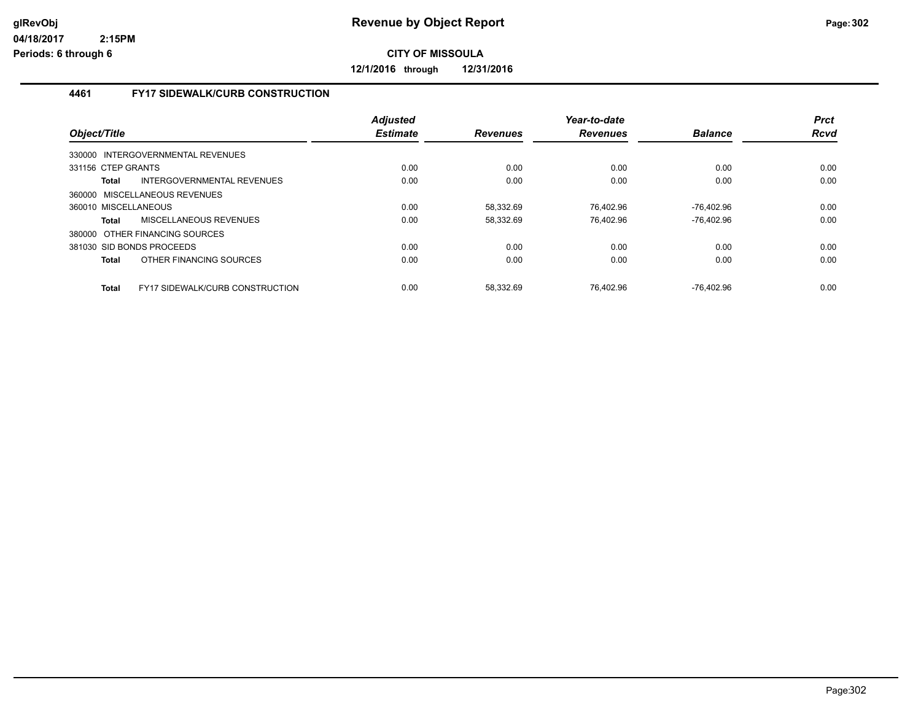**12/1/2016 through 12/31/2016**

#### **4461 FY17 SIDEWALK/CURB CONSTRUCTION**

| Object/Title         |                                        | <b>Adjusted</b><br><b>Estimate</b> | <b>Revenues</b> | Year-to-date<br><b>Revenues</b> | <b>Balance</b> | <b>Prct</b><br><b>Rcvd</b> |
|----------------------|----------------------------------------|------------------------------------|-----------------|---------------------------------|----------------|----------------------------|
| 330000               | INTERGOVERNMENTAL REVENUES             |                                    |                 |                                 |                |                            |
| 331156 CTEP GRANTS   |                                        | 0.00                               | 0.00            | 0.00                            | 0.00           | 0.00                       |
| <b>Total</b>         | INTERGOVERNMENTAL REVENUES             | 0.00                               | 0.00            | 0.00                            | 0.00           | 0.00                       |
|                      | 360000 MISCELLANEOUS REVENUES          |                                    |                 |                                 |                |                            |
| 360010 MISCELLANEOUS |                                        | 0.00                               | 58.332.69       | 76.402.96                       | -76.402.96     | 0.00                       |
| <b>Total</b>         | <b>MISCELLANEOUS REVENUES</b>          | 0.00                               | 58.332.69       | 76.402.96                       | $-76.402.96$   | 0.00                       |
|                      | 380000 OTHER FINANCING SOURCES         |                                    |                 |                                 |                |                            |
|                      | 381030 SID BONDS PROCEEDS              | 0.00                               | 0.00            | 0.00                            | 0.00           | 0.00                       |
| <b>Total</b>         | OTHER FINANCING SOURCES                | 0.00                               | 0.00            | 0.00                            | 0.00           | 0.00                       |
| <b>Total</b>         | <b>FY17 SIDEWALK/CURB CONSTRUCTION</b> | 0.00                               | 58.332.69       | 76.402.96                       | -76.402.96     | 0.00                       |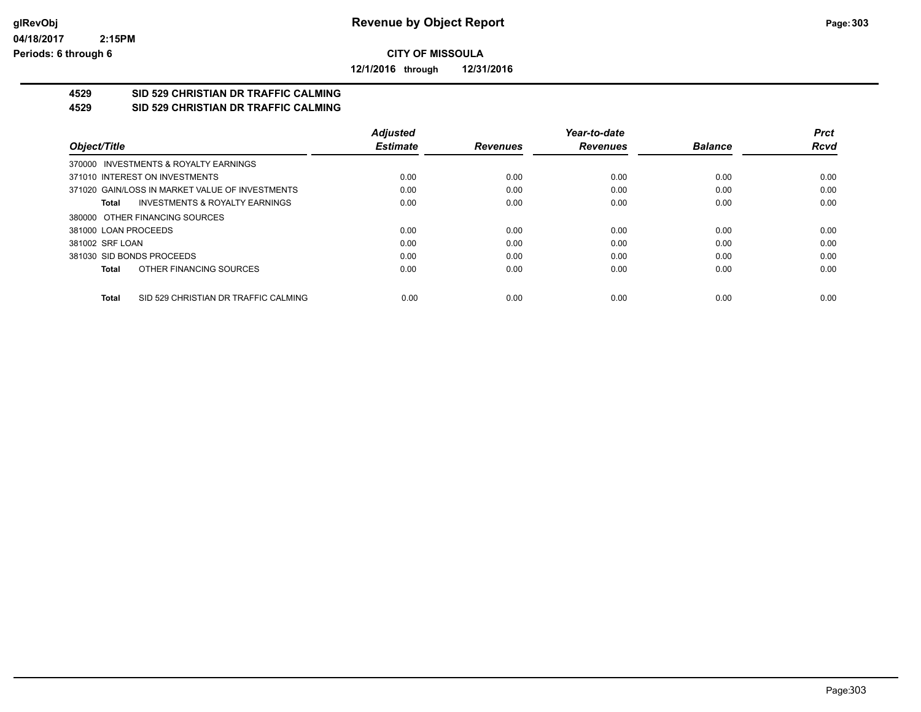**12/1/2016 through 12/31/2016**

#### **4529 SID 529 CHRISTIAN DR TRAFFIC CALMING 4529 SID 529 CHRISTIAN DR TRAFFIC CALMING**

|                                                 | <b>Adjusted</b> |          | Year-to-date    |                | <b>Prct</b> |
|-------------------------------------------------|-----------------|----------|-----------------|----------------|-------------|
| Object/Title                                    | <b>Estimate</b> | Revenues | <b>Revenues</b> | <b>Balance</b> | <b>Rcvd</b> |
| 370000 INVESTMENTS & ROYALTY EARNINGS           |                 |          |                 |                |             |
| 371010 INTEREST ON INVESTMENTS                  | 0.00            | 0.00     | 0.00            | 0.00           | 0.00        |
| 371020 GAIN/LOSS IN MARKET VALUE OF INVESTMENTS | 0.00            | 0.00     | 0.00            | 0.00           | 0.00        |
| INVESTMENTS & ROYALTY EARNINGS<br>Total         | 0.00            | 0.00     | 0.00            | 0.00           | 0.00        |
| 380000 OTHER FINANCING SOURCES                  |                 |          |                 |                |             |
| 381000 LOAN PROCEEDS                            | 0.00            | 0.00     | 0.00            | 0.00           | 0.00        |
| 381002 SRF LOAN                                 | 0.00            | 0.00     | 0.00            | 0.00           | 0.00        |
| 381030 SID BONDS PROCEEDS                       | 0.00            | 0.00     | 0.00            | 0.00           | 0.00        |
| OTHER FINANCING SOURCES<br>Total                | 0.00            | 0.00     | 0.00            | 0.00           | 0.00        |
|                                                 |                 |          |                 |                |             |
| SID 529 CHRISTIAN DR TRAFFIC CALMING<br>Total   | 0.00            | 0.00     | 0.00            | 0.00           | 0.00        |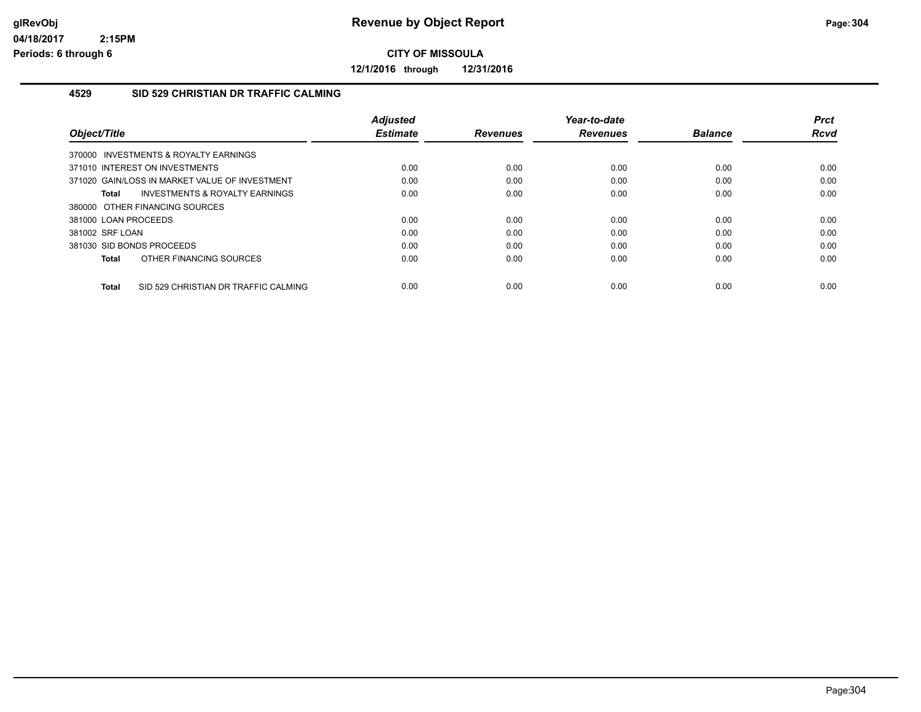**12/1/2016 through 12/31/2016**

#### **4529 SID 529 CHRISTIAN DR TRAFFIC CALMING**

| Object/Title                                         | <b>Adjusted</b><br><b>Estimate</b> | <b>Revenues</b> | Year-to-date<br><b>Revenues</b> | <b>Balance</b> | <b>Prct</b><br><b>Rcvd</b> |
|------------------------------------------------------|------------------------------------|-----------------|---------------------------------|----------------|----------------------------|
| 370000 INVESTMENTS & ROYALTY EARNINGS                |                                    |                 |                                 |                |                            |
| 371010 INTEREST ON INVESTMENTS                       | 0.00                               | 0.00            | 0.00                            | 0.00           | 0.00                       |
| 371020 GAIN/LOSS IN MARKET VALUE OF INVESTMENT       | 0.00                               | 0.00            | 0.00                            | 0.00           | 0.00                       |
| INVESTMENTS & ROYALTY EARNINGS<br>Total              | 0.00                               | 0.00            | 0.00                            | 0.00           | 0.00                       |
| 380000 OTHER FINANCING SOURCES                       |                                    |                 |                                 |                |                            |
| 381000 LOAN PROCEEDS                                 | 0.00                               | 0.00            | 0.00                            | 0.00           | 0.00                       |
| 381002 SRF LOAN                                      | 0.00                               | 0.00            | 0.00                            | 0.00           | 0.00                       |
| 381030 SID BONDS PROCEEDS                            | 0.00                               | 0.00            | 0.00                            | 0.00           | 0.00                       |
| OTHER FINANCING SOURCES<br><b>Total</b>              | 0.00                               | 0.00            | 0.00                            | 0.00           | 0.00                       |
| SID 529 CHRISTIAN DR TRAFFIC CALMING<br><b>Total</b> | 0.00                               | 0.00            | 0.00                            | 0.00           | 0.00                       |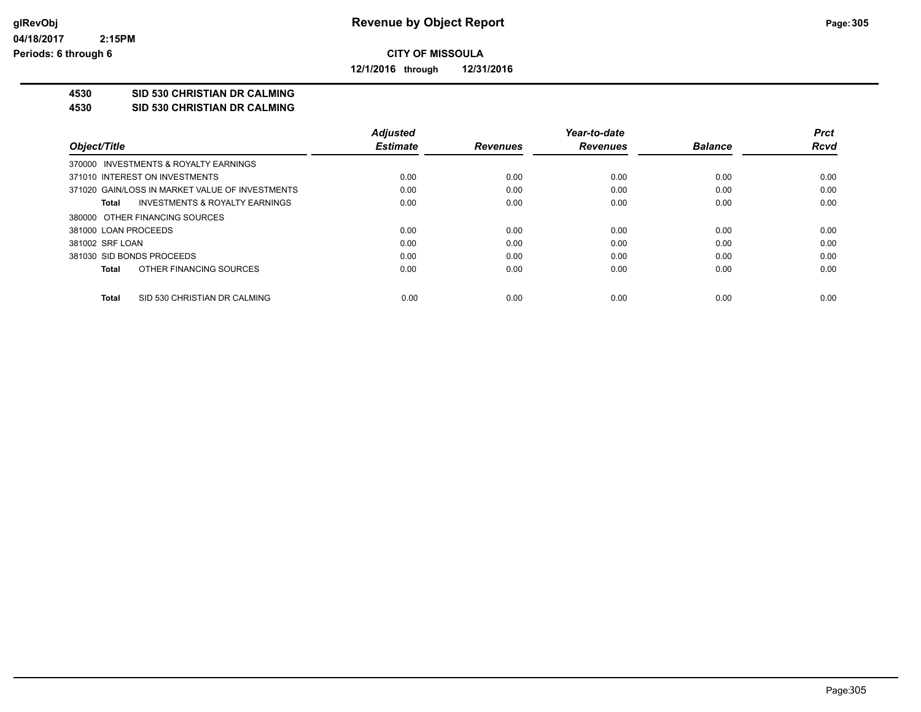**12/1/2016 through 12/31/2016**

**4530 SID 530 CHRISTIAN DR CALMING 4530 SID 530 CHRISTIAN DR CALMING**

|                                                    | <b>Adjusted</b> |                 | Year-to-date    |                | <b>Prct</b> |
|----------------------------------------------------|-----------------|-----------------|-----------------|----------------|-------------|
| Object/Title                                       | <b>Estimate</b> | <b>Revenues</b> | <b>Revenues</b> | <b>Balance</b> | <b>Rcvd</b> |
| 370000 INVESTMENTS & ROYALTY EARNINGS              |                 |                 |                 |                |             |
| 371010 INTEREST ON INVESTMENTS                     | 0.00            | 0.00            | 0.00            | 0.00           | 0.00        |
| 371020 GAIN/LOSS IN MARKET VALUE OF INVESTMENTS    | 0.00            | 0.00            | 0.00            | 0.00           | 0.00        |
| <b>INVESTMENTS &amp; ROYALTY EARNINGS</b><br>Total | 0.00            | 0.00            | 0.00            | 0.00           | 0.00        |
| 380000 OTHER FINANCING SOURCES                     |                 |                 |                 |                |             |
| 381000 LOAN PROCEEDS                               | 0.00            | 0.00            | 0.00            | 0.00           | 0.00        |
| 381002 SRF LOAN                                    | 0.00            | 0.00            | 0.00            | 0.00           | 0.00        |
| 381030 SID BONDS PROCEEDS                          | 0.00            | 0.00            | 0.00            | 0.00           | 0.00        |
| OTHER FINANCING SOURCES<br>Total                   | 0.00            | 0.00            | 0.00            | 0.00           | 0.00        |
|                                                    |                 |                 |                 |                |             |
| SID 530 CHRISTIAN DR CALMING<br><b>Total</b>       | 0.00            | 0.00            | 0.00            | 0.00           | 0.00        |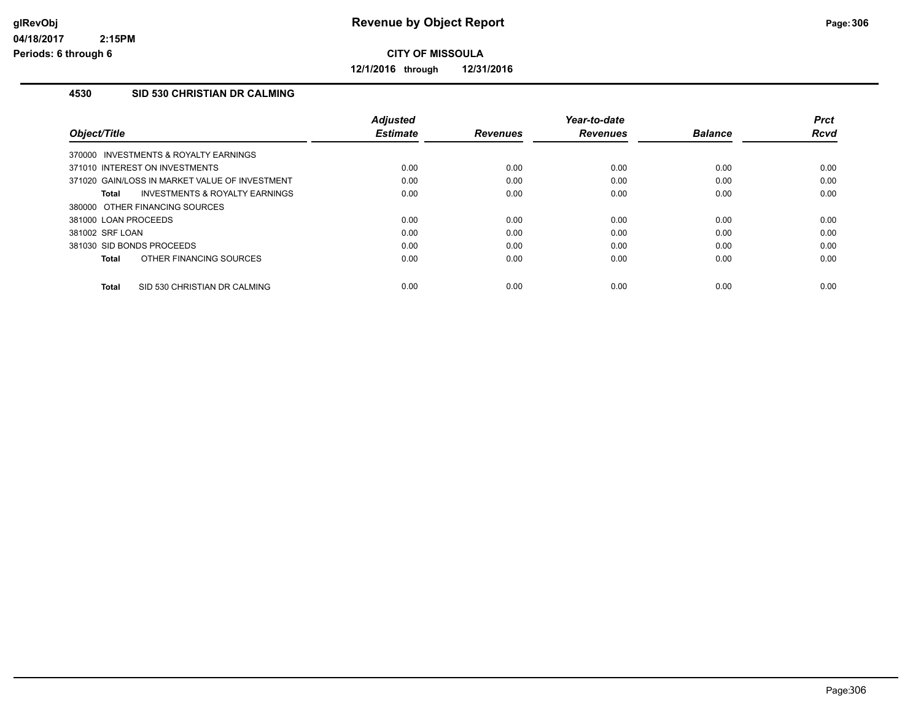**12/1/2016 through 12/31/2016**

#### **4530 SID 530 CHRISTIAN DR CALMING**

| Object/Title                                   | <b>Adjusted</b><br><b>Estimate</b> | <b>Revenues</b> | Year-to-date<br><b>Revenues</b> | <b>Balance</b> | <b>Prct</b><br>Rcvd |
|------------------------------------------------|------------------------------------|-----------------|---------------------------------|----------------|---------------------|
| 370000 INVESTMENTS & ROYALTY EARNINGS          |                                    |                 |                                 |                |                     |
| 371010 INTEREST ON INVESTMENTS                 | 0.00                               | 0.00            | 0.00                            | 0.00           | 0.00                |
| 371020 GAIN/LOSS IN MARKET VALUE OF INVESTMENT | 0.00                               | 0.00            | 0.00                            | 0.00           | 0.00                |
| INVESTMENTS & ROYALTY EARNINGS<br>Total        | 0.00                               | 0.00            | 0.00                            | 0.00           | 0.00                |
| 380000 OTHER FINANCING SOURCES                 |                                    |                 |                                 |                |                     |
| 381000 LOAN PROCEEDS                           | 0.00                               | 0.00            | 0.00                            | 0.00           | 0.00                |
| 381002 SRF LOAN                                | 0.00                               | 0.00            | 0.00                            | 0.00           | 0.00                |
| 381030 SID BONDS PROCEEDS                      | 0.00                               | 0.00            | 0.00                            | 0.00           | 0.00                |
| OTHER FINANCING SOURCES<br><b>Total</b>        | 0.00                               | 0.00            | 0.00                            | 0.00           | 0.00                |
| SID 530 CHRISTIAN DR CALMING<br><b>Total</b>   | 0.00                               | 0.00            | 0.00                            | 0.00           | 0.00                |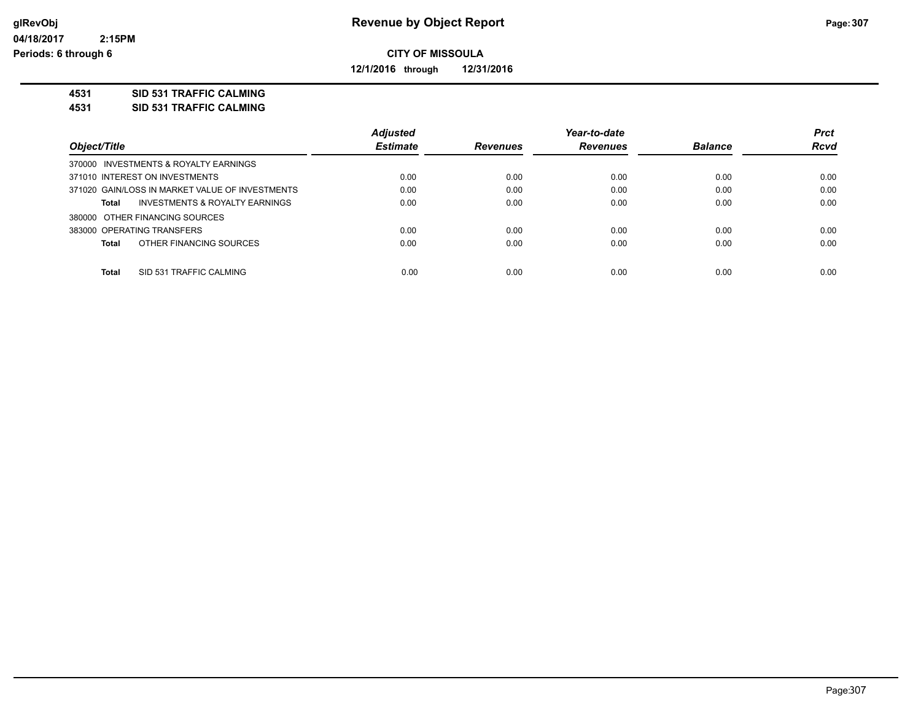**12/1/2016 through 12/31/2016**

**4531 SID 531 TRAFFIC CALMING 4531 SID 531 TRAFFIC CALMING**

|                                                 | <b>Adjusted</b> |                 | Year-to-date    |                | <b>Prct</b> |
|-------------------------------------------------|-----------------|-----------------|-----------------|----------------|-------------|
| Object/Title                                    | <b>Estimate</b> | <b>Revenues</b> | <b>Revenues</b> | <b>Balance</b> | <b>Rcvd</b> |
| 370000 INVESTMENTS & ROYALTY EARNINGS           |                 |                 |                 |                |             |
| 371010 INTEREST ON INVESTMENTS                  | 0.00            | 0.00            | 0.00            | 0.00           | 0.00        |
| 371020 GAIN/LOSS IN MARKET VALUE OF INVESTMENTS | 0.00            | 0.00            | 0.00            | 0.00           | 0.00        |
| INVESTMENTS & ROYALTY EARNINGS<br>Total         | 0.00            | 0.00            | 0.00            | 0.00           | 0.00        |
| 380000 OTHER FINANCING SOURCES                  |                 |                 |                 |                |             |
| 383000 OPERATING TRANSFERS                      | 0.00            | 0.00            | 0.00            | 0.00           | 0.00        |
| OTHER FINANCING SOURCES<br>Total                | 0.00            | 0.00            | 0.00            | 0.00           | 0.00        |
|                                                 |                 |                 |                 |                |             |
| SID 531 TRAFFIC CALMING<br><b>Total</b>         | 0.00            | 0.00            | 0.00            | 0.00           | 0.00        |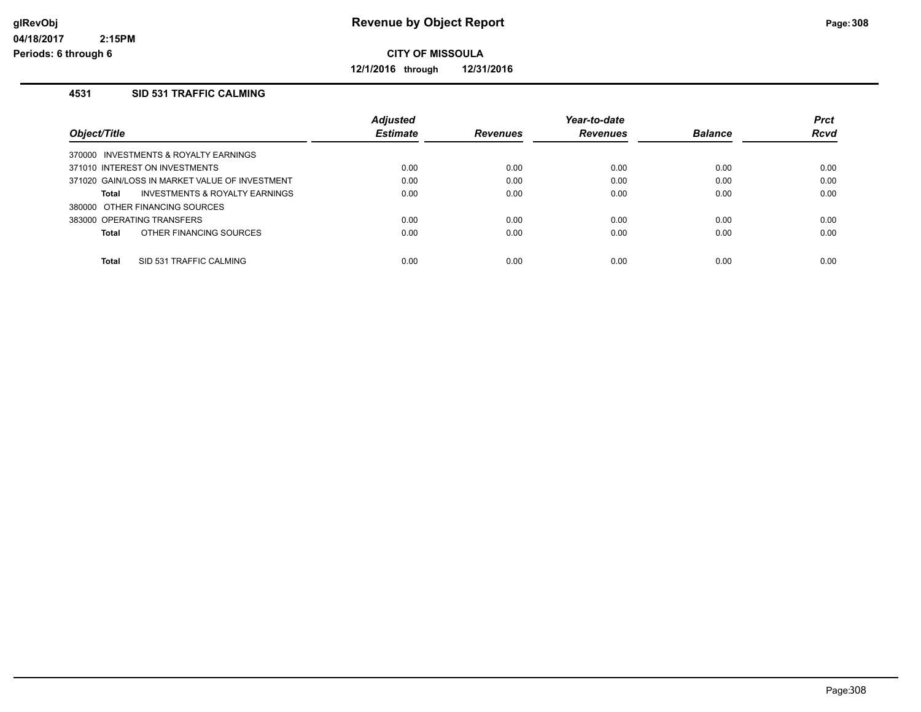**12/1/2016 through 12/31/2016**

#### **4531 SID 531 TRAFFIC CALMING**

| Object/Title                                   | <b>Adjusted</b><br><b>Estimate</b> | <b>Revenues</b> | Year-to-date<br><b>Revenues</b> | <b>Balance</b> | <b>Prct</b><br><b>Rcvd</b> |
|------------------------------------------------|------------------------------------|-----------------|---------------------------------|----------------|----------------------------|
|                                                |                                    |                 |                                 |                |                            |
| 370000 INVESTMENTS & ROYALTY EARNINGS          |                                    |                 |                                 |                |                            |
| 371010 INTEREST ON INVESTMENTS                 | 0.00                               | 0.00            | 0.00                            | 0.00           | 0.00                       |
| 371020 GAIN/LOSS IN MARKET VALUE OF INVESTMENT | 0.00                               | 0.00            | 0.00                            | 0.00           | 0.00                       |
| Total<br>INVESTMENTS & ROYALTY EARNINGS        | 0.00                               | 0.00            | 0.00                            | 0.00           | 0.00                       |
| 380000 OTHER FINANCING SOURCES                 |                                    |                 |                                 |                |                            |
| 383000 OPERATING TRANSFERS                     | 0.00                               | 0.00            | 0.00                            | 0.00           | 0.00                       |
| OTHER FINANCING SOURCES<br>Total               | 0.00                               | 0.00            | 0.00                            | 0.00           | 0.00                       |
|                                                |                                    |                 |                                 |                |                            |
| Total<br>SID 531 TRAFFIC CALMING               | 0.00                               | 0.00            | 0.00                            | 0.00           | 0.00                       |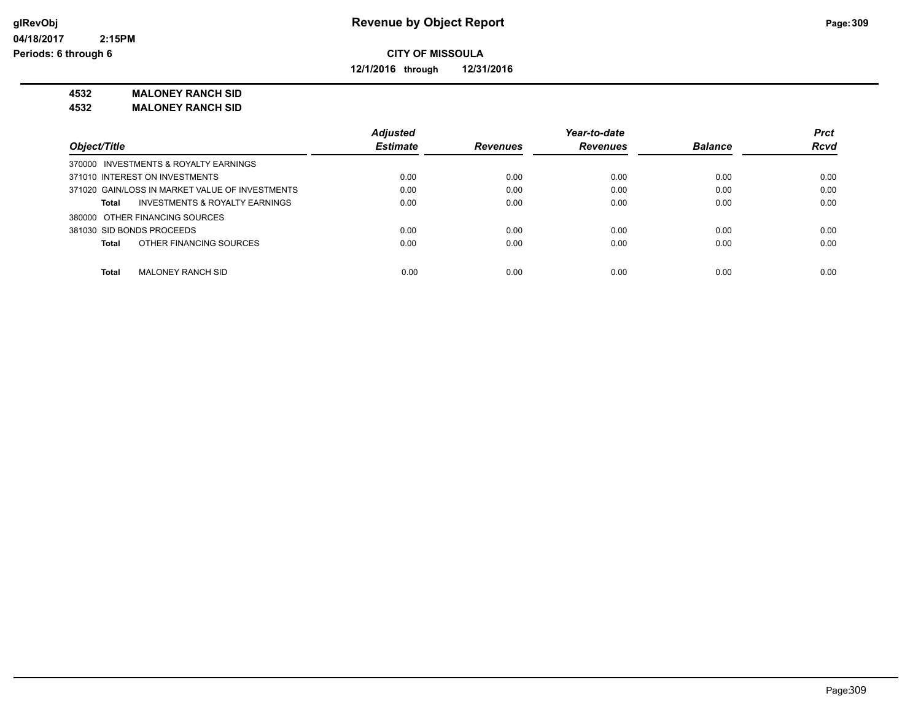**12/1/2016 through 12/31/2016**

**4532 MALONEY RANCH SID 4532 MALONEY RANCH SID**

|                                                 | <b>Adjusted</b> |                 | Year-to-date    |                | <b>Prct</b> |
|-------------------------------------------------|-----------------|-----------------|-----------------|----------------|-------------|
| Object/Title                                    | <b>Estimate</b> | <b>Revenues</b> | <b>Revenues</b> | <b>Balance</b> | <b>Rcvd</b> |
| 370000 INVESTMENTS & ROYALTY EARNINGS           |                 |                 |                 |                |             |
| 371010 INTEREST ON INVESTMENTS                  | 0.00            | 0.00            | 0.00            | 0.00           | 0.00        |
| 371020 GAIN/LOSS IN MARKET VALUE OF INVESTMENTS | 0.00            | 0.00            | 0.00            | 0.00           | 0.00        |
| INVESTMENTS & ROYALTY EARNINGS<br>Total         | 0.00            | 0.00            | 0.00            | 0.00           | 0.00        |
| 380000 OTHER FINANCING SOURCES                  |                 |                 |                 |                |             |
| 381030 SID BONDS PROCEEDS                       | 0.00            | 0.00            | 0.00            | 0.00           | 0.00        |
| OTHER FINANCING SOURCES<br>Total                | 0.00            | 0.00            | 0.00            | 0.00           | 0.00        |
| Total<br><b>MALONEY RANCH SID</b>               | 0.00            | 0.00            | 0.00            | 0.00           | 0.00        |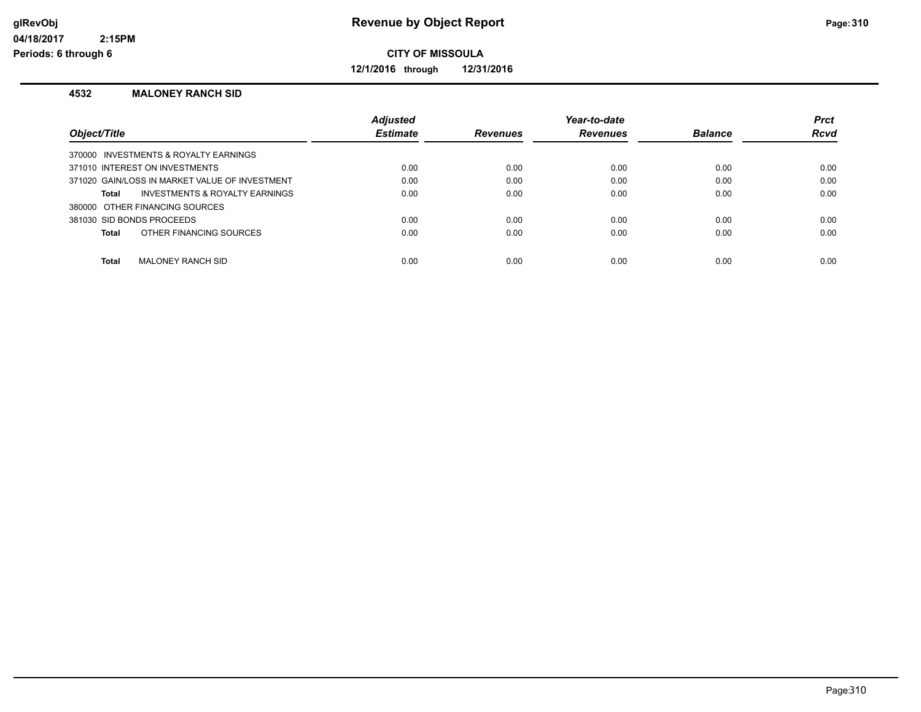**12/1/2016 through 12/31/2016**

#### **4532 MALONEY RANCH SID**

| Object/Title                                   | <b>Adjusted</b><br><b>Estimate</b> |                 | Year-to-date<br><b>Revenues</b> | <b>Balance</b> | <b>Prct</b><br><b>Rcvd</b> |
|------------------------------------------------|------------------------------------|-----------------|---------------------------------|----------------|----------------------------|
|                                                |                                    | <b>Revenues</b> |                                 |                |                            |
| 370000 INVESTMENTS & ROYALTY EARNINGS          |                                    |                 |                                 |                |                            |
| 371010 INTEREST ON INVESTMENTS                 | 0.00                               | 0.00            | 0.00                            | 0.00           | 0.00                       |
| 371020 GAIN/LOSS IN MARKET VALUE OF INVESTMENT | 0.00                               | 0.00            | 0.00                            | 0.00           | 0.00                       |
| Total<br>INVESTMENTS & ROYALTY EARNINGS        | 0.00                               | 0.00            | 0.00                            | 0.00           | 0.00                       |
| 380000 OTHER FINANCING SOURCES                 |                                    |                 |                                 |                |                            |
| 381030 SID BONDS PROCEEDS                      | 0.00                               | 0.00            | 0.00                            | 0.00           | 0.00                       |
| OTHER FINANCING SOURCES<br>Total               | 0.00                               | 0.00            | 0.00                            | 0.00           | 0.00                       |
|                                                |                                    |                 |                                 |                |                            |
| Total<br>MALONEY RANCH SID                     | 0.00                               | 0.00            | 0.00                            | 0.00           | 0.00                       |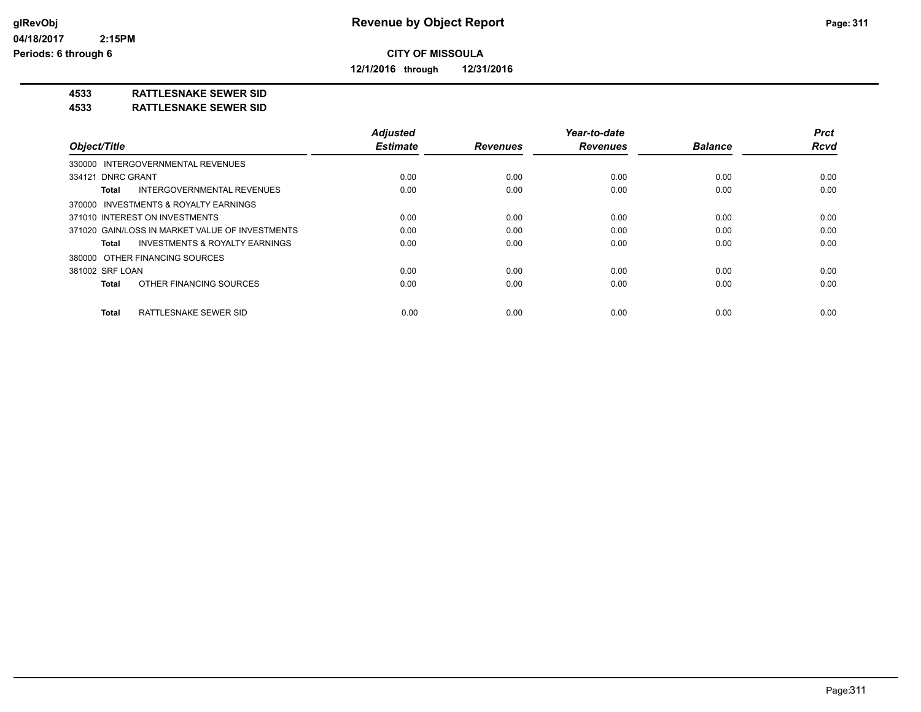**12/1/2016 through 12/31/2016**

**4533 RATTLESNAKE SEWER SID**

|                                                    | <b>Adjusted</b><br><b>Estimate</b> |                 | Year-to-date    |                | <b>Prct</b><br><b>Rcvd</b> |
|----------------------------------------------------|------------------------------------|-----------------|-----------------|----------------|----------------------------|
| Object/Title                                       |                                    | <b>Revenues</b> | <b>Revenues</b> | <b>Balance</b> |                            |
| 330000 INTERGOVERNMENTAL REVENUES                  |                                    |                 |                 |                |                            |
| 334121 DNRC GRANT                                  | 0.00                               | 0.00            | 0.00            | 0.00           | 0.00                       |
| INTERGOVERNMENTAL REVENUES<br>Total                | 0.00                               | 0.00            | 0.00            | 0.00           | 0.00                       |
| 370000 INVESTMENTS & ROYALTY EARNINGS              |                                    |                 |                 |                |                            |
| 371010 INTEREST ON INVESTMENTS                     | 0.00                               | 0.00            | 0.00            | 0.00           | 0.00                       |
| 371020 GAIN/LOSS IN MARKET VALUE OF INVESTMENTS    | 0.00                               | 0.00            | 0.00            | 0.00           | 0.00                       |
| <b>INVESTMENTS &amp; ROYALTY EARNINGS</b><br>Total | 0.00                               | 0.00            | 0.00            | 0.00           | 0.00                       |
| 380000 OTHER FINANCING SOURCES                     |                                    |                 |                 |                |                            |
| 381002 SRF LOAN                                    | 0.00                               | 0.00            | 0.00            | 0.00           | 0.00                       |
| OTHER FINANCING SOURCES<br>Total                   | 0.00                               | 0.00            | 0.00            | 0.00           | 0.00                       |
| RATTLESNAKE SEWER SID                              |                                    |                 |                 |                |                            |
| <b>Total</b>                                       | 0.00                               | 0.00            | 0.00            | 0.00           | 0.00                       |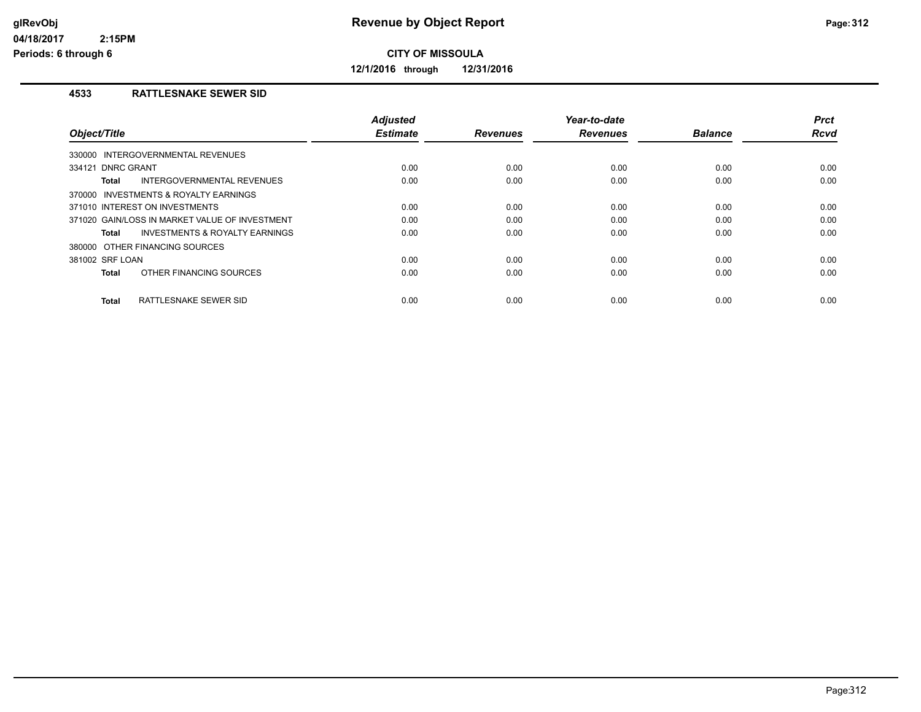**12/1/2016 through 12/31/2016**

#### **4533 RATTLESNAKE SEWER SID**

|                                                | <b>Adjusted</b> |                 | Year-to-date    |                | <b>Prct</b> |
|------------------------------------------------|-----------------|-----------------|-----------------|----------------|-------------|
| Object/Title                                   | <b>Estimate</b> | <b>Revenues</b> | <b>Revenues</b> | <b>Balance</b> | <b>Rcvd</b> |
| INTERGOVERNMENTAL REVENUES<br>330000           |                 |                 |                 |                |             |
| 334121 DNRC GRANT                              | 0.00            | 0.00            | 0.00            | 0.00           | 0.00        |
| INTERGOVERNMENTAL REVENUES<br>Total            | 0.00            | 0.00            | 0.00            | 0.00           | 0.00        |
| 370000 INVESTMENTS & ROYALTY EARNINGS          |                 |                 |                 |                |             |
| 371010 INTEREST ON INVESTMENTS                 | 0.00            | 0.00            | 0.00            | 0.00           | 0.00        |
| 371020 GAIN/LOSS IN MARKET VALUE OF INVESTMENT | 0.00            | 0.00            | 0.00            | 0.00           | 0.00        |
| INVESTMENTS & ROYALTY EARNINGS<br>Total        | 0.00            | 0.00            | 0.00            | 0.00           | 0.00        |
| 380000 OTHER FINANCING SOURCES                 |                 |                 |                 |                |             |
| 381002 SRF LOAN                                | 0.00            | 0.00            | 0.00            | 0.00           | 0.00        |
| OTHER FINANCING SOURCES<br>Total               | 0.00            | 0.00            | 0.00            | 0.00           | 0.00        |
| RATTLESNAKE SEWER SID<br><b>Total</b>          | 0.00            | 0.00            | 0.00            | 0.00           | 0.00        |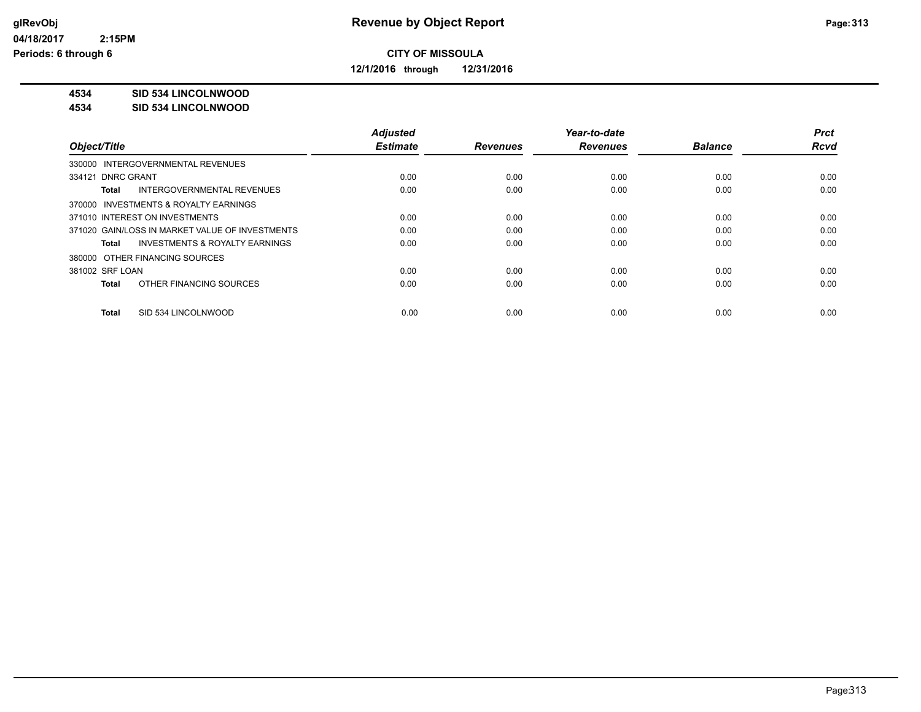**12/1/2016 through 12/31/2016**

**4534 SID 534 LINCOLNWOOD**

| 4534 | <b>SID 534 LINCOLNWOOD</b> |
|------|----------------------------|
|------|----------------------------|

|                                                    | <b>Adjusted</b> |                 | Year-to-date    |                | <b>Prct</b> |
|----------------------------------------------------|-----------------|-----------------|-----------------|----------------|-------------|
| Object/Title                                       | <b>Estimate</b> | <b>Revenues</b> | <b>Revenues</b> | <b>Balance</b> | <b>Rcvd</b> |
| 330000 INTERGOVERNMENTAL REVENUES                  |                 |                 |                 |                |             |
| 334121 DNRC GRANT                                  | 0.00            | 0.00            | 0.00            | 0.00           | 0.00        |
| INTERGOVERNMENTAL REVENUES<br>Total                | 0.00            | 0.00            | 0.00            | 0.00           | 0.00        |
| 370000 INVESTMENTS & ROYALTY EARNINGS              |                 |                 |                 |                |             |
| 371010 INTEREST ON INVESTMENTS                     | 0.00            | 0.00            | 0.00            | 0.00           | 0.00        |
| 371020 GAIN/LOSS IN MARKET VALUE OF INVESTMENTS    | 0.00            | 0.00            | 0.00            | 0.00           | 0.00        |
| <b>INVESTMENTS &amp; ROYALTY EARNINGS</b><br>Total | 0.00            | 0.00            | 0.00            | 0.00           | 0.00        |
| 380000 OTHER FINANCING SOURCES                     |                 |                 |                 |                |             |
| 381002 SRF LOAN                                    | 0.00            | 0.00            | 0.00            | 0.00           | 0.00        |
| OTHER FINANCING SOURCES<br>Total                   | 0.00            | 0.00            | 0.00            | 0.00           | 0.00        |
| SID 534 LINCOLNWOOD<br>Total                       | 0.00            | 0.00            | 0.00            | 0.00           | 0.00        |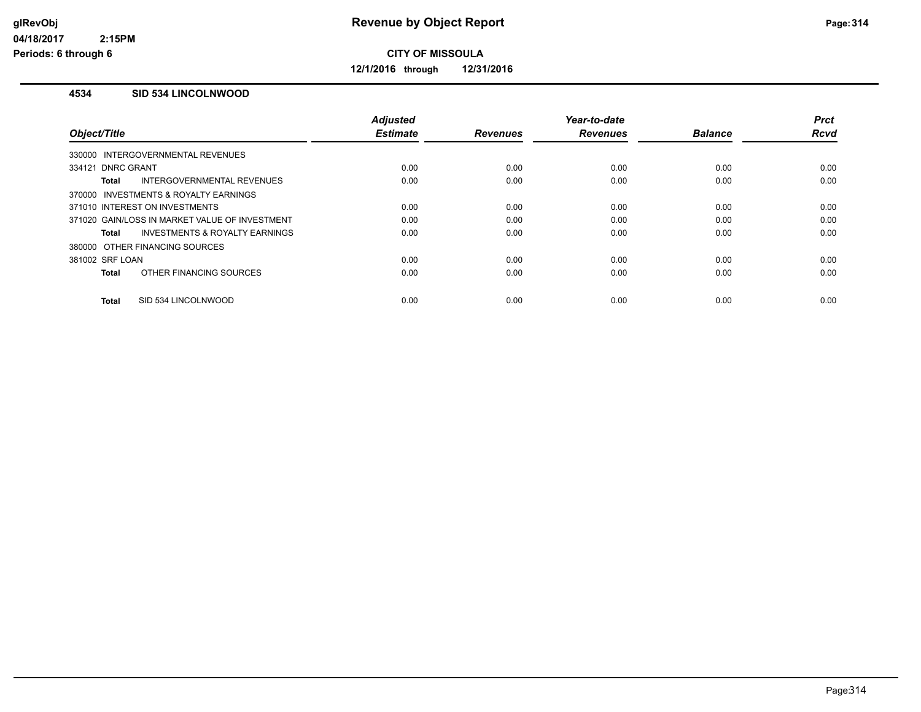**12/1/2016 through 12/31/2016**

#### **4534 SID 534 LINCOLNWOOD**

|                                                | <b>Adjusted</b> |                 | Year-to-date    |                | <b>Prct</b> |
|------------------------------------------------|-----------------|-----------------|-----------------|----------------|-------------|
| Object/Title                                   | <b>Estimate</b> | <b>Revenues</b> | <b>Revenues</b> | <b>Balance</b> | <b>Rcvd</b> |
| 330000 INTERGOVERNMENTAL REVENUES              |                 |                 |                 |                |             |
| 334121 DNRC GRANT                              | 0.00            | 0.00            | 0.00            | 0.00           | 0.00        |
| INTERGOVERNMENTAL REVENUES<br>Total            | 0.00            | 0.00            | 0.00            | 0.00           | 0.00        |
| 370000 INVESTMENTS & ROYALTY EARNINGS          |                 |                 |                 |                |             |
| 371010 INTEREST ON INVESTMENTS                 | 0.00            | 0.00            | 0.00            | 0.00           | 0.00        |
| 371020 GAIN/LOSS IN MARKET VALUE OF INVESTMENT | 0.00            | 0.00            | 0.00            | 0.00           | 0.00        |
| INVESTMENTS & ROYALTY EARNINGS<br>Total        | 0.00            | 0.00            | 0.00            | 0.00           | 0.00        |
| 380000 OTHER FINANCING SOURCES                 |                 |                 |                 |                |             |
| 381002 SRF LOAN                                | 0.00            | 0.00            | 0.00            | 0.00           | 0.00        |
| OTHER FINANCING SOURCES<br>Total               | 0.00            | 0.00            | 0.00            | 0.00           | 0.00        |
| SID 534 LINCOLNWOOD<br>Total                   | 0.00            | 0.00            | 0.00            | 0.00           | 0.00        |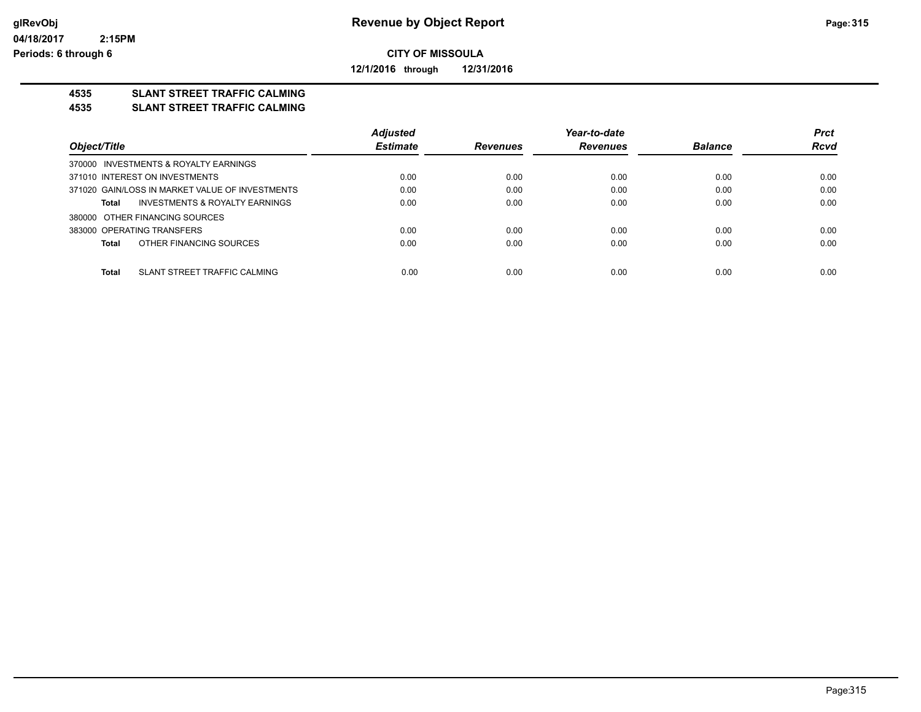**12/1/2016 through 12/31/2016**

#### **4535 SLANT STREET TRAFFIC CALMING 4535 SLANT STREET TRAFFIC CALMING**

|                                                 | <b>Adjusted</b> |                 | Year-to-date    |                | <b>Prct</b> |
|-------------------------------------------------|-----------------|-----------------|-----------------|----------------|-------------|
| Object/Title                                    | <b>Estimate</b> | <b>Revenues</b> | <b>Revenues</b> | <b>Balance</b> | Rcvd        |
| 370000 INVESTMENTS & ROYALTY EARNINGS           |                 |                 |                 |                |             |
| 371010 INTEREST ON INVESTMENTS                  | 0.00            | 0.00            | 0.00            | 0.00           | 0.00        |
| 371020 GAIN/LOSS IN MARKET VALUE OF INVESTMENTS | 0.00            | 0.00            | 0.00            | 0.00           | 0.00        |
| INVESTMENTS & ROYALTY EARNINGS<br>Total         | 0.00            | 0.00            | 0.00            | 0.00           | 0.00        |
| 380000 OTHER FINANCING SOURCES                  |                 |                 |                 |                |             |
| 383000 OPERATING TRANSFERS                      | 0.00            | 0.00            | 0.00            | 0.00           | 0.00        |
| OTHER FINANCING SOURCES<br>Total                | 0.00            | 0.00            | 0.00            | 0.00           | 0.00        |
|                                                 |                 |                 |                 |                |             |
| SLANT STREET TRAFFIC CALMING<br><b>Total</b>    | 0.00            | 0.00            | 0.00            | 0.00           | 0.00        |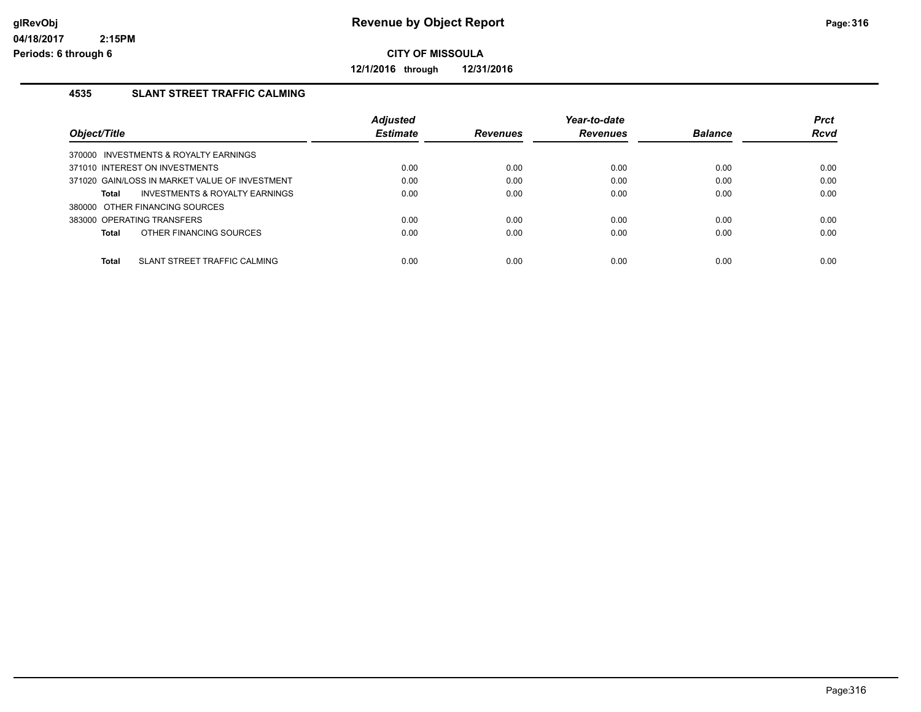**12/1/2016 through 12/31/2016**

#### **4535 SLANT STREET TRAFFIC CALMING**

|                                                | <b>Adjusted</b> |                 | Year-to-date    |                | <b>Prct</b> |
|------------------------------------------------|-----------------|-----------------|-----------------|----------------|-------------|
| Object/Title                                   | <b>Estimate</b> | <b>Revenues</b> | <b>Revenues</b> | <b>Balance</b> | <b>Rcvd</b> |
| 370000 INVESTMENTS & ROYALTY EARNINGS          |                 |                 |                 |                |             |
| 371010 INTEREST ON INVESTMENTS                 | 0.00            | 0.00            | 0.00            | 0.00           | 0.00        |
| 371020 GAIN/LOSS IN MARKET VALUE OF INVESTMENT | 0.00            | 0.00            | 0.00            | 0.00           | 0.00        |
| Total<br>INVESTMENTS & ROYALTY EARNINGS        | 0.00            | 0.00            | 0.00            | 0.00           | 0.00        |
| 380000 OTHER FINANCING SOURCES                 |                 |                 |                 |                |             |
| 383000 OPERATING TRANSFERS                     | 0.00            | 0.00            | 0.00            | 0.00           | 0.00        |
| OTHER FINANCING SOURCES<br>Total               | 0.00            | 0.00            | 0.00            | 0.00           | 0.00        |
| Total<br>SLANT STREET TRAFFIC CALMING          |                 |                 |                 |                |             |
|                                                | 0.00            | 0.00            | 0.00            | 0.00           | 0.00        |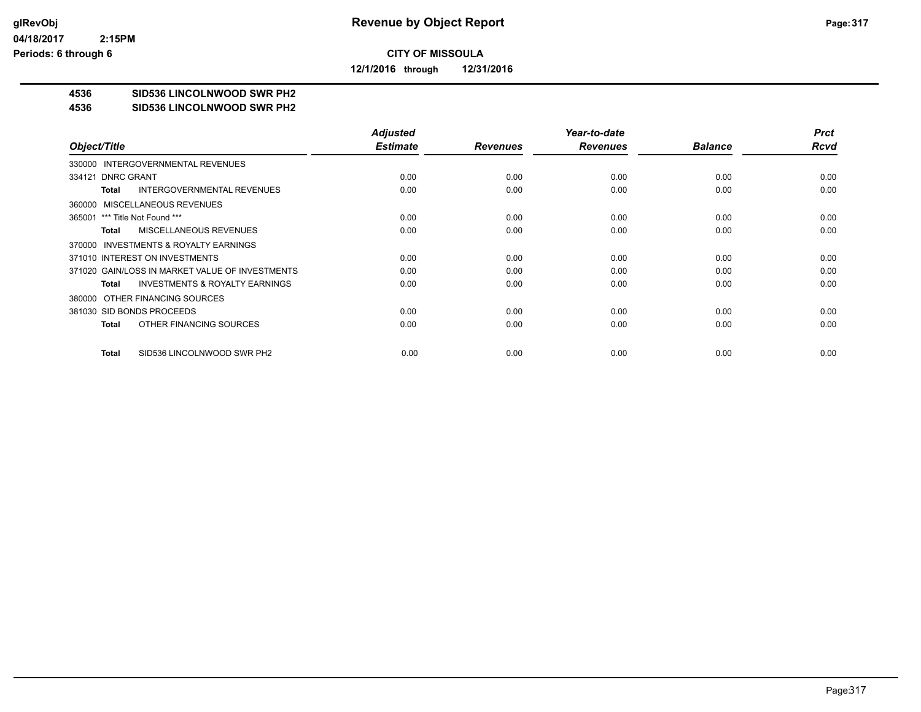**12/1/2016 through 12/31/2016**

## **4536 SID536 LINCOLNWOOD SWR PH2**

**4536 SID536 LINCOLNWOOD SWR PH2**

|                                                    | <b>Adjusted</b> |                 | Year-to-date    |                | <b>Prct</b> |
|----------------------------------------------------|-----------------|-----------------|-----------------|----------------|-------------|
| Object/Title                                       | <b>Estimate</b> | <b>Revenues</b> | <b>Revenues</b> | <b>Balance</b> | <b>Rcvd</b> |
| 330000 INTERGOVERNMENTAL REVENUES                  |                 |                 |                 |                |             |
| 334121 DNRC GRANT                                  | 0.00            | 0.00            | 0.00            | 0.00           | 0.00        |
| <b>INTERGOVERNMENTAL REVENUES</b><br>Total         | 0.00            | 0.00            | 0.00            | 0.00           | 0.00        |
| 360000 MISCELLANEOUS REVENUES                      |                 |                 |                 |                |             |
| 365001 *** Title Not Found ***                     | 0.00            | 0.00            | 0.00            | 0.00           | 0.00        |
| MISCELLANEOUS REVENUES<br>Total                    | 0.00            | 0.00            | 0.00            | 0.00           | 0.00        |
| 370000 INVESTMENTS & ROYALTY EARNINGS              |                 |                 |                 |                |             |
| 371010 INTEREST ON INVESTMENTS                     | 0.00            | 0.00            | 0.00            | 0.00           | 0.00        |
| 371020 GAIN/LOSS IN MARKET VALUE OF INVESTMENTS    | 0.00            | 0.00            | 0.00            | 0.00           | 0.00        |
| <b>INVESTMENTS &amp; ROYALTY EARNINGS</b><br>Total | 0.00            | 0.00            | 0.00            | 0.00           | 0.00        |
| 380000 OTHER FINANCING SOURCES                     |                 |                 |                 |                |             |
| 381030 SID BONDS PROCEEDS                          | 0.00            | 0.00            | 0.00            | 0.00           | 0.00        |
| OTHER FINANCING SOURCES<br>Total                   | 0.00            | 0.00            | 0.00            | 0.00           | 0.00        |
|                                                    |                 |                 |                 |                |             |
| SID536 LINCOLNWOOD SWR PH2<br>Total                | 0.00            | 0.00            | 0.00            | 0.00           | 0.00        |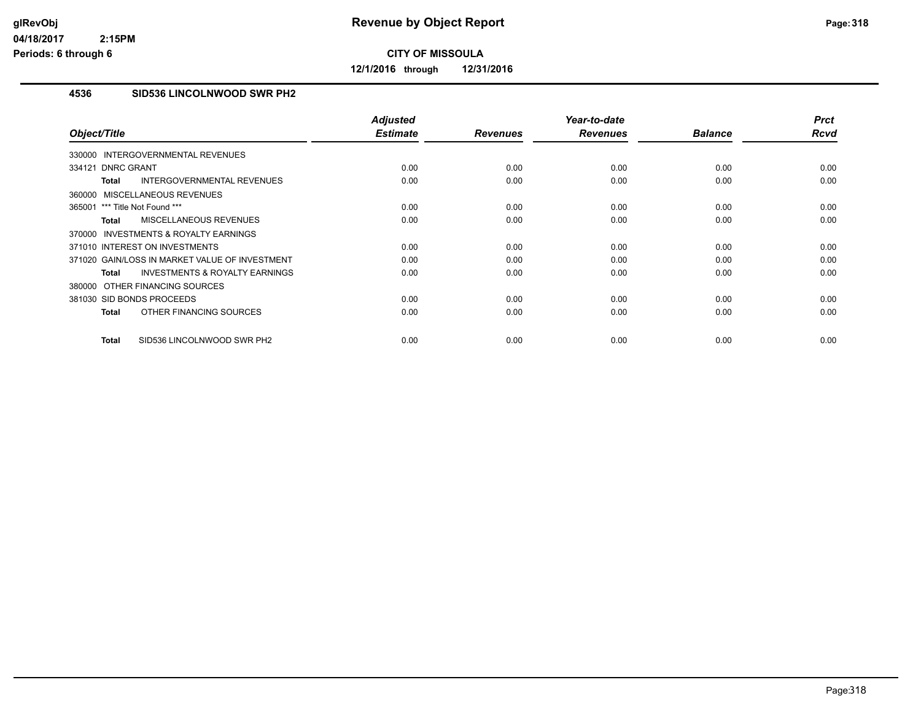**12/1/2016 through 12/31/2016**

#### **4536 SID536 LINCOLNWOOD SWR PH2**

| Object/Title                                              | <b>Adjusted</b><br><b>Estimate</b> | <b>Revenues</b> | Year-to-date<br><b>Revenues</b> | <b>Balance</b> | <b>Prct</b><br><b>Rcvd</b> |
|-----------------------------------------------------------|------------------------------------|-----------------|---------------------------------|----------------|----------------------------|
| 330000 INTERGOVERNMENTAL REVENUES                         |                                    |                 |                                 |                |                            |
| 334121 DNRC GRANT                                         | 0.00                               | 0.00            | 0.00                            | 0.00           | 0.00                       |
| <b>INTERGOVERNMENTAL REVENUES</b><br><b>Total</b>         | 0.00                               | 0.00            | 0.00                            | 0.00           | 0.00                       |
| 360000 MISCELLANEOUS REVENUES                             |                                    |                 |                                 |                |                            |
| 365001 *** Title Not Found ***                            | 0.00                               | 0.00            | 0.00                            | 0.00           | 0.00                       |
| <b>MISCELLANEOUS REVENUES</b><br><b>Total</b>             | 0.00                               | 0.00            | 0.00                            | 0.00           | 0.00                       |
| 370000 INVESTMENTS & ROYALTY EARNINGS                     |                                    |                 |                                 |                |                            |
| 371010 INTEREST ON INVESTMENTS                            | 0.00                               | 0.00            | 0.00                            | 0.00           | 0.00                       |
| 371020 GAIN/LOSS IN MARKET VALUE OF INVESTMENT            | 0.00                               | 0.00            | 0.00                            | 0.00           | 0.00                       |
| <b>INVESTMENTS &amp; ROYALTY EARNINGS</b><br><b>Total</b> | 0.00                               | 0.00            | 0.00                            | 0.00           | 0.00                       |
| 380000 OTHER FINANCING SOURCES                            |                                    |                 |                                 |                |                            |
| 381030 SID BONDS PROCEEDS                                 | 0.00                               | 0.00            | 0.00                            | 0.00           | 0.00                       |
| OTHER FINANCING SOURCES<br><b>Total</b>                   | 0.00                               | 0.00            | 0.00                            | 0.00           | 0.00                       |
| SID536 LINCOLNWOOD SWR PH2<br><b>Total</b>                | 0.00                               | 0.00            | 0.00                            | 0.00           | 0.00                       |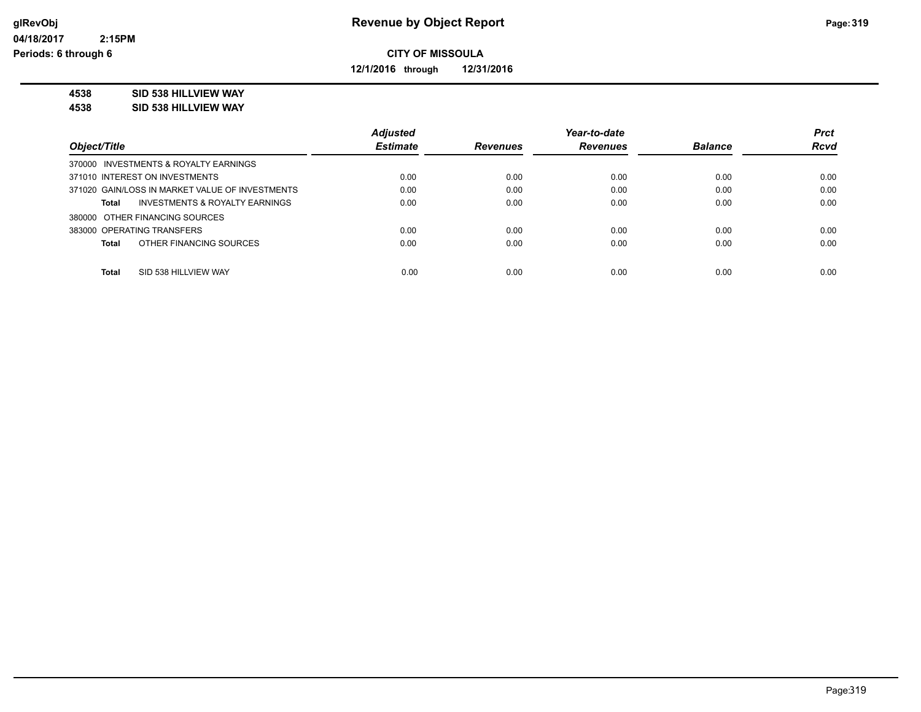**12/1/2016 through 12/31/2016**

**4538 SID 538 HILLVIEW WAY**

|                                                 | <b>Adjusted</b> |                 | Year-to-date    |                | <b>Prct</b> |
|-------------------------------------------------|-----------------|-----------------|-----------------|----------------|-------------|
| Object/Title                                    | <b>Estimate</b> | <b>Revenues</b> | <b>Revenues</b> | <b>Balance</b> | Rcvd        |
| 370000 INVESTMENTS & ROYALTY EARNINGS           |                 |                 |                 |                |             |
| 371010 INTEREST ON INVESTMENTS                  | 0.00            | 0.00            | 0.00            | 0.00           | 0.00        |
| 371020 GAIN/LOSS IN MARKET VALUE OF INVESTMENTS | 0.00            | 0.00            | 0.00            | 0.00           | 0.00        |
| INVESTMENTS & ROYALTY EARNINGS<br>Total         | 0.00            | 0.00            | 0.00            | 0.00           | 0.00        |
| 380000 OTHER FINANCING SOURCES                  |                 |                 |                 |                |             |
| 383000 OPERATING TRANSFERS                      | 0.00            | 0.00            | 0.00            | 0.00           | 0.00        |
| OTHER FINANCING SOURCES<br>Total                | 0.00            | 0.00            | 0.00            | 0.00           | 0.00        |
| <b>Total</b><br>SID 538 HILLVIEW WAY            | 0.00            | 0.00            | 0.00            | 0.00           | 0.00        |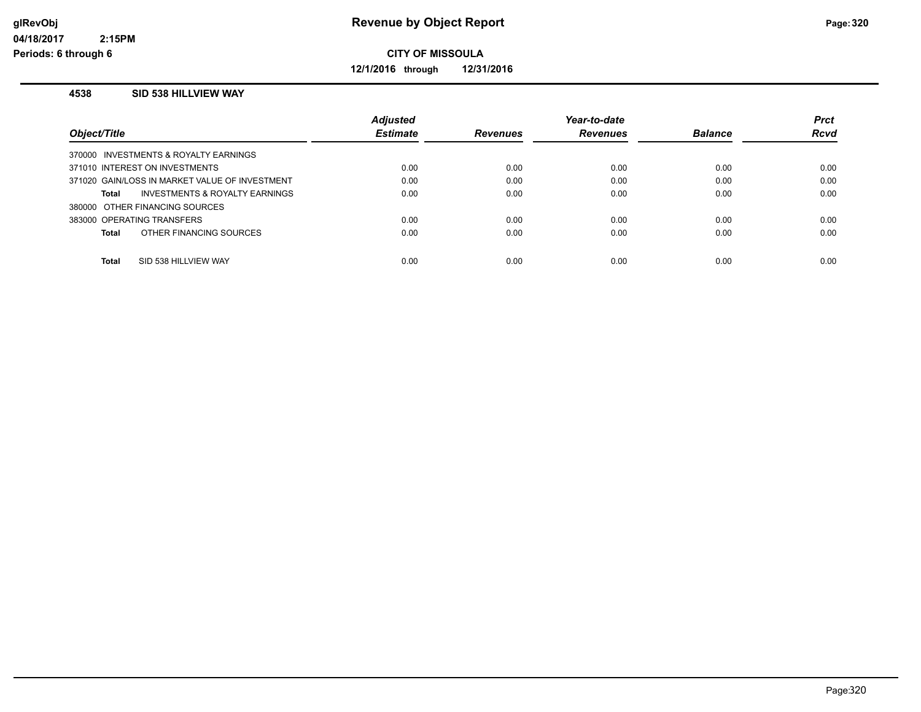**12/1/2016 through 12/31/2016**

#### **4538 SID 538 HILLVIEW WAY**

| Object/Title                                   | <b>Adjusted</b><br><b>Estimate</b> | <b>Revenues</b> | Year-to-date<br><b>Revenues</b> | <b>Balance</b> | <b>Prct</b><br><b>Rcvd</b> |
|------------------------------------------------|------------------------------------|-----------------|---------------------------------|----------------|----------------------------|
|                                                |                                    |                 |                                 |                |                            |
| 370000 INVESTMENTS & ROYALTY EARNINGS          |                                    |                 |                                 |                |                            |
| 371010 INTEREST ON INVESTMENTS                 | 0.00                               | 0.00            | 0.00                            | 0.00           | 0.00                       |
| 371020 GAIN/LOSS IN MARKET VALUE OF INVESTMENT | 0.00                               | 0.00            | 0.00                            | 0.00           | 0.00                       |
| Total<br>INVESTMENTS & ROYALTY EARNINGS        | 0.00                               | 0.00            | 0.00                            | 0.00           | 0.00                       |
| 380000 OTHER FINANCING SOURCES                 |                                    |                 |                                 |                |                            |
| 383000 OPERATING TRANSFERS                     | 0.00                               | 0.00            | 0.00                            | 0.00           | 0.00                       |
| OTHER FINANCING SOURCES<br>Total               | 0.00                               | 0.00            | 0.00                            | 0.00           | 0.00                       |
|                                                |                                    |                 |                                 |                |                            |
| Total<br>SID 538 HILLVIEW WAY                  | 0.00                               | 0.00            | 0.00                            | 0.00           | 0.00                       |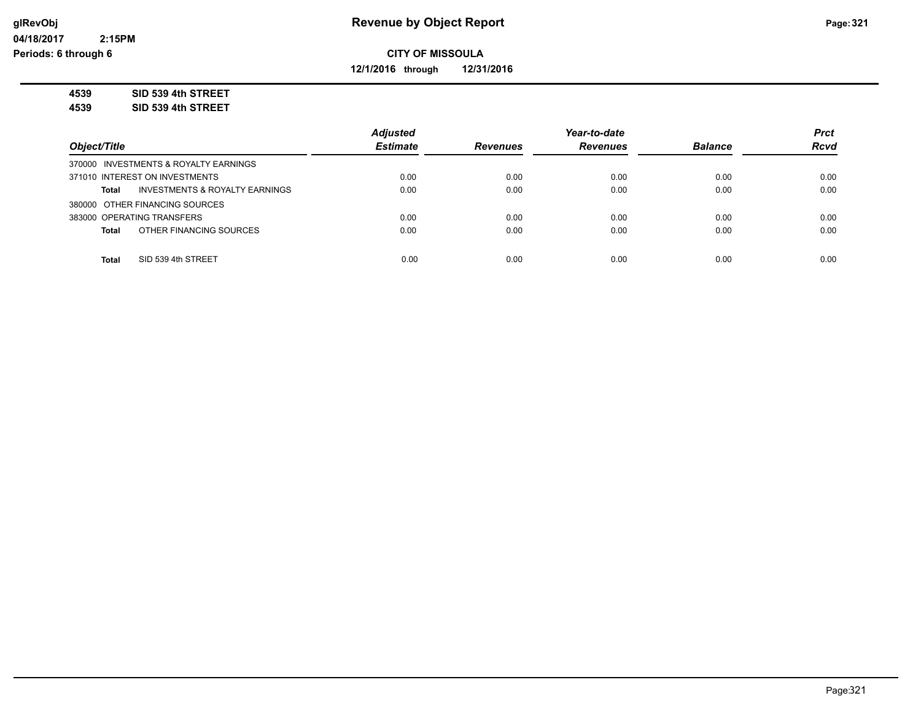**12/1/2016 through 12/31/2016**

**4539 SID 539 4th STREET 4539 SID 539 4th STREET**

| Object/Title                                       | <b>Adjusted</b><br><b>Estimate</b> | <b>Revenues</b> | Year-to-date<br><b>Revenues</b> | <b>Balance</b> | <b>Prct</b><br><b>Rcvd</b> |
|----------------------------------------------------|------------------------------------|-----------------|---------------------------------|----------------|----------------------------|
| 370000 INVESTMENTS & ROYALTY EARNINGS              |                                    |                 |                                 |                |                            |
| 371010 INTEREST ON INVESTMENTS                     | 0.00                               | 0.00            | 0.00                            | 0.00           | 0.00                       |
| <b>INVESTMENTS &amp; ROYALTY EARNINGS</b><br>Total | 0.00                               | 0.00            | 0.00                            | 0.00           | 0.00                       |
| 380000 OTHER FINANCING SOURCES                     |                                    |                 |                                 |                |                            |
| 383000 OPERATING TRANSFERS                         | 0.00                               | 0.00            | 0.00                            | 0.00           | 0.00                       |
| OTHER FINANCING SOURCES<br>Total                   | 0.00                               | 0.00            | 0.00                            | 0.00           | 0.00                       |
|                                                    |                                    |                 |                                 |                |                            |
| <b>Total</b><br>SID 539 4th STREET                 | 0.00                               | 0.00            | 0.00                            | 0.00           | 0.00                       |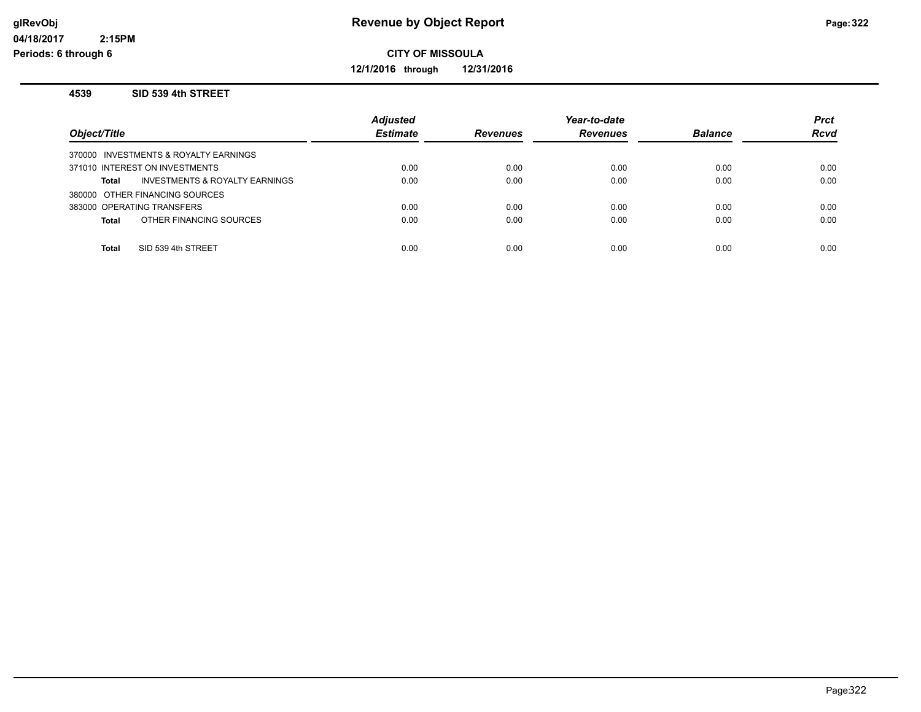**12/1/2016 through 12/31/2016**

#### **4539 SID 539 4th STREET**

| Object/Title                                       | <b>Adjusted</b><br><b>Estimate</b> | <b>Revenues</b> | Year-to-date<br><b>Revenues</b> | <b>Balance</b> | <b>Prct</b><br><b>Rcvd</b> |
|----------------------------------------------------|------------------------------------|-----------------|---------------------------------|----------------|----------------------------|
| 370000 INVESTMENTS & ROYALTY EARNINGS              |                                    |                 |                                 |                |                            |
| 371010 INTEREST ON INVESTMENTS                     | 0.00                               | 0.00            | 0.00                            | 0.00           | 0.00                       |
| <b>INVESTMENTS &amp; ROYALTY EARNINGS</b><br>Total | 0.00                               | 0.00            | 0.00                            | 0.00           | 0.00                       |
| 380000 OTHER FINANCING SOURCES                     |                                    |                 |                                 |                |                            |
| 383000 OPERATING TRANSFERS                         | 0.00                               | 0.00            | 0.00                            | 0.00           | 0.00                       |
| OTHER FINANCING SOURCES<br>Total                   | 0.00                               | 0.00            | 0.00                            | 0.00           | 0.00                       |
|                                                    |                                    |                 |                                 |                |                            |
| Total<br>SID 539 4th STREET                        | 0.00                               | 0.00            | 0.00                            | 0.00           | 0.00                       |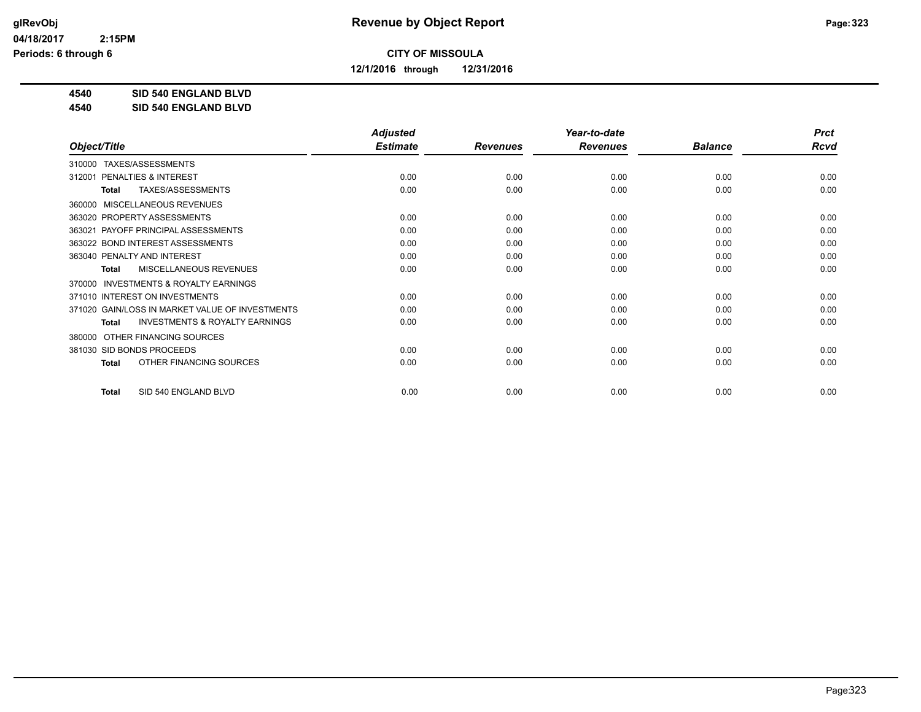**12/1/2016 through 12/31/2016**

**4540 SID 540 ENGLAND BLVD 4540 SID 540 ENGLAND BLVD**

| Object/Title                                        | <b>Adjusted</b> |                 | Year-to-date    |                | <b>Prct</b> |
|-----------------------------------------------------|-----------------|-----------------|-----------------|----------------|-------------|
|                                                     | <b>Estimate</b> | <b>Revenues</b> | <b>Revenues</b> | <b>Balance</b> | <b>Rcvd</b> |
| TAXES/ASSESSMENTS<br>310000                         |                 |                 |                 |                |             |
| <b>PENALTIES &amp; INTEREST</b><br>312001           | 0.00            | 0.00            | 0.00            | 0.00           | 0.00        |
| TAXES/ASSESSMENTS<br>Total                          | 0.00            | 0.00            | 0.00            | 0.00           | 0.00        |
| MISCELLANEOUS REVENUES<br>360000                    |                 |                 |                 |                |             |
| 363020 PROPERTY ASSESSMENTS                         | 0.00            | 0.00            | 0.00            | 0.00           | 0.00        |
| PAYOFF PRINCIPAL ASSESSMENTS<br>363021              | 0.00            | 0.00            | 0.00            | 0.00           | 0.00        |
| 363022 BOND INTEREST ASSESSMENTS                    | 0.00            | 0.00            | 0.00            | 0.00           | 0.00        |
| 363040 PENALTY AND INTEREST                         | 0.00            | 0.00            | 0.00            | 0.00           | 0.00        |
| MISCELLANEOUS REVENUES<br>Total                     | 0.00            | 0.00            | 0.00            | 0.00           | 0.00        |
| <b>INVESTMENTS &amp; ROYALTY EARNINGS</b><br>370000 |                 |                 |                 |                |             |
| 371010 INTEREST ON INVESTMENTS                      | 0.00            | 0.00            | 0.00            | 0.00           | 0.00        |
| 371020 GAIN/LOSS IN MARKET VALUE OF INVESTMENTS     | 0.00            | 0.00            | 0.00            | 0.00           | 0.00        |
| <b>INVESTMENTS &amp; ROYALTY EARNINGS</b><br>Total  | 0.00            | 0.00            | 0.00            | 0.00           | 0.00        |
| OTHER FINANCING SOURCES<br>380000                   |                 |                 |                 |                |             |
| 381030 SID BONDS PROCEEDS                           | 0.00            | 0.00            | 0.00            | 0.00           | 0.00        |
| OTHER FINANCING SOURCES<br>Total                    | 0.00            | 0.00            | 0.00            | 0.00           | 0.00        |
|                                                     |                 |                 |                 |                |             |
| SID 540 ENGLAND BLVD<br><b>Total</b>                | 0.00            | 0.00            | 0.00            | 0.00           | 0.00        |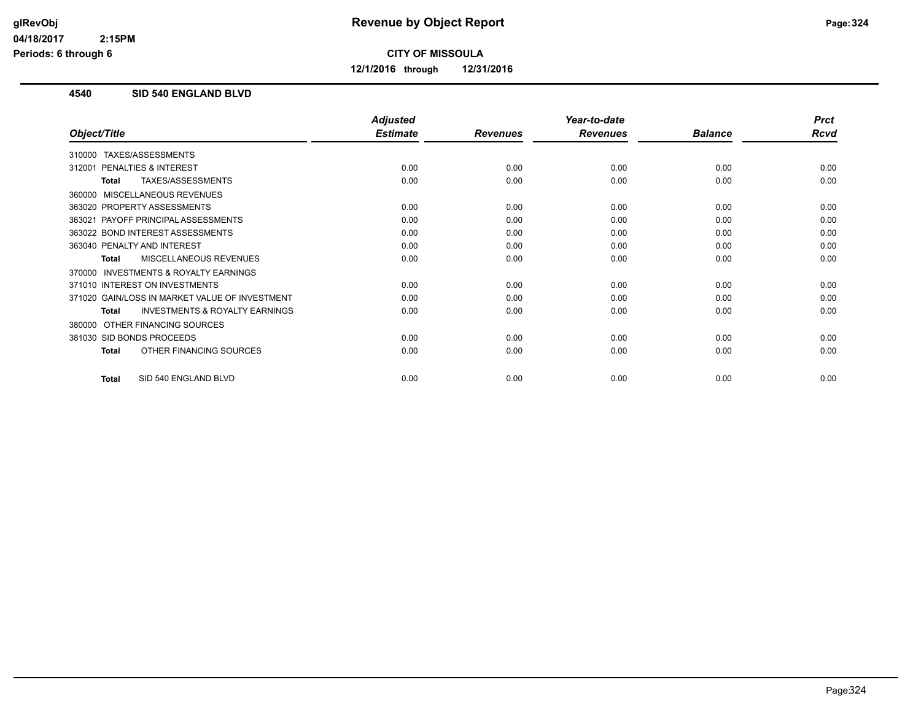**12/1/2016 through 12/31/2016**

#### **4540 SID 540 ENGLAND BLVD**

| Object/Title                                              | <b>Adjusted</b> |                 | Year-to-date    |                | <b>Prct</b> |
|-----------------------------------------------------------|-----------------|-----------------|-----------------|----------------|-------------|
|                                                           | <b>Estimate</b> | <b>Revenues</b> | <b>Revenues</b> | <b>Balance</b> | <b>Rcvd</b> |
| TAXES/ASSESSMENTS<br>310000                               |                 |                 |                 |                |             |
| 312001 PENALTIES & INTEREST                               | 0.00            | 0.00            | 0.00            | 0.00           | 0.00        |
| TAXES/ASSESSMENTS<br><b>Total</b>                         | 0.00            | 0.00            | 0.00            | 0.00           | 0.00        |
| MISCELLANEOUS REVENUES<br>360000                          |                 |                 |                 |                |             |
| 363020 PROPERTY ASSESSMENTS                               | 0.00            | 0.00            | 0.00            | 0.00           | 0.00        |
| 363021 PAYOFF PRINCIPAL ASSESSMENTS                       | 0.00            | 0.00            | 0.00            | 0.00           | 0.00        |
| 363022 BOND INTEREST ASSESSMENTS                          | 0.00            | 0.00            | 0.00            | 0.00           | 0.00        |
| 363040 PENALTY AND INTEREST                               | 0.00            | 0.00            | 0.00            | 0.00           | 0.00        |
| <b>MISCELLANEOUS REVENUES</b><br>Total                    | 0.00            | 0.00            | 0.00            | 0.00           | 0.00        |
| <b>INVESTMENTS &amp; ROYALTY EARNINGS</b><br>370000       |                 |                 |                 |                |             |
| 371010 INTEREST ON INVESTMENTS                            | 0.00            | 0.00            | 0.00            | 0.00           | 0.00        |
| 371020 GAIN/LOSS IN MARKET VALUE OF INVESTMENT            | 0.00            | 0.00            | 0.00            | 0.00           | 0.00        |
| <b>INVESTMENTS &amp; ROYALTY EARNINGS</b><br><b>Total</b> | 0.00            | 0.00            | 0.00            | 0.00           | 0.00        |
| OTHER FINANCING SOURCES<br>380000                         |                 |                 |                 |                |             |
| 381030 SID BONDS PROCEEDS                                 | 0.00            | 0.00            | 0.00            | 0.00           | 0.00        |
| OTHER FINANCING SOURCES<br><b>Total</b>                   | 0.00            | 0.00            | 0.00            | 0.00           | 0.00        |
| SID 540 ENGLAND BLVD<br><b>Total</b>                      | 0.00            | 0.00            | 0.00            | 0.00           | 0.00        |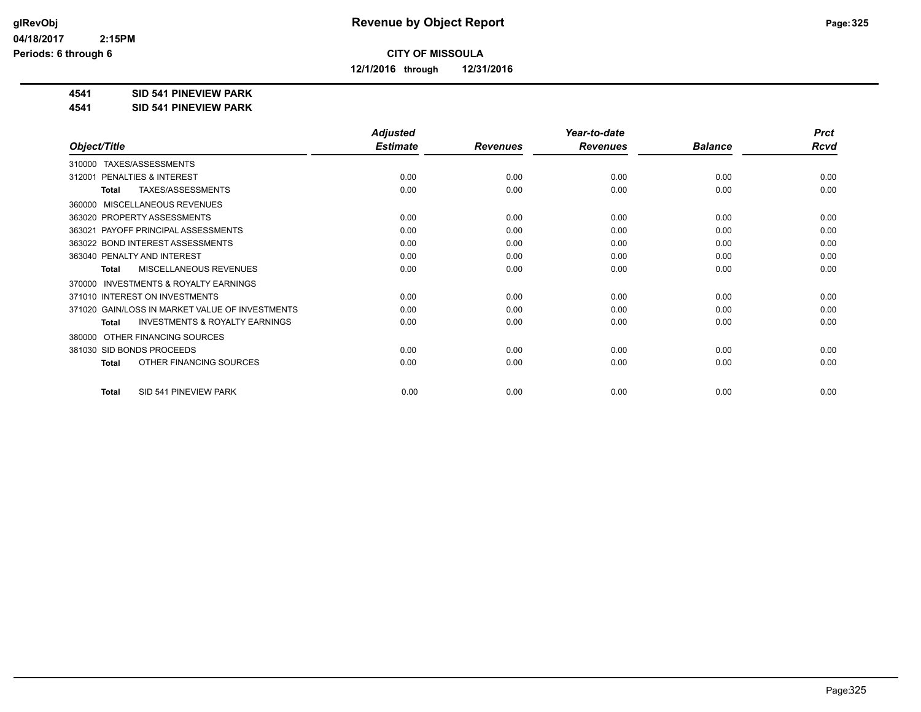**12/1/2016 through 12/31/2016**

**4541 SID 541 PINEVIEW PARK**

**4541 SID 541 PINEVIEW PARK**

|                                                     | <b>Adjusted</b> |                 | Year-to-date    |                |      |
|-----------------------------------------------------|-----------------|-----------------|-----------------|----------------|------|
| Object/Title                                        | <b>Estimate</b> | <b>Revenues</b> | <b>Revenues</b> | <b>Balance</b> | Rcvd |
| TAXES/ASSESSMENTS<br>310000                         |                 |                 |                 |                |      |
| PENALTIES & INTEREST<br>312001                      | 0.00            | 0.00            | 0.00            | 0.00           | 0.00 |
| TAXES/ASSESSMENTS<br>Total                          | 0.00            | 0.00            | 0.00            | 0.00           | 0.00 |
| MISCELLANEOUS REVENUES<br>360000                    |                 |                 |                 |                |      |
| 363020 PROPERTY ASSESSMENTS                         | 0.00            | 0.00            | 0.00            | 0.00           | 0.00 |
| 363021 PAYOFF PRINCIPAL ASSESSMENTS                 | 0.00            | 0.00            | 0.00            | 0.00           | 0.00 |
| 363022 BOND INTEREST ASSESSMENTS                    | 0.00            | 0.00            | 0.00            | 0.00           | 0.00 |
| 363040 PENALTY AND INTEREST                         | 0.00            | 0.00            | 0.00            | 0.00           | 0.00 |
| <b>MISCELLANEOUS REVENUES</b><br>Total              | 0.00            | 0.00            | 0.00            | 0.00           | 0.00 |
| <b>INVESTMENTS &amp; ROYALTY EARNINGS</b><br>370000 |                 |                 |                 |                |      |
| 371010 INTEREST ON INVESTMENTS                      | 0.00            | 0.00            | 0.00            | 0.00           | 0.00 |
| 371020 GAIN/LOSS IN MARKET VALUE OF INVESTMENTS     | 0.00            | 0.00            | 0.00            | 0.00           | 0.00 |
| <b>INVESTMENTS &amp; ROYALTY EARNINGS</b><br>Total  | 0.00            | 0.00            | 0.00            | 0.00           | 0.00 |
| OTHER FINANCING SOURCES<br>380000                   |                 |                 |                 |                |      |
| 381030 SID BONDS PROCEEDS                           | 0.00            | 0.00            | 0.00            | 0.00           | 0.00 |
| OTHER FINANCING SOURCES<br><b>Total</b>             | 0.00            | 0.00            | 0.00            | 0.00           | 0.00 |
|                                                     |                 |                 |                 |                |      |
| SID 541 PINEVIEW PARK<br><b>Total</b>               | 0.00            | 0.00            | 0.00            | 0.00           | 0.00 |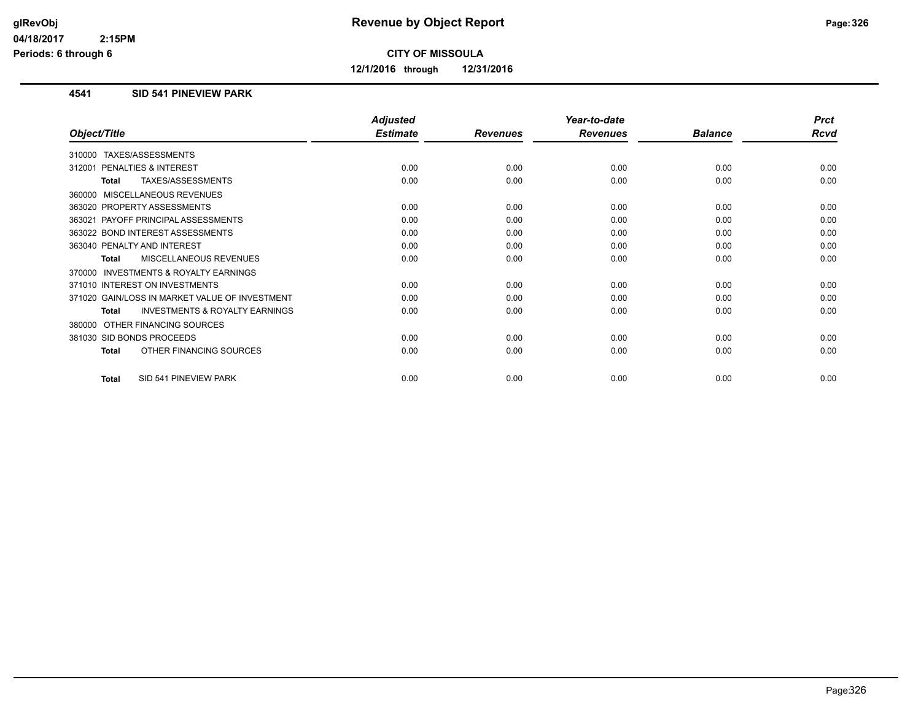**12/1/2016 through 12/31/2016**

#### **4541 SID 541 PINEVIEW PARK**

|                                                           | <b>Adjusted</b> |                 | Year-to-date    |                | <b>Prct</b> |
|-----------------------------------------------------------|-----------------|-----------------|-----------------|----------------|-------------|
| Object/Title                                              | <b>Estimate</b> | <b>Revenues</b> | <b>Revenues</b> | <b>Balance</b> | <b>Rcvd</b> |
| TAXES/ASSESSMENTS<br>310000                               |                 |                 |                 |                |             |
| 312001 PENALTIES & INTEREST                               | 0.00            | 0.00            | 0.00            | 0.00           | 0.00        |
| TAXES/ASSESSMENTS<br><b>Total</b>                         | 0.00            | 0.00            | 0.00            | 0.00           | 0.00        |
| MISCELLANEOUS REVENUES<br>360000                          |                 |                 |                 |                |             |
| 363020 PROPERTY ASSESSMENTS                               | 0.00            | 0.00            | 0.00            | 0.00           | 0.00        |
| 363021 PAYOFF PRINCIPAL ASSESSMENTS                       | 0.00            | 0.00            | 0.00            | 0.00           | 0.00        |
| 363022 BOND INTEREST ASSESSMENTS                          | 0.00            | 0.00            | 0.00            | 0.00           | 0.00        |
| 363040 PENALTY AND INTEREST                               | 0.00            | 0.00            | 0.00            | 0.00           | 0.00        |
| MISCELLANEOUS REVENUES<br>Total                           | 0.00            | 0.00            | 0.00            | 0.00           | 0.00        |
| <b>INVESTMENTS &amp; ROYALTY EARNINGS</b><br>370000       |                 |                 |                 |                |             |
| 371010 INTEREST ON INVESTMENTS                            | 0.00            | 0.00            | 0.00            | 0.00           | 0.00        |
| 371020 GAIN/LOSS IN MARKET VALUE OF INVESTMENT            | 0.00            | 0.00            | 0.00            | 0.00           | 0.00        |
| <b>INVESTMENTS &amp; ROYALTY EARNINGS</b><br><b>Total</b> | 0.00            | 0.00            | 0.00            | 0.00           | 0.00        |
| OTHER FINANCING SOURCES<br>380000                         |                 |                 |                 |                |             |
| 381030 SID BONDS PROCEEDS                                 | 0.00            | 0.00            | 0.00            | 0.00           | 0.00        |
| OTHER FINANCING SOURCES<br><b>Total</b>                   | 0.00            | 0.00            | 0.00            | 0.00           | 0.00        |
| SID 541 PINEVIEW PARK<br><b>Total</b>                     | 0.00            | 0.00            | 0.00            | 0.00           | 0.00        |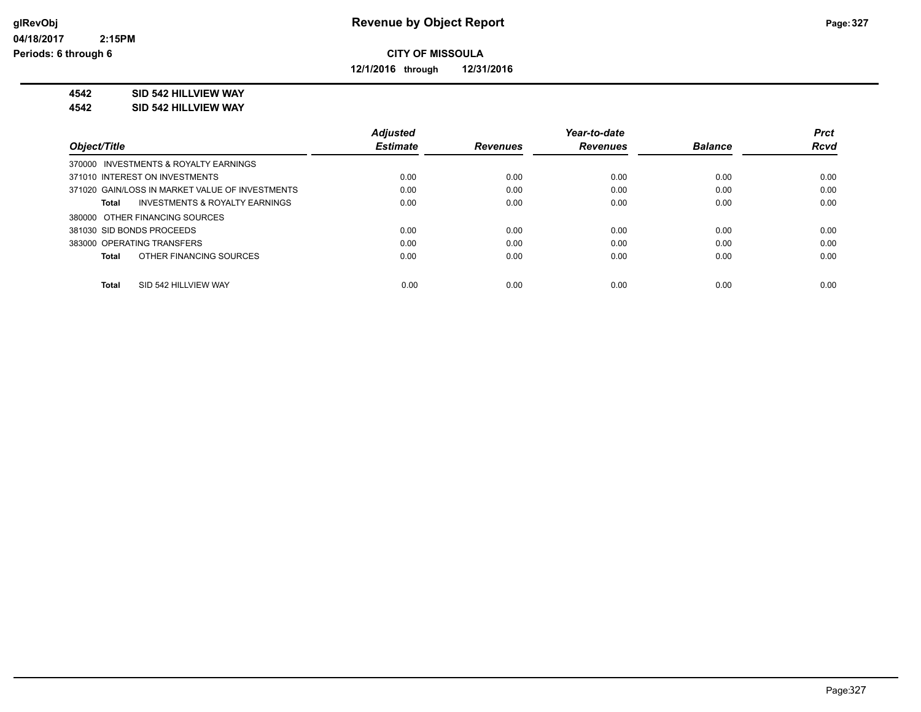**12/1/2016 through 12/31/2016**

**4542 SID 542 HILLVIEW WAY**

| SID 542 HILLVIEW WAY<br>4542 |  |
|------------------------------|--|
|------------------------------|--|

|                                                    | <b>Adjusted</b> |                 | Year-to-date    |                | <b>Prct</b> |
|----------------------------------------------------|-----------------|-----------------|-----------------|----------------|-------------|
| Object/Title                                       | <b>Estimate</b> | <b>Revenues</b> | <b>Revenues</b> | <b>Balance</b> | Rcvd        |
| 370000 INVESTMENTS & ROYALTY EARNINGS              |                 |                 |                 |                |             |
| 371010 INTEREST ON INVESTMENTS                     | 0.00            | 0.00            | 0.00            | 0.00           | 0.00        |
| 371020 GAIN/LOSS IN MARKET VALUE OF INVESTMENTS    | 0.00            | 0.00            | 0.00            | 0.00           | 0.00        |
| <b>INVESTMENTS &amp; ROYALTY EARNINGS</b><br>Total | 0.00            | 0.00            | 0.00            | 0.00           | 0.00        |
| 380000 OTHER FINANCING SOURCES                     |                 |                 |                 |                |             |
| 381030 SID BONDS PROCEEDS                          | 0.00            | 0.00            | 0.00            | 0.00           | 0.00        |
| 383000 OPERATING TRANSFERS                         | 0.00            | 0.00            | 0.00            | 0.00           | 0.00        |
| OTHER FINANCING SOURCES<br>Total                   | 0.00            | 0.00            | 0.00            | 0.00           | 0.00        |
| SID 542 HILLVIEW WAY<br><b>Total</b>               | 0.00            | 0.00            | 0.00            | 0.00           | 0.00        |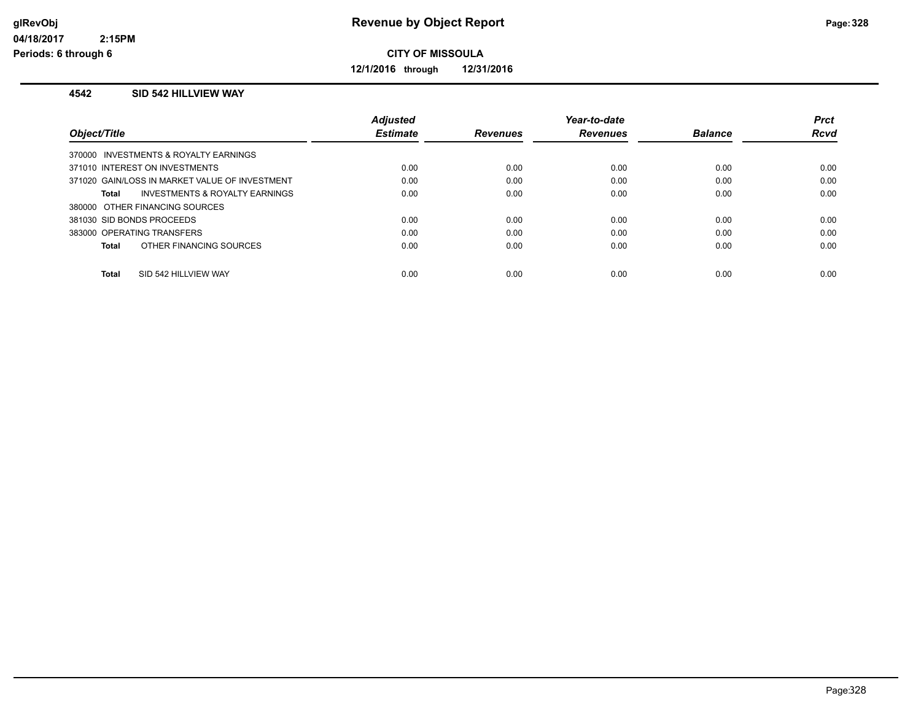**12/1/2016 through 12/31/2016**

#### **4542 SID 542 HILLVIEW WAY**

|                                                | <b>Adiusted</b> |                 | Year-to-date    |                | <b>Prct</b> |
|------------------------------------------------|-----------------|-----------------|-----------------|----------------|-------------|
| Object/Title                                   | <b>Estimate</b> | <b>Revenues</b> | <b>Revenues</b> | <b>Balance</b> | <b>Rcvd</b> |
| 370000 INVESTMENTS & ROYALTY EARNINGS          |                 |                 |                 |                |             |
| 371010 INTEREST ON INVESTMENTS                 | 0.00            | 0.00            | 0.00            | 0.00           | 0.00        |
| 371020 GAIN/LOSS IN MARKET VALUE OF INVESTMENT | 0.00            | 0.00            | 0.00            | 0.00           | 0.00        |
| INVESTMENTS & ROYALTY EARNINGS<br>Total        | 0.00            | 0.00            | 0.00            | 0.00           | 0.00        |
| 380000 OTHER FINANCING SOURCES                 |                 |                 |                 |                |             |
| 381030 SID BONDS PROCEEDS                      | 0.00            | 0.00            | 0.00            | 0.00           | 0.00        |
| 383000 OPERATING TRANSFERS                     | 0.00            | 0.00            | 0.00            | 0.00           | 0.00        |
| OTHER FINANCING SOURCES<br>Total               | 0.00            | 0.00            | 0.00            | 0.00           | 0.00        |
|                                                |                 |                 |                 |                |             |
| SID 542 HILLVIEW WAY<br>Total                  | 0.00            | 0.00            | 0.00            | 0.00           | 0.00        |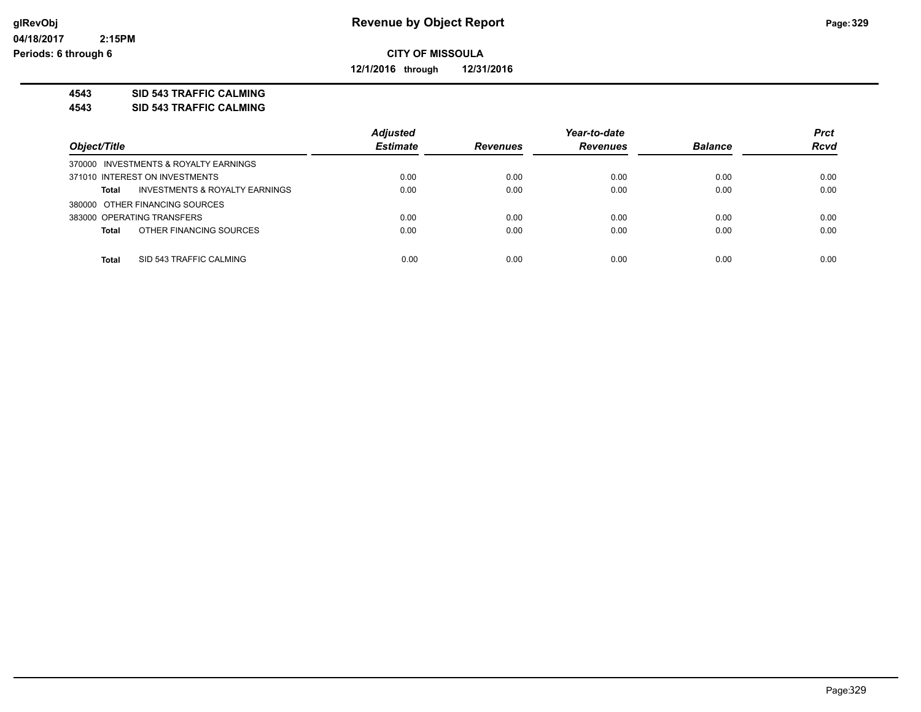**12/1/2016 through 12/31/2016**

**4543 SID 543 TRAFFIC CALMING 4543 SID 543 TRAFFIC CALMING**

| Object/Title                                   | <b>Adjusted</b><br><b>Estimate</b> | <b>Revenues</b> | Year-to-date<br><b>Revenues</b> | <b>Balance</b> | <b>Prct</b><br><b>Rcvd</b> |
|------------------------------------------------|------------------------------------|-----------------|---------------------------------|----------------|----------------------------|
| 370000 INVESTMENTS & ROYALTY EARNINGS          |                                    |                 |                                 |                |                            |
| 371010 INTEREST ON INVESTMENTS                 | 0.00                               | 0.00            | 0.00                            | 0.00           | 0.00                       |
| INVESTMENTS & ROYALTY EARNINGS<br><b>Total</b> | 0.00                               | 0.00            | 0.00                            | 0.00           | 0.00                       |
| 380000 OTHER FINANCING SOURCES                 |                                    |                 |                                 |                |                            |
| 383000 OPERATING TRANSFERS                     | 0.00                               | 0.00            | 0.00                            | 0.00           | 0.00                       |
| OTHER FINANCING SOURCES<br>Total               | 0.00                               | 0.00            | 0.00                            | 0.00           | 0.00                       |
|                                                |                                    |                 |                                 |                |                            |
| <b>Total</b><br>SID 543 TRAFFIC CALMING        | 0.00                               | 0.00            | 0.00                            | 0.00           | 0.00                       |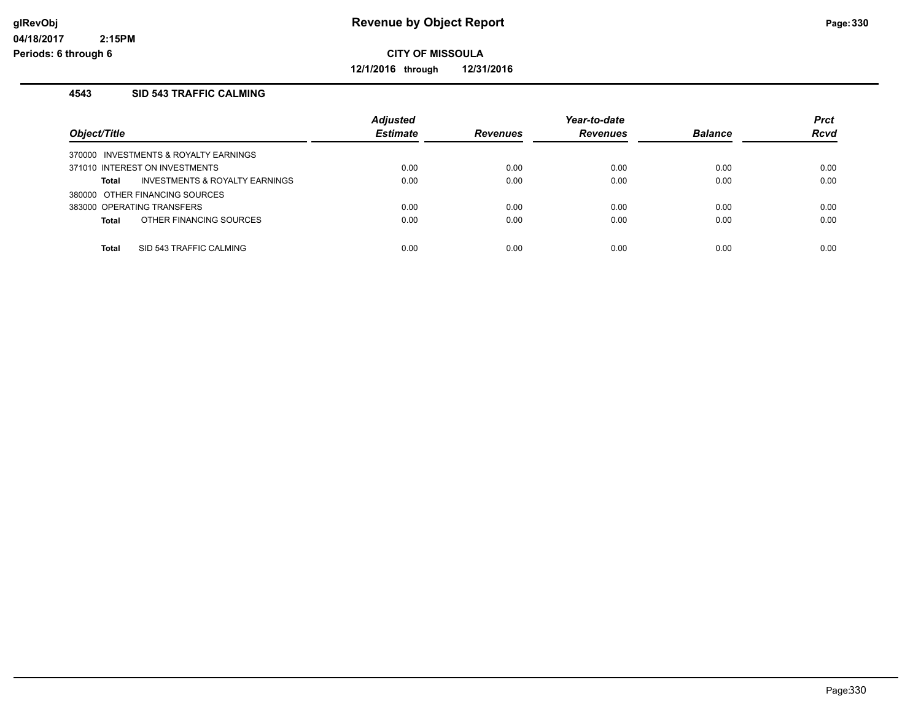**12/1/2016 through 12/31/2016**

#### **4543 SID 543 TRAFFIC CALMING**

| Object/Title                                   | <b>Adjusted</b><br><b>Estimate</b> | <b>Revenues</b> | Year-to-date<br><b>Revenues</b> | <b>Balance</b> | <b>Prct</b><br><b>Rcvd</b> |
|------------------------------------------------|------------------------------------|-----------------|---------------------------------|----------------|----------------------------|
|                                                |                                    |                 |                                 |                |                            |
| 370000 INVESTMENTS & ROYALTY EARNINGS          |                                    |                 |                                 |                |                            |
| 371010 INTEREST ON INVESTMENTS                 | 0.00                               | 0.00            | 0.00                            | 0.00           | 0.00                       |
| INVESTMENTS & ROYALTY EARNINGS<br><b>Total</b> | 0.00                               | 0.00            | 0.00                            | 0.00           | 0.00                       |
| 380000 OTHER FINANCING SOURCES                 |                                    |                 |                                 |                |                            |
| 383000 OPERATING TRANSFERS                     | 0.00                               | 0.00            | 0.00                            | 0.00           | 0.00                       |
| OTHER FINANCING SOURCES<br><b>Total</b>        | 0.00                               | 0.00            | 0.00                            | 0.00           | 0.00                       |
|                                                |                                    |                 |                                 |                |                            |
| Total<br>SID 543 TRAFFIC CALMING               | 0.00                               | 0.00            | 0.00                            | 0.00           | 0.00                       |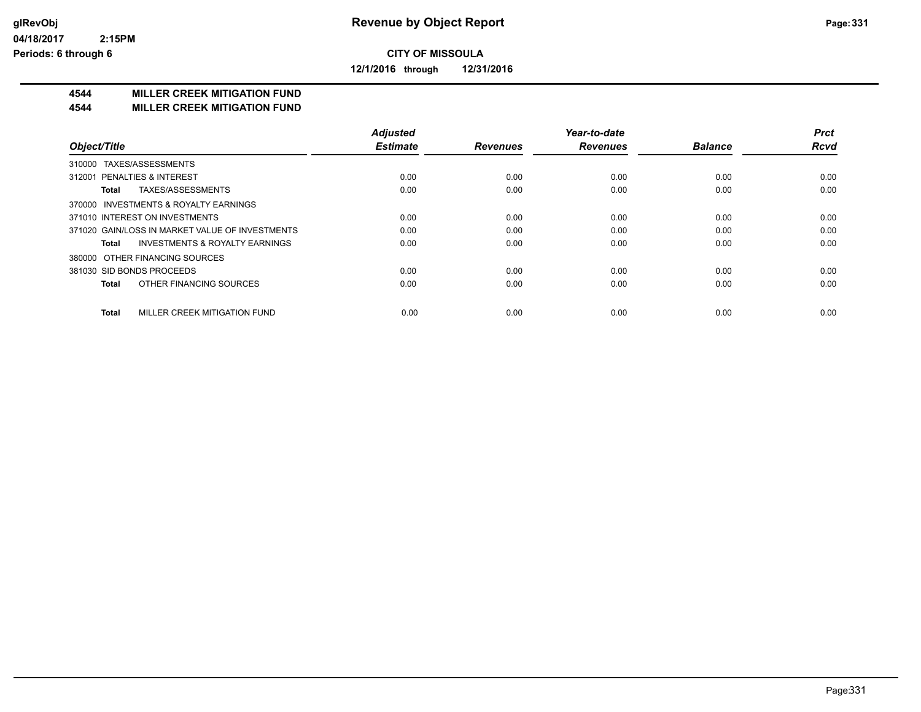**12/1/2016 through 12/31/2016**

## **4544 MILLER CREEK MITIGATION FUND**

#### **4544 MILLER CREEK MITIGATION FUND**

|                                                    | <b>Adjusted</b> |                 | Year-to-date    |                | <b>Prct</b> |
|----------------------------------------------------|-----------------|-----------------|-----------------|----------------|-------------|
| Object/Title                                       | <b>Estimate</b> | <b>Revenues</b> | <b>Revenues</b> | <b>Balance</b> | Rcvd        |
| 310000 TAXES/ASSESSMENTS                           |                 |                 |                 |                |             |
| PENALTIES & INTEREST<br>312001                     | 0.00            | 0.00            | 0.00            | 0.00           | 0.00        |
| TAXES/ASSESSMENTS<br>Total                         | 0.00            | 0.00            | 0.00            | 0.00           | 0.00        |
| 370000 INVESTMENTS & ROYALTY EARNINGS              |                 |                 |                 |                |             |
| 371010 INTEREST ON INVESTMENTS                     | 0.00            | 0.00            | 0.00            | 0.00           | 0.00        |
| 371020 GAIN/LOSS IN MARKET VALUE OF INVESTMENTS    | 0.00            | 0.00            | 0.00            | 0.00           | 0.00        |
| <b>INVESTMENTS &amp; ROYALTY EARNINGS</b><br>Total | 0.00            | 0.00            | 0.00            | 0.00           | 0.00        |
| 380000 OTHER FINANCING SOURCES                     |                 |                 |                 |                |             |
| 381030 SID BONDS PROCEEDS                          | 0.00            | 0.00            | 0.00            | 0.00           | 0.00        |
| OTHER FINANCING SOURCES<br>Total                   | 0.00            | 0.00            | 0.00            | 0.00           | 0.00        |
| MILLER CREEK MITIGATION FUND<br><b>Total</b>       | 0.00            | 0.00            | 0.00            | 0.00           | 0.00        |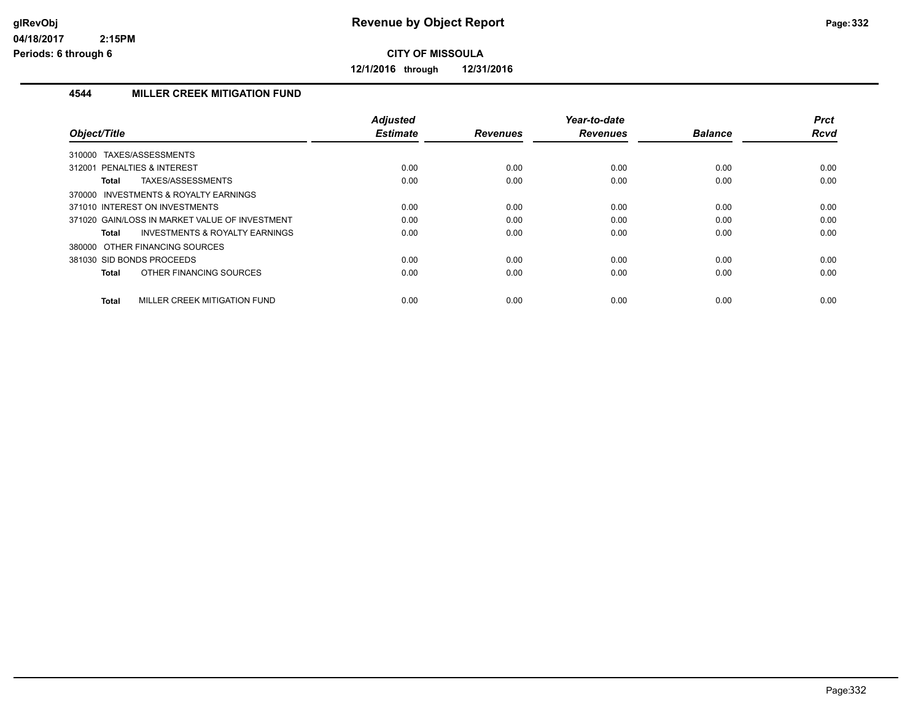**12/1/2016 through 12/31/2016**

#### **4544 MILLER CREEK MITIGATION FUND**

| Object/Title                                   | <b>Adjusted</b><br><b>Estimate</b> | <b>Revenues</b> | Year-to-date<br><b>Revenues</b> | <b>Balance</b> | <b>Prct</b><br><b>Rcvd</b> |
|------------------------------------------------|------------------------------------|-----------------|---------------------------------|----------------|----------------------------|
| TAXES/ASSESSMENTS<br>310000                    |                                    |                 |                                 |                |                            |
| 312001 PENALTIES & INTEREST                    | 0.00                               | 0.00            | 0.00                            | 0.00           | 0.00                       |
| TAXES/ASSESSMENTS<br>Total                     | 0.00                               | 0.00            | 0.00                            | 0.00           | 0.00                       |
| INVESTMENTS & ROYALTY EARNINGS<br>370000       |                                    |                 |                                 |                |                            |
| 371010 INTEREST ON INVESTMENTS                 | 0.00                               | 0.00            | 0.00                            | 0.00           | 0.00                       |
| 371020 GAIN/LOSS IN MARKET VALUE OF INVESTMENT | 0.00                               | 0.00            | 0.00                            | 0.00           | 0.00                       |
| INVESTMENTS & ROYALTY EARNINGS<br>Total        | 0.00                               | 0.00            | 0.00                            | 0.00           | 0.00                       |
| 380000 OTHER FINANCING SOURCES                 |                                    |                 |                                 |                |                            |
| 381030 SID BONDS PROCEEDS                      | 0.00                               | 0.00            | 0.00                            | 0.00           | 0.00                       |
| OTHER FINANCING SOURCES<br>Total               | 0.00                               | 0.00            | 0.00                            | 0.00           | 0.00                       |
| <b>Total</b><br>MILLER CREEK MITIGATION FUND   | 0.00                               | 0.00            | 0.00                            | 0.00           | 0.00                       |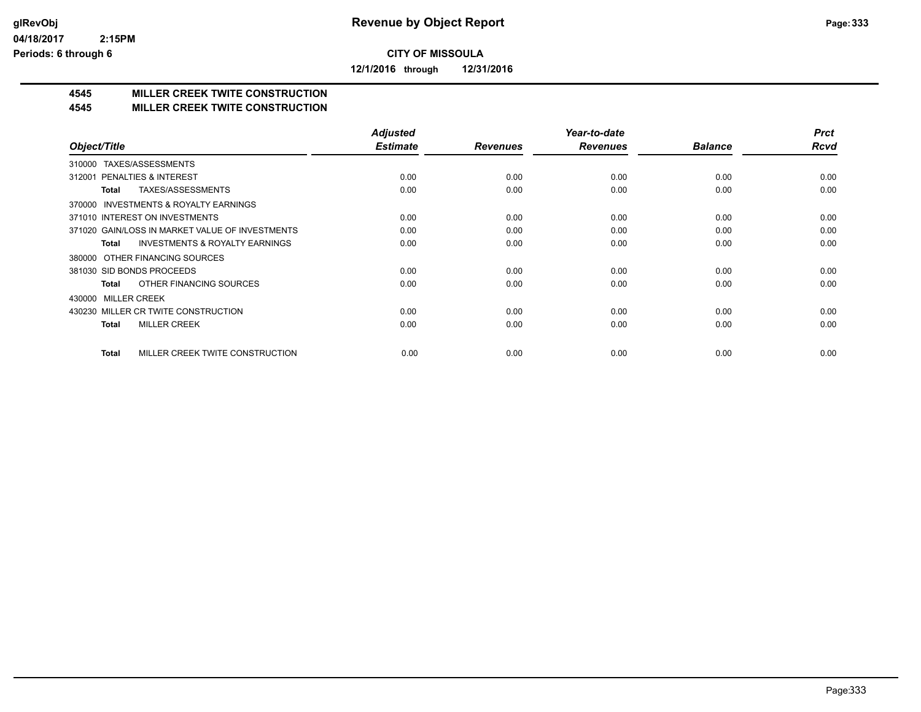**12/1/2016 through 12/31/2016**

#### **4545 MILLER CREEK TWITE CONSTRUCTION 4545 MILLER CREEK TWITE CONSTRUCTION**

| Object/Title                                        | <b>Adjusted</b><br><b>Estimate</b> | <b>Revenues</b> | Year-to-date<br><b>Revenues</b> | <b>Balance</b> | <b>Prct</b><br>Rcvd |
|-----------------------------------------------------|------------------------------------|-----------------|---------------------------------|----------------|---------------------|
| TAXES/ASSESSMENTS<br>310000                         |                                    |                 |                                 |                |                     |
| <b>PENALTIES &amp; INTEREST</b><br>312001           | 0.00                               | 0.00            | 0.00                            | 0.00           | 0.00                |
| TAXES/ASSESSMENTS<br>Total                          | 0.00                               | 0.00            | 0.00                            | 0.00           | 0.00                |
| <b>INVESTMENTS &amp; ROYALTY EARNINGS</b><br>370000 |                                    |                 |                                 |                |                     |
| 371010 INTEREST ON INVESTMENTS                      | 0.00                               | 0.00            | 0.00                            | 0.00           | 0.00                |
| 371020 GAIN/LOSS IN MARKET VALUE OF INVESTMENTS     | 0.00                               | 0.00            | 0.00                            | 0.00           | 0.00                |
| <b>INVESTMENTS &amp; ROYALTY EARNINGS</b><br>Total  | 0.00                               | 0.00            | 0.00                            | 0.00           | 0.00                |
| 380000 OTHER FINANCING SOURCES                      |                                    |                 |                                 |                |                     |
| 381030 SID BONDS PROCEEDS                           | 0.00                               | 0.00            | 0.00                            | 0.00           | 0.00                |
| OTHER FINANCING SOURCES<br>Total                    | 0.00                               | 0.00            | 0.00                            | 0.00           | 0.00                |
| <b>MILLER CREEK</b><br>430000                       |                                    |                 |                                 |                |                     |
| 430230 MILLER CR TWITE CONSTRUCTION                 | 0.00                               | 0.00            | 0.00                            | 0.00           | 0.00                |
| <b>MILLER CREEK</b><br>Total                        | 0.00                               | 0.00            | 0.00                            | 0.00           | 0.00                |
|                                                     |                                    |                 |                                 |                |                     |
| MILLER CREEK TWITE CONSTRUCTION<br>Total            | 0.00                               | 0.00            | 0.00                            | 0.00           | 0.00                |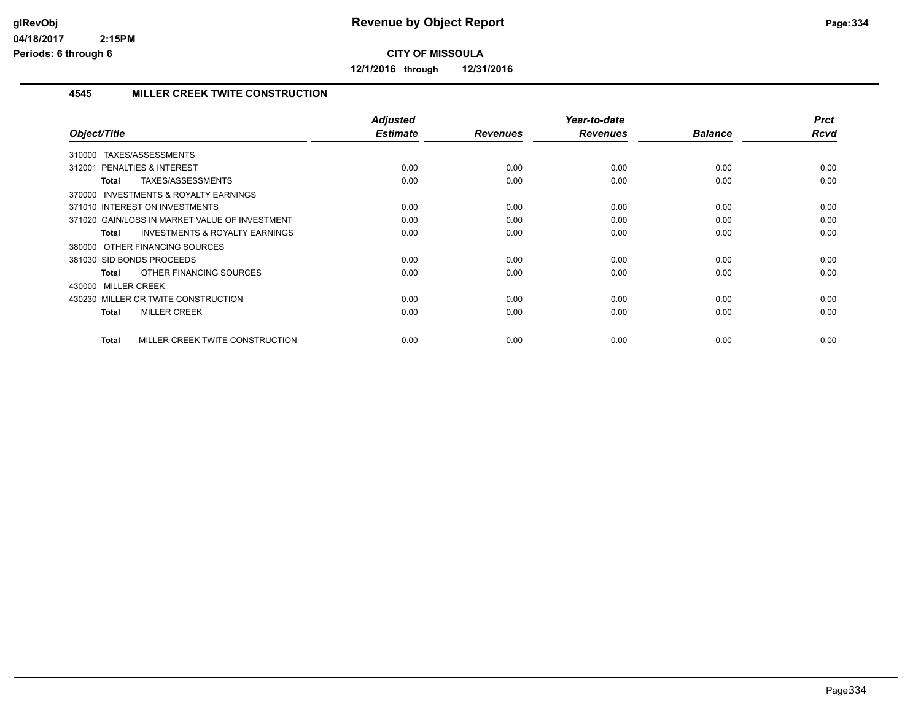**12/1/2016 through 12/31/2016**

#### **4545 MILLER CREEK TWITE CONSTRUCTION**

| <b>Adjusted</b> |                                 | Year-to-date                    |                                 | <b>Prct</b><br><b>Rcvd</b>     |
|-----------------|---------------------------------|---------------------------------|---------------------------------|--------------------------------|
|                 |                                 |                                 |                                 |                                |
|                 |                                 |                                 |                                 |                                |
|                 |                                 |                                 |                                 | 0.00                           |
| 0.00            | 0.00                            | 0.00                            | 0.00                            | 0.00                           |
|                 |                                 |                                 |                                 |                                |
| 0.00            | 0.00                            | 0.00                            | 0.00                            | 0.00                           |
| 0.00            | 0.00                            | 0.00                            | 0.00                            | 0.00                           |
| 0.00            | 0.00                            | 0.00                            | 0.00                            | 0.00                           |
|                 |                                 |                                 |                                 |                                |
| 0.00            | 0.00                            | 0.00                            | 0.00                            | 0.00                           |
| 0.00            | 0.00                            | 0.00                            | 0.00                            | 0.00                           |
|                 |                                 |                                 |                                 |                                |
| 0.00            | 0.00                            | 0.00                            | 0.00                            | 0.00                           |
| 0.00            | 0.00                            | 0.00                            | 0.00                            | 0.00                           |
|                 |                                 |                                 |                                 | 0.00                           |
|                 | <b>Estimate</b><br>0.00<br>0.00 | <b>Revenues</b><br>0.00<br>0.00 | <b>Revenues</b><br>0.00<br>0.00 | <b>Balance</b><br>0.00<br>0.00 |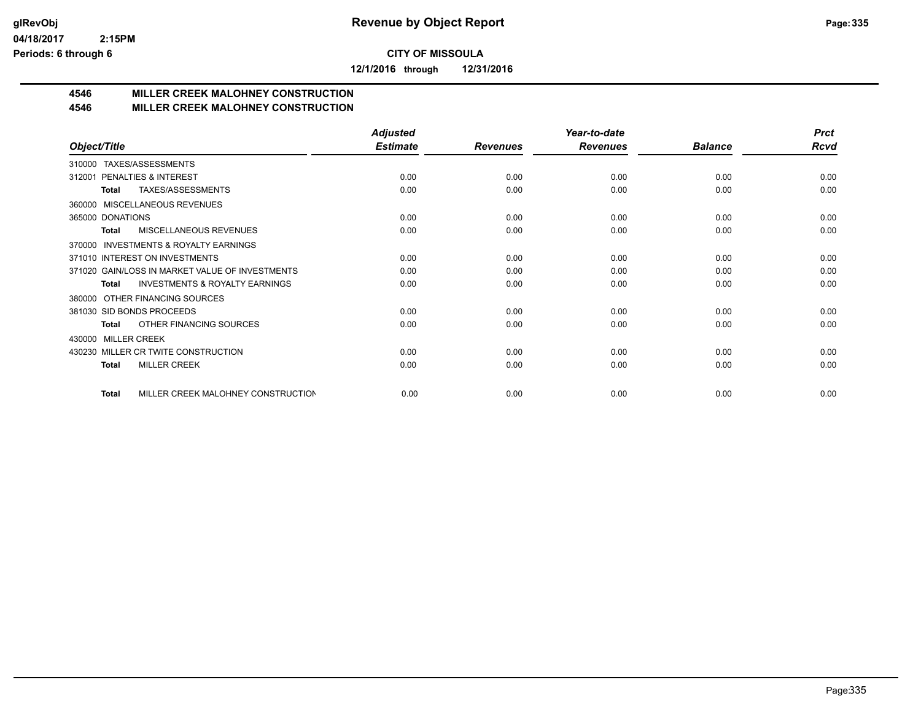**12/1/2016 through 12/31/2016**

#### **4546 MILLER CREEK MALOHNEY CONSTRUCTION 4546 MILLER CREEK MALOHNEY CONSTRUCTION**

|                                                     | <b>Adjusted</b> |                 | Year-to-date    |                | <b>Prct</b> |
|-----------------------------------------------------|-----------------|-----------------|-----------------|----------------|-------------|
| Object/Title                                        | <b>Estimate</b> | <b>Revenues</b> | <b>Revenues</b> | <b>Balance</b> | Rcvd        |
| TAXES/ASSESSMENTS<br>310000                         |                 |                 |                 |                |             |
| PENALTIES & INTEREST<br>312001                      | 0.00            | 0.00            | 0.00            | 0.00           | 0.00        |
| TAXES/ASSESSMENTS<br><b>Total</b>                   | 0.00            | 0.00            | 0.00            | 0.00           | 0.00        |
| <b>MISCELLANEOUS REVENUES</b><br>360000             |                 |                 |                 |                |             |
| 365000 DONATIONS                                    | 0.00            | 0.00            | 0.00            | 0.00           | 0.00        |
| MISCELLANEOUS REVENUES<br><b>Total</b>              | 0.00            | 0.00            | 0.00            | 0.00           | 0.00        |
| <b>INVESTMENTS &amp; ROYALTY EARNINGS</b><br>370000 |                 |                 |                 |                |             |
| 371010 INTEREST ON INVESTMENTS                      | 0.00            | 0.00            | 0.00            | 0.00           | 0.00        |
| 371020 GAIN/LOSS IN MARKET VALUE OF INVESTMENTS     | 0.00            | 0.00            | 0.00            | 0.00           | 0.00        |
| <b>INVESTMENTS &amp; ROYALTY EARNINGS</b><br>Total  | 0.00            | 0.00            | 0.00            | 0.00           | 0.00        |
| OTHER FINANCING SOURCES<br>380000                   |                 |                 |                 |                |             |
| 381030 SID BONDS PROCEEDS                           | 0.00            | 0.00            | 0.00            | 0.00           | 0.00        |
| OTHER FINANCING SOURCES<br><b>Total</b>             | 0.00            | 0.00            | 0.00            | 0.00           | 0.00        |
| <b>MILLER CREEK</b><br>430000                       |                 |                 |                 |                |             |
| 430230 MILLER CR TWITE CONSTRUCTION                 | 0.00            | 0.00            | 0.00            | 0.00           | 0.00        |
| <b>MILLER CREEK</b><br><b>Total</b>                 | 0.00            | 0.00            | 0.00            | 0.00           | 0.00        |
|                                                     |                 |                 |                 |                |             |
| MILLER CREEK MALOHNEY CONSTRUCTION<br><b>Total</b>  | 0.00            | 0.00            | 0.00            | 0.00           | 0.00        |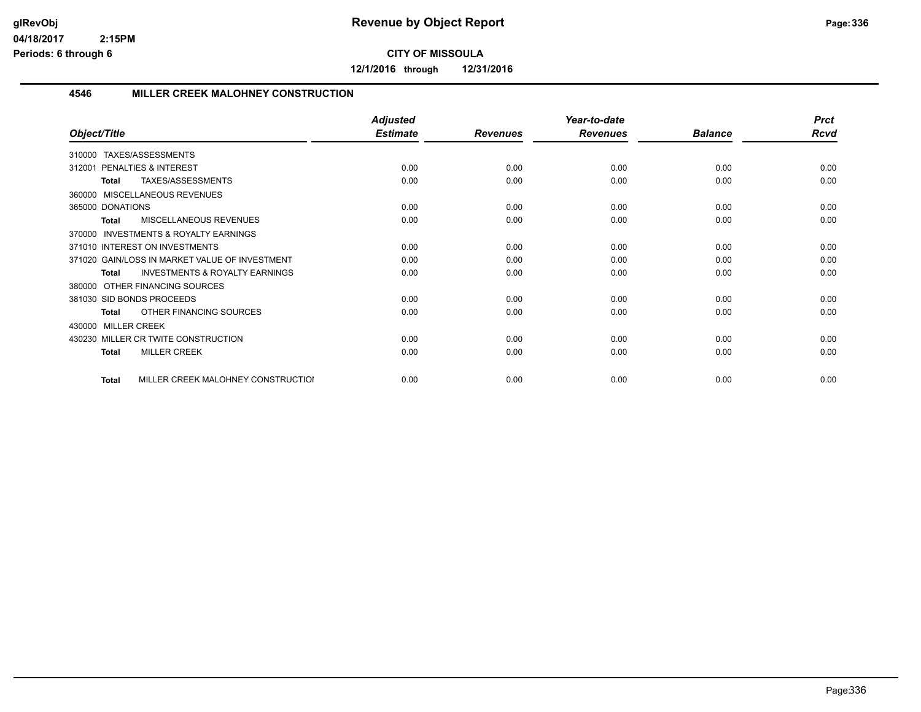**12/1/2016 through 12/31/2016**

#### **4546 MILLER CREEK MALOHNEY CONSTRUCTION**

|                                                           | <b>Adjusted</b> |                 | Year-to-date    |                | <b>Prct</b> |
|-----------------------------------------------------------|-----------------|-----------------|-----------------|----------------|-------------|
| Object/Title                                              | <b>Estimate</b> | <b>Revenues</b> | <b>Revenues</b> | <b>Balance</b> | <b>Rcvd</b> |
| TAXES/ASSESSMENTS<br>310000                               |                 |                 |                 |                |             |
| 312001 PENALTIES & INTEREST                               | 0.00            | 0.00            | 0.00            | 0.00           | 0.00        |
| TAXES/ASSESSMENTS<br><b>Total</b>                         | 0.00            | 0.00            | 0.00            | 0.00           | 0.00        |
| 360000 MISCELLANEOUS REVENUES                             |                 |                 |                 |                |             |
| 365000 DONATIONS                                          | 0.00            | 0.00            | 0.00            | 0.00           | 0.00        |
| <b>MISCELLANEOUS REVENUES</b><br>Total                    | 0.00            | 0.00            | 0.00            | 0.00           | 0.00        |
| <b>INVESTMENTS &amp; ROYALTY EARNINGS</b><br>370000       |                 |                 |                 |                |             |
| 371010 INTEREST ON INVESTMENTS                            | 0.00            | 0.00            | 0.00            | 0.00           | 0.00        |
| 371020 GAIN/LOSS IN MARKET VALUE OF INVESTMENT            | 0.00            | 0.00            | 0.00            | 0.00           | 0.00        |
| <b>INVESTMENTS &amp; ROYALTY EARNINGS</b><br><b>Total</b> | 0.00            | 0.00            | 0.00            | 0.00           | 0.00        |
| 380000 OTHER FINANCING SOURCES                            |                 |                 |                 |                |             |
| 381030 SID BONDS PROCEEDS                                 | 0.00            | 0.00            | 0.00            | 0.00           | 0.00        |
| OTHER FINANCING SOURCES<br><b>Total</b>                   | 0.00            | 0.00            | 0.00            | 0.00           | 0.00        |
| <b>MILLER CREEK</b><br>430000                             |                 |                 |                 |                |             |
| 430230 MILLER CR TWITE CONSTRUCTION                       | 0.00            | 0.00            | 0.00            | 0.00           | 0.00        |
| <b>MILLER CREEK</b><br><b>Total</b>                       | 0.00            | 0.00            | 0.00            | 0.00           | 0.00        |
| MILLER CREEK MALOHNEY CONSTRUCTIOI<br><b>Total</b>        | 0.00            | 0.00            | 0.00            | 0.00           | 0.00        |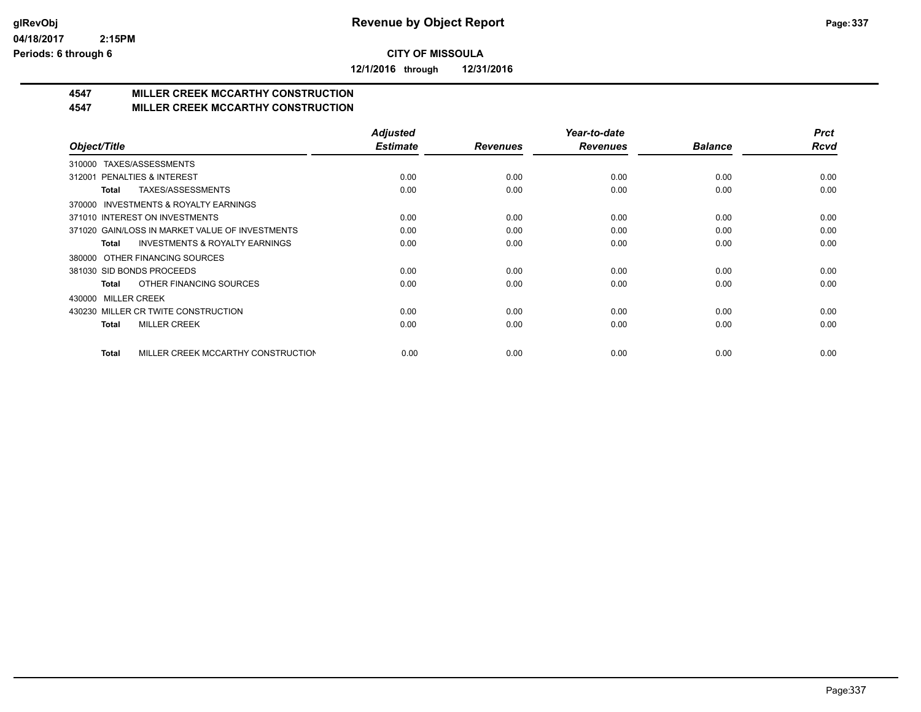**12/1/2016 through 12/31/2016**

#### **4547 MILLER CREEK MCCARTHY CONSTRUCTION 4547 MILLER CREEK MCCARTHY CONSTRUCTION**

| Object/Title                                              | <b>Adjusted</b><br><b>Estimate</b> | <b>Revenues</b> | Year-to-date<br><b>Revenues</b> | <b>Balance</b> | <b>Prct</b><br>Rcvd |
|-----------------------------------------------------------|------------------------------------|-----------------|---------------------------------|----------------|---------------------|
|                                                           |                                    |                 |                                 |                |                     |
| TAXES/ASSESSMENTS<br>310000                               |                                    |                 |                                 |                |                     |
| <b>PENALTIES &amp; INTEREST</b><br>312001                 | 0.00                               | 0.00            | 0.00                            | 0.00           | 0.00                |
| TAXES/ASSESSMENTS<br>Total                                | 0.00                               | 0.00            | 0.00                            | 0.00           | 0.00                |
| <b>INVESTMENTS &amp; ROYALTY EARNINGS</b><br>370000       |                                    |                 |                                 |                |                     |
| 371010 INTEREST ON INVESTMENTS                            | 0.00                               | 0.00            | 0.00                            | 0.00           | 0.00                |
| 371020 GAIN/LOSS IN MARKET VALUE OF INVESTMENTS           | 0.00                               | 0.00            | 0.00                            | 0.00           | 0.00                |
| <b>INVESTMENTS &amp; ROYALTY EARNINGS</b><br><b>Total</b> | 0.00                               | 0.00            | 0.00                            | 0.00           | 0.00                |
| OTHER FINANCING SOURCES<br>380000                         |                                    |                 |                                 |                |                     |
| 381030 SID BONDS PROCEEDS                                 | 0.00                               | 0.00            | 0.00                            | 0.00           | 0.00                |
| OTHER FINANCING SOURCES<br>Total                          | 0.00                               | 0.00            | 0.00                            | 0.00           | 0.00                |
| <b>MILLER CREEK</b><br>430000                             |                                    |                 |                                 |                |                     |
| 430230 MILLER CR TWITE CONSTRUCTION                       | 0.00                               | 0.00            | 0.00                            | 0.00           | 0.00                |
| <b>MILLER CREEK</b><br>Total                              | 0.00                               | 0.00            | 0.00                            | 0.00           | 0.00                |
|                                                           |                                    |                 |                                 |                |                     |
| MILLER CREEK MCCARTHY CONSTRUCTION<br>Total               | 0.00                               | 0.00            | 0.00                            | 0.00           | 0.00                |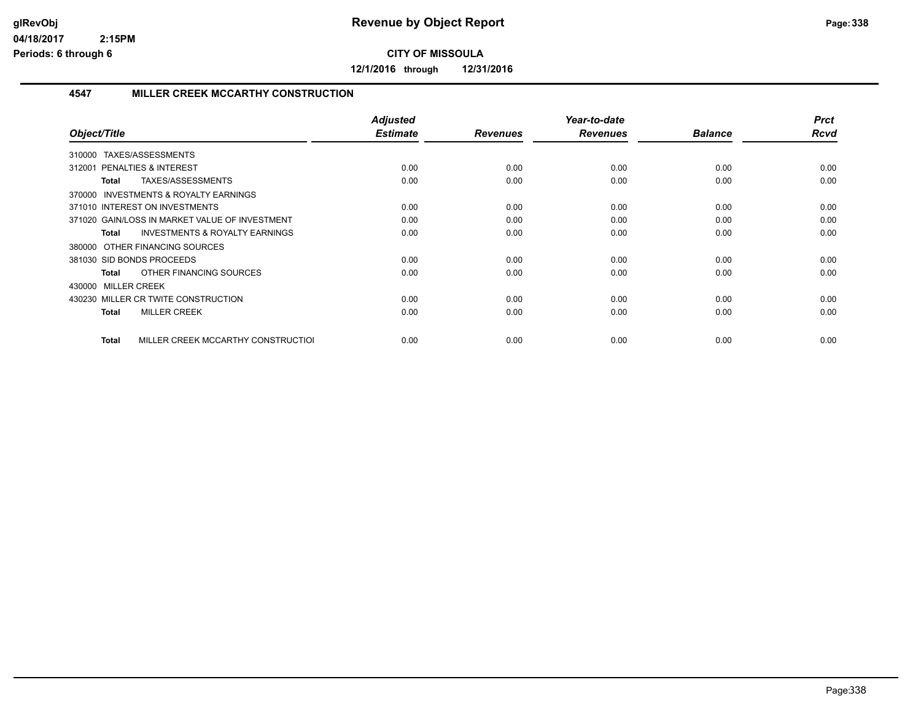**12/1/2016 through 12/31/2016**

#### **4547 MILLER CREEK MCCARTHY CONSTRUCTION**

| Object/Title                                       | <b>Adjusted</b><br><b>Estimate</b> | <b>Revenues</b> | Year-to-date<br><b>Revenues</b> | <b>Balance</b> | <b>Prct</b><br><b>Rcvd</b> |
|----------------------------------------------------|------------------------------------|-----------------|---------------------------------|----------------|----------------------------|
| TAXES/ASSESSMENTS<br>310000                        |                                    |                 |                                 |                |                            |
| 312001 PENALTIES & INTEREST                        | 0.00                               | 0.00            | 0.00                            | 0.00           | 0.00                       |
| TAXES/ASSESSMENTS<br><b>Total</b>                  | 0.00                               | 0.00            | 0.00                            | 0.00           | 0.00                       |
| INVESTMENTS & ROYALTY EARNINGS<br>370000           |                                    |                 |                                 |                |                            |
| 371010 INTEREST ON INVESTMENTS                     | 0.00                               | 0.00            | 0.00                            | 0.00           | 0.00                       |
| 371020 GAIN/LOSS IN MARKET VALUE OF INVESTMENT     | 0.00                               | 0.00            | 0.00                            | 0.00           | 0.00                       |
| <b>INVESTMENTS &amp; ROYALTY EARNINGS</b><br>Total | 0.00                               | 0.00            | 0.00                            | 0.00           | 0.00                       |
| 380000 OTHER FINANCING SOURCES                     |                                    |                 |                                 |                |                            |
| 381030 SID BONDS PROCEEDS                          | 0.00                               | 0.00            | 0.00                            | 0.00           | 0.00                       |
| OTHER FINANCING SOURCES<br><b>Total</b>            | 0.00                               | 0.00            | 0.00                            | 0.00           | 0.00                       |
| 430000 MILLER CREEK                                |                                    |                 |                                 |                |                            |
| 430230 MILLER CR TWITE CONSTRUCTION                | 0.00                               | 0.00            | 0.00                            | 0.00           | 0.00                       |
| <b>MILLER CREEK</b><br><b>Total</b>                | 0.00                               | 0.00            | 0.00                            | 0.00           | 0.00                       |
| MILLER CREEK MCCARTHY CONSTRUCTIOL<br><b>Total</b> | 0.00                               | 0.00            | 0.00                            | 0.00           | 0.00                       |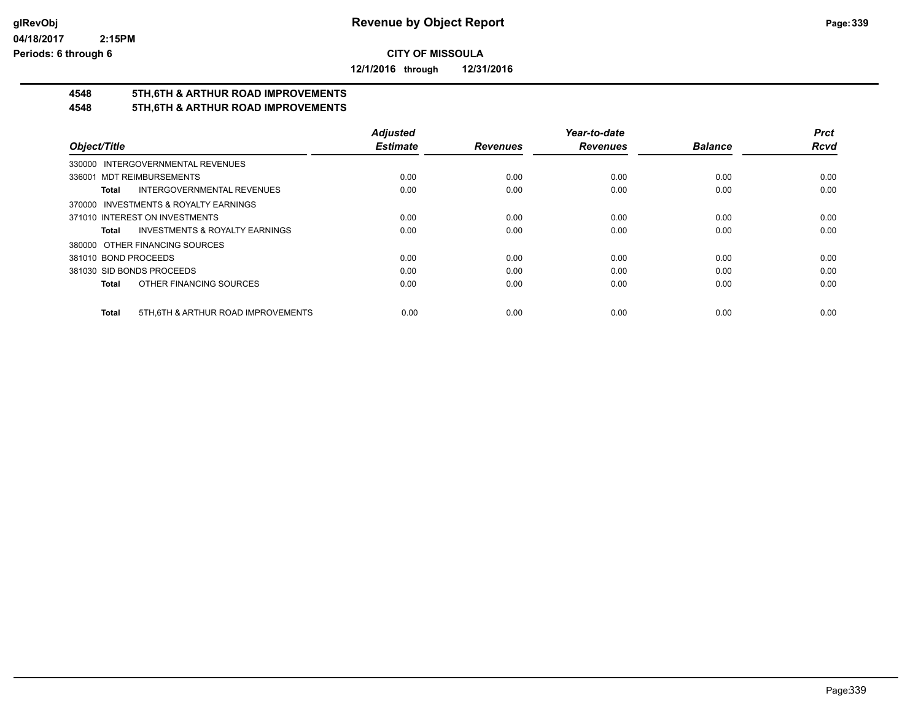**12/1/2016 through 12/31/2016**

#### **4548 5TH,6TH & ARTHUR ROAD IMPROVEMENTS 4548 5TH,6TH & ARTHUR ROAD IMPROVEMENTS**

|                                                     | <b>Adjusted</b> |                 | Year-to-date    |                | <b>Prct</b> |
|-----------------------------------------------------|-----------------|-----------------|-----------------|----------------|-------------|
| Object/Title                                        | <b>Estimate</b> | <b>Revenues</b> | <b>Revenues</b> | <b>Balance</b> | <b>Rcvd</b> |
| 330000 INTERGOVERNMENTAL REVENUES                   |                 |                 |                 |                |             |
| 336001 MDT REIMBURSEMENTS                           | 0.00            | 0.00            | 0.00            | 0.00           | 0.00        |
| INTERGOVERNMENTAL REVENUES<br>Total                 | 0.00            | 0.00            | 0.00            | 0.00           | 0.00        |
| INVESTMENTS & ROYALTY EARNINGS<br>370000            |                 |                 |                 |                |             |
| 371010 INTEREST ON INVESTMENTS                      | 0.00            | 0.00            | 0.00            | 0.00           | 0.00        |
| <b>INVESTMENTS &amp; ROYALTY EARNINGS</b><br>Total  | 0.00            | 0.00            | 0.00            | 0.00           | 0.00        |
| OTHER FINANCING SOURCES<br>380000                   |                 |                 |                 |                |             |
| 381010 BOND PROCEEDS                                | 0.00            | 0.00            | 0.00            | 0.00           | 0.00        |
| 381030 SID BONDS PROCEEDS                           | 0.00            | 0.00            | 0.00            | 0.00           | 0.00        |
| OTHER FINANCING SOURCES<br>Total                    | 0.00            | 0.00            | 0.00            | 0.00           | 0.00        |
| 5TH, 6TH & ARTHUR ROAD IMPROVEMENTS<br><b>Total</b> | 0.00            | 0.00            | 0.00            | 0.00           | 0.00        |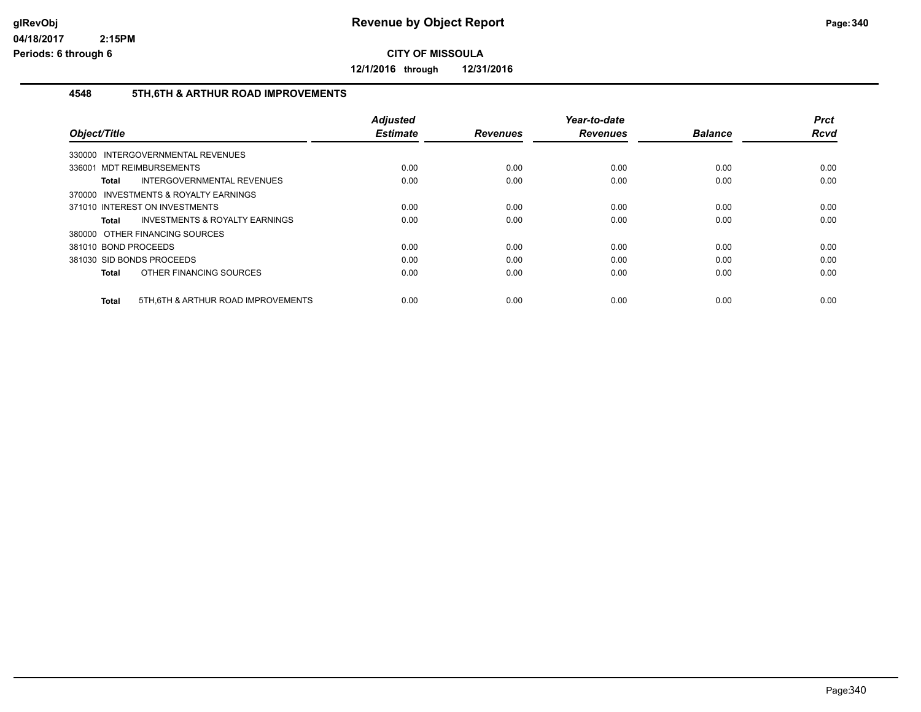**12/1/2016 through 12/31/2016**

#### **4548 5TH,6TH & ARTHUR ROAD IMPROVEMENTS**

|                                                     | <b>Adjusted</b> |                 | Year-to-date    |                | <b>Prct</b> |
|-----------------------------------------------------|-----------------|-----------------|-----------------|----------------|-------------|
| Object/Title                                        | <b>Estimate</b> | <b>Revenues</b> | <b>Revenues</b> | <b>Balance</b> | <b>Rcvd</b> |
| INTERGOVERNMENTAL REVENUES<br>330000                |                 |                 |                 |                |             |
| 336001 MDT REIMBURSEMENTS                           | 0.00            | 0.00            | 0.00            | 0.00           | 0.00        |
| INTERGOVERNMENTAL REVENUES<br>Total                 | 0.00            | 0.00            | 0.00            | 0.00           | 0.00        |
| 370000 INVESTMENTS & ROYALTY EARNINGS               |                 |                 |                 |                |             |
| 371010 INTEREST ON INVESTMENTS                      | 0.00            | 0.00            | 0.00            | 0.00           | 0.00        |
| <b>INVESTMENTS &amp; ROYALTY EARNINGS</b><br>Total  | 0.00            | 0.00            | 0.00            | 0.00           | 0.00        |
| 380000 OTHER FINANCING SOURCES                      |                 |                 |                 |                |             |
| 381010 BOND PROCEEDS                                | 0.00            | 0.00            | 0.00            | 0.00           | 0.00        |
| 381030 SID BONDS PROCEEDS                           | 0.00            | 0.00            | 0.00            | 0.00           | 0.00        |
| OTHER FINANCING SOURCES<br>Total                    | 0.00            | 0.00            | 0.00            | 0.00           | 0.00        |
| 5TH, 6TH & ARTHUR ROAD IMPROVEMENTS<br><b>Total</b> | 0.00            | 0.00            | 0.00            | 0.00           | 0.00        |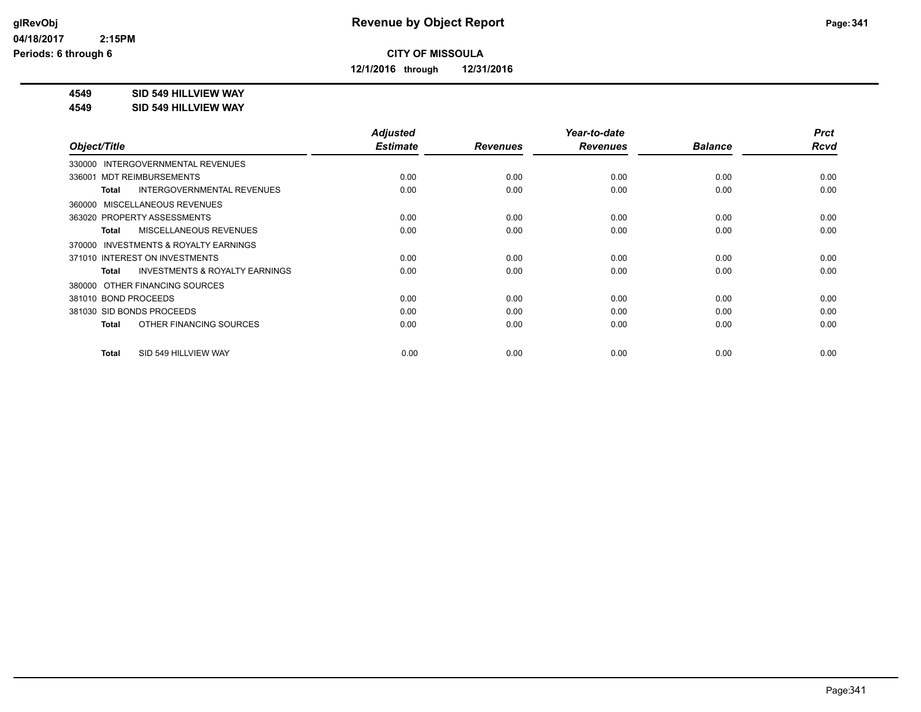**12/1/2016 through 12/31/2016**

**4549 SID 549 HILLVIEW WAY**

| 4549 |  | SID 549 HILLVIEW WAY |  |
|------|--|----------------------|--|
|------|--|----------------------|--|

|                                                    | <b>Adjusted</b> |                 | Year-to-date    |                | <b>Prct</b> |
|----------------------------------------------------|-----------------|-----------------|-----------------|----------------|-------------|
| Object/Title                                       | <b>Estimate</b> | <b>Revenues</b> | <b>Revenues</b> | <b>Balance</b> | Rcvd        |
| INTERGOVERNMENTAL REVENUES<br>330000               |                 |                 |                 |                |             |
| 336001 MDT REIMBURSEMENTS                          | 0.00            | 0.00            | 0.00            | 0.00           | 0.00        |
| <b>INTERGOVERNMENTAL REVENUES</b><br>Total         | 0.00            | 0.00            | 0.00            | 0.00           | 0.00        |
| 360000 MISCELLANEOUS REVENUES                      |                 |                 |                 |                |             |
| 363020 PROPERTY ASSESSMENTS                        | 0.00            | 0.00            | 0.00            | 0.00           | 0.00        |
| MISCELLANEOUS REVENUES<br>Total                    | 0.00            | 0.00            | 0.00            | 0.00           | 0.00        |
| 370000 INVESTMENTS & ROYALTY EARNINGS              |                 |                 |                 |                |             |
| 371010 INTEREST ON INVESTMENTS                     | 0.00            | 0.00            | 0.00            | 0.00           | 0.00        |
| <b>INVESTMENTS &amp; ROYALTY EARNINGS</b><br>Total | 0.00            | 0.00            | 0.00            | 0.00           | 0.00        |
| 380000 OTHER FINANCING SOURCES                     |                 |                 |                 |                |             |
| 381010 BOND PROCEEDS                               | 0.00            | 0.00            | 0.00            | 0.00           | 0.00        |
| 381030 SID BONDS PROCEEDS                          | 0.00            | 0.00            | 0.00            | 0.00           | 0.00        |
| OTHER FINANCING SOURCES<br>Total                   | 0.00            | 0.00            | 0.00            | 0.00           | 0.00        |
|                                                    |                 |                 |                 |                |             |
| SID 549 HILLVIEW WAY<br><b>Total</b>               | 0.00            | 0.00            | 0.00            | 0.00           | 0.00        |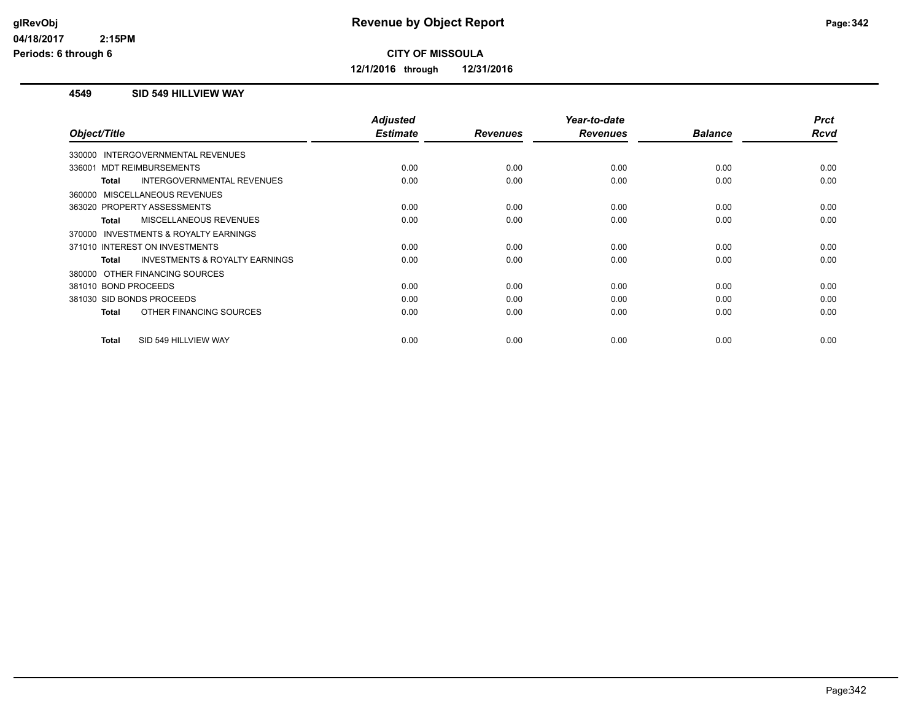**12/1/2016 through 12/31/2016**

#### **4549 SID 549 HILLVIEW WAY**

| Object/Title                                      | <b>Adjusted</b><br><b>Estimate</b> | <b>Revenues</b> | Year-to-date<br><b>Revenues</b> | <b>Balance</b> | <b>Prct</b><br><b>Rcvd</b> |
|---------------------------------------------------|------------------------------------|-----------------|---------------------------------|----------------|----------------------------|
| INTERGOVERNMENTAL REVENUES<br>330000              |                                    |                 |                                 |                |                            |
| 336001 MDT REIMBURSEMENTS                         | 0.00                               | 0.00            | 0.00                            | 0.00           | 0.00                       |
| <b>INTERGOVERNMENTAL REVENUES</b><br><b>Total</b> | 0.00                               | 0.00            | 0.00                            | 0.00           | 0.00                       |
| MISCELLANEOUS REVENUES<br>360000                  |                                    |                 |                                 |                |                            |
| 363020 PROPERTY ASSESSMENTS                       | 0.00                               | 0.00            | 0.00                            | 0.00           | 0.00                       |
| MISCELLANEOUS REVENUES<br>Total                   | 0.00                               | 0.00            | 0.00                            | 0.00           | 0.00                       |
| INVESTMENTS & ROYALTY EARNINGS<br>370000          |                                    |                 |                                 |                |                            |
| 371010 INTEREST ON INVESTMENTS                    | 0.00                               | 0.00            | 0.00                            | 0.00           | 0.00                       |
| INVESTMENTS & ROYALTY EARNINGS<br>Total           | 0.00                               | 0.00            | 0.00                            | 0.00           | 0.00                       |
| 380000 OTHER FINANCING SOURCES                    |                                    |                 |                                 |                |                            |
| 381010 BOND PROCEEDS                              | 0.00                               | 0.00            | 0.00                            | 0.00           | 0.00                       |
| 381030 SID BONDS PROCEEDS                         | 0.00                               | 0.00            | 0.00                            | 0.00           | 0.00                       |
| OTHER FINANCING SOURCES<br><b>Total</b>           | 0.00                               | 0.00            | 0.00                            | 0.00           | 0.00                       |
|                                                   |                                    |                 |                                 |                |                            |
| SID 549 HILLVIEW WAY<br><b>Total</b>              | 0.00                               | 0.00            | 0.00                            | 0.00           | 0.00                       |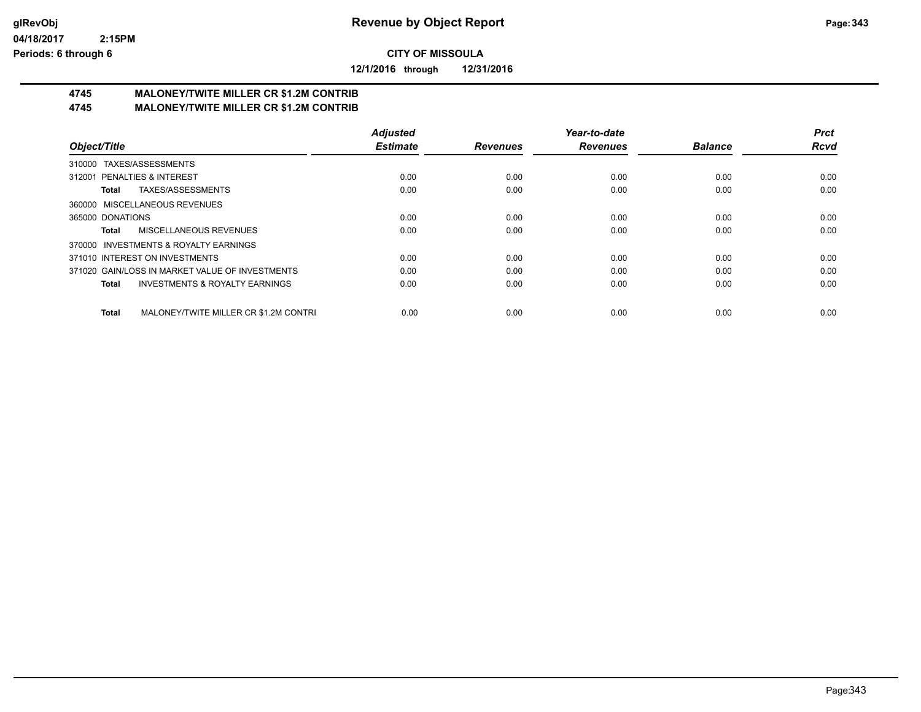**12/1/2016 through 12/31/2016**

#### **4745 MALONEY/TWITE MILLER CR \$1.2M CONTRIB 4745 MALONEY/TWITE MILLER CR \$1.2M CONTRIB**

|                                                       | <b>Adjusted</b> |                 | Year-to-date    |                | <b>Prct</b> |
|-------------------------------------------------------|-----------------|-----------------|-----------------|----------------|-------------|
| Object/Title                                          | <b>Estimate</b> | <b>Revenues</b> | <b>Revenues</b> | <b>Balance</b> | <b>Rcvd</b> |
| TAXES/ASSESSMENTS<br>310000                           |                 |                 |                 |                |             |
| <b>PENALTIES &amp; INTEREST</b><br>312001             | 0.00            | 0.00            | 0.00            | 0.00           | 0.00        |
| TAXES/ASSESSMENTS<br>Total                            | 0.00            | 0.00            | 0.00            | 0.00           | 0.00        |
| MISCELLANEOUS REVENUES<br>360000                      |                 |                 |                 |                |             |
| 365000 DONATIONS                                      | 0.00            | 0.00            | 0.00            | 0.00           | 0.00        |
| MISCELLANEOUS REVENUES<br>Total                       | 0.00            | 0.00            | 0.00            | 0.00           | 0.00        |
| INVESTMENTS & ROYALTY EARNINGS<br>370000              |                 |                 |                 |                |             |
| 371010 INTEREST ON INVESTMENTS                        | 0.00            | 0.00            | 0.00            | 0.00           | 0.00        |
| 371020 GAIN/LOSS IN MARKET VALUE OF INVESTMENTS       | 0.00            | 0.00            | 0.00            | 0.00           | 0.00        |
| <b>INVESTMENTS &amp; ROYALTY EARNINGS</b><br>Total    | 0.00            | 0.00            | 0.00            | 0.00           | 0.00        |
| MALONEY/TWITE MILLER CR \$1.2M CONTRI<br><b>Total</b> | 0.00            | 0.00            | 0.00            | 0.00           | 0.00        |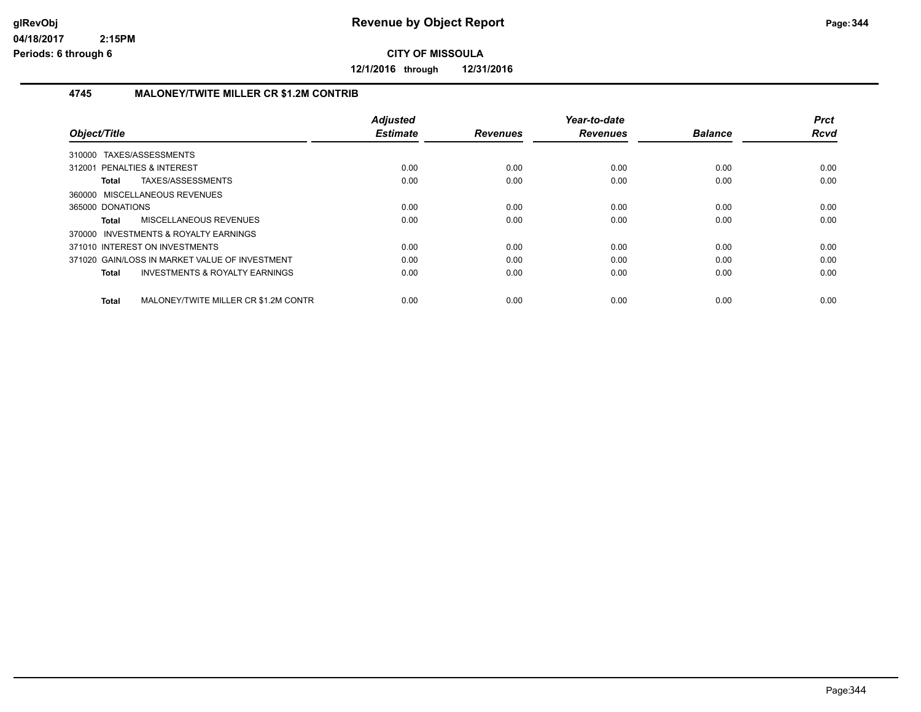**12/1/2016 through 12/31/2016**

#### **4745 MALONEY/TWITE MILLER CR \$1.2M CONTRIB**

| Object/Title                                              | <b>Adjusted</b><br><b>Estimate</b> | <b>Revenues</b> | Year-to-date<br><b>Revenues</b> | <b>Balance</b> | <b>Prct</b><br><b>Rcvd</b> |
|-----------------------------------------------------------|------------------------------------|-----------------|---------------------------------|----------------|----------------------------|
| 310000 TAXES/ASSESSMENTS                                  |                                    |                 |                                 |                |                            |
| <b>PENALTIES &amp; INTEREST</b><br>312001                 | 0.00                               | 0.00            | 0.00                            | 0.00           | 0.00                       |
| TAXES/ASSESSMENTS<br>Total                                | 0.00                               | 0.00            | 0.00                            | 0.00           | 0.00                       |
| 360000 MISCELLANEOUS REVENUES                             |                                    |                 |                                 |                |                            |
| 365000 DONATIONS                                          | 0.00                               | 0.00            | 0.00                            | 0.00           | 0.00                       |
| MISCELLANEOUS REVENUES<br>Total                           | 0.00                               | 0.00            | 0.00                            | 0.00           | 0.00                       |
| 370000 INVESTMENTS & ROYALTY EARNINGS                     |                                    |                 |                                 |                |                            |
| 371010 INTEREST ON INVESTMENTS                            | 0.00                               | 0.00            | 0.00                            | 0.00           | 0.00                       |
| 371020 GAIN/LOSS IN MARKET VALUE OF INVESTMENT            | 0.00                               | 0.00            | 0.00                            | 0.00           | 0.00                       |
| <b>INVESTMENTS &amp; ROYALTY EARNINGS</b><br><b>Total</b> | 0.00                               | 0.00            | 0.00                            | 0.00           | 0.00                       |
| MALONEY/TWITE MILLER CR \$1.2M CONTR<br><b>Total</b>      | 0.00                               | 0.00            | 0.00                            | 0.00           | 0.00                       |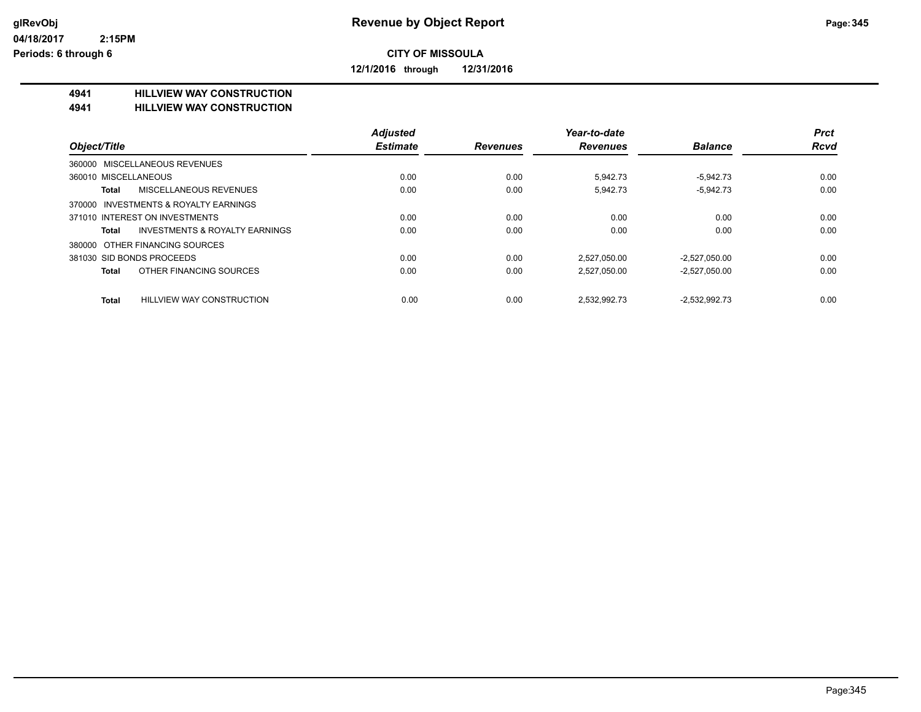**12/1/2016 through 12/31/2016**

**4941 HILLVIEW WAY CONSTRUCTION**

**4941 HILLVIEW WAY CONSTRUCTION**

|                                                    | <b>Adjusted</b> |                 | Year-to-date    |                 | <b>Prct</b> |
|----------------------------------------------------|-----------------|-----------------|-----------------|-----------------|-------------|
| Object/Title                                       | <b>Estimate</b> | <b>Revenues</b> | <b>Revenues</b> | <b>Balance</b>  | <b>Rcvd</b> |
| 360000 MISCELLANEOUS REVENUES                      |                 |                 |                 |                 |             |
| 360010 MISCELLANEOUS                               | 0.00            | 0.00            | 5.942.73        | $-5.942.73$     | 0.00        |
| MISCELLANEOUS REVENUES<br>Total                    | 0.00            | 0.00            | 5.942.73        | $-5.942.73$     | 0.00        |
| 370000 INVESTMENTS & ROYALTY EARNINGS              |                 |                 |                 |                 |             |
| 371010 INTEREST ON INVESTMENTS                     | 0.00            | 0.00            | 0.00            | 0.00            | 0.00        |
| <b>INVESTMENTS &amp; ROYALTY EARNINGS</b><br>Total | 0.00            | 0.00            | 0.00            | 0.00            | 0.00        |
| 380000 OTHER FINANCING SOURCES                     |                 |                 |                 |                 |             |
| 381030 SID BONDS PROCEEDS                          | 0.00            | 0.00            | 2.527.050.00    | $-2,527,050.00$ | 0.00        |
| OTHER FINANCING SOURCES<br>Total                   | 0.00            | 0.00            | 2.527.050.00    | $-2.527.050.00$ | 0.00        |
|                                                    |                 |                 |                 |                 |             |
| HILLVIEW WAY CONSTRUCTION<br><b>Total</b>          | 0.00            | 0.00            | 2.532.992.73    | $-2.532.992.73$ | 0.00        |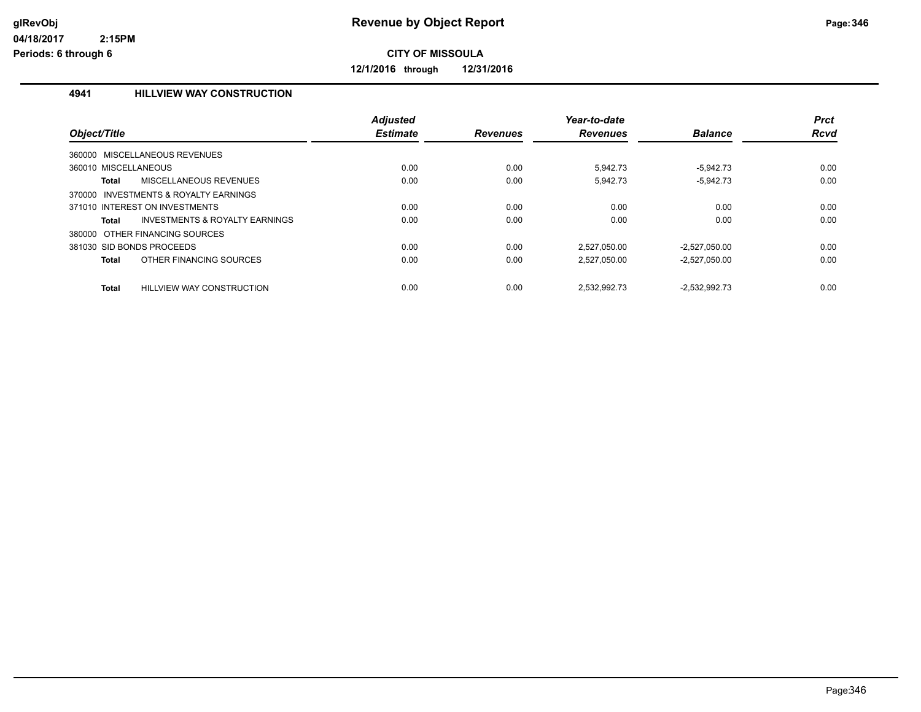**12/1/2016 through 12/31/2016**

#### **4941 HILLVIEW WAY CONSTRUCTION**

|                                                  | <b>Adjusted</b> |                 | Year-to-date    |                 | <b>Prct</b> |
|--------------------------------------------------|-----------------|-----------------|-----------------|-----------------|-------------|
| Object/Title                                     | <b>Estimate</b> | <b>Revenues</b> | <b>Revenues</b> | <b>Balance</b>  | <b>Rcvd</b> |
| MISCELLANEOUS REVENUES<br>360000                 |                 |                 |                 |                 |             |
| 360010 MISCELLANEOUS                             | 0.00            | 0.00            | 5.942.73        | $-5.942.73$     | 0.00        |
| MISCELLANEOUS REVENUES<br>Total                  | 0.00            | 0.00            | 5.942.73        | $-5.942.73$     | 0.00        |
| INVESTMENTS & ROYALTY EARNINGS<br>370000         |                 |                 |                 |                 |             |
| 371010 INTEREST ON INVESTMENTS                   | 0.00            | 0.00            | 0.00            | 0.00            | 0.00        |
| INVESTMENTS & ROYALTY EARNINGS<br><b>Total</b>   | 0.00            | 0.00            | 0.00            | 0.00            | 0.00        |
| OTHER FINANCING SOURCES<br>380000                |                 |                 |                 |                 |             |
| 381030 SID BONDS PROCEEDS                        | 0.00            | 0.00            | 2.527.050.00    | $-2.527.050.00$ | 0.00        |
| OTHER FINANCING SOURCES<br><b>Total</b>          | 0.00            | 0.00            | 2.527.050.00    | $-2,527,050.00$ | 0.00        |
| <b>HILLVIEW WAY CONSTRUCTION</b><br><b>Total</b> | 0.00            | 0.00            | 2.532.992.73    | $-2.532.992.73$ | 0.00        |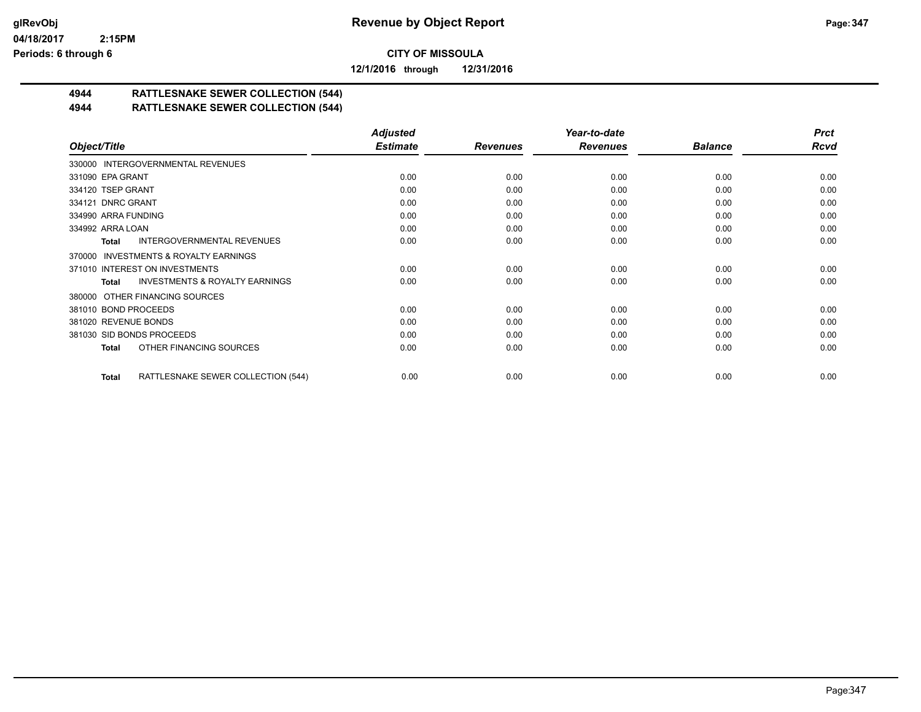**12/1/2016 through 12/31/2016**

#### **4944 RATTLESNAKE SEWER COLLECTION (544) 4944 RATTLESNAKE SEWER COLLECTION (544)**

|                                                     | <b>Adjusted</b> |                 | Year-to-date    |                | <b>Prct</b> |
|-----------------------------------------------------|-----------------|-----------------|-----------------|----------------|-------------|
| Object/Title                                        | <b>Estimate</b> | <b>Revenues</b> | <b>Revenues</b> | <b>Balance</b> | Rcvd        |
| 330000 INTERGOVERNMENTAL REVENUES                   |                 |                 |                 |                |             |
| 331090 EPA GRANT                                    | 0.00            | 0.00            | 0.00            | 0.00           | 0.00        |
| 334120 TSEP GRANT                                   | 0.00            | 0.00            | 0.00            | 0.00           | 0.00        |
| 334121 DNRC GRANT                                   | 0.00            | 0.00            | 0.00            | 0.00           | 0.00        |
| 334990 ARRA FUNDING                                 | 0.00            | 0.00            | 0.00            | 0.00           | 0.00        |
| 334992 ARRA LOAN                                    | 0.00            | 0.00            | 0.00            | 0.00           | 0.00        |
| INTERGOVERNMENTAL REVENUES<br>Total                 | 0.00            | 0.00            | 0.00            | 0.00           | 0.00        |
| <b>INVESTMENTS &amp; ROYALTY EARNINGS</b><br>370000 |                 |                 |                 |                |             |
| 371010 INTEREST ON INVESTMENTS                      | 0.00            | 0.00            | 0.00            | 0.00           | 0.00        |
| <b>INVESTMENTS &amp; ROYALTY EARNINGS</b><br>Total  | 0.00            | 0.00            | 0.00            | 0.00           | 0.00        |
| 380000 OTHER FINANCING SOURCES                      |                 |                 |                 |                |             |
| 381010 BOND PROCEEDS                                | 0.00            | 0.00            | 0.00            | 0.00           | 0.00        |
| 381020 REVENUE BONDS                                | 0.00            | 0.00            | 0.00            | 0.00           | 0.00        |
| 381030 SID BONDS PROCEEDS                           | 0.00            | 0.00            | 0.00            | 0.00           | 0.00        |
| OTHER FINANCING SOURCES<br>Total                    | 0.00            | 0.00            | 0.00            | 0.00           | 0.00        |
| RATTLESNAKE SEWER COLLECTION (544)<br>Total         | 0.00            | 0.00            | 0.00            | 0.00           | 0.00        |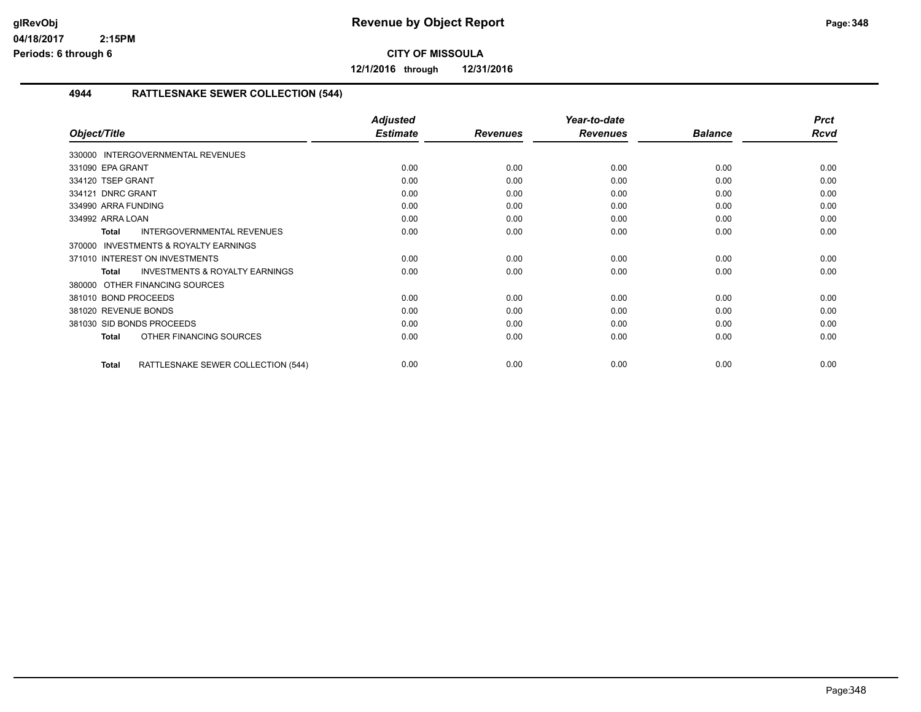**12/1/2016 through 12/31/2016**

#### **4944 RATTLESNAKE SEWER COLLECTION (544)**

|                                                     | <b>Adjusted</b> |                 | Year-to-date    |                | <b>Prct</b> |
|-----------------------------------------------------|-----------------|-----------------|-----------------|----------------|-------------|
| Object/Title                                        | <b>Estimate</b> | <b>Revenues</b> | <b>Revenues</b> | <b>Balance</b> | <b>Rcvd</b> |
| 330000 INTERGOVERNMENTAL REVENUES                   |                 |                 |                 |                |             |
| 331090 EPA GRANT                                    | 0.00            | 0.00            | 0.00            | 0.00           | 0.00        |
| 334120 TSEP GRANT                                   | 0.00            | 0.00            | 0.00            | 0.00           | 0.00        |
| 334121 DNRC GRANT                                   | 0.00            | 0.00            | 0.00            | 0.00           | 0.00        |
| 334990 ARRA FUNDING                                 | 0.00            | 0.00            | 0.00            | 0.00           | 0.00        |
| 334992 ARRA LOAN                                    | 0.00            | 0.00            | 0.00            | 0.00           | 0.00        |
| <b>INTERGOVERNMENTAL REVENUES</b><br><b>Total</b>   | 0.00            | 0.00            | 0.00            | 0.00           | 0.00        |
| <b>INVESTMENTS &amp; ROYALTY EARNINGS</b><br>370000 |                 |                 |                 |                |             |
| 371010 INTEREST ON INVESTMENTS                      | 0.00            | 0.00            | 0.00            | 0.00           | 0.00        |
| <b>INVESTMENTS &amp; ROYALTY EARNINGS</b><br>Total  | 0.00            | 0.00            | 0.00            | 0.00           | 0.00        |
| 380000 OTHER FINANCING SOURCES                      |                 |                 |                 |                |             |
| 381010 BOND PROCEEDS                                | 0.00            | 0.00            | 0.00            | 0.00           | 0.00        |
| 381020 REVENUE BONDS                                | 0.00            | 0.00            | 0.00            | 0.00           | 0.00        |
| 381030 SID BONDS PROCEEDS                           | 0.00            | 0.00            | 0.00            | 0.00           | 0.00        |
| OTHER FINANCING SOURCES<br>Total                    | 0.00            | 0.00            | 0.00            | 0.00           | 0.00        |
|                                                     |                 |                 |                 |                |             |
| RATTLESNAKE SEWER COLLECTION (544)<br>Total         | 0.00            | 0.00            | 0.00            | 0.00           | 0.00        |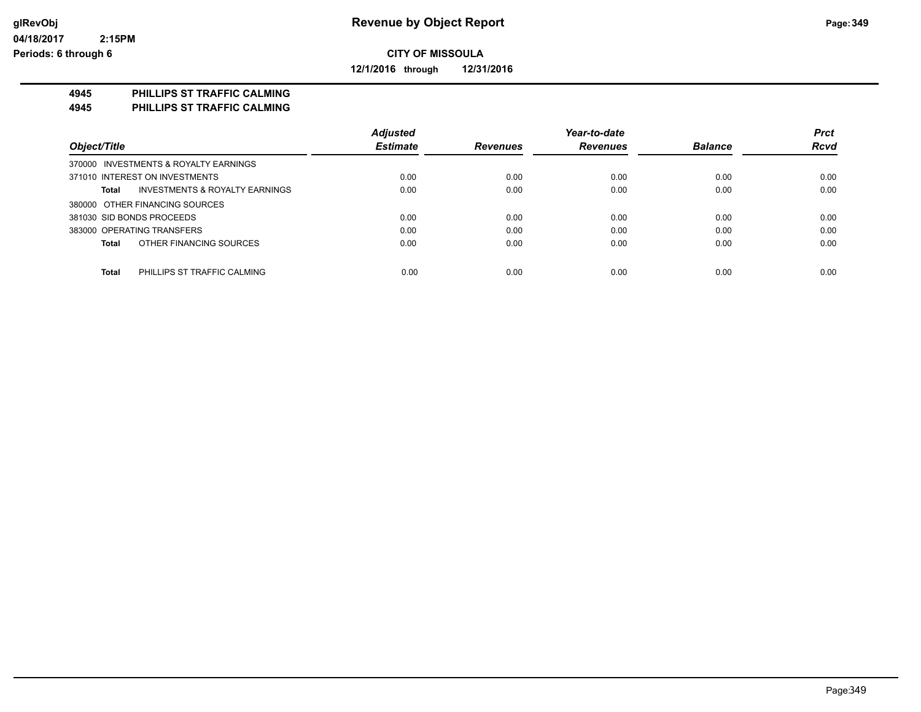**12/1/2016 through 12/31/2016**

**4945 PHILLIPS ST TRAFFIC CALMING 4945 PHILLIPS ST TRAFFIC CALMING**

|                                             | <b>Adjusted</b> |                 | Year-to-date    |                | <b>Prct</b> |
|---------------------------------------------|-----------------|-----------------|-----------------|----------------|-------------|
| Object/Title                                | <b>Estimate</b> | <b>Revenues</b> | <b>Revenues</b> | <b>Balance</b> | <b>Rcvd</b> |
| 370000 INVESTMENTS & ROYALTY EARNINGS       |                 |                 |                 |                |             |
| 371010 INTEREST ON INVESTMENTS              | 0.00            | 0.00            | 0.00            | 0.00           | 0.00        |
| INVESTMENTS & ROYALTY EARNINGS<br>Total     | 0.00            | 0.00            | 0.00            | 0.00           | 0.00        |
| 380000 OTHER FINANCING SOURCES              |                 |                 |                 |                |             |
| 381030 SID BONDS PROCEEDS                   | 0.00            | 0.00            | 0.00            | 0.00           | 0.00        |
| 383000 OPERATING TRANSFERS                  | 0.00            | 0.00            | 0.00            | 0.00           | 0.00        |
| OTHER FINANCING SOURCES<br>Total            | 0.00            | 0.00            | 0.00            | 0.00           | 0.00        |
|                                             |                 |                 |                 |                |             |
| <b>Total</b><br>PHILLIPS ST TRAFFIC CALMING | 0.00            | 0.00            | 0.00            | 0.00           | 0.00        |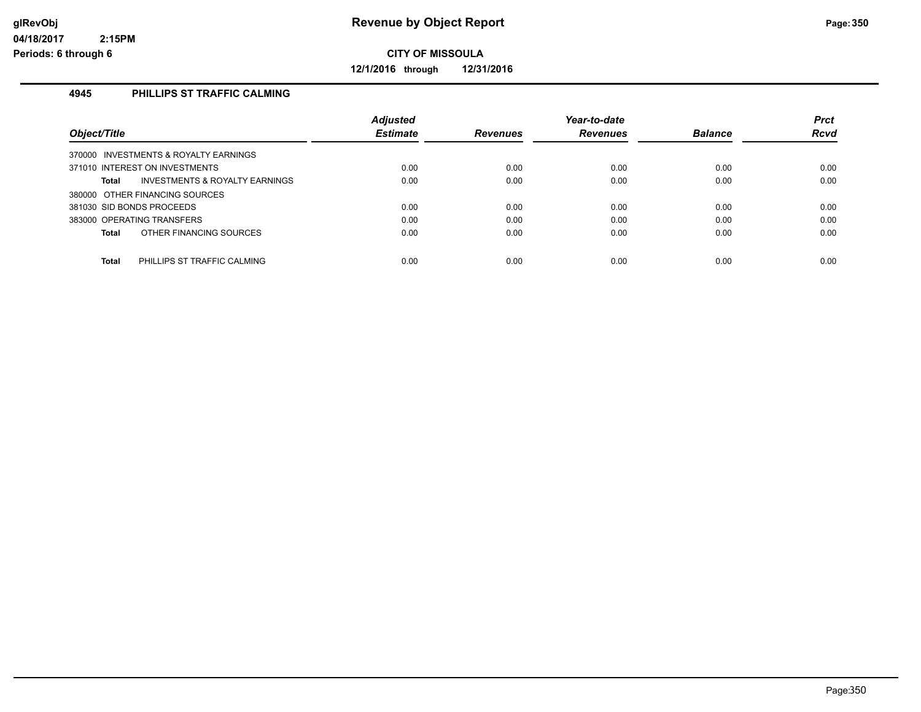**12/1/2016 through 12/31/2016**

#### **4945 PHILLIPS ST TRAFFIC CALMING**

|                                                | <b>Adjusted</b> |                 | Year-to-date    |                | <b>Prct</b> |
|------------------------------------------------|-----------------|-----------------|-----------------|----------------|-------------|
| Object/Title                                   | <b>Estimate</b> | <b>Revenues</b> | <b>Revenues</b> | <b>Balance</b> | <b>Rcvd</b> |
| 370000 INVESTMENTS & ROYALTY EARNINGS          |                 |                 |                 |                |             |
| 371010 INTEREST ON INVESTMENTS                 | 0.00            | 0.00            | 0.00            | 0.00           | 0.00        |
| INVESTMENTS & ROYALTY EARNINGS<br><b>Total</b> | 0.00            | 0.00            | 0.00            | 0.00           | 0.00        |
| 380000 OTHER FINANCING SOURCES                 |                 |                 |                 |                |             |
| 381030 SID BONDS PROCEEDS                      | 0.00            | 0.00            | 0.00            | 0.00           | 0.00        |
| 383000 OPERATING TRANSFERS                     | 0.00            | 0.00            | 0.00            | 0.00           | 0.00        |
| OTHER FINANCING SOURCES<br>Total               | 0.00            | 0.00            | 0.00            | 0.00           | 0.00        |
|                                                |                 |                 |                 |                |             |
| Total<br>PHILLIPS ST TRAFFIC CALMING           | 0.00            | 0.00            | 0.00            | 0.00           | 0.00        |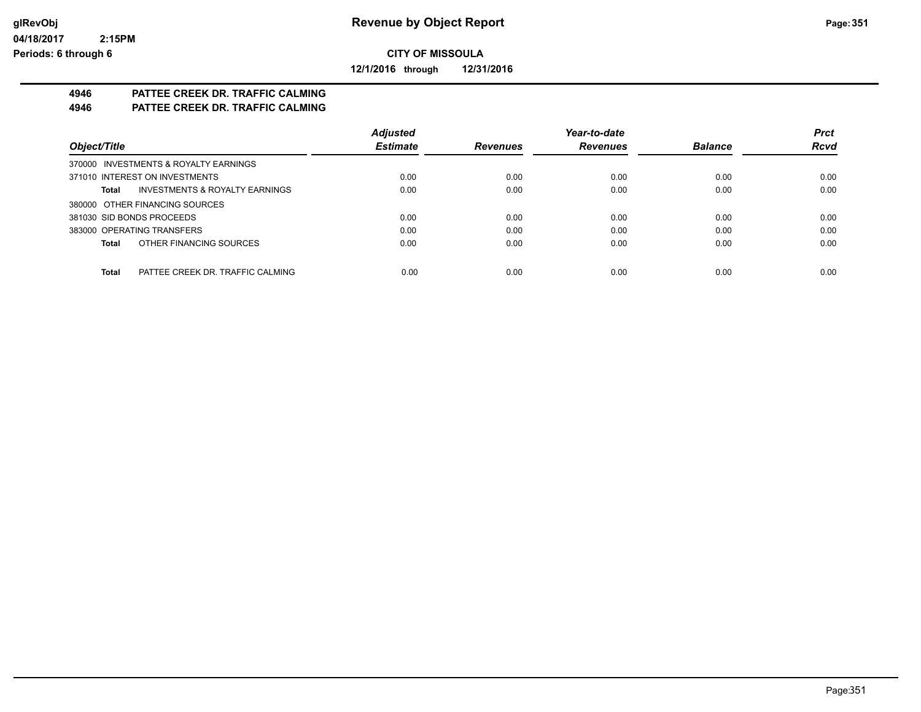**12/1/2016 through 12/31/2016**

#### **4946 PATTEE CREEK DR. TRAFFIC CALMING 4946 PATTEE CREEK DR. TRAFFIC CALMING**

|                                                  | <b>Adjusted</b> |                 | Year-to-date    |                | <b>Prct</b> |
|--------------------------------------------------|-----------------|-----------------|-----------------|----------------|-------------|
| Object/Title                                     | <b>Estimate</b> | <b>Revenues</b> | <b>Revenues</b> | <b>Balance</b> | <b>Rcvd</b> |
| 370000 INVESTMENTS & ROYALTY EARNINGS            |                 |                 |                 |                |             |
| 371010 INTEREST ON INVESTMENTS                   | 0.00            | 0.00            | 0.00            | 0.00           | 0.00        |
| INVESTMENTS & ROYALTY EARNINGS<br>Total          | 0.00            | 0.00            | 0.00            | 0.00           | 0.00        |
| 380000 OTHER FINANCING SOURCES                   |                 |                 |                 |                |             |
| 381030 SID BONDS PROCEEDS                        | 0.00            | 0.00            | 0.00            | 0.00           | 0.00        |
| 383000 OPERATING TRANSFERS                       | 0.00            | 0.00            | 0.00            | 0.00           | 0.00        |
| OTHER FINANCING SOURCES<br>Total                 | 0.00            | 0.00            | 0.00            | 0.00           | 0.00        |
|                                                  |                 |                 |                 |                |             |
| <b>Total</b><br>PATTEE CREEK DR. TRAFFIC CALMING | 0.00            | 0.00            | 0.00            | 0.00           | 0.00        |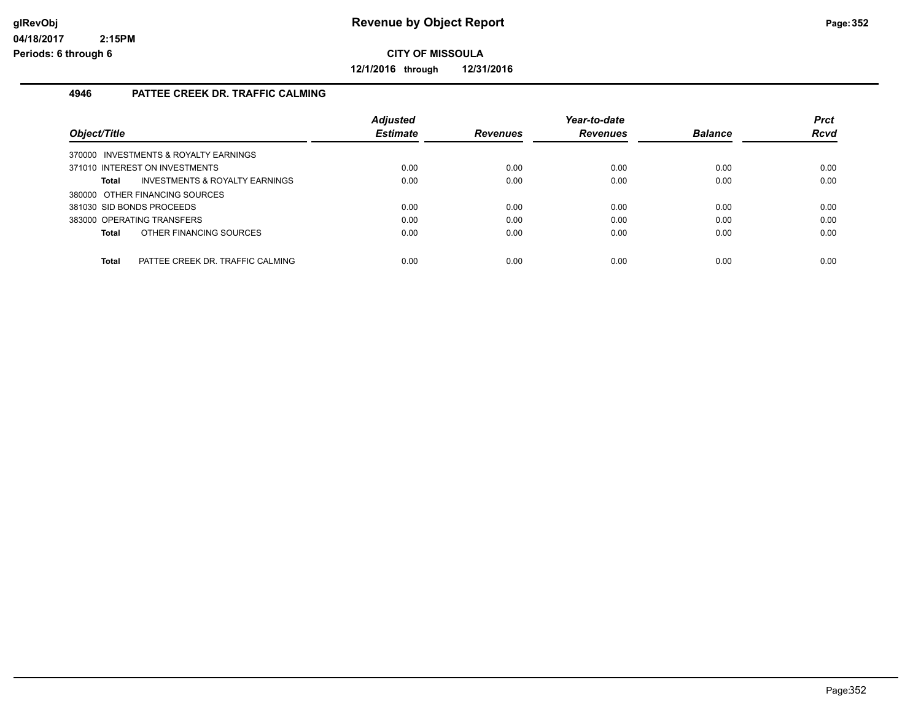**12/1/2016 through 12/31/2016**

#### **4946 PATTEE CREEK DR. TRAFFIC CALMING**

| Object/Title                                     | <b>Adjusted</b><br><b>Estimate</b> | <b>Revenues</b> | Year-to-date<br><b>Revenues</b> | <b>Balance</b> | <b>Prct</b><br><b>Rcvd</b> |
|--------------------------------------------------|------------------------------------|-----------------|---------------------------------|----------------|----------------------------|
| 370000 INVESTMENTS & ROYALTY EARNINGS            |                                    |                 |                                 |                |                            |
| 371010 INTEREST ON INVESTMENTS                   | 0.00                               | 0.00            | 0.00                            | 0.00           | 0.00                       |
| INVESTMENTS & ROYALTY EARNINGS<br><b>Total</b>   | 0.00                               | 0.00            | 0.00                            | 0.00           | 0.00                       |
| 380000 OTHER FINANCING SOURCES                   |                                    |                 |                                 |                |                            |
| 381030 SID BONDS PROCEEDS                        | 0.00                               | 0.00            | 0.00                            | 0.00           | 0.00                       |
| 383000 OPERATING TRANSFERS                       | 0.00                               | 0.00            | 0.00                            | 0.00           | 0.00                       |
| OTHER FINANCING SOURCES<br><b>Total</b>          | 0.00                               | 0.00            | 0.00                            | 0.00           | 0.00                       |
|                                                  |                                    |                 |                                 |                |                            |
| <b>Total</b><br>PATTEE CREEK DR. TRAFFIC CALMING | 0.00                               | 0.00            | 0.00                            | 0.00           | 0.00                       |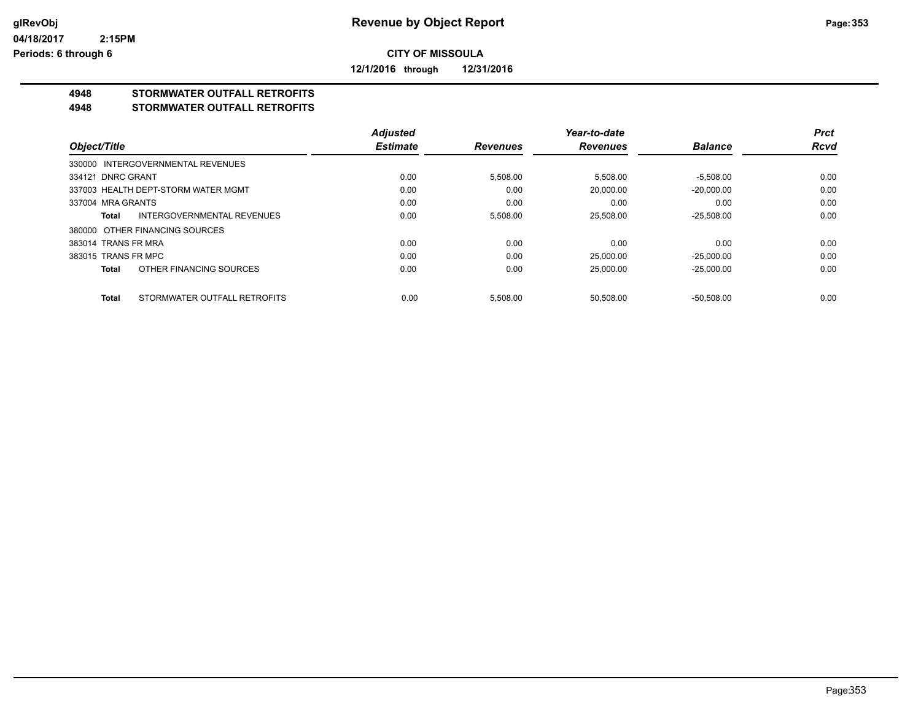**12/1/2016 through 12/31/2016**

#### **4948 STORMWATER OUTFALL RETROFITS 4948 STORMWATER OUTFALL RETROFITS**

|                                              | <b>Adjusted</b><br><b>Estimate</b> | <b>Revenues</b> | Year-to-date<br><b>Revenues</b> | <b>Balance</b> | <b>Prct</b><br><b>Rcvd</b> |
|----------------------------------------------|------------------------------------|-----------------|---------------------------------|----------------|----------------------------|
| Object/Title                                 |                                    |                 |                                 |                |                            |
| 330000 INTERGOVERNMENTAL REVENUES            |                                    |                 |                                 |                |                            |
| 334121 DNRC GRANT                            | 0.00                               | 5,508.00        | 5.508.00                        | $-5,508.00$    | 0.00                       |
| 337003 HEALTH DEPT-STORM WATER MGMT          | 0.00                               | 0.00            | 20,000.00                       | $-20,000.00$   | 0.00                       |
| 337004 MRA GRANTS                            | 0.00                               | 0.00            | 0.00                            | 0.00           | 0.00                       |
| INTERGOVERNMENTAL REVENUES<br>Total          | 0.00                               | 5.508.00        | 25.508.00                       | $-25.508.00$   | 0.00                       |
| 380000 OTHER FINANCING SOURCES               |                                    |                 |                                 |                |                            |
| 383014 TRANS FR MRA                          | 0.00                               | 0.00            | 0.00                            | 0.00           | 0.00                       |
| 383015 TRANS FR MPC                          | 0.00                               | 0.00            | 25.000.00                       | $-25.000.00$   | 0.00                       |
| OTHER FINANCING SOURCES<br>Total             | 0.00                               | 0.00            | 25.000.00                       | $-25.000.00$   | 0.00                       |
| STORMWATER OUTFALL RETROFITS<br><b>Total</b> | 0.00                               | 5.508.00        | 50.508.00                       | $-50.508.00$   | 0.00                       |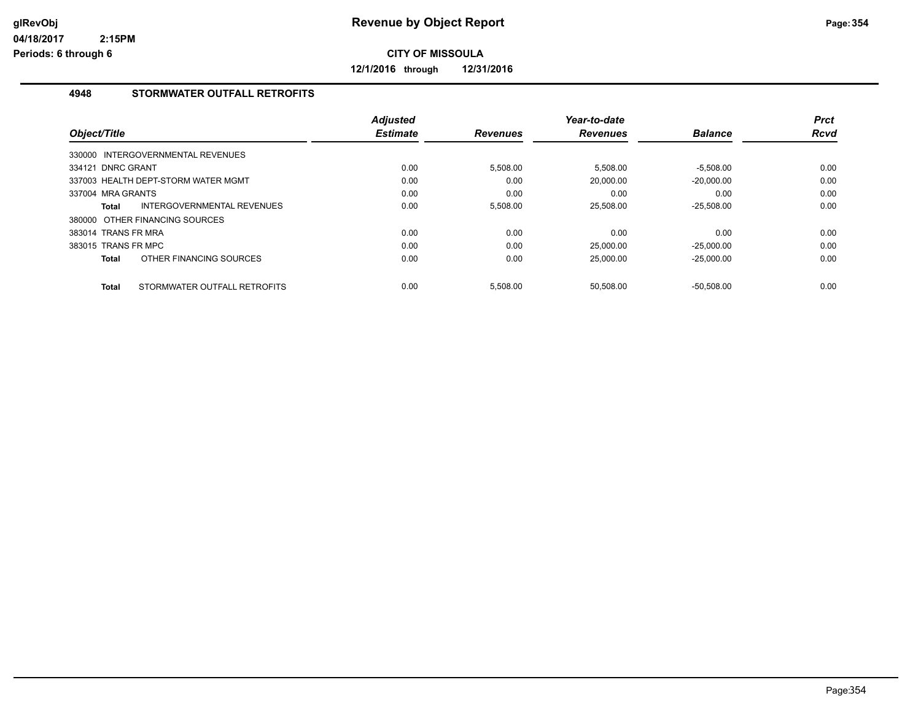**12/1/2016 through 12/31/2016**

#### **4948 STORMWATER OUTFALL RETROFITS**

| Object/Title        |                                     | <b>Adjusted</b><br><b>Estimate</b> | <b>Revenues</b> | Year-to-date<br><b>Revenues</b> | <b>Balance</b> | <b>Prct</b><br>Rcvd |
|---------------------|-------------------------------------|------------------------------------|-----------------|---------------------------------|----------------|---------------------|
| 330000              | INTERGOVERNMENTAL REVENUES          |                                    |                 |                                 |                |                     |
| 334121 DNRC GRANT   |                                     | 0.00                               | 5,508.00        | 5,508.00                        | $-5,508.00$    | 0.00                |
|                     | 337003 HEALTH DEPT-STORM WATER MGMT | 0.00                               | 0.00            | 20.000.00                       | $-20.000.00$   | 0.00                |
| 337004 MRA GRANTS   |                                     | 0.00                               | 0.00            | 0.00                            | 0.00           | 0.00                |
| Total               | INTERGOVERNMENTAL REVENUES          | 0.00                               | 5,508.00        | 25,508.00                       | $-25,508.00$   | 0.00                |
|                     | 380000 OTHER FINANCING SOURCES      |                                    |                 |                                 |                |                     |
| 383014 TRANS FR MRA |                                     | 0.00                               | 0.00            | 0.00                            | 0.00           | 0.00                |
| 383015 TRANS FR MPC |                                     | 0.00                               | 0.00            | 25,000.00                       | $-25.000.00$   | 0.00                |
| <b>Total</b>        | OTHER FINANCING SOURCES             | 0.00                               | 0.00            | 25.000.00                       | $-25.000.00$   | 0.00                |
| <b>Total</b>        | STORMWATER OUTFALL RETROFITS        | 0.00                               | 5.508.00        | 50.508.00                       | $-50.508.00$   | 0.00                |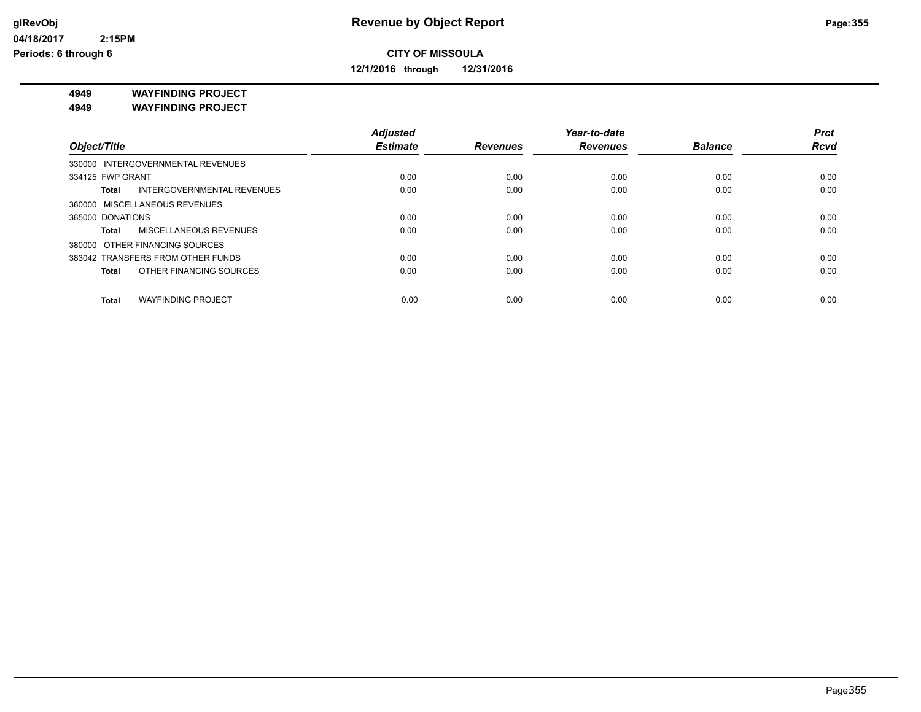**12/1/2016 through 12/31/2016**

**4949 WAYFINDING PROJECT 4949 WAYFINDING PROJECT**

|                                            | <b>Adjusted</b> |                 | Year-to-date    |                | <b>Prct</b> |
|--------------------------------------------|-----------------|-----------------|-----------------|----------------|-------------|
| Object/Title                               | <b>Estimate</b> | <b>Revenues</b> | <b>Revenues</b> | <b>Balance</b> | <b>Rcvd</b> |
| 330000 INTERGOVERNMENTAL REVENUES          |                 |                 |                 |                |             |
| 334125 FWP GRANT                           | 0.00            | 0.00            | 0.00            | 0.00           | 0.00        |
| <b>INTERGOVERNMENTAL REVENUES</b><br>Total | 0.00            | 0.00            | 0.00            | 0.00           | 0.00        |
| 360000 MISCELLANEOUS REVENUES              |                 |                 |                 |                |             |
| 365000 DONATIONS                           | 0.00            | 0.00            | 0.00            | 0.00           | 0.00        |
| <b>MISCELLANEOUS REVENUES</b><br>Total     | 0.00            | 0.00            | 0.00            | 0.00           | 0.00        |
| 380000 OTHER FINANCING SOURCES             |                 |                 |                 |                |             |
| 383042 TRANSFERS FROM OTHER FUNDS          | 0.00            | 0.00            | 0.00            | 0.00           | 0.00        |
| OTHER FINANCING SOURCES<br>Total           | 0.00            | 0.00            | 0.00            | 0.00           | 0.00        |
|                                            |                 |                 |                 |                |             |
| <b>WAYFINDING PROJECT</b><br><b>Total</b>  | 0.00            | 0.00            | 0.00            | 0.00           | 0.00        |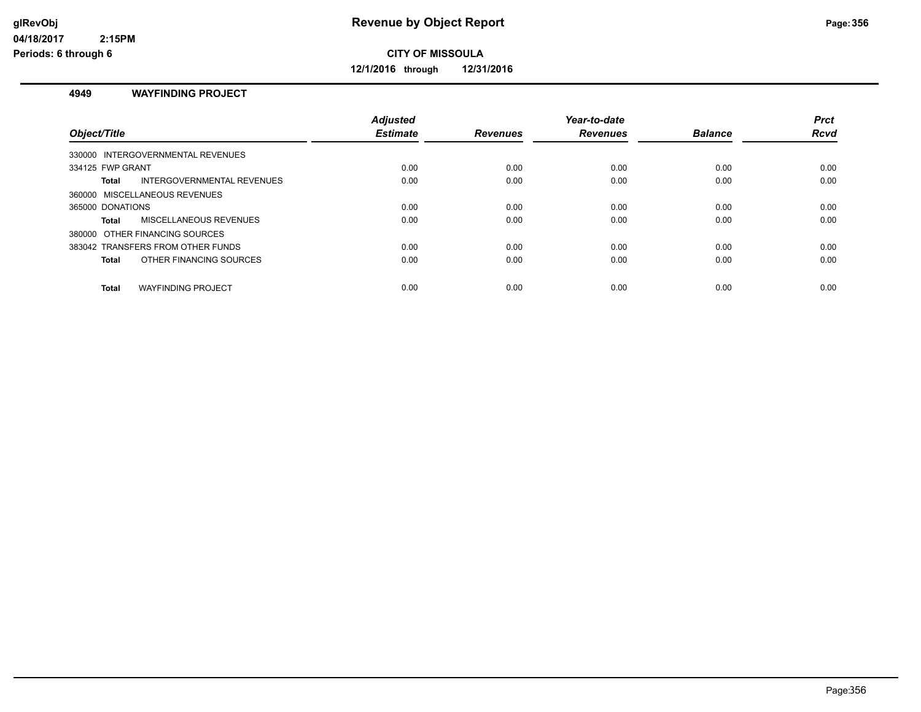**12/1/2016 through 12/31/2016**

#### **4949 WAYFINDING PROJECT**

| Object/Title                              | Adjusted<br><b>Estimate</b> | <b>Revenues</b> | Year-to-date<br><b>Revenues</b> | <b>Balance</b> | <b>Prct</b><br><b>Rcvd</b> |
|-------------------------------------------|-----------------------------|-----------------|---------------------------------|----------------|----------------------------|
| 330000 INTERGOVERNMENTAL REVENUES         |                             |                 |                                 |                |                            |
| 334125 FWP GRANT                          | 0.00                        | 0.00            | 0.00                            | 0.00           | 0.00                       |
| INTERGOVERNMENTAL REVENUES<br>Total       | 0.00                        | 0.00            | 0.00                            | 0.00           | 0.00                       |
| 360000 MISCELLANEOUS REVENUES             |                             |                 |                                 |                |                            |
| 365000 DONATIONS                          | 0.00                        | 0.00            | 0.00                            | 0.00           | 0.00                       |
| <b>MISCELLANEOUS REVENUES</b><br>Total    | 0.00                        | 0.00            | 0.00                            | 0.00           | 0.00                       |
| 380000 OTHER FINANCING SOURCES            |                             |                 |                                 |                |                            |
| 383042 TRANSFERS FROM OTHER FUNDS         | 0.00                        | 0.00            | 0.00                            | 0.00           | 0.00                       |
| OTHER FINANCING SOURCES<br>Total          | 0.00                        | 0.00            | 0.00                            | 0.00           | 0.00                       |
| <b>WAYFINDING PROJECT</b><br><b>Total</b> | 0.00                        | 0.00            | 0.00                            | 0.00           | 0.00                       |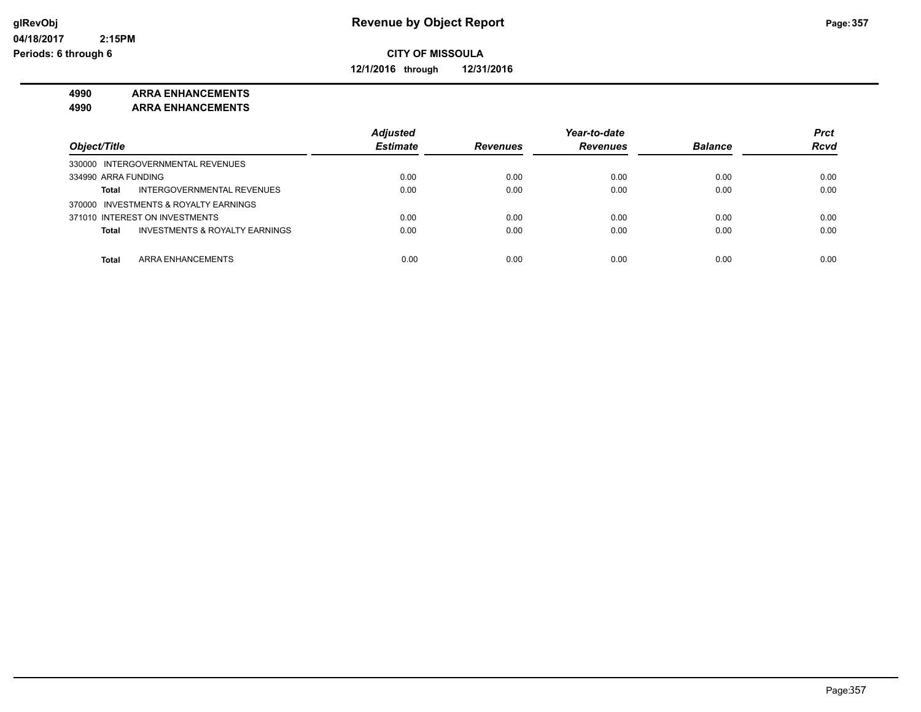**CITY OF MISSOULA 12/1/2016 through 12/31/2016**

**4990 ARRA ENHANCEMENTS**

**4990 ARRA ENHANCEMENTS**

|                                         | <b>Adjusted</b> |                 | Year-to-date    |                | <b>Prct</b> |
|-----------------------------------------|-----------------|-----------------|-----------------|----------------|-------------|
| Object/Title                            | <b>Estimate</b> | <b>Revenues</b> | <b>Revenues</b> | <b>Balance</b> | <b>Rcvd</b> |
| 330000 INTERGOVERNMENTAL REVENUES       |                 |                 |                 |                |             |
| 334990 ARRA FUNDING                     | 0.00            | 0.00            | 0.00            | 0.00           | 0.00        |
| INTERGOVERNMENTAL REVENUES<br>Total     | 0.00            | 0.00            | 0.00            | 0.00           | 0.00        |
| 370000 INVESTMENTS & ROYALTY EARNINGS   |                 |                 |                 |                |             |
| 371010 INTEREST ON INVESTMENTS          | 0.00            | 0.00            | 0.00            | 0.00           | 0.00        |
| INVESTMENTS & ROYALTY EARNINGS<br>Total | 0.00            | 0.00            | 0.00            | 0.00           | 0.00        |
|                                         |                 |                 |                 |                |             |
| <b>Total</b><br>ARRA ENHANCEMENTS       | 0.00            | 0.00            | 0.00            | 0.00           | 0.00        |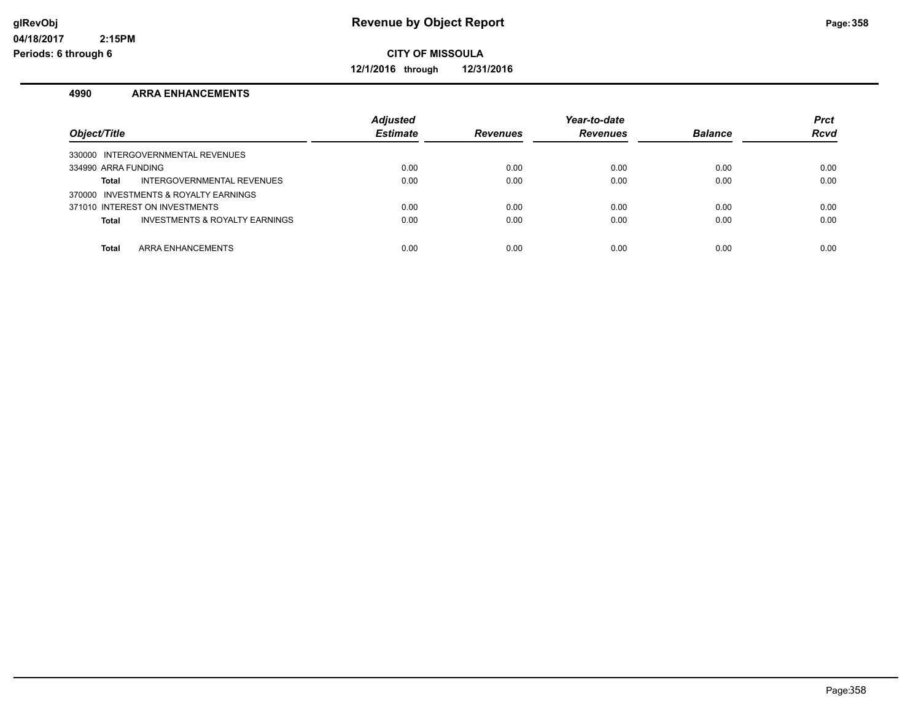**12/1/2016 through 12/31/2016**

#### **4990 ARRA ENHANCEMENTS**

|                                                           | <b>Adjusted</b> |                 | Year-to-date    |                | <b>Prct</b> |
|-----------------------------------------------------------|-----------------|-----------------|-----------------|----------------|-------------|
| Object/Title                                              | <b>Estimate</b> | <b>Revenues</b> | <b>Revenues</b> | <b>Balance</b> | <b>Rcvd</b> |
| 330000 INTERGOVERNMENTAL REVENUES                         |                 |                 |                 |                |             |
| 334990 ARRA FUNDING                                       | 0.00            | 0.00            | 0.00            | 0.00           | 0.00        |
| INTERGOVERNMENTAL REVENUES<br>Total                       | 0.00            | 0.00            | 0.00            | 0.00           | 0.00        |
| 370000 INVESTMENTS & ROYALTY EARNINGS                     |                 |                 |                 |                |             |
| 371010 INTEREST ON INVESTMENTS                            | 0.00            | 0.00            | 0.00            | 0.00           | 0.00        |
| <b>INVESTMENTS &amp; ROYALTY EARNINGS</b><br><b>Total</b> | 0.00            | 0.00            | 0.00            | 0.00           | 0.00        |
| Total<br>ARRA ENHANCEMENTS                                | 0.00            | 0.00            | 0.00            | 0.00           | 0.00        |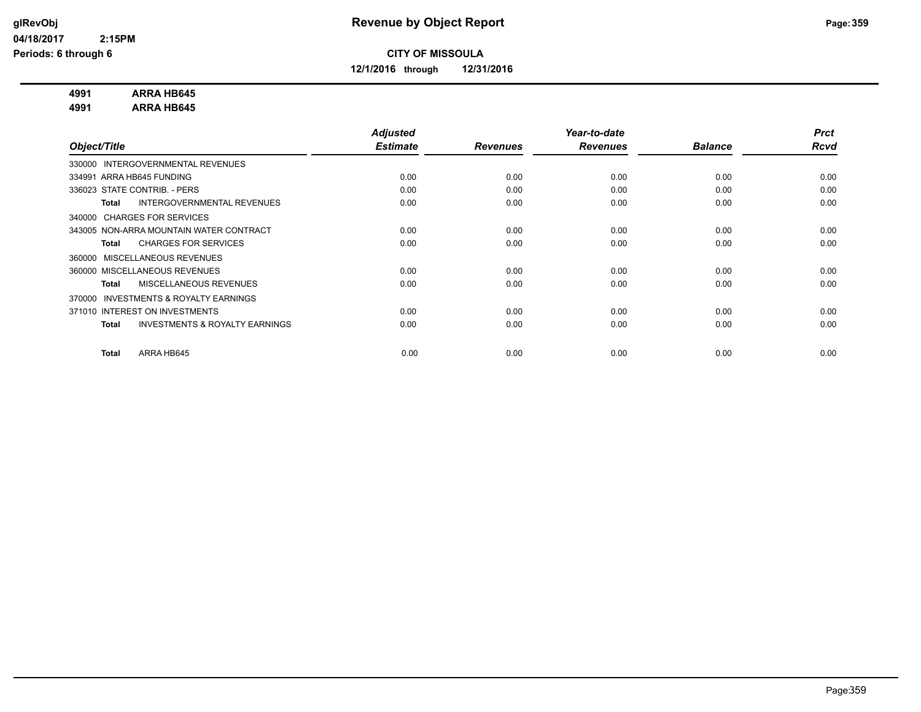**12/1/2016 through 12/31/2016**

## **4991 ARRA HB645**

**4991 ARRA HB645**

| Object/Title                                       | <b>Adjusted</b> |                 | Year-to-date    |                | <b>Prct</b> |
|----------------------------------------------------|-----------------|-----------------|-----------------|----------------|-------------|
|                                                    | <b>Estimate</b> | <b>Revenues</b> | <b>Revenues</b> | <b>Balance</b> | Rcvd        |
| 330000 INTERGOVERNMENTAL REVENUES                  |                 |                 |                 |                |             |
| 334991 ARRA HB645 FUNDING                          | 0.00            | 0.00            | 0.00            | 0.00           | 0.00        |
| 336023 STATE CONTRIB. - PERS                       | 0.00            | 0.00            | 0.00            | 0.00           | 0.00        |
| <b>INTERGOVERNMENTAL REVENUES</b><br>Total         | 0.00            | 0.00            | 0.00            | 0.00           | 0.00        |
| 340000 CHARGES FOR SERVICES                        |                 |                 |                 |                |             |
| 343005 NON-ARRA MOUNTAIN WATER CONTRACT            | 0.00            | 0.00            | 0.00            | 0.00           | 0.00        |
| <b>CHARGES FOR SERVICES</b><br>Total               | 0.00            | 0.00            | 0.00            | 0.00           | 0.00        |
| 360000 MISCELLANEOUS REVENUES                      |                 |                 |                 |                |             |
| 360000 MISCELLANEOUS REVENUES                      | 0.00            | 0.00            | 0.00            | 0.00           | 0.00        |
| MISCELLANEOUS REVENUES<br>Total                    | 0.00            | 0.00            | 0.00            | 0.00           | 0.00        |
| 370000 INVESTMENTS & ROYALTY EARNINGS              |                 |                 |                 |                |             |
| 371010 INTEREST ON INVESTMENTS                     | 0.00            | 0.00            | 0.00            | 0.00           | 0.00        |
| <b>INVESTMENTS &amp; ROYALTY EARNINGS</b><br>Total | 0.00            | 0.00            | 0.00            | 0.00           | 0.00        |
|                                                    |                 |                 |                 |                |             |
| ARRA HB645<br><b>Total</b>                         | 0.00            | 0.00            | 0.00            | 0.00           | 0.00        |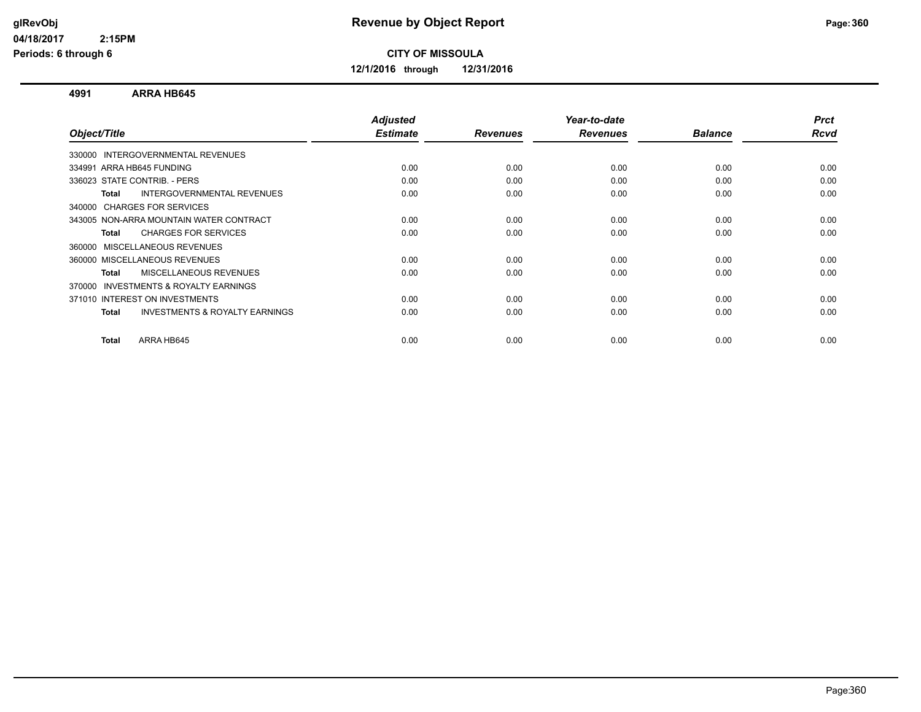**12/1/2016 through 12/31/2016**

#### **4991 ARRA HB645**

| Object/Title                                              | <b>Adjusted</b><br><b>Estimate</b> | <b>Revenues</b> | Year-to-date<br><b>Revenues</b> | <b>Balance</b> | <b>Prct</b><br><b>Rcvd</b> |
|-----------------------------------------------------------|------------------------------------|-----------------|---------------------------------|----------------|----------------------------|
|                                                           |                                    |                 |                                 |                |                            |
| 330000 INTERGOVERNMENTAL REVENUES                         |                                    |                 |                                 |                |                            |
| 334991 ARRA HB645 FUNDING                                 | 0.00                               | 0.00            | 0.00                            | 0.00           | 0.00                       |
| 336023 STATE CONTRIB. - PERS                              | 0.00                               | 0.00            | 0.00                            | 0.00           | 0.00                       |
| <b>INTERGOVERNMENTAL REVENUES</b><br>Total                | 0.00                               | 0.00            | 0.00                            | 0.00           | 0.00                       |
| 340000 CHARGES FOR SERVICES                               |                                    |                 |                                 |                |                            |
| 343005 NON-ARRA MOUNTAIN WATER CONTRACT                   | 0.00                               | 0.00            | 0.00                            | 0.00           | 0.00                       |
| <b>CHARGES FOR SERVICES</b><br>Total                      | 0.00                               | 0.00            | 0.00                            | 0.00           | 0.00                       |
| 360000 MISCELLANEOUS REVENUES                             |                                    |                 |                                 |                |                            |
| 360000 MISCELLANEOUS REVENUES                             | 0.00                               | 0.00            | 0.00                            | 0.00           | 0.00                       |
| MISCELLANEOUS REVENUES<br><b>Total</b>                    | 0.00                               | 0.00            | 0.00                            | 0.00           | 0.00                       |
| <b>INVESTMENTS &amp; ROYALTY EARNINGS</b><br>370000       |                                    |                 |                                 |                |                            |
| 371010 INTEREST ON INVESTMENTS                            | 0.00                               | 0.00            | 0.00                            | 0.00           | 0.00                       |
| <b>INVESTMENTS &amp; ROYALTY EARNINGS</b><br><b>Total</b> | 0.00                               | 0.00            | 0.00                            | 0.00           | 0.00                       |
|                                                           |                                    |                 |                                 |                |                            |
| ARRA HB645<br><b>Total</b>                                | 0.00                               | 0.00            | 0.00                            | 0.00           | 0.00                       |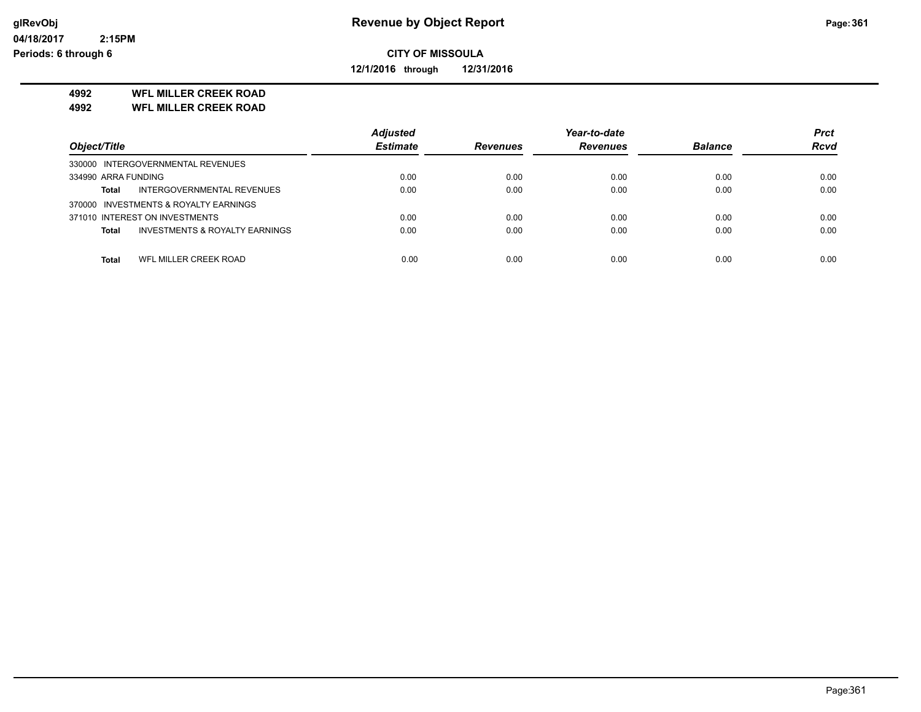**12/1/2016 through 12/31/2016**

**4992 WFL MILLER CREEK ROAD**

**4992 WFL MILLER CREEK ROAD**

|                                                           | <b>Adjusted</b> |                 | Year-to-date    |                | <b>Prct</b> |
|-----------------------------------------------------------|-----------------|-----------------|-----------------|----------------|-------------|
| Object/Title                                              | <b>Estimate</b> | <b>Revenues</b> | <b>Revenues</b> | <b>Balance</b> | <b>Rcvd</b> |
| 330000 INTERGOVERNMENTAL REVENUES                         |                 |                 |                 |                |             |
| 334990 ARRA FUNDING                                       | 0.00            | 0.00            | 0.00            | 0.00           | 0.00        |
| INTERGOVERNMENTAL REVENUES<br>Total                       | 0.00            | 0.00            | 0.00            | 0.00           | 0.00        |
| 370000 INVESTMENTS & ROYALTY EARNINGS                     |                 |                 |                 |                |             |
| 371010 INTEREST ON INVESTMENTS                            | 0.00            | 0.00            | 0.00            | 0.00           | 0.00        |
| <b>INVESTMENTS &amp; ROYALTY EARNINGS</b><br><b>Total</b> | 0.00            | 0.00            | 0.00            | 0.00           | 0.00        |
|                                                           |                 |                 |                 |                |             |
| <b>Total</b><br>WFL MILLER CREEK ROAD                     | 0.00            | 0.00            | 0.00            | 0.00           | 0.00        |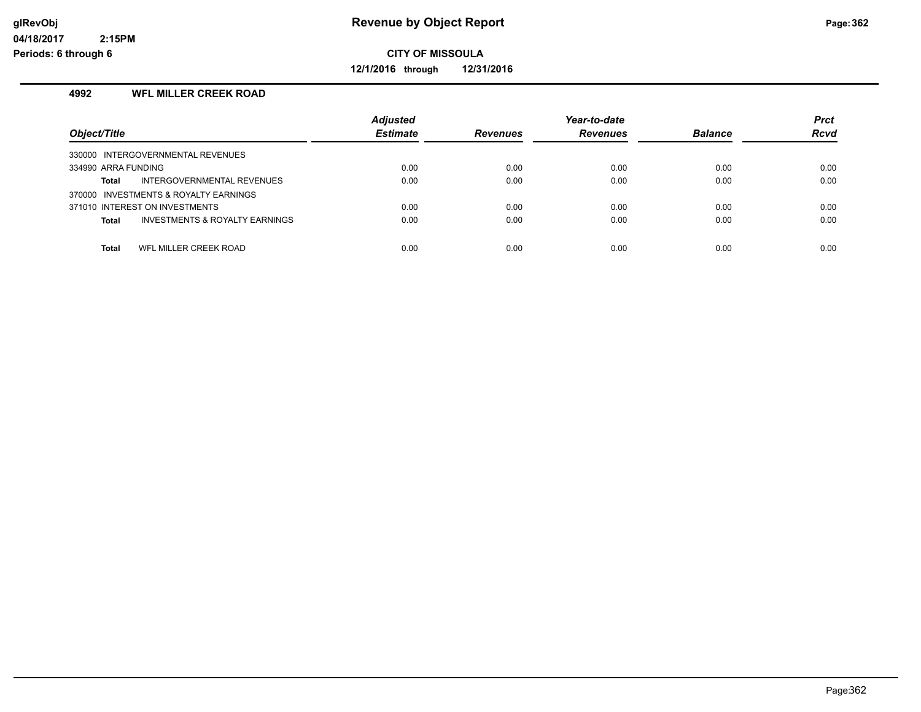**12/1/2016 through 12/31/2016**

#### **4992 WFL MILLER CREEK ROAD**

|                                                | <b>Adjusted</b> |                 | Year-to-date    |                | <b>Prct</b> |
|------------------------------------------------|-----------------|-----------------|-----------------|----------------|-------------|
| Object/Title                                   | <b>Estimate</b> | <b>Revenues</b> | <b>Revenues</b> | <b>Balance</b> | <b>Rcvd</b> |
| 330000 INTERGOVERNMENTAL REVENUES              |                 |                 |                 |                |             |
| 334990 ARRA FUNDING                            | 0.00            | 0.00            | 0.00            | 0.00           | 0.00        |
| INTERGOVERNMENTAL REVENUES<br>Total            | 0.00            | 0.00            | 0.00            | 0.00           | 0.00        |
| 370000 INVESTMENTS & ROYALTY EARNINGS          |                 |                 |                 |                |             |
| 371010 INTEREST ON INVESTMENTS                 | 0.00            | 0.00            | 0.00            | 0.00           | 0.00        |
| INVESTMENTS & ROYALTY EARNINGS<br><b>Total</b> | 0.00            | 0.00            | 0.00            | 0.00           | 0.00        |
| WFL MILLER CREEK ROAD<br>Total                 | 0.00            | 0.00            | 0.00            | 0.00           | 0.00        |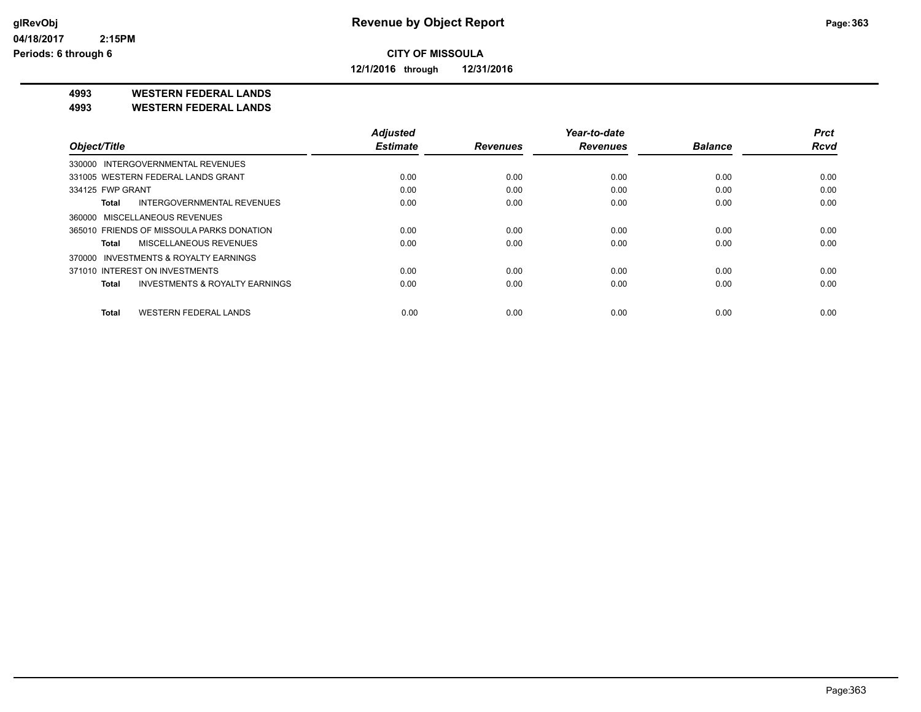**12/1/2016 through 12/31/2016**

**4993 WESTERN FEDERAL LANDS 4993 WESTERN FEDERAL LANDS**

|                                                    | <b>Adjusted</b> |                 | Year-to-date    |                | Prct        |
|----------------------------------------------------|-----------------|-----------------|-----------------|----------------|-------------|
| Object/Title                                       | <b>Estimate</b> | <b>Revenues</b> | <b>Revenues</b> | <b>Balance</b> | <b>Rcvd</b> |
| 330000 INTERGOVERNMENTAL REVENUES                  |                 |                 |                 |                |             |
| 331005 WESTERN FEDERAL LANDS GRANT                 | 0.00            | 0.00            | 0.00            | 0.00           | 0.00        |
| 334125 FWP GRANT                                   | 0.00            | 0.00            | 0.00            | 0.00           | 0.00        |
| <b>INTERGOVERNMENTAL REVENUES</b><br>Total         | 0.00            | 0.00            | 0.00            | 0.00           | 0.00        |
| 360000 MISCELLANEOUS REVENUES                      |                 |                 |                 |                |             |
| 365010 FRIENDS OF MISSOULA PARKS DONATION          | 0.00            | 0.00            | 0.00            | 0.00           | 0.00        |
| MISCELLANEOUS REVENUES<br>Total                    | 0.00            | 0.00            | 0.00            | 0.00           | 0.00        |
| 370000 INVESTMENTS & ROYALTY EARNINGS              |                 |                 |                 |                |             |
| 371010 INTEREST ON INVESTMENTS                     | 0.00            | 0.00            | 0.00            | 0.00           | 0.00        |
| <b>INVESTMENTS &amp; ROYALTY EARNINGS</b><br>Total | 0.00            | 0.00            | 0.00            | 0.00           | 0.00        |
| <b>WESTERN FEDERAL LANDS</b><br><b>Total</b>       | 0.00            | 0.00            | 0.00            | 0.00           | 0.00        |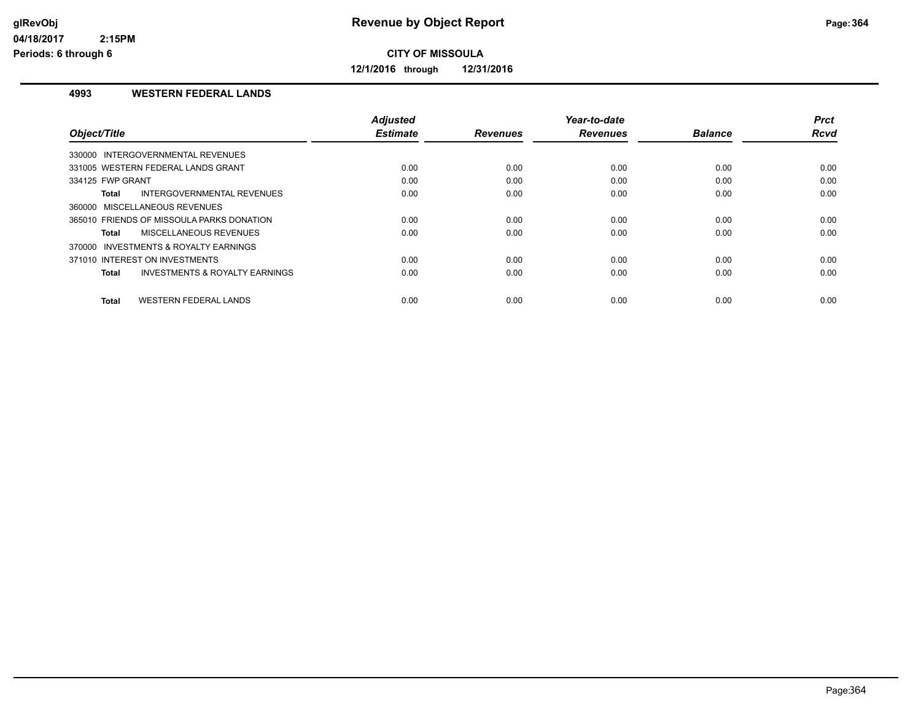**12/1/2016 through 12/31/2016**

#### **4993 WESTERN FEDERAL LANDS**

|                                                    | <b>Adjusted</b> |                 | Year-to-date    |                | <b>Prct</b> |
|----------------------------------------------------|-----------------|-----------------|-----------------|----------------|-------------|
| Object/Title                                       | <b>Estimate</b> | <b>Revenues</b> | <b>Revenues</b> | <b>Balance</b> | <b>Rcvd</b> |
| 330000 INTERGOVERNMENTAL REVENUES                  |                 |                 |                 |                |             |
| 331005 WESTERN FEDERAL LANDS GRANT                 | 0.00            | 0.00            | 0.00            | 0.00           | 0.00        |
| 334125 FWP GRANT                                   | 0.00            | 0.00            | 0.00            | 0.00           | 0.00        |
| INTERGOVERNMENTAL REVENUES<br>Total                | 0.00            | 0.00            | 0.00            | 0.00           | 0.00        |
| 360000 MISCELLANEOUS REVENUES                      |                 |                 |                 |                |             |
| 365010 FRIENDS OF MISSOULA PARKS DONATION          | 0.00            | 0.00            | 0.00            | 0.00           | 0.00        |
| MISCELLANEOUS REVENUES<br>Total                    | 0.00            | 0.00            | 0.00            | 0.00           | 0.00        |
| 370000 INVESTMENTS & ROYALTY EARNINGS              |                 |                 |                 |                |             |
| 371010 INTEREST ON INVESTMENTS                     | 0.00            | 0.00            | 0.00            | 0.00           | 0.00        |
| <b>INVESTMENTS &amp; ROYALTY EARNINGS</b><br>Total | 0.00            | 0.00            | 0.00            | 0.00           | 0.00        |
| <b>Total</b><br><b>WESTERN FEDERAL LANDS</b>       | 0.00            | 0.00            | 0.00            | 0.00           | 0.00        |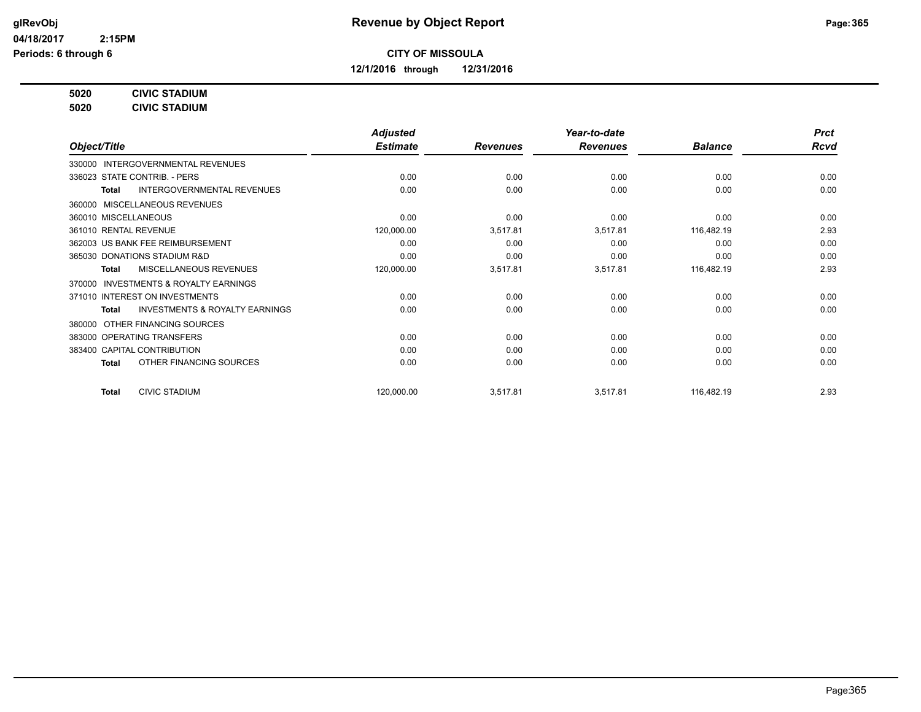**CITY OF MISSOULA 12/1/2016 through 12/31/2016**

**5020 CIVIC STADIUM**

|                                   |                                           | <b>Adjusted</b> |                 | Year-to-date    |                | <b>Prct</b> |
|-----------------------------------|-------------------------------------------|-----------------|-----------------|-----------------|----------------|-------------|
| Object/Title                      |                                           | <b>Estimate</b> | <b>Revenues</b> | <b>Revenues</b> | <b>Balance</b> | <b>Rcvd</b> |
| 330000                            | INTERGOVERNMENTAL REVENUES                |                 |                 |                 |                |             |
| 336023 STATE CONTRIB. - PERS      |                                           | 0.00            | 0.00            | 0.00            | 0.00           | 0.00        |
| <b>Total</b>                      | <b>INTERGOVERNMENTAL REVENUES</b>         | 0.00            | 0.00            | 0.00            | 0.00           | 0.00        |
| 360000 MISCELLANEOUS REVENUES     |                                           |                 |                 |                 |                |             |
| 360010 MISCELLANEOUS              |                                           | 0.00            | 0.00            | 0.00            | 0.00           | 0.00        |
| 361010 RENTAL REVENUE             |                                           | 120,000.00      | 3,517.81        | 3,517.81        | 116,482.19     | 2.93        |
| 362003 US BANK FEE REIMBURSEMENT  |                                           | 0.00            | 0.00            | 0.00            | 0.00           | 0.00        |
| 365030 DONATIONS STADIUM R&D      |                                           | 0.00            | 0.00            | 0.00            | 0.00           | 0.00        |
| <b>Total</b>                      | <b>MISCELLANEOUS REVENUES</b>             | 120,000.00      | 3,517.81        | 3,517.81        | 116,482.19     | 2.93        |
| 370000                            | <b>INVESTMENTS &amp; ROYALTY EARNINGS</b> |                 |                 |                 |                |             |
| 371010 INTEREST ON INVESTMENTS    |                                           | 0.00            | 0.00            | 0.00            | 0.00           | 0.00        |
| <b>Total</b>                      | <b>INVESTMENTS &amp; ROYALTY EARNINGS</b> | 0.00            | 0.00            | 0.00            | 0.00           | 0.00        |
| OTHER FINANCING SOURCES<br>380000 |                                           |                 |                 |                 |                |             |
| 383000 OPERATING TRANSFERS        |                                           | 0.00            | 0.00            | 0.00            | 0.00           | 0.00        |
| 383400 CAPITAL CONTRIBUTION       |                                           | 0.00            | 0.00            | 0.00            | 0.00           | 0.00        |
| <b>Total</b>                      | OTHER FINANCING SOURCES                   | 0.00            | 0.00            | 0.00            | 0.00           | 0.00        |
| <b>Total</b>                      | <b>CIVIC STADIUM</b>                      | 120,000.00      | 3,517.81        | 3,517.81        | 116,482.19     | 2.93        |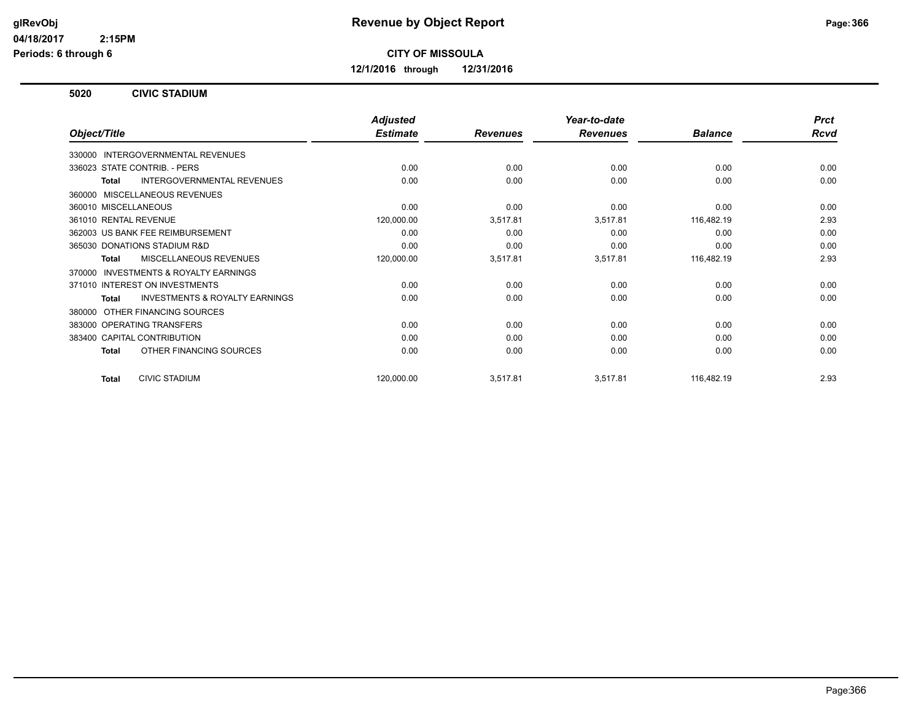**12/1/2016 through 12/31/2016**

#### **5020 CIVIC STADIUM**

|                                                           | <b>Adjusted</b> |                 | Year-to-date    |                | <b>Prct</b> |
|-----------------------------------------------------------|-----------------|-----------------|-----------------|----------------|-------------|
| Object/Title                                              | <b>Estimate</b> | <b>Revenues</b> | <b>Revenues</b> | <b>Balance</b> | <b>Rcvd</b> |
| INTERGOVERNMENTAL REVENUES<br>330000                      |                 |                 |                 |                |             |
| 336023 STATE CONTRIB. - PERS                              | 0.00            | 0.00            | 0.00            | 0.00           | 0.00        |
| <b>INTERGOVERNMENTAL REVENUES</b><br><b>Total</b>         | 0.00            | 0.00            | 0.00            | 0.00           | 0.00        |
| 360000 MISCELLANEOUS REVENUES                             |                 |                 |                 |                |             |
| 360010 MISCELLANEOUS                                      | 0.00            | 0.00            | 0.00            | 0.00           | 0.00        |
| 361010 RENTAL REVENUE                                     | 120,000.00      | 3,517.81        | 3,517.81        | 116,482.19     | 2.93        |
| 362003 US BANK FEE REIMBURSEMENT                          | 0.00            | 0.00            | 0.00            | 0.00           | 0.00        |
| 365030 DONATIONS STADIUM R&D                              | 0.00            | 0.00            | 0.00            | 0.00           | 0.00        |
| MISCELLANEOUS REVENUES<br>Total                           | 120,000.00      | 3,517.81        | 3,517.81        | 116,482.19     | 2.93        |
| <b>INVESTMENTS &amp; ROYALTY EARNINGS</b><br>370000       |                 |                 |                 |                |             |
| 371010 INTEREST ON INVESTMENTS                            | 0.00            | 0.00            | 0.00            | 0.00           | 0.00        |
| <b>INVESTMENTS &amp; ROYALTY EARNINGS</b><br><b>Total</b> | 0.00            | 0.00            | 0.00            | 0.00           | 0.00        |
| OTHER FINANCING SOURCES<br>380000                         |                 |                 |                 |                |             |
| 383000 OPERATING TRANSFERS                                | 0.00            | 0.00            | 0.00            | 0.00           | 0.00        |
| 383400 CAPITAL CONTRIBUTION                               | 0.00            | 0.00            | 0.00            | 0.00           | 0.00        |
| OTHER FINANCING SOURCES<br><b>Total</b>                   | 0.00            | 0.00            | 0.00            | 0.00           | 0.00        |
| <b>CIVIC STADIUM</b><br><b>Total</b>                      | 120,000.00      | 3,517.81        | 3,517.81        | 116,482.19     | 2.93        |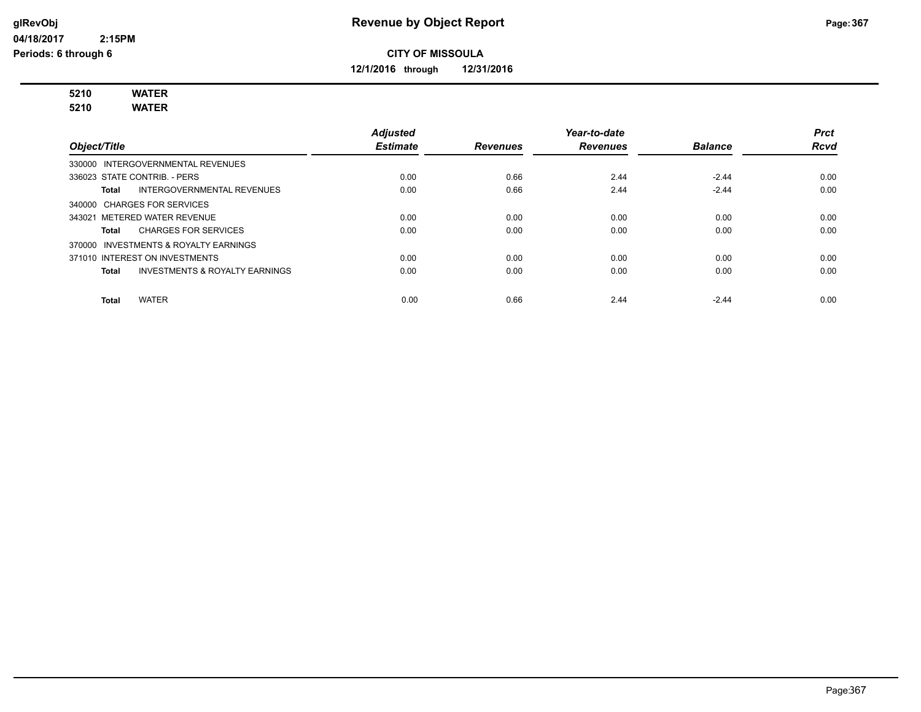## **CITY OF MISSOULA 12/1/2016 through 12/31/2016**

**5210 WATER**

**5210 WATER**

|                                                    | <b>Adjusted</b> |                 | Year-to-date    |                | <b>Prct</b> |
|----------------------------------------------------|-----------------|-----------------|-----------------|----------------|-------------|
| Object/Title                                       | <b>Estimate</b> | <b>Revenues</b> | <b>Revenues</b> | <b>Balance</b> | <b>Rcvd</b> |
| 330000 INTERGOVERNMENTAL REVENUES                  |                 |                 |                 |                |             |
| 336023 STATE CONTRIB. - PERS                       | 0.00            | 0.66            | 2.44            | $-2.44$        | 0.00        |
| <b>INTERGOVERNMENTAL REVENUES</b><br>Total         | 0.00            | 0.66            | 2.44            | $-2.44$        | 0.00        |
| 340000 CHARGES FOR SERVICES                        |                 |                 |                 |                |             |
| METERED WATER REVENUE<br>343021                    | 0.00            | 0.00            | 0.00            | 0.00           | 0.00        |
| <b>CHARGES FOR SERVICES</b><br>Total               | 0.00            | 0.00            | 0.00            | 0.00           | 0.00        |
| 370000 INVESTMENTS & ROYALTY EARNINGS              |                 |                 |                 |                |             |
| 371010 INTEREST ON INVESTMENTS                     | 0.00            | 0.00            | 0.00            | 0.00           | 0.00        |
| <b>INVESTMENTS &amp; ROYALTY EARNINGS</b><br>Total | 0.00            | 0.00            | 0.00            | 0.00           | 0.00        |
|                                                    |                 |                 |                 |                |             |
| <b>WATER</b><br><b>Total</b>                       | 0.00            | 0.66            | 2.44            | $-2.44$        | 0.00        |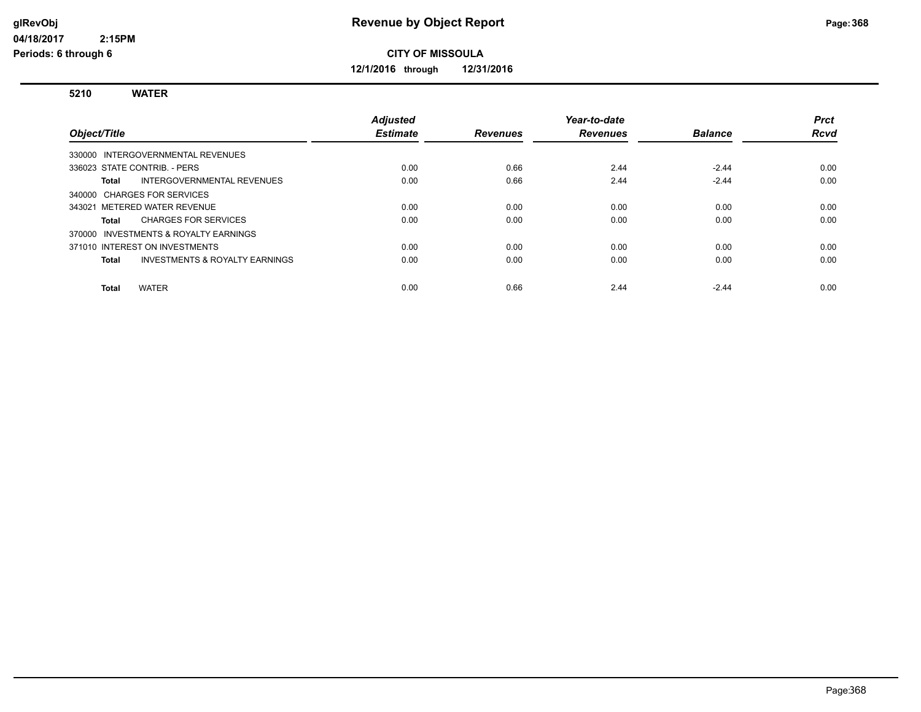**12/1/2016 through 12/31/2016**

#### **5210 WATER**

| Object/Title                               | <b>Adjusted</b><br><b>Estimate</b> | <b>Revenues</b> | Year-to-date<br><b>Revenues</b> | <b>Balance</b> | <b>Prct</b><br><b>Rcvd</b> |
|--------------------------------------------|------------------------------------|-----------------|---------------------------------|----------------|----------------------------|
|                                            |                                    |                 |                                 |                |                            |
| 330000 INTERGOVERNMENTAL REVENUES          |                                    |                 |                                 |                |                            |
| 336023 STATE CONTRIB. - PERS               | 0.00                               | 0.66            | 2.44                            | $-2.44$        | 0.00                       |
| <b>INTERGOVERNMENTAL REVENUES</b><br>Total | 0.00                               | 0.66            | 2.44                            | $-2.44$        | 0.00                       |
| 340000 CHARGES FOR SERVICES                |                                    |                 |                                 |                |                            |
| 343021 METERED WATER REVENUE               | 0.00                               | 0.00            | 0.00                            | 0.00           | 0.00                       |
| <b>CHARGES FOR SERVICES</b><br>Total       | 0.00                               | 0.00            | 0.00                            | 0.00           | 0.00                       |
| 370000 INVESTMENTS & ROYALTY EARNINGS      |                                    |                 |                                 |                |                            |
| 371010 INTEREST ON INVESTMENTS             | 0.00                               | 0.00            | 0.00                            | 0.00           | 0.00                       |
| INVESTMENTS & ROYALTY EARNINGS<br>Total    | 0.00                               | 0.00            | 0.00                            | 0.00           | 0.00                       |
| WATER<br><b>Total</b>                      | 0.00                               | 0.66            | 2.44                            | $-2.44$        | 0.00                       |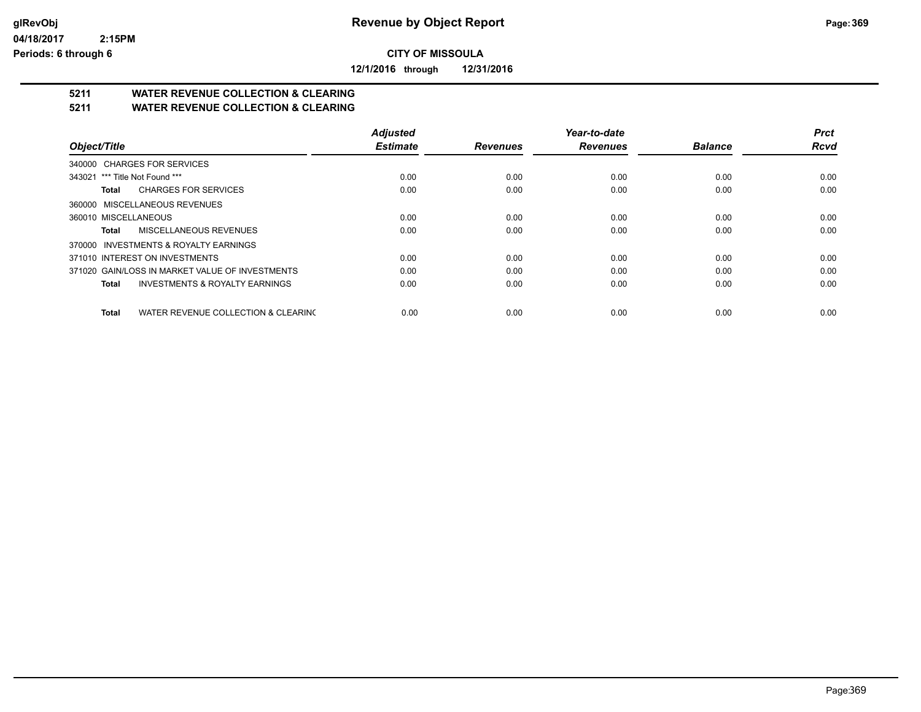**12/1/2016 through 12/31/2016**

### **5211 WATER REVENUE COLLECTION & CLEARING 5211 WATER REVENUE COLLECTION & CLEARING**

|                                                     | <b>Adjusted</b> |                 | Year-to-date    |                | <b>Prct</b> |
|-----------------------------------------------------|-----------------|-----------------|-----------------|----------------|-------------|
| Object/Title                                        | <b>Estimate</b> | <b>Revenues</b> | <b>Revenues</b> | <b>Balance</b> | <b>Rcvd</b> |
| 340000 CHARGES FOR SERVICES                         |                 |                 |                 |                |             |
| 343021 *** Title Not Found ***                      | 0.00            | 0.00            | 0.00            | 0.00           | 0.00        |
| <b>CHARGES FOR SERVICES</b><br>Total                | 0.00            | 0.00            | 0.00            | 0.00           | 0.00        |
| MISCELLANEOUS REVENUES<br>360000                    |                 |                 |                 |                |             |
| 360010 MISCELLANEOUS                                | 0.00            | 0.00            | 0.00            | 0.00           | 0.00        |
| MISCELLANEOUS REVENUES<br>Total                     | 0.00            | 0.00            | 0.00            | 0.00           | 0.00        |
| INVESTMENTS & ROYALTY EARNINGS<br>370000            |                 |                 |                 |                |             |
| 371010 INTEREST ON INVESTMENTS                      | 0.00            | 0.00            | 0.00            | 0.00           | 0.00        |
| 371020 GAIN/LOSS IN MARKET VALUE OF INVESTMENTS     | 0.00            | 0.00            | 0.00            | 0.00           | 0.00        |
| <b>INVESTMENTS &amp; ROYALTY EARNINGS</b><br>Total  | 0.00            | 0.00            | 0.00            | 0.00           | 0.00        |
| WATER REVENUE COLLECTION & CLEARING<br><b>Total</b> | 0.00            | 0.00            | 0.00            | 0.00           | 0.00        |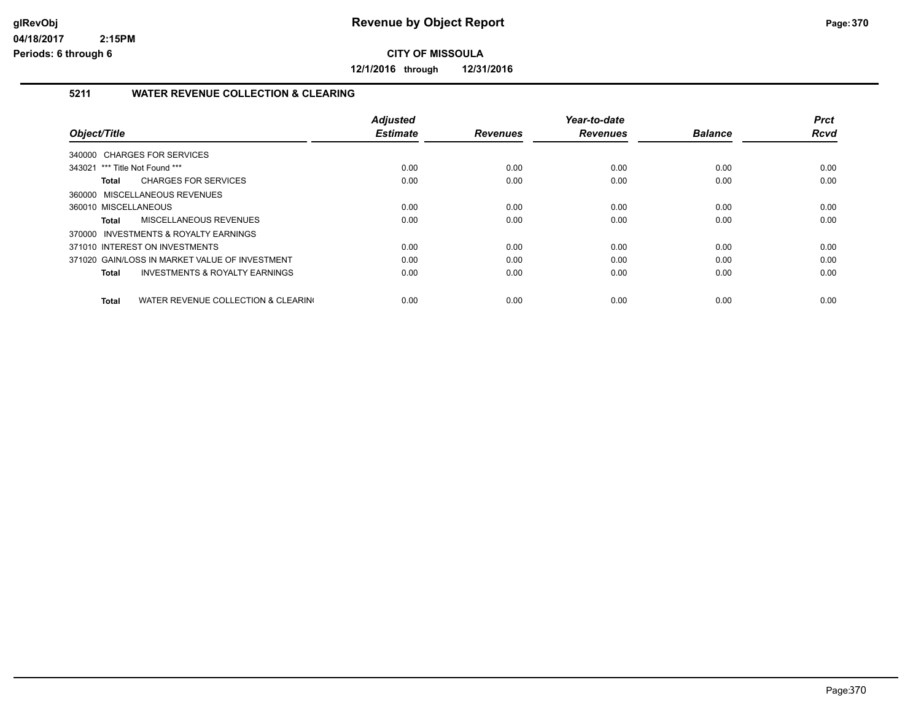**12/1/2016 through 12/31/2016**

#### **5211 WATER REVENUE COLLECTION & CLEARING**

|                                                     | <b>Adjusted</b> |                 | Year-to-date    |                | <b>Prct</b> |
|-----------------------------------------------------|-----------------|-----------------|-----------------|----------------|-------------|
| Object/Title                                        | <b>Estimate</b> | <b>Revenues</b> | <b>Revenues</b> | <b>Balance</b> | <b>Rcvd</b> |
| 340000 CHARGES FOR SERVICES                         |                 |                 |                 |                |             |
| 343021 *** Title Not Found ***                      | 0.00            | 0.00            | 0.00            | 0.00           | 0.00        |
| <b>CHARGES FOR SERVICES</b><br>Total                | 0.00            | 0.00            | 0.00            | 0.00           | 0.00        |
| 360000 MISCELLANEOUS REVENUES                       |                 |                 |                 |                |             |
| 360010 MISCELLANEOUS                                | 0.00            | 0.00            | 0.00            | 0.00           | 0.00        |
| <b>MISCELLANEOUS REVENUES</b><br>Total              | 0.00            | 0.00            | 0.00            | 0.00           | 0.00        |
| 370000 INVESTMENTS & ROYALTY EARNINGS               |                 |                 |                 |                |             |
| 371010 INTEREST ON INVESTMENTS                      | 0.00            | 0.00            | 0.00            | 0.00           | 0.00        |
| 371020 GAIN/LOSS IN MARKET VALUE OF INVESTMENT      | 0.00            | 0.00            | 0.00            | 0.00           | 0.00        |
| <b>INVESTMENTS &amp; ROYALTY EARNINGS</b><br>Total  | 0.00            | 0.00            | 0.00            | 0.00           | 0.00        |
| WATER REVENUE COLLECTION & CLEARING<br><b>Total</b> | 0.00            | 0.00            | 0.00            | 0.00           | 0.00        |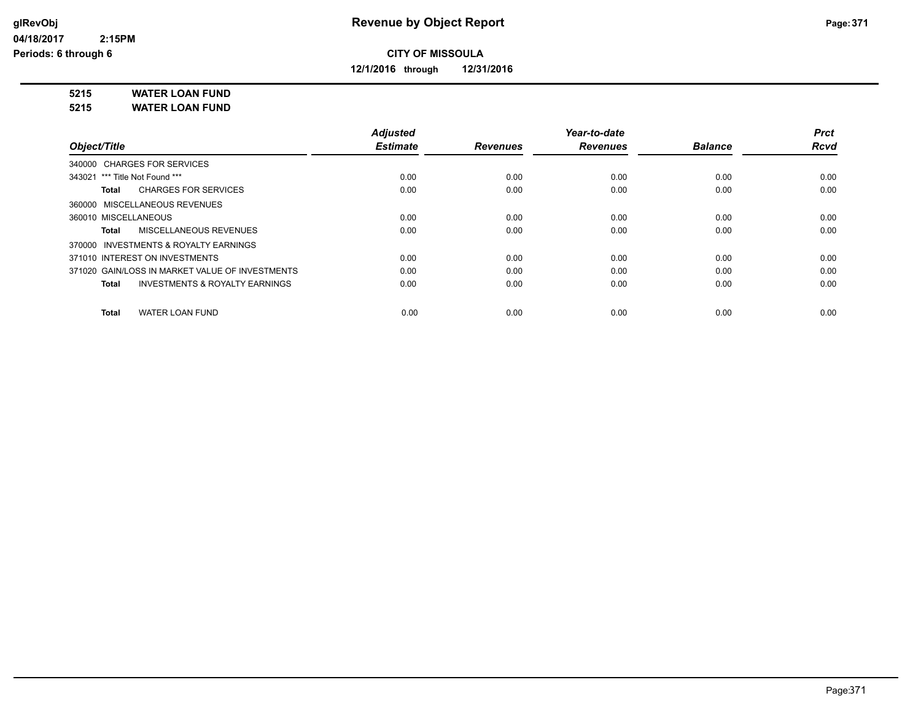**CITY OF MISSOULA 12/1/2016 through 12/31/2016**

**5215 WATER LOAN FUND**

**5215 WATER LOAN FUND**

|                                                    | <b>Adjusted</b> |                 | Year-to-date    |                | <b>Prct</b> |
|----------------------------------------------------|-----------------|-----------------|-----------------|----------------|-------------|
| Object/Title                                       | <b>Estimate</b> | <b>Revenues</b> | <b>Revenues</b> | <b>Balance</b> | Rcvd        |
| 340000 CHARGES FOR SERVICES                        |                 |                 |                 |                |             |
| 343021 *** Title Not Found ***                     | 0.00            | 0.00            | 0.00            | 0.00           | 0.00        |
| <b>CHARGES FOR SERVICES</b><br>Total               | 0.00            | 0.00            | 0.00            | 0.00           | 0.00        |
| 360000 MISCELLANEOUS REVENUES                      |                 |                 |                 |                |             |
| 360010 MISCELLANEOUS                               | 0.00            | 0.00            | 0.00            | 0.00           | 0.00        |
| <b>MISCELLANEOUS REVENUES</b><br>Total             | 0.00            | 0.00            | 0.00            | 0.00           | 0.00        |
| 370000 INVESTMENTS & ROYALTY EARNINGS              |                 |                 |                 |                |             |
| 371010 INTEREST ON INVESTMENTS                     | 0.00            | 0.00            | 0.00            | 0.00           | 0.00        |
| 371020 GAIN/LOSS IN MARKET VALUE OF INVESTMENTS    | 0.00            | 0.00            | 0.00            | 0.00           | 0.00        |
| <b>INVESTMENTS &amp; ROYALTY EARNINGS</b><br>Total | 0.00            | 0.00            | 0.00            | 0.00           | 0.00        |
| <b>WATER LOAN FUND</b><br><b>Total</b>             | 0.00            | 0.00            | 0.00            | 0.00           | 0.00        |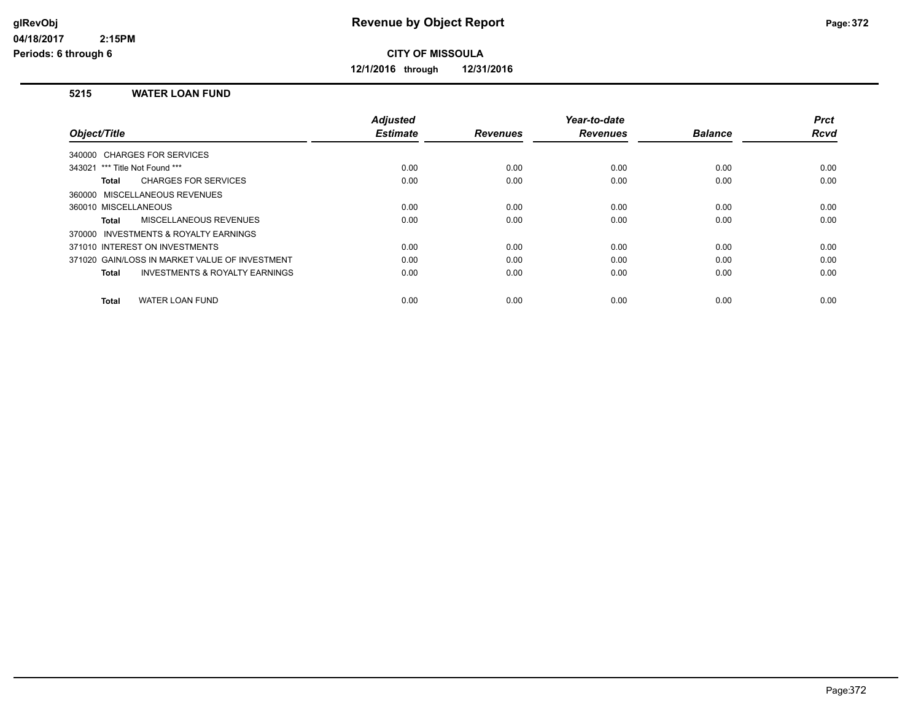**12/1/2016 through 12/31/2016**

#### **5215 WATER LOAN FUND**

|                                                | <b>Adjusted</b> |                 | Year-to-date    |                | <b>Prct</b> |
|------------------------------------------------|-----------------|-----------------|-----------------|----------------|-------------|
| Object/Title                                   | <b>Estimate</b> | <b>Revenues</b> | <b>Revenues</b> | <b>Balance</b> | <b>Rcvd</b> |
| <b>CHARGES FOR SERVICES</b><br>340000          |                 |                 |                 |                |             |
| 343021 *** Title Not Found ***                 | 0.00            | 0.00            | 0.00            | 0.00           | 0.00        |
| <b>CHARGES FOR SERVICES</b><br><b>Total</b>    | 0.00            | 0.00            | 0.00            | 0.00           | 0.00        |
| 360000 MISCELLANEOUS REVENUES                  |                 |                 |                 |                |             |
| 360010 MISCELLANEOUS                           | 0.00            | 0.00            | 0.00            | 0.00           | 0.00        |
| MISCELLANEOUS REVENUES<br>Total                | 0.00            | 0.00            | 0.00            | 0.00           | 0.00        |
| 370000 INVESTMENTS & ROYALTY EARNINGS          |                 |                 |                 |                |             |
| 371010 INTEREST ON INVESTMENTS                 | 0.00            | 0.00            | 0.00            | 0.00           | 0.00        |
| 371020 GAIN/LOSS IN MARKET VALUE OF INVESTMENT | 0.00            | 0.00            | 0.00            | 0.00           | 0.00        |
| INVESTMENTS & ROYALTY EARNINGS<br><b>Total</b> | 0.00            | 0.00            | 0.00            | 0.00           | 0.00        |
| <b>WATER LOAN FUND</b><br><b>Total</b>         | 0.00            | 0.00            | 0.00            | 0.00           | 0.00        |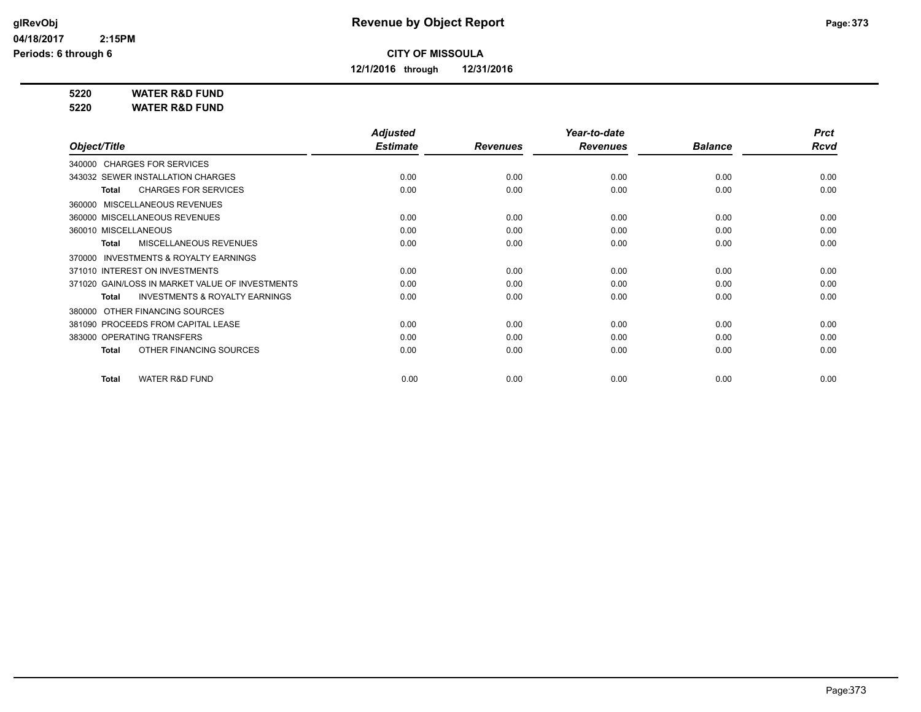**12/1/2016 through 12/31/2016**

**5220 WATER R&D FUND 5220 WATER R&D FUND**

|                                                           | <b>Adjusted</b> |                 | Year-to-date    | <b>Prct</b>    |      |
|-----------------------------------------------------------|-----------------|-----------------|-----------------|----------------|------|
| Object/Title                                              | <b>Estimate</b> | <b>Revenues</b> | <b>Revenues</b> | <b>Balance</b> | Rcvd |
| 340000 CHARGES FOR SERVICES                               |                 |                 |                 |                |      |
| 343032 SEWER INSTALLATION CHARGES                         | 0.00            | 0.00            | 0.00            | 0.00           | 0.00 |
| <b>CHARGES FOR SERVICES</b><br><b>Total</b>               | 0.00            | 0.00            | 0.00            | 0.00           | 0.00 |
| 360000 MISCELLANEOUS REVENUES                             |                 |                 |                 |                |      |
| 360000 MISCELLANEOUS REVENUES                             | 0.00            | 0.00            | 0.00            | 0.00           | 0.00 |
| 360010 MISCELLANEOUS                                      | 0.00            | 0.00            | 0.00            | 0.00           | 0.00 |
| <b>MISCELLANEOUS REVENUES</b><br><b>Total</b>             | 0.00            | 0.00            | 0.00            | 0.00           | 0.00 |
| 370000 INVESTMENTS & ROYALTY EARNINGS                     |                 |                 |                 |                |      |
| 371010 INTEREST ON INVESTMENTS                            | 0.00            | 0.00            | 0.00            | 0.00           | 0.00 |
| 371020 GAIN/LOSS IN MARKET VALUE OF INVESTMENTS           | 0.00            | 0.00            | 0.00            | 0.00           | 0.00 |
| <b>INVESTMENTS &amp; ROYALTY EARNINGS</b><br><b>Total</b> | 0.00            | 0.00            | 0.00            | 0.00           | 0.00 |
| 380000 OTHER FINANCING SOURCES                            |                 |                 |                 |                |      |
| 381090 PROCEEDS FROM CAPITAL LEASE                        | 0.00            | 0.00            | 0.00            | 0.00           | 0.00 |
| 383000 OPERATING TRANSFERS                                | 0.00            | 0.00            | 0.00            | 0.00           | 0.00 |
| OTHER FINANCING SOURCES<br><b>Total</b>                   | 0.00            | 0.00            | 0.00            | 0.00           | 0.00 |
| <b>WATER R&amp;D FUND</b><br><b>Total</b>                 | 0.00            | 0.00            | 0.00            | 0.00           | 0.00 |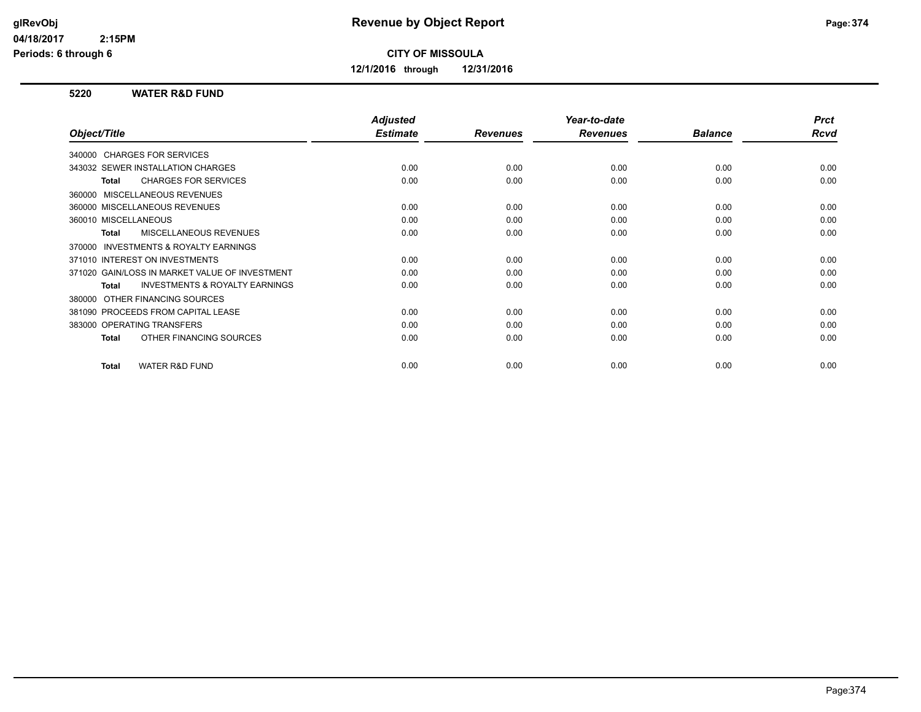**12/1/2016 through 12/31/2016**

#### **5220 WATER R&D FUND**

|                                                           | <b>Adjusted</b> |                 | Year-to-date    |                | <b>Prct</b> |
|-----------------------------------------------------------|-----------------|-----------------|-----------------|----------------|-------------|
| Object/Title                                              | <b>Estimate</b> | <b>Revenues</b> | <b>Revenues</b> | <b>Balance</b> | Rcvd        |
| 340000 CHARGES FOR SERVICES                               |                 |                 |                 |                |             |
| 343032 SEWER INSTALLATION CHARGES                         | 0.00            | 0.00            | 0.00            | 0.00           | 0.00        |
| <b>CHARGES FOR SERVICES</b><br>Total                      | 0.00            | 0.00            | 0.00            | 0.00           | 0.00        |
| 360000 MISCELLANEOUS REVENUES                             |                 |                 |                 |                |             |
| 360000 MISCELLANEOUS REVENUES                             | 0.00            | 0.00            | 0.00            | 0.00           | 0.00        |
| 360010 MISCELLANEOUS                                      | 0.00            | 0.00            | 0.00            | 0.00           | 0.00        |
| <b>MISCELLANEOUS REVENUES</b><br><b>Total</b>             | 0.00            | 0.00            | 0.00            | 0.00           | 0.00        |
| <b>INVESTMENTS &amp; ROYALTY EARNINGS</b><br>370000       |                 |                 |                 |                |             |
| 371010 INTEREST ON INVESTMENTS                            | 0.00            | 0.00            | 0.00            | 0.00           | 0.00        |
| 371020 GAIN/LOSS IN MARKET VALUE OF INVESTMENT            | 0.00            | 0.00            | 0.00            | 0.00           | 0.00        |
| <b>INVESTMENTS &amp; ROYALTY EARNINGS</b><br><b>Total</b> | 0.00            | 0.00            | 0.00            | 0.00           | 0.00        |
| 380000 OTHER FINANCING SOURCES                            |                 |                 |                 |                |             |
| 381090 PROCEEDS FROM CAPITAL LEASE                        | 0.00            | 0.00            | 0.00            | 0.00           | 0.00        |
| 383000 OPERATING TRANSFERS                                | 0.00            | 0.00            | 0.00            | 0.00           | 0.00        |
| OTHER FINANCING SOURCES<br><b>Total</b>                   | 0.00            | 0.00            | 0.00            | 0.00           | 0.00        |
|                                                           |                 |                 |                 |                |             |
| <b>WATER R&amp;D FUND</b><br><b>Total</b>                 | 0.00            | 0.00            | 0.00            | 0.00           | 0.00        |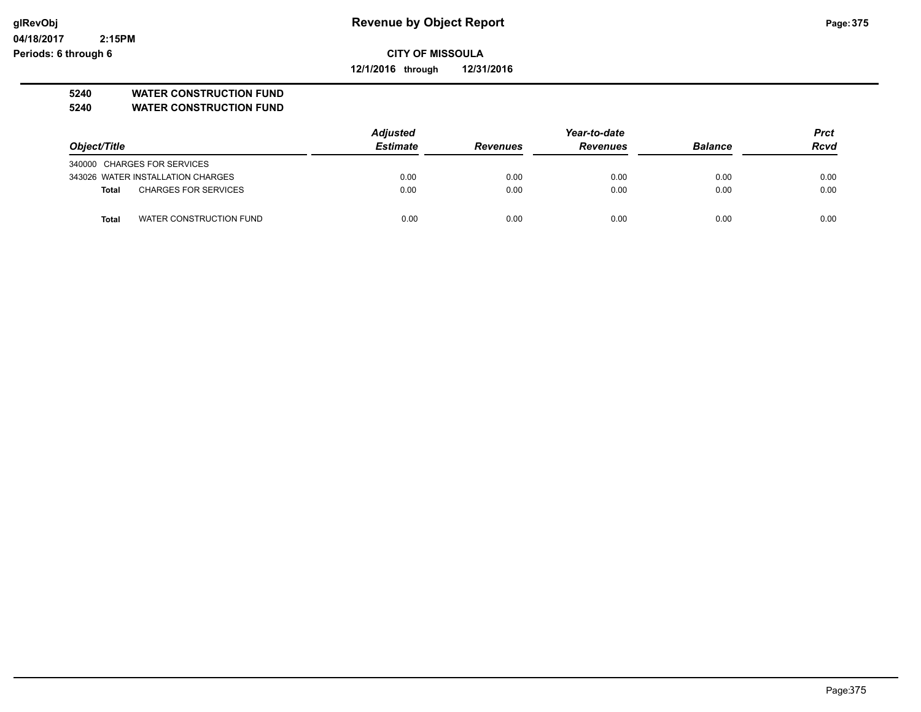### **CITY OF MISSOULA 12/1/2016 through 12/31/2016**

**5240 WATER CONSTRUCTION FUND**

# **5240 WATER CONSTRUCTION FUND**

|                                             | <b>Adjusted</b> |                 |                 | <b>Prct</b>    |             |
|---------------------------------------------|-----------------|-----------------|-----------------|----------------|-------------|
| Object/Title                                | <b>Estimate</b> | <b>Revenues</b> | <b>Revenues</b> | <b>Balance</b> | <b>Rcvd</b> |
| 340000 CHARGES FOR SERVICES                 |                 |                 |                 |                |             |
| 343026 WATER INSTALLATION CHARGES           | 0.00            | 0.00            | 0.00            | 0.00           | 0.00        |
| <b>CHARGES FOR SERVICES</b><br><b>Total</b> | 0.00            | 0.00            | 0.00            | 0.00           | 0.00        |
| Total<br>WATER CONSTRUCTION FUND            | 0.00            | 0.00            | 0.00            | 0.00           | 0.00        |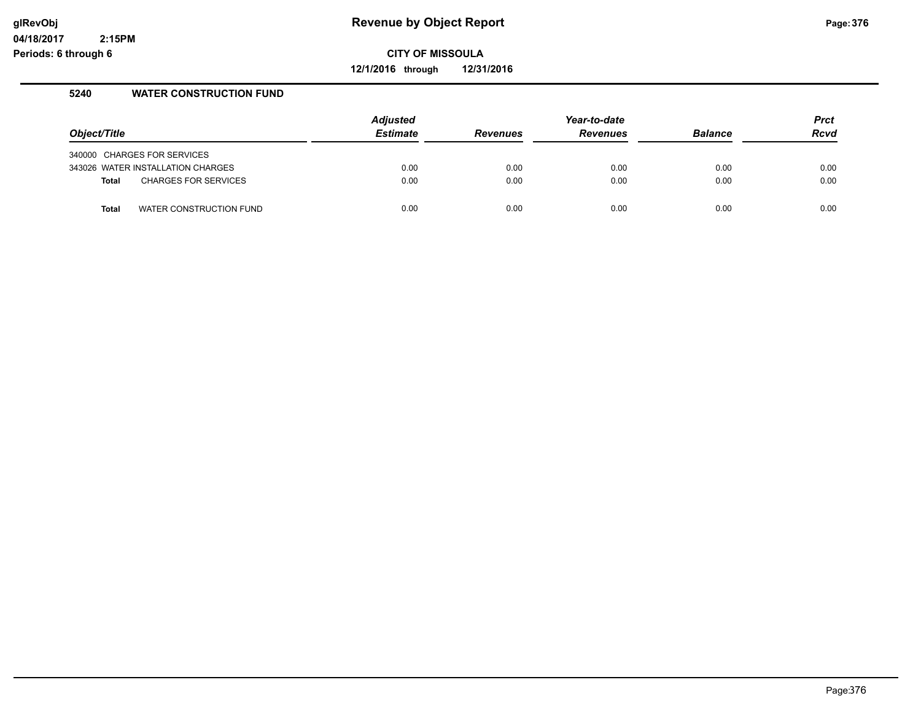**12/1/2016 through 12/31/2016**

#### **5240 WATER CONSTRUCTION FUND**

|              |                                   | <b>Adjusted</b> |                 | Year-to-date    |                | <b>Prct</b> |
|--------------|-----------------------------------|-----------------|-----------------|-----------------|----------------|-------------|
| Object/Title |                                   | <b>Estimate</b> | <b>Revenues</b> | <b>Revenues</b> | <b>Balance</b> | <b>Rcvd</b> |
|              | 340000 CHARGES FOR SERVICES       |                 |                 |                 |                |             |
|              | 343026 WATER INSTALLATION CHARGES | 0.00            | 0.00            | 0.00            | 0.00           | 0.00        |
| <b>Total</b> | <b>CHARGES FOR SERVICES</b>       | 0.00            | 0.00            | 0.00            | 0.00           | 0.00        |
| Total        | WATER CONSTRUCTION FUND           | 0.00            | 0.00            | 0.00            | 0.00           | 0.00        |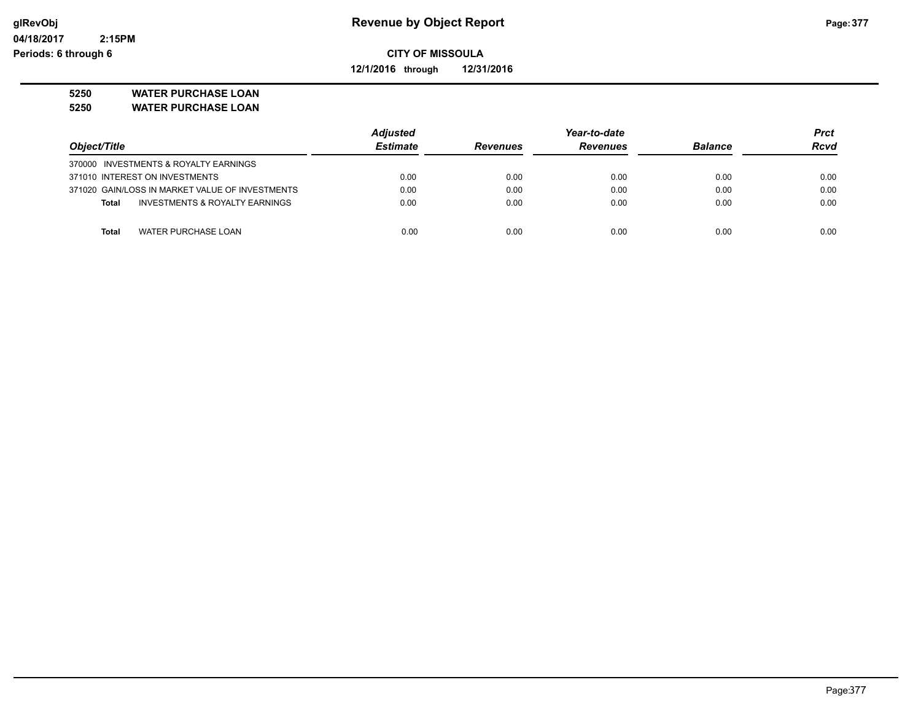**12/1/2016 through 12/31/2016**

**5250 WATER PURCHASE LOAN 5250 WATER PURCHASE LOAN**

|                                                 | <b>Adjusted</b> |                 | Year-to-date    |                | Prct        |
|-------------------------------------------------|-----------------|-----------------|-----------------|----------------|-------------|
| Object/Title                                    | <b>Estimate</b> | <b>Revenues</b> | <b>Revenues</b> | <b>Balance</b> | <b>Rcvd</b> |
| 370000 INVESTMENTS & ROYALTY EARNINGS           |                 |                 |                 |                |             |
| 371010 INTEREST ON INVESTMENTS                  | 0.00            | 0.00            | 0.00            | 0.00           | 0.00        |
| 371020 GAIN/LOSS IN MARKET VALUE OF INVESTMENTS | 0.00            | 0.00            | 0.00            | 0.00           | 0.00        |
| INVESTMENTS & ROYALTY EARNINGS<br>Total         | 0.00            | 0.00            | 0.00            | 0.00           | 0.00        |
|                                                 |                 |                 |                 |                |             |
| WATER PURCHASE LOAN<br>Total                    | 0.00            | 0.00            | 0.00            | 0.00           | 0.00        |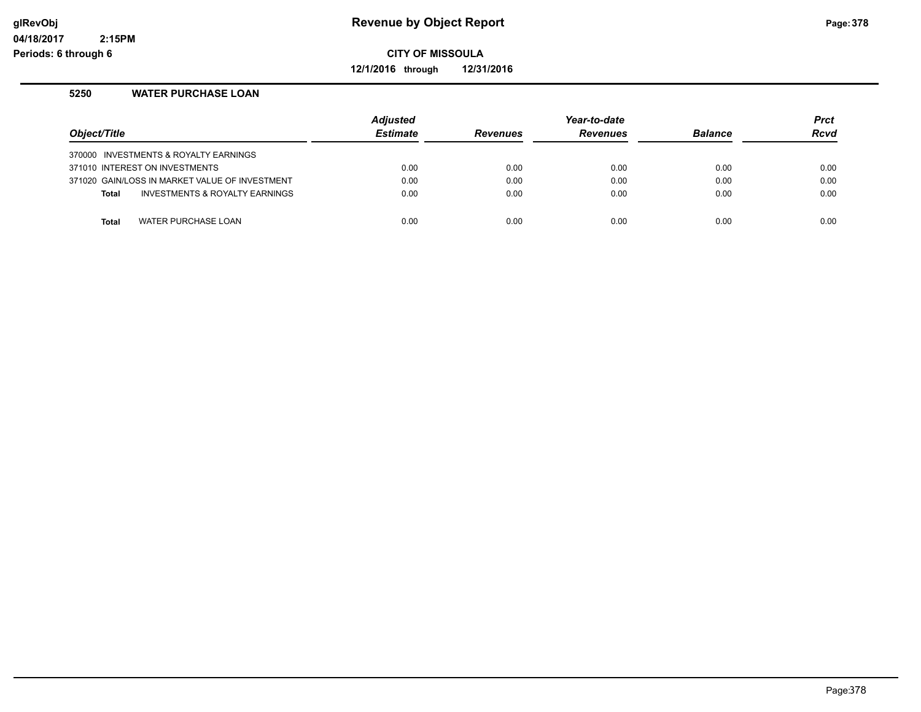**12/1/2016 through 12/31/2016**

#### **5250 WATER PURCHASE LOAN**

|                                                | <b>Adjusted</b> |                 |                 | <b>Prct</b>    |             |
|------------------------------------------------|-----------------|-----------------|-----------------|----------------|-------------|
| Object/Title                                   | <b>Estimate</b> | <b>Revenues</b> | <b>Revenues</b> | <b>Balance</b> | <b>Rcvd</b> |
| 370000 INVESTMENTS & ROYALTY EARNINGS          |                 |                 |                 |                |             |
| 371010 INTEREST ON INVESTMENTS                 | 0.00            | 0.00            | 0.00            | 0.00           | 0.00        |
| 371020 GAIN/LOSS IN MARKET VALUE OF INVESTMENT | 0.00            | 0.00            | 0.00            | 0.00           | 0.00        |
| INVESTMENTS & ROYALTY EARNINGS<br>Total        | 0.00            | 0.00            | 0.00            | 0.00           | 0.00        |
| Total<br>WATER PURCHASE LOAN                   | 0.00            | 0.00            | 0.00            | 0.00           | 0.00        |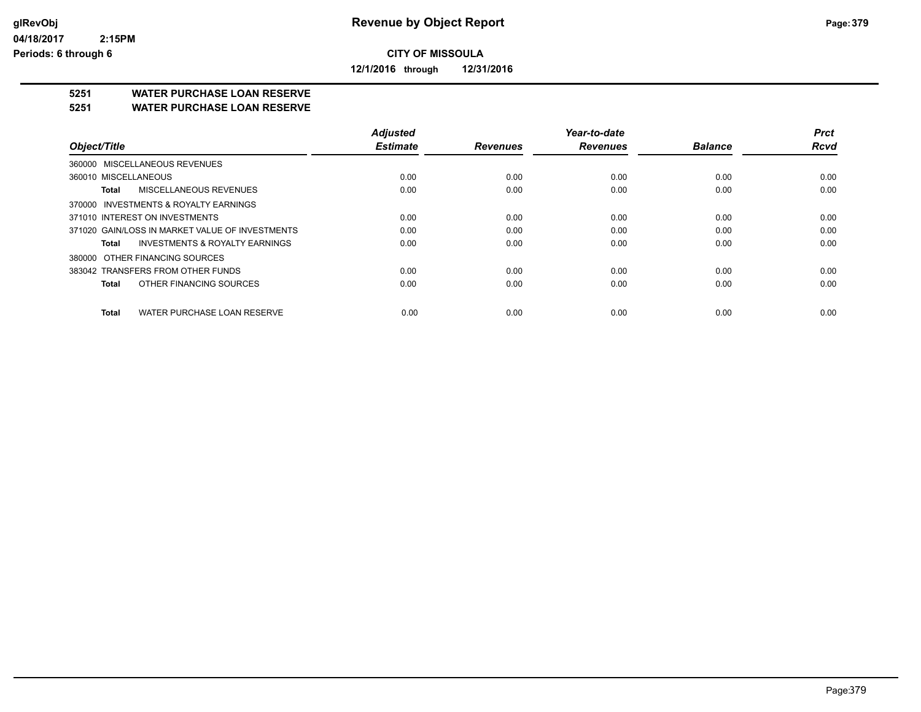**12/1/2016 through 12/31/2016**

# **5251 WATER PURCHASE LOAN RESERVE**

# **5251 WATER PURCHASE LOAN RESERVE**

| Object/Title                                       | <b>Adjusted</b><br><b>Estimate</b> | <b>Revenues</b> | Year-to-date<br><b>Revenues</b> | <b>Balance</b> | <b>Prct</b><br><b>Rcvd</b> |
|----------------------------------------------------|------------------------------------|-----------------|---------------------------------|----------------|----------------------------|
| 360000 MISCELLANEOUS REVENUES                      |                                    |                 |                                 |                |                            |
| 360010 MISCELLANEOUS                               | 0.00                               | 0.00            | 0.00                            | 0.00           | 0.00                       |
|                                                    |                                    |                 |                                 |                |                            |
| MISCELLANEOUS REVENUES<br>Total                    | 0.00                               | 0.00            | 0.00                            | 0.00           | 0.00                       |
| 370000 INVESTMENTS & ROYALTY EARNINGS              |                                    |                 |                                 |                |                            |
| 371010 INTEREST ON INVESTMENTS                     | 0.00                               | 0.00            | 0.00                            | 0.00           | 0.00                       |
| 371020 GAIN/LOSS IN MARKET VALUE OF INVESTMENTS    | 0.00                               | 0.00            | 0.00                            | 0.00           | 0.00                       |
| <b>INVESTMENTS &amp; ROYALTY EARNINGS</b><br>Total | 0.00                               | 0.00            | 0.00                            | 0.00           | 0.00                       |
| 380000 OTHER FINANCING SOURCES                     |                                    |                 |                                 |                |                            |
| 383042 TRANSFERS FROM OTHER FUNDS                  | 0.00                               | 0.00            | 0.00                            | 0.00           | 0.00                       |
| OTHER FINANCING SOURCES<br>Total                   | 0.00                               | 0.00            | 0.00                            | 0.00           | 0.00                       |
|                                                    |                                    |                 |                                 |                |                            |
| WATER PURCHASE LOAN RESERVE<br><b>Total</b>        | 0.00                               | 0.00            | 0.00                            | 0.00           | 0.00                       |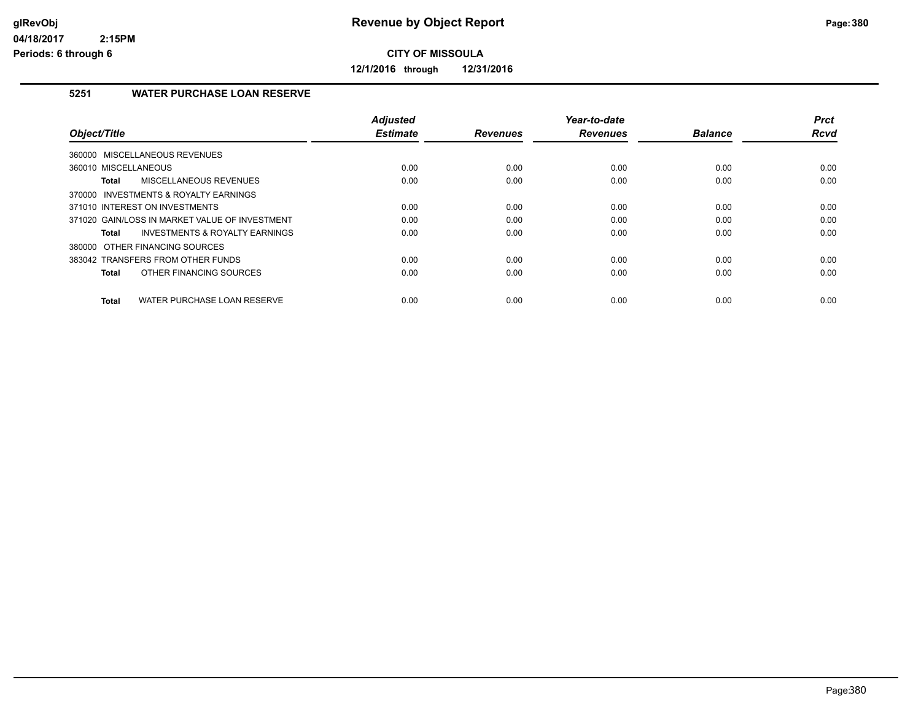**12/1/2016 through 12/31/2016**

#### **5251 WATER PURCHASE LOAN RESERVE**

| Object/Title                                       | <b>Adjusted</b><br><b>Estimate</b> | <b>Revenues</b> | Year-to-date<br><b>Revenues</b> | <b>Balance</b> | <b>Prct</b><br><b>Rcvd</b> |
|----------------------------------------------------|------------------------------------|-----------------|---------------------------------|----------------|----------------------------|
|                                                    |                                    |                 |                                 |                |                            |
| 360000 MISCELLANEOUS REVENUES                      |                                    |                 |                                 |                |                            |
| 360010 MISCELLANEOUS                               | 0.00                               | 0.00            | 0.00                            | 0.00           | 0.00                       |
| MISCELLANEOUS REVENUES<br>Total                    | 0.00                               | 0.00            | 0.00                            | 0.00           | 0.00                       |
| INVESTMENTS & ROYALTY EARNINGS<br>370000           |                                    |                 |                                 |                |                            |
| 371010 INTEREST ON INVESTMENTS                     | 0.00                               | 0.00            | 0.00                            | 0.00           | 0.00                       |
| 371020 GAIN/LOSS IN MARKET VALUE OF INVESTMENT     | 0.00                               | 0.00            | 0.00                            | 0.00           | 0.00                       |
| <b>INVESTMENTS &amp; ROYALTY EARNINGS</b><br>Total | 0.00                               | 0.00            | 0.00                            | 0.00           | 0.00                       |
| 380000 OTHER FINANCING SOURCES                     |                                    |                 |                                 |                |                            |
| 383042 TRANSFERS FROM OTHER FUNDS                  | 0.00                               | 0.00            | 0.00                            | 0.00           | 0.00                       |
| OTHER FINANCING SOURCES<br>Total                   | 0.00                               | 0.00            | 0.00                            | 0.00           | 0.00                       |
| <b>Total</b><br>WATER PURCHASE LOAN RESERVE        | 0.00                               | 0.00            | 0.00                            | 0.00           | 0.00                       |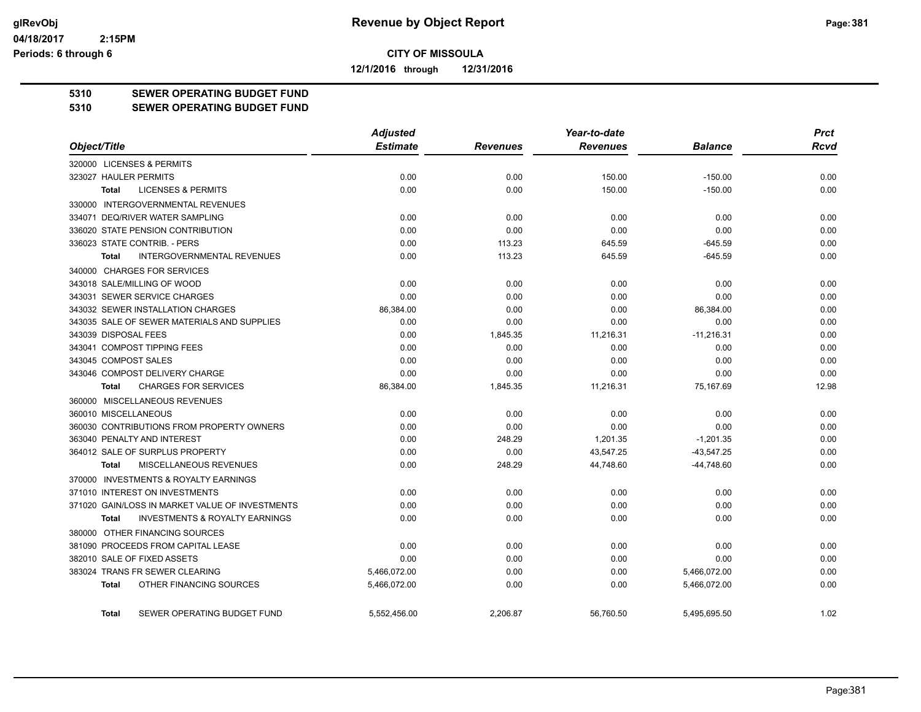**12/1/2016 through 12/31/2016**

# **5310 SEWER OPERATING BUDGET FUND**

**5310 SEWER OPERATING BUDGET FUND**

|                                                    | <b>Adjusted</b> |                 | Year-to-date    | <b>Prct</b>    |       |
|----------------------------------------------------|-----------------|-----------------|-----------------|----------------|-------|
| Object/Title                                       | <b>Estimate</b> | <b>Revenues</b> | <b>Revenues</b> | <b>Balance</b> | Rcvd  |
| 320000 LICENSES & PERMITS                          |                 |                 |                 |                |       |
| 323027 HAULER PERMITS                              | 0.00            | 0.00            | 150.00          | $-150.00$      | 0.00  |
| <b>LICENSES &amp; PERMITS</b><br><b>Total</b>      | 0.00            | 0.00            | 150.00          | $-150.00$      | 0.00  |
| 330000 INTERGOVERNMENTAL REVENUES                  |                 |                 |                 |                |       |
| 334071 DEQ/RIVER WATER SAMPLING                    | 0.00            | 0.00            | 0.00            | 0.00           | 0.00  |
| 336020 STATE PENSION CONTRIBUTION                  | 0.00            | 0.00            | 0.00            | 0.00           | 0.00  |
| 336023 STATE CONTRIB. - PERS                       | 0.00            | 113.23          | 645.59          | $-645.59$      | 0.00  |
| <b>INTERGOVERNMENTAL REVENUES</b><br><b>Total</b>  | 0.00            | 113.23          | 645.59          | $-645.59$      | 0.00  |
| 340000 CHARGES FOR SERVICES                        |                 |                 |                 |                |       |
| 343018 SALE/MILLING OF WOOD                        | 0.00            | 0.00            | 0.00            | 0.00           | 0.00  |
| 343031 SEWER SERVICE CHARGES                       | 0.00            | 0.00            | 0.00            | 0.00           | 0.00  |
| 343032 SEWER INSTALLATION CHARGES                  | 86,384.00       | 0.00            | 0.00            | 86.384.00      | 0.00  |
| 343035 SALE OF SEWER MATERIALS AND SUPPLIES        | 0.00            | 0.00            | 0.00            | 0.00           | 0.00  |
| 343039 DISPOSAL FEES                               | 0.00            | 1,845.35        | 11,216.31       | $-11,216.31$   | 0.00  |
| 343041 COMPOST TIPPING FEES                        | 0.00            | 0.00            | 0.00            | 0.00           | 0.00  |
| 343045 COMPOST SALES                               | 0.00            | 0.00            | 0.00            | 0.00           | 0.00  |
| 343046 COMPOST DELIVERY CHARGE                     | 0.00            | 0.00            | 0.00            | 0.00           | 0.00  |
| <b>CHARGES FOR SERVICES</b><br>Total               | 86,384.00       | 1,845.35        | 11,216.31       | 75,167.69      | 12.98 |
| 360000 MISCELLANEOUS REVENUES                      |                 |                 |                 |                |       |
| 360010 MISCELLANEOUS                               | 0.00            | 0.00            | 0.00            | 0.00           | 0.00  |
| 360030 CONTRIBUTIONS FROM PROPERTY OWNERS          | 0.00            | 0.00            | 0.00            | 0.00           | 0.00  |
| 363040 PENALTY AND INTEREST                        | 0.00            | 248.29          | 1,201.35        | $-1,201.35$    | 0.00  |
| 364012 SALE OF SURPLUS PROPERTY                    | 0.00            | 0.00            | 43,547.25       | $-43,547.25$   | 0.00  |
| MISCELLANEOUS REVENUES<br><b>Total</b>             | 0.00            | 248.29          | 44,748.60       | $-44,748.60$   | 0.00  |
| 370000 INVESTMENTS & ROYALTY EARNINGS              |                 |                 |                 |                |       |
| 371010 INTEREST ON INVESTMENTS                     | 0.00            | 0.00            | 0.00            | 0.00           | 0.00  |
| 371020 GAIN/LOSS IN MARKET VALUE OF INVESTMENTS    | 0.00            | 0.00            | 0.00            | 0.00           | 0.00  |
| <b>INVESTMENTS &amp; ROYALTY EARNINGS</b><br>Total | 0.00            | 0.00            | 0.00            | 0.00           | 0.00  |
| 380000 OTHER FINANCING SOURCES                     |                 |                 |                 |                |       |
| 381090 PROCEEDS FROM CAPITAL LEASE                 | 0.00            | 0.00            | 0.00            | 0.00           | 0.00  |
| 382010 SALE OF FIXED ASSETS                        | 0.00            | 0.00            | 0.00            | 0.00           | 0.00  |
| 383024 TRANS FR SEWER CLEARING                     | 5,466,072.00    | 0.00            | 0.00            | 5,466,072.00   | 0.00  |
| OTHER FINANCING SOURCES<br><b>Total</b>            | 5,466,072.00    | 0.00            | 0.00            | 5,466,072.00   | 0.00  |
| SEWER OPERATING BUDGET FUND<br><b>Total</b>        | 5,552,456.00    | 2,206.87        | 56,760.50       | 5,495,695.50   | 1.02  |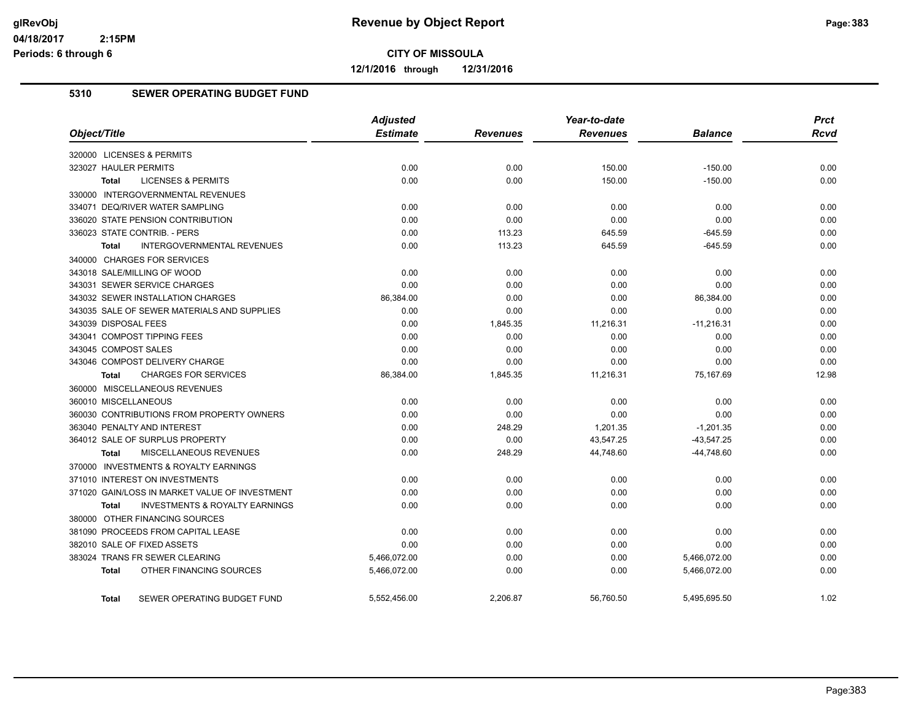**12/1/2016 through 12/31/2016**

#### **5310 SEWER OPERATING BUDGET FUND**

|                                                           | <b>Adjusted</b> |                 | Year-to-date    |                |             |
|-----------------------------------------------------------|-----------------|-----------------|-----------------|----------------|-------------|
| Object/Title                                              | <b>Estimate</b> | <b>Revenues</b> | <b>Revenues</b> | <b>Balance</b> | <b>Rcvd</b> |
| 320000 LICENSES & PERMITS                                 |                 |                 |                 |                |             |
| 323027 HAULER PERMITS                                     | 0.00            | 0.00            | 150.00          | $-150.00$      | 0.00        |
| <b>LICENSES &amp; PERMITS</b><br><b>Total</b>             | 0.00            | 0.00            | 150.00          | $-150.00$      | 0.00        |
| 330000 INTERGOVERNMENTAL REVENUES                         |                 |                 |                 |                |             |
| 334071 DEQ/RIVER WATER SAMPLING                           | 0.00            | 0.00            | 0.00            | 0.00           | 0.00        |
| 336020 STATE PENSION CONTRIBUTION                         | 0.00            | 0.00            | 0.00            | 0.00           | 0.00        |
| 336023 STATE CONTRIB. - PERS                              | 0.00            | 113.23          | 645.59          | $-645.59$      | 0.00        |
| <b>INTERGOVERNMENTAL REVENUES</b><br>Total                | 0.00            | 113.23          | 645.59          | $-645.59$      | 0.00        |
| 340000 CHARGES FOR SERVICES                               |                 |                 |                 |                |             |
| 343018 SALE/MILLING OF WOOD                               | 0.00            | 0.00            | 0.00            | 0.00           | 0.00        |
| 343031 SEWER SERVICE CHARGES                              | 0.00            | 0.00            | 0.00            | 0.00           | 0.00        |
| 343032 SEWER INSTALLATION CHARGES                         | 86,384.00       | 0.00            | 0.00            | 86,384.00      | 0.00        |
| 343035 SALE OF SEWER MATERIALS AND SUPPLIES               | 0.00            | 0.00            | 0.00            | 0.00           | 0.00        |
| 343039 DISPOSAL FEES                                      | 0.00            | 1,845.35        | 11,216.31       | $-11,216.31$   | 0.00        |
| 343041 COMPOST TIPPING FEES                               | 0.00            | 0.00            | 0.00            | 0.00           | 0.00        |
| 343045 COMPOST SALES                                      | 0.00            | 0.00            | 0.00            | 0.00           | 0.00        |
| 343046 COMPOST DELIVERY CHARGE                            | 0.00            | 0.00            | 0.00            | 0.00           | 0.00        |
| <b>CHARGES FOR SERVICES</b><br>Total                      | 86,384.00       | 1,845.35        | 11,216.31       | 75,167.69      | 12.98       |
| 360000 MISCELLANEOUS REVENUES                             |                 |                 |                 |                |             |
| 360010 MISCELLANEOUS                                      | 0.00            | 0.00            | 0.00            | 0.00           | 0.00        |
| 360030 CONTRIBUTIONS FROM PROPERTY OWNERS                 | 0.00            | 0.00            | 0.00            | 0.00           | 0.00        |
| 363040 PENALTY AND INTEREST                               | 0.00            | 248.29          | 1.201.35        | $-1,201.35$    | 0.00        |
| 364012 SALE OF SURPLUS PROPERTY                           | 0.00            | 0.00            | 43,547.25       | $-43,547.25$   | 0.00        |
| MISCELLANEOUS REVENUES<br><b>Total</b>                    | 0.00            | 248.29          | 44,748.60       | $-44,748.60$   | 0.00        |
| 370000 INVESTMENTS & ROYALTY EARNINGS                     |                 |                 |                 |                |             |
| 371010 INTEREST ON INVESTMENTS                            | 0.00            | 0.00            | 0.00            | 0.00           | 0.00        |
| 371020 GAIN/LOSS IN MARKET VALUE OF INVESTMENT            | 0.00            | 0.00            | 0.00            | 0.00           | 0.00        |
| <b>INVESTMENTS &amp; ROYALTY EARNINGS</b><br><b>Total</b> | 0.00            | 0.00            | 0.00            | 0.00           | 0.00        |
| 380000 OTHER FINANCING SOURCES                            |                 |                 |                 |                |             |
| 381090 PROCEEDS FROM CAPITAL LEASE                        | 0.00            | 0.00            | 0.00            | 0.00           | 0.00        |
| 382010 SALE OF FIXED ASSETS                               | 0.00            | 0.00            | 0.00            | 0.00           | 0.00        |
| 383024 TRANS FR SEWER CLEARING                            | 5,466,072.00    | 0.00            | 0.00            | 5,466,072.00   | 0.00        |
| OTHER FINANCING SOURCES<br><b>Total</b>                   | 5,466,072.00    | 0.00            | 0.00            | 5,466,072.00   | 0.00        |
| SEWER OPERATING BUDGET FUND<br><b>Total</b>               | 5,552,456.00    | 2,206.87        | 56,760.50       | 5,495,695.50   | 1.02        |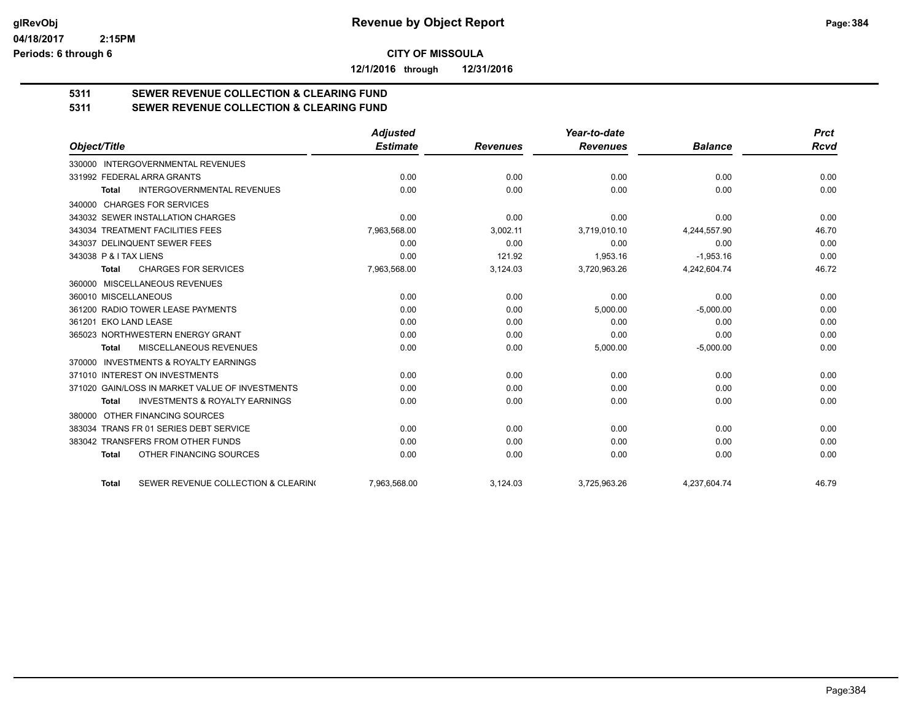**12/1/2016 through 12/31/2016**

### **5311 SEWER REVENUE COLLECTION & CLEARING FUND 5311 SEWER REVENUE COLLECTION & CLEARING FUND**

|                                                           | <b>Adjusted</b> |                 | Year-to-date    |                | <b>Prct</b> |
|-----------------------------------------------------------|-----------------|-----------------|-----------------|----------------|-------------|
| Object/Title                                              | <b>Estimate</b> | <b>Revenues</b> | <b>Revenues</b> | <b>Balance</b> | <b>Rcvd</b> |
| 330000 INTERGOVERNMENTAL REVENUES                         |                 |                 |                 |                |             |
| 331992 FEDERAL ARRA GRANTS                                | 0.00            | 0.00            | 0.00            | 0.00           | 0.00        |
| <b>INTERGOVERNMENTAL REVENUES</b><br><b>Total</b>         | 0.00            | 0.00            | 0.00            | 0.00           | 0.00        |
| 340000 CHARGES FOR SERVICES                               |                 |                 |                 |                |             |
| 343032 SEWER INSTALLATION CHARGES                         | 0.00            | 0.00            | 0.00            | 0.00           | 0.00        |
| 343034 TREATMENT FACILITIES FEES                          | 7,963,568.00    | 3,002.11        | 3,719,010.10    | 4,244,557.90   | 46.70       |
| 343037 DELINQUENT SEWER FEES                              | 0.00            | 0.00            | 0.00            | 0.00           | 0.00        |
| 343038 P & I TAX LIENS                                    | 0.00            | 121.92          | 1,953.16        | $-1,953.16$    | 0.00        |
| <b>CHARGES FOR SERVICES</b><br><b>Total</b>               | 7,963,568.00    | 3,124.03        | 3,720,963.26    | 4,242,604.74   | 46.72       |
| MISCELLANEOUS REVENUES<br>360000                          |                 |                 |                 |                |             |
| 360010 MISCELLANEOUS                                      | 0.00            | 0.00            | 0.00            | 0.00           | 0.00        |
| 361200 RADIO TOWER LEASE PAYMENTS                         | 0.00            | 0.00            | 5,000.00        | $-5,000.00$    | 0.00        |
| 361201 EKO LAND LEASE                                     | 0.00            | 0.00            | 0.00            | 0.00           | 0.00        |
| 365023 NORTHWESTERN ENERGY GRANT                          | 0.00            | 0.00            | 0.00            | 0.00           | 0.00        |
| <b>MISCELLANEOUS REVENUES</b><br><b>Total</b>             | 0.00            | 0.00            | 5,000.00        | $-5,000.00$    | 0.00        |
| <b>INVESTMENTS &amp; ROYALTY EARNINGS</b><br>370000       |                 |                 |                 |                |             |
| 371010 INTEREST ON INVESTMENTS                            | 0.00            | 0.00            | 0.00            | 0.00           | 0.00        |
| 371020 GAIN/LOSS IN MARKET VALUE OF INVESTMENTS           | 0.00            | 0.00            | 0.00            | 0.00           | 0.00        |
| <b>INVESTMENTS &amp; ROYALTY EARNINGS</b><br><b>Total</b> | 0.00            | 0.00            | 0.00            | 0.00           | 0.00        |
| OTHER FINANCING SOURCES<br>380000                         |                 |                 |                 |                |             |
| 383034 TRANS FR 01 SERIES DEBT SERVICE                    | 0.00            | 0.00            | 0.00            | 0.00           | 0.00        |
| 383042 TRANSFERS FROM OTHER FUNDS                         | 0.00            | 0.00            | 0.00            | 0.00           | 0.00        |
| OTHER FINANCING SOURCES<br><b>Total</b>                   | 0.00            | 0.00            | 0.00            | 0.00           | 0.00        |
|                                                           |                 |                 |                 |                |             |
| SEWER REVENUE COLLECTION & CLEARING<br><b>Total</b>       | 7,963,568.00    | 3,124.03        | 3,725,963.26    | 4,237,604.74   | 46.79       |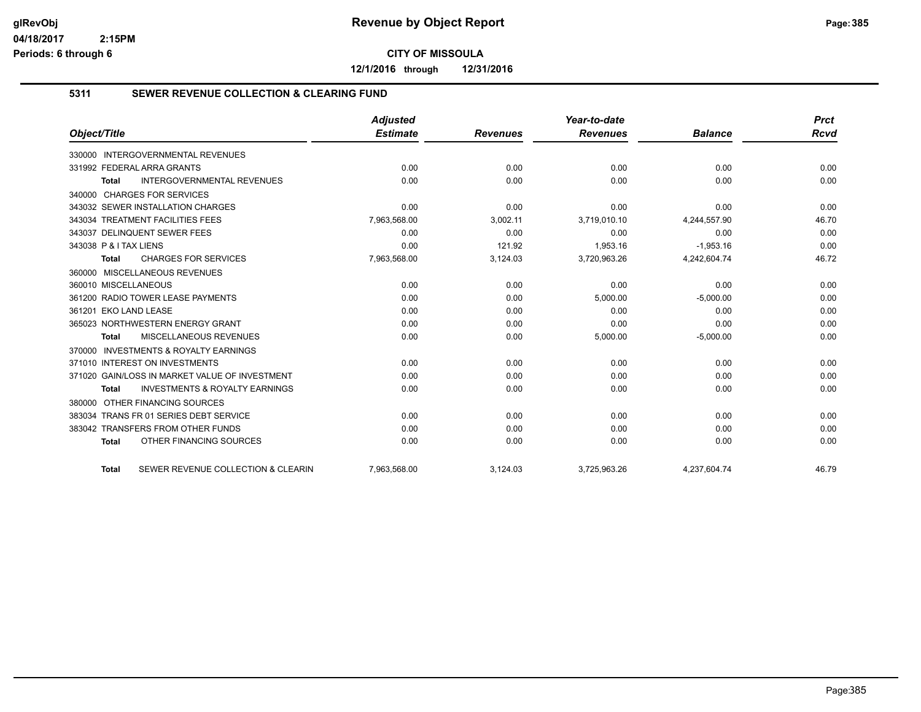**12/1/2016 through 12/31/2016**

### **5311 SEWER REVENUE COLLECTION & CLEARING FUND**

|                                                    | <b>Adjusted</b> |                 | Year-to-date    |                | <b>Prct</b> |
|----------------------------------------------------|-----------------|-----------------|-----------------|----------------|-------------|
| Object/Title                                       | <b>Estimate</b> | <b>Revenues</b> | <b>Revenues</b> | <b>Balance</b> | <b>Rcvd</b> |
| <b>INTERGOVERNMENTAL REVENUES</b><br>330000        |                 |                 |                 |                |             |
| 331992 FEDERAL ARRA GRANTS                         | 0.00            | 0.00            | 0.00            | 0.00           | 0.00        |
| <b>INTERGOVERNMENTAL REVENUES</b><br><b>Total</b>  | 0.00            | 0.00            | 0.00            | 0.00           | 0.00        |
| 340000 CHARGES FOR SERVICES                        |                 |                 |                 |                |             |
| 343032 SEWER INSTALLATION CHARGES                  | 0.00            | 0.00            | 0.00            | 0.00           | 0.00        |
| 343034 TREATMENT FACILITIES FEES                   | 7,963,568.00    | 3,002.11        | 3,719,010.10    | 4,244,557.90   | 46.70       |
| 343037 DELINQUENT SEWER FEES                       | 0.00            | 0.00            | 0.00            | 0.00           | 0.00        |
| 343038 P & I TAX LIENS                             | 0.00            | 121.92          | 1,953.16        | $-1,953.16$    | 0.00        |
| <b>CHARGES FOR SERVICES</b><br><b>Total</b>        | 7,963,568.00    | 3,124.03        | 3,720,963.26    | 4,242,604.74   | 46.72       |
| 360000 MISCELLANEOUS REVENUES                      |                 |                 |                 |                |             |
| 360010 MISCELLANEOUS                               | 0.00            | 0.00            | 0.00            | 0.00           | 0.00        |
| 361200 RADIO TOWER LEASE PAYMENTS                  | 0.00            | 0.00            | 5,000.00        | $-5,000.00$    | 0.00        |
| 361201 EKO LAND LEASE                              | 0.00            | 0.00            | 0.00            | 0.00           | 0.00        |
| 365023 NORTHWESTERN ENERGY GRANT                   | 0.00            | 0.00            | 0.00            | 0.00           | 0.00        |
| MISCELLANEOUS REVENUES<br><b>Total</b>             | 0.00            | 0.00            | 5,000.00        | $-5,000.00$    | 0.00        |
| 370000 INVESTMENTS & ROYALTY EARNINGS              |                 |                 |                 |                |             |
| 371010 INTEREST ON INVESTMENTS                     | 0.00            | 0.00            | 0.00            | 0.00           | 0.00        |
| 371020 GAIN/LOSS IN MARKET VALUE OF INVESTMENT     | 0.00            | 0.00            | 0.00            | 0.00           | 0.00        |
| <b>INVESTMENTS &amp; ROYALTY EARNINGS</b><br>Total | 0.00            | 0.00            | 0.00            | 0.00           | 0.00        |
| OTHER FINANCING SOURCES<br>380000                  |                 |                 |                 |                |             |
| 383034 TRANS FR 01 SERIES DEBT SERVICE             | 0.00            | 0.00            | 0.00            | 0.00           | 0.00        |
| 383042 TRANSFERS FROM OTHER FUNDS                  | 0.00            | 0.00            | 0.00            | 0.00           | 0.00        |
| OTHER FINANCING SOURCES<br><b>Total</b>            | 0.00            | 0.00            | 0.00            | 0.00           | 0.00        |
| SEWER REVENUE COLLECTION & CLEARIN<br><b>Total</b> | 7,963,568.00    | 3,124.03        | 3,725,963.26    | 4,237,604.74   | 46.79       |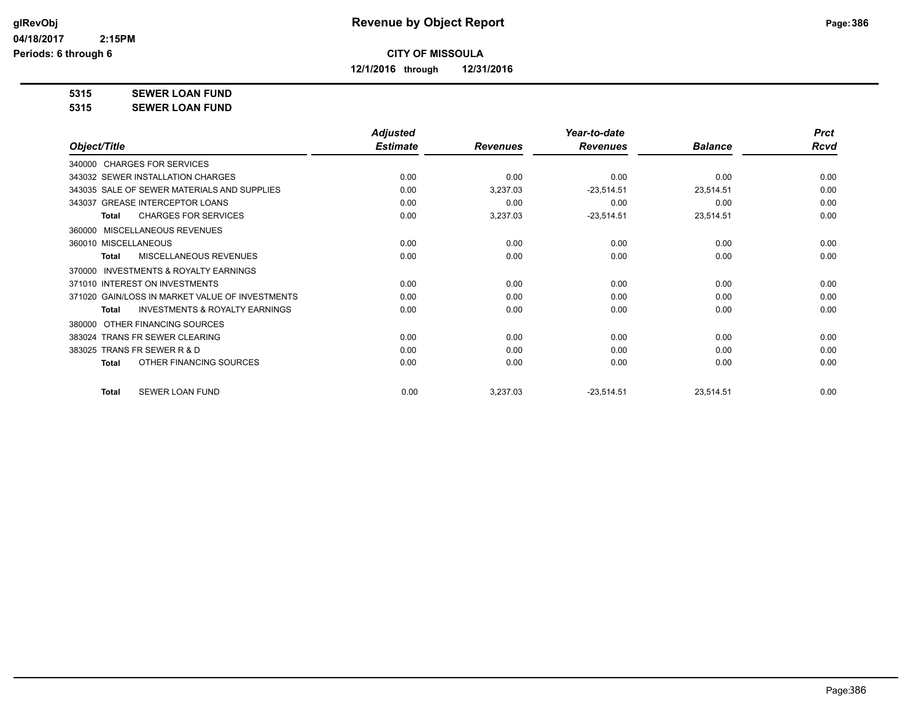**12/1/2016 through 12/31/2016**

**5315 SEWER LOAN FUND**

| 5315 | <b>SEWER LOAN FUND</b> |
|------|------------------------|
|      |                        |

|                                                           | <b>Adjusted</b> |                 | Year-to-date    |                | <b>Prct</b> |
|-----------------------------------------------------------|-----------------|-----------------|-----------------|----------------|-------------|
| Object/Title                                              | <b>Estimate</b> | <b>Revenues</b> | <b>Revenues</b> | <b>Balance</b> | Rcvd        |
| 340000 CHARGES FOR SERVICES                               |                 |                 |                 |                |             |
| 343032 SEWER INSTALLATION CHARGES                         | 0.00            | 0.00            | 0.00            | 0.00           | 0.00        |
| 343035 SALE OF SEWER MATERIALS AND SUPPLIES               | 0.00            | 3,237.03        | $-23,514.51$    | 23,514.51      | 0.00        |
| 343037 GREASE INTERCEPTOR LOANS                           | 0.00            | 0.00            | 0.00            | 0.00           | 0.00        |
| <b>CHARGES FOR SERVICES</b><br><b>Total</b>               | 0.00            | 3,237.03        | $-23,514.51$    | 23,514.51      | 0.00        |
| 360000 MISCELLANEOUS REVENUES                             |                 |                 |                 |                |             |
| 360010 MISCELLANEOUS                                      | 0.00            | 0.00            | 0.00            | 0.00           | 0.00        |
| MISCELLANEOUS REVENUES<br>Total                           | 0.00            | 0.00            | 0.00            | 0.00           | 0.00        |
| <b>INVESTMENTS &amp; ROYALTY EARNINGS</b><br>370000       |                 |                 |                 |                |             |
| 371010 INTEREST ON INVESTMENTS                            | 0.00            | 0.00            | 0.00            | 0.00           | 0.00        |
| 371020 GAIN/LOSS IN MARKET VALUE OF INVESTMENTS           | 0.00            | 0.00            | 0.00            | 0.00           | 0.00        |
| <b>INVESTMENTS &amp; ROYALTY EARNINGS</b><br><b>Total</b> | 0.00            | 0.00            | 0.00            | 0.00           | 0.00        |
| OTHER FINANCING SOURCES<br>380000                         |                 |                 |                 |                |             |
| 383024 TRANS FR SEWER CLEARING                            | 0.00            | 0.00            | 0.00            | 0.00           | 0.00        |
| 383025 TRANS FR SEWER R & D                               | 0.00            | 0.00            | 0.00            | 0.00           | 0.00        |
| OTHER FINANCING SOURCES<br><b>Total</b>                   | 0.00            | 0.00            | 0.00            | 0.00           | 0.00        |
|                                                           |                 |                 |                 |                |             |
| SEWER LOAN FUND<br><b>Total</b>                           | 0.00            | 3,237.03        | $-23,514.51$    | 23,514.51      | 0.00        |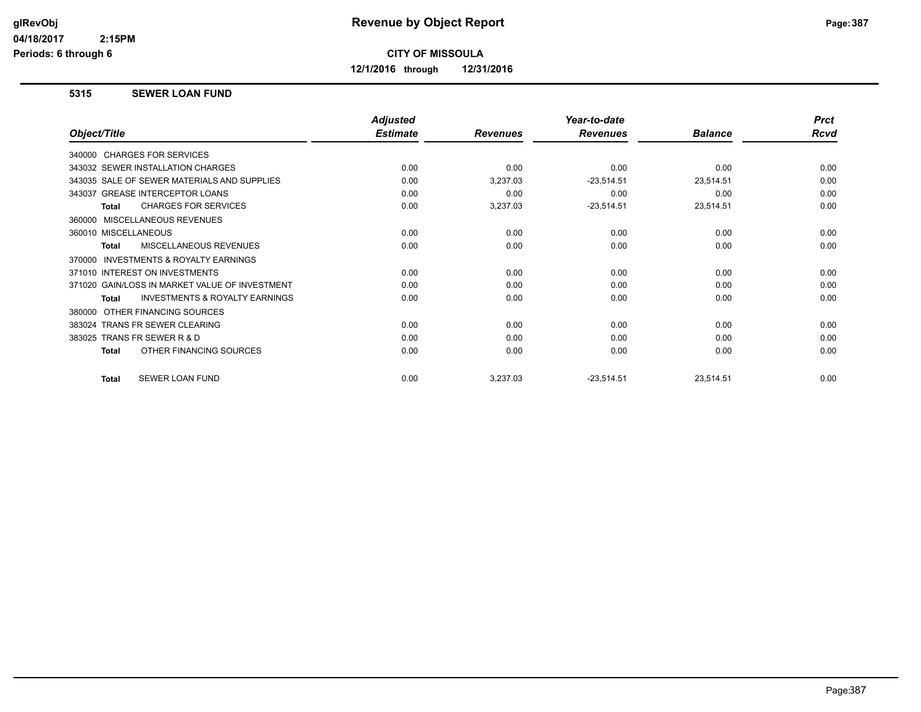**12/1/2016 through 12/31/2016**

#### **5315 SEWER LOAN FUND**

|                                                           | <b>Adjusted</b> |                 | Year-to-date    |                | <b>Prct</b> |
|-----------------------------------------------------------|-----------------|-----------------|-----------------|----------------|-------------|
| Object/Title                                              | <b>Estimate</b> | <b>Revenues</b> | <b>Revenues</b> | <b>Balance</b> | <b>Rcvd</b> |
| 340000 CHARGES FOR SERVICES                               |                 |                 |                 |                |             |
| 343032 SEWER INSTALLATION CHARGES                         | 0.00            | 0.00            | 0.00            | 0.00           | 0.00        |
| 343035 SALE OF SEWER MATERIALS AND SUPPLIES               | 0.00            | 3,237.03        | $-23,514.51$    | 23,514.51      | 0.00        |
| 343037 GREASE INTERCEPTOR LOANS                           | 0.00            | 0.00            | 0.00            | 0.00           | 0.00        |
| <b>CHARGES FOR SERVICES</b><br>Total                      | 0.00            | 3,237.03        | $-23,514.51$    | 23,514.51      | 0.00        |
| MISCELLANEOUS REVENUES<br>360000                          |                 |                 |                 |                |             |
| 360010 MISCELLANEOUS                                      | 0.00            | 0.00            | 0.00            | 0.00           | 0.00        |
| <b>MISCELLANEOUS REVENUES</b><br><b>Total</b>             | 0.00            | 0.00            | 0.00            | 0.00           | 0.00        |
| INVESTMENTS & ROYALTY EARNINGS<br>370000                  |                 |                 |                 |                |             |
| 371010 INTEREST ON INVESTMENTS                            | 0.00            | 0.00            | 0.00            | 0.00           | 0.00        |
| 371020 GAIN/LOSS IN MARKET VALUE OF INVESTMENT            | 0.00            | 0.00            | 0.00            | 0.00           | 0.00        |
| <b>INVESTMENTS &amp; ROYALTY EARNINGS</b><br><b>Total</b> | 0.00            | 0.00            | 0.00            | 0.00           | 0.00        |
| OTHER FINANCING SOURCES<br>380000                         |                 |                 |                 |                |             |
| 383024 TRANS FR SEWER CLEARING                            | 0.00            | 0.00            | 0.00            | 0.00           | 0.00        |
| 383025 TRANS FR SEWER R & D                               | 0.00            | 0.00            | 0.00            | 0.00           | 0.00        |
| OTHER FINANCING SOURCES<br>Total                          | 0.00            | 0.00            | 0.00            | 0.00           | 0.00        |
| SEWER LOAN FUND<br><b>Total</b>                           | 0.00            | 3,237.03        | $-23,514.51$    | 23,514.51      | 0.00        |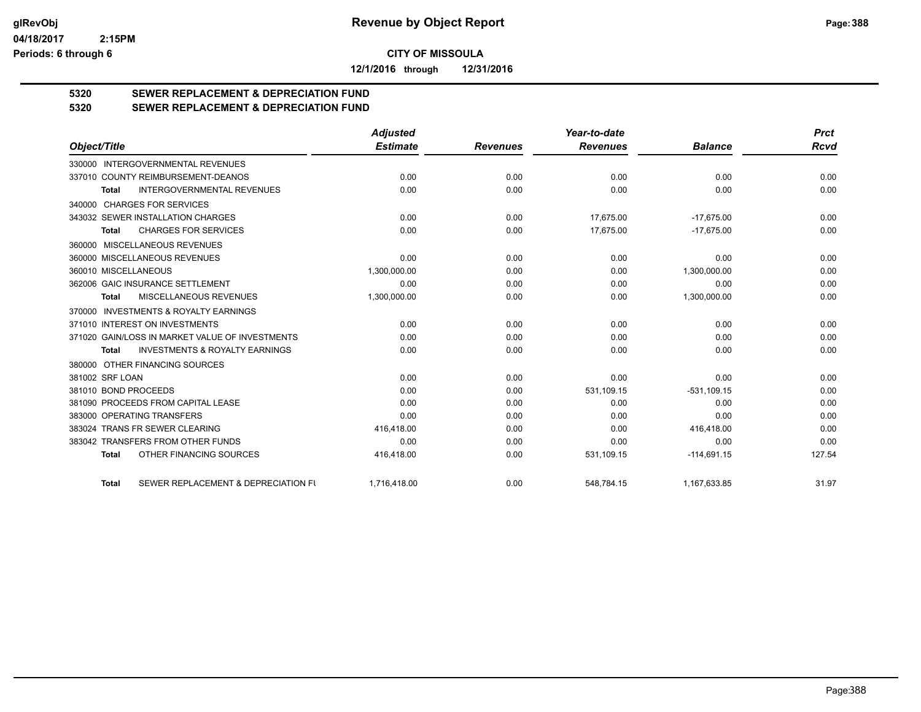**12/1/2016 through 12/31/2016**

### **5320 SEWER REPLACEMENT & DEPRECIATION FUND 5320 SEWER REPLACEMENT & DEPRECIATION FUND**

|                                                           | <b>Adjusted</b> |                 | Year-to-date    |                | <b>Prct</b> |
|-----------------------------------------------------------|-----------------|-----------------|-----------------|----------------|-------------|
| Object/Title                                              | <b>Estimate</b> | <b>Revenues</b> | <b>Revenues</b> | <b>Balance</b> | <b>Rcvd</b> |
| 330000 INTERGOVERNMENTAL REVENUES                         |                 |                 |                 |                |             |
| 337010 COUNTY REIMBURSEMENT-DEANOS                        | 0.00            | 0.00            | 0.00            | 0.00           | 0.00        |
| <b>INTERGOVERNMENTAL REVENUES</b><br><b>Total</b>         | 0.00            | 0.00            | 0.00            | 0.00           | 0.00        |
| <b>CHARGES FOR SERVICES</b><br>340000                     |                 |                 |                 |                |             |
| 343032 SEWER INSTALLATION CHARGES                         | 0.00            | 0.00            | 17,675.00       | $-17,675.00$   | 0.00        |
| <b>CHARGES FOR SERVICES</b><br><b>Total</b>               | 0.00            | 0.00            | 17,675.00       | $-17,675.00$   | 0.00        |
| MISCELLANEOUS REVENUES<br>360000                          |                 |                 |                 |                |             |
| 360000 MISCELLANEOUS REVENUES                             | 0.00            | 0.00            | 0.00            | 0.00           | 0.00        |
| 360010 MISCELLANEOUS                                      | 1,300,000.00    | 0.00            | 0.00            | 1,300,000.00   | 0.00        |
| 362006 GAIC INSURANCE SETTLEMENT                          | 0.00            | 0.00            | 0.00            | 0.00           | 0.00        |
| MISCELLANEOUS REVENUES<br><b>Total</b>                    | 1,300,000.00    | 0.00            | 0.00            | 1,300,000.00   | 0.00        |
| <b>INVESTMENTS &amp; ROYALTY EARNINGS</b><br>370000       |                 |                 |                 |                |             |
| 371010 INTEREST ON INVESTMENTS                            | 0.00            | 0.00            | 0.00            | 0.00           | 0.00        |
| 371020 GAIN/LOSS IN MARKET VALUE OF INVESTMENTS           | 0.00            | 0.00            | 0.00            | 0.00           | 0.00        |
| <b>INVESTMENTS &amp; ROYALTY EARNINGS</b><br><b>Total</b> | 0.00            | 0.00            | 0.00            | 0.00           | 0.00        |
| OTHER FINANCING SOURCES<br>380000                         |                 |                 |                 |                |             |
| 381002 SRF LOAN                                           | 0.00            | 0.00            | 0.00            | 0.00           | 0.00        |
| 381010 BOND PROCEEDS                                      | 0.00            | 0.00            | 531,109.15      | $-531,109.15$  | 0.00        |
| 381090 PROCEEDS FROM CAPITAL LEASE                        | 0.00            | 0.00            | 0.00            | 0.00           | 0.00        |
| 383000 OPERATING TRANSFERS                                | 0.00            | 0.00            | 0.00            | 0.00           | 0.00        |
| 383024 TRANS FR SEWER CLEARING                            | 416,418.00      | 0.00            | 0.00            | 416,418.00     | 0.00        |
| 383042 TRANSFERS FROM OTHER FUNDS                         | 0.00            | 0.00            | 0.00            | 0.00           | 0.00        |
| OTHER FINANCING SOURCES<br><b>Total</b>                   | 416,418.00      | 0.00            | 531,109.15      | $-114,691.15$  | 127.54      |
| SEWER REPLACEMENT & DEPRECIATION FU<br><b>Total</b>       | 1,716,418.00    | 0.00            | 548,784.15      | 1,167,633.85   | 31.97       |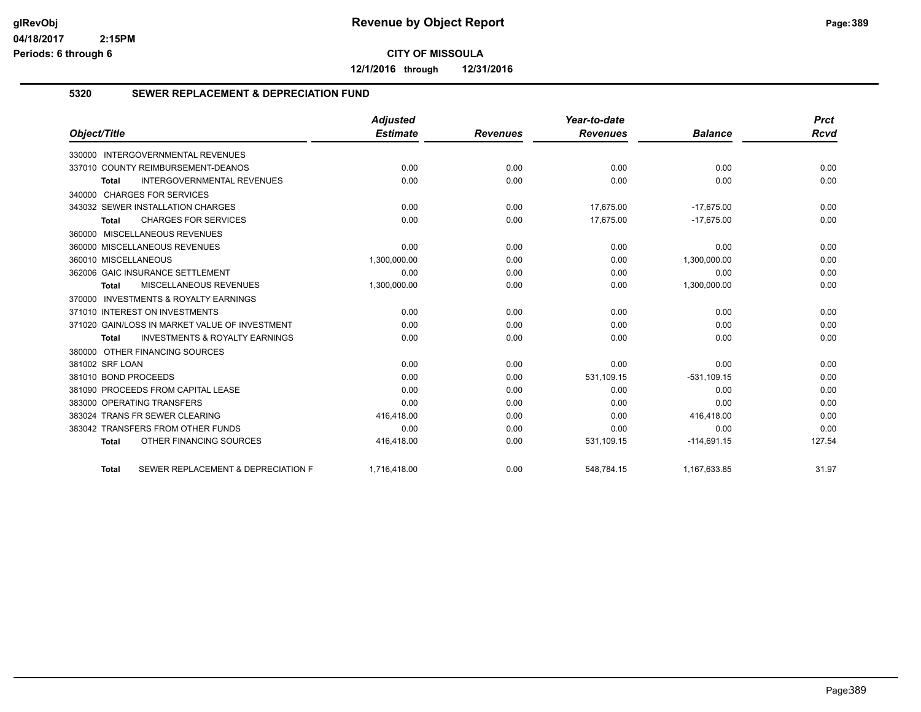**12/1/2016 through 12/31/2016**

### **5320 SEWER REPLACEMENT & DEPRECIATION FUND**

|                                                           | <b>Adjusted</b> |                 | Year-to-date    |                | <b>Prct</b> |
|-----------------------------------------------------------|-----------------|-----------------|-----------------|----------------|-------------|
| Object/Title                                              | <b>Estimate</b> | <b>Revenues</b> | <b>Revenues</b> | <b>Balance</b> | <b>Rcvd</b> |
| <b>INTERGOVERNMENTAL REVENUES</b><br>330000               |                 |                 |                 |                |             |
| 337010 COUNTY REIMBURSEMENT-DEANOS                        | 0.00            | 0.00            | 0.00            | 0.00           | 0.00        |
| <b>INTERGOVERNMENTAL REVENUES</b><br><b>Total</b>         | 0.00            | 0.00            | 0.00            | 0.00           | 0.00        |
| 340000 CHARGES FOR SERVICES                               |                 |                 |                 |                |             |
| 343032 SEWER INSTALLATION CHARGES                         | 0.00            | 0.00            | 17,675.00       | $-17,675.00$   | 0.00        |
| <b>CHARGES FOR SERVICES</b><br><b>Total</b>               | 0.00            | 0.00            | 17,675.00       | $-17,675.00$   | 0.00        |
| 360000 MISCELLANEOUS REVENUES                             |                 |                 |                 |                |             |
| 360000 MISCELLANEOUS REVENUES                             | 0.00            | 0.00            | 0.00            | 0.00           | 0.00        |
| 360010 MISCELLANEOUS                                      | 1,300,000.00    | 0.00            | 0.00            | 1,300,000.00   | 0.00        |
| 362006 GAIC INSURANCE SETTLEMENT                          | 0.00            | 0.00            | 0.00            | 0.00           | 0.00        |
| MISCELLANEOUS REVENUES<br><b>Total</b>                    | 1,300,000.00    | 0.00            | 0.00            | 1,300,000.00   | 0.00        |
| <b>INVESTMENTS &amp; ROYALTY EARNINGS</b><br>370000       |                 |                 |                 |                |             |
| 371010 INTEREST ON INVESTMENTS                            | 0.00            | 0.00            | 0.00            | 0.00           | 0.00        |
| 371020 GAIN/LOSS IN MARKET VALUE OF INVESTMENT            | 0.00            | 0.00            | 0.00            | 0.00           | 0.00        |
| <b>INVESTMENTS &amp; ROYALTY EARNINGS</b><br><b>Total</b> | 0.00            | 0.00            | 0.00            | 0.00           | 0.00        |
| 380000 OTHER FINANCING SOURCES                            |                 |                 |                 |                |             |
| 381002 SRF LOAN                                           | 0.00            | 0.00            | 0.00            | 0.00           | 0.00        |
| 381010 BOND PROCEEDS                                      | 0.00            | 0.00            | 531,109.15      | $-531,109.15$  | 0.00        |
| 381090 PROCEEDS FROM CAPITAL LEASE                        | 0.00            | 0.00            | 0.00            | 0.00           | 0.00        |
| 383000 OPERATING TRANSFERS                                | 0.00            | 0.00            | 0.00            | 0.00           | 0.00        |
| 383024 TRANS FR SEWER CLEARING                            | 416,418.00      | 0.00            | 0.00            | 416,418.00     | 0.00        |
| 383042 TRANSFERS FROM OTHER FUNDS                         | 0.00            | 0.00            | 0.00            | 0.00           | 0.00        |
| OTHER FINANCING SOURCES<br><b>Total</b>                   | 416,418.00      | 0.00            | 531,109.15      | $-114,691.15$  | 127.54      |
| SEWER REPLACEMENT & DEPRECIATION F<br><b>Total</b>        | 1,716,418.00    | 0.00            | 548.784.15      | 1,167,633.85   | 31.97       |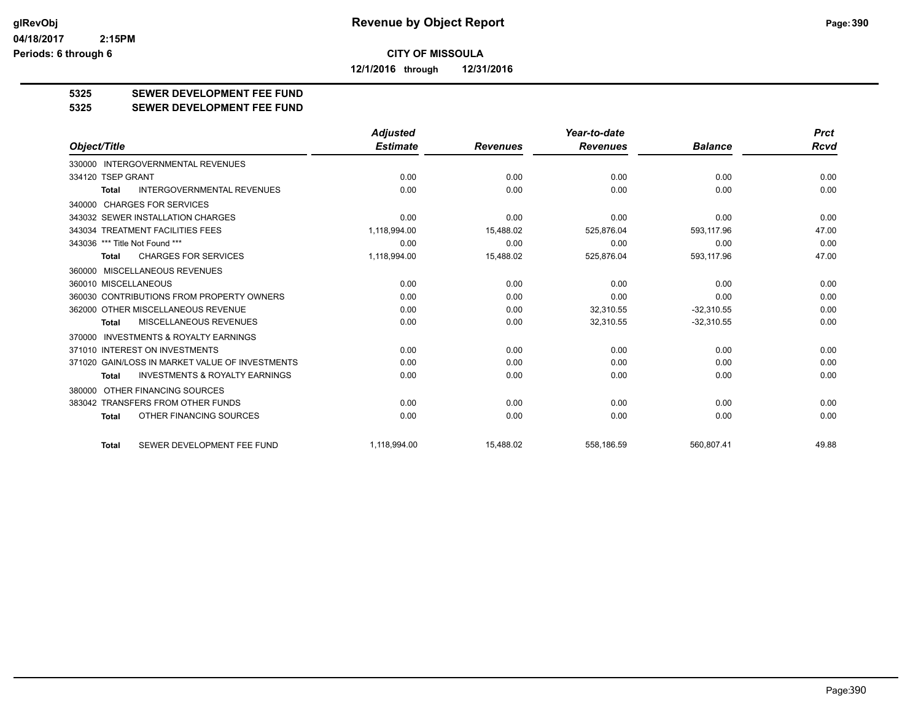**12/1/2016 through 12/31/2016**

# **5325 SEWER DEVELOPMENT FEE FUND**

**5325 SEWER DEVELOPMENT FEE FUND**

|                                                           | <b>Adjusted</b> |                 | Year-to-date    |                | <b>Prct</b> |
|-----------------------------------------------------------|-----------------|-----------------|-----------------|----------------|-------------|
| Object/Title                                              | <b>Estimate</b> | <b>Revenues</b> | <b>Revenues</b> | <b>Balance</b> | Rcvd        |
| 330000 INTERGOVERNMENTAL REVENUES                         |                 |                 |                 |                |             |
| 334120 TSEP GRANT                                         | 0.00            | 0.00            | 0.00            | 0.00           | 0.00        |
| <b>INTERGOVERNMENTAL REVENUES</b><br>Total                | 0.00            | 0.00            | 0.00            | 0.00           | 0.00        |
| 340000 CHARGES FOR SERVICES                               |                 |                 |                 |                |             |
| 343032 SEWER INSTALLATION CHARGES                         | 0.00            | 0.00            | 0.00            | 0.00           | 0.00        |
| 343034 TREATMENT FACILITIES FEES                          | 1,118,994.00    | 15,488.02       | 525,876.04      | 593,117.96     | 47.00       |
| 343036 *** Title Not Found ***                            | 0.00            | 0.00            | 0.00            | 0.00           | 0.00        |
| <b>CHARGES FOR SERVICES</b><br>Total                      | 1,118,994.00    | 15,488.02       | 525,876.04      | 593,117.96     | 47.00       |
| 360000 MISCELLANEOUS REVENUES                             |                 |                 |                 |                |             |
| 360010 MISCELLANEOUS                                      | 0.00            | 0.00            | 0.00            | 0.00           | 0.00        |
| 360030 CONTRIBUTIONS FROM PROPERTY OWNERS                 | 0.00            | 0.00            | 0.00            | 0.00           | 0.00        |
| 362000 OTHER MISCELLANEOUS REVENUE                        | 0.00            | 0.00            | 32,310.55       | $-32,310.55$   | 0.00        |
| MISCELLANEOUS REVENUES<br>Total                           | 0.00            | 0.00            | 32,310.55       | $-32,310.55$   | 0.00        |
| 370000 INVESTMENTS & ROYALTY EARNINGS                     |                 |                 |                 |                |             |
| 371010 INTEREST ON INVESTMENTS                            | 0.00            | 0.00            | 0.00            | 0.00           | 0.00        |
| 371020 GAIN/LOSS IN MARKET VALUE OF INVESTMENTS           | 0.00            | 0.00            | 0.00            | 0.00           | 0.00        |
| <b>INVESTMENTS &amp; ROYALTY EARNINGS</b><br><b>Total</b> | 0.00            | 0.00            | 0.00            | 0.00           | 0.00        |
| 380000 OTHER FINANCING SOURCES                            |                 |                 |                 |                |             |
| 383042 TRANSFERS FROM OTHER FUNDS                         | 0.00            | 0.00            | 0.00            | 0.00           | 0.00        |
| OTHER FINANCING SOURCES<br><b>Total</b>                   | 0.00            | 0.00            | 0.00            | 0.00           | 0.00        |
| SEWER DEVELOPMENT FEE FUND<br>Total                       | 1,118,994.00    | 15,488.02       | 558,186.59      | 560,807.41     | 49.88       |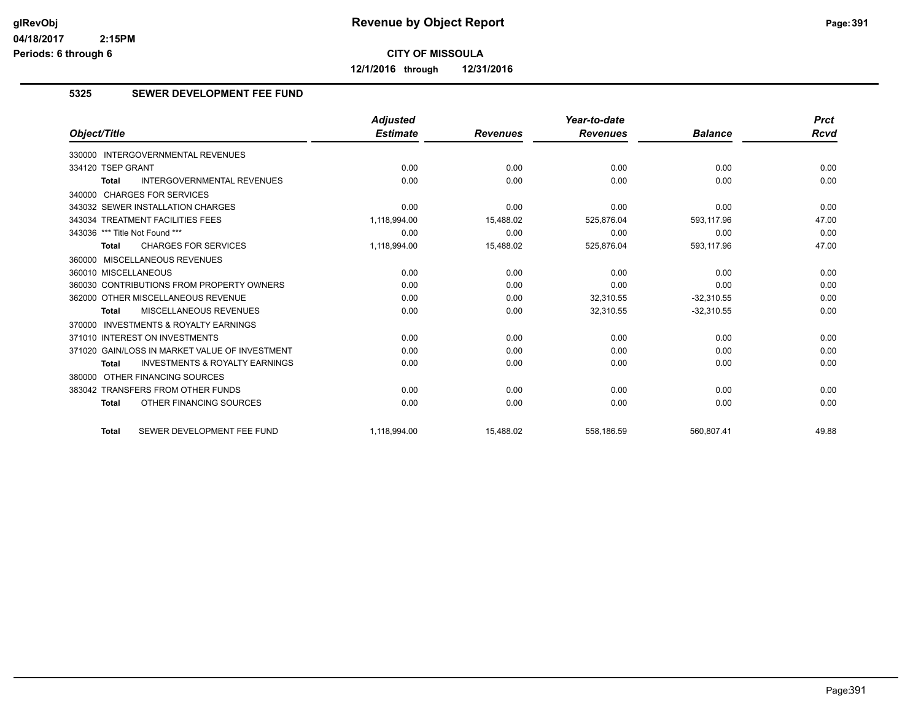**12/1/2016 through 12/31/2016**

### **5325 SEWER DEVELOPMENT FEE FUND**

|                                                           | <b>Adjusted</b> |                 | Year-to-date    |                | <b>Prct</b> |
|-----------------------------------------------------------|-----------------|-----------------|-----------------|----------------|-------------|
| Object/Title                                              | <b>Estimate</b> | <b>Revenues</b> | <b>Revenues</b> | <b>Balance</b> | <b>Rcvd</b> |
| INTERGOVERNMENTAL REVENUES<br>330000                      |                 |                 |                 |                |             |
| 334120 TSEP GRANT                                         | 0.00            | 0.00            | 0.00            | 0.00           | 0.00        |
| <b>INTERGOVERNMENTAL REVENUES</b><br><b>Total</b>         | 0.00            | 0.00            | 0.00            | 0.00           | 0.00        |
| 340000 CHARGES FOR SERVICES                               |                 |                 |                 |                |             |
| 343032 SEWER INSTALLATION CHARGES                         | 0.00            | 0.00            | 0.00            | 0.00           | 0.00        |
| 343034 TREATMENT FACILITIES FEES                          | 1,118,994.00    | 15,488.02       | 525,876.04      | 593,117.96     | 47.00       |
| 343036 *** Title Not Found ***                            | 0.00            | 0.00            | 0.00            | 0.00           | 0.00        |
| <b>CHARGES FOR SERVICES</b><br>Total                      | 1,118,994.00    | 15,488.02       | 525,876.04      | 593,117.96     | 47.00       |
| MISCELLANEOUS REVENUES<br>360000                          |                 |                 |                 |                |             |
| 360010 MISCELLANEOUS                                      | 0.00            | 0.00            | 0.00            | 0.00           | 0.00        |
| 360030 CONTRIBUTIONS FROM PROPERTY OWNERS                 | 0.00            | 0.00            | 0.00            | 0.00           | 0.00        |
| 362000 OTHER MISCELLANEOUS REVENUE                        | 0.00            | 0.00            | 32,310.55       | $-32,310.55$   | 0.00        |
| <b>MISCELLANEOUS REVENUES</b><br><b>Total</b>             | 0.00            | 0.00            | 32,310.55       | $-32,310.55$   | 0.00        |
| 370000 INVESTMENTS & ROYALTY EARNINGS                     |                 |                 |                 |                |             |
| 371010 INTEREST ON INVESTMENTS                            | 0.00            | 0.00            | 0.00            | 0.00           | 0.00        |
| 371020 GAIN/LOSS IN MARKET VALUE OF INVESTMENT            | 0.00            | 0.00            | 0.00            | 0.00           | 0.00        |
| <b>INVESTMENTS &amp; ROYALTY EARNINGS</b><br><b>Total</b> | 0.00            | 0.00            | 0.00            | 0.00           | 0.00        |
| 380000 OTHER FINANCING SOURCES                            |                 |                 |                 |                |             |
| 383042 TRANSFERS FROM OTHER FUNDS                         | 0.00            | 0.00            | 0.00            | 0.00           | 0.00        |
| OTHER FINANCING SOURCES<br><b>Total</b>                   | 0.00            | 0.00            | 0.00            | 0.00           | 0.00        |
| SEWER DEVELOPMENT FEE FUND<br><b>Total</b>                | 1,118,994.00    | 15.488.02       | 558.186.59      | 560.807.41     | 49.88       |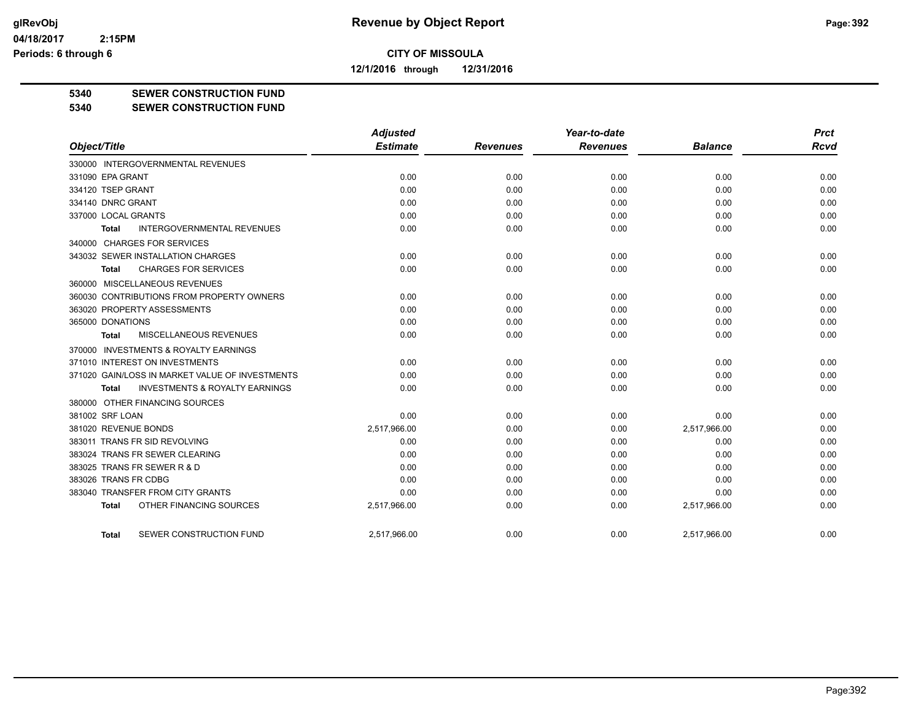**12/1/2016 through 12/31/2016**

**5340 SEWER CONSTRUCTION FUND**

**5340 SEWER CONSTRUCTION FUND**

|                                                           | <b>Adjusted</b> |                 | Year-to-date    |                | <b>Prct</b> |
|-----------------------------------------------------------|-----------------|-----------------|-----------------|----------------|-------------|
| Object/Title                                              | <b>Estimate</b> | <b>Revenues</b> | <b>Revenues</b> | <b>Balance</b> | <b>Rcvd</b> |
| 330000 INTERGOVERNMENTAL REVENUES                         |                 |                 |                 |                |             |
| 331090 EPA GRANT                                          | 0.00            | 0.00            | 0.00            | 0.00           | 0.00        |
| 334120 TSEP GRANT                                         | 0.00            | 0.00            | 0.00            | 0.00           | 0.00        |
| 334140 DNRC GRANT                                         | 0.00            | 0.00            | 0.00            | 0.00           | 0.00        |
| 337000 LOCAL GRANTS                                       | 0.00            | 0.00            | 0.00            | 0.00           | 0.00        |
| <b>INTERGOVERNMENTAL REVENUES</b><br><b>Total</b>         | 0.00            | 0.00            | 0.00            | 0.00           | 0.00        |
| 340000 CHARGES FOR SERVICES                               |                 |                 |                 |                |             |
| 343032 SEWER INSTALLATION CHARGES                         | 0.00            | 0.00            | 0.00            | 0.00           | 0.00        |
| <b>CHARGES FOR SERVICES</b><br>Total                      | 0.00            | 0.00            | 0.00            | 0.00           | 0.00        |
| 360000 MISCELLANEOUS REVENUES                             |                 |                 |                 |                |             |
| 360030 CONTRIBUTIONS FROM PROPERTY OWNERS                 | 0.00            | 0.00            | 0.00            | 0.00           | 0.00        |
| 363020 PROPERTY ASSESSMENTS                               | 0.00            | 0.00            | 0.00            | 0.00           | 0.00        |
| 365000 DONATIONS                                          | 0.00            | 0.00            | 0.00            | 0.00           | 0.00        |
| MISCELLANEOUS REVENUES<br><b>Total</b>                    | 0.00            | 0.00            | 0.00            | 0.00           | 0.00        |
| 370000 INVESTMENTS & ROYALTY EARNINGS                     |                 |                 |                 |                |             |
| 371010 INTEREST ON INVESTMENTS                            | 0.00            | 0.00            | 0.00            | 0.00           | 0.00        |
| 371020 GAIN/LOSS IN MARKET VALUE OF INVESTMENTS           | 0.00            | 0.00            | 0.00            | 0.00           | 0.00        |
| <b>INVESTMENTS &amp; ROYALTY EARNINGS</b><br><b>Total</b> | 0.00            | 0.00            | 0.00            | 0.00           | 0.00        |
| 380000 OTHER FINANCING SOURCES                            |                 |                 |                 |                |             |
| 381002 SRF LOAN                                           | 0.00            | 0.00            | 0.00            | 0.00           | 0.00        |
| 381020 REVENUE BONDS                                      | 2,517,966.00    | 0.00            | 0.00            | 2,517,966.00   | 0.00        |
| 383011 TRANS FR SID REVOLVING                             | 0.00            | 0.00            | 0.00            | 0.00           | 0.00        |
| 383024 TRANS FR SEWER CLEARING                            | 0.00            | 0.00            | 0.00            | 0.00           | 0.00        |
| 383025 TRANS FR SEWER R & D                               | 0.00            | 0.00            | 0.00            | 0.00           | 0.00        |
| 383026 TRANS FR CDBG                                      | 0.00            | 0.00            | 0.00            | 0.00           | 0.00        |
| 383040 TRANSFER FROM CITY GRANTS                          | 0.00            | 0.00            | 0.00            | 0.00           | 0.00        |
| OTHER FINANCING SOURCES<br><b>Total</b>                   | 2,517,966.00    | 0.00            | 0.00            | 2,517,966.00   | 0.00        |
| SEWER CONSTRUCTION FUND<br>Total                          | 2,517,966.00    | 0.00            | 0.00            | 2.517.966.00   | 0.00        |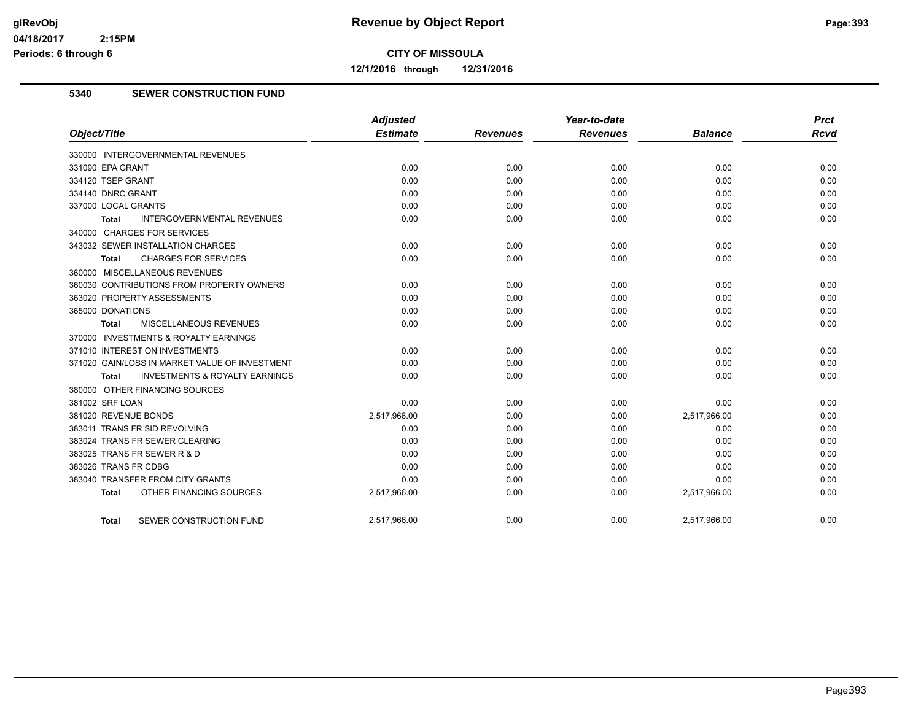**12/1/2016 through 12/31/2016**

#### **5340 SEWER CONSTRUCTION FUND**

|                                                    | <b>Adjusted</b><br><b>Estimate</b> | <b>Revenues</b> | Year-to-date<br><b>Revenues</b> | <b>Balance</b> | <b>Prct</b><br><b>Rcvd</b> |
|----------------------------------------------------|------------------------------------|-----------------|---------------------------------|----------------|----------------------------|
| Object/Title                                       |                                    |                 |                                 |                |                            |
| 330000 INTERGOVERNMENTAL REVENUES                  |                                    |                 |                                 |                |                            |
| 331090 EPA GRANT                                   | 0.00                               | 0.00            | 0.00                            | 0.00           | 0.00                       |
| 334120 TSEP GRANT                                  | 0.00                               | 0.00            | 0.00                            | 0.00           | 0.00                       |
| 334140 DNRC GRANT                                  | 0.00                               | 0.00            | 0.00                            | 0.00           | 0.00                       |
| 337000 LOCAL GRANTS                                | 0.00                               | 0.00            | 0.00                            | 0.00           | 0.00                       |
| <b>INTERGOVERNMENTAL REVENUES</b><br>Total         | 0.00                               | 0.00            | 0.00                            | 0.00           | 0.00                       |
| 340000 CHARGES FOR SERVICES                        |                                    |                 |                                 |                |                            |
| 343032 SEWER INSTALLATION CHARGES                  | 0.00                               | 0.00            | 0.00                            | 0.00           | 0.00                       |
| <b>CHARGES FOR SERVICES</b><br><b>Total</b>        | 0.00                               | 0.00            | 0.00                            | 0.00           | 0.00                       |
| 360000 MISCELLANEOUS REVENUES                      |                                    |                 |                                 |                |                            |
| 360030 CONTRIBUTIONS FROM PROPERTY OWNERS          | 0.00                               | 0.00            | 0.00                            | 0.00           | 0.00                       |
| 363020 PROPERTY ASSESSMENTS                        | 0.00                               | 0.00            | 0.00                            | 0.00           | 0.00                       |
| 365000 DONATIONS                                   | 0.00                               | 0.00            | 0.00                            | 0.00           | 0.00                       |
| MISCELLANEOUS REVENUES<br><b>Total</b>             | 0.00                               | 0.00            | 0.00                            | 0.00           | 0.00                       |
| 370000 INVESTMENTS & ROYALTY EARNINGS              |                                    |                 |                                 |                |                            |
| 371010 INTEREST ON INVESTMENTS                     | 0.00                               | 0.00            | 0.00                            | 0.00           | 0.00                       |
| 371020 GAIN/LOSS IN MARKET VALUE OF INVESTMENT     | 0.00                               | 0.00            | 0.00                            | 0.00           | 0.00                       |
| <b>INVESTMENTS &amp; ROYALTY EARNINGS</b><br>Total | 0.00                               | 0.00            | 0.00                            | 0.00           | 0.00                       |
| 380000 OTHER FINANCING SOURCES                     |                                    |                 |                                 |                |                            |
| 381002 SRF LOAN                                    | 0.00                               | 0.00            | 0.00                            | 0.00           | 0.00                       |
| 381020 REVENUE BONDS                               | 2,517,966.00                       | 0.00            | 0.00                            | 2,517,966.00   | 0.00                       |
| 383011 TRANS FR SID REVOLVING                      | 0.00                               | 0.00            | 0.00                            | 0.00           | 0.00                       |
| 383024 TRANS FR SEWER CLEARING                     | 0.00                               | 0.00            | 0.00                            | 0.00           | 0.00                       |
| 383025 TRANS FR SEWER R & D                        | 0.00                               | 0.00            | 0.00                            | 0.00           | 0.00                       |
| 383026 TRANS FR CDBG                               | 0.00                               | 0.00            | 0.00                            | 0.00           | 0.00                       |
| 383040 TRANSFER FROM CITY GRANTS                   | 0.00                               | 0.00            | 0.00                            | 0.00           | 0.00                       |
| OTHER FINANCING SOURCES<br><b>Total</b>            | 2,517,966.00                       | 0.00            | 0.00                            | 2,517,966.00   | 0.00                       |
| SEWER CONSTRUCTION FUND<br><b>Total</b>            | 2,517,966.00                       | 0.00            | 0.00                            | 2,517,966.00   | 0.00                       |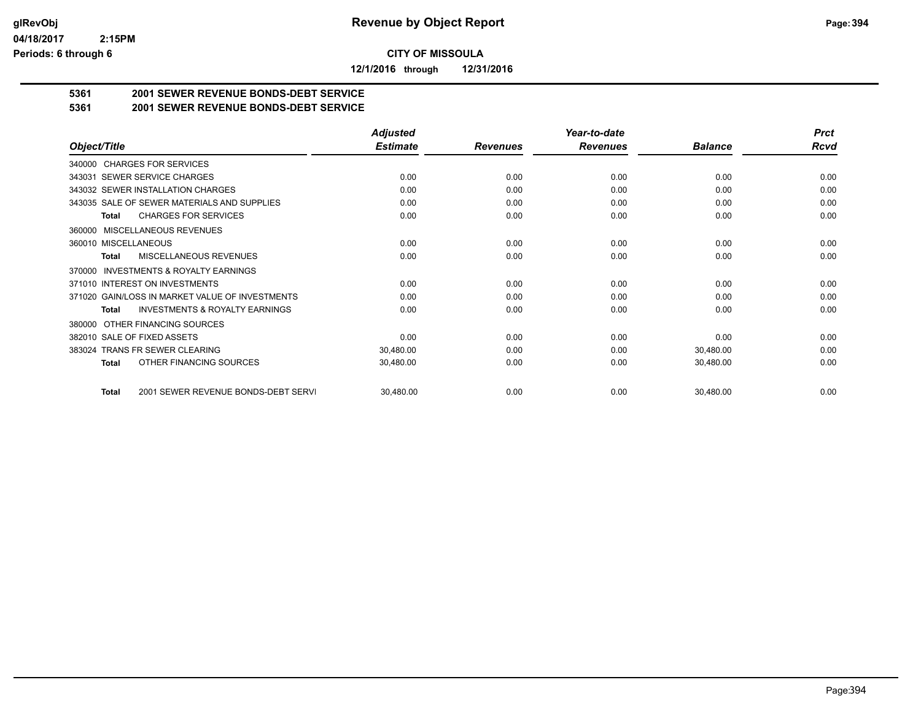**12/1/2016 through 12/31/2016**

# **5361 2001 SEWER REVENUE BONDS-DEBT SERVICE**

# **5361 2001 SEWER REVENUE BONDS-DEBT SERVICE**

|                                                           | <b>Adjusted</b> |                 | Year-to-date    |                | <b>Prct</b> |
|-----------------------------------------------------------|-----------------|-----------------|-----------------|----------------|-------------|
| Object/Title                                              | <b>Estimate</b> | <b>Revenues</b> | <b>Revenues</b> | <b>Balance</b> | <b>Rcvd</b> |
| <b>CHARGES FOR SERVICES</b><br>340000                     |                 |                 |                 |                |             |
| <b>SEWER SERVICE CHARGES</b><br>343031                    | 0.00            | 0.00            | 0.00            | 0.00           | 0.00        |
| 343032 SEWER INSTALLATION CHARGES                         | 0.00            | 0.00            | 0.00            | 0.00           | 0.00        |
| 343035 SALE OF SEWER MATERIALS AND SUPPLIES               | 0.00            | 0.00            | 0.00            | 0.00           | 0.00        |
| <b>CHARGES FOR SERVICES</b><br><b>Total</b>               | 0.00            | 0.00            | 0.00            | 0.00           | 0.00        |
| MISCELLANEOUS REVENUES<br>360000                          |                 |                 |                 |                |             |
| 360010 MISCELLANEOUS                                      | 0.00            | 0.00            | 0.00            | 0.00           | 0.00        |
| MISCELLANEOUS REVENUES<br><b>Total</b>                    | 0.00            | 0.00            | 0.00            | 0.00           | 0.00        |
| <b>INVESTMENTS &amp; ROYALTY EARNINGS</b><br>370000       |                 |                 |                 |                |             |
| 371010 INTEREST ON INVESTMENTS                            | 0.00            | 0.00            | 0.00            | 0.00           | 0.00        |
| 371020 GAIN/LOSS IN MARKET VALUE OF INVESTMENTS           | 0.00            | 0.00            | 0.00            | 0.00           | 0.00        |
| <b>INVESTMENTS &amp; ROYALTY EARNINGS</b><br><b>Total</b> | 0.00            | 0.00            | 0.00            | 0.00           | 0.00        |
| OTHER FINANCING SOURCES<br>380000                         |                 |                 |                 |                |             |
| 382010 SALE OF FIXED ASSETS                               | 0.00            | 0.00            | 0.00            | 0.00           | 0.00        |
| 383024 TRANS FR SEWER CLEARING                            | 30,480.00       | 0.00            | 0.00            | 30,480.00      | 0.00        |
| OTHER FINANCING SOURCES<br><b>Total</b>                   | 30,480.00       | 0.00            | 0.00            | 30,480.00      | 0.00        |
|                                                           |                 |                 |                 |                |             |
| 2001 SEWER REVENUE BONDS-DEBT SERVI<br><b>Total</b>       | 30,480.00       | 0.00            | 0.00            | 30,480.00      | 0.00        |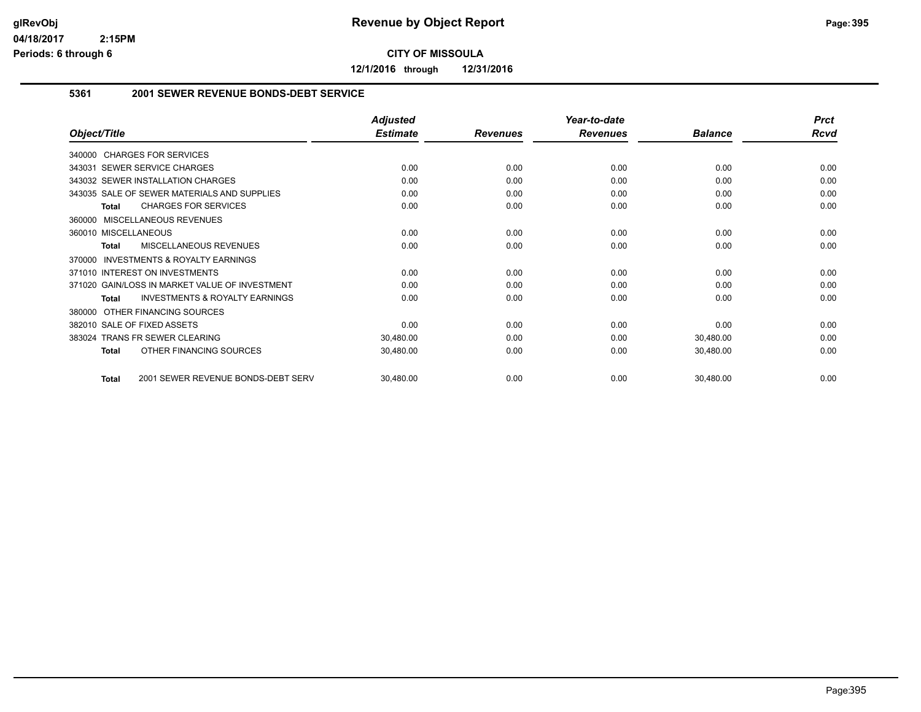**12/1/2016 through 12/31/2016**

### **5361 2001 SEWER REVENUE BONDS-DEBT SERVICE**

|                                                           | <b>Adjusted</b> |                 | Year-to-date    |                | <b>Prct</b> |
|-----------------------------------------------------------|-----------------|-----------------|-----------------|----------------|-------------|
| Object/Title                                              | <b>Estimate</b> | <b>Revenues</b> | <b>Revenues</b> | <b>Balance</b> | <b>Rcvd</b> |
| <b>CHARGES FOR SERVICES</b><br>340000                     |                 |                 |                 |                |             |
| 343031 SEWER SERVICE CHARGES                              | 0.00            | 0.00            | 0.00            | 0.00           | 0.00        |
| 343032 SEWER INSTALLATION CHARGES                         | 0.00            | 0.00            | 0.00            | 0.00           | 0.00        |
| 343035 SALE OF SEWER MATERIALS AND SUPPLIES               | 0.00            | 0.00            | 0.00            | 0.00           | 0.00        |
| <b>CHARGES FOR SERVICES</b><br>Total                      | 0.00            | 0.00            | 0.00            | 0.00           | 0.00        |
| MISCELLANEOUS REVENUES<br>360000                          |                 |                 |                 |                |             |
| 360010 MISCELLANEOUS                                      | 0.00            | 0.00            | 0.00            | 0.00           | 0.00        |
| <b>MISCELLANEOUS REVENUES</b><br><b>Total</b>             | 0.00            | 0.00            | 0.00            | 0.00           | 0.00        |
| <b>INVESTMENTS &amp; ROYALTY EARNINGS</b><br>370000       |                 |                 |                 |                |             |
| 371010 INTEREST ON INVESTMENTS                            | 0.00            | 0.00            | 0.00            | 0.00           | 0.00        |
| 371020 GAIN/LOSS IN MARKET VALUE OF INVESTMENT            | 0.00            | 0.00            | 0.00            | 0.00           | 0.00        |
| <b>INVESTMENTS &amp; ROYALTY EARNINGS</b><br><b>Total</b> | 0.00            | 0.00            | 0.00            | 0.00           | 0.00        |
| OTHER FINANCING SOURCES<br>380000                         |                 |                 |                 |                |             |
| 382010 SALE OF FIXED ASSETS                               | 0.00            | 0.00            | 0.00            | 0.00           | 0.00        |
| 383024 TRANS FR SEWER CLEARING                            | 30,480.00       | 0.00            | 0.00            | 30,480.00      | 0.00        |
| OTHER FINANCING SOURCES<br><b>Total</b>                   | 30,480.00       | 0.00            | 0.00            | 30,480.00      | 0.00        |
| 2001 SEWER REVENUE BONDS-DEBT SERV<br><b>Total</b>        | 30,480.00       | 0.00            | 0.00            | 30,480.00      | 0.00        |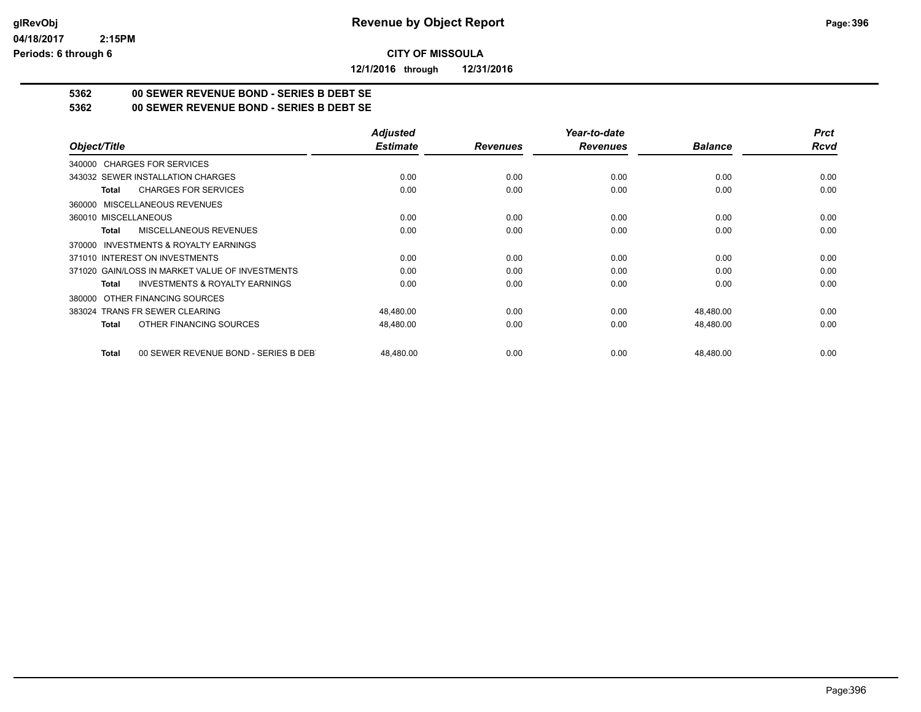**12/1/2016 through 12/31/2016**

### **5362 00 SEWER REVENUE BOND - SERIES B DEBT SE 5362 00 SEWER REVENUE BOND - SERIES B DEBT SE**

|                                                      | <b>Adjusted</b> |                 | Year-to-date    |                | <b>Prct</b> |
|------------------------------------------------------|-----------------|-----------------|-----------------|----------------|-------------|
| Object/Title                                         | <b>Estimate</b> | <b>Revenues</b> | <b>Revenues</b> | <b>Balance</b> | Rcvd        |
| 340000 CHARGES FOR SERVICES                          |                 |                 |                 |                |             |
| 343032 SEWER INSTALLATION CHARGES                    | 0.00            | 0.00            | 0.00            | 0.00           | 0.00        |
| <b>CHARGES FOR SERVICES</b><br><b>Total</b>          | 0.00            | 0.00            | 0.00            | 0.00           | 0.00        |
| MISCELLANEOUS REVENUES<br>360000                     |                 |                 |                 |                |             |
| 360010 MISCELLANEOUS                                 | 0.00            | 0.00            | 0.00            | 0.00           | 0.00        |
| MISCELLANEOUS REVENUES<br>Total                      | 0.00            | 0.00            | 0.00            | 0.00           | 0.00        |
| INVESTMENTS & ROYALTY EARNINGS<br>370000             |                 |                 |                 |                |             |
| 371010 INTEREST ON INVESTMENTS                       | 0.00            | 0.00            | 0.00            | 0.00           | 0.00        |
| 371020 GAIN/LOSS IN MARKET VALUE OF INVESTMENTS      | 0.00            | 0.00            | 0.00            | 0.00           | 0.00        |
| <b>INVESTMENTS &amp; ROYALTY EARNINGS</b><br>Total   | 0.00            | 0.00            | 0.00            | 0.00           | 0.00        |
| OTHER FINANCING SOURCES<br>380000                    |                 |                 |                 |                |             |
| 383024 TRANS FR SEWER CLEARING                       | 48,480.00       | 0.00            | 0.00            | 48,480.00      | 0.00        |
| OTHER FINANCING SOURCES<br><b>Total</b>              | 48,480.00       | 0.00            | 0.00            | 48,480.00      | 0.00        |
|                                                      |                 |                 |                 |                |             |
| 00 SEWER REVENUE BOND - SERIES B DEB<br><b>Total</b> | 48,480.00       | 0.00            | 0.00            | 48,480.00      | 0.00        |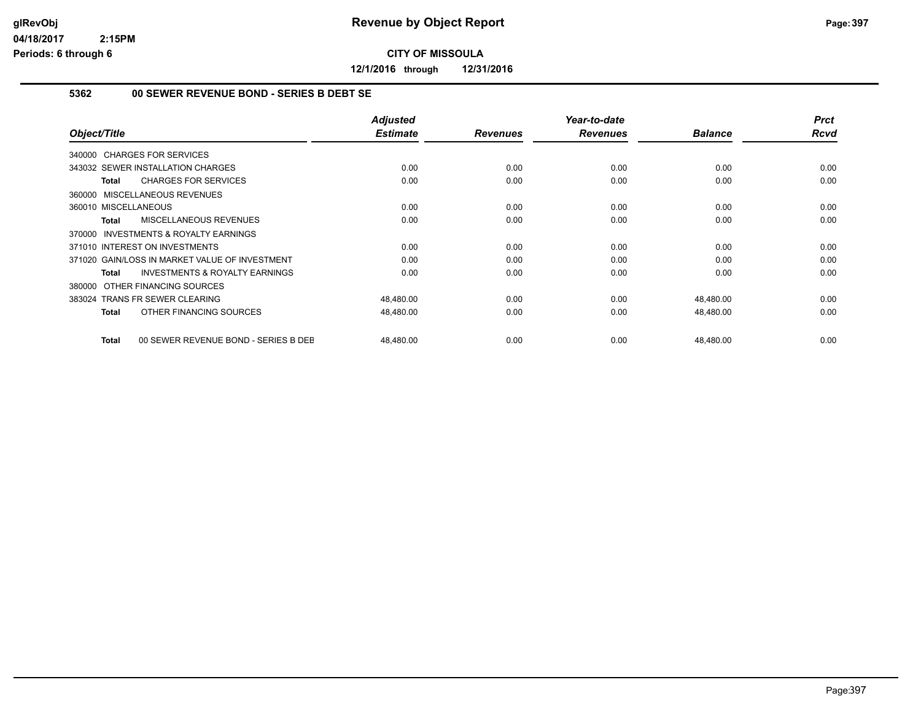**12/1/2016 through 12/31/2016**

## **5362 00 SEWER REVENUE BOND - SERIES B DEBT SE**

| Object/Title                                              | <b>Adjusted</b><br><b>Estimate</b> | <b>Revenues</b> | Year-to-date<br><b>Revenues</b> | <b>Balance</b> | <b>Prct</b><br><b>Rcvd</b> |
|-----------------------------------------------------------|------------------------------------|-----------------|---------------------------------|----------------|----------------------------|
|                                                           |                                    |                 |                                 |                |                            |
| 340000 CHARGES FOR SERVICES                               |                                    |                 |                                 |                |                            |
| 343032 SEWER INSTALLATION CHARGES                         | 0.00                               | 0.00            | 0.00                            | 0.00           | 0.00                       |
| <b>CHARGES FOR SERVICES</b><br>Total                      | 0.00                               | 0.00            | 0.00                            | 0.00           | 0.00                       |
| 360000 MISCELLANEOUS REVENUES                             |                                    |                 |                                 |                |                            |
| 360010 MISCELLANEOUS                                      | 0.00                               | 0.00            | 0.00                            | 0.00           | 0.00                       |
| MISCELLANEOUS REVENUES<br>Total                           | 0.00                               | 0.00            | 0.00                            | 0.00           | 0.00                       |
| <b>INVESTMENTS &amp; ROYALTY EARNINGS</b><br>370000       |                                    |                 |                                 |                |                            |
| 371010 INTEREST ON INVESTMENTS                            | 0.00                               | 0.00            | 0.00                            | 0.00           | 0.00                       |
| 371020 GAIN/LOSS IN MARKET VALUE OF INVESTMENT            | 0.00                               | 0.00            | 0.00                            | 0.00           | 0.00                       |
| <b>INVESTMENTS &amp; ROYALTY EARNINGS</b><br><b>Total</b> | 0.00                               | 0.00            | 0.00                            | 0.00           | 0.00                       |
| 380000 OTHER FINANCING SOURCES                            |                                    |                 |                                 |                |                            |
| 383024 TRANS FR SEWER CLEARING                            | 48,480.00                          | 0.00            | 0.00                            | 48,480.00      | 0.00                       |
| OTHER FINANCING SOURCES<br>Total                          | 48,480.00                          | 0.00            | 0.00                            | 48,480.00      | 0.00                       |
|                                                           |                                    |                 |                                 |                |                            |
| 00 SEWER REVENUE BOND - SERIES B DEE<br>Total             | 48,480.00                          | 0.00            | 0.00                            | 48,480.00      | 0.00                       |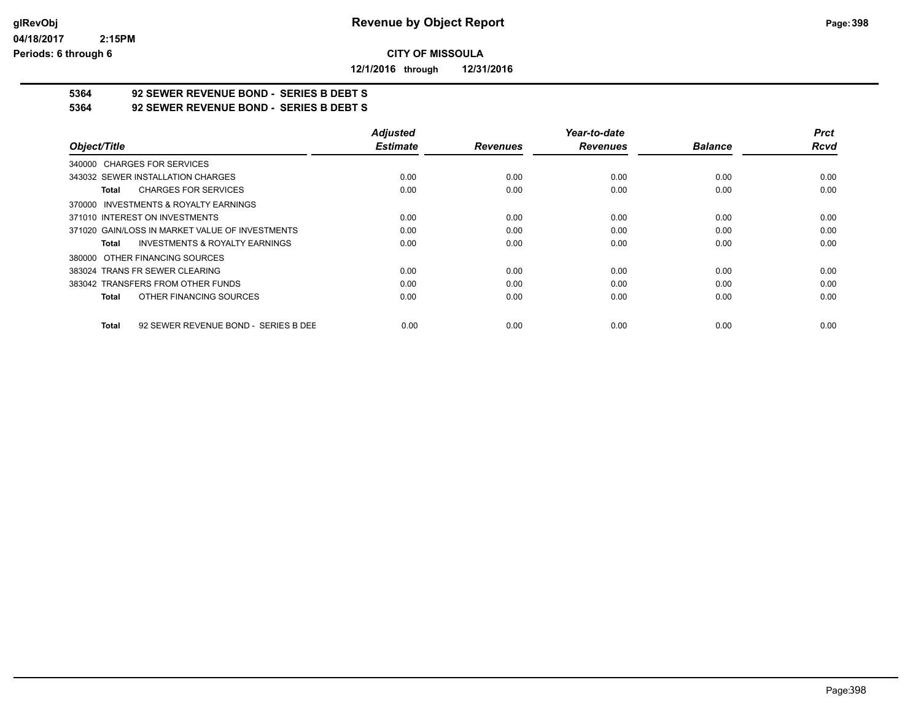**12/1/2016 through 12/31/2016**

### **5364 92 SEWER REVENUE BOND - SERIES B DEBT S 5364 92 SEWER REVENUE BOND - SERIES B DEBT S**

|                                                      | <b>Adjusted</b> |                 | Year-to-date    |                | <b>Prct</b> |
|------------------------------------------------------|-----------------|-----------------|-----------------|----------------|-------------|
| Object/Title                                         | <b>Estimate</b> | <b>Revenues</b> | <b>Revenues</b> | <b>Balance</b> | Rcvd        |
| 340000 CHARGES FOR SERVICES                          |                 |                 |                 |                |             |
| 343032 SEWER INSTALLATION CHARGES                    | 0.00            | 0.00            | 0.00            | 0.00           | 0.00        |
| <b>CHARGES FOR SERVICES</b><br>Total                 | 0.00            | 0.00            | 0.00            | 0.00           | 0.00        |
| 370000 INVESTMENTS & ROYALTY EARNINGS                |                 |                 |                 |                |             |
| 371010 INTEREST ON INVESTMENTS                       | 0.00            | 0.00            | 0.00            | 0.00           | 0.00        |
| 371020 GAIN/LOSS IN MARKET VALUE OF INVESTMENTS      | 0.00            | 0.00            | 0.00            | 0.00           | 0.00        |
| <b>INVESTMENTS &amp; ROYALTY EARNINGS</b><br>Total   | 0.00            | 0.00            | 0.00            | 0.00           | 0.00        |
| 380000 OTHER FINANCING SOURCES                       |                 |                 |                 |                |             |
| 383024 TRANS FR SEWER CLEARING                       | 0.00            | 0.00            | 0.00            | 0.00           | 0.00        |
| 383042 TRANSFERS FROM OTHER FUNDS                    | 0.00            | 0.00            | 0.00            | 0.00           | 0.00        |
| OTHER FINANCING SOURCES<br>Total                     | 0.00            | 0.00            | 0.00            | 0.00           | 0.00        |
| 92 SEWER REVENUE BOND - SERIES B DEE<br><b>Total</b> | 0.00            | 0.00            | 0.00            | 0.00           | 0.00        |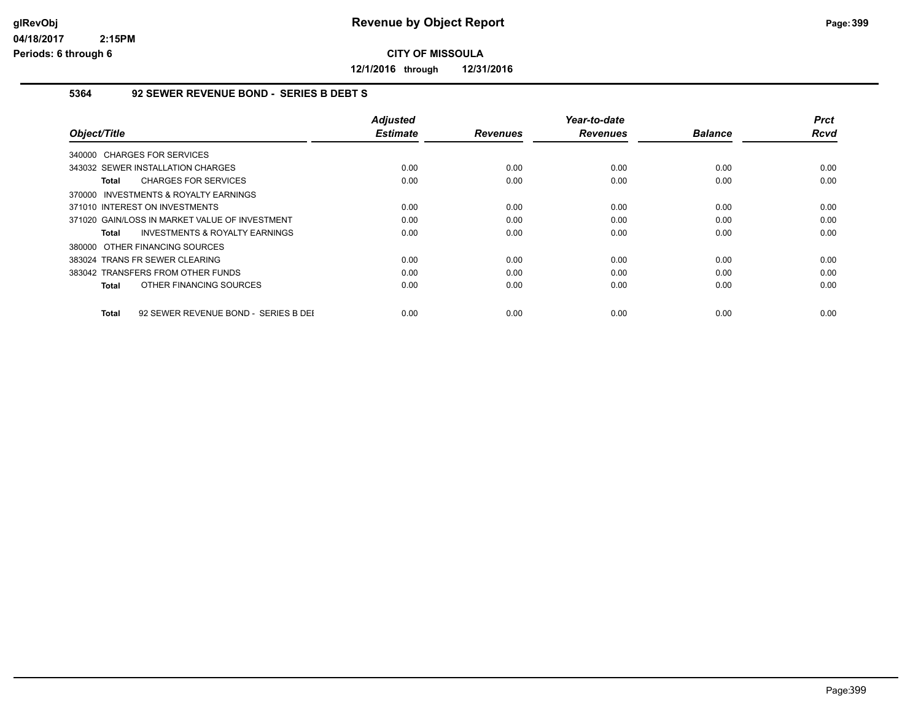**12/1/2016 through 12/31/2016**

## **5364 92 SEWER REVENUE BOND - SERIES B DEBT S**

| Object/Title                                         | <b>Adjusted</b><br><b>Estimate</b> | <b>Revenues</b> | Year-to-date<br><b>Revenues</b> | <b>Balance</b> | <b>Prct</b><br><b>Rcvd</b> |
|------------------------------------------------------|------------------------------------|-----------------|---------------------------------|----------------|----------------------------|
| 340000 CHARGES FOR SERVICES                          |                                    |                 |                                 |                |                            |
| 343032 SEWER INSTALLATION CHARGES                    | 0.00                               | 0.00            | 0.00                            | 0.00           | 0.00                       |
| <b>CHARGES FOR SERVICES</b><br><b>Total</b>          | 0.00                               | 0.00            | 0.00                            | 0.00           | 0.00                       |
| 370000 INVESTMENTS & ROYALTY EARNINGS                |                                    |                 |                                 |                |                            |
| 371010 INTEREST ON INVESTMENTS                       | 0.00                               | 0.00            | 0.00                            | 0.00           | 0.00                       |
| 371020 GAIN/LOSS IN MARKET VALUE OF INVESTMENT       | 0.00                               | 0.00            | 0.00                            | 0.00           | 0.00                       |
| <b>INVESTMENTS &amp; ROYALTY EARNINGS</b><br>Total   | 0.00                               | 0.00            | 0.00                            | 0.00           | 0.00                       |
| 380000 OTHER FINANCING SOURCES                       |                                    |                 |                                 |                |                            |
| 383024 TRANS FR SEWER CLEARING                       | 0.00                               | 0.00            | 0.00                            | 0.00           | 0.00                       |
| 383042 TRANSFERS FROM OTHER FUNDS                    | 0.00                               | 0.00            | 0.00                            | 0.00           | 0.00                       |
| OTHER FINANCING SOURCES<br><b>Total</b>              | 0.00                               | 0.00            | 0.00                            | 0.00           | 0.00                       |
| 92 SEWER REVENUE BOND - SERIES B DEI<br><b>Total</b> | 0.00                               | 0.00            | 0.00                            | 0.00           | 0.00                       |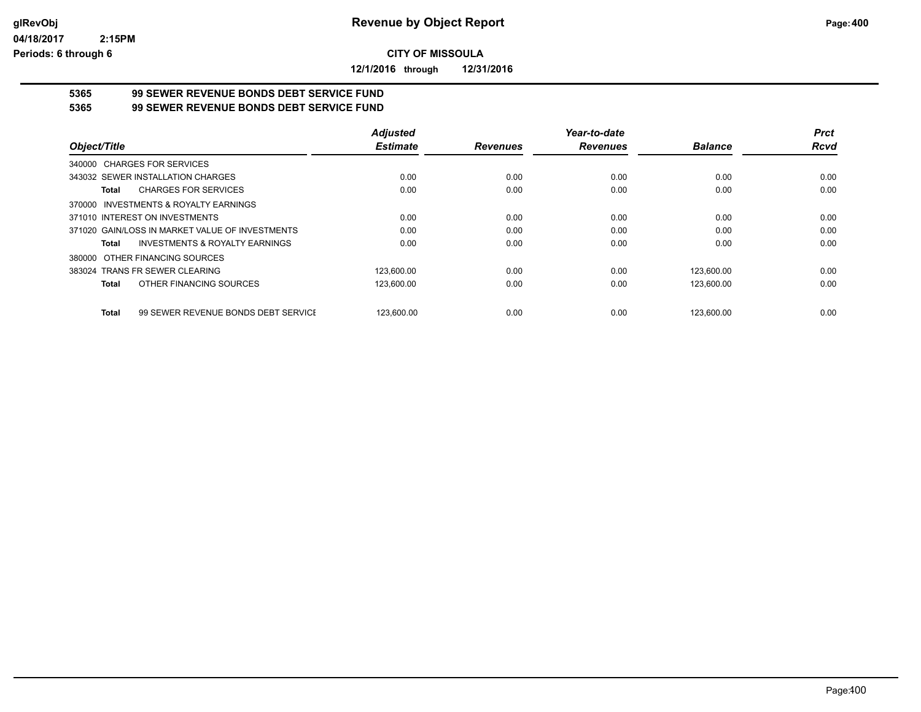**12/1/2016 through 12/31/2016**

#### **5365 99 SEWER REVENUE BONDS DEBT SERVICE FUND 5365 99 SEWER REVENUE BONDS DEBT SERVICE FUND**

|                                                     | <b>Adjusted</b> |                 | Year-to-date    |                | <b>Prct</b> |
|-----------------------------------------------------|-----------------|-----------------|-----------------|----------------|-------------|
| Object/Title                                        | <b>Estimate</b> | <b>Revenues</b> | <b>Revenues</b> | <b>Balance</b> | Rcvd        |
| <b>CHARGES FOR SERVICES</b><br>340000               |                 |                 |                 |                |             |
| 343032 SEWER INSTALLATION CHARGES                   | 0.00            | 0.00            | 0.00            | 0.00           | 0.00        |
| <b>CHARGES FOR SERVICES</b><br>Total                | 0.00            | 0.00            | 0.00            | 0.00           | 0.00        |
| INVESTMENTS & ROYALTY EARNINGS<br>370000            |                 |                 |                 |                |             |
| 371010 INTEREST ON INVESTMENTS                      | 0.00            | 0.00            | 0.00            | 0.00           | 0.00        |
| 371020 GAIN/LOSS IN MARKET VALUE OF INVESTMENTS     | 0.00            | 0.00            | 0.00            | 0.00           | 0.00        |
| <b>INVESTMENTS &amp; ROYALTY EARNINGS</b><br>Total  | 0.00            | 0.00            | 0.00            | 0.00           | 0.00        |
| OTHER FINANCING SOURCES<br>380000                   |                 |                 |                 |                |             |
| 383024 TRANS FR SEWER CLEARING                      | 123,600.00      | 0.00            | 0.00            | 123,600.00     | 0.00        |
| OTHER FINANCING SOURCES<br><b>Total</b>             | 123,600.00      | 0.00            | 0.00            | 123,600.00     | 0.00        |
| 99 SEWER REVENUE BONDS DEBT SERVICE<br><b>Total</b> | 123.600.00      | 0.00            | 0.00            | 123,600.00     | 0.00        |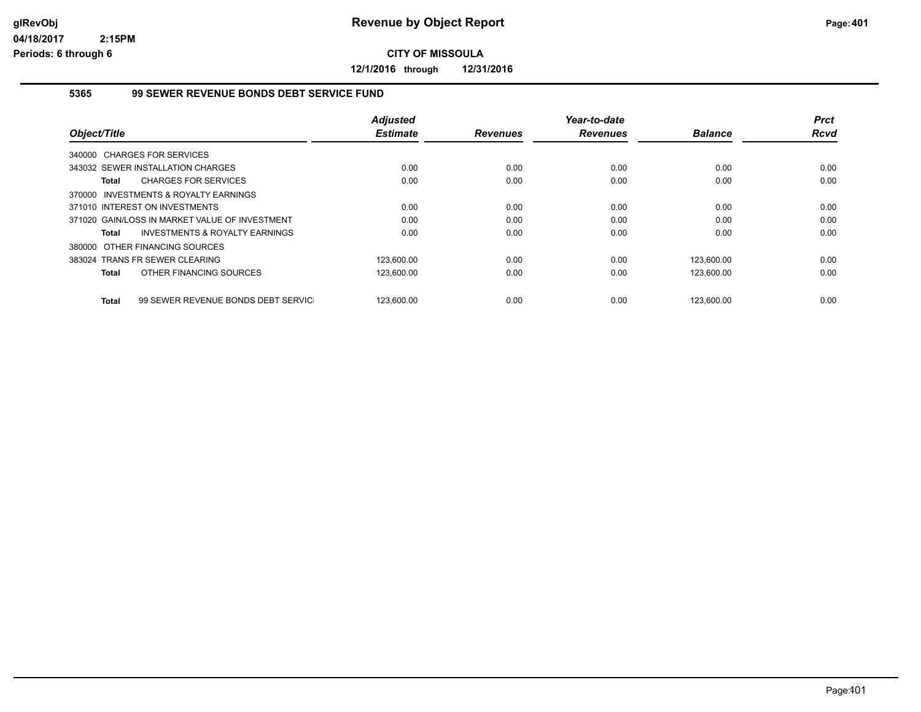**12/1/2016 through 12/31/2016**

## **5365 99 SEWER REVENUE BONDS DEBT SERVICE FUND**

| Object/Title                                       | <b>Adjusted</b><br><b>Estimate</b> | <b>Revenues</b> | Year-to-date<br><b>Revenues</b> | <b>Balance</b> | <b>Prct</b><br><b>Rcvd</b> |
|----------------------------------------------------|------------------------------------|-----------------|---------------------------------|----------------|----------------------------|
| <b>CHARGES FOR SERVICES</b><br>340000              |                                    |                 |                                 |                |                            |
| 343032 SEWER INSTALLATION CHARGES                  | 0.00                               | 0.00            | 0.00                            | 0.00           | 0.00                       |
| <b>CHARGES FOR SERVICES</b><br><b>Total</b>        | 0.00                               | 0.00            | 0.00                            | 0.00           | 0.00                       |
| 370000 INVESTMENTS & ROYALTY EARNINGS              |                                    |                 |                                 |                |                            |
| 371010 INTEREST ON INVESTMENTS                     | 0.00                               | 0.00            | 0.00                            | 0.00           | 0.00                       |
| 371020 GAIN/LOSS IN MARKET VALUE OF INVESTMENT     | 0.00                               | 0.00            | 0.00                            | 0.00           | 0.00                       |
| INVESTMENTS & ROYALTY EARNINGS<br><b>Total</b>     | 0.00                               | 0.00            | 0.00                            | 0.00           | 0.00                       |
| 380000 OTHER FINANCING SOURCES                     |                                    |                 |                                 |                |                            |
| 383024 TRANS FR SEWER CLEARING                     | 123,600.00                         | 0.00            | 0.00                            | 123,600.00     | 0.00                       |
| OTHER FINANCING SOURCES<br><b>Total</b>            | 123,600.00                         | 0.00            | 0.00                            | 123,600.00     | 0.00                       |
| 99 SEWER REVENUE BONDS DEBT SERVIC<br><b>Total</b> | 123.600.00                         | 0.00            | 0.00                            | 123.600.00     | 0.00                       |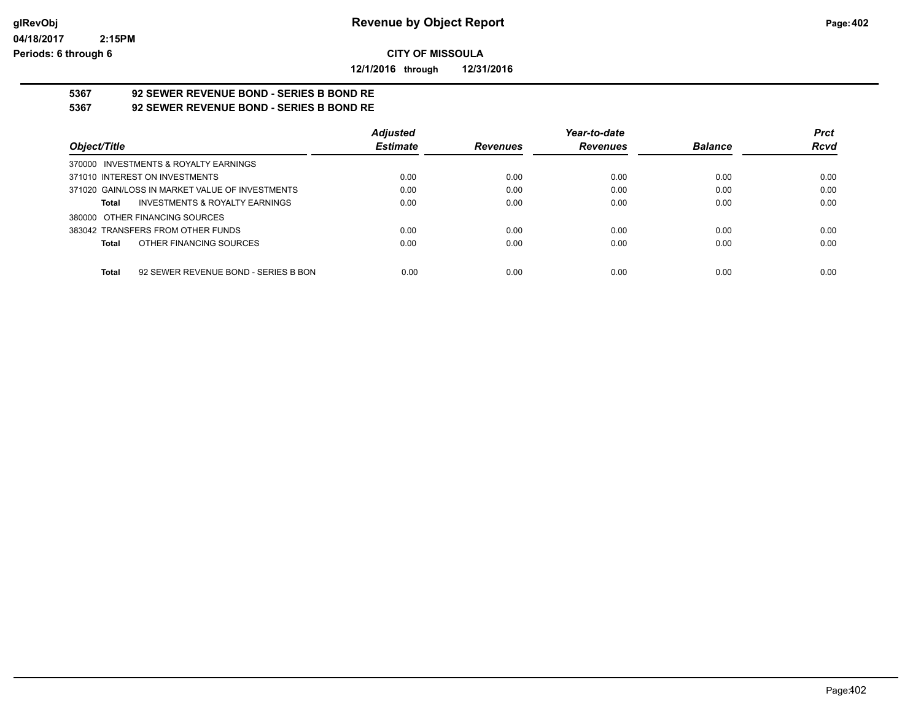**12/1/2016 through 12/31/2016**

#### **5367 92 SEWER REVENUE BOND - SERIES B BOND RE 5367 92 SEWER REVENUE BOND - SERIES B BOND RE**

|                                                      | <b>Adiusted</b> |                 | Year-to-date    |                | <b>Prct</b> |
|------------------------------------------------------|-----------------|-----------------|-----------------|----------------|-------------|
| Object/Title                                         | <b>Estimate</b> | <b>Revenues</b> | <b>Revenues</b> | <b>Balance</b> | <b>Rcvd</b> |
| 370000 INVESTMENTS & ROYALTY EARNINGS                |                 |                 |                 |                |             |
| 371010 INTEREST ON INVESTMENTS                       | 0.00            | 0.00            | 0.00            | 0.00           | 0.00        |
| 371020 GAIN/LOSS IN MARKET VALUE OF INVESTMENTS      | 0.00            | 0.00            | 0.00            | 0.00           | 0.00        |
| <b>INVESTMENTS &amp; ROYALTY EARNINGS</b><br>Total   | 0.00            | 0.00            | 0.00            | 0.00           | 0.00        |
| 380000 OTHER FINANCING SOURCES                       |                 |                 |                 |                |             |
| 383042 TRANSFERS FROM OTHER FUNDS                    | 0.00            | 0.00            | 0.00            | 0.00           | 0.00        |
| OTHER FINANCING SOURCES<br>Total                     | 0.00            | 0.00            | 0.00            | 0.00           | 0.00        |
|                                                      |                 |                 |                 |                |             |
| <b>Total</b><br>92 SEWER REVENUE BOND - SERIES B BON | 0.00            | 0.00            | 0.00            | 0.00           | 0.00        |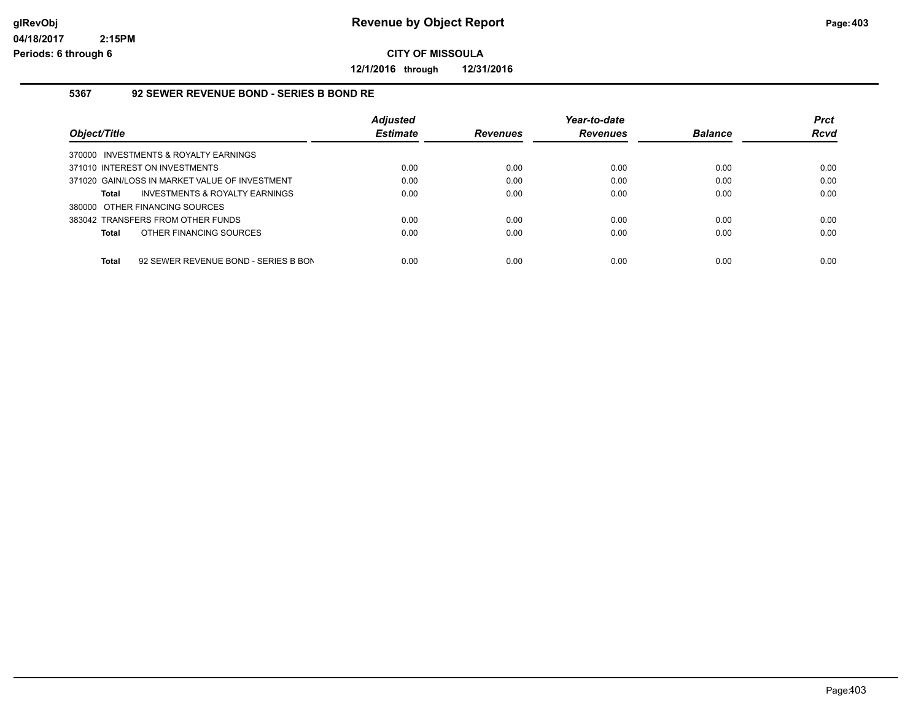**12/1/2016 through 12/31/2016**

## **5367 92 SEWER REVENUE BOND - SERIES B BOND RE**

| Object/Title                                         | <b>Adjusted</b><br><b>Estimate</b> | <b>Revenues</b> | Year-to-date<br><b>Revenues</b> | <b>Balance</b> | <b>Prct</b><br><b>Rcvd</b> |
|------------------------------------------------------|------------------------------------|-----------------|---------------------------------|----------------|----------------------------|
| 370000 INVESTMENTS & ROYALTY EARNINGS                |                                    |                 |                                 |                |                            |
| 371010 INTEREST ON INVESTMENTS                       | 0.00                               | 0.00            | 0.00                            | 0.00           | 0.00                       |
| 371020 GAIN/LOSS IN MARKET VALUE OF INVESTMENT       | 0.00                               | 0.00            | 0.00                            | 0.00           | 0.00                       |
| Total<br>INVESTMENTS & ROYALTY EARNINGS              | 0.00                               | 0.00            | 0.00                            | 0.00           | 0.00                       |
| 380000 OTHER FINANCING SOURCES                       |                                    |                 |                                 |                |                            |
| 383042 TRANSFERS FROM OTHER FUNDS                    | 0.00                               | 0.00            | 0.00                            | 0.00           | 0.00                       |
| OTHER FINANCING SOURCES<br>Total                     | 0.00                               | 0.00            | 0.00                            | 0.00           | 0.00                       |
|                                                      |                                    |                 |                                 |                |                            |
| <b>Total</b><br>92 SEWER REVENUE BOND - SERIES B BON | 0.00                               | 0.00            | 0.00                            | 0.00           | 0.00                       |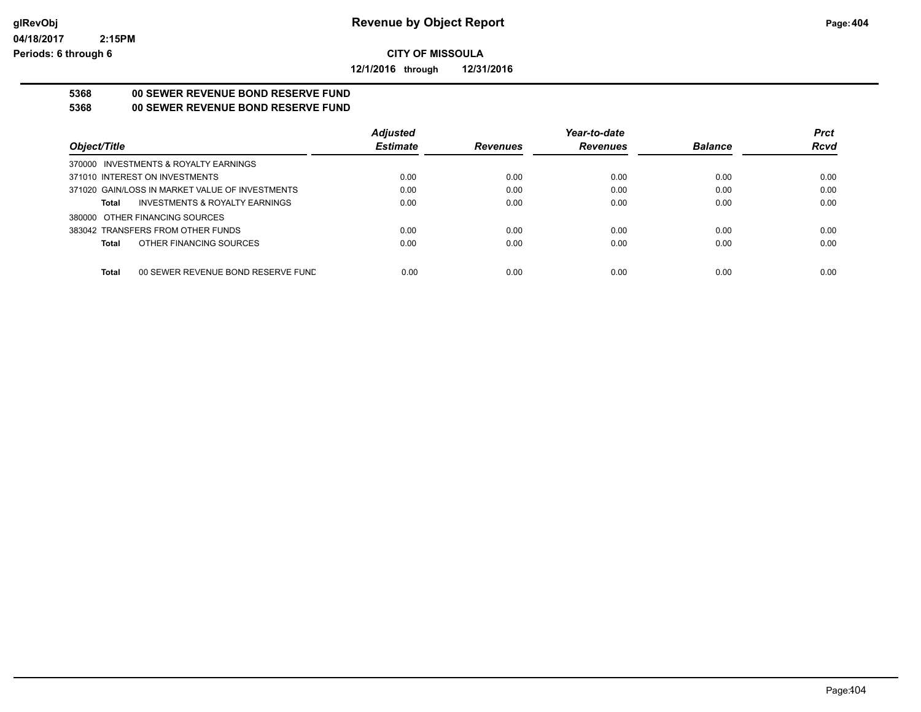**12/1/2016 through 12/31/2016**

### **5368 00 SEWER REVENUE BOND RESERVE FUND 5368 00 SEWER REVENUE BOND RESERVE FUND**

|                                                    | <b>Adjusted</b> |                 | Year-to-date    |                | <b>Prct</b> |
|----------------------------------------------------|-----------------|-----------------|-----------------|----------------|-------------|
| Object/Title                                       | <b>Estimate</b> | <b>Revenues</b> | <b>Revenues</b> | <b>Balance</b> | Rcvd        |
| 370000 INVESTMENTS & ROYALTY EARNINGS              |                 |                 |                 |                |             |
| 371010 INTEREST ON INVESTMENTS                     | 0.00            | 0.00            | 0.00            | 0.00           | 0.00        |
| 371020 GAIN/LOSS IN MARKET VALUE OF INVESTMENTS    | 0.00            | 0.00            | 0.00            | 0.00           | 0.00        |
| INVESTMENTS & ROYALTY EARNINGS<br>Total            | 0.00            | 0.00            | 0.00            | 0.00           | 0.00        |
| 380000 OTHER FINANCING SOURCES                     |                 |                 |                 |                |             |
| 383042 TRANSFERS FROM OTHER FUNDS                  | 0.00            | 0.00            | 0.00            | 0.00           | 0.00        |
| OTHER FINANCING SOURCES<br>Total                   | 0.00            | 0.00            | 0.00            | 0.00           | 0.00        |
|                                                    |                 |                 |                 |                |             |
| 00 SEWER REVENUE BOND RESERVE FUND<br><b>Total</b> | 0.00            | 0.00            | 0.00            | 0.00           | 0.00        |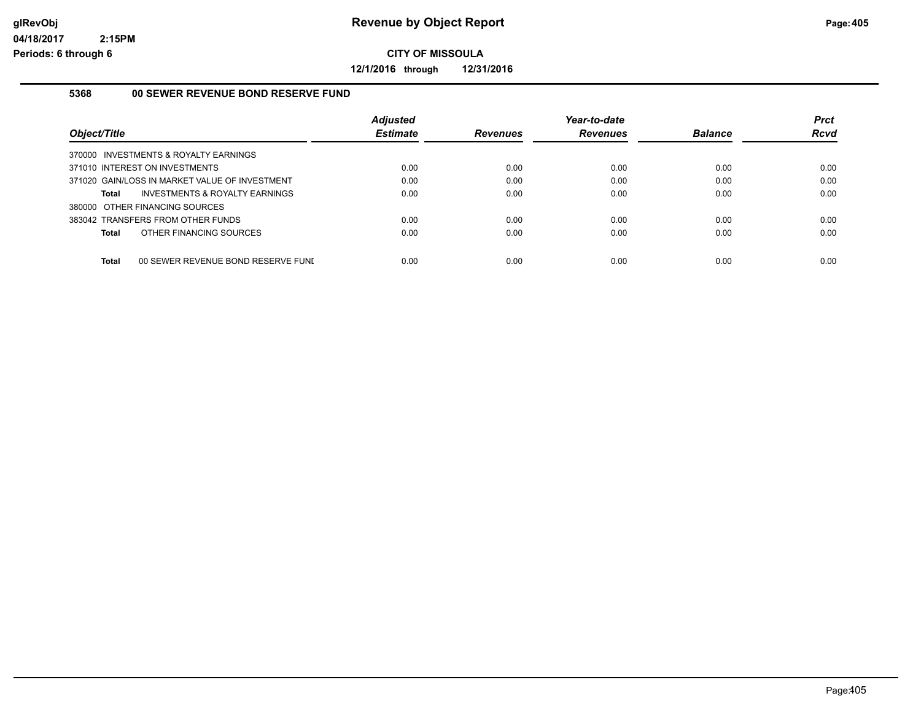**12/1/2016 through 12/31/2016**

#### **5368 00 SEWER REVENUE BOND RESERVE FUND**

| Object/Title                                       | <b>Adjusted</b><br><b>Estimate</b> | <b>Revenues</b> | Year-to-date<br><b>Revenues</b> | <b>Balance</b> | <b>Prct</b><br><b>Rcvd</b> |
|----------------------------------------------------|------------------------------------|-----------------|---------------------------------|----------------|----------------------------|
| 370000 INVESTMENTS & ROYALTY EARNINGS              |                                    |                 |                                 |                |                            |
| 371010 INTEREST ON INVESTMENTS                     | 0.00                               | 0.00            | 0.00                            | 0.00           | 0.00                       |
| 371020 GAIN/LOSS IN MARKET VALUE OF INVESTMENT     | 0.00                               | 0.00            | 0.00                            | 0.00           | 0.00                       |
| Total<br>INVESTMENTS & ROYALTY EARNINGS            | 0.00                               | 0.00            | 0.00                            | 0.00           | 0.00                       |
| 380000 OTHER FINANCING SOURCES                     |                                    |                 |                                 |                |                            |
| 383042 TRANSFERS FROM OTHER FUNDS                  | 0.00                               | 0.00            | 0.00                            | 0.00           | 0.00                       |
| OTHER FINANCING SOURCES<br>Total                   | 0.00                               | 0.00            | 0.00                            | 0.00           | 0.00                       |
|                                                    |                                    |                 |                                 |                |                            |
| <b>Total</b><br>00 SEWER REVENUE BOND RESERVE FUNI | 0.00                               | 0.00            | 0.00                            | 0.00           | 0.00                       |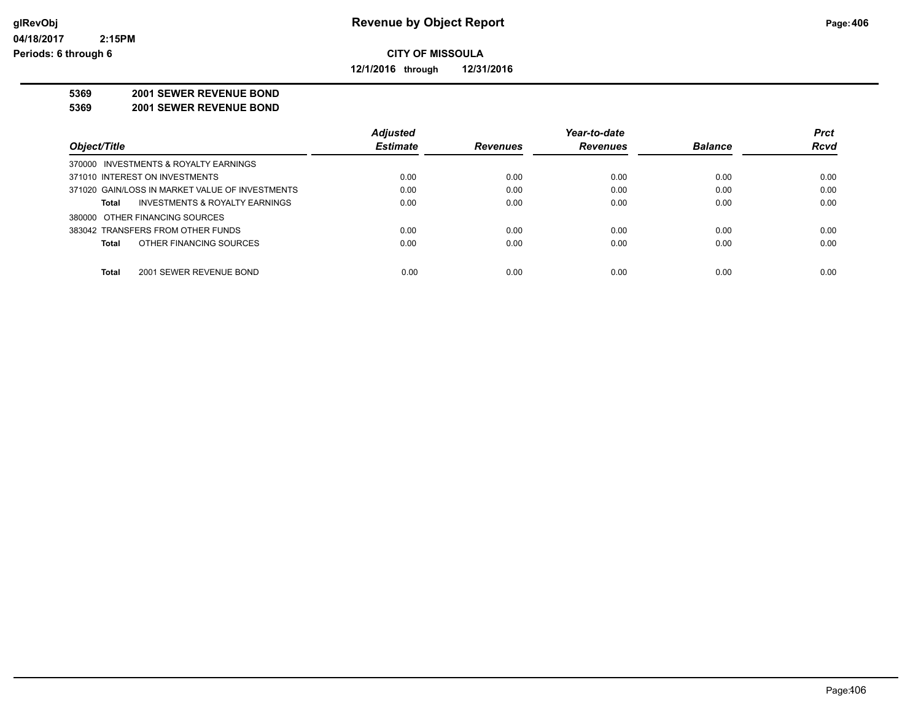**12/1/2016 through 12/31/2016**

**5369 2001 SEWER REVENUE BOND**

**5369 2001 SEWER REVENUE BOND**

|                                                 | <b>Adjusted</b> |                 | Year-to-date    |                | <b>Prct</b> |
|-------------------------------------------------|-----------------|-----------------|-----------------|----------------|-------------|
| Object/Title                                    | <b>Estimate</b> | <b>Revenues</b> | <b>Revenues</b> | <b>Balance</b> | <b>Rcvd</b> |
| 370000 INVESTMENTS & ROYALTY EARNINGS           |                 |                 |                 |                |             |
| 371010 INTEREST ON INVESTMENTS                  | 0.00            | 0.00            | 0.00            | 0.00           | 0.00        |
| 371020 GAIN/LOSS IN MARKET VALUE OF INVESTMENTS | 0.00            | 0.00            | 0.00            | 0.00           | 0.00        |
| INVESTMENTS & ROYALTY EARNINGS<br>Total         | 0.00            | 0.00            | 0.00            | 0.00           | 0.00        |
| 380000 OTHER FINANCING SOURCES                  |                 |                 |                 |                |             |
| 383042 TRANSFERS FROM OTHER FUNDS               | 0.00            | 0.00            | 0.00            | 0.00           | 0.00        |
| OTHER FINANCING SOURCES<br><b>Total</b>         | 0.00            | 0.00            | 0.00            | 0.00           | 0.00        |
| <b>Total</b><br>2001 SEWER REVENUE BOND         | 0.00            | 0.00            | 0.00            | 0.00           | 0.00        |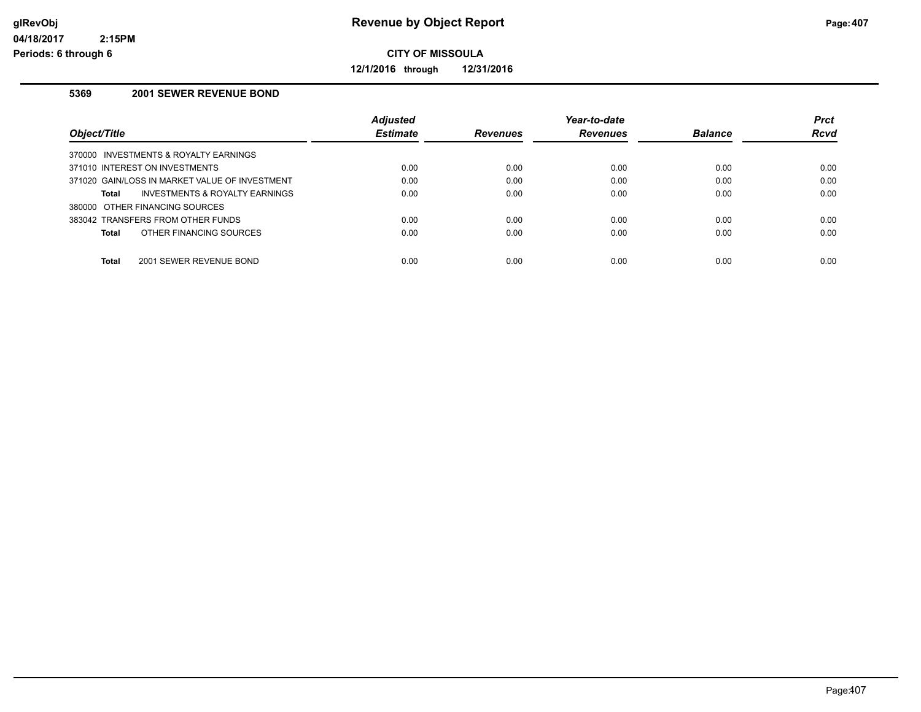**12/1/2016 through 12/31/2016**

#### **5369 2001 SEWER REVENUE BOND**

|                                                | <b>Adjusted</b> |                 | Year-to-date    | <b>Prct</b>    |             |
|------------------------------------------------|-----------------|-----------------|-----------------|----------------|-------------|
| Object/Title                                   | <b>Estimate</b> | <b>Revenues</b> | <b>Revenues</b> | <b>Balance</b> | <b>Rcvd</b> |
| 370000 INVESTMENTS & ROYALTY EARNINGS          |                 |                 |                 |                |             |
| 371010 INTEREST ON INVESTMENTS                 | 0.00            | 0.00            | 0.00            | 0.00           | 0.00        |
| 371020 GAIN/LOSS IN MARKET VALUE OF INVESTMENT | 0.00            | 0.00            | 0.00            | 0.00           | 0.00        |
| Total<br>INVESTMENTS & ROYALTY EARNINGS        | 0.00            | 0.00            | 0.00            | 0.00           | 0.00        |
| 380000 OTHER FINANCING SOURCES                 |                 |                 |                 |                |             |
| 383042 TRANSFERS FROM OTHER FUNDS              | 0.00            | 0.00            | 0.00            | 0.00           | 0.00        |
| OTHER FINANCING SOURCES<br>Total               | 0.00            | 0.00            | 0.00            | 0.00           | 0.00        |
| Total<br>2001 SEWER REVENUE BOND               | 0.00            | 0.00            | 0.00            | 0.00           | 0.00        |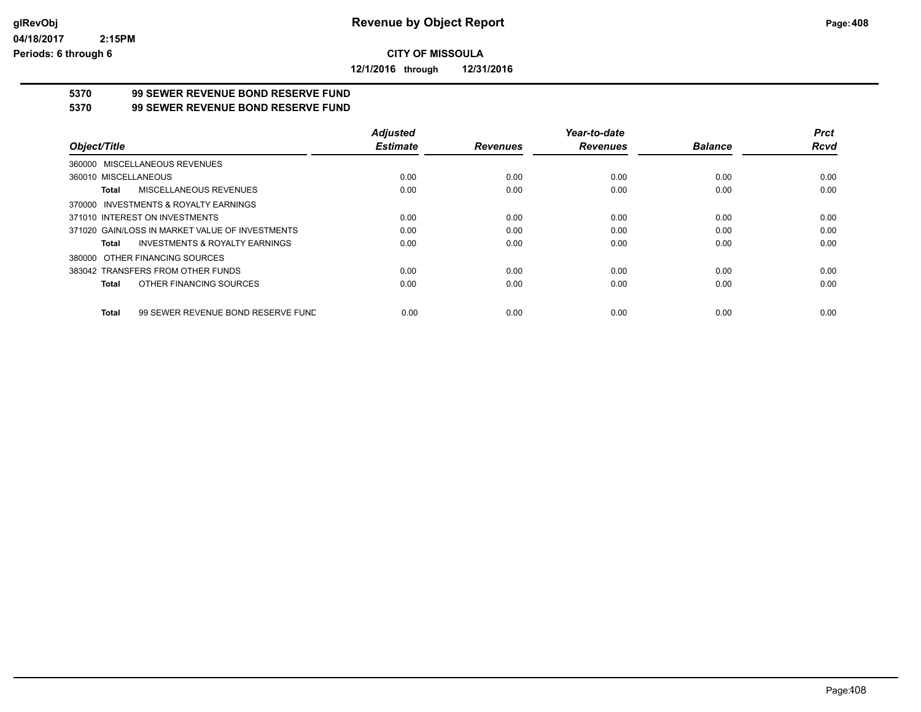**12/1/2016 through 12/31/2016**

### **5370 99 SEWER REVENUE BOND RESERVE FUND 5370 99 SEWER REVENUE BOND RESERVE FUND**

|                                                    | <b>Adjusted</b> |                 | Year-to-date    |                | <b>Prct</b> |
|----------------------------------------------------|-----------------|-----------------|-----------------|----------------|-------------|
| Object/Title                                       | <b>Estimate</b> | <b>Revenues</b> | <b>Revenues</b> | <b>Balance</b> | Rcvd        |
| 360000 MISCELLANEOUS REVENUES                      |                 |                 |                 |                |             |
| 360010 MISCELLANEOUS                               | 0.00            | 0.00            | 0.00            | 0.00           | 0.00        |
| MISCELLANEOUS REVENUES<br><b>Total</b>             | 0.00            | 0.00            | 0.00            | 0.00           | 0.00        |
| 370000 INVESTMENTS & ROYALTY EARNINGS              |                 |                 |                 |                |             |
| 371010 INTEREST ON INVESTMENTS                     | 0.00            | 0.00            | 0.00            | 0.00           | 0.00        |
| 371020 GAIN/LOSS IN MARKET VALUE OF INVESTMENTS    | 0.00            | 0.00            | 0.00            | 0.00           | 0.00        |
| <b>INVESTMENTS &amp; ROYALTY EARNINGS</b><br>Total | 0.00            | 0.00            | 0.00            | 0.00           | 0.00        |
| 380000 OTHER FINANCING SOURCES                     |                 |                 |                 |                |             |
| 383042 TRANSFERS FROM OTHER FUNDS                  | 0.00            | 0.00            | 0.00            | 0.00           | 0.00        |
| OTHER FINANCING SOURCES<br>Total                   | 0.00            | 0.00            | 0.00            | 0.00           | 0.00        |
| 99 SEWER REVENUE BOND RESERVE FUND<br><b>Total</b> | 0.00            | 0.00            | 0.00            | 0.00           | 0.00        |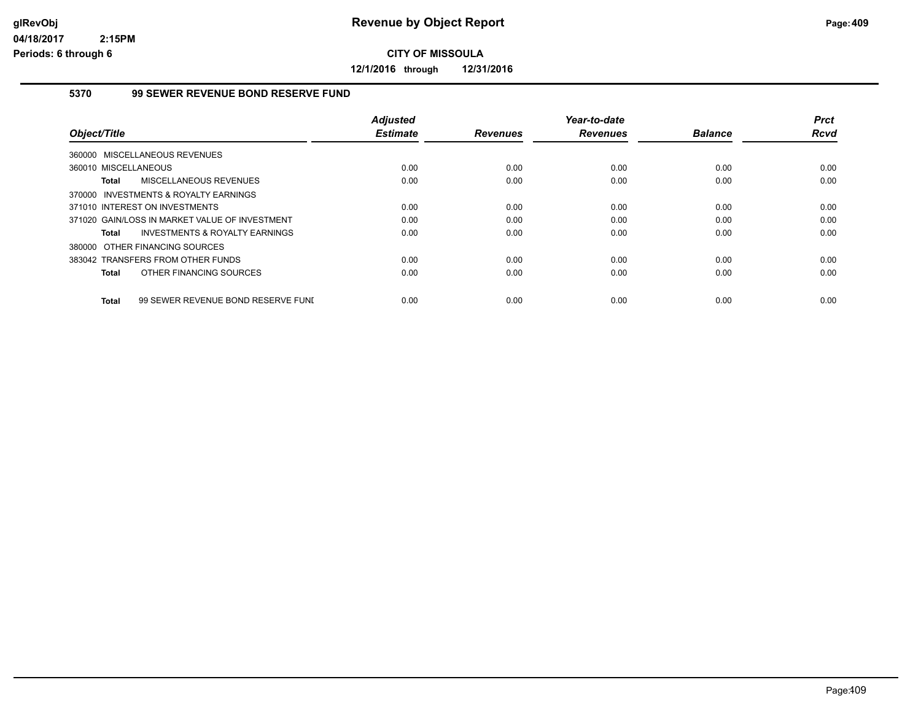**12/1/2016 through 12/31/2016**

#### **5370 99 SEWER REVENUE BOND RESERVE FUND**

| Object/Title                                       | <b>Adjusted</b><br><b>Estimate</b> | <b>Revenues</b> | Year-to-date<br><b>Revenues</b> | <b>Balance</b> | <b>Prct</b><br><b>Rcvd</b> |
|----------------------------------------------------|------------------------------------|-----------------|---------------------------------|----------------|----------------------------|
| 360000 MISCELLANEOUS REVENUES                      |                                    |                 |                                 |                |                            |
| 360010 MISCELLANEOUS                               | 0.00                               | 0.00            | 0.00                            | 0.00           | 0.00                       |
| MISCELLANEOUS REVENUES<br>Total                    | 0.00                               | 0.00            | 0.00                            | 0.00           | 0.00                       |
| 370000 INVESTMENTS & ROYALTY EARNINGS              |                                    |                 |                                 |                |                            |
| 371010 INTEREST ON INVESTMENTS                     | 0.00                               | 0.00            | 0.00                            | 0.00           | 0.00                       |
| 371020 GAIN/LOSS IN MARKET VALUE OF INVESTMENT     | 0.00                               | 0.00            | 0.00                            | 0.00           | 0.00                       |
| INVESTMENTS & ROYALTY EARNINGS<br>Total            | 0.00                               | 0.00            | 0.00                            | 0.00           | 0.00                       |
| 380000 OTHER FINANCING SOURCES                     |                                    |                 |                                 |                |                            |
| 383042 TRANSFERS FROM OTHER FUNDS                  | 0.00                               | 0.00            | 0.00                            | 0.00           | 0.00                       |
| OTHER FINANCING SOURCES<br>Total                   | 0.00                               | 0.00            | 0.00                            | 0.00           | 0.00                       |
| 99 SEWER REVENUE BOND RESERVE FUNI<br><b>Total</b> | 0.00                               | 0.00            | 0.00                            | 0.00           | 0.00                       |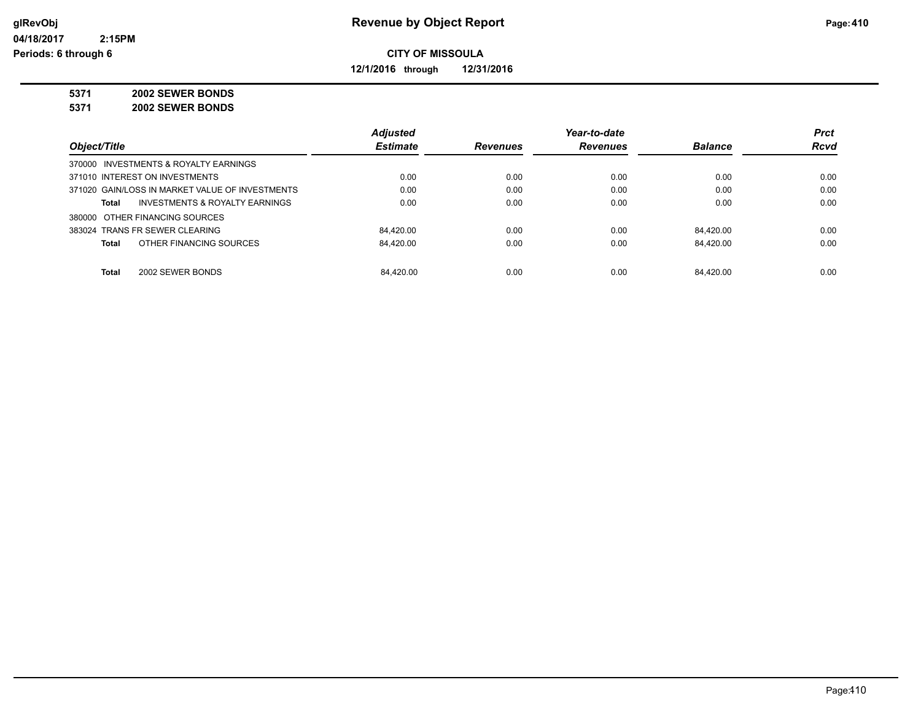**12/1/2016 through 12/31/2016**

**5371 2002 SEWER BONDS**

**5371 2002 SEWER BONDS**

|                                                 | <b>Adjusted</b> |                 | Year-to-date    |                | <b>Prct</b> |
|-------------------------------------------------|-----------------|-----------------|-----------------|----------------|-------------|
| Object/Title                                    | <b>Estimate</b> | <b>Revenues</b> | <b>Revenues</b> | <b>Balance</b> | <b>Rcvd</b> |
| 370000 INVESTMENTS & ROYALTY EARNINGS           |                 |                 |                 |                |             |
| 371010 INTEREST ON INVESTMENTS                  | 0.00            | 0.00            | 0.00            | 0.00           | 0.00        |
| 371020 GAIN/LOSS IN MARKET VALUE OF INVESTMENTS | 0.00            | 0.00            | 0.00            | 0.00           | 0.00        |
| INVESTMENTS & ROYALTY EARNINGS<br>Total         | 0.00            | 0.00            | 0.00            | 0.00           | 0.00        |
| 380000 OTHER FINANCING SOURCES                  |                 |                 |                 |                |             |
| 383024 TRANS FR SEWER CLEARING                  | 84.420.00       | 0.00            | 0.00            | 84.420.00      | 0.00        |
| OTHER FINANCING SOURCES<br>Total                | 84.420.00       | 0.00            | 0.00            | 84.420.00      | 0.00        |
| <b>Total</b><br>2002 SEWER BONDS                | 84.420.00       | 0.00            | 0.00            | 84.420.00      | 0.00        |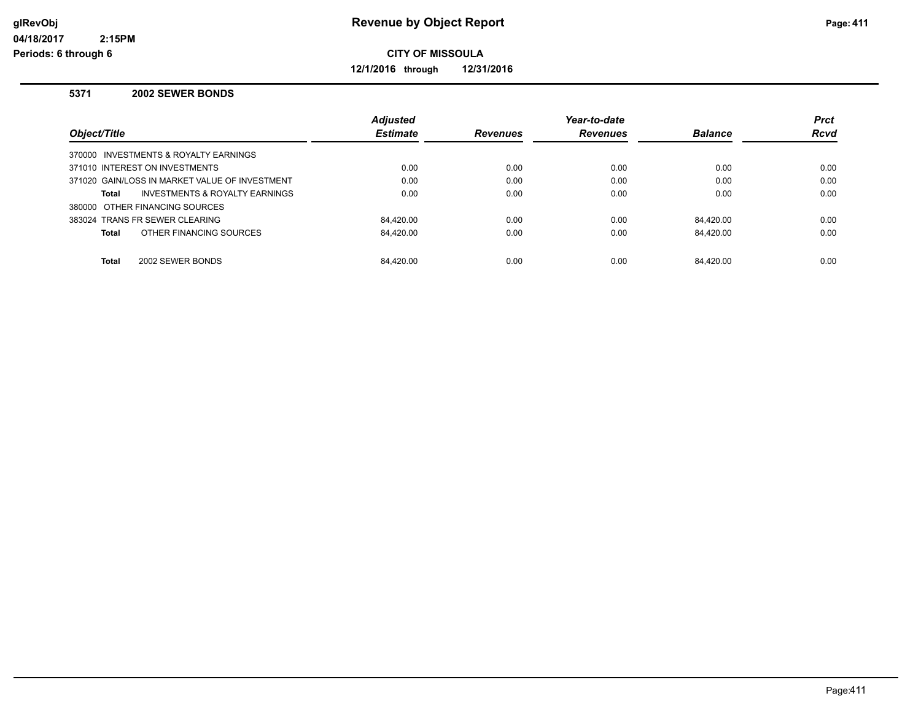**12/1/2016 through 12/31/2016**

#### **5371 2002 SEWER BONDS**

|                                                | <b>Adjusted</b> |                 | Year-to-date    |                | <b>Prct</b> |
|------------------------------------------------|-----------------|-----------------|-----------------|----------------|-------------|
| Object/Title                                   | <b>Estimate</b> | <b>Revenues</b> | <b>Revenues</b> | <b>Balance</b> | <b>Rcvd</b> |
| 370000 INVESTMENTS & ROYALTY EARNINGS          |                 |                 |                 |                |             |
| 371010 INTEREST ON INVESTMENTS                 | 0.00            | 0.00            | 0.00            | 0.00           | 0.00        |
| 371020 GAIN/LOSS IN MARKET VALUE OF INVESTMENT | 0.00            | 0.00            | 0.00            | 0.00           | 0.00        |
| INVESTMENTS & ROYALTY EARNINGS<br>Total        | 0.00            | 0.00            | 0.00            | 0.00           | 0.00        |
| 380000 OTHER FINANCING SOURCES                 |                 |                 |                 |                |             |
| 383024 TRANS FR SEWER CLEARING                 | 84.420.00       | 0.00            | 0.00            | 84.420.00      | 0.00        |
| OTHER FINANCING SOURCES<br>Total               | 84.420.00       | 0.00            | 0.00            | 84.420.00      | 0.00        |
| 2002 SEWER BONDS<br>Total                      | 84.420.00       | 0.00            | 0.00            | 84.420.00      | 0.00        |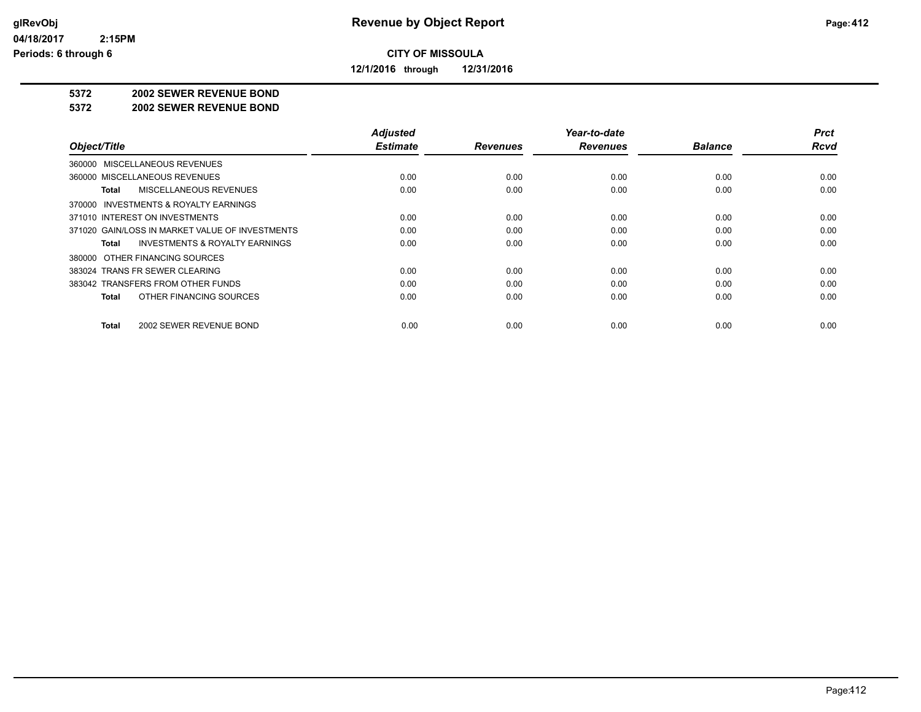**12/1/2016 through 12/31/2016**

**5372 2002 SEWER REVENUE BOND**

**5372 2002 SEWER REVENUE BOND**

|                                                    | <b>Adjusted</b> |                 | Year-to-date    |                | <b>Prct</b> |
|----------------------------------------------------|-----------------|-----------------|-----------------|----------------|-------------|
| Object/Title                                       | <b>Estimate</b> | <b>Revenues</b> | <b>Revenues</b> | <b>Balance</b> | <b>Rcvd</b> |
| 360000 MISCELLANEOUS REVENUES                      |                 |                 |                 |                |             |
| 360000 MISCELLANEOUS REVENUES                      | 0.00            | 0.00            | 0.00            | 0.00           | 0.00        |
| MISCELLANEOUS REVENUES<br>Total                    | 0.00            | 0.00            | 0.00            | 0.00           | 0.00        |
| 370000 INVESTMENTS & ROYALTY EARNINGS              |                 |                 |                 |                |             |
| 371010 INTEREST ON INVESTMENTS                     | 0.00            | 0.00            | 0.00            | 0.00           | 0.00        |
| 371020 GAIN/LOSS IN MARKET VALUE OF INVESTMENTS    | 0.00            | 0.00            | 0.00            | 0.00           | 0.00        |
| <b>INVESTMENTS &amp; ROYALTY EARNINGS</b><br>Total | 0.00            | 0.00            | 0.00            | 0.00           | 0.00        |
| 380000 OTHER FINANCING SOURCES                     |                 |                 |                 |                |             |
| 383024 TRANS FR SEWER CLEARING                     | 0.00            | 0.00            | 0.00            | 0.00           | 0.00        |
| 383042 TRANSFERS FROM OTHER FUNDS                  | 0.00            | 0.00            | 0.00            | 0.00           | 0.00        |
| OTHER FINANCING SOURCES<br>Total                   | 0.00            | 0.00            | 0.00            | 0.00           | 0.00        |
| 2002 SEWER REVENUE BOND<br>Total                   | 0.00            | 0.00            | 0.00            | 0.00           | 0.00        |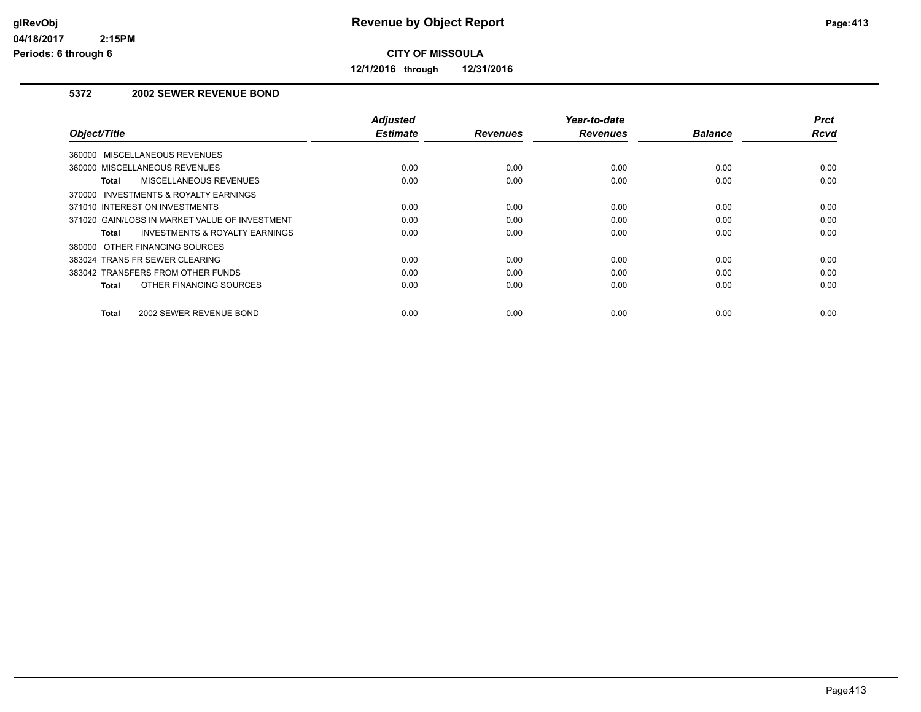**12/1/2016 through 12/31/2016**

#### **5372 2002 SEWER REVENUE BOND**

| Object/Title                                        | <b>Adjusted</b><br><b>Estimate</b> | <b>Revenues</b> | Year-to-date<br><b>Revenues</b> | <b>Balance</b> | <b>Prct</b><br>Rcvd |
|-----------------------------------------------------|------------------------------------|-----------------|---------------------------------|----------------|---------------------|
|                                                     |                                    |                 |                                 |                |                     |
| MISCELLANEOUS REVENUES<br>360000                    |                                    |                 |                                 |                |                     |
| 360000 MISCELLANEOUS REVENUES                       | 0.00                               | 0.00            | 0.00                            | 0.00           | 0.00                |
| MISCELLANEOUS REVENUES<br>Total                     | 0.00                               | 0.00            | 0.00                            | 0.00           | 0.00                |
| <b>INVESTMENTS &amp; ROYALTY EARNINGS</b><br>370000 |                                    |                 |                                 |                |                     |
| 371010 INTEREST ON INVESTMENTS                      | 0.00                               | 0.00            | 0.00                            | 0.00           | 0.00                |
| 371020 GAIN/LOSS IN MARKET VALUE OF INVESTMENT      | 0.00                               | 0.00            | 0.00                            | 0.00           | 0.00                |
| <b>INVESTMENTS &amp; ROYALTY EARNINGS</b><br>Total  | 0.00                               | 0.00            | 0.00                            | 0.00           | 0.00                |
| OTHER FINANCING SOURCES<br>380000                   |                                    |                 |                                 |                |                     |
| 383024 TRANS FR SEWER CLEARING                      | 0.00                               | 0.00            | 0.00                            | 0.00           | 0.00                |
| 383042 TRANSFERS FROM OTHER FUNDS                   | 0.00                               | 0.00            | 0.00                            | 0.00           | 0.00                |
| OTHER FINANCING SOURCES<br>Total                    | 0.00                               | 0.00            | 0.00                            | 0.00           | 0.00                |
| 2002 SEWER REVENUE BOND<br><b>Total</b>             | 0.00                               | 0.00            | 0.00                            | 0.00           | 0.00                |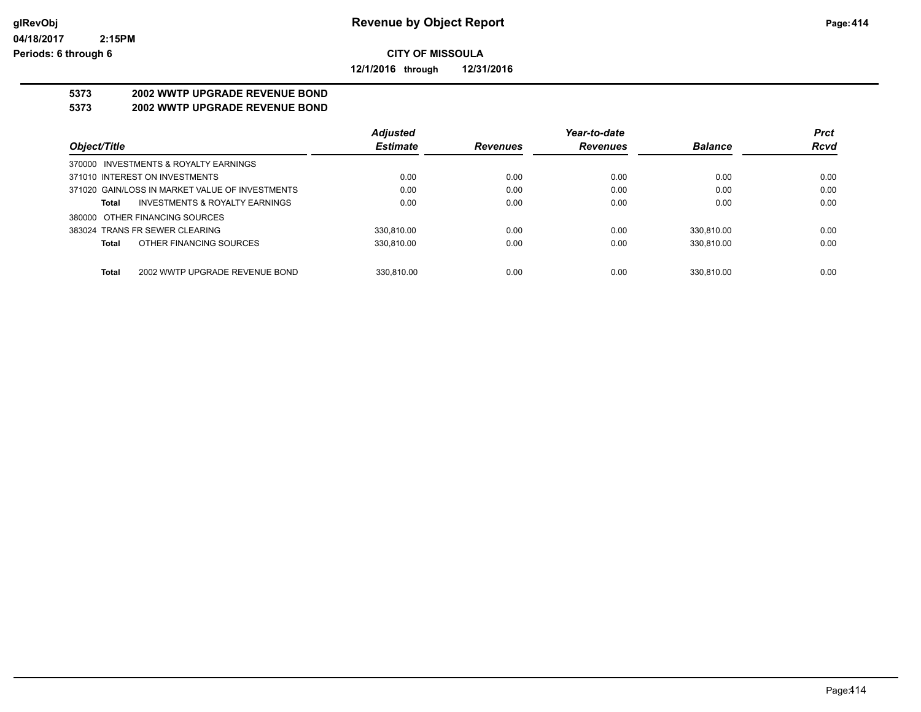**12/1/2016 through 12/31/2016**

### **5373 2002 WWTP UPGRADE REVENUE BOND 5373 2002 WWTP UPGRADE REVENUE BOND**

|                                                 | <b>Adjusted</b> |                 | Year-to-date    |                | <b>Prct</b> |
|-------------------------------------------------|-----------------|-----------------|-----------------|----------------|-------------|
| Object/Title                                    | <b>Estimate</b> | <b>Revenues</b> | <b>Revenues</b> | <b>Balance</b> | <b>Rcvd</b> |
| 370000 INVESTMENTS & ROYALTY EARNINGS           |                 |                 |                 |                |             |
| 371010 INTEREST ON INVESTMENTS                  | 0.00            | 0.00            | 0.00            | 0.00           | 0.00        |
| 371020 GAIN/LOSS IN MARKET VALUE OF INVESTMENTS | 0.00            | 0.00            | 0.00            | 0.00           | 0.00        |
| INVESTMENTS & ROYALTY EARNINGS<br>Total         | 0.00            | 0.00            | 0.00            | 0.00           | 0.00        |
| 380000 OTHER FINANCING SOURCES                  |                 |                 |                 |                |             |
| 383024 TRANS FR SEWER CLEARING                  | 330.810.00      | 0.00            | 0.00            | 330.810.00     | 0.00        |
| OTHER FINANCING SOURCES<br>Total                | 330.810.00      | 0.00            | 0.00            | 330.810.00     | 0.00        |
|                                                 |                 |                 |                 |                |             |
| <b>Total</b><br>2002 WWTP UPGRADE REVENUE BOND  | 330.810.00      | 0.00            | 0.00            | 330.810.00     | 0.00        |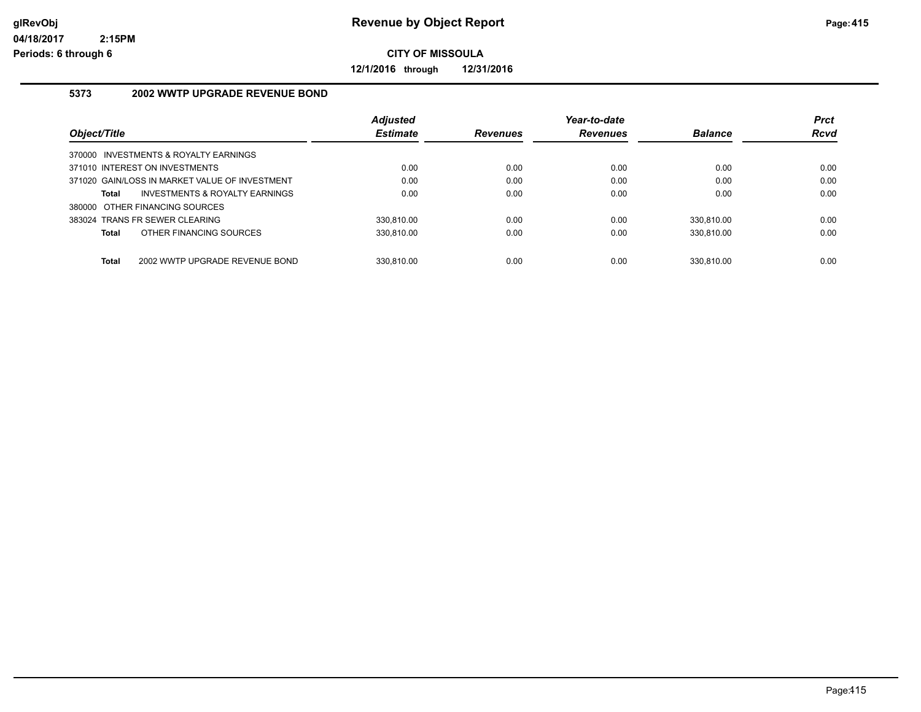**12/1/2016 through 12/31/2016**

#### **5373 2002 WWTP UPGRADE REVENUE BOND**

|                                                | <b>Adjusted</b> |                 | Year-to-date    |                | <b>Prct</b> |
|------------------------------------------------|-----------------|-----------------|-----------------|----------------|-------------|
| Object/Title                                   | <b>Estimate</b> | <b>Revenues</b> | <b>Revenues</b> | <b>Balance</b> | <b>Rcvd</b> |
| 370000 INVESTMENTS & ROYALTY EARNINGS          |                 |                 |                 |                |             |
| 371010 INTEREST ON INVESTMENTS                 | 0.00            | 0.00            | 0.00            | 0.00           | 0.00        |
| 371020 GAIN/LOSS IN MARKET VALUE OF INVESTMENT | 0.00            | 0.00            | 0.00            | 0.00           | 0.00        |
| INVESTMENTS & ROYALTY EARNINGS<br>Total        | 0.00            | 0.00            | 0.00            | 0.00           | 0.00        |
| 380000 OTHER FINANCING SOURCES                 |                 |                 |                 |                |             |
| 383024 TRANS FR SEWER CLEARING                 | 330.810.00      | 0.00            | 0.00            | 330.810.00     | 0.00        |
| OTHER FINANCING SOURCES<br><b>Total</b>        | 330.810.00      | 0.00            | 0.00            | 330.810.00     | 0.00        |
|                                                |                 |                 |                 |                |             |
| <b>Total</b><br>2002 WWTP UPGRADE REVENUE BOND | 330.810.00      | 0.00            | 0.00            | 330.810.00     | 0.00        |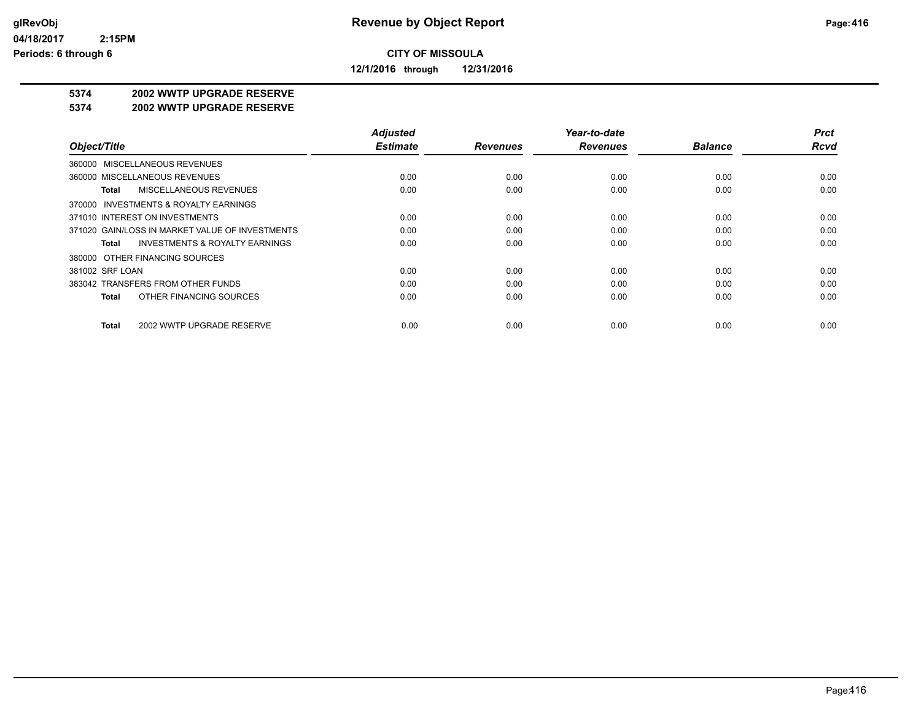**12/1/2016 through 12/31/2016**

**5374 2002 WWTP UPGRADE RESERVE**

**5374 2002 WWTP UPGRADE RESERVE**

|                                                    | <b>Adjusted</b> |                 | Year-to-date    |                | <b>Prct</b> |
|----------------------------------------------------|-----------------|-----------------|-----------------|----------------|-------------|
| Object/Title                                       | <b>Estimate</b> | <b>Revenues</b> | <b>Revenues</b> | <b>Balance</b> | Rcvd        |
| 360000 MISCELLANEOUS REVENUES                      |                 |                 |                 |                |             |
| 360000 MISCELLANEOUS REVENUES                      | 0.00            | 0.00            | 0.00            | 0.00           | 0.00        |
| MISCELLANEOUS REVENUES<br>Total                    | 0.00            | 0.00            | 0.00            | 0.00           | 0.00        |
| 370000 INVESTMENTS & ROYALTY EARNINGS              |                 |                 |                 |                |             |
| 371010 INTEREST ON INVESTMENTS                     | 0.00            | 0.00            | 0.00            | 0.00           | 0.00        |
| 371020 GAIN/LOSS IN MARKET VALUE OF INVESTMENTS    | 0.00            | 0.00            | 0.00            | 0.00           | 0.00        |
| <b>INVESTMENTS &amp; ROYALTY EARNINGS</b><br>Total | 0.00            | 0.00            | 0.00            | 0.00           | 0.00        |
| 380000 OTHER FINANCING SOURCES                     |                 |                 |                 |                |             |
| 381002 SRF LOAN                                    | 0.00            | 0.00            | 0.00            | 0.00           | 0.00        |
| 383042 TRANSFERS FROM OTHER FUNDS                  | 0.00            | 0.00            | 0.00            | 0.00           | 0.00        |
| OTHER FINANCING SOURCES<br><b>Total</b>            | 0.00            | 0.00            | 0.00            | 0.00           | 0.00        |
| 2002 WWTP UPGRADE RESERVE<br>Total                 | 0.00            | 0.00            | 0.00            | 0.00           | 0.00        |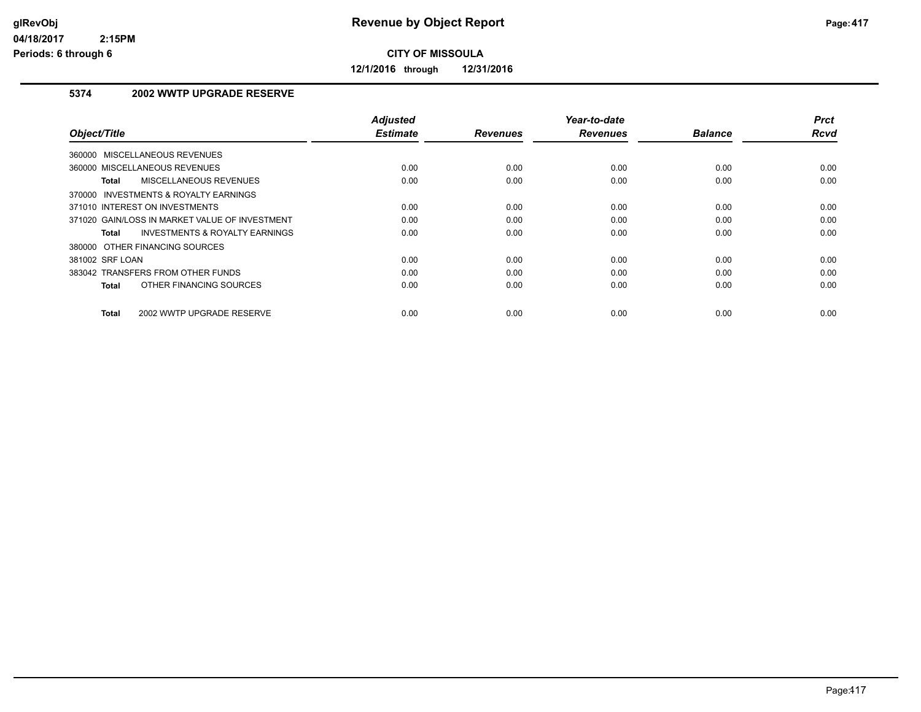**12/1/2016 through 12/31/2016**

#### **5374 2002 WWTP UPGRADE RESERVE**

| Object/Title                                       | <b>Adjusted</b><br><b>Estimate</b> | <b>Revenues</b> | Year-to-date<br><b>Revenues</b> | <b>Balance</b> | <b>Prct</b><br>Rcvd |
|----------------------------------------------------|------------------------------------|-----------------|---------------------------------|----------------|---------------------|
| <b>MISCELLANEOUS REVENUES</b><br>360000            |                                    |                 |                                 |                |                     |
| 360000 MISCELLANEOUS REVENUES                      | 0.00                               | 0.00            | 0.00                            | 0.00           | 0.00                |
| MISCELLANEOUS REVENUES<br>Total                    | 0.00                               | 0.00            | 0.00                            | 0.00           | 0.00                |
| 370000 INVESTMENTS & ROYALTY EARNINGS              |                                    |                 |                                 |                |                     |
| 371010 INTEREST ON INVESTMENTS                     | 0.00                               | 0.00            | 0.00                            | 0.00           | 0.00                |
| 371020 GAIN/LOSS IN MARKET VALUE OF INVESTMENT     | 0.00                               | 0.00            | 0.00                            | 0.00           | 0.00                |
| <b>INVESTMENTS &amp; ROYALTY EARNINGS</b><br>Total | 0.00                               | 0.00            | 0.00                            | 0.00           | 0.00                |
| 380000 OTHER FINANCING SOURCES                     |                                    |                 |                                 |                |                     |
| 381002 SRF LOAN                                    | 0.00                               | 0.00            | 0.00                            | 0.00           | 0.00                |
| 383042 TRANSFERS FROM OTHER FUNDS                  | 0.00                               | 0.00            | 0.00                            | 0.00           | 0.00                |
| OTHER FINANCING SOURCES<br><b>Total</b>            | 0.00                               | 0.00            | 0.00                            | 0.00           | 0.00                |
| Total<br>2002 WWTP UPGRADE RESERVE                 | 0.00                               | 0.00            | 0.00                            | 0.00           | 0.00                |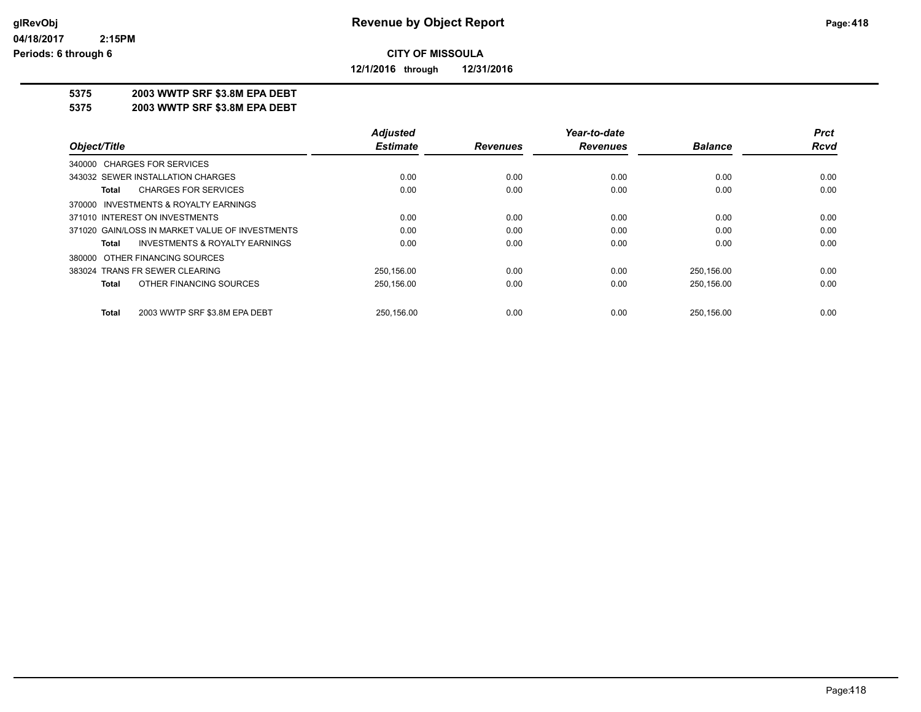**12/1/2016 through 12/31/2016**

**5375 2003 WWTP SRF \$3.8M EPA DEBT**

**5375 2003 WWTP SRF \$3.8M EPA DEBT**

|                                                    | <b>Adjusted</b> |                 | Year-to-date    |                | <b>Prct</b> |
|----------------------------------------------------|-----------------|-----------------|-----------------|----------------|-------------|
| Object/Title                                       | <b>Estimate</b> | <b>Revenues</b> | <b>Revenues</b> | <b>Balance</b> | <b>Rcvd</b> |
| 340000 CHARGES FOR SERVICES                        |                 |                 |                 |                |             |
| 343032 SEWER INSTALLATION CHARGES                  | 0.00            | 0.00            | 0.00            | 0.00           | 0.00        |
| <b>CHARGES FOR SERVICES</b><br>Total               | 0.00            | 0.00            | 0.00            | 0.00           | 0.00        |
| 370000 INVESTMENTS & ROYALTY EARNINGS              |                 |                 |                 |                |             |
| 371010 INTEREST ON INVESTMENTS                     | 0.00            | 0.00            | 0.00            | 0.00           | 0.00        |
| 371020 GAIN/LOSS IN MARKET VALUE OF INVESTMENTS    | 0.00            | 0.00            | 0.00            | 0.00           | 0.00        |
| <b>INVESTMENTS &amp; ROYALTY EARNINGS</b><br>Total | 0.00            | 0.00            | 0.00            | 0.00           | 0.00        |
| 380000 OTHER FINANCING SOURCES                     |                 |                 |                 |                |             |
| 383024 TRANS FR SEWER CLEARING                     | 250.156.00      | 0.00            | 0.00            | 250.156.00     | 0.00        |
| OTHER FINANCING SOURCES<br>Total                   | 250,156.00      | 0.00            | 0.00            | 250,156.00     | 0.00        |
| <b>Total</b><br>2003 WWTP SRF \$3.8M EPA DEBT      | 250.156.00      | 0.00            | 0.00            | 250.156.00     | 0.00        |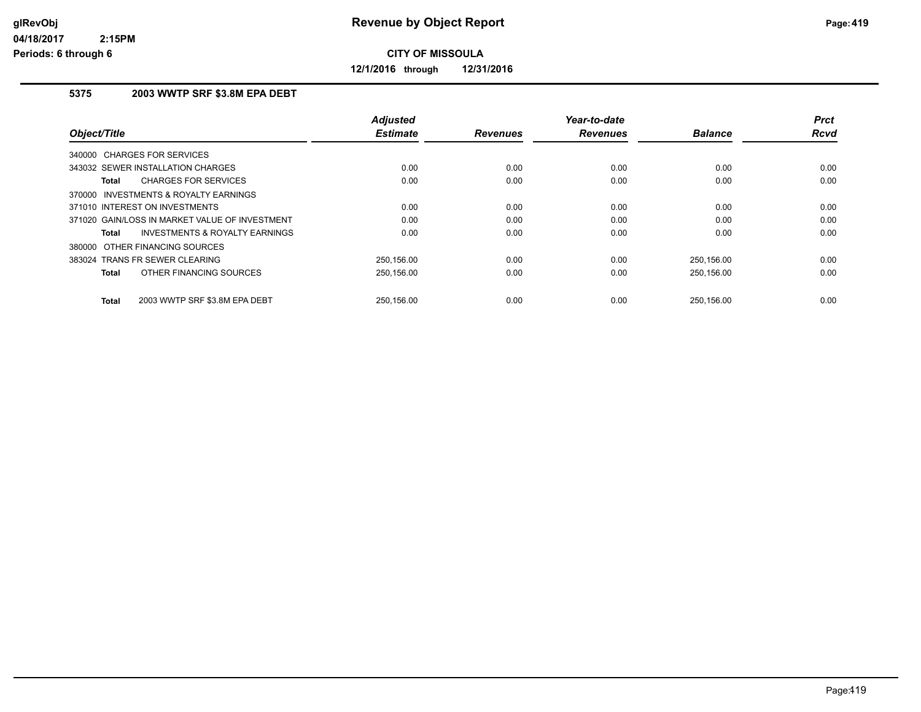**12/1/2016 through 12/31/2016**

#### **5375 2003 WWTP SRF \$3.8M EPA DEBT**

|                                                    | <b>Adjusted</b> |                 | Year-to-date    |                | <b>Prct</b> |
|----------------------------------------------------|-----------------|-----------------|-----------------|----------------|-------------|
| Object/Title                                       | <b>Estimate</b> | <b>Revenues</b> | <b>Revenues</b> | <b>Balance</b> | <b>Rcvd</b> |
| <b>CHARGES FOR SERVICES</b><br>340000              |                 |                 |                 |                |             |
| 343032 SEWER INSTALLATION CHARGES                  | 0.00            | 0.00            | 0.00            | 0.00           | 0.00        |
| <b>CHARGES FOR SERVICES</b><br>Total               | 0.00            | 0.00            | 0.00            | 0.00           | 0.00        |
| INVESTMENTS & ROYALTY EARNINGS<br>370000           |                 |                 |                 |                |             |
| 371010 INTEREST ON INVESTMENTS                     | 0.00            | 0.00            | 0.00            | 0.00           | 0.00        |
| 371020 GAIN/LOSS IN MARKET VALUE OF INVESTMENT     | 0.00            | 0.00            | 0.00            | 0.00           | 0.00        |
| <b>INVESTMENTS &amp; ROYALTY EARNINGS</b><br>Total | 0.00            | 0.00            | 0.00            | 0.00           | 0.00        |
| OTHER FINANCING SOURCES<br>380000                  |                 |                 |                 |                |             |
| 383024 TRANS FR SEWER CLEARING                     | 250,156.00      | 0.00            | 0.00            | 250,156.00     | 0.00        |
| OTHER FINANCING SOURCES<br>Total                   | 250,156.00      | 0.00            | 0.00            | 250,156.00     | 0.00        |
| 2003 WWTP SRF \$3.8M EPA DEBT<br><b>Total</b>      | 250.156.00      | 0.00            | 0.00            | 250.156.00     | 0.00        |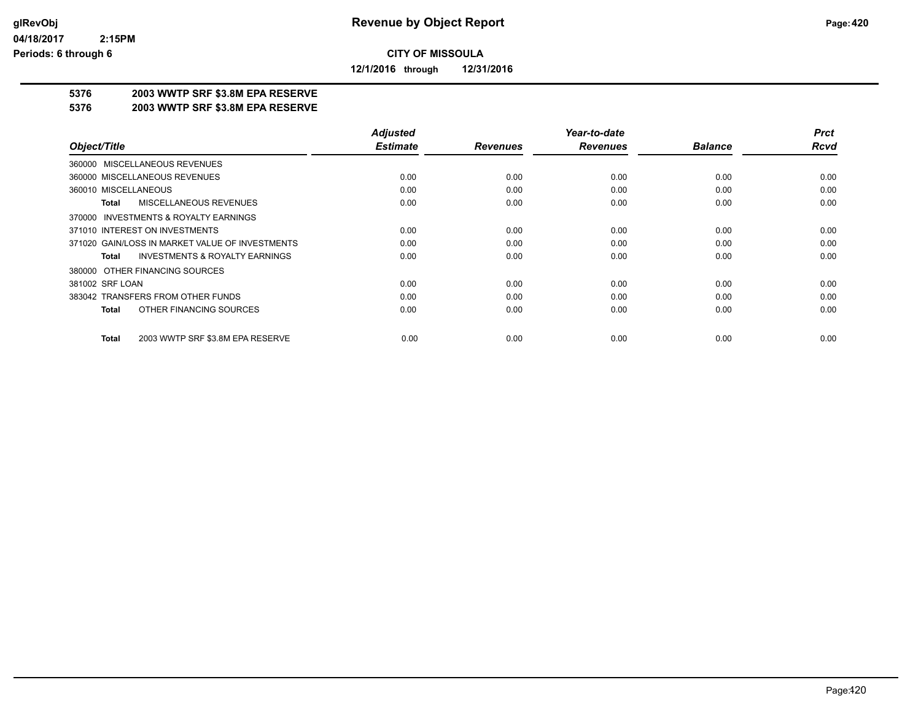**12/1/2016 through 12/31/2016**

**5376 2003 WWTP SRF \$3.8M EPA RESERVE**

**5376 2003 WWTP SRF \$3.8M EPA RESERVE**

|                                                    | <b>Adjusted</b> |                 | Year-to-date    |                | <b>Prct</b> |
|----------------------------------------------------|-----------------|-----------------|-----------------|----------------|-------------|
| Object/Title                                       | <b>Estimate</b> | <b>Revenues</b> | <b>Revenues</b> | <b>Balance</b> | <b>Rcvd</b> |
| 360000 MISCELLANEOUS REVENUES                      |                 |                 |                 |                |             |
| 360000 MISCELLANEOUS REVENUES                      | 0.00            | 0.00            | 0.00            | 0.00           | 0.00        |
| 360010 MISCELLANEOUS                               | 0.00            | 0.00            | 0.00            | 0.00           | 0.00        |
| MISCELLANEOUS REVENUES<br>Total                    | 0.00            | 0.00            | 0.00            | 0.00           | 0.00        |
| 370000 INVESTMENTS & ROYALTY EARNINGS              |                 |                 |                 |                |             |
| 371010 INTEREST ON INVESTMENTS                     | 0.00            | 0.00            | 0.00            | 0.00           | 0.00        |
| 371020 GAIN/LOSS IN MARKET VALUE OF INVESTMENTS    | 0.00            | 0.00            | 0.00            | 0.00           | 0.00        |
| <b>INVESTMENTS &amp; ROYALTY EARNINGS</b><br>Total | 0.00            | 0.00            | 0.00            | 0.00           | 0.00        |
| 380000 OTHER FINANCING SOURCES                     |                 |                 |                 |                |             |
| 381002 SRF LOAN                                    | 0.00            | 0.00            | 0.00            | 0.00           | 0.00        |
| 383042 TRANSFERS FROM OTHER FUNDS                  | 0.00            | 0.00            | 0.00            | 0.00           | 0.00        |
| OTHER FINANCING SOURCES<br>Total                   | 0.00            | 0.00            | 0.00            | 0.00           | 0.00        |
| 2003 WWTP SRF \$3.8M EPA RESERVE<br>Total          | 0.00            | 0.00            | 0.00            | 0.00           | 0.00        |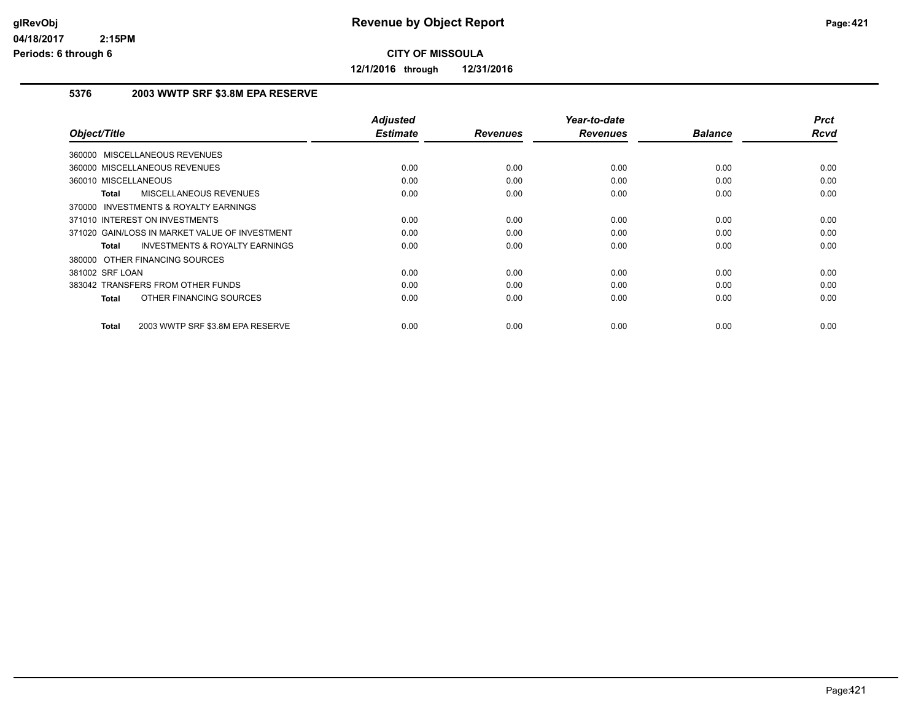**12/1/2016 through 12/31/2016**

#### **5376 2003 WWTP SRF \$3.8M EPA RESERVE**

| Object/Title                                       | <b>Adjusted</b><br><b>Estimate</b> | <b>Revenues</b> | Year-to-date<br><b>Revenues</b> | <b>Balance</b> | <b>Prct</b><br><b>Rcvd</b> |
|----------------------------------------------------|------------------------------------|-----------------|---------------------------------|----------------|----------------------------|
|                                                    |                                    |                 |                                 |                |                            |
| 360000 MISCELLANEOUS REVENUES                      |                                    |                 |                                 |                |                            |
| 360000 MISCELLANEOUS REVENUES                      | 0.00                               | 0.00            | 0.00                            | 0.00           | 0.00                       |
| 360010 MISCELLANEOUS                               | 0.00                               | 0.00            | 0.00                            | 0.00           | 0.00                       |
| <b>Total</b><br>MISCELLANEOUS REVENUES             | 0.00                               | 0.00            | 0.00                            | 0.00           | 0.00                       |
| 370000 INVESTMENTS & ROYALTY EARNINGS              |                                    |                 |                                 |                |                            |
| 371010 INTEREST ON INVESTMENTS                     | 0.00                               | 0.00            | 0.00                            | 0.00           | 0.00                       |
| 371020 GAIN/LOSS IN MARKET VALUE OF INVESTMENT     | 0.00                               | 0.00            | 0.00                            | 0.00           | 0.00                       |
| <b>INVESTMENTS &amp; ROYALTY EARNINGS</b><br>Total | 0.00                               | 0.00            | 0.00                            | 0.00           | 0.00                       |
| 380000 OTHER FINANCING SOURCES                     |                                    |                 |                                 |                |                            |
| 381002 SRF LOAN                                    | 0.00                               | 0.00            | 0.00                            | 0.00           | 0.00                       |
| 383042 TRANSFERS FROM OTHER FUNDS                  | 0.00                               | 0.00            | 0.00                            | 0.00           | 0.00                       |
| OTHER FINANCING SOURCES<br><b>Total</b>            | 0.00                               | 0.00            | 0.00                            | 0.00           | 0.00                       |
|                                                    |                                    |                 |                                 |                |                            |
| 2003 WWTP SRF \$3.8M EPA RESERVE<br><b>Total</b>   | 0.00                               | 0.00            | 0.00                            | 0.00           | 0.00                       |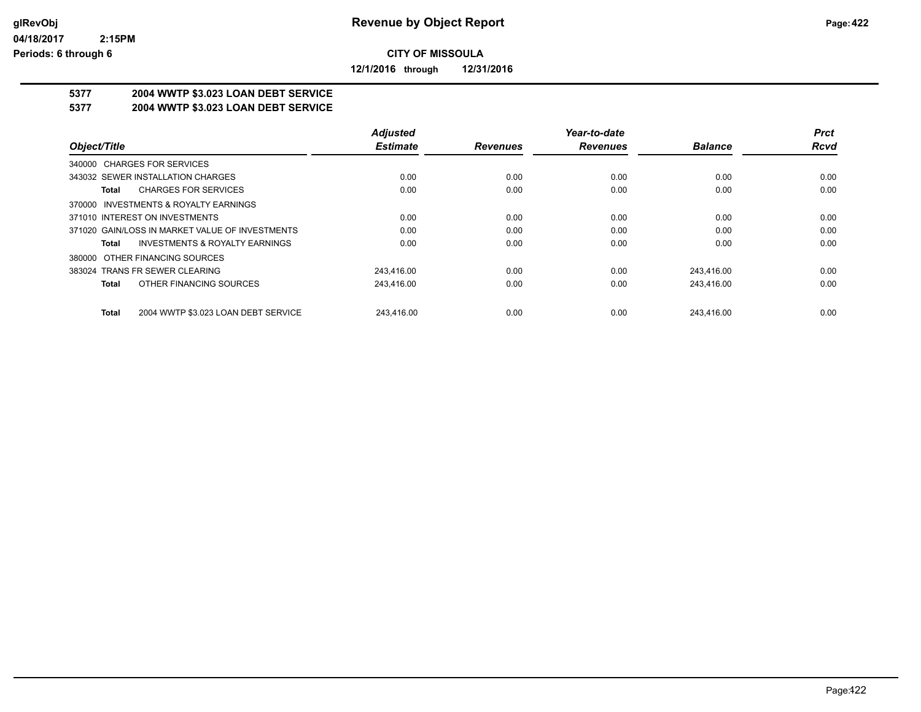**12/1/2016 through 12/31/2016**

### **5377 2004 WWTP \$3.023 LOAN DEBT SERVICE 5377 2004 WWTP \$3.023 LOAN DEBT SERVICE**

|                                                     | <b>Adjusted</b> |                 | Year-to-date    |                | <b>Prct</b> |
|-----------------------------------------------------|-----------------|-----------------|-----------------|----------------|-------------|
| Object/Title                                        | <b>Estimate</b> | <b>Revenues</b> | <b>Revenues</b> | <b>Balance</b> | Rcvd        |
| 340000 CHARGES FOR SERVICES                         |                 |                 |                 |                |             |
| 343032 SEWER INSTALLATION CHARGES                   | 0.00            | 0.00            | 0.00            | 0.00           | 0.00        |
| <b>CHARGES FOR SERVICES</b><br>Total                | 0.00            | 0.00            | 0.00            | 0.00           | 0.00        |
| INVESTMENTS & ROYALTY EARNINGS<br>370000            |                 |                 |                 |                |             |
| 371010 INTEREST ON INVESTMENTS                      | 0.00            | 0.00            | 0.00            | 0.00           | 0.00        |
| 371020 GAIN/LOSS IN MARKET VALUE OF INVESTMENTS     | 0.00            | 0.00            | 0.00            | 0.00           | 0.00        |
| <b>INVESTMENTS &amp; ROYALTY EARNINGS</b><br>Total  | 0.00            | 0.00            | 0.00            | 0.00           | 0.00        |
| OTHER FINANCING SOURCES<br>380000                   |                 |                 |                 |                |             |
| 383024 TRANS FR SEWER CLEARING                      | 243.416.00      | 0.00            | 0.00            | 243,416.00     | 0.00        |
| OTHER FINANCING SOURCES<br>Total                    | 243,416.00      | 0.00            | 0.00            | 243,416.00     | 0.00        |
| 2004 WWTP \$3.023 LOAN DEBT SERVICE<br><b>Total</b> | 243.416.00      | 0.00            | 0.00            | 243.416.00     | 0.00        |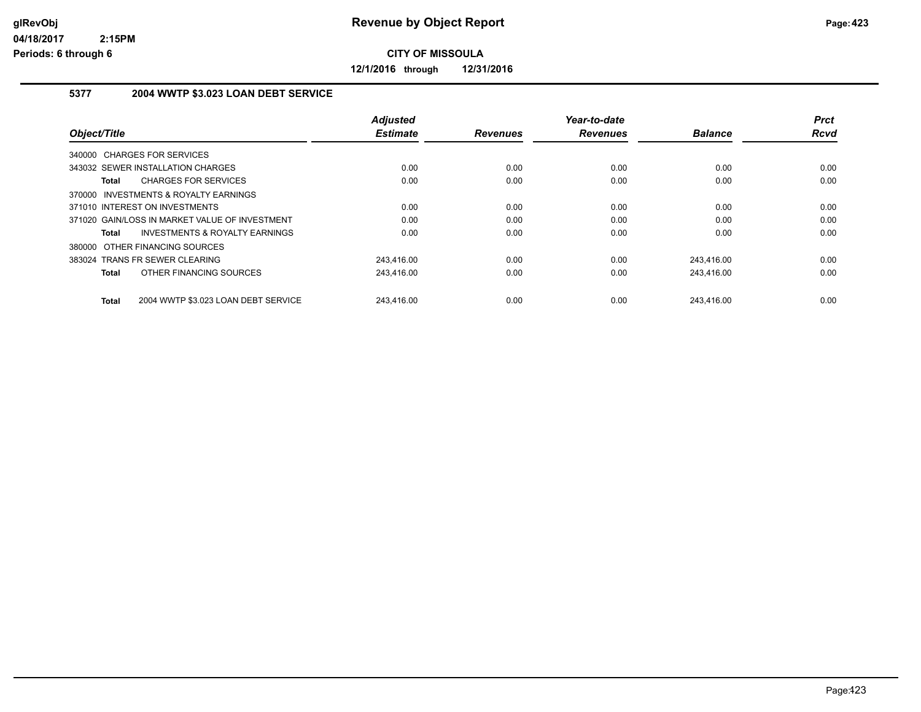**12/1/2016 through 12/31/2016**

### **5377 2004 WWTP \$3.023 LOAN DEBT SERVICE**

| Object/Title                                              | <b>Adjusted</b><br><b>Estimate</b> | <b>Revenues</b> | Year-to-date<br><b>Revenues</b> | <b>Balance</b> | <b>Prct</b><br><b>Rcvd</b> |
|-----------------------------------------------------------|------------------------------------|-----------------|---------------------------------|----------------|----------------------------|
|                                                           |                                    |                 |                                 |                |                            |
| <b>CHARGES FOR SERVICES</b><br>340000                     |                                    |                 |                                 |                |                            |
| 343032 SEWER INSTALLATION CHARGES                         | 0.00                               | 0.00            | 0.00                            | 0.00           | 0.00                       |
| <b>CHARGES FOR SERVICES</b><br><b>Total</b>               | 0.00                               | 0.00            | 0.00                            | 0.00           | 0.00                       |
| <b>INVESTMENTS &amp; ROYALTY EARNINGS</b><br>370000       |                                    |                 |                                 |                |                            |
| 371010 INTEREST ON INVESTMENTS                            | 0.00                               | 0.00            | 0.00                            | 0.00           | 0.00                       |
| 371020 GAIN/LOSS IN MARKET VALUE OF INVESTMENT            | 0.00                               | 0.00            | 0.00                            | 0.00           | 0.00                       |
| <b>INVESTMENTS &amp; ROYALTY EARNINGS</b><br><b>Total</b> | 0.00                               | 0.00            | 0.00                            | 0.00           | 0.00                       |
| OTHER FINANCING SOURCES<br>380000                         |                                    |                 |                                 |                |                            |
| 383024 TRANS FR SEWER CLEARING                            | 243.416.00                         | 0.00            | 0.00                            | 243.416.00     | 0.00                       |
| OTHER FINANCING SOURCES<br><b>Total</b>                   | 243.416.00                         | 0.00            | 0.00                            | 243.416.00     | 0.00                       |
| <b>Total</b><br>2004 WWTP \$3.023 LOAN DEBT SERVICE       | 243.416.00                         | 0.00            | 0.00                            | 243.416.00     | 0.00                       |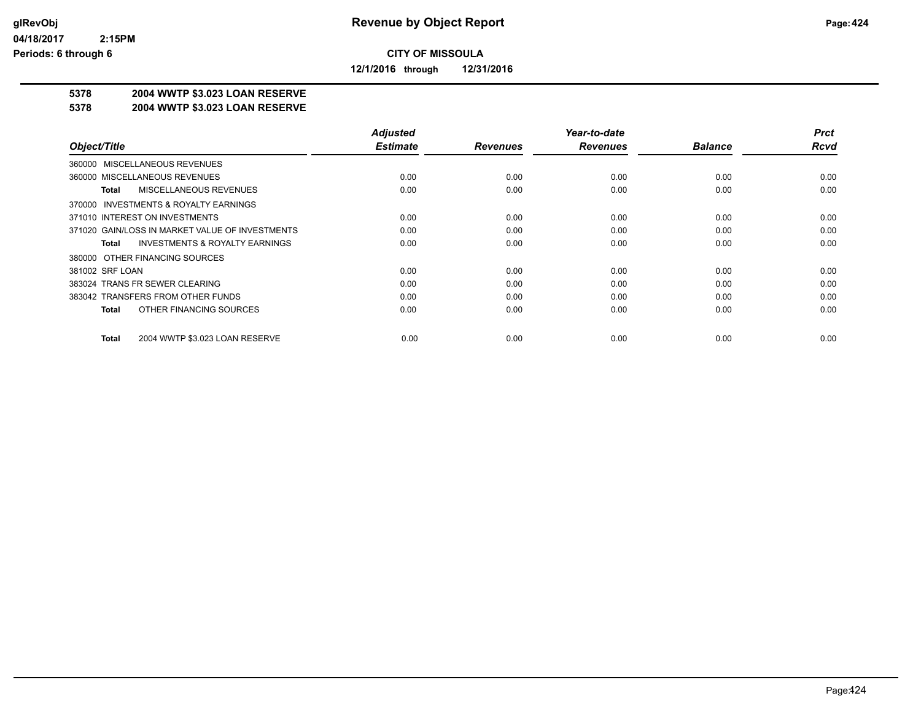**12/1/2016 through 12/31/2016**

# **5378 2004 WWTP \$3.023 LOAN RESERVE**

## **5378 2004 WWTP \$3.023 LOAN RESERVE**

|                                                    | <b>Adjusted</b> |                 | Year-to-date    |                | <b>Prct</b> |
|----------------------------------------------------|-----------------|-----------------|-----------------|----------------|-------------|
| Object/Title                                       | <b>Estimate</b> | <b>Revenues</b> | <b>Revenues</b> | <b>Balance</b> | <b>Rcvd</b> |
| 360000 MISCELLANEOUS REVENUES                      |                 |                 |                 |                |             |
| 360000 MISCELLANEOUS REVENUES                      | 0.00            | 0.00            | 0.00            | 0.00           | 0.00        |
| MISCELLANEOUS REVENUES<br>Total                    | 0.00            | 0.00            | 0.00            | 0.00           | 0.00        |
| 370000 INVESTMENTS & ROYALTY EARNINGS              |                 |                 |                 |                |             |
| 371010 INTEREST ON INVESTMENTS                     | 0.00            | 0.00            | 0.00            | 0.00           | 0.00        |
| 371020 GAIN/LOSS IN MARKET VALUE OF INVESTMENTS    | 0.00            | 0.00            | 0.00            | 0.00           | 0.00        |
| <b>INVESTMENTS &amp; ROYALTY EARNINGS</b><br>Total | 0.00            | 0.00            | 0.00            | 0.00           | 0.00        |
| 380000 OTHER FINANCING SOURCES                     |                 |                 |                 |                |             |
| 381002 SRF LOAN                                    | 0.00            | 0.00            | 0.00            | 0.00           | 0.00        |
| 383024 TRANS FR SEWER CLEARING                     | 0.00            | 0.00            | 0.00            | 0.00           | 0.00        |
| 383042 TRANSFERS FROM OTHER FUNDS                  | 0.00            | 0.00            | 0.00            | 0.00           | 0.00        |
| OTHER FINANCING SOURCES<br>Total                   | 0.00            | 0.00            | 0.00            | 0.00           | 0.00        |
| 2004 WWTP \$3.023 LOAN RESERVE<br><b>Total</b>     | 0.00            | 0.00            | 0.00            | 0.00           | 0.00        |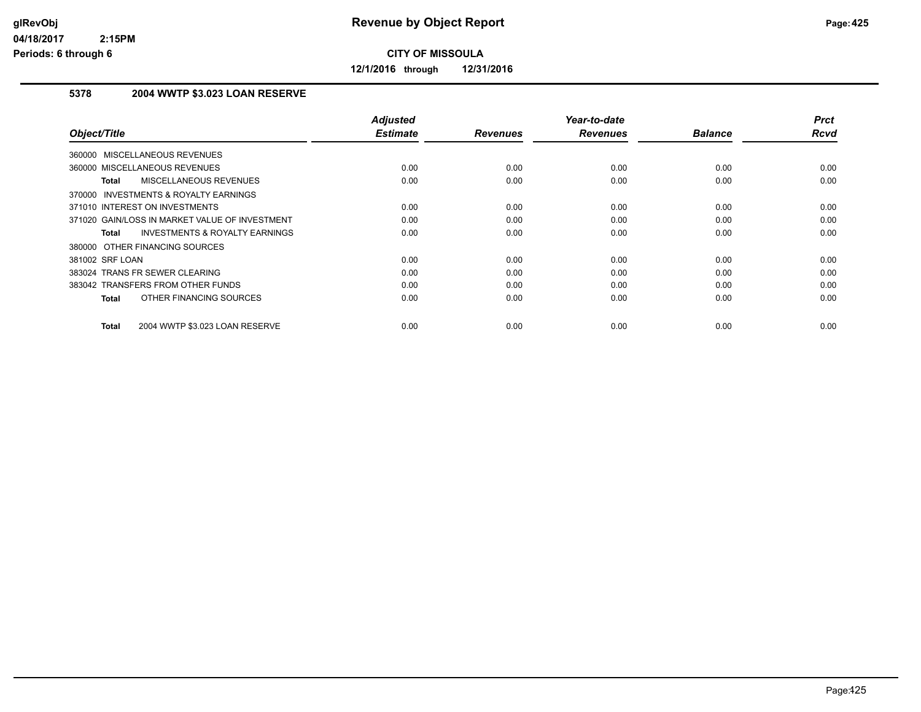**12/1/2016 through 12/31/2016**

### **5378 2004 WWTP \$3.023 LOAN RESERVE**

| Object/Title                                              | <b>Adjusted</b><br><b>Estimate</b> | <b>Revenues</b> | Year-to-date<br><b>Revenues</b> | <b>Balance</b> | <b>Prct</b><br><b>Rcvd</b> |
|-----------------------------------------------------------|------------------------------------|-----------------|---------------------------------|----------------|----------------------------|
| <b>MISCELLANEOUS REVENUES</b><br>360000                   |                                    |                 |                                 |                |                            |
| 360000 MISCELLANEOUS REVENUES                             | 0.00                               | 0.00            | 0.00                            | 0.00           | 0.00                       |
| MISCELLANEOUS REVENUES<br><b>Total</b>                    | 0.00                               | 0.00            | 0.00                            | 0.00           | 0.00                       |
| <b>INVESTMENTS &amp; ROYALTY EARNINGS</b><br>370000       |                                    |                 |                                 |                |                            |
| 371010 INTEREST ON INVESTMENTS                            | 0.00                               | 0.00            | 0.00                            | 0.00           | 0.00                       |
| 371020 GAIN/LOSS IN MARKET VALUE OF INVESTMENT            | 0.00                               | 0.00            | 0.00                            | 0.00           | 0.00                       |
| <b>INVESTMENTS &amp; ROYALTY EARNINGS</b><br><b>Total</b> | 0.00                               | 0.00            | 0.00                            | 0.00           | 0.00                       |
| 380000 OTHER FINANCING SOURCES                            |                                    |                 |                                 |                |                            |
| 381002 SRF LOAN                                           | 0.00                               | 0.00            | 0.00                            | 0.00           | 0.00                       |
| 383024 TRANS FR SEWER CLEARING                            | 0.00                               | 0.00            | 0.00                            | 0.00           | 0.00                       |
| 383042 TRANSFERS FROM OTHER FUNDS                         | 0.00                               | 0.00            | 0.00                            | 0.00           | 0.00                       |
| OTHER FINANCING SOURCES<br><b>Total</b>                   | 0.00                               | 0.00            | 0.00                            | 0.00           | 0.00                       |
|                                                           |                                    |                 |                                 |                |                            |
| 2004 WWTP \$3.023 LOAN RESERVE<br><b>Total</b>            | 0.00                               | 0.00            | 0.00                            | 0.00           | 0.00                       |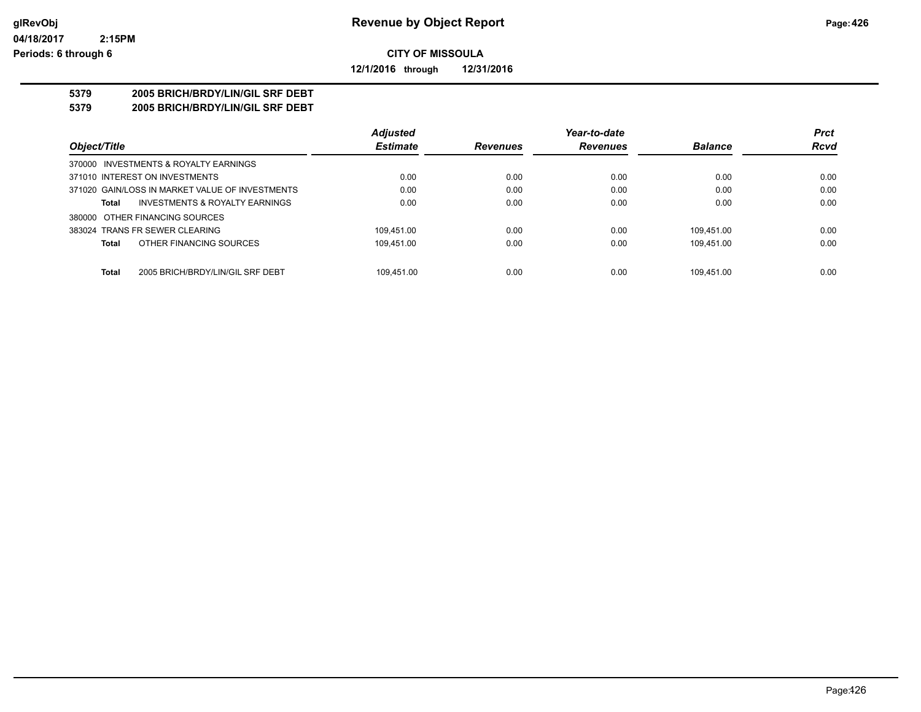**12/1/2016 through 12/31/2016**

### **5379 2005 BRICH/BRDY/LIN/GIL SRF DEBT 5379 2005 BRICH/BRDY/LIN/GIL SRF DEBT**

|                                                  | <b>Adiusted</b> |                 | Year-to-date    |                | <b>Prct</b> |
|--------------------------------------------------|-----------------|-----------------|-----------------|----------------|-------------|
| Object/Title                                     | <b>Estimate</b> | <b>Revenues</b> | <b>Revenues</b> | <b>Balance</b> | <b>Rcvd</b> |
| 370000 INVESTMENTS & ROYALTY EARNINGS            |                 |                 |                 |                |             |
| 371010 INTEREST ON INVESTMENTS                   | 0.00            | 0.00            | 0.00            | 0.00           | 0.00        |
| 371020 GAIN/LOSS IN MARKET VALUE OF INVESTMENTS  | 0.00            | 0.00            | 0.00            | 0.00           | 0.00        |
| INVESTMENTS & ROYALTY EARNINGS<br>Total          | 0.00            | 0.00            | 0.00            | 0.00           | 0.00        |
| 380000 OTHER FINANCING SOURCES                   |                 |                 |                 |                |             |
| 383024 TRANS FR SEWER CLEARING                   | 109.451.00      | 0.00            | 0.00            | 109.451.00     | 0.00        |
| OTHER FINANCING SOURCES<br><b>Total</b>          | 109.451.00      | 0.00            | 0.00            | 109.451.00     | 0.00        |
| <b>Total</b><br>2005 BRICH/BRDY/LIN/GIL SRF DEBT | 109.451.00      | 0.00            | 0.00            | 109.451.00     | 0.00        |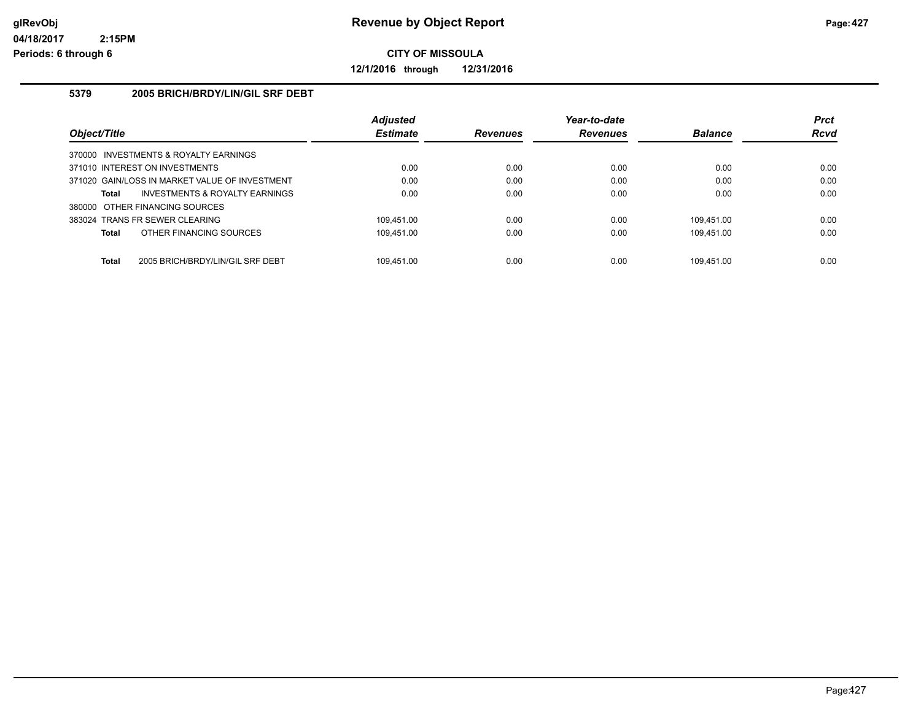**12/1/2016 through 12/31/2016**

#### **5379 2005 BRICH/BRDY/LIN/GIL SRF DEBT**

| Object/Title                                   | <b>Adjusted</b><br><b>Estimate</b> | <b>Revenues</b> | Year-to-date<br><b>Revenues</b> | <b>Balance</b> | <b>Prct</b><br><b>Rcvd</b> |
|------------------------------------------------|------------------------------------|-----------------|---------------------------------|----------------|----------------------------|
|                                                |                                    |                 |                                 |                |                            |
| 370000 INVESTMENTS & ROYALTY EARNINGS          |                                    |                 |                                 |                |                            |
| 371010 INTEREST ON INVESTMENTS                 | 0.00                               | 0.00            | 0.00                            | 0.00           | 0.00                       |
| 371020 GAIN/LOSS IN MARKET VALUE OF INVESTMENT | 0.00                               | 0.00            | 0.00                            | 0.00           | 0.00                       |
| INVESTMENTS & ROYALTY EARNINGS<br>Total        | 0.00                               | 0.00            | 0.00                            | 0.00           | 0.00                       |
| 380000 OTHER FINANCING SOURCES                 |                                    |                 |                                 |                |                            |
| 383024 TRANS FR SEWER CLEARING                 | 109.451.00                         | 0.00            | 0.00                            | 109.451.00     | 0.00                       |
| OTHER FINANCING SOURCES<br>Total               | 109.451.00                         | 0.00            | 0.00                            | 109.451.00     | 0.00                       |
| Total<br>2005 BRICH/BRDY/LIN/GIL SRF DEBT      | 109.451.00                         | 0.00            | 0.00                            | 109.451.00     | 0.00                       |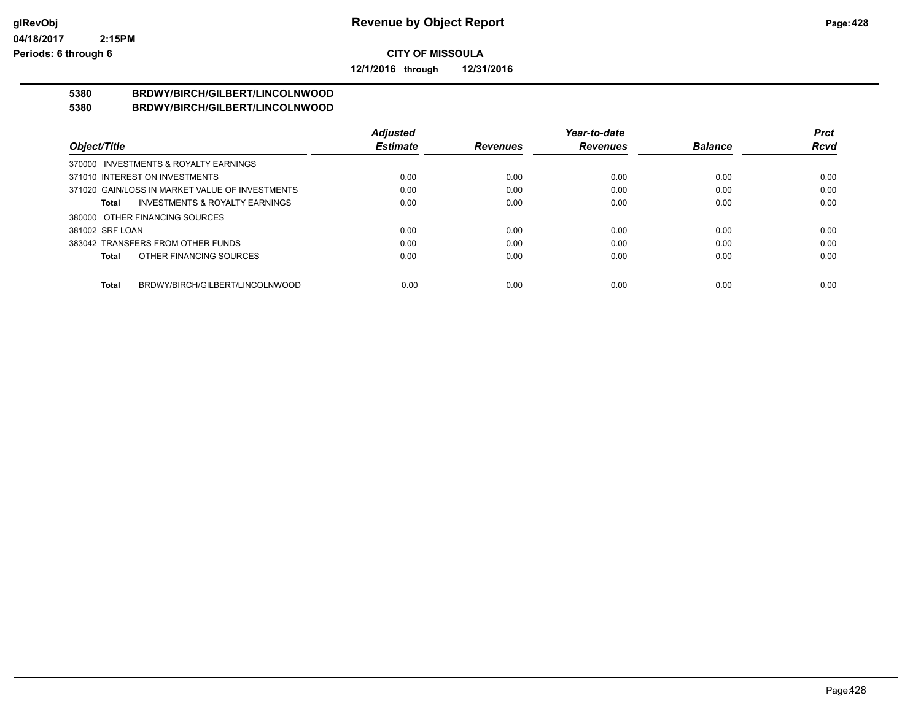**12/1/2016 through 12/31/2016**

### **5380 BRDWY/BIRCH/GILBERT/LINCOLNWOOD 5380 BRDWY/BIRCH/GILBERT/LINCOLNWOOD**

|                                                    | <b>Adjusted</b> |                 | Year-to-date    |                | <b>Prct</b> |
|----------------------------------------------------|-----------------|-----------------|-----------------|----------------|-------------|
| Object/Title                                       | <b>Estimate</b> | <b>Revenues</b> | <b>Revenues</b> | <b>Balance</b> | <b>Rcvd</b> |
| 370000 INVESTMENTS & ROYALTY EARNINGS              |                 |                 |                 |                |             |
| 371010 INTEREST ON INVESTMENTS                     | 0.00            | 0.00            | 0.00            | 0.00           | 0.00        |
| 371020 GAIN/LOSS IN MARKET VALUE OF INVESTMENTS    | 0.00            | 0.00            | 0.00            | 0.00           | 0.00        |
| <b>INVESTMENTS &amp; ROYALTY EARNINGS</b><br>Total | 0.00            | 0.00            | 0.00            | 0.00           | 0.00        |
| 380000 OTHER FINANCING SOURCES                     |                 |                 |                 |                |             |
| 381002 SRF LOAN                                    | 0.00            | 0.00            | 0.00            | 0.00           | 0.00        |
| 383042 TRANSFERS FROM OTHER FUNDS                  | 0.00            | 0.00            | 0.00            | 0.00           | 0.00        |
| OTHER FINANCING SOURCES<br>Total                   | 0.00            | 0.00            | 0.00            | 0.00           | 0.00        |
|                                                    |                 |                 |                 |                |             |
| BRDWY/BIRCH/GILBERT/LINCOLNWOOD<br>Total           | 0.00            | 0.00            | 0.00            | 0.00           | 0.00        |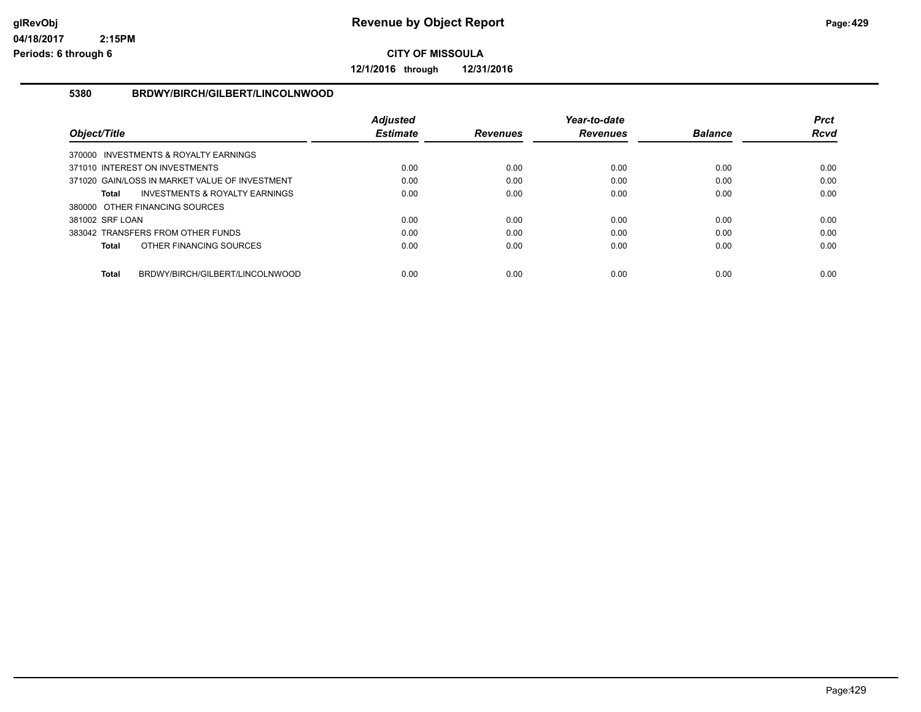**12/1/2016 through 12/31/2016**

#### **5380 BRDWY/BIRCH/GILBERT/LINCOLNWOOD**

|                                                 | <b>Adiusted</b> |                 | Year-to-date    |                | <b>Prct</b> |
|-------------------------------------------------|-----------------|-----------------|-----------------|----------------|-------------|
| <b>Object/Title</b>                             | <b>Estimate</b> | <b>Revenues</b> | <b>Revenues</b> | <b>Balance</b> | Rcvd        |
| 370000 INVESTMENTS & ROYALTY EARNINGS           |                 |                 |                 |                |             |
| 371010 INTEREST ON INVESTMENTS                  | 0.00            | 0.00            | 0.00            | 0.00           | 0.00        |
| 371020 GAIN/LOSS IN MARKET VALUE OF INVESTMENT  | 0.00            | 0.00            | 0.00            | 0.00           | 0.00        |
| INVESTMENTS & ROYALTY EARNINGS<br>Total         | 0.00            | 0.00            | 0.00            | 0.00           | 0.00        |
| 380000 OTHER FINANCING SOURCES                  |                 |                 |                 |                |             |
| 381002 SRF LOAN                                 | 0.00            | 0.00            | 0.00            | 0.00           | 0.00        |
| 383042 TRANSFERS FROM OTHER FUNDS               | 0.00            | 0.00            | 0.00            | 0.00           | 0.00        |
| OTHER FINANCING SOURCES<br><b>Total</b>         | 0.00            | 0.00            | 0.00            | 0.00           | 0.00        |
|                                                 |                 |                 |                 |                |             |
| BRDWY/BIRCH/GILBERT/LINCOLNWOOD<br><b>Total</b> | 0.00            | 0.00            | 0.00            | 0.00           | 0.00        |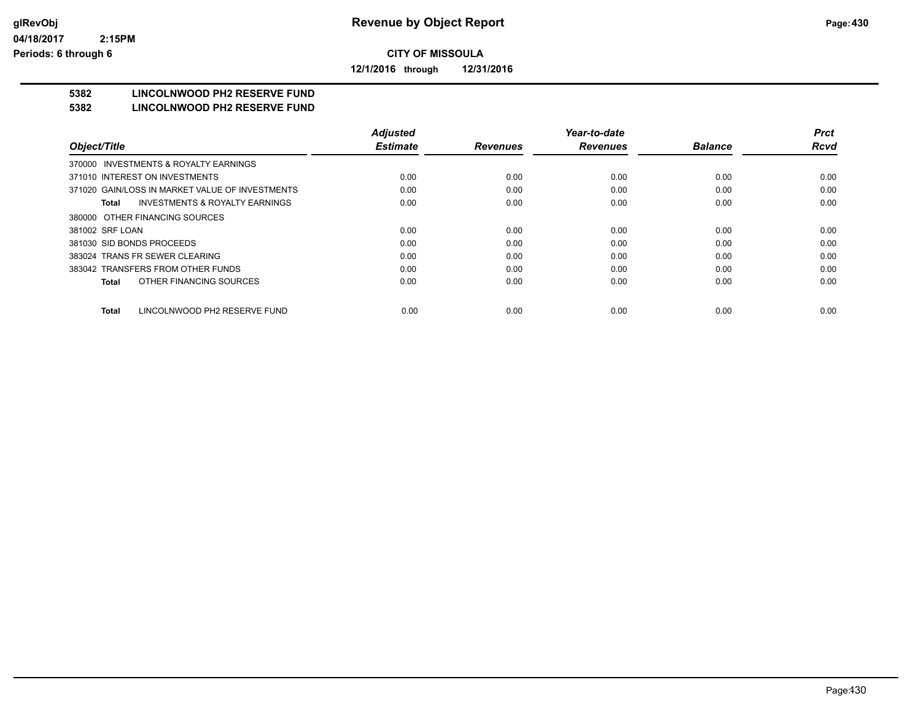**12/1/2016 through 12/31/2016**

### **5382 LINCOLNWOOD PH2 RESERVE FUND 5382 LINCOLNWOOD PH2 RESERVE FUND**

|                                                    | <b>Adiusted</b> |                 | Year-to-date    |                | <b>Prct</b> |
|----------------------------------------------------|-----------------|-----------------|-----------------|----------------|-------------|
| Object/Title                                       | <b>Estimate</b> | <b>Revenues</b> | <b>Revenues</b> | <b>Balance</b> | <b>Rcvd</b> |
| 370000 INVESTMENTS & ROYALTY EARNINGS              |                 |                 |                 |                |             |
| 371010 INTEREST ON INVESTMENTS                     | 0.00            | 0.00            | 0.00            | 0.00           | 0.00        |
| 371020 GAIN/LOSS IN MARKET VALUE OF INVESTMENTS    | 0.00            | 0.00            | 0.00            | 0.00           | 0.00        |
| <b>INVESTMENTS &amp; ROYALTY EARNINGS</b><br>Total | 0.00            | 0.00            | 0.00            | 0.00           | 0.00        |
| 380000 OTHER FINANCING SOURCES                     |                 |                 |                 |                |             |
| 381002 SRF LOAN                                    | 0.00            | 0.00            | 0.00            | 0.00           | 0.00        |
| 381030 SID BONDS PROCEEDS                          | 0.00            | 0.00            | 0.00            | 0.00           | 0.00        |
| 383024 TRANS FR SEWER CLEARING                     | 0.00            | 0.00            | 0.00            | 0.00           | 0.00        |
| 383042 TRANSFERS FROM OTHER FUNDS                  | 0.00            | 0.00            | 0.00            | 0.00           | 0.00        |
| OTHER FINANCING SOURCES<br>Total                   | 0.00            | 0.00            | 0.00            | 0.00           | 0.00        |
| LINCOLNWOOD PH2 RESERVE FUND<br><b>Total</b>       | 0.00            | 0.00            | 0.00            | 0.00           | 0.00        |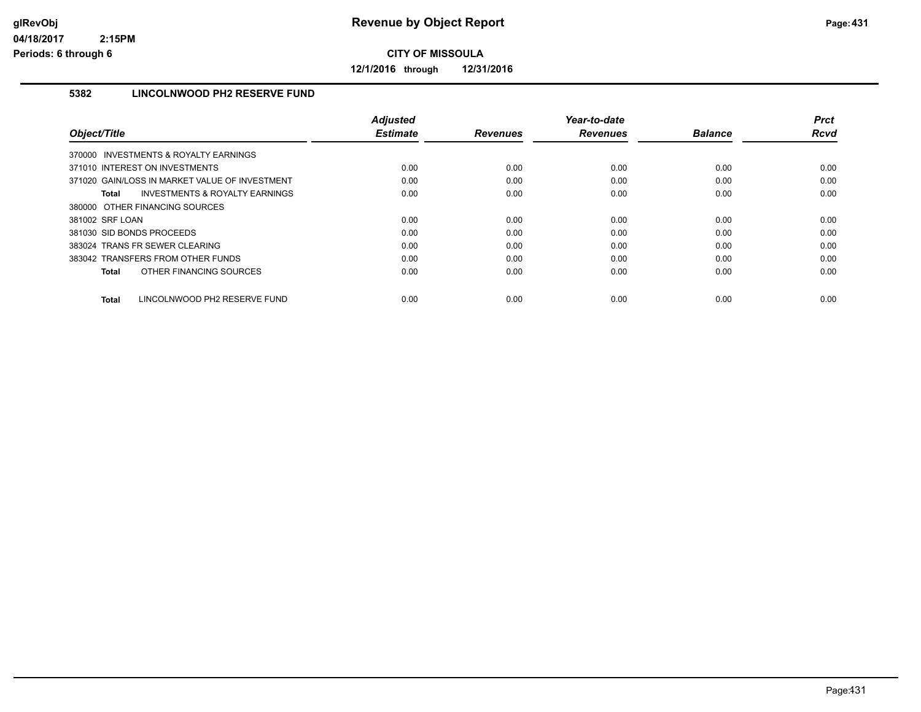**12/1/2016 through 12/31/2016**

### **5382 LINCOLNWOOD PH2 RESERVE FUND**

|                                                | <b>Adjusted</b> |                 | Year-to-date    |                | <b>Prct</b> |
|------------------------------------------------|-----------------|-----------------|-----------------|----------------|-------------|
| Object/Title                                   | <b>Estimate</b> | <b>Revenues</b> | <b>Revenues</b> | <b>Balance</b> | Rcvd        |
| 370000 INVESTMENTS & ROYALTY EARNINGS          |                 |                 |                 |                |             |
| 371010 INTEREST ON INVESTMENTS                 | 0.00            | 0.00            | 0.00            | 0.00           | 0.00        |
| 371020 GAIN/LOSS IN MARKET VALUE OF INVESTMENT | 0.00            | 0.00            | 0.00            | 0.00           | 0.00        |
| INVESTMENTS & ROYALTY EARNINGS<br>Total        | 0.00            | 0.00            | 0.00            | 0.00           | 0.00        |
| 380000 OTHER FINANCING SOURCES                 |                 |                 |                 |                |             |
| 381002 SRF LOAN                                | 0.00            | 0.00            | 0.00            | 0.00           | 0.00        |
| 381030 SID BONDS PROCEEDS                      | 0.00            | 0.00            | 0.00            | 0.00           | 0.00        |
| 383024 TRANS FR SEWER CLEARING                 | 0.00            | 0.00            | 0.00            | 0.00           | 0.00        |
| 383042 TRANSFERS FROM OTHER FUNDS              | 0.00            | 0.00            | 0.00            | 0.00           | 0.00        |
| OTHER FINANCING SOURCES<br>Total               | 0.00            | 0.00            | 0.00            | 0.00           | 0.00        |
| LINCOLNWOOD PH2 RESERVE FUND<br><b>Total</b>   | 0.00            | 0.00            | 0.00            | 0.00           | 0.00        |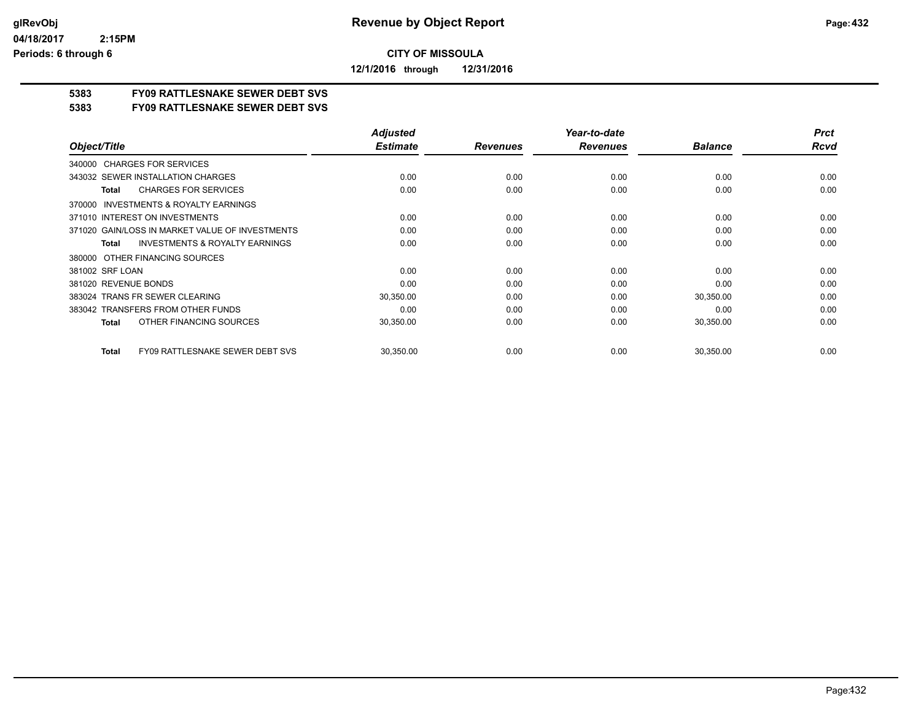**12/1/2016 through 12/31/2016**

### **5383 FY09 RATTLESNAKE SEWER DEBT SVS 5383 FY09 RATTLESNAKE SEWER DEBT SVS**

|                                                     | <b>Adjusted</b> |                 | Year-to-date    |                | <b>Prct</b> |
|-----------------------------------------------------|-----------------|-----------------|-----------------|----------------|-------------|
| Object/Title                                        | <b>Estimate</b> | <b>Revenues</b> | <b>Revenues</b> | <b>Balance</b> | <b>Rcvd</b> |
| 340000 CHARGES FOR SERVICES                         |                 |                 |                 |                |             |
| 343032 SEWER INSTALLATION CHARGES                   | 0.00            | 0.00            | 0.00            | 0.00           | 0.00        |
| <b>CHARGES FOR SERVICES</b><br>Total                | 0.00            | 0.00            | 0.00            | 0.00           | 0.00        |
| <b>INVESTMENTS &amp; ROYALTY EARNINGS</b><br>370000 |                 |                 |                 |                |             |
| 371010 INTEREST ON INVESTMENTS                      | 0.00            | 0.00            | 0.00            | 0.00           | 0.00        |
| 371020 GAIN/LOSS IN MARKET VALUE OF INVESTMENTS     | 0.00            | 0.00            | 0.00            | 0.00           | 0.00        |
| <b>INVESTMENTS &amp; ROYALTY EARNINGS</b><br>Total  | 0.00            | 0.00            | 0.00            | 0.00           | 0.00        |
| OTHER FINANCING SOURCES<br>380000                   |                 |                 |                 |                |             |
| 381002 SRF LOAN                                     | 0.00            | 0.00            | 0.00            | 0.00           | 0.00        |
| 381020 REVENUE BONDS                                | 0.00            | 0.00            | 0.00            | 0.00           | 0.00        |
| 383024 TRANS FR SEWER CLEARING                      | 30,350.00       | 0.00            | 0.00            | 30,350.00      | 0.00        |
| 383042 TRANSFERS FROM OTHER FUNDS                   | 0.00            | 0.00            | 0.00            | 0.00           | 0.00        |
| OTHER FINANCING SOURCES<br>Total                    | 30,350.00       | 0.00            | 0.00            | 30,350.00      | 0.00        |
| FY09 RATTLESNAKE SEWER DEBT SVS<br><b>Total</b>     | 30,350.00       | 0.00            | 0.00            | 30,350.00      | 0.00        |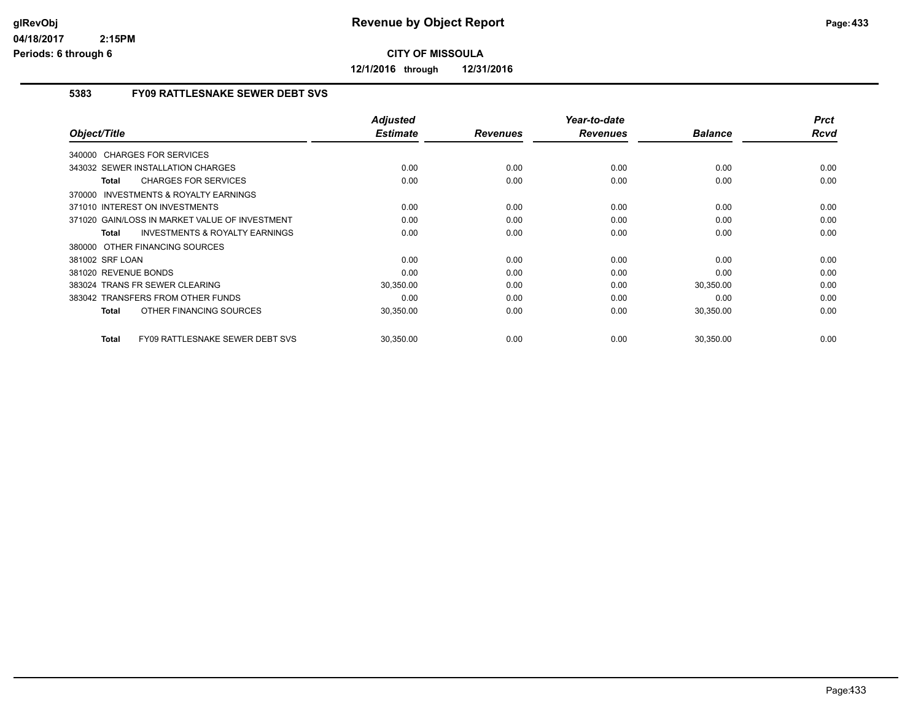**12/1/2016 through 12/31/2016**

#### **5383 FY09 RATTLESNAKE SEWER DEBT SVS**

| Object/Title                                              | <b>Adjusted</b><br><b>Estimate</b> | <b>Revenues</b> | Year-to-date<br><b>Revenues</b> | <b>Balance</b> | <b>Prct</b><br><b>Rcvd</b> |
|-----------------------------------------------------------|------------------------------------|-----------------|---------------------------------|----------------|----------------------------|
| 340000 CHARGES FOR SERVICES                               |                                    |                 |                                 |                |                            |
| 343032 SEWER INSTALLATION CHARGES                         | 0.00                               | 0.00            | 0.00                            | 0.00           | 0.00                       |
| <b>CHARGES FOR SERVICES</b><br><b>Total</b>               | 0.00                               | 0.00            | 0.00                            | 0.00           | 0.00                       |
| <b>INVESTMENTS &amp; ROYALTY EARNINGS</b><br>370000       |                                    |                 |                                 |                |                            |
| 371010 INTEREST ON INVESTMENTS                            | 0.00                               | 0.00            | 0.00                            | 0.00           | 0.00                       |
| 371020 GAIN/LOSS IN MARKET VALUE OF INVESTMENT            | 0.00                               | 0.00            | 0.00                            | 0.00           | 0.00                       |
| <b>INVESTMENTS &amp; ROYALTY EARNINGS</b><br><b>Total</b> | 0.00                               | 0.00            | 0.00                            | 0.00           | 0.00                       |
| 380000 OTHER FINANCING SOURCES                            |                                    |                 |                                 |                |                            |
| 381002 SRF LOAN                                           | 0.00                               | 0.00            | 0.00                            | 0.00           | 0.00                       |
| 381020 REVENUE BONDS                                      | 0.00                               | 0.00            | 0.00                            | 0.00           | 0.00                       |
| 383024 TRANS FR SEWER CLEARING                            | 30,350.00                          | 0.00            | 0.00                            | 30,350.00      | 0.00                       |
| 383042 TRANSFERS FROM OTHER FUNDS                         | 0.00                               | 0.00            | 0.00                            | 0.00           | 0.00                       |
| OTHER FINANCING SOURCES<br><b>Total</b>                   | 30,350.00                          | 0.00            | 0.00                            | 30,350.00      | 0.00                       |
| FY09 RATTLESNAKE SEWER DEBT SVS<br><b>Total</b>           | 30,350.00                          | 0.00            | 0.00                            | 30,350.00      | 0.00                       |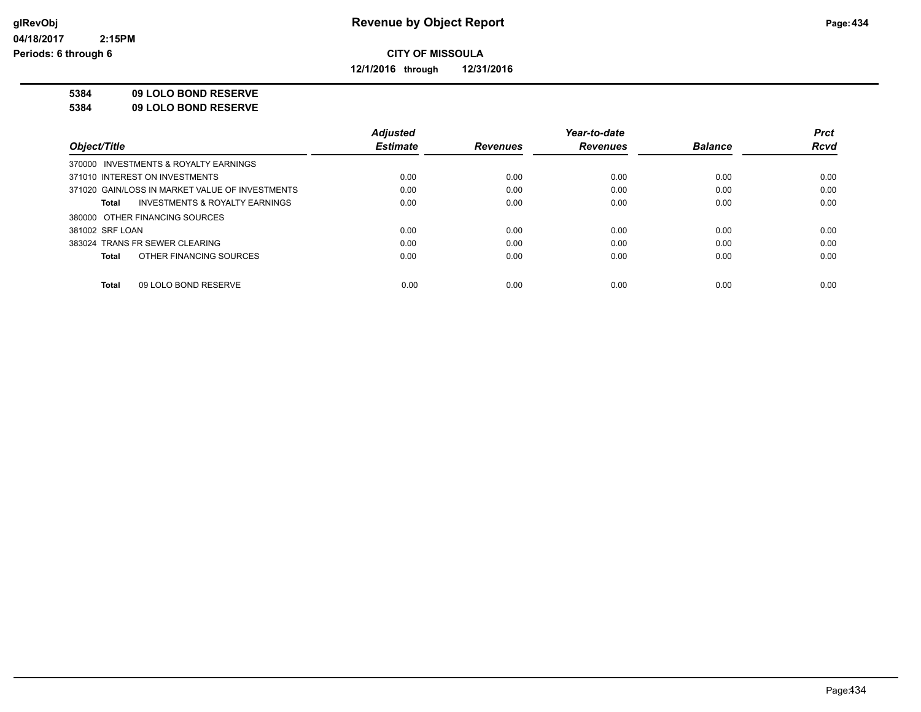**12/1/2016 through 12/31/2016**

**5384 09 LOLO BOND RESERVE 5384 09 LOLO BOND RESERVE**

|                                                    | <b>Adjusted</b> |                 | Year-to-date    |                | <b>Prct</b> |
|----------------------------------------------------|-----------------|-----------------|-----------------|----------------|-------------|
| Object/Title                                       | <b>Estimate</b> | <b>Revenues</b> | <b>Revenues</b> | <b>Balance</b> | <b>Rcvd</b> |
| 370000 INVESTMENTS & ROYALTY EARNINGS              |                 |                 |                 |                |             |
| 371010 INTEREST ON INVESTMENTS                     | 0.00            | 0.00            | 0.00            | 0.00           | 0.00        |
| 371020 GAIN/LOSS IN MARKET VALUE OF INVESTMENTS    | 0.00            | 0.00            | 0.00            | 0.00           | 0.00        |
| <b>INVESTMENTS &amp; ROYALTY EARNINGS</b><br>Total | 0.00            | 0.00            | 0.00            | 0.00           | 0.00        |
| 380000 OTHER FINANCING SOURCES                     |                 |                 |                 |                |             |
| 381002 SRF LOAN                                    | 0.00            | 0.00            | 0.00            | 0.00           | 0.00        |
| 383024 TRANS FR SEWER CLEARING                     | 0.00            | 0.00            | 0.00            | 0.00           | 0.00        |
| OTHER FINANCING SOURCES<br>Total                   | 0.00            | 0.00            | 0.00            | 0.00           | 0.00        |
| 09 LOLO BOND RESERVE<br>Total                      | 0.00            | 0.00            | 0.00            | 0.00           | 0.00        |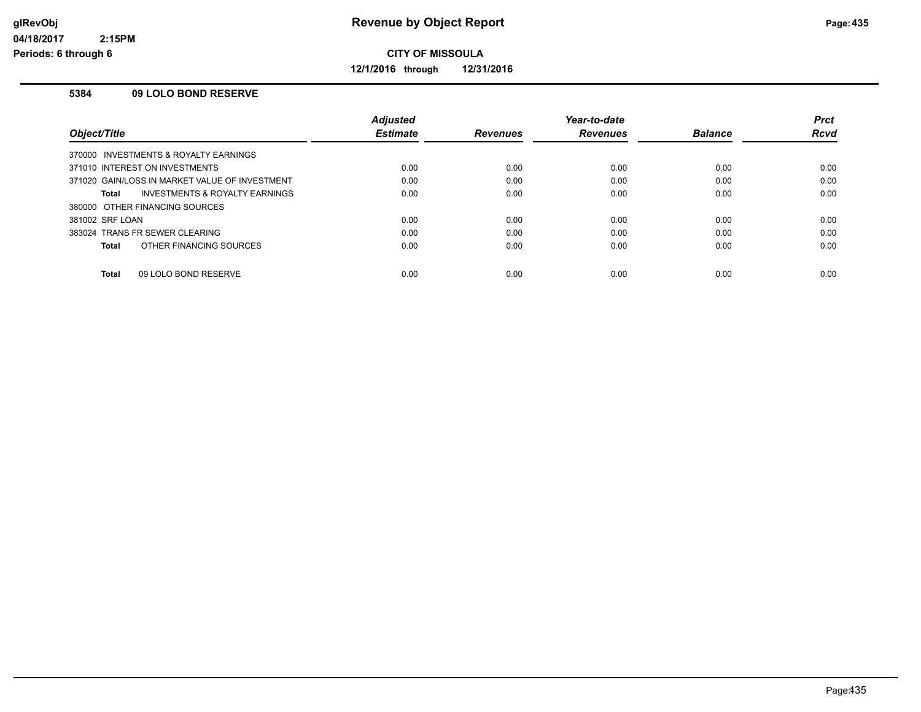**12/1/2016 through 12/31/2016**

#### **5384 09 LOLO BOND RESERVE**

|                                                | <b>Adiusted</b> |                 | Year-to-date    |                | <b>Prct</b> |
|------------------------------------------------|-----------------|-----------------|-----------------|----------------|-------------|
| Object/Title                                   | <b>Estimate</b> | <b>Revenues</b> | <b>Revenues</b> | <b>Balance</b> | <b>Rcvd</b> |
| 370000 INVESTMENTS & ROYALTY EARNINGS          |                 |                 |                 |                |             |
| 371010 INTEREST ON INVESTMENTS                 | 0.00            | 0.00            | 0.00            | 0.00           | 0.00        |
| 371020 GAIN/LOSS IN MARKET VALUE OF INVESTMENT | 0.00            | 0.00            | 0.00            | 0.00           | 0.00        |
| INVESTMENTS & ROYALTY EARNINGS<br>Total        | 0.00            | 0.00            | 0.00            | 0.00           | 0.00        |
| 380000 OTHER FINANCING SOURCES                 |                 |                 |                 |                |             |
| 381002 SRF LOAN                                | 0.00            | 0.00            | 0.00            | 0.00           | 0.00        |
| 383024 TRANS FR SEWER CLEARING                 | 0.00            | 0.00            | 0.00            | 0.00           | 0.00        |
| OTHER FINANCING SOURCES<br>Total               | 0.00            | 0.00            | 0.00            | 0.00           | 0.00        |
|                                                |                 |                 |                 |                |             |
| 09 LOLO BOND RESERVE<br>Total                  | 0.00            | 0.00            | 0.00            | 0.00           | 0.00        |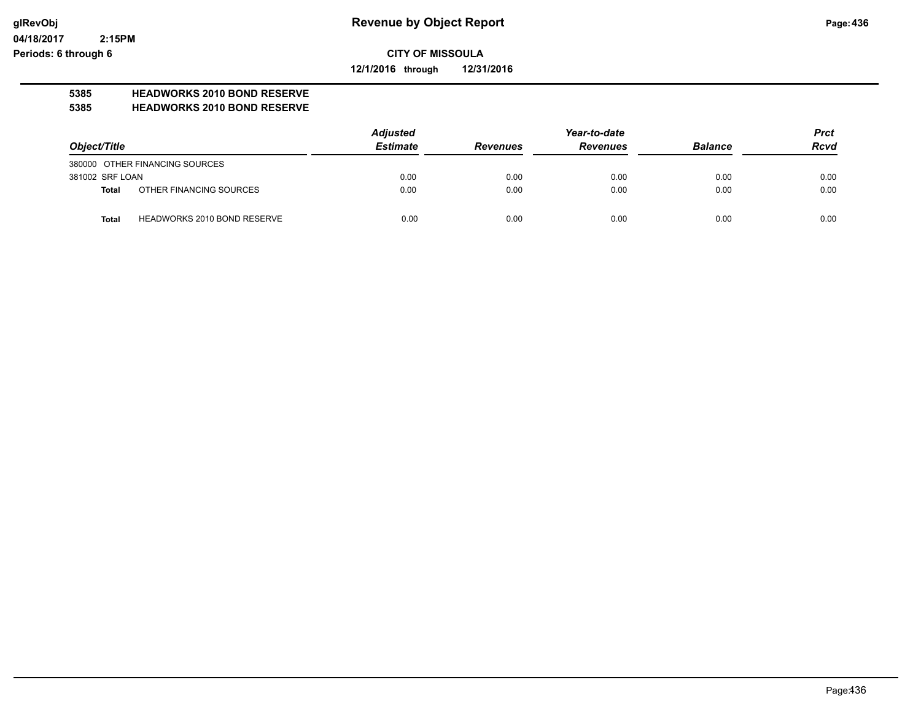**12/1/2016 through 12/31/2016**

### **5385 HEADWORKS 2010 BOND RESERVE 5385 HEADWORKS 2010 BOND RESERVE**

|                 |                                    | <b>Adjusted</b> |                 | Year-to-date    |                | <b>Prct</b> |
|-----------------|------------------------------------|-----------------|-----------------|-----------------|----------------|-------------|
| Object/Title    |                                    | <b>Estimate</b> | <b>Revenues</b> | <b>Revenues</b> | <b>Balance</b> | <b>Rcvd</b> |
|                 | 380000 OTHER FINANCING SOURCES     |                 |                 |                 |                |             |
| 381002 SRF LOAN |                                    | 0.00            | 0.00            | 0.00            | 0.00           | 0.00        |
| Total           | OTHER FINANCING SOURCES            | 0.00            | 0.00            | 0.00            | 0.00           | 0.00        |
| <b>Total</b>    | <b>HEADWORKS 2010 BOND RESERVE</b> | 0.00            | 0.00            | 0.00            | 0.00           | 0.00        |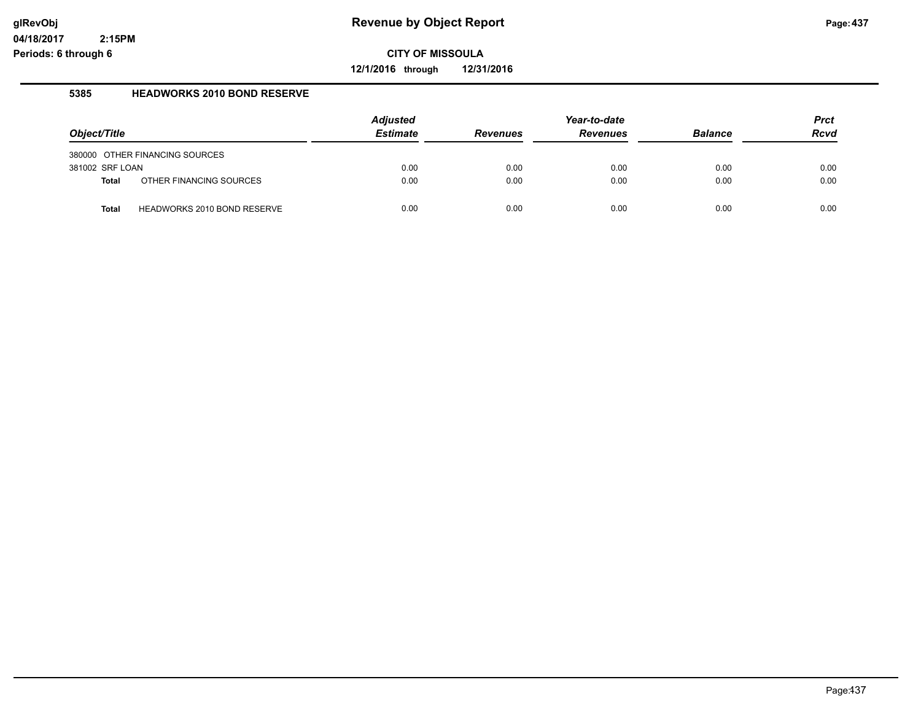**12/1/2016 through 12/31/2016**

#### **5385 HEADWORKS 2010 BOND RESERVE**

|                 |                                    | <b>Adjusted</b> |                 | Year-to-date    |                | <b>Prct</b> |
|-----------------|------------------------------------|-----------------|-----------------|-----------------|----------------|-------------|
| Object/Title    |                                    | <b>Estimate</b> | <b>Revenues</b> | <b>Revenues</b> | <b>Balance</b> | <b>Rcvd</b> |
|                 | 380000 OTHER FINANCING SOURCES     |                 |                 |                 |                |             |
| 381002 SRF LOAN |                                    | 0.00            | 0.00            | 0.00            | 0.00           | 0.00        |
| <b>Total</b>    | OTHER FINANCING SOURCES            | 0.00            | 0.00            | 0.00            | 0.00           | 0.00        |
| Total           | <b>HEADWORKS 2010 BOND RESERVE</b> | 0.00            | 0.00            | 0.00            | 0.00           | 0.00        |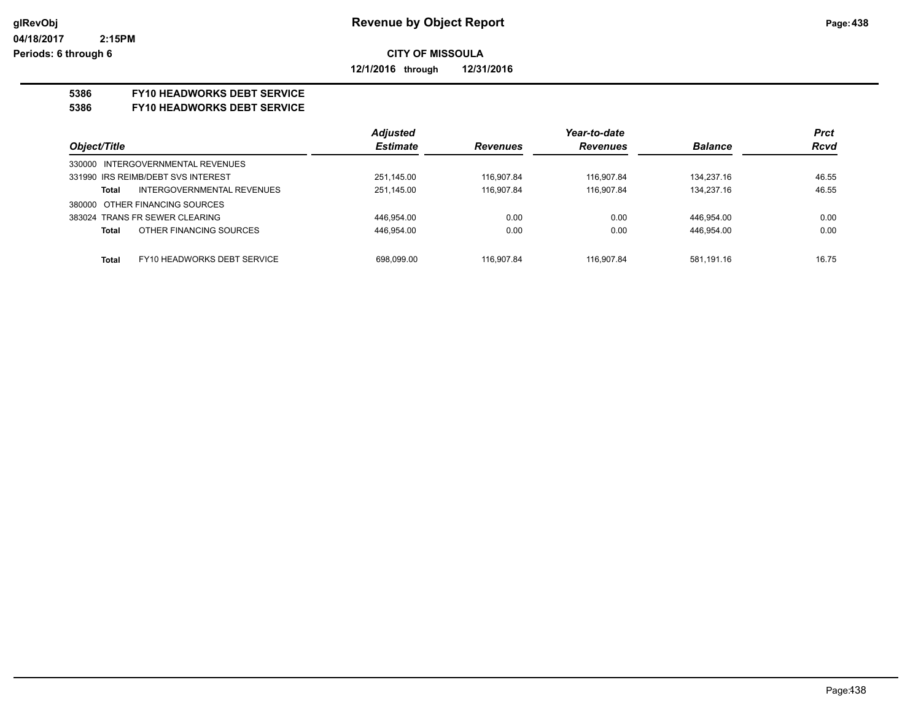### **CITY OF MISSOULA 12/1/2016 through 12/31/2016**

**5386 FY10 HEADWORKS DEBT SERVICE 5386 FY10 HEADWORKS DEBT SERVICE**

|                                            | <b>Adjusted</b> |                 | Year-to-date    |                | <b>Prct</b> |
|--------------------------------------------|-----------------|-----------------|-----------------|----------------|-------------|
| Object/Title                               | <b>Estimate</b> | <b>Revenues</b> | <b>Revenues</b> | <b>Balance</b> | Rcvd        |
| 330000 INTERGOVERNMENTAL REVENUES          |                 |                 |                 |                |             |
| 331990 IRS REIMB/DEBT SVS INTEREST         | 251,145.00      | 116.907.84      | 116.907.84      | 134.237.16     | 46.55       |
| <b>INTERGOVERNMENTAL REVENUES</b><br>Total | 251,145.00      | 116.907.84      | 116.907.84      | 134.237.16     | 46.55       |
| 380000 OTHER FINANCING SOURCES             |                 |                 |                 |                |             |
| 383024 TRANS FR SEWER CLEARING             | 446.954.00      | 0.00            | 0.00            | 446.954.00     | 0.00        |
| OTHER FINANCING SOURCES<br>Total           | 446.954.00      | 0.00            | 0.00            | 446.954.00     | 0.00        |
|                                            |                 |                 |                 |                |             |
| Total<br>FY10 HEADWORKS DEBT SERVICE       | 698.099.00      | 116.907.84      | 116.907.84      | 581.191.16     | 16.75       |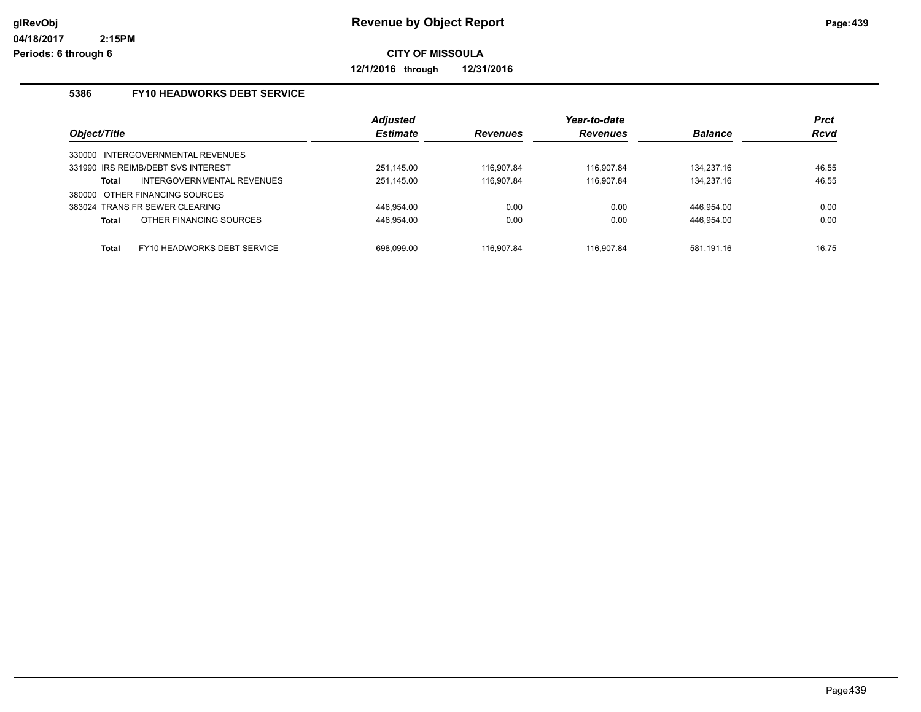**12/1/2016 through 12/31/2016**

#### **5386 FY10 HEADWORKS DEBT SERVICE**

|                                             | <b>Adjusted</b> |                 | Year-to-date    |                | <b>Prct</b> |
|---------------------------------------------|-----------------|-----------------|-----------------|----------------|-------------|
| Object/Title                                | <b>Estimate</b> | <b>Revenues</b> | <b>Revenues</b> | <b>Balance</b> | <b>Rcvd</b> |
| 330000 INTERGOVERNMENTAL REVENUES           |                 |                 |                 |                |             |
| 331990 IRS REIMB/DEBT SVS INTEREST          | 251.145.00      | 116.907.84      | 116.907.84      | 134.237.16     | 46.55       |
| INTERGOVERNMENTAL REVENUES<br>Total         | 251.145.00      | 116.907.84      | 116.907.84      | 134.237.16     | 46.55       |
| 380000 OTHER FINANCING SOURCES              |                 |                 |                 |                |             |
| 383024 TRANS FR SEWER CLEARING              | 446.954.00      | 0.00            | 0.00            | 446.954.00     | 0.00        |
| OTHER FINANCING SOURCES<br>Total            | 446,954.00      | 0.00            | 0.00            | 446,954.00     | 0.00        |
| FY10 HEADWORKS DEBT SERVICE<br><b>Total</b> | 698.099.00      | 116.907.84      | 116.907.84      | 581.191.16     | 16.75       |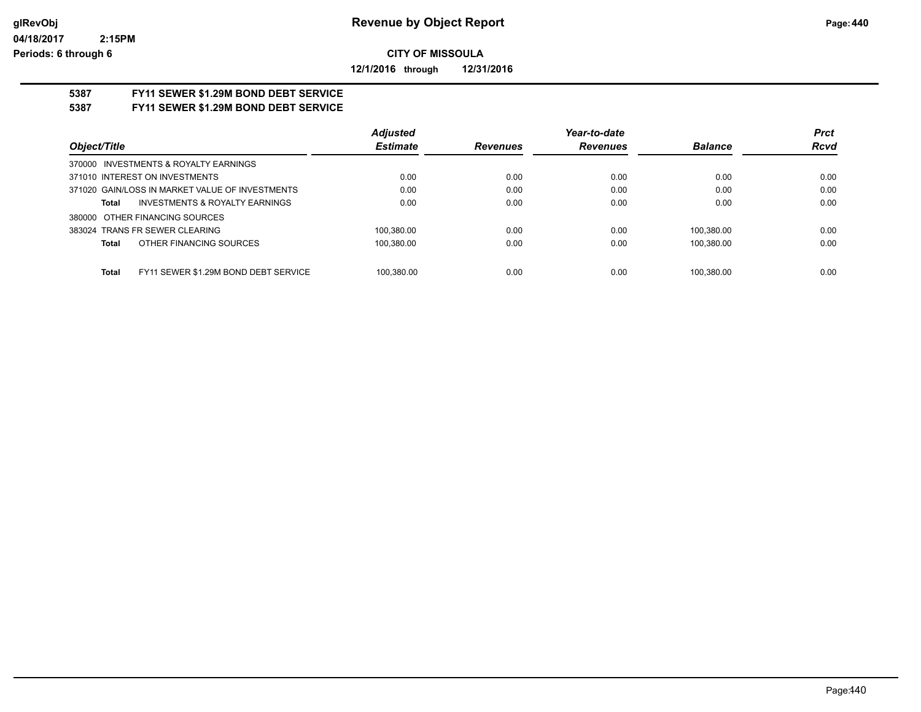**12/1/2016 through 12/31/2016**

### **5387 FY11 SEWER \$1.29M BOND DEBT SERVICE 5387 FY11 SEWER \$1.29M BOND DEBT SERVICE**

|                                                 | <b>Adjusted</b> |                 | Year-to-date    |                | <b>Prct</b> |
|-------------------------------------------------|-----------------|-----------------|-----------------|----------------|-------------|
| Object/Title                                    | <b>Estimate</b> | <b>Revenues</b> | <b>Revenues</b> | <b>Balance</b> | <b>Rcvd</b> |
| 370000 INVESTMENTS & ROYALTY EARNINGS           |                 |                 |                 |                |             |
| 371010 INTEREST ON INVESTMENTS                  | 0.00            | 0.00            | 0.00            | 0.00           | 0.00        |
| 371020 GAIN/LOSS IN MARKET VALUE OF INVESTMENTS | 0.00            | 0.00            | 0.00            | 0.00           | 0.00        |
| INVESTMENTS & ROYALTY EARNINGS<br>Total         | 0.00            | 0.00            | 0.00            | 0.00           | 0.00        |
| 380000 OTHER FINANCING SOURCES                  |                 |                 |                 |                |             |
| 383024 TRANS FR SEWER CLEARING                  | 100.380.00      | 0.00            | 0.00            | 100.380.00     | 0.00        |
| OTHER FINANCING SOURCES<br>Total                | 100,380.00      | 0.00            | 0.00            | 100.380.00     | 0.00        |
|                                                 |                 |                 |                 |                |             |
| Total<br>FY11 SEWER \$1.29M BOND DEBT SERVICE   | 100.380.00      | 0.00            | 0.00            | 100.380.00     | 0.00        |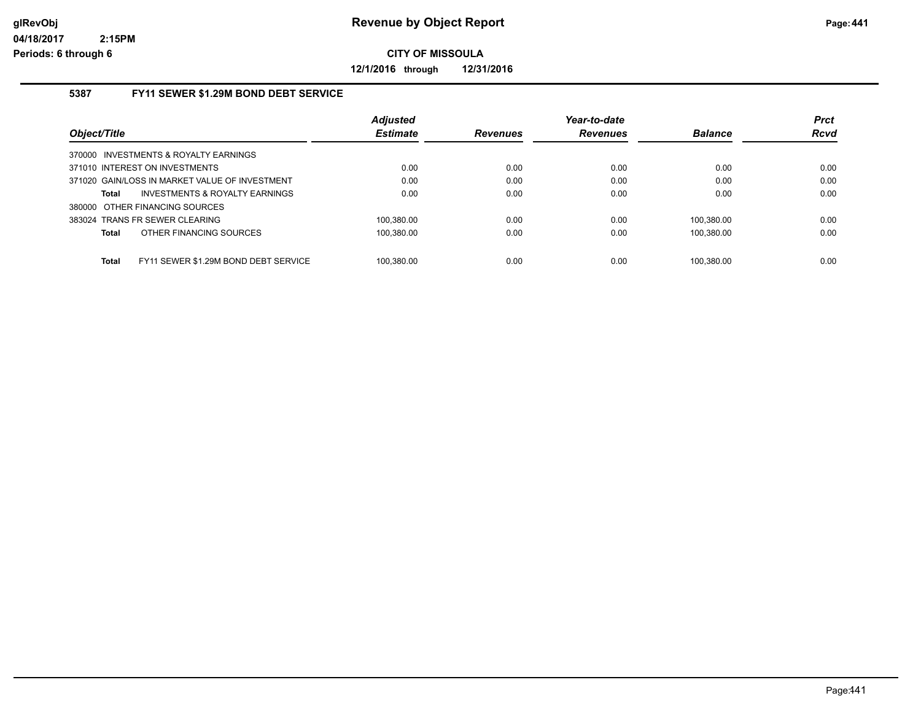**12/1/2016 through 12/31/2016**

#### **5387 FY11 SEWER \$1.29M BOND DEBT SERVICE**

| Object/Title |                                                | <b>Adjusted</b><br><b>Estimate</b> | <b>Revenues</b> | Year-to-date<br><b>Revenues</b> | <b>Balance</b> | <b>Prct</b><br><b>Rcvd</b> |
|--------------|------------------------------------------------|------------------------------------|-----------------|---------------------------------|----------------|----------------------------|
|              | 370000 INVESTMENTS & ROYALTY EARNINGS          |                                    |                 |                                 |                |                            |
|              | 371010 INTEREST ON INVESTMENTS                 | 0.00                               | 0.00            | 0.00                            | 0.00           | 0.00                       |
|              | 371020 GAIN/LOSS IN MARKET VALUE OF INVESTMENT | 0.00                               | 0.00            | 0.00                            | 0.00           | 0.00                       |
| Total        | INVESTMENTS & ROYALTY EARNINGS                 | 0.00                               | 0.00            | 0.00                            | 0.00           | 0.00                       |
|              | 380000 OTHER FINANCING SOURCES                 |                                    |                 |                                 |                |                            |
|              | 383024 TRANS FR SEWER CLEARING                 | 100.380.00                         | 0.00            | 0.00                            | 100.380.00     | 0.00                       |
| Total        | OTHER FINANCING SOURCES                        | 100.380.00                         | 0.00            | 0.00                            | 100.380.00     | 0.00                       |
|              |                                                |                                    |                 |                                 |                |                            |
| <b>Total</b> | FY11 SEWER \$1.29M BOND DEBT SERVICE           | 100.380.00                         | 0.00            | 0.00                            | 100.380.00     | 0.00                       |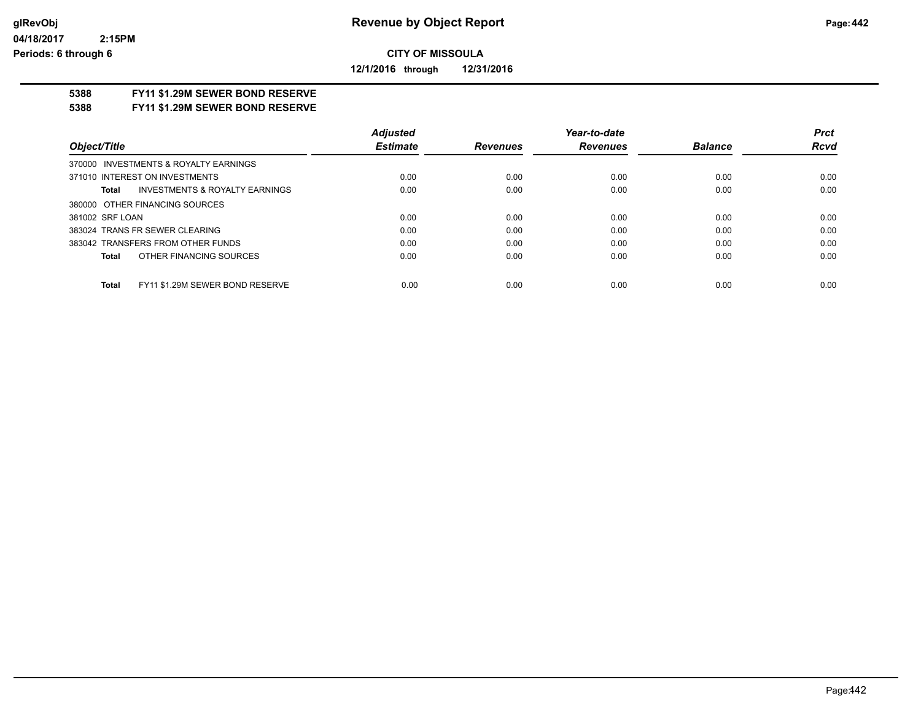**12/1/2016 through 12/31/2016**

### **5388 FY11 \$1.29M SEWER BOND RESERVE 5388 FY11 \$1.29M SEWER BOND RESERVE**

|                                          | <b>Adjusted</b> |                 | Year-to-date    |                | <b>Prct</b> |
|------------------------------------------|-----------------|-----------------|-----------------|----------------|-------------|
| Object/Title                             | <b>Estimate</b> | <b>Revenues</b> | <b>Revenues</b> | <b>Balance</b> | <b>Rcvd</b> |
| 370000 INVESTMENTS & ROYALTY EARNINGS    |                 |                 |                 |                |             |
| 371010 INTEREST ON INVESTMENTS           | 0.00            | 0.00            | 0.00            | 0.00           | 0.00        |
| INVESTMENTS & ROYALTY EARNINGS<br>Total  | 0.00            | 0.00            | 0.00            | 0.00           | 0.00        |
| 380000 OTHER FINANCING SOURCES           |                 |                 |                 |                |             |
| 381002 SRF LOAN                          | 0.00            | 0.00            | 0.00            | 0.00           | 0.00        |
| 383024 TRANS FR SEWER CLEARING           | 0.00            | 0.00            | 0.00            | 0.00           | 0.00        |
| 383042 TRANSFERS FROM OTHER FUNDS        | 0.00            | 0.00            | 0.00            | 0.00           | 0.00        |
| OTHER FINANCING SOURCES<br>Total         | 0.00            | 0.00            | 0.00            | 0.00           | 0.00        |
|                                          |                 |                 |                 |                |             |
| FY11 \$1.29M SEWER BOND RESERVE<br>Total | 0.00            | 0.00            | 0.00            | 0.00           | 0.00        |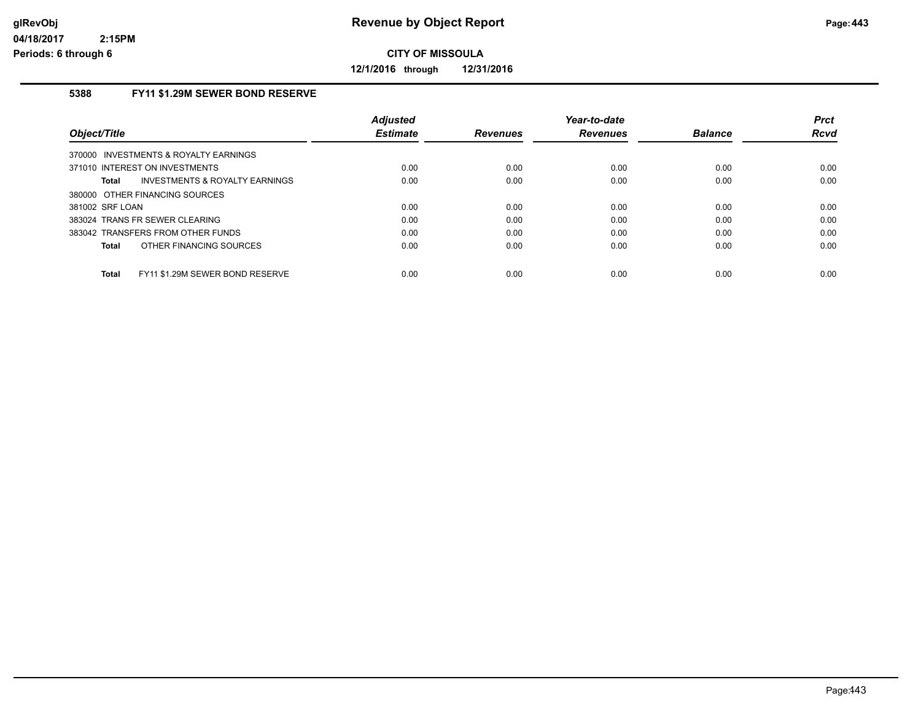**12/1/2016 through 12/31/2016**

#### **5388 FY11 \$1.29M SEWER BOND RESERVE**

|                                                 | <b>Adiusted</b> |                 | Year-to-date    |                | <b>Prct</b> |
|-------------------------------------------------|-----------------|-----------------|-----------------|----------------|-------------|
| Object/Title                                    | <b>Estimate</b> | <b>Revenues</b> | <b>Revenues</b> | <b>Balance</b> | <b>Rcvd</b> |
| 370000 INVESTMENTS & ROYALTY EARNINGS           |                 |                 |                 |                |             |
| 371010 INTEREST ON INVESTMENTS                  | 0.00            | 0.00            | 0.00            | 0.00           | 0.00        |
| INVESTMENTS & ROYALTY EARNINGS<br>Total         | 0.00            | 0.00            | 0.00            | 0.00           | 0.00        |
| 380000 OTHER FINANCING SOURCES                  |                 |                 |                 |                |             |
| 381002 SRF LOAN                                 | 0.00            | 0.00            | 0.00            | 0.00           | 0.00        |
| 383024 TRANS FR SEWER CLEARING                  | 0.00            | 0.00            | 0.00            | 0.00           | 0.00        |
| 383042 TRANSFERS FROM OTHER FUNDS               | 0.00            | 0.00            | 0.00            | 0.00           | 0.00        |
| <b>Total</b><br>OTHER FINANCING SOURCES         | 0.00            | 0.00            | 0.00            | 0.00           | 0.00        |
| FY11 \$1.29M SEWER BOND RESERVE<br><b>Total</b> | 0.00            | 0.00            | 0.00            | 0.00           | 0.00        |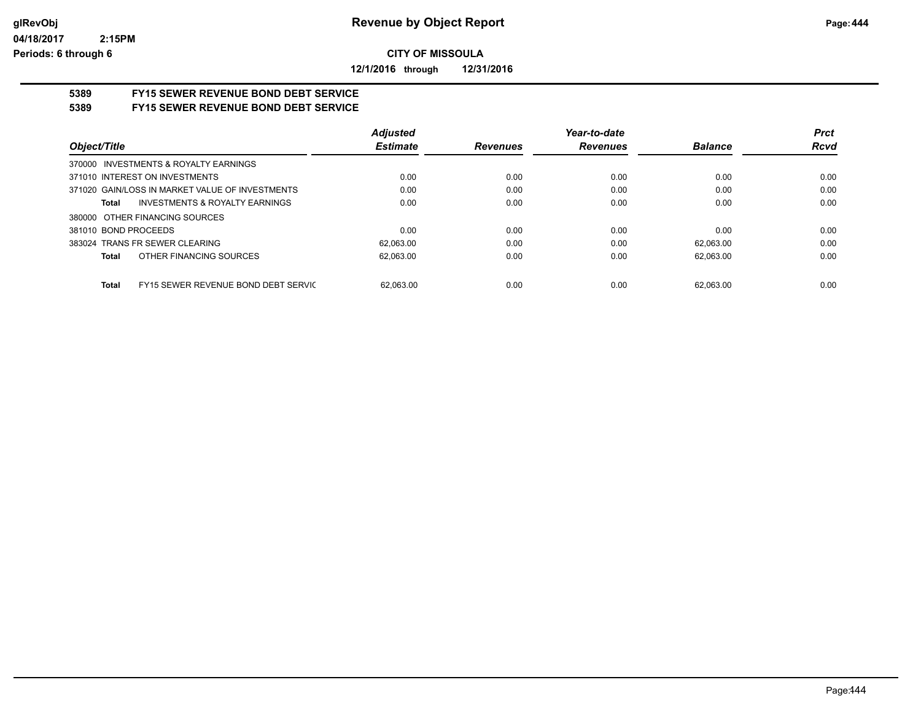**12/1/2016 through 12/31/2016**

#### **5389 FY15 SEWER REVENUE BOND DEBT SERVICE 5389 FY15 SEWER REVENUE BOND DEBT SERVICE**

|                                                 |                                           | <b>Adjusted</b> |                 | Year-to-date    |                | <b>Prct</b> |
|-------------------------------------------------|-------------------------------------------|-----------------|-----------------|-----------------|----------------|-------------|
| Object/Title                                    |                                           | <b>Estimate</b> | <b>Revenues</b> | <b>Revenues</b> | <b>Balance</b> | <b>Rcvd</b> |
| INVESTMENTS & ROYALTY EARNINGS<br>370000        |                                           |                 |                 |                 |                |             |
| 371010 INTEREST ON INVESTMENTS                  |                                           | 0.00            | 0.00            | 0.00            | 0.00           | 0.00        |
| 371020 GAIN/LOSS IN MARKET VALUE OF INVESTMENTS |                                           | 0.00            | 0.00            | 0.00            | 0.00           | 0.00        |
| Total                                           | <b>INVESTMENTS &amp; ROYALTY EARNINGS</b> | 0.00            | 0.00            | 0.00            | 0.00           | 0.00        |
| OTHER FINANCING SOURCES<br>380000               |                                           |                 |                 |                 |                |             |
| 381010 BOND PROCEEDS                            |                                           | 0.00            | 0.00            | 0.00            | 0.00           | 0.00        |
| 383024 TRANS FR SEWER CLEARING                  |                                           | 62.063.00       | 0.00            | 0.00            | 62.063.00      | 0.00        |
| OTHER FINANCING SOURCES<br>Total                |                                           | 62,063.00       | 0.00            | 0.00            | 62.063.00      | 0.00        |
|                                                 |                                           |                 |                 |                 |                |             |
| <b>Total</b>                                    | FY15 SEWER REVENUE BOND DEBT SERVIC       | 62.063.00       | 0.00            | 0.00            | 62.063.00      | 0.00        |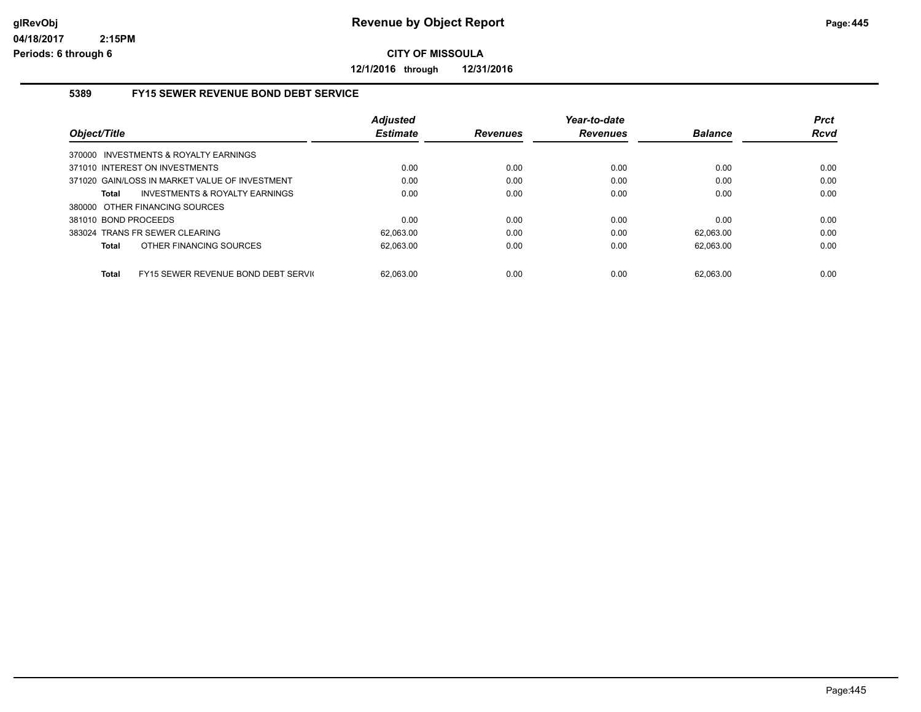**12/1/2016 through 12/31/2016**

#### **5389 FY15 SEWER REVENUE BOND DEBT SERVICE**

|                      |                                                | <b>Adiusted</b> |                 | Year-to-date    |                | <b>Prct</b> |
|----------------------|------------------------------------------------|-----------------|-----------------|-----------------|----------------|-------------|
| Object/Title         |                                                | <b>Estimate</b> | <b>Revenues</b> | <b>Revenues</b> | <b>Balance</b> | <b>Rcvd</b> |
|                      | 370000 INVESTMENTS & ROYALTY EARNINGS          |                 |                 |                 |                |             |
|                      | 371010 INTEREST ON INVESTMENTS                 | 0.00            | 0.00            | 0.00            | 0.00           | 0.00        |
|                      | 371020 GAIN/LOSS IN MARKET VALUE OF INVESTMENT | 0.00            | 0.00            | 0.00            | 0.00           | 0.00        |
| Total                | INVESTMENTS & ROYALTY EARNINGS                 | 0.00            | 0.00            | 0.00            | 0.00           | 0.00        |
|                      | 380000 OTHER FINANCING SOURCES                 |                 |                 |                 |                |             |
| 381010 BOND PROCEEDS |                                                | 0.00            | 0.00            | 0.00            | 0.00           | 0.00        |
|                      | 383024 TRANS FR SEWER CLEARING                 | 62.063.00       | 0.00            | 0.00            | 62.063.00      | 0.00        |
| Total                | OTHER FINANCING SOURCES                        | 62,063.00       | 0.00            | 0.00            | 62,063.00      | 0.00        |
| <b>Total</b>         | FY15 SEWER REVENUE BOND DEBT SERVIC            | 62.063.00       | 0.00            | 0.00            | 62.063.00      | 0.00        |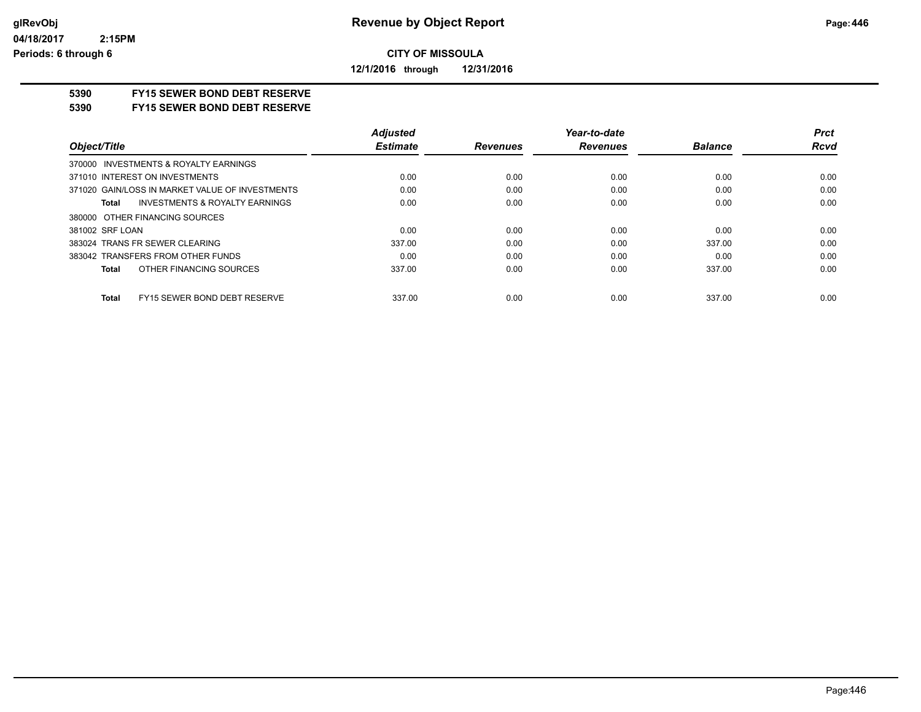**12/1/2016 through 12/31/2016**

### **5390 FY15 SEWER BOND DEBT RESERVE 5390 FY15 SEWER BOND DEBT RESERVE**

|                                                    | <b>Adjusted</b> |                 | Year-to-date    |                | <b>Prct</b> |
|----------------------------------------------------|-----------------|-----------------|-----------------|----------------|-------------|
| Object/Title                                       | <b>Estimate</b> | <b>Revenues</b> | <b>Revenues</b> | <b>Balance</b> | <b>Rcvd</b> |
| 370000 INVESTMENTS & ROYALTY EARNINGS              |                 |                 |                 |                |             |
| 371010 INTEREST ON INVESTMENTS                     | 0.00            | 0.00            | 0.00            | 0.00           | 0.00        |
| 371020 GAIN/LOSS IN MARKET VALUE OF INVESTMENTS    | 0.00            | 0.00            | 0.00            | 0.00           | 0.00        |
| <b>INVESTMENTS &amp; ROYALTY EARNINGS</b><br>Total | 0.00            | 0.00            | 0.00            | 0.00           | 0.00        |
| 380000 OTHER FINANCING SOURCES                     |                 |                 |                 |                |             |
| 381002 SRF LOAN                                    | 0.00            | 0.00            | 0.00            | 0.00           | 0.00        |
| 383024 TRANS FR SEWER CLEARING                     | 337.00          | 0.00            | 0.00            | 337.00         | 0.00        |
| 383042 TRANSFERS FROM OTHER FUNDS                  | 0.00            | 0.00            | 0.00            | 0.00           | 0.00        |
| OTHER FINANCING SOURCES<br>Total                   | 337.00          | 0.00            | 0.00            | 337.00         | 0.00        |
|                                                    |                 |                 |                 |                |             |
| FY15 SEWER BOND DEBT RESERVE<br><b>Total</b>       | 337.00          | 0.00            | 0.00            | 337.00         | 0.00        |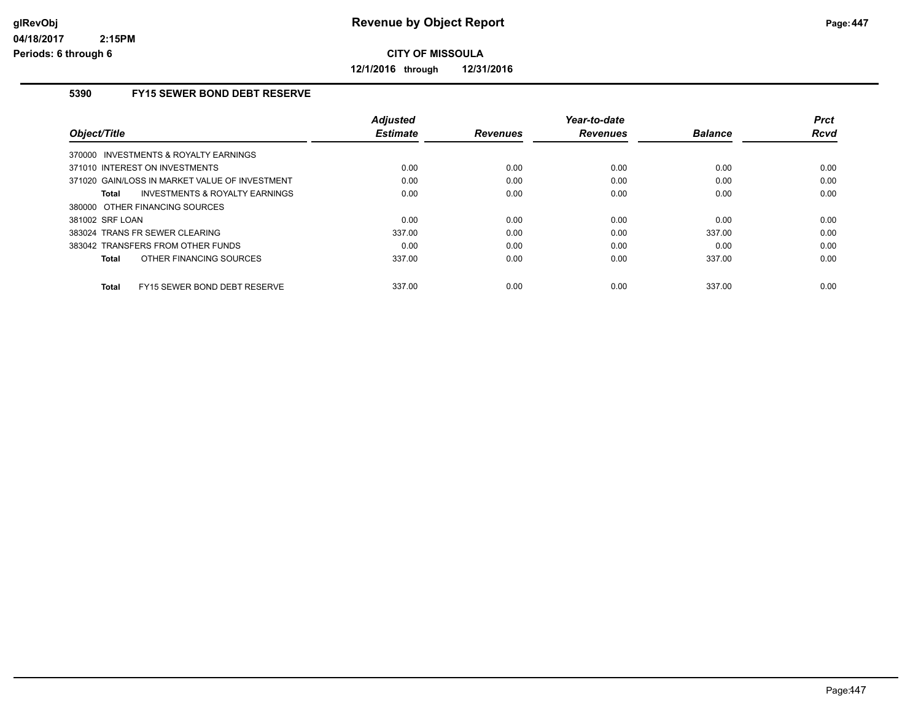**12/1/2016 through 12/31/2016**

#### **5390 FY15 SEWER BOND DEBT RESERVE**

| Object/Title                                        | <b>Adjusted</b><br><b>Estimate</b> | <b>Revenues</b> | Year-to-date<br><b>Revenues</b> | <b>Balance</b> | <b>Prct</b><br>Rcvd |
|-----------------------------------------------------|------------------------------------|-----------------|---------------------------------|----------------|---------------------|
| 370000 INVESTMENTS & ROYALTY EARNINGS               |                                    |                 |                                 |                |                     |
| 371010 INTEREST ON INVESTMENTS                      | 0.00                               | 0.00            | 0.00                            | 0.00           | 0.00                |
| 371020 GAIN/LOSS IN MARKET VALUE OF INVESTMENT      | 0.00                               | 0.00            | 0.00                            | 0.00           | 0.00                |
| INVESTMENTS & ROYALTY EARNINGS<br>Total             | 0.00                               | 0.00            | 0.00                            | 0.00           | 0.00                |
| 380000 OTHER FINANCING SOURCES                      |                                    |                 |                                 |                |                     |
| 381002 SRF LOAN                                     | 0.00                               | 0.00            | 0.00                            | 0.00           | 0.00                |
| 383024 TRANS FR SEWER CLEARING                      | 337.00                             | 0.00            | 0.00                            | 337.00         | 0.00                |
| 383042 TRANSFERS FROM OTHER FUNDS                   | 0.00                               | 0.00            | 0.00                            | 0.00           | 0.00                |
| OTHER FINANCING SOURCES<br>Total                    | 337.00                             | 0.00            | 0.00                            | 337.00         | 0.00                |
| <b>FY15 SEWER BOND DEBT RESERVE</b><br><b>Total</b> | 337.00                             | 0.00            | 0.00                            | 337.00         | 0.00                |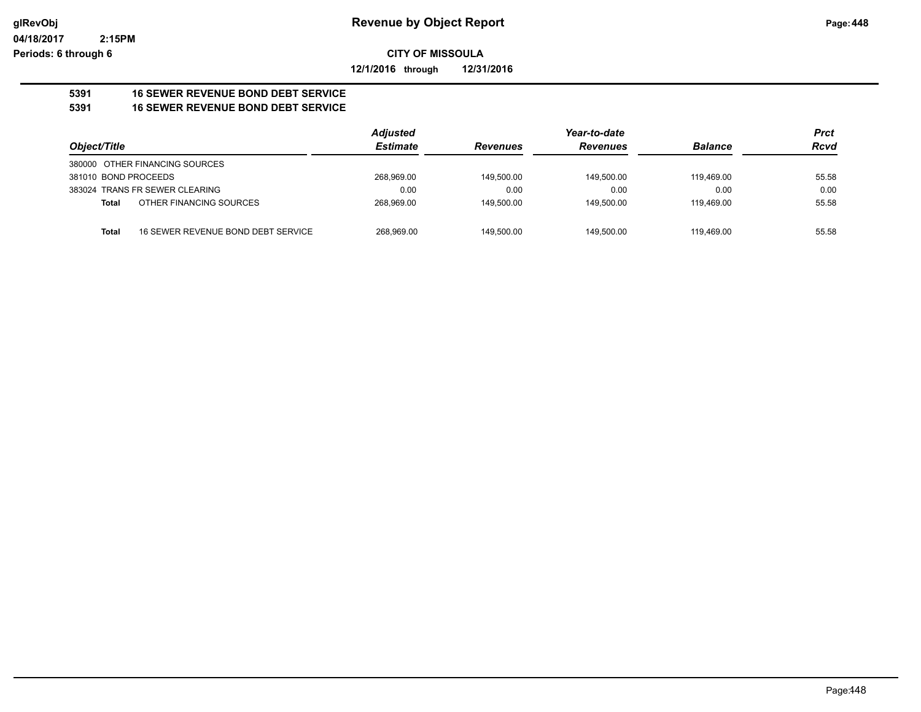**12/1/2016 through 12/31/2016**

### **5391 16 SEWER REVENUE BOND DEBT SERVICE 5391 16 SEWER REVENUE BOND DEBT SERVICE**

|                      |                                    | <b>Adjusted</b> |                 | Year-to-date    |                | <b>Prct</b> |
|----------------------|------------------------------------|-----------------|-----------------|-----------------|----------------|-------------|
| Object/Title         |                                    | <b>Estimate</b> | <b>Revenues</b> | <b>Revenues</b> | <b>Balance</b> | Rcvd        |
|                      | 380000 OTHER FINANCING SOURCES     |                 |                 |                 |                |             |
| 381010 BOND PROCEEDS |                                    | 268,969.00      | 149.500.00      | 149.500.00      | 119.469.00     | 55.58       |
|                      | 383024 TRANS FR SEWER CLEARING     | 0.00            | 0.00            | 0.00            | 0.00           | 0.00        |
| Total                | OTHER FINANCING SOURCES            | 268,969.00      | 149.500.00      | 149.500.00      | 119.469.00     | 55.58       |
|                      |                                    |                 |                 |                 |                |             |
| Total                | 16 SEWER REVENUE BOND DEBT SERVICE | 268.969.00      | 149.500.00      | 149.500.00      | 119.469.00     | 55.58       |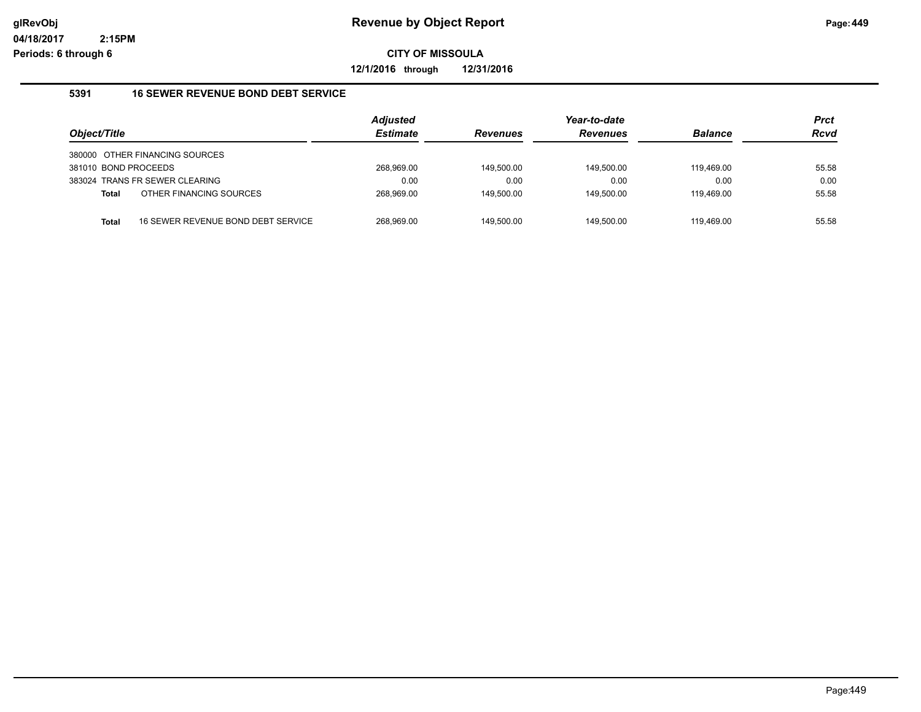**12/1/2016 through 12/31/2016**

#### **5391 16 SEWER REVENUE BOND DEBT SERVICE**

|                      |                                    | <b>Adjusted</b> |                 | Year-to-date   |            | <b>Prct</b> |
|----------------------|------------------------------------|-----------------|-----------------|----------------|------------|-------------|
| Object/Title         | <b>Estimate</b>                    | <b>Revenues</b> | <b>Revenues</b> | <b>Balance</b> | Rcvd       |             |
|                      | 380000 OTHER FINANCING SOURCES     |                 |                 |                |            |             |
| 381010 BOND PROCEEDS |                                    | 268.969.00      | 149.500.00      | 149.500.00     | 119,469.00 | 55.58       |
|                      | 383024 TRANS FR SEWER CLEARING     | 0.00            | 0.00            | 0.00           | 0.00       | 0.00        |
| <b>Total</b>         | OTHER FINANCING SOURCES            | 268.969.00      | 149.500.00      | 149.500.00     | 119.469.00 | 55.58       |
| <b>Total</b>         | 16 SEWER REVENUE BOND DEBT SERVICE | 268.969.00      | 149.500.00      | 149.500.00     | 119.469.00 | 55.58       |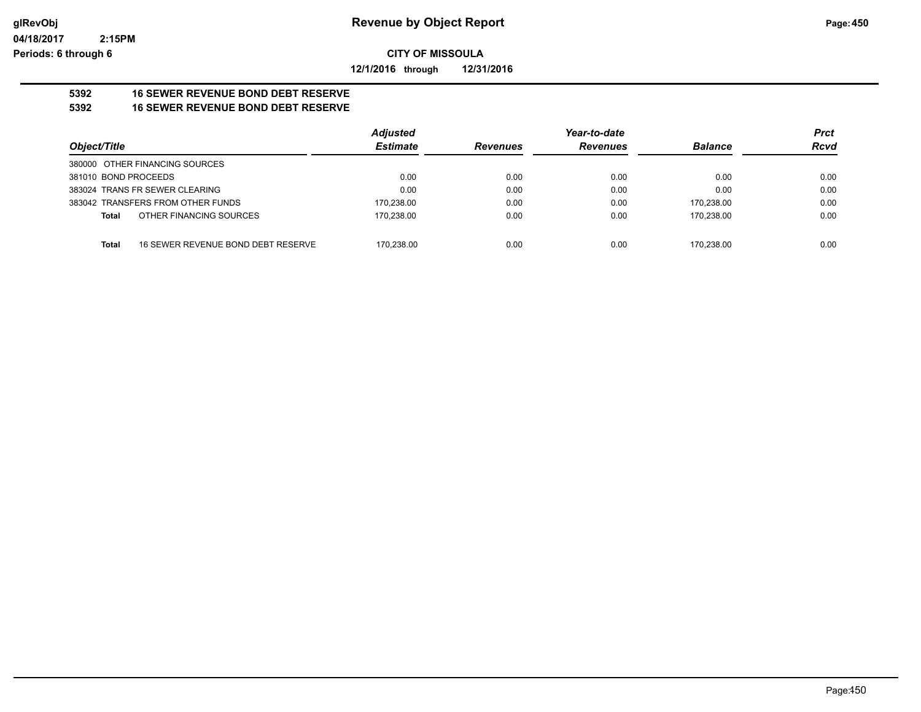**12/1/2016 through 12/31/2016**

### **5392 16 SEWER REVENUE BOND DEBT RESERVE 5392 16 SEWER REVENUE BOND DEBT RESERVE**

|                                |                                    | <b>Adjusted</b> |                 | Year-to-date    |                | <b>Prct</b> |
|--------------------------------|------------------------------------|-----------------|-----------------|-----------------|----------------|-------------|
| Object/Title                   |                                    | <b>Estimate</b> | <b>Revenues</b> | <b>Revenues</b> | <b>Balance</b> | <b>Rcvd</b> |
|                                | 380000 OTHER FINANCING SOURCES     |                 |                 |                 |                |             |
| 381010 BOND PROCEEDS           |                                    | 0.00            | 0.00            | 0.00            | 0.00           | 0.00        |
| 383024 TRANS FR SEWER CLEARING |                                    | 0.00            | 0.00            | 0.00            | 0.00           | 0.00        |
|                                | 383042 TRANSFERS FROM OTHER FUNDS  | 170.238.00      | 0.00            | 0.00            | 170.238.00     | 0.00        |
| Total                          | OTHER FINANCING SOURCES            | 170.238.00      | 0.00            | 0.00            | 170.238.00     | 0.00        |
|                                |                                    |                 |                 |                 |                |             |
| <b>Total</b>                   | 16 SEWER REVENUE BOND DEBT RESERVE | 170.238.00      | 0.00            | 0.00            | 170.238.00     | 0.00        |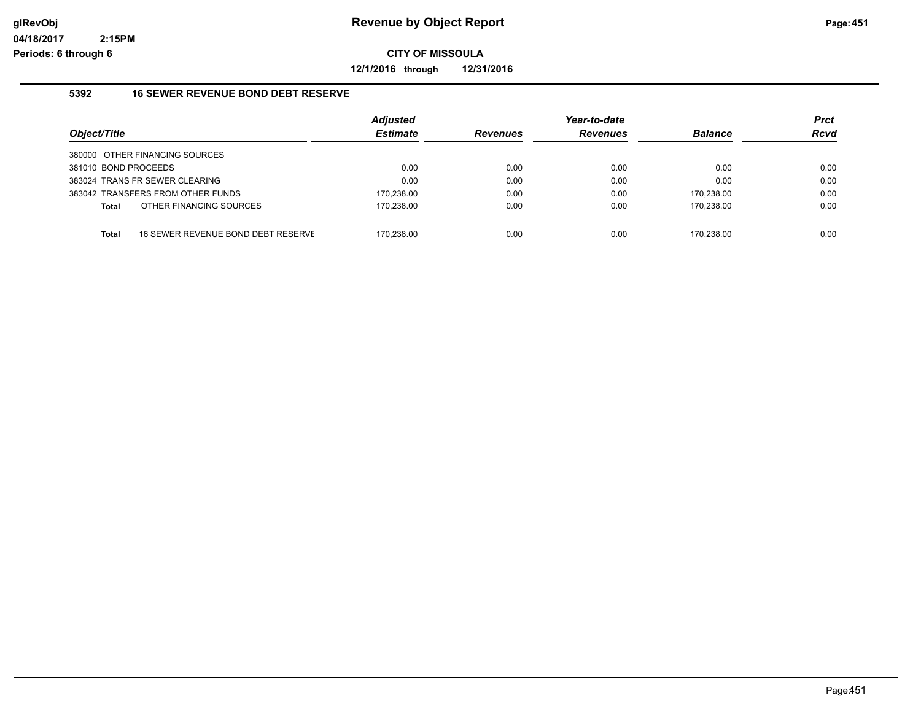**12/1/2016 through 12/31/2016**

#### **5392 16 SEWER REVENUE BOND DEBT RESERVE**

| Object/Title         |                                    | <b>Adjusted</b><br><b>Estimate</b> | <b>Revenues</b> | Year-to-date<br><b>Revenues</b> | <b>Balance</b> | <b>Prct</b><br><b>Rcvd</b> |
|----------------------|------------------------------------|------------------------------------|-----------------|---------------------------------|----------------|----------------------------|
|                      | 380000 OTHER FINANCING SOURCES     |                                    |                 |                                 |                |                            |
| 381010 BOND PROCEEDS |                                    | 0.00                               | 0.00            | 0.00                            | 0.00           | 0.00                       |
|                      | 383024 TRANS FR SEWER CLEARING     | 0.00                               | 0.00            | 0.00                            | 0.00           | 0.00                       |
|                      | 383042 TRANSFERS FROM OTHER FUNDS  | 170,238.00                         | 0.00            | 0.00                            | 170.238.00     | 0.00                       |
| <b>Total</b>         | OTHER FINANCING SOURCES            | 170,238.00                         | 0.00            | 0.00                            | 170,238.00     | 0.00                       |
| <b>Total</b>         | 16 SEWER REVENUE BOND DEBT RESERVE | 170.238.00                         | 0.00            | 0.00                            | 170.238.00     | 0.00                       |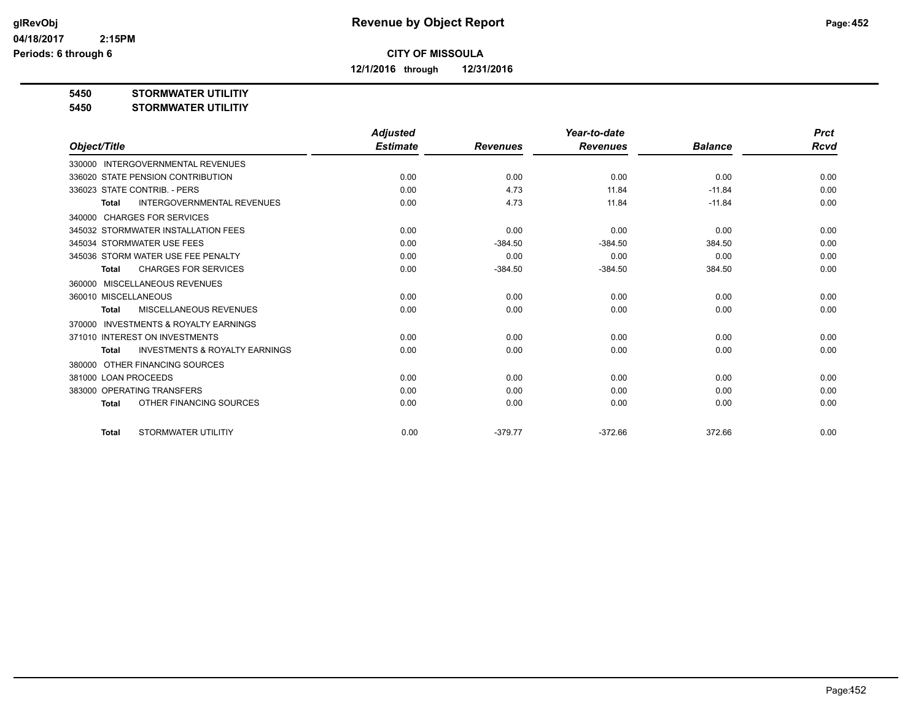**12/1/2016 through 12/31/2016**

**5450 STORMWATER UTILITIY 5450 STORMWATER UTILITIY**

|                                                           | <b>Adjusted</b> |                 | Year-to-date    |                | <b>Prct</b> |
|-----------------------------------------------------------|-----------------|-----------------|-----------------|----------------|-------------|
| Object/Title                                              | <b>Estimate</b> | <b>Revenues</b> | <b>Revenues</b> | <b>Balance</b> | <b>Rcvd</b> |
| 330000 INTERGOVERNMENTAL REVENUES                         |                 |                 |                 |                |             |
| 336020 STATE PENSION CONTRIBUTION                         | 0.00            | 0.00            | 0.00            | 0.00           | 0.00        |
| 336023 STATE CONTRIB. - PERS                              | 0.00            | 4.73            | 11.84           | $-11.84$       | 0.00        |
| <b>INTERGOVERNMENTAL REVENUES</b><br>Total                | 0.00            | 4.73            | 11.84           | $-11.84$       | 0.00        |
| <b>CHARGES FOR SERVICES</b><br>340000                     |                 |                 |                 |                |             |
| 345032 STORMWATER INSTALLATION FEES                       | 0.00            | 0.00            | 0.00            | 0.00           | 0.00        |
| 345034 STORMWATER USE FEES                                | 0.00            | $-384.50$       | $-384.50$       | 384.50         | 0.00        |
| 345036 STORM WATER USE FEE PENALTY                        | 0.00            | 0.00            | 0.00            | 0.00           | 0.00        |
| <b>CHARGES FOR SERVICES</b><br><b>Total</b>               | 0.00            | $-384.50$       | $-384.50$       | 384.50         | 0.00        |
| <b>MISCELLANEOUS REVENUES</b><br>360000                   |                 |                 |                 |                |             |
| 360010 MISCELLANEOUS                                      | 0.00            | 0.00            | 0.00            | 0.00           | 0.00        |
| <b>MISCELLANEOUS REVENUES</b><br><b>Total</b>             | 0.00            | 0.00            | 0.00            | 0.00           | 0.00        |
| <b>INVESTMENTS &amp; ROYALTY EARNINGS</b><br>370000       |                 |                 |                 |                |             |
| 371010 INTEREST ON INVESTMENTS                            | 0.00            | 0.00            | 0.00            | 0.00           | 0.00        |
| <b>INVESTMENTS &amp; ROYALTY EARNINGS</b><br><b>Total</b> | 0.00            | 0.00            | 0.00            | 0.00           | 0.00        |
| OTHER FINANCING SOURCES<br>380000                         |                 |                 |                 |                |             |
| 381000 LOAN PROCEEDS                                      | 0.00            | 0.00            | 0.00            | 0.00           | 0.00        |
| 383000 OPERATING TRANSFERS                                | 0.00            | 0.00            | 0.00            | 0.00           | 0.00        |
| OTHER FINANCING SOURCES<br>Total                          | 0.00            | 0.00            | 0.00            | 0.00           | 0.00        |
| STORMWATER UTILITIY<br><b>Total</b>                       | 0.00            | $-379.77$       | $-372.66$       | 372.66         | 0.00        |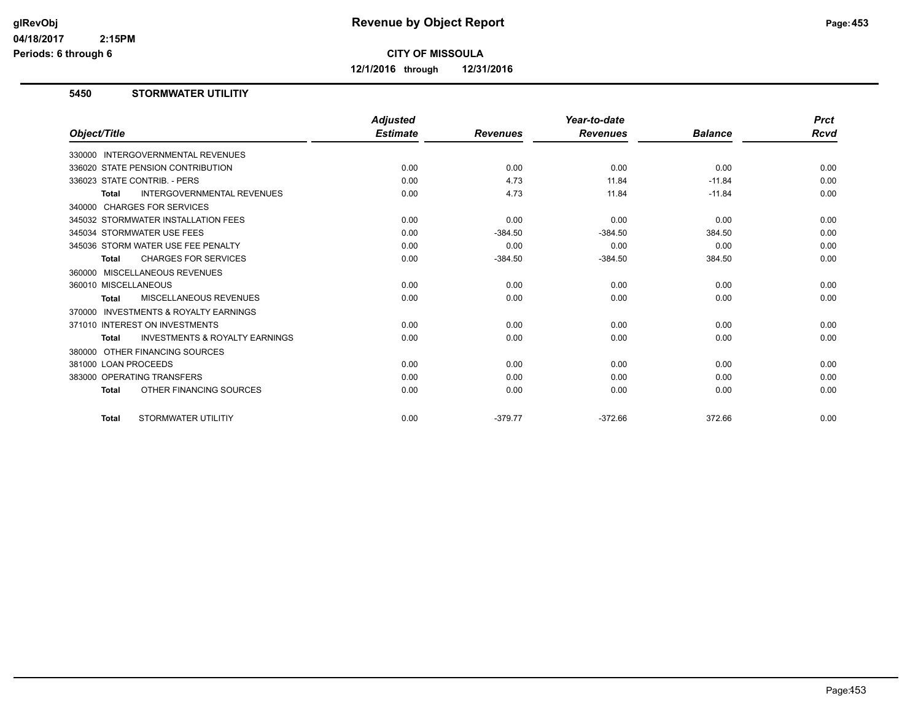**12/1/2016 through 12/31/2016**

#### **5450 STORMWATER UTILITIY**

|                                                           | <b>Adjusted</b> |                 | Year-to-date    |                | <b>Prct</b> |
|-----------------------------------------------------------|-----------------|-----------------|-----------------|----------------|-------------|
| Object/Title                                              | <b>Estimate</b> | <b>Revenues</b> | <b>Revenues</b> | <b>Balance</b> | <b>Rcvd</b> |
| 330000 INTERGOVERNMENTAL REVENUES                         |                 |                 |                 |                |             |
| 336020 STATE PENSION CONTRIBUTION                         | 0.00            | 0.00            | 0.00            | 0.00           | 0.00        |
| 336023 STATE CONTRIB. - PERS                              | 0.00            | 4.73            | 11.84           | $-11.84$       | 0.00        |
| <b>INTERGOVERNMENTAL REVENUES</b><br><b>Total</b>         | 0.00            | 4.73            | 11.84           | $-11.84$       | 0.00        |
| 340000 CHARGES FOR SERVICES                               |                 |                 |                 |                |             |
| 345032 STORMWATER INSTALLATION FEES                       | 0.00            | 0.00            | 0.00            | 0.00           | 0.00        |
| 345034 STORMWATER USE FEES                                | 0.00            | $-384.50$       | $-384.50$       | 384.50         | 0.00        |
| 345036 STORM WATER USE FEE PENALTY                        | 0.00            | 0.00            | 0.00            | 0.00           | 0.00        |
| <b>CHARGES FOR SERVICES</b><br><b>Total</b>               | 0.00            | $-384.50$       | $-384.50$       | 384.50         | 0.00        |
| 360000 MISCELLANEOUS REVENUES                             |                 |                 |                 |                |             |
| 360010 MISCELLANEOUS                                      | 0.00            | 0.00            | 0.00            | 0.00           | 0.00        |
| MISCELLANEOUS REVENUES<br><b>Total</b>                    | 0.00            | 0.00            | 0.00            | 0.00           | 0.00        |
| <b>INVESTMENTS &amp; ROYALTY EARNINGS</b><br>370000       |                 |                 |                 |                |             |
| 371010 INTEREST ON INVESTMENTS                            | 0.00            | 0.00            | 0.00            | 0.00           | 0.00        |
| <b>INVESTMENTS &amp; ROYALTY EARNINGS</b><br><b>Total</b> | 0.00            | 0.00            | 0.00            | 0.00           | 0.00        |
| 380000 OTHER FINANCING SOURCES                            |                 |                 |                 |                |             |
| 381000 LOAN PROCEEDS                                      | 0.00            | 0.00            | 0.00            | 0.00           | 0.00        |
| 383000 OPERATING TRANSFERS                                | 0.00            | 0.00            | 0.00            | 0.00           | 0.00        |
| OTHER FINANCING SOURCES<br><b>Total</b>                   | 0.00            | 0.00            | 0.00            | 0.00           | 0.00        |
| STORMWATER UTILITIY<br>Total                              | 0.00            | $-379.77$       | $-372.66$       | 372.66         | 0.00        |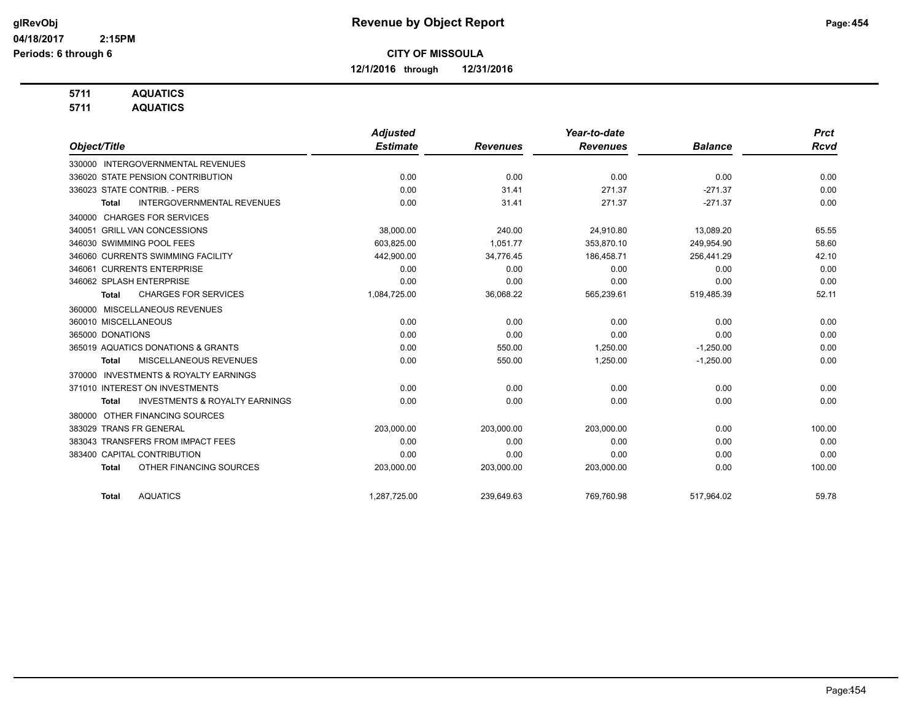## **CITY OF MISSOULA 12/1/2016 through 12/31/2016**

## **5711 AQUATICS**

**5711 AQUATICS**

|                                                    | <b>Adjusted</b> |                 | Year-to-date    |                | <b>Prct</b> |
|----------------------------------------------------|-----------------|-----------------|-----------------|----------------|-------------|
| Object/Title                                       | <b>Estimate</b> | <b>Revenues</b> | <b>Revenues</b> | <b>Balance</b> | <b>Rcvd</b> |
| 330000 INTERGOVERNMENTAL REVENUES                  |                 |                 |                 |                |             |
| 336020 STATE PENSION CONTRIBUTION                  | 0.00            | 0.00            | 0.00            | 0.00           | 0.00        |
| 336023 STATE CONTRIB. - PERS                       | 0.00            | 31.41           | 271.37          | $-271.37$      | 0.00        |
| <b>INTERGOVERNMENTAL REVENUES</b><br><b>Total</b>  | 0.00            | 31.41           | 271.37          | $-271.37$      | 0.00        |
| 340000 CHARGES FOR SERVICES                        |                 |                 |                 |                |             |
| 340051 GRILL VAN CONCESSIONS                       | 38,000.00       | 240.00          | 24,910.80       | 13,089.20      | 65.55       |
| 346030 SWIMMING POOL FEES                          | 603.825.00      | 1.051.77        | 353.870.10      | 249.954.90     | 58.60       |
| 346060 CURRENTS SWIMMING FACILITY                  | 442,900.00      | 34,776.45       | 186,458.71      | 256,441.29     | 42.10       |
| 346061 CURRENTS ENTERPRISE                         | 0.00            | 0.00            | 0.00            | 0.00           | 0.00        |
| 346062 SPLASH ENTERPRISE                           | 0.00            | 0.00            | 0.00            | 0.00           | 0.00        |
| <b>CHARGES FOR SERVICES</b><br><b>Total</b>        | 1,084,725.00    | 36,068.22       | 565,239.61      | 519,485.39     | 52.11       |
| 360000 MISCELLANEOUS REVENUES                      |                 |                 |                 |                |             |
| 360010 MISCELLANEOUS                               | 0.00            | 0.00            | 0.00            | 0.00           | 0.00        |
| 365000 DONATIONS                                   | 0.00            | 0.00            | 0.00            | 0.00           | 0.00        |
| 365019 AQUATICS DONATIONS & GRANTS                 | 0.00            | 550.00          | 1,250.00        | $-1,250.00$    | 0.00        |
| <b>MISCELLANEOUS REVENUES</b><br>Total             | 0.00            | 550.00          | 1,250.00        | $-1,250.00$    | 0.00        |
| 370000 INVESTMENTS & ROYALTY EARNINGS              |                 |                 |                 |                |             |
| 371010 INTEREST ON INVESTMENTS                     | 0.00            | 0.00            | 0.00            | 0.00           | 0.00        |
| <b>INVESTMENTS &amp; ROYALTY EARNINGS</b><br>Total | 0.00            | 0.00            | 0.00            | 0.00           | 0.00        |
| 380000 OTHER FINANCING SOURCES                     |                 |                 |                 |                |             |
| 383029 TRANS FR GENERAL                            | 203,000.00      | 203,000.00      | 203,000.00      | 0.00           | 100.00      |
| 383043 TRANSFERS FROM IMPACT FEES                  | 0.00            | 0.00            | 0.00            | 0.00           | 0.00        |
| 383400 CAPITAL CONTRIBUTION                        | 0.00            | 0.00            | 0.00            | 0.00           | 0.00        |
| OTHER FINANCING SOURCES<br><b>Total</b>            | 203,000.00      | 203,000.00      | 203,000.00      | 0.00           | 100.00      |
| <b>AQUATICS</b><br><b>Total</b>                    | 1,287,725.00    | 239,649.63      | 769,760.98      | 517,964.02     | 59.78       |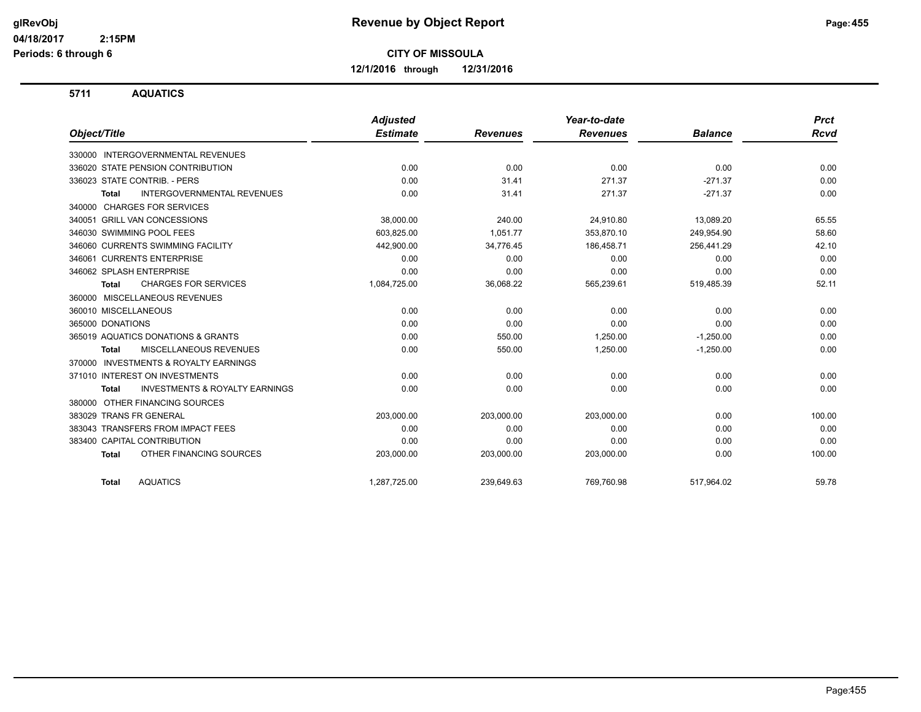**12/1/2016 through 12/31/2016**

#### **5711 AQUATICS**

|                                                    | <b>Adjusted</b> |                 | Year-to-date    |                | <b>Prct</b> |
|----------------------------------------------------|-----------------|-----------------|-----------------|----------------|-------------|
| Object/Title                                       | <b>Estimate</b> | <b>Revenues</b> | <b>Revenues</b> | <b>Balance</b> | <b>Rcvd</b> |
| 330000 INTERGOVERNMENTAL REVENUES                  |                 |                 |                 |                |             |
| 336020 STATE PENSION CONTRIBUTION                  | 0.00            | 0.00            | 0.00            | 0.00           | 0.00        |
| 336023 STATE CONTRIB. - PERS                       | 0.00            | 31.41           | 271.37          | $-271.37$      | 0.00        |
| <b>INTERGOVERNMENTAL REVENUES</b><br><b>Total</b>  | 0.00            | 31.41           | 271.37          | $-271.37$      | 0.00        |
| 340000 CHARGES FOR SERVICES                        |                 |                 |                 |                |             |
| 340051 GRILL VAN CONCESSIONS                       | 38.000.00       | 240.00          | 24.910.80       | 13.089.20      | 65.55       |
| 346030 SWIMMING POOL FEES                          | 603,825.00      | 1,051.77        | 353,870.10      | 249,954.90     | 58.60       |
| 346060 CURRENTS SWIMMING FACILITY                  | 442,900.00      | 34,776.45       | 186,458.71      | 256,441.29     | 42.10       |
| 346061 CURRENTS ENTERPRISE                         | 0.00            | 0.00            | 0.00            | 0.00           | 0.00        |
| 346062 SPLASH ENTERPRISE                           | 0.00            | 0.00            | 0.00            | 0.00           | 0.00        |
| <b>CHARGES FOR SERVICES</b><br><b>Total</b>        | 1,084,725.00    | 36,068.22       | 565,239.61      | 519,485.39     | 52.11       |
| 360000 MISCELLANEOUS REVENUES                      |                 |                 |                 |                |             |
| 360010 MISCELLANEOUS                               | 0.00            | 0.00            | 0.00            | 0.00           | 0.00        |
| 365000 DONATIONS                                   | 0.00            | 0.00            | 0.00            | 0.00           | 0.00        |
| 365019 AQUATICS DONATIONS & GRANTS                 | 0.00            | 550.00          | 1,250.00        | $-1,250.00$    | 0.00        |
| MISCELLANEOUS REVENUES<br><b>Total</b>             | 0.00            | 550.00          | 1,250.00        | $-1,250.00$    | 0.00        |
| 370000 INVESTMENTS & ROYALTY EARNINGS              |                 |                 |                 |                |             |
| 371010 INTEREST ON INVESTMENTS                     | 0.00            | 0.00            | 0.00            | 0.00           | 0.00        |
| <b>INVESTMENTS &amp; ROYALTY EARNINGS</b><br>Total | 0.00            | 0.00            | 0.00            | 0.00           | 0.00        |
| 380000 OTHER FINANCING SOURCES                     |                 |                 |                 |                |             |
| 383029 TRANS FR GENERAL                            | 203,000.00      | 203,000.00      | 203,000.00      | 0.00           | 100.00      |
| 383043 TRANSFERS FROM IMPACT FEES                  | 0.00            | 0.00            | 0.00            | 0.00           | 0.00        |
| 383400 CAPITAL CONTRIBUTION                        | 0.00            | 0.00            | 0.00            | 0.00           | 0.00        |
| OTHER FINANCING SOURCES<br><b>Total</b>            | 203,000.00      | 203,000.00      | 203,000.00      | 0.00           | 100.00      |
| <b>AQUATICS</b><br><b>Total</b>                    | 1,287,725.00    | 239,649.63      | 769,760.98      | 517,964.02     | 59.78       |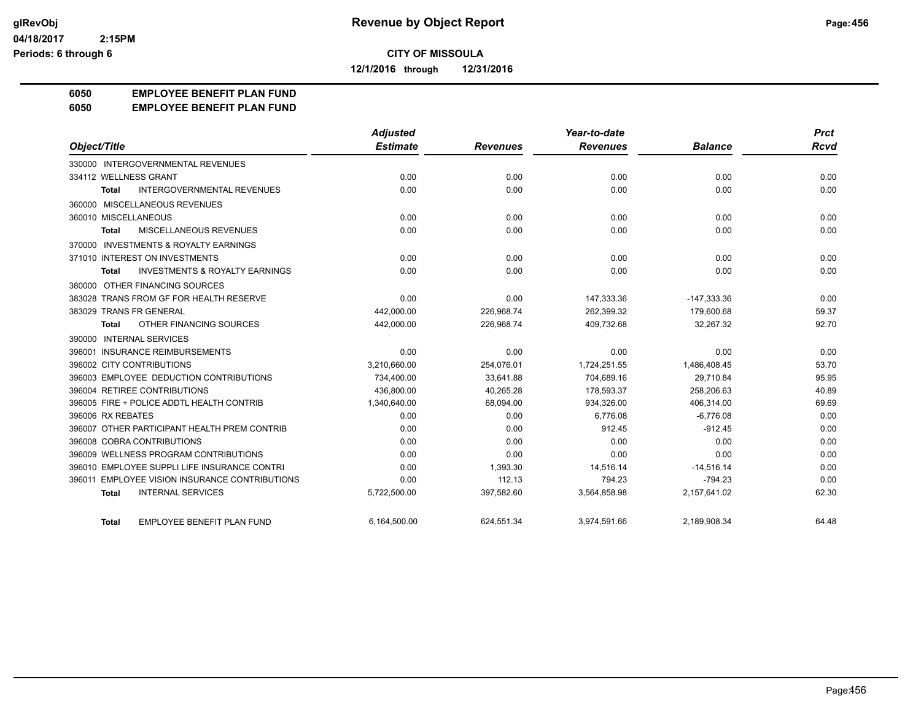**12/1/2016 through 12/31/2016**

## **6050 EMPLOYEE BENEFIT PLAN FUND**

**6050 EMPLOYEE BENEFIT PLAN FUND**

|                                                          | <b>Adjusted</b> |                 | Year-to-date    |                | <b>Prct</b> |
|----------------------------------------------------------|-----------------|-----------------|-----------------|----------------|-------------|
| Object/Title                                             | <b>Estimate</b> | <b>Revenues</b> | <b>Revenues</b> | <b>Balance</b> | <b>Rcvd</b> |
| 330000 INTERGOVERNMENTAL REVENUES                        |                 |                 |                 |                |             |
| 334112 WELLNESS GRANT                                    | 0.00            | 0.00            | 0.00            | 0.00           | 0.00        |
| <b>INTERGOVERNMENTAL REVENUES</b><br><b>Total</b>        | 0.00            | 0.00            | 0.00            | 0.00           | 0.00        |
| 360000 MISCELLANEOUS REVENUES                            |                 |                 |                 |                |             |
| 360010 MISCELLANEOUS                                     | 0.00            | 0.00            | 0.00            | 0.00           | 0.00        |
| MISCELLANEOUS REVENUES<br><b>Total</b>                   | 0.00            | 0.00            | 0.00            | 0.00           | 0.00        |
| 370000 INVESTMENTS & ROYALTY EARNINGS                    |                 |                 |                 |                |             |
| 371010 INTEREST ON INVESTMENTS                           | 0.00            | 0.00            | 0.00            | 0.00           | 0.00        |
| <b>INVESTMENTS &amp; ROYALTY EARNINGS</b><br>Total       | 0.00            | 0.00            | 0.00            | 0.00           | 0.00        |
| 380000 OTHER FINANCING SOURCES                           |                 |                 |                 |                |             |
| 383028 TRANS FROM GF FOR HEALTH RESERVE                  | 0.00            | 0.00            | 147,333.36      | $-147,333.36$  | 0.00        |
| 383029 TRANS FR GENERAL                                  | 442.000.00      | 226.968.74      | 262.399.32      | 179.600.68     | 59.37       |
| OTHER FINANCING SOURCES<br><b>Total</b>                  | 442,000.00      | 226,968.74      | 409,732.68      | 32,267.32      | 92.70       |
| 390000 INTERNAL SERVICES                                 |                 |                 |                 |                |             |
| 396001 INSURANCE REIMBURSEMENTS                          | 0.00            | 0.00            | 0.00            | 0.00           | 0.00        |
| 396002 CITY CONTRIBUTIONS                                | 3,210,660.00    | 254.076.01      | 1,724,251.55    | 1,486,408.45   | 53.70       |
| 396003 EMPLOYEE DEDUCTION CONTRIBUTIONS                  | 734,400.00      | 33,641.88       | 704,689.16      | 29,710.84      | 95.95       |
| 396004 RETIREE CONTRIBUTIONS                             | 436,800.00      | 40,265.28       | 178,593.37      | 258,206.63     | 40.89       |
| 396005 FIRE + POLICE ADDTL HEALTH CONTRIB                | 1,340,640.00    | 68,094.00       | 934,326.00      | 406,314.00     | 69.69       |
| 396006 RX REBATES                                        | 0.00            | 0.00            | 6,776.08        | $-6,776.08$    | 0.00        |
| 396007 OTHER PARTICIPANT HEALTH PREM CONTRIB             | 0.00            | 0.00            | 912.45          | $-912.45$      | 0.00        |
| 396008 COBRA CONTRIBUTIONS                               | 0.00            | 0.00            | 0.00            | 0.00           | 0.00        |
| 396009 WELLNESS PROGRAM CONTRIBUTIONS                    | 0.00            | 0.00            | 0.00            | 0.00           | 0.00        |
| 396010 EMPLOYEE SUPPLI LIFE INSURANCE CONTRI             | 0.00            | 1,393.30        | 14,516.14       | $-14,516.14$   | 0.00        |
| <b>EMPLOYEE VISION INSURANCE CONTRIBUTIONS</b><br>396011 | 0.00            | 112.13          | 794.23          | $-794.23$      | 0.00        |
| <b>INTERNAL SERVICES</b><br><b>Total</b>                 | 5,722,500.00    | 397,582.60      | 3,564,858.98    | 2,157,641.02   | 62.30       |
| <b>EMPLOYEE BENEFIT PLAN FUND</b><br><b>Total</b>        | 6,164,500.00    | 624,551.34      | 3,974,591.66    | 2,189,908.34   | 64.48       |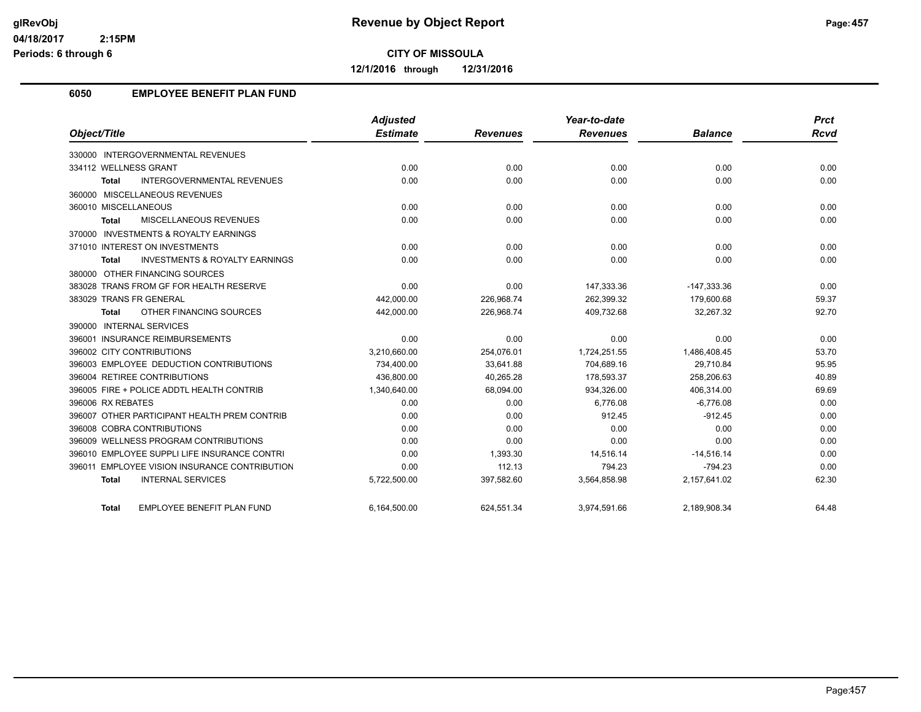**12/1/2016 through 12/31/2016**

### **6050 EMPLOYEE BENEFIT PLAN FUND**

|                                                    | <b>Adjusted</b> |                 | Year-to-date    |                | <b>Prct</b> |
|----------------------------------------------------|-----------------|-----------------|-----------------|----------------|-------------|
| Object/Title                                       | <b>Estimate</b> | <b>Revenues</b> | <b>Revenues</b> | <b>Balance</b> | Rcvd        |
| 330000 INTERGOVERNMENTAL REVENUES                  |                 |                 |                 |                |             |
| 334112 WELLNESS GRANT                              | 0.00            | 0.00            | 0.00            | 0.00           | 0.00        |
| <b>INTERGOVERNMENTAL REVENUES</b><br><b>Total</b>  | 0.00            | 0.00            | 0.00            | 0.00           | 0.00        |
| 360000 MISCELLANEOUS REVENUES                      |                 |                 |                 |                |             |
| 360010 MISCELLANEOUS                               | 0.00            | 0.00            | 0.00            | 0.00           | 0.00        |
| MISCELLANEOUS REVENUES<br>Total                    | 0.00            | 0.00            | 0.00            | 0.00           | 0.00        |
| 370000 INVESTMENTS & ROYALTY EARNINGS              |                 |                 |                 |                |             |
| 371010 INTEREST ON INVESTMENTS                     | 0.00            | 0.00            | 0.00            | 0.00           | 0.00        |
| <b>INVESTMENTS &amp; ROYALTY EARNINGS</b><br>Total | 0.00            | 0.00            | 0.00            | 0.00           | 0.00        |
| 380000 OTHER FINANCING SOURCES                     |                 |                 |                 |                |             |
| 383028 TRANS FROM GF FOR HEALTH RESERVE            | 0.00            | 0.00            | 147,333.36      | $-147,333.36$  | 0.00        |
| 383029 TRANS FR GENERAL                            | 442.000.00      | 226,968.74      | 262.399.32      | 179.600.68     | 59.37       |
| OTHER FINANCING SOURCES<br>Total                   | 442,000.00      | 226,968.74      | 409,732.68      | 32,267.32      | 92.70       |
| 390000 INTERNAL SERVICES                           |                 |                 |                 |                |             |
| 396001 INSURANCE REIMBURSEMENTS                    | 0.00            | 0.00            | 0.00            | 0.00           | 0.00        |
| 396002 CITY CONTRIBUTIONS                          | 3,210,660.00    | 254,076.01      | 1,724,251.55    | 1,486,408.45   | 53.70       |
| 396003 EMPLOYEE DEDUCTION CONTRIBUTIONS            | 734,400.00      | 33,641.88       | 704,689.16      | 29,710.84      | 95.95       |
| 396004 RETIREE CONTRIBUTIONS                       | 436,800.00      | 40,265.28       | 178,593.37      | 258,206.63     | 40.89       |
| 396005 FIRE + POLICE ADDTL HEALTH CONTRIB          | 1,340,640.00    | 68,094.00       | 934,326.00      | 406.314.00     | 69.69       |
| 396006 RX REBATES                                  | 0.00            | 0.00            | 6,776.08        | $-6,776.08$    | 0.00        |
| 396007 OTHER PARTICIPANT HEALTH PREM CONTRIB       | 0.00            | 0.00            | 912.45          | $-912.45$      | 0.00        |
| 396008 COBRA CONTRIBUTIONS                         | 0.00            | 0.00            | 0.00            | 0.00           | 0.00        |
| 396009 WELLNESS PROGRAM CONTRIBUTIONS              | 0.00            | 0.00            | 0.00            | 0.00           | 0.00        |
| 396010 EMPLOYEE SUPPLI LIFE INSURANCE CONTRI       | 0.00            | 1,393.30        | 14,516.14       | $-14,516.14$   | 0.00        |
| 396011 EMPLOYEE VISION INSURANCE CONTRIBUTION      | 0.00            | 112.13          | 794.23          | $-794.23$      | 0.00        |
| <b>INTERNAL SERVICES</b><br><b>Total</b>           | 5,722,500.00    | 397,582.60      | 3,564,858.98    | 2,157,641.02   | 62.30       |
| <b>EMPLOYEE BENEFIT PLAN FUND</b><br>Total         | 6,164,500.00    | 624,551.34      | 3,974,591.66    | 2,189,908.34   | 64.48       |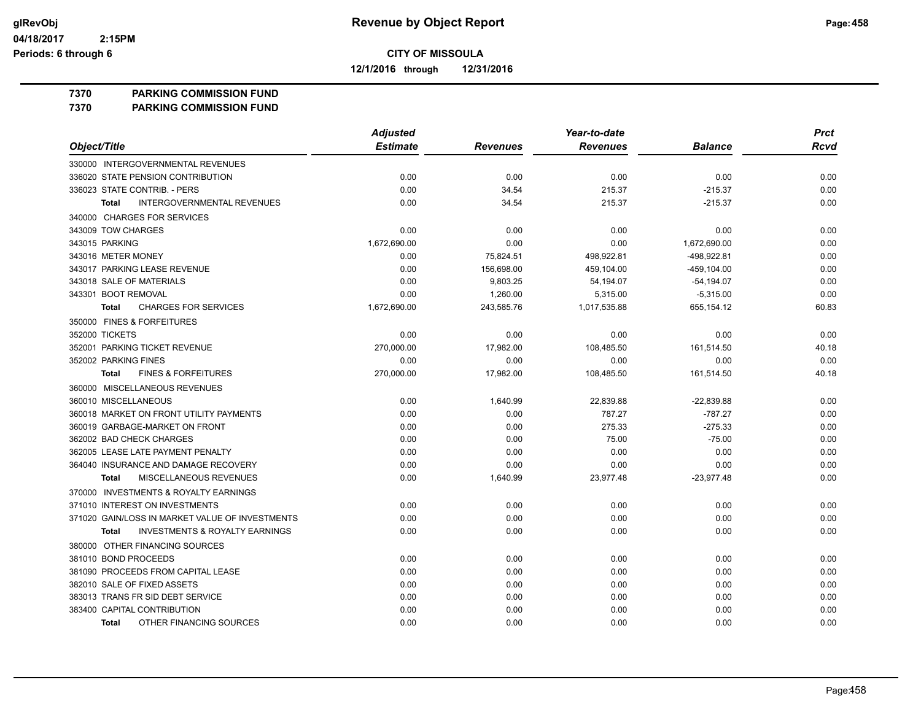**12/1/2016 through 12/31/2016**

**7370 PARKING COMMISSION FUND**

**7370 PARKING COMMISSION FUND**

|                                                    | <b>Adjusted</b> |                 | Year-to-date    |                | <b>Prct</b> |
|----------------------------------------------------|-----------------|-----------------|-----------------|----------------|-------------|
| Object/Title                                       | <b>Estimate</b> | <b>Revenues</b> | <b>Revenues</b> | <b>Balance</b> | <b>Rcvd</b> |
| 330000 INTERGOVERNMENTAL REVENUES                  |                 |                 |                 |                |             |
| 336020 STATE PENSION CONTRIBUTION                  | 0.00            | 0.00            | 0.00            | 0.00           | 0.00        |
| 336023 STATE CONTRIB. - PERS                       | 0.00            | 34.54           | 215.37          | $-215.37$      | 0.00        |
| INTERGOVERNMENTAL REVENUES<br><b>Total</b>         | 0.00            | 34.54           | 215.37          | $-215.37$      | 0.00        |
| 340000 CHARGES FOR SERVICES                        |                 |                 |                 |                |             |
| 343009 TOW CHARGES                                 | 0.00            | 0.00            | 0.00            | 0.00           | 0.00        |
| 343015 PARKING                                     | 1,672,690.00    | 0.00            | 0.00            | 1,672,690.00   | 0.00        |
| 343016 METER MONEY                                 | 0.00            | 75,824.51       | 498,922.81      | -498,922.81    | 0.00        |
| 343017 PARKING LEASE REVENUE                       | 0.00            | 156,698.00      | 459,104.00      | $-459, 104.00$ | 0.00        |
| 343018 SALE OF MATERIALS                           | 0.00            | 9,803.25        | 54,194.07       | $-54,194.07$   | 0.00        |
| 343301 BOOT REMOVAL                                | 0.00            | 1,260.00        | 5,315.00        | $-5,315.00$    | 0.00        |
| <b>CHARGES FOR SERVICES</b><br>Total               | 1,672,690.00    | 243,585.76      | 1,017,535.88    | 655, 154.12    | 60.83       |
| 350000 FINES & FORFEITURES                         |                 |                 |                 |                |             |
| 352000 TICKETS                                     | 0.00            | 0.00            | 0.00            | 0.00           | 0.00        |
| 352001 PARKING TICKET REVENUE                      | 270,000.00      | 17,982.00       | 108,485.50      | 161,514.50     | 40.18       |
| 352002 PARKING FINES                               | 0.00            | 0.00            | 0.00            | 0.00           | 0.00        |
| <b>FINES &amp; FORFEITURES</b><br><b>Total</b>     | 270,000.00      | 17,982.00       | 108,485.50      | 161,514.50     | 40.18       |
| 360000 MISCELLANEOUS REVENUES                      |                 |                 |                 |                |             |
| 360010 MISCELLANEOUS                               | 0.00            | 1,640.99        | 22,839.88       | $-22,839.88$   | 0.00        |
| 360018 MARKET ON FRONT UTILITY PAYMENTS            | 0.00            | 0.00            | 787.27          | $-787.27$      | 0.00        |
| 360019 GARBAGE-MARKET ON FRONT                     | 0.00            | 0.00            | 275.33          | $-275.33$      | 0.00        |
| 362002 BAD CHECK CHARGES                           | 0.00            | 0.00            | 75.00           | $-75.00$       | 0.00        |
| 362005 LEASE LATE PAYMENT PENALTY                  | 0.00            | 0.00            | 0.00            | 0.00           | 0.00        |
| 364040 INSURANCE AND DAMAGE RECOVERY               | 0.00            | 0.00            | 0.00            | 0.00           | 0.00        |
| MISCELLANEOUS REVENUES<br><b>Total</b>             | 0.00            | 1,640.99        | 23,977.48       | $-23,977.48$   | 0.00        |
| 370000 INVESTMENTS & ROYALTY EARNINGS              |                 |                 |                 |                |             |
| 371010 INTEREST ON INVESTMENTS                     | 0.00            | 0.00            | 0.00            | 0.00           | 0.00        |
| 371020 GAIN/LOSS IN MARKET VALUE OF INVESTMENTS    | 0.00            | 0.00            | 0.00            | 0.00           | 0.00        |
| <b>INVESTMENTS &amp; ROYALTY EARNINGS</b><br>Total | 0.00            | 0.00            | 0.00            | 0.00           | 0.00        |
| 380000 OTHER FINANCING SOURCES                     |                 |                 |                 |                |             |
| 381010 BOND PROCEEDS                               | 0.00            | 0.00            | 0.00            | 0.00           | 0.00        |
| 381090 PROCEEDS FROM CAPITAL LEASE                 | 0.00            | 0.00            | 0.00            | 0.00           | 0.00        |
| 382010 SALE OF FIXED ASSETS                        | 0.00            | 0.00            | 0.00            | 0.00           | 0.00        |
| 383013 TRANS FR SID DEBT SERVICE                   | 0.00            | 0.00            | 0.00            | 0.00           | 0.00        |
| 383400 CAPITAL CONTRIBUTION                        | 0.00            | 0.00            | 0.00            | 0.00           | 0.00        |
| <b>Total</b><br>OTHER FINANCING SOURCES            | 0.00            | 0.00            | 0.00            | 0.00           | 0.00        |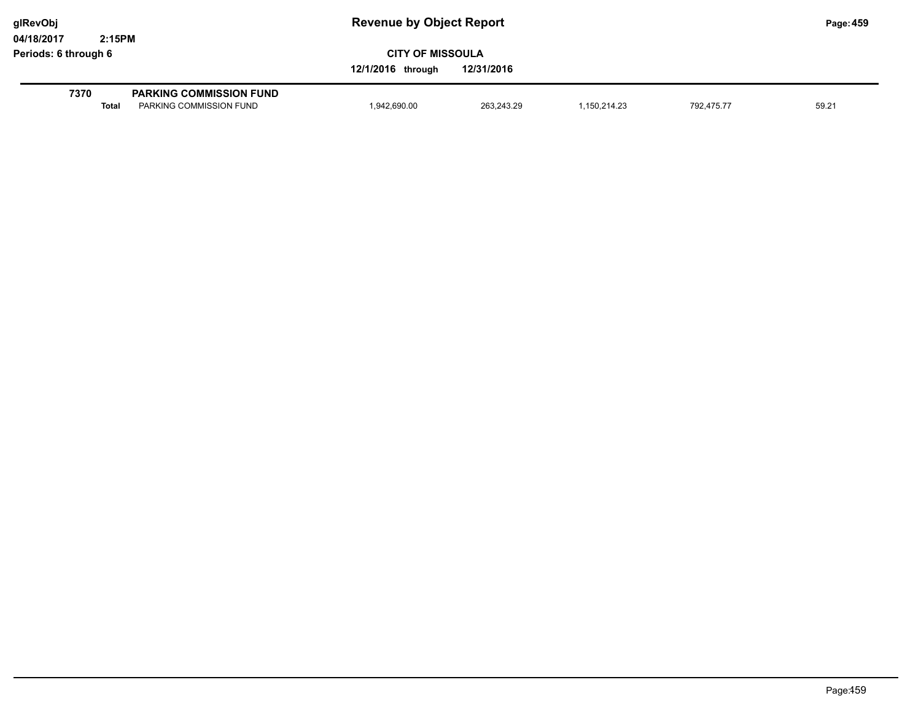| glRevObj             |        | <b>Revenue by Object Report</b> | Page: 459 |
|----------------------|--------|---------------------------------|-----------|
| 04/18/2017           | 2:15PM |                                 |           |
| Periods: 6 through 6 |        | <b>CITY OF MISSOULA</b>         |           |

**CITY OF MISSOULA 12/1/2016 through 12/31/2016**

| 7370         | <b>FUNL</b><br><b>KING</b><br>SION<br>PAR<br>JMMI                       |              |            |                     |            |       |
|--------------|-------------------------------------------------------------------------|--------------|------------|---------------------|------------|-------|
| <b>Total</b> | FUNE<br>PARKING<br>$\sim$ $\sim$ $\sim$<br>שו<br>UN<br>, vv<br>$\cdots$ | 690.00<br>94 | 263.243.29 | 150.214.22<br>14.ZJ | 792 475 77 | 59.21 |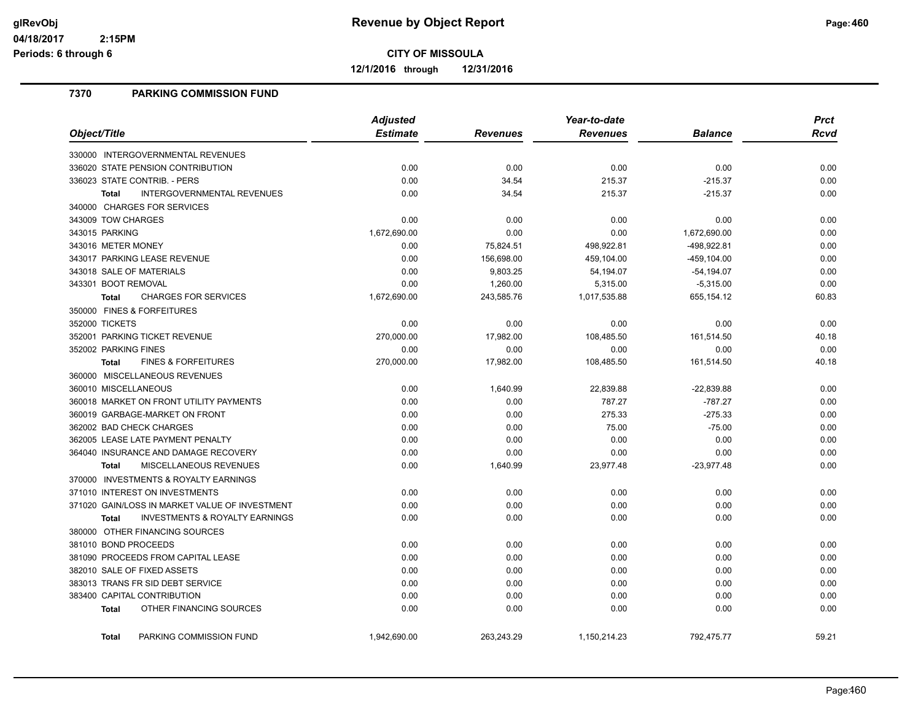**12/1/2016 through 12/31/2016**

#### **7370 PARKING COMMISSION FUND**

|                                                    | <b>Adjusted</b> |                 | Year-to-date    |                | <b>Prct</b> |
|----------------------------------------------------|-----------------|-----------------|-----------------|----------------|-------------|
| Object/Title                                       | <b>Estimate</b> | <b>Revenues</b> | <b>Revenues</b> | <b>Balance</b> | Rcvd        |
| 330000 INTERGOVERNMENTAL REVENUES                  |                 |                 |                 |                |             |
| 336020 STATE PENSION CONTRIBUTION                  | 0.00            | 0.00            | 0.00            | 0.00           | 0.00        |
| 336023 STATE CONTRIB. - PERS                       | 0.00            | 34.54           | 215.37          | $-215.37$      | 0.00        |
| INTERGOVERNMENTAL REVENUES<br><b>Total</b>         | 0.00            | 34.54           | 215.37          | $-215.37$      | 0.00        |
| 340000 CHARGES FOR SERVICES                        |                 |                 |                 |                |             |
| 343009 TOW CHARGES                                 | 0.00            | 0.00            | 0.00            | 0.00           | 0.00        |
| 343015 PARKING                                     | 1,672,690.00    | 0.00            | 0.00            | 1,672,690.00   | 0.00        |
| 343016 METER MONEY                                 | 0.00            | 75,824.51       | 498,922.81      | -498,922.81    | 0.00        |
| 343017 PARKING LEASE REVENUE                       | 0.00            | 156,698.00      | 459,104.00      | $-459, 104.00$ | 0.00        |
| 343018 SALE OF MATERIALS                           | 0.00            | 9,803.25        | 54,194.07       | $-54, 194.07$  | 0.00        |
| 343301 BOOT REMOVAL                                | 0.00            | 1,260.00        | 5,315.00        | $-5,315.00$    | 0.00        |
| <b>CHARGES FOR SERVICES</b><br><b>Total</b>        | 1,672,690.00    | 243,585.76      | 1,017,535.88    | 655,154.12     | 60.83       |
| 350000 FINES & FORFEITURES                         |                 |                 |                 |                |             |
| 352000 TICKETS                                     | 0.00            | 0.00            | 0.00            | 0.00           | 0.00        |
| 352001 PARKING TICKET REVENUE                      | 270,000.00      | 17,982.00       | 108.485.50      | 161,514.50     | 40.18       |
| 352002 PARKING FINES                               | 0.00            | 0.00            | 0.00            | 0.00           | 0.00        |
| <b>FINES &amp; FORFEITURES</b><br><b>Total</b>     | 270,000.00      | 17,982.00       | 108,485.50      | 161,514.50     | 40.18       |
| 360000 MISCELLANEOUS REVENUES                      |                 |                 |                 |                |             |
| 360010 MISCELLANEOUS                               | 0.00            | 1,640.99        | 22,839.88       | $-22,839.88$   | 0.00        |
| 360018 MARKET ON FRONT UTILITY PAYMENTS            | 0.00            | 0.00            | 787.27          | $-787.27$      | 0.00        |
| 360019 GARBAGE-MARKET ON FRONT                     | 0.00            | 0.00            | 275.33          | $-275.33$      | 0.00        |
| 362002 BAD CHECK CHARGES                           | 0.00            | 0.00            | 75.00           | $-75.00$       | 0.00        |
| 362005 LEASE LATE PAYMENT PENALTY                  | 0.00            | 0.00            | 0.00            | 0.00           | 0.00        |
| 364040 INSURANCE AND DAMAGE RECOVERY               | 0.00            | 0.00            | 0.00            | 0.00           | 0.00        |
| MISCELLANEOUS REVENUES<br><b>Total</b>             | 0.00            | 1,640.99        | 23,977.48       | $-23,977.48$   | 0.00        |
| 370000 INVESTMENTS & ROYALTY EARNINGS              |                 |                 |                 |                |             |
| 371010 INTEREST ON INVESTMENTS                     | 0.00            | 0.00            | 0.00            | 0.00           | 0.00        |
| 371020 GAIN/LOSS IN MARKET VALUE OF INVESTMENT     | 0.00            | 0.00            | 0.00            | 0.00           | 0.00        |
| <b>INVESTMENTS &amp; ROYALTY EARNINGS</b><br>Total | 0.00            | 0.00            | 0.00            | 0.00           | 0.00        |
| 380000 OTHER FINANCING SOURCES                     |                 |                 |                 |                |             |
| 381010 BOND PROCEEDS                               | 0.00            | 0.00            | 0.00            | 0.00           | 0.00        |
| 381090 PROCEEDS FROM CAPITAL LEASE                 | 0.00            | 0.00            | 0.00            | 0.00           | 0.00        |
| 382010 SALE OF FIXED ASSETS                        | 0.00            | 0.00            | 0.00            | 0.00           | 0.00        |
| 383013 TRANS FR SID DEBT SERVICE                   | 0.00            | 0.00            | 0.00            | 0.00           | 0.00        |
| 383400 CAPITAL CONTRIBUTION                        | 0.00            | 0.00            | 0.00            | 0.00           | 0.00        |
| OTHER FINANCING SOURCES<br><b>Total</b>            | 0.00            | 0.00            | 0.00            | 0.00           | 0.00        |
| PARKING COMMISSION FUND<br><b>Total</b>            | 1,942,690.00    | 263,243.29      | 1,150,214.23    | 792.475.77     | 59.21       |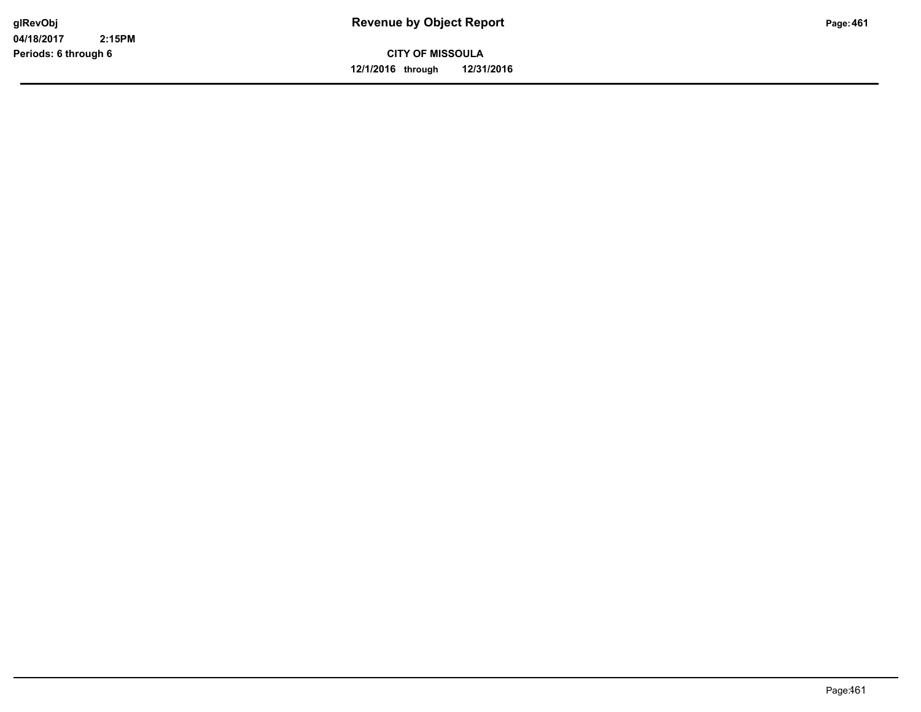**CITY OF MISSOULA 12/1/2016 through 12/31/2016**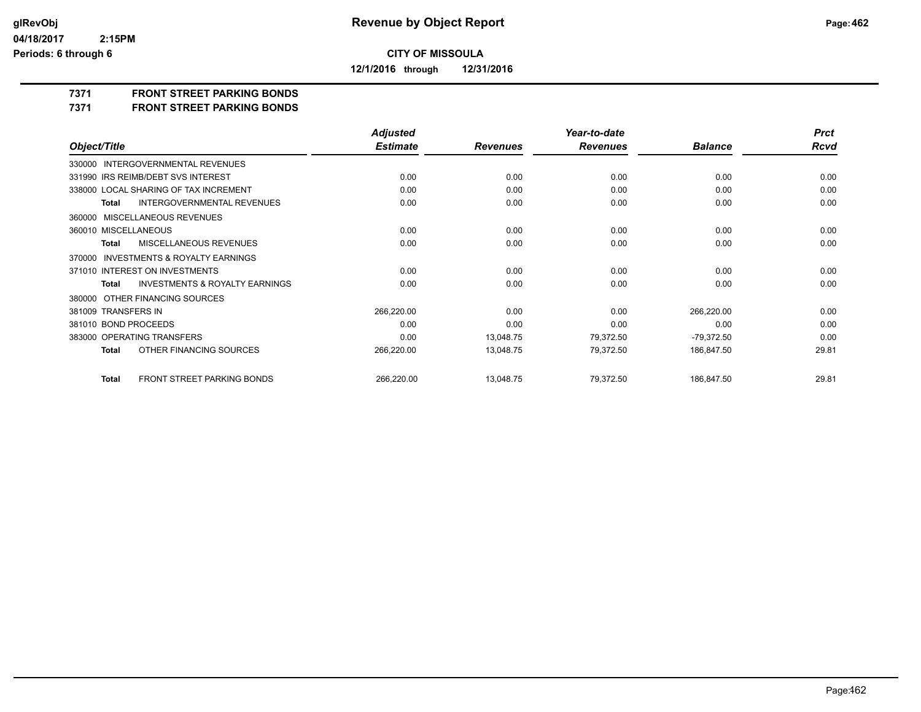**12/1/2016 through 12/31/2016**

**7371 FRONT STREET PARKING BONDS**

**7371 FRONT STREET PARKING BONDS**

|                                                     | <b>Adjusted</b> |                 | Year-to-date    |                | <b>Prct</b> |
|-----------------------------------------------------|-----------------|-----------------|-----------------|----------------|-------------|
| Object/Title                                        | <b>Estimate</b> | <b>Revenues</b> | <b>Revenues</b> | <b>Balance</b> | <b>Rcvd</b> |
| 330000 INTERGOVERNMENTAL REVENUES                   |                 |                 |                 |                |             |
| 331990 IRS REIMB/DEBT SVS INTEREST                  | 0.00            | 0.00            | 0.00            | 0.00           | 0.00        |
| 338000 LOCAL SHARING OF TAX INCREMENT               | 0.00            | 0.00            | 0.00            | 0.00           | 0.00        |
| <b>INTERGOVERNMENTAL REVENUES</b><br>Total          | 0.00            | 0.00            | 0.00            | 0.00           | 0.00        |
| MISCELLANEOUS REVENUES<br>360000                    |                 |                 |                 |                |             |
| 360010 MISCELLANEOUS                                | 0.00            | 0.00            | 0.00            | 0.00           | 0.00        |
| <b>MISCELLANEOUS REVENUES</b><br>Total              | 0.00            | 0.00            | 0.00            | 0.00           | 0.00        |
| <b>INVESTMENTS &amp; ROYALTY EARNINGS</b><br>370000 |                 |                 |                 |                |             |
| 371010 INTEREST ON INVESTMENTS                      | 0.00            | 0.00            | 0.00            | 0.00           | 0.00        |
| <b>INVESTMENTS &amp; ROYALTY EARNINGS</b><br>Total  | 0.00            | 0.00            | 0.00            | 0.00           | 0.00        |
| OTHER FINANCING SOURCES<br>380000                   |                 |                 |                 |                |             |
| 381009 TRANSFERS IN                                 | 266,220.00      | 0.00            | 0.00            | 266,220.00     | 0.00        |
| 381010 BOND PROCEEDS                                | 0.00            | 0.00            | 0.00            | 0.00           | 0.00        |
| 383000 OPERATING TRANSFERS                          | 0.00            | 13,048.75       | 79,372.50       | $-79,372.50$   | 0.00        |
| OTHER FINANCING SOURCES<br><b>Total</b>             | 266,220.00      | 13,048.75       | 79,372.50       | 186,847.50     | 29.81       |
| <b>FRONT STREET PARKING BONDS</b><br><b>Total</b>   | 266,220.00      | 13,048.75       | 79,372.50       | 186,847.50     | 29.81       |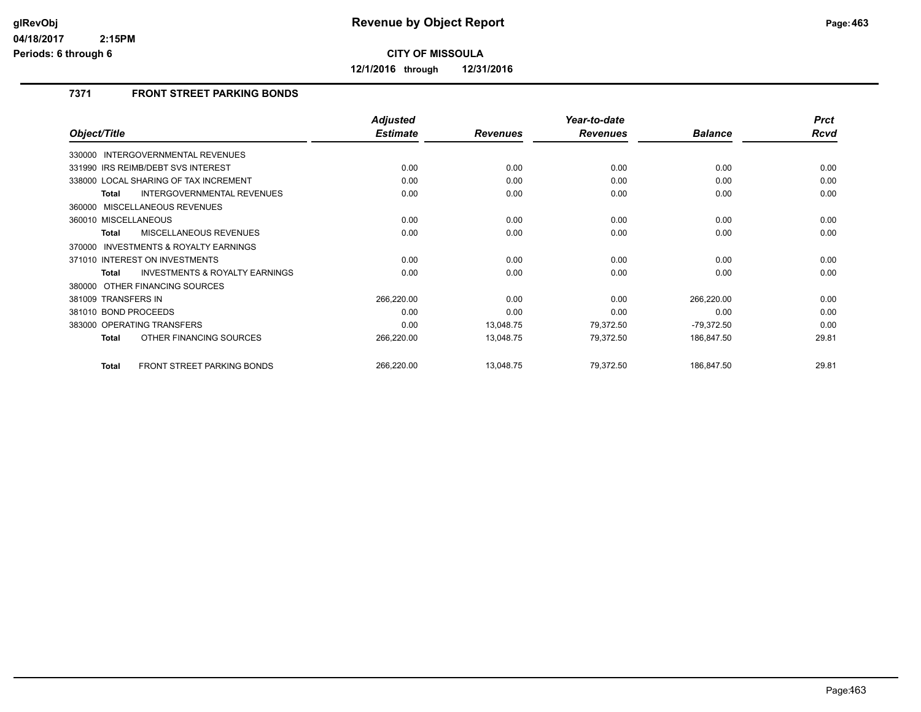**12/1/2016 through 12/31/2016**

#### **7371 FRONT STREET PARKING BONDS**

|                                                           | <b>Adjusted</b> |                 | Year-to-date    |                | <b>Prct</b> |
|-----------------------------------------------------------|-----------------|-----------------|-----------------|----------------|-------------|
| Object/Title                                              | <b>Estimate</b> | <b>Revenues</b> | <b>Revenues</b> | <b>Balance</b> | <b>Rcvd</b> |
| <b>INTERGOVERNMENTAL REVENUES</b><br>330000               |                 |                 |                 |                |             |
| 331990 IRS REIMB/DEBT SVS INTEREST                        | 0.00            | 0.00            | 0.00            | 0.00           | 0.00        |
| 338000 LOCAL SHARING OF TAX INCREMENT                     | 0.00            | 0.00            | 0.00            | 0.00           | 0.00        |
| <b>INTERGOVERNMENTAL REVENUES</b><br><b>Total</b>         | 0.00            | 0.00            | 0.00            | 0.00           | 0.00        |
| <b>MISCELLANEOUS REVENUES</b><br>360000                   |                 |                 |                 |                |             |
| 360010 MISCELLANEOUS                                      | 0.00            | 0.00            | 0.00            | 0.00           | 0.00        |
| MISCELLANEOUS REVENUES<br><b>Total</b>                    | 0.00            | 0.00            | 0.00            | 0.00           | 0.00        |
| INVESTMENTS & ROYALTY EARNINGS<br>370000                  |                 |                 |                 |                |             |
| 371010 INTEREST ON INVESTMENTS                            | 0.00            | 0.00            | 0.00            | 0.00           | 0.00        |
| <b>INVESTMENTS &amp; ROYALTY EARNINGS</b><br><b>Total</b> | 0.00            | 0.00            | 0.00            | 0.00           | 0.00        |
| 380000 OTHER FINANCING SOURCES                            |                 |                 |                 |                |             |
| 381009 TRANSFERS IN                                       | 266,220.00      | 0.00            | 0.00            | 266,220.00     | 0.00        |
| 381010 BOND PROCEEDS                                      | 0.00            | 0.00            | 0.00            | 0.00           | 0.00        |
| 383000 OPERATING TRANSFERS                                | 0.00            | 13,048.75       | 79,372.50       | $-79,372.50$   | 0.00        |
| OTHER FINANCING SOURCES<br>Total                          | 266,220.00      | 13,048.75       | 79,372.50       | 186,847.50     | 29.81       |
| FRONT STREET PARKING BONDS<br><b>Total</b>                | 266,220.00      | 13,048.75       | 79,372.50       | 186,847.50     | 29.81       |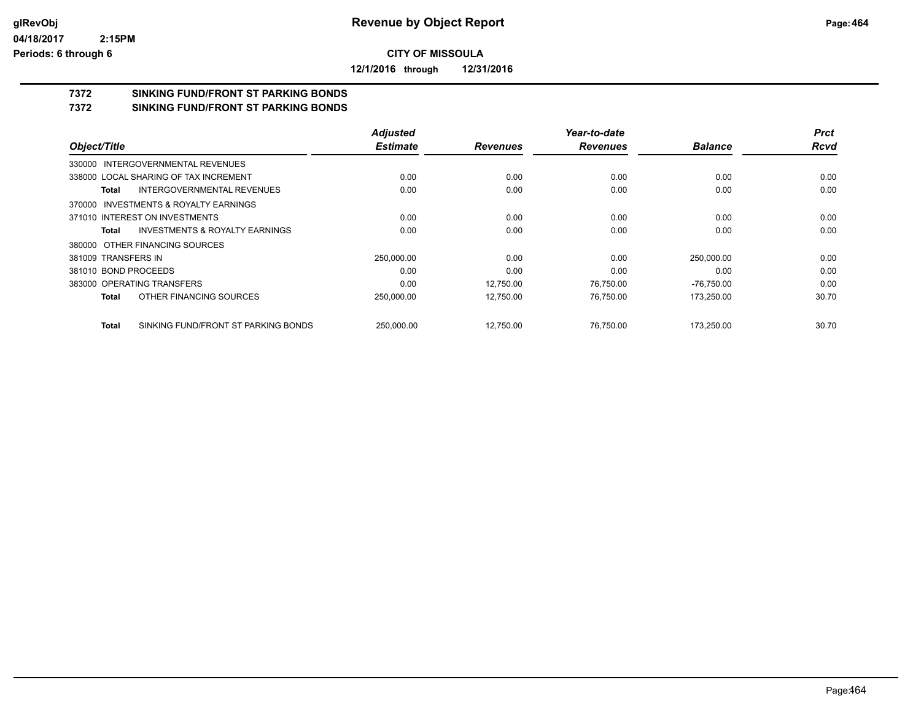**12/1/2016 through 12/31/2016**

### **7372 SINKING FUND/FRONT ST PARKING BONDS 7372 SINKING FUND/FRONT ST PARKING BONDS**

|                      |                                           | <b>Adjusted</b> |                 | Year-to-date    |                | <b>Prct</b> |
|----------------------|-------------------------------------------|-----------------|-----------------|-----------------|----------------|-------------|
| Object/Title         |                                           | <b>Estimate</b> | <b>Revenues</b> | <b>Revenues</b> | <b>Balance</b> | Rcvd        |
|                      | 330000 INTERGOVERNMENTAL REVENUES         |                 |                 |                 |                |             |
|                      | 338000 LOCAL SHARING OF TAX INCREMENT     | 0.00            | 0.00            | 0.00            | 0.00           | 0.00        |
| Total                | INTERGOVERNMENTAL REVENUES                | 0.00            | 0.00            | 0.00            | 0.00           | 0.00        |
| 370000               | INVESTMENTS & ROYALTY EARNINGS            |                 |                 |                 |                |             |
|                      | 371010 INTEREST ON INVESTMENTS            | 0.00            | 0.00            | 0.00            | 0.00           | 0.00        |
| Total                | <b>INVESTMENTS &amp; ROYALTY EARNINGS</b> | 0.00            | 0.00            | 0.00            | 0.00           | 0.00        |
|                      | 380000 OTHER FINANCING SOURCES            |                 |                 |                 |                |             |
| 381009 TRANSFERS IN  |                                           | 250.000.00      | 0.00            | 0.00            | 250,000,00     | 0.00        |
| 381010 BOND PROCEEDS |                                           | 0.00            | 0.00            | 0.00            | 0.00           | 0.00        |
|                      | 383000 OPERATING TRANSFERS                | 0.00            | 12,750.00       | 76,750.00       | $-76,750.00$   | 0.00        |
| Total                | OTHER FINANCING SOURCES                   | 250,000.00      | 12,750.00       | 76.750.00       | 173.250.00     | 30.70       |
| Total                | SINKING FUND/FRONT ST PARKING BONDS       | 250,000.00      | 12.750.00       | 76.750.00       | 173.250.00     | 30.70       |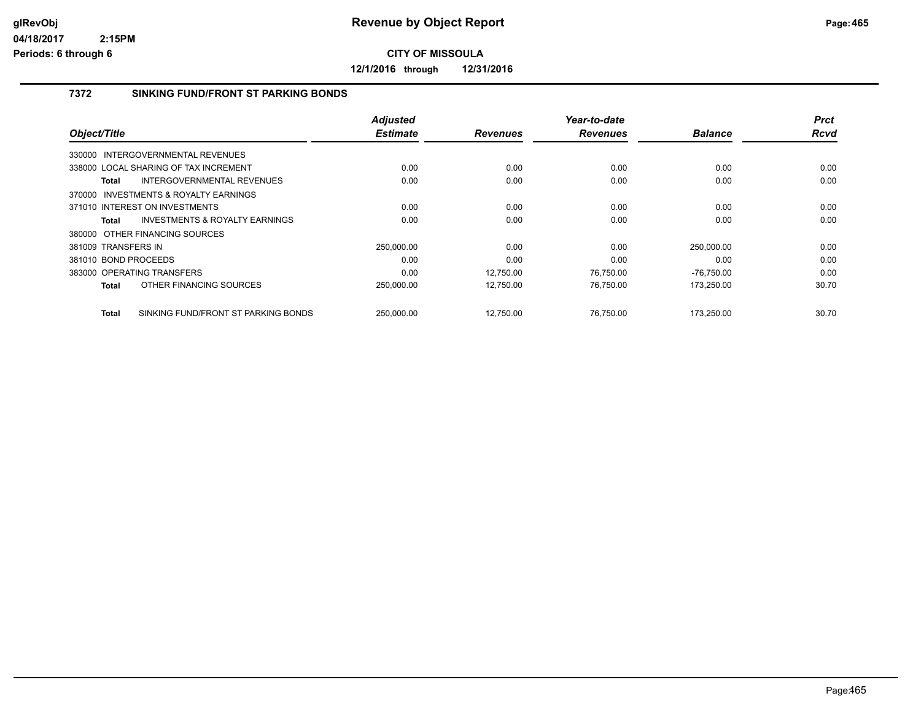**12/1/2016 through 12/31/2016**

#### **7372 SINKING FUND/FRONT ST PARKING BONDS**

|                                                     | <b>Adjusted</b> |                 | Year-to-date    |                | <b>Prct</b> |
|-----------------------------------------------------|-----------------|-----------------|-----------------|----------------|-------------|
| Object/Title                                        | <b>Estimate</b> | <b>Revenues</b> | <b>Revenues</b> | <b>Balance</b> | <b>Rcvd</b> |
| 330000 INTERGOVERNMENTAL REVENUES                   |                 |                 |                 |                |             |
| 338000 LOCAL SHARING OF TAX INCREMENT               | 0.00            | 0.00            | 0.00            | 0.00           | 0.00        |
| INTERGOVERNMENTAL REVENUES<br><b>Total</b>          | 0.00            | 0.00            | 0.00            | 0.00           | 0.00        |
| 370000 INVESTMENTS & ROYALTY EARNINGS               |                 |                 |                 |                |             |
| 371010 INTEREST ON INVESTMENTS                      | 0.00            | 0.00            | 0.00            | 0.00           | 0.00        |
| INVESTMENTS & ROYALTY EARNINGS<br>Total             | 0.00            | 0.00            | 0.00            | 0.00           | 0.00        |
| 380000 OTHER FINANCING SOURCES                      |                 |                 |                 |                |             |
| 381009 TRANSFERS IN                                 | 250.000.00      | 0.00            | 0.00            | 250,000.00     | 0.00        |
| 381010 BOND PROCEEDS                                | 0.00            | 0.00            | 0.00            | 0.00           | 0.00        |
| 383000 OPERATING TRANSFERS                          | 0.00            | 12.750.00       | 76.750.00       | -76.750.00     | 0.00        |
| OTHER FINANCING SOURCES<br><b>Total</b>             | 250,000.00      | 12,750.00       | 76,750.00       | 173,250.00     | 30.70       |
| SINKING FUND/FRONT ST PARKING BONDS<br><b>Total</b> | 250.000.00      | 12,750.00       | 76,750.00       | 173,250.00     | 30.70       |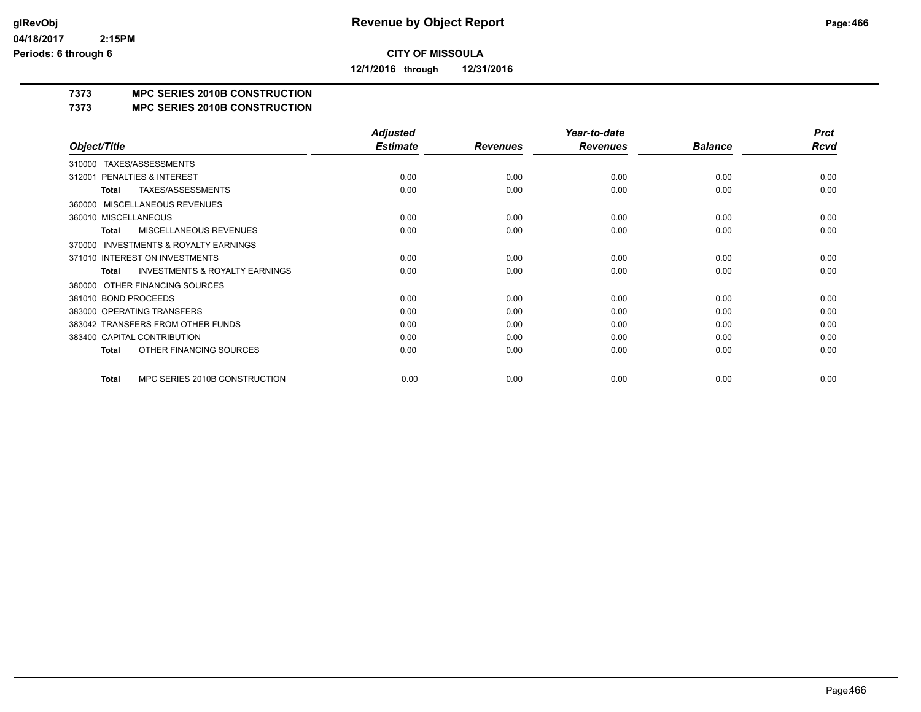**12/1/2016 through 12/31/2016**

## **7373 MPC SERIES 2010B CONSTRUCTION**

**7373 MPC SERIES 2010B CONSTRUCTION**

|                                                     | <b>Adjusted</b> |                 | Year-to-date    |                | <b>Prct</b> |
|-----------------------------------------------------|-----------------|-----------------|-----------------|----------------|-------------|
| Object/Title                                        | <b>Estimate</b> | <b>Revenues</b> | <b>Revenues</b> | <b>Balance</b> | <b>Rcvd</b> |
| TAXES/ASSESSMENTS<br>310000                         |                 |                 |                 |                |             |
| 312001 PENALTIES & INTEREST                         | 0.00            | 0.00            | 0.00            | 0.00           | 0.00        |
| TAXES/ASSESSMENTS<br>Total                          | 0.00            | 0.00            | 0.00            | 0.00           | 0.00        |
| 360000 MISCELLANEOUS REVENUES                       |                 |                 |                 |                |             |
| 360010 MISCELLANEOUS                                | 0.00            | 0.00            | 0.00            | 0.00           | 0.00        |
| <b>MISCELLANEOUS REVENUES</b><br>Total              | 0.00            | 0.00            | 0.00            | 0.00           | 0.00        |
| <b>INVESTMENTS &amp; ROYALTY EARNINGS</b><br>370000 |                 |                 |                 |                |             |
| 371010 INTEREST ON INVESTMENTS                      | 0.00            | 0.00            | 0.00            | 0.00           | 0.00        |
| <b>INVESTMENTS &amp; ROYALTY EARNINGS</b><br>Total  | 0.00            | 0.00            | 0.00            | 0.00           | 0.00        |
| 380000 OTHER FINANCING SOURCES                      |                 |                 |                 |                |             |
| 381010 BOND PROCEEDS                                | 0.00            | 0.00            | 0.00            | 0.00           | 0.00        |
| 383000 OPERATING TRANSFERS                          | 0.00            | 0.00            | 0.00            | 0.00           | 0.00        |
| 383042 TRANSFERS FROM OTHER FUNDS                   | 0.00            | 0.00            | 0.00            | 0.00           | 0.00        |
| 383400 CAPITAL CONTRIBUTION                         | 0.00            | 0.00            | 0.00            | 0.00           | 0.00        |
| OTHER FINANCING SOURCES<br><b>Total</b>             | 0.00            | 0.00            | 0.00            | 0.00           | 0.00        |
| MPC SERIES 2010B CONSTRUCTION<br><b>Total</b>       | 0.00            | 0.00            | 0.00            | 0.00           | 0.00        |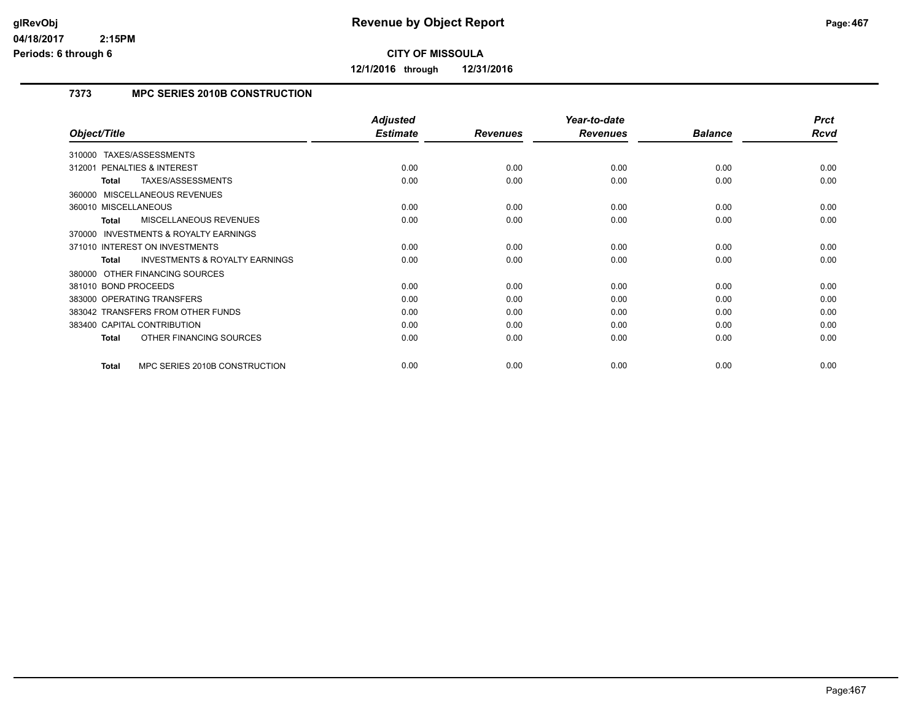**12/1/2016 through 12/31/2016**

### **7373 MPC SERIES 2010B CONSTRUCTION**

|                                                           | <b>Adjusted</b> |                 | Year-to-date    |                | <b>Prct</b> |
|-----------------------------------------------------------|-----------------|-----------------|-----------------|----------------|-------------|
| Object/Title                                              | <b>Estimate</b> | <b>Revenues</b> | <b>Revenues</b> | <b>Balance</b> | <b>Rcvd</b> |
| TAXES/ASSESSMENTS<br>310000                               |                 |                 |                 |                |             |
| 312001 PENALTIES & INTEREST                               | 0.00            | 0.00            | 0.00            | 0.00           | 0.00        |
| TAXES/ASSESSMENTS<br>Total                                | 0.00            | 0.00            | 0.00            | 0.00           | 0.00        |
| 360000 MISCELLANEOUS REVENUES                             |                 |                 |                 |                |             |
| 360010 MISCELLANEOUS                                      | 0.00            | 0.00            | 0.00            | 0.00           | 0.00        |
| MISCELLANEOUS REVENUES<br><b>Total</b>                    | 0.00            | 0.00            | 0.00            | 0.00           | 0.00        |
| <b>INVESTMENTS &amp; ROYALTY EARNINGS</b><br>370000       |                 |                 |                 |                |             |
| 371010 INTEREST ON INVESTMENTS                            | 0.00            | 0.00            | 0.00            | 0.00           | 0.00        |
| <b>INVESTMENTS &amp; ROYALTY EARNINGS</b><br><b>Total</b> | 0.00            | 0.00            | 0.00            | 0.00           | 0.00        |
| 380000 OTHER FINANCING SOURCES                            |                 |                 |                 |                |             |
| 381010 BOND PROCEEDS                                      | 0.00            | 0.00            | 0.00            | 0.00           | 0.00        |
| 383000 OPERATING TRANSFERS                                | 0.00            | 0.00            | 0.00            | 0.00           | 0.00        |
| 383042 TRANSFERS FROM OTHER FUNDS                         | 0.00            | 0.00            | 0.00            | 0.00           | 0.00        |
| 383400 CAPITAL CONTRIBUTION                               | 0.00            | 0.00            | 0.00            | 0.00           | 0.00        |
| OTHER FINANCING SOURCES<br><b>Total</b>                   | 0.00            | 0.00            | 0.00            | 0.00           | 0.00        |
| MPC SERIES 2010B CONSTRUCTION<br><b>Total</b>             | 0.00            | 0.00            | 0.00            | 0.00           | 0.00        |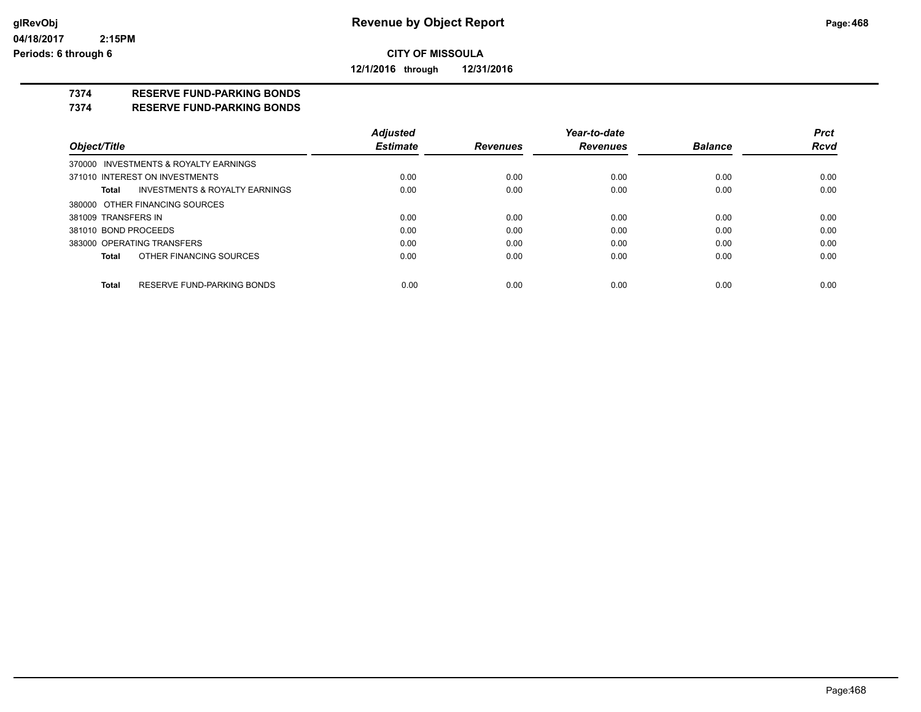**12/1/2016 through 12/31/2016**

# **7374 RESERVE FUND-PARKING BONDS**

## **7374 RESERVE FUND-PARKING BONDS**

|                                                    | <b>Adjusted</b> |                 | Year-to-date    |                | <b>Prct</b> |
|----------------------------------------------------|-----------------|-----------------|-----------------|----------------|-------------|
| Object/Title                                       | <b>Estimate</b> | <b>Revenues</b> | <b>Revenues</b> | <b>Balance</b> | <b>Rcvd</b> |
| 370000 INVESTMENTS & ROYALTY EARNINGS              |                 |                 |                 |                |             |
| 371010 INTEREST ON INVESTMENTS                     | 0.00            | 0.00            | 0.00            | 0.00           | 0.00        |
| <b>INVESTMENTS &amp; ROYALTY EARNINGS</b><br>Total | 0.00            | 0.00            | 0.00            | 0.00           | 0.00        |
| 380000 OTHER FINANCING SOURCES                     |                 |                 |                 |                |             |
| 381009 TRANSFERS IN                                | 0.00            | 0.00            | 0.00            | 0.00           | 0.00        |
| 381010 BOND PROCEEDS                               | 0.00            | 0.00            | 0.00            | 0.00           | 0.00        |
| 383000 OPERATING TRANSFERS                         | 0.00            | 0.00            | 0.00            | 0.00           | 0.00        |
| OTHER FINANCING SOURCES<br>Total                   | 0.00            | 0.00            | 0.00            | 0.00           | 0.00        |
| RESERVE FUND-PARKING BONDS<br>Total                | 0.00            | 0.00            | 0.00            | 0.00           | 0.00        |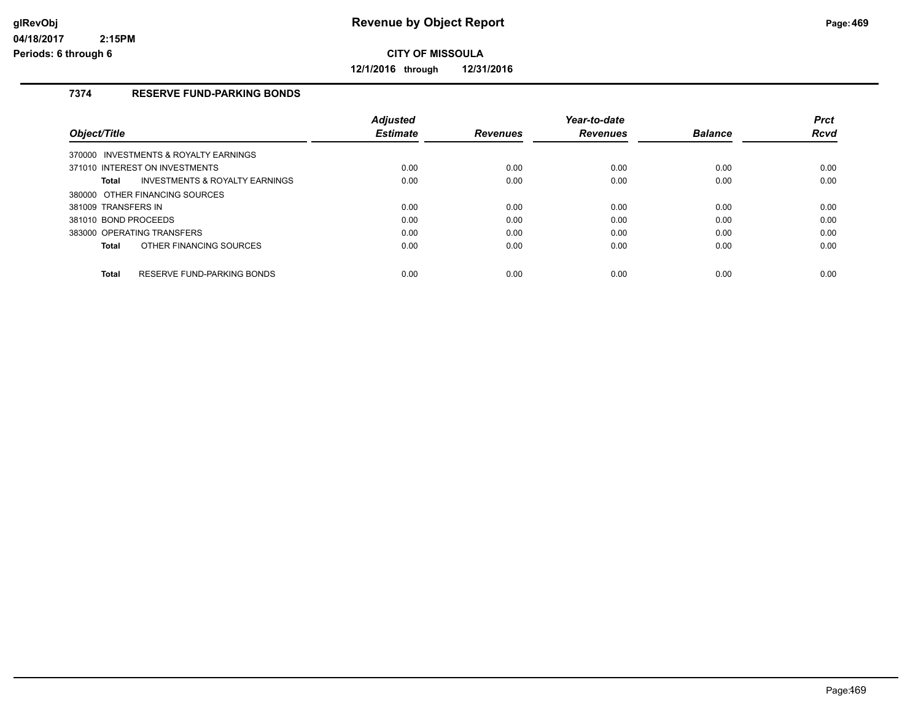**12/1/2016 through 12/31/2016**

#### **7374 RESERVE FUND-PARKING BONDS**

|                                            | <b>Adiusted</b> |                 | Year-to-date    |                | <b>Prct</b> |
|--------------------------------------------|-----------------|-----------------|-----------------|----------------|-------------|
| Object/Title                               | <b>Estimate</b> | <b>Revenues</b> | <b>Revenues</b> | <b>Balance</b> | <b>Rcvd</b> |
| INVESTMENTS & ROYALTY EARNINGS<br>370000   |                 |                 |                 |                |             |
| 371010 INTEREST ON INVESTMENTS             | 0.00            | 0.00            | 0.00            | 0.00           | 0.00        |
| INVESTMENTS & ROYALTY EARNINGS<br>Total    | 0.00            | 0.00            | 0.00            | 0.00           | 0.00        |
| 380000 OTHER FINANCING SOURCES             |                 |                 |                 |                |             |
| 381009 TRANSFERS IN                        | 0.00            | 0.00            | 0.00            | 0.00           | 0.00        |
| 381010 BOND PROCEEDS                       | 0.00            | 0.00            | 0.00            | 0.00           | 0.00        |
| 383000 OPERATING TRANSFERS                 | 0.00            | 0.00            | 0.00            | 0.00           | 0.00        |
| OTHER FINANCING SOURCES<br>Total           | 0.00            | 0.00            | 0.00            | 0.00           | 0.00        |
| RESERVE FUND-PARKING BONDS<br><b>Total</b> | 0.00            | 0.00            | 0.00            | 0.00           | 0.00        |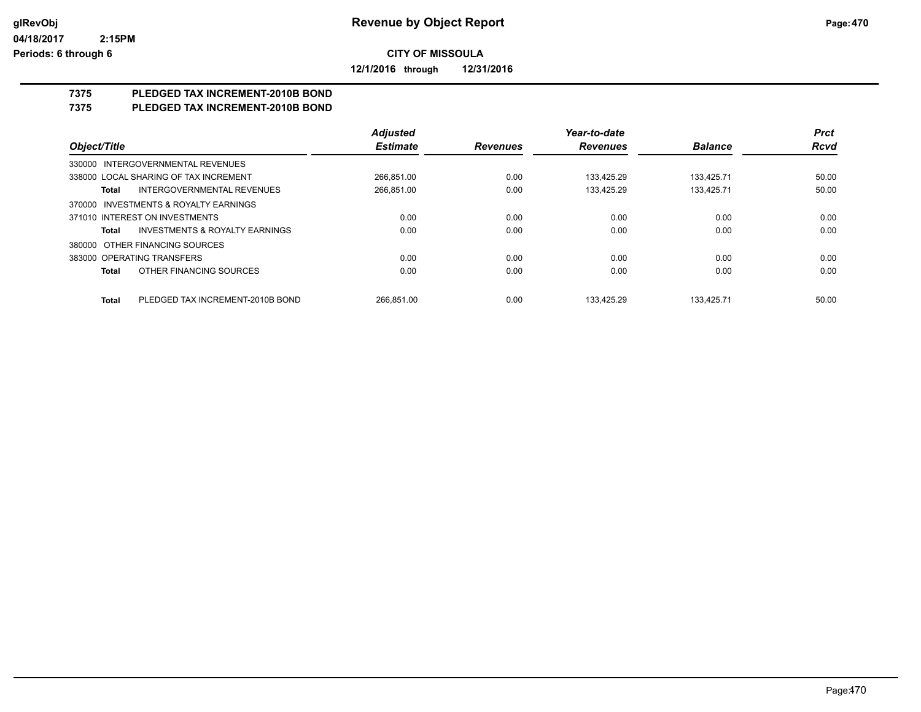**12/1/2016 through 12/31/2016**

#### **7375 PLEDGED TAX INCREMENT-2010B BOND 7375 PLEDGED TAX INCREMENT-2010B BOND**

|                                                    | <b>Adjusted</b> |                 | Year-to-date    |                | <b>Prct</b> |
|----------------------------------------------------|-----------------|-----------------|-----------------|----------------|-------------|
| Object/Title                                       | <b>Estimate</b> | <b>Revenues</b> | <b>Revenues</b> | <b>Balance</b> | <b>Rcvd</b> |
| 330000 INTERGOVERNMENTAL REVENUES                  |                 |                 |                 |                |             |
| 338000 LOCAL SHARING OF TAX INCREMENT              | 266.851.00      | 0.00            | 133.425.29      | 133.425.71     | 50.00       |
| INTERGOVERNMENTAL REVENUES<br>Total                | 266,851.00      | 0.00            | 133,425.29      | 133,425.71     | 50.00       |
| 370000 INVESTMENTS & ROYALTY EARNINGS              |                 |                 |                 |                |             |
| 371010 INTEREST ON INVESTMENTS                     | 0.00            | 0.00            | 0.00            | 0.00           | 0.00        |
| <b>INVESTMENTS &amp; ROYALTY EARNINGS</b><br>Total | 0.00            | 0.00            | 0.00            | 0.00           | 0.00        |
| 380000 OTHER FINANCING SOURCES                     |                 |                 |                 |                |             |
| 383000 OPERATING TRANSFERS                         | 0.00            | 0.00            | 0.00            | 0.00           | 0.00        |
| OTHER FINANCING SOURCES<br>Total                   | 0.00            | 0.00            | 0.00            | 0.00           | 0.00        |
|                                                    |                 |                 |                 |                |             |
| PLEDGED TAX INCREMENT-2010B BOND<br><b>Total</b>   | 266.851.00      | 0.00            | 133.425.29      | 133.425.71     | 50.00       |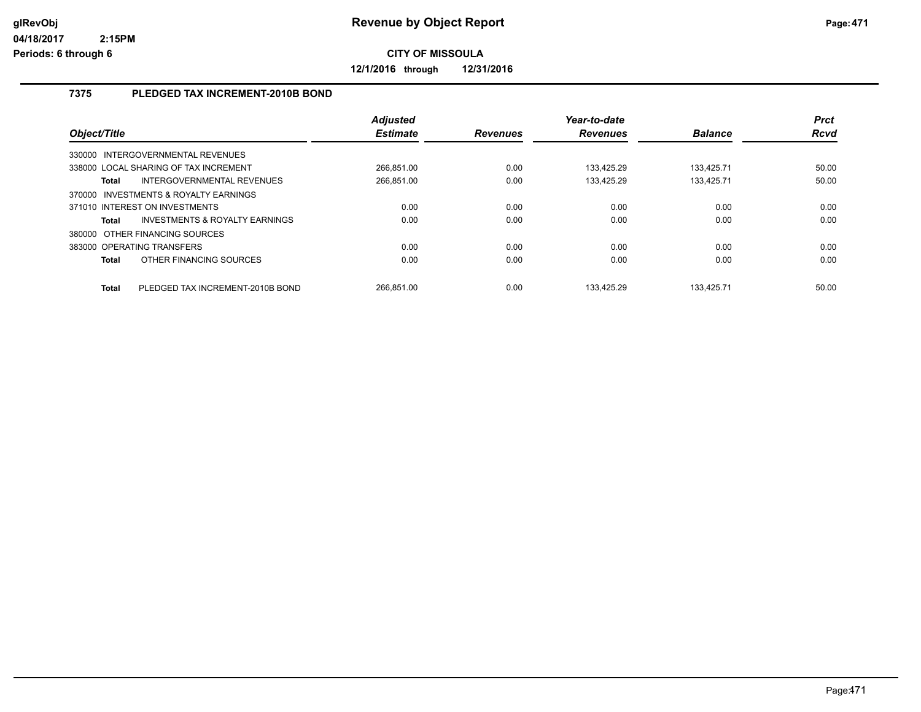**12/1/2016 through 12/31/2016**

#### **7375 PLEDGED TAX INCREMENT-2010B BOND**

| Object/Title |                                       | <b>Adjusted</b><br><b>Estimate</b> | <b>Revenues</b> | Year-to-date<br><b>Revenues</b> | <b>Balance</b> | <b>Prct</b><br><b>Rcvd</b> |
|--------------|---------------------------------------|------------------------------------|-----------------|---------------------------------|----------------|----------------------------|
|              | 330000 INTERGOVERNMENTAL REVENUES     |                                    |                 |                                 |                |                            |
|              | 338000 LOCAL SHARING OF TAX INCREMENT | 266.851.00                         | 0.00            | 133.425.29                      | 133.425.71     | 50.00                      |
| Total        | INTERGOVERNMENTAL REVENUES            | 266.851.00                         | 0.00            | 133.425.29                      | 133.425.71     | 50.00                      |
|              | 370000 INVESTMENTS & ROYALTY EARNINGS |                                    |                 |                                 |                |                            |
|              | 371010 INTEREST ON INVESTMENTS        | 0.00                               | 0.00            | 0.00                            | 0.00           | 0.00                       |
| Total        | INVESTMENTS & ROYALTY EARNINGS        | 0.00                               | 0.00            | 0.00                            | 0.00           | 0.00                       |
|              | 380000 OTHER FINANCING SOURCES        |                                    |                 |                                 |                |                            |
|              | 383000 OPERATING TRANSFERS            | 0.00                               | 0.00            | 0.00                            | 0.00           | 0.00                       |
| Total        | OTHER FINANCING SOURCES               | 0.00                               | 0.00            | 0.00                            | 0.00           | 0.00                       |
| <b>Total</b> | PLEDGED TAX INCREMENT-2010B BOND      | 266.851.00                         | 0.00            | 133.425.29                      | 133.425.71     | 50.00                      |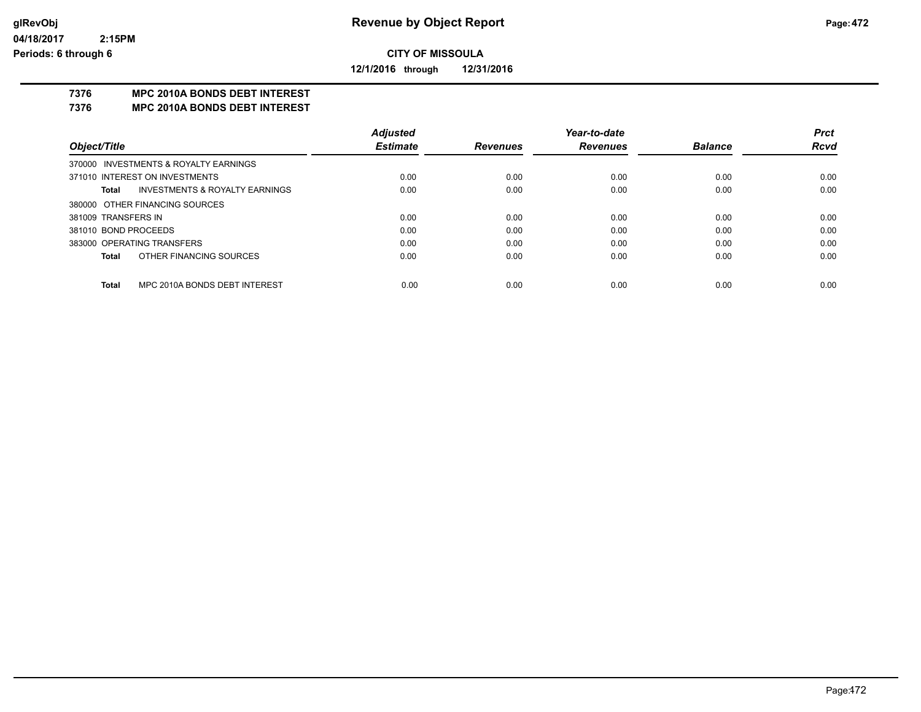**12/1/2016 through 12/31/2016**

#### **7376 MPC 2010A BONDS DEBT INTEREST 7376 MPC 2010A BONDS DEBT INTEREST**

|                                         | <b>Adjusted</b> |                 | Year-to-date    |                | <b>Prct</b> |
|-----------------------------------------|-----------------|-----------------|-----------------|----------------|-------------|
| Object/Title                            | <b>Estimate</b> | <b>Revenues</b> | <b>Revenues</b> | <b>Balance</b> | <b>Rcvd</b> |
| 370000 INVESTMENTS & ROYALTY EARNINGS   |                 |                 |                 |                |             |
| 371010 INTEREST ON INVESTMENTS          | 0.00            | 0.00            | 0.00            | 0.00           | 0.00        |
| INVESTMENTS & ROYALTY EARNINGS<br>Total | 0.00            | 0.00            | 0.00            | 0.00           | 0.00        |
| 380000 OTHER FINANCING SOURCES          |                 |                 |                 |                |             |
| 381009 TRANSFERS IN                     | 0.00            | 0.00            | 0.00            | 0.00           | 0.00        |
| 381010 BOND PROCEEDS                    | 0.00            | 0.00            | 0.00            | 0.00           | 0.00        |
| 383000 OPERATING TRANSFERS              | 0.00            | 0.00            | 0.00            | 0.00           | 0.00        |
| OTHER FINANCING SOURCES<br>Total        | 0.00            | 0.00            | 0.00            | 0.00           | 0.00        |
| MPC 2010A BONDS DEBT INTEREST<br>Total  | 0.00            | 0.00            | 0.00            | 0.00           | 0.00        |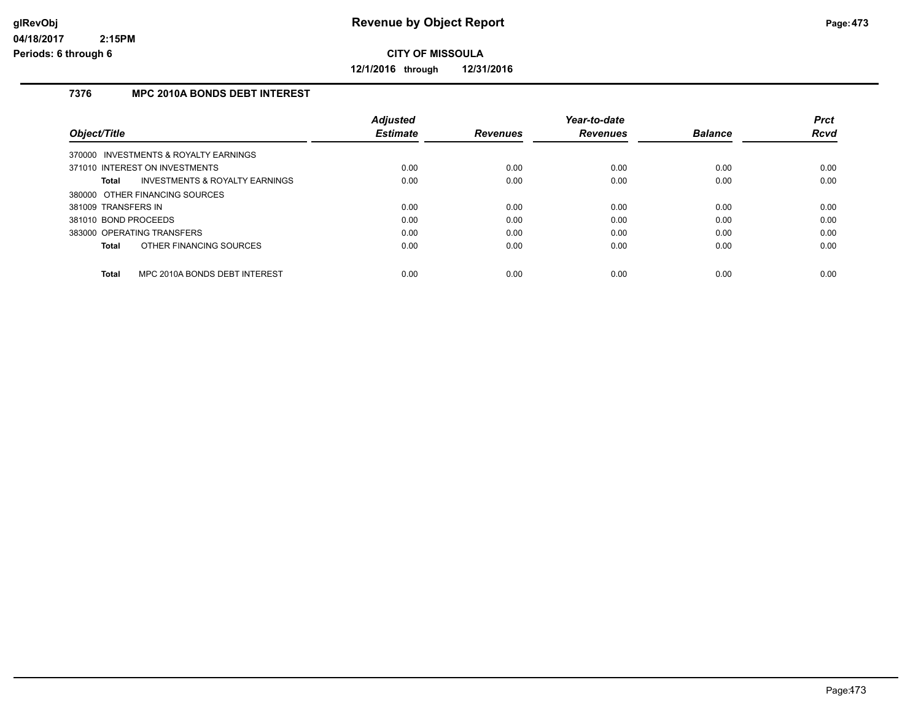**12/1/2016 through 12/31/2016**

#### **7376 MPC 2010A BONDS DEBT INTEREST**

|                                               | <b>Adiusted</b> |                 | Year-to-date    |                | <b>Prct</b> |
|-----------------------------------------------|-----------------|-----------------|-----------------|----------------|-------------|
| Object/Title                                  | <b>Estimate</b> | <b>Revenues</b> | <b>Revenues</b> | <b>Balance</b> | <b>Rcvd</b> |
| 370000 INVESTMENTS & ROYALTY EARNINGS         |                 |                 |                 |                |             |
| 371010 INTEREST ON INVESTMENTS                | 0.00            | 0.00            | 0.00            | 0.00           | 0.00        |
| INVESTMENTS & ROYALTY EARNINGS<br>Total       | 0.00            | 0.00            | 0.00            | 0.00           | 0.00        |
| 380000 OTHER FINANCING SOURCES                |                 |                 |                 |                |             |
| 381009 TRANSFERS IN                           | 0.00            | 0.00            | 0.00            | 0.00           | 0.00        |
| 381010 BOND PROCEEDS                          | 0.00            | 0.00            | 0.00            | 0.00           | 0.00        |
| 383000 OPERATING TRANSFERS                    | 0.00            | 0.00            | 0.00            | 0.00           | 0.00        |
| OTHER FINANCING SOURCES<br><b>Total</b>       | 0.00            | 0.00            | 0.00            | 0.00           | 0.00        |
|                                               |                 |                 |                 |                |             |
| MPC 2010A BONDS DEBT INTEREST<br><b>Total</b> | 0.00            | 0.00            | 0.00            | 0.00           | 0.00        |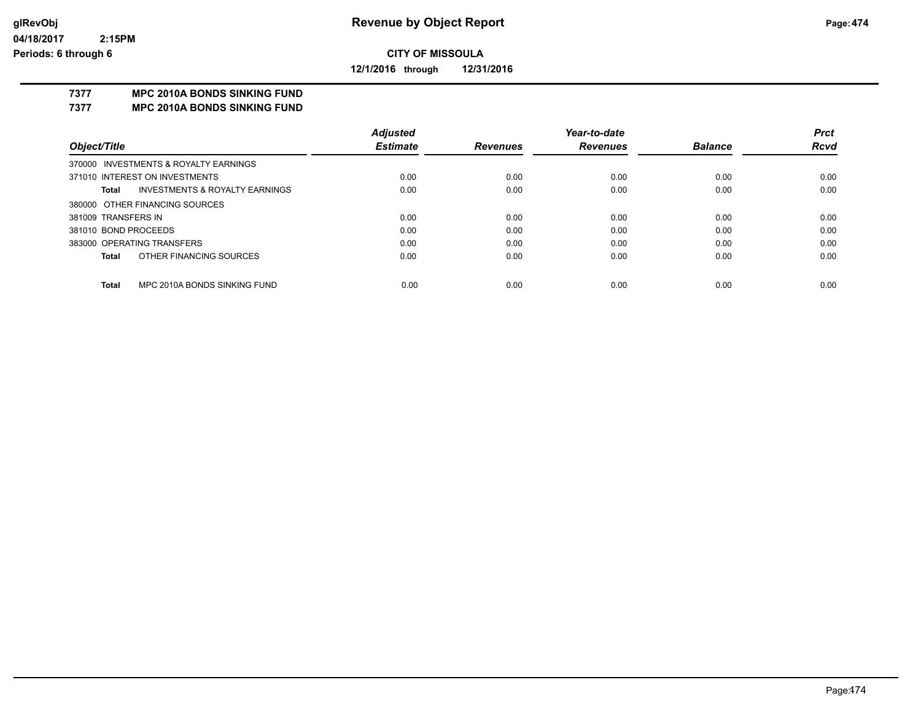**12/1/2016 through 12/31/2016**

## **7377 MPC 2010A BONDS SINKING FUND**

**7377 MPC 2010A BONDS SINKING FUND**

|                                              | <b>Adjusted</b> |                 | Year-to-date    |                | <b>Prct</b> |
|----------------------------------------------|-----------------|-----------------|-----------------|----------------|-------------|
| Object/Title                                 | <b>Estimate</b> | <b>Revenues</b> | <b>Revenues</b> | <b>Balance</b> | <b>Rcvd</b> |
| 370000 INVESTMENTS & ROYALTY EARNINGS        |                 |                 |                 |                |             |
| 371010 INTEREST ON INVESTMENTS               | 0.00            | 0.00            | 0.00            | 0.00           | 0.00        |
| INVESTMENTS & ROYALTY EARNINGS<br>Total      | 0.00            | 0.00            | 0.00            | 0.00           | 0.00        |
| 380000 OTHER FINANCING SOURCES               |                 |                 |                 |                |             |
| 381009 TRANSFERS IN                          | 0.00            | 0.00            | 0.00            | 0.00           | 0.00        |
| 381010 BOND PROCEEDS                         | 0.00            | 0.00            | 0.00            | 0.00           | 0.00        |
| 383000 OPERATING TRANSFERS                   | 0.00            | 0.00            | 0.00            | 0.00           | 0.00        |
| OTHER FINANCING SOURCES<br>Total             | 0.00            | 0.00            | 0.00            | 0.00           | 0.00        |
|                                              |                 |                 |                 |                |             |
| MPC 2010A BONDS SINKING FUND<br><b>Total</b> | 0.00            | 0.00            | 0.00            | 0.00           | 0.00        |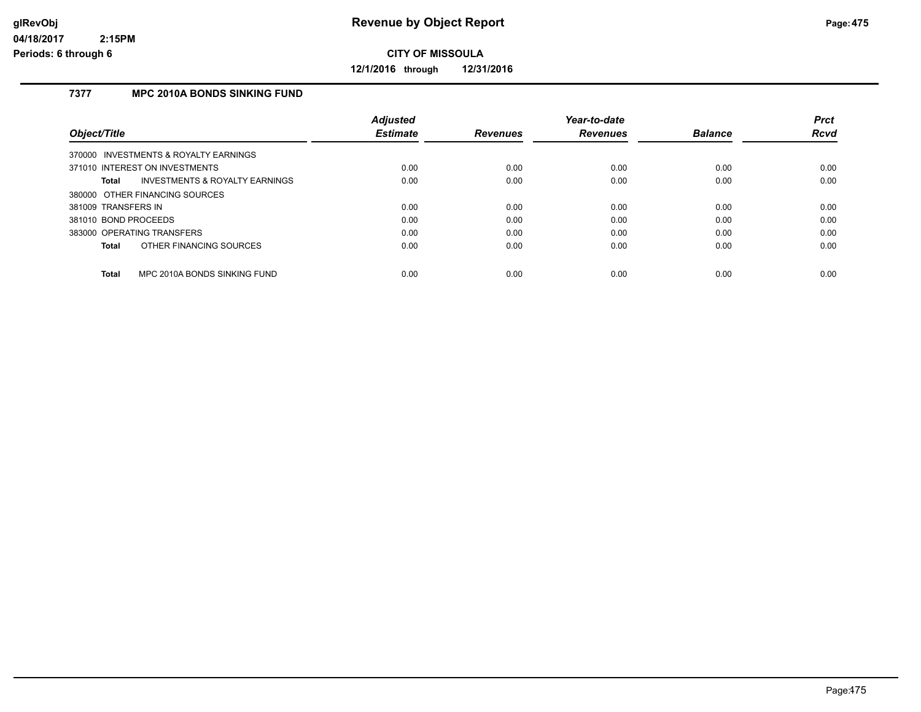**12/1/2016 through 12/31/2016**

#### **7377 MPC 2010A BONDS SINKING FUND**

|                                                    | <b>Adjusted</b> |                 | Year-to-date    |                | <b>Prct</b> |
|----------------------------------------------------|-----------------|-----------------|-----------------|----------------|-------------|
| Object/Title                                       | <b>Estimate</b> | <b>Revenues</b> | <b>Revenues</b> | <b>Balance</b> | <b>Rcvd</b> |
| 370000 INVESTMENTS & ROYALTY EARNINGS              |                 |                 |                 |                |             |
| 371010 INTEREST ON INVESTMENTS                     | 0.00            | 0.00            | 0.00            | 0.00           | 0.00        |
| <b>INVESTMENTS &amp; ROYALTY EARNINGS</b><br>Total | 0.00            | 0.00            | 0.00            | 0.00           | 0.00        |
| 380000 OTHER FINANCING SOURCES                     |                 |                 |                 |                |             |
| 381009 TRANSFERS IN                                | 0.00            | 0.00            | 0.00            | 0.00           | 0.00        |
| 381010 BOND PROCEEDS                               | 0.00            | 0.00            | 0.00            | 0.00           | 0.00        |
| 383000 OPERATING TRANSFERS                         | 0.00            | 0.00            | 0.00            | 0.00           | 0.00        |
| OTHER FINANCING SOURCES<br>Total                   | 0.00            | 0.00            | 0.00            | 0.00           | 0.00        |
| MPC 2010A BONDS SINKING FUND<br><b>Total</b>       | 0.00            | 0.00            | 0.00            | 0.00           | 0.00        |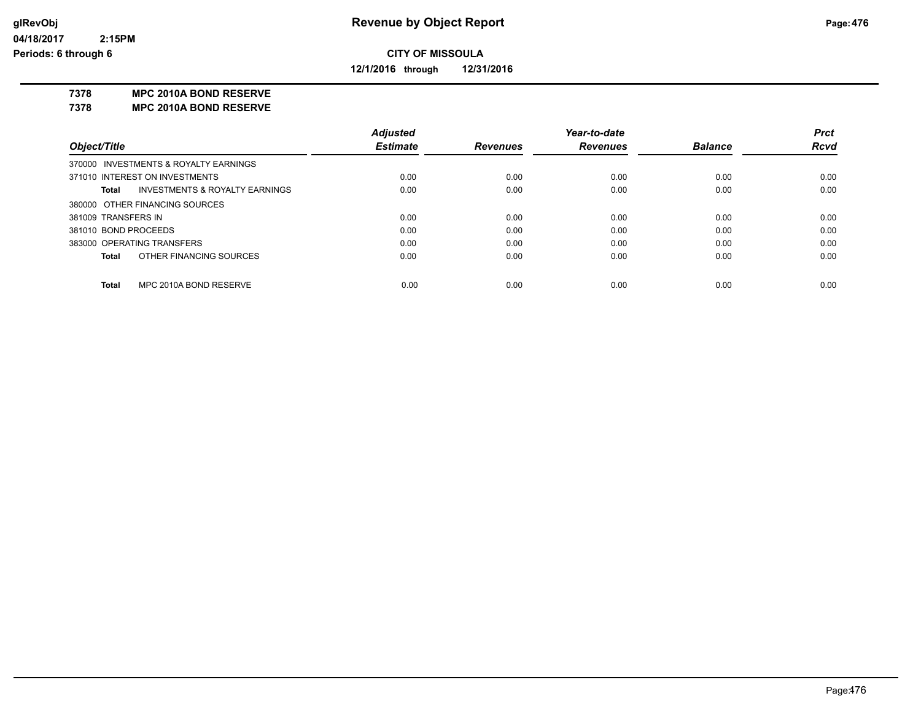**12/1/2016 through 12/31/2016**

**7378 MPC 2010A BOND RESERVE**

**7378 MPC 2010A BOND RESERVE**

|                      |                                       | <b>Adjusted</b> |                 | Year-to-date    |                | <b>Prct</b> |
|----------------------|---------------------------------------|-----------------|-----------------|-----------------|----------------|-------------|
| Object/Title         |                                       | <b>Estimate</b> | <b>Revenues</b> | <b>Revenues</b> | <b>Balance</b> | <b>Rcvd</b> |
|                      | 370000 INVESTMENTS & ROYALTY EARNINGS |                 |                 |                 |                |             |
|                      | 371010 INTEREST ON INVESTMENTS        | 0.00            | 0.00            | 0.00            | 0.00           | 0.00        |
| Total                | INVESTMENTS & ROYALTY EARNINGS        | 0.00            | 0.00            | 0.00            | 0.00           | 0.00        |
|                      | 380000 OTHER FINANCING SOURCES        |                 |                 |                 |                |             |
| 381009 TRANSFERS IN  |                                       | 0.00            | 0.00            | 0.00            | 0.00           | 0.00        |
| 381010 BOND PROCEEDS |                                       | 0.00            | 0.00            | 0.00            | 0.00           | 0.00        |
|                      | 383000 OPERATING TRANSFERS            | 0.00            | 0.00            | 0.00            | 0.00           | 0.00        |
| Total                | OTHER FINANCING SOURCES               | 0.00            | 0.00            | 0.00            | 0.00           | 0.00        |
| <b>Total</b>         | MPC 2010A BOND RESERVE                | 0.00            | 0.00            | 0.00            | 0.00           | 0.00        |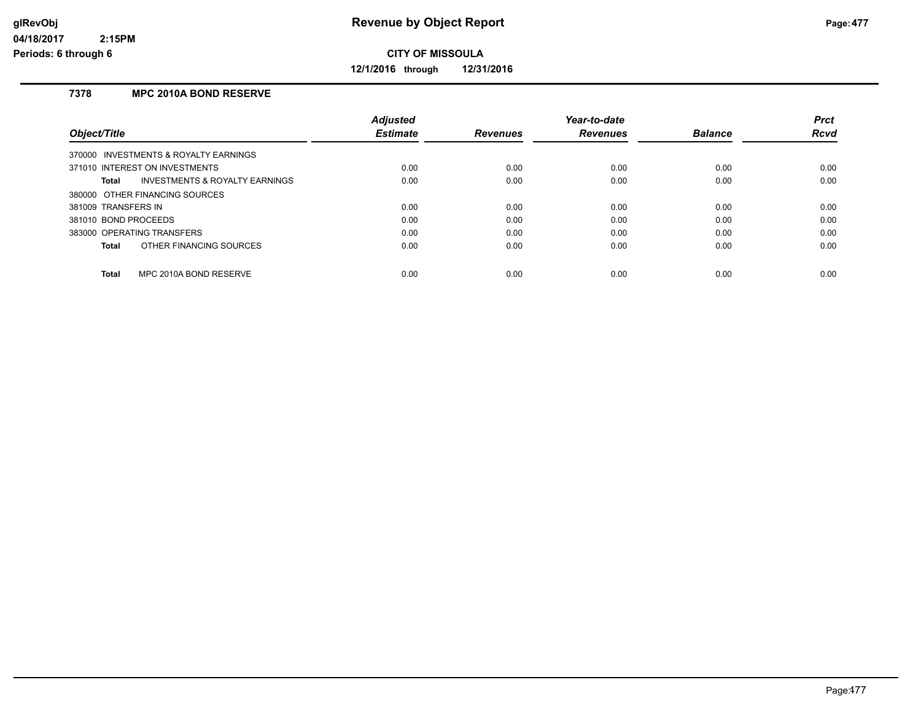**12/1/2016 through 12/31/2016**

#### **7378 MPC 2010A BOND RESERVE**

|                      |                                       | <b>Adiusted</b> |                 | Year-to-date    |                | <b>Prct</b> |
|----------------------|---------------------------------------|-----------------|-----------------|-----------------|----------------|-------------|
| Object/Title         |                                       | <b>Estimate</b> | <b>Revenues</b> | <b>Revenues</b> | <b>Balance</b> | <b>Rcvd</b> |
|                      | 370000 INVESTMENTS & ROYALTY EARNINGS |                 |                 |                 |                |             |
|                      | 371010 INTEREST ON INVESTMENTS        | 0.00            | 0.00            | 0.00            | 0.00           | 0.00        |
| Total                | INVESTMENTS & ROYALTY EARNINGS        | 0.00            | 0.00            | 0.00            | 0.00           | 0.00        |
|                      | 380000 OTHER FINANCING SOURCES        |                 |                 |                 |                |             |
| 381009 TRANSFERS IN  |                                       | 0.00            | 0.00            | 0.00            | 0.00           | 0.00        |
| 381010 BOND PROCEEDS |                                       | 0.00            | 0.00            | 0.00            | 0.00           | 0.00        |
|                      | 383000 OPERATING TRANSFERS            | 0.00            | 0.00            | 0.00            | 0.00           | 0.00        |
| <b>Total</b>         | OTHER FINANCING SOURCES               | 0.00            | 0.00            | 0.00            | 0.00           | 0.00        |
| <b>Total</b>         | MPC 2010A BOND RESERVE                | 0.00            | 0.00            | 0.00            | 0.00           | 0.00        |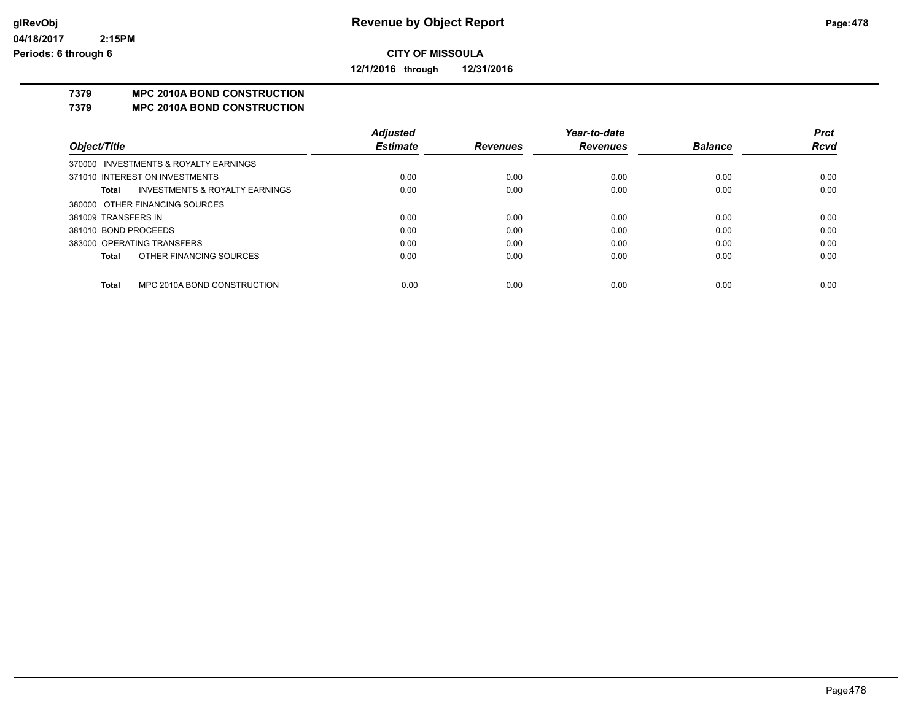**12/1/2016 through 12/31/2016**

# **7379 MPC 2010A BOND CONSTRUCTION**

## **7379 MPC 2010A BOND CONSTRUCTION**

|                                                    | <b>Adjusted</b> |                 | Year-to-date    |                | Prct        |
|----------------------------------------------------|-----------------|-----------------|-----------------|----------------|-------------|
| Object/Title                                       | <b>Estimate</b> | <b>Revenues</b> | <b>Revenues</b> | <b>Balance</b> | <b>Rcvd</b> |
| 370000 INVESTMENTS & ROYALTY EARNINGS              |                 |                 |                 |                |             |
| 371010 INTEREST ON INVESTMENTS                     | 0.00            | 0.00            | 0.00            | 0.00           | 0.00        |
| <b>INVESTMENTS &amp; ROYALTY EARNINGS</b><br>Total | 0.00            | 0.00            | 0.00            | 0.00           | 0.00        |
| 380000 OTHER FINANCING SOURCES                     |                 |                 |                 |                |             |
| 381009 TRANSFERS IN                                | 0.00            | 0.00            | 0.00            | 0.00           | 0.00        |
| 381010 BOND PROCEEDS                               | 0.00            | 0.00            | 0.00            | 0.00           | 0.00        |
| 383000 OPERATING TRANSFERS                         | 0.00            | 0.00            | 0.00            | 0.00           | 0.00        |
| OTHER FINANCING SOURCES<br>Total                   | 0.00            | 0.00            | 0.00            | 0.00           | 0.00        |
| MPC 2010A BOND CONSTRUCTION<br>Total               | 0.00            | 0.00            | 0.00            | 0.00           | 0.00        |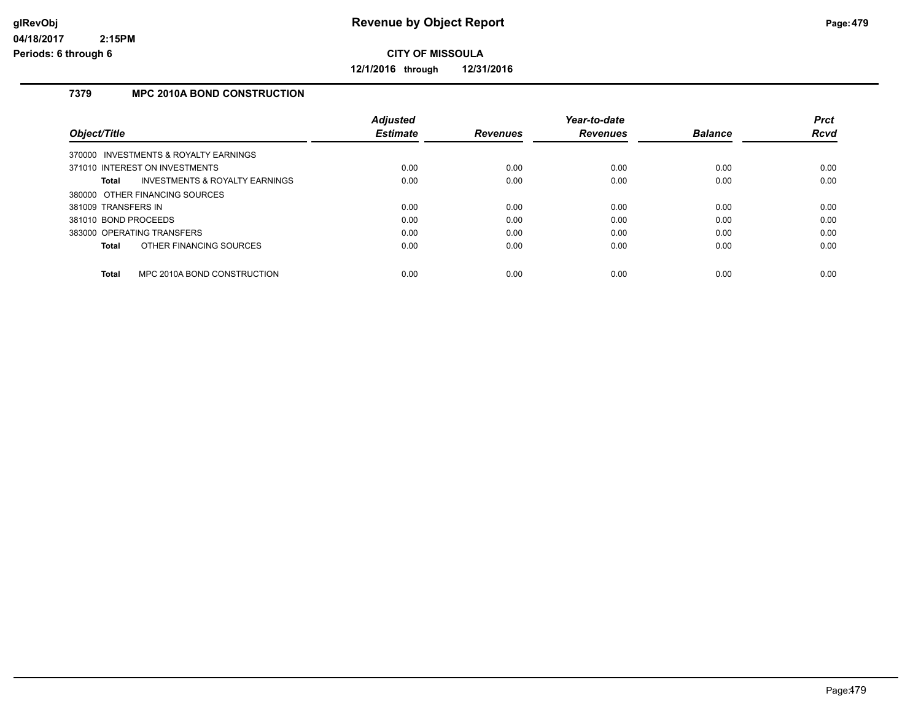**12/1/2016 through 12/31/2016**

#### **7379 MPC 2010A BOND CONSTRUCTION**

|                                             | <b>Adiusted</b> |                 | Year-to-date    |                | <b>Prct</b> |
|---------------------------------------------|-----------------|-----------------|-----------------|----------------|-------------|
| <i><b>Object/Title</b></i>                  | <b>Estimate</b> | <b>Revenues</b> | <b>Revenues</b> | <b>Balance</b> | <b>Rcvd</b> |
| 370000 INVESTMENTS & ROYALTY EARNINGS       |                 |                 |                 |                |             |
| 371010 INTEREST ON INVESTMENTS              | 0.00            | 0.00            | 0.00            | 0.00           | 0.00        |
| INVESTMENTS & ROYALTY EARNINGS<br>Total     | 0.00            | 0.00            | 0.00            | 0.00           | 0.00        |
| 380000 OTHER FINANCING SOURCES              |                 |                 |                 |                |             |
| 381009 TRANSFERS IN                         | 0.00            | 0.00            | 0.00            | 0.00           | 0.00        |
| 381010 BOND PROCEEDS                        | 0.00            | 0.00            | 0.00            | 0.00           | 0.00        |
| 383000 OPERATING TRANSFERS                  | 0.00            | 0.00            | 0.00            | 0.00           | 0.00        |
| OTHER FINANCING SOURCES<br>Total            | 0.00            | 0.00            | 0.00            | 0.00           | 0.00        |
| MPC 2010A BOND CONSTRUCTION<br><b>Total</b> | 0.00            | 0.00            | 0.00            | 0.00           | 0.00        |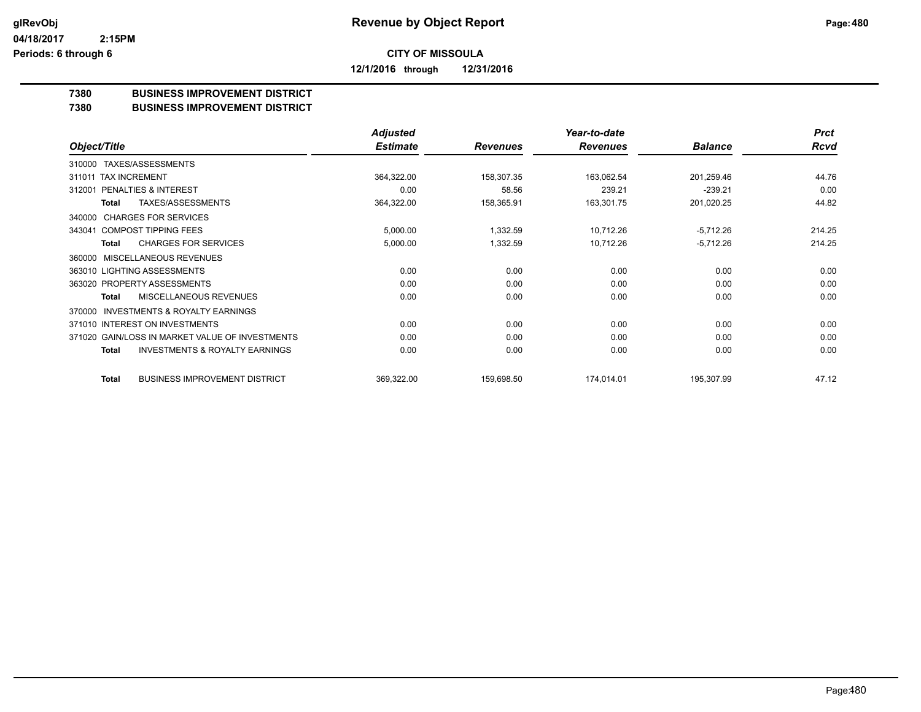**12/1/2016 through 12/31/2016**

## **7380 BUSINESS IMPROVEMENT DISTRICT**

### **7380 BUSINESS IMPROVEMENT DISTRICT**

|                                                           | <b>Adjusted</b> |                 | Year-to-date    |                | <b>Prct</b> |
|-----------------------------------------------------------|-----------------|-----------------|-----------------|----------------|-------------|
| Object/Title                                              | <b>Estimate</b> | <b>Revenues</b> | <b>Revenues</b> | <b>Balance</b> | <b>Rcvd</b> |
| TAXES/ASSESSMENTS<br>310000                               |                 |                 |                 |                |             |
| <b>TAX INCREMENT</b><br>311011                            | 364,322.00      | 158,307.35      | 163,062.54      | 201,259.46     | 44.76       |
| PENALTIES & INTEREST<br>312001                            | 0.00            | 58.56           | 239.21          | $-239.21$      | 0.00        |
| TAXES/ASSESSMENTS<br><b>Total</b>                         | 364,322.00      | 158,365.91      | 163,301.75      | 201,020.25     | 44.82       |
| <b>CHARGES FOR SERVICES</b><br>340000                     |                 |                 |                 |                |             |
| <b>COMPOST TIPPING FEES</b><br>343041                     | 5,000.00        | 1,332.59        | 10,712.26       | $-5,712.26$    | 214.25      |
| <b>CHARGES FOR SERVICES</b><br><b>Total</b>               | 5,000.00        | 1,332.59        | 10,712.26       | $-5,712.26$    | 214.25      |
| <b>MISCELLANEOUS REVENUES</b><br>360000                   |                 |                 |                 |                |             |
| 363010 LIGHTING ASSESSMENTS                               | 0.00            | 0.00            | 0.00            | 0.00           | 0.00        |
| 363020 PROPERTY ASSESSMENTS                               | 0.00            | 0.00            | 0.00            | 0.00           | 0.00        |
| MISCELLANEOUS REVENUES<br><b>Total</b>                    | 0.00            | 0.00            | 0.00            | 0.00           | 0.00        |
| <b>INVESTMENTS &amp; ROYALTY EARNINGS</b><br>370000       |                 |                 |                 |                |             |
| 371010 INTEREST ON INVESTMENTS                            | 0.00            | 0.00            | 0.00            | 0.00           | 0.00        |
| 371020 GAIN/LOSS IN MARKET VALUE OF INVESTMENTS           | 0.00            | 0.00            | 0.00            | 0.00           | 0.00        |
| <b>INVESTMENTS &amp; ROYALTY EARNINGS</b><br><b>Total</b> | 0.00            | 0.00            | 0.00            | 0.00           | 0.00        |
| <b>BUSINESS IMPROVEMENT DISTRICT</b><br>Total             | 369,322.00      | 159,698.50      | 174,014.01      | 195,307.99     | 47.12       |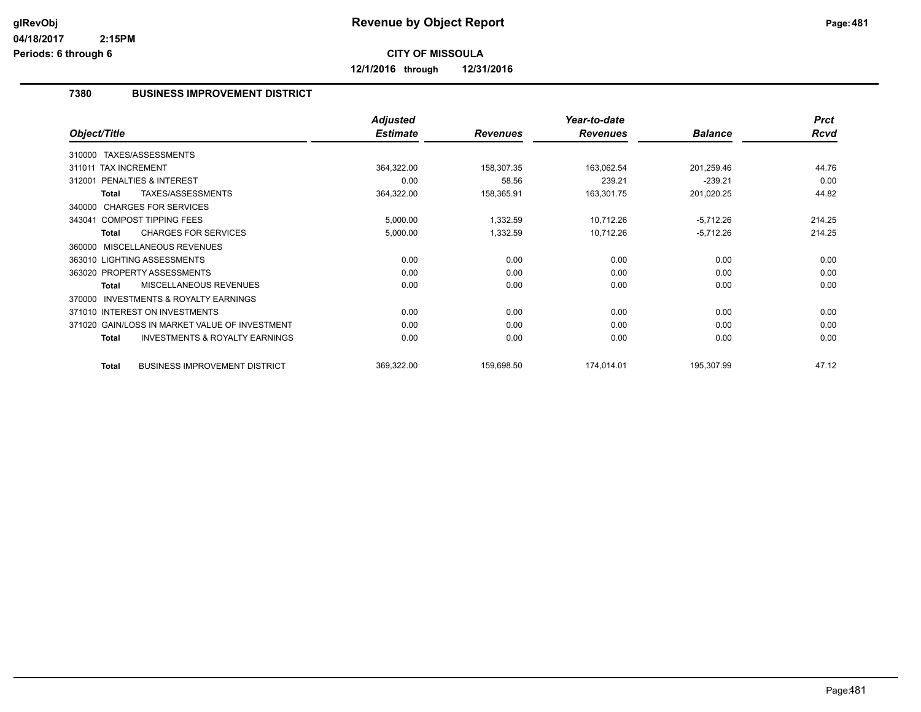**12/1/2016 through 12/31/2016**

#### **7380 BUSINESS IMPROVEMENT DISTRICT**

|                                                           | <b>Adjusted</b> |                 | Year-to-date    |                | <b>Prct</b> |
|-----------------------------------------------------------|-----------------|-----------------|-----------------|----------------|-------------|
| Object/Title                                              | <b>Estimate</b> | <b>Revenues</b> | <b>Revenues</b> | <b>Balance</b> | <b>Rcvd</b> |
| 310000 TAXES/ASSESSMENTS                                  |                 |                 |                 |                |             |
| <b>TAX INCREMENT</b><br>311011                            | 364,322.00      | 158,307.35      | 163,062.54      | 201,259.46     | 44.76       |
| <b>PENALTIES &amp; INTEREST</b><br>312001                 | 0.00            | 58.56           | 239.21          | $-239.21$      | 0.00        |
| TAXES/ASSESSMENTS<br><b>Total</b>                         | 364,322.00      | 158,365.91      | 163,301.75      | 201,020.25     | 44.82       |
| 340000 CHARGES FOR SERVICES                               |                 |                 |                 |                |             |
| <b>COMPOST TIPPING FEES</b><br>343041                     | 5,000.00        | 1,332.59        | 10,712.26       | $-5,712.26$    | 214.25      |
| <b>CHARGES FOR SERVICES</b><br>Total                      | 5,000.00        | 1,332.59        | 10,712.26       | $-5,712.26$    | 214.25      |
| 360000 MISCELLANEOUS REVENUES                             |                 |                 |                 |                |             |
| 363010 LIGHTING ASSESSMENTS                               | 0.00            | 0.00            | 0.00            | 0.00           | 0.00        |
| 363020 PROPERTY ASSESSMENTS                               | 0.00            | 0.00            | 0.00            | 0.00           | 0.00        |
| MISCELLANEOUS REVENUES<br>Total                           | 0.00            | 0.00            | 0.00            | 0.00           | 0.00        |
| <b>INVESTMENTS &amp; ROYALTY EARNINGS</b><br>370000       |                 |                 |                 |                |             |
| 371010 INTEREST ON INVESTMENTS                            | 0.00            | 0.00            | 0.00            | 0.00           | 0.00        |
| 371020 GAIN/LOSS IN MARKET VALUE OF INVESTMENT            | 0.00            | 0.00            | 0.00            | 0.00           | 0.00        |
| <b>INVESTMENTS &amp; ROYALTY EARNINGS</b><br><b>Total</b> | 0.00            | 0.00            | 0.00            | 0.00           | 0.00        |
| <b>BUSINESS IMPROVEMENT DISTRICT</b><br>Total             | 369,322.00      | 159,698.50      | 174,014.01      | 195,307.99     | 47.12       |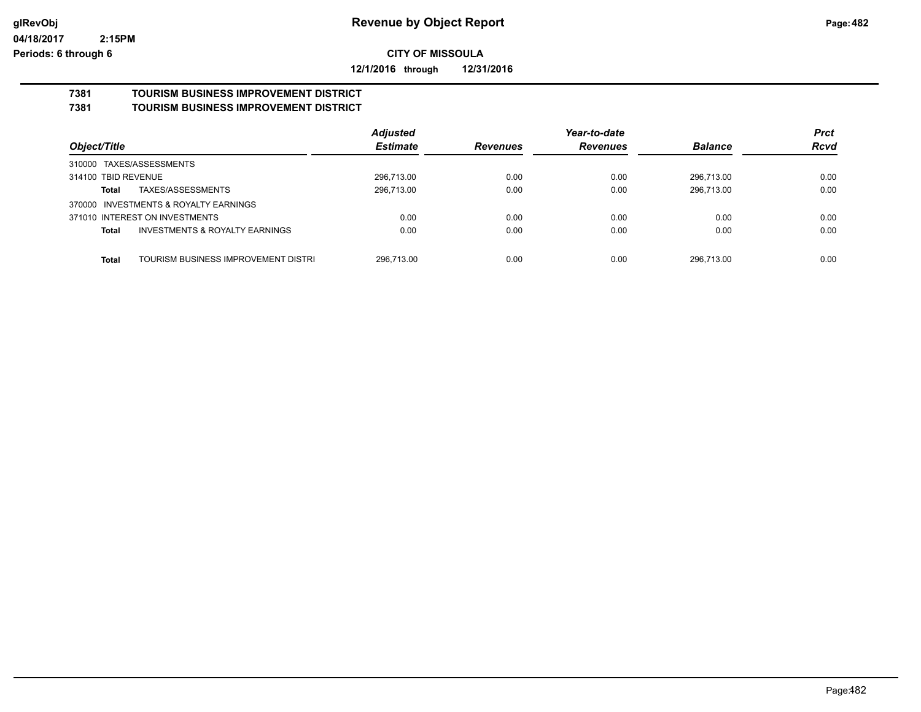**12/1/2016 through 12/31/2016**

#### **7381 TOURISM BUSINESS IMPROVEMENT DISTRICT 7381 TOURISM BUSINESS IMPROVEMENT DISTRICT**

|                                                           | <b>Adjusted</b> |                 | Year-to-date    |                | <b>Prct</b> |
|-----------------------------------------------------------|-----------------|-----------------|-----------------|----------------|-------------|
| Object/Title                                              | <b>Estimate</b> | <b>Revenues</b> | <b>Revenues</b> | <b>Balance</b> | <b>Rcvd</b> |
| 310000 TAXES/ASSESSMENTS                                  |                 |                 |                 |                |             |
| 314100 TBID REVENUE                                       | 296.713.00      | 0.00            | 0.00            | 296.713.00     | 0.00        |
| TAXES/ASSESSMENTS<br>Total                                | 296.713.00      | 0.00            | 0.00            | 296,713.00     | 0.00        |
| 370000 INVESTMENTS & ROYALTY EARNINGS                     |                 |                 |                 |                |             |
| 371010 INTEREST ON INVESTMENTS                            | 0.00            | 0.00            | 0.00            | 0.00           | 0.00        |
| <b>INVESTMENTS &amp; ROYALTY EARNINGS</b><br><b>Total</b> | 0.00            | 0.00            | 0.00            | 0.00           | 0.00        |
| TOURISM BUSINESS IMPROVEMENT DISTRI<br>Total              | 296.713.00      | 0.00            | 0.00            | 296.713.00     | 0.00        |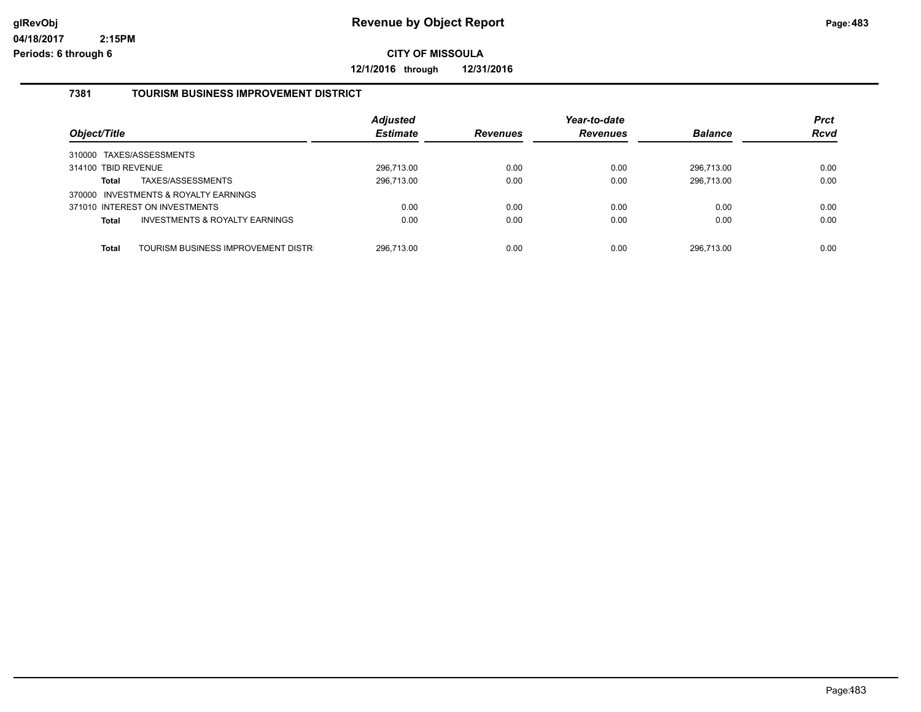**12/1/2016 through 12/31/2016**

#### **7381 TOURISM BUSINESS IMPROVEMENT DISTRICT**

|                     |                                           | <b>Adjusted</b> |                 | Year-to-date    |                | <b>Prct</b> |
|---------------------|-------------------------------------------|-----------------|-----------------|-----------------|----------------|-------------|
| Object/Title        |                                           | <b>Estimate</b> | <b>Revenues</b> | <b>Revenues</b> | <b>Balance</b> | <b>Rcvd</b> |
|                     | 310000 TAXES/ASSESSMENTS                  |                 |                 |                 |                |             |
| 314100 TBID REVENUE |                                           | 296,713.00      | 0.00            | 0.00            | 296,713.00     | 0.00        |
| Total               | TAXES/ASSESSMENTS                         | 296.713.00      | 0.00            | 0.00            | 296.713.00     | 0.00        |
| 370000              | INVESTMENTS & ROYALTY EARNINGS            |                 |                 |                 |                |             |
|                     | 371010 INTEREST ON INVESTMENTS            | 0.00            | 0.00            | 0.00            | 0.00           | 0.00        |
| Total               | <b>INVESTMENTS &amp; ROYALTY EARNINGS</b> | 0.00            | 0.00            | 0.00            | 0.00           | 0.00        |
| <b>Total</b>        | TOURISM BUSINESS IMPROVEMENT DISTR        | 296.713.00      | 0.00            | 0.00            | 296.713.00     | 0.00        |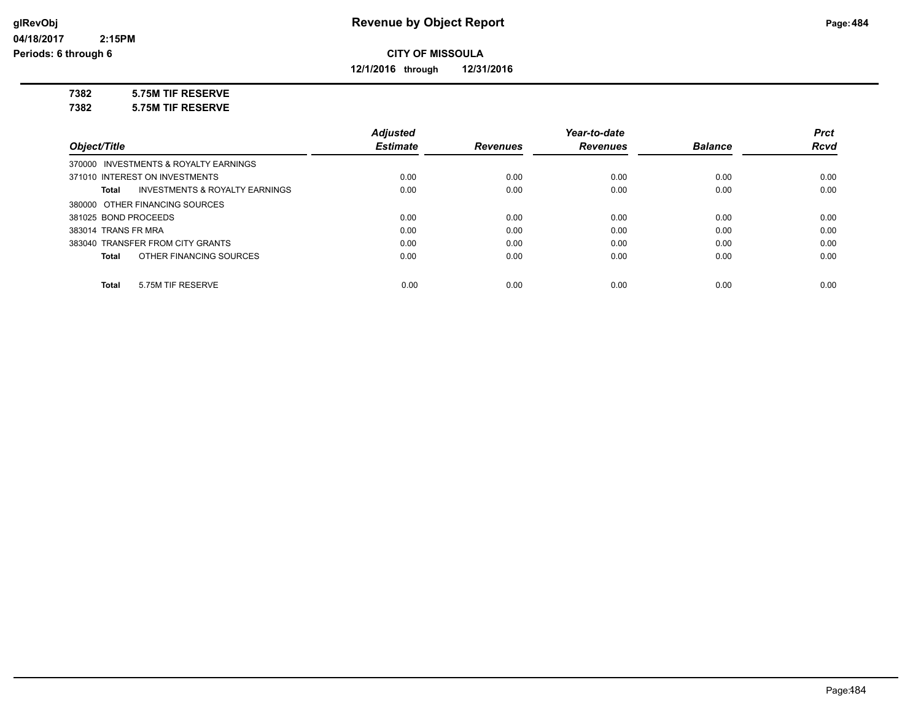**12/1/2016 through 12/31/2016**

**7382 5.75M TIF RESERVE**

| 7382 |  | 5.75M TIF RESERVE |
|------|--|-------------------|
|------|--|-------------------|

|                                         | <b>Adjusted</b> |                 | Year-to-date    |                | <b>Prct</b> |
|-----------------------------------------|-----------------|-----------------|-----------------|----------------|-------------|
| Object/Title                            | <b>Estimate</b> | <b>Revenues</b> | <b>Revenues</b> | <b>Balance</b> | <b>Rcvd</b> |
| 370000 INVESTMENTS & ROYALTY EARNINGS   |                 |                 |                 |                |             |
| 371010 INTEREST ON INVESTMENTS          | 0.00            | 0.00            | 0.00            | 0.00           | 0.00        |
| INVESTMENTS & ROYALTY EARNINGS<br>Total | 0.00            | 0.00            | 0.00            | 0.00           | 0.00        |
| 380000 OTHER FINANCING SOURCES          |                 |                 |                 |                |             |
| 381025 BOND PROCEEDS                    | 0.00            | 0.00            | 0.00            | 0.00           | 0.00        |
| 383014 TRANS FR MRA                     | 0.00            | 0.00            | 0.00            | 0.00           | 0.00        |
| 383040 TRANSFER FROM CITY GRANTS        | 0.00            | 0.00            | 0.00            | 0.00           | 0.00        |
| OTHER FINANCING SOURCES<br>Total        | 0.00            | 0.00            | 0.00            | 0.00           | 0.00        |
| <b>Total</b><br>5.75M TIF RESERVE       | 0.00            | 0.00            | 0.00            | 0.00           | 0.00        |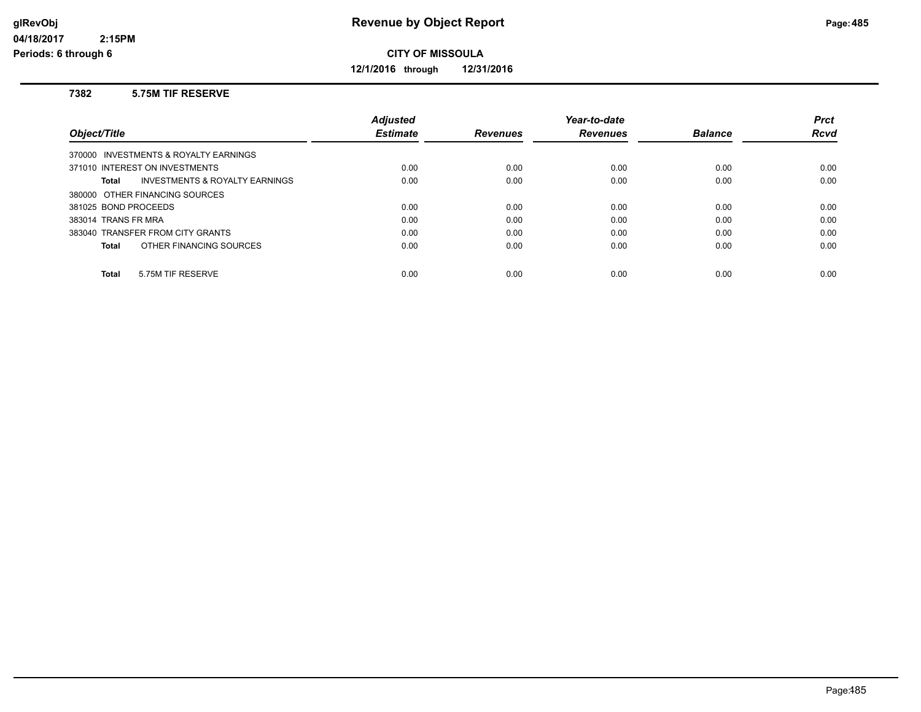**12/1/2016 through 12/31/2016**

#### **7382 5.75M TIF RESERVE**

|                                                | <b>Adiusted</b> |                 | Year-to-date    |                | <b>Prct</b> |
|------------------------------------------------|-----------------|-----------------|-----------------|----------------|-------------|
| Object/Title                                   | <b>Estimate</b> | <b>Revenues</b> | <b>Revenues</b> | <b>Balance</b> | <b>Rcvd</b> |
| 370000 INVESTMENTS & ROYALTY EARNINGS          |                 |                 |                 |                |             |
| 371010 INTEREST ON INVESTMENTS                 | 0.00            | 0.00            | 0.00            | 0.00           | 0.00        |
| INVESTMENTS & ROYALTY EARNINGS<br><b>Total</b> | 0.00            | 0.00            | 0.00            | 0.00           | 0.00        |
| 380000 OTHER FINANCING SOURCES                 |                 |                 |                 |                |             |
| 381025 BOND PROCEEDS                           | 0.00            | 0.00            | 0.00            | 0.00           | 0.00        |
| 383014 TRANS FR MRA                            | 0.00            | 0.00            | 0.00            | 0.00           | 0.00        |
| 383040 TRANSFER FROM CITY GRANTS               | 0.00            | 0.00            | 0.00            | 0.00           | 0.00        |
| OTHER FINANCING SOURCES<br><b>Total</b>        | 0.00            | 0.00            | 0.00            | 0.00           | 0.00        |
|                                                |                 |                 |                 |                |             |
| 5.75M TIF RESERVE<br><b>Total</b>              | 0.00            | 0.00            | 0.00            | 0.00           | 0.00        |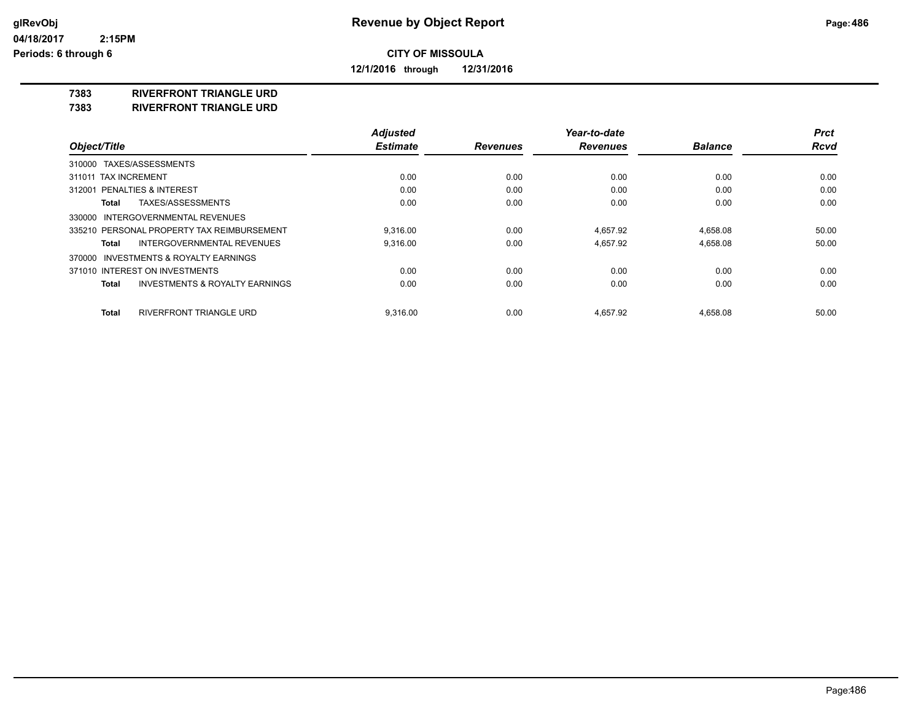**12/1/2016 through 12/31/2016**

**7383 RIVERFRONT TRIANGLE URD**

**7383 RIVERFRONT TRIANGLE URD**

|                                                    | <b>Adjusted</b> |                 | Year-to-date    |                | <b>Prct</b> |
|----------------------------------------------------|-----------------|-----------------|-----------------|----------------|-------------|
| Object/Title                                       | <b>Estimate</b> | <b>Revenues</b> | <b>Revenues</b> | <b>Balance</b> | <b>Rcvd</b> |
| 310000 TAXES/ASSESSMENTS                           |                 |                 |                 |                |             |
| 311011 TAX INCREMENT                               | 0.00            | 0.00            | 0.00            | 0.00           | 0.00        |
| 312001 PENALTIES & INTEREST                        | 0.00            | 0.00            | 0.00            | 0.00           | 0.00        |
| TAXES/ASSESSMENTS<br>Total                         | 0.00            | 0.00            | 0.00            | 0.00           | 0.00        |
| 330000 INTERGOVERNMENTAL REVENUES                  |                 |                 |                 |                |             |
| 335210 PERSONAL PROPERTY TAX REIMBURSEMENT         | 9.316.00        | 0.00            | 4,657.92        | 4,658.08       | 50.00       |
| <b>INTERGOVERNMENTAL REVENUES</b><br>Total         | 9.316.00        | 0.00            | 4,657.92        | 4,658.08       | 50.00       |
| INVESTMENTS & ROYALTY EARNINGS<br>370000           |                 |                 |                 |                |             |
| 371010 INTEREST ON INVESTMENTS                     | 0.00            | 0.00            | 0.00            | 0.00           | 0.00        |
| <b>INVESTMENTS &amp; ROYALTY EARNINGS</b><br>Total | 0.00            | 0.00            | 0.00            | 0.00           | 0.00        |
| <b>RIVERFRONT TRIANGLE URD</b><br><b>Total</b>     | 9.316.00        | 0.00            | 4,657.92        | 4,658.08       | 50.00       |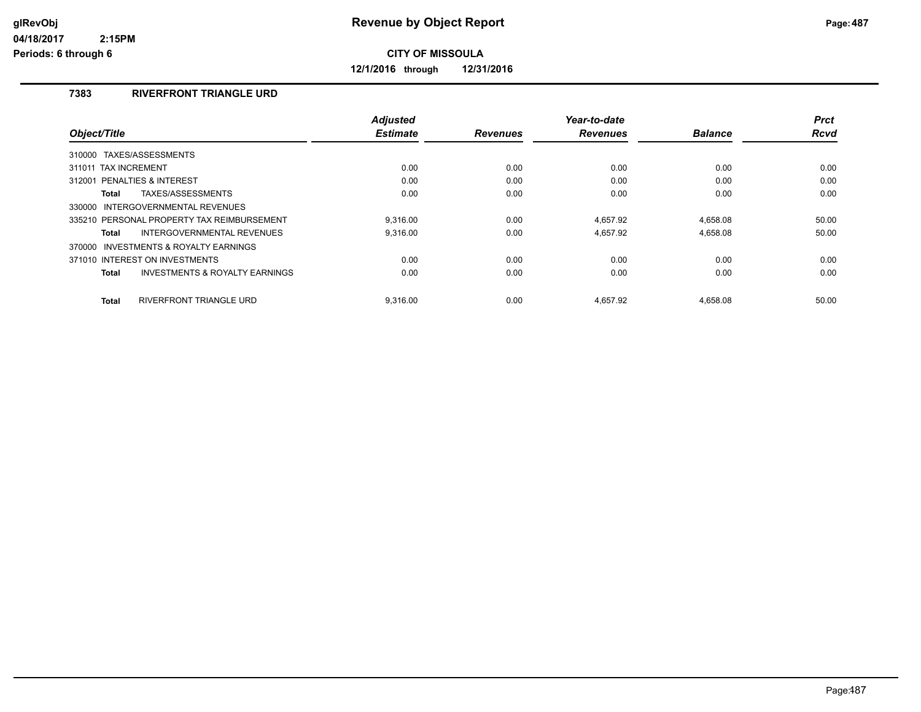**12/1/2016 through 12/31/2016**

#### **7383 RIVERFRONT TRIANGLE URD**

|                                            | <b>Adjusted</b> |                 | Year-to-date    |                | <b>Prct</b> |
|--------------------------------------------|-----------------|-----------------|-----------------|----------------|-------------|
| Object/Title                               | <b>Estimate</b> | <b>Revenues</b> | <b>Revenues</b> | <b>Balance</b> | <b>Rcvd</b> |
| 310000 TAXES/ASSESSMENTS                   |                 |                 |                 |                |             |
| 311011 TAX INCREMENT                       | 0.00            | 0.00            | 0.00            | 0.00           | 0.00        |
| PENALTIES & INTEREST<br>312001             | 0.00            | 0.00            | 0.00            | 0.00           | 0.00        |
| TAXES/ASSESSMENTS<br>Total                 | 0.00            | 0.00            | 0.00            | 0.00           | 0.00        |
| 330000 INTERGOVERNMENTAL REVENUES          |                 |                 |                 |                |             |
| 335210 PERSONAL PROPERTY TAX REIMBURSEMENT | 9.316.00        | 0.00            | 4.657.92        | 4,658.08       | 50.00       |
| INTERGOVERNMENTAL REVENUES<br>Total        | 9,316.00        | 0.00            | 4,657.92        | 4,658.08       | 50.00       |
| 370000 INVESTMENTS & ROYALTY EARNINGS      |                 |                 |                 |                |             |
| 371010 INTEREST ON INVESTMENTS             | 0.00            | 0.00            | 0.00            | 0.00           | 0.00        |
| INVESTMENTS & ROYALTY EARNINGS<br>Total    | 0.00            | 0.00            | 0.00            | 0.00           | 0.00        |
| RIVERFRONT TRIANGLE URD<br><b>Total</b>    | 9.316.00        | 0.00            | 4.657.92        | 4.658.08       | 50.00       |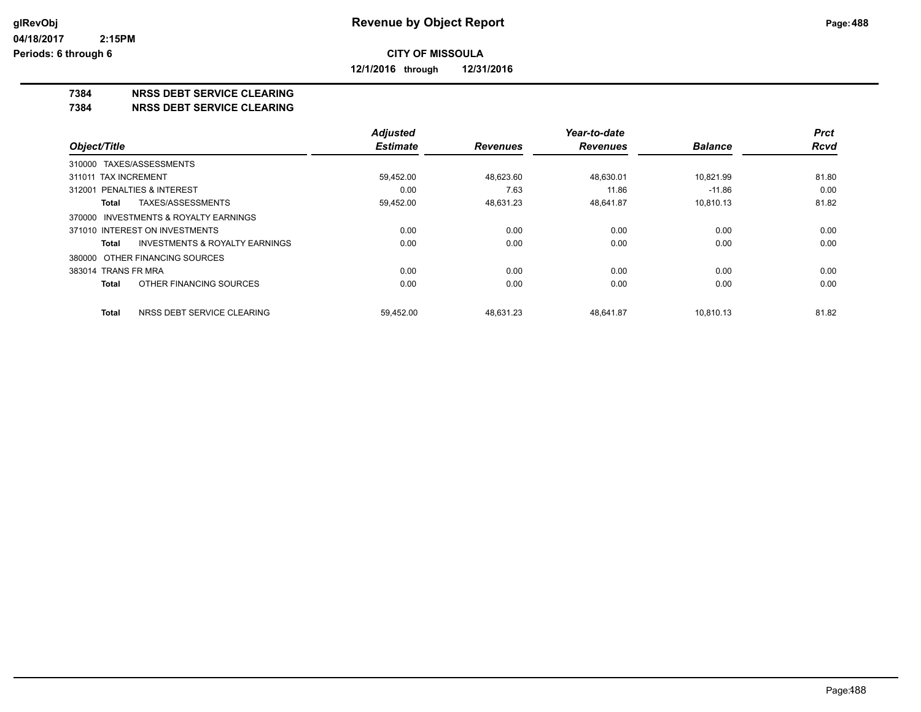**12/1/2016 through 12/31/2016**

**7384 NRSS DEBT SERVICE CLEARING**

**7384 NRSS DEBT SERVICE CLEARING**

|                                                    | <b>Adjusted</b> |                 | Year-to-date    |                | <b>Prct</b> |
|----------------------------------------------------|-----------------|-----------------|-----------------|----------------|-------------|
| Object/Title                                       | <b>Estimate</b> | <b>Revenues</b> | <b>Revenues</b> | <b>Balance</b> | <b>Rcvd</b> |
| 310000 TAXES/ASSESSMENTS                           |                 |                 |                 |                |             |
| 311011 TAX INCREMENT                               | 59,452.00       | 48,623.60       | 48,630.01       | 10.821.99      | 81.80       |
| 312001 PENALTIES & INTEREST                        | 0.00            | 7.63            | 11.86           | $-11.86$       | 0.00        |
| TAXES/ASSESSMENTS<br>Total                         | 59,452.00       | 48,631.23       | 48,641.87       | 10.810.13      | 81.82       |
| 370000 INVESTMENTS & ROYALTY EARNINGS              |                 |                 |                 |                |             |
| 371010 INTEREST ON INVESTMENTS                     | 0.00            | 0.00            | 0.00            | 0.00           | 0.00        |
| <b>INVESTMENTS &amp; ROYALTY EARNINGS</b><br>Total | 0.00            | 0.00            | 0.00            | 0.00           | 0.00        |
| 380000 OTHER FINANCING SOURCES                     |                 |                 |                 |                |             |
| 383014 TRANS FR MRA                                | 0.00            | 0.00            | 0.00            | 0.00           | 0.00        |
| OTHER FINANCING SOURCES<br>Total                   | 0.00            | 0.00            | 0.00            | 0.00           | 0.00        |
| NRSS DEBT SERVICE CLEARING<br><b>Total</b>         | 59,452.00       | 48.631.23       | 48,641.87       | 10.810.13      | 81.82       |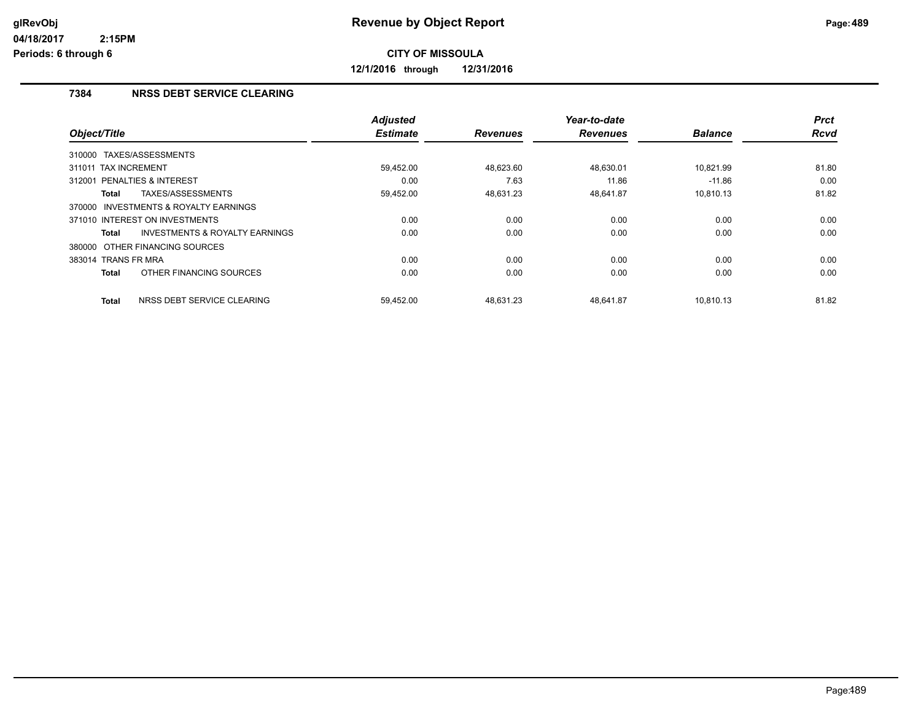**12/1/2016 through 12/31/2016**

#### **7384 NRSS DEBT SERVICE CLEARING**

|                                                | <b>Adjusted</b> |                 | Year-to-date    |                | <b>Prct</b> |
|------------------------------------------------|-----------------|-----------------|-----------------|----------------|-------------|
| Object/Title                                   | <b>Estimate</b> | <b>Revenues</b> | <b>Revenues</b> | <b>Balance</b> | <b>Rcvd</b> |
| TAXES/ASSESSMENTS<br>310000                    |                 |                 |                 |                |             |
| 311011 TAX INCREMENT                           | 59,452.00       | 48,623.60       | 48,630.01       | 10,821.99      | 81.80       |
| PENALTIES & INTEREST<br>312001                 | 0.00            | 7.63            | 11.86           | -11.86         | 0.00        |
| TAXES/ASSESSMENTS<br><b>Total</b>              | 59,452.00       | 48,631.23       | 48,641.87       | 10,810.13      | 81.82       |
| INVESTMENTS & ROYALTY EARNINGS<br>370000       |                 |                 |                 |                |             |
| 371010 INTEREST ON INVESTMENTS                 | 0.00            | 0.00            | 0.00            | 0.00           | 0.00        |
| INVESTMENTS & ROYALTY EARNINGS<br><b>Total</b> | 0.00            | 0.00            | 0.00            | 0.00           | 0.00        |
| 380000 OTHER FINANCING SOURCES                 |                 |                 |                 |                |             |
| 383014 TRANS FR MRA                            | 0.00            | 0.00            | 0.00            | 0.00           | 0.00        |
| OTHER FINANCING SOURCES<br><b>Total</b>        | 0.00            | 0.00            | 0.00            | 0.00           | 0.00        |
| NRSS DEBT SERVICE CLEARING<br><b>Total</b>     | 59,452.00       | 48.631.23       | 48.641.87       | 10.810.13      | 81.82       |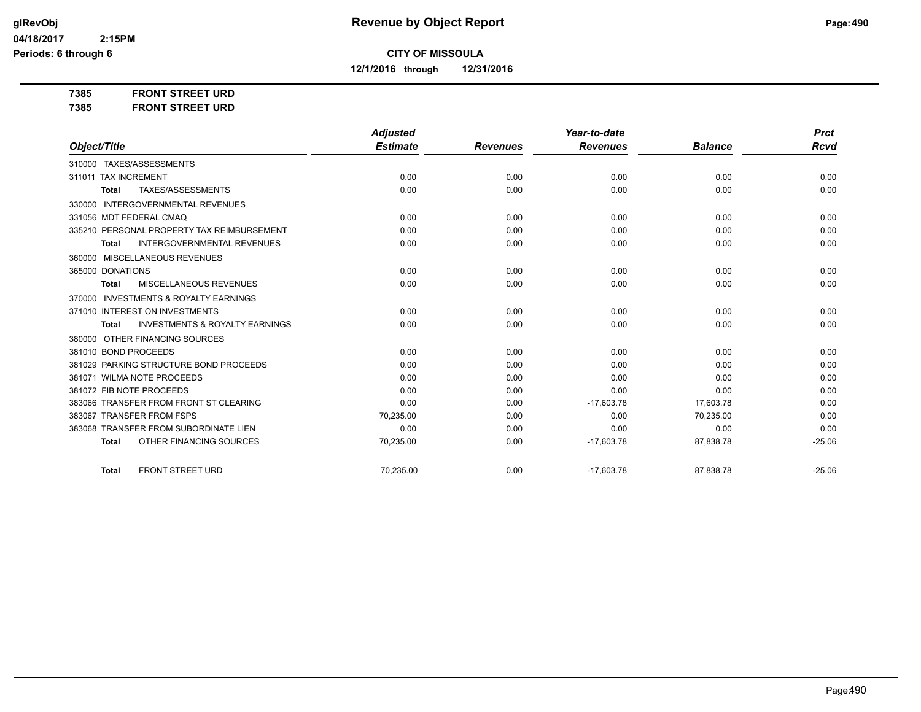**12/1/2016 through 12/31/2016**

**7385 FRONT STREET URD 7385 FRONT STREET URD**

|                                |                                            | <b>Adjusted</b> |                 | Year-to-date    |                | <b>Prct</b> |
|--------------------------------|--------------------------------------------|-----------------|-----------------|-----------------|----------------|-------------|
| Object/Title                   |                                            | <b>Estimate</b> | <b>Revenues</b> | <b>Revenues</b> | <b>Balance</b> | <b>Rcvd</b> |
| 310000 TAXES/ASSESSMENTS       |                                            |                 |                 |                 |                |             |
| 311011 TAX INCREMENT           |                                            | 0.00            | 0.00            | 0.00            | 0.00           | 0.00        |
| Total                          | TAXES/ASSESSMENTS                          | 0.00            | 0.00            | 0.00            | 0.00           | 0.00        |
| 330000                         | <b>INTERGOVERNMENTAL REVENUES</b>          |                 |                 |                 |                |             |
| 331056 MDT FEDERAL CMAQ        |                                            | 0.00            | 0.00            | 0.00            | 0.00           | 0.00        |
|                                | 335210 PERSONAL PROPERTY TAX REIMBURSEMENT | 0.00            | 0.00            | 0.00            | 0.00           | 0.00        |
| <b>Total</b>                   | <b>INTERGOVERNMENTAL REVENUES</b>          | 0.00            | 0.00            | 0.00            | 0.00           | 0.00        |
| 360000                         | MISCELLANEOUS REVENUES                     |                 |                 |                 |                |             |
| 365000 DONATIONS               |                                            | 0.00            | 0.00            | 0.00            | 0.00           | 0.00        |
| <b>Total</b>                   | MISCELLANEOUS REVENUES                     | 0.00            | 0.00            | 0.00            | 0.00           | 0.00        |
| 370000                         | <b>INVESTMENTS &amp; ROYALTY EARNINGS</b>  |                 |                 |                 |                |             |
| 371010 INTEREST ON INVESTMENTS |                                            | 0.00            | 0.00            | 0.00            | 0.00           | 0.00        |
| <b>Total</b>                   | <b>INVESTMENTS &amp; ROYALTY EARNINGS</b>  | 0.00            | 0.00            | 0.00            | 0.00           | 0.00        |
| 380000                         | OTHER FINANCING SOURCES                    |                 |                 |                 |                |             |
| 381010 BOND PROCEEDS           |                                            | 0.00            | 0.00            | 0.00            | 0.00           | 0.00        |
|                                | 381029 PARKING STRUCTURE BOND PROCEEDS     | 0.00            | 0.00            | 0.00            | 0.00           | 0.00        |
| 381071 WILMA NOTE PROCEEDS     |                                            | 0.00            | 0.00            | 0.00            | 0.00           | 0.00        |
| 381072 FIB NOTE PROCEEDS       |                                            | 0.00            | 0.00            | 0.00            | 0.00           | 0.00        |
|                                | 383066 TRANSFER FROM FRONT ST CLEARING     | 0.00            | 0.00            | $-17,603.78$    | 17,603.78      | 0.00        |
| 383067 TRANSFER FROM FSPS      |                                            | 70,235.00       | 0.00            | 0.00            | 70,235.00      | 0.00        |
|                                | 383068 TRANSFER FROM SUBORDINATE LIEN      | 0.00            | 0.00            | 0.00            | 0.00           | 0.00        |
| Total                          | OTHER FINANCING SOURCES                    | 70,235.00       | 0.00            | $-17,603.78$    | 87,838.78      | $-25.06$    |
|                                |                                            |                 |                 |                 |                |             |
| <b>Total</b>                   | <b>FRONT STREET URD</b>                    | 70,235.00       | 0.00            | $-17,603.78$    | 87,838.78      | $-25.06$    |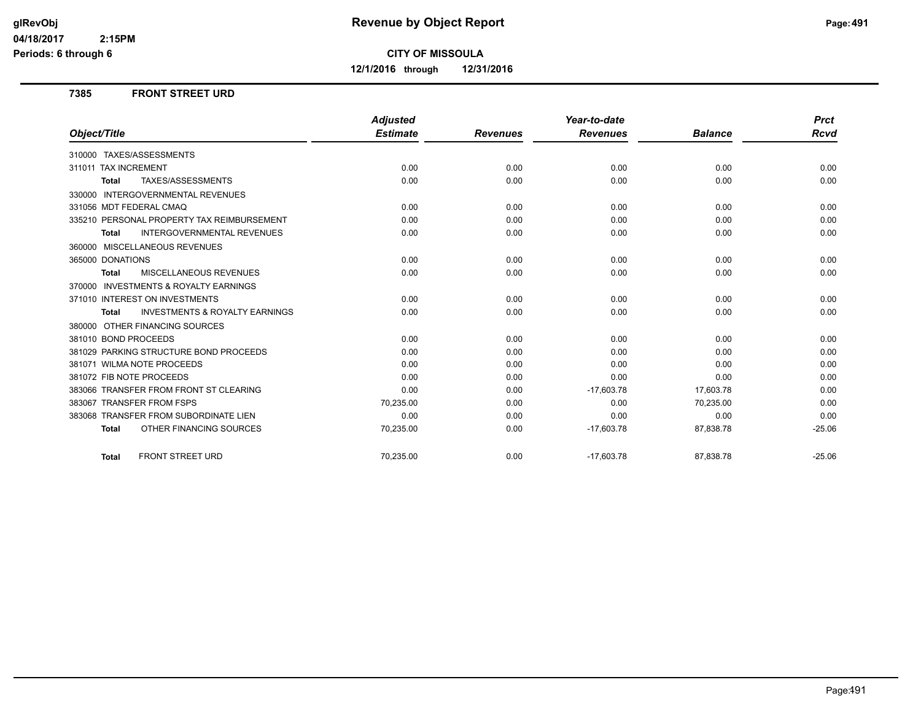**12/1/2016 through 12/31/2016**

#### **7385 FRONT STREET URD**

|                                                           | <b>Adjusted</b> |                 | Year-to-date    |                | <b>Prct</b> |
|-----------------------------------------------------------|-----------------|-----------------|-----------------|----------------|-------------|
| Object/Title                                              | <b>Estimate</b> | <b>Revenues</b> | <b>Revenues</b> | <b>Balance</b> | <b>Rcvd</b> |
| 310000 TAXES/ASSESSMENTS                                  |                 |                 |                 |                |             |
| 311011 TAX INCREMENT                                      | 0.00            | 0.00            | 0.00            | 0.00           | 0.00        |
| TAXES/ASSESSMENTS<br><b>Total</b>                         | 0.00            | 0.00            | 0.00            | 0.00           | 0.00        |
| 330000 INTERGOVERNMENTAL REVENUES                         |                 |                 |                 |                |             |
| 331056 MDT FEDERAL CMAQ                                   | 0.00            | 0.00            | 0.00            | 0.00           | 0.00        |
| 335210 PERSONAL PROPERTY TAX REIMBURSEMENT                | 0.00            | 0.00            | 0.00            | 0.00           | 0.00        |
| <b>INTERGOVERNMENTAL REVENUES</b><br><b>Total</b>         | 0.00            | 0.00            | 0.00            | 0.00           | 0.00        |
| 360000 MISCELLANEOUS REVENUES                             |                 |                 |                 |                |             |
| 365000 DONATIONS                                          | 0.00            | 0.00            | 0.00            | 0.00           | 0.00        |
| <b>MISCELLANEOUS REVENUES</b><br>Total                    | 0.00            | 0.00            | 0.00            | 0.00           | 0.00        |
| 370000 INVESTMENTS & ROYALTY EARNINGS                     |                 |                 |                 |                |             |
| 371010 INTEREST ON INVESTMENTS                            | 0.00            | 0.00            | 0.00            | 0.00           | 0.00        |
| <b>INVESTMENTS &amp; ROYALTY EARNINGS</b><br><b>Total</b> | 0.00            | 0.00            | 0.00            | 0.00           | 0.00        |
| 380000 OTHER FINANCING SOURCES                            |                 |                 |                 |                |             |
| 381010 BOND PROCEEDS                                      | 0.00            | 0.00            | 0.00            | 0.00           | 0.00        |
| 381029 PARKING STRUCTURE BOND PROCEEDS                    | 0.00            | 0.00            | 0.00            | 0.00           | 0.00        |
| 381071 WILMA NOTE PROCEEDS                                | 0.00            | 0.00            | 0.00            | 0.00           | 0.00        |
| 381072 FIB NOTE PROCEEDS                                  | 0.00            | 0.00            | 0.00            | 0.00           | 0.00        |
| 383066 TRANSFER FROM FRONT ST CLEARING                    | 0.00            | 0.00            | $-17,603.78$    | 17,603.78      | 0.00        |
| 383067 TRANSFER FROM FSPS                                 | 70,235.00       | 0.00            | 0.00            | 70,235.00      | 0.00        |
| 383068 TRANSFER FROM SUBORDINATE LIEN                     | 0.00            | 0.00            | 0.00            | 0.00           | 0.00        |
| OTHER FINANCING SOURCES<br><b>Total</b>                   | 70,235.00       | 0.00            | $-17,603.78$    | 87,838.78      | $-25.06$    |
| <b>FRONT STREET URD</b><br>Total                          | 70.235.00       | 0.00            | $-17.603.78$    | 87.838.78      | $-25.06$    |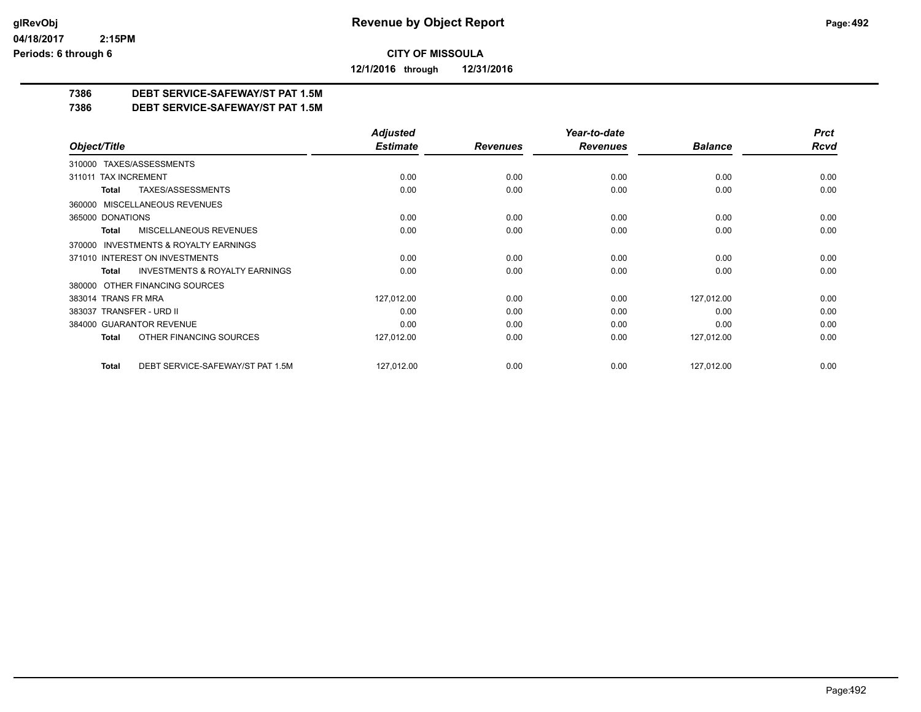**12/1/2016 through 12/31/2016**

#### **7386 DEBT SERVICE-SAFEWAY/ST PAT 1.5M 7386 DEBT SERVICE-SAFEWAY/ST PAT 1.5M**

|                                                    | <b>Adjusted</b> |                 | Year-to-date    |                | <b>Prct</b> |
|----------------------------------------------------|-----------------|-----------------|-----------------|----------------|-------------|
| Object/Title                                       | <b>Estimate</b> | <b>Revenues</b> | <b>Revenues</b> | <b>Balance</b> | <b>Rcvd</b> |
| 310000 TAXES/ASSESSMENTS                           |                 |                 |                 |                |             |
| <b>TAX INCREMENT</b><br>311011                     | 0.00            | 0.00            | 0.00            | 0.00           | 0.00        |
| TAXES/ASSESSMENTS<br>Total                         | 0.00            | 0.00            | 0.00            | 0.00           | 0.00        |
| 360000 MISCELLANEOUS REVENUES                      |                 |                 |                 |                |             |
| 365000 DONATIONS                                   | 0.00            | 0.00            | 0.00            | 0.00           | 0.00        |
| MISCELLANEOUS REVENUES<br><b>Total</b>             | 0.00            | 0.00            | 0.00            | 0.00           | 0.00        |
| INVESTMENTS & ROYALTY EARNINGS<br>370000           |                 |                 |                 |                |             |
| 371010 INTEREST ON INVESTMENTS                     | 0.00            | 0.00            | 0.00            | 0.00           | 0.00        |
| <b>INVESTMENTS &amp; ROYALTY EARNINGS</b><br>Total | 0.00            | 0.00            | 0.00            | 0.00           | 0.00        |
| OTHER FINANCING SOURCES<br>380000                  |                 |                 |                 |                |             |
| 383014 TRANS FR MRA                                | 127,012.00      | 0.00            | 0.00            | 127,012.00     | 0.00        |
| 383037 TRANSFER - URD II                           | 0.00            | 0.00            | 0.00            | 0.00           | 0.00        |
| 384000 GUARANTOR REVENUE                           | 0.00            | 0.00            | 0.00            | 0.00           | 0.00        |
| OTHER FINANCING SOURCES<br><b>Total</b>            | 127,012.00      | 0.00            | 0.00            | 127,012.00     | 0.00        |
| DEBT SERVICE-SAFEWAY/ST PAT 1.5M<br><b>Total</b>   | 127,012.00      | 0.00            | 0.00            | 127,012.00     | 0.00        |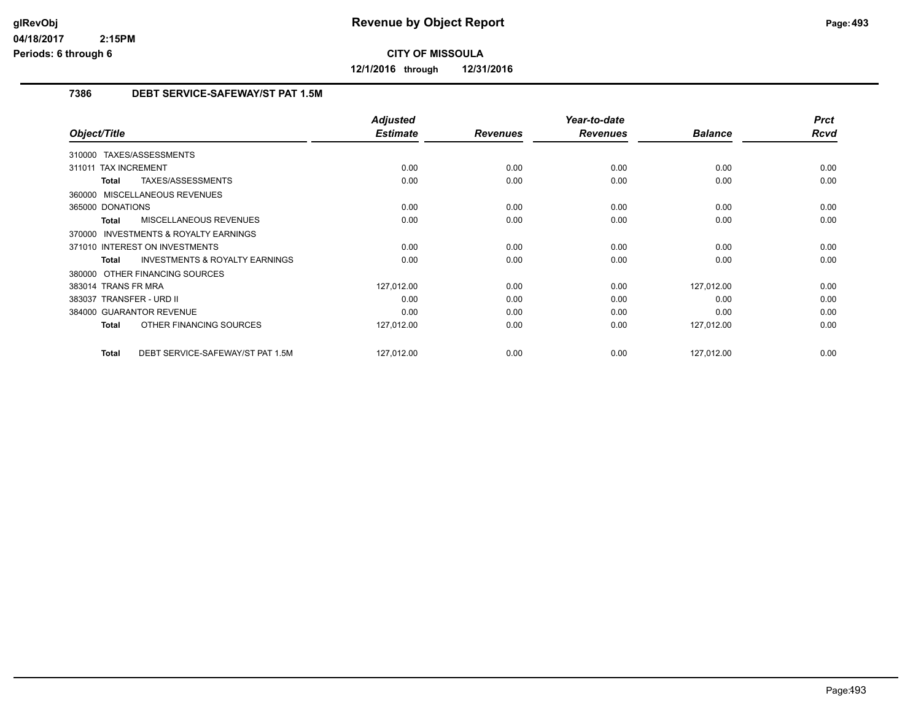**12/1/2016 through 12/31/2016**

#### **7386 DEBT SERVICE-SAFEWAY/ST PAT 1.5M**

|                                                     | <b>Adjusted</b> |                 | Year-to-date    |                | <b>Prct</b> |
|-----------------------------------------------------|-----------------|-----------------|-----------------|----------------|-------------|
| Object/Title                                        | <b>Estimate</b> | <b>Revenues</b> | <b>Revenues</b> | <b>Balance</b> | <b>Rcvd</b> |
| 310000 TAXES/ASSESSMENTS                            |                 |                 |                 |                |             |
| 311011 TAX INCREMENT                                | 0.00            | 0.00            | 0.00            | 0.00           | 0.00        |
| TAXES/ASSESSMENTS<br><b>Total</b>                   | 0.00            | 0.00            | 0.00            | 0.00           | 0.00        |
| 360000 MISCELLANEOUS REVENUES                       |                 |                 |                 |                |             |
| 365000 DONATIONS                                    | 0.00            | 0.00            | 0.00            | 0.00           | 0.00        |
| <b>MISCELLANEOUS REVENUES</b><br><b>Total</b>       | 0.00            | 0.00            | 0.00            | 0.00           | 0.00        |
| <b>INVESTMENTS &amp; ROYALTY EARNINGS</b><br>370000 |                 |                 |                 |                |             |
| 371010 INTEREST ON INVESTMENTS                      | 0.00            | 0.00            | 0.00            | 0.00           | 0.00        |
| <b>INVESTMENTS &amp; ROYALTY EARNINGS</b><br>Total  | 0.00            | 0.00            | 0.00            | 0.00           | 0.00        |
| 380000 OTHER FINANCING SOURCES                      |                 |                 |                 |                |             |
| 383014 TRANS FR MRA                                 | 127,012.00      | 0.00            | 0.00            | 127,012.00     | 0.00        |
| 383037 TRANSFER - URD II                            | 0.00            | 0.00            | 0.00            | 0.00           | 0.00        |
| 384000 GUARANTOR REVENUE                            | 0.00            | 0.00            | 0.00            | 0.00           | 0.00        |
| OTHER FINANCING SOURCES<br><b>Total</b>             | 127,012.00      | 0.00            | 0.00            | 127,012.00     | 0.00        |
| DEBT SERVICE-SAFEWAY/ST PAT 1.5M<br><b>Total</b>    | 127,012.00      | 0.00            | 0.00            | 127,012.00     | 0.00        |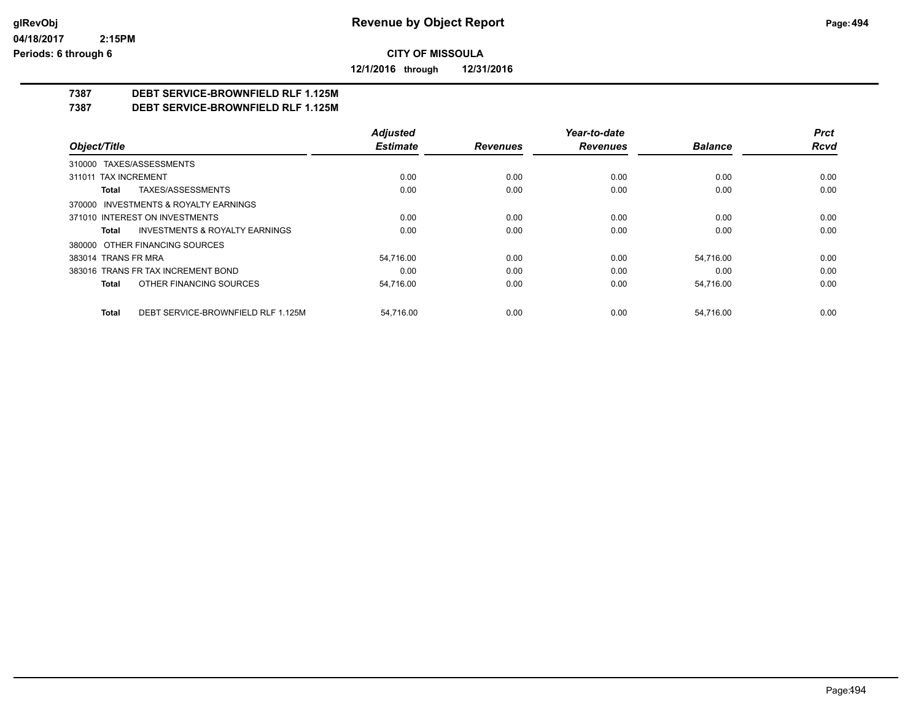**12/1/2016 through 12/31/2016**

#### **7387 DEBT SERVICE-BROWNFIELD RLF 1.125M 7387 DEBT SERVICE-BROWNFIELD RLF 1.125M**

|                                                    | <b>Adjusted</b> |                 | Year-to-date    |                | <b>Prct</b> |
|----------------------------------------------------|-----------------|-----------------|-----------------|----------------|-------------|
| Object/Title                                       | <b>Estimate</b> | <b>Revenues</b> | <b>Revenues</b> | <b>Balance</b> | Rcvd        |
| 310000 TAXES/ASSESSMENTS                           |                 |                 |                 |                |             |
| 311011 TAX INCREMENT                               | 0.00            | 0.00            | 0.00            | 0.00           | 0.00        |
| TAXES/ASSESSMENTS<br>Total                         | 0.00            | 0.00            | 0.00            | 0.00           | 0.00        |
| INVESTMENTS & ROYALTY EARNINGS<br>370000           |                 |                 |                 |                |             |
| 371010 INTEREST ON INVESTMENTS                     | 0.00            | 0.00            | 0.00            | 0.00           | 0.00        |
| <b>INVESTMENTS &amp; ROYALTY EARNINGS</b><br>Total | 0.00            | 0.00            | 0.00            | 0.00           | 0.00        |
| OTHER FINANCING SOURCES<br>380000                  |                 |                 |                 |                |             |
| 383014 TRANS FR MRA                                | 54,716.00       | 0.00            | 0.00            | 54,716.00      | 0.00        |
| 383016 TRANS FR TAX INCREMENT BOND                 | 0.00            | 0.00            | 0.00            | 0.00           | 0.00        |
| OTHER FINANCING SOURCES<br>Total                   | 54,716.00       | 0.00            | 0.00            | 54,716.00      | 0.00        |
| DEBT SERVICE-BROWNFIELD RLF 1.125M<br><b>Total</b> | 54.716.00       | 0.00            | 0.00            | 54.716.00      | 0.00        |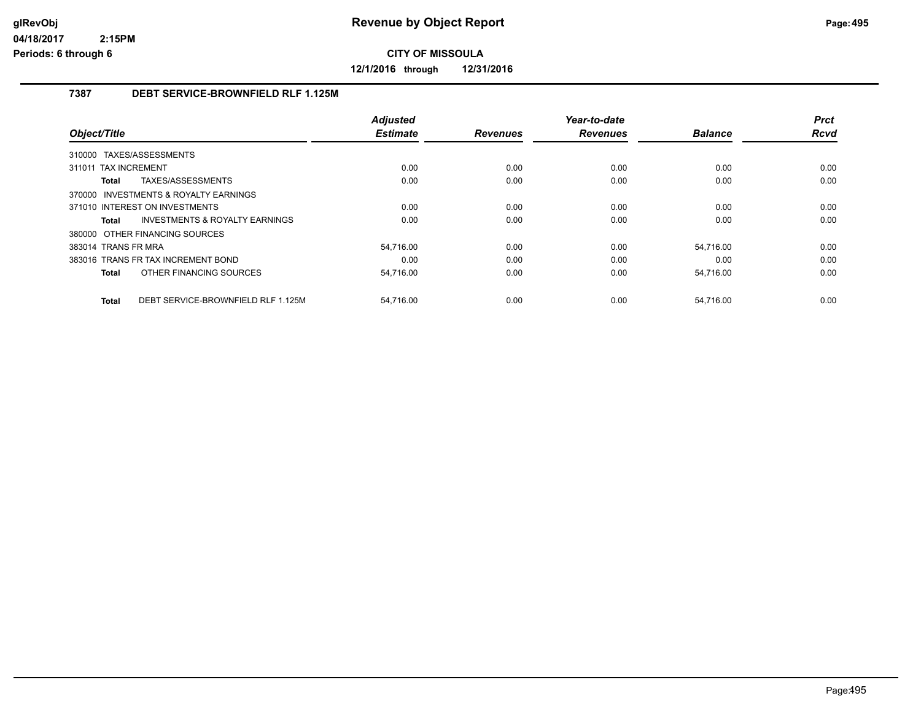**12/1/2016 through 12/31/2016**

#### **7387 DEBT SERVICE-BROWNFIELD RLF 1.125M**

|                                                    | <b>Adjusted</b> |                 | Year-to-date    |                | <b>Prct</b> |
|----------------------------------------------------|-----------------|-----------------|-----------------|----------------|-------------|
| Object/Title                                       | <b>Estimate</b> | <b>Revenues</b> | <b>Revenues</b> | <b>Balance</b> | <b>Rcvd</b> |
| 310000 TAXES/ASSESSMENTS                           |                 |                 |                 |                |             |
| <b>TAX INCREMENT</b><br>311011                     | 0.00            | 0.00            | 0.00            | 0.00           | 0.00        |
| TAXES/ASSESSMENTS<br><b>Total</b>                  | 0.00            | 0.00            | 0.00            | 0.00           | 0.00        |
| 370000 INVESTMENTS & ROYALTY EARNINGS              |                 |                 |                 |                |             |
| 371010 INTEREST ON INVESTMENTS                     | 0.00            | 0.00            | 0.00            | 0.00           | 0.00        |
| INVESTMENTS & ROYALTY EARNINGS<br>Total            | 0.00            | 0.00            | 0.00            | 0.00           | 0.00        |
| 380000 OTHER FINANCING SOURCES                     |                 |                 |                 |                |             |
| 383014 TRANS FR MRA                                | 54.716.00       | 0.00            | 0.00            | 54,716.00      | 0.00        |
| 383016 TRANS FR TAX INCREMENT BOND                 | 0.00            | 0.00            | 0.00            | 0.00           | 0.00        |
| OTHER FINANCING SOURCES<br>Total                   | 54.716.00       | 0.00            | 0.00            | 54.716.00      | 0.00        |
| DEBT SERVICE-BROWNFIELD RLF 1.125M<br><b>Total</b> | 54.716.00       | 0.00            | 0.00            | 54.716.00      | 0.00        |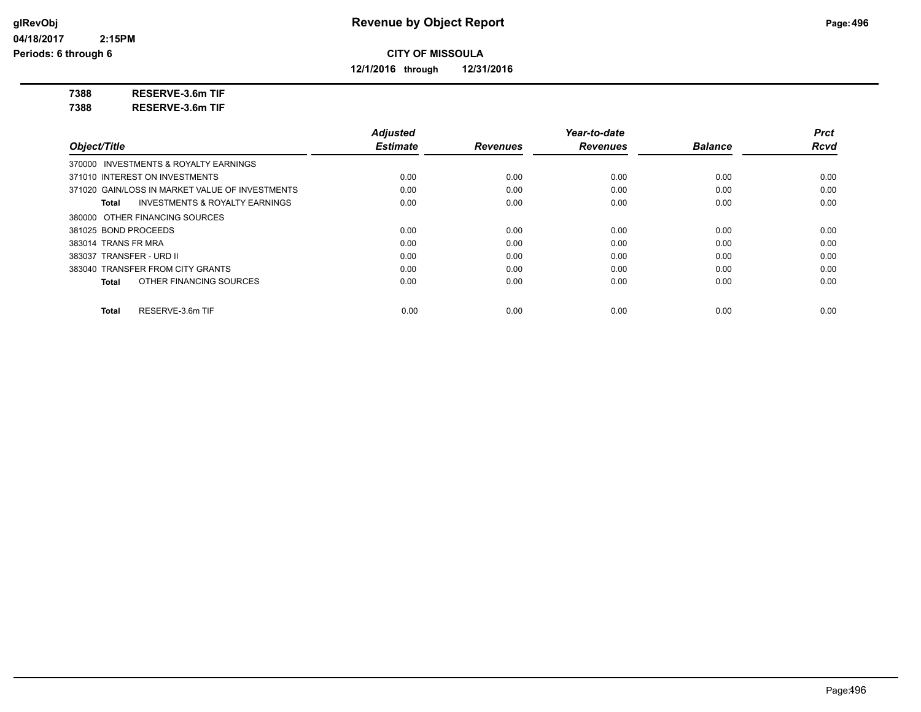**12/1/2016 through 12/31/2016**

**7388 RESERVE-3.6m TIF 7388 RESERVE-3.6m TIF**

|                                                    | <b>Adjusted</b> |                 | Year-to-date    |                | <b>Prct</b> |
|----------------------------------------------------|-----------------|-----------------|-----------------|----------------|-------------|
| Object/Title                                       | <b>Estimate</b> | <b>Revenues</b> | <b>Revenues</b> | <b>Balance</b> | Rcvd        |
| 370000 INVESTMENTS & ROYALTY EARNINGS              |                 |                 |                 |                |             |
| 371010 INTEREST ON INVESTMENTS                     | 0.00            | 0.00            | 0.00            | 0.00           | 0.00        |
| 371020 GAIN/LOSS IN MARKET VALUE OF INVESTMENTS    | 0.00            | 0.00            | 0.00            | 0.00           | 0.00        |
| <b>INVESTMENTS &amp; ROYALTY EARNINGS</b><br>Total | 0.00            | 0.00            | 0.00            | 0.00           | 0.00        |
| 380000 OTHER FINANCING SOURCES                     |                 |                 |                 |                |             |
| 381025 BOND PROCEEDS                               | 0.00            | 0.00            | 0.00            | 0.00           | 0.00        |
| 383014 TRANS FR MRA                                | 0.00            | 0.00            | 0.00            | 0.00           | 0.00        |
| 383037 TRANSFER - URD II                           | 0.00            | 0.00            | 0.00            | 0.00           | 0.00        |
| 383040 TRANSFER FROM CITY GRANTS                   | 0.00            | 0.00            | 0.00            | 0.00           | 0.00        |
| OTHER FINANCING SOURCES<br>Total                   | 0.00            | 0.00            | 0.00            | 0.00           | 0.00        |
|                                                    |                 |                 |                 |                |             |
| RESERVE-3.6m TIF<br><b>Total</b>                   | 0.00            | 0.00            | 0.00            | 0.00           | 0.00        |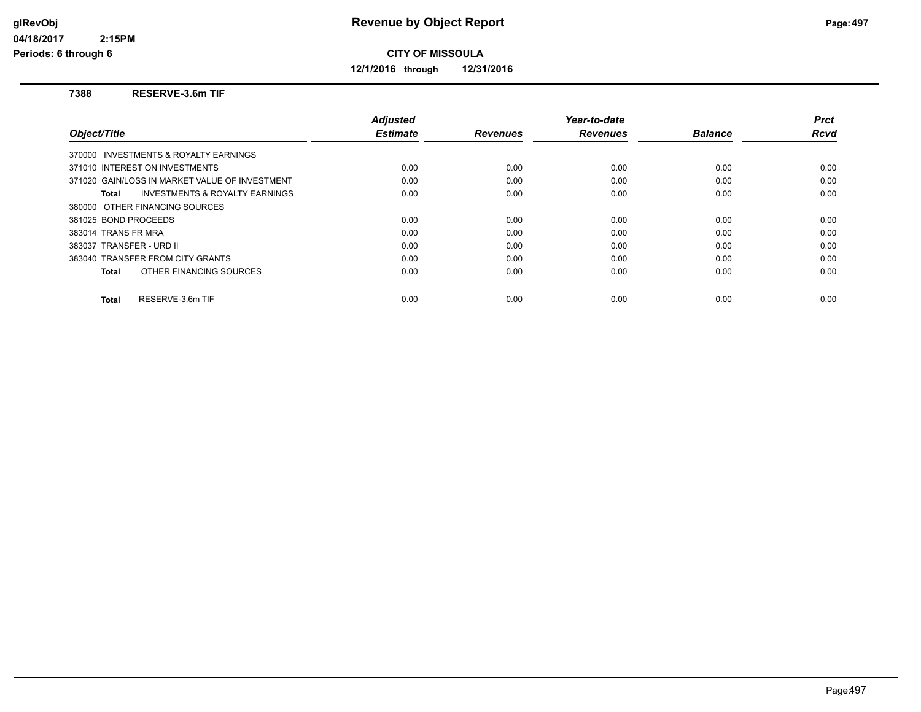**12/1/2016 through 12/31/2016**

#### **7388 RESERVE-3.6m TIF**

|                                                    | <b>Adjusted</b> |                 | Year-to-date    |                | <b>Prct</b> |
|----------------------------------------------------|-----------------|-----------------|-----------------|----------------|-------------|
| Object/Title                                       | <b>Estimate</b> | <b>Revenues</b> | <b>Revenues</b> | <b>Balance</b> | <b>Rcvd</b> |
| 370000 INVESTMENTS & ROYALTY EARNINGS              |                 |                 |                 |                |             |
| 371010 INTEREST ON INVESTMENTS                     | 0.00            | 0.00            | 0.00            | 0.00           | 0.00        |
| 371020 GAIN/LOSS IN MARKET VALUE OF INVESTMENT     | 0.00            | 0.00            | 0.00            | 0.00           | 0.00        |
| <b>INVESTMENTS &amp; ROYALTY EARNINGS</b><br>Total | 0.00            | 0.00            | 0.00            | 0.00           | 0.00        |
| 380000 OTHER FINANCING SOURCES                     |                 |                 |                 |                |             |
| 381025 BOND PROCEEDS                               | 0.00            | 0.00            | 0.00            | 0.00           | 0.00        |
| 383014 TRANS FR MRA                                | 0.00            | 0.00            | 0.00            | 0.00           | 0.00        |
| 383037 TRANSFER - URD II                           | 0.00            | 0.00            | 0.00            | 0.00           | 0.00        |
| 383040 TRANSFER FROM CITY GRANTS                   | 0.00            | 0.00            | 0.00            | 0.00           | 0.00        |
| OTHER FINANCING SOURCES<br>Total                   | 0.00            | 0.00            | 0.00            | 0.00           | 0.00        |
|                                                    |                 |                 |                 |                |             |
| RESERVE-3.6m TIF<br>Total                          | 0.00            | 0.00            | 0.00            | 0.00           | 0.00        |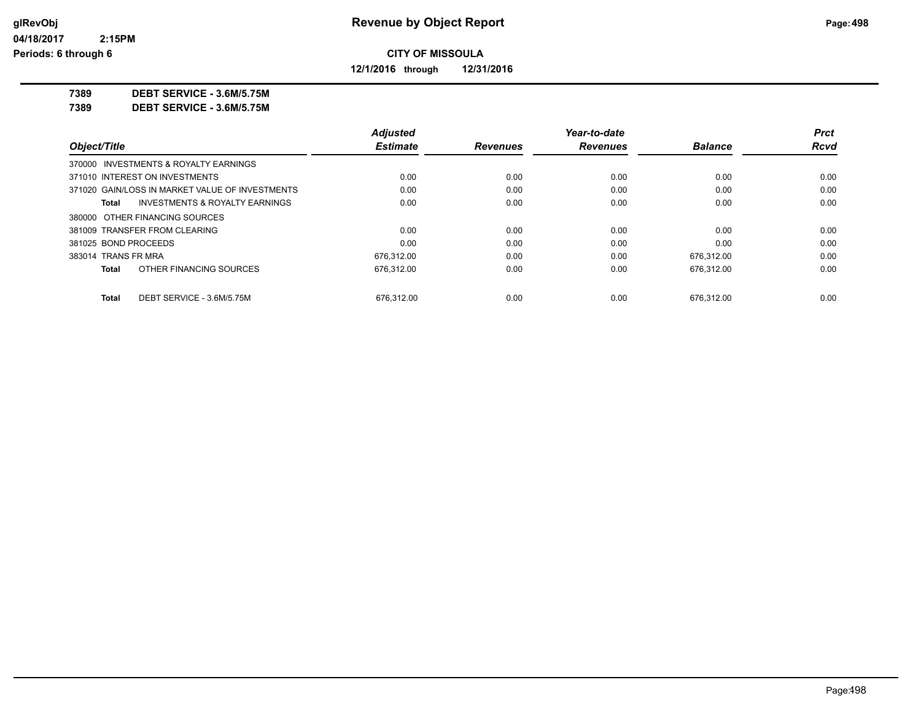**12/1/2016 through 12/31/2016**

**7389 DEBT SERVICE - 3.6M/5.75M 7389 DEBT SERVICE - 3.6M/5.75M**

|                                                    | <b>Adjusted</b> |                 | Year-to-date    |                | <b>Prct</b> |
|----------------------------------------------------|-----------------|-----------------|-----------------|----------------|-------------|
| Object/Title                                       | <b>Estimate</b> | <b>Revenues</b> | <b>Revenues</b> | <b>Balance</b> | <b>Rcvd</b> |
| 370000 INVESTMENTS & ROYALTY EARNINGS              |                 |                 |                 |                |             |
| 371010 INTEREST ON INVESTMENTS                     | 0.00            | 0.00            | 0.00            | 0.00           | 0.00        |
| 371020 GAIN/LOSS IN MARKET VALUE OF INVESTMENTS    | 0.00            | 0.00            | 0.00            | 0.00           | 0.00        |
| <b>INVESTMENTS &amp; ROYALTY EARNINGS</b><br>Total | 0.00            | 0.00            | 0.00            | 0.00           | 0.00        |
| 380000 OTHER FINANCING SOURCES                     |                 |                 |                 |                |             |
| 381009 TRANSFER FROM CLEARING                      | 0.00            | 0.00            | 0.00            | 0.00           | 0.00        |
| 381025 BOND PROCEEDS                               | 0.00            | 0.00            | 0.00            | 0.00           | 0.00        |
| 383014 TRANS FR MRA                                | 676.312.00      | 0.00            | 0.00            | 676.312.00     | 0.00        |
| OTHER FINANCING SOURCES<br>Total                   | 676.312.00      | 0.00            | 0.00            | 676.312.00     | 0.00        |
|                                                    |                 |                 |                 |                |             |
| DEBT SERVICE - 3.6M/5.75M<br>Total                 | 676.312.00      | 0.00            | 0.00            | 676.312.00     | 0.00        |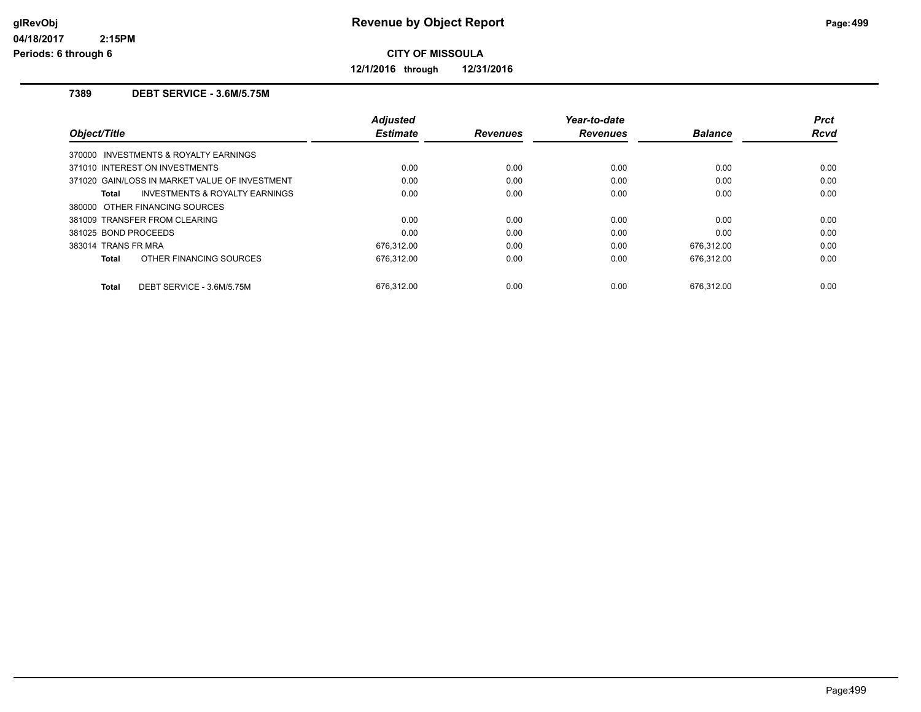**12/1/2016 through 12/31/2016**

#### **7389 DEBT SERVICE - 3.6M/5.75M**

| Object/Title                                   | <b>Adjusted</b><br><b>Estimate</b> | <b>Revenues</b> | Year-to-date<br><b>Revenues</b> | <b>Balance</b> | <b>Prct</b><br>Rcvd |
|------------------------------------------------|------------------------------------|-----------------|---------------------------------|----------------|---------------------|
| INVESTMENTS & ROYALTY EARNINGS<br>370000       |                                    |                 |                                 |                |                     |
| 371010 INTEREST ON INVESTMENTS                 | 0.00                               | 0.00            | 0.00                            | 0.00           | 0.00                |
| 371020 GAIN/LOSS IN MARKET VALUE OF INVESTMENT | 0.00                               | 0.00            | 0.00                            | 0.00           | 0.00                |
| INVESTMENTS & ROYALTY EARNINGS<br>Total        | 0.00                               | 0.00            | 0.00                            | 0.00           | 0.00                |
| 380000 OTHER FINANCING SOURCES                 |                                    |                 |                                 |                |                     |
| 381009 TRANSFER FROM CLEARING                  | 0.00                               | 0.00            | 0.00                            | 0.00           | 0.00                |
| 381025 BOND PROCEEDS                           | 0.00                               | 0.00            | 0.00                            | 0.00           | 0.00                |
| 383014 TRANS FR MRA                            | 676,312.00                         | 0.00            | 0.00                            | 676,312.00     | 0.00                |
| OTHER FINANCING SOURCES<br>Total               | 676,312.00                         | 0.00            | 0.00                            | 676,312.00     | 0.00                |
| DEBT SERVICE - 3.6M/5.75M<br><b>Total</b>      | 676.312.00                         | 0.00            | 0.00                            | 676.312.00     | 0.00                |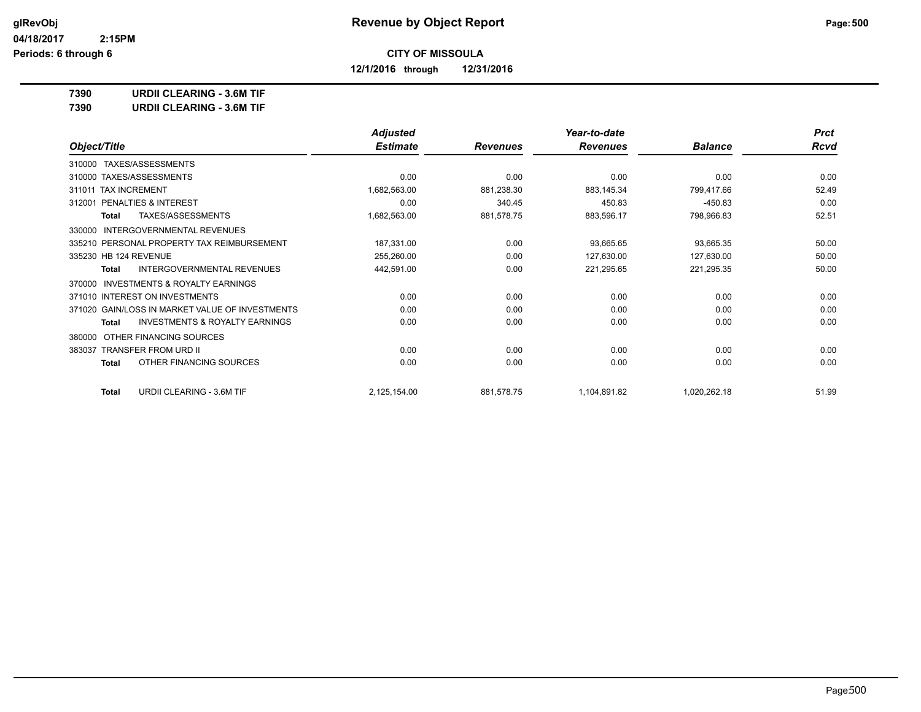**CITY OF MISSOULA 12/1/2016 through 12/31/2016**

**7390 URDII CLEARING - 3.6M TIF 7390 URDII CLEARING - 3.6M TIF**

|                                                           | <b>Adjusted</b> |                 | Year-to-date    |                | <b>Prct</b> |
|-----------------------------------------------------------|-----------------|-----------------|-----------------|----------------|-------------|
| Object/Title                                              | <b>Estimate</b> | <b>Revenues</b> | <b>Revenues</b> | <b>Balance</b> | <b>Rcvd</b> |
| 310000 TAXES/ASSESSMENTS                                  |                 |                 |                 |                |             |
| 310000 TAXES/ASSESSMENTS                                  | 0.00            | 0.00            | 0.00            | 0.00           | 0.00        |
| 311011 TAX INCREMENT                                      | 1,682,563.00    | 881,238.30      | 883,145.34      | 799.417.66     | 52.49       |
| 312001 PENALTIES & INTEREST                               | 0.00            | 340.45          | 450.83          | $-450.83$      | 0.00        |
| TAXES/ASSESSMENTS<br>Total                                | 1,682,563.00    | 881,578.75      | 883,596.17      | 798,966.83     | 52.51       |
| INTERGOVERNMENTAL REVENUES<br>330000                      |                 |                 |                 |                |             |
| 335210 PERSONAL PROPERTY TAX REIMBURSEMENT                | 187,331.00      | 0.00            | 93,665.65       | 93,665.35      | 50.00       |
| 335230 HB 124 REVENUE                                     | 255,260.00      | 0.00            | 127,630.00      | 127,630.00     | 50.00       |
| <b>INTERGOVERNMENTAL REVENUES</b><br>Total                | 442,591.00      | 0.00            | 221,295.65      | 221,295.35     | 50.00       |
| INVESTMENTS & ROYALTY EARNINGS<br>370000                  |                 |                 |                 |                |             |
| 371010 INTEREST ON INVESTMENTS                            | 0.00            | 0.00            | 0.00            | 0.00           | 0.00        |
| 371020 GAIN/LOSS IN MARKET VALUE OF INVESTMENTS           | 0.00            | 0.00            | 0.00            | 0.00           | 0.00        |
| <b>INVESTMENTS &amp; ROYALTY EARNINGS</b><br><b>Total</b> | 0.00            | 0.00            | 0.00            | 0.00           | 0.00        |
| OTHER FINANCING SOURCES<br>380000                         |                 |                 |                 |                |             |
| <b>TRANSFER FROM URD II</b><br>383037                     | 0.00            | 0.00            | 0.00            | 0.00           | 0.00        |
| OTHER FINANCING SOURCES<br><b>Total</b>                   | 0.00            | 0.00            | 0.00            | 0.00           | 0.00        |
| <b>URDII CLEARING - 3.6M TIF</b><br><b>Total</b>          | 2,125,154.00    | 881,578.75      | 1,104,891.82    | 1,020,262.18   | 51.99       |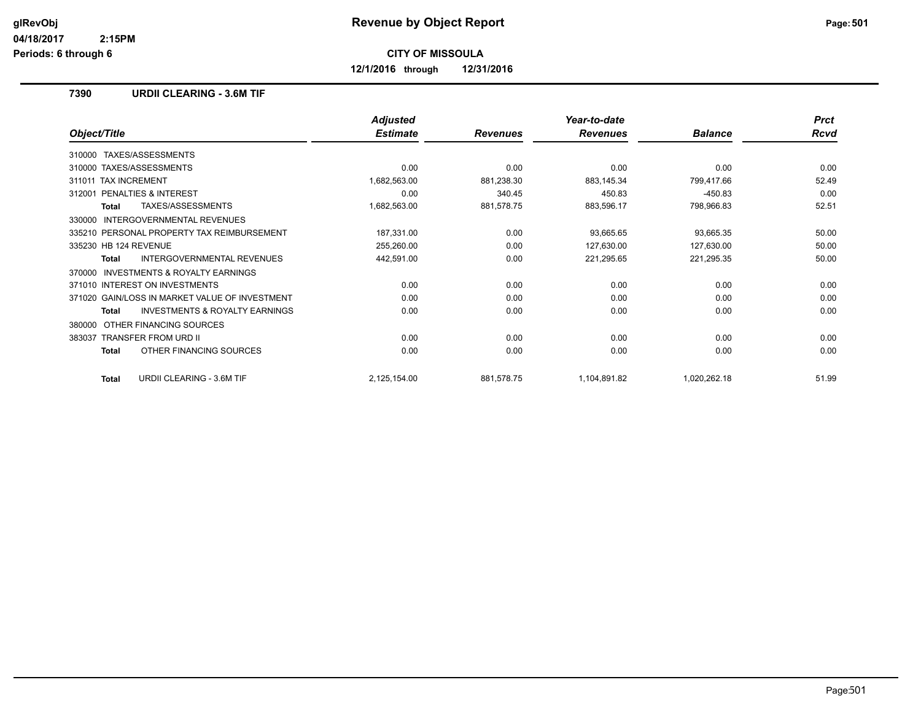**12/1/2016 through 12/31/2016**

#### **7390 URDII CLEARING - 3.6M TIF**

|                                                     | <b>Adjusted</b> |                 | Year-to-date    |                | <b>Prct</b> |
|-----------------------------------------------------|-----------------|-----------------|-----------------|----------------|-------------|
| Object/Title                                        | <b>Estimate</b> | <b>Revenues</b> | <b>Revenues</b> | <b>Balance</b> | <b>Rcvd</b> |
| TAXES/ASSESSMENTS<br>310000                         |                 |                 |                 |                |             |
| 310000 TAXES/ASSESSMENTS                            | 0.00            | 0.00            | 0.00            | 0.00           | 0.00        |
| <b>TAX INCREMENT</b><br>311011                      | 1,682,563.00    | 881,238.30      | 883,145.34      | 799,417.66     | 52.49       |
| <b>PENALTIES &amp; INTEREST</b><br>312001           | 0.00            | 340.45          | 450.83          | $-450.83$      | 0.00        |
| TAXES/ASSESSMENTS<br><b>Total</b>                   | 1,682,563.00    | 881,578.75      | 883,596.17      | 798,966.83     | 52.51       |
| <b>INTERGOVERNMENTAL REVENUES</b><br>330000         |                 |                 |                 |                |             |
| 335210 PERSONAL PROPERTY TAX REIMBURSEMENT          | 187,331.00      | 0.00            | 93,665.65       | 93,665.35      | 50.00       |
| 335230 HB 124 REVENUE                               | 255,260.00      | 0.00            | 127,630.00      | 127,630.00     | 50.00       |
| <b>INTERGOVERNMENTAL REVENUES</b><br>Total          | 442,591.00      | 0.00            | 221,295.65      | 221,295.35     | 50.00       |
| <b>INVESTMENTS &amp; ROYALTY EARNINGS</b><br>370000 |                 |                 |                 |                |             |
| 371010 INTEREST ON INVESTMENTS                      | 0.00            | 0.00            | 0.00            | 0.00           | 0.00        |
| 371020 GAIN/LOSS IN MARKET VALUE OF INVESTMENT      | 0.00            | 0.00            | 0.00            | 0.00           | 0.00        |
| <b>INVESTMENTS &amp; ROYALTY EARNINGS</b><br>Total  | 0.00            | 0.00            | 0.00            | 0.00           | 0.00        |
| 380000 OTHER FINANCING SOURCES                      |                 |                 |                 |                |             |
| <b>TRANSFER FROM URD II</b><br>383037               | 0.00            | 0.00            | 0.00            | 0.00           | 0.00        |
| OTHER FINANCING SOURCES<br><b>Total</b>             | 0.00            | 0.00            | 0.00            | 0.00           | 0.00        |
| URDII CLEARING - 3.6M TIF<br><b>Total</b>           | 2,125,154.00    | 881,578.75      | 1,104,891.82    | 1,020,262.18   | 51.99       |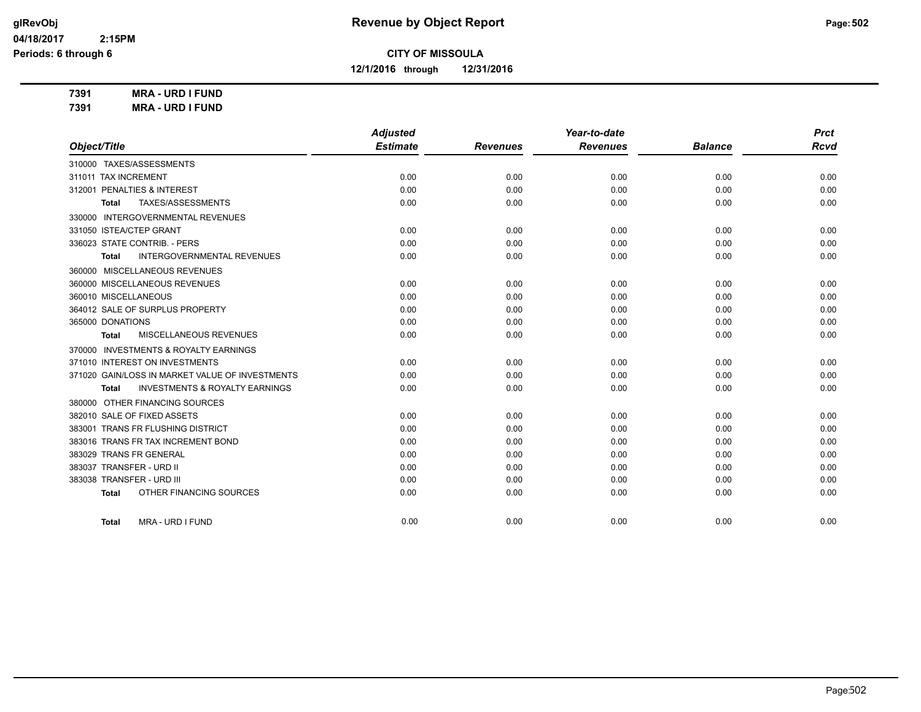**12/1/2016 through 12/31/2016**

**7391 MRA - URD I FUND 7391 MRA - URD I FUND**

|                                                     | <b>Adjusted</b> |                 | Year-to-date    |                | <b>Prct</b> |
|-----------------------------------------------------|-----------------|-----------------|-----------------|----------------|-------------|
| Object/Title                                        | <b>Estimate</b> | <b>Revenues</b> | <b>Revenues</b> | <b>Balance</b> | <b>Rcvd</b> |
| 310000 TAXES/ASSESSMENTS                            |                 |                 |                 |                |             |
| 311011 TAX INCREMENT                                | 0.00            | 0.00            | 0.00            | 0.00           | 0.00        |
| 312001 PENALTIES & INTEREST                         | 0.00            | 0.00            | 0.00            | 0.00           | 0.00        |
| TAXES/ASSESSMENTS<br><b>Total</b>                   | 0.00            | 0.00            | 0.00            | 0.00           | 0.00        |
| <b>INTERGOVERNMENTAL REVENUES</b><br>330000         |                 |                 |                 |                |             |
| 331050 ISTEA/CTEP GRANT                             | 0.00            | 0.00            | 0.00            | 0.00           | 0.00        |
| 336023 STATE CONTRIB. - PERS                        | 0.00            | 0.00            | 0.00            | 0.00           | 0.00        |
| <b>INTERGOVERNMENTAL REVENUES</b><br><b>Total</b>   | 0.00            | 0.00            | 0.00            | 0.00           | 0.00        |
| 360000 MISCELLANEOUS REVENUES                       |                 |                 |                 |                |             |
| 360000 MISCELLANEOUS REVENUES                       | 0.00            | 0.00            | 0.00            | 0.00           | 0.00        |
| 360010 MISCELLANEOUS                                | 0.00            | 0.00            | 0.00            | 0.00           | 0.00        |
| 364012 SALE OF SURPLUS PROPERTY                     | 0.00            | 0.00            | 0.00            | 0.00           | 0.00        |
| 365000 DONATIONS                                    | 0.00            | 0.00            | 0.00            | 0.00           | 0.00        |
| MISCELLANEOUS REVENUES<br>Total                     | 0.00            | 0.00            | 0.00            | 0.00           | 0.00        |
| <b>INVESTMENTS &amp; ROYALTY EARNINGS</b><br>370000 |                 |                 |                 |                |             |
| 371010 INTEREST ON INVESTMENTS                      | 0.00            | 0.00            | 0.00            | 0.00           | 0.00        |
| 371020 GAIN/LOSS IN MARKET VALUE OF INVESTMENTS     | 0.00            | 0.00            | 0.00            | 0.00           | 0.00        |
| <b>INVESTMENTS &amp; ROYALTY EARNINGS</b><br>Total  | 0.00            | 0.00            | 0.00            | 0.00           | 0.00        |
| 380000 OTHER FINANCING SOURCES                      |                 |                 |                 |                |             |
| 382010 SALE OF FIXED ASSETS                         | 0.00            | 0.00            | 0.00            | 0.00           | 0.00        |
| 383001 TRANS FR FLUSHING DISTRICT                   | 0.00            | 0.00            | 0.00            | 0.00           | 0.00        |
| 383016 TRANS FR TAX INCREMENT BOND                  | 0.00            | 0.00            | 0.00            | 0.00           | 0.00        |
| 383029 TRANS FR GENERAL                             | 0.00            | 0.00            | 0.00            | 0.00           | 0.00        |
| 383037 TRANSFER - URD II                            | 0.00            | 0.00            | 0.00            | 0.00           | 0.00        |
| 383038 TRANSFER - URD III                           | 0.00            | 0.00            | 0.00            | 0.00           | 0.00        |
| OTHER FINANCING SOURCES<br><b>Total</b>             | 0.00            | 0.00            | 0.00            | 0.00           | 0.00        |
|                                                     |                 |                 |                 |                |             |
| MRA - URD I FUND<br>Total                           | 0.00            | 0.00            | 0.00            | 0.00           | 0.00        |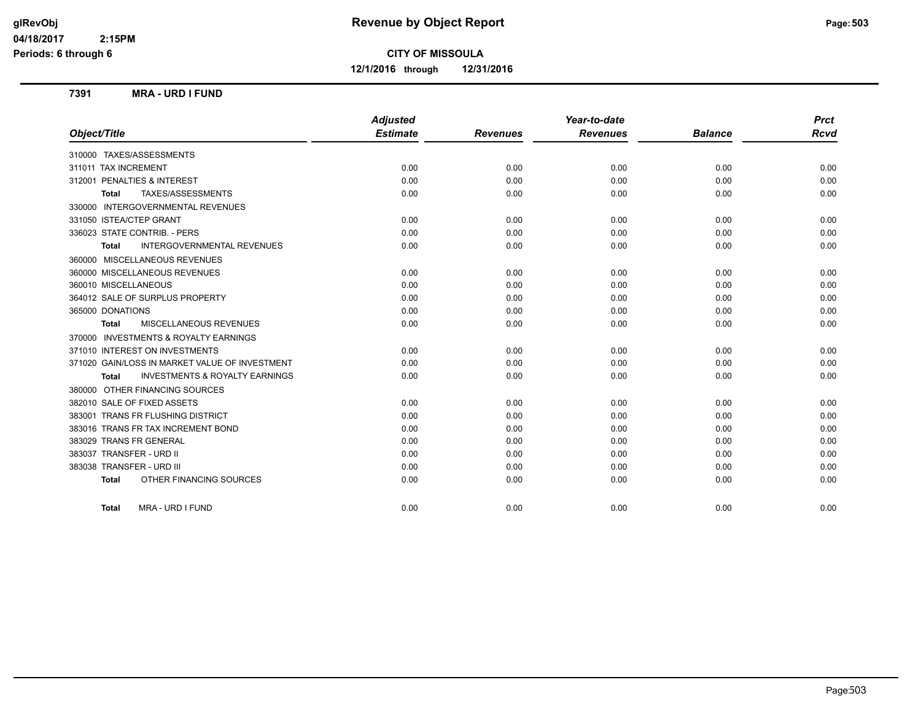**12/1/2016 through 12/31/2016**

#### **7391 MRA - URD I FUND**

|                                                    | <b>Adjusted</b> |                 | Year-to-date    |                | <b>Prct</b> |
|----------------------------------------------------|-----------------|-----------------|-----------------|----------------|-------------|
| Object/Title                                       | <b>Estimate</b> | <b>Revenues</b> | <b>Revenues</b> | <b>Balance</b> | <b>Rcvd</b> |
| 310000 TAXES/ASSESSMENTS                           |                 |                 |                 |                |             |
| 311011 TAX INCREMENT                               | 0.00            | 0.00            | 0.00            | 0.00           | 0.00        |
| 312001 PENALTIES & INTEREST                        | 0.00            | 0.00            | 0.00            | 0.00           | 0.00        |
| TAXES/ASSESSMENTS<br><b>Total</b>                  | 0.00            | 0.00            | 0.00            | 0.00           | 0.00        |
| 330000 INTERGOVERNMENTAL REVENUES                  |                 |                 |                 |                |             |
| 331050 ISTEA/CTEP GRANT                            | 0.00            | 0.00            | 0.00            | 0.00           | 0.00        |
| 336023 STATE CONTRIB. - PERS                       | 0.00            | 0.00            | 0.00            | 0.00           | 0.00        |
| <b>INTERGOVERNMENTAL REVENUES</b><br><b>Total</b>  | 0.00            | 0.00            | 0.00            | 0.00           | 0.00        |
| 360000 MISCELLANEOUS REVENUES                      |                 |                 |                 |                |             |
| 360000 MISCELLANEOUS REVENUES                      | 0.00            | 0.00            | 0.00            | 0.00           | 0.00        |
| 360010 MISCELLANEOUS                               | 0.00            | 0.00            | 0.00            | 0.00           | 0.00        |
| 364012 SALE OF SURPLUS PROPERTY                    | 0.00            | 0.00            | 0.00            | 0.00           | 0.00        |
| 365000 DONATIONS                                   | 0.00            | 0.00            | 0.00            | 0.00           | 0.00        |
| MISCELLANEOUS REVENUES<br><b>Total</b>             | 0.00            | 0.00            | 0.00            | 0.00           | 0.00        |
| 370000 INVESTMENTS & ROYALTY EARNINGS              |                 |                 |                 |                |             |
| 371010 INTEREST ON INVESTMENTS                     | 0.00            | 0.00            | 0.00            | 0.00           | 0.00        |
| 371020 GAIN/LOSS IN MARKET VALUE OF INVESTMENT     | 0.00            | 0.00            | 0.00            | 0.00           | 0.00        |
| <b>INVESTMENTS &amp; ROYALTY EARNINGS</b><br>Total | 0.00            | 0.00            | 0.00            | 0.00           | 0.00        |
| 380000 OTHER FINANCING SOURCES                     |                 |                 |                 |                |             |
| 382010 SALE OF FIXED ASSETS                        | 0.00            | 0.00            | 0.00            | 0.00           | 0.00        |
| 383001 TRANS FR FLUSHING DISTRICT                  | 0.00            | 0.00            | 0.00            | 0.00           | 0.00        |
| 383016 TRANS FR TAX INCREMENT BOND                 | 0.00            | 0.00            | 0.00            | 0.00           | 0.00        |
| 383029 TRANS FR GENERAL                            | 0.00            | 0.00            | 0.00            | 0.00           | 0.00        |
| 383037 TRANSFER - URD II                           | 0.00            | 0.00            | 0.00            | 0.00           | 0.00        |
| 383038 TRANSFER - URD III                          | 0.00            | 0.00            | 0.00            | 0.00           | 0.00        |
| OTHER FINANCING SOURCES<br><b>Total</b>            | 0.00            | 0.00            | 0.00            | 0.00           | 0.00        |
| <b>MRA - URD I FUND</b><br><b>Total</b>            | 0.00            | 0.00            | 0.00            | 0.00           | 0.00        |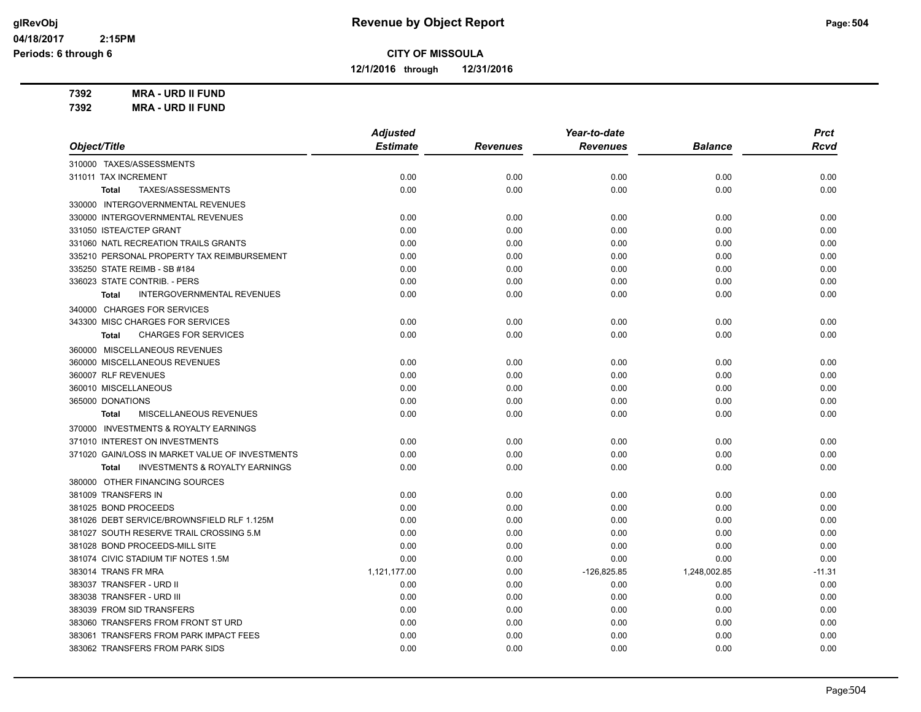**12/1/2016 through 12/31/2016**

**7392 MRA - URD II FUND 7392 MRA - URD II FUND**

|                                                           | <b>Adjusted</b> |                 | Year-to-date    |                | <b>Prct</b> |
|-----------------------------------------------------------|-----------------|-----------------|-----------------|----------------|-------------|
| Object/Title                                              | <b>Estimate</b> | <b>Revenues</b> | <b>Revenues</b> | <b>Balance</b> | <b>Rcvd</b> |
| 310000 TAXES/ASSESSMENTS                                  |                 |                 |                 |                |             |
| 311011 TAX INCREMENT                                      | 0.00            | 0.00            | 0.00            | 0.00           | 0.00        |
| TAXES/ASSESSMENTS<br><b>Total</b>                         | 0.00            | 0.00            | 0.00            | 0.00           | 0.00        |
| 330000 INTERGOVERNMENTAL REVENUES                         |                 |                 |                 |                |             |
| 330000 INTERGOVERNMENTAL REVENUES                         | 0.00            | 0.00            | 0.00            | 0.00           | 0.00        |
| 331050 ISTEA/CTEP GRANT                                   | 0.00            | 0.00            | 0.00            | 0.00           | 0.00        |
| 331060 NATL RECREATION TRAILS GRANTS                      | 0.00            | 0.00            | 0.00            | 0.00           | 0.00        |
| 335210 PERSONAL PROPERTY TAX REIMBURSEMENT                | 0.00            | 0.00            | 0.00            | 0.00           | 0.00        |
| 335250 STATE REIMB - SB #184                              | 0.00            | 0.00            | 0.00            | 0.00           | 0.00        |
| 336023 STATE CONTRIB. - PERS                              | 0.00            | 0.00            | 0.00            | 0.00           | 0.00        |
| <b>Total</b><br><b>INTERGOVERNMENTAL REVENUES</b>         | 0.00            | 0.00            | 0.00            | 0.00           | 0.00        |
| 340000 CHARGES FOR SERVICES                               |                 |                 |                 |                |             |
| 343300 MISC CHARGES FOR SERVICES                          | 0.00            | 0.00            | 0.00            | 0.00           | 0.00        |
| <b>CHARGES FOR SERVICES</b><br>Total                      | 0.00            | 0.00            | 0.00            | 0.00           | 0.00        |
| 360000 MISCELLANEOUS REVENUES                             |                 |                 |                 |                |             |
| 360000 MISCELLANEOUS REVENUES                             | 0.00            | 0.00            | 0.00            | 0.00           | 0.00        |
| 360007 RLF REVENUES                                       | 0.00            | 0.00            | 0.00            | 0.00           | 0.00        |
| 360010 MISCELLANEOUS                                      | 0.00            | 0.00            | 0.00            | 0.00           | 0.00        |
| 365000 DONATIONS                                          | 0.00            | 0.00            | 0.00            | 0.00           | 0.00        |
| <b>MISCELLANEOUS REVENUES</b><br><b>Total</b>             | 0.00            | 0.00            | 0.00            | 0.00           | 0.00        |
| 370000 INVESTMENTS & ROYALTY EARNINGS                     |                 |                 |                 |                |             |
| 371010 INTEREST ON INVESTMENTS                            | 0.00            | 0.00            | 0.00            | 0.00           | 0.00        |
| 371020 GAIN/LOSS IN MARKET VALUE OF INVESTMENTS           | 0.00            | 0.00            | 0.00            | 0.00           | 0.00        |
| <b>INVESTMENTS &amp; ROYALTY EARNINGS</b><br><b>Total</b> | 0.00            | 0.00            | 0.00            | 0.00           | 0.00        |
| 380000 OTHER FINANCING SOURCES                            |                 |                 |                 |                |             |
| 381009 TRANSFERS IN                                       | 0.00            | 0.00            | 0.00            | 0.00           | 0.00        |
| 381025 BOND PROCEEDS                                      | 0.00            | 0.00            | 0.00            | 0.00           | 0.00        |
| 381026 DEBT SERVICE/BROWNSFIELD RLF 1.125M                | 0.00            | 0.00            | 0.00            | 0.00           | 0.00        |
| 381027 SOUTH RESERVE TRAIL CROSSING 5.M                   | 0.00            | 0.00            | 0.00            | 0.00           | 0.00        |
| 381028 BOND PROCEEDS-MILL SITE                            | 0.00            | 0.00            | 0.00            | 0.00           | 0.00        |
| 381074 CIVIC STADIUM TIF NOTES 1.5M                       | 0.00            | 0.00            | 0.00            | 0.00           | 0.00        |
| 383014 TRANS FR MRA                                       | 1,121,177.00    | 0.00            | $-126,825.85$   | 1,248,002.85   | $-11.31$    |
| 383037 TRANSFER - URD II                                  | 0.00            | 0.00            | 0.00            | 0.00           | 0.00        |
| 383038 TRANSFER - URD III                                 | 0.00            | 0.00            | 0.00            | 0.00           | 0.00        |
| 383039 FROM SID TRANSFERS                                 | 0.00            | 0.00            | 0.00            | 0.00           | 0.00        |
| 383060 TRANSFERS FROM FRONT ST URD                        | 0.00            | 0.00            | 0.00            | 0.00           | 0.00        |
| 383061 TRANSFERS FROM PARK IMPACT FEES                    | 0.00            | 0.00            | 0.00            | 0.00           | 0.00        |
| 383062 TRANSFERS FROM PARK SIDS                           | 0.00            | 0.00            | 0.00            | 0.00           | 0.00        |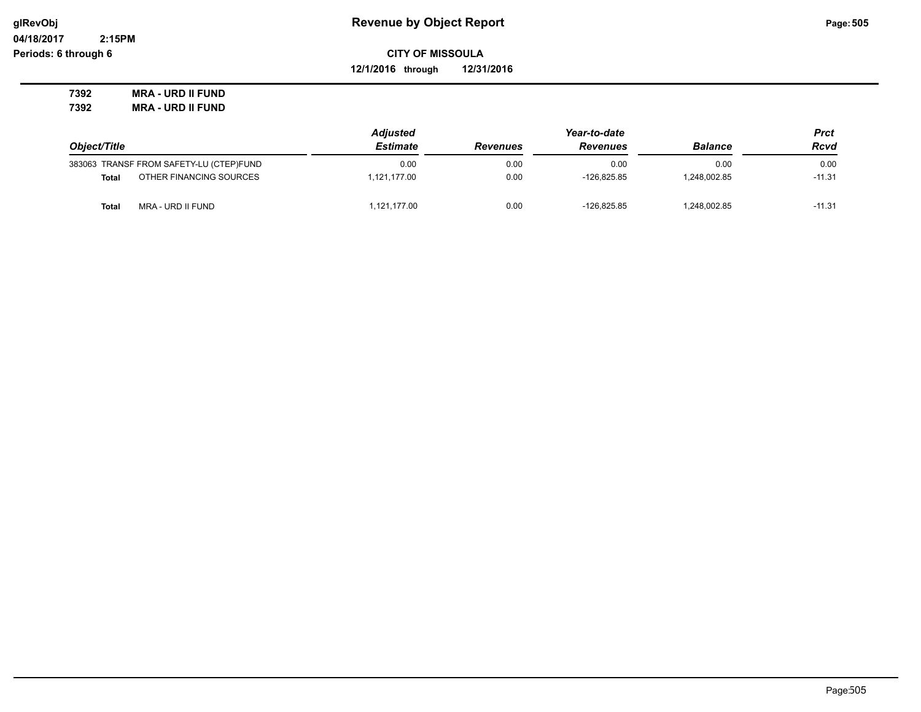**04/18/2017 2:15PM Periods: 6 through 6**

### **CITY OF MISSOULA 12/1/2016 through 12/31/2016**

**7392 MRA - URD II FUND 7392 MRA - URD II FUND**

|                                         | <b>Adjusted</b> |                 | Year-to-date    |                |          |  |
|-----------------------------------------|-----------------|-----------------|-----------------|----------------|----------|--|
| Object/Title                            | <b>Estimate</b> | <b>Revenues</b> | <b>Revenues</b> | <b>Balance</b> | Rcvd     |  |
| 383063 TRANSF FROM SAFETY-LU (CTEP)FUND | 0.00            | 0.00            | 0.00            | 0.00           | 0.00     |  |
| OTHER FINANCING SOURCES<br><b>Total</b> | 1.121.177.00    | 0.00            | $-126.825.85$   | 1.248.002.85   | $-11.31$ |  |
| MRA - URD II FUND<br><b>Total</b>       | 1,121,177.00    | 0.00            | $-126.825.85$   | 1,248,002.85   | $-11.31$ |  |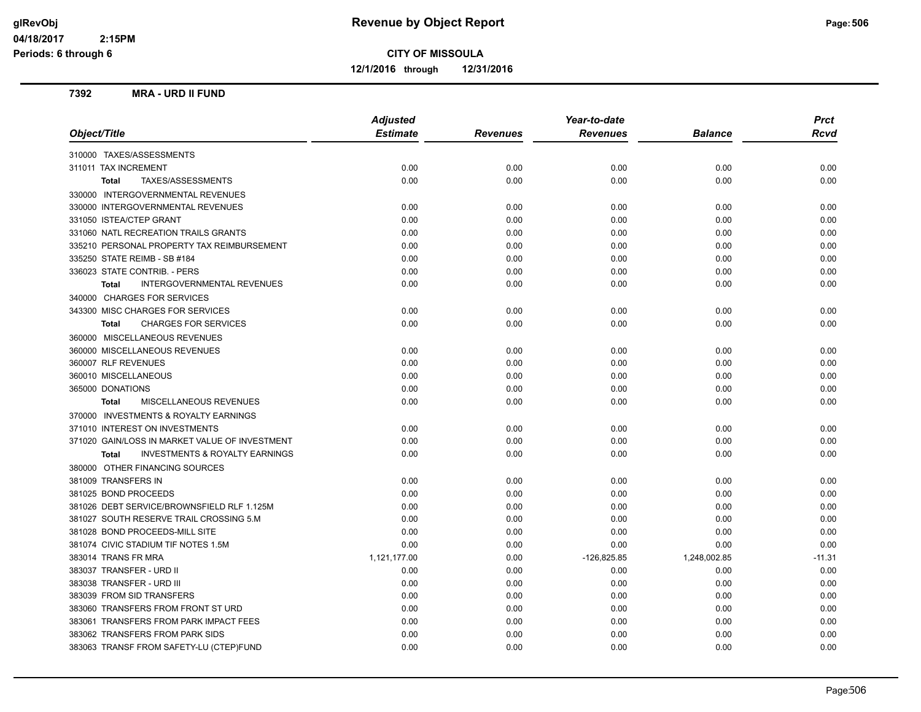**12/1/2016 through 12/31/2016**

### **7392 MRA - URD II FUND**

|                                                           | <b>Adjusted</b> |                 | Year-to-date    |                | <b>Prct</b> |
|-----------------------------------------------------------|-----------------|-----------------|-----------------|----------------|-------------|
| Object/Title                                              | <b>Estimate</b> | <b>Revenues</b> | <b>Revenues</b> | <b>Balance</b> | <b>Rcvd</b> |
| 310000 TAXES/ASSESSMENTS                                  |                 |                 |                 |                |             |
| 311011 TAX INCREMENT                                      | 0.00            | 0.00            | 0.00            | 0.00           | 0.00        |
| TAXES/ASSESSMENTS<br><b>Total</b>                         | 0.00            | 0.00            | 0.00            | 0.00           | 0.00        |
| 330000 INTERGOVERNMENTAL REVENUES                         |                 |                 |                 |                |             |
| 330000 INTERGOVERNMENTAL REVENUES                         | 0.00            | 0.00            | 0.00            | 0.00           | 0.00        |
| 331050 ISTEA/CTEP GRANT                                   | 0.00            | 0.00            | 0.00            | 0.00           | 0.00        |
| 331060 NATL RECREATION TRAILS GRANTS                      | 0.00            | 0.00            | 0.00            | 0.00           | 0.00        |
| 335210 PERSONAL PROPERTY TAX REIMBURSEMENT                | 0.00            | 0.00            | 0.00            | 0.00           | 0.00        |
| 335250 STATE REIMB - SB #184                              | 0.00            | 0.00            | 0.00            | 0.00           | 0.00        |
| 336023 STATE CONTRIB. - PERS                              | 0.00            | 0.00            | 0.00            | 0.00           | 0.00        |
| <b>INTERGOVERNMENTAL REVENUES</b><br><b>Total</b>         | 0.00            | 0.00            | 0.00            | 0.00           | 0.00        |
| 340000 CHARGES FOR SERVICES                               |                 |                 |                 |                |             |
| 343300 MISC CHARGES FOR SERVICES                          | 0.00            | 0.00            | 0.00            | 0.00           | 0.00        |
| <b>CHARGES FOR SERVICES</b><br><b>Total</b>               | 0.00            | 0.00            | 0.00            | 0.00           | 0.00        |
| 360000 MISCELLANEOUS REVENUES                             |                 |                 |                 |                |             |
| 360000 MISCELLANEOUS REVENUES                             | 0.00            | 0.00            | 0.00            | 0.00           | 0.00        |
| 360007 RLF REVENUES                                       | 0.00            | 0.00            | 0.00            | 0.00           | 0.00        |
| 360010 MISCELLANEOUS                                      | 0.00            | 0.00            | 0.00            | 0.00           | 0.00        |
| 365000 DONATIONS                                          | 0.00            | 0.00            | 0.00            | 0.00           | 0.00        |
| MISCELLANEOUS REVENUES<br><b>Total</b>                    | 0.00            | 0.00            | 0.00            | 0.00           | 0.00        |
| 370000 INVESTMENTS & ROYALTY EARNINGS                     |                 |                 |                 |                |             |
| 371010 INTEREST ON INVESTMENTS                            | 0.00            | 0.00            | 0.00            | 0.00           | 0.00        |
| 371020 GAIN/LOSS IN MARKET VALUE OF INVESTMENT            | 0.00            | 0.00            | 0.00            | 0.00           | 0.00        |
| <b>INVESTMENTS &amp; ROYALTY EARNINGS</b><br><b>Total</b> | 0.00            | 0.00            | 0.00            | 0.00           | 0.00        |
| 380000 OTHER FINANCING SOURCES                            |                 |                 |                 |                |             |
| 381009 TRANSFERS IN                                       | 0.00            | 0.00            | 0.00            | 0.00           | 0.00        |
| 381025 BOND PROCEEDS                                      | 0.00            | 0.00            | 0.00            | 0.00           | 0.00        |
| 381026 DEBT SERVICE/BROWNSFIELD RLF 1.125M                | 0.00            | 0.00            | 0.00            | 0.00           | 0.00        |
| 381027 SOUTH RESERVE TRAIL CROSSING 5.M                   | 0.00            | 0.00            | 0.00            | 0.00           | 0.00        |
| 381028 BOND PROCEEDS-MILL SITE                            | 0.00            | 0.00            | 0.00            | 0.00           | 0.00        |
| 381074 CIVIC STADIUM TIF NOTES 1.5M                       | 0.00            | 0.00            | 0.00            | 0.00           | 0.00        |
| 383014 TRANS FR MRA                                       | 1,121,177.00    | 0.00            | $-126,825.85$   | 1,248,002.85   | $-11.31$    |
| 383037 TRANSFER - URD II                                  | 0.00            | 0.00            | 0.00            | 0.00           | 0.00        |
| 383038 TRANSFER - URD III                                 | 0.00            | 0.00            | 0.00            | 0.00           | 0.00        |
| 383039 FROM SID TRANSFERS                                 | 0.00            | 0.00            | 0.00            | 0.00           | 0.00        |
| 383060 TRANSFERS FROM FRONT ST URD                        | 0.00            | 0.00            | 0.00            | 0.00           | 0.00        |
| 383061 TRANSFERS FROM PARK IMPACT FEES                    | 0.00            | 0.00            | 0.00            | 0.00           | 0.00        |
| 383062 TRANSFERS FROM PARK SIDS                           | 0.00            | 0.00            | 0.00            | 0.00           | 0.00        |
| 383063 TRANSF FROM SAFETY-LU (CTEP)FUND                   | 0.00            | 0.00            | 0.00            | 0.00           | 0.00        |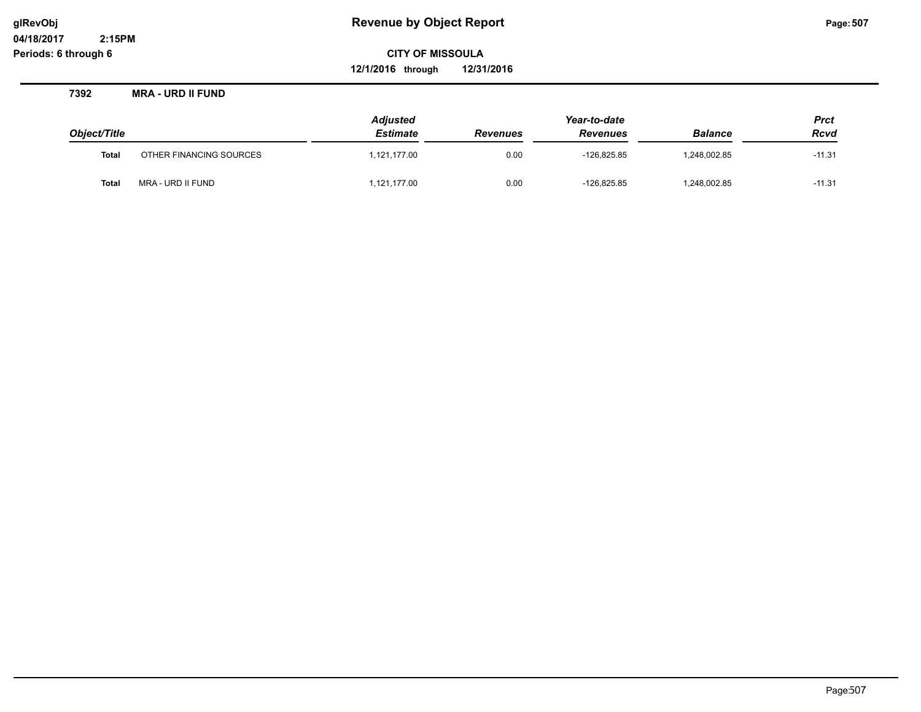**04/18/2017 2:15PM Periods: 6 through 6**

### **CITY OF MISSOULA 12/1/2016 through 12/31/2016**

**7392 MRA - URD II FUND**

|              |                         | <b>Adjusted</b> |                 | Year-to-date   |              |          |
|--------------|-------------------------|-----------------|-----------------|----------------|--------------|----------|
| Object/Title | <b>Estimate</b>         | <b>Revenues</b> | <b>Revenues</b> | <b>Balance</b> | Rcvd         |          |
| <b>Total</b> | OTHER FINANCING SOURCES | 1,121,177.00    | 0.00            | -126.825.85    | 1.248.002.85 | $-11.31$ |
| <b>Total</b> | MRA - URD II FUND       | 1,121,177.00    | 0.00            | $-126,825.85$  | 1,248,002.85 | $-11.31$ |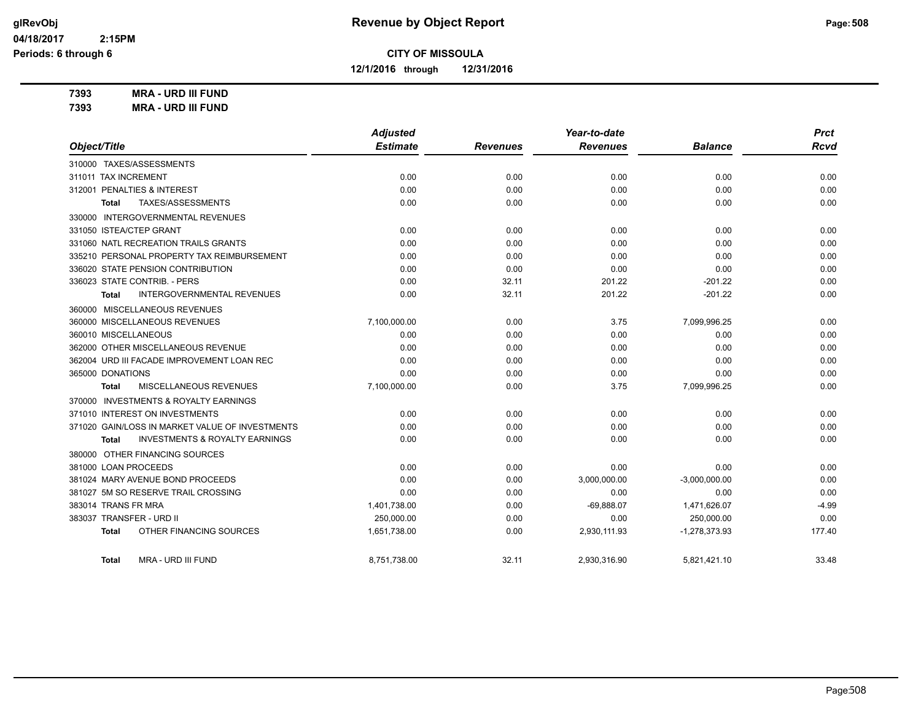**12/1/2016 through 12/31/2016**

**7393 MRA - URD III FUND 7393 MRA - URD III FUND**

|                                                    | <b>Adjusted</b> |                 | Year-to-date    |                 | <b>Prct</b> |
|----------------------------------------------------|-----------------|-----------------|-----------------|-----------------|-------------|
| Object/Title                                       | <b>Estimate</b> | <b>Revenues</b> | <b>Revenues</b> | <b>Balance</b>  | <b>Rcvd</b> |
| 310000 TAXES/ASSESSMENTS                           |                 |                 |                 |                 |             |
| 311011 TAX INCREMENT                               | 0.00            | 0.00            | 0.00            | 0.00            | 0.00        |
| 312001 PENALTIES & INTEREST                        | 0.00            | 0.00            | 0.00            | 0.00            | 0.00        |
| TAXES/ASSESSMENTS<br>Total                         | 0.00            | 0.00            | 0.00            | 0.00            | 0.00        |
| 330000 INTERGOVERNMENTAL REVENUES                  |                 |                 |                 |                 |             |
| 331050 ISTEA/CTEP GRANT                            | 0.00            | 0.00            | 0.00            | 0.00            | 0.00        |
| 331060 NATL RECREATION TRAILS GRANTS               | 0.00            | 0.00            | 0.00            | 0.00            | 0.00        |
| 335210 PERSONAL PROPERTY TAX REIMBURSEMENT         | 0.00            | 0.00            | 0.00            | 0.00            | 0.00        |
| 336020 STATE PENSION CONTRIBUTION                  | 0.00            | 0.00            | 0.00            | 0.00            | 0.00        |
| 336023 STATE CONTRIB. - PERS                       | 0.00            | 32.11           | 201.22          | $-201.22$       | 0.00        |
| <b>INTERGOVERNMENTAL REVENUES</b><br>Total         | 0.00            | 32.11           | 201.22          | $-201.22$       | 0.00        |
| 360000 MISCELLANEOUS REVENUES                      |                 |                 |                 |                 |             |
| 360000 MISCELLANEOUS REVENUES                      | 7,100,000.00    | 0.00            | 3.75            | 7,099,996.25    | 0.00        |
| 360010 MISCELLANEOUS                               | 0.00            | 0.00            | 0.00            | 0.00            | 0.00        |
| 362000 OTHER MISCELLANEOUS REVENUE                 | 0.00            | 0.00            | 0.00            | 0.00            | 0.00        |
| 362004 URD III FACADE IMPROVEMENT LOAN REC         | 0.00            | 0.00            | 0.00            | 0.00            | 0.00        |
| 365000 DONATIONS                                   | 0.00            | 0.00            | 0.00            | 0.00            | 0.00        |
| MISCELLANEOUS REVENUES<br>Total                    | 7,100,000.00    | 0.00            | 3.75            | 7,099,996.25    | 0.00        |
| 370000 INVESTMENTS & ROYALTY EARNINGS              |                 |                 |                 |                 |             |
| 371010 INTEREST ON INVESTMENTS                     | 0.00            | 0.00            | 0.00            | 0.00            | 0.00        |
| 371020 GAIN/LOSS IN MARKET VALUE OF INVESTMENTS    | 0.00            | 0.00            | 0.00            | 0.00            | 0.00        |
| <b>INVESTMENTS &amp; ROYALTY EARNINGS</b><br>Total | 0.00            | 0.00            | 0.00            | 0.00            | 0.00        |
| 380000 OTHER FINANCING SOURCES                     |                 |                 |                 |                 |             |
| 381000 LOAN PROCEEDS                               | 0.00            | 0.00            | 0.00            | 0.00            | 0.00        |
| 381024 MARY AVENUE BOND PROCEEDS                   | 0.00            | 0.00            | 3,000,000.00    | $-3,000,000.00$ | 0.00        |
| 381027 5M SO RESERVE TRAIL CROSSING                | 0.00            | 0.00            | 0.00            | 0.00            | 0.00        |
| 383014 TRANS FR MRA                                | 1,401,738.00    | 0.00            | $-69,888.07$    | 1,471,626.07    | $-4.99$     |
| 383037 TRANSFER - URD II                           | 250,000.00      | 0.00            | 0.00            | 250,000.00      | 0.00        |
| OTHER FINANCING SOURCES<br><b>Total</b>            | 1,651,738.00    | 0.00            | 2,930,111.93    | $-1,278,373.93$ | 177.40      |
| MRA - URD III FUND<br>Total                        | 8.751.738.00    | 32.11           | 2,930,316.90    | 5,821,421.10    | 33.48       |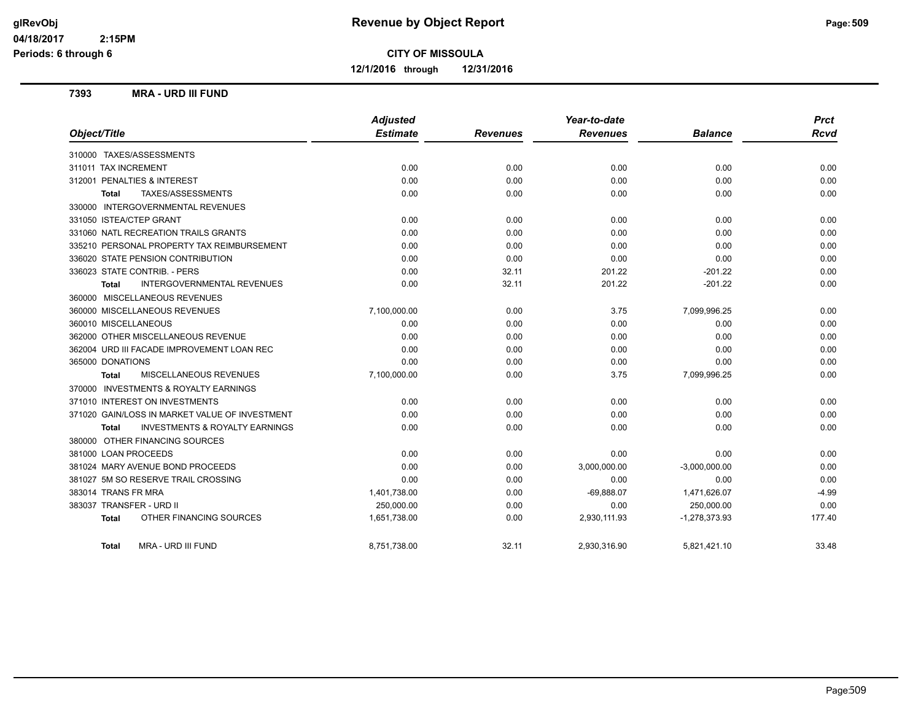**12/1/2016 through 12/31/2016**

### **7393 MRA - URD III FUND**

| Object/Title                                       | <b>Adjusted</b><br><b>Estimate</b> | <b>Revenues</b> | Year-to-date<br><b>Revenues</b> | <b>Balance</b>  | <b>Prct</b><br><b>Rcvd</b> |
|----------------------------------------------------|------------------------------------|-----------------|---------------------------------|-----------------|----------------------------|
|                                                    |                                    |                 |                                 |                 |                            |
| 310000 TAXES/ASSESSMENTS                           |                                    |                 |                                 |                 |                            |
| 311011 TAX INCREMENT                               | 0.00                               | 0.00            | 0.00                            | 0.00            | 0.00                       |
| 312001 PENALTIES & INTEREST                        | 0.00                               | 0.00            | 0.00                            | 0.00            | 0.00                       |
| TAXES/ASSESSMENTS<br>Total                         | 0.00                               | 0.00            | 0.00                            | 0.00            | 0.00                       |
| 330000 INTERGOVERNMENTAL REVENUES                  |                                    |                 |                                 |                 |                            |
| 331050 ISTEA/CTEP GRANT                            | 0.00                               | 0.00            | 0.00                            | 0.00            | 0.00                       |
| 331060 NATL RECREATION TRAILS GRANTS               | 0.00                               | 0.00            | 0.00                            | 0.00            | 0.00                       |
| 335210 PERSONAL PROPERTY TAX REIMBURSEMENT         | 0.00                               | 0.00            | 0.00                            | 0.00            | 0.00                       |
| 336020 STATE PENSION CONTRIBUTION                  | 0.00                               | 0.00            | 0.00                            | 0.00            | 0.00                       |
| 336023 STATE CONTRIB. - PERS                       | 0.00                               | 32.11           | 201.22                          | $-201.22$       | 0.00                       |
| <b>INTERGOVERNMENTAL REVENUES</b><br>Total         | 0.00                               | 32.11           | 201.22                          | $-201.22$       | 0.00                       |
| 360000 MISCELLANEOUS REVENUES                      |                                    |                 |                                 |                 |                            |
| 360000 MISCELLANEOUS REVENUES                      | 7,100,000.00                       | 0.00            | 3.75                            | 7,099,996.25    | 0.00                       |
| 360010 MISCELLANEOUS                               | 0.00                               | 0.00            | 0.00                            | 0.00            | 0.00                       |
| 362000 OTHER MISCELLANEOUS REVENUE                 | 0.00                               | 0.00            | 0.00                            | 0.00            | 0.00                       |
| 362004 URD III FACADE IMPROVEMENT LOAN REC         | 0.00                               | 0.00            | 0.00                            | 0.00            | 0.00                       |
| 365000 DONATIONS                                   | 0.00                               | 0.00            | 0.00                            | 0.00            | 0.00                       |
| MISCELLANEOUS REVENUES<br>Total                    | 7,100,000.00                       | 0.00            | 3.75                            | 7,099,996.25    | 0.00                       |
| 370000 INVESTMENTS & ROYALTY EARNINGS              |                                    |                 |                                 |                 |                            |
| 371010 INTEREST ON INVESTMENTS                     | 0.00                               | 0.00            | 0.00                            | 0.00            | 0.00                       |
| 371020 GAIN/LOSS IN MARKET VALUE OF INVESTMENT     | 0.00                               | 0.00            | 0.00                            | 0.00            | 0.00                       |
| <b>INVESTMENTS &amp; ROYALTY EARNINGS</b><br>Total | 0.00                               | 0.00            | 0.00                            | 0.00            | 0.00                       |
| 380000 OTHER FINANCING SOURCES                     |                                    |                 |                                 |                 |                            |
| 381000 LOAN PROCEEDS                               | 0.00                               | 0.00            | 0.00                            | 0.00            | 0.00                       |
| 381024 MARY AVENUE BOND PROCEEDS                   | 0.00                               | 0.00            | 3,000,000.00                    | $-3,000,000.00$ | 0.00                       |
| 381027 5M SO RESERVE TRAIL CROSSING                | 0.00                               | 0.00            | 0.00                            | 0.00            | 0.00                       |
| 383014 TRANS FR MRA                                | 1,401,738.00                       | 0.00            | $-69,888.07$                    | 1,471,626.07    | $-4.99$                    |
| 383037 TRANSFER - URD II                           | 250,000.00                         | 0.00            | 0.00                            | 250,000.00      | 0.00                       |
| OTHER FINANCING SOURCES<br>Total                   | 1,651,738.00                       | 0.00            | 2,930,111.93                    | $-1,278,373.93$ | 177.40                     |
| MRA - URD III FUND<br><b>Total</b>                 | 8.751.738.00                       | 32.11           | 2.930.316.90                    | 5.821.421.10    | 33.48                      |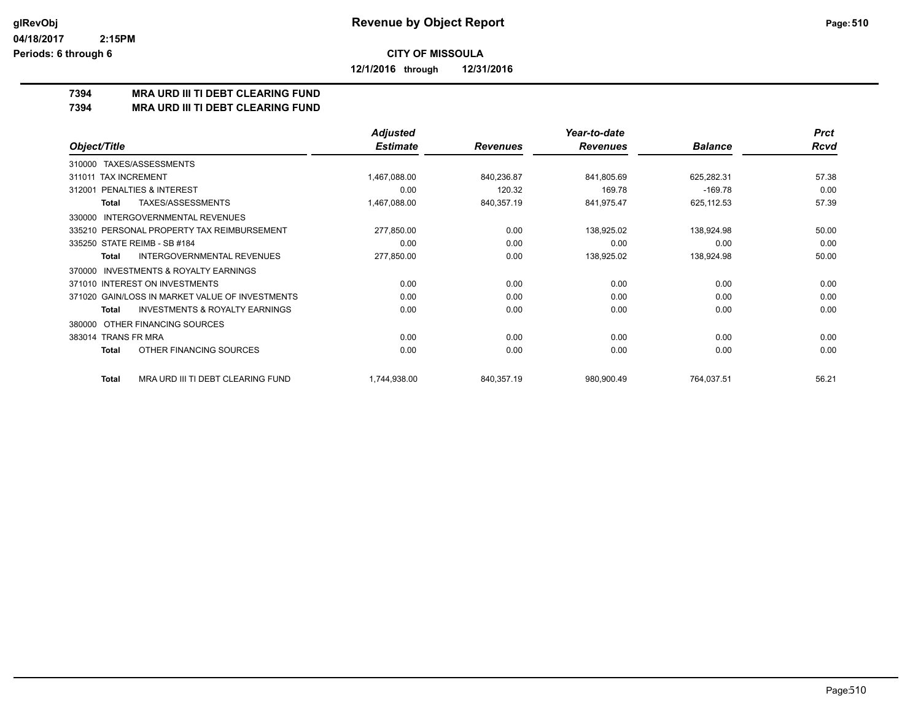**12/1/2016 through 12/31/2016**

### **7394 MRA URD III TI DEBT CLEARING FUND 7394 MRA URD III TI DEBT CLEARING FUND**

|                                                           | <b>Adjusted</b> |                 | Year-to-date    |                | <b>Prct</b> |
|-----------------------------------------------------------|-----------------|-----------------|-----------------|----------------|-------------|
| Object/Title                                              | <b>Estimate</b> | <b>Revenues</b> | <b>Revenues</b> | <b>Balance</b> | Rcvd        |
| TAXES/ASSESSMENTS<br>310000                               |                 |                 |                 |                |             |
| <b>TAX INCREMENT</b><br>311011                            | 1,467,088.00    | 840,236.87      | 841,805.69      | 625,282.31     | 57.38       |
| <b>PENALTIES &amp; INTEREST</b><br>312001                 | 0.00            | 120.32          | 169.78          | $-169.78$      | 0.00        |
| TAXES/ASSESSMENTS<br><b>Total</b>                         | 1,467,088.00    | 840,357.19      | 841,975.47      | 625,112.53     | 57.39       |
| <b>INTERGOVERNMENTAL REVENUES</b><br>330000               |                 |                 |                 |                |             |
| 335210 PERSONAL PROPERTY TAX REIMBURSEMENT                | 277,850.00      | 0.00            | 138,925.02      | 138,924.98     | 50.00       |
| 335250 STATE REIMB - SB #184                              | 0.00            | 0.00            | 0.00            | 0.00           | 0.00        |
| <b>INTERGOVERNMENTAL REVENUES</b><br><b>Total</b>         | 277,850.00      | 0.00            | 138,925.02      | 138,924.98     | 50.00       |
| <b>INVESTMENTS &amp; ROYALTY EARNINGS</b><br>370000       |                 |                 |                 |                |             |
| 371010 INTEREST ON INVESTMENTS                            | 0.00            | 0.00            | 0.00            | 0.00           | 0.00        |
| 371020 GAIN/LOSS IN MARKET VALUE OF INVESTMENTS           | 0.00            | 0.00            | 0.00            | 0.00           | 0.00        |
| <b>INVESTMENTS &amp; ROYALTY EARNINGS</b><br><b>Total</b> | 0.00            | 0.00            | 0.00            | 0.00           | 0.00        |
| OTHER FINANCING SOURCES<br>380000                         |                 |                 |                 |                |             |
| 383014 TRANS FR MRA                                       | 0.00            | 0.00            | 0.00            | 0.00           | 0.00        |
| OTHER FINANCING SOURCES<br><b>Total</b>                   | 0.00            | 0.00            | 0.00            | 0.00           | 0.00        |
| MRA URD III TI DEBT CLEARING FUND<br><b>Total</b>         | 1,744,938.00    | 840,357.19      | 980,900.49      | 764,037.51     | 56.21       |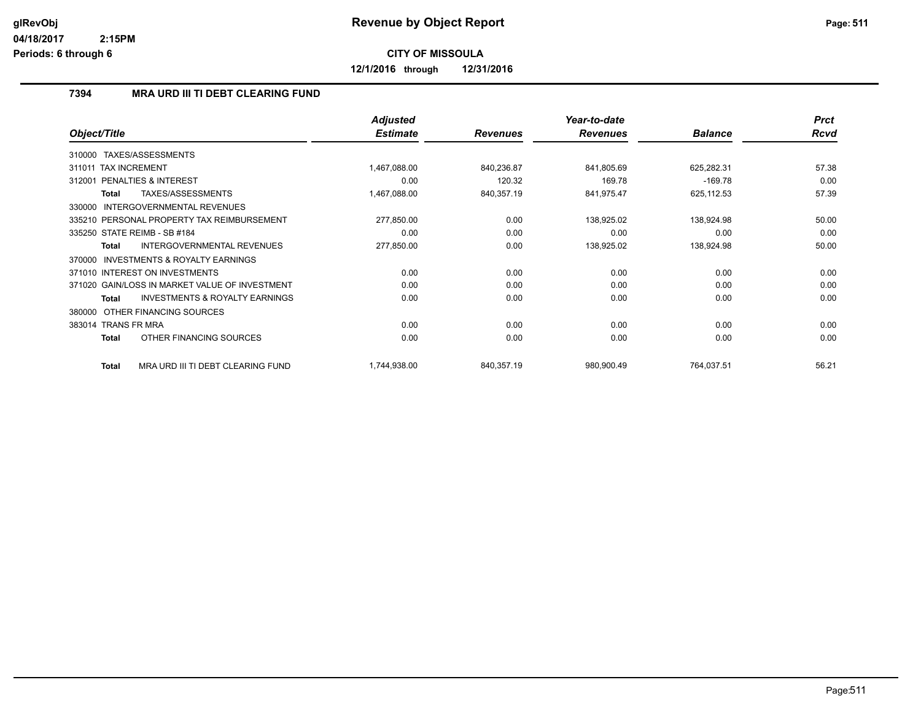**12/1/2016 through 12/31/2016**

### **7394 MRA URD III TI DEBT CLEARING FUND**

|                                                    | <b>Adjusted</b> |                 | Year-to-date    |                | <b>Prct</b> |
|----------------------------------------------------|-----------------|-----------------|-----------------|----------------|-------------|
| Object/Title                                       | <b>Estimate</b> | <b>Revenues</b> | <b>Revenues</b> | <b>Balance</b> | <b>Rcvd</b> |
| TAXES/ASSESSMENTS<br>310000                        |                 |                 |                 |                |             |
| 311011 TAX INCREMENT                               | 1,467,088.00    | 840,236.87      | 841,805.69      | 625,282.31     | 57.38       |
| 312001 PENALTIES & INTEREST                        | 0.00            | 120.32          | 169.78          | $-169.78$      | 0.00        |
| TAXES/ASSESSMENTS<br><b>Total</b>                  | 1,467,088.00    | 840,357.19      | 841,975.47      | 625,112.53     | 57.39       |
| <b>INTERGOVERNMENTAL REVENUES</b><br>330000        |                 |                 |                 |                |             |
| 335210 PERSONAL PROPERTY TAX REIMBURSEMENT         | 277,850.00      | 0.00            | 138,925.02      | 138,924.98     | 50.00       |
| 335250 STATE REIMB - SB #184                       | 0.00            | 0.00            | 0.00            | 0.00           | 0.00        |
| <b>Total</b><br><b>INTERGOVERNMENTAL REVENUES</b>  | 277,850.00      | 0.00            | 138,925.02      | 138,924.98     | 50.00       |
| INVESTMENTS & ROYALTY EARNINGS<br>370000           |                 |                 |                 |                |             |
| 371010 INTEREST ON INVESTMENTS                     | 0.00            | 0.00            | 0.00            | 0.00           | 0.00        |
| 371020 GAIN/LOSS IN MARKET VALUE OF INVESTMENT     | 0.00            | 0.00            | 0.00            | 0.00           | 0.00        |
| <b>INVESTMENTS &amp; ROYALTY EARNINGS</b><br>Total | 0.00            | 0.00            | 0.00            | 0.00           | 0.00        |
| OTHER FINANCING SOURCES<br>380000                  |                 |                 |                 |                |             |
| 383014 TRANS FR MRA                                | 0.00            | 0.00            | 0.00            | 0.00           | 0.00        |
| OTHER FINANCING SOURCES<br><b>Total</b>            | 0.00            | 0.00            | 0.00            | 0.00           | 0.00        |
| MRA URD III TI DEBT CLEARING FUND<br>Total         | 1,744,938.00    | 840,357.19      | 980,900.49      | 764,037.51     | 56.21       |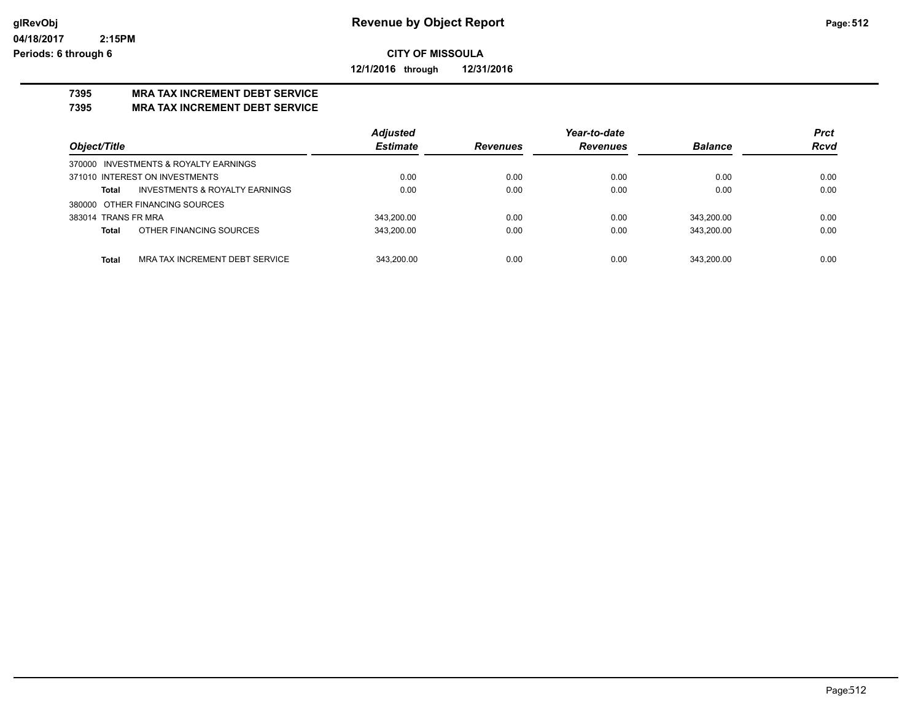**12/1/2016 through 12/31/2016**

### **7395 MRA TAX INCREMENT DEBT SERVICE 7395 MRA TAX INCREMENT DEBT SERVICE**

|                                                | <b>Adjusted</b> |                 | Year-to-date    |                | <b>Prct</b> |
|------------------------------------------------|-----------------|-----------------|-----------------|----------------|-------------|
| Object/Title                                   | <b>Estimate</b> | <b>Revenues</b> | <b>Revenues</b> | <b>Balance</b> | <b>Rcvd</b> |
| 370000 INVESTMENTS & ROYALTY EARNINGS          |                 |                 |                 |                |             |
| 371010 INTEREST ON INVESTMENTS                 | 0.00            | 0.00            | 0.00            | 0.00           | 0.00        |
| INVESTMENTS & ROYALTY EARNINGS<br><b>Total</b> | 0.00            | 0.00            | 0.00            | 0.00           | 0.00        |
| 380000 OTHER FINANCING SOURCES                 |                 |                 |                 |                |             |
| 383014 TRANS FR MRA                            | 343,200.00      | 0.00            | 0.00            | 343.200.00     | 0.00        |
| OTHER FINANCING SOURCES<br>Total               | 343,200.00      | 0.00            | 0.00            | 343,200.00     | 0.00        |
| Total<br>MRA TAX INCREMENT DEBT SERVICE        | 343,200.00      | 0.00            | 0.00            | 343.200.00     | 0.00        |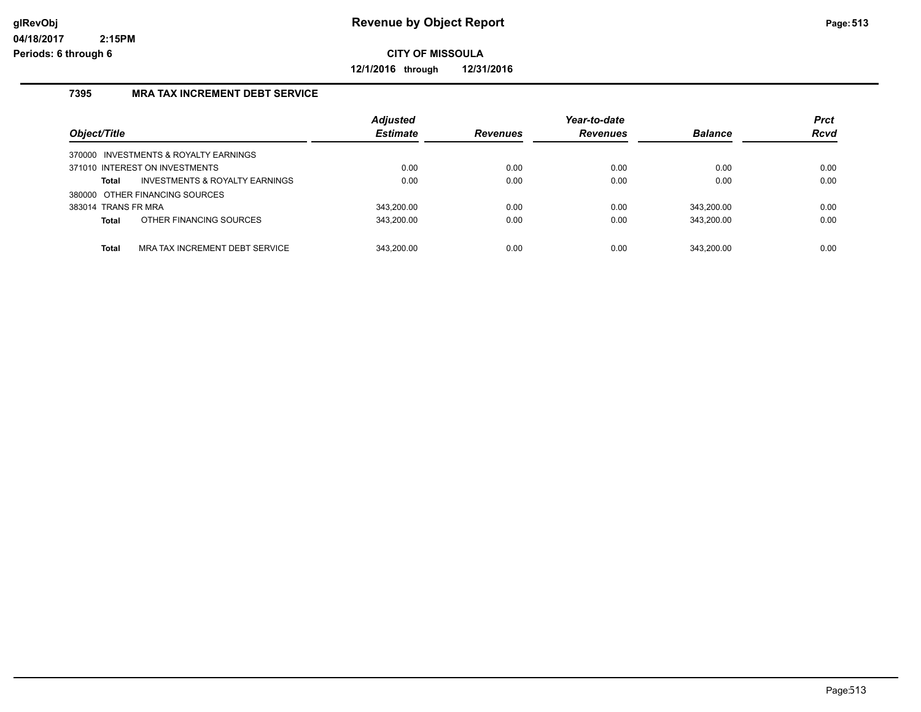**12/1/2016 through 12/31/2016**

### **7395 MRA TAX INCREMENT DEBT SERVICE**

|                     |                                           | <b>Adjusted</b> |                 | Year-to-date    |                | <b>Prct</b> |
|---------------------|-------------------------------------------|-----------------|-----------------|-----------------|----------------|-------------|
| Object/Title        |                                           | <b>Estimate</b> | <b>Revenues</b> | <b>Revenues</b> | <b>Balance</b> | <b>Rcvd</b> |
|                     | 370000 INVESTMENTS & ROYALTY EARNINGS     |                 |                 |                 |                |             |
|                     | 371010 INTEREST ON INVESTMENTS            | 0.00            | 0.00            | 0.00            | 0.00           | 0.00        |
| Total               | <b>INVESTMENTS &amp; ROYALTY EARNINGS</b> | 0.00            | 0.00            | 0.00            | 0.00           | 0.00        |
|                     | 380000 OTHER FINANCING SOURCES            |                 |                 |                 |                |             |
| 383014 TRANS FR MRA |                                           | 343,200.00      | 0.00            | 0.00            | 343.200.00     | 0.00        |
| <b>Total</b>        | OTHER FINANCING SOURCES                   | 343,200.00      | 0.00            | 0.00            | 343,200.00     | 0.00        |
| <b>Total</b>        | MRA TAX INCREMENT DEBT SERVICE            | 343.200.00      | 0.00            | 0.00            | 343.200.00     | 0.00        |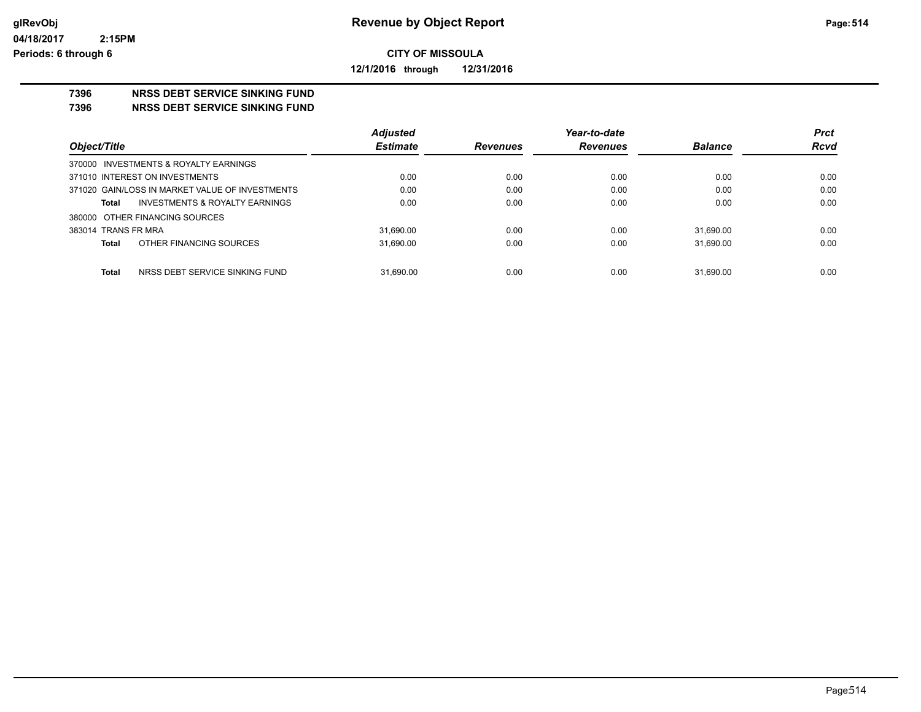**12/1/2016 through 12/31/2016**

**7396 NRSS DEBT SERVICE SINKING FUND 7396 NRSS DEBT SERVICE SINKING FUND**

|                                                 | <b>Adjusted</b> |                 | Year-to-date    |                | <b>Prct</b> |
|-------------------------------------------------|-----------------|-----------------|-----------------|----------------|-------------|
| Object/Title                                    | <b>Estimate</b> | <b>Revenues</b> | <b>Revenues</b> | <b>Balance</b> | Rcvd        |
| 370000 INVESTMENTS & ROYALTY EARNINGS           |                 |                 |                 |                |             |
| 371010 INTEREST ON INVESTMENTS                  | 0.00            | 0.00            | 0.00            | 0.00           | 0.00        |
| 371020 GAIN/LOSS IN MARKET VALUE OF INVESTMENTS | 0.00            | 0.00            | 0.00            | 0.00           | 0.00        |
| INVESTMENTS & ROYALTY EARNINGS<br>Total         | 0.00            | 0.00            | 0.00            | 0.00           | 0.00        |
| 380000 OTHER FINANCING SOURCES                  |                 |                 |                 |                |             |
| 383014 TRANS FR MRA                             | 31.690.00       | 0.00            | 0.00            | 31.690.00      | 0.00        |
| OTHER FINANCING SOURCES<br><b>Total</b>         | 31,690.00       | 0.00            | 0.00            | 31.690.00      | 0.00        |
|                                                 |                 |                 |                 |                |             |
| <b>Total</b><br>NRSS DEBT SERVICE SINKING FUND  | 31.690.00       | 0.00            | 0.00            | 31.690.00      | 0.00        |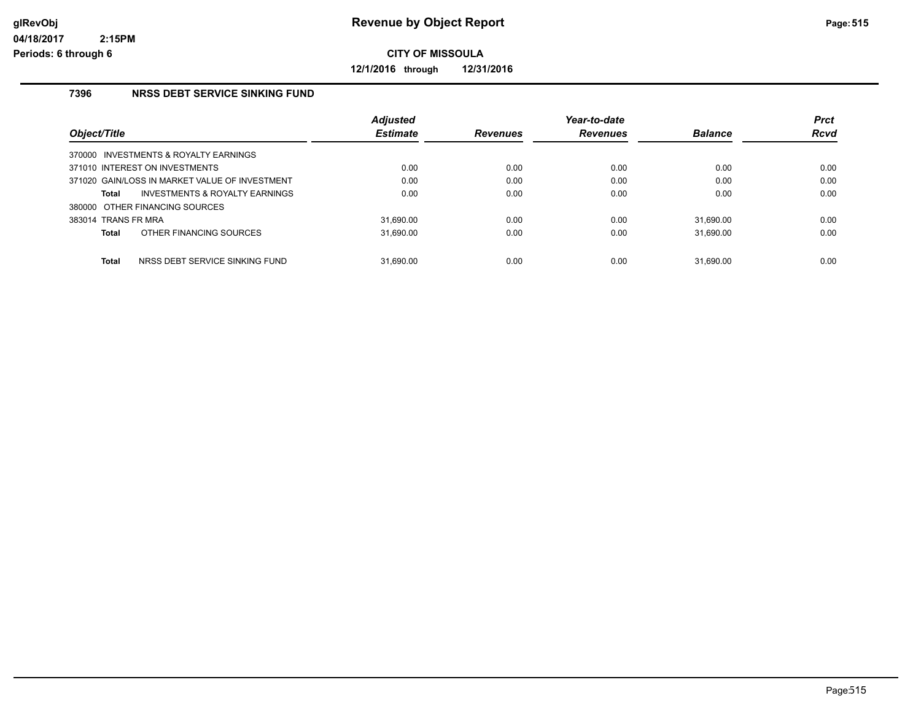**12/1/2016 through 12/31/2016**

### **7396 NRSS DEBT SERVICE SINKING FUND**

|                     |                                                | <b>Adjusted</b> |                 | Year-to-date    |                | <b>Prct</b> |
|---------------------|------------------------------------------------|-----------------|-----------------|-----------------|----------------|-------------|
| Object/Title        |                                                | <b>Estimate</b> | <b>Revenues</b> | <b>Revenues</b> | <b>Balance</b> | <b>Rcvd</b> |
| 370000              | INVESTMENTS & ROYALTY EARNINGS                 |                 |                 |                 |                |             |
|                     | 371010 INTEREST ON INVESTMENTS                 | 0.00            | 0.00            | 0.00            | 0.00           | 0.00        |
|                     | 371020 GAIN/LOSS IN MARKET VALUE OF INVESTMENT | 0.00            | 0.00            | 0.00            | 0.00           | 0.00        |
| Total               | INVESTMENTS & ROYALTY EARNINGS                 | 0.00            | 0.00            | 0.00            | 0.00           | 0.00        |
|                     | 380000 OTHER FINANCING SOURCES                 |                 |                 |                 |                |             |
| 383014 TRANS FR MRA |                                                | 31.690.00       | 0.00            | 0.00            | 31.690.00      | 0.00        |
| Total               | OTHER FINANCING SOURCES                        | 31.690.00       | 0.00            | 0.00            | 31.690.00      | 0.00        |
| <b>Total</b>        | NRSS DEBT SERVICE SINKING FUND                 | 31.690.00       | 0.00            | 0.00            | 31.690.00      | 0.00        |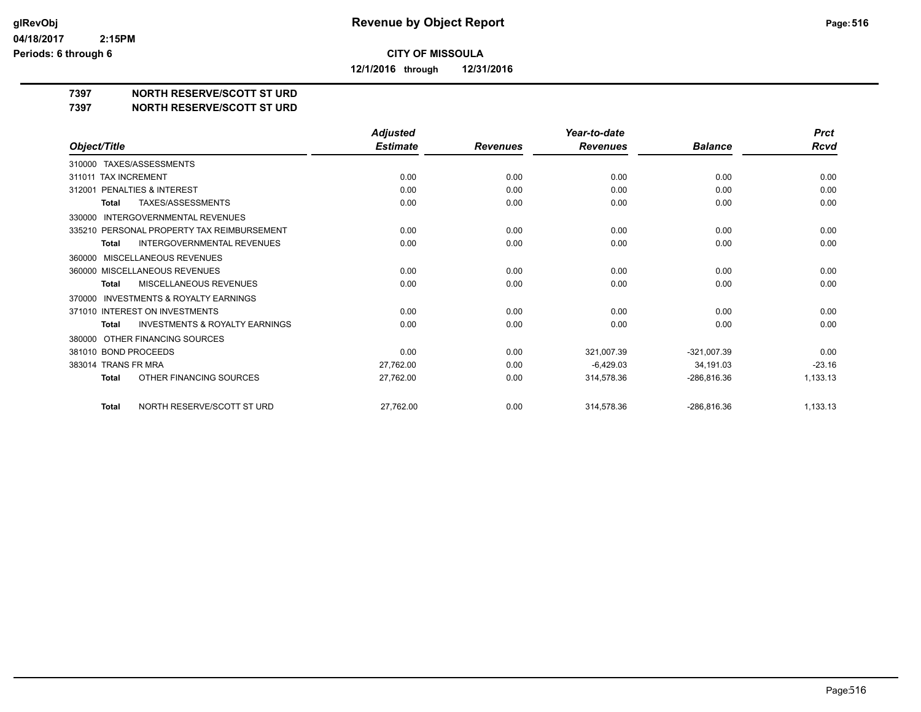**12/1/2016 through 12/31/2016**

**7397 NORTH RESERVE/SCOTT ST URD**

**7397 NORTH RESERVE/SCOTT ST URD**

|                                                           | <b>Adjusted</b> |                 | Year-to-date    |                | <b>Prct</b> |
|-----------------------------------------------------------|-----------------|-----------------|-----------------|----------------|-------------|
| Object/Title                                              | <b>Estimate</b> | <b>Revenues</b> | <b>Revenues</b> | <b>Balance</b> | <b>Rcvd</b> |
| TAXES/ASSESSMENTS<br>310000                               |                 |                 |                 |                |             |
| 311011 TAX INCREMENT                                      | 0.00            | 0.00            | 0.00            | 0.00           | 0.00        |
| PENALTIES & INTEREST<br>312001                            | 0.00            | 0.00            | 0.00            | 0.00           | 0.00        |
| TAXES/ASSESSMENTS<br><b>Total</b>                         | 0.00            | 0.00            | 0.00            | 0.00           | 0.00        |
| <b>INTERGOVERNMENTAL REVENUES</b><br>330000               |                 |                 |                 |                |             |
| 335210 PERSONAL PROPERTY TAX REIMBURSEMENT                | 0.00            | 0.00            | 0.00            | 0.00           | 0.00        |
| <b>INTERGOVERNMENTAL REVENUES</b><br>Total                | 0.00            | 0.00            | 0.00            | 0.00           | 0.00        |
| MISCELLANEOUS REVENUES<br>360000                          |                 |                 |                 |                |             |
| 360000 MISCELLANEOUS REVENUES                             | 0.00            | 0.00            | 0.00            | 0.00           | 0.00        |
| <b>MISCELLANEOUS REVENUES</b><br><b>Total</b>             | 0.00            | 0.00            | 0.00            | 0.00           | 0.00        |
| <b>INVESTMENTS &amp; ROYALTY EARNINGS</b><br>370000       |                 |                 |                 |                |             |
| 371010 INTEREST ON INVESTMENTS                            | 0.00            | 0.00            | 0.00            | 0.00           | 0.00        |
| <b>INVESTMENTS &amp; ROYALTY EARNINGS</b><br><b>Total</b> | 0.00            | 0.00            | 0.00            | 0.00           | 0.00        |
| OTHER FINANCING SOURCES<br>380000                         |                 |                 |                 |                |             |
| 381010 BOND PROCEEDS                                      | 0.00            | 0.00            | 321,007.39      | $-321,007.39$  | 0.00        |
| 383014 TRANS FR MRA                                       | 27,762.00       | 0.00            | $-6,429.03$     | 34,191.03      | $-23.16$    |
| OTHER FINANCING SOURCES<br><b>Total</b>                   | 27,762.00       | 0.00            | 314,578.36      | -286,816.36    | 1,133.13    |
| NORTH RESERVE/SCOTT ST URD<br><b>Total</b>                | 27,762.00       | 0.00            | 314,578.36      | $-286,816.36$  | 1,133.13    |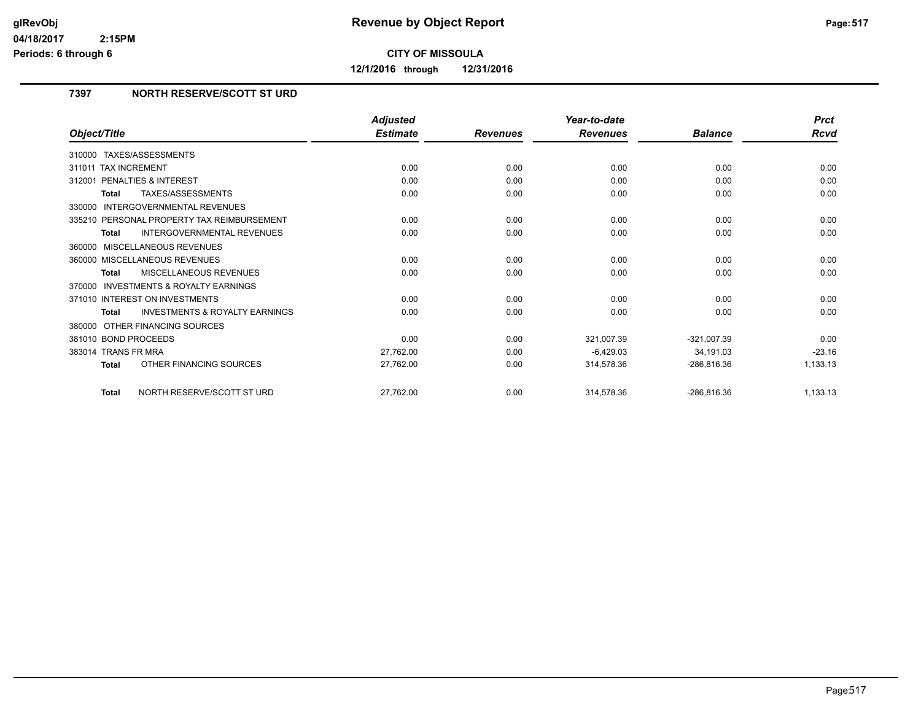**12/1/2016 through 12/31/2016**

### **7397 NORTH RESERVE/SCOTT ST URD**

|                                                           | <b>Adjusted</b> |                 | Year-to-date    |                | <b>Prct</b> |
|-----------------------------------------------------------|-----------------|-----------------|-----------------|----------------|-------------|
| Object/Title                                              | <b>Estimate</b> | <b>Revenues</b> | <b>Revenues</b> | <b>Balance</b> | <b>Rcvd</b> |
| 310000 TAXES/ASSESSMENTS                                  |                 |                 |                 |                |             |
| 311011 TAX INCREMENT                                      | 0.00            | 0.00            | 0.00            | 0.00           | 0.00        |
| PENALTIES & INTEREST<br>312001                            | 0.00            | 0.00            | 0.00            | 0.00           | 0.00        |
| TAXES/ASSESSMENTS<br><b>Total</b>                         | 0.00            | 0.00            | 0.00            | 0.00           | 0.00        |
| <b>INTERGOVERNMENTAL REVENUES</b><br>330000               |                 |                 |                 |                |             |
| 335210 PERSONAL PROPERTY TAX REIMBURSEMENT                | 0.00            | 0.00            | 0.00            | 0.00           | 0.00        |
| <b>INTERGOVERNMENTAL REVENUES</b><br><b>Total</b>         | 0.00            | 0.00            | 0.00            | 0.00           | 0.00        |
| MISCELLANEOUS REVENUES<br>360000                          |                 |                 |                 |                |             |
| 360000 MISCELLANEOUS REVENUES                             | 0.00            | 0.00            | 0.00            | 0.00           | 0.00        |
| MISCELLANEOUS REVENUES<br><b>Total</b>                    | 0.00            | 0.00            | 0.00            | 0.00           | 0.00        |
| <b>INVESTMENTS &amp; ROYALTY EARNINGS</b><br>370000       |                 |                 |                 |                |             |
| 371010 INTEREST ON INVESTMENTS                            | 0.00            | 0.00            | 0.00            | 0.00           | 0.00        |
| <b>INVESTMENTS &amp; ROYALTY EARNINGS</b><br><b>Total</b> | 0.00            | 0.00            | 0.00            | 0.00           | 0.00        |
| OTHER FINANCING SOURCES<br>380000                         |                 |                 |                 |                |             |
| 381010 BOND PROCEEDS                                      | 0.00            | 0.00            | 321,007.39      | $-321,007.39$  | 0.00        |
| 383014 TRANS FR MRA                                       | 27,762.00       | 0.00            | $-6,429.03$     | 34,191.03      | $-23.16$    |
| OTHER FINANCING SOURCES<br><b>Total</b>                   | 27,762.00       | 0.00            | 314,578.36      | -286,816.36    | 1,133.13    |
| NORTH RESERVE/SCOTT ST URD<br><b>Total</b>                | 27,762.00       | 0.00            | 314,578.36      | $-286,816.36$  | 1,133.13    |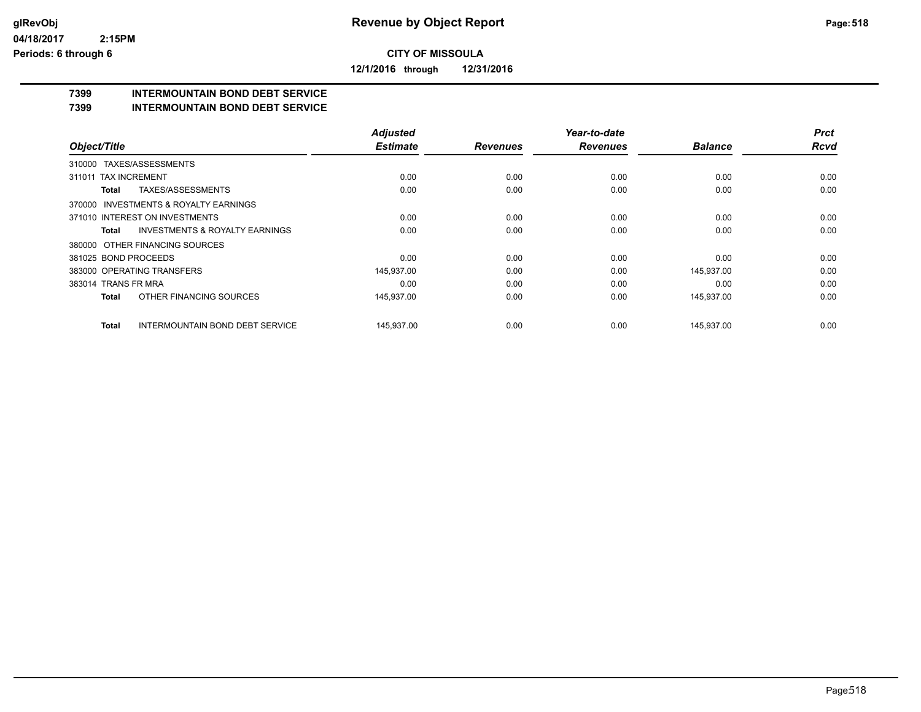**12/1/2016 through 12/31/2016**

### **7399 INTERMOUNTAIN BOND DEBT SERVICE 7399 INTERMOUNTAIN BOND DEBT SERVICE**

|                                |                                           | <b>Adjusted</b> |                 | Year-to-date    |                | <b>Prct</b> |
|--------------------------------|-------------------------------------------|-----------------|-----------------|-----------------|----------------|-------------|
| Object/Title                   |                                           | <b>Estimate</b> | <b>Revenues</b> | <b>Revenues</b> | <b>Balance</b> | Rcvd        |
| 310000                         | TAXES/ASSESSMENTS                         |                 |                 |                 |                |             |
| <b>TAX INCREMENT</b><br>311011 |                                           | 0.00            | 0.00            | 0.00            | 0.00           | 0.00        |
| Total                          | TAXES/ASSESSMENTS                         | 0.00            | 0.00            | 0.00            | 0.00           | 0.00        |
| 370000                         | INVESTMENTS & ROYALTY EARNINGS            |                 |                 |                 |                |             |
|                                | 371010 INTEREST ON INVESTMENTS            | 0.00            | 0.00            | 0.00            | 0.00           | 0.00        |
| Total                          | <b>INVESTMENTS &amp; ROYALTY EARNINGS</b> | 0.00            | 0.00            | 0.00            | 0.00           | 0.00        |
|                                | 380000 OTHER FINANCING SOURCES            |                 |                 |                 |                |             |
| 381025 BOND PROCEEDS           |                                           | 0.00            | 0.00            | 0.00            | 0.00           | 0.00        |
| 383000 OPERATING TRANSFERS     |                                           | 145,937.00      | 0.00            | 0.00            | 145,937.00     | 0.00        |
| 383014 TRANS FR MRA            |                                           | 0.00            | 0.00            | 0.00            | 0.00           | 0.00        |
| Total                          | OTHER FINANCING SOURCES                   | 145,937.00      | 0.00            | 0.00            | 145,937.00     | 0.00        |
| <b>Total</b>                   | <b>INTERMOUNTAIN BOND DEBT SERVICE</b>    | 145,937.00      | 0.00            | 0.00            | 145,937.00     | 0.00        |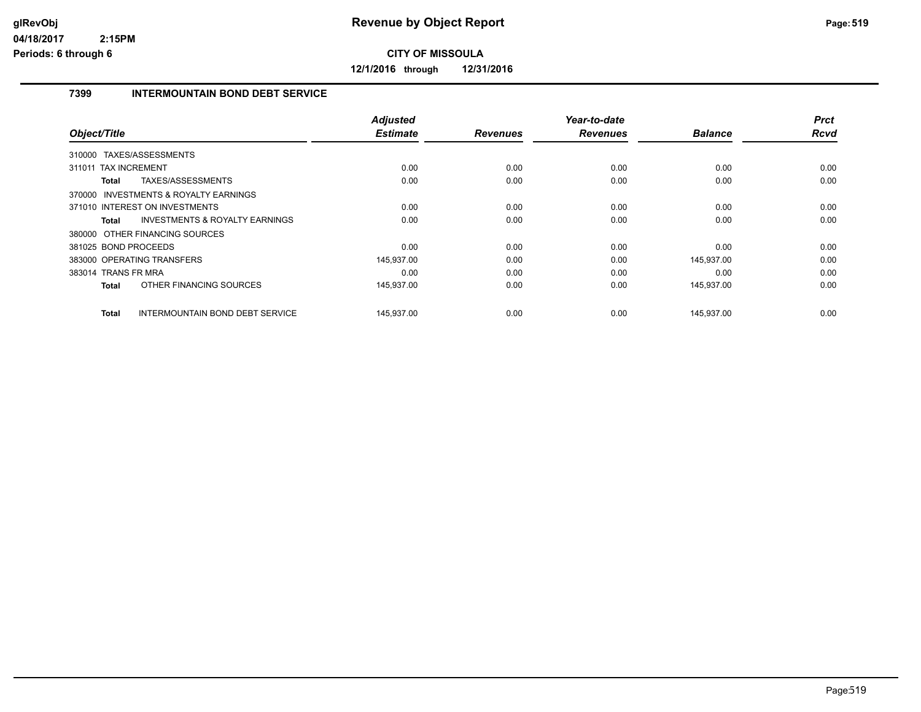**12/1/2016 through 12/31/2016**

### **7399 INTERMOUNTAIN BOND DEBT SERVICE**

|                                                    | <b>Adjusted</b> |                 | Year-to-date    |                | <b>Prct</b> |
|----------------------------------------------------|-----------------|-----------------|-----------------|----------------|-------------|
| Object/Title                                       | <b>Estimate</b> | <b>Revenues</b> | <b>Revenues</b> | <b>Balance</b> | Rcvd        |
| 310000 TAXES/ASSESSMENTS                           |                 |                 |                 |                |             |
| <b>TAX INCREMENT</b><br>311011                     | 0.00            | 0.00            | 0.00            | 0.00           | 0.00        |
| TAXES/ASSESSMENTS<br><b>Total</b>                  | 0.00            | 0.00            | 0.00            | 0.00           | 0.00        |
| 370000 INVESTMENTS & ROYALTY EARNINGS              |                 |                 |                 |                |             |
| 371010 INTEREST ON INVESTMENTS                     | 0.00            | 0.00            | 0.00            | 0.00           | 0.00        |
| <b>INVESTMENTS &amp; ROYALTY EARNINGS</b><br>Total | 0.00            | 0.00            | 0.00            | 0.00           | 0.00        |
| 380000 OTHER FINANCING SOURCES                     |                 |                 |                 |                |             |
| 381025 BOND PROCEEDS                               | 0.00            | 0.00            | 0.00            | 0.00           | 0.00        |
| 383000 OPERATING TRANSFERS                         | 145,937.00      | 0.00            | 0.00            | 145,937.00     | 0.00        |
| 383014 TRANS FR MRA                                | 0.00            | 0.00            | 0.00            | 0.00           | 0.00        |
| OTHER FINANCING SOURCES<br><b>Total</b>            | 145,937.00      | 0.00            | 0.00            | 145,937.00     | 0.00        |
| INTERMOUNTAIN BOND DEBT SERVICE<br><b>Total</b>    | 145,937.00      | 0.00            | 0.00            | 145,937.00     | 0.00        |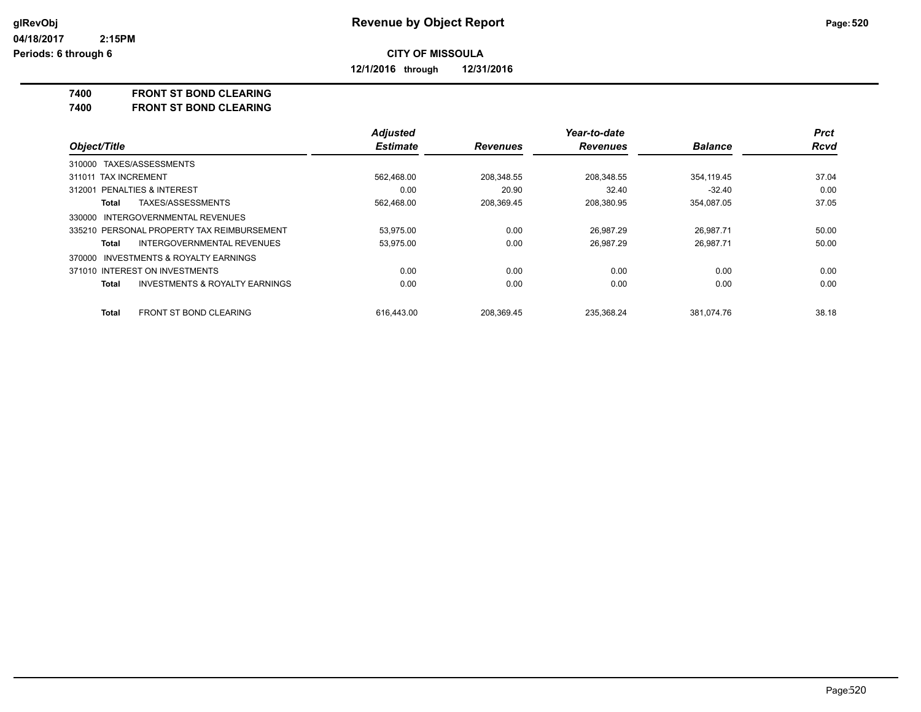**CITY OF MISSOULA 12/1/2016 through 12/31/2016**

**7400 FRONT ST BOND CLEARING**

**7400 FRONT ST BOND CLEARING**

|                                                    | <b>Adjusted</b> |                 | Year-to-date    |                | <b>Prct</b> |
|----------------------------------------------------|-----------------|-----------------|-----------------|----------------|-------------|
| Object/Title                                       | <b>Estimate</b> | <b>Revenues</b> | <b>Revenues</b> | <b>Balance</b> | <b>Rcvd</b> |
| 310000 TAXES/ASSESSMENTS                           |                 |                 |                 |                |             |
| 311011 TAX INCREMENT                               | 562.468.00      | 208,348.55      | 208,348.55      | 354,119.45     | 37.04       |
| 312001 PENALTIES & INTEREST                        | 0.00            | 20.90           | 32.40           | $-32.40$       | 0.00        |
| TAXES/ASSESSMENTS<br>Total                         | 562,468.00      | 208,369.45      | 208,380.95      | 354,087.05     | 37.05       |
| 330000 INTERGOVERNMENTAL REVENUES                  |                 |                 |                 |                |             |
| 335210 PERSONAL PROPERTY TAX REIMBURSEMENT         | 53.975.00       | 0.00            | 26.987.29       | 26.987.71      | 50.00       |
| INTERGOVERNMENTAL REVENUES<br>Total                | 53,975.00       | 0.00            | 26,987.29       | 26,987.71      | 50.00       |
| 370000 INVESTMENTS & ROYALTY EARNINGS              |                 |                 |                 |                |             |
| 371010 INTEREST ON INVESTMENTS                     | 0.00            | 0.00            | 0.00            | 0.00           | 0.00        |
| <b>INVESTMENTS &amp; ROYALTY EARNINGS</b><br>Total | 0.00            | 0.00            | 0.00            | 0.00           | 0.00        |
| <b>FRONT ST BOND CLEARING</b><br><b>Total</b>      | 616.443.00      | 208.369.45      | 235.368.24      | 381.074.76     | 38.18       |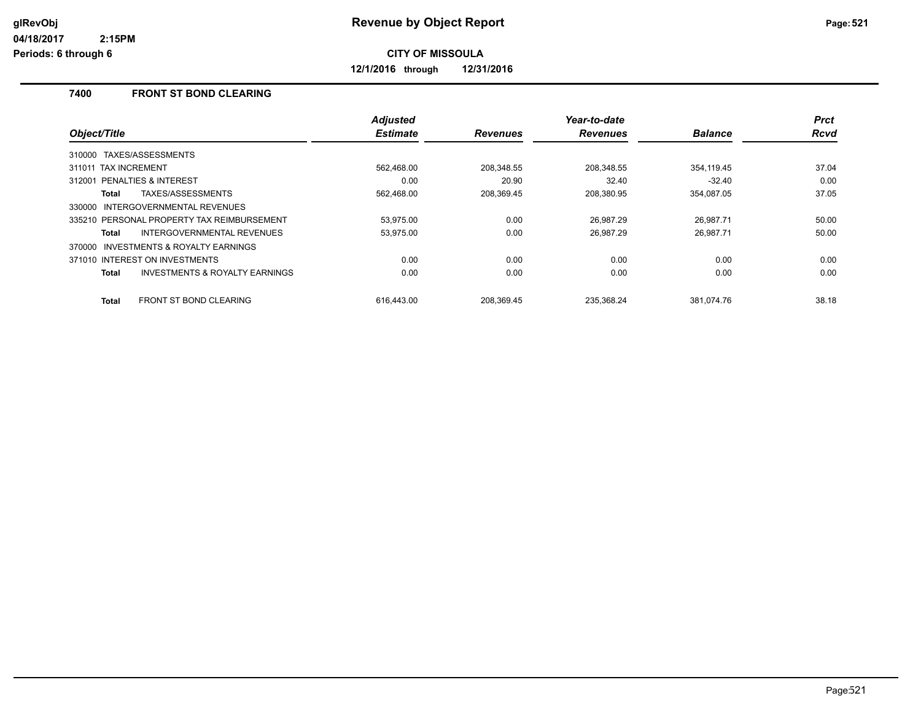**12/1/2016 through 12/31/2016**

### **7400 FRONT ST BOND CLEARING**

|                                                           | <b>Adjusted</b> |                 | Year-to-date    |                | <b>Prct</b> |
|-----------------------------------------------------------|-----------------|-----------------|-----------------|----------------|-------------|
| Object/Title                                              | <b>Estimate</b> | <b>Revenues</b> | <b>Revenues</b> | <b>Balance</b> | <b>Rcvd</b> |
| TAXES/ASSESSMENTS<br>310000                               |                 |                 |                 |                |             |
| 311011 TAX INCREMENT                                      | 562,468.00      | 208,348.55      | 208,348.55      | 354,119.45     | 37.04       |
| PENALTIES & INTEREST<br>312001                            | 0.00            | 20.90           | 32.40           | $-32.40$       | 0.00        |
| TAXES/ASSESSMENTS<br><b>Total</b>                         | 562,468.00      | 208,369.45      | 208,380.95      | 354,087.05     | 37.05       |
| INTERGOVERNMENTAL REVENUES<br>330000                      |                 |                 |                 |                |             |
| 335210 PERSONAL PROPERTY TAX REIMBURSEMENT                | 53.975.00       | 0.00            | 26.987.29       | 26.987.71      | 50.00       |
| INTERGOVERNMENTAL REVENUES<br>Total                       | 53.975.00       | 0.00            | 26.987.29       | 26.987.71      | 50.00       |
| INVESTMENTS & ROYALTY EARNINGS<br>370000                  |                 |                 |                 |                |             |
| 371010 INTEREST ON INVESTMENTS                            | 0.00            | 0.00            | 0.00            | 0.00           | 0.00        |
| <b>INVESTMENTS &amp; ROYALTY EARNINGS</b><br><b>Total</b> | 0.00            | 0.00            | 0.00            | 0.00           | 0.00        |
| <b>FRONT ST BOND CLEARING</b><br><b>Total</b>             | 616.443.00      | 208.369.45      | 235.368.24      | 381,074.76     | 38.18       |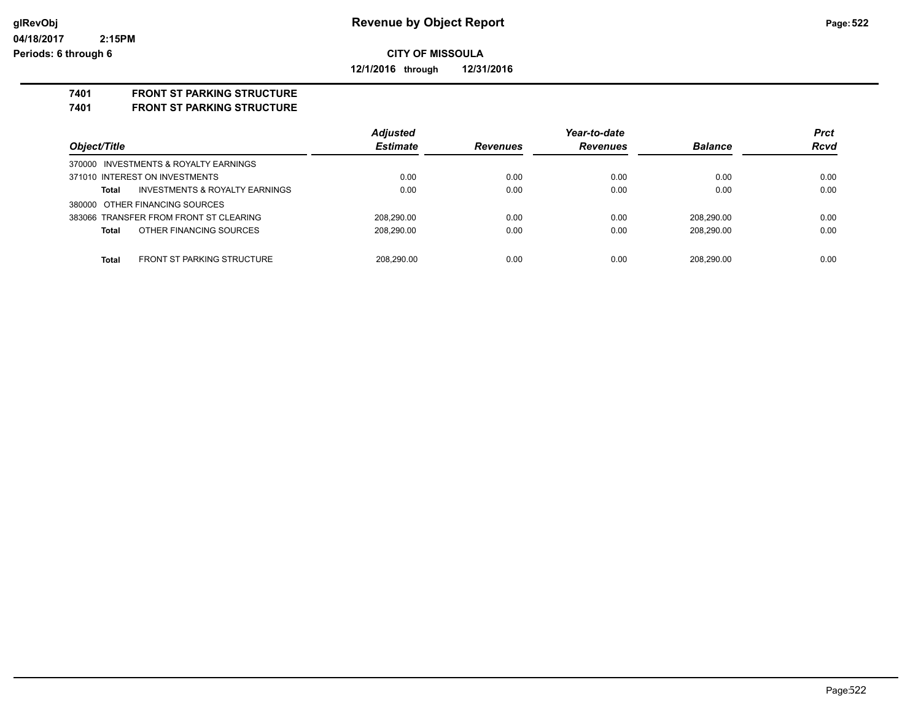### **CITY OF MISSOULA 12/1/2016 through 12/31/2016**

**7401 FRONT ST PARKING STRUCTURE**

**7401 FRONT ST PARKING STRUCTURE**

|                                                   | <b>Adjusted</b> |                 | Year-to-date    |                | <b>Prct</b> |
|---------------------------------------------------|-----------------|-----------------|-----------------|----------------|-------------|
| Object/Title                                      | <b>Estimate</b> | <b>Revenues</b> | <b>Revenues</b> | <b>Balance</b> | <b>Rcvd</b> |
| 370000 INVESTMENTS & ROYALTY EARNINGS             |                 |                 |                 |                |             |
| 371010 INTEREST ON INVESTMENTS                    | 0.00            | 0.00            | 0.00            | 0.00           | 0.00        |
| INVESTMENTS & ROYALTY EARNINGS<br>Total           | 0.00            | 0.00            | 0.00            | 0.00           | 0.00        |
| 380000 OTHER FINANCING SOURCES                    |                 |                 |                 |                |             |
| 383066 TRANSFER FROM FRONT ST CLEARING            | 208.290.00      | 0.00            | 0.00            | 208.290.00     | 0.00        |
| OTHER FINANCING SOURCES<br>Total                  | 208.290.00      | 0.00            | 0.00            | 208.290.00     | 0.00        |
|                                                   |                 |                 |                 |                |             |
| <b>Total</b><br><b>FRONT ST PARKING STRUCTURE</b> | 208.290.00      | 0.00            | 0.00            | 208.290.00     | 0.00        |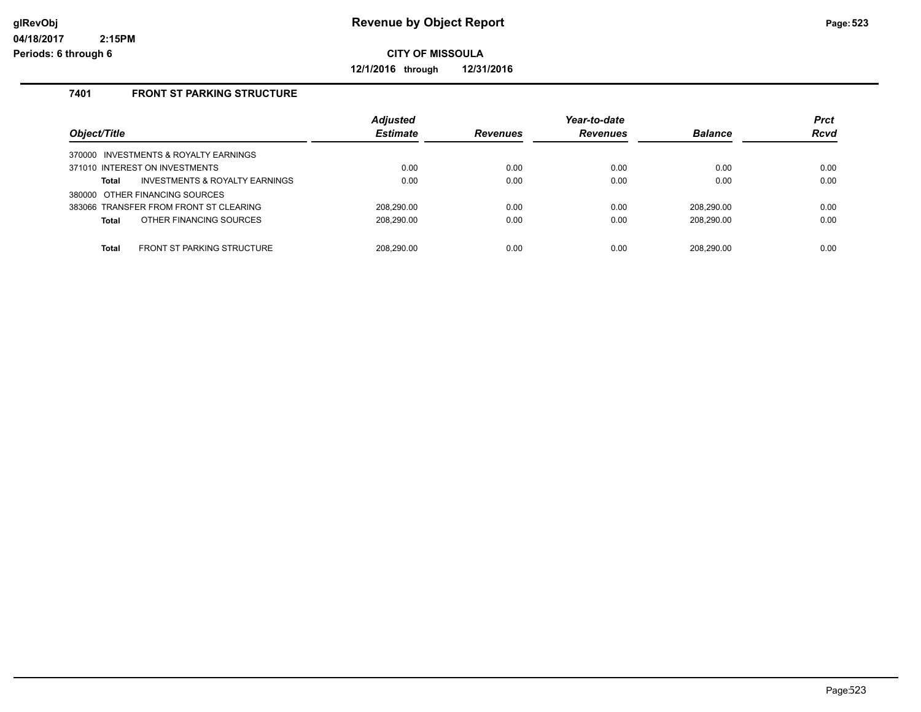**12/1/2016 through 12/31/2016**

### **7401 FRONT ST PARKING STRUCTURE**

|                                |                                        | <b>Adjusted</b> |                 | Year-to-date    |                | <b>Prct</b> |
|--------------------------------|----------------------------------------|-----------------|-----------------|-----------------|----------------|-------------|
| Object/Title                   |                                        | <b>Estimate</b> | <b>Revenues</b> | <b>Revenues</b> | <b>Balance</b> | <b>Rcvd</b> |
|                                | 370000 INVESTMENTS & ROYALTY EARNINGS  |                 |                 |                 |                |             |
| 371010 INTEREST ON INVESTMENTS |                                        | 0.00            | 0.00            | 0.00            | 0.00           | 0.00        |
| Total                          | INVESTMENTS & ROYALTY EARNINGS         | 0.00            | 0.00            | 0.00            | 0.00           | 0.00        |
| 380000 OTHER FINANCING SOURCES |                                        |                 |                 |                 |                |             |
|                                | 383066 TRANSFER FROM FRONT ST CLEARING | 208.290.00      | 0.00            | 0.00            | 208.290.00     | 0.00        |
| Total                          | OTHER FINANCING SOURCES                | 208,290.00      | 0.00            | 0.00            | 208.290.00     | 0.00        |
| <b>Total</b>                   | <b>FRONT ST PARKING STRUCTURE</b>      | 208.290.00      | 0.00            | 0.00            | 208.290.00     | 0.00        |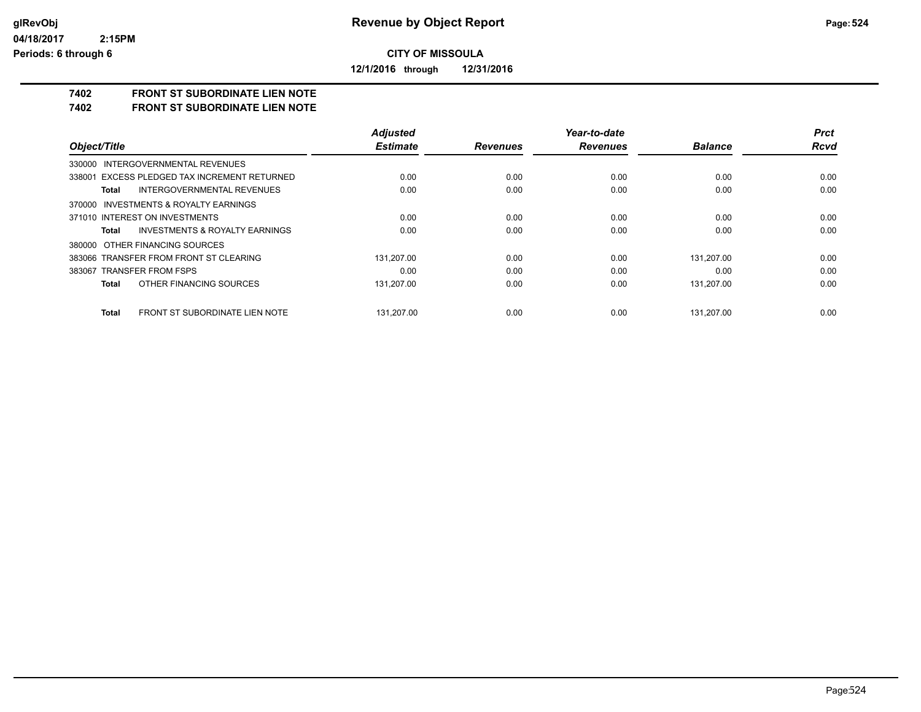**12/1/2016 through 12/31/2016**

### **7402 FRONT ST SUBORDINATE LIEN NOTE 7402 FRONT ST SUBORDINATE LIEN NOTE**

|                                                       | <b>Adjusted</b> |                 | Year-to-date    |                | <b>Prct</b> |
|-------------------------------------------------------|-----------------|-----------------|-----------------|----------------|-------------|
| Object/Title                                          | <b>Estimate</b> | <b>Revenues</b> | <b>Revenues</b> | <b>Balance</b> | <b>Rcvd</b> |
| 330000 INTERGOVERNMENTAL REVENUES                     |                 |                 |                 |                |             |
| 338001 EXCESS PLEDGED TAX INCREMENT RETURNED          | 0.00            | 0.00            | 0.00            | 0.00           | 0.00        |
| INTERGOVERNMENTAL REVENUES<br>Total                   | 0.00            | 0.00            | 0.00            | 0.00           | 0.00        |
| 370000 INVESTMENTS & ROYALTY EARNINGS                 |                 |                 |                 |                |             |
| 371010 INTEREST ON INVESTMENTS                        | 0.00            | 0.00            | 0.00            | 0.00           | 0.00        |
| <b>INVESTMENTS &amp; ROYALTY EARNINGS</b><br>Total    | 0.00            | 0.00            | 0.00            | 0.00           | 0.00        |
| 380000 OTHER FINANCING SOURCES                        |                 |                 |                 |                |             |
| 383066 TRANSFER FROM FRONT ST CLEARING                | 131.207.00      | 0.00            | 0.00            | 131.207.00     | 0.00        |
| 383067 TRANSFER FROM FSPS                             | 0.00            | 0.00            | 0.00            | 0.00           | 0.00        |
| OTHER FINANCING SOURCES<br>Total                      | 131,207.00      | 0.00            | 0.00            | 131,207.00     | 0.00        |
| <b>FRONT ST SUBORDINATE LIEN NOTE</b><br><b>Total</b> | 131.207.00      | 0.00            | 0.00            | 131,207.00     | 0.00        |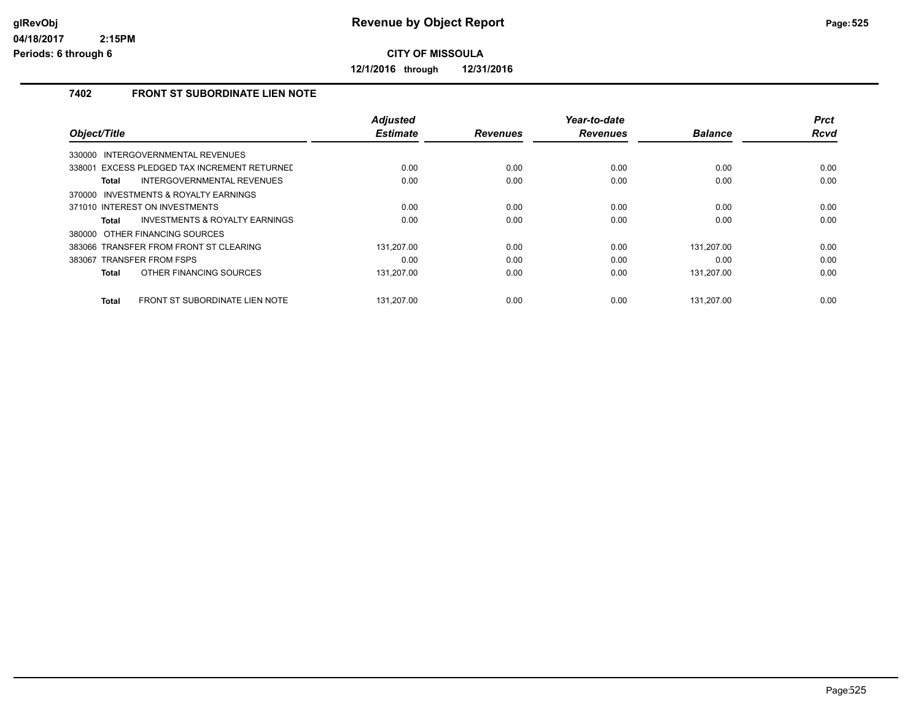**12/1/2016 through 12/31/2016**

### **7402 FRONT ST SUBORDINATE LIEN NOTE**

|              |                                              | <b>Adjusted</b> |                 | Year-to-date    |                | <b>Prct</b> |
|--------------|----------------------------------------------|-----------------|-----------------|-----------------|----------------|-------------|
| Object/Title |                                              | <b>Estimate</b> | <b>Revenues</b> | <b>Revenues</b> | <b>Balance</b> | <b>Rcvd</b> |
| 330000       | INTERGOVERNMENTAL REVENUES                   |                 |                 |                 |                |             |
|              | 338001 EXCESS PLEDGED TAX INCREMENT RETURNED | 0.00            | 0.00            | 0.00            | 0.00           | 0.00        |
| Total        | INTERGOVERNMENTAL REVENUES                   | 0.00            | 0.00            | 0.00            | 0.00           | 0.00        |
| 370000       | INVESTMENTS & ROYALTY EARNINGS               |                 |                 |                 |                |             |
|              | 371010 INTEREST ON INVESTMENTS               | 0.00            | 0.00            | 0.00            | 0.00           | 0.00        |
| Total        | INVESTMENTS & ROYALTY EARNINGS               | 0.00            | 0.00            | 0.00            | 0.00           | 0.00        |
|              | 380000 OTHER FINANCING SOURCES               |                 |                 |                 |                |             |
|              | 383066 TRANSFER FROM FRONT ST CLEARING       | 131,207.00      | 0.00            | 0.00            | 131,207.00     | 0.00        |
|              | 383067 TRANSFER FROM FSPS                    | 0.00            | 0.00            | 0.00            | 0.00           | 0.00        |
| Total        | OTHER FINANCING SOURCES                      | 131.207.00      | 0.00            | 0.00            | 131.207.00     | 0.00        |
| <b>Total</b> | <b>FRONT ST SUBORDINATE LIEN NOTE</b>        | 131.207.00      | 0.00            | 0.00            | 131.207.00     | 0.00        |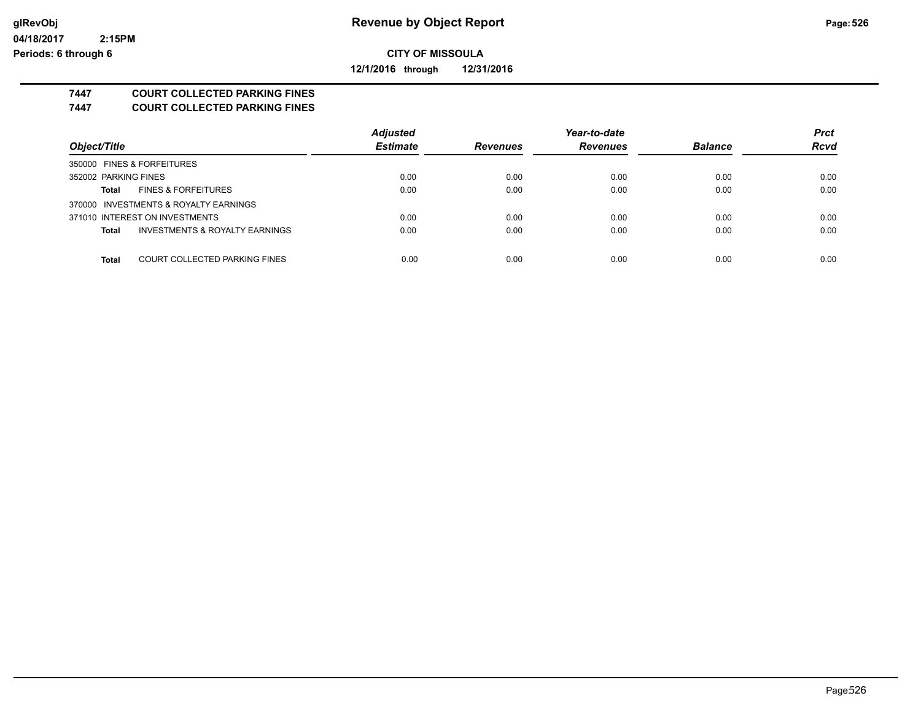**12/1/2016 through 12/31/2016**

### **7447 COURT COLLECTED PARKING FINES 7447 COURT COLLECTED PARKING FINES**

| Object/Title                                  | <b>Adjusted</b><br><b>Estimate</b> | <b>Revenues</b> | Year-to-date<br><b>Revenues</b> | <b>Balance</b> | <b>Prct</b><br><b>Rcvd</b> |
|-----------------------------------------------|------------------------------------|-----------------|---------------------------------|----------------|----------------------------|
| 350000 FINES & FORFEITURES                    |                                    |                 |                                 |                |                            |
| 352002 PARKING FINES                          | 0.00                               | 0.00            | 0.00                            | 0.00           | 0.00                       |
| <b>FINES &amp; FORFEITURES</b><br>Total       | 0.00                               | 0.00            | 0.00                            | 0.00           | 0.00                       |
| 370000 INVESTMENTS & ROYALTY EARNINGS         |                                    |                 |                                 |                |                            |
| 371010 INTEREST ON INVESTMENTS                | 0.00                               | 0.00            | 0.00                            | 0.00           | 0.00                       |
| INVESTMENTS & ROYALTY EARNINGS<br>Total       | 0.00                               | 0.00            | 0.00                            | 0.00           | 0.00                       |
|                                               |                                    |                 |                                 |                |                            |
| COURT COLLECTED PARKING FINES<br><b>Total</b> | 0.00                               | 0.00            | 0.00                            | 0.00           | 0.00                       |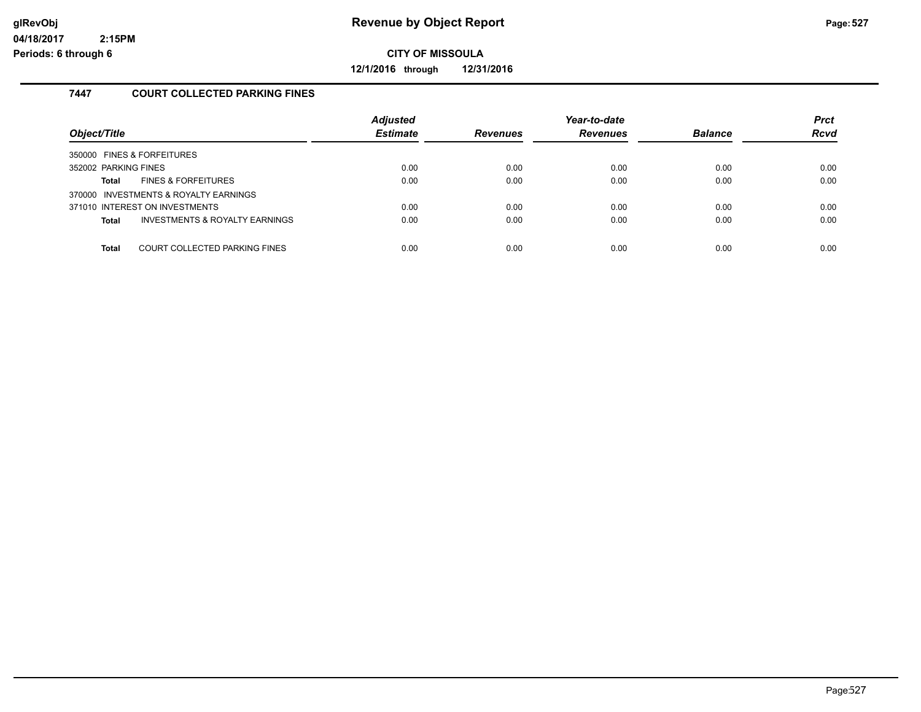**12/1/2016 through 12/31/2016**

### **7447 COURT COLLECTED PARKING FINES**

| Object/Title                                              | <b>Adjusted</b><br><b>Estimate</b> | <b>Revenues</b> | Year-to-date<br><b>Revenues</b> | <b>Balance</b> | <b>Prct</b><br><b>Rcvd</b> |
|-----------------------------------------------------------|------------------------------------|-----------------|---------------------------------|----------------|----------------------------|
|                                                           |                                    |                 |                                 |                |                            |
| 350000 FINES & FORFEITURES                                |                                    |                 |                                 |                |                            |
| 352002 PARKING FINES                                      | 0.00                               | 0.00            | 0.00                            | 0.00           | 0.00                       |
| <b>FINES &amp; FORFEITURES</b><br>Total                   | 0.00                               | 0.00            | 0.00                            | 0.00           | 0.00                       |
| 370000 INVESTMENTS & ROYALTY EARNINGS                     |                                    |                 |                                 |                |                            |
| 371010 INTEREST ON INVESTMENTS                            | 0.00                               | 0.00            | 0.00                            | 0.00           | 0.00                       |
| <b>INVESTMENTS &amp; ROYALTY EARNINGS</b><br><b>Total</b> | 0.00                               | 0.00            | 0.00                            | 0.00           | 0.00                       |
|                                                           |                                    |                 |                                 |                |                            |
| Total<br>COURT COLLECTED PARKING FINES                    | 0.00                               | 0.00            | 0.00                            | 0.00           | 0.00                       |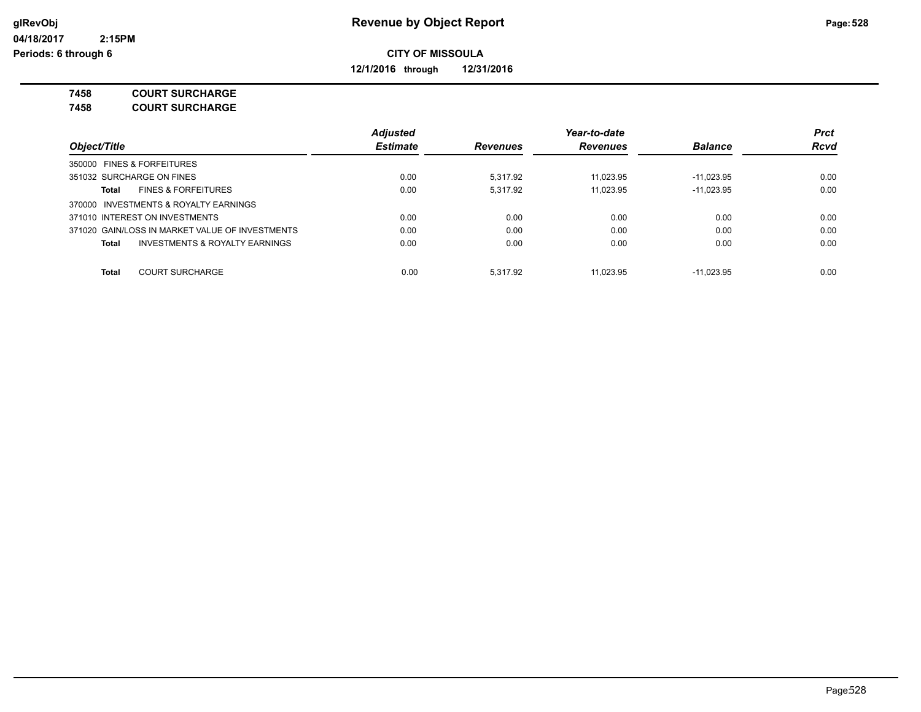**CITY OF MISSOULA 12/1/2016 through 12/31/2016**

**7458 COURT SURCHARGE**

**7458 COURT SURCHARGE**

|                                                 | <b>Adjusted</b> |                 | Year-to-date    |                | <b>Prct</b> |
|-------------------------------------------------|-----------------|-----------------|-----------------|----------------|-------------|
| Object/Title                                    | <b>Estimate</b> | <b>Revenues</b> | <b>Revenues</b> | <b>Balance</b> | <b>Rcvd</b> |
| 350000 FINES & FORFEITURES                      |                 |                 |                 |                |             |
| 351032 SURCHARGE ON FINES                       | 0.00            | 5.317.92        | 11.023.95       | $-11.023.95$   | 0.00        |
| <b>FINES &amp; FORFEITURES</b><br>Total         | 0.00            | 5.317.92        | 11.023.95       | $-11.023.95$   | 0.00        |
| 370000 INVESTMENTS & ROYALTY EARNINGS           |                 |                 |                 |                |             |
| 371010 INTEREST ON INVESTMENTS                  | 0.00            | 0.00            | 0.00            | 0.00           | 0.00        |
| 371020 GAIN/LOSS IN MARKET VALUE OF INVESTMENTS | 0.00            | 0.00            | 0.00            | 0.00           | 0.00        |
| INVESTMENTS & ROYALTY EARNINGS<br>Total         | 0.00            | 0.00            | 0.00            | 0.00           | 0.00        |
| Total<br><b>COURT SURCHARGE</b>                 | 0.00            | 5.317.92        | 11.023.95       | $-11.023.95$   | 0.00        |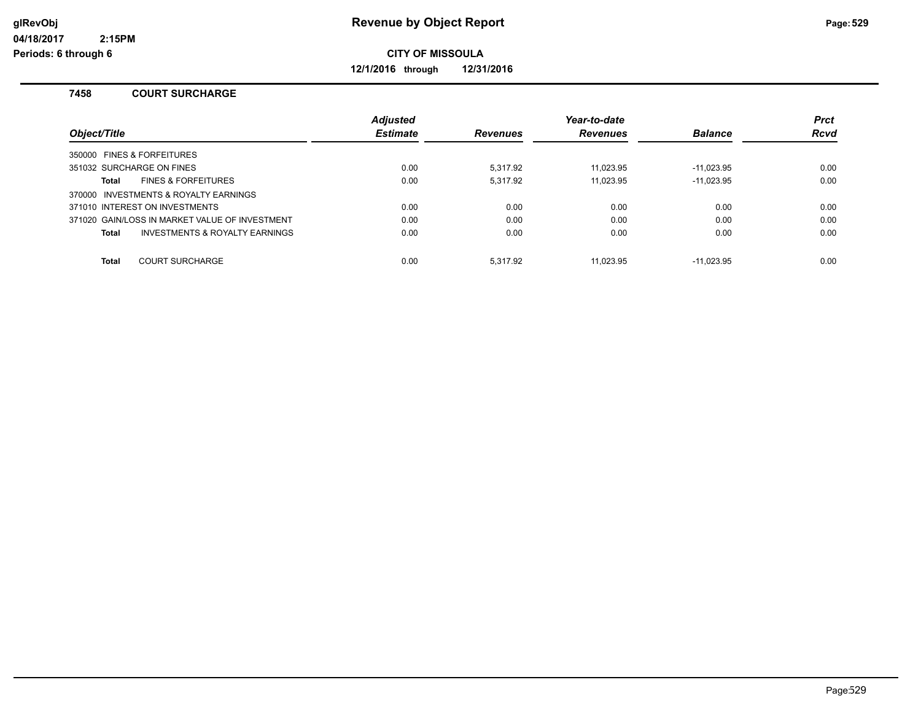**12/1/2016 through 12/31/2016**

### **7458 COURT SURCHARGE**

| Object/Title                                   | <b>Adjusted</b><br><b>Estimate</b> | <b>Revenues</b> | Year-to-date<br><b>Revenues</b> | <b>Balance</b> | <b>Prct</b><br><b>Rcvd</b> |
|------------------------------------------------|------------------------------------|-----------------|---------------------------------|----------------|----------------------------|
|                                                |                                    |                 |                                 |                |                            |
| 350000 FINES & FORFEITURES                     |                                    |                 |                                 |                |                            |
| 351032 SURCHARGE ON FINES                      | 0.00                               | 5.317.92        | 11.023.95                       | $-11.023.95$   | 0.00                       |
| <b>FINES &amp; FORFEITURES</b><br>Total        | 0.00                               | 5.317.92        | 11.023.95                       | $-11,023.95$   | 0.00                       |
| 370000 INVESTMENTS & ROYALTY EARNINGS          |                                    |                 |                                 |                |                            |
| 371010 INTEREST ON INVESTMENTS                 | 0.00                               | 0.00            | 0.00                            | 0.00           | 0.00                       |
| 371020 GAIN/LOSS IN MARKET VALUE OF INVESTMENT | 0.00                               | 0.00            | 0.00                            | 0.00           | 0.00                       |
| INVESTMENTS & ROYALTY EARNINGS<br>Total        | 0.00                               | 0.00            | 0.00                            | 0.00           | 0.00                       |
|                                                |                                    |                 |                                 |                |                            |
| <b>Total</b><br><b>COURT SURCHARGE</b>         | 0.00                               | 5.317.92        | 11.023.95                       | $-11.023.95$   | 0.00                       |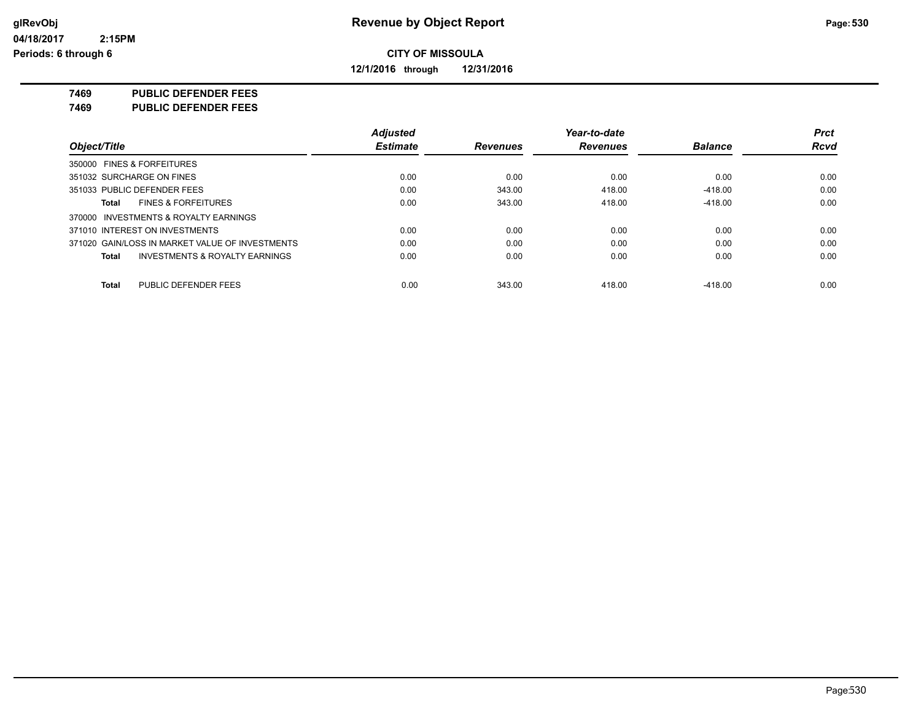**12/1/2016 through 12/31/2016**

**7469 PUBLIC DEFENDER FEES 7469 PUBLIC DEFENDER FEES**

|                                                    | <b>Adjusted</b> |                 | Year-to-date    |                | <b>Prct</b> |
|----------------------------------------------------|-----------------|-----------------|-----------------|----------------|-------------|
| Object/Title                                       | <b>Estimate</b> | <b>Revenues</b> | <b>Revenues</b> | <b>Balance</b> | <b>Rcvd</b> |
| 350000 FINES & FORFEITURES                         |                 |                 |                 |                |             |
| 351032 SURCHARGE ON FINES                          | 0.00            | 0.00            | 0.00            | 0.00           | 0.00        |
| 351033 PUBLIC DEFENDER FEES                        | 0.00            | 343.00          | 418.00          | -418.00        | 0.00        |
| <b>FINES &amp; FORFEITURES</b><br>Total            | 0.00            | 343.00          | 418.00          | $-418.00$      | 0.00        |
| 370000 INVESTMENTS & ROYALTY EARNINGS              |                 |                 |                 |                |             |
| 371010 INTEREST ON INVESTMENTS                     | 0.00            | 0.00            | 0.00            | 0.00           | 0.00        |
| 371020 GAIN/LOSS IN MARKET VALUE OF INVESTMENTS    | 0.00            | 0.00            | 0.00            | 0.00           | 0.00        |
| <b>INVESTMENTS &amp; ROYALTY EARNINGS</b><br>Total | 0.00            | 0.00            | 0.00            | 0.00           | 0.00        |
| PUBLIC DEFENDER FEES<br>Total                      | 0.00            | 343.00          | 418.00          | $-418.00$      | 0.00        |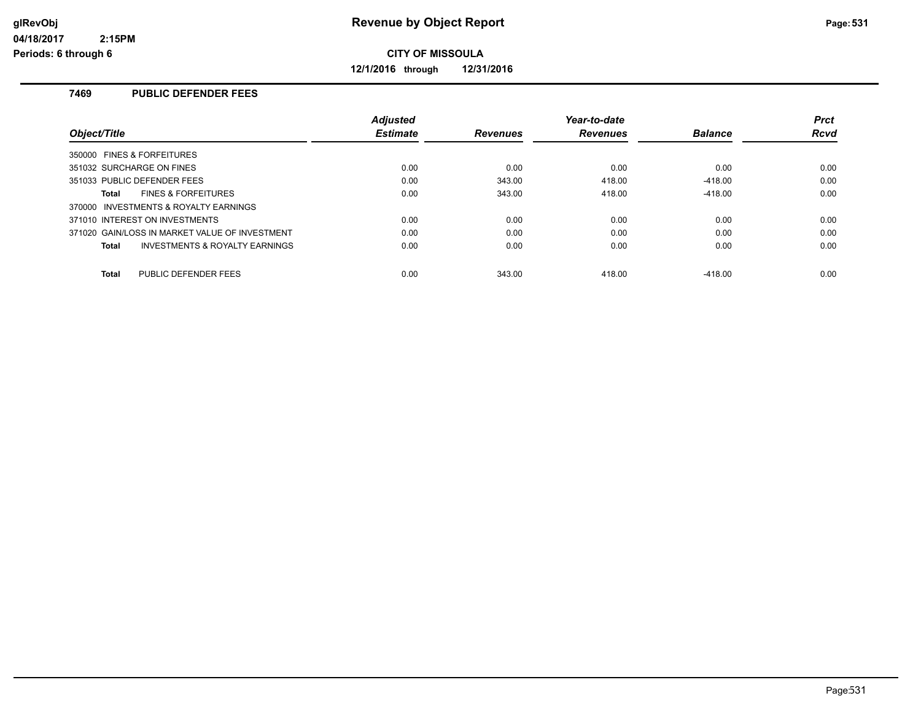**12/1/2016 through 12/31/2016**

### **7469 PUBLIC DEFENDER FEES**

|                                                | <b>Adiusted</b> |                 | Year-to-date    |                | <b>Prct</b> |
|------------------------------------------------|-----------------|-----------------|-----------------|----------------|-------------|
| Object/Title                                   | <b>Estimate</b> | <b>Revenues</b> | <b>Revenues</b> | <b>Balance</b> | <b>Rcvd</b> |
| 350000 FINES & FORFEITURES                     |                 |                 |                 |                |             |
| 351032 SURCHARGE ON FINES                      | 0.00            | 0.00            | 0.00            | 0.00           | 0.00        |
| 351033 PUBLIC DEFENDER FEES                    | 0.00            | 343.00          | 418.00          | $-418.00$      | 0.00        |
| <b>FINES &amp; FORFEITURES</b><br>Total        | 0.00            | 343.00          | 418.00          | $-418.00$      | 0.00        |
| 370000 INVESTMENTS & ROYALTY EARNINGS          |                 |                 |                 |                |             |
| 371010 INTEREST ON INVESTMENTS                 | 0.00            | 0.00            | 0.00            | 0.00           | 0.00        |
| 371020 GAIN/LOSS IN MARKET VALUE OF INVESTMENT | 0.00            | 0.00            | 0.00            | 0.00           | 0.00        |
| INVESTMENTS & ROYALTY EARNINGS<br>Total        | 0.00            | 0.00            | 0.00            | 0.00           | 0.00        |
| PUBLIC DEFENDER FEES<br><b>Total</b>           | 0.00            | 343.00          | 418.00          | $-418.00$      | 0.00        |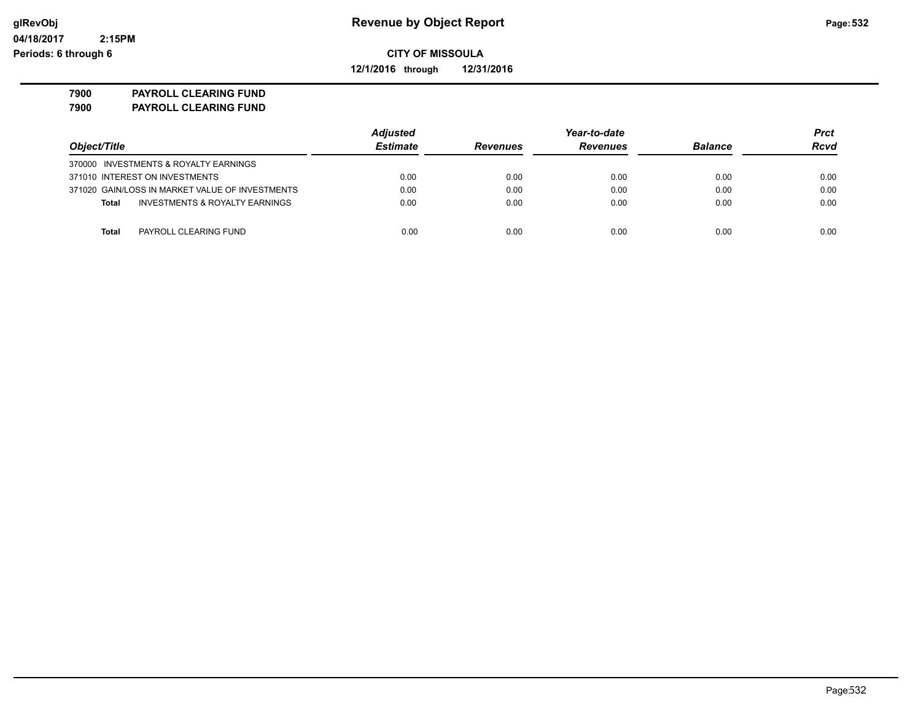**12/1/2016 through 12/31/2016**

**7900 PAYROLL CLEARING FUND 7900 PAYROLL CLEARING FUND**

|                                                 | <b>Adjusted</b> |                 | Year-to-date    |                | <b>Prct</b> |
|-------------------------------------------------|-----------------|-----------------|-----------------|----------------|-------------|
| Object/Title                                    | <b>Estimate</b> | <b>Revenues</b> | <b>Revenues</b> | <b>Balance</b> | <b>Rcvd</b> |
| 370000 INVESTMENTS & ROYALTY EARNINGS           |                 |                 |                 |                |             |
| 371010 INTEREST ON INVESTMENTS                  | 0.00            | 0.00            | 0.00            | 0.00           | 0.00        |
| 371020 GAIN/LOSS IN MARKET VALUE OF INVESTMENTS | 0.00            | 0.00            | 0.00            | 0.00           | 0.00        |
| INVESTMENTS & ROYALTY EARNINGS<br>Total         | 0.00            | 0.00            | 0.00            | 0.00           | 0.00        |
|                                                 |                 |                 |                 |                |             |
| PAYROLL CLEARING FUND<br>Total                  | 0.00            | 0.00            | 0.00            | 0.00           | 0.00        |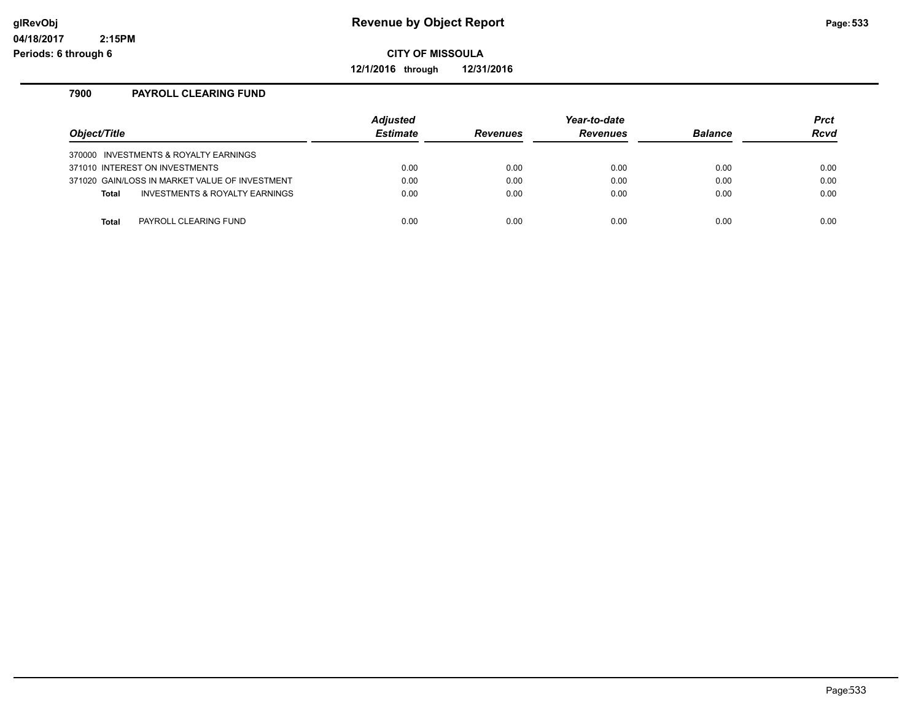**12/1/2016 through 12/31/2016**

### **7900 PAYROLL CLEARING FUND**

|                                                           | <b>Adjusted</b> | Year-to-date    |                 |                |             |
|-----------------------------------------------------------|-----------------|-----------------|-----------------|----------------|-------------|
| Object/Title                                              | <b>Estimate</b> | <b>Revenues</b> | <b>Revenues</b> | <b>Balance</b> | <b>Rcvd</b> |
| 370000 INVESTMENTS & ROYALTY EARNINGS                     |                 |                 |                 |                |             |
| 371010 INTEREST ON INVESTMENTS                            | 0.00            | 0.00            | 0.00            | 0.00           | 0.00        |
| 371020 GAIN/LOSS IN MARKET VALUE OF INVESTMENT            | 0.00            | 0.00            | 0.00            | 0.00           | 0.00        |
| <b>INVESTMENTS &amp; ROYALTY EARNINGS</b><br><b>Total</b> | 0.00            | 0.00            | 0.00            | 0.00           | 0.00        |
| Total<br>PAYROLL CLEARING FUND                            | 0.00            | 0.00            | 0.00            | 0.00           | 0.00        |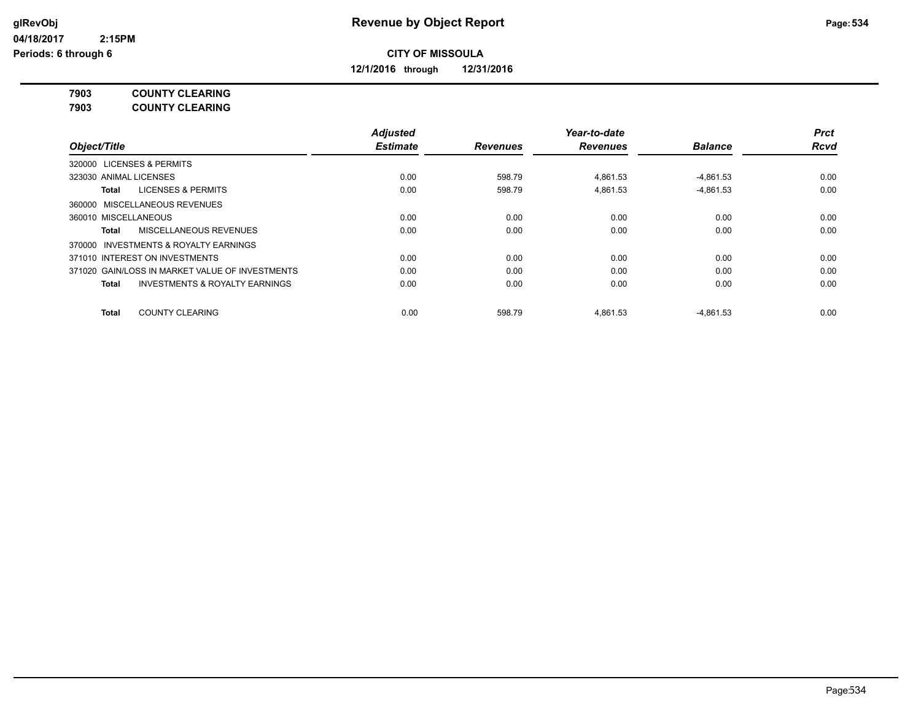**CITY OF MISSOULA 12/1/2016 through 12/31/2016**

**7903 COUNTY CLEARING**

**7903 COUNTY CLEARING**

|                                                    | <b>Adjusted</b> |                 | Year-to-date    |                | <b>Prct</b> |
|----------------------------------------------------|-----------------|-----------------|-----------------|----------------|-------------|
| Object/Title                                       | <b>Estimate</b> | <b>Revenues</b> | <b>Revenues</b> | <b>Balance</b> | Rcvd        |
| 320000 LICENSES & PERMITS                          |                 |                 |                 |                |             |
| 323030 ANIMAL LICENSES                             | 0.00            | 598.79          | 4.861.53        | $-4,861.53$    | 0.00        |
| <b>LICENSES &amp; PERMITS</b><br>Total             | 0.00            | 598.79          | 4,861.53        | $-4,861.53$    | 0.00        |
| 360000 MISCELLANEOUS REVENUES                      |                 |                 |                 |                |             |
| 360010 MISCELLANEOUS                               | 0.00            | 0.00            | 0.00            | 0.00           | 0.00        |
| MISCELLANEOUS REVENUES<br>Total                    | 0.00            | 0.00            | 0.00            | 0.00           | 0.00        |
| 370000 INVESTMENTS & ROYALTY EARNINGS              |                 |                 |                 |                |             |
| 371010 INTEREST ON INVESTMENTS                     | 0.00            | 0.00            | 0.00            | 0.00           | 0.00        |
| 371020 GAIN/LOSS IN MARKET VALUE OF INVESTMENTS    | 0.00            | 0.00            | 0.00            | 0.00           | 0.00        |
| <b>INVESTMENTS &amp; ROYALTY EARNINGS</b><br>Total | 0.00            | 0.00            | 0.00            | 0.00           | 0.00        |
| <b>COUNTY CLEARING</b><br>Total                    | 0.00            | 598.79          | 4,861.53        | $-4,861.53$    | 0.00        |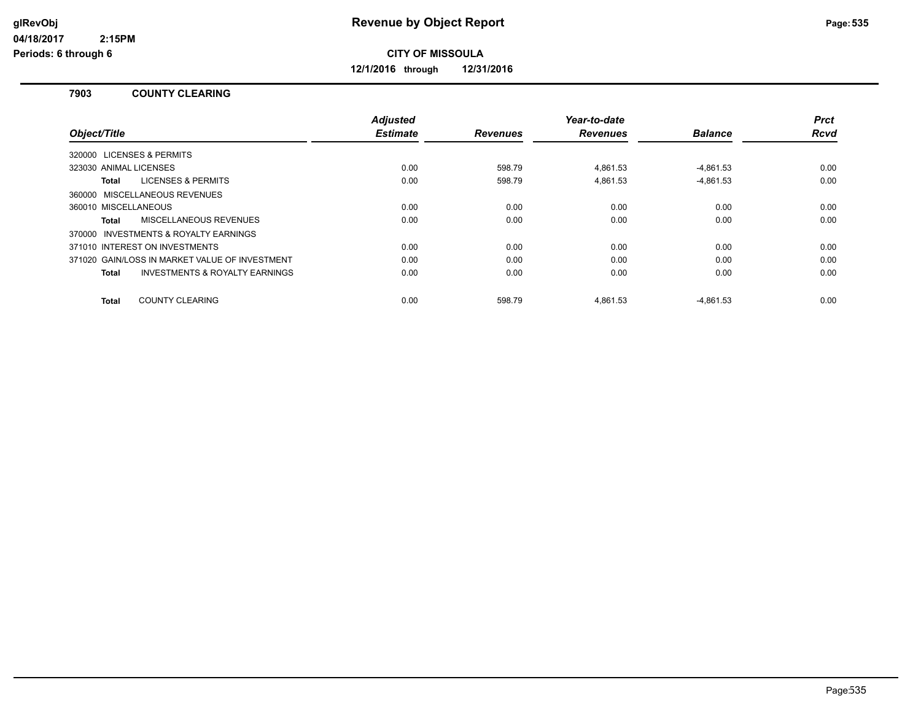**12/1/2016 through 12/31/2016**

### **7903 COUNTY CLEARING**

|                                                           | <b>Adjusted</b> |                 | Year-to-date    |                | <b>Prct</b> |
|-----------------------------------------------------------|-----------------|-----------------|-----------------|----------------|-------------|
| Object/Title                                              | <b>Estimate</b> | <b>Revenues</b> | <b>Revenues</b> | <b>Balance</b> | <b>Rcvd</b> |
| 320000 LICENSES & PERMITS                                 |                 |                 |                 |                |             |
| 323030 ANIMAL LICENSES                                    | 0.00            | 598.79          | 4.861.53        | $-4,861.53$    | 0.00        |
| LICENSES & PERMITS<br>Total                               | 0.00            | 598.79          | 4,861.53        | $-4,861.53$    | 0.00        |
| 360000 MISCELLANEOUS REVENUES                             |                 |                 |                 |                |             |
| 360010 MISCELLANEOUS                                      | 0.00            | 0.00            | 0.00            | 0.00           | 0.00        |
| MISCELLANEOUS REVENUES<br>Total                           | 0.00            | 0.00            | 0.00            | 0.00           | 0.00        |
| 370000 INVESTMENTS & ROYALTY EARNINGS                     |                 |                 |                 |                |             |
| 371010 INTEREST ON INVESTMENTS                            | 0.00            | 0.00            | 0.00            | 0.00           | 0.00        |
| 371020 GAIN/LOSS IN MARKET VALUE OF INVESTMENT            | 0.00            | 0.00            | 0.00            | 0.00           | 0.00        |
| <b>INVESTMENTS &amp; ROYALTY EARNINGS</b><br><b>Total</b> | 0.00            | 0.00            | 0.00            | 0.00           | 0.00        |
| <b>COUNTY CLEARING</b><br><b>Total</b>                    | 0.00            | 598.79          | 4,861.53        | $-4.861.53$    | 0.00        |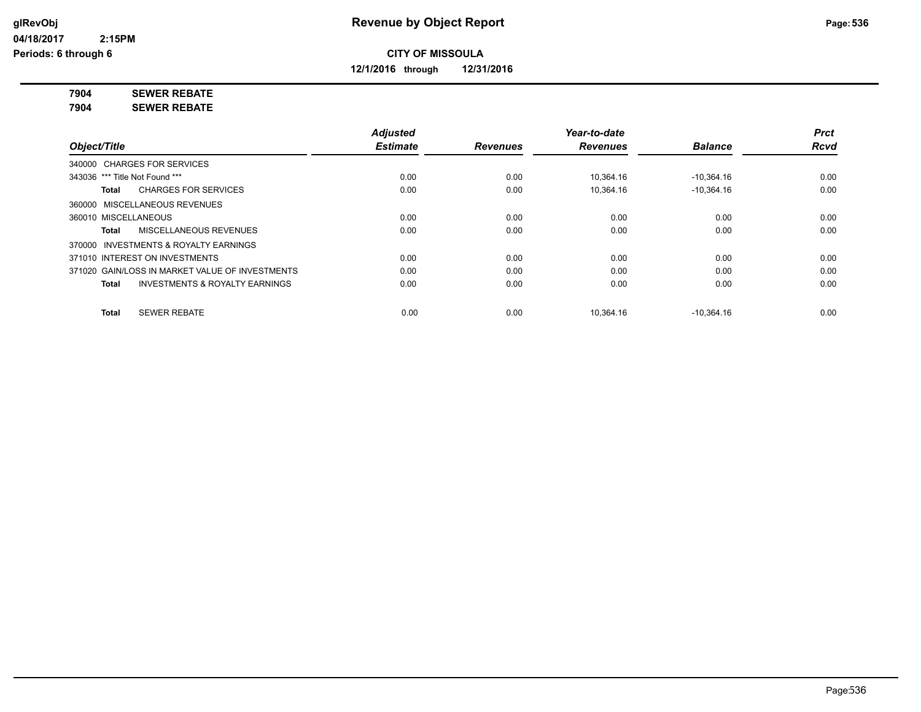**12/1/2016 through 12/31/2016**

**7904 SEWER REBATE 7904 SEWER REBATE**

|                                                 | <b>Adjusted</b> |                 | Year-to-date    |                | <b>Prct</b> |
|-------------------------------------------------|-----------------|-----------------|-----------------|----------------|-------------|
| Object/Title                                    | <b>Estimate</b> | <b>Revenues</b> | <b>Revenues</b> | <b>Balance</b> | Rcvd        |
| 340000 CHARGES FOR SERVICES                     |                 |                 |                 |                |             |
| 343036 *** Title Not Found ***                  | 0.00            | 0.00            | 10,364.16       | $-10,364.16$   | 0.00        |
| <b>CHARGES FOR SERVICES</b><br>Total            | 0.00            | 0.00            | 10,364.16       | $-10,364.16$   | 0.00        |
| 360000 MISCELLANEOUS REVENUES                   |                 |                 |                 |                |             |
| 360010 MISCELLANEOUS                            | 0.00            | 0.00            | 0.00            | 0.00           | 0.00        |
| MISCELLANEOUS REVENUES<br>Total                 | 0.00            | 0.00            | 0.00            | 0.00           | 0.00        |
| INVESTMENTS & ROYALTY EARNINGS<br>370000        |                 |                 |                 |                |             |
| 371010 INTEREST ON INVESTMENTS                  | 0.00            | 0.00            | 0.00            | 0.00           | 0.00        |
| 371020 GAIN/LOSS IN MARKET VALUE OF INVESTMENTS | 0.00            | 0.00            | 0.00            | 0.00           | 0.00        |
| INVESTMENTS & ROYALTY EARNINGS<br>Total         | 0.00            | 0.00            | 0.00            | 0.00           | 0.00        |
| <b>SEWER REBATE</b><br><b>Total</b>             | 0.00            | 0.00            | 10.364.16       | $-10.364.16$   | 0.00        |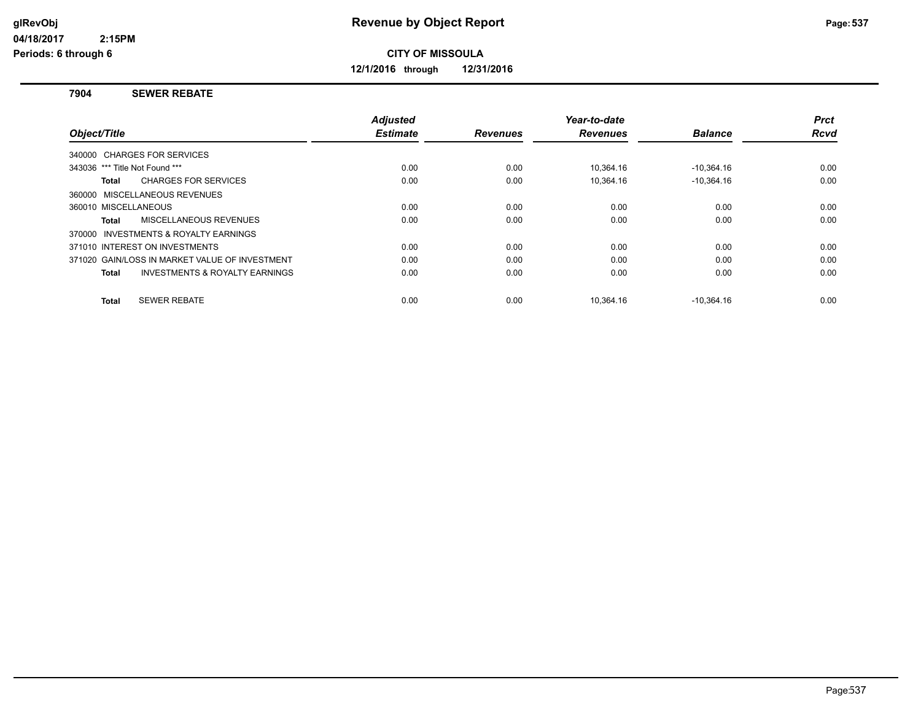**12/1/2016 through 12/31/2016**

### **7904 SEWER REBATE**

|                                                | <b>Adjusted</b> |                 | Year-to-date    |                | <b>Prct</b> |
|------------------------------------------------|-----------------|-----------------|-----------------|----------------|-------------|
| Object/Title                                   | <b>Estimate</b> | <b>Revenues</b> | <b>Revenues</b> | <b>Balance</b> | <b>Rcvd</b> |
| 340000 CHARGES FOR SERVICES                    |                 |                 |                 |                |             |
| 343036 *** Title Not Found ***                 | 0.00            | 0.00            | 10.364.16       | $-10.364.16$   | 0.00        |
| <b>CHARGES FOR SERVICES</b><br><b>Total</b>    | 0.00            | 0.00            | 10,364.16       | $-10,364.16$   | 0.00        |
| 360000 MISCELLANEOUS REVENUES                  |                 |                 |                 |                |             |
| 360010 MISCELLANEOUS                           | 0.00            | 0.00            | 0.00            | 0.00           | 0.00        |
| MISCELLANEOUS REVENUES<br>Total                | 0.00            | 0.00            | 0.00            | 0.00           | 0.00        |
| 370000 INVESTMENTS & ROYALTY EARNINGS          |                 |                 |                 |                |             |
| 371010 INTEREST ON INVESTMENTS                 | 0.00            | 0.00            | 0.00            | 0.00           | 0.00        |
| 371020 GAIN/LOSS IN MARKET VALUE OF INVESTMENT | 0.00            | 0.00            | 0.00            | 0.00           | 0.00        |
| INVESTMENTS & ROYALTY EARNINGS<br>Total        | 0.00            | 0.00            | 0.00            | 0.00           | 0.00        |
| <b>SEWER REBATE</b><br><b>Total</b>            | 0.00            | 0.00            | 10.364.16       | $-10.364.16$   | 0.00        |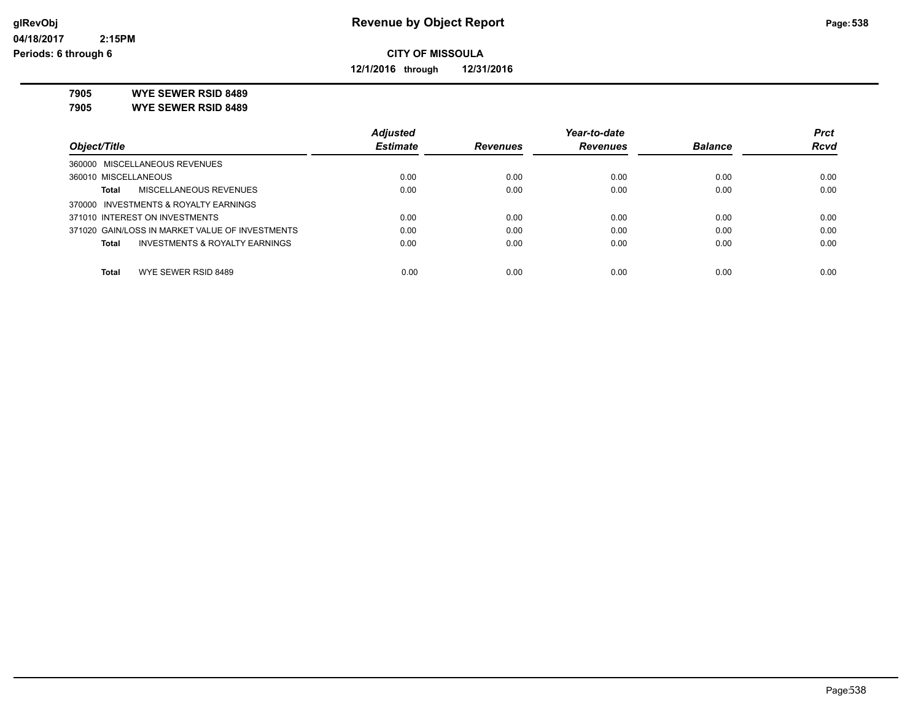**12/1/2016 through 12/31/2016**

**7905 WYE SEWER RSID 8489**

**7905 WYE SEWER RSID 8489**

|                                                 | <b>Adjusted</b> |          | Year-to-date    |                | <b>Prct</b> |
|-------------------------------------------------|-----------------|----------|-----------------|----------------|-------------|
| Object/Title                                    | <b>Estimate</b> | Revenues | <b>Revenues</b> | <b>Balance</b> | <b>Rcvd</b> |
| 360000 MISCELLANEOUS REVENUES                   |                 |          |                 |                |             |
| 360010 MISCELLANEOUS                            | 0.00            | 0.00     | 0.00            | 0.00           | 0.00        |
| MISCELLANEOUS REVENUES<br>Total                 | 0.00            | 0.00     | 0.00            | 0.00           | 0.00        |
| 370000 INVESTMENTS & ROYALTY EARNINGS           |                 |          |                 |                |             |
| 371010 INTEREST ON INVESTMENTS                  | 0.00            | 0.00     | 0.00            | 0.00           | 0.00        |
| 371020 GAIN/LOSS IN MARKET VALUE OF INVESTMENTS | 0.00            | 0.00     | 0.00            | 0.00           | 0.00        |
| INVESTMENTS & ROYALTY EARNINGS<br>Total         | 0.00            | 0.00     | 0.00            | 0.00           | 0.00        |
|                                                 |                 |          |                 |                |             |
| WYE SEWER RSID 8489<br>Total                    | 0.00            | 0.00     | 0.00            | 0.00           | 0.00        |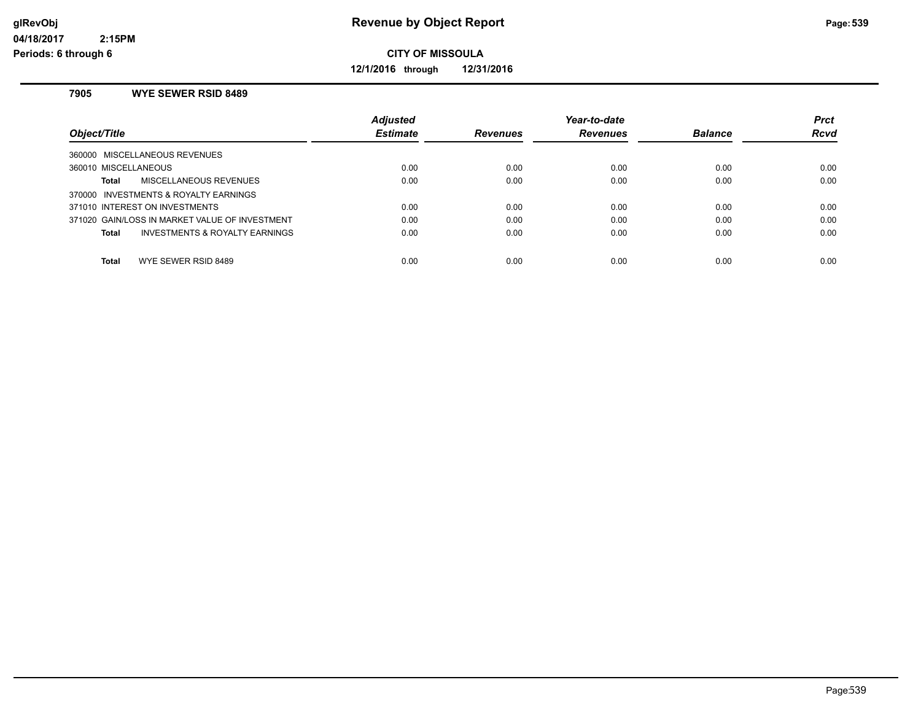**12/1/2016 through 12/31/2016**

### **7905 WYE SEWER RSID 8489**

| Object/Title                                       | <b>Adjusted</b><br><b>Estimate</b> | <b>Revenues</b> | Year-to-date<br><b>Revenues</b> | <b>Balance</b> | <b>Prct</b><br><b>Rcvd</b> |
|----------------------------------------------------|------------------------------------|-----------------|---------------------------------|----------------|----------------------------|
|                                                    |                                    |                 |                                 |                |                            |
| 360000 MISCELLANEOUS REVENUES                      |                                    |                 |                                 |                |                            |
| 360010 MISCELLANEOUS                               | 0.00                               | 0.00            | 0.00                            | 0.00           | 0.00                       |
| MISCELLANEOUS REVENUES<br>Total                    | 0.00                               | 0.00            | 0.00                            | 0.00           | 0.00                       |
| 370000 INVESTMENTS & ROYALTY EARNINGS              |                                    |                 |                                 |                |                            |
| 371010 INTEREST ON INVESTMENTS                     | 0.00                               | 0.00            | 0.00                            | 0.00           | 0.00                       |
| 371020 GAIN/LOSS IN MARKET VALUE OF INVESTMENT     | 0.00                               | 0.00            | 0.00                            | 0.00           | 0.00                       |
| <b>INVESTMENTS &amp; ROYALTY EARNINGS</b><br>Total | 0.00                               | 0.00            | 0.00                            | 0.00           | 0.00                       |
| Total<br>WYE SEWER RSID 8489                       | 0.00                               | 0.00            | 0.00                            | 0.00           | 0.00                       |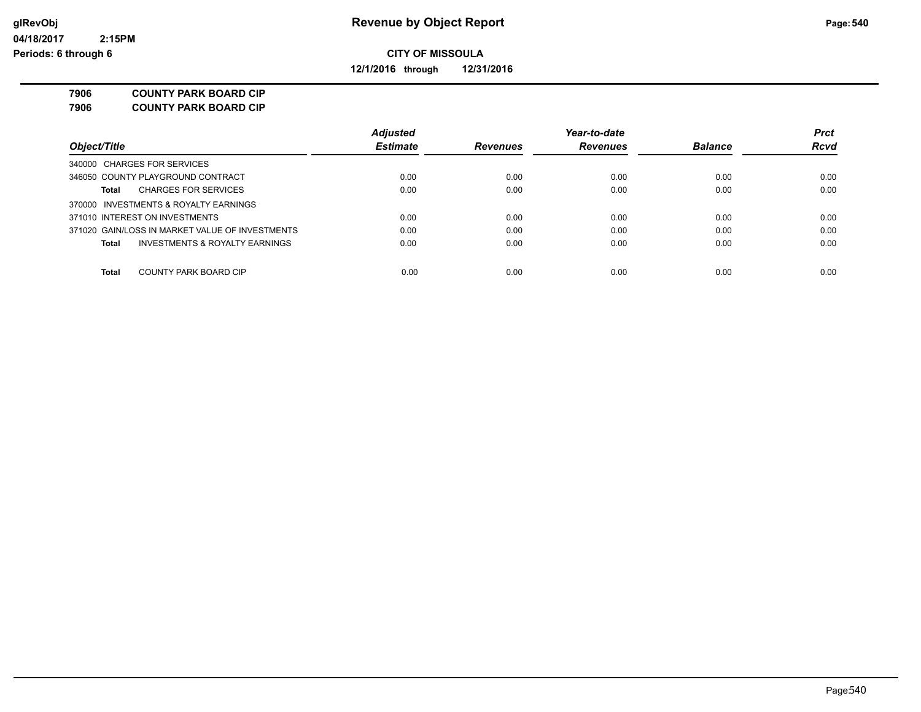**12/1/2016 through 12/31/2016**

**7906 COUNTY PARK BOARD CIP**

| 7906 | <b>COUNTY PARK BOARD CIP</b> |
|------|------------------------------|
|      |                              |

|                                                 | <b>Adjusted</b> |                 | Year-to-date    |                | <b>Prct</b> |
|-------------------------------------------------|-----------------|-----------------|-----------------|----------------|-------------|
| Object/Title                                    | <b>Estimate</b> | <b>Revenues</b> | <b>Revenues</b> | <b>Balance</b> | <b>Rcvd</b> |
| 340000 CHARGES FOR SERVICES                     |                 |                 |                 |                |             |
| 346050 COUNTY PLAYGROUND CONTRACT               | 0.00            | 0.00            | 0.00            | 0.00           | 0.00        |
| <b>CHARGES FOR SERVICES</b><br>Total            | 0.00            | 0.00            | 0.00            | 0.00           | 0.00        |
| 370000 INVESTMENTS & ROYALTY EARNINGS           |                 |                 |                 |                |             |
| 371010 INTEREST ON INVESTMENTS                  | 0.00            | 0.00            | 0.00            | 0.00           | 0.00        |
| 371020 GAIN/LOSS IN MARKET VALUE OF INVESTMENTS | 0.00            | 0.00            | 0.00            | 0.00           | 0.00        |
| INVESTMENTS & ROYALTY EARNINGS<br>Total         | 0.00            | 0.00            | 0.00            | 0.00           | 0.00        |
|                                                 |                 |                 |                 |                |             |
| COUNTY PARK BOARD CIP<br>Total                  | 0.00            | 0.00            | 0.00            | 0.00           | 0.00        |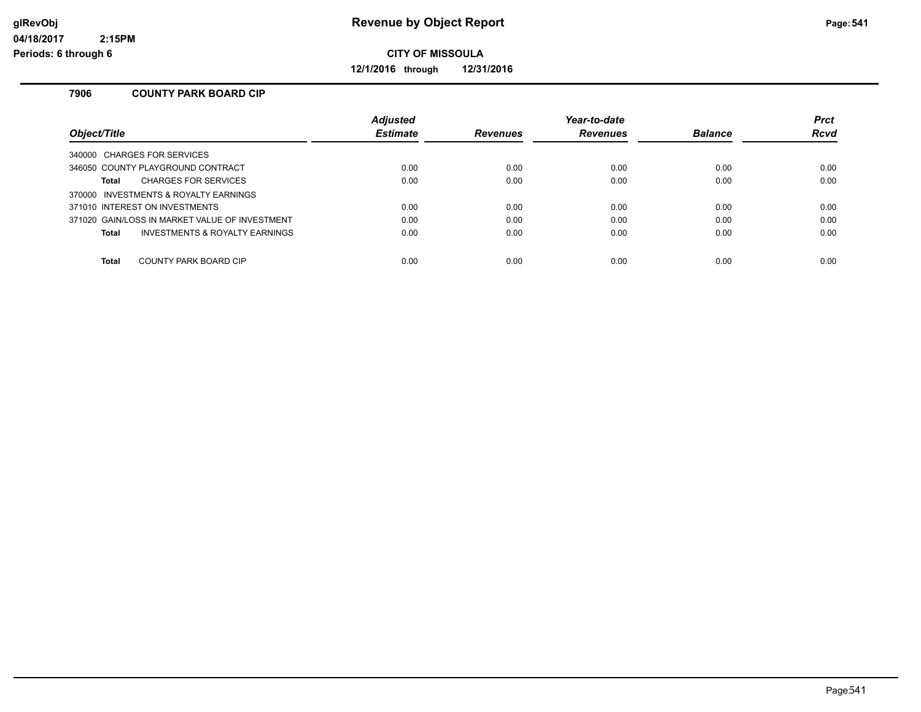**12/1/2016 through 12/31/2016**

### **7906 COUNTY PARK BOARD CIP**

| Object/Title                                   | <b>Adjusted</b><br><b>Estimate</b> | <b>Revenues</b> | Year-to-date<br><b>Revenues</b> | <b>Balance</b> | <b>Prct</b><br>Rcvd |
|------------------------------------------------|------------------------------------|-----------------|---------------------------------|----------------|---------------------|
| 340000 CHARGES FOR SERVICES                    |                                    |                 |                                 |                |                     |
| 346050 COUNTY PLAYGROUND CONTRACT              | 0.00                               | 0.00            | 0.00                            | 0.00           | 0.00                |
| <b>CHARGES FOR SERVICES</b><br>Total           | 0.00                               | 0.00            | 0.00                            | 0.00           | 0.00                |
| 370000 INVESTMENTS & ROYALTY EARNINGS          |                                    |                 |                                 |                |                     |
| 371010 INTEREST ON INVESTMENTS                 | 0.00                               | 0.00            | 0.00                            | 0.00           | 0.00                |
| 371020 GAIN/LOSS IN MARKET VALUE OF INVESTMENT | 0.00                               | 0.00            | 0.00                            | 0.00           | 0.00                |
| INVESTMENTS & ROYALTY EARNINGS<br>Total        | 0.00                               | 0.00            | 0.00                            | 0.00           | 0.00                |
|                                                |                                    |                 |                                 |                |                     |
| Total<br>COUNTY PARK BOARD CIP                 | 0.00                               | 0.00            | 0.00                            | 0.00           | 0.00                |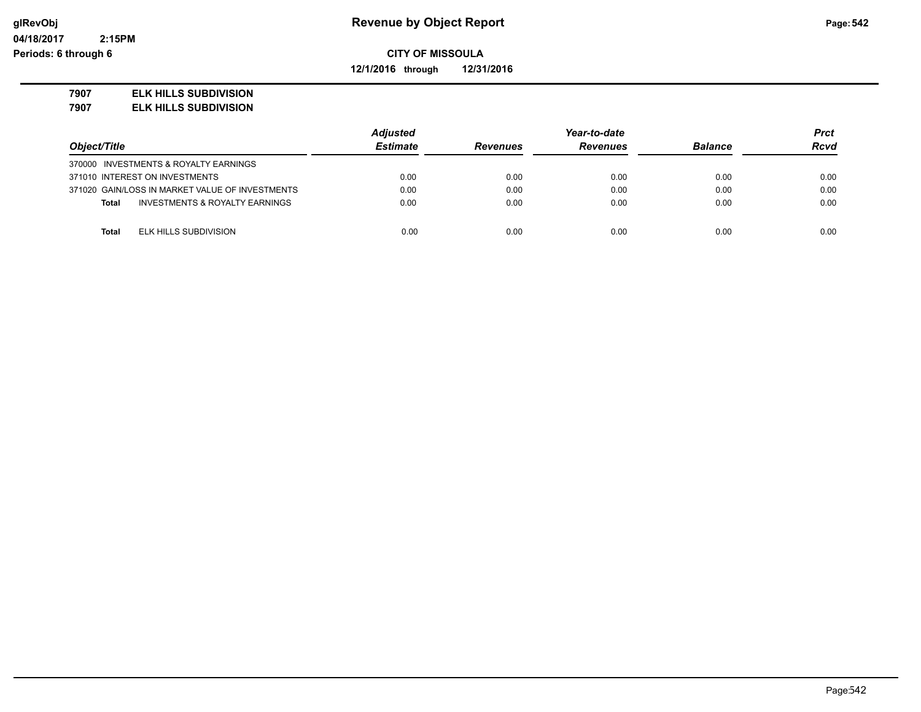**12/1/2016 through 12/31/2016**

**7907 ELK HILLS SUBDIVISION 7907 ELK HILLS SUBDIVISION**

|                                |                                                 | Adjusted        | Year-to-date    |                 |                | <b>Prct</b> |
|--------------------------------|-------------------------------------------------|-----------------|-----------------|-----------------|----------------|-------------|
| Object/Title                   |                                                 | <b>Estimate</b> | <b>Revenues</b> | <b>Revenues</b> | <b>Balance</b> | <b>Rcvd</b> |
|                                | 370000 INVESTMENTS & ROYALTY EARNINGS           |                 |                 |                 |                |             |
| 371010 INTEREST ON INVESTMENTS |                                                 | 0.00            | 0.00            | 0.00            | 0.00           | 0.00        |
|                                | 371020 GAIN/LOSS IN MARKET VALUE OF INVESTMENTS | 0.00            | 0.00            | 0.00            | 0.00           | 0.00        |
| Total                          | INVESTMENTS & ROYALTY EARNINGS                  | 0.00            | 0.00            | 0.00            | 0.00           | 0.00        |
| <b>Total</b>                   | ELK HILLS SUBDIVISION                           | 0.00            | 0.00            | 0.00            | 0.00           | 0.00        |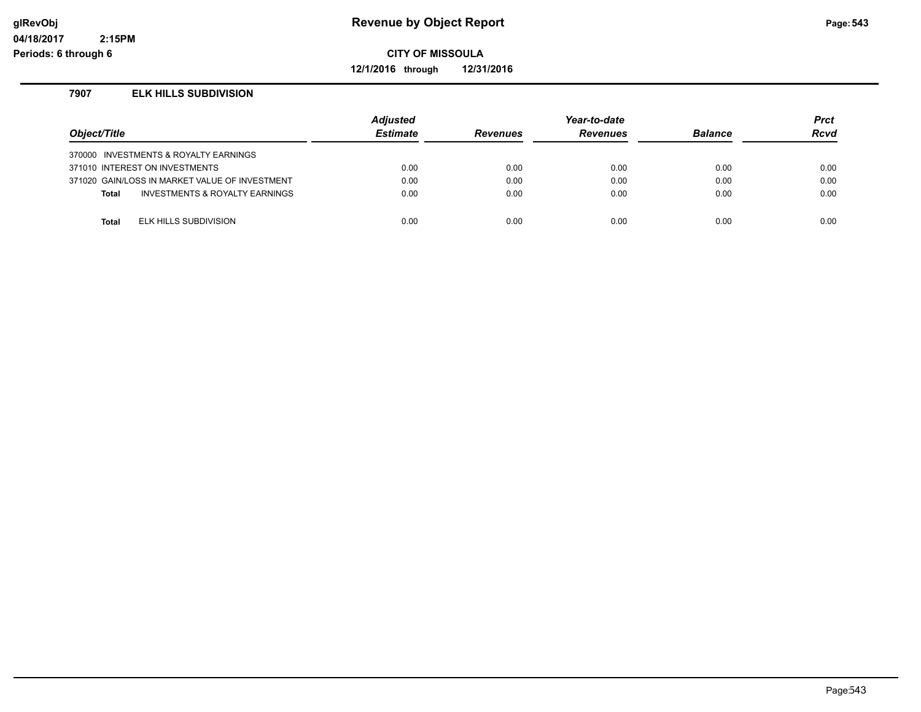**12/1/2016 through 12/31/2016**

## **7907 ELK HILLS SUBDIVISION**

|                                                    | <b>Adjusted</b> |                 | <b>Prct</b>     |                |             |
|----------------------------------------------------|-----------------|-----------------|-----------------|----------------|-------------|
| Object/Title                                       | <b>Estimate</b> | <b>Revenues</b> | <b>Revenues</b> | <b>Balance</b> | <b>Rcvd</b> |
| 370000 INVESTMENTS & ROYALTY EARNINGS              |                 |                 |                 |                |             |
| 371010 INTEREST ON INVESTMENTS                     | 0.00            | 0.00            | 0.00            | 0.00           | 0.00        |
| 371020 GAIN/LOSS IN MARKET VALUE OF INVESTMENT     | 0.00            | 0.00            | 0.00            | 0.00           | 0.00        |
| <b>INVESTMENTS &amp; ROYALTY EARNINGS</b><br>Total | 0.00            | 0.00            | 0.00            | 0.00           | 0.00        |
|                                                    |                 |                 |                 |                |             |
| <b>Total</b><br>ELK HILLS SUBDIVISION              | 0.00            | 0.00            | 0.00            | 0.00           | 0.00        |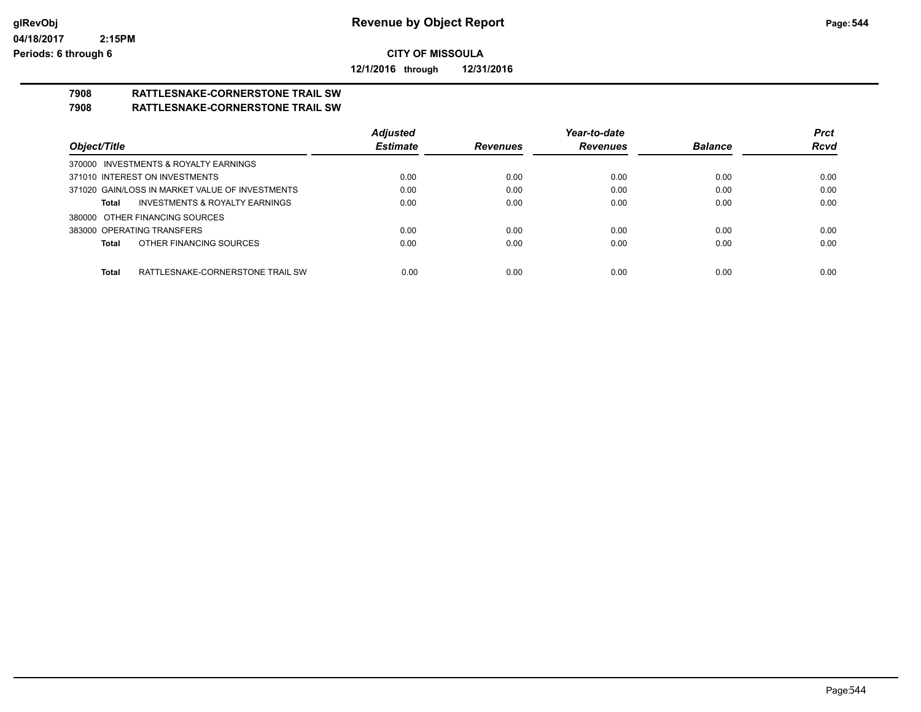**12/1/2016 through 12/31/2016**

## **7908 RATTLESNAKE-CORNERSTONE TRAIL SW 7908 RATTLESNAKE-CORNERSTONE TRAIL SW**

|                                                 | <b>Adiusted</b> |                 | Year-to-date    |                | <b>Prct</b> |
|-------------------------------------------------|-----------------|-----------------|-----------------|----------------|-------------|
| Object/Title                                    | <b>Estimate</b> | <b>Revenues</b> | <b>Revenues</b> | <b>Balance</b> | <b>Rcvd</b> |
| 370000 INVESTMENTS & ROYALTY EARNINGS           |                 |                 |                 |                |             |
| 371010 INTEREST ON INVESTMENTS                  | 0.00            | 0.00            | 0.00            | 0.00           | 0.00        |
| 371020 GAIN/LOSS IN MARKET VALUE OF INVESTMENTS | 0.00            | 0.00            | 0.00            | 0.00           | 0.00        |
| INVESTMENTS & ROYALTY EARNINGS<br>Total         | 0.00            | 0.00            | 0.00            | 0.00           | 0.00        |
| 380000 OTHER FINANCING SOURCES                  |                 |                 |                 |                |             |
| 383000 OPERATING TRANSFERS                      | 0.00            | 0.00            | 0.00            | 0.00           | 0.00        |
| OTHER FINANCING SOURCES<br>Total                | 0.00            | 0.00            | 0.00            | 0.00           | 0.00        |
|                                                 |                 |                 |                 |                |             |
| Total<br>RATTLESNAKE-CORNERSTONE TRAIL SW       | 0.00            | 0.00            | 0.00            | 0.00           | 0.00        |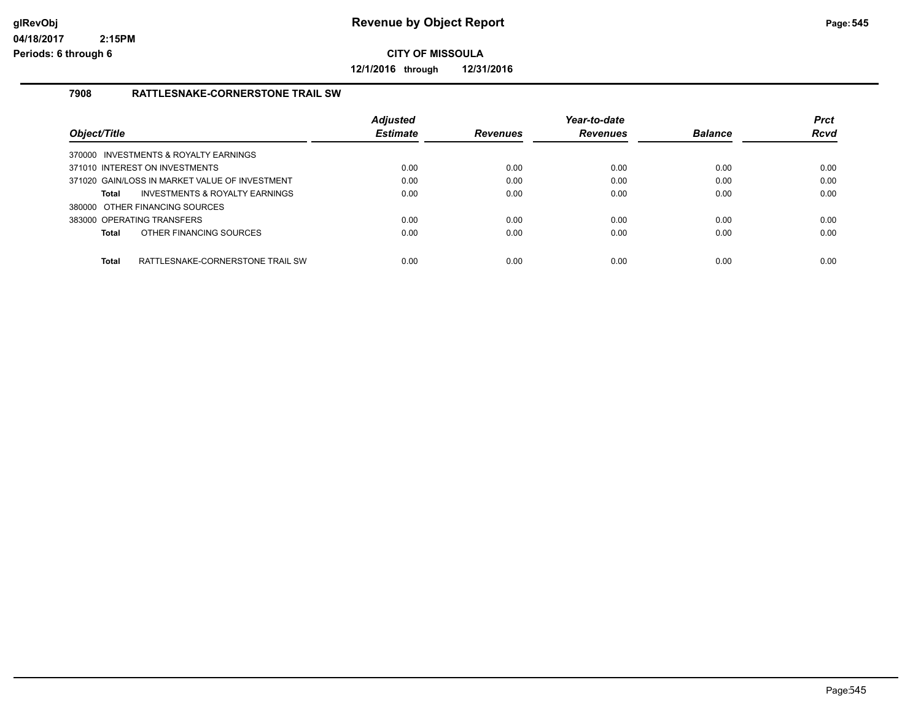**12/1/2016 through 12/31/2016**

## **7908 RATTLESNAKE-CORNERSTONE TRAIL SW**

| Object/Title                                     | <b>Adjusted</b><br><b>Estimate</b> | <b>Revenues</b> | Year-to-date<br><b>Revenues</b> | <b>Balance</b> | <b>Prct</b><br><b>Rcvd</b> |
|--------------------------------------------------|------------------------------------|-----------------|---------------------------------|----------------|----------------------------|
|                                                  |                                    |                 |                                 |                |                            |
| 370000 INVESTMENTS & ROYALTY EARNINGS            |                                    |                 |                                 |                |                            |
| 371010 INTEREST ON INVESTMENTS                   | 0.00                               | 0.00            | 0.00                            | 0.00           | 0.00                       |
| 371020 GAIN/LOSS IN MARKET VALUE OF INVESTMENT   | 0.00                               | 0.00            | 0.00                            | 0.00           | 0.00                       |
| Total<br>INVESTMENTS & ROYALTY EARNINGS          | 0.00                               | 0.00            | 0.00                            | 0.00           | 0.00                       |
| 380000 OTHER FINANCING SOURCES                   |                                    |                 |                                 |                |                            |
| 383000 OPERATING TRANSFERS                       | 0.00                               | 0.00            | 0.00                            | 0.00           | 0.00                       |
| OTHER FINANCING SOURCES<br>Total                 | 0.00                               | 0.00            | 0.00                            | 0.00           | 0.00                       |
|                                                  |                                    |                 |                                 |                |                            |
| <b>Total</b><br>RATTLESNAKE-CORNERSTONE TRAIL SW | 0.00                               | 0.00            | 0.00                            | 0.00           | 0.00                       |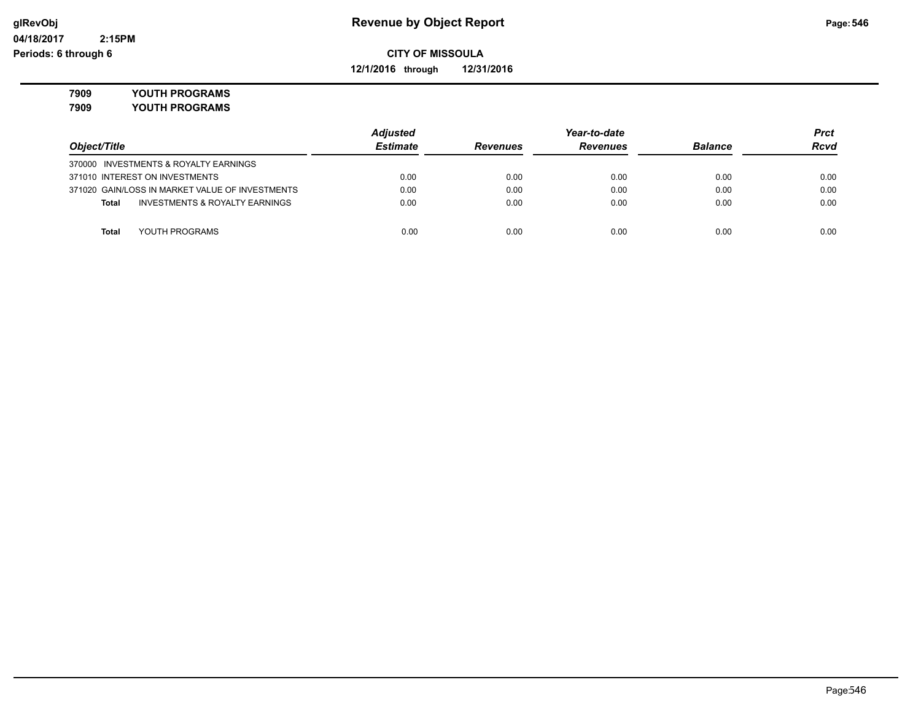**7909 YOUTH PROGRAMS 7909 YOUTH PROGRAMS**

| Object/Title                                    | <b>Adjusted</b><br><b>Estimate</b> | <b>Revenues</b> | Year-to-date<br><b>Revenues</b> | <b>Balance</b> | Prct<br><b>Rcvd</b> |
|-------------------------------------------------|------------------------------------|-----------------|---------------------------------|----------------|---------------------|
| 370000 INVESTMENTS & ROYALTY EARNINGS           |                                    |                 |                                 |                |                     |
| 371010 INTEREST ON INVESTMENTS                  | 0.00                               | 0.00            | 0.00                            | 0.00           | 0.00                |
| 371020 GAIN/LOSS IN MARKET VALUE OF INVESTMENTS | 0.00                               | 0.00            | 0.00                            | 0.00           | 0.00                |
| INVESTMENTS & ROYALTY EARNINGS<br>Total         | 0.00                               | 0.00            | 0.00                            | 0.00           | 0.00                |
|                                                 |                                    |                 |                                 |                |                     |
| YOUTH PROGRAMS<br><b>Total</b>                  | 0.00                               | 0.00            | 0.00                            | 0.00           | 0.00                |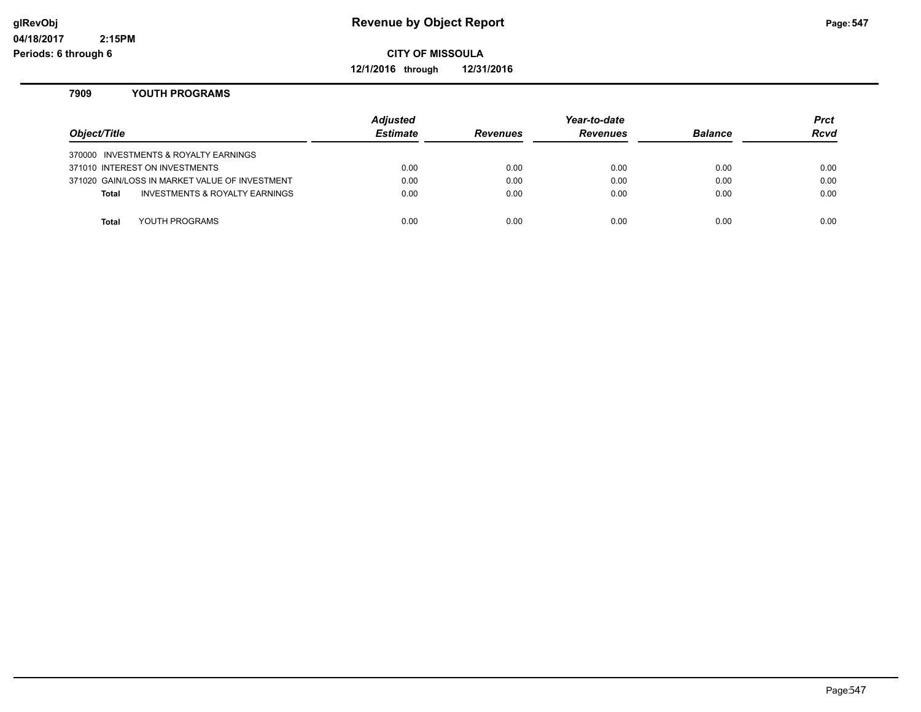**12/1/2016 through 12/31/2016**

### **7909 YOUTH PROGRAMS**

|                                                |  | <b>Adjusted</b> |                 |                 | <b>Prct</b>    |             |
|------------------------------------------------|--|-----------------|-----------------|-----------------|----------------|-------------|
| Object/Title                                   |  | <b>Estimate</b> | <b>Revenues</b> | <b>Revenues</b> | <b>Balance</b> | <b>Rcvd</b> |
| 370000 INVESTMENTS & ROYALTY EARNINGS          |  |                 |                 |                 |                |             |
| 371010 INTEREST ON INVESTMENTS                 |  | 0.00            | 0.00            | 0.00            | 0.00           | 0.00        |
| 371020 GAIN/LOSS IN MARKET VALUE OF INVESTMENT |  | 0.00            | 0.00            | 0.00            | 0.00           | 0.00        |
| INVESTMENTS & ROYALTY EARNINGS<br><b>Total</b> |  | 0.00            | 0.00            | 0.00            | 0.00           | 0.00        |
|                                                |  |                 |                 |                 |                |             |
| YOUTH PROGRAMS<br><b>Total</b>                 |  | 0.00            | 0.00            | 0.00            | 0.00           | 0.00        |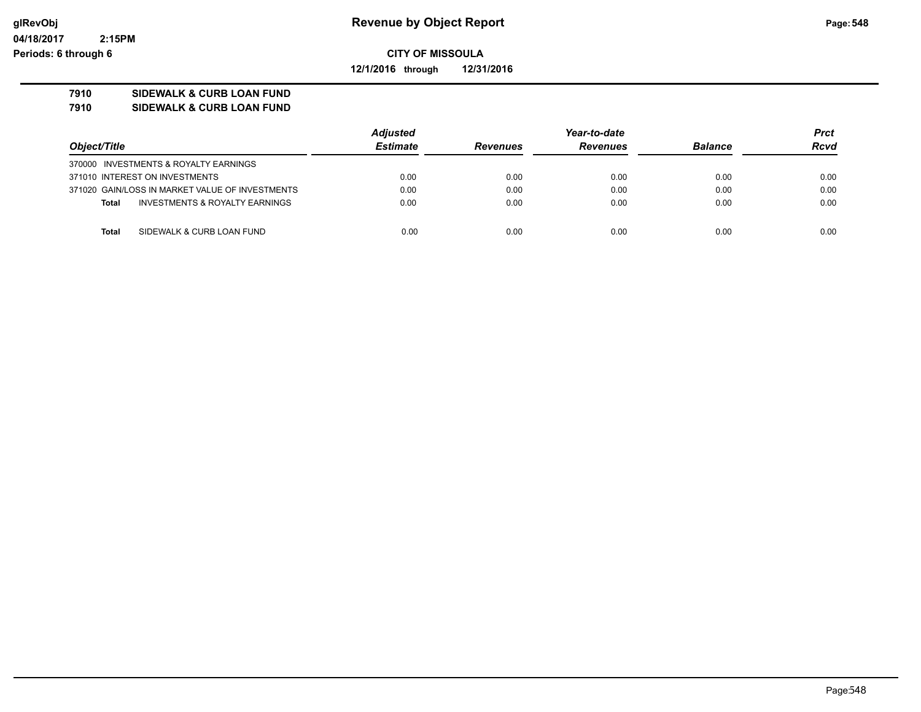**12/1/2016 through 12/31/2016**

**7910 SIDEWALK & CURB LOAN FUND 7910 SIDEWALK & CURB LOAN FUND**

|                                                 | <b>Adjusted</b> |                 | Year-to-date    |                | <b>Prct</b> |
|-------------------------------------------------|-----------------|-----------------|-----------------|----------------|-------------|
| Object/Title                                    | <b>Estimate</b> | <b>Revenues</b> | <b>Revenues</b> | <b>Balance</b> | Rcvd        |
| 370000 INVESTMENTS & ROYALTY EARNINGS           |                 |                 |                 |                |             |
| 371010 INTEREST ON INVESTMENTS                  | 0.00            | 0.00            | 0.00            | 0.00           | 0.00        |
| 371020 GAIN/LOSS IN MARKET VALUE OF INVESTMENTS | 0.00            | 0.00            | 0.00            | 0.00           | 0.00        |
| INVESTMENTS & ROYALTY EARNINGS<br>Total         | 0.00            | 0.00            | 0.00            | 0.00           | 0.00        |
|                                                 |                 |                 |                 |                |             |
| <b>Total</b><br>SIDEWALK & CURB LOAN FUND       | 0.00            | 0.00            | 0.00            | 0.00           | 0.00        |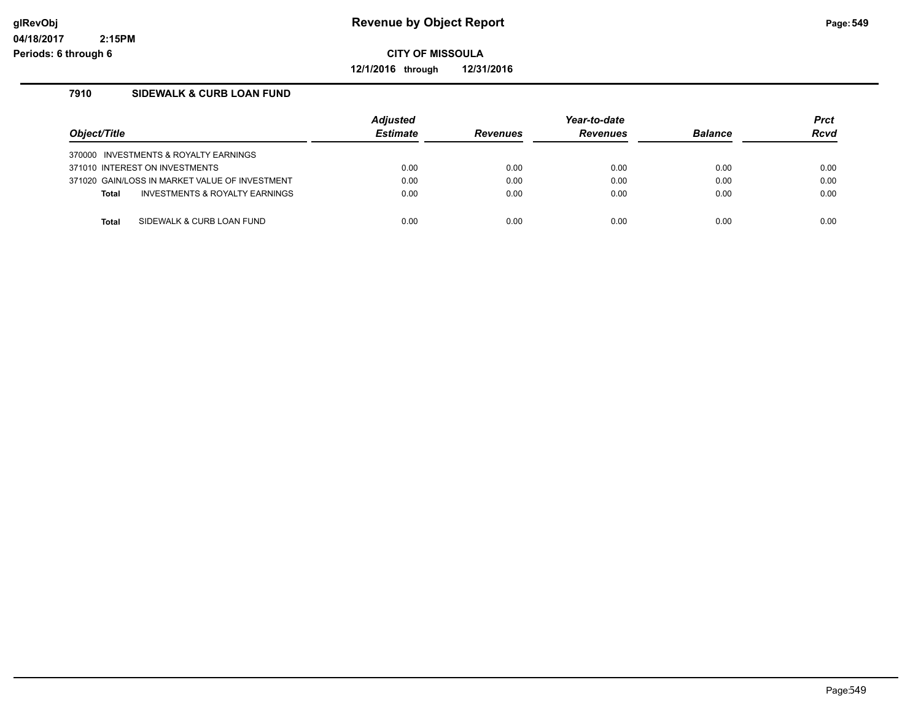**12/1/2016 through 12/31/2016**

## **7910 SIDEWALK & CURB LOAN FUND**

|                                                | <b>Adjusted</b> |                 | <b>Prct</b>     |                |             |
|------------------------------------------------|-----------------|-----------------|-----------------|----------------|-------------|
| Object/Title                                   | <b>Estimate</b> | <b>Revenues</b> | <b>Revenues</b> | <b>Balance</b> | <b>Rcvd</b> |
| 370000 INVESTMENTS & ROYALTY EARNINGS          |                 |                 |                 |                |             |
| 371010 INTEREST ON INVESTMENTS                 | 0.00            | 0.00            | 0.00            | 0.00           | 0.00        |
| 371020 GAIN/LOSS IN MARKET VALUE OF INVESTMENT | 0.00            | 0.00            | 0.00            | 0.00           | 0.00        |
| INVESTMENTS & ROYALTY EARNINGS<br><b>Total</b> | 0.00            | 0.00            | 0.00            | 0.00           | 0.00        |
| Total<br>SIDEWALK & CURB LOAN FUND             | 0.00            | 0.00            | 0.00            | 0.00           | 0.00        |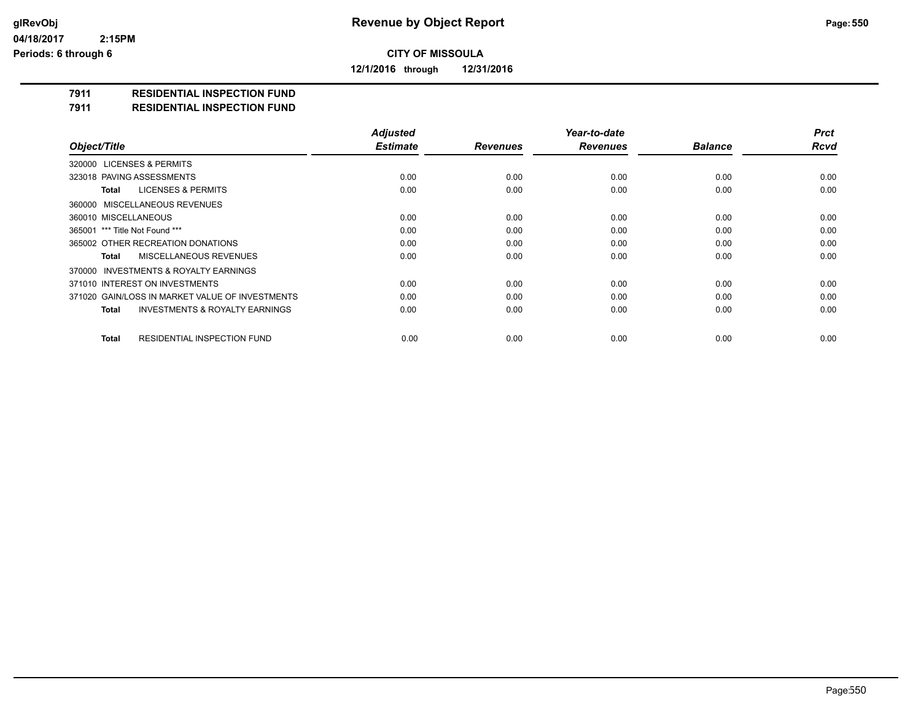**12/1/2016 through 12/31/2016**

**7911 RESIDENTIAL INSPECTION FUND**

**7911 RESIDENTIAL INSPECTION FUND**

|                                                    | <b>Adjusted</b> |                 | Year-to-date    |                | <b>Prct</b> |
|----------------------------------------------------|-----------------|-----------------|-----------------|----------------|-------------|
| Object/Title                                       | <b>Estimate</b> | <b>Revenues</b> | <b>Revenues</b> | <b>Balance</b> | <b>Rcvd</b> |
| 320000 LICENSES & PERMITS                          |                 |                 |                 |                |             |
| 323018 PAVING ASSESSMENTS                          | 0.00            | 0.00            | 0.00            | 0.00           | 0.00        |
| <b>LICENSES &amp; PERMITS</b><br>Total             | 0.00            | 0.00            | 0.00            | 0.00           | 0.00        |
| 360000 MISCELLANEOUS REVENUES                      |                 |                 |                 |                |             |
| 360010 MISCELLANEOUS                               | 0.00            | 0.00            | 0.00            | 0.00           | 0.00        |
| 365001 *** Title Not Found ***                     | 0.00            | 0.00            | 0.00            | 0.00           | 0.00        |
| 365002 OTHER RECREATION DONATIONS                  | 0.00            | 0.00            | 0.00            | 0.00           | 0.00        |
| MISCELLANEOUS REVENUES<br>Total                    | 0.00            | 0.00            | 0.00            | 0.00           | 0.00        |
| 370000 INVESTMENTS & ROYALTY EARNINGS              |                 |                 |                 |                |             |
| 371010 INTEREST ON INVESTMENTS                     | 0.00            | 0.00            | 0.00            | 0.00           | 0.00        |
| 371020 GAIN/LOSS IN MARKET VALUE OF INVESTMENTS    | 0.00            | 0.00            | 0.00            | 0.00           | 0.00        |
| <b>INVESTMENTS &amp; ROYALTY EARNINGS</b><br>Total | 0.00            | 0.00            | 0.00            | 0.00           | 0.00        |
| <b>RESIDENTIAL INSPECTION FUND</b><br>Total        | 0.00            | 0.00            | 0.00            | 0.00           | 0.00        |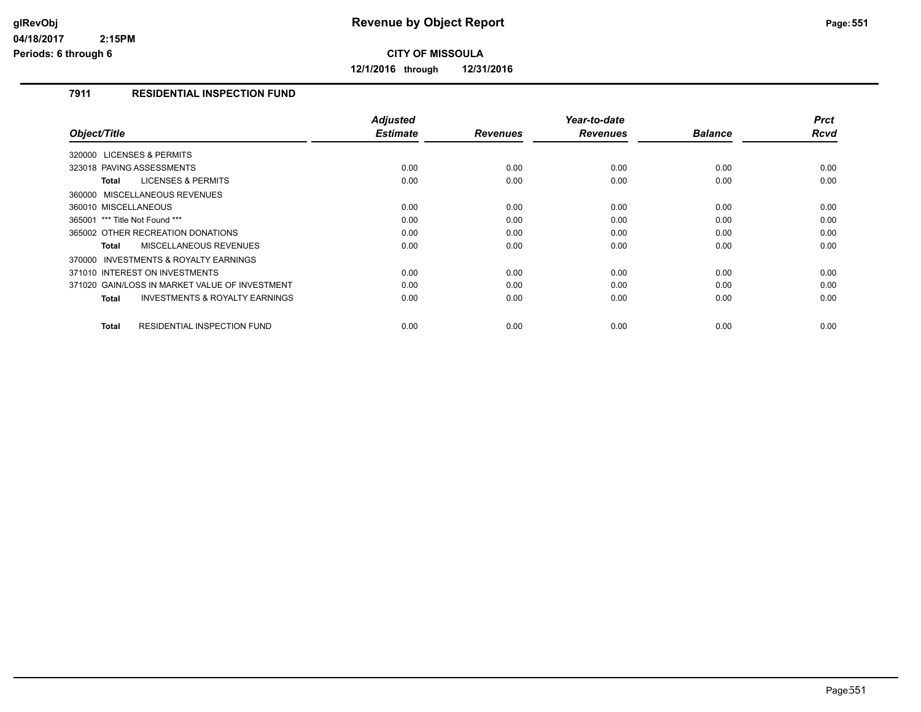**12/1/2016 through 12/31/2016**

## **7911 RESIDENTIAL INSPECTION FUND**

|                                                           | <b>Adjusted</b> |                 | Year-to-date    |                | <b>Prct</b> |
|-----------------------------------------------------------|-----------------|-----------------|-----------------|----------------|-------------|
| Object/Title                                              | <b>Estimate</b> | <b>Revenues</b> | <b>Revenues</b> | <b>Balance</b> | <b>Rcvd</b> |
| 320000 LICENSES & PERMITS                                 |                 |                 |                 |                |             |
| 323018 PAVING ASSESSMENTS                                 | 0.00            | 0.00            | 0.00            | 0.00           | 0.00        |
| <b>LICENSES &amp; PERMITS</b><br><b>Total</b>             | 0.00            | 0.00            | 0.00            | 0.00           | 0.00        |
| 360000 MISCELLANEOUS REVENUES                             |                 |                 |                 |                |             |
| 360010 MISCELLANEOUS                                      | 0.00            | 0.00            | 0.00            | 0.00           | 0.00        |
| 365001 *** Title Not Found ***                            | 0.00            | 0.00            | 0.00            | 0.00           | 0.00        |
| 365002 OTHER RECREATION DONATIONS                         | 0.00            | 0.00            | 0.00            | 0.00           | 0.00        |
| MISCELLANEOUS REVENUES<br>Total                           | 0.00            | 0.00            | 0.00            | 0.00           | 0.00        |
| 370000 INVESTMENTS & ROYALTY EARNINGS                     |                 |                 |                 |                |             |
| 371010 INTEREST ON INVESTMENTS                            | 0.00            | 0.00            | 0.00            | 0.00           | 0.00        |
| 371020 GAIN/LOSS IN MARKET VALUE OF INVESTMENT            | 0.00            | 0.00            | 0.00            | 0.00           | 0.00        |
| <b>INVESTMENTS &amp; ROYALTY EARNINGS</b><br><b>Total</b> | 0.00            | 0.00            | 0.00            | 0.00           | 0.00        |
| <b>RESIDENTIAL INSPECTION FUND</b><br><b>Total</b>        | 0.00            | 0.00            | 0.00            | 0.00           | 0.00        |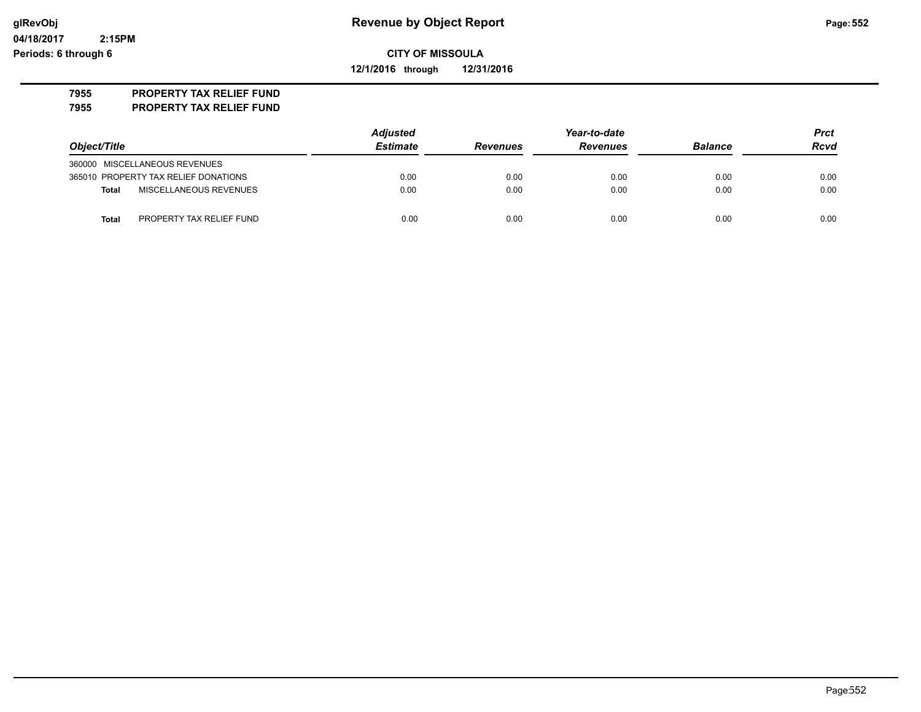**12/1/2016 through 12/31/2016**

**7955 PROPERTY TAX RELIEF FUND 7955 PROPERTY TAX RELIEF FUND**

|                                        | <b>Adjusted</b> |                 | <b>Prct</b>     |                |             |
|----------------------------------------|-----------------|-----------------|-----------------|----------------|-------------|
| Object/Title                           | <b>Estimate</b> | <b>Revenues</b> | <b>Revenues</b> | <b>Balance</b> | <b>Rcvd</b> |
| 360000 MISCELLANEOUS REVENUES          |                 |                 |                 |                |             |
| 365010 PROPERTY TAX RELIEF DONATIONS   | 0.00            | 0.00            | 0.00            | 0.00           | 0.00        |
| <b>MISCELLANEOUS REVENUES</b><br>Total | 0.00            | 0.00            | 0.00            | 0.00           | 0.00        |
| Total<br>PROPERTY TAX RELIEF FUND      | 0.00            | 0.00            | 0.00            | 0.00           | 0.00        |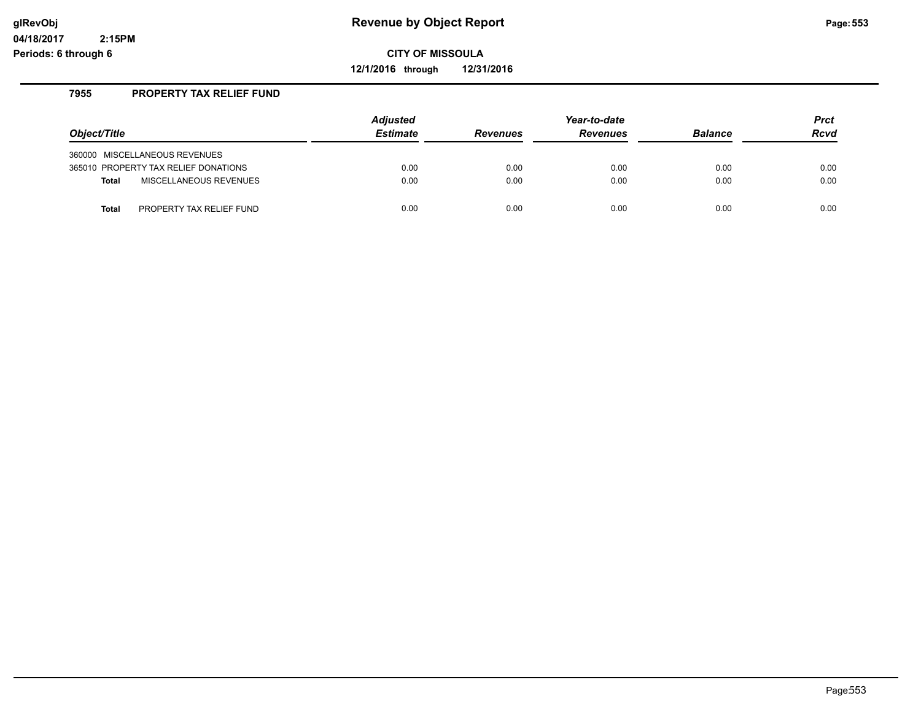**12/1/2016 through 12/31/2016**

## **7955 PROPERTY TAX RELIEF FUND**

|                                          | <b>Adjusted</b> |                 | Year-to-date    |                | <b>Prct</b> |
|------------------------------------------|-----------------|-----------------|-----------------|----------------|-------------|
| Object/Title                             | <b>Estimate</b> | <b>Revenues</b> | <b>Revenues</b> | <b>Balance</b> | <b>Rcvd</b> |
| 360000 MISCELLANEOUS REVENUES            |                 |                 |                 |                |             |
| 365010 PROPERTY TAX RELIEF DONATIONS     | 0.00            | 0.00            | 0.00            | 0.00           | 0.00        |
| MISCELLANEOUS REVENUES<br><b>Total</b>   | 0.00            | 0.00            | 0.00            | 0.00           | 0.00        |
| <b>Total</b><br>PROPERTY TAX RELIEF FUND | 0.00            | 0.00            | 0.00            | 0.00           | 0.00        |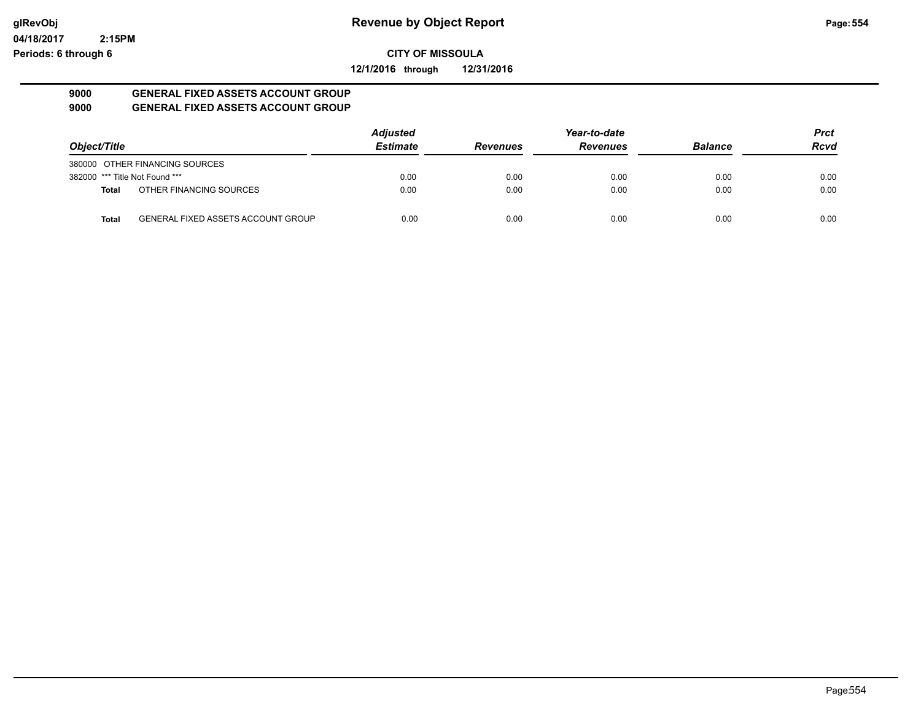**12/1/2016 through 12/31/2016**

## **9000 GENERAL FIXED ASSETS ACCOUNT GROUP 9000 GENERAL FIXED ASSETS ACCOUNT GROUP**

|                                |                                           | <b>Adjusted</b> |                 | Year-to-date    |                | <b>Prct</b> |
|--------------------------------|-------------------------------------------|-----------------|-----------------|-----------------|----------------|-------------|
| Object/Title                   |                                           | <b>Estimate</b> | <b>Revenues</b> | <b>Revenues</b> | <b>Balance</b> | <b>Rcvd</b> |
|                                | 380000 OTHER FINANCING SOURCES            |                 |                 |                 |                |             |
| 382000 *** Title Not Found *** |                                           | 0.00            | 0.00            | 0.00            | 0.00           | 0.00        |
| <b>Total</b>                   | OTHER FINANCING SOURCES                   | 0.00            | 0.00            | 0.00            | 0.00           | 0.00        |
| Total                          | <b>GENERAL FIXED ASSETS ACCOUNT GROUP</b> | 0.00            | 0.00            | 0.00            | 0.00           | 0.00        |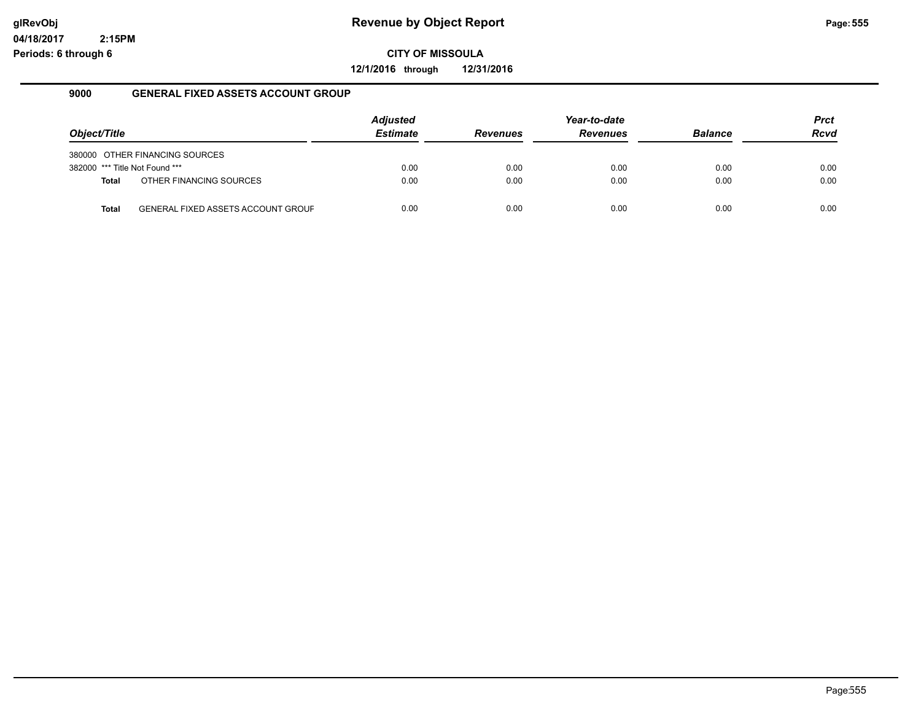**12/1/2016 through 12/31/2016**

### **9000 GENERAL FIXED ASSETS ACCOUNT GROUP**

|                                |                                           | <b>Adjusted</b> |                 | Year-to-date    |                | <b>Prct</b> |
|--------------------------------|-------------------------------------------|-----------------|-----------------|-----------------|----------------|-------------|
| Object/Title                   |                                           | <b>Estimate</b> | <b>Revenues</b> | <b>Revenues</b> | <b>Balance</b> | <b>Rcvd</b> |
|                                | 380000 OTHER FINANCING SOURCES            |                 |                 |                 |                |             |
| 382000 *** Title Not Found *** |                                           | 0.00            | 0.00            | 0.00            | 0.00           | 0.00        |
| <b>Total</b>                   | OTHER FINANCING SOURCES                   | 0.00            | 0.00            | 0.00            | 0.00           | 0.00        |
| Total                          | <b>GENERAL FIXED ASSETS ACCOUNT GROUF</b> | 0.00            | 0.00            | 0.00            | 0.00           | 0.00        |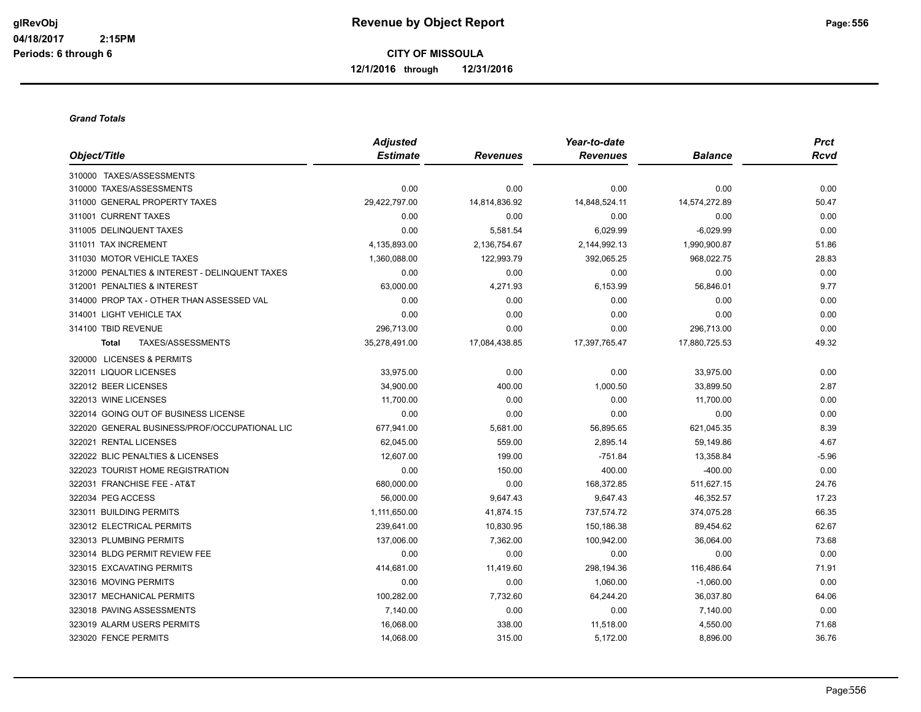#### *Grand Totals*

|                                                | <b>Adjusted</b> |                 | Year-to-date    |                | <b>Prct</b> |
|------------------------------------------------|-----------------|-----------------|-----------------|----------------|-------------|
| Object/Title                                   | <b>Estimate</b> | <b>Revenues</b> | <b>Revenues</b> | <b>Balance</b> | <b>Rcvd</b> |
| 310000 TAXES/ASSESSMENTS                       |                 |                 |                 |                |             |
| 310000 TAXES/ASSESSMENTS                       | 0.00            | 0.00            | 0.00            | 0.00           | 0.00        |
| 311000 GENERAL PROPERTY TAXES                  | 29,422,797.00   | 14,814,836.92   | 14,848,524.11   | 14,574,272.89  | 50.47       |
| 311001 CURRENT TAXES                           | 0.00            | 0.00            | 0.00            | 0.00           | 0.00        |
| 311005 DELINQUENT TAXES                        | 0.00            | 5,581.54        | 6,029.99        | $-6,029.99$    | 0.00        |
| 311011 TAX INCREMENT                           | 4,135,893.00    | 2,136,754.67    | 2,144,992.13    | 1,990,900.87   | 51.86       |
| 311030 MOTOR VEHICLE TAXES                     | 1,360,088.00    | 122,993.79      | 392,065.25      | 968,022.75     | 28.83       |
| 312000 PENALTIES & INTEREST - DELINQUENT TAXES | 0.00            | 0.00            | 0.00            | 0.00           | 0.00        |
| 312001 PENALTIES & INTEREST                    | 63,000.00       | 4,271.93        | 6,153.99        | 56,846.01      | 9.77        |
| 314000 PROP TAX - OTHER THAN ASSESSED VAL      | 0.00            | 0.00            | 0.00            | 0.00           | 0.00        |
| 314001 LIGHT VEHICLE TAX                       | 0.00            | 0.00            | 0.00            | 0.00           | 0.00        |
| 314100 TBID REVENUE                            | 296,713.00      | 0.00            | 0.00            | 296,713.00     | 0.00        |
| TAXES/ASSESSMENTS<br>Total                     | 35,278,491.00   | 17,084,438.85   | 17,397,765.47   | 17,880,725.53  | 49.32       |
| 320000 LICENSES & PERMITS                      |                 |                 |                 |                |             |
| 322011 LIQUOR LICENSES                         | 33,975.00       | 0.00            | 0.00            | 33,975.00      | 0.00        |
| 322012 BEER LICENSES                           | 34,900.00       | 400.00          | 1,000.50        | 33,899.50      | 2.87        |
| 322013 WINE LICENSES                           | 11,700.00       | 0.00            | 0.00            | 11,700.00      | 0.00        |
| 322014 GOING OUT OF BUSINESS LICENSE           | 0.00            | 0.00            | 0.00            | 0.00           | 0.00        |
| 322020 GENERAL BUSINESS/PROF/OCCUPATIONAL LIC  | 677,941.00      | 5,681.00        | 56,895.65       | 621,045.35     | 8.39        |
| 322021 RENTAL LICENSES                         | 62,045.00       | 559.00          | 2,895.14        | 59,149.86      | 4.67        |
| 322022 BLIC PENALTIES & LICENSES               | 12,607.00       | 199.00          | $-751.84$       | 13,358.84      | $-5.96$     |
| 322023 TOURIST HOME REGISTRATION               | 0.00            | 150.00          | 400.00          | $-400.00$      | 0.00        |
| 322031 FRANCHISE FEE - AT&T                    | 680,000.00      | 0.00            | 168,372.85      | 511,627.15     | 24.76       |
| 322034 PEG ACCESS                              | 56,000.00       | 9,647.43        | 9,647.43        | 46,352.57      | 17.23       |
| 323011 BUILDING PERMITS                        | 1,111,650.00    | 41,874.15       | 737,574.72      | 374,075.28     | 66.35       |
| 323012 ELECTRICAL PERMITS                      | 239,641.00      | 10,830.95       | 150,186.38      | 89,454.62      | 62.67       |
| 323013 PLUMBING PERMITS                        | 137,006.00      | 7,362.00        | 100,942.00      | 36,064.00      | 73.68       |
| 323014 BLDG PERMIT REVIEW FEE                  | 0.00            | 0.00            | 0.00            | 0.00           | 0.00        |
| 323015 EXCAVATING PERMITS                      | 414,681.00      | 11,419.60       | 298,194.36      | 116,486.64     | 71.91       |
| 323016 MOVING PERMITS                          | 0.00            | 0.00            | 1,060.00        | $-1,060.00$    | 0.00        |
| 323017 MECHANICAL PERMITS                      | 100,282.00      | 7,732.60        | 64,244.20       | 36,037.80      | 64.06       |
| 323018 PAVING ASSESSMENTS                      | 7,140.00        | 0.00            | 0.00            | 7,140.00       | 0.00        |
| 323019 ALARM USERS PERMITS                     | 16,068.00       | 338.00          | 11,518.00       | 4,550.00       | 71.68       |
| 323020 FENCE PERMITS                           | 14,068.00       | 315.00          | 5,172.00        | 8,896.00       | 36.76       |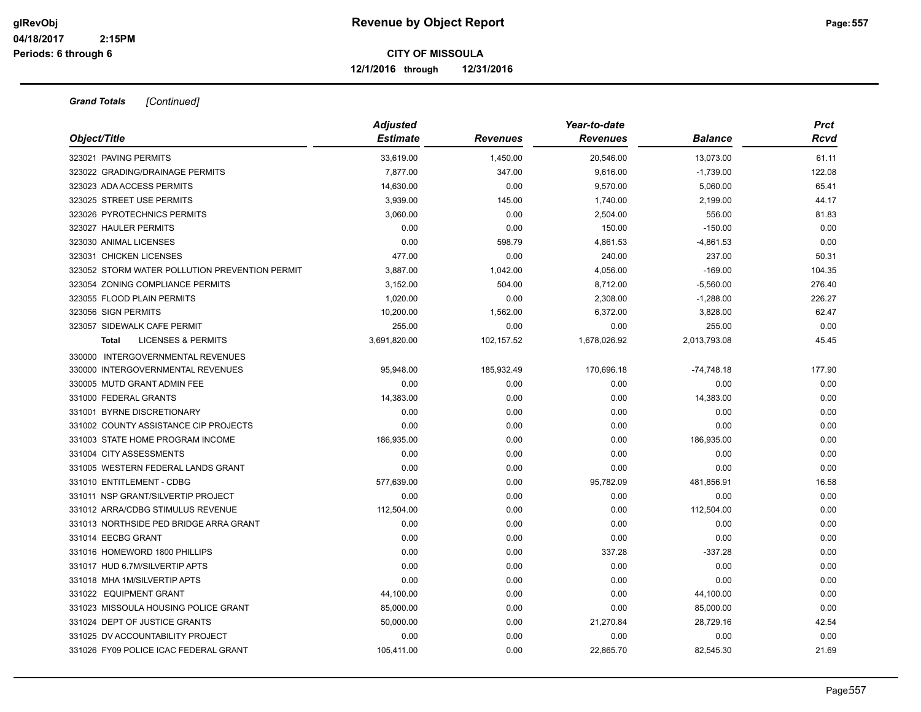| Object/Title                                   | <b>Adjusted</b><br><b>Estimate</b> | <b>Revenues</b> | Year-to-date<br><b>Revenues</b> | <b>Balance</b> | Prct<br><b>Rcvd</b> |
|------------------------------------------------|------------------------------------|-----------------|---------------------------------|----------------|---------------------|
| 323021 PAVING PERMITS                          | 33.619.00                          | 1,450.00        | 20,546.00                       | 13,073.00      | 61.11               |
| 323022 GRADING/DRAINAGE PERMITS                | 7,877.00                           | 347.00          | 9,616.00                        | $-1,739.00$    | 122.08              |
| 323023 ADA ACCESS PERMITS                      | 14,630.00                          | 0.00            | 9,570.00                        | 5,060.00       | 65.41               |
| 323025 STREET USE PERMITS                      | 3,939.00                           | 145.00          | 1,740.00                        | 2,199.00       | 44.17               |
| 323026 PYROTECHNICS PERMITS                    | 3,060.00                           | 0.00            | 2,504.00                        | 556.00         | 81.83               |
| 323027 HAULER PERMITS                          | 0.00                               | 0.00            | 150.00                          | $-150.00$      | 0.00                |
| 323030 ANIMAL LICENSES                         | 0.00                               | 598.79          | 4,861.53                        | $-4,861.53$    | 0.00                |
| 323031 CHICKEN LICENSES                        | 477.00                             | 0.00            | 240.00                          | 237.00         | 50.31               |
| 323052 STORM WATER POLLUTION PREVENTION PERMIT | 3,887.00                           | 1,042.00        | 4,056.00                        | $-169.00$      | 104.35              |
| 323054 ZONING COMPLIANCE PERMITS               | 3,152.00                           | 504.00          | 8,712.00                        | $-5,560.00$    | 276.40              |
| 323055 FLOOD PLAIN PERMITS                     | 1,020.00                           | 0.00            | 2,308.00                        | $-1,288.00$    | 226.27              |
| 323056 SIGN PERMITS                            | 10,200.00                          | 1,562.00        | 6,372.00                        | 3,828.00       | 62.47               |
| 323057 SIDEWALK CAFE PERMIT                    | 255.00                             | 0.00            | 0.00                            | 255.00         | 0.00                |
| <b>LICENSES &amp; PERMITS</b><br>Total         | 3,691,820.00                       | 102,157.52      | 1,678,026.92                    | 2,013,793.08   | 45.45               |
| 330000 INTERGOVERNMENTAL REVENUES              |                                    |                 |                                 |                |                     |
| 330000 INTERGOVERNMENTAL REVENUES              | 95,948.00                          | 185,932.49      | 170,696.18                      | $-74,748.18$   | 177.90              |
| 330005 MUTD GRANT ADMIN FEE                    | 0.00                               | 0.00            | 0.00                            | 0.00           | 0.00                |
| 331000 FEDERAL GRANTS                          | 14,383.00                          | 0.00            | 0.00                            | 14,383.00      | 0.00                |
| 331001 BYRNE DISCRETIONARY                     | 0.00                               | 0.00            | 0.00                            | 0.00           | 0.00                |
| 331002 COUNTY ASSISTANCE CIP PROJECTS          | 0.00                               | 0.00            | 0.00                            | 0.00           | 0.00                |
| 331003 STATE HOME PROGRAM INCOME               | 186,935.00                         | 0.00            | 0.00                            | 186,935.00     | 0.00                |
| 331004 CITY ASSESSMENTS                        | 0.00                               | 0.00            | 0.00                            | 0.00           | 0.00                |
| 331005 WESTERN FEDERAL LANDS GRANT             | 0.00                               | 0.00            | 0.00                            | 0.00           | 0.00                |
| 331010 ENTITLEMENT - CDBG                      | 577,639.00                         | 0.00            | 95,782.09                       | 481,856.91     | 16.58               |
| 331011 NSP GRANT/SILVERTIP PROJECT             | 0.00                               | 0.00            | 0.00                            | 0.00           | 0.00                |
| 331012 ARRA/CDBG STIMULUS REVENUE              | 112,504.00                         | 0.00            | 0.00                            | 112,504.00     | 0.00                |
| 331013 NORTHSIDE PED BRIDGE ARRA GRANT         | 0.00                               | 0.00            | 0.00                            | 0.00           | 0.00                |
| 331014 EECBG GRANT                             | 0.00                               | 0.00            | 0.00                            | 0.00           | 0.00                |
| 331016 HOMEWORD 1800 PHILLIPS                  | 0.00                               | 0.00            | 337.28                          | $-337.28$      | 0.00                |
| 331017 HUD 6.7M/SILVERTIP APTS                 | 0.00                               | 0.00            | 0.00                            | 0.00           | 0.00                |
| 331018 MHA 1M/SILVERTIP APTS                   | 0.00                               | 0.00            | 0.00                            | 0.00           | 0.00                |
| 331022 EQUIPMENT GRANT                         | 44,100.00                          | 0.00            | 0.00                            | 44,100.00      | 0.00                |
| 331023 MISSOULA HOUSING POLICE GRANT           | 85,000.00                          | 0.00            | 0.00                            | 85,000.00      | 0.00                |
| 331024 DEPT OF JUSTICE GRANTS                  | 50,000.00                          | 0.00            | 21,270.84                       | 28,729.16      | 42.54               |
| 331025 DV ACCOUNTABILITY PROJECT               | 0.00                               | 0.00            | 0.00                            | 0.00           | 0.00                |
| 331026 FY09 POLICE ICAC FEDERAL GRANT          | 105.411.00                         | 0.00            | 22.865.70                       | 82.545.30      | 21.69               |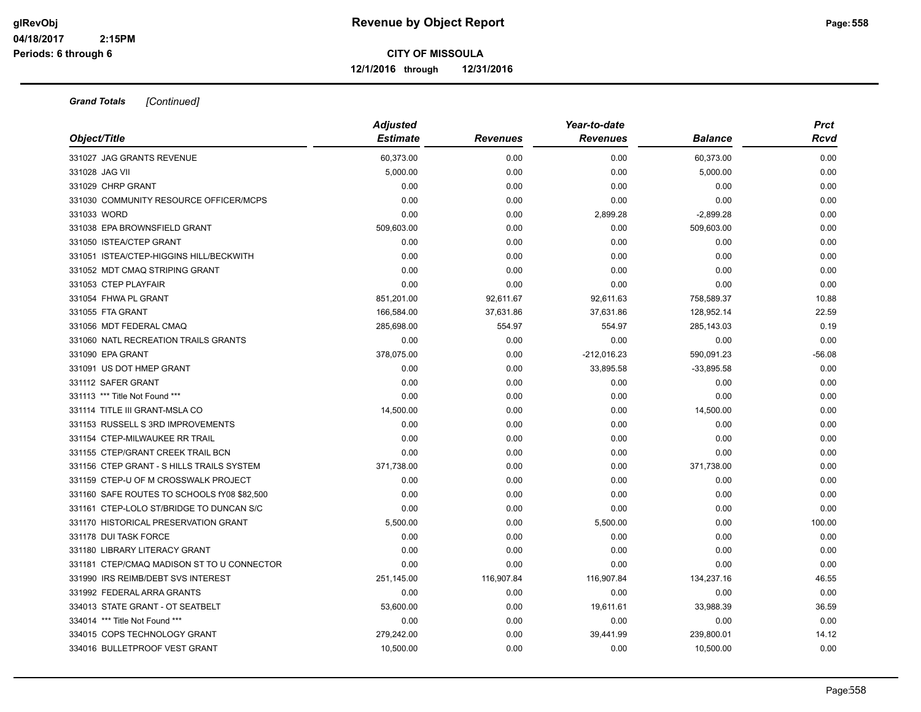|                                             | <b>Adjusted</b> |                 | Year-to-date    | <b>Prct</b>    |          |  |
|---------------------------------------------|-----------------|-----------------|-----------------|----------------|----------|--|
| Object/Title                                | <b>Estimate</b> | <b>Revenues</b> | <b>Revenues</b> | <b>Balance</b> | Rcvd     |  |
| 331027 JAG GRANTS REVENUE                   | 60,373.00       | 0.00            | 0.00            | 60,373.00      | 0.00     |  |
| 331028 JAG VII                              | 5,000.00        | 0.00            | 0.00            | 5,000.00       | 0.00     |  |
| 331029 CHRP GRANT                           | 0.00            | 0.00            | 0.00            | 0.00           | 0.00     |  |
| 331030 COMMUNITY RESOURCE OFFICER/MCPS      | 0.00            | 0.00            | 0.00            | 0.00           | 0.00     |  |
| 331033 WORD                                 | 0.00            | 0.00            | 2,899.28        | $-2,899.28$    | 0.00     |  |
| 331038 EPA BROWNSFIELD GRANT                | 509,603.00      | 0.00            | 0.00            | 509,603.00     | 0.00     |  |
| 331050 ISTEA/CTEP GRANT                     | 0.00            | 0.00            | 0.00            | 0.00           | 0.00     |  |
| 331051 ISTEA/CTEP-HIGGINS HILL/BECKWITH     | 0.00            | 0.00            | 0.00            | 0.00           | 0.00     |  |
| 331052 MDT CMAQ STRIPING GRANT              | 0.00            | 0.00            | 0.00            | 0.00           | 0.00     |  |
| 331053 CTEP PLAYFAIR                        | 0.00            | 0.00            | 0.00            | 0.00           | 0.00     |  |
| 331054 FHWA PL GRANT                        | 851,201.00      | 92,611.67       | 92,611.63       | 758,589.37     | 10.88    |  |
| 331055 FTA GRANT                            | 166,584.00      | 37,631.86       | 37,631.86       | 128,952.14     | 22.59    |  |
| 331056 MDT FEDERAL CMAQ                     | 285,698.00      | 554.97          | 554.97          | 285,143.03     | 0.19     |  |
| 331060 NATL RECREATION TRAILS GRANTS        | 0.00            | 0.00            | 0.00            | 0.00           | 0.00     |  |
| 331090 EPA GRANT                            | 378,075.00      | 0.00            | $-212,016.23$   | 590,091.23     | $-56.08$ |  |
| 331091 US DOT HMEP GRANT                    | 0.00            | 0.00            | 33,895.58       | $-33,895.58$   | 0.00     |  |
| 331112 SAFER GRANT                          | 0.00            | 0.00            | 0.00            | 0.00           | 0.00     |  |
| 331113 *** Title Not Found ***              | 0.00            | 0.00            | 0.00            | 0.00           | 0.00     |  |
| 331114 TITLE III GRANT-MSLA CO              | 14,500.00       | 0.00            | 0.00            | 14,500.00      | 0.00     |  |
| 331153 RUSSELL S 3RD IMPROVEMENTS           | 0.00            | 0.00            | 0.00            | 0.00           | 0.00     |  |
| 331154 CTEP-MILWAUKEE RR TRAIL              | 0.00            | 0.00            | 0.00            | 0.00           | 0.00     |  |
| 331155 CTEP/GRANT CREEK TRAIL BCN           | 0.00            | 0.00            | 0.00            | 0.00           | 0.00     |  |
| 331156 CTEP GRANT - S HILLS TRAILS SYSTEM   | 371,738.00      | 0.00            | 0.00            | 371,738.00     | 0.00     |  |
| 331159 CTEP-U OF M CROSSWALK PROJECT        | 0.00            | 0.00            | 0.00            | 0.00           | 0.00     |  |
| 331160 SAFE ROUTES TO SCHOOLS fY08 \$82,500 | 0.00            | 0.00            | 0.00            | 0.00           | 0.00     |  |
| 331161 CTEP-LOLO ST/BRIDGE TO DUNCAN S/C    | 0.00            | 0.00            | 0.00            | 0.00           | 0.00     |  |
| 331170 HISTORICAL PRESERVATION GRANT        | 5,500.00        | 0.00            | 5,500.00        | 0.00           | 100.00   |  |
| 331178 DUI TASK FORCE                       | 0.00            | 0.00            | 0.00            | 0.00           | 0.00     |  |
| 331180 LIBRARY LITERACY GRANT               | 0.00            | 0.00            | 0.00            | 0.00           | 0.00     |  |
| 331181 CTEP/CMAQ MADISON ST TO U CONNECTOR  | 0.00            | 0.00            | 0.00            | 0.00           | 0.00     |  |
| 331990 IRS REIMB/DEBT SVS INTEREST          | 251,145.00      | 116,907.84      | 116,907.84      | 134,237.16     | 46.55    |  |
| 331992 FEDERAL ARRA GRANTS                  | 0.00            | 0.00            | 0.00            | 0.00           | 0.00     |  |
| 334013 STATE GRANT - OT SEATBELT            | 53,600.00       | 0.00            | 19,611.61       | 33,988.39      | 36.59    |  |
| 334014 *** Title Not Found ***              | 0.00            | 0.00            | 0.00            | 0.00           | 0.00     |  |
| 334015 COPS TECHNOLOGY GRANT                | 279,242.00      | 0.00            | 39,441.99       | 239,800.01     | 14.12    |  |
| 334016 BULLETPROOF VEST GRANT               | 10,500.00       | 0.00            | 0.00            | 10,500.00      | 0.00     |  |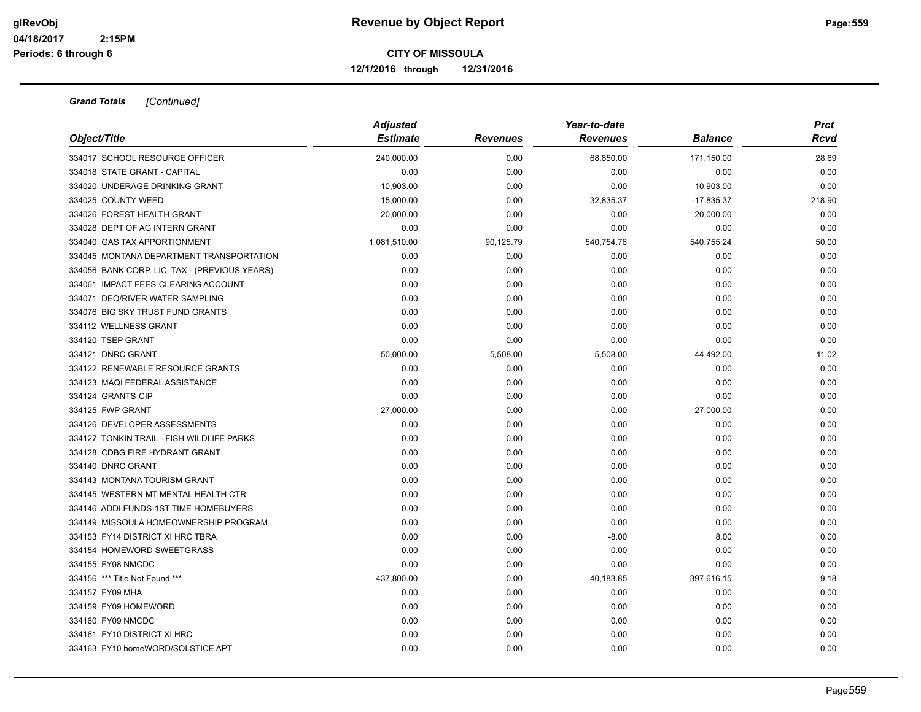| <b>Estimate</b><br>Object/Title<br><b>Revenues</b><br><b>Revenues</b><br>334017 SCHOOL RESOURCE OFFICER<br>240,000.00<br>0.00<br>68,850.00 | <b>Balance</b><br>171,150.00<br>0.00 | <b>Rcvd</b><br>28.69 |
|--------------------------------------------------------------------------------------------------------------------------------------------|--------------------------------------|----------------------|
|                                                                                                                                            |                                      |                      |
|                                                                                                                                            |                                      |                      |
| 334018 STATE GRANT - CAPITAL<br>0.00<br>0.00<br>0.00                                                                                       |                                      | 0.00                 |
| 334020 UNDERAGE DRINKING GRANT<br>10,903.00<br>0.00<br>0.00                                                                                | 10,903.00                            | 0.00                 |
| 334025 COUNTY WEED<br>15,000.00<br>0.00<br>32,835.37                                                                                       | $-17,835.37$                         | 218.90               |
| 334026 FOREST HEALTH GRANT<br>20,000.00<br>0.00<br>0.00                                                                                    | 20,000.00                            | 0.00                 |
| 334028 DEPT OF AG INTERN GRANT<br>0.00<br>0.00<br>0.00                                                                                     | 0.00                                 | 0.00                 |
| 334040 GAS TAX APPORTIONMENT<br>1,081,510.00<br>540,754.76<br>90,125.79                                                                    | 540,755.24                           | 50.00                |
| 0.00<br>0.00<br>334045 MONTANA DEPARTMENT TRANSPORTATION<br>0.00                                                                           | 0.00                                 | 0.00                 |
| 334056 BANK CORP. LIC. TAX - (PREVIOUS YEARS)<br>0.00<br>0.00<br>0.00                                                                      | 0.00                                 | 0.00                 |
| 334061 IMPACT FEES-CLEARING ACCOUNT<br>0.00<br>0.00<br>0.00                                                                                | 0.00                                 | 0.00                 |
| 334071 DEQ/RIVER WATER SAMPLING<br>0.00<br>0.00<br>0.00                                                                                    | 0.00                                 | 0.00                 |
| 334076 BIG SKY TRUST FUND GRANTS<br>0.00<br>0.00<br>0.00                                                                                   | 0.00                                 | 0.00                 |
| 334112 WELLNESS GRANT<br>0.00<br>0.00<br>0.00                                                                                              | 0.00                                 | 0.00                 |
| 334120 TSEP GRANT<br>0.00<br>0.00<br>0.00                                                                                                  | 0.00                                 | 0.00                 |
| 334121 DNRC GRANT<br>50,000.00<br>5,508.00<br>5,508.00                                                                                     | 44,492.00                            | 11.02                |
| 334122 RENEWABLE RESOURCE GRANTS<br>0.00<br>0.00<br>0.00                                                                                   | 0.00                                 | 0.00                 |
| 334123 MAQI FEDERAL ASSISTANCE<br>0.00<br>0.00<br>0.00                                                                                     | 0.00                                 | 0.00                 |
| 334124 GRANTS-CIP<br>0.00<br>0.00<br>0.00                                                                                                  | 0.00                                 | 0.00                 |
| 334125 FWP GRANT<br>27,000.00<br>0.00<br>0.00                                                                                              | 27,000.00                            | 0.00                 |
| 334126 DEVELOPER ASSESSMENTS<br>0.00<br>0.00<br>0.00                                                                                       | 0.00                                 | 0.00                 |
| 334127 TONKIN TRAIL - FISH WILDLIFE PARKS<br>0.00<br>0.00<br>0.00                                                                          | 0.00                                 | 0.00                 |
| 334128 CDBG FIRE HYDRANT GRANT<br>0.00<br>0.00<br>0.00                                                                                     | 0.00                                 | 0.00                 |
| 334140 DNRC GRANT<br>0.00<br>0.00<br>0.00                                                                                                  | 0.00                                 | 0.00                 |
| 334143 MONTANA TOURISM GRANT<br>0.00<br>0.00<br>0.00                                                                                       | 0.00                                 | 0.00                 |
| 334145 WESTERN MT MENTAL HEALTH CTR<br>0.00<br>0.00<br>0.00                                                                                | 0.00                                 | 0.00                 |
| 334146 ADDI FUNDS-1ST TIME HOMEBUYERS<br>0.00<br>0.00<br>0.00                                                                              | 0.00                                 | 0.00                 |
| 334149 MISSOULA HOMEOWNERSHIP PROGRAM<br>0.00<br>0.00<br>0.00                                                                              | 0.00                                 | 0.00                 |
| 334153 FY14 DISTRICT XI HRC TBRA<br>0.00<br>0.00<br>$-8.00$                                                                                | 8.00                                 | 0.00                 |
| 334154 HOMEWORD SWEETGRASS<br>0.00<br>0.00<br>0.00                                                                                         | 0.00                                 | 0.00                 |
| 334155 FY08 NMCDC<br>0.00<br>0.00<br>0.00                                                                                                  | 0.00                                 | 0.00                 |
| 334156 *** Title Not Found ***<br>437,800.00<br>0.00<br>40,183.85                                                                          | 397,616.15                           | 9.18                 |
| 334157 FY09 MHA<br>0.00<br>0.00<br>0.00                                                                                                    | 0.00                                 | 0.00                 |
| 334159 FY09 HOMEWORD<br>0.00<br>0.00<br>0.00                                                                                               | 0.00                                 | 0.00                 |
| 334160 FY09 NMCDC<br>0.00<br>0.00<br>0.00                                                                                                  | 0.00                                 | 0.00                 |
| 334161 FY10 DISTRICT XI HRC<br>0.00<br>0.00<br>0.00                                                                                        | 0.00                                 | 0.00                 |
| 334163 FY10 homeWORD/SOLSTICE APT<br>0.00<br>0.00<br>0.00                                                                                  | 0.00                                 | 0.00                 |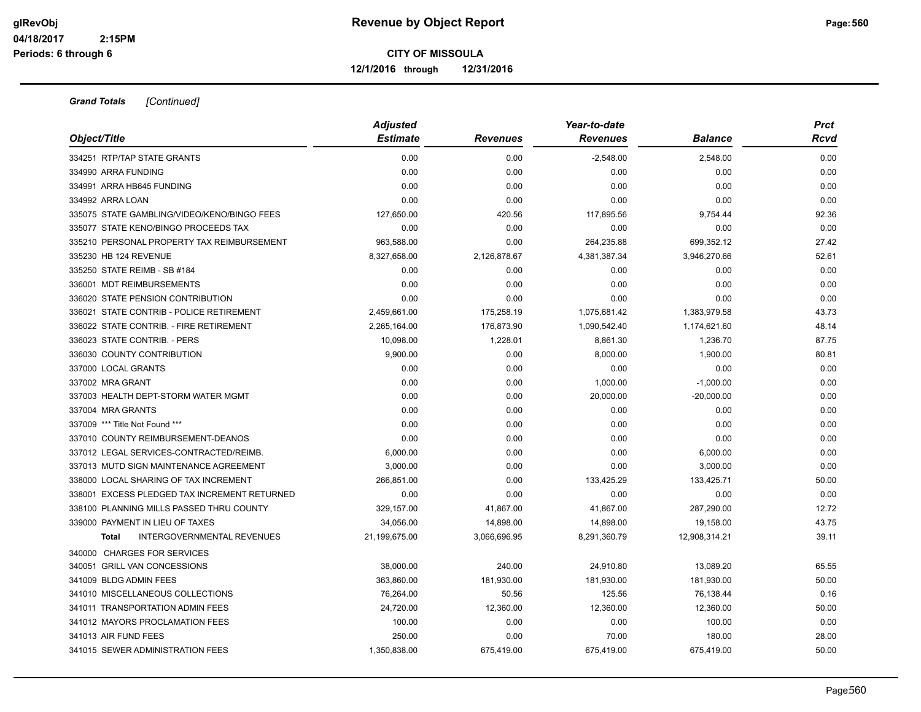| Object/Title                                 | <b>Adjusted</b><br><b>Estimate</b> | <b>Revenues</b> | Year-to-date<br><b>Revenues</b> | <b>Balance</b> | <b>Prct</b><br>Rcvd |
|----------------------------------------------|------------------------------------|-----------------|---------------------------------|----------------|---------------------|
|                                              |                                    |                 |                                 |                |                     |
| 334251 RTP/TAP STATE GRANTS                  | 0.00                               | 0.00            | $-2,548.00$                     | 2,548.00       | 0.00                |
| 334990 ARRA FUNDING                          | 0.00                               | 0.00            | 0.00                            | 0.00           | 0.00                |
| 334991 ARRA HB645 FUNDING                    | 0.00                               | 0.00            | 0.00                            | 0.00           | 0.00                |
| 334992 ARRA LOAN                             | 0.00                               | 0.00            | 0.00                            | 0.00           | 0.00                |
| 335075 STATE GAMBLING/VIDEO/KENO/BINGO FEES  | 127,650.00                         | 420.56          | 117,895.56                      | 9,754.44       | 92.36               |
| 335077 STATE KENO/BINGO PROCEEDS TAX         | 0.00                               | 0.00            | 0.00                            | 0.00           | 0.00                |
| 335210 PERSONAL PROPERTY TAX REIMBURSEMENT   | 963,588.00                         | 0.00            | 264,235.88                      | 699,352.12     | 27.42               |
| 335230 HB 124 REVENUE                        | 8,327,658.00                       | 2,126,878.67    | 4,381,387.34                    | 3,946,270.66   | 52.61               |
| 335250 STATE REIMB - SB #184                 | 0.00                               | 0.00            | 0.00                            | 0.00           | 0.00                |
| 336001 MDT REIMBURSEMENTS                    | 0.00                               | 0.00            | 0.00                            | 0.00           | 0.00                |
| 336020 STATE PENSION CONTRIBUTION            | 0.00                               | 0.00            | 0.00                            | 0.00           | 0.00                |
| 336021 STATE CONTRIB - POLICE RETIREMENT     | 2,459,661.00                       | 175,258.19      | 1,075,681.42                    | 1,383,979.58   | 43.73               |
| 336022 STATE CONTRIB. - FIRE RETIREMENT      | 2,265,164.00                       | 176,873.90      | 1,090,542.40                    | 1,174,621.60   | 48.14               |
| 336023 STATE CONTRIB. - PERS                 | 10,098.00                          | 1,228.01        | 8,861.30                        | 1,236.70       | 87.75               |
| 336030 COUNTY CONTRIBUTION                   | 9,900.00                           | 0.00            | 8,000.00                        | 1,900.00       | 80.81               |
| 337000 LOCAL GRANTS                          | 0.00                               | 0.00            | 0.00                            | 0.00           | 0.00                |
| 337002 MRA GRANT                             | 0.00                               | 0.00            | 1,000.00                        | $-1,000.00$    | 0.00                |
| 337003 HEALTH DEPT-STORM WATER MGMT          | 0.00                               | 0.00            | 20,000.00                       | $-20,000.00$   | 0.00                |
| 337004 MRA GRANTS                            | 0.00                               | 0.00            | 0.00                            | 0.00           | 0.00                |
| 337009 *** Title Not Found ***               | 0.00                               | 0.00            | 0.00                            | 0.00           | 0.00                |
| 337010 COUNTY REIMBURSEMENT-DEANOS           | 0.00                               | 0.00            | 0.00                            | 0.00           | 0.00                |
| 337012 LEGAL SERVICES-CONTRACTED/REIMB.      | 6,000.00                           | 0.00            | 0.00                            | 6,000.00       | 0.00                |
| 337013 MUTD SIGN MAINTENANCE AGREEMENT       | 3,000.00                           | 0.00            | 0.00                            | 3,000.00       | 0.00                |
| 338000 LOCAL SHARING OF TAX INCREMENT        | 266,851.00                         | 0.00            | 133,425.29                      | 133,425.71     | 50.00               |
| 338001 EXCESS PLEDGED TAX INCREMENT RETURNED | 0.00                               | 0.00            | 0.00                            | 0.00           | 0.00                |
| 338100 PLANNING MILLS PASSED THRU COUNTY     | 329,157.00                         | 41,867.00       | 41,867.00                       | 287,290.00     | 12.72               |
| 339000 PAYMENT IN LIEU OF TAXES              | 34,056.00                          | 14,898.00       | 14,898.00                       | 19,158.00      | 43.75               |
| INTERGOVERNMENTAL REVENUES<br><b>Total</b>   | 21,199,675.00                      | 3,066,696.95    | 8,291,360.79                    | 12,908,314.21  | 39.11               |
| 340000 CHARGES FOR SERVICES                  |                                    |                 |                                 |                |                     |
| 340051 GRILL VAN CONCESSIONS                 | 38,000.00                          | 240.00          | 24,910.80                       | 13,089.20      | 65.55               |
| 341009 BLDG ADMIN FEES                       | 363,860.00                         | 181,930.00      | 181,930.00                      | 181,930.00     | 50.00               |
| 341010 MISCELLANEOUS COLLECTIONS             | 76,264.00                          | 50.56           | 125.56                          | 76,138.44      | 0.16                |
| 341011 TRANSPORTATION ADMIN FEES             | 24,720.00                          | 12,360.00       | 12,360.00                       | 12,360.00      | 50.00               |
| 341012 MAYORS PROCLAMATION FEES              | 100.00                             | 0.00            | 0.00                            | 100.00         | 0.00                |
| 341013 AIR FUND FEES                         | 250.00                             | 0.00            | 70.00                           | 180.00         | 28.00               |
| 341015 SEWER ADMINISTRATION FEES             | 1,350,838.00                       | 675.419.00      | 675.419.00                      | 675.419.00     | 50.00               |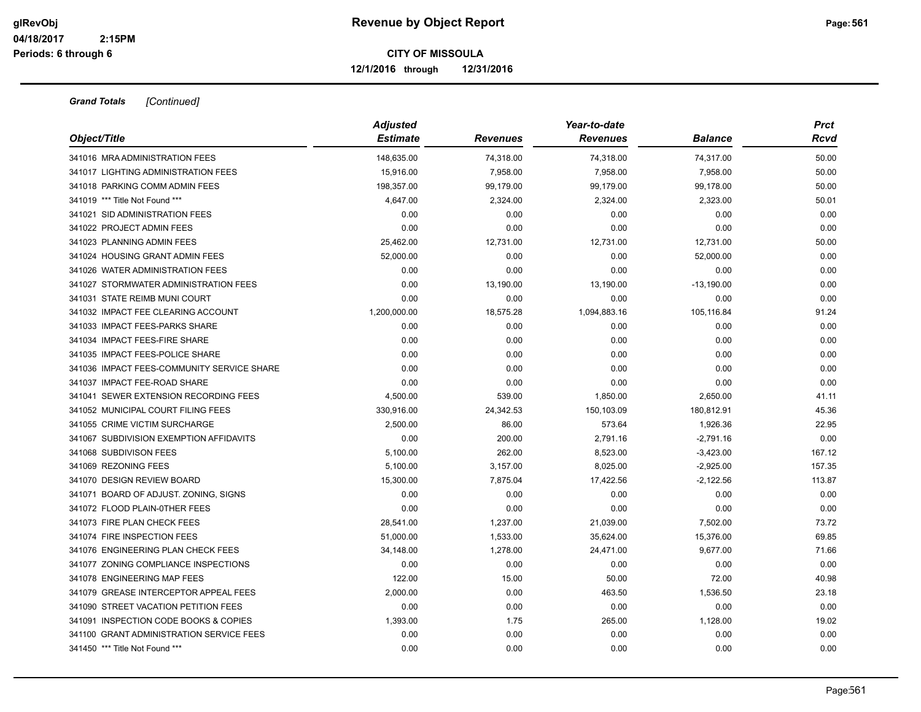|                                            | <b>Adjusted</b> |                 | Year-to-date    |                | <b>Prct</b> |
|--------------------------------------------|-----------------|-----------------|-----------------|----------------|-------------|
| Object/Title                               | <b>Estimate</b> | <b>Revenues</b> | <b>Revenues</b> | <b>Balance</b> | Rcvd        |
| 341016 MRA ADMINISTRATION FEES             | 148,635.00      | 74,318.00       | 74,318.00       | 74,317.00      | 50.00       |
| 341017 LIGHTING ADMINISTRATION FEES        | 15,916.00       | 7,958.00        | 7,958.00        | 7,958.00       | 50.00       |
| 341018 PARKING COMM ADMIN FEES             | 198,357.00      | 99,179.00       | 99,179.00       | 99,178.00      | 50.00       |
| 341019 *** Title Not Found ***             | 4,647.00        | 2,324.00        | 2,324.00        | 2,323.00       | 50.01       |
| 341021 SID ADMINISTRATION FEES             | 0.00            | 0.00            | 0.00            | 0.00           | 0.00        |
| 341022 PROJECT ADMIN FEES                  | 0.00            | 0.00            | 0.00            | 0.00           | 0.00        |
| 341023 PLANNING ADMIN FEES                 | 25,462.00       | 12,731.00       | 12,731.00       | 12,731.00      | 50.00       |
| 341024 HOUSING GRANT ADMIN FEES            | 52,000.00       | 0.00            | 0.00            | 52,000.00      | 0.00        |
| 341026 WATER ADMINISTRATION FEES           | 0.00            | 0.00            | 0.00            | 0.00           | 0.00        |
| 341027 STORMWATER ADMINISTRATION FEES      | 0.00            | 13,190.00       | 13,190.00       | $-13,190.00$   | 0.00        |
| 341031 STATE REIMB MUNI COURT              | 0.00            | 0.00            | 0.00            | 0.00           | 0.00        |
| 341032 IMPACT FEE CLEARING ACCOUNT         | 1,200,000.00    | 18,575.28       | 1,094,883.16    | 105,116.84     | 91.24       |
| 341033 IMPACT FEES-PARKS SHARE             | 0.00            | 0.00            | 0.00            | 0.00           | 0.00        |
| 341034 IMPACT FEES-FIRE SHARE              | 0.00            | 0.00            | 0.00            | 0.00           | 0.00        |
| 341035 IMPACT FEES-POLICE SHARE            | 0.00            | 0.00            | 0.00            | 0.00           | 0.00        |
| 341036 IMPACT FEES-COMMUNITY SERVICE SHARE | 0.00            | 0.00            | 0.00            | 0.00           | 0.00        |
| 341037 IMPACT FEE-ROAD SHARE               | 0.00            | 0.00            | 0.00            | 0.00           | 0.00        |
| 341041 SEWER EXTENSION RECORDING FEES      | 4,500.00        | 539.00          | 1,850.00        | 2,650.00       | 41.11       |
| 341052 MUNICIPAL COURT FILING FEES         | 330,916.00      | 24,342.53       | 150,103.09      | 180,812.91     | 45.36       |
| 341055 CRIME VICTIM SURCHARGE              | 2,500.00        | 86.00           | 573.64          | 1,926.36       | 22.95       |
| 341067 SUBDIVISION EXEMPTION AFFIDAVITS    | 0.00            | 200.00          | 2,791.16        | $-2,791.16$    | 0.00        |
| 341068 SUBDIVISON FEES                     | 5,100.00        | 262.00          | 8,523.00        | $-3,423.00$    | 167.12      |
| 341069 REZONING FEES                       | 5,100.00        | 3,157.00        | 8,025.00        | $-2,925.00$    | 157.35      |
| 341070 DESIGN REVIEW BOARD                 | 15,300.00       | 7,875.04        | 17,422.56       | $-2,122.56$    | 113.87      |
| 341071 BOARD OF ADJUST. ZONING, SIGNS      | 0.00            | 0.00            | 0.00            | 0.00           | 0.00        |
| 341072 FLOOD PLAIN-0THER FEES              | 0.00            | 0.00            | 0.00            | 0.00           | 0.00        |
| 341073 FIRE PLAN CHECK FEES                | 28,541.00       | 1,237.00        | 21,039.00       | 7,502.00       | 73.72       |
| 341074 FIRE INSPECTION FEES                | 51,000.00       | 1,533.00        | 35,624.00       | 15,376.00      | 69.85       |
| 341076 ENGINEERING PLAN CHECK FEES         | 34,148.00       | 1,278.00        | 24,471.00       | 9,677.00       | 71.66       |
| 341077 ZONING COMPLIANCE INSPECTIONS       | 0.00            | 0.00            | 0.00            | 0.00           | 0.00        |
| 341078 ENGINEERING MAP FEES                | 122.00          | 15.00           | 50.00           | 72.00          | 40.98       |
| 341079 GREASE INTERCEPTOR APPEAL FEES      | 2,000.00        | 0.00            | 463.50          | 1,536.50       | 23.18       |
| 341090 STREET VACATION PETITION FEES       | 0.00            | 0.00            | 0.00            | 0.00           | 0.00        |
| 341091 INSPECTION CODE BOOKS & COPIES      | 1,393.00        | 1.75            | 265.00          | 1,128.00       | 19.02       |
| 341100 GRANT ADMINISTRATION SERVICE FEES   | 0.00            | 0.00            | 0.00            | 0.00           | 0.00        |
| 341450 *** Title Not Found ***             | 0.00            | 0.00            | 0.00            | 0.00           | 0.00        |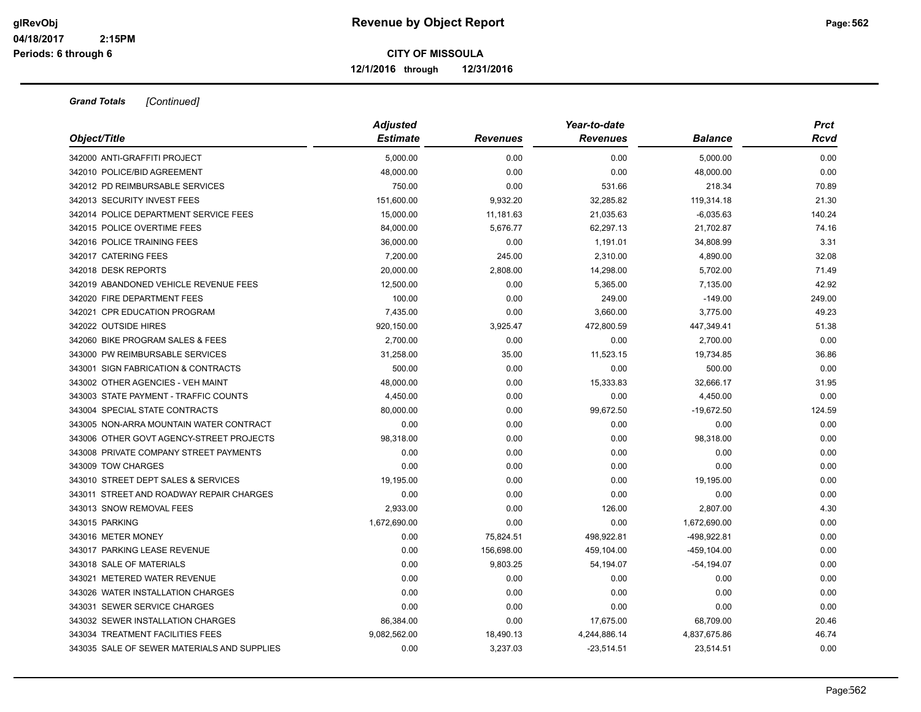| Object/Title                                | <b>Adjusted</b><br><b>Estimate</b> | <b>Revenues</b> | Year-to-date<br><b>Revenues</b> | <b>Balance</b> | <b>Prct</b><br><b>Rcvd</b> |
|---------------------------------------------|------------------------------------|-----------------|---------------------------------|----------------|----------------------------|
|                                             |                                    |                 |                                 |                |                            |
| 342000 ANTI-GRAFFITI PROJECT                | 5,000.00                           | 0.00            | 0.00                            | 5,000.00       | 0.00                       |
| 342010 POLICE/BID AGREEMENT                 | 48,000.00                          | 0.00            | 0.00                            | 48,000.00      | 0.00                       |
| 342012 PD REIMBURSABLE SERVICES             | 750.00                             | 0.00            | 531.66                          | 218.34         | 70.89                      |
| 342013 SECURITY INVEST FEES                 | 151,600.00                         | 9,932.20        | 32,285.82                       | 119,314.18     | 21.30                      |
| 342014 POLICE DEPARTMENT SERVICE FEES       | 15,000.00                          | 11,181.63       | 21,035.63                       | $-6,035.63$    | 140.24                     |
| 342015 POLICE OVERTIME FEES                 | 84,000.00                          | 5,676.77        | 62,297.13                       | 21,702.87      | 74.16                      |
| 342016 POLICE TRAINING FEES                 | 36,000.00                          | 0.00            | 1,191.01                        | 34,808.99      | 3.31                       |
| 342017 CATERING FEES                        | 7,200.00                           | 245.00          | 2,310.00                        | 4,890.00       | 32.08                      |
| 342018 DESK REPORTS                         | 20,000.00                          | 2,808.00        | 14,298.00                       | 5,702.00       | 71.49                      |
| 342019 ABANDONED VEHICLE REVENUE FEES       | 12,500.00                          | 0.00            | 5,365.00                        | 7,135.00       | 42.92                      |
| 342020 FIRE DEPARTMENT FEES                 | 100.00                             | 0.00            | 249.00                          | $-149.00$      | 249.00                     |
| 342021 CPR EDUCATION PROGRAM                | 7,435.00                           | 0.00            | 3,660.00                        | 3,775.00       | 49.23                      |
| 342022 OUTSIDE HIRES                        | 920,150.00                         | 3,925.47        | 472,800.59                      | 447,349.41     | 51.38                      |
| 342060 BIKE PROGRAM SALES & FEES            | 2,700.00                           | 0.00            | 0.00                            | 2,700.00       | 0.00                       |
| 343000 PW REIMBURSABLE SERVICES             | 31,258.00                          | 35.00           | 11,523.15                       | 19,734.85      | 36.86                      |
| 343001 SIGN FABRICATION & CONTRACTS         | 500.00                             | 0.00            | 0.00                            | 500.00         | 0.00                       |
| 343002 OTHER AGENCIES - VEH MAINT           | 48,000.00                          | 0.00            | 15,333.83                       | 32,666.17      | 31.95                      |
| 343003 STATE PAYMENT - TRAFFIC COUNTS       | 4,450.00                           | 0.00            | 0.00                            | 4,450.00       | 0.00                       |
| 343004 SPECIAL STATE CONTRACTS              | 80,000.00                          | 0.00            | 99,672.50                       | $-19,672.50$   | 124.59                     |
| 343005 NON-ARRA MOUNTAIN WATER CONTRACT     | 0.00                               | 0.00            | 0.00                            | 0.00           | 0.00                       |
| 343006 OTHER GOVT AGENCY-STREET PROJECTS    | 98,318.00                          | 0.00            | 0.00                            | 98,318.00      | 0.00                       |
| 343008 PRIVATE COMPANY STREET PAYMENTS      | 0.00                               | 0.00            | 0.00                            | 0.00           | 0.00                       |
| 343009 TOW CHARGES                          | 0.00                               | 0.00            | 0.00                            | 0.00           | 0.00                       |
| 343010 STREET DEPT SALES & SERVICES         | 19,195.00                          | 0.00            | 0.00                            | 19,195.00      | 0.00                       |
| 343011 STREET AND ROADWAY REPAIR CHARGES    | 0.00                               | 0.00            | 0.00                            | 0.00           | 0.00                       |
| 343013 SNOW REMOVAL FEES                    | 2,933.00                           | 0.00            | 126.00                          | 2,807.00       | 4.30                       |
| 343015 PARKING                              | 1,672,690.00                       | 0.00            | 0.00                            | 1,672,690.00   | 0.00                       |
| 343016 METER MONEY                          | 0.00                               | 75,824.51       | 498,922.81                      | -498,922.81    | 0.00                       |
| 343017 PARKING LEASE REVENUE                | 0.00                               | 156,698.00      | 459,104.00                      | $-459, 104.00$ | 0.00                       |
| 343018 SALE OF MATERIALS                    | 0.00                               | 9,803.25        | 54,194.07                       | $-54, 194.07$  | 0.00                       |
| 343021 METERED WATER REVENUE                | 0.00                               | 0.00            | 0.00                            | 0.00           | 0.00                       |
| 343026 WATER INSTALLATION CHARGES           | 0.00                               | 0.00            | 0.00                            | 0.00           | 0.00                       |
| 343031 SEWER SERVICE CHARGES                | 0.00                               | 0.00            | 0.00                            | 0.00           | 0.00                       |
| 343032 SEWER INSTALLATION CHARGES           | 86,384.00                          | 0.00            | 17,675.00                       | 68,709.00      | 20.46                      |
| 343034 TREATMENT FACILITIES FEES            | 9,082,562.00                       | 18,490.13       | 4,244,886.14                    | 4,837,675.86   | 46.74                      |
| 343035 SALE OF SEWER MATERIALS AND SUPPLIES | 0.00                               | 3,237.03        | $-23,514.51$                    | 23,514.51      | 0.00                       |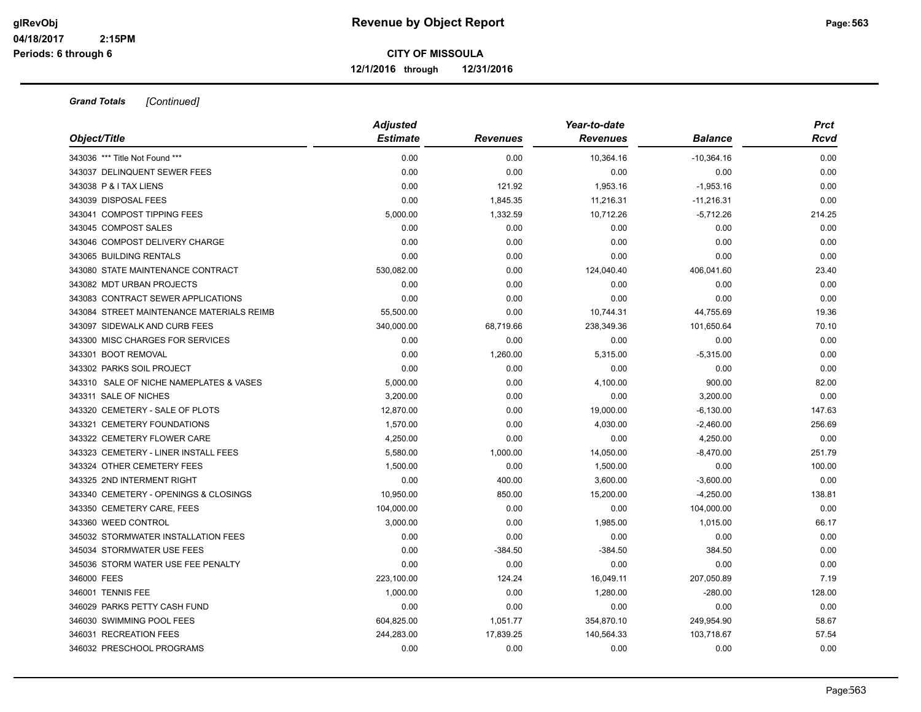|                                           | <b>Adjusted</b> |                 | Year-to-date    |                | <b>Prct</b> |
|-------------------------------------------|-----------------|-----------------|-----------------|----------------|-------------|
| Object/Title                              | <b>Estimate</b> | <b>Revenues</b> | <b>Revenues</b> | <b>Balance</b> | <b>Rcvd</b> |
| 343036 *** Title Not Found ***            | 0.00            | 0.00            | 10,364.16       | $-10,364.16$   | 0.00        |
| 343037 DELINQUENT SEWER FEES              | 0.00            | 0.00            | 0.00            | 0.00           | 0.00        |
| 343038 P & I TAX LIENS                    | 0.00            | 121.92          | 1,953.16        | $-1,953.16$    | 0.00        |
| 343039 DISPOSAL FEES                      | 0.00            | 1,845.35        | 11,216.31       | $-11,216.31$   | 0.00        |
| 343041 COMPOST TIPPING FEES               | 5,000.00        | 1,332.59        | 10,712.26       | $-5,712.26$    | 214.25      |
| 343045 COMPOST SALES                      | 0.00            | 0.00            | 0.00            | 0.00           | 0.00        |
| 343046 COMPOST DELIVERY CHARGE            | 0.00            | 0.00            | 0.00            | 0.00           | 0.00        |
| 343065 BUILDING RENTALS                   | 0.00            | 0.00            | 0.00            | 0.00           | 0.00        |
| 343080 STATE MAINTENANCE CONTRACT         | 530,082.00      | 0.00            | 124,040.40      | 406,041.60     | 23.40       |
| 343082 MDT URBAN PROJECTS                 | 0.00            | 0.00            | 0.00            | 0.00           | 0.00        |
| 343083 CONTRACT SEWER APPLICATIONS        | 0.00            | 0.00            | 0.00            | 0.00           | 0.00        |
| 343084 STREET MAINTENANCE MATERIALS REIMB | 55,500.00       | 0.00            | 10,744.31       | 44,755.69      | 19.36       |
| 343097 SIDEWALK AND CURB FEES             | 340,000.00      | 68,719.66       | 238,349.36      | 101,650.64     | 70.10       |
| 343300 MISC CHARGES FOR SERVICES          | 0.00            | 0.00            | 0.00            | 0.00           | 0.00        |
| 343301 BOOT REMOVAL                       | 0.00            | 1,260.00        | 5,315.00        | $-5,315.00$    | 0.00        |
| 343302 PARKS SOIL PROJECT                 | 0.00            | 0.00            | 0.00            | 0.00           | 0.00        |
| 343310 SALE OF NICHE NAMEPLATES & VASES   | 5,000.00        | 0.00            | 4,100.00        | 900.00         | 82.00       |
| 343311 SALE OF NICHES                     | 3,200.00        | 0.00            | 0.00            | 3,200.00       | 0.00        |
| 343320 CEMETERY - SALE OF PLOTS           | 12,870.00       | 0.00            | 19,000.00       | $-6,130.00$    | 147.63      |
| 343321 CEMETERY FOUNDATIONS               | 1,570.00        | 0.00            | 4,030.00        | $-2,460.00$    | 256.69      |
| 343322 CEMETERY FLOWER CARE               | 4,250.00        | 0.00            | 0.00            | 4,250.00       | 0.00        |
| 343323 CEMETERY - LINER INSTALL FEES      | 5,580.00        | 1,000.00        | 14,050.00       | $-8,470.00$    | 251.79      |
| 343324 OTHER CEMETERY FEES                | 1,500.00        | 0.00            | 1,500.00        | 0.00           | 100.00      |
| 343325 2ND INTERMENT RIGHT                | 0.00            | 400.00          | 3,600.00        | $-3,600.00$    | 0.00        |
| 343340 CEMETERY - OPENINGS & CLOSINGS     | 10,950.00       | 850.00          | 15,200.00       | $-4,250.00$    | 138.81      |
| 343350 CEMETERY CARE, FEES                | 104,000.00      | 0.00            | 0.00            | 104,000.00     | 0.00        |
| 343360 WEED CONTROL                       | 3,000.00        | 0.00            | 1,985.00        | 1,015.00       | 66.17       |
| 345032 STORMWATER INSTALLATION FEES       | 0.00            | 0.00            | 0.00            | 0.00           | 0.00        |
| 345034 STORMWATER USE FEES                | 0.00            | $-384.50$       | $-384.50$       | 384.50         | 0.00        |
| 345036 STORM WATER USE FEE PENALTY        | 0.00            | 0.00            | 0.00            | 0.00           | 0.00        |
| 346000 FEES                               | 223,100.00      | 124.24          | 16,049.11       | 207,050.89     | 7.19        |
| 346001 TENNIS FEE                         | 1,000.00        | 0.00            | 1,280.00        | $-280.00$      | 128.00      |
| 346029 PARKS PETTY CASH FUND              | 0.00            | 0.00            | 0.00            | 0.00           | 0.00        |
| 346030 SWIMMING POOL FEES                 | 604,825.00      | 1,051.77        | 354,870.10      | 249,954.90     | 58.67       |
| 346031 RECREATION FEES                    | 244,283.00      | 17,839.25       | 140,564.33      | 103,718.67     | 57.54       |
| 346032 PRESCHOOL PROGRAMS                 | 0.00            | 0.00            | 0.00            | 0.00           | 0.00        |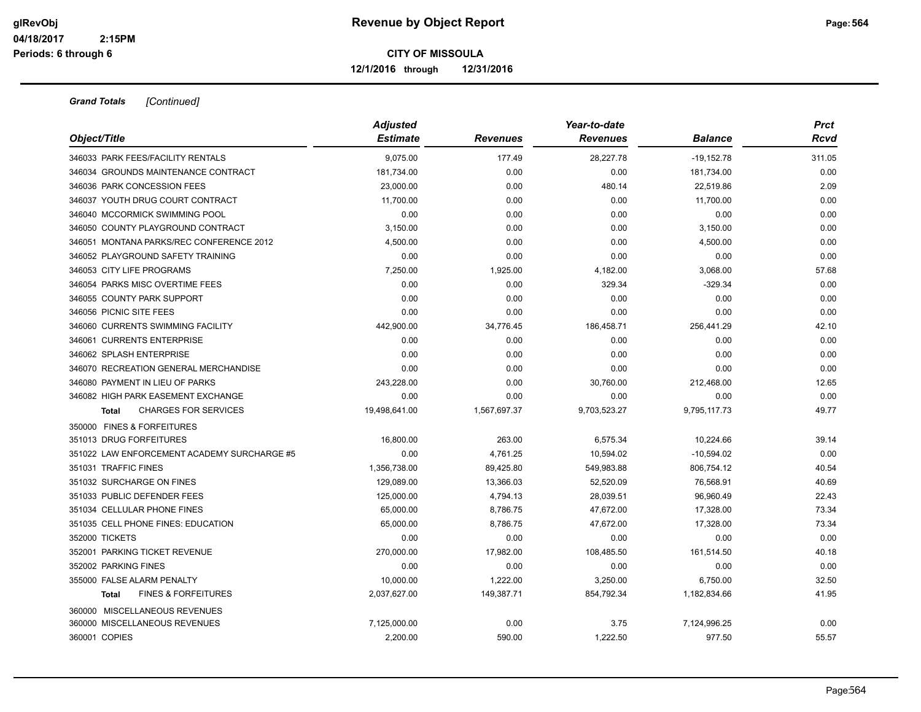|                                                | <b>Adjusted</b> |                 | Year-to-date    |                | Prct        |
|------------------------------------------------|-----------------|-----------------|-----------------|----------------|-------------|
| Object/Title                                   | <b>Estimate</b> | <b>Revenues</b> | <b>Revenues</b> | <b>Balance</b> | <b>Rcvd</b> |
| 346033 PARK FEES/FACILITY RENTALS              | 9,075.00        | 177.49          | 28,227.78       | $-19,152.78$   | 311.05      |
| 346034 GROUNDS MAINTENANCE CONTRACT            | 181,734.00      | 0.00            | 0.00            | 181,734.00     | 0.00        |
| 346036 PARK CONCESSION FEES                    | 23,000.00       | 0.00            | 480.14          | 22,519.86      | 2.09        |
| 346037 YOUTH DRUG COURT CONTRACT               | 11,700.00       | 0.00            | 0.00            | 11,700.00      | 0.00        |
| 346040 MCCORMICK SWIMMING POOL                 | 0.00            | 0.00            | 0.00            | 0.00           | 0.00        |
| 346050 COUNTY PLAYGROUND CONTRACT              | 3,150.00        | 0.00            | 0.00            | 3,150.00       | 0.00        |
| 346051 MONTANA PARKS/REC CONFERENCE 2012       | 4,500.00        | 0.00            | 0.00            | 4,500.00       | 0.00        |
| 346052 PLAYGROUND SAFETY TRAINING              | 0.00            | 0.00            | 0.00            | 0.00           | 0.00        |
| 346053 CITY LIFE PROGRAMS                      | 7,250.00        | 1,925.00        | 4,182.00        | 3,068.00       | 57.68       |
| 346054 PARKS MISC OVERTIME FEES                | 0.00            | 0.00            | 329.34          | $-329.34$      | 0.00        |
| 346055 COUNTY PARK SUPPORT                     | 0.00            | 0.00            | 0.00            | 0.00           | 0.00        |
| 346056 PICNIC SITE FEES                        | 0.00            | 0.00            | 0.00            | 0.00           | 0.00        |
| 346060 CURRENTS SWIMMING FACILITY              | 442,900.00      | 34,776.45       | 186,458.71      | 256,441.29     | 42.10       |
| 346061 CURRENTS ENTERPRISE                     | 0.00            | 0.00            | 0.00            | 0.00           | 0.00        |
| 346062 SPLASH ENTERPRISE                       | 0.00            | 0.00            | 0.00            | 0.00           | 0.00        |
| 346070 RECREATION GENERAL MERCHANDISE          | 0.00            | 0.00            | 0.00            | 0.00           | 0.00        |
| 346080 PAYMENT IN LIEU OF PARKS                | 243,228.00      | 0.00            | 30,760.00       | 212,468.00     | 12.65       |
| 346082 HIGH PARK EASEMENT EXCHANGE             | 0.00            | 0.00            | 0.00            | 0.00           | 0.00        |
| <b>CHARGES FOR SERVICES</b><br><b>Total</b>    | 19,498,641.00   | 1,567,697.37    | 9,703,523.27    | 9,795,117.73   | 49.77       |
| 350000 FINES & FORFEITURES                     |                 |                 |                 |                |             |
| 351013 DRUG FORFEITURES                        | 16,800.00       | 263.00          | 6,575.34        | 10,224.66      | 39.14       |
| 351022 LAW ENFORCEMENT ACADEMY SURCHARGE #5    | 0.00            | 4,761.25        | 10,594.02       | $-10,594.02$   | 0.00        |
| 351031 TRAFFIC FINES                           | 1,356,738.00    | 89,425.80       | 549,983.88      | 806,754.12     | 40.54       |
| 351032 SURCHARGE ON FINES                      | 129,089.00      | 13,366.03       | 52,520.09       | 76,568.91      | 40.69       |
| 351033 PUBLIC DEFENDER FEES                    | 125,000.00      | 4,794.13        | 28,039.51       | 96,960.49      | 22.43       |
| 351034 CELLULAR PHONE FINES                    | 65,000.00       | 8,786.75        | 47,672.00       | 17,328.00      | 73.34       |
| 351035 CELL PHONE FINES: EDUCATION             | 65,000.00       | 8,786.75        | 47,672.00       | 17,328.00      | 73.34       |
| 352000 TICKETS                                 | 0.00            | 0.00            | 0.00            | 0.00           | 0.00        |
| 352001 PARKING TICKET REVENUE                  | 270,000.00      | 17,982.00       | 108,485.50      | 161,514.50     | 40.18       |
| 352002 PARKING FINES                           | 0.00            | 0.00            | 0.00            | 0.00           | 0.00        |
| 355000 FALSE ALARM PENALTY                     | 10,000.00       | 1,222.00        | 3,250.00        | 6,750.00       | 32.50       |
| <b>FINES &amp; FORFEITURES</b><br><b>Total</b> | 2,037,627.00    | 149,387.71      | 854,792.34      | 1,182,834.66   | 41.95       |
| 360000 MISCELLANEOUS REVENUES                  |                 |                 |                 |                |             |
| 360000 MISCELLANEOUS REVENUES                  | 7,125,000.00    | 0.00            | 3.75            | 7,124,996.25   | 0.00        |
| 360001 COPIES                                  | 2.200.00        | 590.00          | 1,222.50        | 977.50         | 55.57       |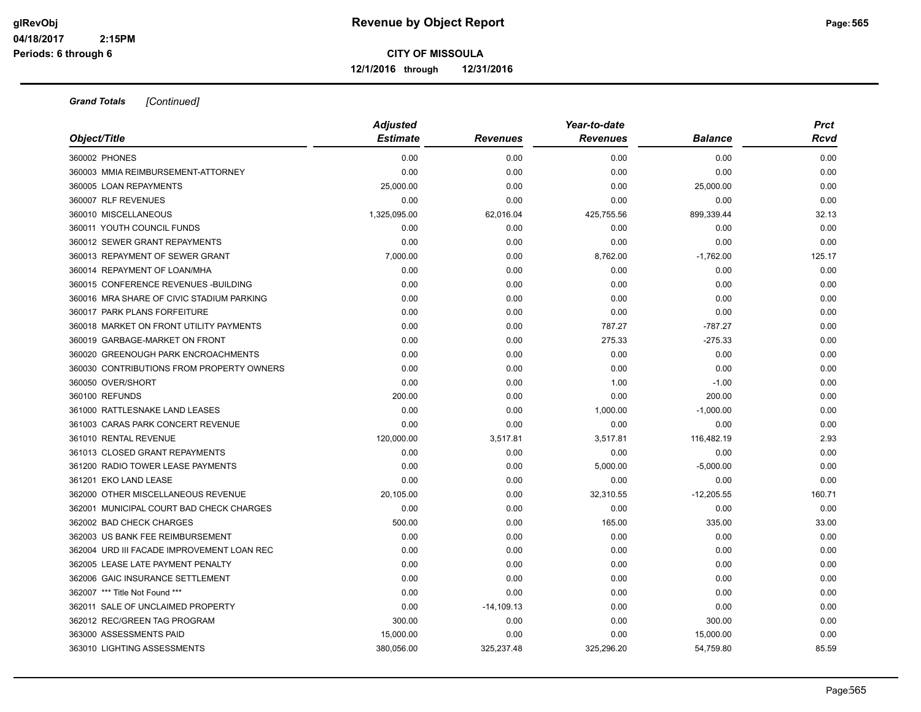| Object/Title                               | <b>Adjusted</b><br><b>Estimate</b> | <b>Revenues</b> | Year-to-date<br><b>Revenues</b> | <b>Balance</b> | <b>Prct</b> |
|--------------------------------------------|------------------------------------|-----------------|---------------------------------|----------------|-------------|
|                                            |                                    |                 |                                 |                | <b>Rcvd</b> |
| 360002 PHONES                              | 0.00                               | 0.00            | 0.00                            | 0.00           | 0.00        |
| 360003 MMIA REIMBURSEMENT-ATTORNEY         | 0.00                               | 0.00            | 0.00                            | 0.00           | 0.00        |
| 360005 LOAN REPAYMENTS                     | 25,000.00                          | 0.00            | 0.00                            | 25,000.00      | 0.00        |
| 360007 RLF REVENUES                        | 0.00                               | 0.00            | 0.00                            | 0.00           | 0.00        |
| 360010 MISCELLANEOUS                       | 1,325,095.00                       | 62,016.04       | 425,755.56                      | 899,339.44     | 32.13       |
| 360011 YOUTH COUNCIL FUNDS                 | 0.00                               | 0.00            | 0.00                            | 0.00           | 0.00        |
| 360012 SEWER GRANT REPAYMENTS              | 0.00                               | 0.00            | 0.00                            | 0.00           | 0.00        |
| 360013 REPAYMENT OF SEWER GRANT            | 7,000.00                           | 0.00            | 8,762.00                        | $-1,762.00$    | 125.17      |
| 360014 REPAYMENT OF LOAN/MHA               | 0.00                               | 0.00            | 0.00                            | 0.00           | 0.00        |
| 360015 CONFERENCE REVENUES - BUILDING      | 0.00                               | 0.00            | 0.00                            | 0.00           | 0.00        |
| 360016 MRA SHARE OF CIVIC STADIUM PARKING  | 0.00                               | 0.00            | 0.00                            | 0.00           | 0.00        |
| 360017 PARK PLANS FORFEITURE               | 0.00                               | 0.00            | 0.00                            | 0.00           | 0.00        |
| 360018 MARKET ON FRONT UTILITY PAYMENTS    | 0.00                               | 0.00            | 787.27                          | $-787.27$      | 0.00        |
| 360019 GARBAGE-MARKET ON FRONT             | 0.00                               | 0.00            | 275.33                          | $-275.33$      | 0.00        |
| 360020 GREENOUGH PARK ENCROACHMENTS        | 0.00                               | 0.00            | 0.00                            | 0.00           | 0.00        |
| 360030 CONTRIBUTIONS FROM PROPERTY OWNERS  | 0.00                               | 0.00            | 0.00                            | 0.00           | 0.00        |
| 360050 OVER/SHORT                          | 0.00                               | 0.00            | 1.00                            | $-1.00$        | 0.00        |
| 360100 REFUNDS                             | 200.00                             | 0.00            | 0.00                            | 200.00         | 0.00        |
| 361000 RATTLESNAKE LAND LEASES             | 0.00                               | 0.00            | 1,000.00                        | $-1,000.00$    | 0.00        |
| 361003 CARAS PARK CONCERT REVENUE          | 0.00                               | 0.00            | 0.00                            | 0.00           | 0.00        |
| 361010 RENTAL REVENUE                      | 120,000.00                         | 3,517.81        | 3,517.81                        | 116,482.19     | 2.93        |
| 361013 CLOSED GRANT REPAYMENTS             | 0.00                               | 0.00            | 0.00                            | 0.00           | 0.00        |
| 361200 RADIO TOWER LEASE PAYMENTS          | 0.00                               | 0.00            | 5,000.00                        | $-5,000.00$    | 0.00        |
| 361201 EKO LAND LEASE                      | 0.00                               | 0.00            | 0.00                            | 0.00           | 0.00        |
| 362000 OTHER MISCELLANEOUS REVENUE         | 20,105.00                          | 0.00            | 32,310.55                       | $-12,205.55$   | 160.71      |
| 362001 MUNICIPAL COURT BAD CHECK CHARGES   | 0.00                               | 0.00            | 0.00                            | 0.00           | 0.00        |
| 362002 BAD CHECK CHARGES                   | 500.00                             | 0.00            | 165.00                          | 335.00         | 33.00       |
| 362003 US BANK FEE REIMBURSEMENT           | 0.00                               | 0.00            | 0.00                            | 0.00           | 0.00        |
| 362004 URD III FACADE IMPROVEMENT LOAN REC | 0.00                               | 0.00            | 0.00                            | 0.00           | 0.00        |
| 362005 LEASE LATE PAYMENT PENALTY          | 0.00                               | 0.00            | 0.00                            | 0.00           | 0.00        |
| 362006 GAIC INSURANCE SETTLEMENT           | 0.00                               | 0.00            | 0.00                            | 0.00           | 0.00        |
| 362007 *** Title Not Found ***             | 0.00                               | 0.00            | 0.00                            | 0.00           | 0.00        |
| 362011 SALE OF UNCLAIMED PROPERTY          | 0.00                               | $-14,109.13$    | 0.00                            | 0.00           | 0.00        |
| 362012 REC/GREEN TAG PROGRAM               | 300.00                             | 0.00            | 0.00                            | 300.00         | 0.00        |
| 363000 ASSESSMENTS PAID                    | 15,000.00                          | 0.00            | 0.00                            | 15,000.00      | 0.00        |
| 363010 LIGHTING ASSESSMENTS                | 380,056.00                         | 325,237.48      | 325.296.20                      | 54,759.80      | 85.59       |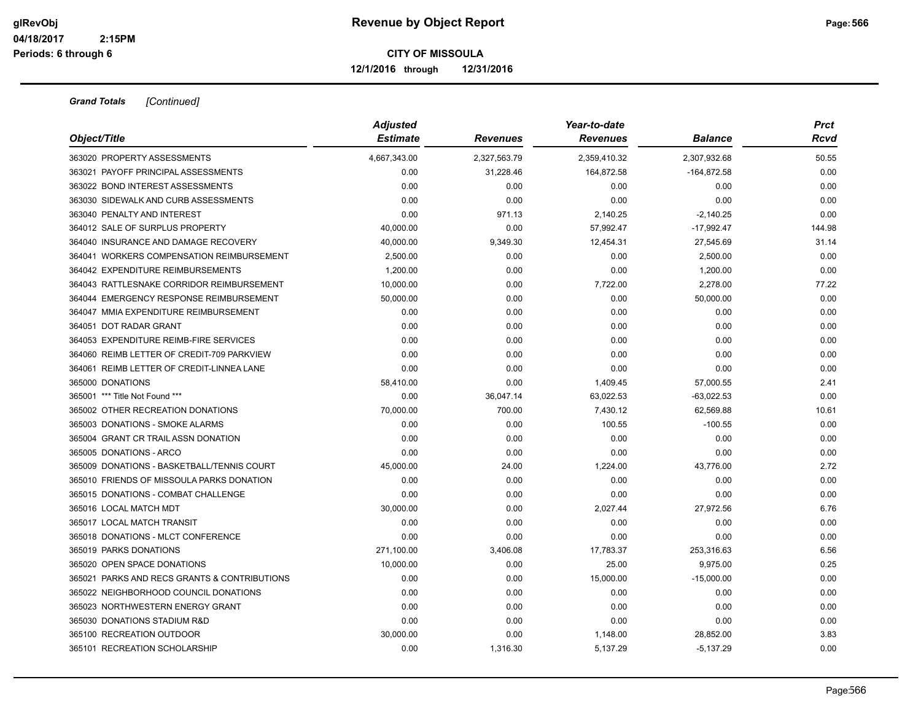| Object/Title                                 | <b>Adjusted</b><br><b>Estimate</b> | <b>Revenues</b> | Year-to-date<br><b>Revenues</b> | <b>Balance</b> | <b>Prct</b><br>Rcvd |
|----------------------------------------------|------------------------------------|-----------------|---------------------------------|----------------|---------------------|
| 363020 PROPERTY ASSESSMENTS                  | 4,667,343.00                       | 2,327,563.79    | 2,359,410.32                    | 2,307,932.68   | 50.55               |
| 363021 PAYOFF PRINCIPAL ASSESSMENTS          | 0.00                               | 31,228.46       | 164,872.58                      | $-164,872.58$  | 0.00                |
| 363022 BOND INTEREST ASSESSMENTS             | 0.00                               | 0.00            | 0.00                            | 0.00           | 0.00                |
| 363030 SIDEWALK AND CURB ASSESSMENTS         | 0.00                               | 0.00            | 0.00                            | 0.00           | 0.00                |
| 363040 PENALTY AND INTEREST                  | 0.00                               | 971.13          | 2,140.25                        | $-2,140.25$    | 0.00                |
| 364012 SALE OF SURPLUS PROPERTY              | 40,000.00                          | 0.00            | 57,992.47                       | $-17,992.47$   | 144.98              |
| 364040 INSURANCE AND DAMAGE RECOVERY         | 40,000.00                          | 9,349.30        | 12,454.31                       | 27,545.69      | 31.14               |
| 364041 WORKERS COMPENSATION REIMBURSEMENT    | 2,500.00                           | 0.00            | 0.00                            | 2,500.00       | 0.00                |
| 364042 EXPENDITURE REIMBURSEMENTS            | 1,200.00                           | 0.00            | 0.00                            | 1,200.00       | 0.00                |
| 364043 RATTLESNAKE CORRIDOR REIMBURSEMENT    | 10,000.00                          | 0.00            | 7,722.00                        | 2,278.00       | 77.22               |
| 364044 EMERGENCY RESPONSE REIMBURSEMENT      | 50,000.00                          | 0.00            | 0.00                            | 50,000.00      | 0.00                |
| 364047 MMIA EXPENDITURE REIMBURSEMENT        | 0.00                               | 0.00            | 0.00                            | 0.00           | 0.00                |
| 364051 DOT RADAR GRANT                       | 0.00                               | 0.00            | 0.00                            | 0.00           | 0.00                |
| 364053 EXPENDITURE REIMB-FIRE SERVICES       | 0.00                               | 0.00            | 0.00                            | 0.00           | 0.00                |
| 364060 REIMB LETTER OF CREDIT-709 PARKVIEW   | 0.00                               | 0.00            | 0.00                            | 0.00           | 0.00                |
| 364061 REIMB LETTER OF CREDIT-LINNEA LANE    | 0.00                               | 0.00            | 0.00                            | 0.00           | 0.00                |
| 365000 DONATIONS                             | 58,410.00                          | 0.00            | 1,409.45                        | 57,000.55      | 2.41                |
| 365001 *** Title Not Found ***               | 0.00                               | 36,047.14       | 63,022.53                       | $-63,022.53$   | 0.00                |
| 365002 OTHER RECREATION DONATIONS            | 70,000.00                          | 700.00          | 7,430.12                        | 62,569.88      | 10.61               |
| 365003 DONATIONS - SMOKE ALARMS              | 0.00                               | 0.00            | 100.55                          | $-100.55$      | 0.00                |
| 365004 GRANT CR TRAIL ASSN DONATION          | 0.00                               | 0.00            | 0.00                            | 0.00           | 0.00                |
| 365005 DONATIONS - ARCO                      | 0.00                               | 0.00            | 0.00                            | 0.00           | 0.00                |
| 365009 DONATIONS - BASKETBALL/TENNIS COURT   | 45,000.00                          | 24.00           | 1,224.00                        | 43,776.00      | 2.72                |
| 365010 FRIENDS OF MISSOULA PARKS DONATION    | 0.00                               | 0.00            | 0.00                            | 0.00           | 0.00                |
| 365015 DONATIONS - COMBAT CHALLENGE          | 0.00                               | 0.00            | 0.00                            | 0.00           | 0.00                |
| 365016 LOCAL MATCH MDT                       | 30,000.00                          | 0.00            | 2,027.44                        | 27,972.56      | 6.76                |
| 365017 LOCAL MATCH TRANSIT                   | 0.00                               | 0.00            | 0.00                            | 0.00           | 0.00                |
| 365018 DONATIONS - MLCT CONFERENCE           | 0.00                               | 0.00            | 0.00                            | 0.00           | 0.00                |
| 365019 PARKS DONATIONS                       | 271,100.00                         | 3,406.08        | 17,783.37                       | 253,316.63     | 6.56                |
| 365020 OPEN SPACE DONATIONS                  | 10,000.00                          | 0.00            | 25.00                           | 9,975.00       | 0.25                |
| 365021 PARKS AND RECS GRANTS & CONTRIBUTIONS | 0.00                               | 0.00            | 15,000.00                       | $-15,000.00$   | 0.00                |
| 365022 NEIGHBORHOOD COUNCIL DONATIONS        | 0.00                               | 0.00            | 0.00                            | 0.00           | 0.00                |
| 365023 NORTHWESTERN ENERGY GRANT             | 0.00                               | 0.00            | 0.00                            | 0.00           | 0.00                |
| 365030 DONATIONS STADIUM R&D                 | 0.00                               | 0.00            | 0.00                            | 0.00           | 0.00                |
| 365100 RECREATION OUTDOOR                    | 30,000.00                          | 0.00            | 1,148.00                        | 28,852.00      | 3.83                |
| 365101 RECREATION SCHOLARSHIP                | 0.00                               | 1,316.30        | 5,137.29                        | $-5,137.29$    | 0.00                |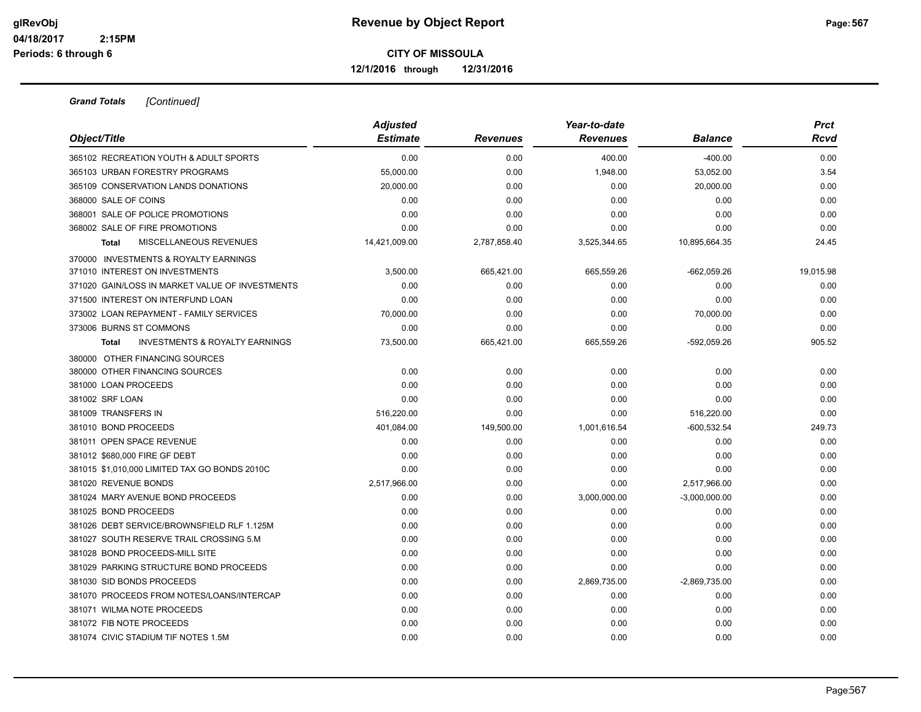|                                                           | <b>Adjusted</b> |                 | Year-to-date    |                 | <b>Prct</b> |
|-----------------------------------------------------------|-----------------|-----------------|-----------------|-----------------|-------------|
| Object/Title                                              | <b>Estimate</b> | <b>Revenues</b> | <b>Revenues</b> | <b>Balance</b>  | <b>Rcvd</b> |
| 365102 RECREATION YOUTH & ADULT SPORTS                    | 0.00            | 0.00            | 400.00          | $-400.00$       | 0.00        |
| 365103 URBAN FORESTRY PROGRAMS                            | 55,000.00       | 0.00            | 1,948.00        | 53,052.00       | 3.54        |
| 365109 CONSERVATION LANDS DONATIONS                       | 20,000.00       | 0.00            | 0.00            | 20,000.00       | 0.00        |
| 368000 SALE OF COINS                                      | 0.00            | 0.00            | 0.00            | 0.00            | 0.00        |
| 368001 SALE OF POLICE PROMOTIONS                          | 0.00            | 0.00            | 0.00            | 0.00            | 0.00        |
| 368002 SALE OF FIRE PROMOTIONS                            | 0.00            | 0.00            | 0.00            | 0.00            | 0.00        |
| <b>Total</b><br><b>MISCELLANEOUS REVENUES</b>             | 14,421,009.00   | 2,787,858.40    | 3,525,344.65    | 10,895,664.35   | 24.45       |
| 370000 INVESTMENTS & ROYALTY EARNINGS                     |                 |                 |                 |                 |             |
| 371010 INTEREST ON INVESTMENTS                            | 3,500.00        | 665,421.00      | 665,559.26      | $-662,059.26$   | 19,015.98   |
| 371020 GAIN/LOSS IN MARKET VALUE OF INVESTMENTS           | 0.00            | 0.00            | 0.00            | 0.00            | 0.00        |
| 371500 INTEREST ON INTERFUND LOAN                         | 0.00            | 0.00            | 0.00            | 0.00            | 0.00        |
| 373002 LOAN REPAYMENT - FAMILY SERVICES                   | 70,000.00       | 0.00            | 0.00            | 70,000.00       | 0.00        |
| 373006 BURNS ST COMMONS                                   | 0.00            | 0.00            | 0.00            | 0.00            | 0.00        |
| <b>INVESTMENTS &amp; ROYALTY EARNINGS</b><br><b>Total</b> | 73,500.00       | 665,421.00      | 665,559.26      | -592,059.26     | 905.52      |
| 380000 OTHER FINANCING SOURCES                            |                 |                 |                 |                 |             |
| 380000 OTHER FINANCING SOURCES                            | 0.00            | 0.00            | 0.00            | 0.00            | 0.00        |
| 381000 LOAN PROCEEDS                                      | 0.00            | 0.00            | 0.00            | 0.00            | 0.00        |
| 381002 SRF LOAN                                           | 0.00            | 0.00            | 0.00            | 0.00            | 0.00        |
| 381009 TRANSFERS IN                                       | 516,220.00      | 0.00            | 0.00            | 516,220.00      | 0.00        |
| 381010 BOND PROCEEDS                                      | 401,084.00      | 149,500.00      | 1,001,616.54    | $-600,532.54$   | 249.73      |
| 381011 OPEN SPACE REVENUE                                 | 0.00            | 0.00            | 0.00            | 0.00            | 0.00        |
| 381012 \$680,000 FIRE GF DEBT                             | 0.00            | 0.00            | 0.00            | 0.00            | 0.00        |
| 381015 \$1,010,000 LIMITED TAX GO BONDS 2010C             | 0.00            | 0.00            | 0.00            | 0.00            | 0.00        |
| 381020 REVENUE BONDS                                      | 2,517,966.00    | 0.00            | 0.00            | 2,517,966.00    | 0.00        |
| 381024 MARY AVENUE BOND PROCEEDS                          | 0.00            | 0.00            | 3,000,000.00    | $-3,000,000.00$ | 0.00        |
| 381025 BOND PROCEEDS                                      | 0.00            | 0.00            | 0.00            | 0.00            | 0.00        |
| 381026 DEBT SERVICE/BROWNSFIELD RLF 1.125M                | 0.00            | 0.00            | 0.00            | 0.00            | 0.00        |
| 381027 SOUTH RESERVE TRAIL CROSSING 5.M                   | 0.00            | 0.00            | 0.00            | 0.00            | 0.00        |
| 381028 BOND PROCEEDS-MILL SITE                            | 0.00            | 0.00            | 0.00            | 0.00            | 0.00        |
| 381029 PARKING STRUCTURE BOND PROCEEDS                    | 0.00            | 0.00            | 0.00            | 0.00            | 0.00        |
| 381030 SID BONDS PROCEEDS                                 | 0.00            | 0.00            | 2,869,735.00    | $-2,869,735.00$ | 0.00        |
| 381070 PROCEEDS FROM NOTES/LOANS/INTERCAP                 | 0.00            | 0.00            | 0.00            | 0.00            | 0.00        |
| 381071 WILMA NOTE PROCEEDS                                | 0.00            | 0.00            | 0.00            | 0.00            | 0.00        |
| 381072 FIB NOTE PROCEEDS                                  | 0.00            | 0.00            | 0.00            | 0.00            | 0.00        |
| 381074 CIVIC STADIUM TIF NOTES 1.5M                       | 0.00            | 0.00            | 0.00            | 0.00            | 0.00        |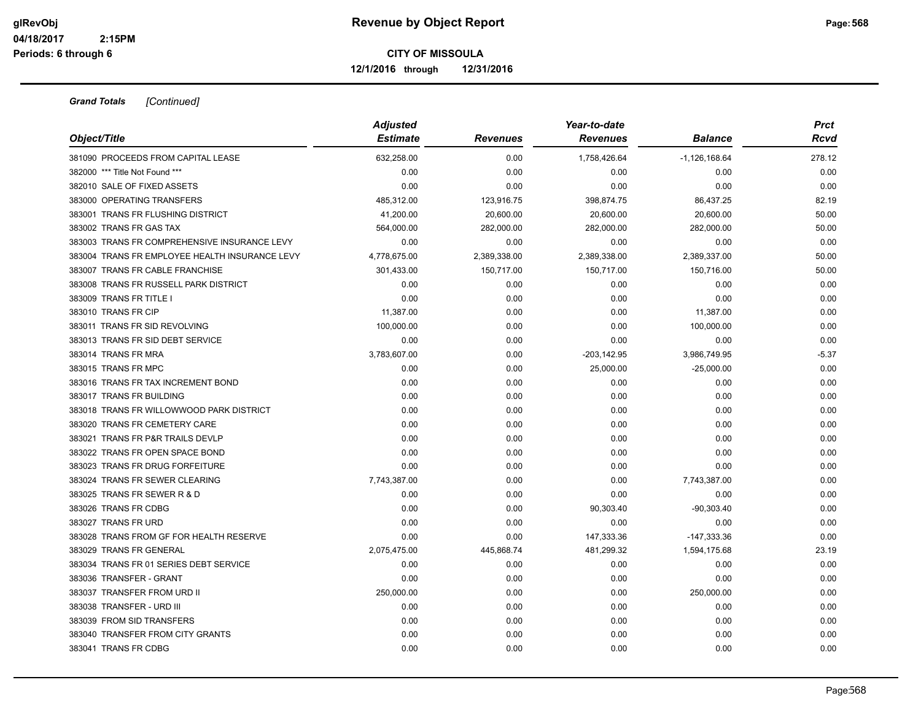| Object/Title                                   | <b>Adjusted</b><br><b>Estimate</b> | <b>Revenues</b> | Year-to-date<br><b>Revenues</b> | <b>Balance</b>  | <b>Prct</b><br><b>Rcvd</b> |
|------------------------------------------------|------------------------------------|-----------------|---------------------------------|-----------------|----------------------------|
| 381090 PROCEEDS FROM CAPITAL LEASE             | 632.258.00                         | 0.00            |                                 | $-1,126,168.64$ | 278.12                     |
| 382000 *** Title Not Found ***<br>0.00         |                                    | 0.00            | 1,758,426.64<br>0.00            | 0.00            | 0.00                       |
| 382010 SALE OF FIXED ASSETS                    | 0.00                               | 0.00            | 0.00                            | 0.00            | 0.00                       |
| 383000 OPERATING TRANSFERS                     | 485,312.00                         | 123,916.75      | 398,874.75                      | 86,437.25       | 82.19                      |
| 383001 TRANS FR FLUSHING DISTRICT              | 41,200.00                          | 20,600.00       | 20,600.00                       | 20,600.00       | 50.00                      |
| 383002 TRANS FR GAS TAX                        | 564,000.00                         | 282,000.00      | 282,000.00                      | 282,000.00      | 50.00                      |
| 383003 TRANS FR COMPREHENSIVE INSURANCE LEVY   | 0.00                               | 0.00            | 0.00                            | 0.00            | 0.00                       |
| 383004 TRANS FR EMPLOYEE HEALTH INSURANCE LEVY | 4,778,675.00                       | 2,389,338.00    | 2,389,338.00                    | 2,389,337.00    | 50.00                      |
| 383007 TRANS FR CABLE FRANCHISE                | 301,433.00                         | 150,717.00      | 150,717.00                      | 150,716.00      | 50.00                      |
| 383008 TRANS FR RUSSELL PARK DISTRICT          | 0.00                               | 0.00            | 0.00                            | 0.00            | 0.00                       |
| 383009 TRANS FR TITLE I                        | 0.00                               | 0.00            | 0.00                            | 0.00            | 0.00                       |
| 383010 TRANS FR CIP                            | 11,387.00                          | 0.00            | 0.00                            | 11,387.00       | 0.00                       |
| 383011 TRANS FR SID REVOLVING                  | 100,000.00                         | 0.00            | 0.00                            | 100,000.00      | 0.00                       |
| 383013 TRANS FR SID DEBT SERVICE               | 0.00                               | 0.00            | 0.00                            | 0.00            | 0.00                       |
| 383014 TRANS FR MRA                            | 3,783,607.00                       | 0.00            | $-203, 142.95$                  | 3,986,749.95    | $-5.37$                    |
| 383015 TRANS FR MPC                            | 0.00                               | 0.00            | 25,000.00                       | $-25,000.00$    | 0.00                       |
| 383016 TRANS FR TAX INCREMENT BOND             | 0.00                               | 0.00            | 0.00                            | 0.00            | 0.00                       |
| 383017 TRANS FR BUILDING                       | 0.00                               | 0.00            | 0.00                            | 0.00            | 0.00                       |
| 383018 TRANS FR WILLOWWOOD PARK DISTRICT       | 0.00                               | 0.00            | 0.00                            | 0.00            | 0.00                       |
| 383020 TRANS FR CEMETERY CARE                  | 0.00                               | 0.00            | 0.00                            | 0.00            | 0.00                       |
| 383021 TRANS FR P&R TRAILS DEVLP               | 0.00                               | 0.00            | 0.00                            | 0.00            | 0.00                       |
| 383022 TRANS FR OPEN SPACE BOND                | 0.00                               | 0.00            | 0.00                            | 0.00            | 0.00                       |
| 383023 TRANS FR DRUG FORFEITURE                | 0.00                               | 0.00            | 0.00                            | 0.00            | 0.00                       |
| 383024 TRANS FR SEWER CLEARING                 | 7,743,387.00                       | 0.00            | 0.00                            | 7,743,387.00    | 0.00                       |
| 383025 TRANS FR SEWER R & D                    | 0.00                               | 0.00            | 0.00                            | 0.00            | 0.00                       |
| 383026 TRANS FR CDBG                           | 0.00                               | 0.00            | 90,303.40                       | $-90,303.40$    | 0.00                       |
| 383027 TRANS FR URD                            | 0.00                               | 0.00            | 0.00                            | 0.00            | 0.00                       |
| 383028 TRANS FROM GF FOR HEALTH RESERVE        | 0.00                               | 0.00            | 147,333.36                      | $-147,333.36$   | 0.00                       |
| 383029 TRANS FR GENERAL                        | 2,075,475.00                       | 445,868.74      | 481,299.32                      | 1,594,175.68    | 23.19                      |
| 383034 TRANS FR 01 SERIES DEBT SERVICE         | 0.00                               | 0.00            | 0.00                            | 0.00            | 0.00                       |
| 383036 TRANSFER - GRANT                        | 0.00                               | 0.00            | 0.00                            | 0.00            | 0.00                       |
| 383037 TRANSFER FROM URD II                    | 250,000.00                         | 0.00            | 0.00                            | 250,000.00      | 0.00                       |
| 383038 TRANSFER - URD III                      | 0.00                               | 0.00            | 0.00                            | 0.00            | 0.00                       |
| 383039 FROM SID TRANSFERS                      | 0.00                               | 0.00            | 0.00                            | 0.00            | 0.00                       |
| 383040 TRANSFER FROM CITY GRANTS               | 0.00                               | 0.00            | 0.00                            | 0.00            | 0.00                       |
| 383041 TRANS FR CDBG                           | 0.00                               | 0.00            | 0.00                            | 0.00            | 0.00                       |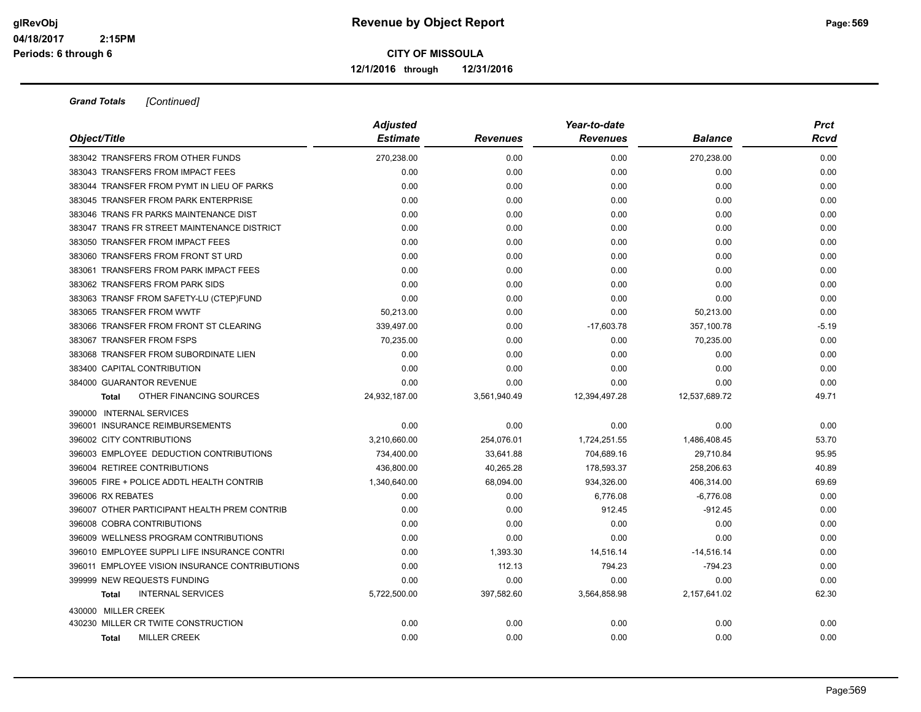| Object/Title                                   | <b>Adjusted</b><br><b>Estimate</b> | <b>Revenues</b> | Year-to-date<br><b>Revenues</b> | <b>Balance</b> | <b>Prct</b><br>Rcvd |
|------------------------------------------------|------------------------------------|-----------------|---------------------------------|----------------|---------------------|
|                                                |                                    |                 |                                 |                |                     |
| 383042 TRANSFERS FROM OTHER FUNDS              | 270,238.00                         | 0.00            | 0.00                            | 270,238.00     | 0.00                |
| 383043 TRANSFERS FROM IMPACT FEES              | 0.00                               | 0.00            | 0.00                            | 0.00           | 0.00                |
| 383044 TRANSFER FROM PYMT IN LIEU OF PARKS     | 0.00                               | 0.00            | 0.00                            | 0.00           | 0.00                |
| 383045 TRANSFER FROM PARK ENTERPRISE           | 0.00                               | 0.00            | 0.00                            | 0.00           | 0.00                |
| 383046 TRANS FR PARKS MAINTENANCE DIST         | 0.00                               | 0.00            | 0.00                            | 0.00           | 0.00                |
| 383047 TRANS FR STREET MAINTENANCE DISTRICT    | 0.00                               | 0.00            | 0.00                            | 0.00           | 0.00                |
| 383050 TRANSFER FROM IMPACT FEES               | 0.00                               | 0.00            | 0.00                            | 0.00           | 0.00                |
| 383060 TRANSFERS FROM FRONT ST URD             | 0.00                               | 0.00            | 0.00                            | 0.00           | 0.00                |
| 383061 TRANSFERS FROM PARK IMPACT FEES         | 0.00                               | 0.00            | 0.00                            | 0.00           | 0.00                |
| 383062 TRANSFERS FROM PARK SIDS                | 0.00                               | 0.00            | 0.00                            | 0.00           | 0.00                |
| 383063 TRANSF FROM SAFETY-LU (CTEP)FUND        | 0.00                               | 0.00            | 0.00                            | 0.00           | 0.00                |
| 383065 TRANSFER FROM WWTF                      | 50,213.00                          | 0.00            | 0.00                            | 50,213.00      | 0.00                |
| 383066 TRANSFER FROM FRONT ST CLEARING         | 339,497.00                         | 0.00            | $-17,603.78$                    | 357,100.78     | $-5.19$             |
| 383067 TRANSFER FROM FSPS                      | 70,235.00                          | 0.00            | 0.00                            | 70,235.00      | 0.00                |
| 383068 TRANSFER FROM SUBORDINATE LIEN          | 0.00                               | 0.00            | 0.00                            | 0.00           | 0.00                |
| 383400 CAPITAL CONTRIBUTION                    | 0.00                               | 0.00            | 0.00                            | 0.00           | 0.00                |
| 384000 GUARANTOR REVENUE                       | 0.00                               | 0.00            | 0.00                            | 0.00           | 0.00                |
| OTHER FINANCING SOURCES<br>Total               | 24,932,187.00                      | 3,561,940.49    | 12,394,497.28                   | 12,537,689.72  | 49.71               |
| 390000 INTERNAL SERVICES                       |                                    |                 |                                 |                |                     |
| 396001 INSURANCE REIMBURSEMENTS                | 0.00                               | 0.00            | 0.00                            | 0.00           | 0.00                |
| 396002 CITY CONTRIBUTIONS                      | 3,210,660.00                       | 254,076.01      | 1,724,251.55                    | 1,486,408.45   | 53.70               |
| 396003 EMPLOYEE DEDUCTION CONTRIBUTIONS        | 734,400.00                         | 33,641.88       | 704,689.16                      | 29,710.84      | 95.95               |
| 396004 RETIREE CONTRIBUTIONS                   | 436,800.00                         | 40,265.28       | 178,593.37                      | 258,206.63     | 40.89               |
| 396005 FIRE + POLICE ADDTL HEALTH CONTRIB      | 1,340,640.00                       | 68,094.00       | 934,326.00                      | 406,314.00     | 69.69               |
| 396006 RX REBATES                              | 0.00                               | 0.00            | 6,776.08                        | $-6,776.08$    | 0.00                |
| 396007 OTHER PARTICIPANT HEALTH PREM CONTRIB   | 0.00                               | 0.00            | 912.45                          | $-912.45$      | 0.00                |
| 396008 COBRA CONTRIBUTIONS                     | 0.00                               | 0.00            | 0.00                            | 0.00           | 0.00                |
| 396009 WELLNESS PROGRAM CONTRIBUTIONS          | 0.00                               | 0.00            | 0.00                            | 0.00           | 0.00                |
| 396010 EMPLOYEE SUPPLI LIFE INSURANCE CONTRI   | 0.00                               | 1,393.30        | 14,516.14                       | $-14,516.14$   | 0.00                |
| 396011 EMPLOYEE VISION INSURANCE CONTRIBUTIONS | 0.00                               | 112.13          | 794.23                          | $-794.23$      | 0.00                |
| 399999 NEW REQUESTS FUNDING                    | 0.00                               | 0.00            | 0.00                            | 0.00           | 0.00                |
| <b>INTERNAL SERVICES</b><br><b>Total</b>       | 5,722,500.00                       | 397,582.60      | 3,564,858.98                    | 2,157,641.02   | 62.30               |
| 430000 MILLER CREEK                            |                                    |                 |                                 |                |                     |
| 430230 MILLER CR TWITE CONSTRUCTION            | 0.00                               | 0.00            | 0.00                            | 0.00           | 0.00                |
| <b>MILLER CREEK</b><br>Total                   | 0.00                               | 0.00            | 0.00                            | 0.00           | 0.00                |